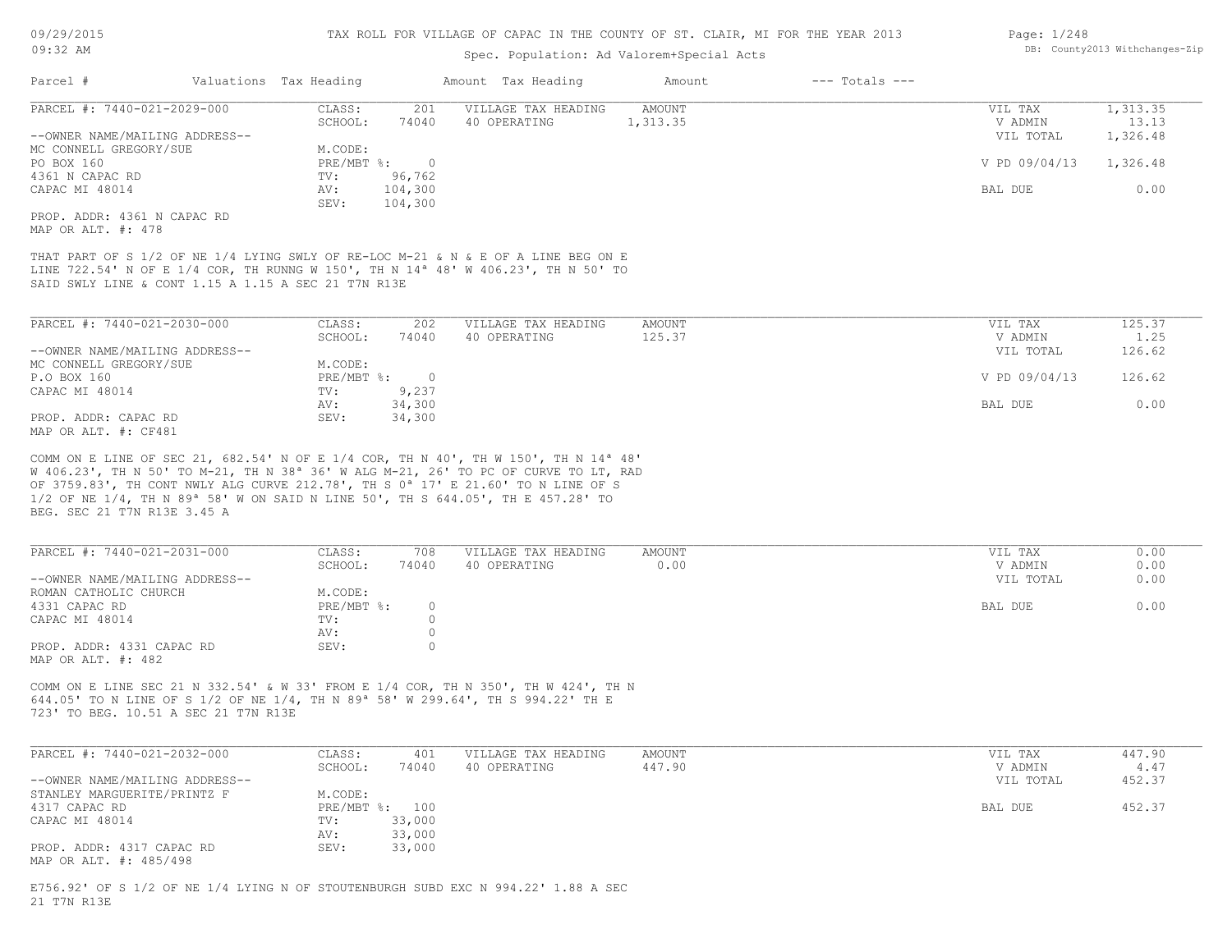### Spec. Population: Ad Valorem+Special Acts

| Page: 1/248 |                                |
|-------------|--------------------------------|
|             | DB: County2013 Withchanges-Zip |

| PARCEL #: 7440-021-2029-000                                                                                                                                                                                                                                     | 201<br>CLASS:    | VILLAGE TAX HEADING | AMOUNT        | VIL TAX       | 1,313.35 |
|-----------------------------------------------------------------------------------------------------------------------------------------------------------------------------------------------------------------------------------------------------------------|------------------|---------------------|---------------|---------------|----------|
|                                                                                                                                                                                                                                                                 | 74040<br>SCHOOL: | 40 OPERATING        | 1,313.35      | V ADMIN       | 13.13    |
| --OWNER NAME/MAILING ADDRESS--                                                                                                                                                                                                                                  |                  |                     |               | VIL TOTAL     | 1,326.48 |
| MC CONNELL GREGORY/SUE                                                                                                                                                                                                                                          | M.CODE:          |                     |               |               |          |
| PO BOX 160                                                                                                                                                                                                                                                      | PRE/MBT %:       | $\overline{0}$      |               | V PD 09/04/13 | 1,326.48 |
| 4361 N CAPAC RD                                                                                                                                                                                                                                                 | 96,762<br>TV:    |                     |               |               |          |
| CAPAC MI 48014                                                                                                                                                                                                                                                  | 104,300<br>AV:   |                     |               | BAL DUE       | 0.00     |
|                                                                                                                                                                                                                                                                 | 104,300<br>SEV:  |                     |               |               |          |
| PROP. ADDR: 4361 N CAPAC RD                                                                                                                                                                                                                                     |                  |                     |               |               |          |
|                                                                                                                                                                                                                                                                 |                  |                     |               |               |          |
| MAP OR ALT. #: 478<br>THAT PART OF S 1/2 OF NE 1/4 LYING SWLY OF RE-LOC M-21 & N & E OF A LINE BEG ON E<br>LINE 722.54' N OF E 1/4 COR, TH RUNNG W 150', TH N 14 <sup>a</sup> 48' W 406.23', TH N 50' TO<br>SAID SWLY LINE & CONT 1.15 A 1.15 A SEC 21 T7N R13E |                  |                     |               |               |          |
|                                                                                                                                                                                                                                                                 |                  |                     |               |               |          |
| PARCEL #: 7440-021-2030-000                                                                                                                                                                                                                                     | 202<br>CLASS:    | VILLAGE TAX HEADING | <b>AMOUNT</b> | VIL TAX       | 125.37   |
|                                                                                                                                                                                                                                                                 | 74040<br>SCHOOL: | 40 OPERATING        | 125.37        | V ADMIN       | 1.25     |
| --OWNER NAME/MAILING ADDRESS--                                                                                                                                                                                                                                  |                  |                     |               | VIL TOTAL     | 126.62   |
| MC CONNELL GREGORY/SUE                                                                                                                                                                                                                                          | M.CODE:          |                     |               |               |          |
| P.O BOX 160                                                                                                                                                                                                                                                     | PRE/MBT %:       | $\overline{0}$      |               | V PD 09/04/13 | 126.62   |
| CAPAC MI 48014                                                                                                                                                                                                                                                  | 9,237<br>TV:     |                     |               |               |          |
|                                                                                                                                                                                                                                                                 | 34,300<br>AV:    |                     |               | BAL DUE       | 0.00     |
| PROP. ADDR: CAPAC RD<br>MAP OR ALT. #: CF481                                                                                                                                                                                                                    | 34,300<br>SEV:   |                     |               |               |          |

BEG. SEC 21 T7N R13E 3.45 A 1/2 OF NE 1/4, TH N 89ª 58' W ON SAID N LINE 50', TH S 644.05', TH E 457.28' TO OF 3759.83', TH CONT NWLY ALG CURVE 212.78', TH S 0ª 17' E 21.60' TO N LINE OF S W 406.23', TH N 50' TO M-21, TH N 38ª 36' W ALG M-21, 26' TO PC OF CURVE TO LT, RAD

| PARCEL #: 7440-021-2031-000    | CLASS:     | 708   | VILLAGE TAX HEADING | AMOUNT | VIL TAX   | 0.00 |
|--------------------------------|------------|-------|---------------------|--------|-----------|------|
|                                | SCHOOL:    | 74040 | 40 OPERATING        | 0.00   | V ADMIN   | 0.00 |
| --OWNER NAME/MAILING ADDRESS-- |            |       |                     |        | VIL TOTAL | 0.00 |
| ROMAN CATHOLIC CHURCH          | M.CODE:    |       |                     |        |           |      |
| 4331 CAPAC RD                  | PRE/MBT %: |       |                     |        | BAL DUE   | 0.00 |
| CAPAC MI 48014                 | TV:        |       |                     |        |           |      |
|                                | AV:        |       |                     |        |           |      |
| PROP. ADDR: 4331 CAPAC RD      | SEV:       |       |                     |        |           |      |
| MAP OR ALT. #: 482             |            |       |                     |        |           |      |

723' TO BEG. 10.51 A SEC 21 T7N R13E 644.05' TO N LINE OF S 1/2 OF NE 1/4, TH N 89ª 58' W 299.64', TH S 994.22' TH E COMM ON E LINE SEC 21 N 332.54' & W 33' FROM E 1/4 COR, TH N 350', TH W 424', TH N

| PARCEL #: 7440-021-2032-000    | CLASS:  | 401            | VILLAGE TAX HEADING | AMOUNT | VIL TAX   | 447.90 |
|--------------------------------|---------|----------------|---------------------|--------|-----------|--------|
|                                | SCHOOL: | 74040          | 40 OPERATING        | 447.90 | V ADMIN   | 4.47   |
| --OWNER NAME/MAILING ADDRESS-- |         |                |                     |        | VIL TOTAL | 452.37 |
| STANLEY MARGUERITE/PRINTZ F    | M.CODE: |                |                     |        |           |        |
| 4317 CAPAC RD                  |         | PRE/MBT %: 100 |                     |        | BAL DUE   | 452.37 |
| CAPAC MI 48014                 | TV:     | 33,000         |                     |        |           |        |
|                                | AV:     | 33,000         |                     |        |           |        |
| PROP. ADDR: 4317 CAPAC RD      | SEV:    | 33,000         |                     |        |           |        |
| MAP OR ALT. #: 485/498         |         |                |                     |        |           |        |

21 T7N R13E E756.92' OF S 1/2 OF NE 1/4 LYING N OF STOUTENBURGH SUBD EXC N 994.22' 1.88 A SEC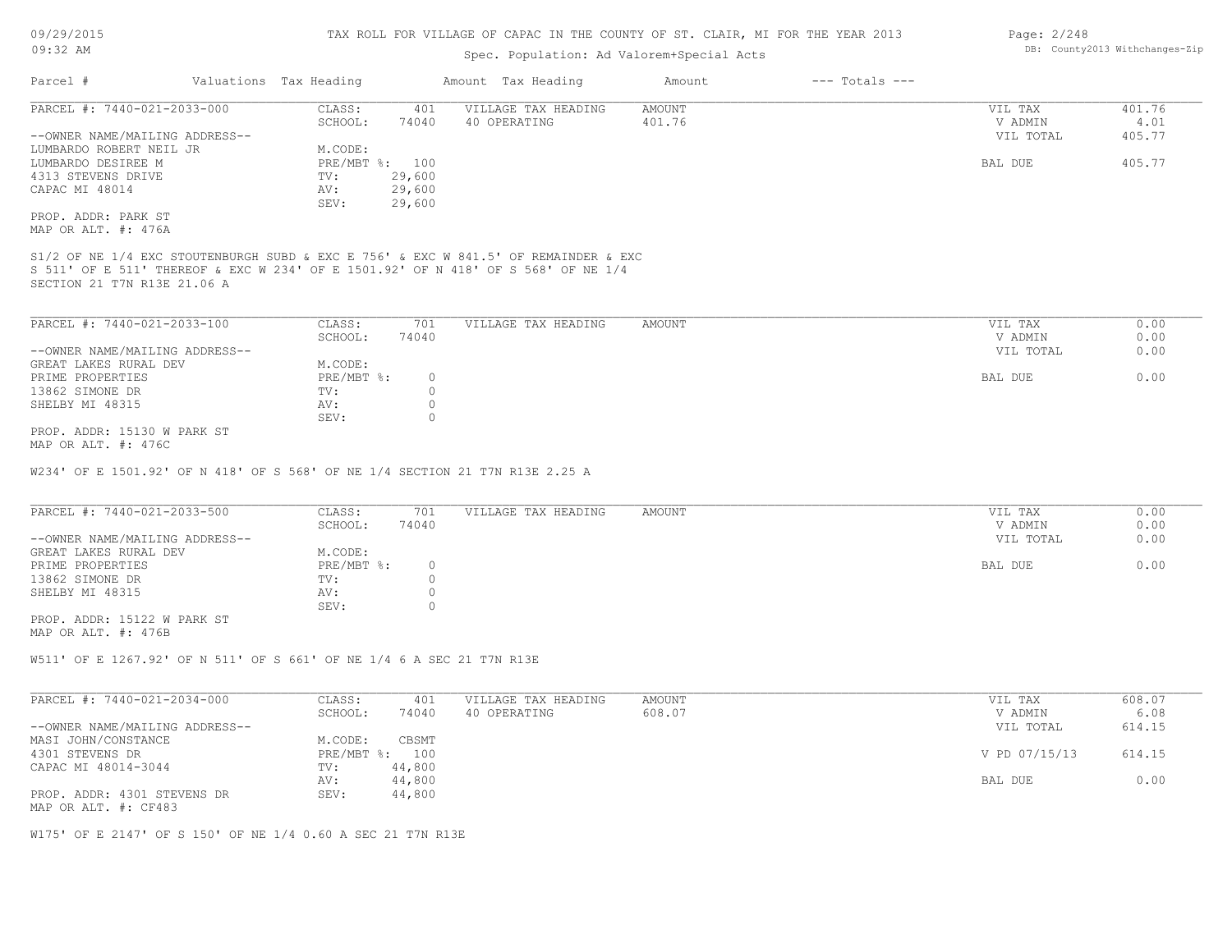# Spec. Population: Ad Valorem+Special Acts

| Parcel #                       | Valuations Tax Heading |                | Amount Tax Heading  | Amount | $---$ Totals $---$ |           |        |
|--------------------------------|------------------------|----------------|---------------------|--------|--------------------|-----------|--------|
| PARCEL #: 7440-021-2033-000    | CLASS:                 | 401            | VILLAGE TAX HEADING | AMOUNT |                    | VIL TAX   | 401.76 |
|                                | SCHOOL:                | 74040          | 40 OPERATING        | 401.76 |                    | V ADMIN   | 4.01   |
| --OWNER NAME/MAILING ADDRESS-- |                        |                |                     |        |                    | VIL TOTAL | 405.77 |
| LUMBARDO ROBERT NEIL JR        | M.CODE:                |                |                     |        |                    |           |        |
| LUMBARDO DESIREE M             |                        | PRE/MBT %: 100 |                     |        |                    | BAL DUE   | 405.77 |
| 4313 STEVENS DRIVE             | TV:                    | 29,600         |                     |        |                    |           |        |
| CAPAC MI 48014                 | AV:                    | 29,600         |                     |        |                    |           |        |
|                                | SEV:                   | 29,600         |                     |        |                    |           |        |
| PROP. ADDR: PARK ST            |                        |                |                     |        |                    |           |        |
| MAP OR ALT. #: 476A            |                        |                |                     |        |                    |           |        |

SECTION 21 T7N R13E 21.06 A S 511' OF E 511' THEREOF & EXC W 234' OF E 1501.92' OF N 418' OF S 568' OF NE 1/4

| PARCEL #: 7440-021-2033-100    | CLASS:     | 701    | VILLAGE TAX HEADING | AMOUNT | VIL TAX   | 0.00 |
|--------------------------------|------------|--------|---------------------|--------|-----------|------|
|                                | SCHOOL:    | 74040  |                     |        | V ADMIN   | 0.00 |
| --OWNER NAME/MAILING ADDRESS-- |            |        |                     |        | VIL TOTAL | 0.00 |
| GREAT LAKES RURAL DEV          | M.CODE:    |        |                     |        |           |      |
| PRIME PROPERTIES               | PRE/MBT %: | $\cap$ |                     |        | BAL DUE   | 0.00 |
| 13862 SIMONE DR                | TV:        |        |                     |        |           |      |
| SHELBY MI 48315                | AV:        |        |                     |        |           |      |
|                                | SEV:       |        |                     |        |           |      |
| PROP. ADDR: 15130 W PARK ST    |            |        |                     |        |           |      |

MAP OR ALT. #: 476C

W234' OF E 1501.92' OF N 418' OF S 568' OF NE 1/4 SECTION 21 T7N R13E 2.25 A

| PARCEL #: 7440-021-2033-500    | CLASS:     | 701   | VILLAGE TAX HEADING | AMOUNT | VIL TAX   | 0.00 |
|--------------------------------|------------|-------|---------------------|--------|-----------|------|
|                                | SCHOOL:    | 74040 |                     |        | V ADMIN   | 0.00 |
| --OWNER NAME/MAILING ADDRESS-- |            |       |                     |        | VIL TOTAL | 0.00 |
| GREAT LAKES RURAL DEV          | M.CODE:    |       |                     |        |           |      |
| PRIME PROPERTIES               | PRE/MBT %: |       |                     |        | BAL DUE   | 0.00 |
| 13862 SIMONE DR                | TV:        |       |                     |        |           |      |
| SHELBY MI 48315                | AV:        |       |                     |        |           |      |
|                                | SEV:       |       |                     |        |           |      |

MAP OR ALT. #: 476B PROP. ADDR: 15122 W PARK ST

W511' OF E 1267.92' OF N 511' OF S 661' OF NE 1/4 6 A SEC 21 T7N R13E

| PARCEL #: 7440-021-2034-000    | CLASS:  | 401            | VILLAGE TAX HEADING | AMOUNT | VIL TAX       | 608.07 |
|--------------------------------|---------|----------------|---------------------|--------|---------------|--------|
|                                | SCHOOL: | 74040          | 40 OPERATING        | 608.07 | V ADMIN       | 6.08   |
| --OWNER NAME/MAILING ADDRESS-- |         |                |                     |        | VIL TOTAL     | 614.15 |
| MASI JOHN/CONSTANCE            | M.CODE: | CBSMT          |                     |        |               |        |
| 4301 STEVENS DR                |         | PRE/MBT %: 100 |                     |        | V PD 07/15/13 | 614.15 |
| CAPAC MI 48014-3044            | TV:     | 44,800         |                     |        |               |        |
|                                | AV:     | 44,800         |                     |        | BAL DUE       | 0.00   |
| PROP. ADDR: 4301 STEVENS DR    | SEV:    | 44,800         |                     |        |               |        |
| MAP OR ALT. #: CF483           |         |                |                     |        |               |        |

W175' OF E 2147' OF S 150' OF NE 1/4 0.60 A SEC 21 T7N R13E

Page: 2/248 DB: County2013 Withchanges-Zip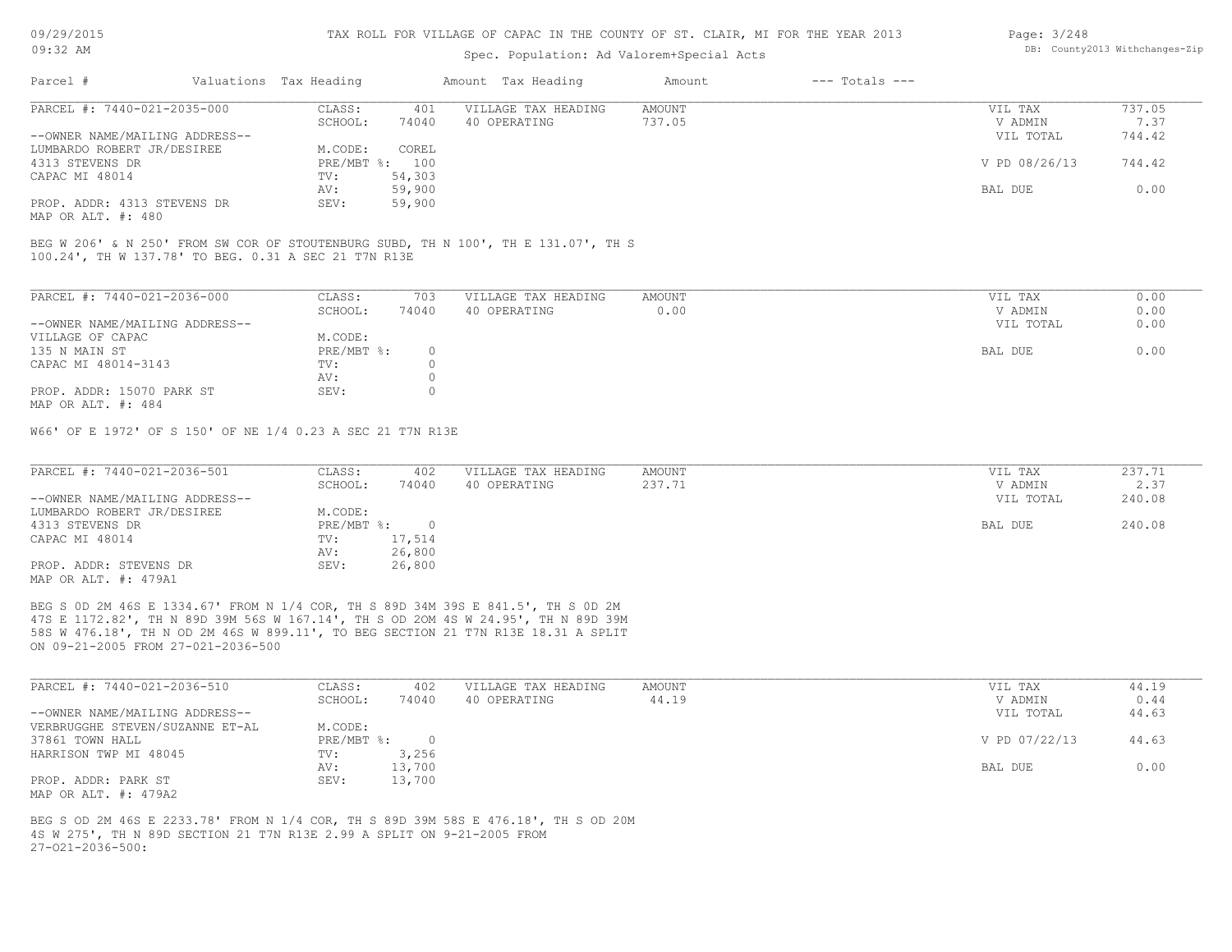### Spec. Population: Ad Valorem+Special Acts

| Page: 3/248 |                                |
|-------------|--------------------------------|
|             | DB: County2013 Withchanges-Zip |

| Parcel #                       | Valuations Tax Heading |        | Amount Tax Heading  | Amount | $---$ Totals $---$ |               |        |
|--------------------------------|------------------------|--------|---------------------|--------|--------------------|---------------|--------|
| PARCEL #: 7440-021-2035-000    | CLASS:                 | 401    | VILLAGE TAX HEADING | AMOUNT |                    | VIL TAX       | 737.05 |
|                                | SCHOOL:                | 74040  | 40 OPERATING        | 737.05 |                    | V ADMIN       | 7.37   |
| --OWNER NAME/MAILING ADDRESS-- |                        |        |                     |        |                    | VIL TOTAL     | 744.42 |
| LUMBARDO ROBERT JR/DESIREE     | M.CODE:                | COREL  |                     |        |                    |               |        |
| 4313 STEVENS DR                | PRE/MBT %: 100         |        |                     |        |                    | V PD 08/26/13 | 744.42 |
| CAPAC MI 48014                 | TV:                    | 54,303 |                     |        |                    |               |        |
|                                | AV:                    | 59,900 |                     |        |                    | BAL DUE       | 0.00   |
| PROP. ADDR: 4313 STEVENS DR    | SEV:                   | 59,900 |                     |        |                    |               |        |
|                                |                        |        |                     |        |                    |               |        |

MAP OR ALT. #: 480

100.24', TH W 137.78' TO BEG. 0.31 A SEC 21 T7N R13E BEG W 206' & N 250' FROM SW COR OF STOUTENBURG SUBD, TH N 100', TH E 131.07', TH S

| PARCEL #: 7440-021-2036-000    | CLASS:     | 703   | VILLAGE TAX HEADING | AMOUNT | VIL TAX   | 0.00 |
|--------------------------------|------------|-------|---------------------|--------|-----------|------|
|                                | SCHOOL:    | 74040 | 40 OPERATING        | 0.00   | V ADMIN   | 0.00 |
| --OWNER NAME/MAILING ADDRESS-- |            |       |                     |        | VIL TOTAL | 0.00 |
| VILLAGE OF CAPAC               | M.CODE:    |       |                     |        |           |      |
| 135 N MAIN ST                  | PRE/MBT %: |       |                     |        | BAL DUE   | 0.00 |
| CAPAC MI 48014-3143            | TV:        |       |                     |        |           |      |
|                                | AV:        |       |                     |        |           |      |
| PROP. ADDR: 15070 PARK ST      | SEV:       |       |                     |        |           |      |
| MAP OR ALT. #: 484             |            |       |                     |        |           |      |

W66' OF E 1972' OF S 150' OF NE 1/4 0.23 A SEC 21 T7N R13E

| PARCEL #: 7440-021-2036-501    | CLASS:     | 402    | VILLAGE TAX HEADING | AMOUNT | VIL TAX   | 237.71 |
|--------------------------------|------------|--------|---------------------|--------|-----------|--------|
|                                | SCHOOL:    | 74040  | 40 OPERATING        | 237.71 | V ADMIN   | 2.37   |
| --OWNER NAME/MAILING ADDRESS-- |            |        |                     |        | VIL TOTAL | 240.08 |
| LUMBARDO ROBERT JR/DESIREE     | M.CODE:    |        |                     |        |           |        |
| 4313 STEVENS DR                | PRE/MBT %: |        |                     |        | BAL DUE   | 240.08 |
| CAPAC MI 48014                 | TV:        | 17,514 |                     |        |           |        |
|                                | AV:        | 26,800 |                     |        |           |        |
| PROP. ADDR: STEVENS DR         | SEV:       | 26,800 |                     |        |           |        |
| MAP OR ALT. #: 479A1           |            |        |                     |        |           |        |

ON 09-21-2005 FROM 27-021-2036-500 58S W 476.18', TH N OD 2M 46S W 899.11', TO BEG SECTION 21 T7N R13E 18.31 A SPLIT 47S E 1172.82', TH N 89D 39M 56S W 167.14', TH S OD 2OM 4S W 24.95', TH N 89D 39M BEG S 0D 2M 46S E 1334.67' FROM N 1/4 COR, TH S 89D 34M 39S E 841.5', TH S 0D 2M

| PARCEL #: 7440-021-2036-510     | CLASS:     | 402    | VILLAGE TAX HEADING | AMOUNT | VIL TAX       | 44.19 |
|---------------------------------|------------|--------|---------------------|--------|---------------|-------|
|                                 | SCHOOL:    | 74040  | 40 OPERATING        | 44.19  | V ADMIN       | 0.44  |
| --OWNER NAME/MAILING ADDRESS--  |            |        |                     |        | VIL TOTAL     | 44.63 |
| VERBRUGGHE STEVEN/SUZANNE ET-AL | M.CODE:    |        |                     |        |               |       |
| 37861 TOWN HALL                 | PRE/MBT %: |        |                     |        | V PD 07/22/13 | 44.63 |
| HARRISON TWP MI 48045           | TV:        | 3,256  |                     |        |               |       |
|                                 | AV:        | 13,700 |                     |        | BAL DUE       | 0.00  |
| PROP. ADDR: PARK ST             | SEV:       | 13,700 |                     |        |               |       |
| MAP OR ALT. #: 479A2            |            |        |                     |        |               |       |

 $27-021-2036-500$ : 4S W 275', TH N 89D SECTION 21 T7N R13E 2.99 A SPLIT ON 9-21-2005 FROM BEG S OD 2M 46S E 2233.78' FROM N 1/4 COR, TH S 89D 39M 58S E 476.18', TH S OD 20M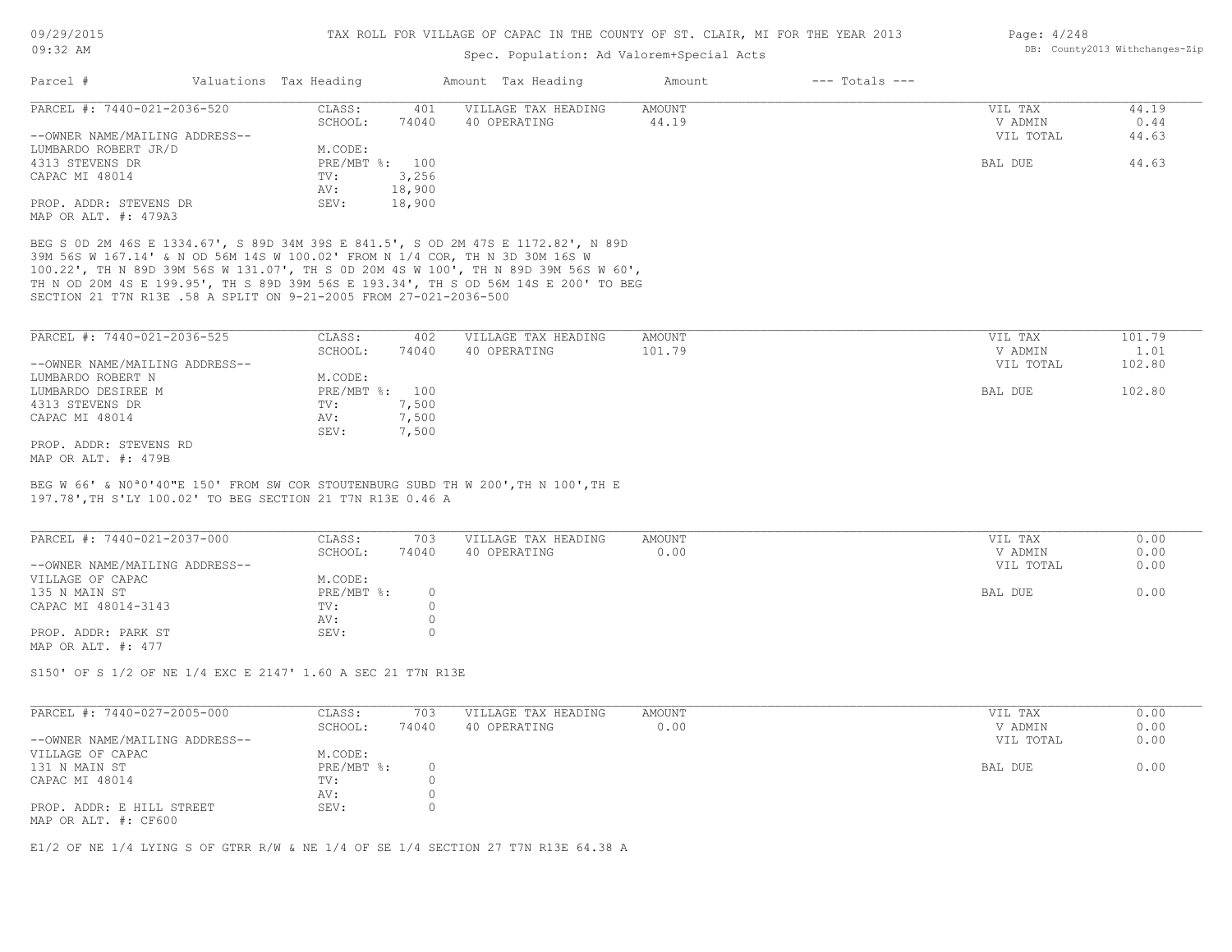### Spec. Population: Ad Valorem+Special Acts

| Page: 4/248 |                                |
|-------------|--------------------------------|
|             | DB: County2013 Withchanges-Zip |

| Parcel #                       | Valuations Tax Heading |        | Amount Tax Heading  | Amount | $---$ Totals $---$ |           |       |
|--------------------------------|------------------------|--------|---------------------|--------|--------------------|-----------|-------|
| PARCEL #: 7440-021-2036-520    | CLASS:                 | 401    | VILLAGE TAX HEADING | AMOUNT |                    | VIL TAX   | 44.19 |
|                                | SCHOOL:                | 74040  | 40 OPERATING        | 44.19  |                    | V ADMIN   | 0.44  |
| --OWNER NAME/MAILING ADDRESS-- |                        |        |                     |        |                    | VIL TOTAL | 44.63 |
| LUMBARDO ROBERT JR/D           | M.CODE:                |        |                     |        |                    |           |       |
| 4313 STEVENS DR                | PRE/MBT %: 100         |        |                     |        |                    | BAL DUE   | 44.63 |
| CAPAC MI 48014                 | TV:                    | 3,256  |                     |        |                    |           |       |
|                                | AV:                    | 18,900 |                     |        |                    |           |       |
| PROP. ADDR: STEVENS DR         | SEV:                   | 18,900 |                     |        |                    |           |       |
| MAP OR ALT. #: 479A3           |                        |        |                     |        |                    |           |       |

SECTION 21 T7N R13E .58 A SPLIT ON 9-21-2005 FROM 27-021-2036-500 TH N OD 20M 4S E 199.95', TH S 89D 39M 56S E 193.34', TH S OD 56M 14S E 200' TO BEG 100.22', TH N 89D 39M 56S W 131.07', TH S 0D 20M 4S W 100', TH N 89D 39M 56S W 60', 39M 56S W 167.14' & N OD 56M 14S W 100.02' FROM N 1/4 COR, TH N 3D 30M 16S W BEG S 0D 2M 46S E 1334.67', S 89D 34M 39S E 841.5', S OD 2M 47S E 1172.82', N 89D

| PARCEL #: 7440-021-2036-525    | CLASS:         | 402   | VILLAGE TAX HEADING | AMOUNT | VIL TAX   | 101.79 |
|--------------------------------|----------------|-------|---------------------|--------|-----------|--------|
|                                | SCHOOL:        | 74040 | 40 OPERATING        | 101.79 | V ADMIN   | 1.01   |
| --OWNER NAME/MAILING ADDRESS-- |                |       |                     |        | VIL TOTAL | 102.80 |
| LUMBARDO ROBERT N              | M.CODE:        |       |                     |        |           |        |
| LUMBARDO DESIREE M             | PRE/MBT %: 100 |       |                     |        | BAL DUE   | 102.80 |
| 4313 STEVENS DR                | TV:            | 7,500 |                     |        |           |        |
| CAPAC MI 48014                 | AV:            | 7,500 |                     |        |           |        |
|                                | SEV:           | 7,500 |                     |        |           |        |
| PROP. ADDR: STEVENS RD         |                |       |                     |        |           |        |
| MAP OR ALT. #: 479B            |                |       |                     |        |           |        |

197.78',TH S'LY 100.02' TO BEG SECTION 21 T7N R13E 0.46 A BEG W 66' & N0ª0'40"E 150' FROM SW COR STOUTENBURG SUBD TH W 200',TH N 100',TH E

| PARCEL #: 7440-021-2037-000    | CLASS:     | 703   | VILLAGE TAX HEADING | AMOUNT | VIL TAX   | 0.00 |
|--------------------------------|------------|-------|---------------------|--------|-----------|------|
|                                | SCHOOL:    | 74040 | 40 OPERATING        | 0.00   | V ADMIN   | 0.00 |
| --OWNER NAME/MAILING ADDRESS-- |            |       |                     |        | VIL TOTAL | 0.00 |
| VILLAGE OF CAPAC               | M.CODE:    |       |                     |        |           |      |
| 135 N MAIN ST                  | PRE/MBT %: |       |                     |        | BAL DUE   | 0.00 |
| CAPAC MI 48014-3143            | TV:        |       |                     |        |           |      |
|                                | AV:        |       |                     |        |           |      |
| PROP. ADDR: PARK ST            | SEV:       |       |                     |        |           |      |
| MAP OR ALT. #: 477             |            |       |                     |        |           |      |

S150' OF S 1/2 OF NE 1/4 EXC E 2147' 1.60 A SEC 21 T7N R13E

| PARCEL #: 7440-027-2005-000    | CLASS:     | 703   | VILLAGE TAX HEADING | AMOUNT | VIL TAX   | 0.00 |
|--------------------------------|------------|-------|---------------------|--------|-----------|------|
|                                | SCHOOL:    | 74040 | 40 OPERATING        | 0.00   | V ADMIN   | 0.00 |
| --OWNER NAME/MAILING ADDRESS-- |            |       |                     |        | VIL TOTAL | 0.00 |
| VILLAGE OF CAPAC               | M.CODE:    |       |                     |        |           |      |
| 131 N MAIN ST                  | PRE/MBT %: |       |                     |        | BAL DUE   | 0.00 |
| CAPAC MI 48014                 | TV:        |       |                     |        |           |      |
|                                | AV:        |       |                     |        |           |      |
| PROP. ADDR: E HILL STREET      | SEV:       |       |                     |        |           |      |
| MAP OR ALT. #: CF600           |            |       |                     |        |           |      |

 $\mathcal{L}_\mathcal{L} = \mathcal{L}_\mathcal{L} = \mathcal{L}_\mathcal{L} = \mathcal{L}_\mathcal{L} = \mathcal{L}_\mathcal{L} = \mathcal{L}_\mathcal{L} = \mathcal{L}_\mathcal{L} = \mathcal{L}_\mathcal{L} = \mathcal{L}_\mathcal{L} = \mathcal{L}_\mathcal{L} = \mathcal{L}_\mathcal{L} = \mathcal{L}_\mathcal{L} = \mathcal{L}_\mathcal{L} = \mathcal{L}_\mathcal{L} = \mathcal{L}_\mathcal{L} = \mathcal{L}_\mathcal{L} = \mathcal{L}_\mathcal{L}$ 

E1/2 OF NE 1/4 LYING S OF GTRR R/W & NE 1/4 OF SE 1/4 SECTION 27 T7N R13E 64.38 A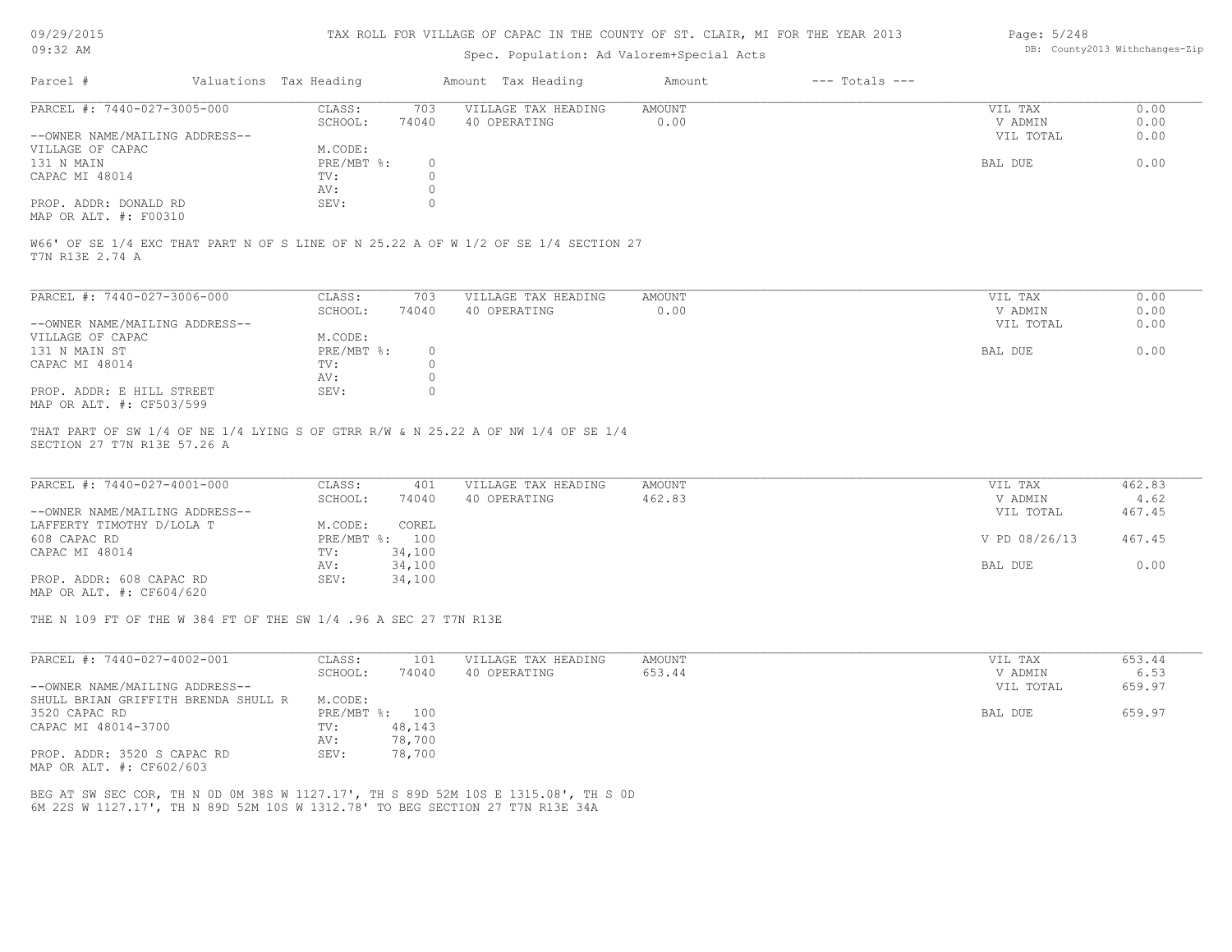### TAX ROLL FOR VILLAGE OF CAPAC IN THE COUNTY OF ST. CLAIR, MI FOR THE YEAR 2013

# Spec. Population: Ad Valorem+Special Acts

| Page: 5/248 |                                |
|-------------|--------------------------------|
|             | DB: County2013 Withchanges-Zip |

| Parcel #                       | Valuations Tax Heading |       | Amount Tax Heading  | Amount | $---$ Totals $---$ |           |      |
|--------------------------------|------------------------|-------|---------------------|--------|--------------------|-----------|------|
| PARCEL #: 7440-027-3005-000    | CLASS:                 | 703   | VILLAGE TAX HEADING | AMOUNT |                    | VIL TAX   | 0.00 |
|                                | SCHOOL:                | 74040 | 40 OPERATING        | 0.00   |                    | V ADMIN   | 0.00 |
| --OWNER NAME/MAILING ADDRESS-- |                        |       |                     |        |                    | VIL TOTAL | 0.00 |
| VILLAGE OF CAPAC               | M.CODE:                |       |                     |        |                    |           |      |
| 131 N MAIN                     | PRE/MBT %:             |       |                     |        |                    | BAL DUE   | 0.00 |
| CAPAC MI 48014                 | TV:                    |       |                     |        |                    |           |      |
|                                | AV:                    |       |                     |        |                    |           |      |
| PROP. ADDR: DONALD RD          | SEV:                   |       |                     |        |                    |           |      |
|                                |                        |       |                     |        |                    |           |      |

MAP OR ALT. #: F00310

T7N R13E 2.74 A W66' OF SE 1/4 EXC THAT PART N OF S LINE OF N 25.22 A OF W 1/2 OF SE 1/4 SECTION 27

| PARCEL #: 7440-027-3006-000    | CLASS:       | 703      | VILLAGE TAX HEADING | AMOUNT | VIL TAX   | 0.00 |
|--------------------------------|--------------|----------|---------------------|--------|-----------|------|
|                                | SCHOOL:      | 74040    | 40 OPERATING        | 0.00   | V ADMIN   | 0.00 |
| --OWNER NAME/MAILING ADDRESS-- |              |          |                     |        | VIL TOTAL | 0.00 |
| VILLAGE OF CAPAC               | M.CODE:      |          |                     |        |           |      |
| 131 N MAIN ST                  | $PRE/MBT$ %: | $\Omega$ |                     |        | BAL DUE   | 0.00 |
| CAPAC MI 48014                 | TV:          |          |                     |        |           |      |
|                                | AV:          |          |                     |        |           |      |
| PROP. ADDR: E HILL STREET      | SEV:         |          |                     |        |           |      |
| MAP OR ALT. #: CF503/599       |              |          |                     |        |           |      |

SECTION 27 T7N R13E 57.26 A THAT PART OF SW 1/4 OF NE 1/4 LYING S OF GTRR R/W & N 25.22 A OF NW 1/4 OF SE 1/4

| PARCEL #: 7440-027-4001-000    | CLASS:  | 401            | VILLAGE TAX HEADING | AMOUNT | VIL TAX       | 462.83 |
|--------------------------------|---------|----------------|---------------------|--------|---------------|--------|
|                                | SCHOOL: | 74040          | 40 OPERATING        | 462.83 | V ADMIN       | 4.62   |
| --OWNER NAME/MAILING ADDRESS-- |         |                |                     |        | VIL TOTAL     | 467.45 |
| LAFFERTY TIMOTHY D/LOLA T      | M.CODE: | COREL          |                     |        |               |        |
| 608 CAPAC RD                   |         | PRE/MBT %: 100 |                     |        | V PD 08/26/13 | 467.45 |
| CAPAC MI 48014                 | TV:     | 34,100         |                     |        |               |        |
|                                | AV:     | 34,100         |                     |        | BAL DUE       | 0.00   |
| PROP. ADDR: 608 CAPAC RD       | SEV:    | 34,100         |                     |        |               |        |
| MAP OR ALT. #: CF604/620       |         |                |                     |        |               |        |

THE N 109 FT OF THE W 384 FT OF THE SW 1/4 .96 A SEC 27 T7N R13E

| PARCEL #: 7440-027-4002-001                             | CLASS:     | 101    | VILLAGE TAX HEADING | AMOUNT | 653.44<br>VIL TAX   |
|---------------------------------------------------------|------------|--------|---------------------|--------|---------------------|
|                                                         | SCHOOL:    | 74040  | 40 OPERATING        | 653.44 | 6.53<br>V ADMIN     |
| --OWNER NAME/MAILING ADDRESS--                          |            |        |                     |        | 659.97<br>VIL TOTAL |
| SHULL BRIAN GRIFFITH BRENDA SHULL R                     | M.CODE:    |        |                     |        |                     |
| 3520 CAPAC RD                                           | PRE/MBT %: | 100    |                     |        | 659.97<br>BAL DUE   |
| CAPAC MI 48014-3700                                     | TV:        | 48,143 |                     |        |                     |
|                                                         | AV:        | 78,700 |                     |        |                     |
| PROP. ADDR: 3520 S CAPAC RD<br>MAP OR ALT. #: CF602/603 | SEV:       | 78,700 |                     |        |                     |

6M 22S W 1127.17', TH N 89D 52M 10S W 1312.78' TO BEG SECTION 27 T7N R13E 34A BEG AT SW SEC COR, TH N 0D 0M 38S W 1127.17', TH S 89D 52M 10S E 1315.08', TH S 0D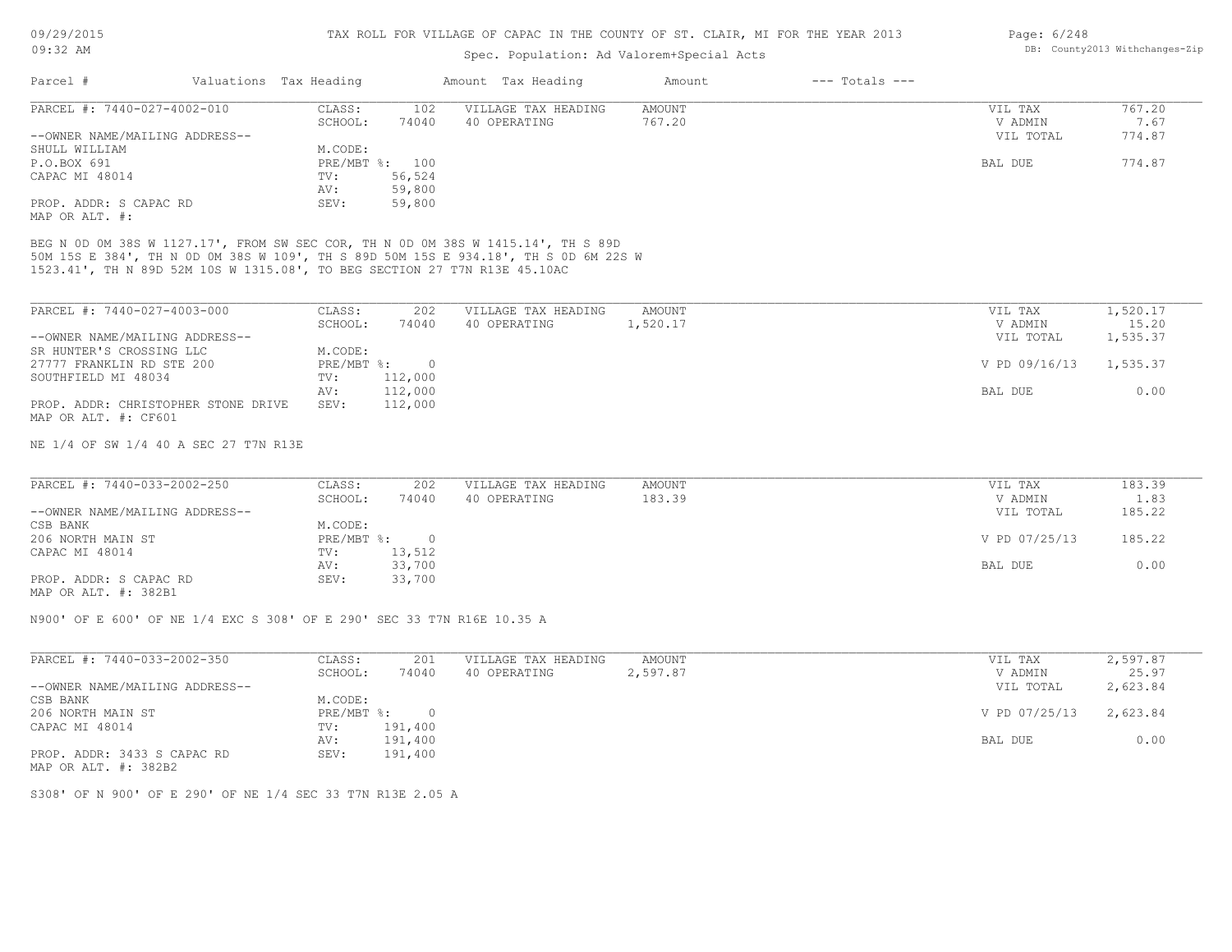# Spec. Population: Ad Valorem+Special Acts

| Page: 6/248 |                                |
|-------------|--------------------------------|
|             | DB: County2013 Withchanges-Zip |

| Parcel #                                                                                                                                                                                                                                             | Valuations Tax Heading         | Amount Tax Heading         | Amount        | $---$ Totals $---$ |               |                |
|------------------------------------------------------------------------------------------------------------------------------------------------------------------------------------------------------------------------------------------------------|--------------------------------|----------------------------|---------------|--------------------|---------------|----------------|
| PARCEL #: 7440-027-4002-010                                                                                                                                                                                                                          | CLASS:                         | VILLAGE TAX HEADING<br>102 | <b>AMOUNT</b> |                    | VIL TAX       | 767.20         |
|                                                                                                                                                                                                                                                      | 74040<br>SCHOOL:               | 40 OPERATING               | 767.20        |                    | V ADMIN       | 7.67<br>774.87 |
| --OWNER NAME/MAILING ADDRESS--<br>SHULL WILLIAM                                                                                                                                                                                                      | M.CODE:                        |                            |               |                    | VIL TOTAL     |                |
| P.O.BOX 691                                                                                                                                                                                                                                          | PRE/MBT %: 100                 |                            |               |                    | BAL DUE       | 774.87         |
| CAPAC MI 48014                                                                                                                                                                                                                                       | 56,524<br>TV:                  |                            |               |                    |               |                |
|                                                                                                                                                                                                                                                      | 59,800<br>AV:                  |                            |               |                    |               |                |
| PROP. ADDR: S CAPAC RD                                                                                                                                                                                                                               | SEV:<br>59,800                 |                            |               |                    |               |                |
| MAP OR ALT. #:                                                                                                                                                                                                                                       |                                |                            |               |                    |               |                |
| BEG N OD OM 38S W 1127.17', FROM SW SEC COR, TH N OD OM 38S W 1415.14', TH S 89D<br>50M 15S E 384', TH N OD OM 38S W 109', TH S 89D 50M 15S E 934.18', TH S OD 6M 22S W<br>1523.41', TH N 89D 52M 10S W 1315.08', TO BEG SECTION 27 T7N R13E 45.10AC |                                |                            |               |                    |               |                |
| PARCEL #: 7440-027-4003-000                                                                                                                                                                                                                          | CLASS:                         | 202<br>VILLAGE TAX HEADING | AMOUNT        |                    | VIL TAX       | 1,520.17       |
|                                                                                                                                                                                                                                                      | SCHOOL:<br>74040               | 40 OPERATING               | 1,520.17      |                    | V ADMIN       | 15.20          |
| --OWNER NAME/MAILING ADDRESS--                                                                                                                                                                                                                       |                                |                            |               |                    | VIL TOTAL     | 1,535.37       |
| SR HUNTER'S CROSSING LLC                                                                                                                                                                                                                             | M.CODE:                        |                            |               |                    |               |                |
| 27777 FRANKLIN RD STE 200                                                                                                                                                                                                                            | $PRE/MBT$ %:<br>$\overline{0}$ |                            |               |                    | V PD 09/16/13 | 1,535.37       |
| SOUTHFIELD MI 48034                                                                                                                                                                                                                                  | 112,000<br>TV:                 |                            |               |                    |               |                |
|                                                                                                                                                                                                                                                      | 112,000<br>AV:                 |                            |               |                    | BAL DUE       | 0.00           |
| PROP. ADDR: CHRISTOPHER STONE DRIVE                                                                                                                                                                                                                  | 112,000<br>SEV:                |                            |               |                    |               |                |
| MAP OR ALT. #: CF601                                                                                                                                                                                                                                 |                                |                            |               |                    |               |                |
|                                                                                                                                                                                                                                                      |                                |                            |               |                    |               |                |
| NE 1/4 OF SW 1/4 40 A SEC 27 T7N R13E                                                                                                                                                                                                                |                                |                            |               |                    |               |                |

| PARCEL #: 7440-033-2002-250    | CLASS:       | 202      | VILLAGE TAX HEADING | AMOUNT | VIL TAX       | 183.39 |
|--------------------------------|--------------|----------|---------------------|--------|---------------|--------|
|                                | SCHOOL:      | 74040    | 40 OPERATING        | 183.39 | V ADMIN       | 1.83   |
| --OWNER NAME/MAILING ADDRESS-- |              |          |                     |        | VIL TOTAL     | 185.22 |
| CSB BANK                       | M.CODE:      |          |                     |        |               |        |
| 206 NORTH MAIN ST              | $PRE/MBT$ %: | $\Omega$ |                     |        | V PD 07/25/13 | 185.22 |
| CAPAC MI 48014                 | TV:          | 13,512   |                     |        |               |        |
|                                | AV:          | 33,700   |                     |        | BAL DUE       | 0.00   |
| PROP. ADDR: S CAPAC RD         | SEV:         | 33,700   |                     |        |               |        |
| $\frac{1}{2}$                  |              |          |                     |        |               |        |

MAP OR ALT. #: 382B1

N900' OF E 600' OF NE 1/4 EXC S 308' OF E 290' SEC 33 T7N R16E 10.35 A

| PARCEL #: 7440-033-2002-350    | CLASS:     | 201     | VILLAGE TAX HEADING | AMOUNT   | VIL TAX       | 2,597.87 |
|--------------------------------|------------|---------|---------------------|----------|---------------|----------|
|                                | SCHOOL:    | 74040   | 40 OPERATING        | 2,597.87 | V ADMIN       | 25.97    |
| --OWNER NAME/MAILING ADDRESS-- |            |         |                     |          | VIL TOTAL     | 2,623.84 |
| CSB BANK                       | M.CODE:    |         |                     |          |               |          |
| 206 NORTH MAIN ST              | PRE/MBT %: | $\Box$  |                     |          | V PD 07/25/13 | 2,623.84 |
| CAPAC MI 48014                 | TV:        | 191,400 |                     |          |               |          |
|                                | AV:        | 191,400 |                     |          | BAL DUE       | 0.00     |
| PROP. ADDR: 3433 S CAPAC RD    | SEV:       | 191,400 |                     |          |               |          |
| MAP OR ALT. #: 382B2           |            |         |                     |          |               |          |

S308' OF N 900' OF E 290' OF NE 1/4 SEC 33 T7N R13E 2.05 A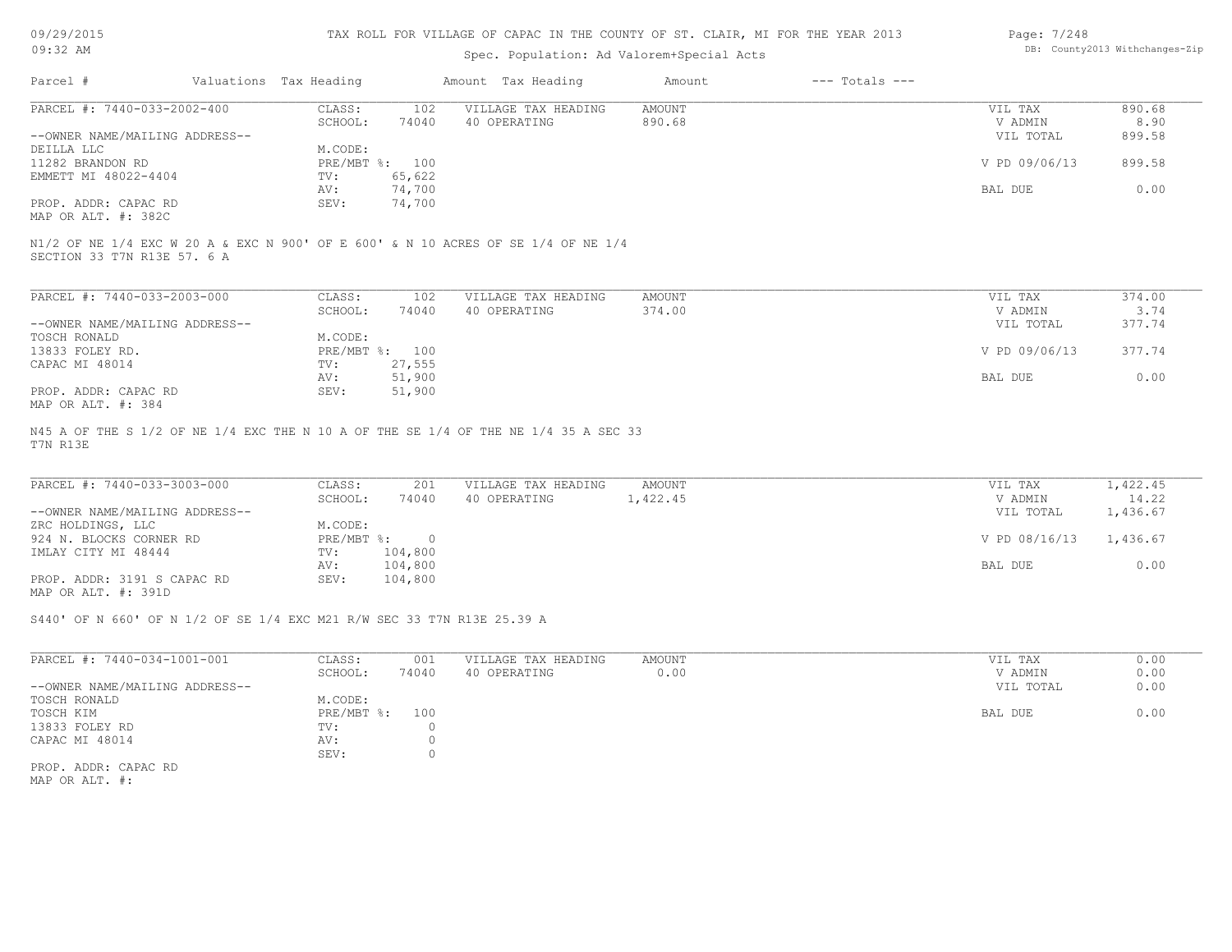### TAX ROLL FOR VILLAGE OF CAPAC IN THE COUNTY OF ST. CLAIR, MI FOR THE YEAR 2013

# Spec. Population: Ad Valorem+Special Acts

| Page: 7/248 |                                |
|-------------|--------------------------------|
|             | DB: County2013 Withchanges-Zip |

| Parcel #                       | Valuations Tax Heading |                | Amount Tax Heading  | Amount | $---$ Totals $---$ |               |        |
|--------------------------------|------------------------|----------------|---------------------|--------|--------------------|---------------|--------|
| PARCEL #: 7440-033-2002-400    | CLASS:                 | 102            | VILLAGE TAX HEADING | AMOUNT |                    | VIL TAX       | 890.68 |
|                                | SCHOOL:                | 74040          | 40 OPERATING        | 890.68 |                    | V ADMIN       | 8.90   |
| --OWNER NAME/MAILING ADDRESS-- |                        |                |                     |        |                    | VIL TOTAL     | 899.58 |
| DEILLA LLC                     | M.CODE:                |                |                     |        |                    |               |        |
| 11282 BRANDON RD               |                        | PRE/MBT %: 100 |                     |        |                    | V PD 09/06/13 | 899.58 |
| EMMETT MI 48022-4404           | TV:                    | 65,622         |                     |        |                    |               |        |
|                                | AV:                    | 74,700         |                     |        |                    | BAL DUE       | 0.00   |
| PROP. ADDR: CAPAC RD           | SEV:                   | 74,700         |                     |        |                    |               |        |
| MAP OR ALT. #: 382C            |                        |                |                     |        |                    |               |        |

SECTION 33 T7N R13E 57. 6 A

| PARCEL #: 7440-033-2003-000    | CLASS:       | 102    | VILLAGE TAX HEADING | AMOUNT | VIL TAX       | 374.00 |
|--------------------------------|--------------|--------|---------------------|--------|---------------|--------|
|                                | SCHOOL:      | 74040  | 40 OPERATING        | 374.00 | V ADMIN       | 3.74   |
| --OWNER NAME/MAILING ADDRESS-- |              |        |                     |        | VIL TOTAL     | 377.74 |
| TOSCH RONALD                   | M.CODE:      |        |                     |        |               |        |
| 13833 FOLEY RD.                | $PRE/MBT$ %: | 100    |                     |        | V PD 09/06/13 | 377.74 |
| CAPAC MI 48014                 | TV:          | 27,555 |                     |        |               |        |
|                                | AV:          | 51,900 |                     |        | BAL DUE       | 0.00   |
| PROP. ADDR: CAPAC RD           | SEV:         | 51,900 |                     |        |               |        |
| MAP OR ALT. #: 384             |              |        |                     |        |               |        |

T7N R13E N45 A OF THE S 1/2 OF NE 1/4 EXC THE N 10 A OF THE SE 1/4 OF THE NE 1/4 35 A SEC 33

| PARCEL #: 7440-033-3003-000    | CLASS:     | 201     | VILLAGE TAX HEADING | AMOUNT   | VIL TAX       | 1,422.45 |
|--------------------------------|------------|---------|---------------------|----------|---------------|----------|
|                                | SCHOOL:    | 74040   | 40 OPERATING        | 1,422.45 | V ADMIN       | 14.22    |
| --OWNER NAME/MAILING ADDRESS-- |            |         |                     |          | VIL TOTAL     | 1,436.67 |
| ZRC HOLDINGS, LLC              | M.CODE:    |         |                     |          |               |          |
| 924 N. BLOCKS CORNER RD        | PRE/MBT %: |         |                     |          | V PD 08/16/13 | 1,436.67 |
| IMLAY CITY MI 48444            | TV:        | 104,800 |                     |          |               |          |
|                                | AV:        | 104,800 |                     |          | BAL DUE       | 0.00     |
| PROP. ADDR: 3191 S CAPAC RD    | SEV:       | 104,800 |                     |          |               |          |
| MAP OR ALT. #: 391D            |            |         |                     |          |               |          |

S440' OF N 660' OF N 1/2 OF SE 1/4 EXC M21 R/W SEC 33 T7N R13E 25.39 A

| PARCEL #: 7440-034-1001-001    | CLASS:     | 001   | VILLAGE TAX HEADING | AMOUNT | 0.00<br>VIL TAX   |
|--------------------------------|------------|-------|---------------------|--------|-------------------|
|                                | SCHOOL:    | 74040 | 40 OPERATING        | 0.00   | 0.00<br>V ADMIN   |
| --OWNER NAME/MAILING ADDRESS-- |            |       |                     |        | 0.00<br>VIL TOTAL |
| TOSCH RONALD                   | M.CODE:    |       |                     |        |                   |
| TOSCH KIM                      | PRE/MBT %: | 100   |                     |        | 0.00<br>BAL DUE   |
| 13833 FOLEY RD                 | TV:        |       |                     |        |                   |
| CAPAC MI 48014                 | AV:        |       |                     |        |                   |
|                                | SEV:       |       |                     |        |                   |
| PROP. ADDR: CAPAC RD           |            |       |                     |        |                   |

MAP OR ALT. #: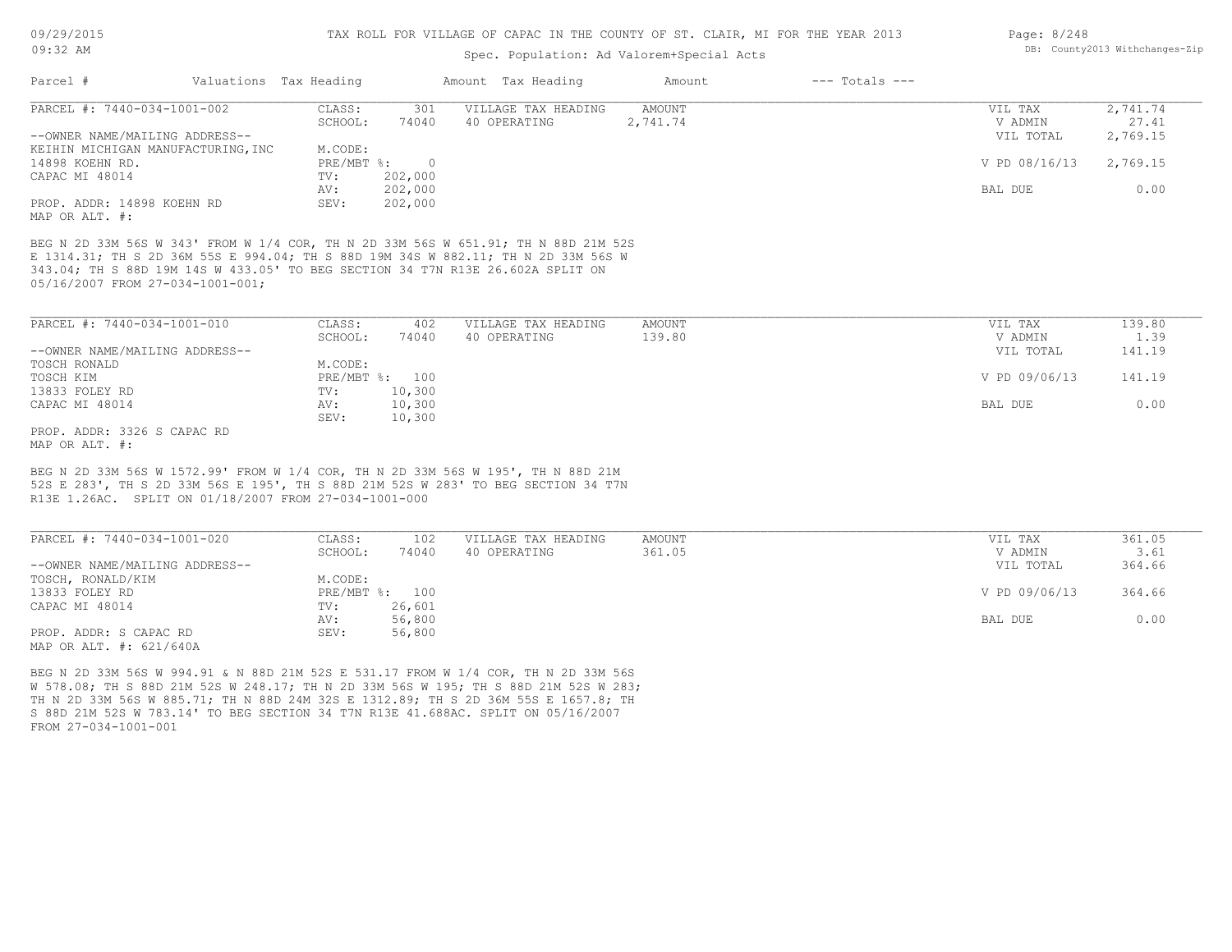### Spec. Population: Ad Valorem+Special Acts

| PARCEL #: 7440-034-1001-002                                                                                                                                                                                            | 301<br>CLASS:           | VILLAGE TAX HEADING | AMOUNT   | VIL TAX        | 2,741.74 |
|------------------------------------------------------------------------------------------------------------------------------------------------------------------------------------------------------------------------|-------------------------|---------------------|----------|----------------|----------|
|                                                                                                                                                                                                                        | 74040<br>SCHOOL:        | 40 OPERATING        | 2,741.74 | V ADMIN        | 27.41    |
| --OWNER NAME/MAILING ADDRESS--                                                                                                                                                                                         |                         |                     |          | VIL TOTAL      | 2,769.15 |
| KEIHIN MICHIGAN MANUFACTURING, INC                                                                                                                                                                                     | M.CODE:                 |                     |          |                |          |
| 14898 KOEHN RD.                                                                                                                                                                                                        | $PRE/MBT$ %:<br>$\circ$ |                     |          | V PD 08/16/13  | 2,769.15 |
| CAPAC MI 48014                                                                                                                                                                                                         | 202,000<br>TV:          |                     |          |                |          |
|                                                                                                                                                                                                                        | 202,000<br>AV:          |                     |          | <b>BAL DUE</b> | 0.00     |
| PROP. ADDR: 14898 KOEHN RD<br>MAP OR ALT. #:                                                                                                                                                                           | 202,000<br>SEV:         |                     |          |                |          |
| BEG N 2D 33M 56S W 343' FROM W 1/4 COR, TH N 2D 33M 56S W 651.91; TH N 88D 21M 52S                                                                                                                                     |                         |                     |          |                |          |
| E 1314.31; TH S 2D 36M 55S E 994.04; TH S 88D 19M 34S W 882.11; TH N 2D 33M 56S W                                                                                                                                      |                         |                     |          |                |          |
| 343.04; TH S 88D 19M 14S W 433.05' TO BEG SECTION 34 T7N R13E 26.602A SPLIT ON                                                                                                                                         |                         |                     |          |                |          |
| 05/16/2007 FROM 27-034-1001-001;                                                                                                                                                                                       |                         |                     |          |                |          |
|                                                                                                                                                                                                                        |                         |                     |          |                |          |
| PARCEL #: 7440-034-1001-010                                                                                                                                                                                            | CLASS:<br>402           | VILLAGE TAX HEADING | AMOUNT   | VIL TAX        | 139.80   |
|                                                                                                                                                                                                                        | SCHOOL:<br>74040        | 40 OPERATING        | 139.80   | V ADMIN        | 1.39     |
| --OWNER NAME/MAILING ADDRESS--                                                                                                                                                                                         |                         |                     |          | VIL TOTAL      | 141.19   |
| TOSCH RONALD                                                                                                                                                                                                           | M.CODE:                 |                     |          |                |          |
| TOSCH KIM                                                                                                                                                                                                              | PRE/MBT %: 100          |                     |          | V PD 09/06/13  | 141.19   |
| 13833 FOLEY RD                                                                                                                                                                                                         | 10,300<br>$\text{TV}$ : |                     |          |                |          |
| CAPAC MI 48014                                                                                                                                                                                                         | 10,300<br>AV:           |                     |          | <b>BAL DUE</b> | 0.00     |
|                                                                                                                                                                                                                        | 10,300<br>SEV:          |                     |          |                |          |
|                                                                                                                                                                                                                        |                         |                     |          |                |          |
|                                                                                                                                                                                                                        |                         |                     |          |                |          |
|                                                                                                                                                                                                                        |                         |                     |          |                |          |
|                                                                                                                                                                                                                        |                         |                     |          |                |          |
| PROP. ADDR: 3326 S CAPAC RD<br>MAP OR ALT. #:<br>BEG N 2D 33M 56S W 1572.99' FROM W 1/4 COR, TH N 2D 33M 56S W 195', TH N 88D 21M<br>52S E 283', TH S 2D 33M 56S E 195', TH S 88D 21M 52S W 283' TO BEG SECTION 34 T7N |                         |                     |          |                |          |
| R13E 1.26AC. SPLIT ON 01/18/2007 FROM 27-034-1001-000                                                                                                                                                                  |                         |                     |          |                |          |
|                                                                                                                                                                                                                        |                         |                     |          |                |          |
|                                                                                                                                                                                                                        | $\overline{100}$        |                     |          |                |          |

| PARCEL #: 7440-034-1001-020    | CLASS:       | 102    | VILLAGE TAX HEADING | AMOUNT | VIL TAX       | 361.05 |
|--------------------------------|--------------|--------|---------------------|--------|---------------|--------|
|                                | SCHOOL:      | 74040  | 40 OPERATING        | 361.05 | V ADMIN       | 3.61   |
| --OWNER NAME/MAILING ADDRESS-- |              |        |                     |        | VIL TOTAL     | 364.66 |
| TOSCH, RONALD/KIM              | M.CODE:      |        |                     |        |               |        |
| 13833 FOLEY RD                 | $PRE/MBT$ %: | 100    |                     |        | V PD 09/06/13 | 364.66 |
| CAPAC MI 48014                 | TV:          | 26,601 |                     |        |               |        |
|                                | AV:          | 56,800 |                     |        | BAL DUE       | 0.00   |
| PROP. ADDR: S CAPAC RD         | SEV:         | 56,800 |                     |        |               |        |
| MAP OR ALT. #: 621/640A        |              |        |                     |        |               |        |

BEG N 2D 33M 56S W 994.91 & N 88D 21M 52S E 531.17 FROM W 1/4 COR, TH N 2D 33M 56S

FROM 27-034-1001-001 S 88D 21M 52S W 783.14' TO BEG SECTION 34 T7N R13E 41.688AC. SPLIT ON 05/16/2007 TH N 2D 33M 56S W 885.71; TH N 88D 24M 32S E 1312.89; TH S 2D 36M 55S E 1657.8; TH W 578.08; TH S 88D 21M 52S W 248.17; TH N 2D 33M 56S W 195; TH S 88D 21M 52S W 283; Page: 8/248 DB: County2013 Withchanges-Zip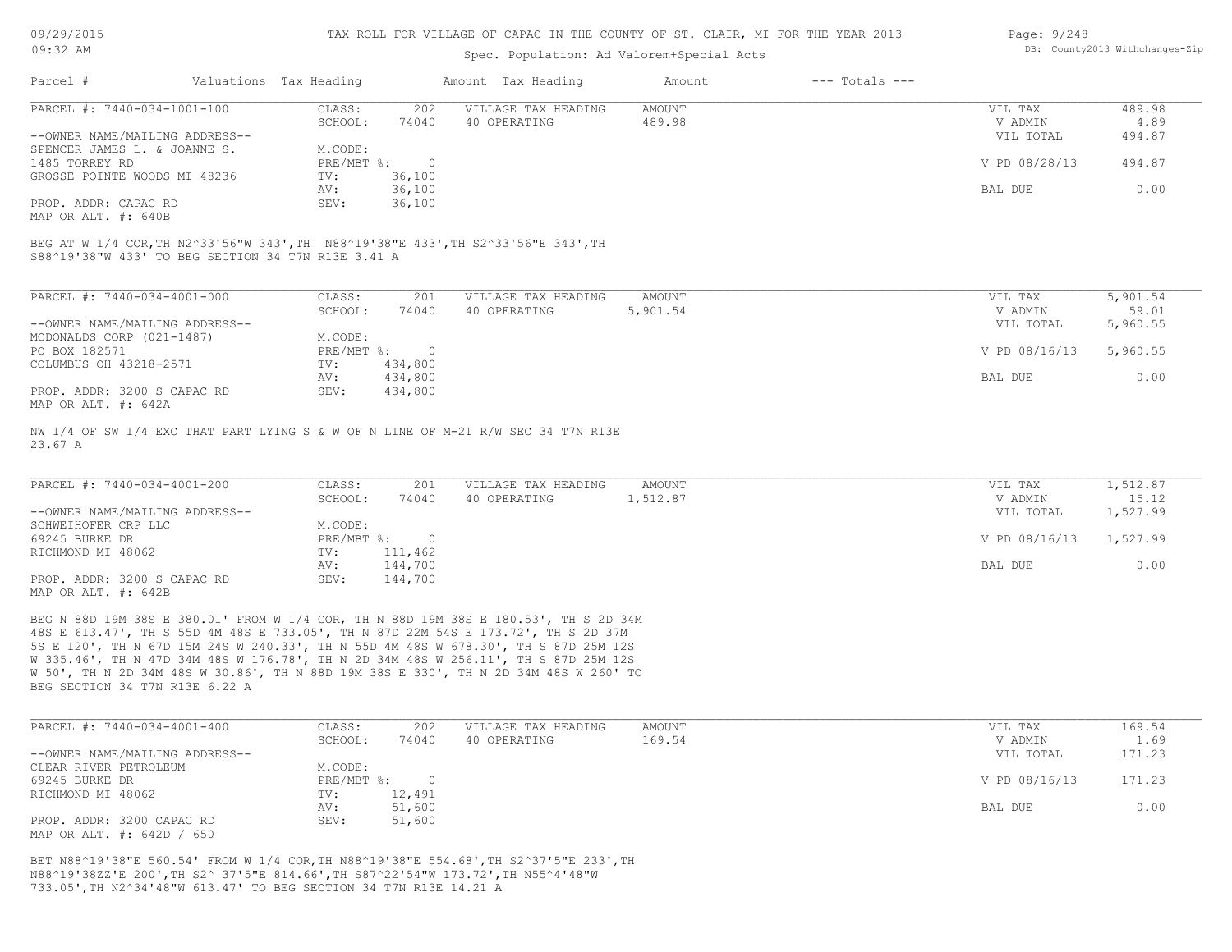### TAX ROLL FOR VILLAGE OF CAPAC IN THE COUNTY OF ST. CLAIR, MI FOR THE YEAR 2013

### Spec. Population: Ad Valorem+Special Acts

| Page: 9/248 |                                |
|-------------|--------------------------------|
|             | DB: County2013 Withchanges-Zip |

| Parcel #                       | Valuations Tax Heading |        | Amount Tax Heading  | Amount | $---$ Totals $---$ |               |        |
|--------------------------------|------------------------|--------|---------------------|--------|--------------------|---------------|--------|
| PARCEL #: 7440-034-1001-100    | CLASS:                 | 202    | VILLAGE TAX HEADING | AMOUNT |                    | VIL TAX       | 489.98 |
|                                | SCHOOL:                | 74040  | 40 OPERATING        | 489.98 |                    | V ADMIN       | 4.89   |
| --OWNER NAME/MAILING ADDRESS-- |                        |        |                     |        |                    | VIL TOTAL     | 494.87 |
| SPENCER JAMES L. & JOANNE S.   | M.CODE:                |        |                     |        |                    |               |        |
| 1485 TORREY RD                 | PRE/MBT %:             |        |                     |        |                    | V PD 08/28/13 | 494.87 |
| GROSSE POINTE WOODS MI 48236   | TV:                    | 36,100 |                     |        |                    |               |        |
|                                | AV:                    | 36,100 |                     |        |                    | BAL DUE       | 0.00   |
| PROP. ADDR: CAPAC RD           | SEV:                   | 36,100 |                     |        |                    |               |        |
|                                |                        |        |                     |        |                    |               |        |

MAP OR ALT. #: 640B

S88^19'38"W 433' TO BEG SECTION 34 T7N R13E 3.41 A BEG AT W 1/4 COR,TH N2^33'56"W 343',TH N88^19'38"E 433',TH S2^33'56"E 343',TH

| PARCEL #: 7440-034-4001-000    | CLASS:       | 201     | VILLAGE TAX HEADING | AMOUNT   | VIL TAX       | 5,901.54 |
|--------------------------------|--------------|---------|---------------------|----------|---------------|----------|
|                                | SCHOOL:      | 74040   | 40 OPERATING        | 5,901.54 | V ADMIN       | 59.01    |
| --OWNER NAME/MAILING ADDRESS-- |              |         |                     |          | VIL TOTAL     | 5,960.55 |
| MCDONALDS CORP (021-1487)      | M.CODE:      |         |                     |          |               |          |
| PO BOX 182571                  | $PRE/MBT$ %: | $\cap$  |                     |          | V PD 08/16/13 | 5,960.55 |
| COLUMBUS OH 43218-2571         | TV:          | 434,800 |                     |          |               |          |
|                                | AV:          | 434,800 |                     |          | BAL DUE       | 0.00     |
| PROP. ADDR: 3200 S CAPAC RD    | SEV:         | 434,800 |                     |          |               |          |
| MAP OR ALT. #: 642A            |              |         |                     |          |               |          |

23.67 A NW 1/4 OF SW 1/4 EXC THAT PART LYING S & W OF N LINE OF M-21 R/W SEC 34 T7N R13E

| PARCEL #: 7440-034-4001-200    | CLASS:       | 201     | VILLAGE TAX HEADING | AMOUNT   | VIL TAX       | 1,512.87 |
|--------------------------------|--------------|---------|---------------------|----------|---------------|----------|
|                                | SCHOOL:      | 74040   | 40 OPERATING        | 1,512.87 | V ADMIN       | 15.12    |
| --OWNER NAME/MAILING ADDRESS-- |              |         |                     |          | VIL TOTAL     | 1,527.99 |
| SCHWEIHOFER CRP LLC            | M.CODE:      |         |                     |          |               |          |
| 69245 BURKE DR                 | $PRE/MBT$ %: |         |                     |          | V PD 08/16/13 | 1,527.99 |
| RICHMOND MI 48062              | TV:          | 111,462 |                     |          |               |          |
|                                | AV:          | 144,700 |                     |          | BAL DUE       | 0.00     |
| PROP. ADDR: 3200 S CAPAC RD    | SEV:         | 144,700 |                     |          |               |          |
| MAP OR ALT. #: 642B            |              |         |                     |          |               |          |

BEG SECTION 34 T7N R13E 6.22 A W 50', TH N 2D 34M 48S W 30.86', TH N 88D 19M 38S E 330', TH N 2D 34M 48S W 260' TO W 335.46', TH N 47D 34M 48S W 176.78', TH N 2D 34M 48S W 256.11', TH S 87D 25M 12S 5S E 120', TH N 67D 15M 24S W 240.33', TH N 55D 4M 48S W 678.30', TH S 87D 25M 12S 48S E 613.47', TH S 55D 4M 48S E 733.05', TH N 87D 22M 54S E 173.72', TH S 2D 37M BEG N 88D 19M 38S E 380.01' FROM W 1/4 COR, TH N 88D 19M 38S E 180.53', TH S 2D 34M

| PARCEL #: 7440-034-4001-400    | CLASS:       | 202    | VILLAGE TAX HEADING | AMOUNT | VIL TAX       | 169.54 |
|--------------------------------|--------------|--------|---------------------|--------|---------------|--------|
|                                | SCHOOL:      | 74040  | 40 OPERATING        | 169.54 | V ADMIN       | 1.69   |
| --OWNER NAME/MAILING ADDRESS-- |              |        |                     |        | VIL TOTAL     | 171.23 |
| CLEAR RIVER PETROLEUM          | M.CODE:      |        |                     |        |               |        |
| 69245 BURKE DR                 | $PRE/MBT$ %: |        |                     |        | V PD 08/16/13 | 171.23 |
| RICHMOND MI 48062              | TV:          | 12,491 |                     |        |               |        |
|                                | AV:          | 51,600 |                     |        | BAL DUE       | 0.00   |
| PROP. ADDR: 3200 CAPAC RD      | SEV:         | 51,600 |                     |        |               |        |
| MAP OR ALT. #: 642D / 650      |              |        |                     |        |               |        |

733.05',TH N2^34'48"W 613.47' TO BEG SECTION 34 T7N R13E 14.21 A N88^19'38ZZ'E 200',TH S2^ 37'5"E 814.66',TH S87^22'54"W 173.72',TH N55^4'48"W BET N88^19'38"E 560.54' FROM W 1/4 COR,TH N88^19'38"E 554.68',TH S2^37'5"E 233',TH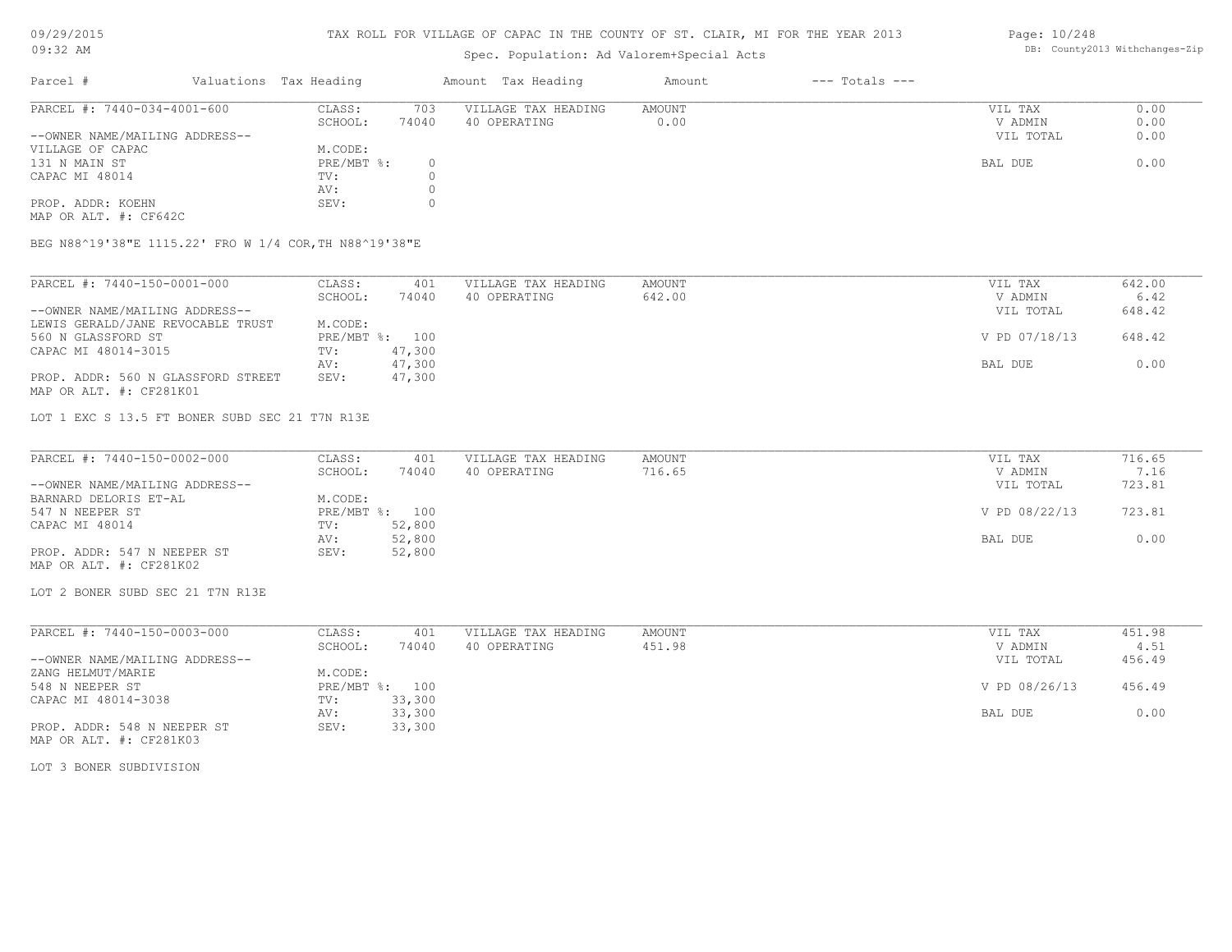### TAX ROLL FOR VILLAGE OF CAPAC IN THE COUNTY OF ST. CLAIR, MI FOR THE YEAR 2013

### Spec. Population: Ad Valorem+Special Acts

### Parcel # Valuations Tax Heading Amount Tax Heading Amount --- Totals ---PROP. ADDR: KOEHN SEV: 0 AV: 0 CAPAC MI 48014  $TV: 0$ <br>
AV: 0 131 N MAIN ST PRE/MBT %: 0 BAL DUE 0.00 VILLAGE OF CAPAC M.CODE: M.CODE: 131 N MAIN ST ST --OWNER NAME/MAILING ADDRESS-- VIL TOTAL 0.00 SCHOOL: 74040 40 OPERATING 0.00 V ADMIN 0.00 PARCEL #: 7440-034-4001-600 CLASS: 703 VILLAGE TAX HEADING AMOUNT AMOUNT VIL TAX 0.00<br>SCHOOL: 74040 40 OPERATING 0.00 000 VADMIN 0.00  $\mathcal{L}_\mathcal{L} = \mathcal{L}_\mathcal{L} = \mathcal{L}_\mathcal{L} = \mathcal{L}_\mathcal{L} = \mathcal{L}_\mathcal{L} = \mathcal{L}_\mathcal{L} = \mathcal{L}_\mathcal{L} = \mathcal{L}_\mathcal{L} = \mathcal{L}_\mathcal{L} = \mathcal{L}_\mathcal{L} = \mathcal{L}_\mathcal{L} = \mathcal{L}_\mathcal{L} = \mathcal{L}_\mathcal{L} = \mathcal{L}_\mathcal{L} = \mathcal{L}_\mathcal{L} = \mathcal{L}_\mathcal{L} = \mathcal{L}_\mathcal{L}$

MAP OR ALT. #: CF642C

BEG N88^19'38"E 1115.22' FRO W 1/4 COR,TH N88^19'38"E

| PARCEL #: 7440-150-0001-000        | CLASS:         | 401    | VILLAGE TAX HEADING | AMOUNT | VIL TAX       | 642.00 |
|------------------------------------|----------------|--------|---------------------|--------|---------------|--------|
|                                    | SCHOOL:        | 74040  | 40 OPERATING        | 642.00 | V ADMIN       | 6.42   |
| --OWNER NAME/MAILING ADDRESS--     |                |        |                     |        | VIL TOTAL     | 648.42 |
| LEWIS GERALD/JANE REVOCABLE TRUST  | M.CODE:        |        |                     |        |               |        |
| 560 N GLASSFORD ST                 | PRE/MBT %: 100 |        |                     |        | V PD 07/18/13 | 648.42 |
| CAPAC MI 48014-3015                | TV:            | 47,300 |                     |        |               |        |
|                                    | AV:            | 47,300 |                     |        | BAL DUE       | 0.00   |
| PROP. ADDR: 560 N GLASSFORD STREET | SEV:           | 47,300 |                     |        |               |        |
| MAP OR ALT. #: CF281K01            |                |        |                     |        |               |        |

LOT 1 EXC S 13.5 FT BONER SUBD SEC 21 T7N R13E

| PARCEL #: 7440-150-0002-000    | CLASS:  | 401            | VILLAGE TAX HEADING | AMOUNT | VIL TAX       | 716.65 |
|--------------------------------|---------|----------------|---------------------|--------|---------------|--------|
|                                | SCHOOL: | 74040          | 40 OPERATING        | 716.65 | V ADMIN       | 7.16   |
| --OWNER NAME/MAILING ADDRESS-- |         |                |                     |        | VIL TOTAL     | 723.81 |
| BARNARD DELORIS ET-AL          | M.CODE: |                |                     |        |               |        |
| 547 N NEEPER ST                |         | PRE/MBT %: 100 |                     |        | V PD 08/22/13 | 723.81 |
| CAPAC MI 48014                 | TV:     | 52,800         |                     |        |               |        |
|                                | AV:     | 52,800         |                     |        | BAL DUE       | 0.00   |
| PROP. ADDR: 547 N NEEPER ST    | SEV:    | 52,800         |                     |        |               |        |
| MAP OR ALT. #: CF281K02        |         |                |                     |        |               |        |

LOT 2 BONER SUBD SEC 21 T7N R13E

| PARCEL #: 7440-150-0003-000    | CLASS:     | 401    | VILLAGE TAX HEADING | AMOUNT | VIL TAX       | 451.98 |
|--------------------------------|------------|--------|---------------------|--------|---------------|--------|
|                                | SCHOOL:    | 74040  | 40 OPERATING        | 451.98 | V ADMIN       | 4.51   |
| --OWNER NAME/MAILING ADDRESS-- |            |        |                     |        | VIL TOTAL     | 456.49 |
| ZANG HELMUT/MARIE              | M.CODE:    |        |                     |        |               |        |
| 548 N NEEPER ST                | PRE/MBT %: | 100    |                     |        | V PD 08/26/13 | 456.49 |
| CAPAC MI 48014-3038            | TV:        | 33,300 |                     |        |               |        |
|                                | AV:        | 33,300 |                     |        | BAL DUE       | 0.00   |
| PROP. ADDR: 548 N NEEPER ST    | SEV:       | 33,300 |                     |        |               |        |
| MAP OR ALT. #: CF281K03        |            |        |                     |        |               |        |

LOT 3 BONER SUBDIVISION

Page: 10/248 DB: County2013 Withchanges-Zip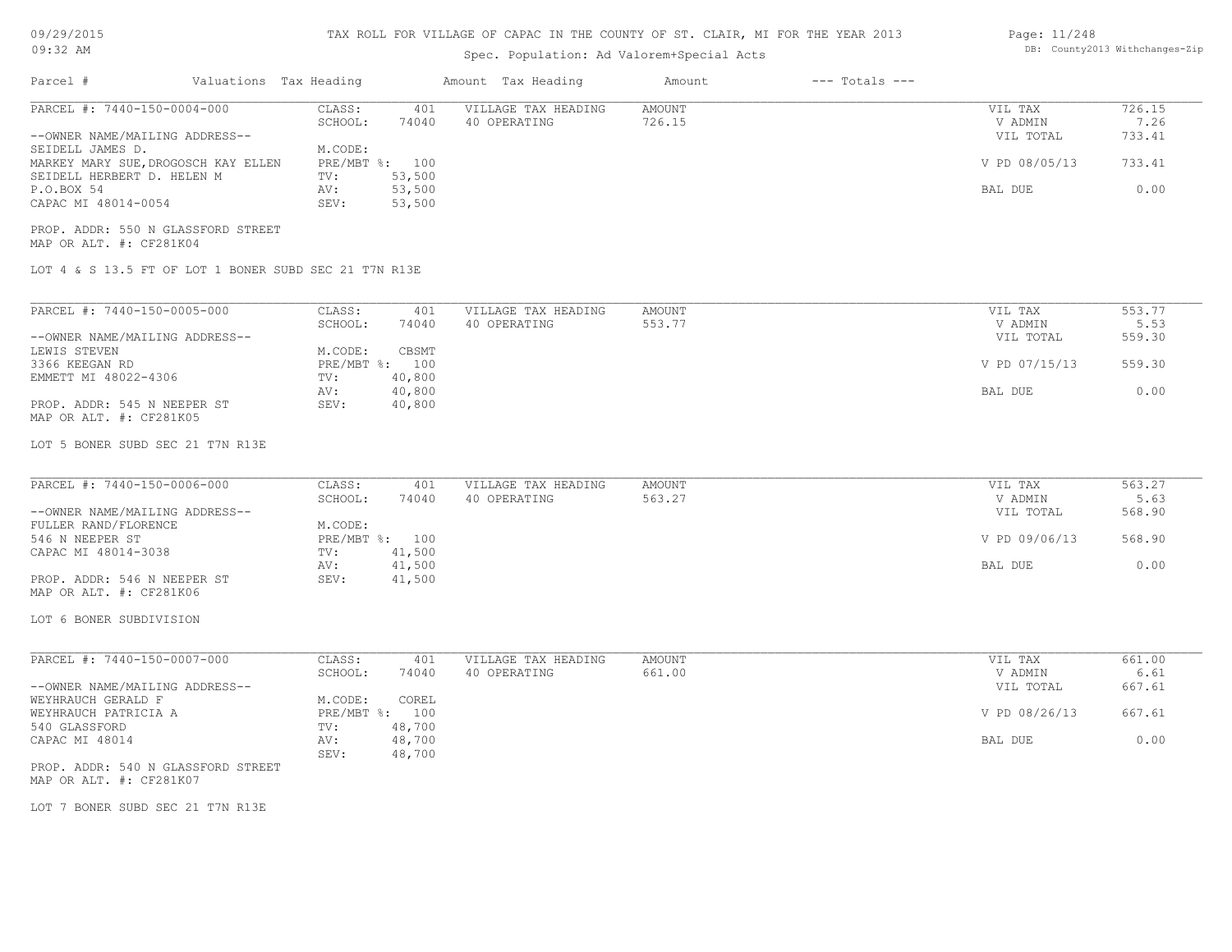|  |  | 09/29/2015 |  |
|--|--|------------|--|
|--|--|------------|--|

### 09:32 AM

### TAX ROLL FOR VILLAGE OF CAPAC IN THE COUNTY OF ST. CLAIR, MI FOR THE YEAR 2013

# Spec. Population: Ad Valorem+Special Acts

### Page: 11/248 DB: County2013 Withchanges-Zip

| Parcel #<br>Valuations Tax Heading                              |                                                  | Amount Tax Heading                  | Amount                  | $---$ Totals $---$ |                                 |                          |
|-----------------------------------------------------------------|--------------------------------------------------|-------------------------------------|-------------------------|--------------------|---------------------------------|--------------------------|
| PARCEL #: 7440-150-0004-000<br>--OWNER NAME/MAILING ADDRESS--   | CLASS:<br>401<br>SCHOOL:<br>74040                | VILLAGE TAX HEADING<br>40 OPERATING | AMOUNT<br>726.15        |                    | VIL TAX<br>V ADMIN<br>VIL TOTAL | 726.15<br>7.26<br>733.41 |
| SEIDELL JAMES D.<br>MARKEY MARY SUE, DROGOSCH KAY ELLEN         | M.CODE:<br>PRE/MBT %: 100                        |                                     |                         |                    | V PD 08/05/13                   | 733.41                   |
| SEIDELL HERBERT D. HELEN M<br>P.O.BOX 54<br>CAPAC MI 48014-0054 | 53,500<br>TV:<br>53,500<br>AV:<br>SEV:<br>53,500 |                                     |                         |                    | BAL DUE                         | 0.00                     |
| PROP. ADDR: 550 N GLASSFORD STREET<br>MAP OR ALT. #: CF281K04   |                                                  |                                     |                         |                    |                                 |                          |
| LOT 4 & S 13.5 FT OF LOT 1 BONER SUBD SEC 21 T7N R13E           |                                                  |                                     |                         |                    |                                 |                          |
| PARCEL #: 7440-150-0005-000                                     | CLASS:<br>401<br>SCHOOL:<br>74040                | VILLAGE TAX HEADING<br>40 OPERATING | <b>AMOUNT</b><br>553.77 |                    | VIL TAX<br>V ADMIN              | 553.77<br>5.53           |
| --OWNER NAME/MAILING ADDRESS--<br>LEWIS STEVEN                  | M.CODE:<br>CBSMT                                 |                                     |                         |                    | VIL TOTAL                       | 559.30                   |
| 3366 KEEGAN RD<br>EMMETT MI 48022-4306                          | PRE/MBT %: 100<br>40,800<br>TV:                  |                                     |                         | V PD 07/15/13      | 559.30                          |                          |
| PROP. ADDR: 545 N NEEPER ST<br>MAP OR ALT. #: CF281K05          | 40,800<br>AV:<br>SEV:<br>40,800                  |                                     |                         |                    | BAL DUE                         | 0.00                     |
| LOT 5 BONER SUBD SEC 21 T7N R13E                                |                                                  |                                     |                         |                    |                                 |                          |
| PARCEL #: 7440-150-0006-000                                     | CLASS:<br>401<br>SCHOOL:<br>74040                | VILLAGE TAX HEADING<br>40 OPERATING | <b>AMOUNT</b><br>563.27 |                    | VIL TAX<br>V ADMIN              | 563.27<br>5.63           |
| --OWNER NAME/MAILING ADDRESS--<br>FULLER RAND/FLORENCE          | M.CODE:                                          |                                     |                         |                    | VIL TOTAL                       | 568.90                   |
| 546 N NEEPER ST<br>CAPAC MI 48014-3038                          | PRE/MBT %: 100<br>41,500<br>TV:                  |                                     |                         | V PD 09/06/13      | 568.90                          |                          |
| PROP. ADDR: 546 N NEEPER ST<br>MAP OR ALT. #: CF281K06          | 41,500<br>AV:<br>SEV:<br>41,500                  |                                     |                         |                    | BAL DUE                         | 0.00                     |
| LOT 6 BONER SUBDIVISION                                         |                                                  |                                     |                         |                    |                                 |                          |
| PARCEL #: 7440-150-0007-000                                     | CLASS:<br>401                                    | VILLAGE TAX HEADING                 | AMOUNT                  |                    | VIL TAX                         | 661.00                   |
| --OWNER NAME/MAILING ADDRESS--<br>WEYHRAUCH GERALD F            | SCHOOL:<br>74040<br>M.CODE:<br>COREL             | 40 OPERATING                        | 661.00                  |                    | V ADMIN<br>VIL TOTAL            | 6.61<br>667.61           |
| WEYHRAUCH PATRICIA A<br>540 GLASSFORD                           | PRE/MBT %: 100<br>TV:<br>48,700                  |                                     |                         |                    | V PD 08/26/13                   | 667.61                   |
| CAPAC MI 48014                                                  | 48,700<br>AV:<br>SEV:<br>48,700                  |                                     |                         |                    | BAL DUE                         | 0.00                     |
| PROP. ADDR: 540 N GLASSFORD STREET<br>MAP OR ALT. #: CF281K07   |                                                  |                                     |                         |                    |                                 |                          |
| LOT 7 BONER SUBD SEC 21 T7N R13E                                |                                                  |                                     |                         |                    |                                 |                          |
|                                                                 |                                                  |                                     |                         |                    |                                 |                          |
|                                                                 |                                                  |                                     |                         |                    |                                 |                          |
|                                                                 |                                                  |                                     |                         |                    |                                 |                          |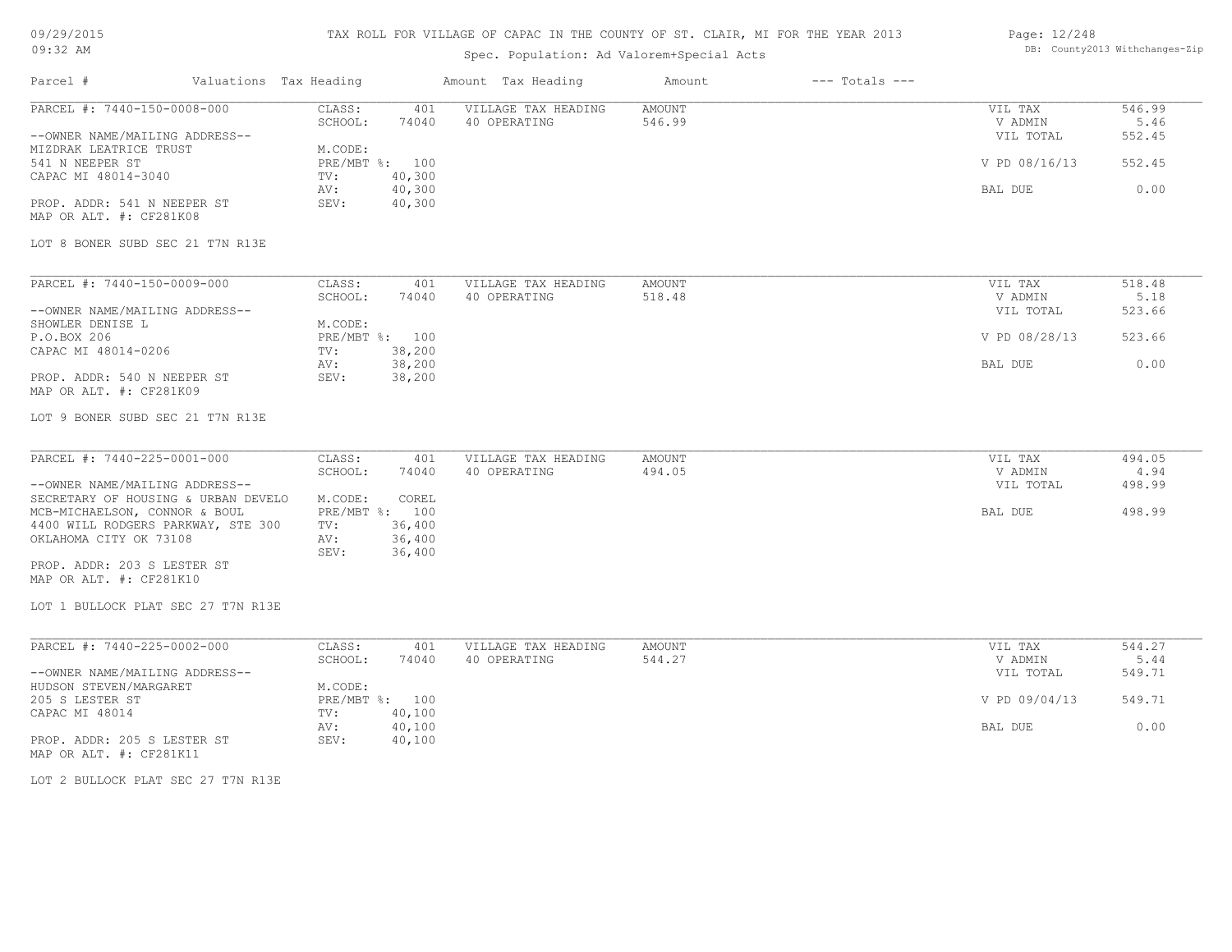# TAX ROLL FOR VILLAGE OF CAPAC IN THE COUNTY OF ST. CLAIR, MI FOR THE YEAR 2013

# Spec. Population: Ad Valorem+Special Acts

### Page: 12/248 DB: County2013 Withchanges-Zip

| Parcel #                                                                                                                                                | Valuations Tax Heading                                             | Amount Tax Heading                  | Amount           | $---$ Totals $---$ |                                                  |                                    |
|---------------------------------------------------------------------------------------------------------------------------------------------------------|--------------------------------------------------------------------|-------------------------------------|------------------|--------------------|--------------------------------------------------|------------------------------------|
| PARCEL #: 7440-150-0008-000<br>--OWNER NAME/MAILING ADDRESS--<br>MIZDRAK LEATRICE TRUST<br>541 N NEEPER ST                                              | CLASS:<br>401<br>SCHOOL:<br>74040<br>M.CODE:<br>PRE/MBT %: 100     | VILLAGE TAX HEADING<br>40 OPERATING | AMOUNT<br>546.99 |                    | VIL TAX<br>V ADMIN<br>VIL TOTAL<br>V PD 08/16/13 | 546.99<br>5.46<br>552.45<br>552.45 |
| CAPAC MI 48014-3040<br>PROP. ADDR: 541 N NEEPER ST<br>MAP OR ALT. #: CF281K08<br>LOT 8 BONER SUBD SEC 21 T7N R13E                                       | 40,300<br>TV:<br>40,300<br>AV:<br>SEV:<br>40,300                   |                                     |                  |                    | BAL DUE                                          | 0.00                               |
| PARCEL #: 7440-150-0009-000<br>--OWNER NAME/MAILING ADDRESS--<br>SHOWLER DENISE L                                                                       | CLASS:<br>401<br>SCHOOL:<br>74040<br>M.CODE:                       | VILLAGE TAX HEADING<br>40 OPERATING | AMOUNT<br>518.48 |                    | VIL TAX<br>V ADMIN<br>VIL TOTAL                  | 518.48<br>5.18<br>523.66           |
| P.O.BOX 206<br>CAPAC MI 48014-0206                                                                                                                      | PRE/MBT %: 100<br>38,200<br>TV:                                    |                                     |                  |                    | V PD 08/28/13                                    | 523.66                             |
| PROP. ADDR: 540 N NEEPER ST<br>MAP OR ALT. #: CF281K09                                                                                                  | 38,200<br>AV:<br>SEV:<br>38,200                                    |                                     |                  |                    | BAL DUE                                          | 0.00                               |
| LOT 9 BONER SUBD SEC 21 T7N R13E                                                                                                                        |                                                                    |                                     |                  |                    |                                                  |                                    |
| PARCEL #: 7440-225-0001-000<br>--OWNER NAME/MAILING ADDRESS--<br>SECRETARY OF HOUSING & URBAN DEVELO                                                    | CLASS:<br>401<br>SCHOOL:<br>74040<br>COREL<br>M.CODE:              | VILLAGE TAX HEADING<br>40 OPERATING | AMOUNT<br>494.05 |                    | VIL TAX<br>V ADMIN<br>VIL TOTAL                  | 494.05<br>4.94<br>498.99           |
| MCB-MICHAELSON, CONNOR & BOUL<br>4400 WILL RODGERS PARKWAY, STE 300<br>OKLAHOMA CITY OK 73108<br>PROP. ADDR: 203 S LESTER ST<br>MAP OR ALT. #: CF281K10 | PRE/MBT %: 100<br>36,400<br>TV:<br>AV:<br>36,400<br>36,400<br>SEV: |                                     |                  |                    | BAL DUE                                          | 498.99                             |
| LOT 1 BULLOCK PLAT SEC 27 T7N R13E                                                                                                                      |                                                                    |                                     |                  |                    |                                                  |                                    |
| PARCEL #: 7440-225-0002-000<br>--OWNER NAME/MAILING ADDRESS--                                                                                           | CLASS:<br>401<br>SCHOOL:<br>74040                                  | VILLAGE TAX HEADING<br>40 OPERATING | AMOUNT<br>544.27 |                    | VIL TAX<br>V ADMIN<br>VIL TOTAL                  | 544.27<br>5.44<br>549.71           |
| HUDSON STEVEN/MARGARET<br>205 S LESTER ST<br>CAPAC MI 48014                                                                                             | M.CODE:<br>PRE/MBT %: 100<br>40,100<br>TV:                         |                                     |                  |                    | V PD 09/04/13                                    | 549.71                             |
| PROP. ADDR: 205 S LESTER ST<br>MAP OR ALT. #: CF281K11                                                                                                  | 40,100<br>AV:<br>SEV:<br>40,100                                    |                                     |                  |                    | BAL DUE                                          | 0.00                               |
| LOT 2 BULLOCK PLAT SEC 27 T7N R13E                                                                                                                      |                                                                    |                                     |                  |                    |                                                  |                                    |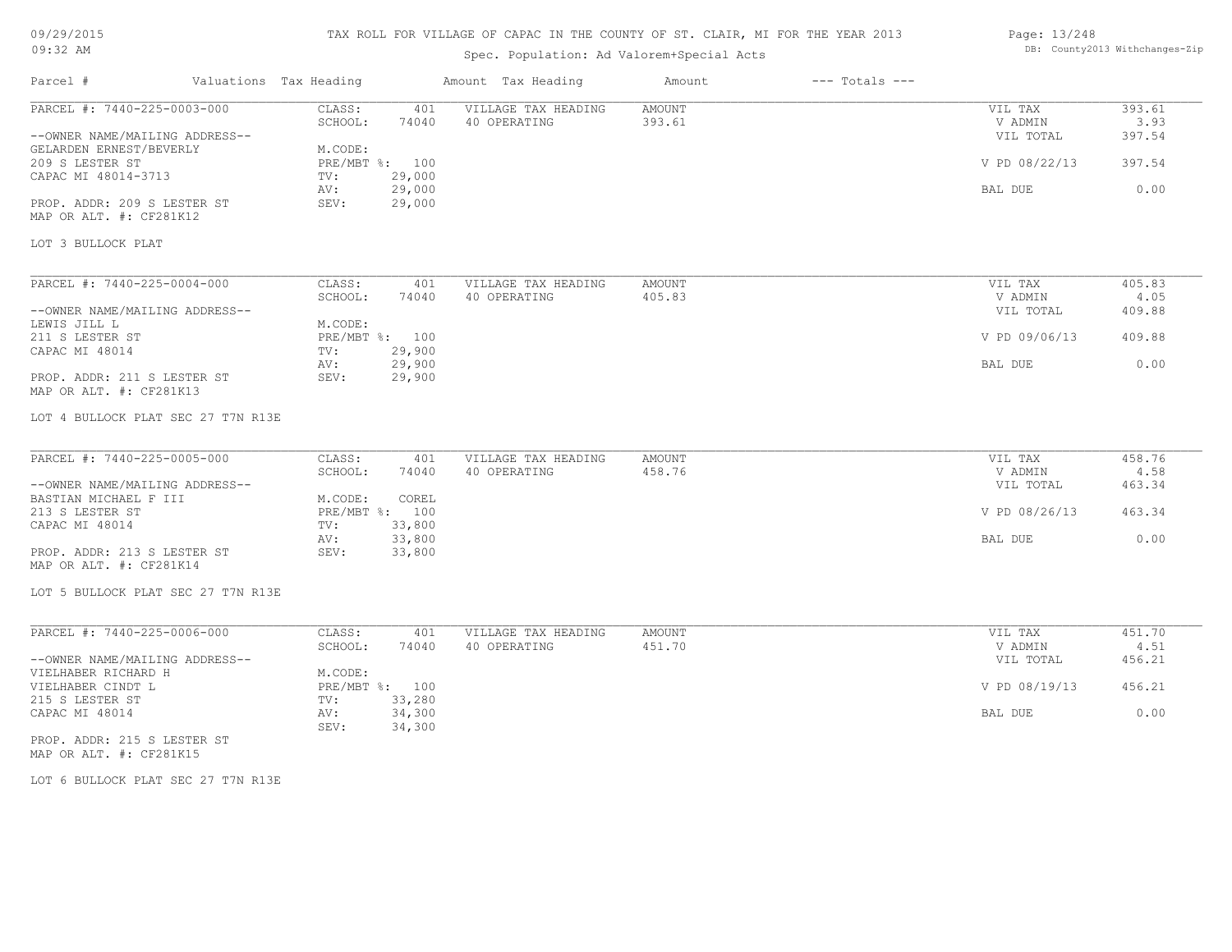# TAX ROLL FOR VILLAGE OF CAPAC IN THE COUNTY OF ST. CLAIR, MI FOR THE YEAR 2013

# Spec. Population: Ad Valorem+Special Acts

### Page: 13/248 DB: County2013 Withchanges-Zip

| Parcel #                                                                                                                                                                                                                    | Valuations Tax Heading                                               |                                                     | Amount Tax Heading                  | Amount           | $---$ Totals $---$ |                                                                    |                                            |
|-----------------------------------------------------------------------------------------------------------------------------------------------------------------------------------------------------------------------------|----------------------------------------------------------------------|-----------------------------------------------------|-------------------------------------|------------------|--------------------|--------------------------------------------------------------------|--------------------------------------------|
| PARCEL #: 7440-225-0003-000<br>--OWNER NAME/MAILING ADDRESS--<br>GELARDEN ERNEST/BEVERLY<br>209 S LESTER ST<br>CAPAC MI 48014-3713<br>PROP. ADDR: 209 S LESTER ST<br>MAP OR ALT. #: CF281K12                                | CLASS:<br>SCHOOL:<br>M.CODE:<br>PRE/MBT %: 100<br>TV:<br>AV:<br>SEV: | 401<br>74040<br>29,000<br>29,000<br>29,000          | VILLAGE TAX HEADING<br>40 OPERATING | AMOUNT<br>393.61 |                    | VIL TAX<br>V ADMIN<br>VIL TOTAL<br>V PD 08/22/13<br>BAL DUE        | 393.61<br>3.93<br>397.54<br>397.54<br>0.00 |
| LOT 3 BULLOCK PLAT                                                                                                                                                                                                          |                                                                      |                                                     |                                     |                  |                    |                                                                    |                                            |
| PARCEL #: 7440-225-0004-000<br>--OWNER NAME/MAILING ADDRESS--<br>LEWIS JILL L<br>211 S LESTER ST<br>CAPAC MI 48014<br>PROP. ADDR: 211 S LESTER ST<br>MAP OR ALT. #: CF281K13<br>LOT 4 BULLOCK PLAT SEC 27 T7N R13E          | CLASS:<br>SCHOOL:<br>M.CODE:<br>PRE/MBT %: 100<br>TV:<br>AV:<br>SEV: | 401<br>74040<br>29,900<br>29,900<br>29,900          | VILLAGE TAX HEADING<br>40 OPERATING | AMOUNT<br>405.83 |                    | VIL TAX<br>V ADMIN<br>VIL TOTAL<br>V PD 09/06/13<br>BAL DUE        | 405.83<br>4.05<br>409.88<br>409.88<br>0.00 |
| PARCEL #: 7440-225-0005-000<br>--OWNER NAME/MAILING ADDRESS--<br>BASTIAN MICHAEL F III<br>213 S LESTER ST<br>CAPAC MI 48014<br>PROP. ADDR: 213 S LESTER ST<br>MAP OR ALT. #: CF281K14<br>LOT 5 BULLOCK PLAT SEC 27 T7N R13E | CLASS:<br>SCHOOL:<br>M.CODE:<br>PRE/MBT %: 100<br>TV:<br>AV:<br>SEV: | 401<br>74040<br>COREL<br>33,800<br>33,800<br>33,800 | VILLAGE TAX HEADING<br>40 OPERATING | AMOUNT<br>458.76 |                    | VIL TAX<br>V ADMIN<br>VIL TOTAL<br>V PD 08/26/13<br>BAL DUE        | 458.76<br>4.58<br>463.34<br>463.34<br>0.00 |
| PARCEL #: 7440-225-0006-000<br>--OWNER NAME/MAILING ADDRESS--<br>VIELHABER RICHARD H<br>VIELHABER CINDT L<br>215 S LESTER ST<br>CAPAC MI 48014<br>PROP. ADDR: 215 S LESTER ST<br>MAP OR ALT. #: CF281K15                    | CLASS:<br>SCHOOL:<br>M.CODE:<br>PRE/MBT %: 100<br>TV:<br>AV:<br>SEV: | 401<br>74040<br>33,280<br>34,300<br>34,300          | VILLAGE TAX HEADING<br>40 OPERATING | AMOUNT<br>451.70 |                    | VIL TAX<br>V ADMIN<br>VIL TOTAL<br>V PD 08/19/13<br><b>BAL DUE</b> | 451.70<br>4.51<br>456.21<br>456.21<br>0.00 |

LOT 6 BULLOCK PLAT SEC 27 T7N R13E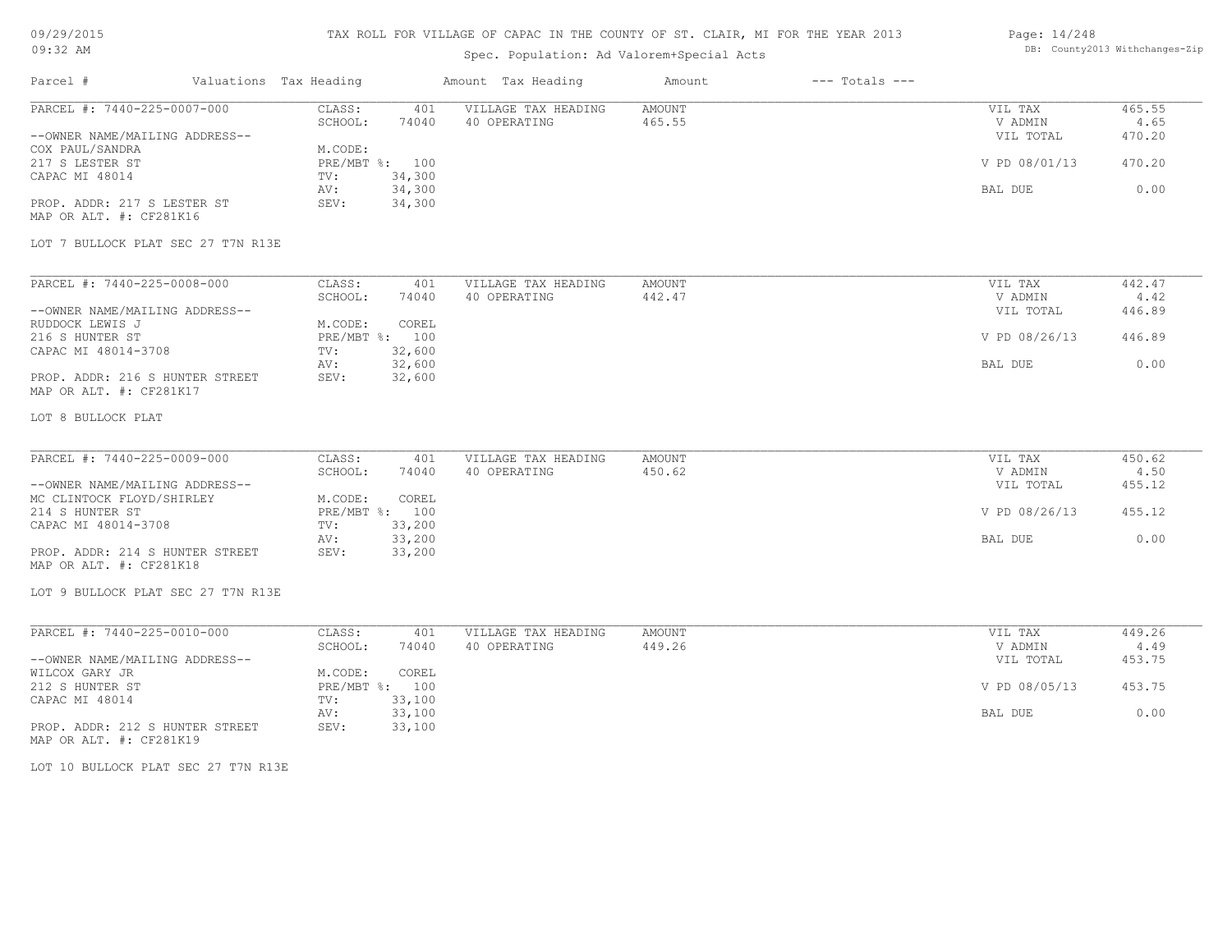# TAX ROLL FOR VILLAGE OF CAPAC IN THE COUNTY OF ST. CLAIR, MI FOR THE YEAR 2013

# Spec. Population: Ad Valorem+Special Acts

### Page: 14/248 DB: County2013 Withchanges-Zip

| PARCEL #: 7440-225-0007-000                                 | CLASS:<br>401<br>SCHOOL:<br>74040  | VILLAGE TAX HEADING<br>40 OPERATING | AMOUNT<br>465.55 | VIL TAX<br>V ADMIN   | 465.55<br>4.65 |
|-------------------------------------------------------------|------------------------------------|-------------------------------------|------------------|----------------------|----------------|
| --OWNER NAME/MAILING ADDRESS--                              |                                    |                                     |                  | VIL TOTAL            | 470.20         |
| COX PAUL/SANDRA<br>217 S LESTER ST                          | M.CODE:<br>PRE/MBT %: 100          |                                     |                  | V PD 08/01/13        | 470.20         |
| CAPAC MI 48014                                              | 34,300<br>TV:<br>34,300<br>AV:     |                                     |                  | BAL DUE              | 0.00           |
| PROP. ADDR: 217 S LESTER ST<br>MAP OR ALT. #: CF281K16      | 34,300<br>SEV:                     |                                     |                  |                      |                |
| LOT 7 BULLOCK PLAT SEC 27 T7N R13E                          |                                    |                                     |                  |                      |                |
| PARCEL #: 7440-225-0008-000                                 | CLASS:<br>401                      | VILLAGE TAX HEADING                 | <b>AMOUNT</b>    | VIL TAX              | 442.47         |
| --OWNER NAME/MAILING ADDRESS--                              | SCHOOL:<br>74040                   | 40 OPERATING                        | 442.47           | V ADMIN<br>VIL TOTAL | 4.42<br>446.89 |
| RUDDOCK LEWIS J<br>216 S HUNTER ST                          | M.CODE:<br>COREL<br>PRE/MBT %: 100 |                                     |                  | V PD 08/26/13        | 446.89         |
| CAPAC MI 48014-3708                                         | 32,600<br>TV:<br>32,600<br>AV:     |                                     |                  | BAL DUE              | 0.00           |
| PROP. ADDR: 216 S HUNTER STREET<br>MAP OR ALT. #: CF281K17  | SEV:<br>32,600                     |                                     |                  |                      |                |
| LOT 8 BULLOCK PLAT                                          |                                    |                                     |                  |                      |                |
| PARCEL #: 7440-225-0009-000                                 | CLASS:<br>401                      | VILLAGE TAX HEADING                 | <b>AMOUNT</b>    | VIL TAX              | 450.62         |
|                                                             | SCHOOL:<br>74040                   | 40 OPERATING                        | 450.62           | V ADMIN              | 4.50<br>455.12 |
| --OWNER NAME/MAILING ADDRESS--<br>MC CLINTOCK FLOYD/SHIRLEY | M.CODE:<br>COREL                   |                                     |                  | VIL TOTAL            |                |
| 214 S HUNTER ST<br>CAPAC MI 48014-3708                      | PRE/MBT %: 100<br>33,200<br>TV:    |                                     |                  | V PD 08/26/13        | 455.12         |
| PROP. ADDR: 214 S HUNTER STREET<br>MAP OR ALT. #: CF281K18  | 33,200<br>AV:<br>SEV:<br>33,200    |                                     |                  | BAL DUE              | 0.00           |
| LOT 9 BULLOCK PLAT SEC 27 T7N R13E                          |                                    |                                     |                  |                      |                |
| PARCEL #: 7440-225-0010-000                                 | CLASS:<br>401                      | VILLAGE TAX HEADING                 | <b>AMOUNT</b>    | VIL TAX              | 449.26         |
|                                                             | SCHOOL:<br>74040                   | 40 OPERATING                        | 449.26           | V ADMIN              | 4.49           |
| --OWNER NAME/MAILING ADDRESS--<br>WILCOX GARY JR            | M.CODE:<br>COREL                   |                                     |                  | VIL TOTAL            | 453.75         |
| 212 S HUNTER ST                                             | PRE/MBT %: 100<br>33,100<br>TV:    |                                     |                  | V PD 08/05/13        | 453.75         |
| CAPAC MI 48014                                              |                                    |                                     |                  | BAL DUE              | 0.00           |
| PROP. ADDR: 212 S HUNTER STREET                             | 33,100<br>AV:<br>33,100<br>SEV:    |                                     |                  |                      |                |
| MAP OR ALT. #: CF281K19                                     |                                    |                                     |                  |                      |                |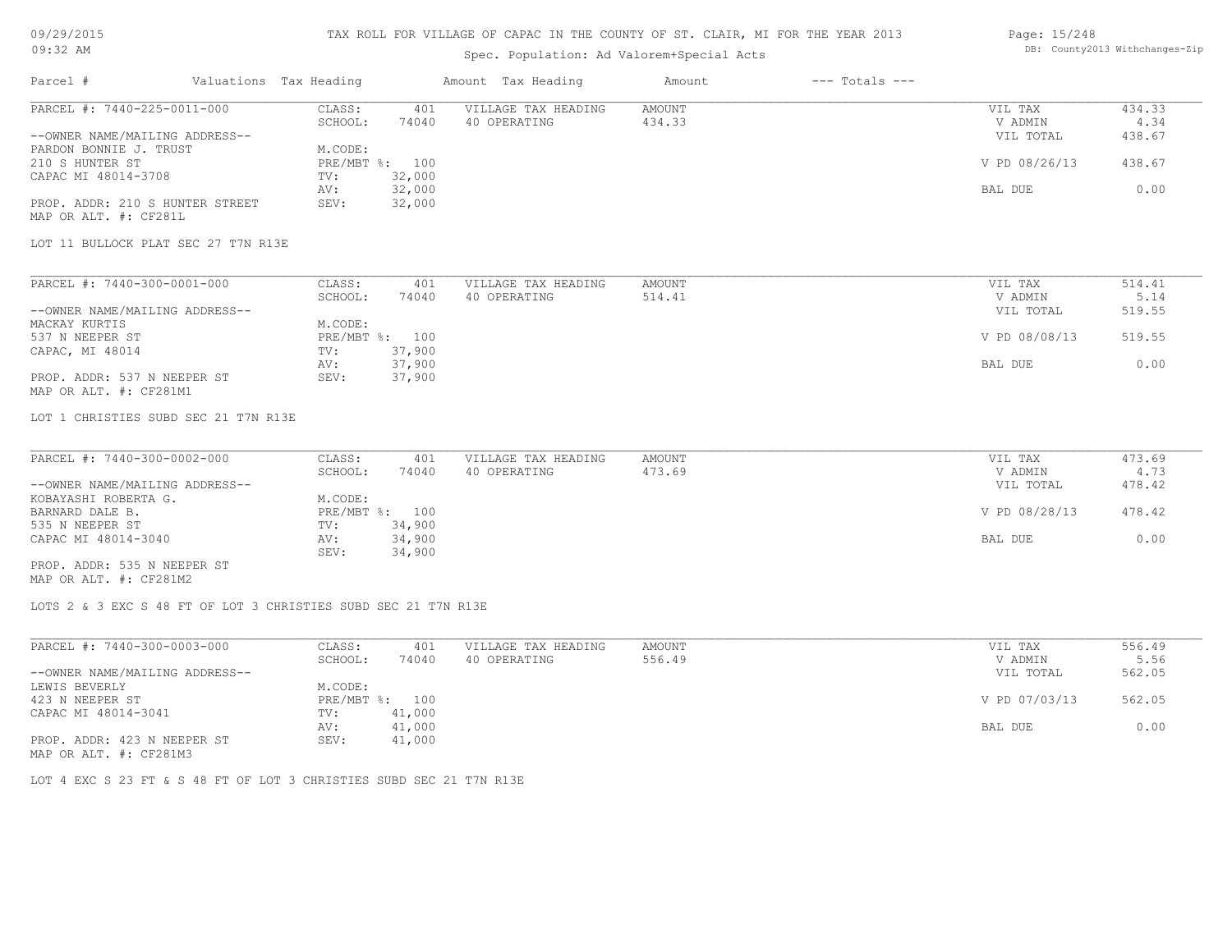# 09/29/2015

### TAX ROLL FOR VILLAGE OF CAPAC IN THE COUNTY OF ST. CLAIR, MI FOR THE YEAR 2013 Page: 15/248

| U9/29/2013                                                     |                                | TAX ROLL FOR VILLAGE OF CAPAC IN THE COUNTI OF ST. CLAIR, MI FOR THE YEAR 2013 |               |                    | Page: 15/248  | DB: County2013 Withchanges-Zip |  |
|----------------------------------------------------------------|--------------------------------|--------------------------------------------------------------------------------|---------------|--------------------|---------------|--------------------------------|--|
| 09:32 AM                                                       |                                | Spec. Population: Ad Valorem+Special Acts                                      |               |                    |               |                                |  |
| Parcel #                                                       | Valuations Tax Heading         | Amount Tax Heading                                                             | Amount        | $---$ Totals $---$ |               |                                |  |
| PARCEL #: 7440-225-0011-000                                    | CLASS:<br>401                  | VILLAGE TAX HEADING                                                            | <b>AMOUNT</b> |                    | VIL TAX       | 434.33                         |  |
|                                                                | SCHOOL:<br>74040               | 40 OPERATING                                                                   | 434.33        |                    | V ADMIN       | 4.34                           |  |
| --OWNER NAME/MAILING ADDRESS--                                 |                                |                                                                                |               |                    | VIL TOTAL     | 438.67                         |  |
| PARDON BONNIE J. TRUST                                         | M.CODE:                        |                                                                                |               |                    |               |                                |  |
| 210 S HUNTER ST                                                | PRE/MBT %: 100                 |                                                                                |               |                    | V PD 08/26/13 | 438.67                         |  |
| CAPAC MI 48014-3708                                            | 32,000<br>TV:<br>32,000        |                                                                                |               |                    |               | 0.00                           |  |
| PROP. ADDR: 210 S HUNTER STREET                                | AV:<br>32,000<br>SEV:          |                                                                                |               |                    | BAL DUE       |                                |  |
| MAP OR ALT. #: CF281L                                          |                                |                                                                                |               |                    |               |                                |  |
|                                                                |                                |                                                                                |               |                    |               |                                |  |
| LOT 11 BULLOCK PLAT SEC 27 T7N R13E                            |                                |                                                                                |               |                    |               |                                |  |
| PARCEL #: 7440-300-0001-000                                    | CLASS:<br>401                  | VILLAGE TAX HEADING                                                            | AMOUNT        |                    | VIL TAX       | 514.41                         |  |
|                                                                | SCHOOL:<br>74040               | 40 OPERATING                                                                   | 514.41        |                    | V ADMIN       | 5.14                           |  |
| --OWNER NAME/MAILING ADDRESS--                                 |                                |                                                                                |               |                    | VIL TOTAL     | 519.55                         |  |
| MACKAY KURTIS                                                  | M.CODE:                        |                                                                                |               |                    |               |                                |  |
| 537 N NEEPER ST                                                | PRE/MBT %: 100                 |                                                                                |               |                    | V PD 08/08/13 | 519.55                         |  |
| CAPAC, MI 48014                                                | 37,900<br>TV:                  |                                                                                |               |                    |               |                                |  |
|                                                                | 37,900<br>AV:                  |                                                                                |               |                    | BAL DUE       | 0.00                           |  |
| PROP. ADDR: 537 N NEEPER ST<br>MAP OR ALT. #: CF281M1          | SEV:<br>37,900                 |                                                                                |               |                    |               |                                |  |
| LOT 1 CHRISTIES SUBD SEC 21 T7N R13E                           |                                |                                                                                |               |                    |               |                                |  |
|                                                                |                                |                                                                                |               |                    |               |                                |  |
| PARCEL #: 7440-300-0002-000                                    | CLASS:<br>401                  | VILLAGE TAX HEADING                                                            | AMOUNT        |                    | VIL TAX       | 473.69                         |  |
|                                                                | SCHOOL:<br>74040               | 40 OPERATING                                                                   | 473.69        |                    | V ADMIN       | 4.73                           |  |
| --OWNER NAME/MAILING ADDRESS--                                 |                                |                                                                                |               |                    | VIL TOTAL     | 478.42                         |  |
| KOBAYASHI ROBERTA G.                                           | M.CODE:                        |                                                                                |               |                    |               |                                |  |
| BARNARD DALE B.                                                | PRE/MBT %: 100                 |                                                                                |               |                    | V PD 08/28/13 | 478.42                         |  |
| 535 N NEEPER ST<br>CAPAC MI 48014-3040                         | 34,900<br>TV:<br>34,900<br>AV: |                                                                                |               |                    | BAL DUE       | 0.00                           |  |
|                                                                | SEV:<br>34,900                 |                                                                                |               |                    |               |                                |  |
| PROP. ADDR: 535 N NEEPER ST                                    |                                |                                                                                |               |                    |               |                                |  |
| MAP OR ALT. #: CF281M2                                         |                                |                                                                                |               |                    |               |                                |  |
| LOTS 2 & 3 EXC S 48 FT OF LOT 3 CHRISTIES SUBD SEC 21 T7N R13E |                                |                                                                                |               |                    |               |                                |  |
|                                                                |                                |                                                                                |               |                    |               |                                |  |
| PARCEL #: 7440-300-0003-000                                    | CLASS:<br>401                  | VILLAGE TAX HEADING                                                            | AMOUNT        |                    | VIL TAX       | 556.49                         |  |
|                                                                | 74040<br>SCHOOL:               | 40 OPERATING                                                                   | 556.49        |                    | V ADMIN       | 5.56                           |  |
| --OWNER NAME/MAILING ADDRESS--                                 |                                |                                                                                |               |                    | VIL TOTAL     | 562.05                         |  |
| LEWIS BEVERLY                                                  | M.CODE:                        |                                                                                |               |                    |               |                                |  |
| 423 N NEEPER ST                                                | PRE/MBT %: 100                 |                                                                                |               |                    | V PD 07/03/13 | 562.05                         |  |
| CAPAC MI 48014-3041                                            | 41,000<br>TV:<br>41,000<br>AV: |                                                                                |               |                    | BAL DUE       | 0.00                           |  |
| PROP. ADDR: 423 N NEEPER ST                                    | 41,000<br>SEV:                 |                                                                                |               |                    |               |                                |  |
| MAP OR ALT. #: CF281M3                                         |                                |                                                                                |               |                    |               |                                |  |

LOT 4 EXC S 23 FT & S 48 FT OF LOT 3 CHRISTIES SUBD SEC 21 T7N R13E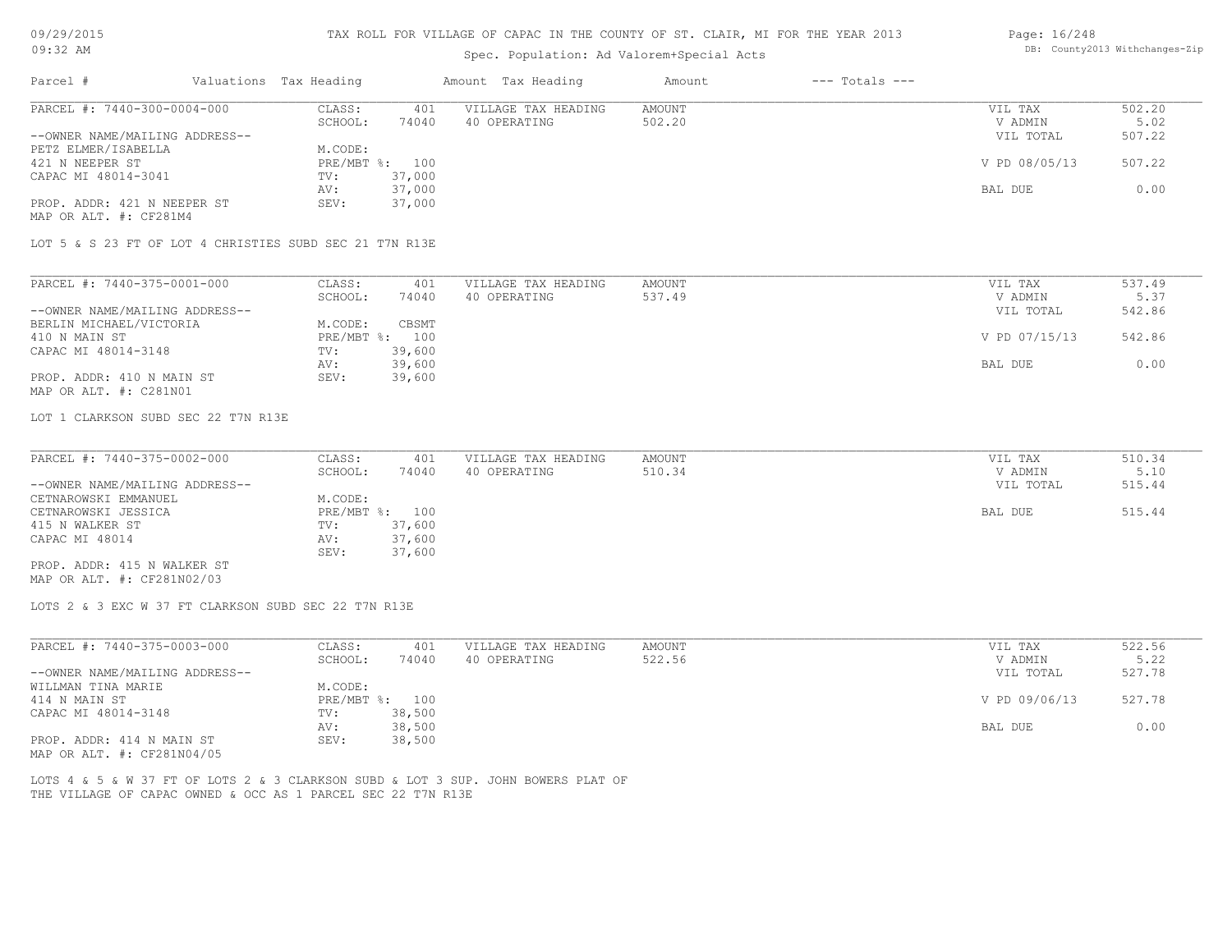| 09/29/2015 |  |
|------------|--|
| $09:32$ AM |  |

# Spec. Population: Ad Valorem+Special Acts

### Page: 16/248 DB: County2013 Withchanges-Zip

| Parcel #                                                     | Valuations Tax Heading |                   |              | Amount Tax Heading                                                                | Amount                  | $---$ Totals $---$ |                    |                |
|--------------------------------------------------------------|------------------------|-------------------|--------------|-----------------------------------------------------------------------------------|-------------------------|--------------------|--------------------|----------------|
| PARCEL #: 7440-300-0004-000                                  |                        | CLASS:<br>SCHOOL: | 401<br>74040 | VILLAGE TAX HEADING<br>40 OPERATING                                               | <b>AMOUNT</b><br>502.20 |                    | VIL TAX<br>V ADMIN | 502.20<br>5.02 |
| --OWNER NAME/MAILING ADDRESS--                               |                        |                   |              |                                                                                   |                         |                    | VIL TOTAL          | 507.22         |
| PETZ ELMER/ISABELLA                                          |                        | M.CODE:           |              |                                                                                   |                         |                    |                    |                |
| 421 N NEEPER ST                                              |                        | PRE/MBT %: 100    |              |                                                                                   |                         |                    | V PD 08/05/13      | 507.22         |
|                                                              |                        |                   | 37,000       |                                                                                   |                         |                    |                    |                |
| CAPAC MI 48014-3041                                          |                        | TV:               |              |                                                                                   |                         |                    |                    | 0.00           |
|                                                              |                        | AV:               | 37,000       |                                                                                   |                         |                    | BAL DUE            |                |
| PROP. ADDR: 421 N NEEPER ST<br>MAP OR ALT. #: CF281M4        |                        | SEV:              | 37,000       |                                                                                   |                         |                    |                    |                |
| LOT 5 & S 23 FT OF LOT 4 CHRISTIES SUBD SEC 21 T7N R13E      |                        |                   |              |                                                                                   |                         |                    |                    |                |
|                                                              |                        |                   |              |                                                                                   |                         |                    |                    |                |
| PARCEL #: 7440-375-0001-000                                  |                        | CLASS:            | 401          | VILLAGE TAX HEADING                                                               | <b>AMOUNT</b>           |                    | VIL TAX            | 537.49         |
|                                                              |                        | SCHOOL:           | 74040        | 40 OPERATING                                                                      | 537.49                  |                    | V ADMIN            | 5.37           |
| --OWNER NAME/MAILING ADDRESS--                               |                        |                   |              |                                                                                   |                         |                    | VIL TOTAL          | 542.86         |
| BERLIN MICHAEL/VICTORIA                                      |                        | M.CODE:           | CBSMT        |                                                                                   |                         |                    |                    |                |
| 410 N MAIN ST                                                |                        | PRE/MBT %: 100    |              |                                                                                   |                         |                    | V PD 07/15/13      | 542.86         |
| CAPAC MI 48014-3148                                          |                        | TV:               | 39,600       |                                                                                   |                         |                    |                    |                |
|                                                              |                        | AV:               | 39,600       |                                                                                   |                         |                    | BAL DUE            | 0.00           |
| PROP. ADDR: 410 N MAIN ST<br>MAP OR ALT. #: C281N01          |                        | SEV:              | 39,600       |                                                                                   |                         |                    |                    |                |
| LOT 1 CLARKSON SUBD SEC 22 T7N R13E                          |                        |                   |              |                                                                                   |                         |                    |                    |                |
| PARCEL #: 7440-375-0002-000                                  |                        | CLASS:            | 401          | VILLAGE TAX HEADING                                                               | <b>AMOUNT</b>           |                    | VIL TAX            | 510.34         |
|                                                              |                        | SCHOOL:           | 74040        | 40 OPERATING                                                                      | 510.34                  |                    | V ADMIN            | 5.10           |
| --OWNER NAME/MAILING ADDRESS--                               |                        |                   |              |                                                                                   |                         |                    | VIL TOTAL          | 515.44         |
| CETNAROWSKI EMMANUEL                                         |                        | M.CODE:           |              |                                                                                   |                         |                    |                    |                |
| CETNAROWSKI JESSICA                                          |                        | PRE/MBT %: 100    |              |                                                                                   |                         |                    | BAL DUE            | 515.44         |
| 415 N WALKER ST                                              |                        | TV:               | 37,600       |                                                                                   |                         |                    |                    |                |
| CAPAC MI 48014                                               |                        | AV:               | 37,600       |                                                                                   |                         |                    |                    |                |
|                                                              |                        | SEV:              | 37,600       |                                                                                   |                         |                    |                    |                |
| PROP. ADDR: 415 N WALKER ST<br>MAP OR ALT. #: CF281N02/03    |                        |                   |              |                                                                                   |                         |                    |                    |                |
| LOTS 2 & 3 EXC W 37 FT CLARKSON SUBD SEC 22 T7N R13E         |                        |                   |              |                                                                                   |                         |                    |                    |                |
|                                                              |                        |                   |              |                                                                                   |                         |                    |                    |                |
| PARCEL #: 7440-375-0003-000                                  |                        | CLASS:            | 401          | VILLAGE TAX HEADING                                                               | <b>AMOUNT</b>           |                    | VIL TAX            | 522.56         |
|                                                              |                        | SCHOOL:           | 74040        | 40 OPERATING                                                                      | 522.56                  |                    | V ADMIN            | 5.22           |
| --OWNER NAME/MAILING ADDRESS--                               |                        |                   |              |                                                                                   |                         |                    | VIL TOTAL          | 527.78         |
| WILLMAN TINA MARIE                                           |                        | M.CODE:           |              |                                                                                   |                         |                    |                    |                |
| 414 N MAIN ST                                                |                        | PRE/MBT %: 100    |              |                                                                                   |                         |                    | V PD 09/06/13      | 527.78         |
| CAPAC MI 48014-3148                                          |                        | TV:               | 38,500       |                                                                                   |                         |                    |                    |                |
|                                                              |                        | AV:               | 38,500       |                                                                                   |                         |                    | BAL DUE            | 0.00           |
| PROP. ADDR: 414 N MAIN ST                                    |                        | SEV:              | 38,500       |                                                                                   |                         |                    |                    |                |
| MAP OR ALT. #: CF281N04/05                                   |                        |                   |              |                                                                                   |                         |                    |                    |                |
|                                                              |                        |                   |              | LOTS 4 & 5 & W 37 FT OF LOTS 2 & 3 CLARKSON SUBD & LOT 3 SUP. JOHN BOWERS PLAT OF |                         |                    |                    |                |
| THE VILLAGE OF CAPAC OWNED & OCC AS 1 PARCEL SEC 22 T7N R13E |                        |                   |              |                                                                                   |                         |                    |                    |                |
|                                                              |                        |                   |              |                                                                                   |                         |                    |                    |                |
|                                                              |                        |                   |              |                                                                                   |                         |                    |                    |                |
|                                                              |                        |                   |              |                                                                                   |                         |                    |                    |                |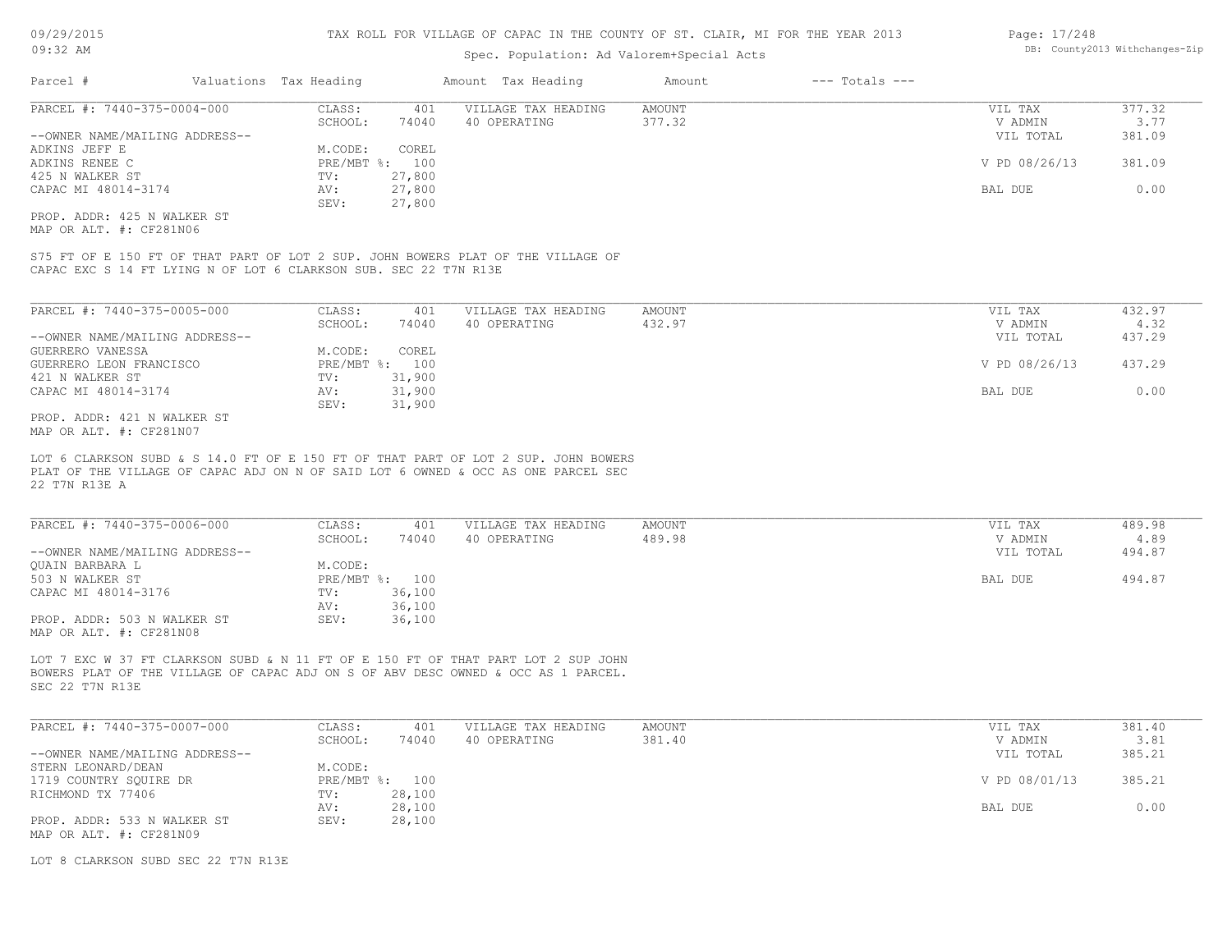### Spec. Population: Ad Valorem+Special Acts

| Page: 17/248 |                                |
|--------------|--------------------------------|
|              | DB: County2013 Withchanges-Zip |

| Parcel #                       | Valuations Tax Heading |                | Amount Tax Heading  | Amount | $---$ Totals $---$ |               |        |
|--------------------------------|------------------------|----------------|---------------------|--------|--------------------|---------------|--------|
| PARCEL #: 7440-375-0004-000    | CLASS:                 | 401            | VILLAGE TAX HEADING | AMOUNT |                    | VIL TAX       | 377.32 |
|                                | SCHOOL:                | 74040          | 40 OPERATING        | 377.32 |                    | V ADMIN       | 3.77   |
| --OWNER NAME/MAILING ADDRESS-- |                        |                |                     |        |                    | VIL TOTAL     | 381.09 |
| ADKINS JEFF E                  | M.CODE:                | COREL          |                     |        |                    |               |        |
| ADKINS RENEE C                 |                        | PRE/MBT %: 100 |                     |        |                    | V PD 08/26/13 | 381.09 |
| 425 N WALKER ST                | TV:                    | 27,800         |                     |        |                    |               |        |
| CAPAC MI 48014-3174            | AV:                    | 27,800         |                     |        |                    | BAL DUE       | 0.00   |
|                                | SEV:                   | 27,800         |                     |        |                    |               |        |
| PROP. ADDR: 425 N WALKER ST    |                        |                |                     |        |                    |               |        |
| MAP OR ALT. #: CF281N06        |                        |                |                     |        |                    |               |        |

CAPAC EXC S 14 FT LYING N OF LOT 6 CLARKSON SUB. SEC 22 T7N R13E S75 FT OF E 150 FT OF THAT PART OF LOT 2 SUP. JOHN BOWERS PLAT OF THE VILLAGE OF

| PARCEL #: 7440-375-0005-000    | CLASS:     | 401    | VILLAGE TAX HEADING | AMOUNT | VIL TAX       | 432.97 |
|--------------------------------|------------|--------|---------------------|--------|---------------|--------|
|                                | SCHOOL:    | 74040  | 40 OPERATING        | 432.97 | V ADMIN       | 4.32   |
| --OWNER NAME/MAILING ADDRESS-- |            |        |                     |        | VIL TOTAL     | 437.29 |
| GUERRERO VANESSA               | M.CODE:    | COREL  |                     |        |               |        |
| GUERRERO LEON FRANCISCO        | PRE/MBT %: | 100    |                     |        | V PD 08/26/13 | 437.29 |
| 421 N WALKER ST                | TV:        | 31,900 |                     |        |               |        |
| CAPAC MI 48014-3174            | AV:        | 31,900 |                     |        | BAL DUE       | 0.00   |
|                                | SEV:       | 31,900 |                     |        |               |        |
| PROP. ADDR: 421 N WALKER ST    |            |        |                     |        |               |        |

MAP OR ALT. #: CF281N07

22 T7N R13E A PLAT OF THE VILLAGE OF CAPAC ADJ ON N OF SAID LOT 6 OWNED & OCC AS ONE PARCEL SEC LOT 6 CLARKSON SUBD & S 14.0 FT OF E 150 FT OF THAT PART OF LOT 2 SUP. JOHN BOWERS

| PARCEL #: 7440-375-0006-000    | CLASS:  | 401            | VILLAGE TAX HEADING | AMOUNT | VIL TAX   | 489.98 |
|--------------------------------|---------|----------------|---------------------|--------|-----------|--------|
|                                | SCHOOL: | 74040          | 40 OPERATING        | 489.98 | V ADMIN   | 4.89   |
| --OWNER NAME/MAILING ADDRESS-- |         |                |                     |        | VIL TOTAL | 494.87 |
| OUAIN BARBARA L                | M.CODE: |                |                     |        |           |        |
| 503 N WALKER ST                |         | PRE/MBT %: 100 |                     |        | BAL DUE   | 494.87 |
| CAPAC MI 48014-3176            | TV:     | 36,100         |                     |        |           |        |
|                                | AV:     | 36,100         |                     |        |           |        |
| PROP. ADDR: 503 N WALKER ST    | SEV:    | 36,100         |                     |        |           |        |
| MAP OR ALT. #: CF281N08        |         |                |                     |        |           |        |

SEC 22 T7N R13E BOWERS PLAT OF THE VILLAGE OF CAPAC ADJ ON S OF ABV DESC OWNED & OCC AS 1 PARCEL. LOT 7 EXC W 37 FT CLARKSON SUBD & N 11 FT OF E 150 FT OF THAT PART LOT 2 SUP JOHN

| PARCEL #: 7440-375-0007-000    | CLASS:  | 401            | VILLAGE TAX HEADING | AMOUNT | VIL TAX       | 381.40 |
|--------------------------------|---------|----------------|---------------------|--------|---------------|--------|
|                                | SCHOOL: | 74040          | 40 OPERATING        | 381.40 | V ADMIN       | 3.81   |
| --OWNER NAME/MAILING ADDRESS-- |         |                |                     |        | VIL TOTAL     | 385.21 |
| STERN LEONARD/DEAN             | M.CODE: |                |                     |        |               |        |
| 1719 COUNTRY SOUIRE DR         |         | PRE/MBT %: 100 |                     |        | V PD 08/01/13 | 385.21 |
| RICHMOND TX 77406              | TV:     | 28,100         |                     |        |               |        |
|                                | AV:     | 28,100         |                     |        | BAL DUE       | 0.00   |
| PROP. ADDR: 533 N WALKER ST    | SEV:    | 28,100         |                     |        |               |        |
| MAP OR ALT. #: CF281N09        |         |                |                     |        |               |        |

LOT 8 CLARKSON SUBD SEC 22 T7N R13E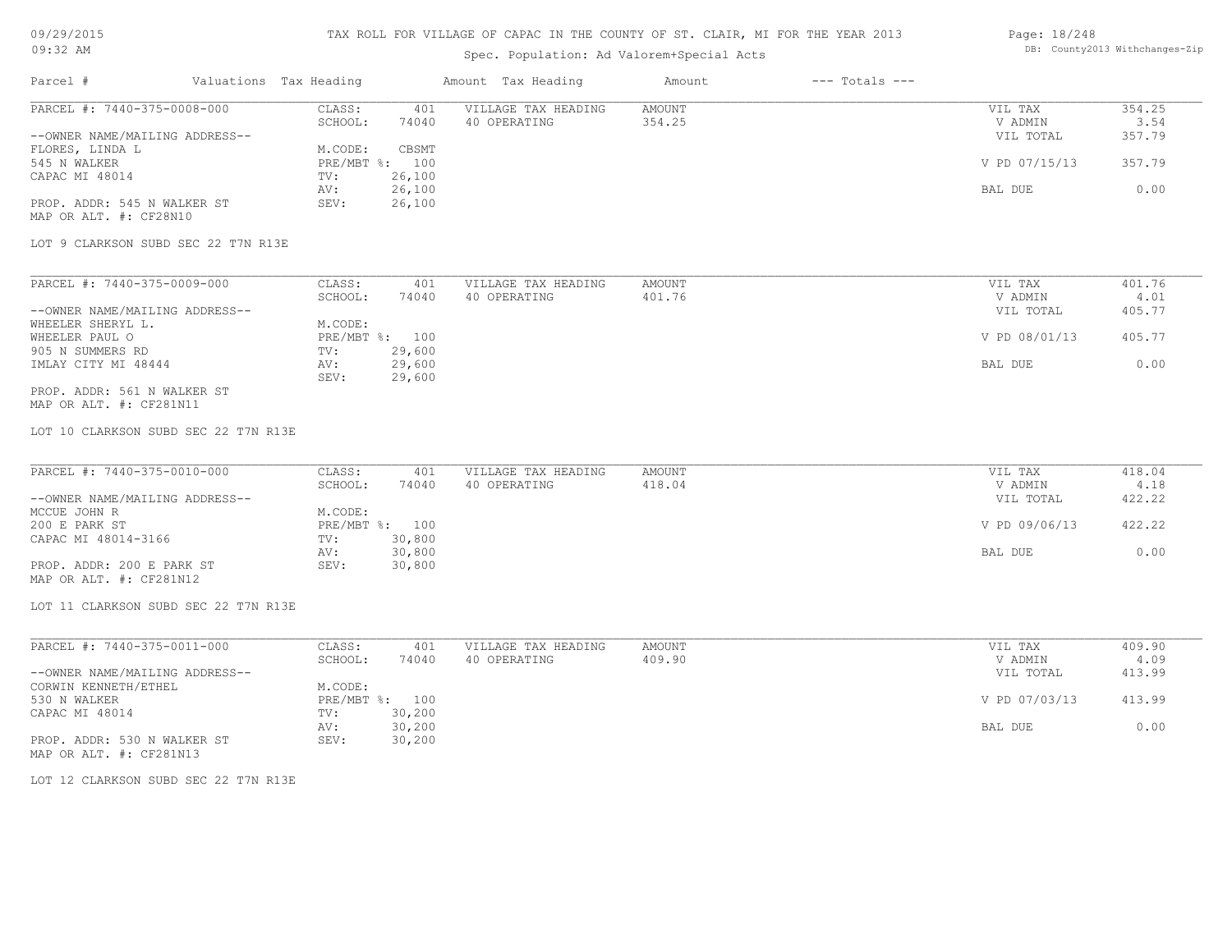# Spec. Population: Ad Valorem+Special Acts

### Page: 18/248 DB: County2013 Withchanges-Zip

| Parcel #                       | Valuations Tax Heading |        | Amount Tax Heading  | Amount | $---$ Totals $---$ |               |        |
|--------------------------------|------------------------|--------|---------------------|--------|--------------------|---------------|--------|
| PARCEL #: 7440-375-0008-000    | CLASS:                 | 401    | VILLAGE TAX HEADING | AMOUNT |                    | VIL TAX       | 354.25 |
|                                | SCHOOL:                | 74040  | 40 OPERATING        | 354.25 |                    | V ADMIN       | 3.54   |
| --OWNER NAME/MAILING ADDRESS-- |                        |        |                     |        |                    | VIL TOTAL     | 357.79 |
| FLORES, LINDA L                | M.CODE:                | CBSMT  |                     |        |                    |               |        |
| 545 N WALKER                   | $PRE/MBT$ %:           | 100    |                     |        |                    | V PD 07/15/13 | 357.79 |
| CAPAC MI 48014                 | TV:                    | 26,100 |                     |        |                    |               |        |
|                                | AV:                    | 26,100 |                     |        |                    | BAL DUE       | 0.00   |
| PROP. ADDR: 545 N WALKER ST    | SEV:                   | 26,100 |                     |        |                    |               |        |
| MAP OR ALT. #: CF28N10         |                        |        |                     |        |                    |               |        |

LOT 9 CLARKSON SUBD SEC 22 T7N R13E

| PARCEL #: 7440-375-0009-000    | CLASS:  | 401            | VILLAGE TAX HEADING | AMOUNT | VIL TAX       | 401.76 |
|--------------------------------|---------|----------------|---------------------|--------|---------------|--------|
|                                | SCHOOL: | 74040          | 40 OPERATING        | 401.76 | V ADMIN       | 4.01   |
| --OWNER NAME/MAILING ADDRESS-- |         |                |                     |        | VIL TOTAL     | 405.77 |
| WHEELER SHERYL L.              | M.CODE: |                |                     |        |               |        |
| WHEELER PAUL O                 |         | PRE/MBT %: 100 |                     |        | V PD 08/01/13 | 405.77 |
| 905 N SUMMERS RD               | TV:     | 29,600         |                     |        |               |        |
| IMLAY CITY MI 48444            | AV:     | 29,600         |                     |        | BAL DUE       | 0.00   |
|                                | SEV:    | 29,600         |                     |        |               |        |
| PROP. ADDR: 561 N WALKER ST    |         |                |                     |        |               |        |

MAP OR ALT. #: CF281N11

LOT 10 CLARKSON SUBD SEC 22 T7N R13E

| PARCEL #: 7440-375-0010-000    | CLASS:  | 401            | VILLAGE TAX HEADING | AMOUNT | VIL TAX       | 418.04 |
|--------------------------------|---------|----------------|---------------------|--------|---------------|--------|
|                                | SCHOOL: | 74040          | 40 OPERATING        | 418.04 | V ADMIN       | 4.18   |
| --OWNER NAME/MAILING ADDRESS-- |         |                |                     |        | VIL TOTAL     | 422.22 |
| MCCUE JOHN R                   | M.CODE: |                |                     |        |               |        |
| 200 E PARK ST                  |         | PRE/MBT %: 100 |                     |        | V PD 09/06/13 | 422.22 |
| CAPAC MI 48014-3166            | TV:     | 30,800         |                     |        |               |        |
|                                | AV:     | 30,800         |                     |        | BAL DUE       | 0.00   |
| PROP. ADDR: 200 E PARK ST      | SEV:    | 30,800         |                     |        |               |        |
| MAP OR ALT. #: CF281N12        |         |                |                     |        |               |        |

LOT 11 CLARKSON SUBD SEC 22 T7N R13E

| PARCEL #: 7440-375-0011-000    | CLASS:  | 401            | VILLAGE TAX HEADING | AMOUNT | VIL TAX       | 409.90 |
|--------------------------------|---------|----------------|---------------------|--------|---------------|--------|
|                                | SCHOOL: | 74040          | 40 OPERATING        | 409.90 | V ADMIN       | 4.09   |
| --OWNER NAME/MAILING ADDRESS-- |         |                |                     |        | VIL TOTAL     | 413.99 |
| CORWIN KENNETH/ETHEL           | M.CODE: |                |                     |        |               |        |
| 530 N WALKER                   |         | PRE/MBT %: 100 |                     |        | V PD 07/03/13 | 413.99 |
| CAPAC MI 48014                 | TV:     | 30,200         |                     |        |               |        |
|                                | AV:     | 30,200         |                     |        | BAL DUE       | 0.00   |
| PROP. ADDR: 530 N WALKER ST    | SEV:    | 30,200         |                     |        |               |        |
| MAP OR ALT. #: CF281N13        |         |                |                     |        |               |        |

LOT 12 CLARKSON SUBD SEC 22 T7N R13E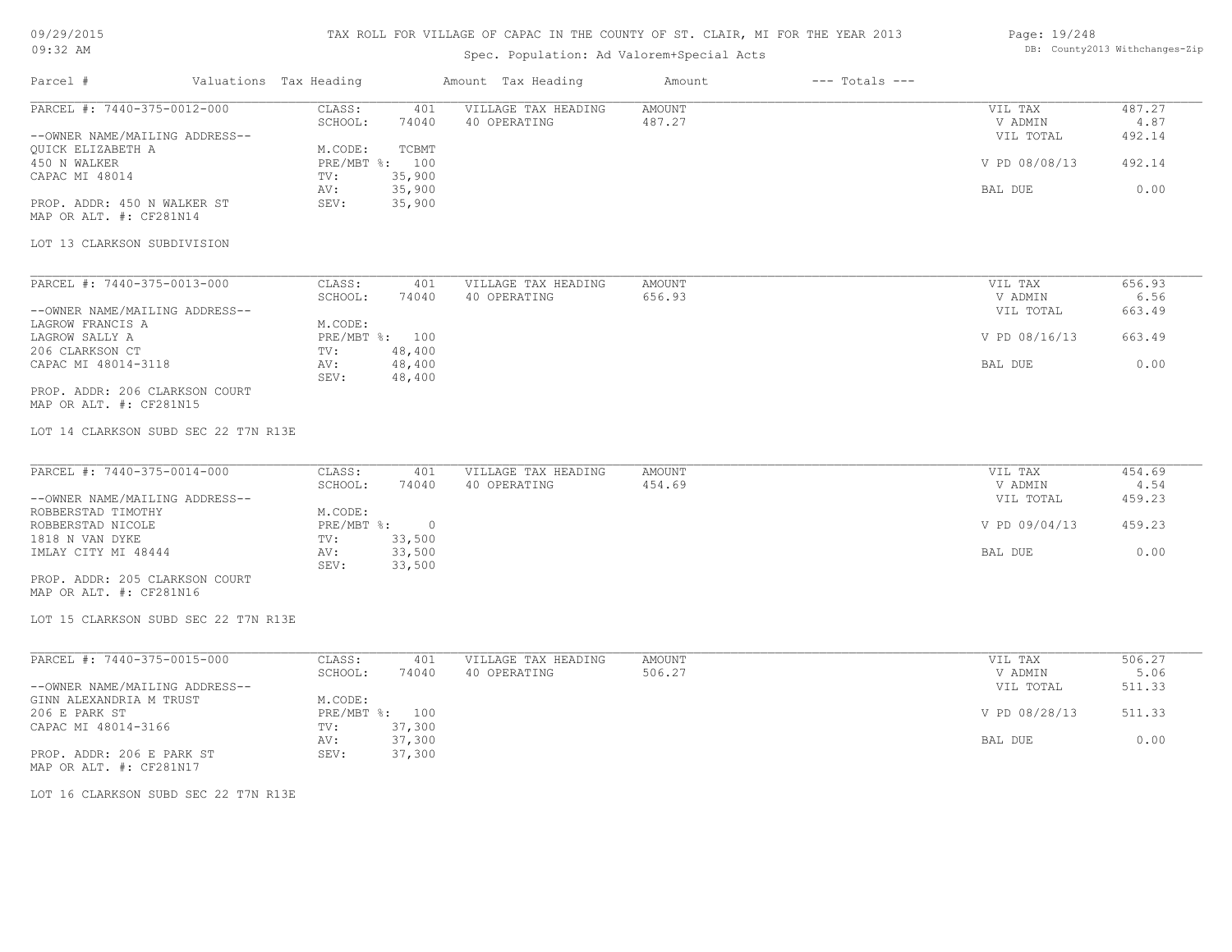# TAX ROLL FOR VILLAGE OF CAPAC IN THE COUNTY OF ST. CLAIR, MI FOR THE YEAR 2013

# Spec. Population: Ad Valorem+Special Acts

### Page: 19/248 DB: County2013 Withchanges-Zip

| Parcel #<br>Valuations Tax Heading                        |                                 | Amount Tax Heading  | Amount        | $---$ Totals $---$ |               |        |
|-----------------------------------------------------------|---------------------------------|---------------------|---------------|--------------------|---------------|--------|
| PARCEL #: 7440-375-0012-000                               | CLASS:<br>401                   | VILLAGE TAX HEADING | AMOUNT        |                    | VIL TAX       | 487.27 |
|                                                           | SCHOOL:<br>74040                | 40 OPERATING        | 487.27        |                    | V ADMIN       | 4.87   |
| --OWNER NAME/MAILING ADDRESS--                            |                                 |                     |               |                    | VIL TOTAL     | 492.14 |
| QUICK ELIZABETH A                                         | M.CODE:<br>TCBMT                |                     |               |                    |               |        |
| 450 N WALKER                                              | PRE/MBT %: 100                  |                     |               |                    | V PD 08/08/13 | 492.14 |
| CAPAC MI 48014                                            | 35,900<br>TV:                   |                     |               |                    |               |        |
|                                                           | 35,900<br>AV:                   |                     |               |                    | BAL DUE       | 0.00   |
| PROP. ADDR: 450 N WALKER ST                               | SEV:<br>35,900                  |                     |               |                    |               |        |
| MAP OR ALT. #: CF281N14                                   |                                 |                     |               |                    |               |        |
|                                                           |                                 |                     |               |                    |               |        |
| LOT 13 CLARKSON SUBDIVISION                               |                                 |                     |               |                    |               |        |
|                                                           |                                 |                     |               |                    |               |        |
| PARCEL #: 7440-375-0013-000                               | CLASS:<br>401                   | VILLAGE TAX HEADING | <b>AMOUNT</b> |                    | VIL TAX       | 656.93 |
|                                                           | SCHOOL:<br>74040                | 40 OPERATING        | 656.93        |                    | V ADMIN       | 6.56   |
| --OWNER NAME/MAILING ADDRESS--                            |                                 |                     |               |                    | VIL TOTAL     | 663.49 |
| LAGROW FRANCIS A                                          | M.CODE:                         |                     |               |                    |               |        |
| LAGROW SALLY A                                            | PRE/MBT %: 100                  |                     |               |                    | V PD 08/16/13 | 663.49 |
| 206 CLARKSON CT                                           | 48,400<br>TV:                   |                     |               |                    |               |        |
| CAPAC MI 48014-3118                                       | 48,400<br>AV:<br>SEV:<br>48,400 |                     |               |                    | BAL DUE       | 0.00   |
| PROP. ADDR: 206 CLARKSON COURT<br>MAP OR ALT. #: CF281N15 |                                 |                     |               |                    |               |        |
| LOT 14 CLARKSON SUBD SEC 22 T7N R13E                      |                                 |                     |               |                    |               |        |
| PARCEL #: 7440-375-0014-000                               | CLASS:<br>401                   | VILLAGE TAX HEADING | <b>AMOUNT</b> |                    | VIL TAX       | 454.69 |
|                                                           | SCHOOL:<br>74040                | 40 OPERATING        | 454.69        |                    | V ADMIN       | 4.54   |
| --OWNER NAME/MAILING ADDRESS--                            |                                 |                     |               |                    | VIL TOTAL     | 459.23 |
| ROBBERSTAD TIMOTHY                                        | M.CODE:                         |                     |               |                    |               |        |
| ROBBERSTAD NICOLE                                         | PRE/MBT %: 0                    |                     |               |                    | V PD 09/04/13 | 459.23 |
| 1818 N VAN DYKE                                           | 33,500<br>TV:                   |                     |               |                    |               |        |
| IMLAY CITY MI 48444                                       | 33,500<br>AV:                   |                     |               |                    | BAL DUE       | 0.00   |
|                                                           | 33,500<br>SEV:                  |                     |               |                    |               |        |
| PROP. ADDR: 205 CLARKSON COURT                            |                                 |                     |               |                    |               |        |
| MAP OR ALT. #: CF281N16                                   |                                 |                     |               |                    |               |        |
| LOT 15 CLARKSON SUBD SEC 22 T7N R13E                      |                                 |                     |               |                    |               |        |
|                                                           |                                 |                     |               |                    |               |        |
| PARCEL #: 7440-375-0015-000                               | CLASS:<br>401                   | VILLAGE TAX HEADING | AMOUNT        |                    | VIL TAX       | 506.27 |
|                                                           | SCHOOL:<br>74040                | 40 OPERATING        | 506.27        |                    | V ADMIN       | 5.06   |
| --OWNER NAME/MAILING ADDRESS--                            |                                 |                     |               |                    | VIL TOTAL     | 511.33 |
| GINN ALEXANDRIA M TRUST                                   | M.CODE:                         |                     |               |                    |               |        |
| 206 E PARK ST                                             | PRE/MBT %: 100                  |                     |               |                    | V PD 08/28/13 | 511.33 |
| CAPAC MI 48014-3166                                       | 37,300<br>$\text{TV}$ :         |                     |               |                    |               |        |
|                                                           | 37,300<br>AV:                   |                     |               |                    | BAL DUE       | 0.00   |
| PROP. ADDR: 206 E PARK ST<br>MAP OR ALT. #: CF281N17      | 37,300<br>SEV:                  |                     |               |                    |               |        |

LOT 16 CLARKSON SUBD SEC 22 T7N R13E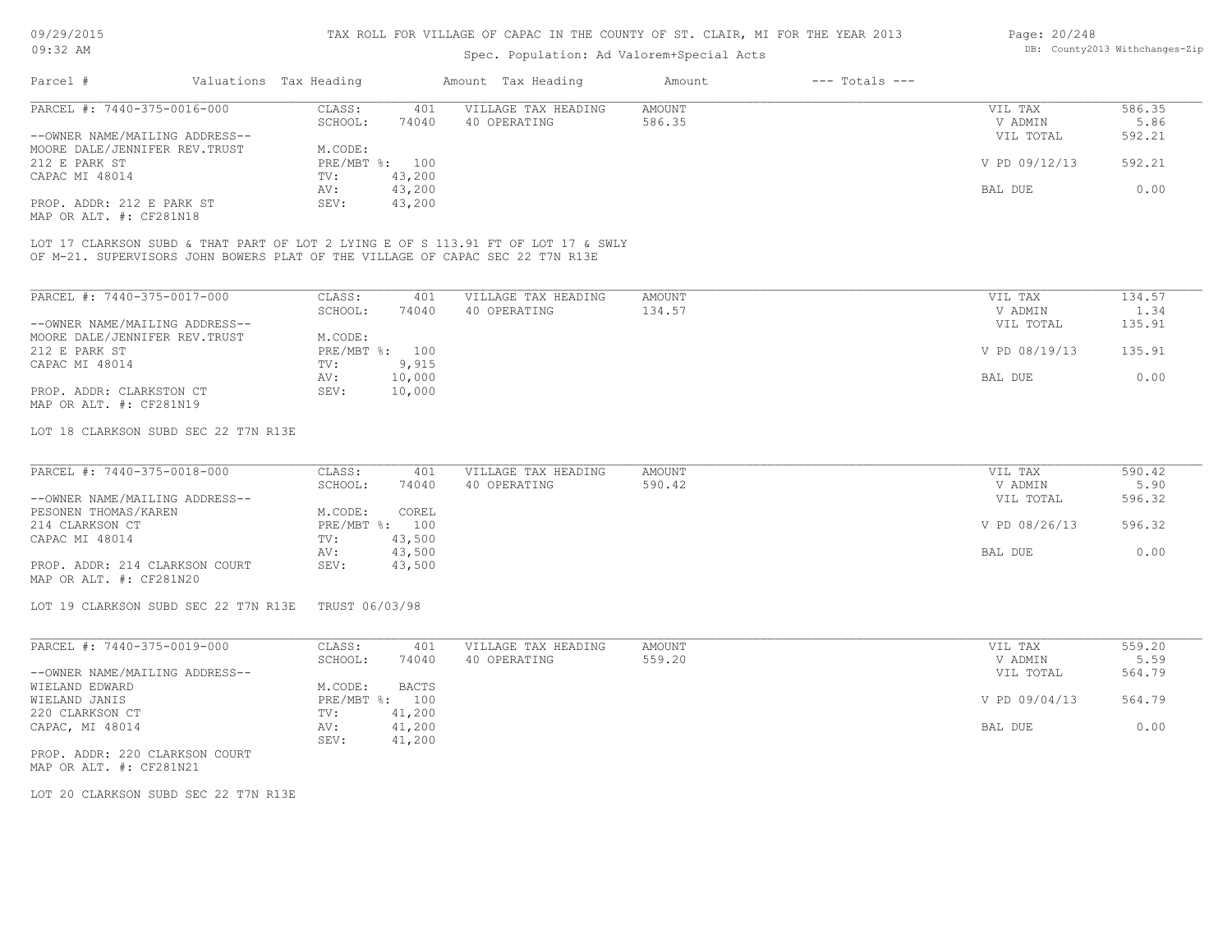### Spec. Population: Ad Valorem+Special Acts

| Page: 20/248 |                                |
|--------------|--------------------------------|
|              | DB: County2013 Withchanges-Zip |

| Parcel #                       | Valuations Tax Heading |                | Amount Tax Heading                                                                | Amount | $---$ Totals $---$ |               |        |
|--------------------------------|------------------------|----------------|-----------------------------------------------------------------------------------|--------|--------------------|---------------|--------|
| PARCEL #: 7440-375-0016-000    | CLASS:                 | 401            | VILLAGE TAX HEADING                                                               | AMOUNT |                    | VIL TAX       | 586.35 |
|                                | SCHOOL:                | 74040          | 40 OPERATING                                                                      | 586.35 |                    | V ADMIN       | 5.86   |
| --OWNER NAME/MAILING ADDRESS-- |                        |                |                                                                                   |        |                    | VIL TOTAL     | 592.21 |
| MOORE DALE/JENNIFER REV.TRUST  | M.CODE:                |                |                                                                                   |        |                    |               |        |
| 212 E PARK ST                  |                        | PRE/MBT %: 100 |                                                                                   |        |                    | V PD 09/12/13 | 592.21 |
| CAPAC MI 48014                 | TV:                    | 43,200         |                                                                                   |        |                    |               |        |
|                                | AV:                    | 43,200         |                                                                                   |        |                    | BAL DUE       | 0.00   |
| PROP. ADDR: 212 E PARK ST      | SEV:                   | 43,200         |                                                                                   |        |                    |               |        |
| MAP OR ALT. #: CF281N18        |                        |                |                                                                                   |        |                    |               |        |
|                                |                        |                |                                                                                   |        |                    |               |        |
|                                |                        |                | LOT 17 CLARKSON SUBD & THAT PART OF LOT 2 LYING E OF S 113.91 FT OF LOT 17 & SWLY |        |                    |               |        |
|                                |                        |                | OF M-21. SUPERVISORS JOHN BOWERS PLAT OF THE VILLAGE OF CAPAC SEC 22 T7N R13E     |        |                    |               |        |
|                                |                        |                |                                                                                   |        |                    |               |        |
|                                |                        |                |                                                                                   |        |                    |               |        |
| PARCEL #: 7440-375-0017-000    | CLASS:                 | 401            | VILLAGE TAX HEADING                                                               | AMOUNT |                    | VIL TAX       | 134.57 |
|                                | SCHOOL:                | 74040          | 40 OPERATING                                                                      | 134.57 |                    | V ADMIN       | 1.34   |
| --OWNER NAME/MAILING ADDRESS-- |                        |                |                                                                                   |        |                    | VIL TOTAL     | 135.91 |
| MOORE DALE/JENNIFER REV.TRUST  | M.CODE:                |                |                                                                                   |        |                    |               |        |

MAP OR ALT. #: CF281N19 PROP. ADDR: CLARKSTON CT SEV: 10,000 AV: 10,000 BAL DUE 0.00 CAPAC MI 48014 TV: 9,915<br>
AV: 10,000 212 E PARK ST PRE/MBT %: 100 V PD 08/19/13 135.91

### LOT 18 CLARKSON SUBD SEC 22 T7N R13E

| PARCEL #: 7440-375-0018-000    | CLASS:  | 401            | VILLAGE TAX HEADING | AMOUNT | VIL TAX       | 590.42 |
|--------------------------------|---------|----------------|---------------------|--------|---------------|--------|
|                                | SCHOOL: | 74040          | 40 OPERATING        | 590.42 | V ADMIN       | 5.90   |
| --OWNER NAME/MAILING ADDRESS-- |         |                |                     |        | VIL TOTAL     | 596.32 |
| PESONEN THOMAS/KAREN           | M.CODE: | COREL          |                     |        |               |        |
| 214 CLARKSON CT                |         | PRE/MBT %: 100 |                     |        | V PD 08/26/13 | 596.32 |
| CAPAC MI 48014                 | TV:     | 43,500         |                     |        |               |        |
|                                | AV:     | 43,500         |                     |        | BAL DUE       | 0.00   |
| PROP. ADDR: 214 CLARKSON COURT | SEV:    | 43,500         |                     |        |               |        |
| MAP OR ALT. #: CF281N20        |         |                |                     |        |               |        |

LOT 19 CLARKSON SUBD SEC 22 T7N R13E TRUST 06/03/98

| PARCEL #: 7440-375-0019-000    | CLASS:  | 401            | VILLAGE TAX HEADING | AMOUNT | VIL TAX       | 559.20 |
|--------------------------------|---------|----------------|---------------------|--------|---------------|--------|
|                                | SCHOOL: | 74040          | 40 OPERATING        | 559.20 | V ADMIN       | 5.59   |
| --OWNER NAME/MAILING ADDRESS-- |         |                |                     |        | VIL TOTAL     | 564.79 |
| WIELAND EDWARD                 | M.CODE: | BACTS          |                     |        |               |        |
| WIELAND JANIS                  |         | PRE/MBT %: 100 |                     |        | V PD 09/04/13 | 564.79 |
| 220 CLARKSON CT                | TV:     | 41,200         |                     |        |               |        |
| CAPAC, MI 48014                | AV:     | 41,200         |                     |        | BAL DUE       | 0.00   |
|                                | SEV:    | 41,200         |                     |        |               |        |
| PROP. ADDR: 220 CLARKSON COURT |         |                |                     |        |               |        |

MAP OR ALT. #: CF281N21

LOT 20 CLARKSON SUBD SEC 22 T7N R13E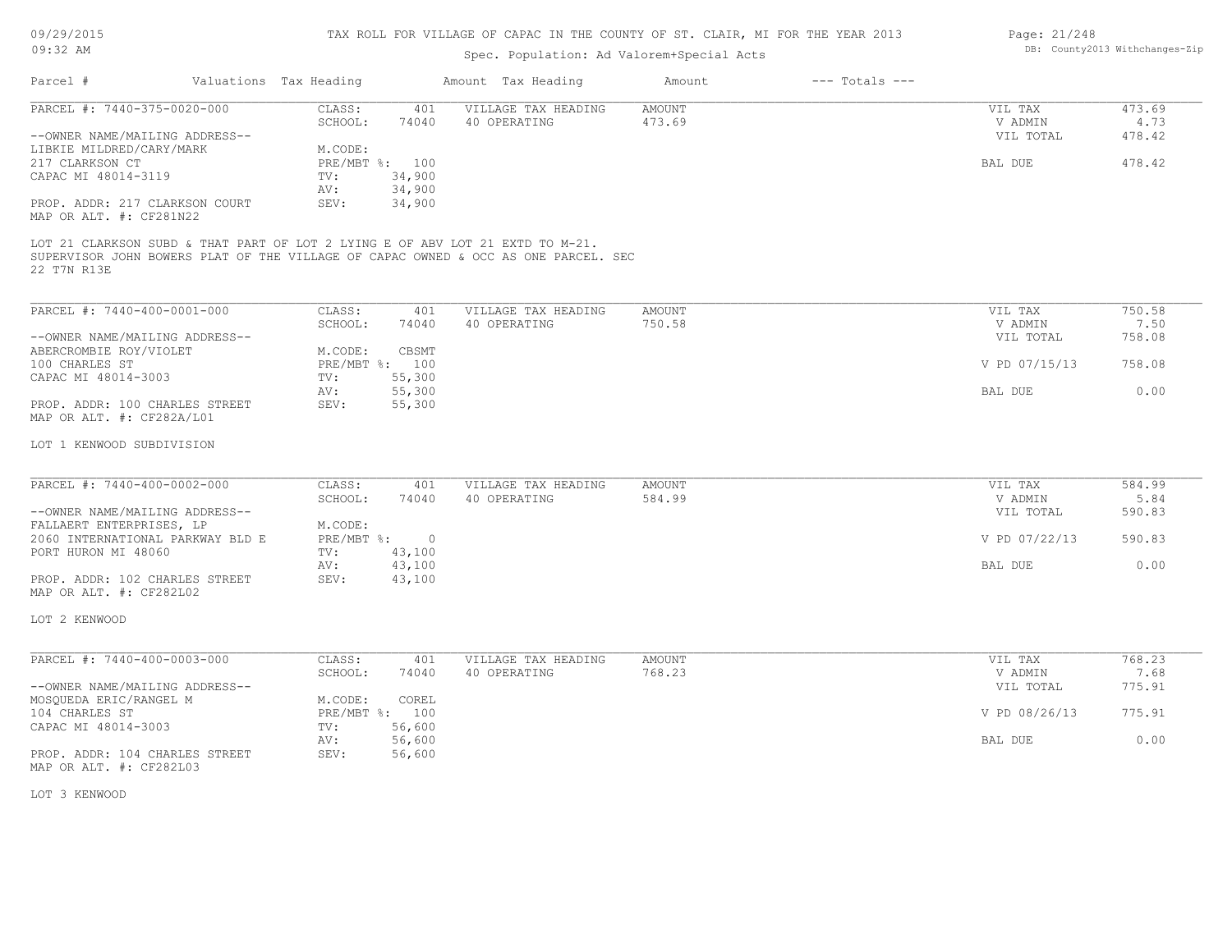# 09/29/2015

### TAX ROLL FOR VILLAGE OF CAPAC IN THE COUNTY OF ST. CLAIR, MI FOR THE YEAR 2013

| 09:32 AM                                                                                     |                        |                  | DB: County2013 Withchanges-Zip                                                     |                         |                    |                    |                |
|----------------------------------------------------------------------------------------------|------------------------|------------------|------------------------------------------------------------------------------------|-------------------------|--------------------|--------------------|----------------|
| Parcel #                                                                                     | Valuations Tax Heading |                  | Amount Tax Heading                                                                 | Amount                  | $---$ Totals $---$ |                    |                |
| PARCEL #: 7440-375-0020-000                                                                  | CLASS:<br>SCHOOL:      | 401<br>74040     | VILLAGE TAX HEADING<br>40 OPERATING                                                | <b>AMOUNT</b><br>473.69 |                    | VIL TAX<br>V ADMIN | 473.69<br>4.73 |
| --OWNER NAME/MAILING ADDRESS--                                                               |                        |                  |                                                                                    |                         |                    | VIL TOTAL          | 478.42         |
| LIBKIE MILDRED/CARY/MARK                                                                     | M.CODE:                |                  |                                                                                    |                         |                    |                    |                |
| 217 CLARKSON CT                                                                              |                        | PRE/MBT %: 100   |                                                                                    |                         |                    | BAL DUE            | 478.42         |
| CAPAC MI 48014-3119                                                                          | TV:                    | 34,900           |                                                                                    |                         |                    |                    |                |
|                                                                                              | AV:<br>SEV:            | 34,900           |                                                                                    |                         |                    |                    |                |
| PROP. ADDR: 217 CLARKSON COURT<br>MAP OR ALT. #: CF281N22                                    |                        | 34,900           |                                                                                    |                         |                    |                    |                |
| LOT 21 CLARKSON SUBD & THAT PART OF LOT 2 LYING E OF ABV LOT 21 EXTD TO M-21.<br>22 T7N R13E |                        |                  | SUPERVISOR JOHN BOWERS PLAT OF THE VILLAGE OF CAPAC OWNED & OCC AS ONE PARCEL. SEC |                         |                    |                    |                |
| PARCEL #: 7440-400-0001-000                                                                  | CLASS:                 | 401              | VILLAGE TAX HEADING                                                                | <b>AMOUNT</b>           |                    | VIL TAX            | 750.58         |
|                                                                                              | SCHOOL:                | 74040            | 40 OPERATING                                                                       | 750.58                  |                    | V ADMIN            | 7.50           |
| --OWNER NAME/MAILING ADDRESS--                                                               |                        |                  |                                                                                    |                         |                    | VIL TOTAL          | 758.08         |
| ABERCROMBIE ROY/VIOLET                                                                       | M.CODE:                | CBSMT            |                                                                                    |                         |                    |                    |                |
| 100 CHARLES ST                                                                               |                        | PRE/MBT %: 100   |                                                                                    |                         |                    | V PD 07/15/13      | 758.08         |
| CAPAC MI 48014-3003                                                                          | TV:                    | 55,300           |                                                                                    |                         |                    |                    |                |
|                                                                                              | AV:                    | 55,300           |                                                                                    |                         |                    | BAL DUE            | 0.00           |
| PROP. ADDR: 100 CHARLES STREET<br>MAP OR ALT. #: CF282A/L01                                  | SEV:                   | 55,300           |                                                                                    |                         |                    |                    |                |
| LOT 1 KENWOOD SUBDIVISION                                                                    |                        |                  |                                                                                    |                         |                    |                    |                |
| PARCEL #: 7440-400-0002-000                                                                  | CLASS:                 | 401              | VILLAGE TAX HEADING                                                                | <b>AMOUNT</b>           |                    | VIL TAX            | 584.99         |
|                                                                                              | SCHOOL:                | 74040            | 40 OPERATING                                                                       | 584.99                  |                    | V ADMIN            | 5.84           |
| --OWNER NAME/MAILING ADDRESS--                                                               |                        |                  |                                                                                    |                         |                    | VIL TOTAL          | 590.83         |
| FALLAERT ENTERPRISES, LP                                                                     | M.CODE:                |                  |                                                                                    |                         |                    |                    |                |
| 2060 INTERNATIONAL PARKWAY BLD E                                                             | PRE/MBT %:             | $\circ$          |                                                                                    |                         |                    | V PD 07/22/13      | 590.83         |
| PORT HURON MI 48060                                                                          | TV:                    | 43,100           |                                                                                    |                         |                    |                    |                |
|                                                                                              | AV:<br>SEV:            | 43,100<br>43,100 |                                                                                    |                         |                    | BAL DUE            | 0.00           |
| PROP. ADDR: 102 CHARLES STREET<br>MAP OR ALT. #: CF282L02                                    |                        |                  |                                                                                    |                         |                    |                    |                |
| LOT 2 KENWOOD                                                                                |                        |                  |                                                                                    |                         |                    |                    |                |
| PARCEL #: 7440-400-0003-000                                                                  | CLASS:                 | 401              | VILLAGE TAX HEADING                                                                | <b>AMOUNT</b>           |                    | VIL TAX            | 768.23         |
|                                                                                              | SCHOOL:                | 74040            | 40 OPERATING                                                                       | 768.23                  |                    | V ADMIN            | 7.68           |
| --OWNER NAME/MAILING ADDRESS--                                                               |                        |                  |                                                                                    |                         |                    | VIL TOTAL          | 775.91         |
| MOSQUEDA ERIC/RANGEL M                                                                       | M.CODE:                | COREL            |                                                                                    |                         |                    |                    |                |
| 104 CHARLES ST                                                                               |                        | PRE/MBT %: 100   |                                                                                    |                         |                    | V PD 08/26/13      | 775.91         |
| CAPAC MI 48014-3003                                                                          | TV:<br>AV:             | 56,600<br>56,600 |                                                                                    |                         |                    | BAL DUE            | 0.00           |
| PROP. ADDR: 104 CHARLES STREET<br>MAP OR ALT. #: CF282L03                                    | SEV:                   | 56,600           |                                                                                    |                         |                    |                    |                |
| LOT 3 KENWOOD                                                                                |                        |                  |                                                                                    |                         |                    |                    |                |
|                                                                                              |                        |                  |                                                                                    |                         |                    |                    |                |
|                                                                                              |                        |                  |                                                                                    |                         |                    |                    |                |
|                                                                                              |                        |                  |                                                                                    |                         |                    |                    |                |

Page: DB: County2013 Withchanges-Zip 21/248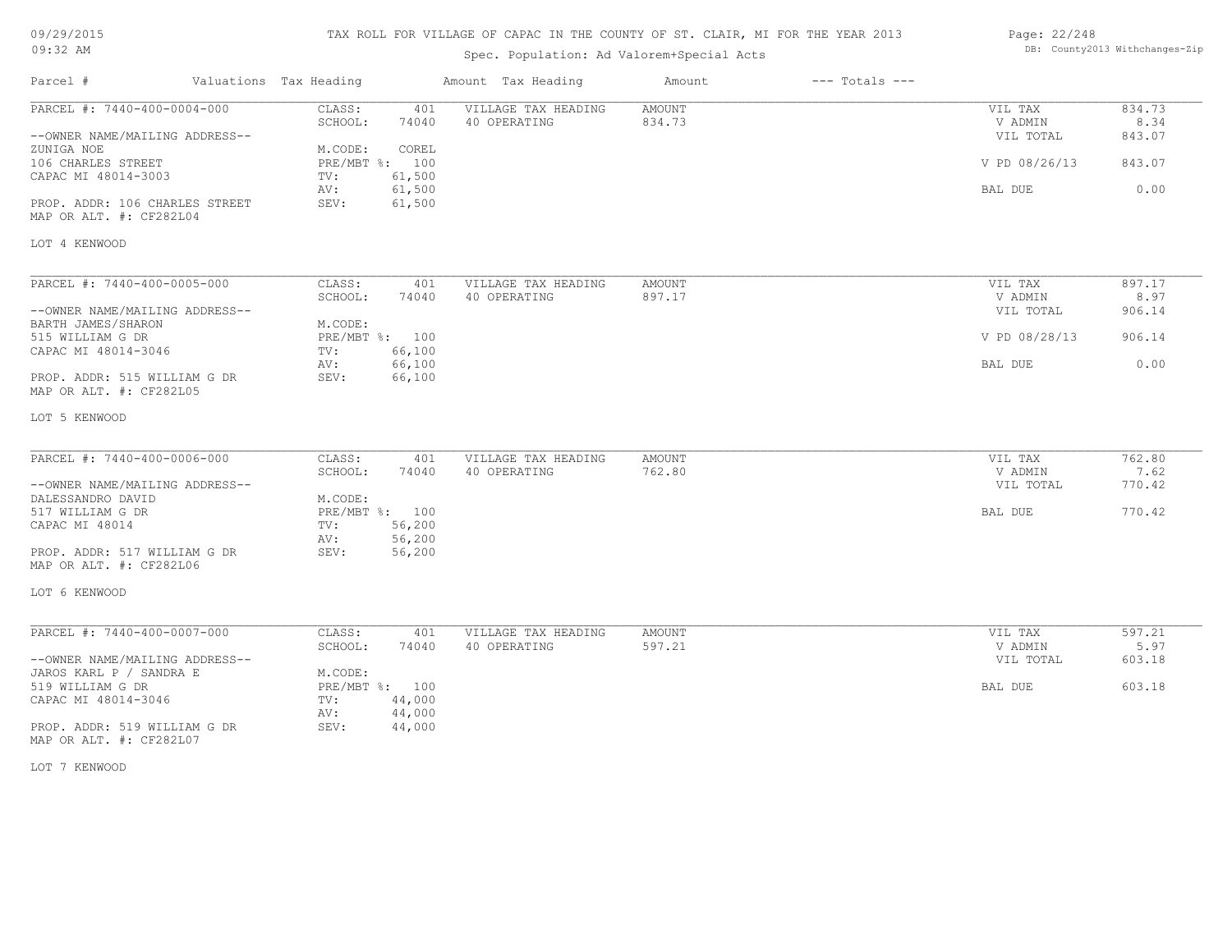| 09/29/2015 |  |
|------------|--|
| $09:32$ AM |  |

# Spec. Population: Ad Valorem+Special Acts

| Page: 22/248 |                                |
|--------------|--------------------------------|
|              | DB: County2013 Withchanges-Zip |

| Parcel #                                                | Valuations Tax Heading |                | Amount Tax Heading  | Amount | $---$ Totals $---$ |               |        |
|---------------------------------------------------------|------------------------|----------------|---------------------|--------|--------------------|---------------|--------|
| PARCEL #: 7440-400-0004-000                             | CLASS:                 | 401            | VILLAGE TAX HEADING | AMOUNT |                    | VIL TAX       | 834.73 |
|                                                         | SCHOOL:                | 74040          | 40 OPERATING        | 834.73 |                    | V ADMIN       | 8.34   |
| --OWNER NAME/MAILING ADDRESS--                          |                        |                |                     |        |                    | VIL TOTAL     | 843.07 |
| ZUNIGA NOE                                              | M.CODE:                | COREL          |                     |        |                    |               |        |
| 106 CHARLES STREET                                      |                        | PRE/MBT %: 100 |                     |        |                    | V PD 08/26/13 | 843.07 |
| CAPAC MI 48014-3003                                     | TV:                    | 61,500         |                     |        |                    |               |        |
|                                                         | AV:                    | 61,500         |                     |        |                    | BAL DUE       | 0.00   |
| PROP. ADDR: 106 CHARLES STREET                          | SEV:                   | 61,500         |                     |        |                    |               |        |
| MAP OR ALT. #: CF282L04                                 |                        |                |                     |        |                    |               |        |
| LOT 4 KENWOOD                                           |                        |                |                     |        |                    |               |        |
|                                                         |                        |                |                     |        |                    |               |        |
| PARCEL #: 7440-400-0005-000                             | CLASS:                 | 401            | VILLAGE TAX HEADING | AMOUNT |                    | VIL TAX       | 897.17 |
|                                                         | SCHOOL:                | 74040          | 40 OPERATING        | 897.17 |                    | V ADMIN       | 8.97   |
| --OWNER NAME/MAILING ADDRESS--                          |                        |                |                     |        |                    | VIL TOTAL     | 906.14 |
| BARTH JAMES/SHARON                                      | M.CODE:                |                |                     |        |                    |               |        |
| 515 WILLIAM G DR                                        |                        | PRE/MBT %: 100 |                     |        |                    | V PD 08/28/13 | 906.14 |
| CAPAC MI 48014-3046                                     | TV:                    | 66,100         |                     |        |                    |               |        |
|                                                         | AV:                    | 66,100         |                     |        |                    | BAL DUE       | 0.00   |
| PROP. ADDR: 515 WILLIAM G DR<br>MAP OR ALT. #: CF282L05 | SEV:                   | 66,100         |                     |        |                    |               |        |
| LOT 5 KENWOOD                                           |                        |                |                     |        |                    |               |        |
|                                                         |                        |                |                     |        |                    |               |        |
| PARCEL #: 7440-400-0006-000                             | CLASS:                 | 401            | VILLAGE TAX HEADING | AMOUNT |                    | VIL TAX       | 762.80 |
|                                                         | SCHOOL:                | 74040          | 40 OPERATING        | 762.80 |                    | V ADMIN       | 7.62   |
| --OWNER NAME/MAILING ADDRESS--                          |                        |                |                     |        |                    | VIL TOTAL     | 770.42 |
| DALESSANDRO DAVID                                       | M.CODE:                |                |                     |        |                    |               |        |
| 517 WILLIAM G DR                                        |                        | PRE/MBT %: 100 |                     |        |                    | BAL DUE       | 770.42 |
| CAPAC MI 48014                                          | TV:                    | 56,200         |                     |        |                    |               |        |
|                                                         | AV:                    | 56,200         |                     |        |                    |               |        |
| PROP. ADDR: 517 WILLIAM G DR<br>MAP OR ALT. #: CF282L06 | SEV:                   | 56,200         |                     |        |                    |               |        |
| LOT 6 KENWOOD                                           |                        |                |                     |        |                    |               |        |
| PARCEL #: 7440-400-0007-000                             | CLASS:                 | 401            | VILLAGE TAX HEADING | AMOUNT |                    | VIL TAX       | 597.21 |
|                                                         | SCHOOL:                | 74040          | 40 OPERATING        | 597.21 |                    | V ADMIN       | 5.97   |
| --OWNER NAME/MAILING ADDRESS--                          |                        |                |                     |        |                    | VIL TOTAL     | 603.18 |
| JAROS KARL P / SANDRA E                                 | M.CODE:                |                |                     |        |                    |               |        |
| 519 WILLIAM G DR                                        |                        | PRE/MBT %: 100 |                     |        |                    | BAL DUE       | 603.18 |
| CAPAC MI 48014-3046                                     | TV:                    | 44,000         |                     |        |                    |               |        |
|                                                         | AV:                    | 44,000         |                     |        |                    |               |        |
| PROP. ADDR: 519 WILLIAM G DR                            | SEV:                   | 44,000         |                     |        |                    |               |        |
| MAP OR ALT. #: CF282L07                                 |                        |                |                     |        |                    |               |        |

LOT 7 KENWOOD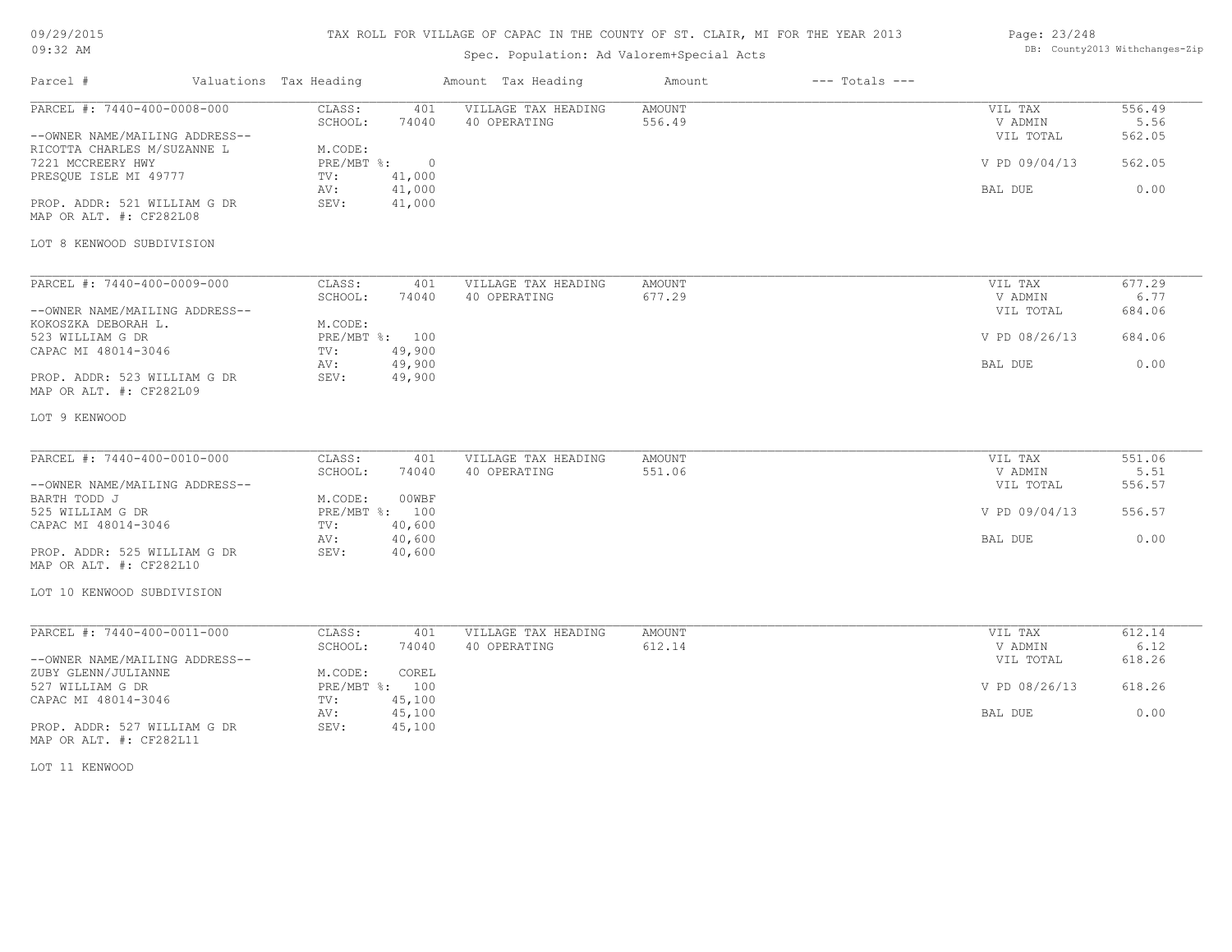# TAX ROLL FOR VILLAGE OF CAPAC IN THE COUNTY OF ST. CLAIR, MI FOR THE YEAR 2013

# Spec. Population: Ad Valorem+Special Acts

### Page: 23/248 DB: County2013 Withchanges-Zip

| Parcel #                                                      | Valuations Tax Heading |                   |                  | Amount Tax Heading                  | Amount           | $---$ Totals $---$ |                      |                |
|---------------------------------------------------------------|------------------------|-------------------|------------------|-------------------------------------|------------------|--------------------|----------------------|----------------|
| PARCEL #: 7440-400-0008-000                                   |                        | CLASS:<br>SCHOOL: | 401<br>74040     | VILLAGE TAX HEADING<br>40 OPERATING | AMOUNT<br>556.49 |                    | VIL TAX<br>V ADMIN   | 556.49<br>5.56 |
| --OWNER NAME/MAILING ADDRESS--<br>RICOTTA CHARLES M/SUZANNE L |                        | M.CODE:           |                  |                                     |                  |                    | VIL TOTAL            | 562.05         |
| 7221 MCCREERY HWY                                             |                        | $PRE/MBT$ $\div$  | $\overline{0}$   |                                     |                  |                    | V PD 09/04/13        | 562.05         |
| PRESQUE ISLE MI 49777                                         |                        | TV:               | 41,000           |                                     |                  |                    |                      |                |
| PROP. ADDR: 521 WILLIAM G DR                                  |                        | AV:<br>SEV:       | 41,000<br>41,000 |                                     |                  |                    | BAL DUE              | 0.00           |
| MAP OR ALT. #: CF282L08                                       |                        |                   |                  |                                     |                  |                    |                      |                |
| LOT 8 KENWOOD SUBDIVISION                                     |                        |                   |                  |                                     |                  |                    |                      |                |
|                                                               |                        |                   |                  |                                     |                  |                    |                      |                |
| PARCEL #: 7440-400-0009-000                                   |                        | CLASS:            | 401              | VILLAGE TAX HEADING                 | AMOUNT           |                    | VIL TAX              | 677.29         |
| --OWNER NAME/MAILING ADDRESS--                                |                        | SCHOOL:           | 74040            | 40 OPERATING                        | 677.29           |                    | V ADMIN<br>VIL TOTAL | 6.77<br>684.06 |
| KOKOSZKA DEBORAH L.                                           |                        | M.CODE:           |                  |                                     |                  |                    |                      |                |
| 523 WILLIAM G DR                                              |                        | PRE/MBT %: 100    |                  |                                     |                  |                    | V PD 08/26/13        | 684.06         |
| CAPAC MI 48014-3046                                           |                        | TV:               | 49,900           |                                     |                  |                    |                      |                |
|                                                               |                        | AV:               | 49,900           |                                     |                  |                    | BAL DUE              | 0.00           |
| PROP. ADDR: 523 WILLIAM G DR<br>MAP OR ALT. #: CF282L09       |                        | SEV:              | 49,900           |                                     |                  |                    |                      |                |
| LOT 9 KENWOOD                                                 |                        |                   |                  |                                     |                  |                    |                      |                |
|                                                               |                        |                   |                  |                                     |                  |                    |                      |                |
| PARCEL #: 7440-400-0010-000                                   |                        | CLASS:            | 401<br>74040     | VILLAGE TAX HEADING<br>40 OPERATING | AMOUNT<br>551.06 |                    | VIL TAX              | 551.06<br>5.51 |
| --OWNER NAME/MAILING ADDRESS--                                |                        | SCHOOL:           |                  |                                     |                  |                    | V ADMIN<br>VIL TOTAL | 556.57         |
| BARTH TODD J                                                  |                        | M.CODE:           | 00WBF            |                                     |                  |                    |                      |                |
| 525 WILLIAM G DR                                              |                        | PRE/MBT %: 100    |                  |                                     |                  |                    | V PD 09/04/13        | 556.57         |
| CAPAC MI 48014-3046                                           |                        | TV:               | 40,600           |                                     |                  |                    |                      |                |
|                                                               |                        | AV:               | 40,600           |                                     |                  |                    | BAL DUE              | 0.00           |
| PROP. ADDR: 525 WILLIAM G DR<br>MAP OR ALT. #: CF282L10       |                        | SEV:              | 40,600           |                                     |                  |                    |                      |                |
| LOT 10 KENWOOD SUBDIVISION                                    |                        |                   |                  |                                     |                  |                    |                      |                |
|                                                               |                        |                   |                  |                                     |                  |                    |                      |                |
| PARCEL #: 7440-400-0011-000                                   |                        | CLASS:            | 401              | VILLAGE TAX HEADING                 | <b>AMOUNT</b>    |                    | VIL TAX              | 612.14         |
| --OWNER NAME/MAILING ADDRESS--                                |                        | SCHOOL:           | 74040            | 40 OPERATING                        | 612.14           |                    | V ADMIN              | 6.12<br>618.26 |
| ZUBY GLENN/JULIANNE                                           |                        | M.CODE:           | COREL            |                                     |                  |                    | VIL TOTAL            |                |
| 527 WILLIAM G DR                                              |                        | PRE/MBT %: 100    |                  |                                     |                  |                    | V PD 08/26/13        | 618.26         |
| CAPAC MI 48014-3046                                           |                        | TV:               | 45,100           |                                     |                  |                    |                      |                |
|                                                               |                        | AV:               | 45,100           |                                     |                  |                    | BAL DUE              | 0.00           |
| PROP. ADDR: 527 WILLIAM G DR<br>MAP OR ALT. #: CF282L11       |                        | SEV:              | 45,100           |                                     |                  |                    |                      |                |

LOT 11 KENWOOD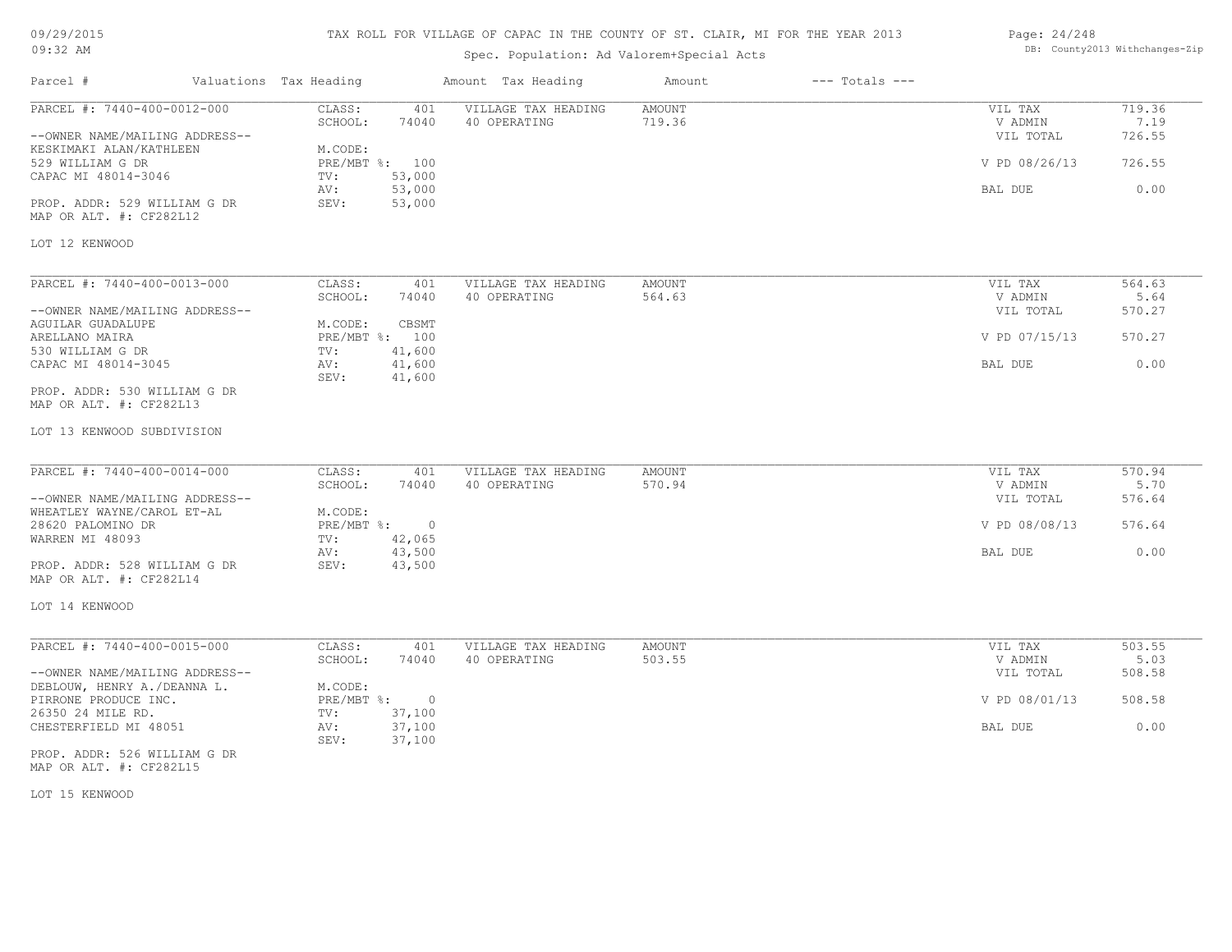# TAX ROLL FOR VILLAGE OF CAPAC IN THE COUNTY OF ST. CLAIR, MI FOR THE YEAR 2013

# Spec. Population: Ad Valorem+Special Acts

### Page: 24/248 DB: County2013 Withchanges-Zip

| Parcel #                                                      | Valuations Tax Heading                              | Amount Tax Heading                  | $---$ Totals $---$<br>Amount |                      |                |
|---------------------------------------------------------------|-----------------------------------------------------|-------------------------------------|------------------------------|----------------------|----------------|
| PARCEL #: 7440-400-0012-000                                   | CLASS:<br>401<br>SCHOOL:<br>74040                   | VILLAGE TAX HEADING<br>40 OPERATING | <b>AMOUNT</b><br>719.36      | VIL TAX<br>V ADMIN   | 719.36<br>7.19 |
| --OWNER NAME/MAILING ADDRESS--<br>KESKIMAKI ALAN/KATHLEEN     | M.CODE:                                             |                                     |                              | VIL TOTAL            | 726.55         |
| 529 WILLIAM G DR<br>CAPAC MI 48014-3046                       | PRE/MBT %: 100<br>53,000<br>TV:                     |                                     |                              | V PD 08/26/13        | 726.55         |
|                                                               | 53,000<br>AV:                                       |                                     |                              | BAL DUE              | 0.00           |
| PROP. ADDR: 529 WILLIAM G DR<br>MAP OR ALT. #: CF282L12       | 53,000<br>SEV:                                      |                                     |                              |                      |                |
| LOT 12 KENWOOD                                                |                                                     |                                     |                              |                      |                |
| PARCEL #: 7440-400-0013-000                                   | CLASS:<br>401                                       | VILLAGE TAX HEADING                 | <b>AMOUNT</b>                | VIL TAX              | 564.63         |
| --OWNER NAME/MAILING ADDRESS--                                | SCHOOL:<br>74040                                    | 40 OPERATING                        | 564.63                       | V ADMIN<br>VIL TOTAL | 5.64<br>570.27 |
| AGUILAR GUADALUPE<br>ARELLANO MAIRA                           | M.CODE:<br>CBSMT<br>PRE/MBT %: 100                  |                                     |                              | V PD 07/15/13        | 570.27         |
| 530 WILLIAM G DR                                              | 41,600<br>TV:                                       |                                     |                              |                      |                |
| CAPAC MI 48014-3045                                           | 41,600<br>AV:<br>41,600<br>SEV:                     |                                     |                              | BAL DUE              | 0.00           |
| PROP. ADDR: 530 WILLIAM G DR<br>MAP OR ALT. #: CF282L13       |                                                     |                                     |                              |                      |                |
| LOT 13 KENWOOD SUBDIVISION                                    |                                                     |                                     |                              |                      |                |
| PARCEL #: 7440-400-0014-000                                   | CLASS:<br>401                                       | VILLAGE TAX HEADING                 | <b>AMOUNT</b>                | VIL TAX              | 570.94         |
|                                                               | SCHOOL:<br>74040                                    | 40 OPERATING                        | 570.94                       | V ADMIN              | 5.70           |
| --OWNER NAME/MAILING ADDRESS--<br>WHEATLEY WAYNE/CAROL ET-AL  | M.CODE:                                             |                                     |                              | VIL TOTAL            | 576.64         |
| 28620 PALOMINO DR<br>WARREN MI 48093                          | PRE/MBT %: 0<br>TV:<br>42,065                       |                                     |                              | V PD 08/08/13        | 576.64         |
|                                                               | 43,500<br>AV:                                       |                                     |                              | BAL DUE              | 0.00           |
| PROP. ADDR: 528 WILLIAM G DR<br>MAP OR ALT. #: CF282L14       | SEV:<br>43,500                                      |                                     |                              |                      |                |
| LOT 14 KENWOOD                                                |                                                     |                                     |                              |                      |                |
| PARCEL #: 7440-400-0015-000                                   | CLASS:<br>401                                       | VILLAGE TAX HEADING                 | AMOUNT                       | VIL TAX              | 503.55         |
|                                                               | SCHOOL:<br>74040                                    | 40 OPERATING                        | 503.55                       | V ADMIN              | 5.03           |
| --OWNER NAME/MAILING ADDRESS--<br>DEBLOUW, HENRY A./DEANNA L. | M.CODE:                                             |                                     |                              | VIL TOTAL            | 508.58         |
| PIRRONE PRODUCE INC.<br>26350 24 MILE RD.                     | $PRE/MBT$ $\div$<br>$\overline{0}$<br>TV:<br>37,100 |                                     |                              | V PD 08/01/13        | 508.58         |
| CHESTERFIELD MI 48051                                         | 37,100<br>AV:<br>37,100<br>SEV:                     |                                     |                              | BAL DUE              | 0.00           |
| PROP. ADDR: 526 WILLIAM G DR<br>MAP OR ALT. #: CF282L15       |                                                     |                                     |                              |                      |                |
|                                                               |                                                     |                                     |                              |                      |                |

LOT 15 KENWOOD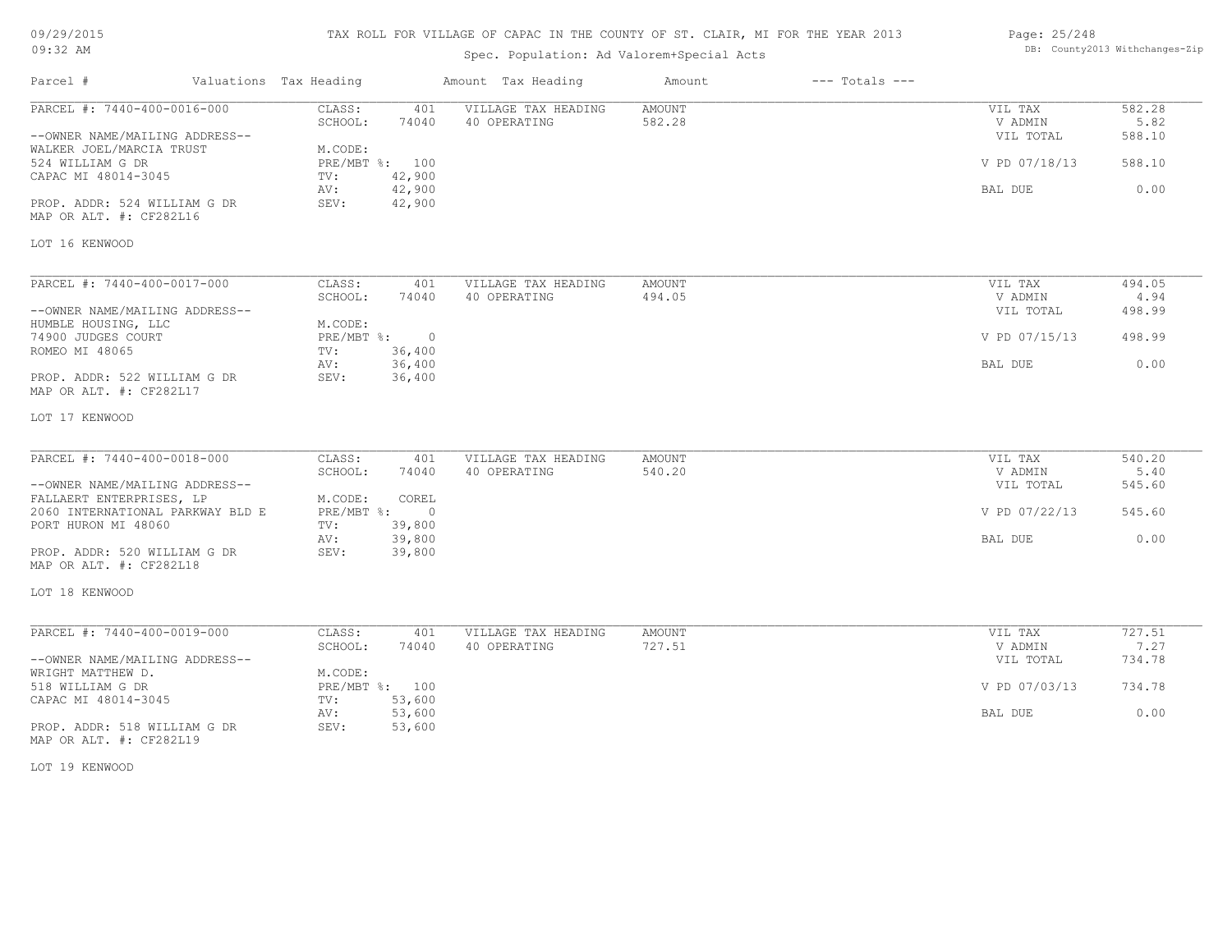# TAX ROLL FOR VILLAGE OF CAPAC IN THE COUNTY OF ST. CLAIR, MI FOR THE YEAR 2013

# Spec. Population: Ad Valorem+Special Acts

### Page: 25/248 DB: County2013 Withchanges-Zip

| Parcel #                                                                                  | Valuations Tax Heading                           | Amount Tax Heading                  | Amount           | $---$ Totals $---$ |                                 |                          |
|-------------------------------------------------------------------------------------------|--------------------------------------------------|-------------------------------------|------------------|--------------------|---------------------------------|--------------------------|
| PARCEL #: 7440-400-0016-000<br>--OWNER NAME/MAILING ADDRESS--<br>WALKER JOEL/MARCIA TRUST | CLASS:<br>401<br>SCHOOL:<br>74040<br>M.CODE:     | VILLAGE TAX HEADING<br>40 OPERATING | AMOUNT<br>582.28 |                    | VIL TAX<br>V ADMIN<br>VIL TOTAL | 582.28<br>5.82<br>588.10 |
| 524 WILLIAM G DR<br>CAPAC MI 48014-3045                                                   | PRE/MBT %: 100<br>42,900<br>TV:<br>42,900<br>AV: |                                     |                  |                    | V PD 07/18/13<br>BAL DUE        | 588.10<br>0.00           |
| PROP. ADDR: 524 WILLIAM G DR<br>MAP OR ALT. #: CF282L16                                   | 42,900<br>SEV:                                   |                                     |                  |                    |                                 |                          |
| LOT 16 KENWOOD                                                                            |                                                  |                                     |                  |                    |                                 |                          |
| PARCEL #: 7440-400-0017-000                                                               | CLASS:<br>401                                    | VILLAGE TAX HEADING                 | <b>AMOUNT</b>    |                    | VIL TAX                         | 494.05                   |
|                                                                                           | SCHOOL:<br>74040                                 | 40 OPERATING                        | 494.05           |                    | V ADMIN                         | 4.94                     |
| --OWNER NAME/MAILING ADDRESS--                                                            |                                                  |                                     |                  |                    | VIL TOTAL                       | 498.99                   |
| HUMBLE HOUSING, LLC                                                                       | M.CODE:                                          |                                     |                  |                    |                                 |                          |
| 74900 JUDGES COURT<br>ROMEO MI 48065                                                      | $PRE/MBT$ $\div$<br>$\overline{0}$               |                                     |                  |                    | V PD 07/15/13                   | 498.99                   |
|                                                                                           | 36,400<br>TV:<br>36,400<br>AV:                   |                                     |                  |                    | BAL DUE                         | 0.00                     |
| PROP. ADDR: 522 WILLIAM G DR<br>MAP OR ALT. #: CF282L17                                   | 36,400<br>SEV:                                   |                                     |                  |                    |                                 |                          |
| LOT 17 KENWOOD                                                                            |                                                  |                                     |                  |                    |                                 |                          |
| PARCEL #: 7440-400-0018-000                                                               | CLASS:<br>401                                    | VILLAGE TAX HEADING                 | <b>AMOUNT</b>    |                    | VIL TAX                         | 540.20                   |
|                                                                                           | SCHOOL:<br>74040                                 | 40 OPERATING                        | 540.20           |                    | V ADMIN                         | 5.40                     |
| --OWNER NAME/MAILING ADDRESS--                                                            |                                                  |                                     |                  |                    | VIL TOTAL                       | 545.60                   |
| FALLAERT ENTERPRISES, LP                                                                  | M.CODE:<br>COREL                                 |                                     |                  |                    |                                 |                          |
| 2060 INTERNATIONAL PARKWAY BLD E                                                          | $PRE/MBT$ $\div$<br>$\overline{0}$               |                                     |                  |                    | V PD 07/22/13                   | 545.60                   |
| PORT HURON MI 48060                                                                       | 39,800<br>TV:                                    |                                     |                  |                    |                                 |                          |
| PROP. ADDR: 520 WILLIAM G DR<br>MAP OR ALT. #: CF282L18                                   | 39,800<br>AV:<br>SEV:<br>39,800                  |                                     |                  |                    | BAL DUE                         | 0.00                     |
| LOT 18 KENWOOD                                                                            |                                                  |                                     |                  |                    |                                 |                          |
| PARCEL #: 7440-400-0019-000                                                               | CLASS:<br>401                                    | VILLAGE TAX HEADING                 | AMOUNT           |                    | VIL TAX                         | 727.51                   |
|                                                                                           | SCHOOL:<br>74040                                 | 40 OPERATING                        | 727.51           |                    | V ADMIN                         | 7.27                     |
| --OWNER NAME/MAILING ADDRESS--                                                            |                                                  |                                     |                  |                    | VIL TOTAL                       | 734.78                   |
| WRIGHT MATTHEW D.                                                                         | M.CODE:                                          |                                     |                  |                    |                                 |                          |
| 518 WILLIAM G DR                                                                          | PRE/MBT %: 100                                   |                                     |                  |                    | V PD 07/03/13                   | 734.78                   |
| CAPAC MI 48014-3045                                                                       | 53,600<br>TV:                                    |                                     |                  |                    |                                 |                          |
| PROP. ADDR: 518 WILLIAM G DR                                                              | 53,600<br>AV:<br>SEV:                            |                                     |                  |                    | BAL DUE                         | 0.00                     |
| MAP OR ALT. #: CF282L19                                                                   | 53,600                                           |                                     |                  |                    |                                 |                          |

LOT 19 KENWOOD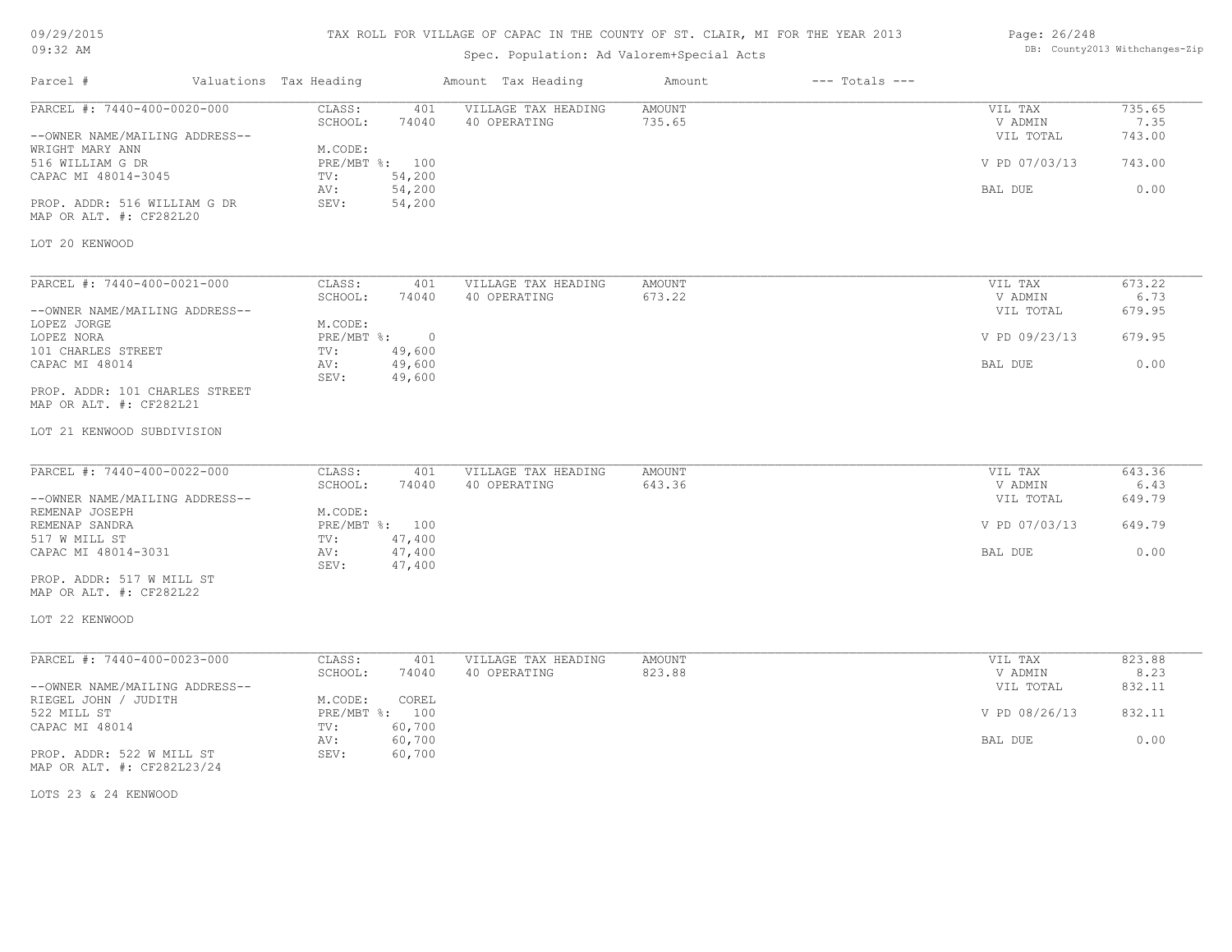# TAX ROLL FOR VILLAGE OF CAPAC IN THE COUNTY OF ST. CLAIR, MI FOR THE YEAR 2013

# Spec. Population: Ad Valorem+Special Acts

### Page: 26/248 DB: County2013 Withchanges-Zip

| Parcel #                                                                                             | Valuations Tax Heading       |                                        | Amount Tax Heading                  | Amount                  | $---$ Totals $---$ |                                                  |                                    |
|------------------------------------------------------------------------------------------------------|------------------------------|----------------------------------------|-------------------------------------|-------------------------|--------------------|--------------------------------------------------|------------------------------------|
| PARCEL #: 7440-400-0020-000<br>--OWNER NAME/MAILING ADDRESS--<br>WRIGHT MARY ANN<br>516 WILLIAM G DR | CLASS:<br>SCHOOL:<br>M.CODE: | 401<br>74040<br>PRE/MBT %: 100         | VILLAGE TAX HEADING<br>40 OPERATING | <b>AMOUNT</b><br>735.65 |                    | VIL TAX<br>V ADMIN<br>VIL TOTAL<br>V PD 07/03/13 | 735.65<br>7.35<br>743.00<br>743.00 |
| CAPAC MI 48014-3045<br>PROP. ADDR: 516 WILLIAM G DR<br>MAP OR ALT. #: CF282L20                       | TV:<br>AV:<br>SEV:           | 54,200<br>54,200<br>54,200             |                                     |                         |                    | BAL DUE                                          | 0.00                               |
| LOT 20 KENWOOD                                                                                       |                              |                                        |                                     |                         |                    |                                                  |                                    |
| PARCEL #: 7440-400-0021-000                                                                          | CLASS:<br>SCHOOL:            | 401<br>74040                           | VILLAGE TAX HEADING<br>40 OPERATING | AMOUNT<br>673.22        |                    | VIL TAX                                          | 673.22<br>6.73                     |
| --OWNER NAME/MAILING ADDRESS--<br>LOPEZ JORGE                                                        | M.CODE:                      |                                        |                                     |                         |                    | V ADMIN<br>VIL TOTAL                             | 679.95                             |
| LOPEZ NORA<br>101 CHARLES STREET                                                                     | TV:                          | $PRE/MBT$ $\div$<br>$\sim$ 0<br>49,600 |                                     |                         |                    | V PD 09/23/13                                    | 679.95                             |
| CAPAC MI 48014                                                                                       | AV:<br>SEV:                  | 49,600<br>49,600                       |                                     |                         |                    | BAL DUE                                          | 0.00                               |
| PROP. ADDR: 101 CHARLES STREET<br>MAP OR ALT. #: CF282L21                                            |                              |                                        |                                     |                         |                    |                                                  |                                    |
| LOT 21 KENWOOD SUBDIVISION                                                                           |                              |                                        |                                     |                         |                    |                                                  |                                    |
| PARCEL #: 7440-400-0022-000                                                                          | CLASS:<br>SCHOOL:            | 401<br>74040                           | VILLAGE TAX HEADING<br>40 OPERATING | <b>AMOUNT</b><br>643.36 |                    | VIL TAX<br>V ADMIN                               | 643.36<br>6.43                     |
| --OWNER NAME/MAILING ADDRESS--<br>REMENAP JOSEPH                                                     | M.CODE:                      |                                        |                                     |                         |                    | VIL TOTAL                                        | 649.79                             |
| REMENAP SANDRA<br>517 W MILL ST                                                                      | TV:                          | PRE/MBT %: 100<br>47,400               |                                     |                         |                    | V PD 07/03/13                                    | 649.79                             |
| CAPAC MI 48014-3031                                                                                  | AV:<br>SEV:                  | 47,400<br>47,400                       |                                     |                         |                    | BAL DUE                                          | 0.00                               |
| PROP. ADDR: 517 W MILL ST<br>MAP OR ALT. #: CF282L22                                                 |                              |                                        |                                     |                         |                    |                                                  |                                    |
| LOT 22 KENWOOD                                                                                       |                              |                                        |                                     |                         |                    |                                                  |                                    |
| PARCEL #: 7440-400-0023-000                                                                          | CLASS:                       | 401                                    | VILLAGE TAX HEADING                 | AMOUNT                  |                    | VIL TAX                                          | 823.88                             |
| --OWNER NAME/MAILING ADDRESS--                                                                       | SCHOOL:                      | 74040                                  | 40 OPERATING                        | 823.88                  |                    | V ADMIN<br>VIL TOTAL                             | 8.23<br>832.11                     |
| RIEGEL JOHN / JUDITH<br>522 MILL ST<br>CAPAC MI 48014                                                | M.CODE:<br>TV:               | COREL<br>PRE/MBT %: 100<br>60,700      |                                     |                         |                    | V PD 08/26/13                                    | 832.11                             |
|                                                                                                      | AV:                          | 60,700                                 |                                     |                         |                    | BAL DUE                                          | 0.00                               |
| PROP. ADDR: 522 W MILL ST<br>MAP OR ALT. #: CF282L23/24                                              | SEV:                         | 60,700                                 |                                     |                         |                    |                                                  |                                    |
| LOTS 23 & 24 KENWOOD                                                                                 |                              |                                        |                                     |                         |                    |                                                  |                                    |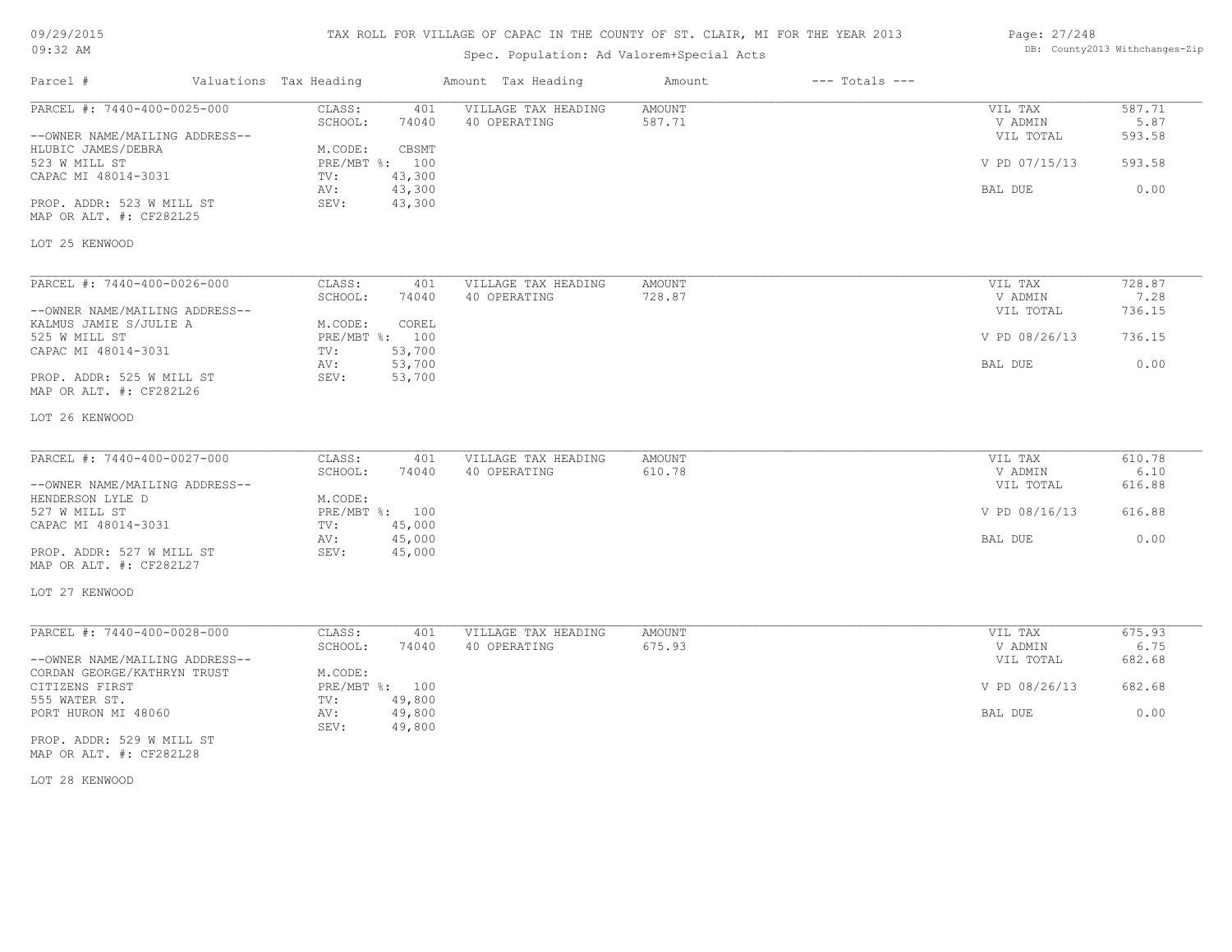| 09/29/2015 |  |
|------------|--|
| $09:32$ AM |  |

# Spec. Population: Ad Valorem+Special Acts

| Page: 27/248 |                                |
|--------------|--------------------------------|
|              | DB: County2013 Withchanges-Zip |

| Parcel #                                                                                                                                                                                | Valuations Tax Heading                                               |                                                     | Amount Tax Heading                  | Amount           | $---$ Totals $---$ |                                                             |                                            |
|-----------------------------------------------------------------------------------------------------------------------------------------------------------------------------------------|----------------------------------------------------------------------|-----------------------------------------------------|-------------------------------------|------------------|--------------------|-------------------------------------------------------------|--------------------------------------------|
| PARCEL #: 7440-400-0025-000<br>--OWNER NAME/MAILING ADDRESS--<br>HLUBIC JAMES/DEBRA<br>523 W MILL ST<br>CAPAC MI 48014-3031<br>PROP. ADDR: 523 W MILL ST<br>MAP OR ALT. #: CF282L25     | CLASS:<br>SCHOOL:<br>M.CODE:<br>PRE/MBT %: 100<br>TV:<br>AV:<br>SEV: | 401<br>74040<br>CBSMT<br>43,300<br>43,300<br>43,300 | VILLAGE TAX HEADING<br>40 OPERATING | AMOUNT<br>587.71 |                    | VIL TAX<br>V ADMIN<br>VIL TOTAL<br>V PD 07/15/13<br>BAL DUE | 587.71<br>5.87<br>593.58<br>593.58<br>0.00 |
| LOT 25 KENWOOD                                                                                                                                                                          |                                                                      |                                                     |                                     |                  |                    |                                                             |                                            |
| PARCEL #: 7440-400-0026-000<br>--OWNER NAME/MAILING ADDRESS--<br>KALMUS JAMIE S/JULIE A<br>525 W MILL ST<br>CAPAC MI 48014-3031<br>PROP. ADDR: 525 W MILL ST<br>MAP OR ALT. #: CF282L26 | CLASS:<br>SCHOOL:<br>M.CODE:<br>PRE/MBT %: 100<br>TV:<br>AV:<br>SEV: | 401<br>74040<br>COREL<br>53,700<br>53,700<br>53,700 | VILLAGE TAX HEADING<br>40 OPERATING | AMOUNT<br>728.87 |                    | VIL TAX<br>V ADMIN<br>VIL TOTAL<br>V PD 08/26/13<br>BAL DUE | 728.87<br>7.28<br>736.15<br>736.15<br>0.00 |
| LOT 26 KENWOOD                                                                                                                                                                          |                                                                      |                                                     |                                     |                  |                    |                                                             |                                            |
| PARCEL #: 7440-400-0027-000<br>--OWNER NAME/MAILING ADDRESS--<br>HENDERSON LYLE D<br>527 W MILL ST<br>CAPAC MI 48014-3031                                                               | CLASS:<br>SCHOOL:<br>M.CODE:<br>PRE/MBT %: 100<br>TV:                | 401<br>74040<br>45,000                              | VILLAGE TAX HEADING<br>40 OPERATING | AMOUNT<br>610.78 |                    | VIL TAX<br>V ADMIN<br>VIL TOTAL<br>V PD 08/16/13            | 610.78<br>6.10<br>616.88<br>616.88         |
| PROP. ADDR: 527 W MILL ST<br>MAP OR ALT. #: CF282L27<br>LOT 27 KENWOOD                                                                                                                  | AV:<br>SEV:                                                          | 45,000<br>45,000                                    |                                     |                  |                    | BAL DUE                                                     | 0.00                                       |
| PARCEL #: 7440-400-0028-000<br>--OWNER NAME/MAILING ADDRESS--                                                                                                                           | CLASS:<br>SCHOOL:                                                    | 401<br>74040                                        | VILLAGE TAX HEADING<br>40 OPERATING | AMOUNT<br>675.93 |                    | VIL TAX<br>V ADMIN<br>VIL TOTAL                             | 675.93<br>6.75<br>682.68                   |
| CORDAN GEORGE/KATHRYN TRUST<br>CITIZENS FIRST<br>555 WATER ST.<br>PORT HURON MI 48060                                                                                                   | M.CODE:<br>PRE/MBT %: 100<br>TV:<br>AV:<br>SEV:                      | 49,800<br>49,800<br>49,800                          |                                     |                  |                    | V PD 08/26/13<br>BAL DUE                                    | 682.68<br>0.00                             |
| PROP. ADDR: 529 W MILL ST<br>MAP OR ALT. #: CF282L28                                                                                                                                    |                                                                      |                                                     |                                     |                  |                    |                                                             |                                            |

LOT 28 KENWOOD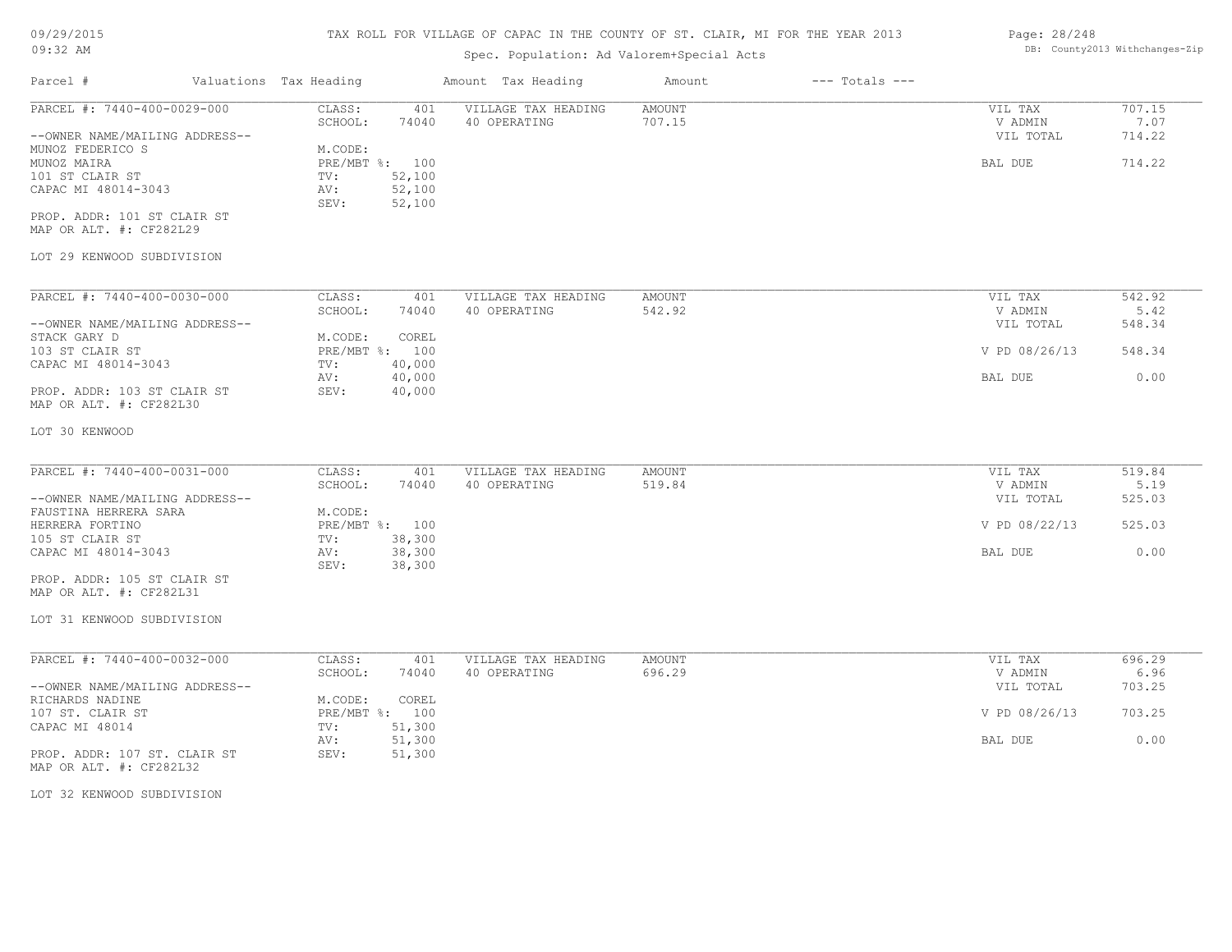### TAX ROLL FOR VILLAGE OF CAPAC IN THE COUNTY OF ST. CLAIR, MI FOR THE YEAR 2013

# Parcel # Valuations Tax Heading Amount Tax Heading Amount --- Totals ---Spec. Population: Ad Valorem+Special Acts LOT 29 KENWOOD SUBDIVISION MAP OR ALT. #: CF282L29 PROP. ADDR: 101 ST CLAIR ST SEV: 52,100 CAPAC MI 48014-3043 AV: 52,100 101 ST CLAIR ST  $TV:$  52,100 MUNOZ MAIRA PRE/MBT %: 100 BAL DUE 714.22 MUNOZ FEDERICO S M.CODE: --OWNER NAME/MAILING ADDRESS-- VIL TOTAL 714.22 SCHOOL: 74040 40 OPERATING 707.15 7 and the value of  $7.07$ PARCEL #: 7440-400-0029-000 CLASS: 401 VILLAGE TAX HEADING AMOUNT VIL TAX VIL TAX 707.15<br>SCHOOL: 74040 40 OPERATING 707.15 VADMIN 7.07  $\mathcal{L}_\mathcal{L} = \mathcal{L}_\mathcal{L} = \mathcal{L}_\mathcal{L} = \mathcal{L}_\mathcal{L} = \mathcal{L}_\mathcal{L} = \mathcal{L}_\mathcal{L} = \mathcal{L}_\mathcal{L} = \mathcal{L}_\mathcal{L} = \mathcal{L}_\mathcal{L} = \mathcal{L}_\mathcal{L} = \mathcal{L}_\mathcal{L} = \mathcal{L}_\mathcal{L} = \mathcal{L}_\mathcal{L} = \mathcal{L}_\mathcal{L} = \mathcal{L}_\mathcal{L} = \mathcal{L}_\mathcal{L} = \mathcal{L}_\mathcal{L}$ LOT 30 KENWOOD MAP OR ALT. #: CF282L30 PROP. ADDR: 103 ST CLAIR ST SEV: 40,000 AV: 40,000 BAL DUE 0.00 CAPAC MI 48014-3043 TV: 40,000<br>AV: 40.000 103 ST CLAIR ST PRE/MBT %: 100 V PD 08/26/13 548.34 STACK GARY D<br>
103 ST CLAIR ST<br>
103 ST CLAIR ST<br>
100 --OWNER NAME/MAILING ADDRESS-- VIL TOTAL 548.34 SCHOOL: 74040 40 OPERATING 542.92 5.42 PARCEL #: 7440-400-0030-000 CLASS: 401 VILLAGE TAX HEADING AMOUNT VIL TAX 542.92 LOT 31 KENWOOD SUBDIVISION MAP OR ALT. #: CF282L31 PROP. ADDR: 105 ST CLAIR ST SEV: 38,300 CAPAC MI 48014-3043 AV: 38,300 BAL DUE 0.00 105 ST CLAIR ST (1991)<br>
CAPAC MI 48014-3043 (2012) AV: 38,300 HERRERA FORTINO PRE/MBT %: 100 V PD 08/22/13 525.03 FAUSTINA HERRERA SARA M.CODE: --OWNER NAME/MAILING ADDRESS-- VIL TOTAL 525.03 SCHOOL: 74040 40 OPERATING 519.84 5.19 5 19.84 PARCEL #: 7440-400-0031-000 CLASS: 401 VILLAGE TAX HEADING AMOUNT VIL TAX 519.84 519.84 519.84  $\mathcal{L}_\mathcal{L} = \mathcal{L}_\mathcal{L} = \mathcal{L}_\mathcal{L} = \mathcal{L}_\mathcal{L} = \mathcal{L}_\mathcal{L} = \mathcal{L}_\mathcal{L} = \mathcal{L}_\mathcal{L} = \mathcal{L}_\mathcal{L} = \mathcal{L}_\mathcal{L} = \mathcal{L}_\mathcal{L} = \mathcal{L}_\mathcal{L} = \mathcal{L}_\mathcal{L} = \mathcal{L}_\mathcal{L} = \mathcal{L}_\mathcal{L} = \mathcal{L}_\mathcal{L} = \mathcal{L}_\mathcal{L} = \mathcal{L}_\mathcal{L}$ LOT 32 KENWOOD SUBDIVISION MAP OR ALT. #: CF282L32 PROP. ADDR: 107 ST. CLAIR ST SEV: 51,300 AV: 51,300 BAL DUE 0.00 CAPAC MI 48014 TV: 51,300<br>
AV: 51,300 107 ST. CLAIR ST PRE/MBT %: 100 V PD 08/26/13 703.25 RICHARDS NADINE M.CODE: COREL 107 ST. CLAIR ST --OWNER NAME/MAILING ADDRESS-- VIL TOTAL 703.25 SCHOOL: 74040 40 OPERATING 696.29 V ADMIN 6.96 PARCEL #: 7440-400-0032-000 CLASS: 401 VILLAGE TAX HEADING AMOUNT VIL TAX 696.29

Page: 28/248 DB: County2013 Withchanges-Zip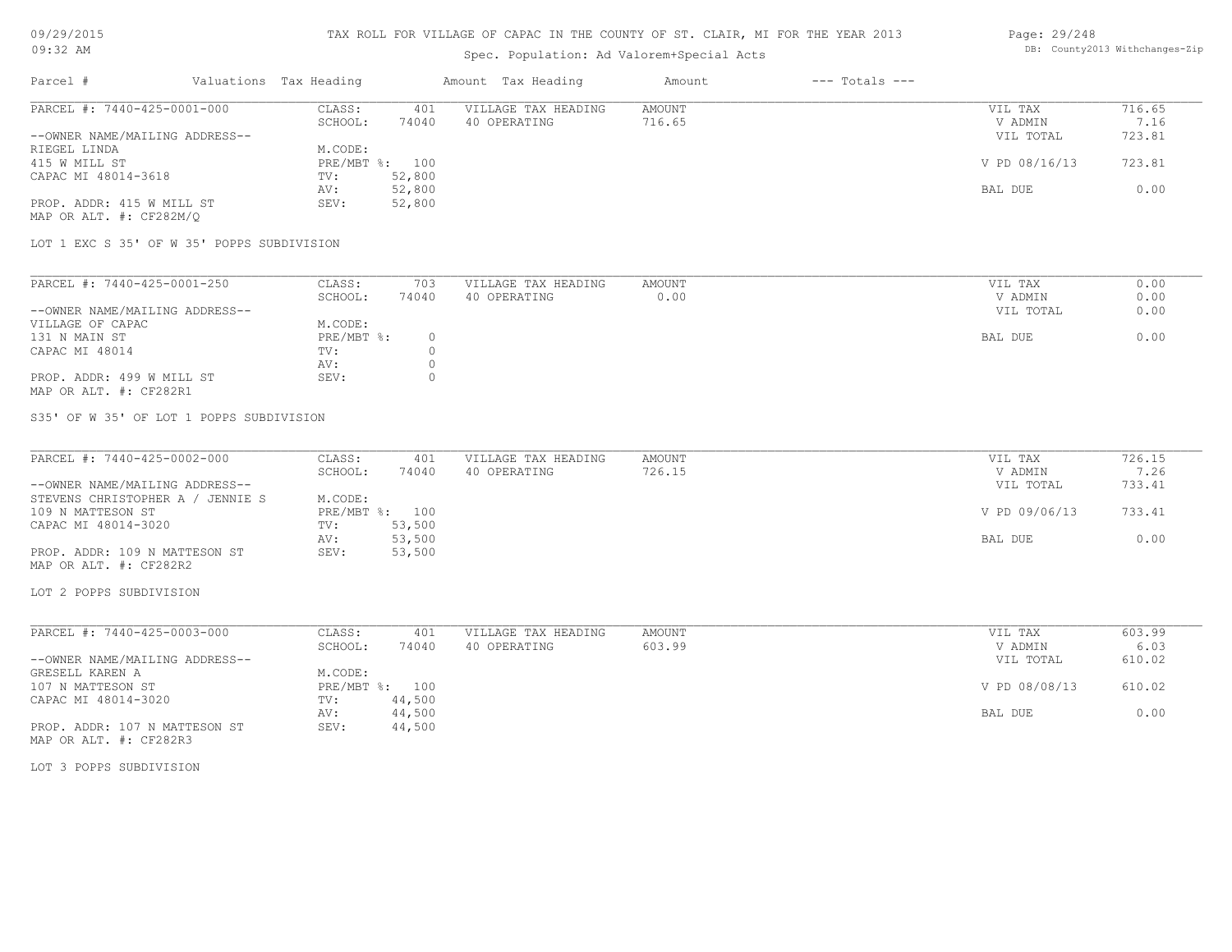# Spec. Population: Ad Valorem+Special Acts

### Page: 29/248 DB: County2013 Withchanges-Zip

| Parcel #                       | Valuations Tax Heading |        | Amount Tax Heading  | Amount | $---$ Totals $---$ |               |        |
|--------------------------------|------------------------|--------|---------------------|--------|--------------------|---------------|--------|
| PARCEL #: 7440-425-0001-000    | CLASS:                 | 401    | VILLAGE TAX HEADING | AMOUNT |                    | VIL TAX       | 716.65 |
|                                | SCHOOL:                | 74040  | 40 OPERATING        | 716.65 |                    | V ADMIN       | 7.16   |
| --OWNER NAME/MAILING ADDRESS-- |                        |        |                     |        |                    | VIL TOTAL     | 723.81 |
| RIEGEL LINDA                   | M.CODE:                |        |                     |        |                    |               |        |
| 415 W MILL ST                  | PRE/MBT %: 100         |        |                     |        |                    | V PD 08/16/13 | 723.81 |
| CAPAC MI 48014-3618            | TV:                    | 52,800 |                     |        |                    |               |        |
|                                | AV:                    | 52,800 |                     |        |                    | BAL DUE       | 0.00   |
| PROP. ADDR: 415 W MILL ST      | SEV:                   | 52,800 |                     |        |                    |               |        |
| MAP OR ALT. #: CF282M/O        |                        |        |                     |        |                    |               |        |

LOT 1 EXC S 35' OF W 35' POPPS SUBDIVISION

| PARCEL #: 7440-425-0001-250    | CLASS:     | 703   | VILLAGE TAX HEADING | AMOUNT | VIL TAX   | 0.00 |
|--------------------------------|------------|-------|---------------------|--------|-----------|------|
|                                | SCHOOL:    | 74040 | 40 OPERATING        | 0.00   | V ADMIN   | 0.00 |
| --OWNER NAME/MAILING ADDRESS-- |            |       |                     |        | VIL TOTAL | 0.00 |
| VILLAGE OF CAPAC               | M.CODE:    |       |                     |        |           |      |
| 131 N MAIN ST                  | PRE/MBT %: |       |                     |        | BAL DUE   | 0.00 |
| CAPAC MI 48014                 | TV:        |       |                     |        |           |      |
|                                | AV:        |       |                     |        |           |      |
| PROP. ADDR: 499 W MILL ST      | SEV:       |       |                     |        |           |      |
| MAP OR ALT. #: CF282R1         |            |       |                     |        |           |      |

S35' OF W 35' OF LOT 1 POPPS SUBDIVISION

| PARCEL #: 7440-425-0002-000      | CLASS:  | 401            | VILLAGE TAX HEADING | AMOUNT | VIL TAX       | 726.15 |
|----------------------------------|---------|----------------|---------------------|--------|---------------|--------|
|                                  | SCHOOL: | 74040          | 40 OPERATING        | 726.15 | V ADMIN       | 7.26   |
| --OWNER NAME/MAILING ADDRESS--   |         |                |                     |        | VIL TOTAL     | 733.41 |
| STEVENS CHRISTOPHER A / JENNIE S | M.CODE: |                |                     |        |               |        |
| 109 N MATTESON ST                |         | PRE/MBT %: 100 |                     |        | V PD 09/06/13 | 733.41 |
| CAPAC MI 48014-3020              | TV:     | 53,500         |                     |        |               |        |
|                                  | AV:     | 53,500         |                     |        | BAL DUE       | 0.00   |
| PROP. ADDR: 109 N MATTESON ST    | SEV:    | 53,500         |                     |        |               |        |
| MAP OR ALT. #: CF282R2           |         |                |                     |        |               |        |

LOT 2 POPPS SUBDIVISION

| PARCEL #: 7440-425-0003-000    | CLASS:       | 401    | VILLAGE TAX HEADING | AMOUNT | VIL TAX       | 603.99 |
|--------------------------------|--------------|--------|---------------------|--------|---------------|--------|
|                                | SCHOOL:      | 74040  | 40 OPERATING        | 603.99 | V ADMIN       | 6.03   |
| --OWNER NAME/MAILING ADDRESS-- |              |        |                     |        | VIL TOTAL     | 610.02 |
| GRESELL KAREN A                | M.CODE:      |        |                     |        |               |        |
| 107 N MATTESON ST              | $PRE/MBT$ %: | 100    |                     |        | V PD 08/08/13 | 610.02 |
| CAPAC MI 48014-3020            | TV:          | 44,500 |                     |        |               |        |
|                                | AV:          | 44,500 |                     |        | BAL DUE       | 0.00   |
| PROP. ADDR: 107 N MATTESON ST  | SEV:         | 44,500 |                     |        |               |        |

MAP OR ALT. #: CF282R3

LOT 3 POPPS SUBDIVISION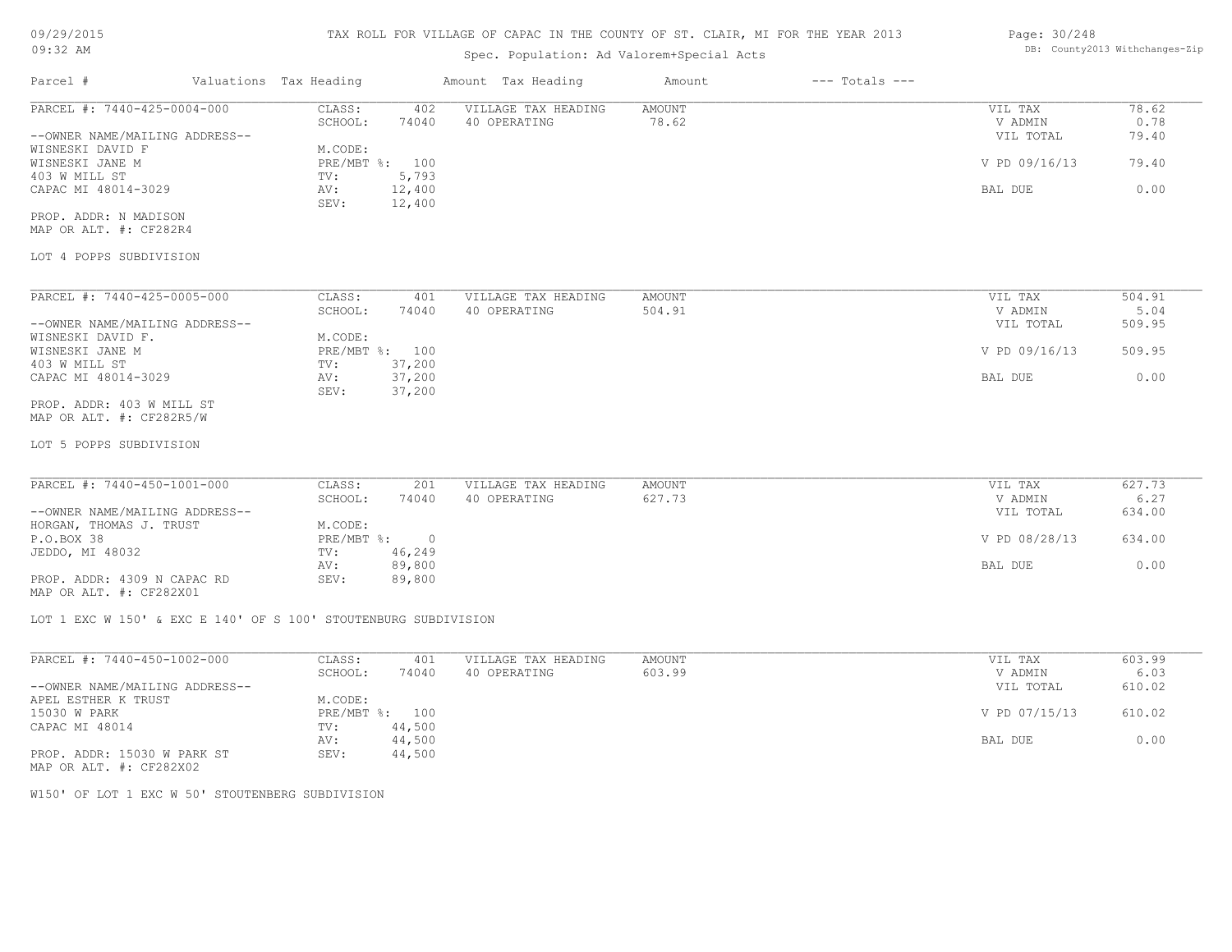# Spec. Population: Ad Valorem+Special Acts

| Page: 30/248 |                                |
|--------------|--------------------------------|
|              | DB: County2013 Withchanges-Zip |

| Parcel #                       | Valuations Tax Heading |        | Amount Tax Heading  | Amount | $---$ Totals $---$ |               |        |
|--------------------------------|------------------------|--------|---------------------|--------|--------------------|---------------|--------|
| PARCEL #: 7440-425-0004-000    | CLASS:                 | 402    | VILLAGE TAX HEADING | AMOUNT |                    | VIL TAX       | 78.62  |
|                                | SCHOOL:                | 74040  | 40 OPERATING        | 78.62  |                    | V ADMIN       | 0.78   |
| --OWNER NAME/MAILING ADDRESS-- |                        |        |                     |        |                    | VIL TOTAL     | 79.40  |
| WISNESKI DAVID F               | M.CODE:                |        |                     |        |                    |               |        |
| WISNESKI JANE M                | $PRE/MBT$ $\div$       | 100    |                     |        |                    | V PD 09/16/13 | 79.40  |
| 403 W MILL ST                  | TV:                    | 5,793  |                     |        |                    |               |        |
| CAPAC MI 48014-3029            | AV:                    | 12,400 |                     |        |                    | BAL DUE       | 0.00   |
|                                | SEV:                   | 12,400 |                     |        |                    |               |        |
| PROP. ADDR: N MADISON          |                        |        |                     |        |                    |               |        |
| MAP OR ALT. #: CF282R4         |                        |        |                     |        |                    |               |        |
| LOT 4 POPPS SUBDIVISION        |                        |        |                     |        |                    |               |        |
| PARCEL #: 7440-425-0005-000    | CLASS:                 | 401    | VILLAGE TAX HEADING | AMOUNT |                    | VIL TAX       | 504.91 |
|                                | SCHOOL:                | 74040  | 40 OPERATING        | 504.91 |                    | V ADMIN       | 5.04   |
| --OWNER NAME/MAILING ADDRESS-- |                        |        |                     |        |                    | VIL TOTAL     | 509.95 |
| WISNESKI DAVID F.              | M.CODE:                |        |                     |        |                    |               |        |
| WISNESKI JANE M                | $PRE/MBT$ $\div$ :     | 100    |                     |        |                    | V PD 09/16/13 | 509.95 |
| 403 W MILL ST                  | TV:                    | 37,200 |                     |        |                    |               |        |
| CAPAC MI 48014-3029            | AV:                    | 37,200 |                     |        |                    | BAL DUE       | 0.00   |
|                                | SEV:                   |        |                     |        |                    |               |        |
| PROP. ADDR: 403 W MILL ST      |                        | 37,200 |                     |        |                    |               |        |
| MAP OR ALT. #: CF282R5/W       |                        |        |                     |        |                    |               |        |
|                                |                        |        |                     |        |                    |               |        |

LOT 5 POPPS SUBDIVISION

| PARCEL #: 7440-450-1001-000    | CLASS:     | 201    | VILLAGE TAX HEADING | AMOUNT | VIL TAX       | 627.73 |
|--------------------------------|------------|--------|---------------------|--------|---------------|--------|
|                                | SCHOOL:    | 74040  | 40 OPERATING        | 627.73 | V ADMIN       | 6.27   |
| --OWNER NAME/MAILING ADDRESS-- |            |        |                     |        | VIL TOTAL     | 634.00 |
| HORGAN, THOMAS J. TRUST        | M.CODE:    |        |                     |        |               |        |
| P.O.BOX 38                     | PRE/MBT %: |        |                     |        | V PD 08/28/13 | 634.00 |
| JEDDO, MI 48032                | TV:        | 46,249 |                     |        |               |        |
|                                | AV:        | 89,800 |                     |        | BAL DUE       | 0.00   |
| PROP. ADDR: 4309 N CAPAC RD    | SEV:       | 89,800 |                     |        |               |        |
|                                |            |        |                     |        |               |        |

MAP OR ALT. #: CF282X01

LOT 1 EXC W 150' & EXC E 140' OF S 100' STOUTENBURG SUBDIVISION

| PARCEL #: 7440-450-1002-000                                                 | CLASS:       | 401    | VILLAGE TAX HEADING | AMOUNT | VIL TAX       | 603.99 |
|-----------------------------------------------------------------------------|--------------|--------|---------------------|--------|---------------|--------|
|                                                                             | SCHOOL:      | 74040  | 40 OPERATING        | 603.99 | V ADMIN       | 6.03   |
| --OWNER NAME/MAILING ADDRESS--                                              |              |        |                     |        | VIL TOTAL     | 610.02 |
| APEL ESTHER K TRUST                                                         | M.CODE:      |        |                     |        |               |        |
| 15030 W PARK                                                                | $PRE/MBT$ %: | 100    |                     |        | V PD 07/15/13 | 610.02 |
| CAPAC MI 48014                                                              | TV:          | 44,500 |                     |        |               |        |
|                                                                             | AV:          | 44,500 |                     |        | BAL DUE       | 0.00   |
| PROP. ADDR: 15030 W PARK ST<br>$\cdots$ $\cdots$ $\cdots$ $\cdots$ $\cdots$ | SEV:         | 44,500 |                     |        |               |        |

MAP OR ALT. #: CF282X02

W150' OF LOT 1 EXC W 50' STOUTENBERG SUBDIVISION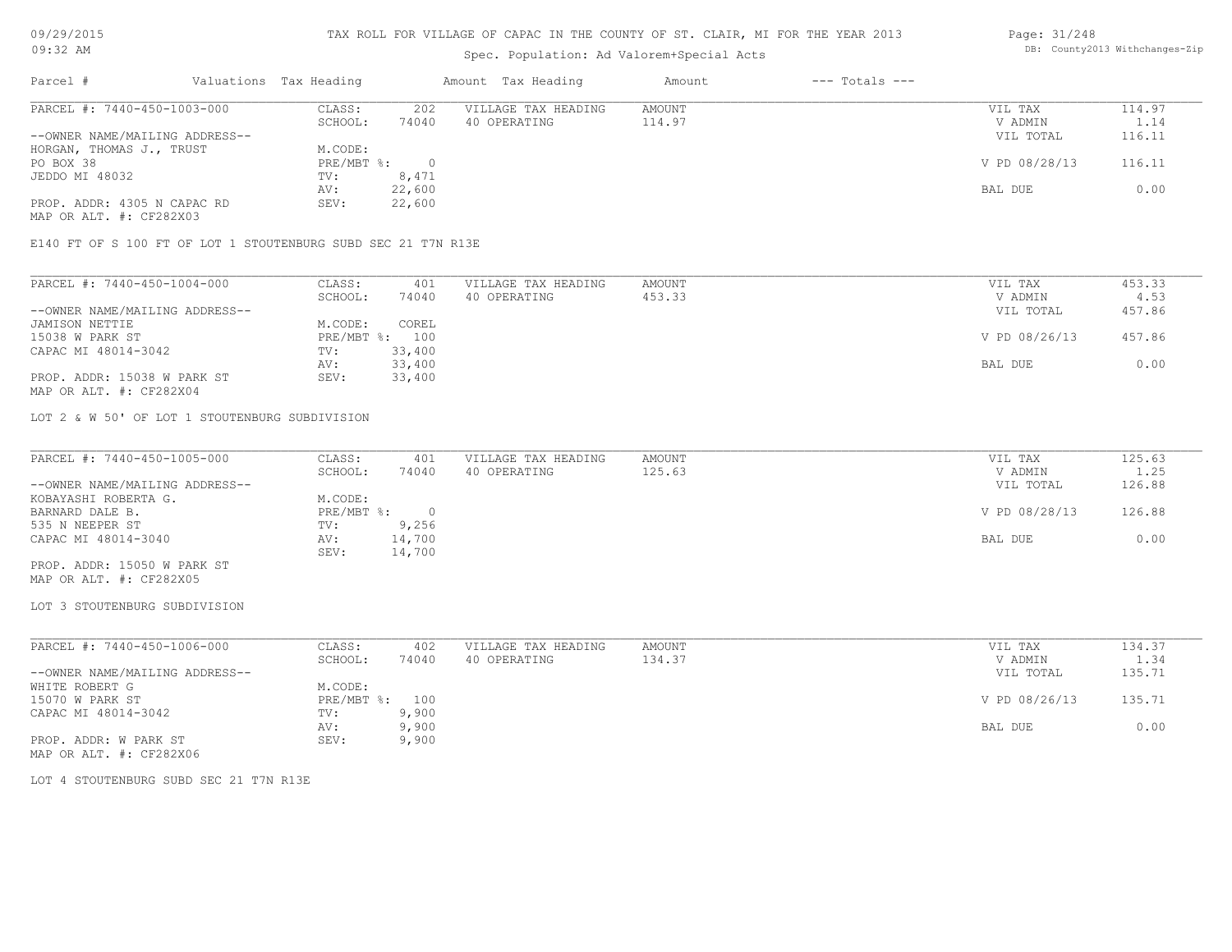# Spec. Population: Ad Valorem+Special Acts

### Page: 31/248 DB: County2013 Withchanges-Zip

| Parcel #                       | Valuations Tax Heading |        | Amount Tax Heading  | Amount | $---$ Totals $---$ |               |        |
|--------------------------------|------------------------|--------|---------------------|--------|--------------------|---------------|--------|
| PARCEL #: 7440-450-1003-000    | CLASS:                 | 202    | VILLAGE TAX HEADING | AMOUNT |                    | VIL TAX       | 114.97 |
|                                | SCHOOL:                | 74040  | 40 OPERATING        | 114.97 |                    | V ADMIN       | 1.14   |
| --OWNER NAME/MAILING ADDRESS-- |                        |        |                     |        |                    | VIL TOTAL     | 116.11 |
| HORGAN, THOMAS J., TRUST       | M.CODE:                |        |                     |        |                    |               |        |
| PO BOX 38                      | PRE/MBT %:             |        |                     |        |                    | V PD 08/28/13 | 116.11 |
| JEDDO MI 48032                 | TV:                    | 8,471  |                     |        |                    |               |        |
|                                | AV:                    | 22,600 |                     |        |                    | BAL DUE       | 0.00   |
| PROP. ADDR: 4305 N CAPAC RD    | SEV:                   | 22,600 |                     |        |                    |               |        |
|                                |                        |        |                     |        |                    |               |        |

MAP OR ALT. #: CF282X03

E140 FT OF S 100 FT OF LOT 1 STOUTENBURG SUBD SEC 21 T7N R13E

| PARCEL #: 7440-450-1004-000    | CLASS:  | 401            | VILLAGE TAX HEADING | AMOUNT | VIL TAX       | 453.33 |
|--------------------------------|---------|----------------|---------------------|--------|---------------|--------|
|                                | SCHOOL: | 74040          | 40 OPERATING        | 453.33 | V ADMIN       | 4.53   |
| --OWNER NAME/MAILING ADDRESS-- |         |                |                     |        | VIL TOTAL     | 457.86 |
| JAMISON NETTIE                 | M.CODE: | COREL          |                     |        |               |        |
| 15038 W PARK ST                |         | PRE/MBT %: 100 |                     |        | V PD 08/26/13 | 457.86 |
| CAPAC MI 48014-3042            | TV:     | 33,400         |                     |        |               |        |
|                                | AV:     | 33,400         |                     |        | BAL DUE       | 0.00   |
| PROP. ADDR: 15038 W PARK ST    | SEV:    | 33,400         |                     |        |               |        |
| MAP OR ALT. #: CF282X04        |         |                |                     |        |               |        |

LOT 2 & W 50' OF LOT 1 STOUTENBURG SUBDIVISION

| PARCEL #: 7440-450-1005-000    | CLASS:     | 401    | VILLAGE TAX HEADING | AMOUNT | VIL TAX       | 125.63 |
|--------------------------------|------------|--------|---------------------|--------|---------------|--------|
|                                | SCHOOL:    | 74040  | 40 OPERATING        | 125.63 | V ADMIN       | 1.25   |
| --OWNER NAME/MAILING ADDRESS-- |            |        |                     |        | VIL TOTAL     | 126.88 |
| KOBAYASHI ROBERTA G.           | M.CODE:    |        |                     |        |               |        |
| BARNARD DALE B.                | PRE/MBT %: |        |                     |        | V PD 08/28/13 | 126.88 |
| 535 N NEEPER ST                | TV:        | 9,256  |                     |        |               |        |
| CAPAC MI 48014-3040            | AV:        | 14,700 |                     |        | BAL DUE       | 0.00   |
|                                | SEV:       | 14,700 |                     |        |               |        |
| PROP. ADDR: 15050 W PARK ST    |            |        |                     |        |               |        |

MAP OR ALT. #: CF282X05

LOT 3 STOUTENBURG SUBDIVISION

| PARCEL #: 7440-450-1006-000    | CLASS:  | 402            | VILLAGE TAX HEADING | AMOUNT | VIL TAX       | 134.37 |
|--------------------------------|---------|----------------|---------------------|--------|---------------|--------|
|                                | SCHOOL: | 74040          | 40 OPERATING        | 134.37 | V ADMIN       | 1.34   |
| --OWNER NAME/MAILING ADDRESS-- |         |                |                     |        | VIL TOTAL     | 135.71 |
| WHITE ROBERT G                 | M.CODE: |                |                     |        |               |        |
| 15070 W PARK ST                |         | PRE/MBT %: 100 |                     |        | V PD 08/26/13 | 135.71 |
| CAPAC MI 48014-3042            | TV:     | 9,900          |                     |        |               |        |
|                                | AV:     | 9,900          |                     |        | BAL DUE       | 0.00   |
| PROP. ADDR: W PARK ST          | SEV:    | 9,900          |                     |        |               |        |
| MAP OR ALT. #: CF282X06        |         |                |                     |        |               |        |

LOT 4 STOUTENBURG SUBD SEC 21 T7N R13E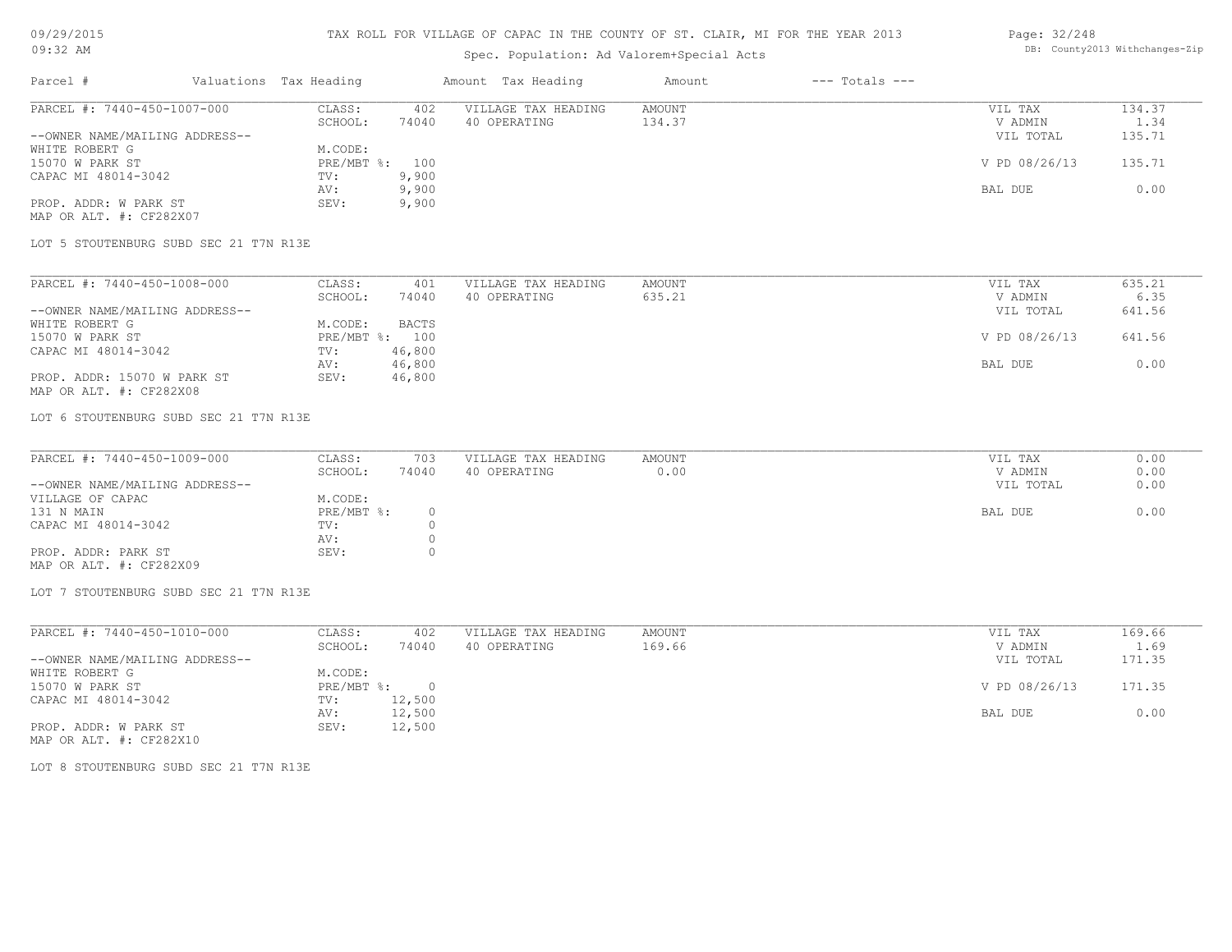# Spec. Population: Ad Valorem+Special Acts

### Page: 32/248 DB: County2013 Withchanges-Zip

| Parcel #                       | Valuations Tax Heading |       | Amount Tax Heading  | Amount | $---$ Totals $---$ |               |        |
|--------------------------------|------------------------|-------|---------------------|--------|--------------------|---------------|--------|
| PARCEL #: 7440-450-1007-000    | CLASS:                 | 402   | VILLAGE TAX HEADING | AMOUNT |                    | VIL TAX       | 134.37 |
|                                | SCHOOL:                | 74040 | 40 OPERATING        | 134.37 |                    | V ADMIN       | 1.34   |
| --OWNER NAME/MAILING ADDRESS-- |                        |       |                     |        |                    | VIL TOTAL     | 135.71 |
| WHITE ROBERT G                 | M.CODE:                |       |                     |        |                    |               |        |
| 15070 W PARK ST                | PRE/MBT %: 100         |       |                     |        |                    | V PD 08/26/13 | 135.71 |
| CAPAC MI 48014-3042            | TV:                    | 9,900 |                     |        |                    |               |        |
|                                | AV:                    | 9,900 |                     |        |                    | BAL DUE       | 0.00   |
| PROP. ADDR: W PARK ST          | SEV:                   | 9,900 |                     |        |                    |               |        |
|                                |                        |       |                     |        |                    |               |        |

MAP OR ALT. #: CF282X07

LOT 5 STOUTENBURG SUBD SEC 21 T7N R13E

| PARCEL #: 7440-450-1008-000    | CLASS:  | 401            | VILLAGE TAX HEADING | AMOUNT | VIL TAX       | 635.21 |
|--------------------------------|---------|----------------|---------------------|--------|---------------|--------|
|                                | SCHOOL: | 74040          | 40 OPERATING        | 635.21 | V ADMIN       | 6.35   |
| --OWNER NAME/MAILING ADDRESS-- |         |                |                     |        | VIL TOTAL     | 641.56 |
| WHITE ROBERT G                 | M.CODE: | BACTS          |                     |        |               |        |
| 15070 W PARK ST                |         | PRE/MBT %: 100 |                     |        | V PD 08/26/13 | 641.56 |
| CAPAC MI 48014-3042            | TV:     | 46,800         |                     |        |               |        |
|                                | AV:     | 46,800         |                     |        | BAL DUE       | 0.00   |
| PROP. ADDR: 15070 W PARK ST    | SEV:    | 46,800         |                     |        |               |        |
| MAP OR ALT. #: CF282X08        |         |                |                     |        |               |        |

LOT 6 STOUTENBURG SUBD SEC 21 T7N R13E

| PARCEL #: 7440-450-1009-000    | CLASS:       | 703   | VILLAGE TAX HEADING | AMOUNT | VIL TAX   | 0.00 |
|--------------------------------|--------------|-------|---------------------|--------|-----------|------|
|                                | SCHOOL:      | 74040 | 40 OPERATING        | 0.00   | V ADMIN   | 0.00 |
| --OWNER NAME/MAILING ADDRESS-- |              |       |                     |        | VIL TOTAL | 0.00 |
| VILLAGE OF CAPAC               | M.CODE:      |       |                     |        |           |      |
| 131 N MAIN                     | $PRE/MBT$ %: |       |                     |        | BAL DUE   | 0.00 |
| CAPAC MI 48014-3042            | TV:          |       |                     |        |           |      |
|                                | AV:          |       |                     |        |           |      |
| PROP. ADDR: PARK ST            | SEV:         |       |                     |        |           |      |
| MAP OR ALT. #: CF282X09        |              |       |                     |        |           |      |

LOT 7 STOUTENBURG SUBD SEC 21 T7N R13E

| PARCEL #: 7440-450-1010-000    | CLASS:     | 402    | VILLAGE TAX HEADING | AMOUNT | VIL TAX       | 169.66 |
|--------------------------------|------------|--------|---------------------|--------|---------------|--------|
|                                | SCHOOL:    | 74040  | 40 OPERATING        | 169.66 | V ADMIN       | 1.69   |
| --OWNER NAME/MAILING ADDRESS-- |            |        |                     |        | VIL TOTAL     | 171.35 |
| WHITE ROBERT G                 | M.CODE:    |        |                     |        |               |        |
| 15070 W PARK ST                | PRE/MBT %: | $\cap$ |                     |        | V PD 08/26/13 | 171.35 |
| CAPAC MI 48014-3042            | TV:        | 12,500 |                     |        |               |        |
|                                | AV:        | 12,500 |                     |        | BAL DUE       | 0.00   |
| PROP. ADDR: W PARK ST          | SEV:       | 12,500 |                     |        |               |        |

MAP OR ALT. #: CF282X10

LOT 8 STOUTENBURG SUBD SEC 21 T7N R13E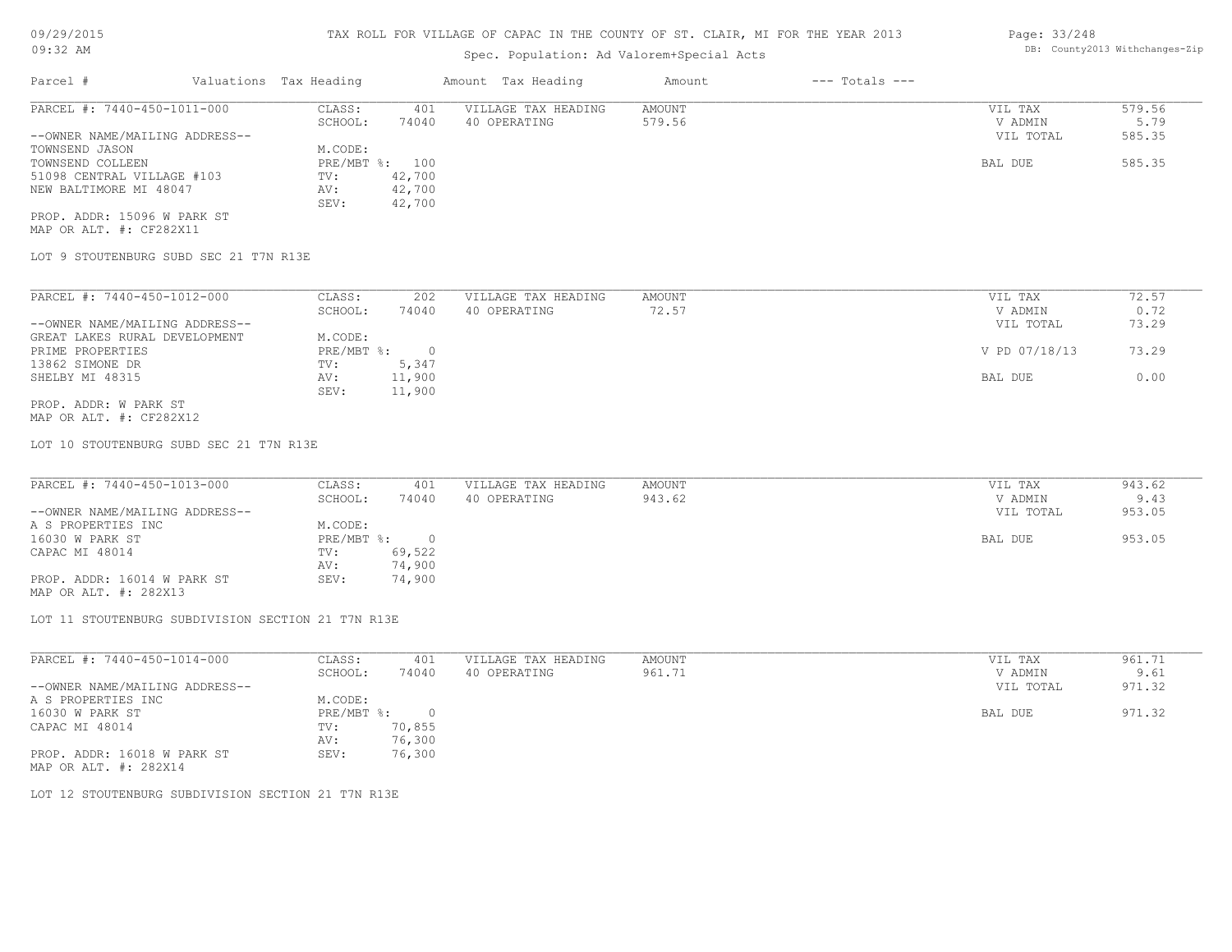# Spec. Population: Ad Valorem+Special Acts

| Parcel #                       | Valuations Tax Heading |                | Amount Tax Heading  | Amount | $---$ Totals $---$ |           |        |
|--------------------------------|------------------------|----------------|---------------------|--------|--------------------|-----------|--------|
| PARCEL #: 7440-450-1011-000    | CLASS:                 | 401            | VILLAGE TAX HEADING | AMOUNT |                    | VIL TAX   | 579.56 |
|                                | SCHOOL:                | 74040          | 40 OPERATING        | 579.56 |                    | V ADMIN   | 5.79   |
| --OWNER NAME/MAILING ADDRESS-- |                        |                |                     |        |                    | VIL TOTAL | 585.35 |
| TOWNSEND JASON                 | M.CODE:                |                |                     |        |                    |           |        |
| TOWNSEND COLLEEN               |                        | PRE/MBT %: 100 |                     |        |                    | BAL DUE   | 585.35 |
| 51098 CENTRAL VILLAGE #103     | TV:                    | 42,700         |                     |        |                    |           |        |
| NEW BALTIMORE MI 48047         | AV:                    | 42,700         |                     |        |                    |           |        |
|                                | SEV:                   | 42,700         |                     |        |                    |           |        |
|                                |                        |                |                     |        |                    |           |        |

MAP OR ALT. #: CF282X11 PROP. ADDR: 15096 W PARK ST

LOT 9 STOUTENBURG SUBD SEC 21 T7N R13E

| PARCEL #: 7440-450-1012-000    | CLASS:     | 202    | VILLAGE TAX HEADING | AMOUNT | 72.57<br>VIL TAX       |
|--------------------------------|------------|--------|---------------------|--------|------------------------|
|                                | SCHOOL:    | 74040  | 40 OPERATING        | 72.57  | 0.72<br>V ADMIN        |
| --OWNER NAME/MAILING ADDRESS-- |            |        |                     |        | 73.29<br>VIL TOTAL     |
| GREAT LAKES RURAL DEVELOPMENT  | M.CODE:    |        |                     |        |                        |
| PRIME PROPERTIES               | PRE/MBT %: |        |                     |        | V PD 07/18/13<br>73.29 |
| 13862 SIMONE DR                | TV:        | 5,347  |                     |        |                        |
| SHELBY MI 48315                | AV:        | 11,900 |                     |        | 0.00<br>BAL DUE        |
|                                | SEV:       | 11,900 |                     |        |                        |
| PROP. ADDR: W PARK ST          |            |        |                     |        |                        |

MAP OR ALT. #: CF282X12

LOT 10 STOUTENBURG SUBD SEC 21 T7N R13E

| PARCEL #: 7440-450-1013-000    | CLASS:       | 401    | VILLAGE TAX HEADING | AMOUNT | VIL TAX   | 943.62 |
|--------------------------------|--------------|--------|---------------------|--------|-----------|--------|
|                                | SCHOOL:      | 74040  | 40 OPERATING        | 943.62 | V ADMIN   | 9.43   |
| --OWNER NAME/MAILING ADDRESS-- |              |        |                     |        | VIL TOTAL | 953.05 |
| A S PROPERTIES INC             | M.CODE:      |        |                     |        |           |        |
| 16030 W PARK ST                | $PRE/MBT$ %: |        |                     |        | BAL DUE   | 953.05 |
| CAPAC MI 48014                 | TV:          | 69,522 |                     |        |           |        |
|                                | AV:          | 74,900 |                     |        |           |        |
| PROP. ADDR: 16014 W PARK ST    | SEV:         | 74,900 |                     |        |           |        |

MAP OR ALT. #: 282X13

LOT 11 STOUTENBURG SUBDIVISION SECTION 21 T7N R13E

| PARCEL #: 7440-450-1014-000    | CLASS:     | 401    | VILLAGE TAX HEADING | AMOUNT | VIL TAX   | 961.71 |
|--------------------------------|------------|--------|---------------------|--------|-----------|--------|
|                                | SCHOOL:    | 74040  | 40 OPERATING        | 961.71 | V ADMIN   | 9.61   |
| --OWNER NAME/MAILING ADDRESS-- |            |        |                     |        | VIL TOTAL | 971.32 |
| A S PROPERTIES INC             | M.CODE:    |        |                     |        |           |        |
| 16030 W PARK ST                | PRE/MBT %: | $\cap$ |                     |        | BAL DUE   | 971.32 |
| CAPAC MI 48014                 | TV:        | 70,855 |                     |        |           |        |
|                                | AV:        | 76,300 |                     |        |           |        |
| PROP. ADDR: 16018 W PARK ST    | SEV:       | 76,300 |                     |        |           |        |
| MAP OR ALT. #: 282X14          |            |        |                     |        |           |        |

LOT 12 STOUTENBURG SUBDIVISION SECTION 21 T7N R13E

Page: 33/248 DB: County2013 Withchanges-Zip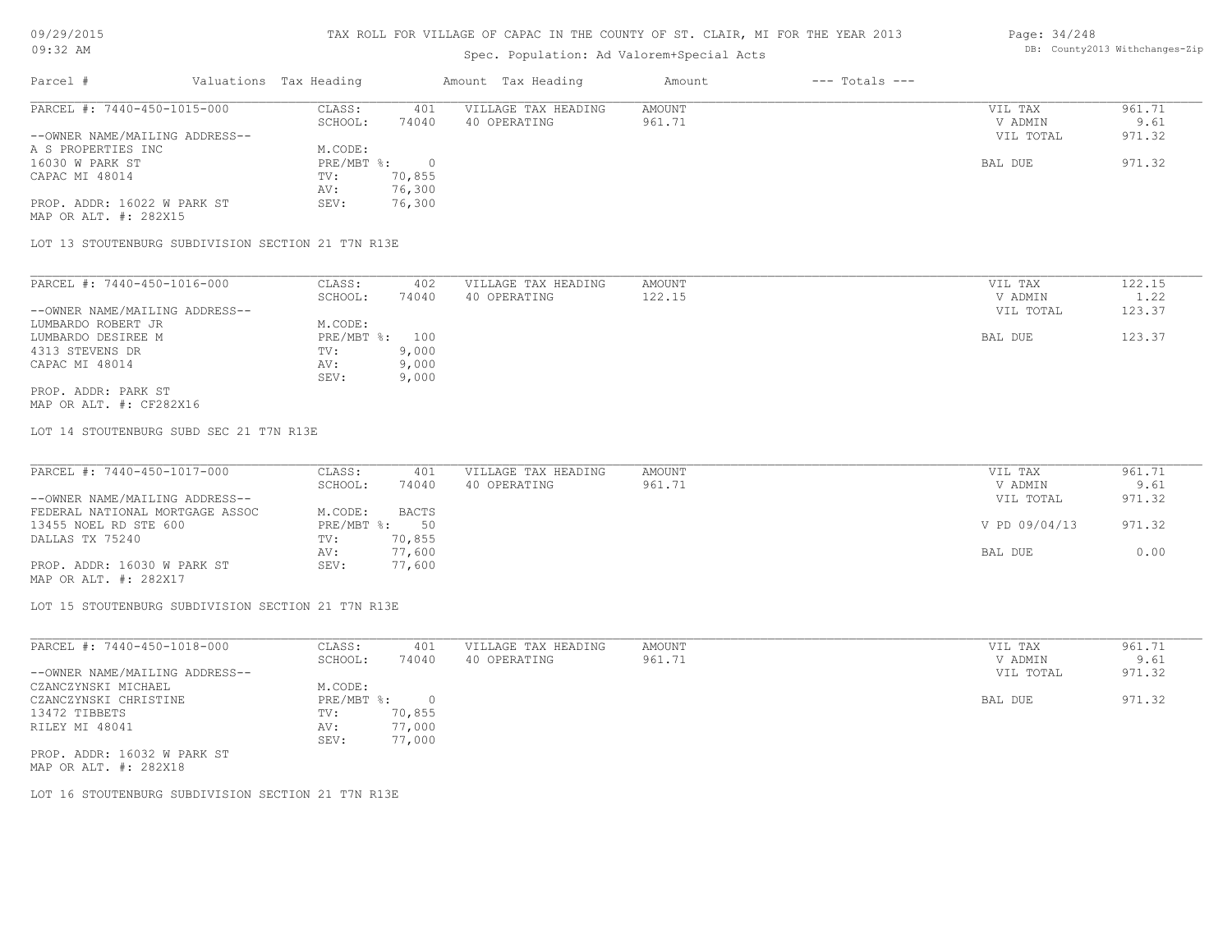# Spec. Population: Ad Valorem+Special Acts

### Page: 34/248 DB: County2013 Withchanges-Zip

| Parcel #                       | Valuations Tax Heading |        | Amount Tax Heading  | Amount | $---$ Totals $---$ |           |        |
|--------------------------------|------------------------|--------|---------------------|--------|--------------------|-----------|--------|
| PARCEL #: 7440-450-1015-000    | CLASS:                 | 401    | VILLAGE TAX HEADING | AMOUNT |                    | VIL TAX   | 961.71 |
|                                | SCHOOL:                | 74040  | 40 OPERATING        | 961.71 |                    | V ADMIN   | 9.61   |
| --OWNER NAME/MAILING ADDRESS-- |                        |        |                     |        |                    | VIL TOTAL | 971.32 |
| A S PROPERTIES INC             | M.CODE:                |        |                     |        |                    |           |        |
| 16030 W PARK ST                | $PRE/MBT$ %:           |        |                     |        |                    | BAL DUE   | 971.32 |
| CAPAC MI 48014                 | TV:                    | 70,855 |                     |        |                    |           |        |
|                                | AV:                    | 76,300 |                     |        |                    |           |        |
| PROP. ADDR: 16022 W PARK ST    | SEV:                   | 76,300 |                     |        |                    |           |        |
| MAP OR ALT. #: 282X15          |                        |        |                     |        |                    |           |        |

LOT 13 STOUTENBURG SUBDIVISION SECTION 21 T7N R13E

| PARCEL #: 7440-450-1016-000    | CLASS:     | 402   | VILLAGE TAX HEADING | AMOUNT | VIL TAX   | 122.15 |
|--------------------------------|------------|-------|---------------------|--------|-----------|--------|
|                                | SCHOOL:    | 74040 | 40 OPERATING        | 122.15 | V ADMIN   | 1.22   |
| --OWNER NAME/MAILING ADDRESS-- |            |       |                     |        | VIL TOTAL | 123.37 |
| LUMBARDO ROBERT JR             | M.CODE:    |       |                     |        |           |        |
| LUMBARDO DESIREE M             | PRE/MBT %: | 100   |                     |        | BAL DUE   | 123.37 |
| 4313 STEVENS DR                | TV:        | 9,000 |                     |        |           |        |
| CAPAC MI 48014                 | AV:        | 9,000 |                     |        |           |        |
|                                | SEV:       | 9,000 |                     |        |           |        |
| PROP. ADDR: PARK ST            |            |       |                     |        |           |        |

MAP OR ALT. #: CF282X16

LOT 14 STOUTENBURG SUBD SEC 21 T7N R13E

| PARCEL #: 7440-450-1017-000     | CLASS:       | 401          | VILLAGE TAX HEADING | AMOUNT | VIL TAX       | 961.71 |
|---------------------------------|--------------|--------------|---------------------|--------|---------------|--------|
|                                 | SCHOOL:      | 74040        | 40 OPERATING        | 961.71 | V ADMIN       | 9.61   |
| --OWNER NAME/MAILING ADDRESS--  |              |              |                     |        | VIL TOTAL     | 971.32 |
| FEDERAL NATIONAL MORTGAGE ASSOC | M.CODE:      | <b>BACTS</b> |                     |        |               |        |
| 13455 NOEL RD STE 600           | $PRE/MBT$ %: | 50           |                     |        | V PD 09/04/13 | 971.32 |
| DALLAS TX 75240                 | TV:          | 70,855       |                     |        |               |        |
|                                 | AV:          | 77,600       |                     |        | BAL DUE       | 0.00   |
| PROP. ADDR: 16030 W PARK ST     | SEV:         | 77,600       |                     |        |               |        |
| MAP OR ALT. #: 282X17           |              |              |                     |        |               |        |

LOT 15 STOUTENBURG SUBDIVISION SECTION 21 T7N R13E

| PARCEL #: 7440-450-1018-000    | CLASS:       | 401    | VILLAGE TAX HEADING | AMOUNT | VIL TAX   | 961.71 |
|--------------------------------|--------------|--------|---------------------|--------|-----------|--------|
|                                | SCHOOL:      | 74040  | 40 OPERATING        | 961.71 | V ADMIN   | 9.61   |
| --OWNER NAME/MAILING ADDRESS-- |              |        |                     |        | VIL TOTAL | 971.32 |
| CZANCZYNSKI MICHAEL            | M.CODE:      |        |                     |        |           |        |
| CZANCZYNSKI CHRISTINE          | $PRE/MBT$ %: |        |                     |        | BAL DUE   | 971.32 |
| 13472 TIBBETS                  | TV:          | 70,855 |                     |        |           |        |
| RILEY MI 48041                 | AV:          | 77,000 |                     |        |           |        |
|                                | SEV:         | 77,000 |                     |        |           |        |
| PROP. ADDR: 16032 W PARK ST    |              |        |                     |        |           |        |

MAP OR ALT. #: 282X18

LOT 16 STOUTENBURG SUBDIVISION SECTION 21 T7N R13E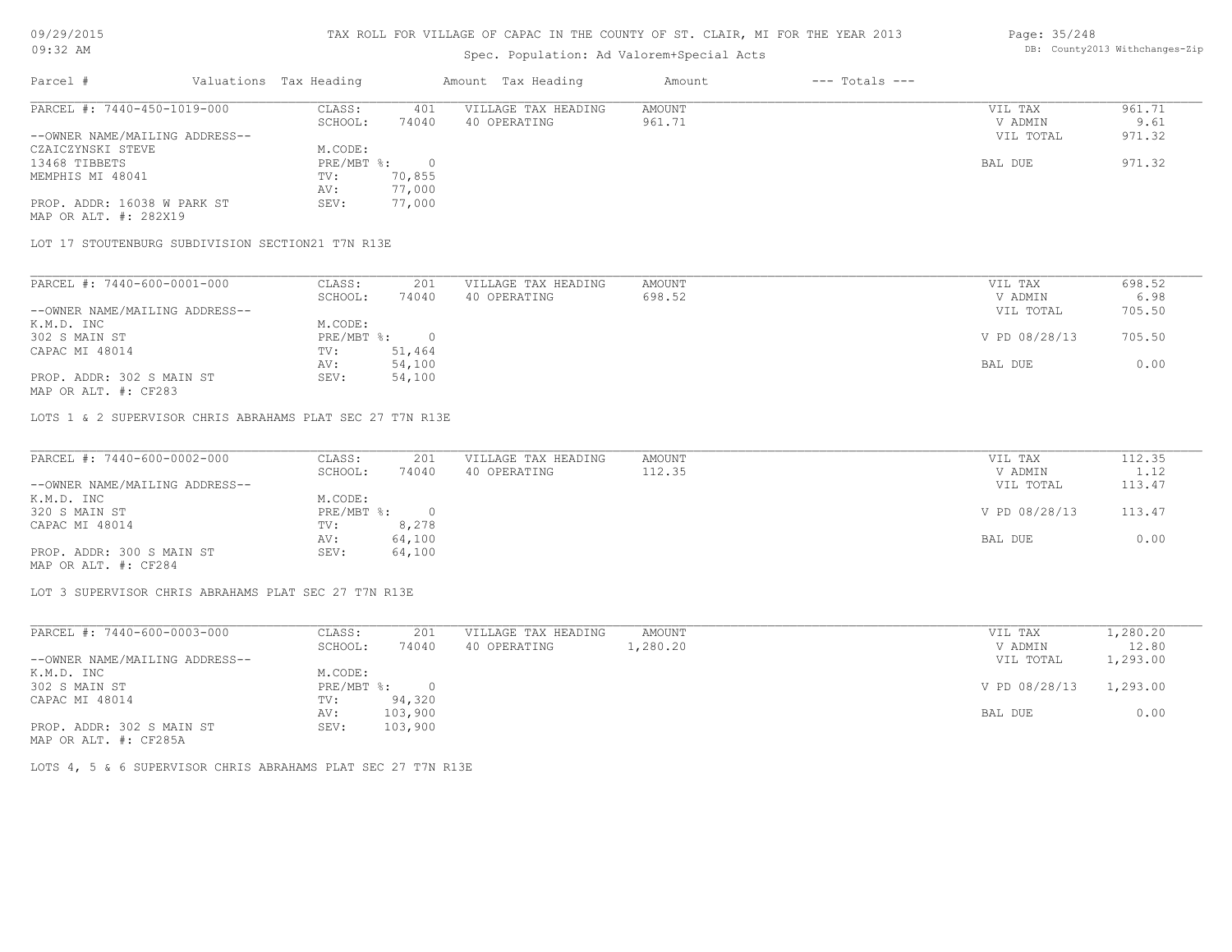### Spec. Population: Ad Valorem+Special Acts

### Page: 35/248 DB: County2013 Withchanges-Zip

| Parcel #                       | Valuations Tax Heading |        | Amount Tax Heading  | Amount | $---$ Totals $---$ |           |        |
|--------------------------------|------------------------|--------|---------------------|--------|--------------------|-----------|--------|
| PARCEL #: 7440-450-1019-000    | CLASS:                 | 401    | VILLAGE TAX HEADING | AMOUNT |                    | VIL TAX   | 961.71 |
|                                | SCHOOL:                | 74040  | 40 OPERATING        | 961.71 |                    | V ADMIN   | 9.61   |
| --OWNER NAME/MAILING ADDRESS-- |                        |        |                     |        |                    | VIL TOTAL | 971.32 |
| CZAICZYNSKI STEVE              | M.CODE:                |        |                     |        |                    |           |        |
| 13468 TIBBETS                  | $PRE/MBT$ %:           |        |                     |        |                    | BAL DUE   | 971.32 |
| MEMPHIS MI 48041               | TV:                    | 70,855 |                     |        |                    |           |        |
|                                | AV:                    | 77,000 |                     |        |                    |           |        |
| PROP. ADDR: 16038 W PARK ST    | SEV:                   | 77,000 |                     |        |                    |           |        |
| MAP OR ALT. #: 282X19          |                        |        |                     |        |                    |           |        |

LOT 17 STOUTENBURG SUBDIVISION SECTION21 T7N R13E

| PARCEL #: 7440-600-0001-000    | CLASS:     | 201    | VILLAGE TAX HEADING | AMOUNT | VIL TAX       | 698.52 |
|--------------------------------|------------|--------|---------------------|--------|---------------|--------|
|                                | SCHOOL:    | 74040  | 40 OPERATING        | 698.52 | V ADMIN       | 6.98   |
| --OWNER NAME/MAILING ADDRESS-- |            |        |                     |        | VIL TOTAL     | 705.50 |
| K.M.D. INC                     | M.CODE:    |        |                     |        |               |        |
| 302 S MAIN ST                  | PRE/MBT %: |        |                     |        | V PD 08/28/13 | 705.50 |
| CAPAC MI 48014                 | TV:        | 51,464 |                     |        |               |        |
|                                | AV:        | 54,100 |                     |        | BAL DUE       | 0.00   |
| PROP. ADDR: 302 S MAIN ST      | SEV:       | 54,100 |                     |        |               |        |
|                                |            |        |                     |        |               |        |

MAP OR ALT. #: CF283

LOTS 1 & 2 SUPERVISOR CHRIS ABRAHAMS PLAT SEC 27 T7N R13E

| PARCEL #: 7440-600-0002-000    | CLASS:     | 201    | VILLAGE TAX HEADING | AMOUNT | VIL TAX       | 112.35 |
|--------------------------------|------------|--------|---------------------|--------|---------------|--------|
|                                | SCHOOL:    | 74040  | 40 OPERATING        | 112.35 | V ADMIN       | 1.12   |
| --OWNER NAME/MAILING ADDRESS-- |            |        |                     |        | VIL TOTAL     | 113.47 |
| K.M.D. INC                     | M.CODE:    |        |                     |        |               |        |
| 320 S MAIN ST                  | PRE/MBT %: | $\cap$ |                     |        | V PD 08/28/13 | 113.47 |
| CAPAC MI 48014                 | TV:        | 8,278  |                     |        |               |        |
|                                | AV:        | 64,100 |                     |        | BAL DUE       | 0.00   |
| PROP. ADDR: 300 S MAIN ST      | SEV:       | 64,100 |                     |        |               |        |
| MAP OR ALT. #: CF284           |            |        |                     |        |               |        |

 $\mathcal{L}_\mathcal{L} = \mathcal{L}_\mathcal{L} = \mathcal{L}_\mathcal{L} = \mathcal{L}_\mathcal{L} = \mathcal{L}_\mathcal{L} = \mathcal{L}_\mathcal{L} = \mathcal{L}_\mathcal{L} = \mathcal{L}_\mathcal{L} = \mathcal{L}_\mathcal{L} = \mathcal{L}_\mathcal{L} = \mathcal{L}_\mathcal{L} = \mathcal{L}_\mathcal{L} = \mathcal{L}_\mathcal{L} = \mathcal{L}_\mathcal{L} = \mathcal{L}_\mathcal{L} = \mathcal{L}_\mathcal{L} = \mathcal{L}_\mathcal{L}$ 

LOT 3 SUPERVISOR CHRIS ABRAHAMS PLAT SEC 27 T7N R13E

| PARCEL #: 7440-600-0003-000    | CLASS:     | 201     | VILLAGE TAX HEADING | AMOUNT   | VIL TAX       | 1,280.20 |
|--------------------------------|------------|---------|---------------------|----------|---------------|----------|
|                                | SCHOOL:    | 74040   | 40 OPERATING        | l,280.20 | V ADMIN       | 12.80    |
| --OWNER NAME/MAILING ADDRESS-- |            |         |                     |          | VIL TOTAL     | 1,293.00 |
| K.M.D. INC                     | M.CODE:    |         |                     |          |               |          |
| 302 S MAIN ST                  | PRE/MBT %: |         |                     |          | V PD 08/28/13 | 1,293.00 |
| CAPAC MI 48014                 | TV:        | 94,320  |                     |          |               |          |
|                                | AV:        | 103,900 |                     |          | BAL DUE       | 0.00     |
| PROP. ADDR: 302 S MAIN ST      | SEV:       | 103,900 |                     |          |               |          |
| MAP OR ALT. #: CF285A          |            |         |                     |          |               |          |

LOTS 4, 5 & 6 SUPERVISOR CHRIS ABRAHAMS PLAT SEC 27 T7N R13E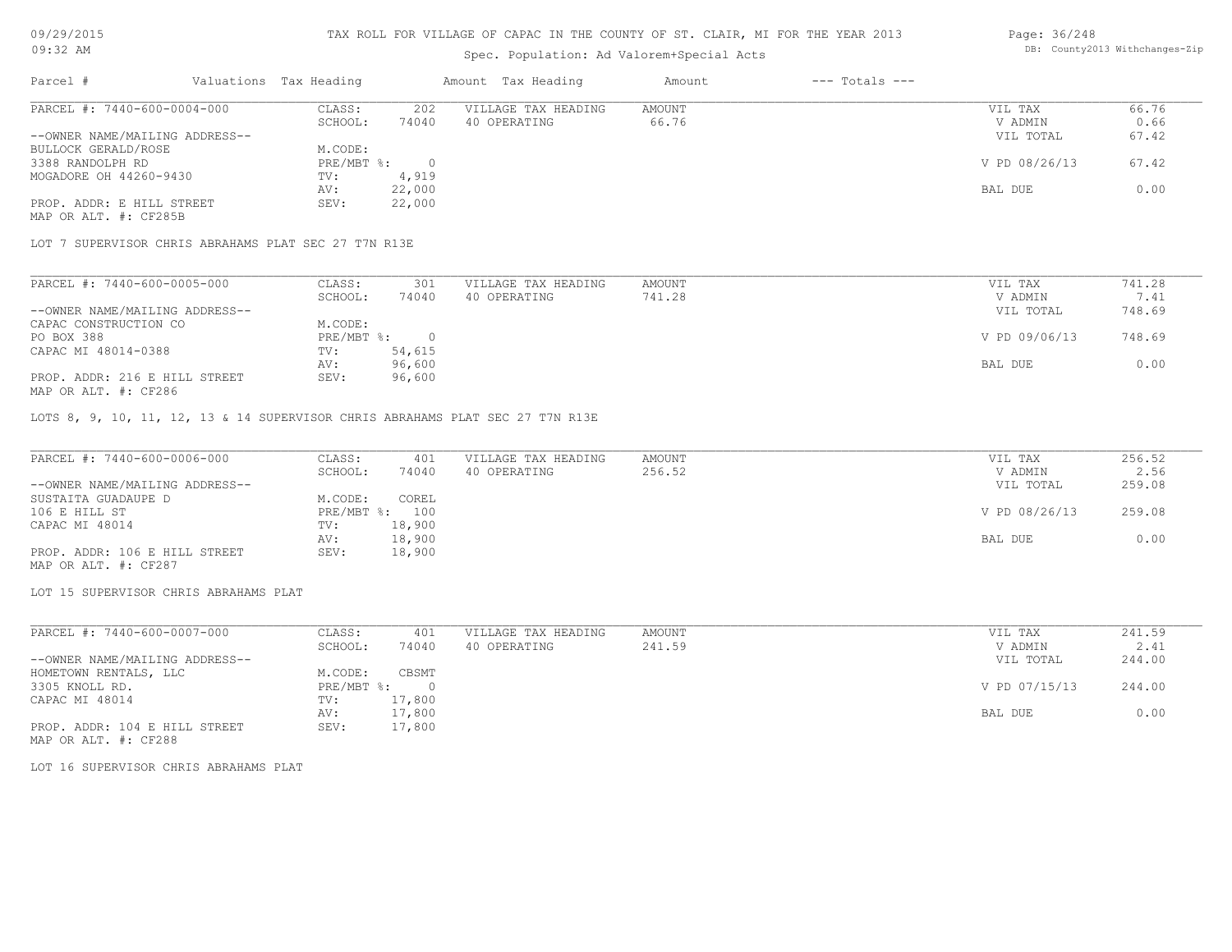### Spec. Population: Ad Valorem+Special Acts

### Page: 36/248 DB: County2013 Withchanges-Zip

| Parcel #                       | Valuations Tax Heading |        | Amount Tax Heading  | Amount | $---$ Totals $---$ |               |       |
|--------------------------------|------------------------|--------|---------------------|--------|--------------------|---------------|-------|
| PARCEL #: 7440-600-0004-000    | CLASS:                 | 202    | VILLAGE TAX HEADING | AMOUNT |                    | VIL TAX       | 66.76 |
|                                | SCHOOL:                | 74040  | 40 OPERATING        | 66.76  |                    | V ADMIN       | 0.66  |
| --OWNER NAME/MAILING ADDRESS-- |                        |        |                     |        |                    | VIL TOTAL     | 67.42 |
| BULLOCK GERALD/ROSE            | M.CODE:                |        |                     |        |                    |               |       |
| 3388 RANDOLPH RD               | PRE/MBT %:             |        |                     |        |                    | V PD 08/26/13 | 67.42 |
| MOGADORE OH 44260-9430         | TV:                    | 4,919  |                     |        |                    |               |       |
|                                | AV:                    | 22,000 |                     |        |                    | BAL DUE       | 0.00  |
| PROP. ADDR: E HILL STREET      | SEV:                   | 22,000 |                     |        |                    |               |       |
| MAP OR ALT. #: CF285B          |                        |        |                     |        |                    |               |       |

LOT 7 SUPERVISOR CHRIS ABRAHAMS PLAT SEC 27 T7N R13E

| PARCEL #: 7440-600-0005-000    | CLASS:     | 301    | VILLAGE TAX HEADING | AMOUNT | VIL TAX       | 741.28 |
|--------------------------------|------------|--------|---------------------|--------|---------------|--------|
|                                | SCHOOL:    | 74040  | 40 OPERATING        | 741.28 | V ADMIN       | 7.41   |
| --OWNER NAME/MAILING ADDRESS-- |            |        |                     |        | VIL TOTAL     | 748.69 |
| CAPAC CONSTRUCTION CO          | M.CODE:    |        |                     |        |               |        |
| PO BOX 388                     | PRE/MBT %: |        |                     |        | V PD 09/06/13 | 748.69 |
| CAPAC MI 48014-0388            | TV:        | 54,615 |                     |        |               |        |
|                                | AV:        | 96,600 |                     |        | BAL DUE       | 0.00   |
| PROP. ADDR: 216 E HILL STREET  | SEV:       | 96,600 |                     |        |               |        |
| MAP OR ALT. #: CF286           |            |        |                     |        |               |        |

LOTS 8, 9, 10, 11, 12, 13 & 14 SUPERVISOR CHRIS ABRAHAMS PLAT SEC 27 T7N R13E

| PARCEL #: 7440-600-0006-000    | CLASS:  | 401            | VILLAGE TAX HEADING | AMOUNT | VIL TAX       | 256.52 |
|--------------------------------|---------|----------------|---------------------|--------|---------------|--------|
|                                | SCHOOL: | 74040          | 40 OPERATING        | 256.52 | V ADMIN       | 2.56   |
| --OWNER NAME/MAILING ADDRESS-- |         |                |                     |        | VIL TOTAL     | 259.08 |
| SUSTAITA GUADAUPE D            | M.CODE: | COREL          |                     |        |               |        |
| 106 E HILL ST                  |         | PRE/MBT %: 100 |                     |        | V PD 08/26/13 | 259.08 |
| CAPAC MI 48014                 | TV:     | 18,900         |                     |        |               |        |
|                                | AV:     | 18,900         |                     |        | BAL DUE       | 0.00   |
| PROP. ADDR: 106 E HILL STREET  | SEV:    | 18,900         |                     |        |               |        |
| MAP OR ALT. #: CF287           |         |                |                     |        |               |        |

LOT 15 SUPERVISOR CHRIS ABRAHAMS PLAT

| PARCEL #: 7440-600-0007-000    | CLASS:     | 401      | VILLAGE TAX HEADING | AMOUNT | VIL TAX       | 241.59 |
|--------------------------------|------------|----------|---------------------|--------|---------------|--------|
|                                | SCHOOL:    | 74040    | 40 OPERATING        | 241.59 | V ADMIN       | 2.41   |
| --OWNER NAME/MAILING ADDRESS-- |            |          |                     |        | VIL TOTAL     | 244.00 |
| HOMETOWN RENTALS, LLC          | M.CODE:    | CBSMT    |                     |        |               |        |
| 3305 KNOLL RD.                 | PRE/MBT %: | $\Omega$ |                     |        | V PD 07/15/13 | 244.00 |
| CAPAC MI 48014                 | TV:        | 17,800   |                     |        |               |        |
|                                | AV:        | 17,800   |                     |        | BAL DUE       | 0.00   |
| PROP. ADDR: 104 E HILL STREET  | SEV:       | 17,800   |                     |        |               |        |

MAP OR ALT. #: CF288

LOT 16 SUPERVISOR CHRIS ABRAHAMS PLAT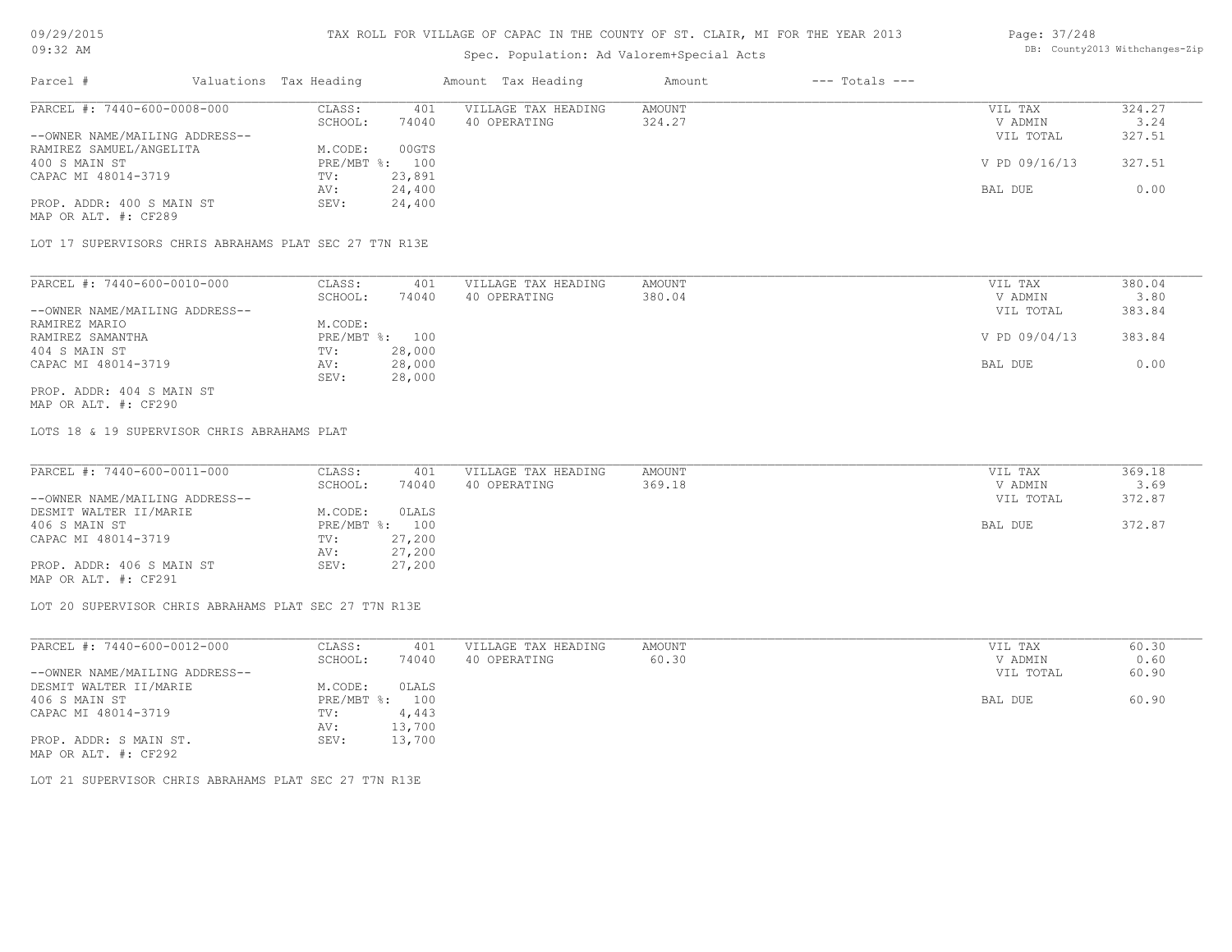# Spec. Population: Ad Valorem+Special Acts

#### Page: 37/248 DB: County2013 Withchanges-Zip

| Parcel #                       | Valuations Tax Heading |                | Amount Tax Heading  | Amount | $---$ Totals $---$ |               |        |
|--------------------------------|------------------------|----------------|---------------------|--------|--------------------|---------------|--------|
| PARCEL #: 7440-600-0008-000    | CLASS:                 | 401            | VILLAGE TAX HEADING | AMOUNT |                    | VIL TAX       | 324.27 |
|                                | SCHOOL:                | 74040          | 40 OPERATING        | 324.27 |                    | V ADMIN       | 3.24   |
| --OWNER NAME/MAILING ADDRESS-- |                        |                |                     |        |                    | VIL TOTAL     | 327.51 |
| RAMIREZ SAMUEL/ANGELITA        | M.CODE:                | 00GTS          |                     |        |                    |               |        |
| 400 S MAIN ST                  |                        | PRE/MBT %: 100 |                     |        |                    | V PD 09/16/13 | 327.51 |
| CAPAC MI 48014-3719            | TV:                    | 23,891         |                     |        |                    |               |        |
|                                | AV:                    | 24,400         |                     |        |                    | BAL DUE       | 0.00   |
| PROP. ADDR: 400 S MAIN ST      | SEV:                   | 24,400         |                     |        |                    |               |        |
| MAP OR ALT. #: CF289           |                        |                |                     |        |                    |               |        |

LOT 17 SUPERVISORS CHRIS ABRAHAMS PLAT SEC 27 T7N R13E

| PARCEL #: 7440-600-0010-000    | CLASS:     | 401    | VILLAGE TAX HEADING | AMOUNT | VIL TAX       | 380.04 |
|--------------------------------|------------|--------|---------------------|--------|---------------|--------|
|                                | SCHOOL:    | 74040  | 40 OPERATING        | 380.04 | V ADMIN       | 3.80   |
| --OWNER NAME/MAILING ADDRESS-- |            |        |                     |        | VIL TOTAL     | 383.84 |
| RAMIREZ MARIO                  | M.CODE:    |        |                     |        |               |        |
| RAMIREZ SAMANTHA               | PRE/MBT %: | 100    |                     |        | V PD 09/04/13 | 383.84 |
| 404 S MAIN ST                  | TV:        | 28,000 |                     |        |               |        |
| CAPAC MI 48014-3719            | AV:        | 28,000 |                     |        | BAL DUE       | 0.00   |
|                                | SEV:       | 28,000 |                     |        |               |        |
| PROP. ADDR: 404 S MAIN ST      |            |        |                     |        |               |        |

MAP OR ALT. #: CF290

LOTS 18 & 19 SUPERVISOR CHRIS ABRAHAMS PLAT

| PARCEL #: 7440-600-0011-000    | CLASS:  | 401            | VILLAGE TAX HEADING | AMOUNT | VIL TAX   | 369.18 |
|--------------------------------|---------|----------------|---------------------|--------|-----------|--------|
|                                | SCHOOL: | 74040          | 40 OPERATING        | 369.18 | V ADMIN   | 3.69   |
| --OWNER NAME/MAILING ADDRESS-- |         |                |                     |        | VIL TOTAL | 372.87 |
| DESMIT WALTER II/MARIE         | M.CODE: | OLALS          |                     |        |           |        |
| 406 S MAIN ST                  |         | PRE/MBT %: 100 |                     |        | BAL DUE   | 372.87 |
| CAPAC MI 48014-3719            | TV:     | 27,200         |                     |        |           |        |
|                                | AV:     | 27,200         |                     |        |           |        |
| PROP. ADDR: 406 S MAIN ST      | SEV:    | 27,200         |                     |        |           |        |
| MAP OR ALT. #: CF291           |         |                |                     |        |           |        |

LOT 20 SUPERVISOR CHRIS ABRAHAMS PLAT SEC 27 T7N R13E

| PARCEL #: 7440-600-0012-000    | CLASS:       | 401    | VILLAGE TAX HEADING | AMOUNT | VIL TAX   | 60.30 |
|--------------------------------|--------------|--------|---------------------|--------|-----------|-------|
|                                | SCHOOL:      | 74040  | 40 OPERATING        | 60.30  | V ADMIN   | 0.60  |
| --OWNER NAME/MAILING ADDRESS-- |              |        |                     |        | VIL TOTAL | 60.90 |
| DESMIT WALTER II/MARIE         | M.CODE:      | OLALS  |                     |        |           |       |
| 406 S MAIN ST                  | $PRE/MBT$ %: | 100    |                     |        | BAL DUE   | 60.90 |
| CAPAC MI 48014-3719            | TV:          | 4,443  |                     |        |           |       |
|                                | AV:          | 13,700 |                     |        |           |       |
| PROP. ADDR: S MAIN ST.         | SEV:         | 13,700 |                     |        |           |       |
| MAP OR ALT. #: CF292           |              |        |                     |        |           |       |

LOT 21 SUPERVISOR CHRIS ABRAHAMS PLAT SEC 27 T7N R13E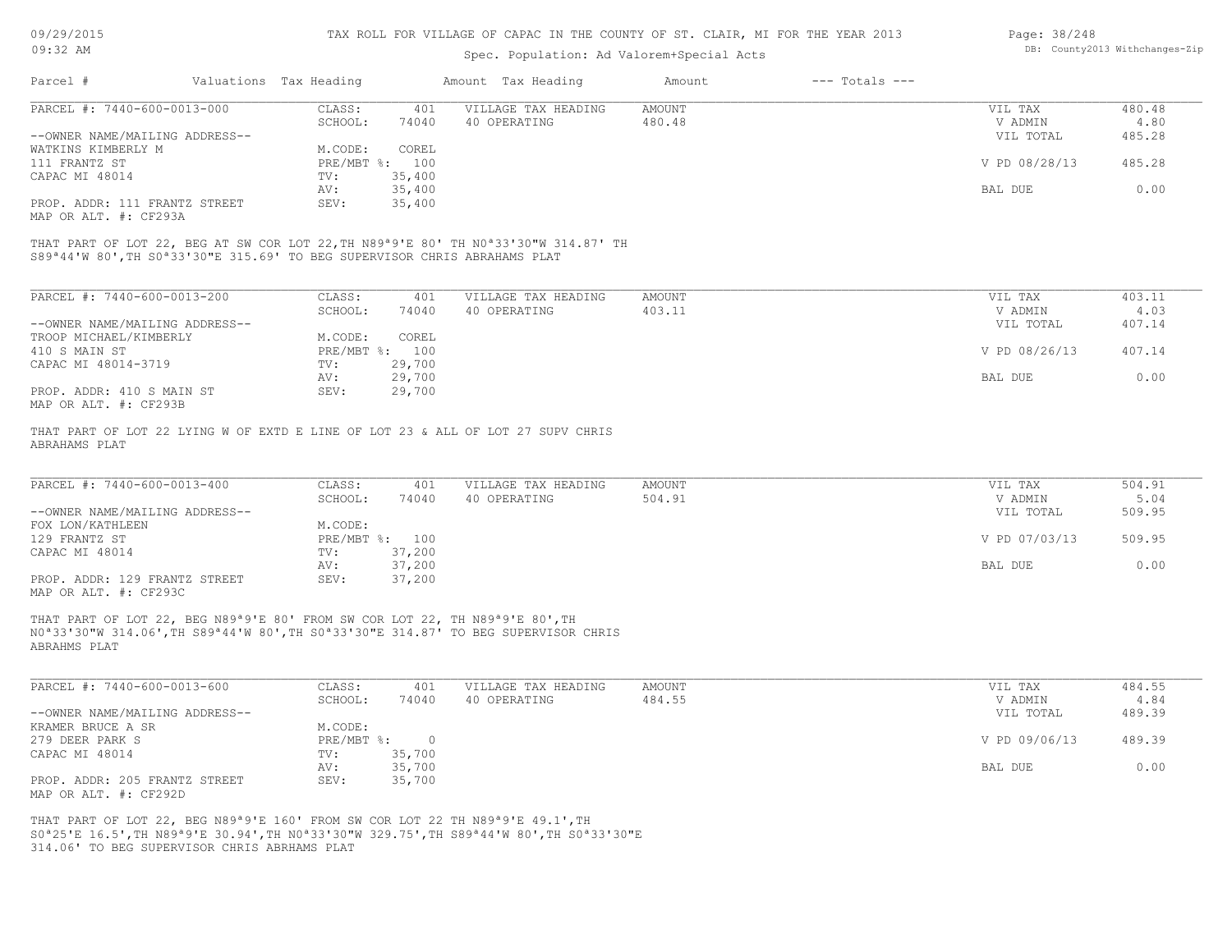| 09/29/2015                                                                                                            |                        |                | TAX ROLL FOR VILLAGE OF CAPAC IN THE COUNTY OF ST. CLAIR, MI FOR THE YEAR 2013                                            |               |                    | Page: 38/248  |                                |
|-----------------------------------------------------------------------------------------------------------------------|------------------------|----------------|---------------------------------------------------------------------------------------------------------------------------|---------------|--------------------|---------------|--------------------------------|
| $09:32$ AM                                                                                                            |                        |                | Spec. Population: Ad Valorem+Special Acts                                                                                 |               |                    |               | DB: County2013 Withchanges-Zip |
| Parcel #                                                                                                              | Valuations Tax Heading |                | Amount Tax Heading                                                                                                        | Amount        | $---$ Totals $---$ |               |                                |
| PARCEL #: 7440-600-0013-000                                                                                           | CLASS:                 | 401            | VILLAGE TAX HEADING                                                                                                       | <b>AMOUNT</b> |                    | VIL TAX       | 480.48                         |
|                                                                                                                       | SCHOOL:                | 74040          | 40 OPERATING                                                                                                              | 480.48        |                    | V ADMIN       | 4.80                           |
| --OWNER NAME/MAILING ADDRESS--                                                                                        |                        |                |                                                                                                                           |               |                    | VIL TOTAL     | 485.28                         |
| WATKINS KIMBERLY M                                                                                                    | M.CODE:                | COREL          |                                                                                                                           |               |                    |               |                                |
| 111 FRANTZ ST                                                                                                         |                        | PRE/MBT %: 100 |                                                                                                                           |               |                    | V PD 08/28/13 | 485.28                         |
| CAPAC MI 48014                                                                                                        | TV:                    | 35,400         |                                                                                                                           |               |                    |               |                                |
|                                                                                                                       | AV:                    | 35,400         |                                                                                                                           |               |                    | BAL DUE       | 0.00                           |
| PROP. ADDR: 111 FRANTZ STREET<br>MAP OR ALT. #: CF293A                                                                | SEV:                   | 35,400         |                                                                                                                           |               |                    |               |                                |
| S89 <sup>ª</sup> 44'W 80', TH S0 <sup>ª</sup> 33'30"E 315.69' TO BEG SUPERVISOR CHRIS ABRAHAMS PLAT                   |                        |                | THAT PART OF LOT 22, BEG AT SW COR LOT 22, TH N89 <sup>a</sup> 9'E 80' TH N0 <sup>a</sup> 33'30"W 314.87' TH              |               |                    |               |                                |
|                                                                                                                       |                        |                |                                                                                                                           |               |                    |               |                                |
| PARCEL #: 7440-600-0013-200                                                                                           | CLASS:                 | 401            | VILLAGE TAX HEADING                                                                                                       | <b>AMOUNT</b> |                    | VIL TAX       | 403.11                         |
|                                                                                                                       | SCHOOL:                | 74040          | 40 OPERATING                                                                                                              | 403.11        |                    | V ADMIN       | 4.03                           |
| --OWNER NAME/MAILING ADDRESS--                                                                                        |                        |                |                                                                                                                           |               |                    | VIL TOTAL     | 407.14                         |
| TROOP MICHAEL/KIMBERLY                                                                                                | M.CODE:                | COREL          |                                                                                                                           |               |                    |               |                                |
| 410 S MAIN ST                                                                                                         |                        | PRE/MBT %: 100 |                                                                                                                           |               |                    | V PD 08/26/13 | 407.14                         |
| CAPAC MI 48014-3719                                                                                                   | TV:                    | 29,700         |                                                                                                                           |               |                    |               |                                |
|                                                                                                                       | AV:                    | 29,700         |                                                                                                                           |               |                    | BAL DUE       | 0.00                           |
| PROP. ADDR: 410 S MAIN ST<br>MAP OR ALT. #: CF293B                                                                    | SEV:                   | 29,700         |                                                                                                                           |               |                    |               |                                |
| ABRAHAMS PLAT                                                                                                         |                        |                | THAT PART OF LOT 22 LYING W OF EXTD E LINE OF LOT 23 & ALL OF LOT 27 SUPV CHRIS                                           |               |                    |               |                                |
|                                                                                                                       |                        |                |                                                                                                                           |               |                    |               |                                |
| PARCEL #: $7440-600-0013-400$                                                                                         | CLASS:                 | 401            | VILLAGE TAX HEADING                                                                                                       | <b>AMOUNT</b> |                    | VIL TAX       | 504.91                         |
|                                                                                                                       | SCHOOL:                | 74040          | 40 OPERATING                                                                                                              | 504.91        |                    | V ADMIN       | 5.04                           |
| --OWNER NAME/MAILING ADDRESS--                                                                                        |                        |                |                                                                                                                           |               |                    | VIL TOTAL     | 509.95                         |
| FOX LON/KATHLEEN                                                                                                      | M.CODE:                |                |                                                                                                                           |               |                    |               |                                |
| 129 FRANTZ ST                                                                                                         |                        | PRE/MBT %: 100 |                                                                                                                           |               |                    | V PD 07/03/13 | 509.95                         |
| CAPAC MI 48014                                                                                                        | TV:                    | 37,200         |                                                                                                                           |               |                    |               |                                |
|                                                                                                                       | AV:                    | 37,200         |                                                                                                                           |               |                    | BAL DUE       | 0.00                           |
| PROP. ADDR: 129 FRANTZ STREET<br>MAP OR ALT. #: CF293C                                                                | SEV:                   | 37,200         |                                                                                                                           |               |                    |               |                                |
| THAT PART OF LOT 22, BEG N89 <sup>a</sup> 9'E 80' FROM SW COR LOT 22, TH N89 <sup>a</sup> 9'E 80', TH<br>ABRAHMS PLAT |                        |                | NO <sup>a</sup> 33'30"W 314.06', TH S89 <sup>a</sup> 44'W 80', TH SO <sup>a</sup> 33'30"E 314.87' TO BEG SUPERVISOR CHRIS |               |                    |               |                                |

| PARCEL #: 7440-600-0013-600    | CLASS:       | 401    | VILLAGE TAX HEADING | AMOUNT | VIL TAX       | 484.55 |
|--------------------------------|--------------|--------|---------------------|--------|---------------|--------|
|                                | SCHOOL:      | 74040  | 40 OPERATING        | 484.55 | V ADMIN       | 4.84   |
| --OWNER NAME/MAILING ADDRESS-- |              |        |                     |        | VIL TOTAL     | 489.39 |
| KRAMER BRUCE A SR              | M.CODE:      |        |                     |        |               |        |
| 279 DEER PARK S                | $PRE/MBT$ %: |        |                     |        | V PD 09/06/13 | 489.39 |
| CAPAC MI 48014                 | TV:          | 35,700 |                     |        |               |        |
|                                | AV:          | 35,700 |                     |        | BAL DUE       | 0.00   |
| PROP. ADDR: 205 FRANTZ STREET  | SEV:         | 35,700 |                     |        |               |        |
| MAP OR ALT. #: CF292D          |              |        |                     |        |               |        |

314.06' TO BEG SUPERVISOR CHRIS ABRHAMS PLAT S0ª25'E 16.5',TH N89ª9'E 30.94',TH N0ª33'30"W 329.75',TH S89ª44'W 80',TH S0ª33'30"E THAT PART OF LOT 22, BEG N89ª9'E 160' FROM SW COR LOT 22 TH N89ª9'E 49.1',TH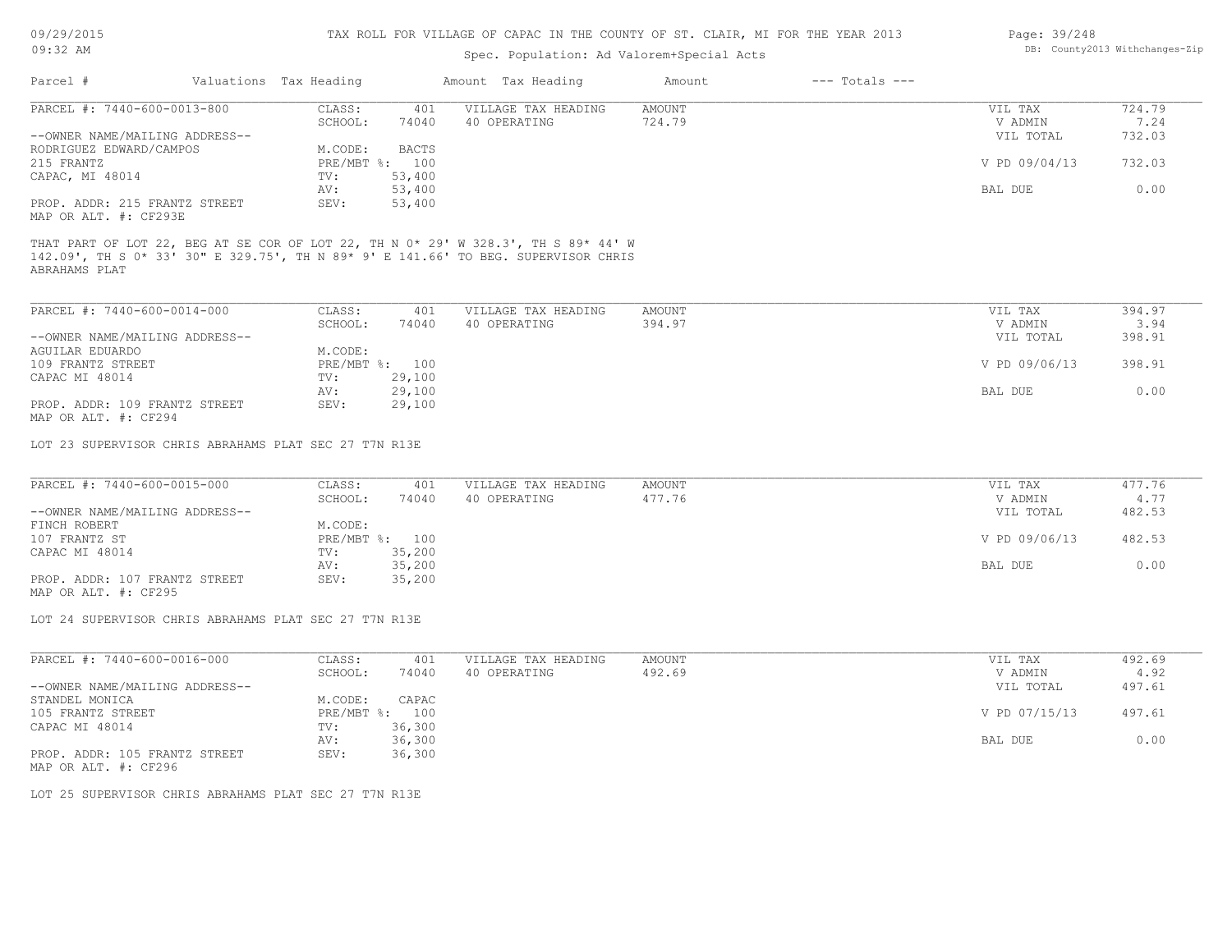| Page: 39/248 |                                |
|--------------|--------------------------------|
|              | DB: County2013 Withchanges-Zip |

| $09:32$ AM                                                    |                        |                | DB: County2013 Withchanges-Zip |                     |                  |                    |                                 |                          |
|---------------------------------------------------------------|------------------------|----------------|--------------------------------|---------------------|------------------|--------------------|---------------------------------|--------------------------|
| Parcel #                                                      | Valuations Tax Heading |                | Amount Tax Heading             |                     | Amount           | $---$ Totals $---$ |                                 |                          |
| PARCEL #: 7440-600-0013-800                                   | CLASS:                 | 401            |                                | VILLAGE TAX HEADING | <b>AMOUNT</b>    |                    | VIL TAX                         | 724.79                   |
|                                                               | SCHOOL:                | 74040          | 40 OPERATING                   |                     | 724.79           |                    | V ADMIN                         | 7.24                     |
| --OWNER NAME/MAILING ADDRESS--                                |                        |                |                                |                     |                  |                    | VIL TOTAL                       | 732.03                   |
| RODRIGUEZ EDWARD/CAMPOS                                       | M.CODE:                | <b>BACTS</b>   |                                |                     |                  |                    |                                 |                          |
| 215 FRANTZ                                                    |                        | PRE/MBT %: 100 |                                |                     |                  |                    | V PD 09/04/13                   | 732.03                   |
| CAPAC, MI 48014                                               | TV:                    | 53,400         |                                |                     |                  |                    |                                 |                          |
|                                                               | AV:                    | 53,400         |                                |                     |                  |                    | BAL DUE                         | 0.00                     |
| PROP. ADDR: 215 FRANTZ STREET<br>MAP OR ALT. #: CF293E        | SEV:                   | 53,400         |                                |                     |                  |                    |                                 |                          |
| PARCEL #: 7440-600-0014-000<br>--OWNER NAME/MAILING ADDRESS-- | CLASS:<br>SCHOOL:      | 401<br>74040   | 40 OPERATING                   | VILLAGE TAX HEADING | AMOUNT<br>394.97 |                    | VIL TAX<br>V ADMIN<br>VIL TOTAL | 394.97<br>3.94<br>398.91 |
| <b>AGUILAR EDUARDO</b>                                        | M.CODE:                |                |                                |                     |                  |                    |                                 |                          |
| 109 FRANTZ STREET                                             |                        | PRE/MBT %: 100 |                                |                     |                  |                    | V PD 09/06/13                   | 398.91                   |
| CAPAC MI 48014                                                | TV:                    | 29,100         |                                |                     |                  |                    |                                 |                          |
|                                                               | AV:                    | 29,100         |                                |                     |                  |                    | BAL DUE                         | 0.00                     |
| PROP. ADDR: 109 FRANTZ STREET<br>MAP OR ALT. #: CF294         | SEV:                   | 29,100         |                                |                     |                  |                    |                                 |                          |
| LOT 23 SUPERVISOR CHRIS ABRAHAMS PLAT SEC 27 T7N R13E         |                        |                |                                |                     |                  |                    |                                 |                          |
|                                                               |                        |                |                                |                     |                  |                    |                                 |                          |
| PARCEL #: 7440-600-0015-000                                   | CLASS:                 | 401            |                                | VILLAGE TAX HEADING | AMOUNT           |                    | VIL TAX                         | 477.76                   |
|                                                               | SCHOOL:                | 74040          | 40 OPERATING                   |                     | 477.76           |                    | V ADMIN                         | 4.77                     |
| --OWNER NAME/MAILING ADDRESS--                                |                        |                |                                |                     |                  |                    | VIL TOTAL                       | 482.53                   |
| FINCH ROBERT                                                  | M.CODE:                |                |                                |                     |                  |                    |                                 |                          |
| 107 FRANTZ ST                                                 | PRE/MBT %:             | 100            |                                |                     |                  |                    | V PD 09/06/13                   | 482.53                   |

MAP OR ALT. #: CF295 PROP. ADDR: 107 FRANTZ STREET SEV: 35,200 AV: 35,200 BAL DUE 0.00 CAPAC MI 48014 TV: 35,200

LOT 24 SUPERVISOR CHRIS ABRAHAMS PLAT SEC 27 T7N R13E

| PARCEL #: 7440-600-0016-000    | CLASS:     | 401    | VILLAGE TAX HEADING | AMOUNT | VIL TAX       | 492.69 |
|--------------------------------|------------|--------|---------------------|--------|---------------|--------|
|                                | SCHOOL:    | 74040  | 40 OPERATING        | 492.69 | V ADMIN       | 4.92   |
| --OWNER NAME/MAILING ADDRESS-- |            |        |                     |        | VIL TOTAL     | 497.61 |
| STANDEL MONICA                 | M.CODE:    | CAPAC  |                     |        |               |        |
| 105 FRANTZ STREET              | PRE/MBT %: | 100    |                     |        | V PD 07/15/13 | 497.61 |
| CAPAC MI 48014                 | TV:        | 36,300 |                     |        |               |        |
|                                | AV:        | 36,300 |                     |        | BAL DUE       | 0.00   |
| PROP. ADDR: 105 FRANTZ STREET  | SEV:       | 36,300 |                     |        |               |        |
|                                |            |        |                     |        |               |        |

MAP OR ALT. #: CF296

LOT 25 SUPERVISOR CHRIS ABRAHAMS PLAT SEC 27 T7N R13E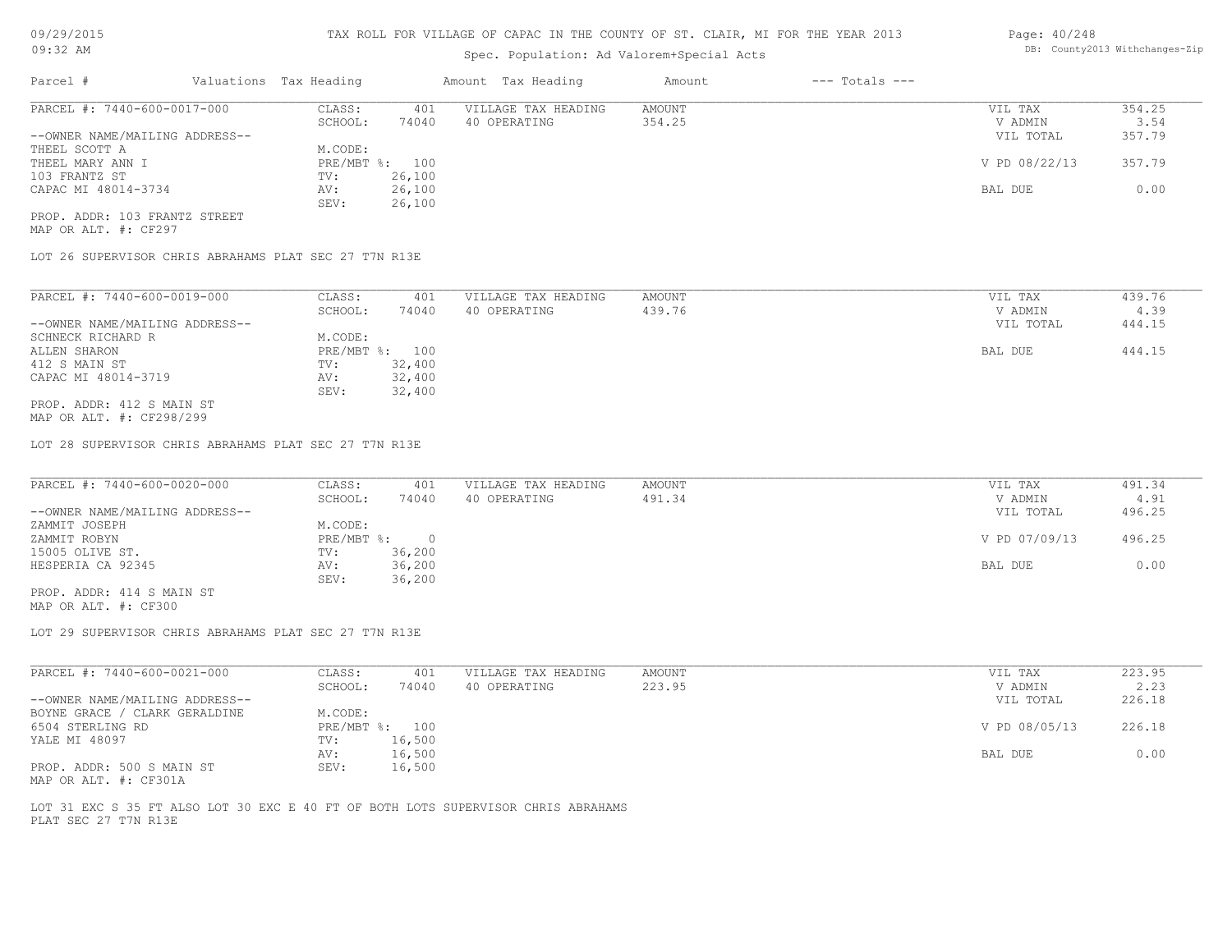# Spec. Population: Ad Valorem+Special Acts

| Page: 40/248 |                                |
|--------------|--------------------------------|
|              | DB: County2013 Withchanges-Zip |

| Parcel #                       | Valuations Tax Heading |        | Amount Tax Heading  | Amount | $---$ Totals $---$ |               |        |
|--------------------------------|------------------------|--------|---------------------|--------|--------------------|---------------|--------|
| PARCEL #: 7440-600-0017-000    | CLASS:                 | 401    | VILLAGE TAX HEADING | AMOUNT |                    | VIL TAX       | 354.25 |
|                                | SCHOOL:                | 74040  | 40 OPERATING        | 354.25 |                    | V ADMIN       | 3.54   |
| --OWNER NAME/MAILING ADDRESS-- |                        |        |                     |        |                    | VIL TOTAL     | 357.79 |
| THEEL SCOTT A                  | M.CODE:                |        |                     |        |                    |               |        |
| THEEL MARY ANN I               | PRE/MBT %: 100         |        |                     |        |                    | V PD 08/22/13 | 357.79 |
| 103 FRANTZ ST                  | TV:                    | 26,100 |                     |        |                    |               |        |
| CAPAC MI 48014-3734            | AV:                    | 26,100 |                     |        |                    | BAL DUE       | 0.00   |
|                                | SEV:                   | 26,100 |                     |        |                    |               |        |
| PROP. ADDR: 103 FRANTZ STREET  |                        |        |                     |        |                    |               |        |

MAP OR ALT. #: CF297

LOT 26 SUPERVISOR CHRIS ABRAHAMS PLAT SEC 27 T7N R13E

| PARCEL #: 7440-600-0019-000    | CLASS:       | 401    | VILLAGE TAX HEADING | AMOUNT | VIL TAX   | 439.76 |
|--------------------------------|--------------|--------|---------------------|--------|-----------|--------|
|                                | SCHOOL:      | 74040  | 40 OPERATING        | 439.76 | V ADMIN   | 4.39   |
| --OWNER NAME/MAILING ADDRESS-- |              |        |                     |        | VIL TOTAL | 444.15 |
| SCHNECK RICHARD R              | M.CODE:      |        |                     |        |           |        |
| ALLEN SHARON                   | $PRE/MBT$ %: | 100    |                     |        | BAL DUE   | 444.15 |
| 412 S MAIN ST                  | TV:          | 32,400 |                     |        |           |        |
| CAPAC MI 48014-3719            | AV:          | 32,400 |                     |        |           |        |
|                                | SEV:         | 32,400 |                     |        |           |        |
| PROP. ADDR: 412 S MAIN ST      |              |        |                     |        |           |        |
| MAP OR ALT. #: CF298/299       |              |        |                     |        |           |        |

LOT 28 SUPERVISOR CHRIS ABRAHAMS PLAT SEC 27 T7N R13E

| PARCEL #: 7440-600-0020-000    | CLASS:       | 401    | VILLAGE TAX HEADING | AMOUNT | VIL TAX       | 491.34 |
|--------------------------------|--------------|--------|---------------------|--------|---------------|--------|
|                                | SCHOOL:      | 74040  | 40 OPERATING        | 491.34 | V ADMIN       | 4.91   |
| --OWNER NAME/MAILING ADDRESS-- |              |        |                     |        | VIL TOTAL     | 496.25 |
| ZAMMIT JOSEPH                  | M.CODE:      |        |                     |        |               |        |
| ZAMMIT ROBYN                   | $PRE/MBT$ %: |        |                     |        | V PD 07/09/13 | 496.25 |
| 15005 OLIVE ST.                | TV:          | 36,200 |                     |        |               |        |
| HESPERIA CA 92345              | AV:          | 36,200 |                     |        | BAL DUE       | 0.00   |
|                                | SEV:         | 36,200 |                     |        |               |        |

MAP OR ALT. #: CF300 PROP. ADDR: 414 S MAIN ST

LOT 29 SUPERVISOR CHRIS ABRAHAMS PLAT SEC 27 T7N R13E

| PARCEL #: 7440-600-0021-000    | CLASS:  | 401            | VILLAGE TAX HEADING | AMOUNT | VIL TAX       | 223.95 |
|--------------------------------|---------|----------------|---------------------|--------|---------------|--------|
|                                | SCHOOL: | 74040          | 40 OPERATING        | 223.95 | V ADMIN       | 2.23   |
| --OWNER NAME/MAILING ADDRESS-- |         |                |                     |        | VIL TOTAL     | 226.18 |
| BOYNE GRACE / CLARK GERALDINE  | M.CODE: |                |                     |        |               |        |
| 6504 STERLING RD               |         | PRE/MBT %: 100 |                     |        | V PD 08/05/13 | 226.18 |
| YALE MI 48097                  | TV:     | 16,500         |                     |        |               |        |
|                                | AV:     | 16,500         |                     |        | BAL DUE       | 0.00   |
| PROP. ADDR: 500 S MAIN ST      | SEV:    | 16,500         |                     |        |               |        |
| MAP OR ALT. #: CF301A          |         |                |                     |        |               |        |

PLAT SEC 27 T7N R13E LOT 31 EXC S 35 FT ALSO LOT 30 EXC E 40 FT OF BOTH LOTS SUPERVISOR CHRIS ABRAHAMS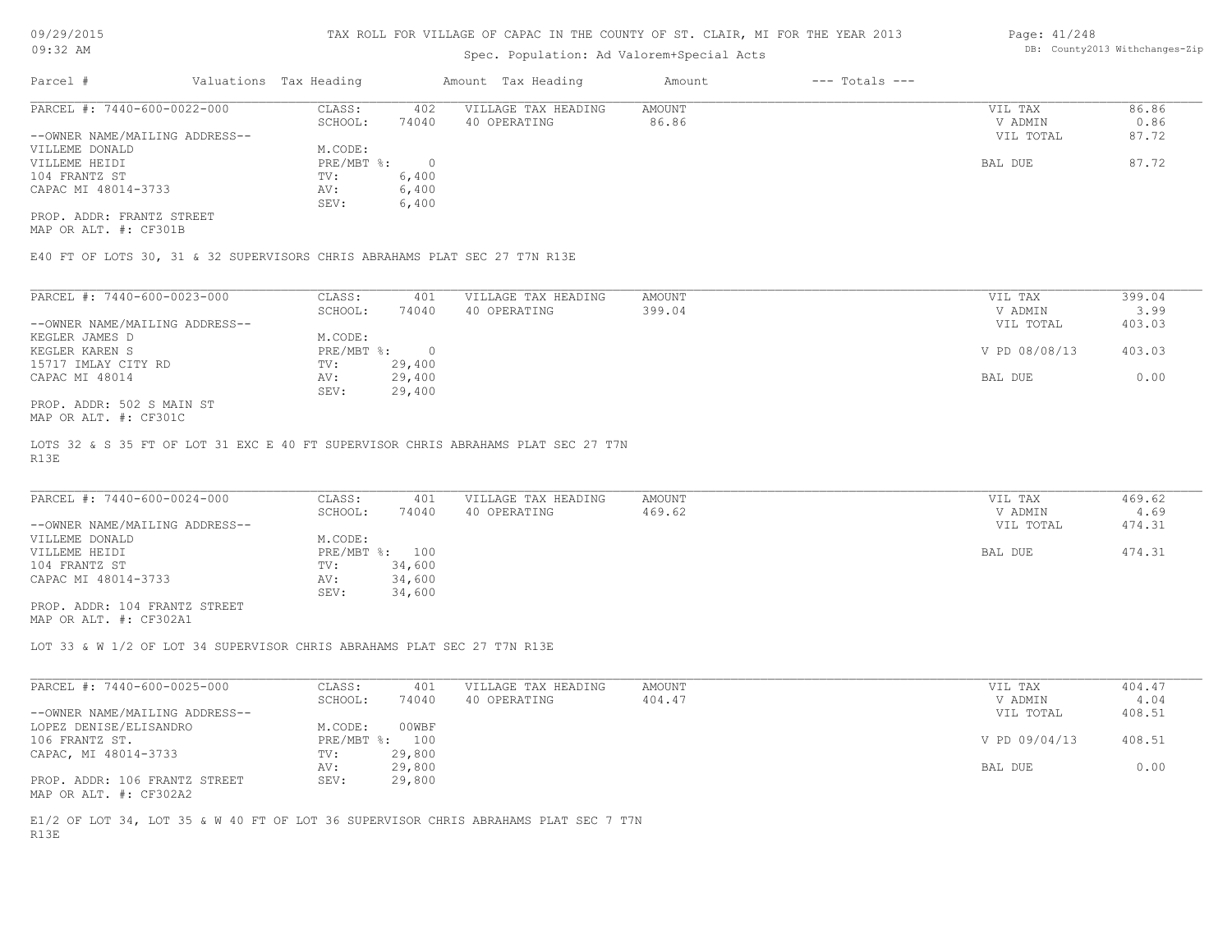# Spec. Population: Ad Valorem+Special Acts

### Page: 41/248 DB: County2013 Withchanges-Zip

| Parcel #                       | Valuations Tax Heading |       | Amount Tax Heading  | Amount | $---$ Totals $---$ |           |       |
|--------------------------------|------------------------|-------|---------------------|--------|--------------------|-----------|-------|
| PARCEL #: 7440-600-0022-000    | CLASS:                 | 402   | VILLAGE TAX HEADING | AMOUNT |                    | VIL TAX   | 86.86 |
|                                | SCHOOL:                | 74040 | 40 OPERATING        | 86.86  |                    | V ADMIN   | 0.86  |
| --OWNER NAME/MAILING ADDRESS-- |                        |       |                     |        |                    | VIL TOTAL | 87.72 |
| VILLEME DONALD                 | M.CODE:                |       |                     |        |                    |           |       |
| VILLEME HEIDI                  | $PRE/MBT$ %:           |       |                     |        |                    | BAL DUE   | 87.72 |
| 104 FRANTZ ST                  | TV:                    | 6,400 |                     |        |                    |           |       |
| CAPAC MI 48014-3733            | AV:                    | 6,400 |                     |        |                    |           |       |
|                                | SEV:                   | 6,400 |                     |        |                    |           |       |
| PROP, ADDR: FRANTZ STREET      |                        |       |                     |        |                    |           |       |

MAP OR ALT. #: CF301B

E40 FT OF LOTS 30, 31 & 32 SUPERVISORS CHRIS ABRAHAMS PLAT SEC 27 T7N R13E

| PARCEL #: 7440-600-0023-000    | CLASS:     | 401    | VILLAGE TAX HEADING | AMOUNT | 399.04<br>VIL TAX       |  |
|--------------------------------|------------|--------|---------------------|--------|-------------------------|--|
|                                | SCHOOL:    | 74040  | 40 OPERATING        | 399.04 | 3.99<br>V ADMIN         |  |
| --OWNER NAME/MAILING ADDRESS-- |            |        |                     |        | 403.03<br>VIL TOTAL     |  |
| KEGLER JAMES D                 | M.CODE:    |        |                     |        |                         |  |
| KEGLER KAREN S                 | PRE/MBT %: |        |                     |        | V PD 08/08/13<br>403.03 |  |
| 15717 IMLAY CITY RD            | TV:        | 29,400 |                     |        |                         |  |
| CAPAC MI 48014                 | AV:        | 29,400 |                     |        | 0.00<br>BAL DUE         |  |
|                                | SEV:       | 29,400 |                     |        |                         |  |
| PROP. ADDR: 502 S MAIN ST      |            |        |                     |        |                         |  |

MAP OR ALT. #: CF301C

R13E LOTS 32 & S 35 FT OF LOT 31 EXC E 40 FT SUPERVISOR CHRIS ABRAHAMS PLAT SEC 27 T7N

| PARCEL #: 7440-600-0024-000    | CLASS:         | 401    | VILLAGE TAX HEADING | AMOUNT | VIL TAX   | 469.62 |
|--------------------------------|----------------|--------|---------------------|--------|-----------|--------|
|                                | SCHOOL:        | 74040  | 40 OPERATING        | 469.62 | V ADMIN   | 4.69   |
| --OWNER NAME/MAILING ADDRESS-- |                |        |                     |        | VIL TOTAL | 474.31 |
| VILLEME DONALD                 | M.CODE:        |        |                     |        |           |        |
| VILLEME HEIDI                  | PRE/MBT %: 100 |        |                     |        | BAL DUE   | 474.31 |
| 104 FRANTZ ST                  | TV:            | 34,600 |                     |        |           |        |
| CAPAC MI 48014-3733            | AV:            | 34,600 |                     |        |           |        |
|                                | SEV:           | 34,600 |                     |        |           |        |
| PROP. ADDR: 104 FRANTZ STREET  |                |        |                     |        |           |        |

MAP OR ALT. #: CF302A1

LOT 33 & W 1/2 OF LOT 34 SUPERVISOR CHRIS ABRAHAMS PLAT SEC 27 T7N R13E

| PARCEL #: 7440-600-0025-000    | CLASS:  | 401            | VILLAGE TAX HEADING | AMOUNT | VIL TAX       | 404.47 |
|--------------------------------|---------|----------------|---------------------|--------|---------------|--------|
|                                | SCHOOL: | 74040          | 40 OPERATING        | 404.47 | V ADMIN       | 4.04   |
| --OWNER NAME/MAILING ADDRESS-- |         |                |                     |        | VIL TOTAL     | 408.51 |
| LOPEZ DENISE/ELISANDRO         | M.CODE: | 00WBF          |                     |        |               |        |
| 106 FRANTZ ST.                 |         | PRE/MBT %: 100 |                     |        | V PD 09/04/13 | 408.51 |
| CAPAC, MI 48014-3733           | TV:     | 29,800         |                     |        |               |        |
|                                | AV:     | 29,800         |                     |        | BAL DUE       | 0.00   |
| PROP. ADDR: 106 FRANTZ STREET  | SEV:    | 29,800         |                     |        |               |        |
| MAP OR ALT. #: CF302A2         |         |                |                     |        |               |        |

R13E E1/2 OF LOT 34, LOT 35 & W 40 FT OF LOT 36 SUPERVISOR CHRIS ABRAHAMS PLAT SEC 7 T7N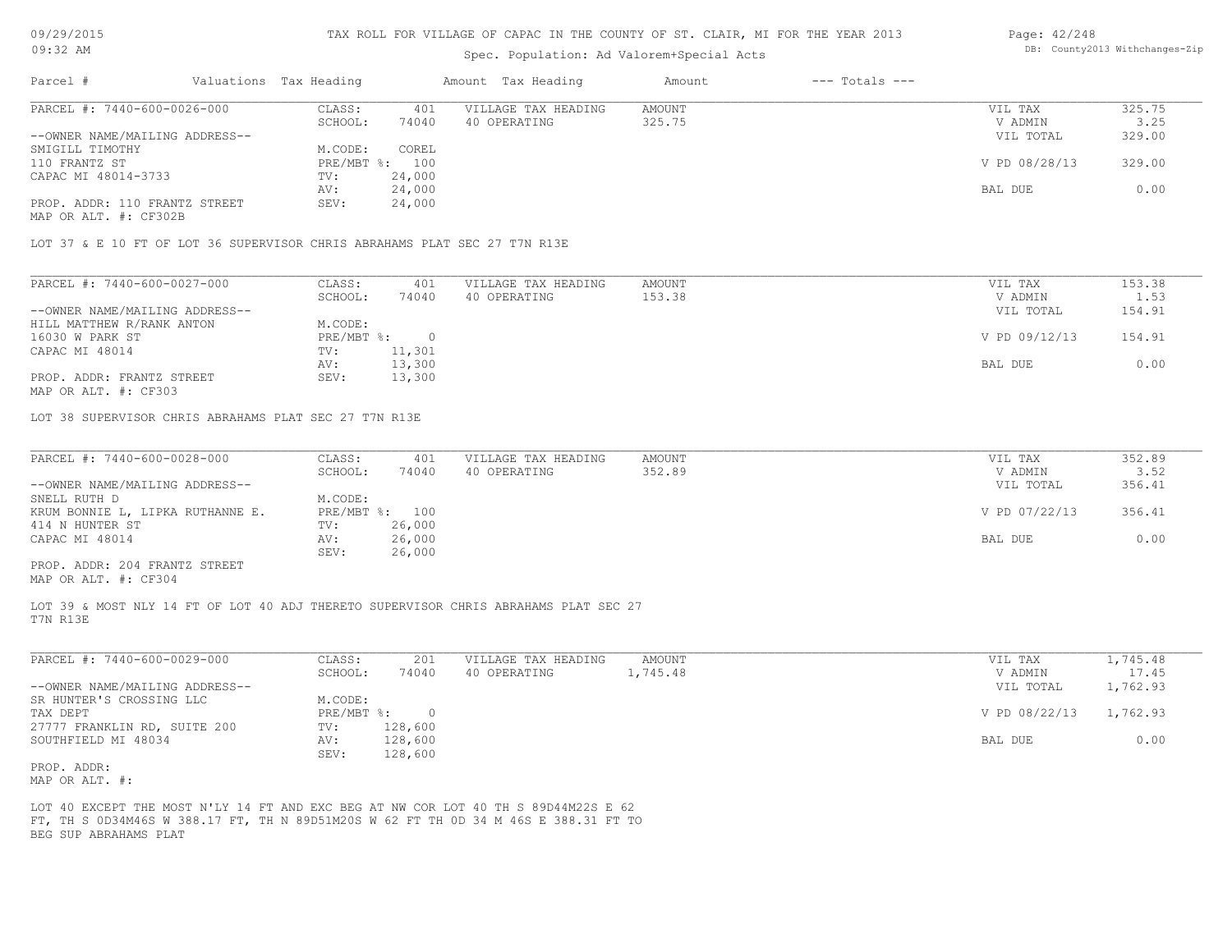# Spec. Population: Ad Valorem+Special Acts

| Page: 42/248 |                                |
|--------------|--------------------------------|
|              | DB: County2013 Withchanges-Zip |

| Parcel #                       | Valuations Tax Heading |                | Amount Tax Heading  | Amount | $---$ Totals $---$ |               |        |
|--------------------------------|------------------------|----------------|---------------------|--------|--------------------|---------------|--------|
| PARCEL #: 7440-600-0026-000    | CLASS:                 | 401            | VILLAGE TAX HEADING | AMOUNT |                    | VIL TAX       | 325.75 |
|                                | SCHOOL:                | 74040          | 40 OPERATING        | 325.75 |                    | V ADMIN       | 3.25   |
| --OWNER NAME/MAILING ADDRESS-- |                        |                |                     |        |                    | VIL TOTAL     | 329.00 |
| SMIGILL TIMOTHY                | M.CODE:                | COREL          |                     |        |                    |               |        |
| 110 FRANTZ ST                  |                        | PRE/MBT %: 100 |                     |        |                    | V PD 08/28/13 | 329.00 |
| CAPAC MI 48014-3733            | TV:                    | 24,000         |                     |        |                    |               |        |
|                                | AV:                    | 24,000         |                     |        |                    | BAL DUE       | 0.00   |
| PROP. ADDR: 110 FRANTZ STREET  | SEV:                   | 24,000         |                     |        |                    |               |        |
| MAP OR ALT. #: CF302B          |                        |                |                     |        |                    |               |        |
|                                |                        |                |                     |        |                    |               |        |

LOT 37 & E 10 FT OF LOT 36 SUPERVISOR CHRIS ABRAHAMS PLAT SEC 27 T7N R13E

| PARCEL #: 7440-600-0027-000    | CLASS:       | 401    | VILLAGE TAX HEADING | AMOUNT | VIL TAX       | 153.38 |
|--------------------------------|--------------|--------|---------------------|--------|---------------|--------|
|                                | SCHOOL:      | 74040  | 40 OPERATING        | 153.38 | V ADMIN       | 1.53   |
| --OWNER NAME/MAILING ADDRESS-- |              |        |                     |        | VIL TOTAL     | 154.91 |
| HILL MATTHEW R/RANK ANTON      | M.CODE:      |        |                     |        |               |        |
| 16030 W PARK ST                | $PRE/MBT$ %: |        |                     |        | V PD 09/12/13 | 154.91 |
| CAPAC MI 48014                 | TV:          | 11,301 |                     |        |               |        |
|                                | AV:          | 13,300 |                     |        | BAL DUE       | 0.00   |
| PROP. ADDR: FRANTZ STREET      | SEV:         | 13,300 |                     |        |               |        |
| MAP OR ALT. #: CF303           |              |        |                     |        |               |        |

LOT 38 SUPERVISOR CHRIS ABRAHAMS PLAT SEC 27 T7N R13E

| PARCEL #: 7440-600-0028-000      | CLASS:  | 401            | VILLAGE TAX HEADING | AMOUNT | VIL TAX       | 352.89 |
|----------------------------------|---------|----------------|---------------------|--------|---------------|--------|
|                                  | SCHOOL: | 74040          | 40 OPERATING        | 352.89 | V ADMIN       | 3.52   |
| --OWNER NAME/MAILING ADDRESS--   |         |                |                     |        | VIL TOTAL     | 356.41 |
| SNELL RUTH D                     | M.CODE: |                |                     |        |               |        |
| KRUM BONNIE L, LIPKA RUTHANNE E. |         | PRE/MBT %: 100 |                     |        | V PD 07/22/13 | 356.41 |
| 414 N HUNTER ST                  | TV:     | 26,000         |                     |        |               |        |
| CAPAC MI 48014                   | AV:     | 26,000         |                     |        | BAL DUE       | 0.00   |
|                                  | SEV:    | 26,000         |                     |        |               |        |
| PROP. ADDR: 204 FRANTZ STREET    |         |                |                     |        |               |        |

MAP OR ALT. #: CF304

T7N R13E LOT 39 & MOST NLY 14 FT OF LOT 40 ADJ THERETO SUPERVISOR CHRIS ABRAHAMS PLAT SEC 27

| PARCEL #: 7440-600-0029-000    | CLASS:     | 201     | VILLAGE TAX HEADING | AMOUNT   | 1,745.48<br>VIL TAX       |
|--------------------------------|------------|---------|---------------------|----------|---------------------------|
|                                | SCHOOL:    | 74040   | 40 OPERATING        | 1,745.48 | 17.45<br>V ADMIN          |
| --OWNER NAME/MAILING ADDRESS-- |            |         |                     |          | 1,762.93<br>VIL TOTAL     |
| SR HUNTER'S CROSSING LLC       | M.CODE:    |         |                     |          |                           |
| TAX DEPT                       | PRE/MBT %: | $\cap$  |                     |          | V PD 08/22/13<br>1,762.93 |
| 27777 FRANKLIN RD, SUITE 200   | TV:        | 128,600 |                     |          |                           |
| SOUTHFIELD MI 48034            | AV:        | 128,600 |                     |          | 0.00<br>BAL DUE           |
|                                | SEV:       | 128,600 |                     |          |                           |
| PROP. ADDR:                    |            |         |                     |          |                           |

MAP OR ALT. #:

BEG SUP ABRAHAMS PLAT FT, TH S 0D34M46S W 388.17 FT, TH N 89D51M20S W 62 FT TH 0D 34 M 46S E 388.31 FT TO LOT 40 EXCEPT THE MOST N'LY 14 FT AND EXC BEG AT NW COR LOT 40 TH S 89D44M22S E 62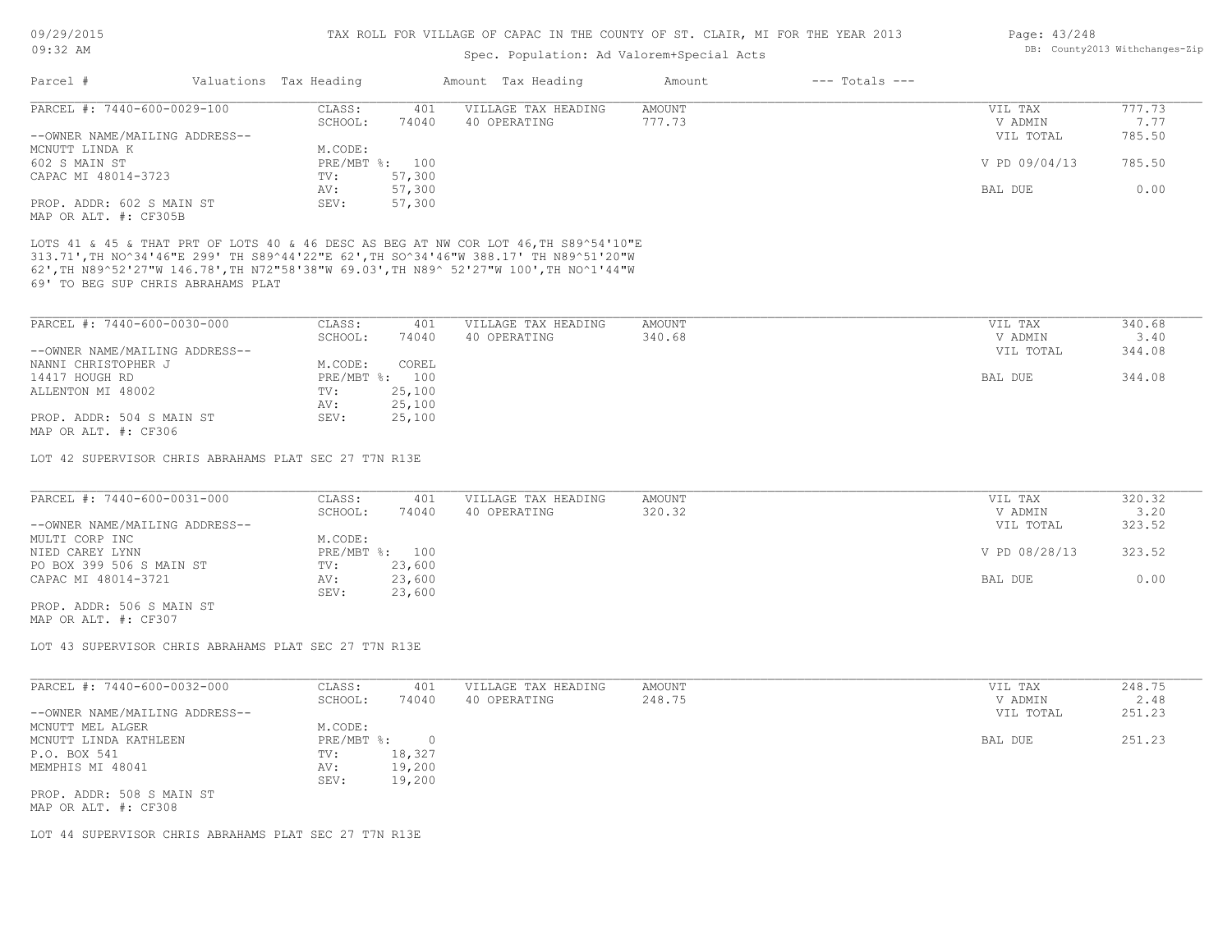# Spec. Population: Ad Valorem+Special Acts

| Page: 43/248 |                                |
|--------------|--------------------------------|
|              | DB: County2013 Withchanges-Zip |

| Parcel #                                                                                                                                                                     | Valuations Tax Heading |              | Amount Tax Heading  | Amount | $---$ Totals $---$ |                      |                |
|------------------------------------------------------------------------------------------------------------------------------------------------------------------------------|------------------------|--------------|---------------------|--------|--------------------|----------------------|----------------|
| PARCEL #: 7440-600-0029-100                                                                                                                                                  | CLASS:                 | 401          | VILLAGE TAX HEADING | AMOUNT |                    | VIL TAX              | 777.73         |
|                                                                                                                                                                              | SCHOOL:                | 74040        | 40 OPERATING        | 777.73 |                    | V ADMIN              | 7.77           |
| --OWNER NAME/MAILING ADDRESS--                                                                                                                                               |                        |              |                     |        |                    | VIL TOTAL            | 785.50         |
| MCNUTT LINDA K                                                                                                                                                               | M.CODE:                |              |                     |        |                    |                      |                |
| 602 S MAIN ST                                                                                                                                                                | $PRE/MBT$ %:           | 100          |                     |        |                    | V PD 09/04/13        | 785.50         |
| CAPAC MI 48014-3723                                                                                                                                                          | TV:                    | 57,300       |                     |        |                    |                      |                |
|                                                                                                                                                                              | AV:                    | 57,300       |                     |        |                    | BAL DUE              | 0.00           |
| PROP. ADDR: 602 S MAIN ST                                                                                                                                                    | SEV:                   | 57,300       |                     |        |                    |                      |                |
| MAP OR ALT. #: CF305B                                                                                                                                                        |                        |              |                     |        |                    |                      |                |
| LOTS 41 & 45 & THAT PRT OF LOTS 40 & 46 DESC AS BEG AT NW COR LOT 46, TH S89^54'10"E<br>313.71', TH NO^34'46"E 299' TH S89^44'22"E 62', TH SO^34'46"W 388.17' TH N89^51'20"W |                        |              |                     |        |                    |                      |                |
| 62', TH N89^52'27"W 146.78', TH N72"58'38"W 69.03', TH N89^ 52'27"W 100', TH NO^1'44"W<br>69' TO BEG SUP CHRIS ABRAHAMS PLAT                                                 |                        |              |                     |        |                    |                      |                |
|                                                                                                                                                                              |                        |              |                     |        |                    |                      |                |
| PARCEL #: 7440-600-0030-000                                                                                                                                                  | CLASS:                 | 401<br>74040 | VILLAGE TAX HEADING | AMOUNT |                    | VIL TAX              | 340.68         |
| --OWNER NAME/MAILING ADDRESS--                                                                                                                                               | SCHOOL:                |              | 40 OPERATING        | 340.68 |                    | V ADMIN<br>VIL TOTAL | 3.40<br>344.08 |
| NANNI CHRISTOPHER J                                                                                                                                                          | M.CODE:                | COREL        |                     |        |                    |                      |                |
| 14417 HOUGH RD                                                                                                                                                               | PRE/MBT %: 100         |              |                     |        |                    | BAL DUE              | 344.08         |
| ALLENTON MI 48002                                                                                                                                                            | TV:                    | 25,100       |                     |        |                    |                      |                |
|                                                                                                                                                                              | AV:                    | 25,100       |                     |        |                    |                      |                |

LOT 42 SUPERVISOR CHRIS ABRAHAMS PLAT SEC 27 T7N R13E

| PARCEL #: 7440-600-0031-000    | CLASS:  | 401            | VILLAGE TAX HEADING | AMOUNT | VIL TAX       | 320.32 |
|--------------------------------|---------|----------------|---------------------|--------|---------------|--------|
|                                | SCHOOL: | 74040          | 40 OPERATING        | 320.32 | V ADMIN       | 3.20   |
| --OWNER NAME/MAILING ADDRESS-- |         |                |                     |        | VIL TOTAL     | 323.52 |
| MULTI CORP INC                 | M.CODE: |                |                     |        |               |        |
| NIED CAREY LYNN                |         | PRE/MBT %: 100 |                     |        | V PD 08/28/13 | 323.52 |
| PO BOX 399 506 S MAIN ST       | TV:     | 23,600         |                     |        |               |        |
| CAPAC MI 48014-3721            | AV:     | 23,600         |                     |        | BAL DUE       | 0.00   |
|                                | SEV:    | 23,600         |                     |        |               |        |
| PROP. ADDR: 506 S MAIN ST      |         |                |                     |        |               |        |

MAP OR ALT. #: CF307

MAP OR ALT. #: CF306

LOT 43 SUPERVISOR CHRIS ABRAHAMS PLAT SEC 27 T7N R13E

| PARCEL #: 7440-600-0032-000    | CLASS:     | 401    | VILLAGE TAX HEADING | AMOUNT | VIL TAX   | 248.75 |
|--------------------------------|------------|--------|---------------------|--------|-----------|--------|
|                                | SCHOOL:    | 74040  | 40 OPERATING        | 248.75 | V ADMIN   | 2.48   |
| --OWNER NAME/MAILING ADDRESS-- |            |        |                     |        | VIL TOTAL | 251.23 |
| MCNUTT MEL ALGER               | M.CODE:    |        |                     |        |           |        |
| MCNUTT LINDA KATHLEEN          | PRE/MBT %: |        |                     |        | BAL DUE   | 251.23 |
| P.O. BOX 541                   | TV:        | 18,327 |                     |        |           |        |
| MEMPHIS MI 48041               | AV:        | 19,200 |                     |        |           |        |
|                                | SEV:       | 19,200 |                     |        |           |        |
| PROP. ADDR: 508 S MAIN ST      |            |        |                     |        |           |        |
| MAP OR ALT. #: CF308           |            |        |                     |        |           |        |

LOT 44 SUPERVISOR CHRIS ABRAHAMS PLAT SEC 27 T7N R13E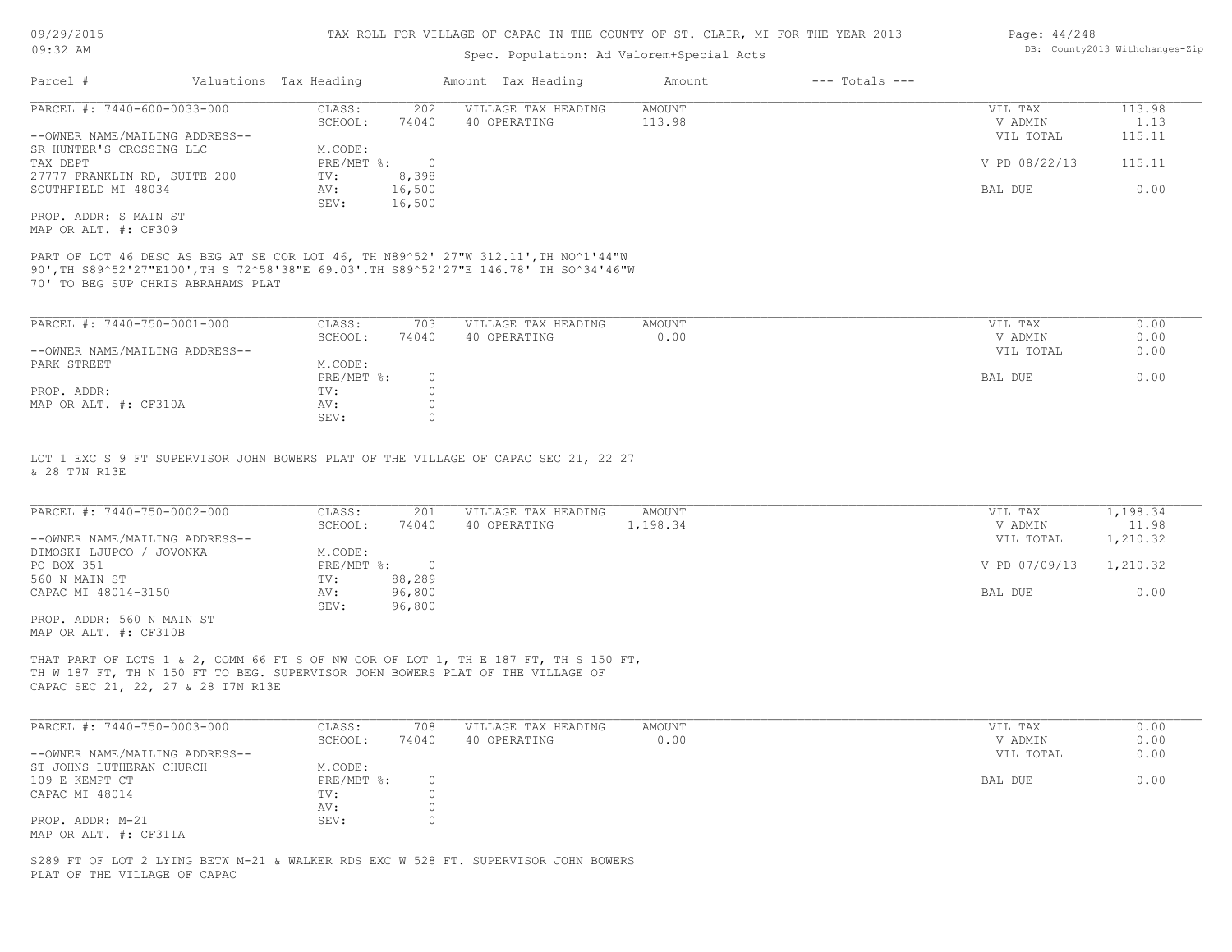# Spec. Population: Ad Valorem+Special Acts

| Parcel #                       | Valuations Tax Heading |        | Amount Tax Heading  | Amount | $---$ Totals $---$ |               |        |
|--------------------------------|------------------------|--------|---------------------|--------|--------------------|---------------|--------|
| PARCEL #: 7440-600-0033-000    | CLASS:                 | 202    | VILLAGE TAX HEADING | AMOUNT |                    | VIL TAX       | 113.98 |
|                                | SCHOOL:                | 74040  | 40 OPERATING        | 113.98 |                    | V ADMIN       | 1.13   |
| --OWNER NAME/MAILING ADDRESS-- |                        |        |                     |        |                    | VIL TOTAL     | 115.11 |
| SR HUNTER'S CROSSING LLC       | M.CODE:                |        |                     |        |                    |               |        |
| TAX DEPT                       | $PRE/MBT$ %:           |        |                     |        |                    | V PD 08/22/13 | 115.11 |
| 27777 FRANKLIN RD, SUITE 200   | TV:                    | 8,398  |                     |        |                    |               |        |
| SOUTHFIELD MI 48034            | AV:                    | 16,500 |                     |        |                    | BAL DUE       | 0.00   |
|                                | SEV:                   | 16,500 |                     |        |                    |               |        |
| PROP. ADDR: S MAIN ST          |                        |        |                     |        |                    |               |        |
|                                |                        |        |                     |        |                    |               |        |

MAP OR ALT. #: CF309

70' TO BEG SUP CHRIS ABRAHAMS PLAT 90',TH S89^52'27"E100',TH S 72^58'38"E 69.03'.TH S89^52'27"E 146.78' TH SO^34'46"W PART OF LOT 46 DESC AS BEG AT SE COR LOT 46, TH N89^52' 27"W 312.11', TH NO^1'44"W

| PARCEL #: 7440-750-0001-000    | CLASS:     | 703   | VILLAGE TAX HEADING | AMOUNT | VIL TAX   | 0.00 |
|--------------------------------|------------|-------|---------------------|--------|-----------|------|
|                                | SCHOOL:    | 74040 | 40 OPERATING        | 0.00   | V ADMIN   | 0.00 |
| --OWNER NAME/MAILING ADDRESS-- |            |       |                     |        | VIL TOTAL | 0.00 |
| PARK STREET                    | M.CODE:    |       |                     |        |           |      |
|                                | PRE/MBT %: |       |                     |        | BAL DUE   | 0.00 |
| PROP. ADDR:                    | TV:        |       |                     |        |           |      |
| MAP OR ALT. #: CF310A          | AV:        |       |                     |        |           |      |
|                                | SEV:       |       |                     |        |           |      |

& 28 T7N R13E LOT 1 EXC S 9 FT SUPERVISOR JOHN BOWERS PLAT OF THE VILLAGE OF CAPAC SEC 21, 22 27

| PARCEL #: 7440-750-0002-000    | CLASS:     | 201    | VILLAGE TAX HEADING | AMOUNT   | VIL TAX       | 1,198.34 |
|--------------------------------|------------|--------|---------------------|----------|---------------|----------|
|                                | SCHOOL:    | 74040  | 40 OPERATING        | 1,198.34 | V ADMIN       | 11.98    |
| --OWNER NAME/MAILING ADDRESS-- |            |        |                     |          | VIL TOTAL     | 1,210.32 |
| DIMOSKI LJUPCO / JOVONKA       | M.CODE:    |        |                     |          |               |          |
| PO BOX 351                     | PRE/MBT %: |        |                     |          | V PD 07/09/13 | 1,210.32 |
| 560 N MAIN ST                  | TV:        | 88,289 |                     |          |               |          |
| CAPAC MI 48014-3150            | AV:        | 96,800 |                     |          | BAL DUE       | 0.00     |
|                                | SEV:       | 96,800 |                     |          |               |          |
| DDAD 3DDD ECO 11 1/3 TH AM     |            |        |                     |          |               |          |

MAP OR ALT. #: CF310B PROP. ADDR: 560 N MAIN ST

CAPAC SEC 21, 22, 27 & 28 T7N R13E TH W 187 FT, TH N 150 FT TO BEG. SUPERVISOR JOHN BOWERS PLAT OF THE VILLAGE OF THAT PART OF LOTS 1 & 2, COMM 66 FT S OF NW COR OF LOT 1, TH E 187 FT, TH S 150 FT,

| PARCEL #: 7440-750-0003-000    | CLASS:     | 708   | VILLAGE TAX HEADING | AMOUNT | VIL TAX   | 0.00 |
|--------------------------------|------------|-------|---------------------|--------|-----------|------|
|                                | SCHOOL:    | 74040 | 40 OPERATING        | 0.00   | V ADMIN   | 0.00 |
| --OWNER NAME/MAILING ADDRESS-- |            |       |                     |        | VIL TOTAL | 0.00 |
| ST JOHNS LUTHERAN CHURCH       | M.CODE:    |       |                     |        |           |      |
| 109 E KEMPT CT                 | PRE/MBT %: |       |                     |        | BAL DUE   | 0.00 |
| CAPAC MI 48014                 | TV:        |       |                     |        |           |      |
|                                | AV:        |       |                     |        |           |      |
| PROP. ADDR: M-21               | SEV:       |       |                     |        |           |      |
| MAP OR ALT. #: CF311A          |            |       |                     |        |           |      |

PLAT OF THE VILLAGE OF CAPAC S289 FT OF LOT 2 LYING BETW M-21 & WALKER RDS EXC W 528 FT. SUPERVISOR JOHN BOWERS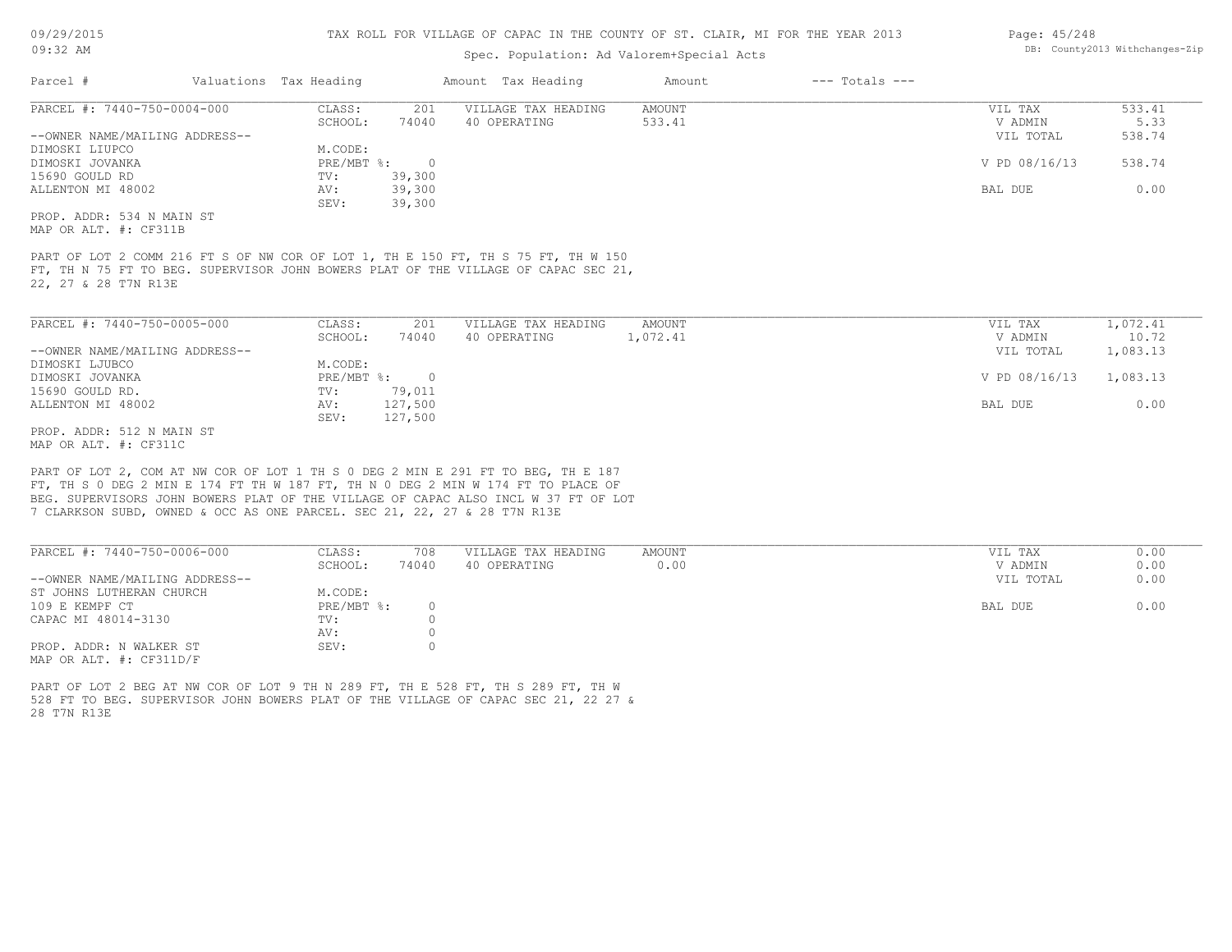# Spec. Population: Ad Valorem+Special Acts

| Page: 45/248 |                                |
|--------------|--------------------------------|
|              | DB: County2013 Withchanges-Zip |

| Parcel #                       | Valuations Tax Heading |        | Amount Tax Heading  | Amount | $---$ Totals $---$ |               |        |
|--------------------------------|------------------------|--------|---------------------|--------|--------------------|---------------|--------|
| PARCEL #: 7440-750-0004-000    | CLASS:                 | 201    | VILLAGE TAX HEADING | AMOUNT |                    | VIL TAX       | 533.41 |
|                                | SCHOOL:                | 74040  | 40 OPERATING        | 533.41 |                    | V ADMIN       | 5.33   |
| --OWNER NAME/MAILING ADDRESS-- |                        |        |                     |        |                    | VIL TOTAL     | 538.74 |
| DIMOSKI LIUPCO                 | M.CODE:                |        |                     |        |                    |               |        |
| DIMOSKI JOVANKA                | PRE/MBT %:             |        |                     |        |                    | V PD 08/16/13 | 538.74 |
| 15690 GOULD RD                 | TV:                    | 39,300 |                     |        |                    |               |        |
| ALLENTON MI 48002              | AV:                    | 39,300 |                     |        |                    | BAL DUE       | 0.00   |
|                                | SEV:                   | 39,300 |                     |        |                    |               |        |
| PROP. ADDR: 534 N MAIN ST      |                        |        |                     |        |                    |               |        |

MAP OR ALT. #: CF311B

22, 27 & 28 T7N R13E FT, TH N 75 FT TO BEG. SUPERVISOR JOHN BOWERS PLAT OF THE VILLAGE OF CAPAC SEC 21, PART OF LOT 2 COMM 216 FT S OF NW COR OF LOT 1, TH E 150 FT, TH S 75 FT, TH W 150

| PARCEL #: 7440-750-0005-000    | CLASS:     | 201     | VILLAGE TAX HEADING | AMOUNT   | 1,072.41<br>VIL TAX       |       |
|--------------------------------|------------|---------|---------------------|----------|---------------------------|-------|
|                                | SCHOOL:    | 74040   | 40 OPERATING        | 1,072.41 | V ADMIN                   | 10.72 |
| --OWNER NAME/MAILING ADDRESS-- |            |         |                     |          | 1,083.13<br>VIL TOTAL     |       |
| DIMOSKI LJUBCO                 | M.CODE:    |         |                     |          |                           |       |
| DIMOSKI JOVANKA                | PRE/MBT %: |         |                     |          | 1,083.13<br>V PD 08/16/13 |       |
| 15690 GOULD RD.                | TV:        | 79,011  |                     |          |                           |       |
| ALLENTON MI 48002              | AV:        | 127,500 |                     |          | BAL DUE                   | 0.00  |
|                                | SEV:       | 127,500 |                     |          |                           |       |
| PROP. ADDR: 512 N MAIN ST      |            |         |                     |          |                           |       |

MAP OR ALT. #: CF311C

7 CLARKSON SUBD, OWNED & OCC AS ONE PARCEL. SEC 21, 22, 27 & 28 T7N R13E BEG. SUPERVISORS JOHN BOWERS PLAT OF THE VILLAGE OF CAPAC ALSO INCL W 37 FT OF LOT FT, TH S 0 DEG 2 MIN E 174 FT TH W 187 FT, TH N 0 DEG 2 MIN W 174 FT TO PLACE OF PART OF LOT 2, COM AT NW COR OF LOT 1 TH S 0 DEG 2 MIN E 291 FT TO BEG, TH E 187

| PARCEL #: 7440-750-0006-000    | CLASS:     | 708   | VILLAGE TAX HEADING | AMOUNT | 0.00<br>VIL TAX   |
|--------------------------------|------------|-------|---------------------|--------|-------------------|
|                                | SCHOOL:    | 74040 | 40 OPERATING        | 0.00   | 0.00<br>V ADMIN   |
| --OWNER NAME/MAILING ADDRESS-- |            |       |                     |        | 0.00<br>VIL TOTAL |
| ST JOHNS LUTHERAN CHURCH       | M.CODE:    |       |                     |        |                   |
| 109 E KEMPF CT                 | PRE/MBT %: |       |                     |        | 0.00<br>BAL DUE   |
| CAPAC MI 48014-3130            | TV:        |       |                     |        |                   |
|                                | AV:        |       |                     |        |                   |
| PROP. ADDR: N WALKER ST        | SEV:       |       |                     |        |                   |
| MAP OR ALT. $\#$ : CF311D/F    |            |       |                     |        |                   |

28 T7N R13E 528 FT TO BEG. SUPERVISOR JOHN BOWERS PLAT OF THE VILLAGE OF CAPAC SEC 21, 22 27 & PART OF LOT 2 BEG AT NW COR OF LOT 9 TH N 289 FT, TH E 528 FT, TH S 289 FT, TH W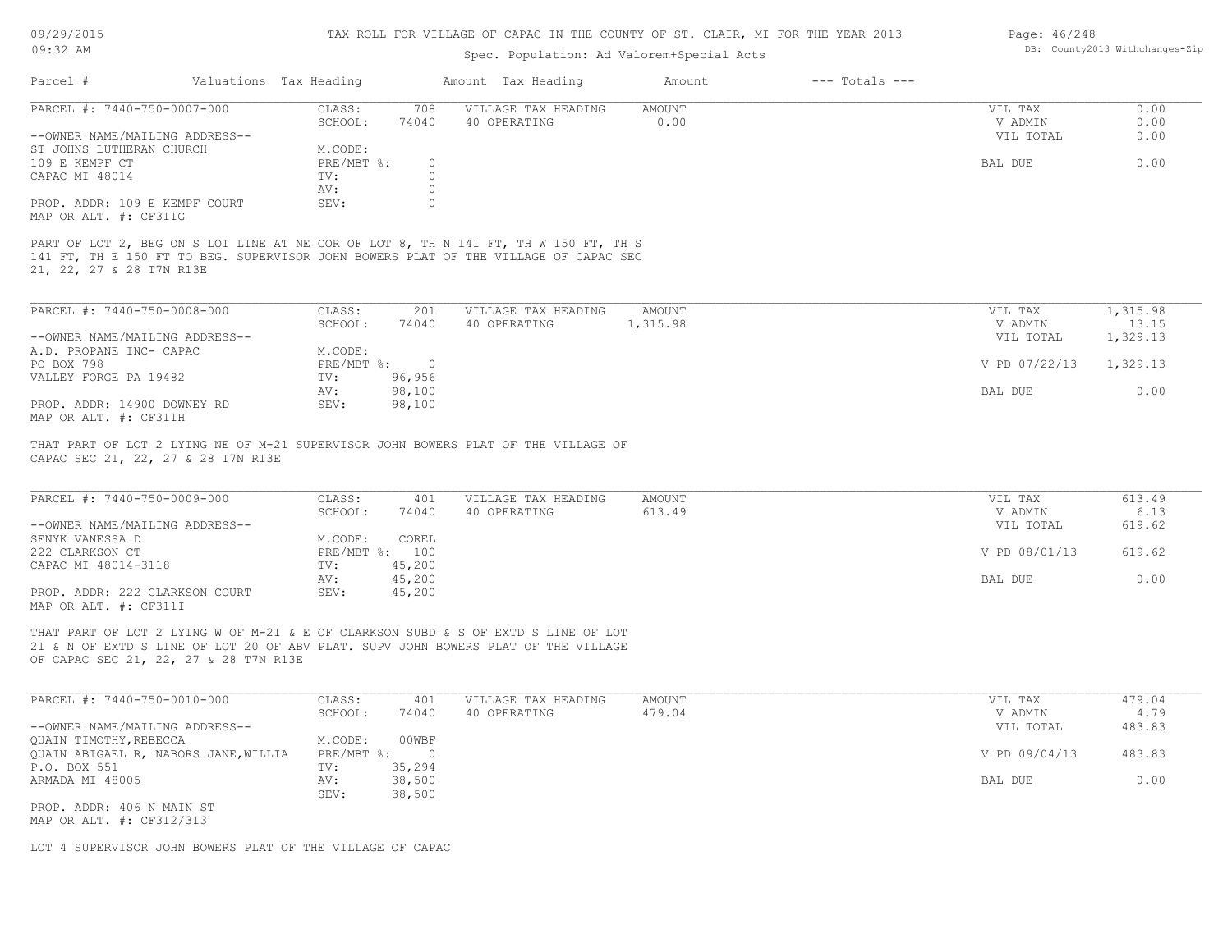# 09/29/2015 09:32 AM

#### TAX ROLL FOR VILLAGE OF CAPAC IN THE COUNTY OF ST. CLAIR, MI FOR THE YEAR 2013

# Spec. Population: Ad Valorem+Special Acts

| Page: 46/248 |                                |
|--------------|--------------------------------|
|              | DB: County2013 Withchanges-Zip |

| Parcel #                      |                                | Valuations Tax Heading |       | Amount Tax Heading                                                                  | Amount    | $---$ Totals $---$ |           |       |
|-------------------------------|--------------------------------|------------------------|-------|-------------------------------------------------------------------------------------|-----------|--------------------|-----------|-------|
| PARCEL #: 7440-750-0007-000   |                                | CLASS:                 | 708   | VILLAGE TAX HEADING                                                                 | AMOUNT    |                    | VIL TAX   | 0.00  |
|                               |                                | SCHOOL:                | 74040 | 40 OPERATING                                                                        | 0.00      |                    | V ADMIN   | 0.00  |
|                               | --OWNER NAME/MAILING ADDRESS-- |                        |       |                                                                                     |           |                    | VIL TOTAL | 0.00  |
| ST JOHNS LUTHERAN CHURCH      |                                | M.CODE:                |       |                                                                                     |           |                    |           |       |
| 109 E KEMPF CT                |                                | PRE/MBT %:             |       |                                                                                     |           |                    | BAL DUE   | 0.00  |
| CAPAC MI 48014                |                                | TV:                    |       |                                                                                     |           |                    |           |       |
|                               |                                | AV:                    |       |                                                                                     |           |                    |           |       |
| PROP. ADDR: 109 E KEMPF COURT |                                | SEV:                   |       |                                                                                     |           |                    |           |       |
| MAP OR ALT. #: CF311G         |                                |                        |       |                                                                                     |           |                    |           |       |
|                               |                                |                        |       |                                                                                     |           |                    |           |       |
|                               |                                |                        |       | PART OF LOT 2, BEG ON S LOT LINE AT NE COR OF LOT 8, TH N 141 FT, TH W 150 FT, TH S |           |                    |           |       |
|                               |                                |                        |       | 141 FT, TH E 150 FT TO BEG. SUPERVISOR JOHN BOWERS PLAT OF THE VILLAGE OF CAPAC SEC |           |                    |           |       |
| 21, 22, 27 & 28 T7N R13E      |                                |                        |       |                                                                                     |           |                    |           |       |
|                               |                                |                        |       |                                                                                     |           |                    |           |       |
|                               |                                |                        |       |                                                                                     |           |                    |           |       |
| DADCET #: 7440-750-0009-000   |                                | $CTACC$ .              | 201   | מודרוגים שגם שמח המודוזי                                                            | A MOTINIT |                    | TTTT TTAV | 21500 |

| PARCEL #: /440-/30-0008-000    | JLASS :    | 2 U 1  | VILLAGE TAX HEADING | AMOUNT.  | VIL TAX       | 1,315.98 |  |
|--------------------------------|------------|--------|---------------------|----------|---------------|----------|--|
|                                | SCHOOL:    | 74040  | 40 OPERATING        | 1,315.98 | V ADMIN       | 13.15    |  |
| --OWNER NAME/MAILING ADDRESS-- |            |        |                     |          | VIL TOTAL     | 1,329.13 |  |
| A.D. PROPANE INC- CAPAC        | M.CODE:    |        |                     |          |               |          |  |
| PO BOX 798                     | PRE/MBT %: |        |                     |          | V PD 07/22/13 | 1,329.13 |  |
| VALLEY FORGE PA 19482          | TV:        | 96,956 |                     |          |               |          |  |
|                                | AV:        | 98,100 |                     |          | BAL DUE       | 0.00     |  |
| PROP. ADDR: 14900 DOWNEY RD    | SEV:       | 98,100 |                     |          |               |          |  |
| MAP OR ALT. #: CF311H          |            |        |                     |          |               |          |  |

CAPAC SEC 21, 22, 27 & 28 T7N R13E THAT PART OF LOT 2 LYING NE OF M-21 SUPERVISOR JOHN BOWERS PLAT OF THE VILLAGE OF

| PARCEL #: 7440-750-0009-000    | CLASS:     | 401    | VILLAGE TAX HEADING | AMOUNT | VIL TAX       | 613.49 |
|--------------------------------|------------|--------|---------------------|--------|---------------|--------|
|                                | SCHOOL:    | 74040  | 40 OPERATING        | 613.49 | V ADMIN       | 6.13   |
| --OWNER NAME/MAILING ADDRESS-- |            |        |                     |        | VIL TOTAL     | 619.62 |
| SENYK VANESSA D                | M.CODE:    | COREL  |                     |        |               |        |
| 222 CLARKSON CT                | PRE/MBT %: | 100    |                     |        | V PD 08/01/13 | 619.62 |
| CAPAC MI 48014-3118            | TV:        | 45,200 |                     |        |               |        |
|                                | AV:        | 45,200 |                     |        | BAL DUE       | 0.00   |
| PROP. ADDR: 222 CLARKSON COURT | SEV:       | 45,200 |                     |        |               |        |
| MAP OR ALT. #: CF311I          |            |        |                     |        |               |        |

21 & N OF EXTD S LINE OF LOT 20 OF ABV PLAT. SUPV JOHN BOWERS PLAT OF THE VILLAGE THAT PART OF LOT 2 LYING W OF M-21 & E OF CLARKSON SUBD & S OF EXTD S LINE OF LOT

OF CAPAC SEC 21, 22, 27 & 28 T7N R13E

| PARCEL #: 7440-750-0010-000          | CLASS:     | 401    | VILLAGE TAX HEADING | AMOUNT | VIL TAX       | 479.04 |
|--------------------------------------|------------|--------|---------------------|--------|---------------|--------|
|                                      | SCHOOL:    | 74040  | 40 OPERATING        | 479.04 | V ADMIN       | 4.79   |
| --OWNER NAME/MAILING ADDRESS--       |            |        |                     |        | VIL TOTAL     | 483.83 |
| QUAIN TIMOTHY, REBECCA               | M.CODE:    | 00WBF  |                     |        |               |        |
| QUAIN ABIGAEL R, NABORS JANE, WILLIA | PRE/MBT %: |        |                     |        | V PD 09/04/13 | 483.83 |
| P.O. BOX 551                         | TV:        | 35,294 |                     |        |               |        |
| ARMADA MI 48005                      | AV:        | 38,500 |                     |        | BAL DUE       | 0.00   |
|                                      | SEV:       | 38,500 |                     |        |               |        |
| PROP. ADDR: 406 N MAIN ST            |            |        |                     |        |               |        |
|                                      |            |        |                     |        |               |        |

MAP OR ALT. #: CF312/313

LOT 4 SUPERVISOR JOHN BOWERS PLAT OF THE VILLAGE OF CAPAC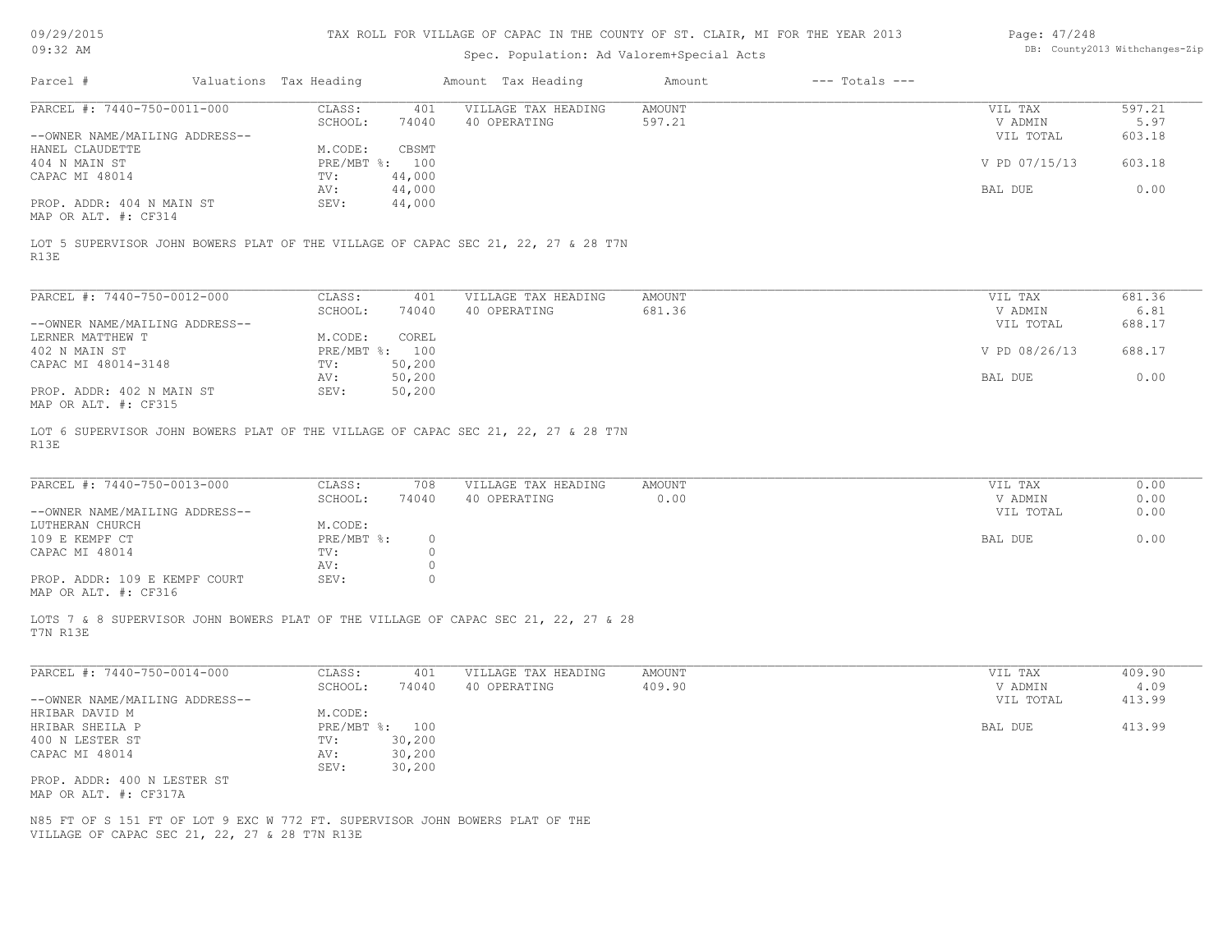09/29/2015

# TAX ROLL FOR VILLAGE OF CAPAC IN THE COUNTY OF ST. CLAIR, MI FOR THE YEAR 2013

# Page: 47/248

| U <i>JI 431 4</i> U 1 J<br>$09:32$ AM                                                                                         |                        |                |                  | THA NOTH FOR VITHWAR OF CAPACTIN THE COUNTI OF SI. CHAIN, MI FOR THE TEAR 2019<br>Spec. Population: Ad Valorem+Special Acts |               |                    | 1090. H//240  | DB: County2013 Withchanges-Zip |
|-------------------------------------------------------------------------------------------------------------------------------|------------------------|----------------|------------------|-----------------------------------------------------------------------------------------------------------------------------|---------------|--------------------|---------------|--------------------------------|
| Parcel #                                                                                                                      | Valuations Tax Heading |                |                  | Amount Tax Heading                                                                                                          | Amount        | $---$ Totals $---$ |               |                                |
| PARCEL #: 7440-750-0011-000                                                                                                   |                        | CLASS:         | 401              | VILLAGE TAX HEADING                                                                                                         | AMOUNT        |                    | VIL TAX       | 597.21                         |
|                                                                                                                               |                        | SCHOOL:        | 74040            | 40 OPERATING                                                                                                                | 597.21        |                    | V ADMIN       | 5.97                           |
| --OWNER NAME/MAILING ADDRESS--                                                                                                |                        |                |                  |                                                                                                                             |               |                    | VIL TOTAL     | 603.18                         |
| HANEL CLAUDETTE                                                                                                               |                        | M.CODE:        | CBSMT            |                                                                                                                             |               |                    |               |                                |
| 404 N MAIN ST                                                                                                                 |                        | PRE/MBT %: 100 |                  |                                                                                                                             |               |                    | V PD 07/15/13 | 603.18                         |
| CAPAC MI 48014                                                                                                                |                        | TV:            | 44,000           |                                                                                                                             |               |                    |               |                                |
| PROP. ADDR: 404 N MAIN ST<br>MAP OR ALT. #: CF314                                                                             |                        | AV:<br>SEV:    | 44,000<br>44,000 |                                                                                                                             |               |                    | BAL DUE       | 0.00                           |
| LOT 5 SUPERVISOR JOHN BOWERS PLAT OF THE VILLAGE OF CAPAC SEC 21, 22, 27 & 28 T7N<br>R13E                                     |                        |                |                  |                                                                                                                             |               |                    |               |                                |
| PARCEL #: 7440-750-0012-000                                                                                                   |                        | CLASS:         | 401              | VILLAGE TAX HEADING                                                                                                         | AMOUNT        |                    | VIL TAX       | 681.36                         |
|                                                                                                                               |                        | SCHOOL:        | 74040            | 40 OPERATING                                                                                                                | 681.36        |                    | V ADMIN       | 6.81                           |
| --OWNER NAME/MAILING ADDRESS--                                                                                                |                        |                |                  |                                                                                                                             |               |                    | VIL TOTAL     | 688.17                         |
| LERNER MATTHEW T                                                                                                              |                        | M.CODE:        | COREL            |                                                                                                                             |               |                    |               |                                |
| 402 N MAIN ST                                                                                                                 |                        | PRE/MBT %: 100 |                  |                                                                                                                             |               |                    | V PD 08/26/13 | 688.17                         |
| CAPAC MI 48014-3148                                                                                                           |                        | TV:            | 50,200           |                                                                                                                             |               |                    |               |                                |
|                                                                                                                               |                        | AV:            | 50,200           |                                                                                                                             |               |                    | BAL DUE       | 0.00                           |
| PROP. ADDR: 402 N MAIN ST                                                                                                     |                        | SEV:           | 50,200           |                                                                                                                             |               |                    |               |                                |
| MAP OR ALT. #: CF315                                                                                                          |                        |                |                  |                                                                                                                             |               |                    |               |                                |
| PARCEL #: 7440-750-0013-000                                                                                                   |                        | CLASS:         | 708              | VILLAGE TAX HEADING                                                                                                         | AMOUNT        |                    | VIL TAX       | 0.00                           |
|                                                                                                                               |                        | SCHOOL:        | 74040            | 40 OPERATING                                                                                                                | 0.00          |                    | V ADMIN       | 0.00                           |
| --OWNER NAME/MAILING ADDRESS--                                                                                                |                        |                |                  |                                                                                                                             |               |                    | VIL TOTAL     | 0.00                           |
| LUTHERAN CHURCH                                                                                                               |                        | M.CODE:        |                  |                                                                                                                             |               |                    |               |                                |
| 109 E KEMPF CT                                                                                                                |                        | $PRE/MBT$ %:   | $\circ$          |                                                                                                                             |               |                    | BAL DUE       | 0.00                           |
| CAPAC MI 48014                                                                                                                |                        | TV:            | $\circ$          |                                                                                                                             |               |                    |               |                                |
|                                                                                                                               |                        | AV:            | $\circ$          |                                                                                                                             |               |                    |               |                                |
| PROP. ADDR: 109 E KEMPF COURT<br>MAP OR ALT. #: CF316                                                                         |                        | SEV:           | $\circ$          |                                                                                                                             |               |                    |               |                                |
| LOTS 7 & 8 SUPERVISOR JOHN BOWERS PLAT OF THE VILLAGE OF CAPAC SEC 21, 22, 27 & 28<br>T7N R13E                                |                        |                |                  |                                                                                                                             |               |                    |               |                                |
| PARCEL #: 7440-750-0014-000                                                                                                   |                        | CLASS:         | 401              | VILLAGE TAX HEADING                                                                                                         | <b>AMOUNT</b> |                    | VIL TAX       | 409.90                         |
|                                                                                                                               |                        | SCHOOL:        | 74040            | 40 OPERATING                                                                                                                | 409.90        |                    | V ADMIN       | 4.09                           |
| --OWNER NAME/MAILING ADDRESS--                                                                                                |                        |                |                  |                                                                                                                             |               |                    | VIL TOTAL     | 413.99                         |
| HRIBAR DAVID M                                                                                                                |                        | M.CODE:        |                  |                                                                                                                             |               |                    |               |                                |
| HRIBAR SHEILA P                                                                                                               |                        | PRE/MBT %:     | 100              |                                                                                                                             |               |                    | BAL DUE       | 413.99                         |
| 400 N LESTER ST                                                                                                               |                        | TV:            | 30,200           |                                                                                                                             |               |                    |               |                                |
| CAPAC MI 48014                                                                                                                |                        | AV:<br>SEV:    | 30,200<br>30,200 |                                                                                                                             |               |                    |               |                                |
| PROP. ADDR: 400 N LESTER ST                                                                                                   |                        |                |                  |                                                                                                                             |               |                    |               |                                |
| MAP OR ALT. #: CF317A                                                                                                         |                        |                |                  |                                                                                                                             |               |                    |               |                                |
|                                                                                                                               |                        |                |                  |                                                                                                                             |               |                    |               |                                |
| N85 FT OF S 151 FT OF LOT 9 EXC W 772 FT. SUPERVISOR JOHN BOWERS PLAT OF THE<br>VILLAGE OF CAPAC SEC 21, 22, 27 & 28 T7N R13E |                        |                |                  |                                                                                                                             |               |                    |               |                                |
|                                                                                                                               |                        |                |                  |                                                                                                                             |               |                    |               |                                |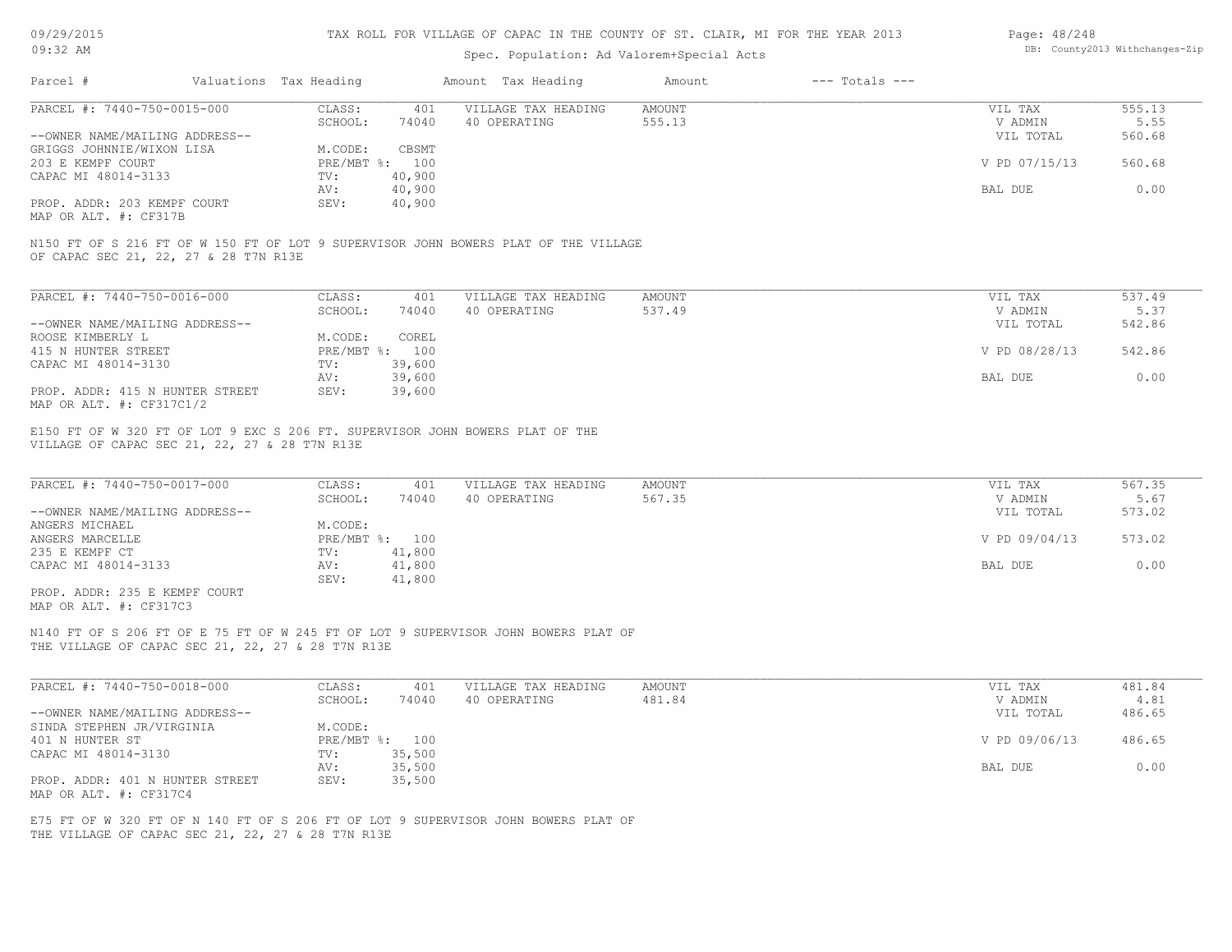| 09/29/2015 |  |
|------------|--|
|------------|--|

| Page: 48/248 |                               |
|--------------|-------------------------------|
|              | DB: County2013 Withchanges-Zi |

| 09/29/2015                                                                                                                                  |                                                    |                                                              | TAX ROLL FOR VILLAGE OF CAPAC IN THE COUNTY OF ST. CLAIR, MI FOR THE YEAR 2013      |                         |                    | Page: $48/248$                                              |                                            |
|---------------------------------------------------------------------------------------------------------------------------------------------|----------------------------------------------------|--------------------------------------------------------------|-------------------------------------------------------------------------------------|-------------------------|--------------------|-------------------------------------------------------------|--------------------------------------------|
| 09:32 AM                                                                                                                                    |                                                    |                                                              | Spec. Population: Ad Valorem+Special Acts                                           |                         |                    |                                                             | DB: County2013 Withchanges-Zip             |
| Parcel #                                                                                                                                    | Valuations Tax Heading                             |                                                              | Amount Tax Heading                                                                  | Amount                  | $---$ Totals $---$ |                                                             |                                            |
| PARCEL #: 7440-750-0015-000                                                                                                                 | CLASS:                                             | 401                                                          | VILLAGE TAX HEADING                                                                 | <b>AMOUNT</b>           |                    | VIL TAX                                                     | 555.13                                     |
|                                                                                                                                             | SCHOOL:                                            | 74040                                                        | 40 OPERATING                                                                        | 555.13                  |                    | V ADMIN                                                     | 5.55                                       |
| --OWNER NAME/MAILING ADDRESS--                                                                                                              |                                                    |                                                              |                                                                                     |                         |                    | VIL TOTAL                                                   | 560.68                                     |
| GRIGGS JOHNNIE/WIXON LISA                                                                                                                   | M.CODE:                                            | CBSMT                                                        |                                                                                     |                         |                    |                                                             |                                            |
| 203 E KEMPF COURT                                                                                                                           |                                                    | PRE/MBT %: 100                                               |                                                                                     |                         |                    | V PD 07/15/13                                               | 560.68                                     |
| CAPAC MI 48014-3133                                                                                                                         | TV:<br>AV:                                         | 40,900<br>40,900                                             |                                                                                     |                         |                    | BAL DUE                                                     | 0.00                                       |
| PROP. ADDR: 203 KEMPF COURT                                                                                                                 | SEV:                                               | 40,900                                                       |                                                                                     |                         |                    |                                                             |                                            |
| MAP OR ALT. #: CF317B                                                                                                                       |                                                    |                                                              |                                                                                     |                         |                    |                                                             |                                            |
| OF CAPAC SEC 21, 22, 27 & 28 T7N R13E                                                                                                       |                                                    |                                                              | N150 FT OF S 216 FT OF W 150 FT OF LOT 9 SUPERVISOR JOHN BOWERS PLAT OF THE VILLAGE |                         |                    |                                                             |                                            |
| PARCEL #: 7440-750-0016-000                                                                                                                 | CLASS:                                             | 401                                                          | VILLAGE TAX HEADING                                                                 | <b>AMOUNT</b>           |                    | VIL TAX                                                     | 537.49                                     |
|                                                                                                                                             | SCHOOL:                                            | 74040                                                        | 40 OPERATING                                                                        | 537.49                  |                    | V ADMIN                                                     | 5.37                                       |
| --OWNER NAME/MAILING ADDRESS--                                                                                                              |                                                    |                                                              |                                                                                     |                         |                    | VIL TOTAL                                                   | 542.86                                     |
| ROOSE KIMBERLY L                                                                                                                            | M.CODE:                                            | COREL                                                        |                                                                                     |                         |                    |                                                             |                                            |
| 415 N HUNTER STREET                                                                                                                         |                                                    | PRE/MBT %: 100                                               |                                                                                     |                         |                    | V PD 08/28/13                                               | 542.86                                     |
| CAPAC MI 48014-3130                                                                                                                         | TV:                                                | 39,600                                                       |                                                                                     |                         |                    |                                                             |                                            |
|                                                                                                                                             | AV:                                                | 39,600                                                       |                                                                                     |                         |                    | BAL DUE                                                     | 0.00                                       |
| PROP. ADDR: 415 N HUNTER STREET<br>MAP OR ALT. #: CF317C1/2                                                                                 | SEV:                                               | 39,600                                                       |                                                                                     |                         |                    |                                                             |                                            |
| PARCEL #: 7440-750-0017-000<br>--OWNER NAME/MAILING ADDRESS--<br>ANGERS MICHAEL<br>ANGERS MARCELLE<br>235 E KEMPF CT<br>CAPAC MI 48014-3133 | CLASS:<br>SCHOOL:<br>M.CODE:<br>TV:<br>AV:<br>SEV: | 401<br>74040<br>PRE/MBT %: 100<br>41,800<br>41,800<br>41,800 | VILLAGE TAX HEADING<br>40 OPERATING                                                 | <b>AMOUNT</b><br>567.35 |                    | VIL TAX<br>V ADMIN<br>VIL TOTAL<br>V PD 09/04/13<br>BAL DUE | 567.35<br>5.67<br>573.02<br>573.02<br>0.00 |
| PROP. ADDR: 235 E KEMPF COURT<br>MAP OR ALT. #: CF317C3                                                                                     |                                                    |                                                              |                                                                                     |                         |                    |                                                             |                                            |
| THE VILLAGE OF CAPAC SEC 21, 22, 27 & 28 T7N R13E                                                                                           |                                                    |                                                              | N140 FT OF S 206 FT OF E 75 FT OF W 245 FT OF LOT 9 SUPERVISOR JOHN BOWERS PLAT OF  |                         |                    |                                                             |                                            |
| PARCEL #: 7440-750-0018-000                                                                                                                 | CLASS:                                             | 401                                                          | VILLAGE TAX HEADING                                                                 | <b>AMOUNT</b>           |                    | VIL TAX                                                     | 481.84                                     |
|                                                                                                                                             | SCHOOL:                                            | 74040                                                        | 40 OPERATING                                                                        | 481.84                  |                    | V ADMIN                                                     | 4.81                                       |
| --OWNER NAME/MAILING ADDRESS--                                                                                                              |                                                    |                                                              |                                                                                     |                         |                    | VIL TOTAL                                                   | 486.65                                     |
| SINDA STEPHEN JR/VIRGINIA                                                                                                                   | M.CODE:                                            |                                                              |                                                                                     |                         |                    |                                                             |                                            |
| 401 N HUNTER ST                                                                                                                             |                                                    | PRE/MBT %: 100                                               |                                                                                     |                         |                    | V PD 09/06/13                                               | 486.65                                     |
| CAPAC MI 48014-3130                                                                                                                         | TV:                                                | 35,500                                                       |                                                                                     |                         |                    | BAL DUE                                                     | 0.00                                       |
| PROP. ADDR: 401 N HUNTER STREET                                                                                                             | AV:<br>SEV:                                        | 35,500<br>35,500                                             |                                                                                     |                         |                    |                                                             |                                            |
| MAP OR ALT. #: CF317C4                                                                                                                      |                                                    |                                                              |                                                                                     |                         |                    |                                                             |                                            |
|                                                                                                                                             |                                                    |                                                              |                                                                                     |                         |                    |                                                             |                                            |

THE VILLAGE OF CAPAC SEC 21, 22, 27 & 28 T7N R13E E75 FT OF W 320 FT OF N 140 FT OF S 206 FT OF LOT 9 SUPERVISOR JOHN BOWERS PLAT OF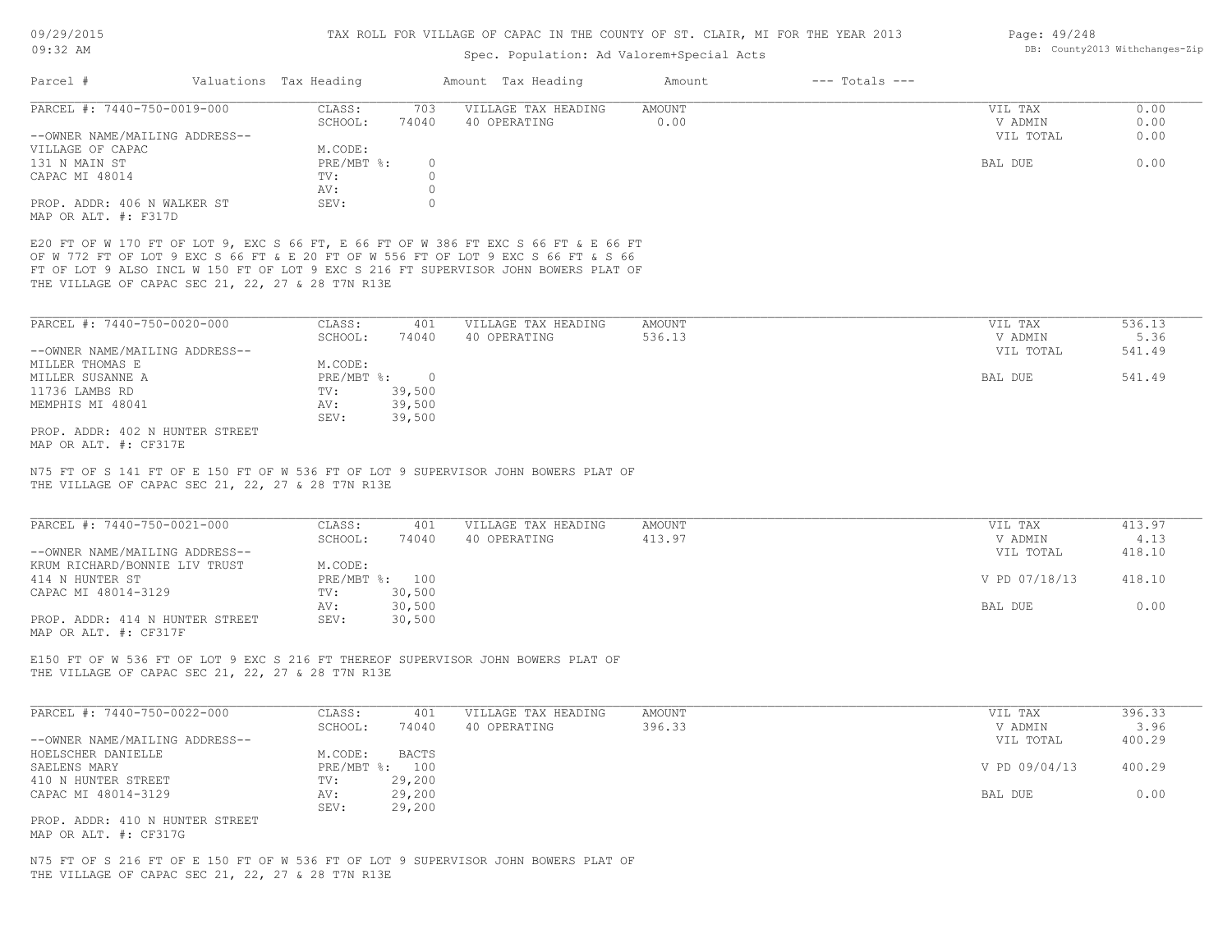| UY:34 AM                                                                                                                                                                                                                                                                                                              |                             | Spec. Population: Ad Valorem+Special Acts |                              |               | DD. COUNTYZOIS WITHTHONG - 41P |
|-----------------------------------------------------------------------------------------------------------------------------------------------------------------------------------------------------------------------------------------------------------------------------------------------------------------------|-----------------------------|-------------------------------------------|------------------------------|---------------|--------------------------------|
| Parcel #                                                                                                                                                                                                                                                                                                              | Valuations Tax Heading      | Amount Tax Heading                        | $---$ Totals $---$<br>Amount |               |                                |
| PARCEL #: 7440-750-0019-000                                                                                                                                                                                                                                                                                           | 703<br>CLASS:               | VILLAGE TAX HEADING                       | <b>AMOUNT</b>                | VIL TAX       | 0.00                           |
|                                                                                                                                                                                                                                                                                                                       | SCHOOL:<br>74040            | 40 OPERATING                              | 0.00                         | V ADMIN       | 0.00                           |
| --OWNER NAME/MAILING ADDRESS--                                                                                                                                                                                                                                                                                        |                             |                                           |                              | VIL TOTAL     | 0.00                           |
| VILLAGE OF CAPAC                                                                                                                                                                                                                                                                                                      | M.CODE:                     |                                           |                              |               |                                |
| 131 N MAIN ST                                                                                                                                                                                                                                                                                                         | PRE/MBT %:<br>$\circ$       |                                           |                              | BAL DUE       | 0.00                           |
| CAPAC MI 48014                                                                                                                                                                                                                                                                                                        | $\circ$<br>TV:              |                                           |                              |               |                                |
|                                                                                                                                                                                                                                                                                                                       | $\circ$<br>AV:              |                                           |                              |               |                                |
| PROP. ADDR: 406 N WALKER ST<br>MAP OR ALT. #: F317D                                                                                                                                                                                                                                                                   | $\circ$<br>SEV:             |                                           |                              |               |                                |
| E20 FT OF W 170 FT OF LOT 9, EXC S 66 FT, E 66 FT OF W 386 FT EXC S 66 FT & E 66 FT<br>OF W 772 FT OF LOT 9 EXC S 66 FT & E 20 FT OF W 556 FT OF LOT 9 EXC S 66 FT & S 66<br>FT OF LOT 9 ALSO INCL W 150 FT OF LOT 9 EXC S 216 FT SUPERVISOR JOHN BOWERS PLAT OF<br>THE VILLAGE OF CAPAC SEC 21, 22, 27 & 28 T7N R13E |                             |                                           |                              |               |                                |
|                                                                                                                                                                                                                                                                                                                       |                             |                                           |                              |               |                                |
| PARCEL #: 7440-750-0020-000                                                                                                                                                                                                                                                                                           | CLASS:<br>401               | VILLAGE TAX HEADING                       | <b>AMOUNT</b>                | VIL TAX       | 536.13                         |
|                                                                                                                                                                                                                                                                                                                       | SCHOOL:<br>74040            | 40 OPERATING                              | 536.13                       | V ADMIN       | 5.36                           |
| --OWNER NAME/MAILING ADDRESS--                                                                                                                                                                                                                                                                                        |                             |                                           |                              | VIL TOTAL     | 541.49                         |
| MILLER THOMAS E                                                                                                                                                                                                                                                                                                       | M.CODE:                     |                                           |                              |               |                                |
| MILLER SUSANNE A                                                                                                                                                                                                                                                                                                      | $PRE/MBT$ $\div$<br>$\circ$ |                                           |                              | BAL DUE       | 541.49                         |
| 11736 LAMBS RD                                                                                                                                                                                                                                                                                                        | 39,500<br>TV:               |                                           |                              |               |                                |
| MEMPHIS MI 48041                                                                                                                                                                                                                                                                                                      | 39,500<br>AV:               |                                           |                              |               |                                |
| PROP. ADDR: 402 N HUNTER STREET<br>MAP OR ALT. #: CF317E                                                                                                                                                                                                                                                              | SEV:<br>39,500              |                                           |                              |               |                                |
| PARCEL #: 7440-750-0021-000                                                                                                                                                                                                                                                                                           | CLASS:<br>401               | VILLAGE TAX HEADING                       | AMOUNT                       | VIL TAX       | 413.97                         |
|                                                                                                                                                                                                                                                                                                                       | SCHOOL:<br>74040            | 40 OPERATING                              | 413.97                       | V ADMIN       | 4.13                           |
| --OWNER NAME/MAILING ADDRESS--                                                                                                                                                                                                                                                                                        |                             |                                           |                              | VIL TOTAL     | 418.10                         |
| KRUM RICHARD/BONNIE LIV TRUST                                                                                                                                                                                                                                                                                         | M.CODE:                     |                                           |                              |               |                                |
| 414 N HUNTER ST                                                                                                                                                                                                                                                                                                       | PRE/MBT %: 100              |                                           |                              | V PD 07/18/13 | 418.10                         |
| CAPAC MI 48014-3129                                                                                                                                                                                                                                                                                                   | 30,500<br>TV:               |                                           |                              |               |                                |
|                                                                                                                                                                                                                                                                                                                       | 30,500<br>AV:               |                                           |                              | BAL DUE       | 0.00                           |
| PROP. ADDR: 414 N HUNTER STREET<br>MAP OR ALT. #: CF317F                                                                                                                                                                                                                                                              | SEV:<br>30,500              |                                           |                              |               |                                |
| E150 FT OF W 536 FT OF LOT 9 EXC S 216 FT THEREOF SUPERVISOR JOHN BOWERS PLAT OF<br>THE VILLAGE OF CAPAC SEC 21, 22, 27 & 28 T7N R13E                                                                                                                                                                                 |                             |                                           |                              |               |                                |
|                                                                                                                                                                                                                                                                                                                       |                             |                                           |                              |               |                                |
| PARCEL #: 7440-750-0022-000                                                                                                                                                                                                                                                                                           | CLASS:<br>401               | VILLAGE TAX HEADING                       | AMOUNT                       | VIL TAX       | 396.33                         |
|                                                                                                                                                                                                                                                                                                                       | 74040<br>SCHOOL:            | 40 OPERATING                              | 396.33                       | V ADMIN       | 3.96                           |
| --OWNER NAME/MAILING ADDRESS--                                                                                                                                                                                                                                                                                        |                             |                                           |                              | VIL TOTAL     | 400.29                         |
| HOELSCHER DANIELLE                                                                                                                                                                                                                                                                                                    | M.CODE:<br><b>BACTS</b>     |                                           |                              |               |                                |
| SAELENS MARY                                                                                                                                                                                                                                                                                                          | PRE/MBT %: 100              |                                           |                              | V PD 09/04/13 | 400.29                         |
| 410 N HUNTER STREET                                                                                                                                                                                                                                                                                                   | 29,200<br>TV:               |                                           |                              |               |                                |
| CAPAC MI 48014-3129                                                                                                                                                                                                                                                                                                   | 29,200<br>AV:               |                                           |                              | BAL DUE       | 0.00                           |
|                                                                                                                                                                                                                                                                                                                       | 29,200<br>SEV:              |                                           |                              |               |                                |
| PROP. ADDR: 410 N HUNTER STREET<br>MAP OR ALT. #: CF317G                                                                                                                                                                                                                                                              |                             |                                           |                              |               |                                |
|                                                                                                                                                                                                                                                                                                                       |                             |                                           |                              |               |                                |
| N75 FT OF S 216 FT OF E 150 FT OF W 536 FT OF LOT 9 SUPERVISOR JOHN BOWERS PLAT OF<br>THE VILLAGE OF CAPAC SEC 21, 22, 27 & 28 T7N R13E                                                                                                                                                                               |                             |                                           |                              |               |                                |
|                                                                                                                                                                                                                                                                                                                       |                             |                                           |                              |               |                                |

Page: 49/248 DB: County2013 Withchanges-Zip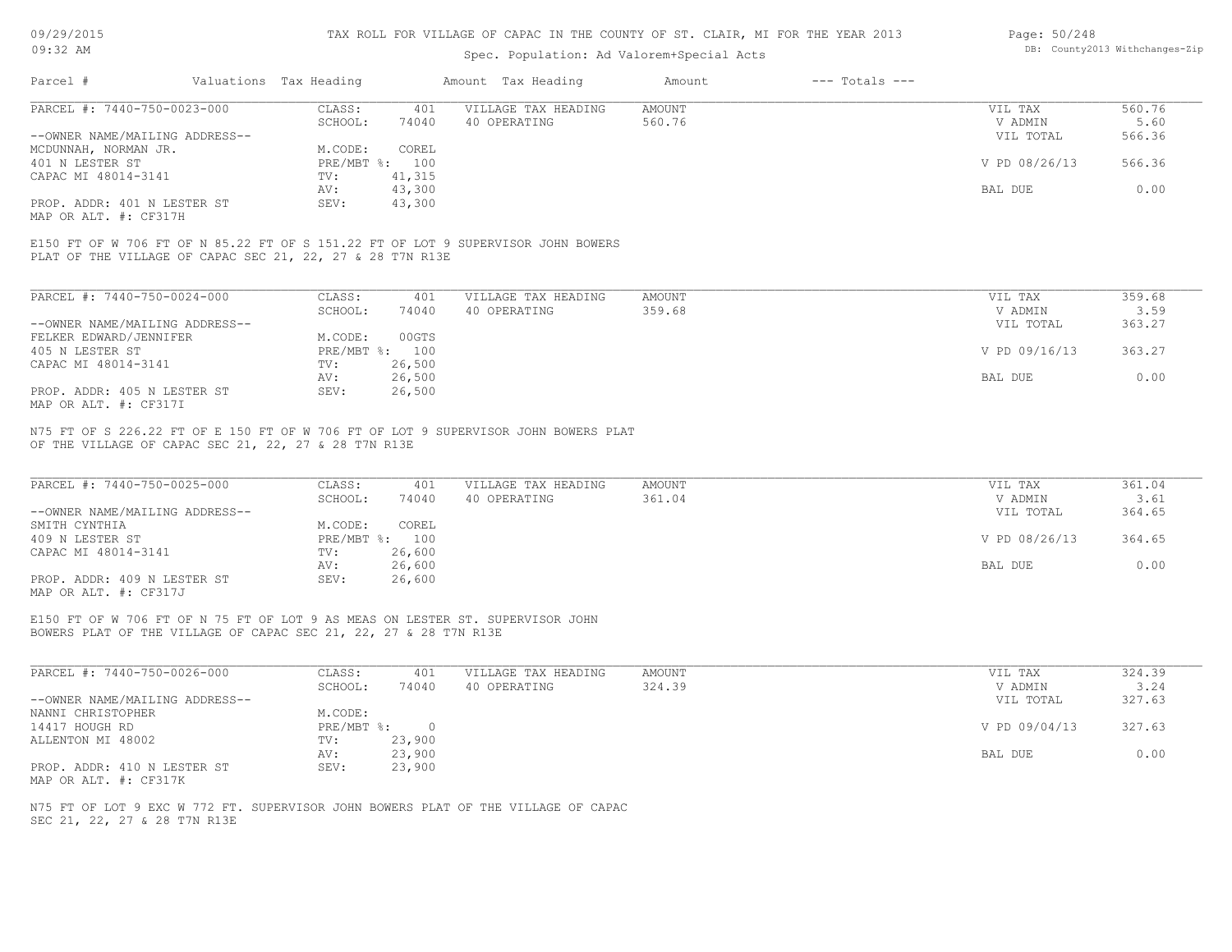## Spec. Population: Ad Valorem+Special Acts

| Page: 50/248 |                                |
|--------------|--------------------------------|
|              | DB: County2013 Withchanges-Zip |

| Parcel #                       | Valuations Tax Heading |        | Amount Tax Heading  | Amount | $---$ Totals $---$ |               |        |
|--------------------------------|------------------------|--------|---------------------|--------|--------------------|---------------|--------|
| PARCEL #: 7440-750-0023-000    | CLASS:                 | 401    | VILLAGE TAX HEADING | AMOUNT |                    | VIL TAX       | 560.76 |
|                                | SCHOOL:                | 74040  | 40 OPERATING        | 560.76 |                    | V ADMIN       | 5.60   |
| --OWNER NAME/MAILING ADDRESS-- |                        |        |                     |        |                    | VIL TOTAL     | 566.36 |
| MCDUNNAH, NORMAN JR.           | M.CODE:                | COREL  |                     |        |                    |               |        |
| 401 N LESTER ST                | PRE/MBT %: 100         |        |                     |        |                    | V PD 08/26/13 | 566.36 |
| CAPAC MI 48014-3141            | TV:                    | 41,315 |                     |        |                    |               |        |
|                                | AV:                    | 43,300 |                     |        |                    | BAL DUE       | 0.00   |
| PROP. ADDR: 401 N LESTER ST    | SEV:                   | 43,300 |                     |        |                    |               |        |
| MAP OR ALT. #: CF317H          |                        |        |                     |        |                    |               |        |

PLAT OF THE VILLAGE OF CAPAC SEC 21, 22, 27 & 28 T7N R13E E150 FT OF W 706 FT OF N 85.22 FT OF S 151.22 FT OF LOT 9 SUPERVISOR JOHN BOWERS

| PARCEL #: 7440-750-0024-000    | CLASS:       | 401    | VILLAGE TAX HEADING | AMOUNT | VIL TAX       | 359.68 |
|--------------------------------|--------------|--------|---------------------|--------|---------------|--------|
|                                | SCHOOL:      | 74040  | 40 OPERATING        | 359.68 | V ADMIN       | 3.59   |
| --OWNER NAME/MAILING ADDRESS-- |              |        |                     |        | VIL TOTAL     | 363.27 |
| FELKER EDWARD/JENNIFER         | M.CODE:      | 00GTS  |                     |        |               |        |
| 405 N LESTER ST                | $PRE/MBT$ %: | 100    |                     |        | V PD 09/16/13 | 363.27 |
| CAPAC MI 48014-3141            | TV:          | 26,500 |                     |        |               |        |
|                                | AV:          | 26,500 |                     |        | BAL DUE       | 0.00   |
| PROP. ADDR: 405 N LESTER ST    | SEV:         | 26,500 |                     |        |               |        |
| MAP OR ALT. #: CF317I          |              |        |                     |        |               |        |

OF THE VILLAGE OF CAPAC SEC 21, 22, 27 & 28 T7N R13E N75 FT OF S 226.22 FT OF E 150 FT OF W 706 FT OF LOT 9 SUPERVISOR JOHN BOWERS PLAT

| PARCEL #: 7440-750-0025-000    | CLASS:  | 401            | VILLAGE TAX HEADING | AMOUNT | VIL TAX       | 361.04 |
|--------------------------------|---------|----------------|---------------------|--------|---------------|--------|
|                                | SCHOOL: | 74040          | 40 OPERATING        | 361.04 | V ADMIN       | 3.61   |
| --OWNER NAME/MAILING ADDRESS-- |         |                |                     |        | VIL TOTAL     | 364.65 |
| SMITH CYNTHIA                  | M.CODE: | COREL          |                     |        |               |        |
| 409 N LESTER ST                |         | PRE/MBT %: 100 |                     |        | V PD 08/26/13 | 364.65 |
| CAPAC MI 48014-3141            | TV:     | 26,600         |                     |        |               |        |
|                                | AV:     | 26,600         |                     |        | BAL DUE       | 0.00   |
| PROP. ADDR: 409 N LESTER ST    | SEV:    | 26,600         |                     |        |               |        |
| MAP OR ALT. #: CF317J          |         |                |                     |        |               |        |

BOWERS PLAT OF THE VILLAGE OF CAPAC SEC 21, 22, 27 & 28 T7N R13E E150 FT OF W 706 FT OF N 75 FT OF LOT 9 AS MEAS ON LESTER ST. SUPERVISOR JOHN

| PARCEL #: 7440-750-0026-000    | CLASS:       | 401    | VILLAGE TAX HEADING | AMOUNT | VIL TAX       | 324.39 |
|--------------------------------|--------------|--------|---------------------|--------|---------------|--------|
|                                | SCHOOL:      | 74040  | 40 OPERATING        | 324.39 | V ADMIN       | 3.24   |
| --OWNER NAME/MAILING ADDRESS-- |              |        |                     |        | VIL TOTAL     | 327.63 |
| NANNI CHRISTOPHER              | M.CODE:      |        |                     |        |               |        |
| 14417 HOUGH RD                 | $PRE/MBT$ %: |        |                     |        | V PD 09/04/13 | 327.63 |
| ALLENTON MI 48002              | TV:          | 23,900 |                     |        |               |        |
|                                | AV:          | 23,900 |                     |        | BAL DUE       | 0.00   |
| PROP. ADDR: 410 N LESTER ST    | SEV:         | 23,900 |                     |        |               |        |
| MAP OR ALT. #: CF317K          |              |        |                     |        |               |        |

SEC 21, 22, 27 & 28 T7N R13E N75 FT OF LOT 9 EXC W 772 FT. SUPERVISOR JOHN BOWERS PLAT OF THE VILLAGE OF CAPAC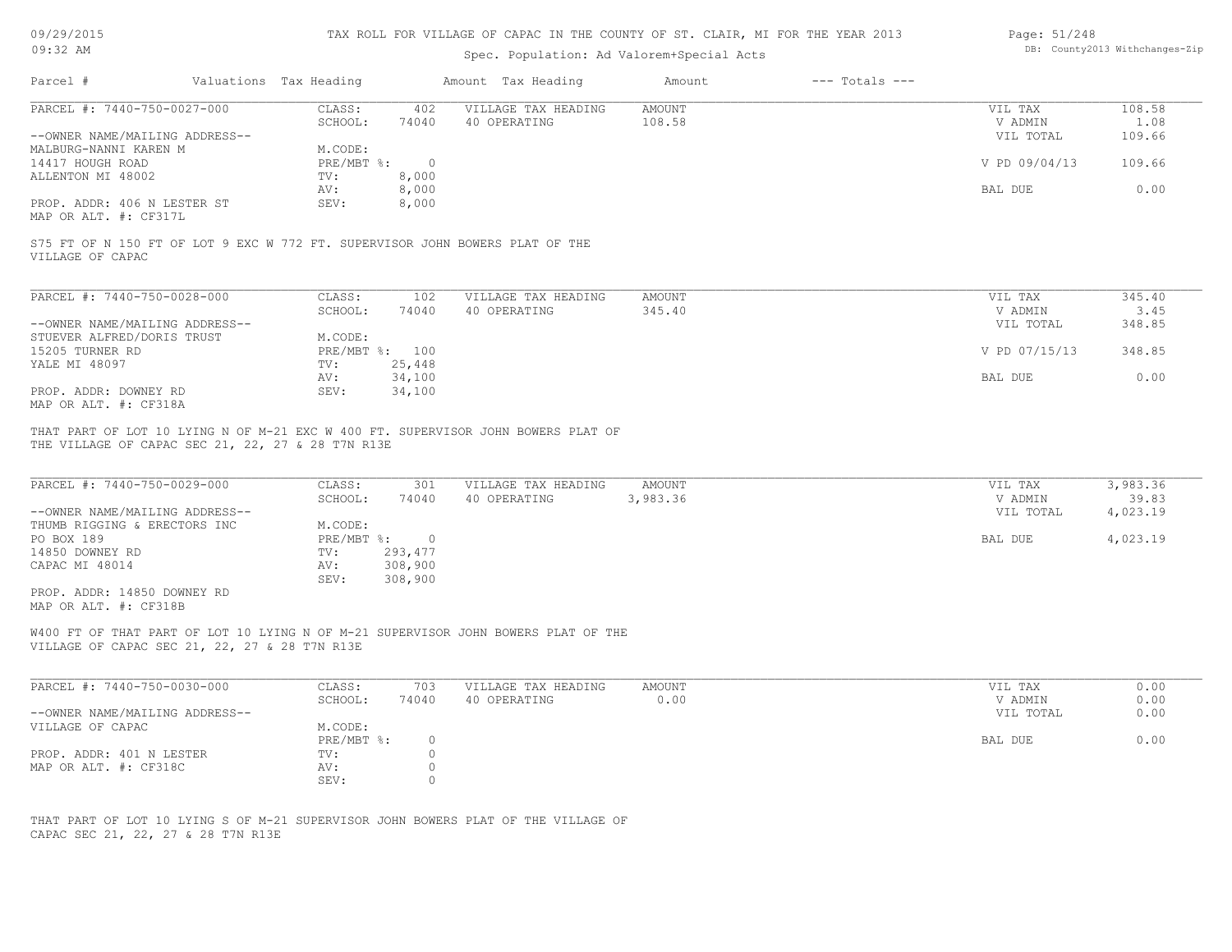| 09:32 AM<br>Parcel #<br>Valuations Tax Heading                                                                                                                                          |                                             | Spec. Population: Ad Valorem+Special Acts |                         |                    |                      | DB: County2013 Withchanges-Zip |
|-----------------------------------------------------------------------------------------------------------------------------------------------------------------------------------------|---------------------------------------------|-------------------------------------------|-------------------------|--------------------|----------------------|--------------------------------|
|                                                                                                                                                                                         |                                             |                                           |                         |                    |                      |                                |
|                                                                                                                                                                                         |                                             | Amount Tax Heading                        | Amount                  | $---$ Totals $---$ |                      |                                |
| PARCEL #: 7440-750-0027-000                                                                                                                                                             | CLASS:<br>402<br>SCHOOL:<br>74040           | VILLAGE TAX HEADING<br>40 OPERATING       | <b>AMOUNT</b><br>108.58 |                    | VIL TAX<br>V ADMIN   | 108.58<br>1.08                 |
| --OWNER NAME/MAILING ADDRESS--                                                                                                                                                          |                                             |                                           |                         |                    | VIL TOTAL            | 109.66                         |
| MALBURG-NANNI KAREN M                                                                                                                                                                   | M.CODE:                                     |                                           |                         |                    |                      |                                |
| 14417 HOUGH ROAD                                                                                                                                                                        | PRE/MBT %:<br>$\overline{0}$<br>8,000       |                                           |                         |                    | V PD 09/04/13        | 109.66                         |
| ALLENTON MI 48002                                                                                                                                                                       | TV:<br>8,000<br>AV:                         |                                           |                         |                    | BAL DUE              | 0.00                           |
| PROP. ADDR: 406 N LESTER ST<br>MAP OR ALT. #: CF317L                                                                                                                                    | 8,000<br>SEV:                               |                                           |                         |                    |                      |                                |
| S75 FT OF N 150 FT OF LOT 9 EXC W 772 FT. SUPERVISOR JOHN BOWERS PLAT OF THE<br>VILLAGE OF CAPAC                                                                                        |                                             |                                           |                         |                    |                      |                                |
|                                                                                                                                                                                         |                                             |                                           |                         |                    |                      |                                |
| PARCEL #: 7440-750-0028-000                                                                                                                                                             | CLASS:<br>102                               | VILLAGE TAX HEADING                       | <b>AMOUNT</b>           |                    | VIL TAX              | 345.40                         |
| --OWNER NAME/MAILING ADDRESS--                                                                                                                                                          | SCHOOL:<br>74040                            | 40 OPERATING                              | 345.40                  |                    | V ADMIN<br>VIL TOTAL | 3.45<br>348.85                 |
| STUEVER ALFRED/DORIS TRUST                                                                                                                                                              | M.CODE:                                     |                                           |                         |                    |                      |                                |
| 15205 TURNER RD                                                                                                                                                                         | PRE/MBT %: 100                              |                                           |                         |                    | V PD 07/15/13        | 348.85                         |
|                                                                                                                                                                                         |                                             |                                           |                         |                    |                      |                                |
| YALE MI 48097                                                                                                                                                                           | 25,448<br>TV:                               |                                           |                         |                    |                      |                                |
| PROP. ADDR: DOWNEY RD<br>MAP OR ALT. #: CF318A<br>THAT PART OF LOT 10 LYING N OF M-21 EXC W 400 FT. SUPERVISOR JOHN BOWERS PLAT OF<br>THE VILLAGE OF CAPAC SEC 21, 22, 27 & 28 T7N R13E | 34,100<br>AV:<br>SEV:<br>34,100             |                                           |                         |                    | BAL DUE              | 0.00                           |
| PARCEL #: 7440-750-0029-000                                                                                                                                                             | CLASS:<br>301<br>SCHOOL:<br>74040           | VILLAGE TAX HEADING<br>40 OPERATING       | AMOUNT<br>3,983.36      |                    | VIL TAX<br>V ADMIN   | 3,983.36<br>39.83              |
| --OWNER NAME/MAILING ADDRESS--<br>THUMB RIGGING & ERECTORS INC                                                                                                                          | M.CODE:                                     |                                           |                         |                    | VIL TOTAL            | 4,023.19                       |
| PO BOX 189                                                                                                                                                                              | $\overline{0}$<br>$PRE/MBT$ $\frac{1}{6}$ : |                                           |                         |                    | BAL DUE              | 4,023.19                       |
| 14850 DOWNEY RD                                                                                                                                                                         | 293,477<br>TV:                              |                                           |                         |                    |                      |                                |
| CAPAC MI 48014                                                                                                                                                                          | 308,900<br>AV:                              |                                           |                         |                    |                      |                                |
| PROP. ADDR: 14850 DOWNEY RD<br>MAP OR ALT. #: CF318B                                                                                                                                    | 308,900<br>SEV:                             |                                           |                         |                    |                      |                                |
| W400 FT OF THAT PART OF LOT 10 LYING N OF M-21 SUPERVISOR JOHN BOWERS PLAT OF THE<br>VILLAGE OF CAPAC SEC 21, 22, 27 & 28 T7N R13E                                                      |                                             |                                           |                         |                    |                      |                                |
|                                                                                                                                                                                         |                                             |                                           |                         |                    |                      |                                |
| PARCEL #: 7440-750-0030-000                                                                                                                                                             | CLASS:<br>703                               | VILLAGE TAX HEADING                       | AMOUNT                  |                    | VIL TAX              | 0.00                           |
|                                                                                                                                                                                         | 74040<br>SCHOOL:                            | 40 OPERATING                              | 0.00                    |                    | V ADMIN              | 0.00                           |
| --OWNER NAME/MAILING ADDRESS--                                                                                                                                                          |                                             |                                           |                         |                    | VIL TOTAL            | 0.00                           |
| VILLAGE OF CAPAC                                                                                                                                                                        | M.CODE:<br>PRE/MBT %:<br>0                  |                                           |                         |                    | BAL DUE              | 0.00                           |
| PROP. ADDR: 401 N LESTER<br>MAP OR ALT. #: CF318C                                                                                                                                       | TV:<br>0<br>$\circ$<br>AV:                  |                                           |                         |                    |                      |                                |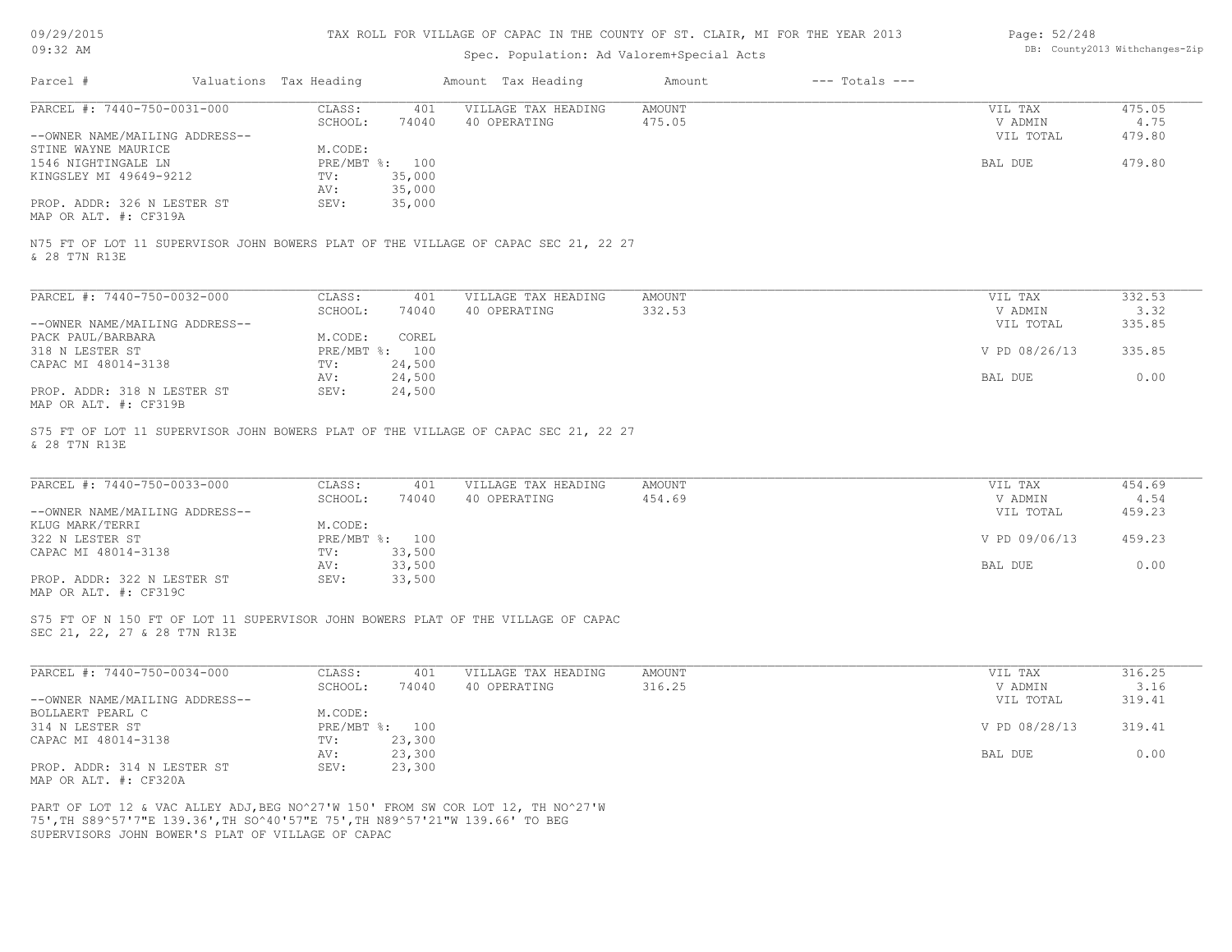| 09/29/2015 |  |
|------------|--|
|------------|--|

| Page: 52/248 |                               |
|--------------|-------------------------------|
|              | DB: County2013 Withchanges-Zi |

| 09:32 AM                                                                                                                                                        |                                 | Spec. Population: Ad Valorem+Special Acts |               |                    |               | DB: County2013 Withchanges-Zip |
|-----------------------------------------------------------------------------------------------------------------------------------------------------------------|---------------------------------|-------------------------------------------|---------------|--------------------|---------------|--------------------------------|
| Parcel #                                                                                                                                                        | Valuations Tax Heading          | Amount Tax Heading                        | Amount        | $---$ Totals $---$ |               |                                |
| PARCEL #: 7440-750-0031-000                                                                                                                                     | CLASS:<br>401                   | VILLAGE TAX HEADING                       | <b>AMOUNT</b> |                    | VIL TAX       | 475.05                         |
|                                                                                                                                                                 | SCHOOL:<br>74040                | 40 OPERATING                              | 475.05        |                    | V ADMIN       | 4.75                           |
| --OWNER NAME/MAILING ADDRESS--<br>STINE WAYNE MAURICE                                                                                                           | M.CODE:                         |                                           |               |                    | VIL TOTAL     | 479.80                         |
| 1546 NIGHTINGALE LN                                                                                                                                             | PRE/MBT %: 100                  |                                           |               |                    | BAL DUE       | 479.80                         |
| KINGSLEY MI 49649-9212                                                                                                                                          | 35,000<br>TV:                   |                                           |               |                    |               |                                |
|                                                                                                                                                                 | 35,000<br>AV:                   |                                           |               |                    |               |                                |
| PROP. ADDR: 326 N LESTER ST<br>MAP OR ALT. #: CF319A                                                                                                            | 35,000<br>SEV:                  |                                           |               |                    |               |                                |
| N75 FT OF LOT 11 SUPERVISOR JOHN BOWERS PLAT OF THE VILLAGE OF CAPAC SEC 21, 22 27<br>& 28 T7N R13E                                                             |                                 |                                           |               |                    |               |                                |
| PARCEL #: 7440-750-0032-000                                                                                                                                     | CLASS:<br>401                   | VILLAGE TAX HEADING                       | AMOUNT        |                    | VIL TAX       | 332.53                         |
|                                                                                                                                                                 | SCHOOL:<br>74040                | 40 OPERATING                              | 332.53        |                    | V ADMIN       | 3.32                           |
| --OWNER NAME/MAILING ADDRESS--                                                                                                                                  |                                 |                                           |               |                    | VIL TOTAL     | 335.85                         |
| PACK PAUL/BARBARA                                                                                                                                               | COREL<br>M.CODE:                |                                           |               |                    |               |                                |
| 318 N LESTER ST                                                                                                                                                 | PRE/MBT %: 100                  |                                           |               |                    | V PD 08/26/13 | 335.85                         |
| CAPAC MI 48014-3138                                                                                                                                             | 24,500<br>TV:                   |                                           |               |                    |               |                                |
|                                                                                                                                                                 | 24,500<br>AV:                   |                                           |               |                    | BAL DUE       | 0.00                           |
| PROP. ADDR: 318 N LESTER ST<br>MAP OR ALT. #: CF319B                                                                                                            | SEV:<br>24,500                  |                                           |               |                    |               |                                |
| & 28 T7N R13E<br>PARCEL #: 7440-750-0033-000                                                                                                                    | CLASS:<br>401                   | VILLAGE TAX HEADING                       | <b>AMOUNT</b> |                    | VIL TAX       | 454.69                         |
|                                                                                                                                                                 | SCHOOL:<br>74040                | 40 OPERATING                              | 454.69        |                    | V ADMIN       | 4.54                           |
| --OWNER NAME/MAILING ADDRESS--                                                                                                                                  |                                 |                                           |               |                    | VIL TOTAL     | 459.23                         |
| KLUG MARK/TERRI                                                                                                                                                 | M.CODE:                         |                                           |               |                    |               |                                |
| 322 N LESTER ST                                                                                                                                                 | PRE/MBT %: 100                  |                                           |               |                    | V PD 09/06/13 | 459.23                         |
| CAPAC MI 48014-3138                                                                                                                                             | 33,500<br>TV:<br>33,500<br>AV:  |                                           |               |                    | BAL DUE       | 0.00                           |
| PROP. ADDR: 322 N LESTER ST                                                                                                                                     | 33,500<br>SEV:                  |                                           |               |                    |               |                                |
| MAP OR ALT. #: CF319C                                                                                                                                           |                                 |                                           |               |                    |               |                                |
| S75 FT OF N 150 FT OF LOT 11 SUPERVISOR JOHN BOWERS PLAT OF THE VILLAGE OF CAPAC<br>SEC 21, 22, 27 & 28 T7N R13E                                                |                                 |                                           |               |                    |               |                                |
| PARCEL #: 7440-750-0034-000                                                                                                                                     | CLASS:<br>401                   | VILLAGE TAX HEADING                       | <b>AMOUNT</b> |                    | VIL TAX       | 316.25                         |
|                                                                                                                                                                 | SCHOOL:<br>74040                | 40 OPERATING                              | 316.25        |                    | V ADMIN       | 3.16                           |
| --OWNER NAME/MAILING ADDRESS--                                                                                                                                  |                                 |                                           |               |                    | VIL TOTAL     | 319.41                         |
| BOLLAERT PEARL C                                                                                                                                                | M.CODE:                         |                                           |               |                    |               |                                |
| 314 N LESTER ST<br>CAPAC MI 48014-3138                                                                                                                          | PRE/MBT %: 100<br>TV:<br>23,300 |                                           |               |                    | V PD 08/28/13 | 319.41                         |
|                                                                                                                                                                 | 23,300<br>AV:                   |                                           |               |                    | BAL DUE       | 0.00                           |
| PROP. ADDR: 314 N LESTER ST                                                                                                                                     | 23,300<br>SEV:                  |                                           |               |                    |               |                                |
| MAP OR ALT. #: CF320A                                                                                                                                           |                                 |                                           |               |                    |               |                                |
| PART OF LOT 12 & VAC ALLEY ADJ, BEG NO^27'W 150' FROM SW COR LOT 12, TH NO^27'W<br>75', TH S89^57'7"E 139.36', TH SO^40'57"E 75', TH N89^57'21"W 139.66' TO BEG |                                 |                                           |               |                    |               |                                |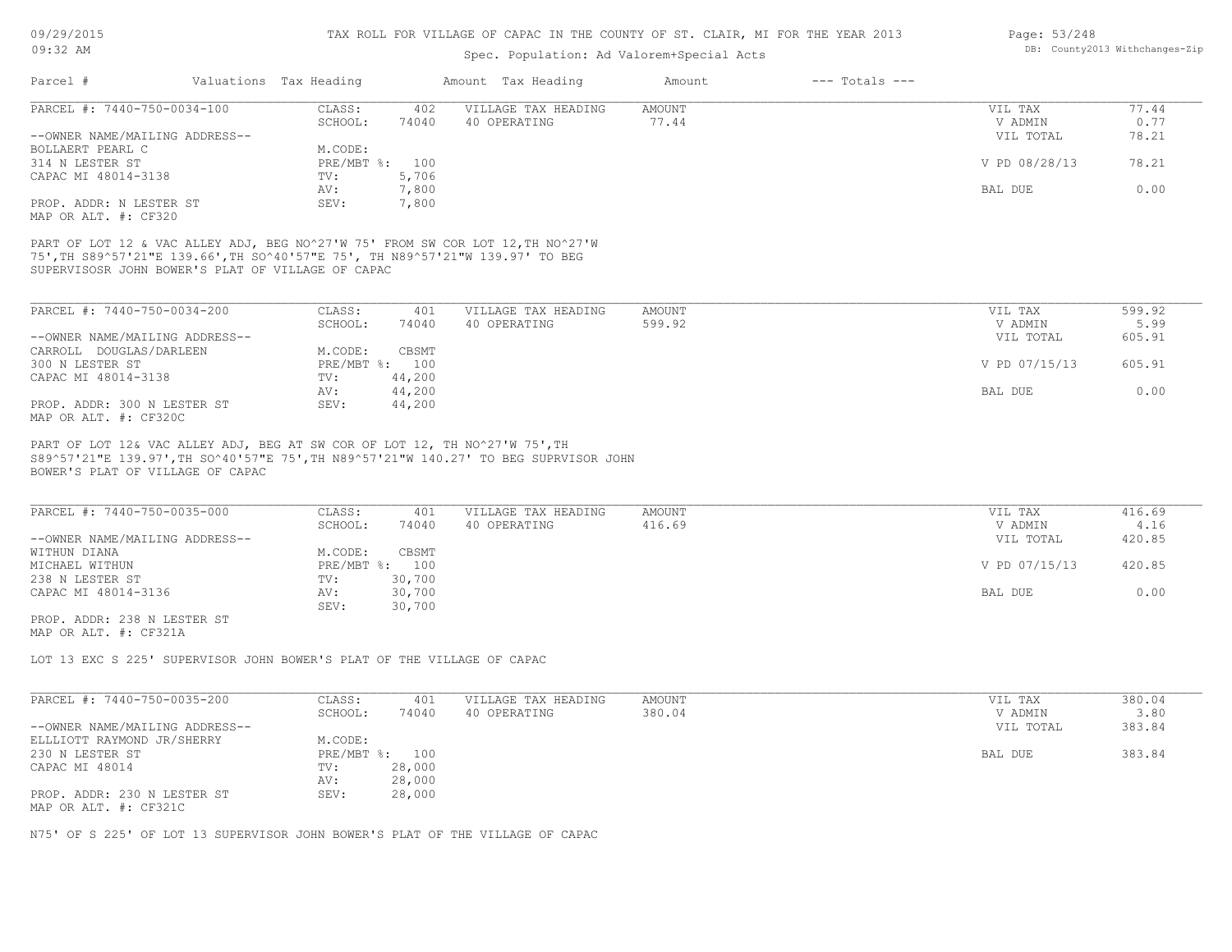| Valuations Tax Heading<br>Parcel #<br>PARCEL #: 7440-750-0034-100                |                                   |                                     |                  |                    |                    |                |
|----------------------------------------------------------------------------------|-----------------------------------|-------------------------------------|------------------|--------------------|--------------------|----------------|
|                                                                                  |                                   | Amount Tax Heading                  | Amount           | $---$ Totals $---$ |                    |                |
|                                                                                  | CLASS:<br>402                     | VILLAGE TAX HEADING                 | <b>AMOUNT</b>    |                    | VIL TAX            | 77.44          |
|                                                                                  | SCHOOL:<br>74040                  | 40 OPERATING                        | 77.44            |                    | V ADMIN            | 0.77           |
| --OWNER NAME/MAILING ADDRESS--                                                   |                                   |                                     |                  |                    | VIL TOTAL          | 78.21          |
| BOLLAERT PEARL C                                                                 | M.CODE:                           |                                     |                  |                    |                    |                |
| 314 N LESTER ST                                                                  | PRE/MBT %:<br>100                 |                                     |                  |                    | V PD 08/28/13      | 78.21          |
| CAPAC MI 48014-3138                                                              | 5,706<br>TV:                      |                                     |                  |                    |                    |                |
| PROP. ADDR: N LESTER ST                                                          | 7,800<br>AV:<br>7,800<br>SEV:     |                                     |                  |                    | BAL DUE            | 0.00           |
| MAP OR ALT. #: CF320                                                             |                                   |                                     |                  |                    |                    |                |
|                                                                                  |                                   |                                     |                  |                    |                    |                |
|                                                                                  |                                   |                                     |                  |                    |                    |                |
| SUPERVISOSR JOHN BOWER'S PLAT OF VILLAGE OF CAPAC<br>PARCEL #: 7440-750-0034-200 | CLASS:<br>401<br>SCHOOL:<br>74040 | VILLAGE TAX HEADING<br>40 OPERATING | AMOUNT<br>599.92 |                    | VIL TAX<br>V ADMIN | 599.92<br>5.99 |
| --OWNER NAME/MAILING ADDRESS--                                                   |                                   |                                     |                  |                    | VIL TOTAL          | 605.91         |
| CARROLL DOUGLAS/DARLEEN                                                          | M.CODE:<br>CBSMT                  |                                     |                  |                    |                    |                |
| 300 N LESTER ST                                                                  | PRE/MBT %: 100                    |                                     |                  |                    | V PD 07/15/13      | 605.91         |
| CAPAC MI 48014-3138                                                              | 44,200<br>TV:                     |                                     |                  |                    |                    |                |
|                                                                                  | 44,200<br>AV:                     |                                     |                  |                    | BAL DUE            | 0.00           |
| PROP. ADDR: 300 N LESTER ST<br>MAP OR ALT. #: CF320C                             | 44,200<br>SEV:                    |                                     |                  |                    |                    |                |

| PARCEL #: 7440-750-0035-000    | CLASS:  | 401            | VILLAGE TAX HEADING | AMOUNT | VIL TAX       | 416.69 |
|--------------------------------|---------|----------------|---------------------|--------|---------------|--------|
|                                | SCHOOL: | 74040          | 40 OPERATING        | 416.69 | V ADMIN       | 4.16   |
| --OWNER NAME/MAILING ADDRESS-- |         |                |                     |        | VIL TOTAL     | 420.85 |
| WITHUN DIANA                   | M.CODE: | CBSMT          |                     |        |               |        |
| MICHAEL WITHUN                 |         | PRE/MBT %: 100 |                     |        | V PD 07/15/13 | 420.85 |
| 238 N LESTER ST                | TV:     | 30,700         |                     |        |               |        |
| CAPAC MI 48014-3136            | AV:     | 30,700         |                     |        | BAL DUE       | 0.00   |
|                                | SEV:    | 30,700         |                     |        |               |        |
| חם מהחמה זו 200. מתחוג מממת    |         |                |                     |        |               |        |

MAP OR ALT. #: CF321A PROP. ADDR: 238 N LESTER ST

LOT 13 EXC S 225' SUPERVISOR JOHN BOWER'S PLAT OF THE VILLAGE OF CAPAC

| PARCEL #: 7440-750-0035-200    | CLASS:  | 401            | VILLAGE TAX HEADING | AMOUNT | VIL TAX   | 380.04 |
|--------------------------------|---------|----------------|---------------------|--------|-----------|--------|
|                                | SCHOOL: | 74040          | 40 OPERATING        | 380.04 | V ADMIN   | 3.80   |
| --OWNER NAME/MAILING ADDRESS-- |         |                |                     |        | VIL TOTAL | 383.84 |
| ELLLIOTT RAYMOND JR/SHERRY     | M.CODE: |                |                     |        |           |        |
| 230 N LESTER ST                |         | PRE/MBT %: 100 |                     |        | BAL DUE   | 383.84 |
| CAPAC MI 48014                 | TV:     | 28,000         |                     |        |           |        |
|                                | AV:     | 28,000         |                     |        |           |        |
| PROP. ADDR: 230 N LESTER ST    | SEV:    | 28,000         |                     |        |           |        |
| MAP OR ALT. #: CF321C          |         |                |                     |        |           |        |

N75' OF S 225' OF LOT 13 SUPERVISOR JOHN BOWER'S PLAT OF THE VILLAGE OF CAPAC

Page: 53/248 DB: County2013 Withchanges-Zip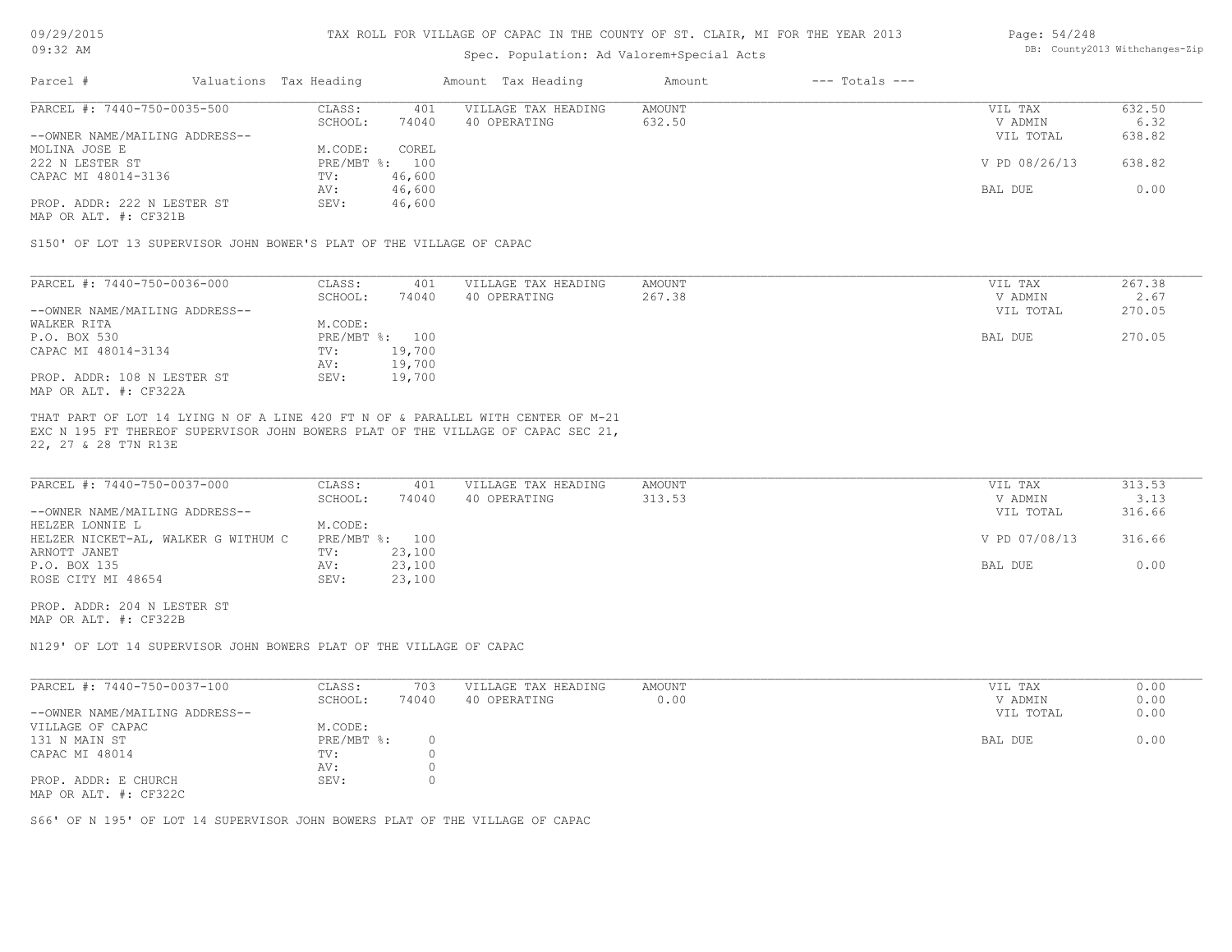# Spec. Population: Ad Valorem+Special Acts

#### Page: 54/248 DB: County2013 Withchanges-Zip

| Parcel #                       | Valuations Tax Heading |        | Amount Tax Heading  | Amount | $---$ Totals $---$ |               |        |
|--------------------------------|------------------------|--------|---------------------|--------|--------------------|---------------|--------|
| PARCEL #: 7440-750-0035-500    | CLASS:                 | 401    | VILLAGE TAX HEADING | AMOUNT |                    | VIL TAX       | 632.50 |
|                                | SCHOOL:                | 74040  | 40 OPERATING        | 632.50 |                    | V ADMIN       | 6.32   |
| --OWNER NAME/MAILING ADDRESS-- |                        |        |                     |        |                    | VIL TOTAL     | 638.82 |
| MOLINA JOSE E                  | M.CODE:                | COREL  |                     |        |                    |               |        |
| 222 N LESTER ST                | PRE/MBT %: 100         |        |                     |        |                    | V PD 08/26/13 | 638.82 |
| CAPAC MI 48014-3136            | TV:                    | 46,600 |                     |        |                    |               |        |
|                                | AV:                    | 46,600 |                     |        |                    | BAL DUE       | 0.00   |
| PROP. ADDR: 222 N LESTER ST    | SEV:                   | 46,600 |                     |        |                    |               |        |
|                                |                        |        |                     |        |                    |               |        |

MAP OR ALT. #: CF321B

S150' OF LOT 13 SUPERVISOR JOHN BOWER'S PLAT OF THE VILLAGE OF CAPAC

| PARCEL #: 7440-750-0036-000    | CLASS:     | 401    | VILLAGE TAX HEADING | AMOUNT | VIL TAX   | 267.38 |
|--------------------------------|------------|--------|---------------------|--------|-----------|--------|
|                                | SCHOOL:    | 74040  | 40 OPERATING        | 267.38 | V ADMIN   | 2.67   |
| --OWNER NAME/MAILING ADDRESS-- |            |        |                     |        | VIL TOTAL | 270.05 |
| WALKER RITA                    | M.CODE:    |        |                     |        |           |        |
| P.O. BOX 530                   | PRE/MBT %: | 100    |                     |        | BAL DUE   | 270.05 |
| CAPAC MI 48014-3134            | TV:        | 19,700 |                     |        |           |        |
|                                | AV:        | 19,700 |                     |        |           |        |
| PROP. ADDR: 108 N LESTER ST    | SEV:       | 19,700 |                     |        |           |        |
| MAP OR ALT. #: CF322A          |            |        |                     |        |           |        |

22, 27 & 28 T7N R13E EXC N 195 FT THEREOF SUPERVISOR JOHN BOWERS PLAT OF THE VILLAGE OF CAPAC SEC 21, THAT PART OF LOT 14 LYING N OF A LINE 420 FT N OF & PARALLEL WITH CENTER OF M-21

| PARCEL #: 7440-750-0037-000         | CLASS:         | 401    | VILLAGE TAX HEADING | AMOUNT | VIL TAX       | 313.53 |
|-------------------------------------|----------------|--------|---------------------|--------|---------------|--------|
|                                     | SCHOOL:        | 74040  | 40 OPERATING        | 313.53 | V ADMIN       | 3.13   |
| --OWNER NAME/MAILING ADDRESS--      |                |        |                     |        | VIL TOTAL     | 316.66 |
| HELZER LONNIE L                     | M.CODE:        |        |                     |        |               |        |
| HELZER NICKET-AL, WALKER G WITHUM C | PRE/MBT %: 100 |        |                     |        | V PD 07/08/13 | 316.66 |
| ARNOTT JANET                        | TV:            | 23,100 |                     |        |               |        |
| P.O. BOX 135                        | AV:            | 23,100 |                     |        | BAL DUE       | 0.00   |
| ROSE CITY MI 48654                  | SEV:           | 23,100 |                     |        |               |        |

MAP OR ALT. #: CF322B PROP. ADDR: 204 N LESTER ST

N129' OF LOT 14 SUPERVISOR JOHN BOWERS PLAT OF THE VILLAGE OF CAPAC

| PARCEL #: 7440-750-0037-100    | CLASS:       | 703   | VILLAGE TAX HEADING | AMOUNT | VIL TAX   | 0.00 |
|--------------------------------|--------------|-------|---------------------|--------|-----------|------|
|                                | SCHOOL:      | 74040 | 40 OPERATING        | 0.00   | V ADMIN   | 0.00 |
| --OWNER NAME/MAILING ADDRESS-- |              |       |                     |        | VIL TOTAL | 0.00 |
| VILLAGE OF CAPAC               | M.CODE:      |       |                     |        |           |      |
| 131 N MAIN ST                  | $PRE/MBT$ %: |       |                     |        | BAL DUE   | 0.00 |
| CAPAC MI 48014                 | TV:          |       |                     |        |           |      |
|                                | AV:          |       |                     |        |           |      |
| PROP. ADDR: E CHURCH           | SEV:         |       |                     |        |           |      |
| MAP OR ALT. #: CF322C          |              |       |                     |        |           |      |

S66' OF N 195' OF LOT 14 SUPERVISOR JOHN BOWERS PLAT OF THE VILLAGE OF CAPAC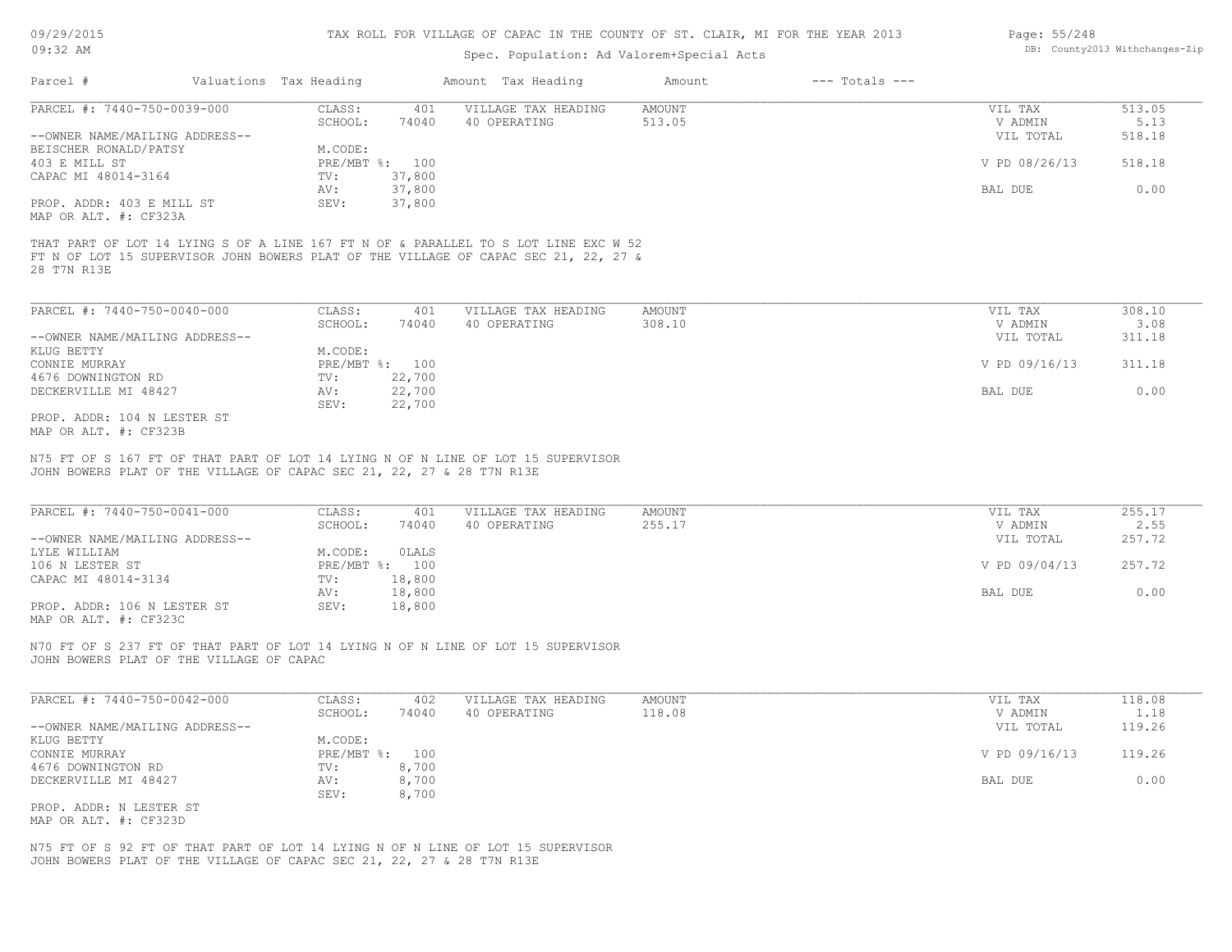# Spec. Population: Ad Valorem+Special Acts

| Page: 55/248 |                                |
|--------------|--------------------------------|
|              | DB: County2013 Withchanges-Zip |

| Parcel #                       | Valuations Tax Heading |        | Amount Tax Heading  | Amount | $---$ Totals $---$ |               |        |
|--------------------------------|------------------------|--------|---------------------|--------|--------------------|---------------|--------|
| PARCEL #: 7440-750-0039-000    | CLASS:                 | 401    | VILLAGE TAX HEADING | AMOUNT |                    | VIL TAX       | 513.05 |
|                                | SCHOOL:                | 74040  | 40 OPERATING        | 513.05 |                    | V ADMIN       | 5.13   |
| --OWNER NAME/MAILING ADDRESS-- |                        |        |                     |        |                    | VIL TOTAL     | 518.18 |
| BEISCHER RONALD/PATSY          | M.CODE:                |        |                     |        |                    |               |        |
| 403 E MILL ST                  | PRE/MBT %: 100         |        |                     |        |                    | V PD 08/26/13 | 518.18 |
| CAPAC MI 48014-3164            | TV:                    | 37,800 |                     |        |                    |               |        |
|                                | AV:                    | 37,800 |                     |        |                    | BAL DUE       | 0.00   |
| PROP. ADDR: 403 E MILL ST      | SEV:                   | 37,800 |                     |        |                    |               |        |
| MAP OR ALT. #: CF323A          |                        |        |                     |        |                    |               |        |
| 28 T7N R13E                    |                        |        |                     |        |                    |               |        |
| PARCEL #: 7440-750-0040-000    | CLASS:                 | 401    | VILLAGE TAX HEADING | AMOUNT |                    | VIL TAX       | 308.10 |
|                                | SCHOOL:                | 74040  | 40 OPERATING        | 308.10 |                    | V ADMIN       | 3.08   |
| --OWNER NAME/MAILING ADDRESS-- |                        |        |                     |        |                    | VIL TOTAL     | 311.18 |
| KLUG BETTY                     | M.CODE:                |        |                     |        |                    |               |        |
| CONNIE MURRAY                  | PRE/MBT %: 100         |        |                     |        |                    | V PD 09/16/13 | 311.18 |
| 4676 DOWNINGTON RD             | TV:                    | 22,700 |                     |        |                    |               |        |
| DECKERVILLE MI 48427           | AV:                    | 22,700 |                     |        |                    | BAL DUE       | 0.00   |
|                                | SEV:                   | 22,700 |                     |        |                    |               |        |

MAP OR ALT. #: CF323B PROP. ADDR: 104 N LESTER ST

JOHN BOWERS PLAT OF THE VILLAGE OF CAPAC SEC 21, 22, 27 & 28 T7N R13E N75 FT OF S 167 FT OF THAT PART OF LOT 14 LYING N OF N LINE OF LOT 15 SUPERVISOR

| PARCEL #: 7440-750-0041-000                           | CLASS:     | 401    | VILLAGE TAX HEADING | AMOUNT | VIL TAX       | 255.17 |
|-------------------------------------------------------|------------|--------|---------------------|--------|---------------|--------|
|                                                       | SCHOOL:    | 74040  | 40 OPERATING        | 255.17 | V ADMIN       | 2.55   |
| --OWNER NAME/MAILING ADDRESS--                        |            |        |                     |        | VIL TOTAL     | 257.72 |
| LYLE WILLIAM                                          | M.CODE:    | OLALS  |                     |        |               |        |
| 106 N LESTER ST                                       | PRE/MBT %: | 100    |                     |        | V PD 09/04/13 | 257.72 |
| CAPAC MI 48014-3134                                   | TV:        | 18,800 |                     |        |               |        |
|                                                       | AV:        | 18,800 |                     |        | BAL DUE       | 0.00   |
| PROP. ADDR: 106 N LESTER ST                           | SEV:       | 18,800 |                     |        |               |        |
| $\cdots$ $\cdots$ $\cdots$ $\cdots$ $\cdots$ $\cdots$ |            |        |                     |        |               |        |

MAP OR ALT. #: CF323C

JOHN BOWERS PLAT OF THE VILLAGE OF CAPAC N70 FT OF S 237 FT OF THAT PART OF LOT 14 LYING N OF N LINE OF LOT 15 SUPERVISOR

| PARCEL #: 7440-750-0042-000    | CLASS:         | 402   | VILLAGE TAX HEADING | AMOUNT | VIL TAX       | 118.08 |
|--------------------------------|----------------|-------|---------------------|--------|---------------|--------|
|                                | SCHOOL:        | 74040 | 40 OPERATING        | 118.08 | V ADMIN       | 1.18   |
| --OWNER NAME/MAILING ADDRESS-- |                |       |                     |        | VIL TOTAL     | 119.26 |
| KLUG BETTY                     | M.CODE:        |       |                     |        |               |        |
| CONNIE MURRAY                  | PRE/MBT %: 100 |       |                     |        | V PD 09/16/13 | 119.26 |
| 4676 DOWNINGTON RD             | TV:            | 8,700 |                     |        |               |        |
| DECKERVILLE MI 48427           | AV:            | 8,700 |                     |        | BAL DUE       | 0.00   |
|                                | SEV:           | 8,700 |                     |        |               |        |
| PROP. ADDR: N LESTER ST        |                |       |                     |        |               |        |

MAP OR ALT. #: CF323D

JOHN BOWERS PLAT OF THE VILLAGE OF CAPAC SEC 21, 22, 27 & 28 T7N R13E N75 FT OF S 92 FT OF THAT PART OF LOT 14 LYING N OF N LINE OF LOT 15 SUPERVISOR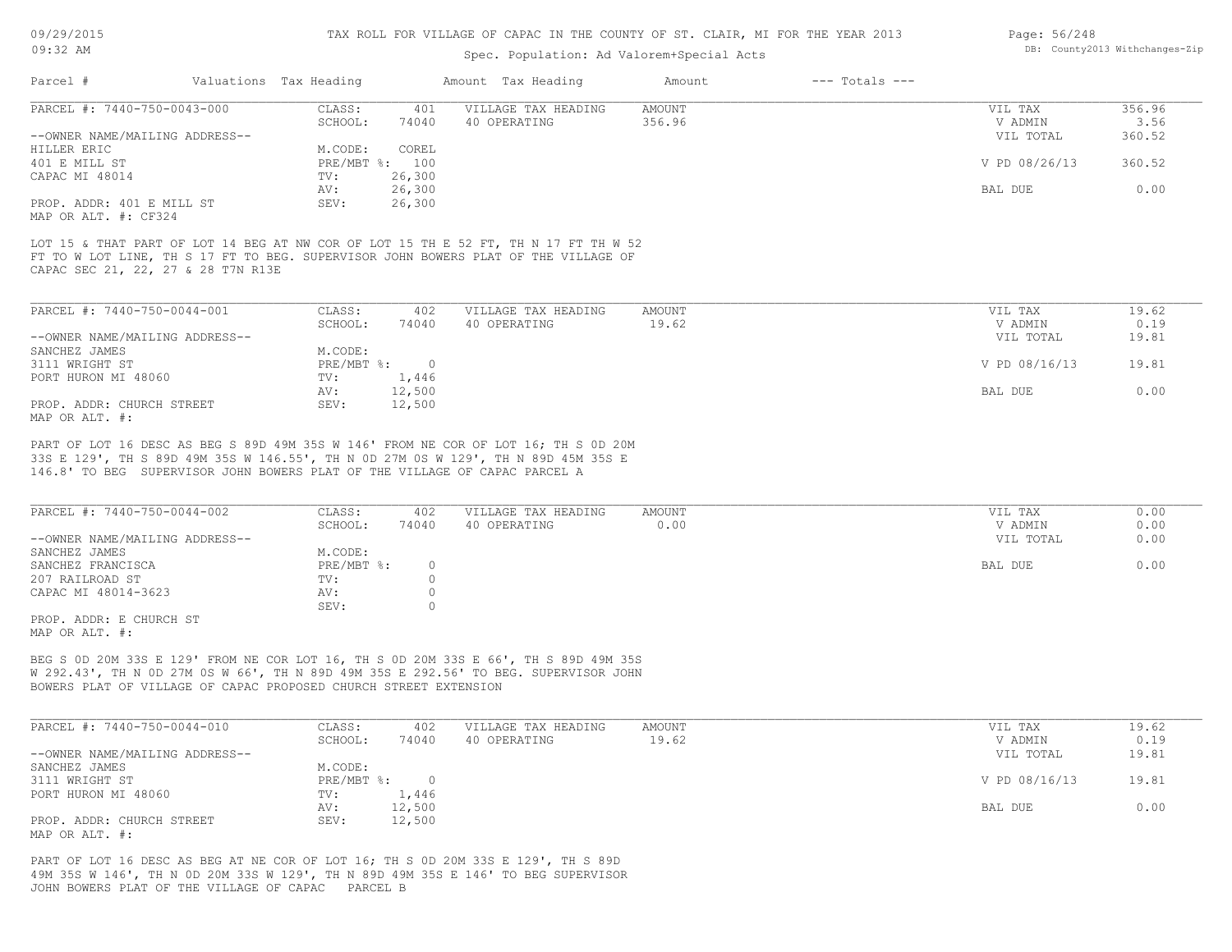# Spec. Population: Ad Valorem+Special Acts

| Page: 56/248 |                                |
|--------------|--------------------------------|
|              | DB: County2013 Withchanges-Zip |

| Parcel #                       | Valuations Tax Heading |        | Amount Tax Heading  | Amount | $---$ Totals $---$ |               |        |
|--------------------------------|------------------------|--------|---------------------|--------|--------------------|---------------|--------|
| PARCEL #: 7440-750-0043-000    | CLASS:                 | 401    | VILLAGE TAX HEADING | AMOUNT |                    | VIL TAX       | 356.96 |
|                                | SCHOOL:                | 74040  | 40 OPERATING        | 356.96 |                    | V ADMIN       | 3.56   |
| --OWNER NAME/MAILING ADDRESS-- |                        |        |                     |        |                    | VIL TOTAL     | 360.52 |
| HILLER ERIC                    | M.CODE:                | COREL  |                     |        |                    |               |        |
| 401 E MILL ST                  | PRE/MBT %: 100         |        |                     |        |                    | V PD 08/26/13 | 360.52 |
| CAPAC MI 48014                 | TV:                    | 26,300 |                     |        |                    |               |        |
|                                | AV:                    | 26,300 |                     |        |                    | BAL DUE       | 0.00   |
| PROP. ADDR: 401 E MILL ST      | SEV:                   | 26,300 |                     |        |                    |               |        |
| MAP OR ALT. #: CF324           |                        |        |                     |        |                    |               |        |

CAPAC SEC 21, 22, 27 & 28 T7N R13E FT TO W LOT LINE, TH S 17 FT TO BEG. SUPERVISOR JOHN BOWERS PLAT OF THE VILLAGE OF LOT 15 & THAT PART OF LOT 14 BEG AT NW COR OF LOT 15 TH E 52 FT, TH N 17 FT TH W 52

| PARCEL #: 7440-750-0044-001    | CLASS:     | 402    | VILLAGE TAX HEADING | AMOUNT | VIL TAX       | 19.62 |
|--------------------------------|------------|--------|---------------------|--------|---------------|-------|
|                                | SCHOOL:    | 74040  | 40 OPERATING        | 19.62  | V ADMIN       | 0.19  |
| --OWNER NAME/MAILING ADDRESS-- |            |        |                     |        | VIL TOTAL     | 19.81 |
| SANCHEZ JAMES                  | M.CODE:    |        |                     |        |               |       |
| 3111 WRIGHT ST                 | PRE/MBT %: |        |                     |        | V PD 08/16/13 | 19.81 |
| PORT HURON MI 48060            | TV:        | 1,446  |                     |        |               |       |
|                                | AV:        | 12,500 |                     |        | BAL DUE       | 0.00  |
| PROP. ADDR: CHURCH STREET      | SEV:       | 12,500 |                     |        |               |       |
| MAP OR ALT. #:                 |            |        |                     |        |               |       |

146.8' TO BEG SUPERVISOR JOHN BOWERS PLAT OF THE VILLAGE OF CAPAC PARCEL A 33S E 129', TH S 89D 49M 35S W 146.55', TH N 0D 27M 0S W 129', TH N 89D 45M 35S E PART OF LOT 16 DESC AS BEG S 89D 49M 35S W 146' FROM NE COR OF LOT 16; TH S 0D 20M

| PARCEL #: 7440-750-0044-002    | CLASS:     | 402   | VILLAGE TAX HEADING | AMOUNT | VIL TAX   | 0.00 |
|--------------------------------|------------|-------|---------------------|--------|-----------|------|
|                                | SCHOOL:    | 74040 | 40 OPERATING        | 0.00   | V ADMIN   | 0.00 |
| --OWNER NAME/MAILING ADDRESS-- |            |       |                     |        | VIL TOTAL | 0.00 |
| SANCHEZ JAMES                  | M.CODE:    |       |                     |        |           |      |
| SANCHEZ FRANCISCA              | PRE/MBT %: |       |                     |        | BAL DUE   | 0.00 |
| 207 RAILROAD ST                | TV:        |       |                     |        |           |      |
| CAPAC MI 48014-3623            | AV:        |       |                     |        |           |      |
|                                | SEV:       |       |                     |        |           |      |
| PROP. ADDR: E CHURCH ST        |            |       |                     |        |           |      |

MAP OR ALT. #:

BOWERS PLAT OF VILLAGE OF CAPAC PROPOSED CHURCH STREET EXTENSION W 292.43', TH N 0D 27M 0S W 66', TH N 89D 49M 35S E 292.56' TO BEG. SUPERVISOR JOHN BEG S 0D 20M 33S E 129' FROM NE COR LOT 16, TH S 0D 20M 33S E 66', TH S 89D 49M 35S

| PARCEL #: 7440-750-0044-010    | CLASS:     | 402    | VILLAGE TAX HEADING | AMOUNT | VIL TAX       | 19.62 |
|--------------------------------|------------|--------|---------------------|--------|---------------|-------|
|                                | SCHOOL:    | 74040  | 40 OPERATING        | 19.62  | V ADMIN       | 0.19  |
| --OWNER NAME/MAILING ADDRESS-- |            |        |                     |        | VIL TOTAL     | 19.81 |
| SANCHEZ JAMES                  | M.CODE:    |        |                     |        |               |       |
| 3111 WRIGHT ST                 | PRE/MBT %: |        |                     |        | V PD 08/16/13 | 19.81 |
| PORT HURON MI 48060            | TV:        | 1,446  |                     |        |               |       |
|                                | AV:        | 12,500 |                     |        | BAL DUE       | 0.00  |
| PROP. ADDR: CHURCH STREET      | SEV:       | 12,500 |                     |        |               |       |
| MAP OR ALT. #:                 |            |        |                     |        |               |       |

JOHN BOWERS PLAT OF THE VILLAGE OF CAPAC PARCEL B 49M 35S W 146', TH N 0D 20M 33S W 129', TH N 89D 49M 35S E 146' TO BEG SUPERVISOR PART OF LOT 16 DESC AS BEG AT NE COR OF LOT 16; TH S 0D 20M 33S E 129', TH S 89D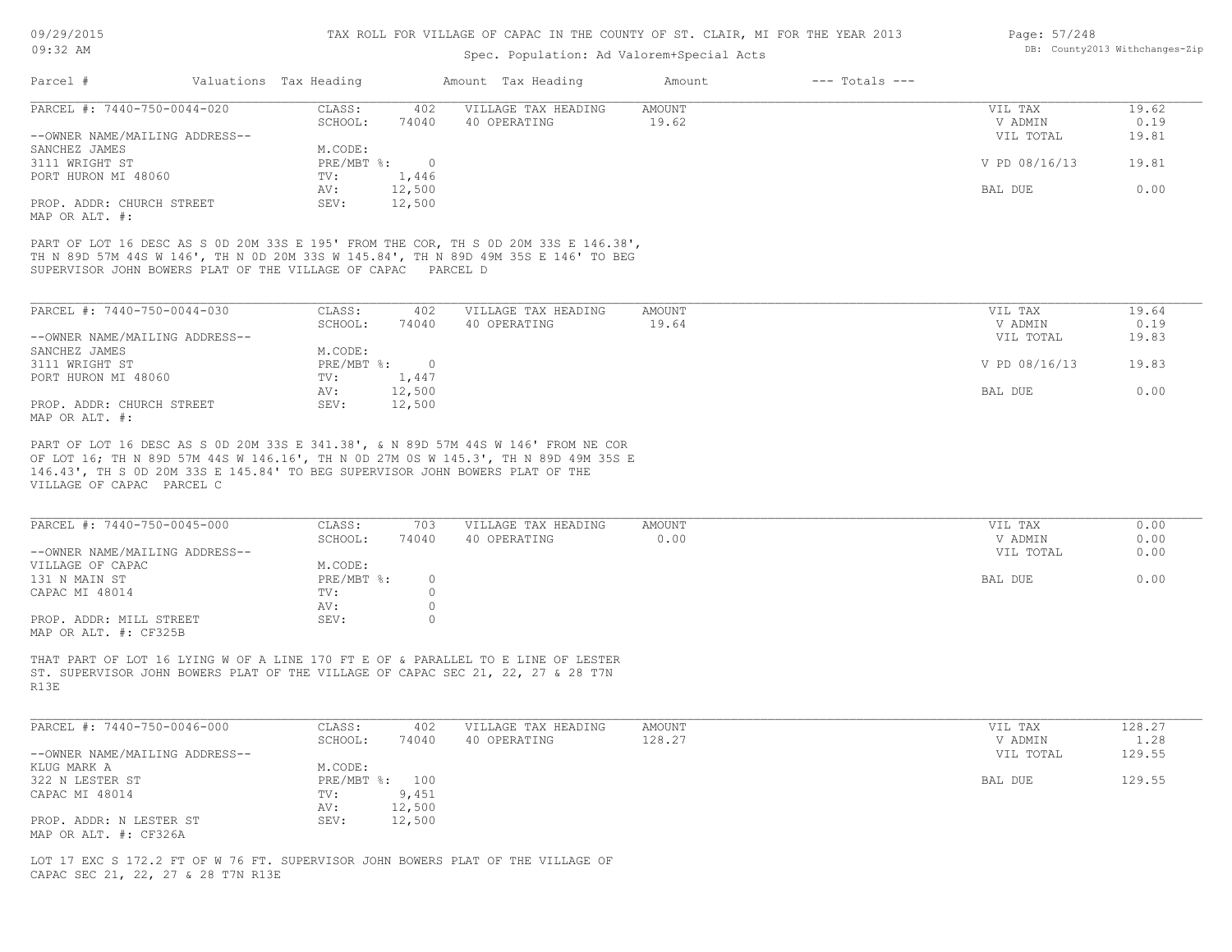# Spec. Population: Ad Valorem+Special Acts

| Page: 57/248 |                                |
|--------------|--------------------------------|
|              | DB: County2013 Withchanges-Zip |

| Parcel #                       | Valuations Tax Heading |        | Amount Tax Heading  | Amount | $---$ Totals $---$ |               |       |
|--------------------------------|------------------------|--------|---------------------|--------|--------------------|---------------|-------|
| PARCEL #: 7440-750-0044-020    | CLASS:                 | 402    | VILLAGE TAX HEADING | AMOUNT |                    | VIL TAX       | 19.62 |
|                                | SCHOOL:                | 74040  | 40 OPERATING        | 19.62  |                    | V ADMIN       | 0.19  |
| --OWNER NAME/MAILING ADDRESS-- |                        |        |                     |        |                    | VIL TOTAL     | 19.81 |
| SANCHEZ JAMES                  | M.CODE:                |        |                     |        |                    |               |       |
| 3111 WRIGHT ST                 | $PRE/MBT$ %:           |        |                     |        |                    | V PD 08/16/13 | 19.81 |
| PORT HURON MI 48060            | TV:                    | 1,446  |                     |        |                    |               |       |
|                                | AV:                    | 12,500 |                     |        |                    | BAL DUE       | 0.00  |
| PROP. ADDR: CHURCH STREET      | SEV:                   | 12,500 |                     |        |                    |               |       |
| MAP OR ALT. #:                 |                        |        |                     |        |                    |               |       |

SUPERVISOR JOHN BOWERS PLAT OF THE VILLAGE OF CAPAC PARCEL D TH N 89D 57M 44S W 146', TH N 0D 20M 33S W 145.84', TH N 89D 49M 35S E 146' TO BEG PART OF LOT 16 DESC AS S 0D 20M 33S E 195' FROM THE COR, TH S 0D 20M 33S E 146.38',

| PARCEL #: 7440-750-0044-030    | CLASS:     | 402    | VILLAGE TAX HEADING | AMOUNT | VIL TAX       | 19.64 |
|--------------------------------|------------|--------|---------------------|--------|---------------|-------|
|                                | SCHOOL:    | 74040  | 40 OPERATING        | 19.64  | V ADMIN       | 0.19  |
| --OWNER NAME/MAILING ADDRESS-- |            |        |                     |        | VIL TOTAL     | 19.83 |
| SANCHEZ JAMES                  | M.CODE:    |        |                     |        |               |       |
| 3111 WRIGHT ST                 | PRE/MBT %: |        |                     |        | V PD 08/16/13 | 19.83 |
| PORT HURON MI 48060            | TV:        | 1,447  |                     |        |               |       |
|                                | AV:        | 12,500 |                     |        | BAL DUE       | 0.00  |
| PROP. ADDR: CHURCH STREET      | SEV:       | 12,500 |                     |        |               |       |
| MAP OR ALT. #:                 |            |        |                     |        |               |       |

VILLAGE OF CAPAC PARCEL C 146.43', TH S 0D 20M 33S E 145.84' TO BEG SUPERVISOR JOHN BOWERS PLAT OF THE OF LOT 16; TH N 89D 57M 44S W 146.16', TH N 0D 27M 0S W 145.3', TH N 89D 49M 35S E PART OF LOT 16 DESC AS S 0D 20M 33S E 341.38', & N 89D 57M 44S W 146' FROM NE COR

| PARCEL #: 7440-750-0045-000    | CLASS:     | 703   | VILLAGE TAX HEADING | AMOUNT | VIL TAX   | 0.00 |
|--------------------------------|------------|-------|---------------------|--------|-----------|------|
|                                | SCHOOL:    | 74040 | 40 OPERATING        | 0.00   | V ADMIN   | 0.00 |
| --OWNER NAME/MAILING ADDRESS-- |            |       |                     |        | VIL TOTAL | 0.00 |
| VILLAGE OF CAPAC               | M.CODE:    |       |                     |        |           |      |
| 131 N MAIN ST                  | PRE/MBT %: |       |                     |        | BAL DUE   | 0.00 |
| CAPAC MI 48014                 | TV:        |       |                     |        |           |      |
|                                | AV:        |       |                     |        |           |      |
| PROP. ADDR: MILL STREET        | SEV:       |       |                     |        |           |      |
| MAP OR ALT. #: CF325B          |            |       |                     |        |           |      |

R13E ST. SUPERVISOR JOHN BOWERS PLAT OF THE VILLAGE OF CAPAC SEC 21, 22, 27 & 28 T7N THAT PART OF LOT 16 LYING W OF A LINE 170 FT E OF & PARALLEL TO E LINE OF LESTER

| PARCEL #: 7440-750-0046-000    | CLASS:         | 402    | VILLAGE TAX HEADING | AMOUNT | VIL TAX   | 128.27 |
|--------------------------------|----------------|--------|---------------------|--------|-----------|--------|
|                                | SCHOOL:        | 74040  | 40 OPERATING        | 128.27 | V ADMIN   | 1.28   |
| --OWNER NAME/MAILING ADDRESS-- |                |        |                     |        | VIL TOTAL | 129.55 |
| KLUG MARK A                    | M.CODE:        |        |                     |        |           |        |
| 322 N LESTER ST                | PRE/MBT %: 100 |        |                     |        | BAL DUE   | 129.55 |
| CAPAC MI 48014                 | TV:            | 9,451  |                     |        |           |        |
|                                | AV:            | 12,500 |                     |        |           |        |
| PROP. ADDR: N LESTER ST        | SEV:           | 12,500 |                     |        |           |        |
| MAP OR ALT. #: CF326A          |                |        |                     |        |           |        |

CAPAC SEC 21, 22, 27 & 28 T7N R13E LOT 17 EXC S 172.2 FT OF W 76 FT. SUPERVISOR JOHN BOWERS PLAT OF THE VILLAGE OF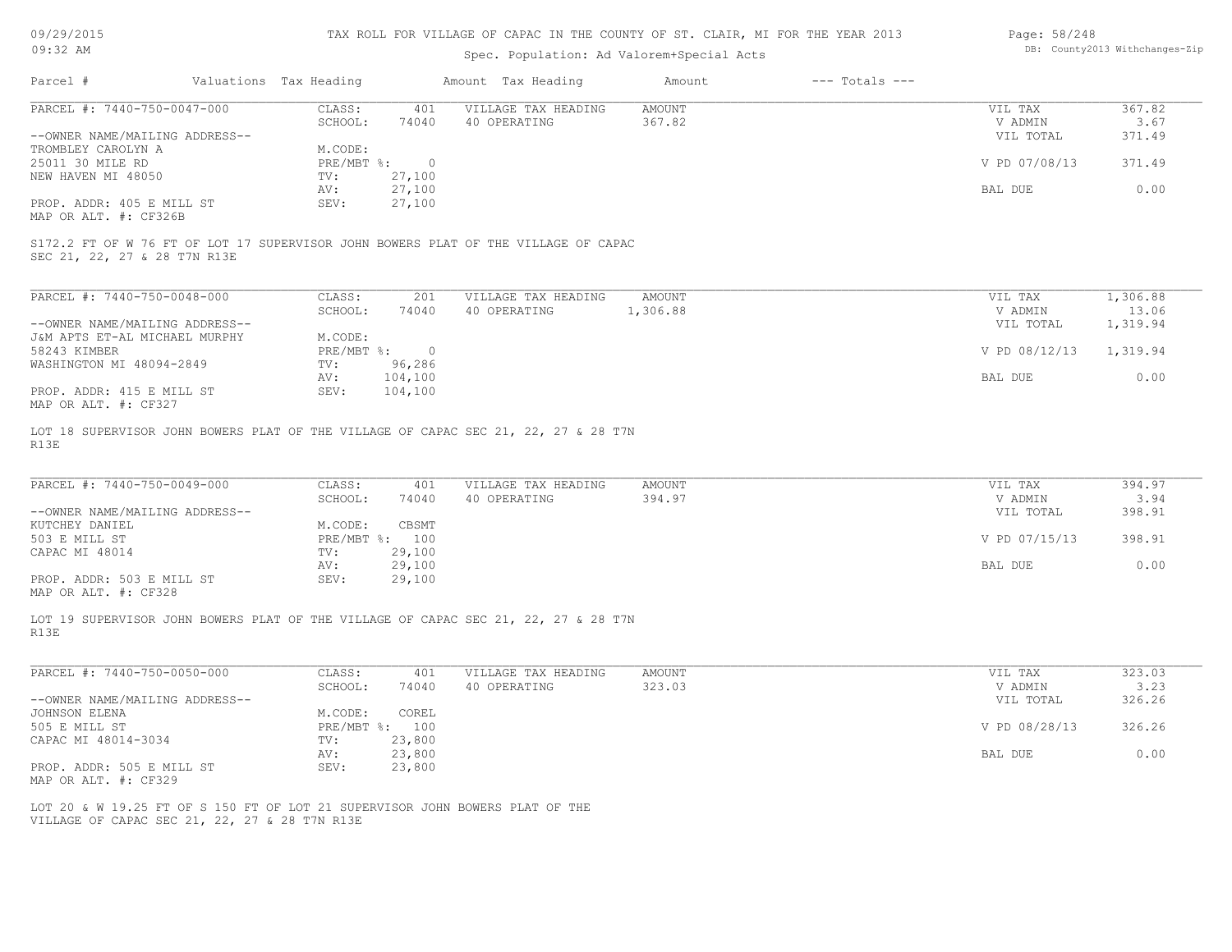| Page: 58/248 |                                |
|--------------|--------------------------------|
|              | DB: County2013 Withchanges-Zip |

| 09/29/2015                                        |                                                                                    | TAX ROLL FOR VILLAGE OF CAPAC IN THE COUNTY OF ST. CLAIR, MI FOR THE YEAR 2013 | Page: 58/248<br>DB: County2013 Withchanges-Zip |                    |                     |               |                    |               |          |
|---------------------------------------------------|------------------------------------------------------------------------------------|--------------------------------------------------------------------------------|------------------------------------------------|--------------------|---------------------|---------------|--------------------|---------------|----------|
| 09:32 AM                                          |                                                                                    |                                                                                |                                                |                    |                     |               |                    |               |          |
| Parcel #                                          |                                                                                    | Valuations Tax Heading                                                         |                                                | Amount Tax Heading |                     | Amount        | $---$ Totals $---$ |               |          |
| PARCEL #: 7440-750-0047-000                       |                                                                                    | CLASS:                                                                         | 401                                            |                    | VILLAGE TAX HEADING | <b>AMOUNT</b> |                    | VIL TAX       | 367.82   |
|                                                   |                                                                                    | SCHOOL:                                                                        | 74040                                          | 40 OPERATING       |                     | 367.82        |                    | V ADMIN       | 3.67     |
| --OWNER NAME/MAILING ADDRESS--                    |                                                                                    |                                                                                |                                                |                    |                     |               |                    | VIL TOTAL     | 371.49   |
| TROMBLEY CAROLYN A<br>25011 30 MILE RD            |                                                                                    | M.CODE:<br>PRE/MBT %:                                                          | $\circ$                                        |                    |                     |               |                    | V PD 07/08/13 | 371.49   |
| NEW HAVEN MI 48050                                |                                                                                    | TV:                                                                            | 27,100                                         |                    |                     |               |                    |               |          |
|                                                   |                                                                                    | AV:                                                                            | 27,100                                         |                    |                     |               |                    | BAL DUE       | 0.00     |
| PROP. ADDR: 405 E MILL ST                         |                                                                                    | SEV:                                                                           | 27,100                                         |                    |                     |               |                    |               |          |
| MAP OR ALT. #: CF326B                             |                                                                                    |                                                                                |                                                |                    |                     |               |                    |               |          |
| SEC 21, 22, 27 & 28 T7N R13E                      | S172.2 FT OF W 76 FT OF LOT 17 SUPERVISOR JOHN BOWERS PLAT OF THE VILLAGE OF CAPAC |                                                                                |                                                |                    |                     |               |                    |               |          |
|                                                   |                                                                                    |                                                                                |                                                |                    |                     |               |                    |               |          |
| PARCEL #: 7440-750-0048-000                       |                                                                                    | CLASS:                                                                         | 201                                            |                    | VILLAGE TAX HEADING | <b>AMOUNT</b> |                    | VIL TAX       | 1,306.88 |
|                                                   |                                                                                    | SCHOOL:                                                                        | 74040                                          | 40 OPERATING       |                     | 1,306.88      |                    | V ADMIN       | 13.06    |
| --OWNER NAME/MAILING ADDRESS--                    |                                                                                    |                                                                                |                                                |                    |                     |               |                    | VIL TOTAL     | 1,319.94 |
| J&M APTS ET-AL MICHAEL MURPHY                     |                                                                                    | M.CODE:                                                                        |                                                |                    |                     |               |                    |               |          |
| 58243 KIMBER                                      |                                                                                    | PRE/MBT %:                                                                     | $\circ$<br>96,286                              |                    |                     |               |                    | V PD 08/12/13 | 1,319.94 |
| WASHINGTON MI 48094-2849                          |                                                                                    | TV:<br>AV:                                                                     | 104,100                                        |                    |                     |               |                    | BAL DUE       | 0.00     |
| PROP. ADDR: 415 E MILL ST                         |                                                                                    | SEV:                                                                           | 104,100                                        |                    |                     |               |                    |               |          |
| MAP OR ALT. #: CF327                              |                                                                                    |                                                                                |                                                |                    |                     |               |                    |               |          |
| R13E                                              | LOT 18 SUPERVISOR JOHN BOWERS PLAT OF THE VILLAGE OF CAPAC SEC 21, 22, 27 & 28 T7N |                                                                                |                                                |                    |                     |               |                    |               |          |
| PARCEL #: 7440-750-0049-000                       |                                                                                    | CLASS:                                                                         | 401                                            |                    | VILLAGE TAX HEADING | <b>AMOUNT</b> |                    | VIL TAX       | 394.97   |
|                                                   |                                                                                    | SCHOOL:                                                                        | 74040                                          | 40 OPERATING       |                     | 394.97        |                    | V ADMIN       | 3.94     |
| --OWNER NAME/MAILING ADDRESS--                    |                                                                                    |                                                                                |                                                |                    |                     |               |                    | VIL TOTAL     | 398.91   |
| KUTCHEY DANIEL                                    |                                                                                    | M.CODE:                                                                        | CBSMT                                          |                    |                     |               |                    |               |          |
| 503 E MILL ST                                     |                                                                                    |                                                                                | PRE/MBT %: 100                                 |                    |                     |               |                    | V PD 07/15/13 | 398.91   |
| CAPAC MI 48014                                    |                                                                                    | TV:                                                                            | 29,100                                         |                    |                     |               |                    |               |          |
|                                                   |                                                                                    | AV:                                                                            | 29,100                                         |                    |                     |               |                    | BAL DUE       | 0.00     |
| PROP. ADDR: 503 E MILL ST<br>MAP OR ALT. #: CF328 |                                                                                    | SEV:                                                                           | 29,100                                         |                    |                     |               |                    |               |          |
| R13E                                              | LOT 19 SUPERVISOR JOHN BOWERS PLAT OF THE VILLAGE OF CAPAC SEC 21, 22, 27 & 28 T7N |                                                                                |                                                |                    |                     |               |                    |               |          |
| PARCEL #: 7440-750-0050-000                       |                                                                                    | CLASS:                                                                         | 401                                            |                    | VILLAGE TAX HEADING | <b>AMOUNT</b> |                    | VIL TAX       | 323.03   |
|                                                   |                                                                                    | SCHOOL:                                                                        | 74040                                          | 40 OPERATING       |                     | 323.03        |                    | V ADMIN       | 3.23     |
| --OWNER NAME/MAILING ADDRESS--                    |                                                                                    |                                                                                |                                                |                    |                     |               |                    | VIL TOTAL     | 326.26   |
| <b>JOHNSON ELENA</b>                              |                                                                                    | M.CODE:                                                                        | COREL                                          |                    |                     |               |                    |               |          |
| 505 E MILL ST                                     |                                                                                    |                                                                                | PRE/MBT %: 100                                 |                    |                     |               |                    | V PD 08/28/13 | 326.26   |
| CAPAC MI 48014-3034                               |                                                                                    | TV:                                                                            | 23,800                                         |                    |                     |               |                    |               |          |
|                                                   |                                                                                    | AV:                                                                            | 23,800                                         |                    |                     |               |                    | BAL DUE       | 0.00     |
| PROP. ADDR: 505 E MILL ST<br>MAP OR ALT. #: CF329 |                                                                                    | SEV:                                                                           | 23,800                                         |                    |                     |               |                    |               |          |
|                                                   | LOT 20 & W 19.25 FT OF S 150 FT OF LOT 21 SUPERVISOR JOHN BOWERS PLAT OF THE       |                                                                                |                                                |                    |                     |               |                    |               |          |
|                                                   |                                                                                    |                                                                                |                                                |                    |                     |               |                    |               |          |

VILLAGE OF CAPAC SEC 21, 22, 27 & 28 T7N R13E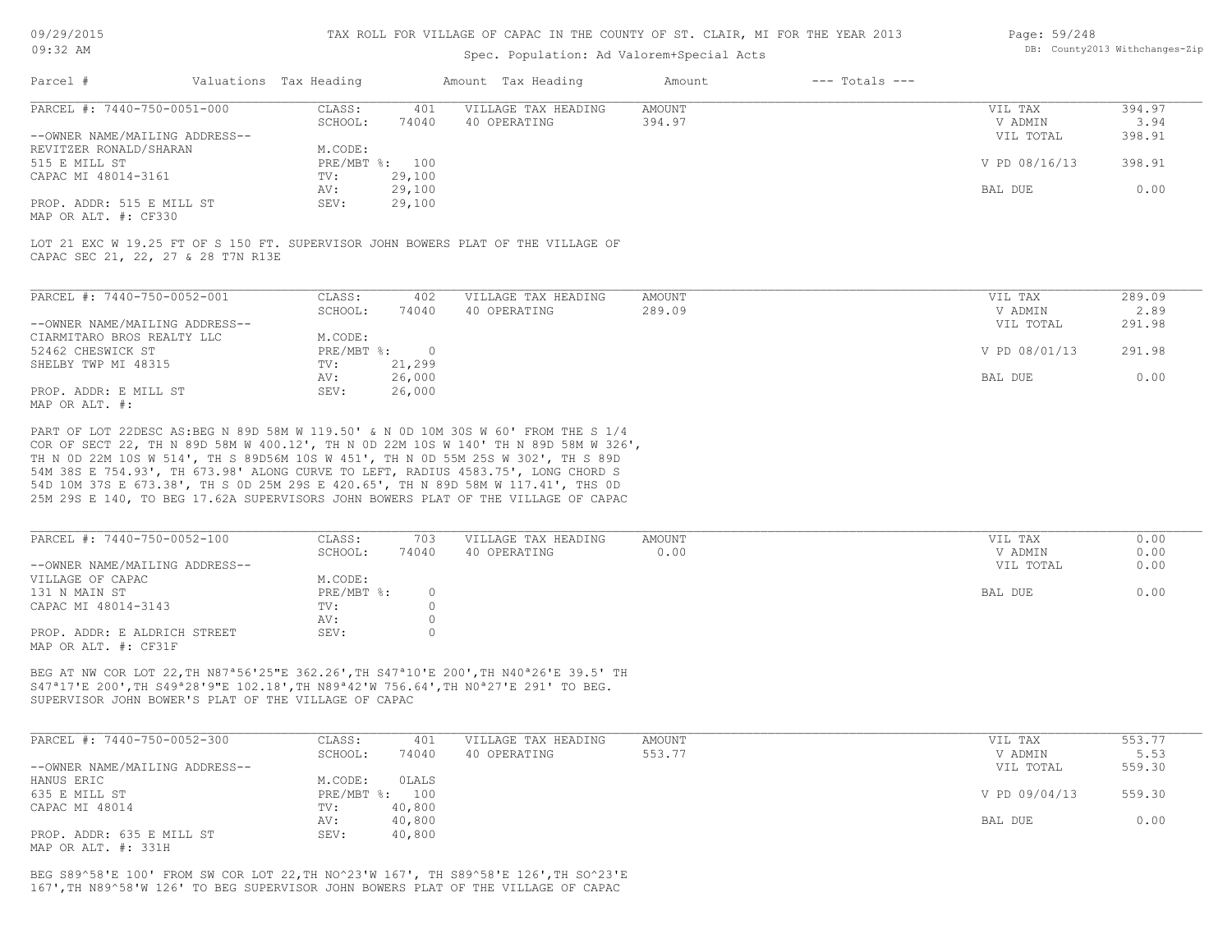# Spec. Population: Ad Valorem+Special Acts

| Page: 59/248 |                                |
|--------------|--------------------------------|
|              | DB: County2013 Withchanges-Zip |

| Parcel #                       | Valuations Tax Heading |        | Amount Tax Heading  | Amount | $---$ Totals $---$ |               |        |
|--------------------------------|------------------------|--------|---------------------|--------|--------------------|---------------|--------|
| PARCEL #: 7440-750-0051-000    | CLASS:                 | 401    | VILLAGE TAX HEADING | AMOUNT |                    | VIL TAX       | 394.97 |
|                                | SCHOOL:                | 74040  | 40 OPERATING        | 394.97 |                    | V ADMIN       | 3.94   |
| --OWNER NAME/MAILING ADDRESS-- |                        |        |                     |        |                    | VIL TOTAL     | 398.91 |
| REVITZER RONALD/SHARAN         | M.CODE:                |        |                     |        |                    |               |        |
| 515 E MILL ST                  | PRE/MBT %: 100         |        |                     |        |                    | V PD 08/16/13 | 398.91 |
| CAPAC MI 48014-3161            | TV:                    | 29,100 |                     |        |                    |               |        |
|                                | AV:                    | 29,100 |                     |        |                    | BAL DUE       | 0.00   |
| PROP. ADDR: 515 E MILL ST      | SEV:                   | 29,100 |                     |        |                    |               |        |
|                                |                        |        |                     |        |                    |               |        |

MAP OR ALT. #: CF330

CAPAC SEC 21, 22, 27 & 28 T7N R13E LOT 21 EXC W 19.25 FT OF S 150 FT. SUPERVISOR JOHN BOWERS PLAT OF THE VILLAGE OF

| PARCEL #: 7440-750-0052-001    | CLASS:     | 402    | VILLAGE TAX HEADING | AMOUNT | 289.09<br>VIL TAX       |
|--------------------------------|------------|--------|---------------------|--------|-------------------------|
|                                | SCHOOL:    | 74040  | 40 OPERATING        | 289.09 | 2.89<br>V ADMIN         |
| --OWNER NAME/MAILING ADDRESS-- |            |        |                     |        | 291.98<br>VIL TOTAL     |
| CIARMITARO BROS REALTY LLC     | M.CODE:    |        |                     |        |                         |
| 52462 CHESWICK ST              | PRE/MBT %: |        |                     |        | V PD 08/01/13<br>291.98 |
| SHELBY TWP MI 48315            | TV:        | 21,299 |                     |        |                         |
|                                | AV:        | 26,000 |                     |        | 0.00<br>BAL DUE         |
| PROP. ADDR: E MILL ST          | SEV:       | 26,000 |                     |        |                         |
| MAP OR ALT. #:                 |            |        |                     |        |                         |

25M 29S E 140, TO BEG 17.62A SUPERVISORS JOHN BOWERS PLAT OF THE VILLAGE OF CAPAC 54D 10M 37S E 673.38', TH S 0D 25M 29S E 420.65', TH N 89D 58M W 117.41', THS 0D 54M 38S E 754.93', TH 673.98' ALONG CURVE TO LEFT, RADIUS 4583.75', LONG CHORD S TH N 0D 22M 10S W 514', TH S 89D56M 10S W 451', TH N 0D 55M 25S W 302', TH S 89D COR OF SECT 22, TH N 89D 58M W 400.12', TH N 0D 22M 10S W 140' TH N 89D 58M W 326', PART OF LOT 22DESC AS:BEG N 89D 58M W 119.50' & N 0D 10M 30S W 60' FROM THE S 1/4

| PARCEL #: 7440-750-0052-100    | CLASS:     | 703   | VILLAGE TAX HEADING | AMOUNT | VIL TAX   | 0.00 |
|--------------------------------|------------|-------|---------------------|--------|-----------|------|
|                                | SCHOOL:    | 74040 | 40 OPERATING        | 0.00   | V ADMIN   | 0.00 |
| --OWNER NAME/MAILING ADDRESS-- |            |       |                     |        | VIL TOTAL | 0.00 |
| VILLAGE OF CAPAC               | M.CODE:    |       |                     |        |           |      |
| 131 N MAIN ST                  | PRE/MBT %: |       |                     |        | BAL DUE   | 0.00 |
| CAPAC MI 48014-3143            | TV:        |       |                     |        |           |      |
|                                | AV:        |       |                     |        |           |      |
| PROP. ADDR: E ALDRICH STREET   | SEV:       |       |                     |        |           |      |
| MAP OR ALT. #: CF31F           |            |       |                     |        |           |      |

SUPERVISOR JOHN BOWER'S PLAT OF THE VILLAGE OF CAPAC S47ª17'E 200',TH S49ª28'9"E 102.18',TH N89ª42'W 756.64',TH N0ª27'E 291' TO BEG. BEG AT NW COR LOT 22,TH N87ª56'25"E 362.26',TH S47ª10'E 200',TH N40ª26'E 39.5' TH

| PARCEL #: 7440-750-0052-300    | CLASS:  | 401            | VILLAGE TAX HEADING | AMOUNT | VIL TAX       | 553.77 |
|--------------------------------|---------|----------------|---------------------|--------|---------------|--------|
|                                | SCHOOL: | 74040          | 40 OPERATING        | 553.77 | V ADMIN       | 5.53   |
| --OWNER NAME/MAILING ADDRESS-- |         |                |                     |        | VIL TOTAL     | 559.30 |
| HANUS ERIC                     | M.CODE: | OLALS          |                     |        |               |        |
| 635 E MILL ST                  |         | PRE/MBT %: 100 |                     |        | V PD 09/04/13 | 559.30 |
| CAPAC MI 48014                 | TV:     | 40,800         |                     |        |               |        |
|                                | AV:     | 40,800         |                     |        | BAL DUE       | 0.00   |
| PROP. ADDR: 635 E MILL ST      | SEV:    | 40,800         |                     |        |               |        |
|                                |         |                |                     |        |               |        |

MAP OR ALT. #: 331H

167',TH N89^58'W 126' TO BEG SUPERVISOR JOHN BOWERS PLAT OF THE VILLAGE OF CAPAC BEG S89^58'E 100' FROM SW COR LOT 22,TH NO^23'W 167', TH S89^58'E 126',TH SO^23'E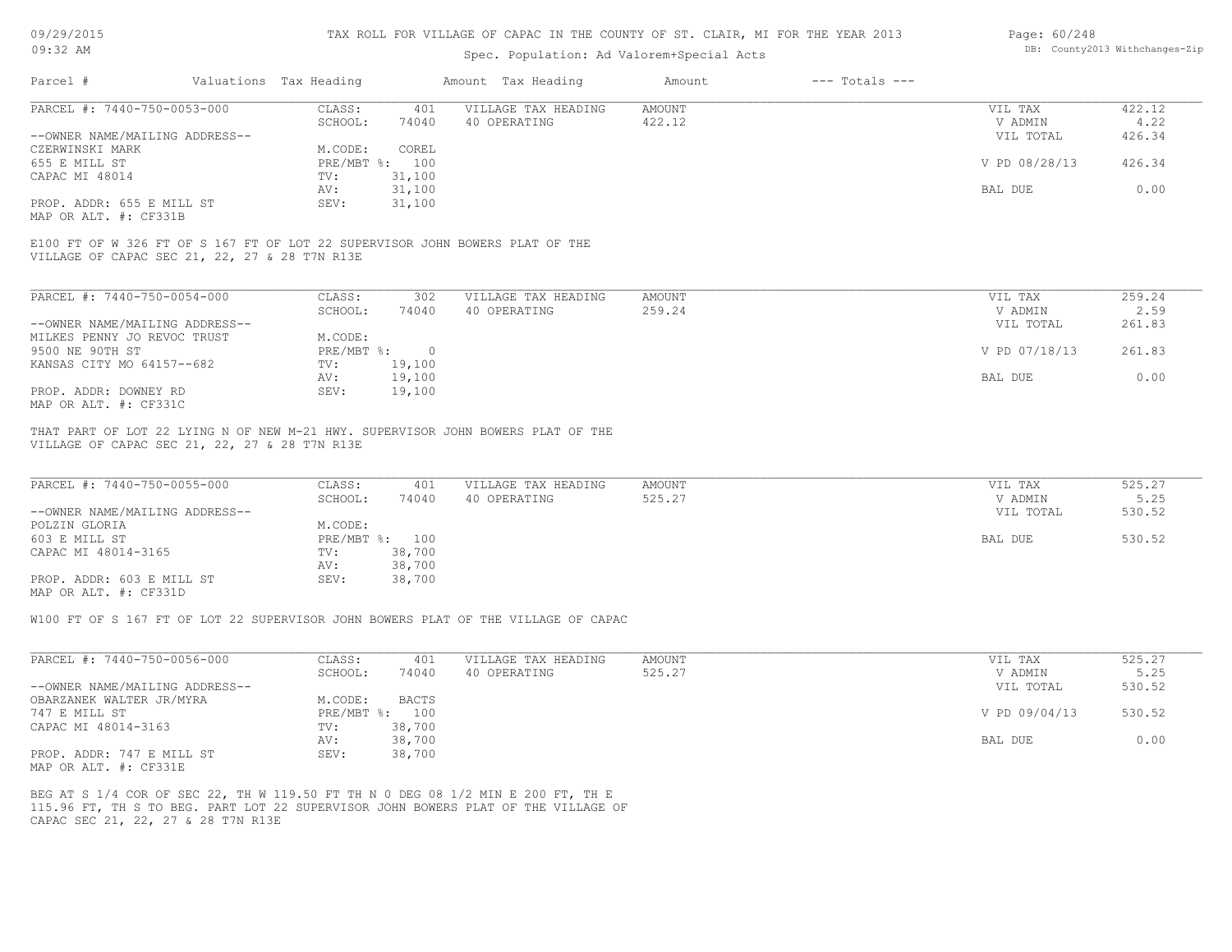# Spec. Population: Ad Valorem+Special Acts

#### Page: 60/248 DB: County2013 Withchanges-Zip

| Parcel #                       | Valuations Tax Heading |        | Amount Tax Heading  | Amount | $---$ Totals $---$ |               |        |
|--------------------------------|------------------------|--------|---------------------|--------|--------------------|---------------|--------|
| PARCEL #: 7440-750-0053-000    | CLASS:                 | 401    | VILLAGE TAX HEADING | AMOUNT |                    | VIL TAX       | 422.12 |
|                                | SCHOOL:                | 74040  | 40 OPERATING        | 422.12 |                    | V ADMIN       | 4.22   |
| --OWNER NAME/MAILING ADDRESS-- |                        |        |                     |        |                    | VIL TOTAL     | 426.34 |
| CZERWINSKI MARK                | M.CODE:                | COREL  |                     |        |                    |               |        |
| 655 E MILL ST                  | PRE/MBT %: 100         |        |                     |        |                    | V PD 08/28/13 | 426.34 |
| CAPAC MI 48014                 | TV:                    | 31,100 |                     |        |                    |               |        |
|                                | AV:                    | 31,100 |                     |        |                    | BAL DUE       | 0.00   |
| PROP. ADDR: 655 E MILL ST      | SEV:                   | 31,100 |                     |        |                    |               |        |
| MAP OR ALT. #: CF331B          |                        |        |                     |        |                    |               |        |

VILLAGE OF CAPAC SEC 21, 22, 27 & 28 T7N R13E E100 FT OF W 326 FT OF S 167 FT OF LOT 22 SUPERVISOR JOHN BOWERS PLAT OF THE

| PARCEL #: 7440-750-0054-000    | CLASS:     | 302      | VILLAGE TAX HEADING | AMOUNT | VIL TAX       | 259.24 |
|--------------------------------|------------|----------|---------------------|--------|---------------|--------|
|                                | SCHOOL:    | 74040    | 40 OPERATING        | 259.24 | V ADMIN       | 2.59   |
| --OWNER NAME/MAILING ADDRESS-- |            |          |                     |        | VIL TOTAL     | 261.83 |
| MILKES PENNY JO REVOC TRUST    | M.CODE:    |          |                     |        |               |        |
| 9500 NE 90TH ST                | PRE/MBT %: | $\Omega$ |                     |        | V PD 07/18/13 | 261.83 |
| KANSAS CITY MO 64157--682      | TV:        | 19,100   |                     |        |               |        |
|                                | AV:        | 19,100   |                     |        | BAL DUE       | 0.00   |
| PROP. ADDR: DOWNEY RD          | SEV:       | 19,100   |                     |        |               |        |
| MAP OR ALT. #: CF331C          |            |          |                     |        |               |        |

VILLAGE OF CAPAC SEC 21, 22, 27 & 28 T7N R13E THAT PART OF LOT 22 LYING N OF NEW M-21 HWY. SUPERVISOR JOHN BOWERS PLAT OF THE

| PARCEL #: 7440-750-0055-000    | CLASS:  | 401            | VILLAGE TAX HEADING | AMOUNT | VIL TAX   | 525.27 |
|--------------------------------|---------|----------------|---------------------|--------|-----------|--------|
|                                | SCHOOL: | 74040          | 40 OPERATING        | 525.27 | V ADMIN   | 5.25   |
| --OWNER NAME/MAILING ADDRESS-- |         |                |                     |        | VIL TOTAL | 530.52 |
| POLZIN GLORIA                  | M.CODE: |                |                     |        |           |        |
| 603 E MILL ST                  |         | PRE/MBT %: 100 |                     |        | BAL DUE   | 530.52 |
| CAPAC MI 48014-3165            | TV:     | 38,700         |                     |        |           |        |
|                                | AV:     | 38,700         |                     |        |           |        |
| PROP. ADDR: 603 E MILL ST      | SEV:    | 38,700         |                     |        |           |        |
| MAP OR ALT. #: CF331D          |         |                |                     |        |           |        |

W100 FT OF S 167 FT OF LOT 22 SUPERVISOR JOHN BOWERS PLAT OF THE VILLAGE OF CAPAC

| PARCEL #: 7440-750-0056-000    | CLASS:     | 401    | VILLAGE TAX HEADING | AMOUNT | VIL TAX       | 525.27 |
|--------------------------------|------------|--------|---------------------|--------|---------------|--------|
|                                | SCHOOL:    | 74040  | 40 OPERATING        | 525.27 | V ADMIN       | 5.25   |
| --OWNER NAME/MAILING ADDRESS-- |            |        |                     |        | VIL TOTAL     | 530.52 |
| OBARZANEK WALTER JR/MYRA       | M.CODE:    | BACTS  |                     |        |               |        |
| 747 E MILL ST                  | PRE/MBT %: | 100    |                     |        | V PD 09/04/13 | 530.52 |
| CAPAC MI 48014-3163            | TV:        | 38,700 |                     |        |               |        |
|                                | AV:        | 38,700 |                     |        | BAL DUE       | 0.00   |
| PROP. ADDR: 747 E MILL ST      | SEV:       | 38,700 |                     |        |               |        |

MAP OR ALT. #: CF331E

CAPAC SEC 21, 22, 27 & 28 T7N R13E 115.96 FT, TH S TO BEG. PART LOT 22 SUPERVISOR JOHN BOWERS PLAT OF THE VILLAGE OF BEG AT S 1/4 COR OF SEC 22, TH W 119.50 FT TH N 0 DEG 08 1/2 MIN E 200 FT, TH E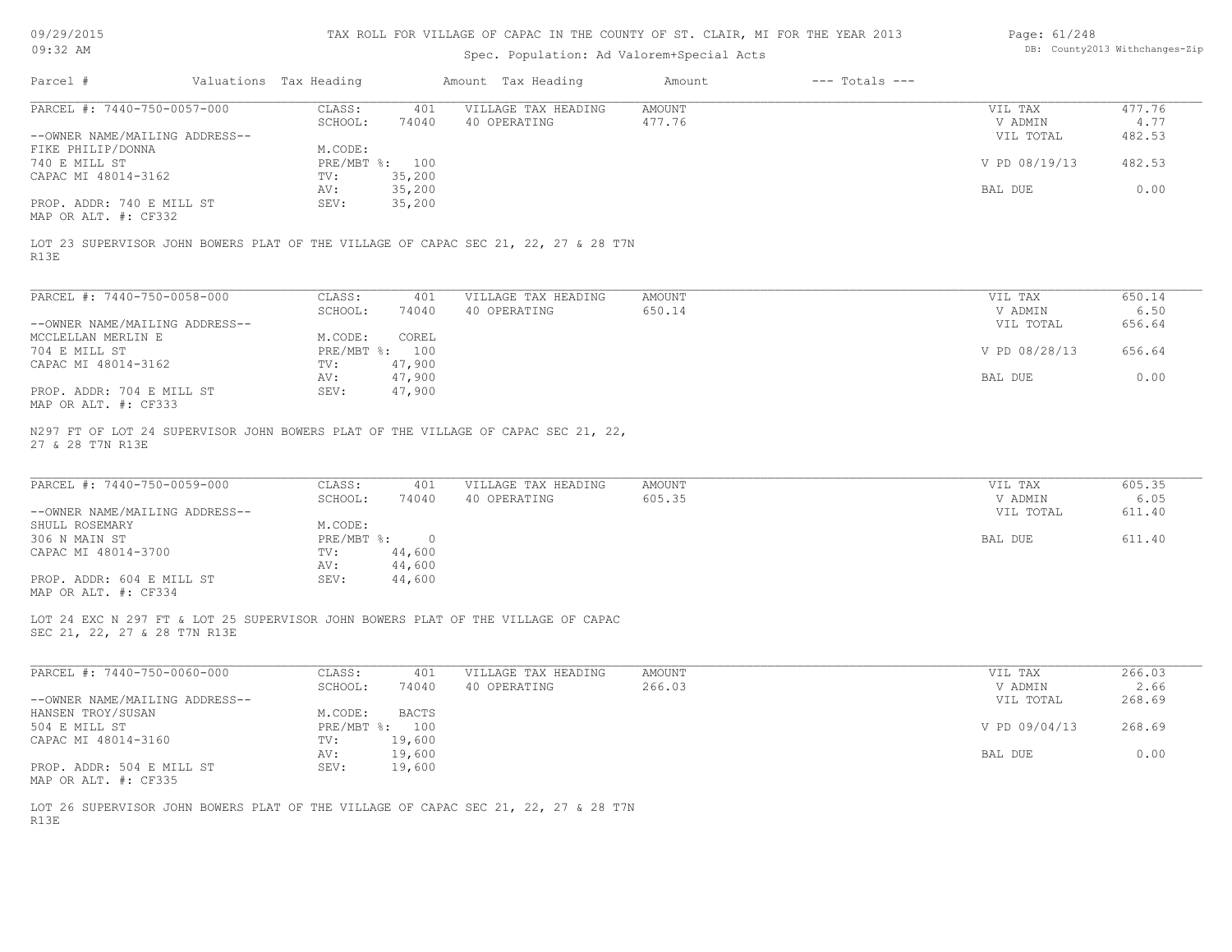| 09/29/2015 |  |
|------------|--|
|------------|--|

| Page: 61/248 |                                |
|--------------|--------------------------------|
|              | DB: County2013 Withchanges-Zip |

| 09/29/2015                                        |                        |                  | TAX ROLL FOR VILLAGE OF CAPAC IN THE COUNTY OF ST. CLAIR, MI FOR THE YEAR 2013     |                  |                                | Page: 61/248       |                |
|---------------------------------------------------|------------------------|------------------|------------------------------------------------------------------------------------|------------------|--------------------------------|--------------------|----------------|
| $09:32$ AM                                        |                        |                  | Spec. Population: Ad Valorem+Special Acts                                          |                  | DB: County2013 Withchanges-Zip |                    |                |
| Parcel #                                          | Valuations Tax Heading |                  | Amount Tax Heading                                                                 | Amount           | $---$ Totals $---$             |                    |                |
| PARCEL #: 7440-750-0057-000                       | CLASS:                 | 401              | VILLAGE TAX HEADING                                                                | AMOUNT           |                                | VIL TAX            | 477.76         |
|                                                   | SCHOOL:                | 74040            | 40 OPERATING                                                                       | 477.76           |                                | V ADMIN            | 4.77           |
| --OWNER NAME/MAILING ADDRESS--                    |                        |                  |                                                                                    |                  |                                | VIL TOTAL          | 482.53         |
| FIKE PHILIP/DONNA                                 | M.CODE:                |                  |                                                                                    |                  |                                |                    |                |
| 740 E MILL ST                                     |                        | PRE/MBT %: 100   |                                                                                    |                  |                                | V PD 08/19/13      | 482.53         |
| CAPAC MI 48014-3162                               | TV:                    | 35,200           |                                                                                    |                  |                                |                    |                |
| PROP. ADDR: 740 E MILL ST<br>MAP OR ALT. #: CF332 | AV:<br>SEV:            | 35,200<br>35,200 |                                                                                    |                  |                                | BAL DUE            | 0.00           |
| R13E                                              |                        |                  | LOT 23 SUPERVISOR JOHN BOWERS PLAT OF THE VILLAGE OF CAPAC SEC 21, 22, 27 & 28 T7N |                  |                                |                    |                |
| PARCEL #: 7440-750-0058-000                       | CLASS:                 | 401              | VILLAGE TAX HEADING                                                                | <b>AMOUNT</b>    |                                | VIL TAX            | 650.14         |
|                                                   | SCHOOL:                | 74040            | 40 OPERATING                                                                       | 650.14           |                                | V ADMIN            | 6.50           |
| --OWNER NAME/MAILING ADDRESS--                    |                        |                  |                                                                                    |                  |                                | VIL TOTAL          | 656.64         |
| MCCLELLAN MERLIN E                                | M.CODE:                | COREL            |                                                                                    |                  |                                |                    |                |
| 704 E MILL ST                                     |                        | PRE/MBT %: 100   |                                                                                    |                  |                                | V PD 08/28/13      | 656.64         |
| CAPAC MI 48014-3162                               | TV:                    | 47,900           |                                                                                    |                  |                                |                    |                |
|                                                   | AV:                    | 47,900           |                                                                                    |                  |                                | BAL DUE            | 0.00           |
| PROP. ADDR: 704 E MILL ST<br>MAP OR ALT. #: CF333 | SEV:                   | 47,900           |                                                                                    |                  |                                |                    |                |
| PARCEL #: 7440-750-0059-000                       | CLASS:<br>SCHOOL:      | 401<br>74040     | VILLAGE TAX HEADING<br>40 OPERATING                                                | AMOUNT<br>605.35 |                                | VIL TAX<br>V ADMIN | 605.35<br>6.05 |
| --OWNER NAME/MAILING ADDRESS--                    |                        |                  |                                                                                    |                  |                                | VIL TOTAL          | 611.40         |
| SHULL ROSEMARY                                    | M.CODE:                |                  |                                                                                    |                  |                                |                    |                |
| 306 N MAIN ST                                     | $PRE/MBT$ $\div$       | $\overline{0}$   |                                                                                    |                  |                                | BAL DUE            | 611.40         |
| CAPAC MI 48014-3700                               | TV:                    | 44,600           |                                                                                    |                  |                                |                    |                |
|                                                   | AV:                    | 44,600           |                                                                                    |                  |                                |                    |                |
| PROP. ADDR: 604 E MILL ST<br>MAP OR ALT. #: CF334 | SEV:                   | 44,600           |                                                                                    |                  |                                |                    |                |
| SEC 21, 22, 27 & 28 T7N R13E                      |                        |                  | LOT 24 EXC N 297 FT & LOT 25 SUPERVISOR JOHN BOWERS PLAT OF THE VILLAGE OF CAPAC   |                  |                                |                    |                |
| PARCEL #: 7440-750-0060-000                       | CLASS:<br>SCHOOL:      | 401<br>74040     | VILLAGE TAX HEADING<br>40 OPERATING                                                | AMOUNT<br>266.03 |                                | VIL TAX<br>V ADMIN | 266.03<br>2.66 |
| --OWNER NAME/MAILING ADDRESS--                    |                        |                  |                                                                                    |                  |                                | VIL TOTAL          | 268.69         |
| HANSEN TROY/SUSAN                                 | M.CODE:                | <b>BACTS</b>     |                                                                                    |                  |                                |                    |                |
| 504 E MILL ST                                     |                        | PRE/MBT %: 100   |                                                                                    |                  |                                | V PD 09/04/13      | 268.69         |
| CAPAC MI 48014-3160                               | TV:                    | 19,600           |                                                                                    |                  |                                |                    |                |
|                                                   | AV:                    | 19,600           |                                                                                    |                  |                                | BAL DUE            | 0.00           |
| PROP. ADDR: 504 E MILL ST<br>MAP OR ALT. #: CF335 | SEV:                   | 19,600           |                                                                                    |                  |                                |                    |                |
| R13E                                              |                        |                  | LOT 26 SUPERVISOR JOHN BOWERS PLAT OF THE VILLAGE OF CAPAC SEC 21, 22, 27 & 28 T7N |                  |                                |                    |                |
|                                                   |                        |                  |                                                                                    |                  |                                |                    |                |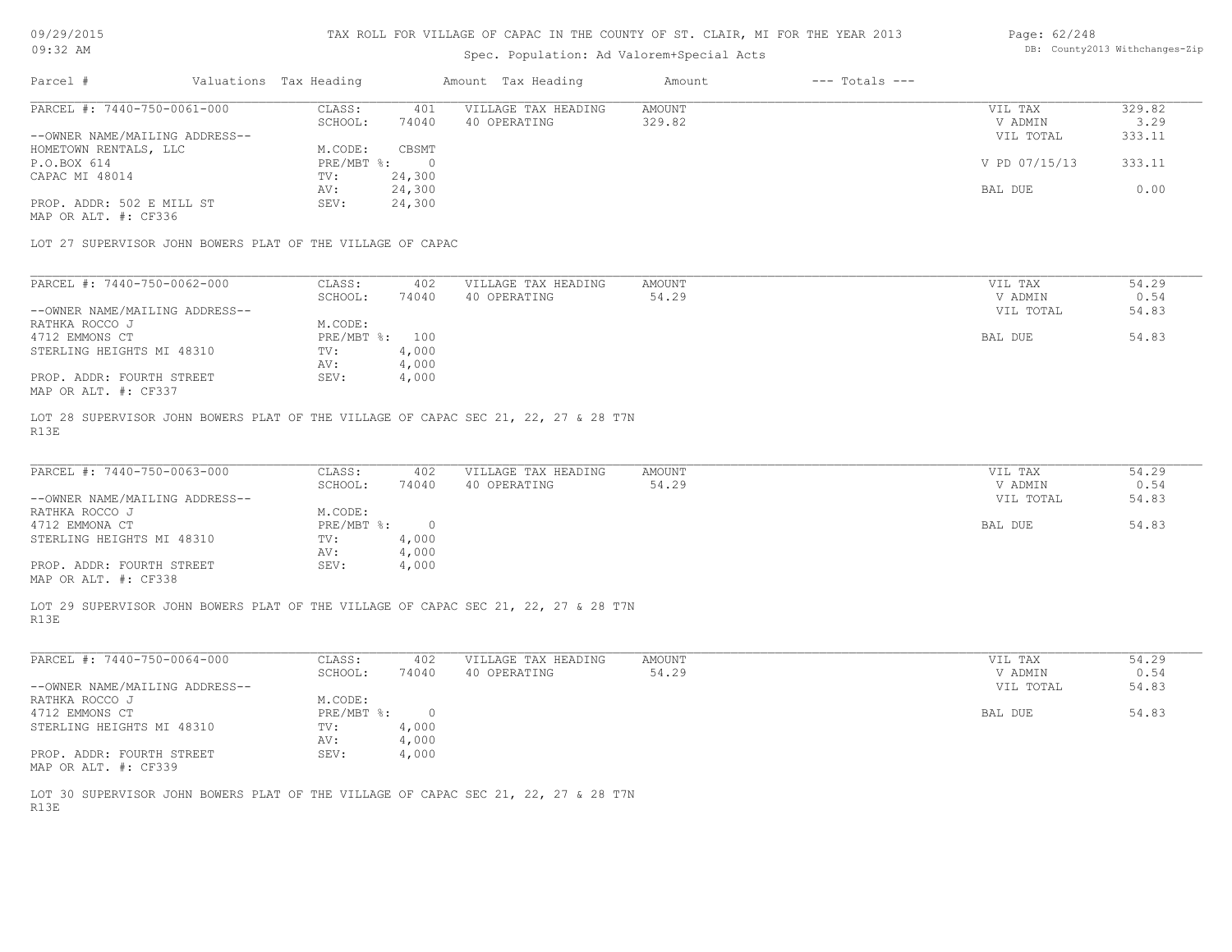# Page: 62/248

| 09/29/2015                                                                         | TAX ROLL FOR VILLAGE OF CAPAC IN THE COUNTY OF ST. CLAIR, MI FOR THE YEAR 2013 |                        |                |                                |               |                    | Page: $62/248$ |        |  |
|------------------------------------------------------------------------------------|--------------------------------------------------------------------------------|------------------------|----------------|--------------------------------|---------------|--------------------|----------------|--------|--|
| 09:32 AM                                                                           |                                                                                |                        |                | DB: County2013 Withchanges-Zip |               |                    |                |        |  |
| Parcel #                                                                           |                                                                                | Valuations Tax Heading |                | Amount Tax Heading             | Amount        | $---$ Totals $---$ |                |        |  |
| PARCEL #: 7440-750-0061-000                                                        |                                                                                | CLASS:                 | 401            | VILLAGE TAX HEADING            | <b>AMOUNT</b> |                    | VIL TAX        | 329.82 |  |
|                                                                                    |                                                                                | SCHOOL:                | 74040          | 40 OPERATING                   | 329.82        |                    | V ADMIN        | 3.29   |  |
| --OWNER NAME/MAILING ADDRESS--                                                     |                                                                                |                        |                |                                |               |                    | VIL TOTAL      | 333.11 |  |
| HOMETOWN RENTALS, LLC                                                              |                                                                                | M.CODE:                | CBSMT          |                                |               |                    |                |        |  |
| P.O.BOX 614                                                                        |                                                                                | PRE/MBT %:             | $\overline{0}$ |                                |               |                    | V PD 07/15/13  | 333.11 |  |
| CAPAC MI 48014                                                                     |                                                                                | TV:                    | 24,300         |                                |               |                    |                |        |  |
|                                                                                    |                                                                                | AV:                    | 24,300         |                                |               |                    | BAL DUE        | 0.00   |  |
| PROP. ADDR: 502 E MILL ST                                                          |                                                                                | SEV:                   | 24,300         |                                |               |                    |                |        |  |
| MAP OR ALT. #: CF336                                                               |                                                                                |                        |                |                                |               |                    |                |        |  |
|                                                                                    |                                                                                |                        |                |                                |               |                    |                |        |  |
| LOT 27 SUPERVISOR JOHN BOWERS PLAT OF THE VILLAGE OF CAPAC                         |                                                                                |                        |                |                                |               |                    |                |        |  |
|                                                                                    |                                                                                |                        |                |                                |               |                    |                |        |  |
| PARCEL #: 7440-750-0062-000                                                        |                                                                                | CLASS:                 | 402            | VILLAGE TAX HEADING            | <b>AMOUNT</b> |                    | VIL TAX        | 54.29  |  |
|                                                                                    |                                                                                | SCHOOL:                | 74040          | 40 OPERATING                   | 54.29         |                    | V ADMIN        | 0.54   |  |
| --OWNER NAME/MAILING ADDRESS--                                                     |                                                                                |                        |                |                                |               |                    | VIL TOTAL      |        |  |
|                                                                                    |                                                                                |                        |                |                                |               |                    |                | 54.83  |  |
| RATHKA ROCCO J                                                                     |                                                                                | M.CODE:<br>PRE/MBT %:  |                |                                |               |                    |                |        |  |
| 4712 EMMONS CT                                                                     |                                                                                |                        | 100            |                                |               |                    | <b>BAL DUE</b> | 54.83  |  |
| STERLING HEIGHTS MI 48310                                                          |                                                                                | TV:                    | 4,000          |                                |               |                    |                |        |  |
|                                                                                    |                                                                                | AV:                    | 4,000          |                                |               |                    |                |        |  |
| PROP. ADDR: FOURTH STREET                                                          |                                                                                | SEV:                   | 4,000          |                                |               |                    |                |        |  |
| MAP OR ALT. #: CF337                                                               |                                                                                |                        |                |                                |               |                    |                |        |  |
| LOT 28 SUPERVISOR JOHN BOWERS PLAT OF THE VILLAGE OF CAPAC SEC 21, 22, 27 & 28 T7N |                                                                                |                        |                |                                |               |                    |                |        |  |
| R13E                                                                               |                                                                                |                        |                |                                |               |                    |                |        |  |
|                                                                                    |                                                                                |                        |                |                                |               |                    |                |        |  |
| PARCEL #: 7440-750-0063-000                                                        |                                                                                | CLASS:                 | 402            | VILLAGE TAX HEADING            | <b>AMOUNT</b> |                    | VIL TAX        | 54.29  |  |
|                                                                                    |                                                                                | SCHOOL:                | 74040          | 40 OPERATING                   | 54.29         |                    | V ADMIN        | 0.54   |  |
| --OWNER NAME/MAILING ADDRESS--                                                     |                                                                                |                        |                |                                |               |                    | VIL TOTAL      | 54.83  |  |
| RATHKA ROCCO J                                                                     |                                                                                | M.CODE:                |                |                                |               |                    |                |        |  |
| 4712 EMMONA CT                                                                     |                                                                                | PRE/MBT %:             | $\overline{0}$ |                                |               |                    | BAL DUE        | 54.83  |  |
| STERLING HEIGHTS MI 48310                                                          |                                                                                | TV:                    | 4,000          |                                |               |                    |                |        |  |
|                                                                                    |                                                                                | AV:                    | 4,000          |                                |               |                    |                |        |  |
| PROP. ADDR: FOURTH STREET                                                          |                                                                                | SEV:                   | 4,000          |                                |               |                    |                |        |  |
|                                                                                    |                                                                                |                        |                |                                |               |                    |                |        |  |

MAP OR ALT. #: CF338

R13E LOT 29 SUPERVISOR JOHN BOWERS PLAT OF THE VILLAGE OF CAPAC SEC 21, 22, 27 & 28 T7N

| PARCEL #: 7440-750-0064-000    | CLASS:     | 402      | VILLAGE TAX HEADING | AMOUNT | VIL TAX   | 54.29 |
|--------------------------------|------------|----------|---------------------|--------|-----------|-------|
|                                | SCHOOL:    | 74040    | 40 OPERATING        | 54.29  | V ADMIN   | 0.54  |
| --OWNER NAME/MAILING ADDRESS-- |            |          |                     |        | VIL TOTAL | 54.83 |
| RATHKA ROCCO J                 | M.CODE:    |          |                     |        |           |       |
| 4712 EMMONS CT                 | PRE/MBT %: | $\Omega$ |                     |        | BAL DUE   | 54.83 |
| STERLING HEIGHTS MI 48310      | TV:        | 4,000    |                     |        |           |       |
|                                | AV:        | 4,000    |                     |        |           |       |
| PROP. ADDR: FOURTH STREET      | SEV:       | 4,000    |                     |        |           |       |
| MAP OR ALT. #: CF339           |            |          |                     |        |           |       |

R13E LOT 30 SUPERVISOR JOHN BOWERS PLAT OF THE VILLAGE OF CAPAC SEC 21, 22, 27 & 28 T7N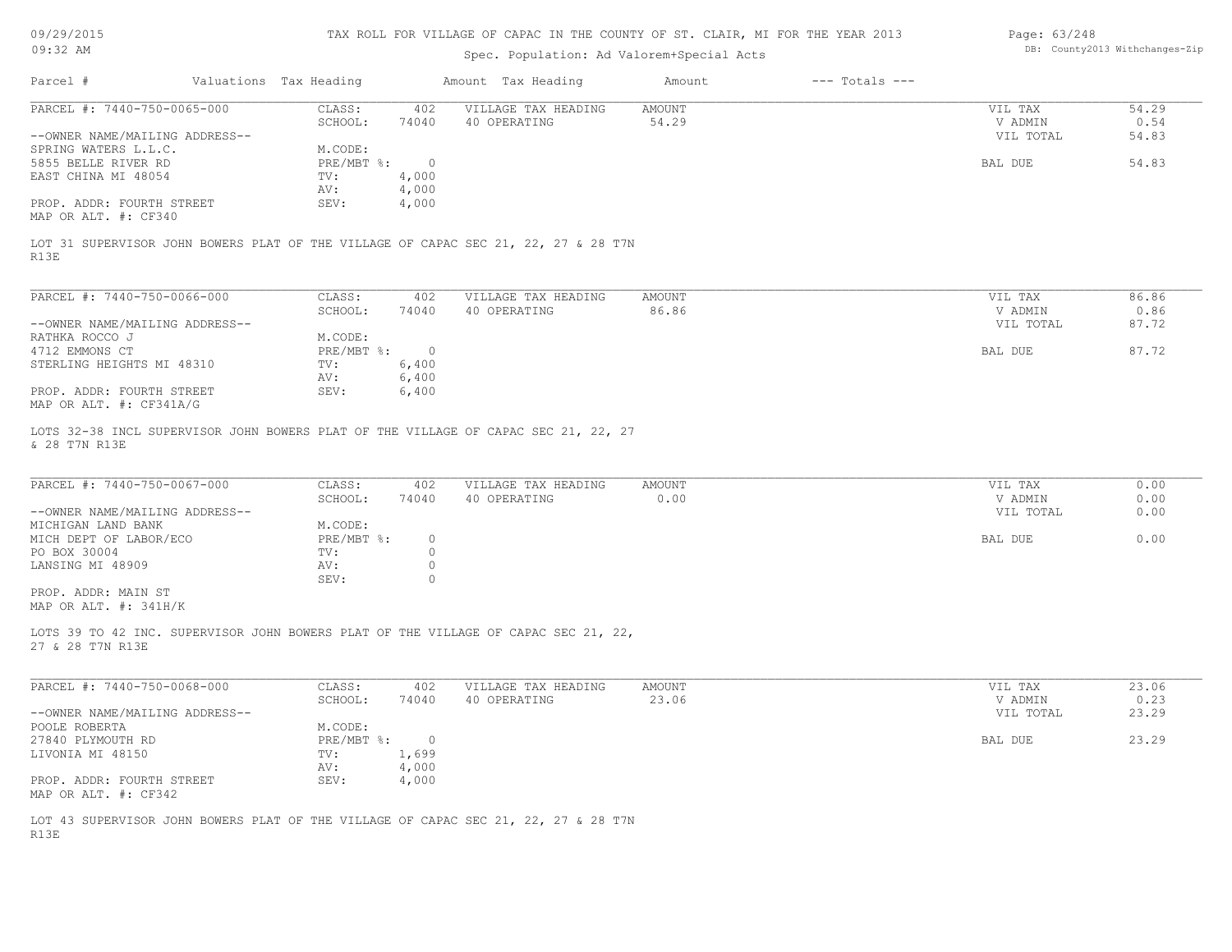| 09/29/2015 |  |
|------------|--|
|------------|--|

# AGE OF CAPAC IN THE COUNTY OF ST. CLAIR, MI FOR THE YEAR 2013

| Page: 63/248 |                               |
|--------------|-------------------------------|
|              | DB: County2013 Withchanges-Zi |

| 09/29/2015                                                    |                        |                      | TAX ROLL FOR VILLAGE OF CAPAC IN THE COUNTY OF ST. CLAIR, MI FOR THE YEAR 2013     |                |                    | Page: $63/248$                  |                                |
|---------------------------------------------------------------|------------------------|----------------------|------------------------------------------------------------------------------------|----------------|--------------------|---------------------------------|--------------------------------|
| $09:32$ AM                                                    |                        |                      | Spec. Population: Ad Valorem+Special Acts                                          |                |                    |                                 | DB: County2013 Withchanges-Zip |
|                                                               |                        |                      |                                                                                    |                |                    |                                 |                                |
| Parcel #                                                      | Valuations Tax Heading |                      | Amount Tax Heading                                                                 | Amount         | $---$ Totals $---$ |                                 |                                |
| PARCEL #: 7440-750-0065-000                                   | CLASS:                 | 402                  | VILLAGE TAX HEADING                                                                | AMOUNT         |                    | VIL TAX                         | 54.29                          |
|                                                               | SCHOOL:                | 74040                | 40 OPERATING                                                                       | 54.29          |                    | V ADMIN                         | 0.54                           |
| --OWNER NAME/MAILING ADDRESS--                                |                        |                      |                                                                                    |                |                    | VIL TOTAL                       | 54.83                          |
| SPRING WATERS L.L.C.                                          | M.CODE:                |                      |                                                                                    |                |                    |                                 |                                |
| 5855 BELLE RIVER RD                                           | PRE/MBT %:             | $\overline{0}$       |                                                                                    |                |                    | BAL DUE                         | 54.83                          |
| EAST CHINA MI 48054                                           | TV:                    | 4,000                |                                                                                    |                |                    |                                 |                                |
|                                                               | AV:                    | 4,000                |                                                                                    |                |                    |                                 |                                |
| PROP. ADDR: FOURTH STREET<br>MAP OR ALT. #: CF340             | SEV:                   | 4,000                |                                                                                    |                |                    |                                 |                                |
| R13E                                                          |                        |                      | LOT 31 SUPERVISOR JOHN BOWERS PLAT OF THE VILLAGE OF CAPAC SEC 21, 22, 27 & 28 T7N |                |                    |                                 |                                |
| PARCEL #: 7440-750-0066-000                                   | CLASS:                 | 402                  | VILLAGE TAX HEADING                                                                | AMOUNT         |                    | VIL TAX                         | 86.86                          |
|                                                               | SCHOOL:                | 74040                | 40 OPERATING                                                                       | 86.86          |                    | V ADMIN                         | 0.86                           |
| --OWNER NAME/MAILING ADDRESS--                                |                        |                      |                                                                                    |                |                    | VIL TOTAL                       | 87.72                          |
| RATHKA ROCCO J                                                | M.CODE:                |                      |                                                                                    |                |                    |                                 |                                |
| 4712 EMMONS CT                                                | $PRE/MBT$ %:           | $\overline{0}$       |                                                                                    |                |                    | <b>BAL DUE</b>                  | 87.72                          |
| STERLING HEIGHTS MI 48310                                     | TV:                    | 6,400                |                                                                                    |                |                    |                                 |                                |
|                                                               | AV:                    | 6,400                |                                                                                    |                |                    |                                 |                                |
| PROP. ADDR: FOURTH STREET<br>MAP OR ALT. #: CF341A/G          | SEV:                   | 6,400                |                                                                                    |                |                    |                                 |                                |
| PARCEL #: 7440-750-0067-000<br>--OWNER NAME/MAILING ADDRESS-- | CLASS:<br>SCHOOL:      | 402<br>74040         | VILLAGE TAX HEADING<br>40 OPERATING                                                | AMOUNT<br>0.00 |                    | VIL TAX<br>V ADMIN<br>VIL TOTAL | 0.00<br>0.00<br>0.00           |
| MICHIGAN LAND BANK                                            | M.CODE:                |                      |                                                                                    |                |                    |                                 |                                |
| MICH DEPT OF LABOR/ECO                                        | PRE/MBT %:             | $\circ$              |                                                                                    |                |                    | BAL DUE                         | 0.00                           |
| PO BOX 30004                                                  | TV:                    | $\circ$              |                                                                                    |                |                    |                                 |                                |
| LANSING MI 48909                                              | AV:<br>SEV:            | $\circ$<br>$\bigcap$ |                                                                                    |                |                    |                                 |                                |
| PROP. ADDR: MAIN ST<br>MAP OR ALT. #: 341H/K                  |                        |                      |                                                                                    |                |                    |                                 |                                |
| 27 & 28 T7N R13E                                              |                        |                      | LOTS 39 TO 42 INC. SUPERVISOR JOHN BOWERS PLAT OF THE VILLAGE OF CAPAC SEC 21, 22, |                |                    |                                 |                                |
| PARCEL #: 7440-750-0068-000                                   | CLASS:                 | 402                  | VILLAGE TAX HEADING                                                                | AMOUNT         |                    | VIL TAX                         | 23.06                          |
|                                                               | SCHOOL:                | 74040                | 40 OPERATING                                                                       | 23.06          |                    | V ADMIN                         | 0.23                           |
| --OWNER NAME/MAILING ADDRESS--                                |                        |                      |                                                                                    |                |                    | VIL TOTAL                       | 23.29                          |
| POOLE ROBERTA                                                 | M.CODE:                |                      |                                                                                    |                |                    |                                 |                                |
| 27840 PLYMOUTH RD                                             | $PRE/MBT$ $\div$       | $\overline{0}$       |                                                                                    |                |                    | BAL DUE                         | 23.29                          |
| LIVONIA MI 48150                                              | TV:                    | 1,699                |                                                                                    |                |                    |                                 |                                |
|                                                               | AV:                    | 4,000                |                                                                                    |                |                    |                                 |                                |
| PROP. ADDR: FOURTH STREET<br>MAP OR ALT. #: CF342             | SEV:                   | 4,000                |                                                                                    |                |                    |                                 |                                |
|                                                               |                        |                      |                                                                                    |                |                    |                                 |                                |
|                                                               |                        |                      | LOT 43 SUPERVISOR JOHN BOWERS PLAT OF THE VILLAGE OF CAPAC SEC 21, 22, 27 & 28 T7N |                |                    |                                 |                                |
| R13E                                                          |                        |                      |                                                                                    |                |                    |                                 |                                |
|                                                               |                        |                      |                                                                                    |                |                    |                                 |                                |
|                                                               |                        |                      |                                                                                    |                |                    |                                 |                                |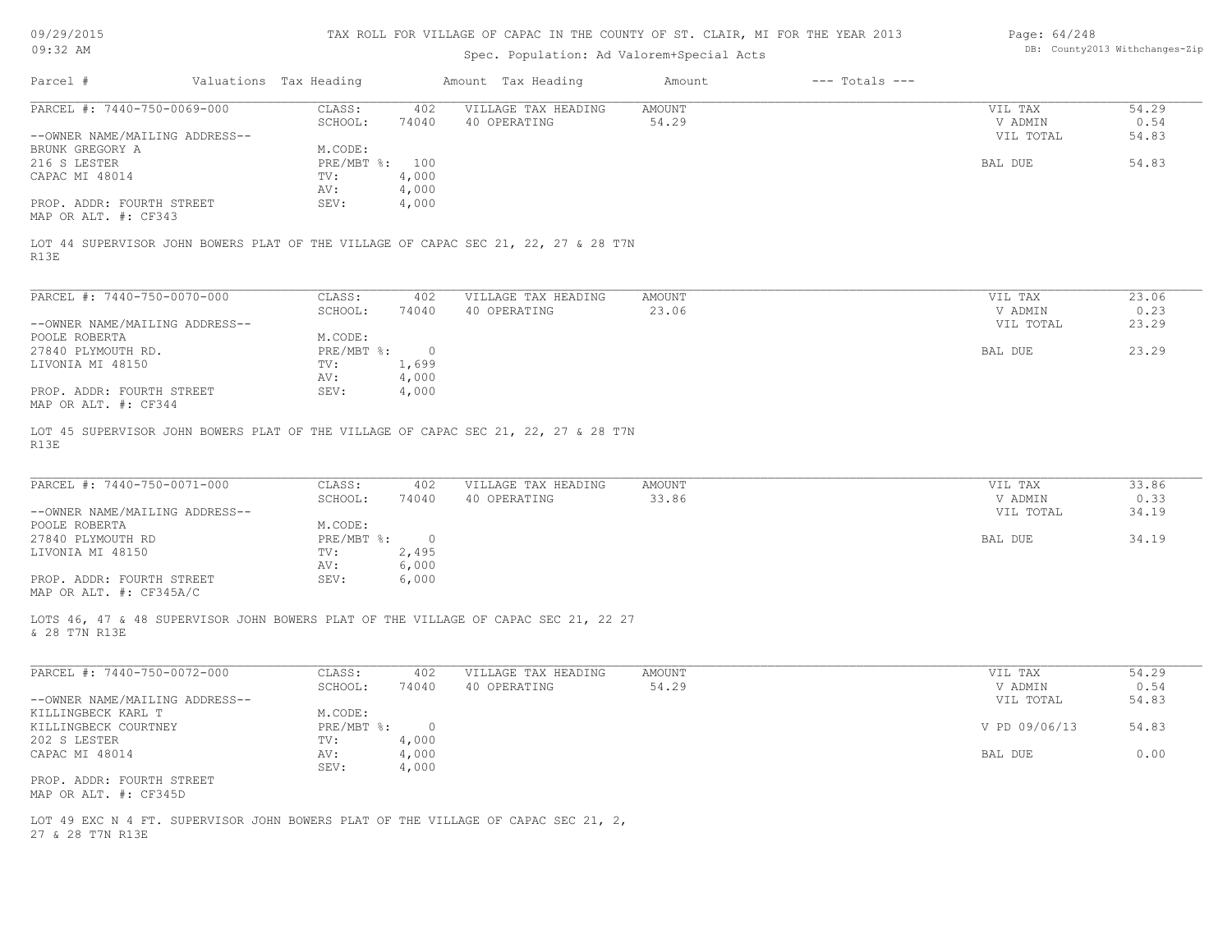| 09/29/2015 |  |
|------------|--|
|------------|--|

| Page: 64/248 |                               |
|--------------|-------------------------------|
|              | DB: County2013 Withchanges-Zi |

| 09:32 AM                                                                                              |                                              | Spec. Population: Ad Valorem+Special Acts | DB: County2013 Withchanges-Zip |                    |                    |               |
|-------------------------------------------------------------------------------------------------------|----------------------------------------------|-------------------------------------------|--------------------------------|--------------------|--------------------|---------------|
| Parcel #                                                                                              | Valuations Tax Heading                       | Amount Tax Heading                        | Amount                         | $---$ Totals $---$ |                    |               |
| PARCEL #: 7440-750-0069-000                                                                           | CLASS:<br>402                                | VILLAGE TAX HEADING                       | <b>AMOUNT</b>                  |                    | VIL TAX            | 54.29         |
|                                                                                                       | SCHOOL:<br>74040                             | 40 OPERATING                              | 54.29                          |                    | V ADMIN            | 0.54          |
| --OWNER NAME/MAILING ADDRESS--                                                                        |                                              |                                           |                                |                    | VIL TOTAL          | 54.83         |
| BRUNK GREGORY A                                                                                       | M.CODE:                                      |                                           |                                |                    |                    |               |
| 216 S LESTER                                                                                          | PRE/MBT %: 100                               |                                           |                                |                    | BAL DUE            | 54.83         |
| CAPAC MI 48014                                                                                        | 4,000<br>TV:                                 |                                           |                                |                    |                    |               |
|                                                                                                       | AV:<br>4,000                                 |                                           |                                |                    |                    |               |
| PROP. ADDR: FOURTH STREET<br>MAP OR ALT. #: CF343                                                     | SEV:<br>4,000                                |                                           |                                |                    |                    |               |
| LOT 44 SUPERVISOR JOHN BOWERS PLAT OF THE VILLAGE OF CAPAC SEC 21, 22, 27 & 28 T7N<br>R13E            |                                              |                                           |                                |                    |                    |               |
| PARCEL #: 7440-750-0070-000                                                                           | CLASS:<br>402                                | VILLAGE TAX HEADING                       | <b>AMOUNT</b>                  |                    | VIL TAX            | 23.06         |
|                                                                                                       | SCHOOL:<br>74040                             | 40 OPERATING                              | 23.06                          |                    | V ADMIN            | 0.23          |
| --OWNER NAME/MAILING ADDRESS--                                                                        |                                              |                                           |                                |                    | VIL TOTAL          | 23.29         |
| POOLE ROBERTA                                                                                         | M.CODE:                                      |                                           |                                |                    |                    |               |
| 27840 PLYMOUTH RD.                                                                                    | PRE/MBT %:                                   | $\overline{0}$                            |                                |                    | BAL DUE            | 23.29         |
| LIVONIA MI 48150                                                                                      | TV:<br>1,699                                 |                                           |                                |                    |                    |               |
|                                                                                                       | 4,000<br>AV:                                 |                                           |                                |                    |                    |               |
| PROP. ADDR: FOURTH STREET<br>MAP OR ALT. #: CF344                                                     | SEV:<br>4,000                                |                                           |                                |                    |                    |               |
| R13E<br>PARCEL #: 7440-750-0071-000                                                                   | CLASS:<br>402                                | VILLAGE TAX HEADING                       | AMOUNT                         |                    | VIL TAX            | 33.86         |
|                                                                                                       | SCHOOL:<br>74040                             | 40 OPERATING                              | 33.86                          |                    | V ADMIN            | 0.33          |
| --OWNER NAME/MAILING ADDRESS--                                                                        |                                              |                                           |                                |                    | VIL TOTAL          | 34.19         |
| POOLE ROBERTA                                                                                         | M.CODE:                                      |                                           |                                |                    |                    |               |
| 27840 PLYMOUTH RD                                                                                     | PRE/MBT %: 0                                 |                                           |                                |                    | BAL DUE            | 34.19         |
| LIVONIA MI 48150                                                                                      | 2,495<br>TV:                                 |                                           |                                |                    |                    |               |
|                                                                                                       | 6,000<br>AV:                                 |                                           |                                |                    |                    |               |
| PROP. ADDR: FOURTH STREET                                                                             | SEV:<br>6,000                                |                                           |                                |                    |                    |               |
| MAP OR ALT. #: CF345A/C                                                                               |                                              |                                           |                                |                    |                    |               |
| LOTS 46, 47 & 48 SUPERVISOR JOHN BOWERS PLAT OF THE VILLAGE OF CAPAC SEC 21, 22 27<br>& 28 T7N R13E   |                                              |                                           |                                |                    |                    |               |
| PARCEL #: 7440-750-0072-000                                                                           | CLASS:<br>402<br>SCHOOL:<br>74040            | VILLAGE TAX HEADING<br>40 OPERATING       | <b>AMOUNT</b><br>54.29         |                    | VIL TAX<br>V ADMIN | 54.29<br>0.54 |
| --OWNER NAME/MAILING ADDRESS--                                                                        |                                              |                                           |                                |                    | VIL TOTAL          | 54.83         |
| KILLINGBECK KARL T                                                                                    | M.CODE:                                      |                                           |                                |                    |                    |               |
| KILLINGBECK COURTNEY                                                                                  | $PRE/MBT$ $\div$<br>$\overline{\phantom{0}}$ |                                           |                                |                    | V PD 09/06/13      | 54.83         |
|                                                                                                       | 4,000<br>TV:                                 |                                           |                                |                    |                    |               |
| 202 S LESTER<br>CAPAC MI 48014                                                                        | 4,000<br>AV:                                 |                                           |                                |                    | BAL DUE            | 0.00          |
|                                                                                                       | 4,000<br>SEV:                                |                                           |                                |                    |                    |               |
| PROP. ADDR: FOURTH STREET                                                                             |                                              |                                           |                                |                    |                    |               |
| MAP OR ALT. #: CF345D                                                                                 |                                              |                                           |                                |                    |                    |               |
|                                                                                                       |                                              |                                           |                                |                    |                    |               |
| LOT 49 EXC N 4 FT. SUPERVISOR JOHN BOWERS PLAT OF THE VILLAGE OF CAPAC SEC 21, 2,<br>27 & 28 T7N R13E |                                              |                                           |                                |                    |                    |               |
|                                                                                                       |                                              |                                           |                                |                    |                    |               |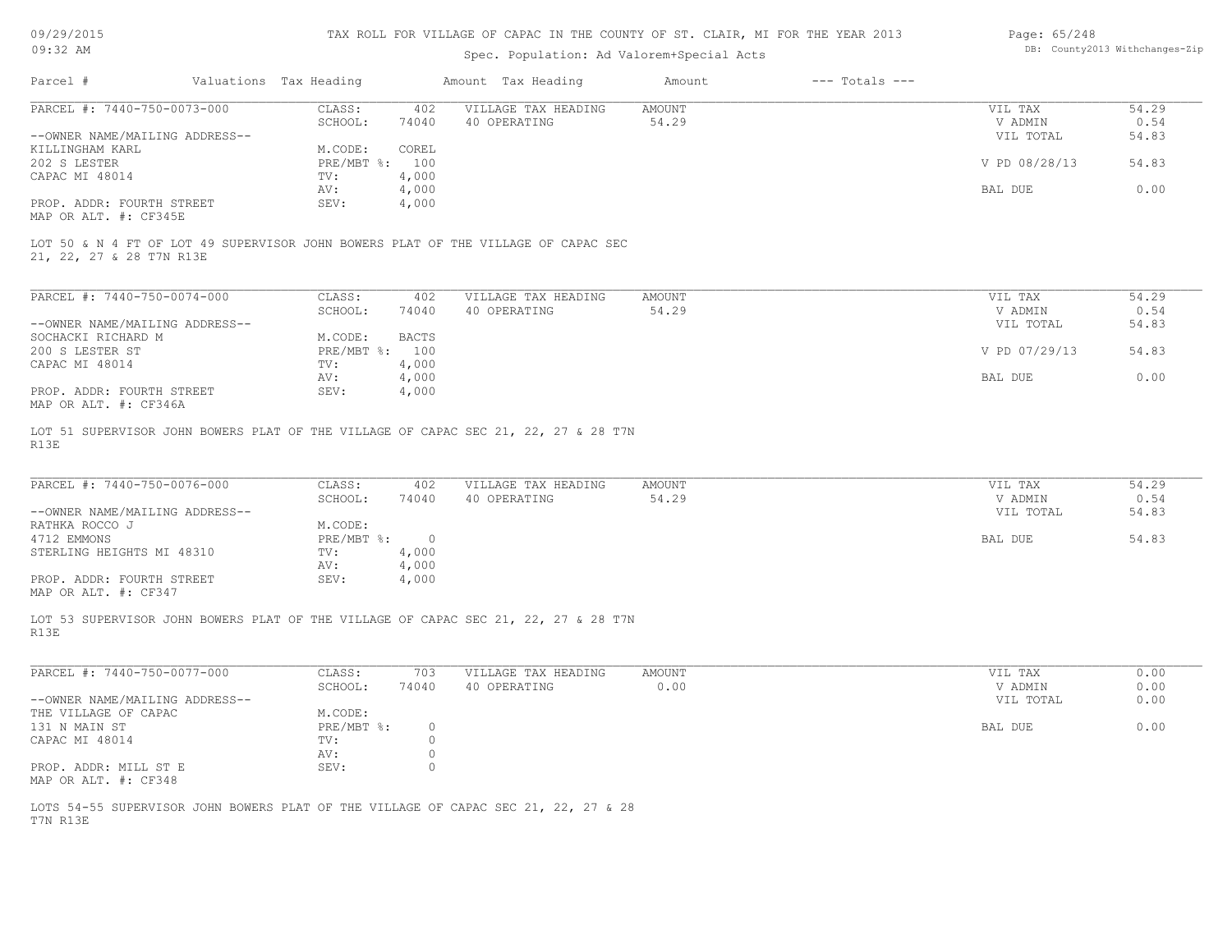09/29/2015

# TAX ROLL FOR VILLAGE OF CAPAC IN THE COUNTY OF ST. CLAIR, MI FOR THE YEAR 2013

| Page: 65/248 |                                |
|--------------|--------------------------------|
|              | DB: County2013 Withchanges-Zip |

| U <i>JI 4 JI 4</i> U 1 J                           |                        |                | TAY UNTIL LOU ATTINGE AL CULUC IN THE CANNIT AL 91' CINTU' MI LOU THE TEW YATA     |               |                    | raye. 0J/240  |       |
|----------------------------------------------------|------------------------|----------------|------------------------------------------------------------------------------------|---------------|--------------------|---------------|-------|
| 09:32 AM                                           |                        |                | DB: County2013 Withchanges-Zip                                                     |               |                    |               |       |
| Parcel #                                           | Valuations Tax Heading |                | Amount Tax Heading                                                                 | Amount        | $---$ Totals $---$ |               |       |
| PARCEL #: 7440-750-0073-000                        | CLASS:                 | 402            | VILLAGE TAX HEADING                                                                | <b>AMOUNT</b> |                    | VIL TAX       | 54.29 |
|                                                    | SCHOOL:                | 74040          | 40 OPERATING                                                                       | 54.29         |                    | V ADMIN       | 0.54  |
| --OWNER NAME/MAILING ADDRESS--                     |                        |                |                                                                                    |               |                    | VIL TOTAL     | 54.83 |
| KILLINGHAM KARL                                    | M.CODE:                | COREL          |                                                                                    |               |                    |               |       |
| 202 S LESTER                                       | PRE/MBT %: 100         |                |                                                                                    |               |                    | V PD 08/28/13 | 54.83 |
| CAPAC MI 48014                                     | TV:                    | 4,000          |                                                                                    |               |                    |               |       |
|                                                    | AV:                    | 4,000          |                                                                                    |               |                    | BAL DUE       | 0.00  |
| PROP. ADDR: FOURTH STREET<br>MAP OR ALT. #: CF345E | SEV:                   | 4,000          |                                                                                    |               |                    |               |       |
| 21, 22, 27 & 28 T7N R13E                           |                        |                | LOT 50 & N 4 FT OF LOT 49 SUPERVISOR JOHN BOWERS PLAT OF THE VILLAGE OF CAPAC SEC  |               |                    |               |       |
|                                                    |                        |                |                                                                                    |               |                    |               |       |
| PARCEL #: 7440-750-0074-000                        | CLASS:                 | 402            | VILLAGE TAX HEADING                                                                | AMOUNT        |                    | VIL TAX       | 54.29 |
|                                                    | SCHOOL:                | 74040          | 40 OPERATING                                                                       | 54.29         |                    | V ADMIN       | 0.54  |
| --OWNER NAME/MAILING ADDRESS--                     |                        |                |                                                                                    |               |                    | VIL TOTAL     | 54.83 |
| SOCHACKI RICHARD M                                 | M.CODE:                | <b>BACTS</b>   |                                                                                    |               |                    |               |       |
| 200 S LESTER ST                                    | PRE/MBT %: 100         |                |                                                                                    |               |                    | V PD 07/29/13 | 54.83 |
| CAPAC MI 48014                                     | TV:                    | 4,000          |                                                                                    |               |                    |               |       |
|                                                    | AV:                    | 4,000          |                                                                                    |               |                    | BAL DUE       | 0.00  |
| PROP. ADDR: FOURTH STREET<br>MAP OR ALT. #: CF346A | SEV:                   | 4,000          |                                                                                    |               |                    |               |       |
| R13E                                               |                        |                | LOT 51 SUPERVISOR JOHN BOWERS PLAT OF THE VILLAGE OF CAPAC SEC 21, 22, 27 & 28 T7N |               |                    |               |       |
| PARCEL #: 7440-750-0076-000                        | CLASS:                 | 402            | VILLAGE TAX HEADING                                                                | <b>AMOUNT</b> |                    | VIL TAX       | 54.29 |
|                                                    | SCHOOL:                | 74040          | 40 OPERATING                                                                       | 54.29         |                    | V ADMIN       | 0.54  |
| --OWNER NAME/MAILING ADDRESS--                     |                        |                |                                                                                    |               |                    | VIL TOTAL     | 54.83 |
| RATHKA ROCCO J                                     | M.CODE:                |                |                                                                                    |               |                    |               |       |
| 4712 EMMONS                                        | $PRE/MBT$ $\div$       | $\overline{0}$ |                                                                                    |               |                    | BAL DUE       | 54.83 |
| STERLING HEIGHTS MI 48310                          | TV:                    | 4,000          |                                                                                    |               |                    |               |       |
|                                                    | AV:                    | 4,000          |                                                                                    |               |                    |               |       |
| PROP. ADDR: FOURTH STREET<br>MAP OR ALT. #: CF347  | SEV:                   | 4,000          |                                                                                    |               |                    |               |       |
| R13E                                               |                        |                | LOT 53 SUPERVISOR JOHN BOWERS PLAT OF THE VILLAGE OF CAPAC SEC 21, 22, 27 & 28 T7N |               |                    |               |       |
| PARCEL #: 7440-750-0077-000                        | CLASS:                 | 703            | VILLAGE TAX HEADING                                                                | <b>AMOUNT</b> |                    | VIL TAX       | 0.00  |
|                                                    | SCHOOL:                | 74040          | 40 OPERATING                                                                       | 0.00          |                    | V ADMIN       | 0.00  |
| --OWNER NAME/MAILING ADDRESS--                     |                        |                |                                                                                    |               |                    | VIL TOTAL     | 0.00  |
| THE VILLAGE OF CAPAC                               | M.CODE:                |                |                                                                                    |               |                    |               |       |
| 131 N MAIN ST                                      | PRE/MBT %:             | $\circ$        |                                                                                    |               |                    | BAL DUE       | 0.00  |
|                                                    |                        |                |                                                                                    |               |                    |               |       |

MAP OR ALT. #: CF348 PROP. ADDR: MILL ST E SEV: 0

T7N R13E LOTS 54-55 SUPERVISOR JOHN BOWERS PLAT OF THE VILLAGE OF CAPAC SEC 21, 22, 27 & 28

 AV: 0 CAPAC MI 48014  $TV:$  0  $AV:$  0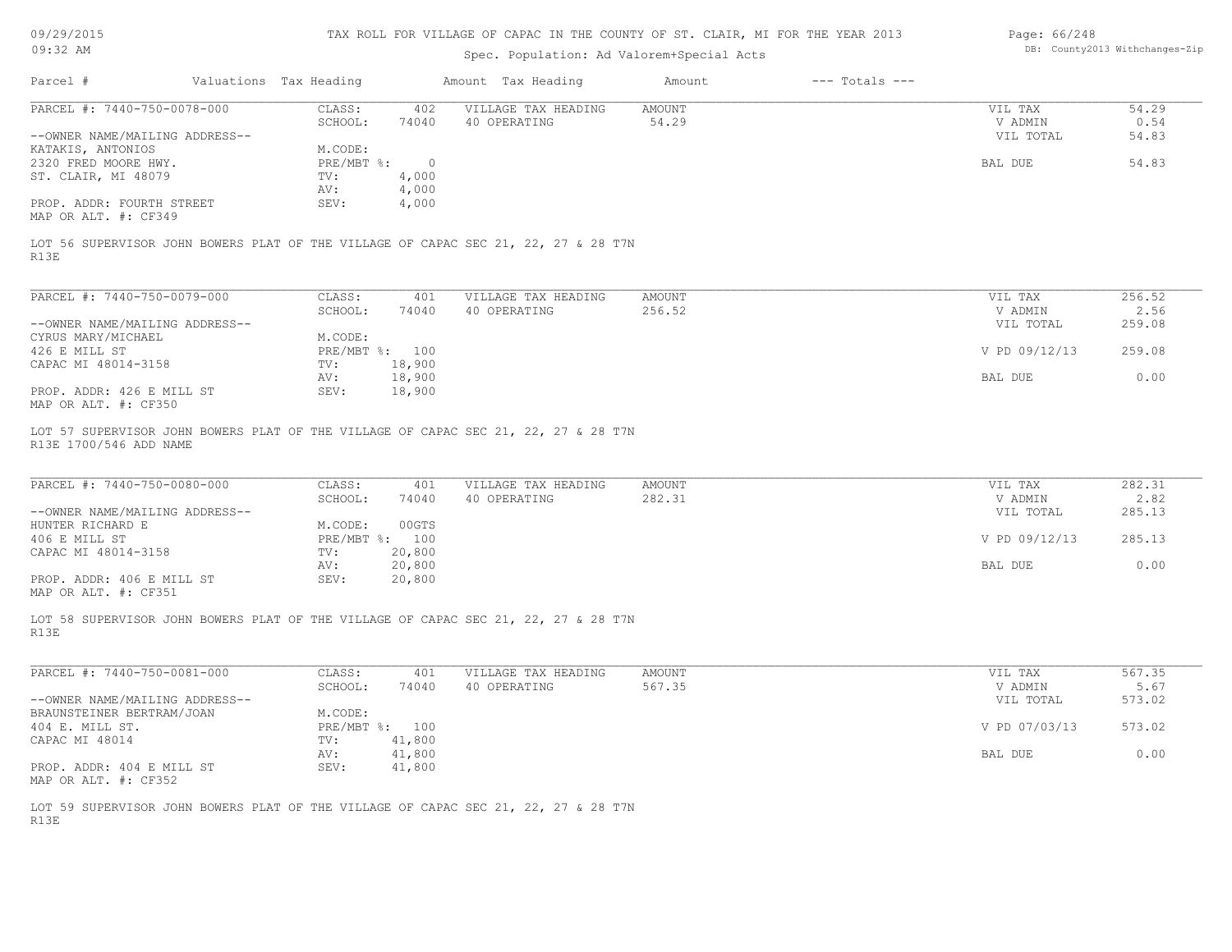| DB: County2013 Withchanges-Zip<br>Spec. Population: Ad Valorem+Special Acts<br>Parcel #<br>Valuations Tax Heading<br>Amount Tax Heading<br>$---$ Totals $---$<br>Amount<br>PARCEL #: 7440-750-0078-000<br>CLASS:<br>402<br>VILLAGE TAX HEADING<br>AMOUNT<br>VIL TAX<br>54.29<br>SCHOOL:<br>74040<br>40 OPERATING<br>54.29<br>V ADMIN<br>0.54<br>--OWNER NAME/MAILING ADDRESS--<br>VIL TOTAL<br>54.83<br>KATAKIS, ANTONIOS<br>M.CODE:<br>54.83<br>2320 FRED MOORE HWY.<br>$PRE/MBT$ %:<br>BAL DUE<br>$\overline{0}$<br>ST. CLAIR, MI 48079<br>4,000<br>TV:<br>4,000<br>AV:<br>PROP. ADDR: FOURTH STREET<br>SEV:<br>4,000<br>MAP OR ALT. #: CF349<br>LOT 56 SUPERVISOR JOHN BOWERS PLAT OF THE VILLAGE OF CAPAC SEC 21, 22, 27 & 28 T7N<br>R13E<br>PARCEL #: 7440-750-0079-000<br>CLASS:<br>AMOUNT<br>256.52<br>401<br>VILLAGE TAX HEADING<br>VIL TAX<br>40 OPERATING<br>256.52<br>2.56<br>SCHOOL:<br>74040<br>V ADMIN<br>--OWNER NAME/MAILING ADDRESS--<br>VIL TOTAL<br>259.08<br>M.CODE:<br>CYRUS MARY/MICHAEL<br>259.08<br>426 E MILL ST<br>PRE/MBT %: 100<br>V PD 09/12/13<br>18,900<br>CAPAC MI 48014-3158<br>TV:<br>18,900<br>0.00<br>AV:<br>BAL DUE<br>PROP. ADDR: 426 E MILL ST<br>SEV:<br>18,900<br>MAP OR ALT. #: CF350<br>LOT 57 SUPERVISOR JOHN BOWERS PLAT OF THE VILLAGE OF CAPAC SEC 21, 22, 27 & 28 T7N<br>R13E 1700/546 ADD NAME<br>PARCEL #: 7440-750-0080-000<br>CLASS:<br>VILLAGE TAX HEADING<br><b>AMOUNT</b><br>282.31<br>401<br>VIL TAX<br>2.82<br>SCHOOL:<br>74040<br>40 OPERATING<br>282.31<br>V ADMIN<br>--OWNER NAME/MAILING ADDRESS--<br>285.13<br>VIL TOTAL<br>00GTS<br>HUNTER RICHARD E<br>M.CODE:<br>406 E MILL ST<br>PRE/MBT %: 100<br>V PD 09/12/13<br>285.13<br>CAPAC MI 48014-3158<br>20,800<br>TV:<br>0.00<br>20,800<br>AV:<br>BAL DUE<br>PROP. ADDR: 406 E MILL ST<br>SEV:<br>20,800<br>MAP OR ALT. #: CF351<br>LOT 58 SUPERVISOR JOHN BOWERS PLAT OF THE VILLAGE OF CAPAC SEC 21, 22, 27 & 28 T7N<br>R13E<br>PARCEL #: 7440-750-0081-000<br>567.35<br>CLASS:<br>401<br>VILLAGE TAX HEADING<br>AMOUNT<br>VIL TAX<br>567.35<br>5.67<br>SCHOOL:<br>40 OPERATING<br>V ADMIN<br>74040<br>573.02<br>--OWNER NAME/MAILING ADDRESS--<br>VIL TOTAL<br>BRAUNSTEINER BERTRAM/JOAN<br>M.CODE:<br>PRE/MBT %: 100<br>V PD 07/03/13<br>573.02<br>404 E. MILL ST.<br>CAPAC MI 48014<br>41,800<br>TV:<br>41,800<br>0.00<br>AV:<br>BAL DUE<br>41,800<br>PROP. ADDR: 404 E MILL ST<br>SEV:<br>MAP OR ALT. #: CF352<br>LOT 59 SUPERVISOR JOHN BOWERS PLAT OF THE VILLAGE OF CAPAC SEC 21, 22, 27 & 28 T7N<br>R13E | 09/29/2015 | TAX ROLL FOR VILLAGE OF CAPAC IN THE COUNTY OF ST. CLAIR, MI FOR THE YEAR 2013 | Page: 66/248 |  |  |  |
|-----------------------------------------------------------------------------------------------------------------------------------------------------------------------------------------------------------------------------------------------------------------------------------------------------------------------------------------------------------------------------------------------------------------------------------------------------------------------------------------------------------------------------------------------------------------------------------------------------------------------------------------------------------------------------------------------------------------------------------------------------------------------------------------------------------------------------------------------------------------------------------------------------------------------------------------------------------------------------------------------------------------------------------------------------------------------------------------------------------------------------------------------------------------------------------------------------------------------------------------------------------------------------------------------------------------------------------------------------------------------------------------------------------------------------------------------------------------------------------------------------------------------------------------------------------------------------------------------------------------------------------------------------------------------------------------------------------------------------------------------------------------------------------------------------------------------------------------------------------------------------------------------------------------------------------------------------------------------------------------------------------------------------------------------------------------------------------------------------------------------------------------------------------------------------------------------------------------------------------------------------------------------------------------------------------------------------------------------------------------------------------------------------------------------------------------------------------------------------------------------------------------------------------|------------|--------------------------------------------------------------------------------|--------------|--|--|--|
|                                                                                                                                                                                                                                                                                                                                                                                                                                                                                                                                                                                                                                                                                                                                                                                                                                                                                                                                                                                                                                                                                                                                                                                                                                                                                                                                                                                                                                                                                                                                                                                                                                                                                                                                                                                                                                                                                                                                                                                                                                                                                                                                                                                                                                                                                                                                                                                                                                                                                                                                   | $09:32$ AM |                                                                                |              |  |  |  |
|                                                                                                                                                                                                                                                                                                                                                                                                                                                                                                                                                                                                                                                                                                                                                                                                                                                                                                                                                                                                                                                                                                                                                                                                                                                                                                                                                                                                                                                                                                                                                                                                                                                                                                                                                                                                                                                                                                                                                                                                                                                                                                                                                                                                                                                                                                                                                                                                                                                                                                                                   |            |                                                                                |              |  |  |  |
|                                                                                                                                                                                                                                                                                                                                                                                                                                                                                                                                                                                                                                                                                                                                                                                                                                                                                                                                                                                                                                                                                                                                                                                                                                                                                                                                                                                                                                                                                                                                                                                                                                                                                                                                                                                                                                                                                                                                                                                                                                                                                                                                                                                                                                                                                                                                                                                                                                                                                                                                   |            |                                                                                |              |  |  |  |
|                                                                                                                                                                                                                                                                                                                                                                                                                                                                                                                                                                                                                                                                                                                                                                                                                                                                                                                                                                                                                                                                                                                                                                                                                                                                                                                                                                                                                                                                                                                                                                                                                                                                                                                                                                                                                                                                                                                                                                                                                                                                                                                                                                                                                                                                                                                                                                                                                                                                                                                                   |            |                                                                                |              |  |  |  |
|                                                                                                                                                                                                                                                                                                                                                                                                                                                                                                                                                                                                                                                                                                                                                                                                                                                                                                                                                                                                                                                                                                                                                                                                                                                                                                                                                                                                                                                                                                                                                                                                                                                                                                                                                                                                                                                                                                                                                                                                                                                                                                                                                                                                                                                                                                                                                                                                                                                                                                                                   |            |                                                                                |              |  |  |  |
|                                                                                                                                                                                                                                                                                                                                                                                                                                                                                                                                                                                                                                                                                                                                                                                                                                                                                                                                                                                                                                                                                                                                                                                                                                                                                                                                                                                                                                                                                                                                                                                                                                                                                                                                                                                                                                                                                                                                                                                                                                                                                                                                                                                                                                                                                                                                                                                                                                                                                                                                   |            |                                                                                |              |  |  |  |
|                                                                                                                                                                                                                                                                                                                                                                                                                                                                                                                                                                                                                                                                                                                                                                                                                                                                                                                                                                                                                                                                                                                                                                                                                                                                                                                                                                                                                                                                                                                                                                                                                                                                                                                                                                                                                                                                                                                                                                                                                                                                                                                                                                                                                                                                                                                                                                                                                                                                                                                                   |            |                                                                                |              |  |  |  |
|                                                                                                                                                                                                                                                                                                                                                                                                                                                                                                                                                                                                                                                                                                                                                                                                                                                                                                                                                                                                                                                                                                                                                                                                                                                                                                                                                                                                                                                                                                                                                                                                                                                                                                                                                                                                                                                                                                                                                                                                                                                                                                                                                                                                                                                                                                                                                                                                                                                                                                                                   |            |                                                                                |              |  |  |  |
|                                                                                                                                                                                                                                                                                                                                                                                                                                                                                                                                                                                                                                                                                                                                                                                                                                                                                                                                                                                                                                                                                                                                                                                                                                                                                                                                                                                                                                                                                                                                                                                                                                                                                                                                                                                                                                                                                                                                                                                                                                                                                                                                                                                                                                                                                                                                                                                                                                                                                                                                   |            |                                                                                |              |  |  |  |
|                                                                                                                                                                                                                                                                                                                                                                                                                                                                                                                                                                                                                                                                                                                                                                                                                                                                                                                                                                                                                                                                                                                                                                                                                                                                                                                                                                                                                                                                                                                                                                                                                                                                                                                                                                                                                                                                                                                                                                                                                                                                                                                                                                                                                                                                                                                                                                                                                                                                                                                                   |            |                                                                                |              |  |  |  |
|                                                                                                                                                                                                                                                                                                                                                                                                                                                                                                                                                                                                                                                                                                                                                                                                                                                                                                                                                                                                                                                                                                                                                                                                                                                                                                                                                                                                                                                                                                                                                                                                                                                                                                                                                                                                                                                                                                                                                                                                                                                                                                                                                                                                                                                                                                                                                                                                                                                                                                                                   |            |                                                                                |              |  |  |  |
|                                                                                                                                                                                                                                                                                                                                                                                                                                                                                                                                                                                                                                                                                                                                                                                                                                                                                                                                                                                                                                                                                                                                                                                                                                                                                                                                                                                                                                                                                                                                                                                                                                                                                                                                                                                                                                                                                                                                                                                                                                                                                                                                                                                                                                                                                                                                                                                                                                                                                                                                   |            |                                                                                |              |  |  |  |
|                                                                                                                                                                                                                                                                                                                                                                                                                                                                                                                                                                                                                                                                                                                                                                                                                                                                                                                                                                                                                                                                                                                                                                                                                                                                                                                                                                                                                                                                                                                                                                                                                                                                                                                                                                                                                                                                                                                                                                                                                                                                                                                                                                                                                                                                                                                                                                                                                                                                                                                                   |            |                                                                                |              |  |  |  |
|                                                                                                                                                                                                                                                                                                                                                                                                                                                                                                                                                                                                                                                                                                                                                                                                                                                                                                                                                                                                                                                                                                                                                                                                                                                                                                                                                                                                                                                                                                                                                                                                                                                                                                                                                                                                                                                                                                                                                                                                                                                                                                                                                                                                                                                                                                                                                                                                                                                                                                                                   |            |                                                                                |              |  |  |  |
|                                                                                                                                                                                                                                                                                                                                                                                                                                                                                                                                                                                                                                                                                                                                                                                                                                                                                                                                                                                                                                                                                                                                                                                                                                                                                                                                                                                                                                                                                                                                                                                                                                                                                                                                                                                                                                                                                                                                                                                                                                                                                                                                                                                                                                                                                                                                                                                                                                                                                                                                   |            |                                                                                |              |  |  |  |
|                                                                                                                                                                                                                                                                                                                                                                                                                                                                                                                                                                                                                                                                                                                                                                                                                                                                                                                                                                                                                                                                                                                                                                                                                                                                                                                                                                                                                                                                                                                                                                                                                                                                                                                                                                                                                                                                                                                                                                                                                                                                                                                                                                                                                                                                                                                                                                                                                                                                                                                                   |            |                                                                                |              |  |  |  |
|                                                                                                                                                                                                                                                                                                                                                                                                                                                                                                                                                                                                                                                                                                                                                                                                                                                                                                                                                                                                                                                                                                                                                                                                                                                                                                                                                                                                                                                                                                                                                                                                                                                                                                                                                                                                                                                                                                                                                                                                                                                                                                                                                                                                                                                                                                                                                                                                                                                                                                                                   |            |                                                                                |              |  |  |  |
|                                                                                                                                                                                                                                                                                                                                                                                                                                                                                                                                                                                                                                                                                                                                                                                                                                                                                                                                                                                                                                                                                                                                                                                                                                                                                                                                                                                                                                                                                                                                                                                                                                                                                                                                                                                                                                                                                                                                                                                                                                                                                                                                                                                                                                                                                                                                                                                                                                                                                                                                   |            |                                                                                |              |  |  |  |
|                                                                                                                                                                                                                                                                                                                                                                                                                                                                                                                                                                                                                                                                                                                                                                                                                                                                                                                                                                                                                                                                                                                                                                                                                                                                                                                                                                                                                                                                                                                                                                                                                                                                                                                                                                                                                                                                                                                                                                                                                                                                                                                                                                                                                                                                                                                                                                                                                                                                                                                                   |            |                                                                                |              |  |  |  |
|                                                                                                                                                                                                                                                                                                                                                                                                                                                                                                                                                                                                                                                                                                                                                                                                                                                                                                                                                                                                                                                                                                                                                                                                                                                                                                                                                                                                                                                                                                                                                                                                                                                                                                                                                                                                                                                                                                                                                                                                                                                                                                                                                                                                                                                                                                                                                                                                                                                                                                                                   |            |                                                                                |              |  |  |  |
|                                                                                                                                                                                                                                                                                                                                                                                                                                                                                                                                                                                                                                                                                                                                                                                                                                                                                                                                                                                                                                                                                                                                                                                                                                                                                                                                                                                                                                                                                                                                                                                                                                                                                                                                                                                                                                                                                                                                                                                                                                                                                                                                                                                                                                                                                                                                                                                                                                                                                                                                   |            |                                                                                |              |  |  |  |
|                                                                                                                                                                                                                                                                                                                                                                                                                                                                                                                                                                                                                                                                                                                                                                                                                                                                                                                                                                                                                                                                                                                                                                                                                                                                                                                                                                                                                                                                                                                                                                                                                                                                                                                                                                                                                                                                                                                                                                                                                                                                                                                                                                                                                                                                                                                                                                                                                                                                                                                                   |            |                                                                                |              |  |  |  |
|                                                                                                                                                                                                                                                                                                                                                                                                                                                                                                                                                                                                                                                                                                                                                                                                                                                                                                                                                                                                                                                                                                                                                                                                                                                                                                                                                                                                                                                                                                                                                                                                                                                                                                                                                                                                                                                                                                                                                                                                                                                                                                                                                                                                                                                                                                                                                                                                                                                                                                                                   |            |                                                                                |              |  |  |  |
|                                                                                                                                                                                                                                                                                                                                                                                                                                                                                                                                                                                                                                                                                                                                                                                                                                                                                                                                                                                                                                                                                                                                                                                                                                                                                                                                                                                                                                                                                                                                                                                                                                                                                                                                                                                                                                                                                                                                                                                                                                                                                                                                                                                                                                                                                                                                                                                                                                                                                                                                   |            |                                                                                |              |  |  |  |
|                                                                                                                                                                                                                                                                                                                                                                                                                                                                                                                                                                                                                                                                                                                                                                                                                                                                                                                                                                                                                                                                                                                                                                                                                                                                                                                                                                                                                                                                                                                                                                                                                                                                                                                                                                                                                                                                                                                                                                                                                                                                                                                                                                                                                                                                                                                                                                                                                                                                                                                                   |            |                                                                                |              |  |  |  |
|                                                                                                                                                                                                                                                                                                                                                                                                                                                                                                                                                                                                                                                                                                                                                                                                                                                                                                                                                                                                                                                                                                                                                                                                                                                                                                                                                                                                                                                                                                                                                                                                                                                                                                                                                                                                                                                                                                                                                                                                                                                                                                                                                                                                                                                                                                                                                                                                                                                                                                                                   |            |                                                                                |              |  |  |  |
|                                                                                                                                                                                                                                                                                                                                                                                                                                                                                                                                                                                                                                                                                                                                                                                                                                                                                                                                                                                                                                                                                                                                                                                                                                                                                                                                                                                                                                                                                                                                                                                                                                                                                                                                                                                                                                                                                                                                                                                                                                                                                                                                                                                                                                                                                                                                                                                                                                                                                                                                   |            |                                                                                |              |  |  |  |
|                                                                                                                                                                                                                                                                                                                                                                                                                                                                                                                                                                                                                                                                                                                                                                                                                                                                                                                                                                                                                                                                                                                                                                                                                                                                                                                                                                                                                                                                                                                                                                                                                                                                                                                                                                                                                                                                                                                                                                                                                                                                                                                                                                                                                                                                                                                                                                                                                                                                                                                                   |            |                                                                                |              |  |  |  |
|                                                                                                                                                                                                                                                                                                                                                                                                                                                                                                                                                                                                                                                                                                                                                                                                                                                                                                                                                                                                                                                                                                                                                                                                                                                                                                                                                                                                                                                                                                                                                                                                                                                                                                                                                                                                                                                                                                                                                                                                                                                                                                                                                                                                                                                                                                                                                                                                                                                                                                                                   |            |                                                                                |              |  |  |  |
|                                                                                                                                                                                                                                                                                                                                                                                                                                                                                                                                                                                                                                                                                                                                                                                                                                                                                                                                                                                                                                                                                                                                                                                                                                                                                                                                                                                                                                                                                                                                                                                                                                                                                                                                                                                                                                                                                                                                                                                                                                                                                                                                                                                                                                                                                                                                                                                                                                                                                                                                   |            |                                                                                |              |  |  |  |
|                                                                                                                                                                                                                                                                                                                                                                                                                                                                                                                                                                                                                                                                                                                                                                                                                                                                                                                                                                                                                                                                                                                                                                                                                                                                                                                                                                                                                                                                                                                                                                                                                                                                                                                                                                                                                                                                                                                                                                                                                                                                                                                                                                                                                                                                                                                                                                                                                                                                                                                                   |            |                                                                                |              |  |  |  |
|                                                                                                                                                                                                                                                                                                                                                                                                                                                                                                                                                                                                                                                                                                                                                                                                                                                                                                                                                                                                                                                                                                                                                                                                                                                                                                                                                                                                                                                                                                                                                                                                                                                                                                                                                                                                                                                                                                                                                                                                                                                                                                                                                                                                                                                                                                                                                                                                                                                                                                                                   |            |                                                                                |              |  |  |  |
|                                                                                                                                                                                                                                                                                                                                                                                                                                                                                                                                                                                                                                                                                                                                                                                                                                                                                                                                                                                                                                                                                                                                                                                                                                                                                                                                                                                                                                                                                                                                                                                                                                                                                                                                                                                                                                                                                                                                                                                                                                                                                                                                                                                                                                                                                                                                                                                                                                                                                                                                   |            |                                                                                |              |  |  |  |
|                                                                                                                                                                                                                                                                                                                                                                                                                                                                                                                                                                                                                                                                                                                                                                                                                                                                                                                                                                                                                                                                                                                                                                                                                                                                                                                                                                                                                                                                                                                                                                                                                                                                                                                                                                                                                                                                                                                                                                                                                                                                                                                                                                                                                                                                                                                                                                                                                                                                                                                                   |            |                                                                                |              |  |  |  |
|                                                                                                                                                                                                                                                                                                                                                                                                                                                                                                                                                                                                                                                                                                                                                                                                                                                                                                                                                                                                                                                                                                                                                                                                                                                                                                                                                                                                                                                                                                                                                                                                                                                                                                                                                                                                                                                                                                                                                                                                                                                                                                                                                                                                                                                                                                                                                                                                                                                                                                                                   |            |                                                                                |              |  |  |  |
|                                                                                                                                                                                                                                                                                                                                                                                                                                                                                                                                                                                                                                                                                                                                                                                                                                                                                                                                                                                                                                                                                                                                                                                                                                                                                                                                                                                                                                                                                                                                                                                                                                                                                                                                                                                                                                                                                                                                                                                                                                                                                                                                                                                                                                                                                                                                                                                                                                                                                                                                   |            |                                                                                |              |  |  |  |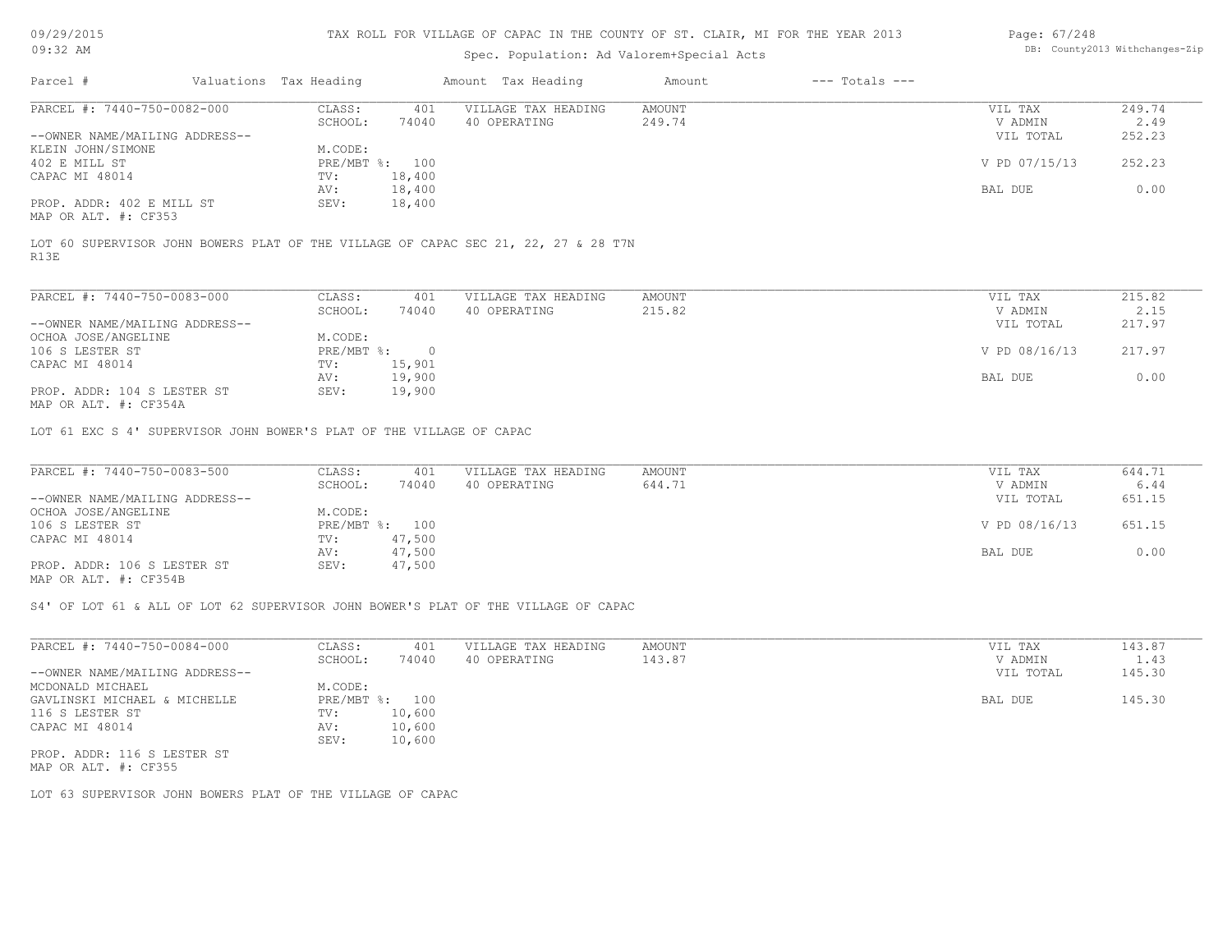09/29/2015 09:32 AM

### TAX ROLL FOR VILLAGE OF CAPAC IN THE COUNTY OF ST. CLAIR, MI FOR THE YEAR 2013

# Spec. Population: Ad Valorem+Special Acts

| Page: 67/248 |                                |
|--------------|--------------------------------|
|              | DB: County2013 Withchanges-Zip |

| Parcel #                       | Valuations Tax Heading |                | Amount Tax Heading  | Amount | $---$ Totals $---$ |               |        |
|--------------------------------|------------------------|----------------|---------------------|--------|--------------------|---------------|--------|
| PARCEL #: 7440-750-0082-000    | CLASS:                 | 401            | VILLAGE TAX HEADING | AMOUNT |                    | VIL TAX       | 249.74 |
|                                | SCHOOL:                | 74040          | 40 OPERATING        | 249.74 |                    | V ADMIN       | 2.49   |
| --OWNER NAME/MAILING ADDRESS-- |                        |                |                     |        |                    | VIL TOTAL     | 252.23 |
| KLEIN JOHN/SIMONE              | M.CODE:                |                |                     |        |                    |               |        |
| 402 E MILL ST                  |                        | PRE/MBT %: 100 |                     |        |                    | V PD 07/15/13 | 252.23 |
| CAPAC MI 48014                 | TV:                    | 18,400         |                     |        |                    |               |        |
|                                | AV:                    | 18,400         |                     |        |                    | BAL DUE       | 0.00   |
| PROP. ADDR: 402 E MILL ST      | SEV:                   | 18,400         |                     |        |                    |               |        |
|                                |                        |                |                     |        |                    |               |        |

MAP OR ALT. #: CF353

R13E LOT 60 SUPERVISOR JOHN BOWERS PLAT OF THE VILLAGE OF CAPAC SEC 21, 22, 27 & 28 T7N

| PARCEL #: 7440-750-0083-000                  | CLASS:     | 401    | VILLAGE TAX HEADING | AMOUNT | VIL TAX       | 215.82 |
|----------------------------------------------|------------|--------|---------------------|--------|---------------|--------|
|                                              | SCHOOL:    | 74040  | 40 OPERATING        | 215.82 | V ADMIN       | 2.15   |
| --OWNER NAME/MAILING ADDRESS--               |            |        |                     |        | VIL TOTAL     | 217.97 |
| OCHOA JOSE/ANGELINE                          | M.CODE:    |        |                     |        |               |        |
| 106 S LESTER ST                              | PRE/MBT %: |        |                     |        | V PD 08/16/13 | 217.97 |
| CAPAC MI 48014                               | TV:        | 15,901 |                     |        |               |        |
|                                              | AV:        | 19,900 |                     |        | BAL DUE       | 0.00   |
| PROP. ADDR: 104 S LESTER ST<br>$\frac{1}{2}$ | SEV:       | 19,900 |                     |        |               |        |

MAP OR ALT. #: CF354A

LOT 61 EXC S 4' SUPERVISOR JOHN BOWER'S PLAT OF THE VILLAGE OF CAPAC

| PARCEL #: 7440-750-0083-500    | CLASS:  | 401            | VILLAGE TAX HEADING | AMOUNT | VIL TAX       | 644.71 |
|--------------------------------|---------|----------------|---------------------|--------|---------------|--------|
|                                | SCHOOL: | 74040          | 40 OPERATING        | 644.71 | V ADMIN       | 6.44   |
| --OWNER NAME/MAILING ADDRESS-- |         |                |                     |        | VIL TOTAL     | 651.15 |
| OCHOA JOSE/ANGELINE            | M.CODE: |                |                     |        |               |        |
| 106 S LESTER ST                |         | PRE/MBT %: 100 |                     |        | V PD 08/16/13 | 651.15 |
| CAPAC MI 48014                 | TV:     | 47,500         |                     |        |               |        |
|                                | AV:     | 47,500         |                     |        | BAL DUE       | 0.00   |
| PROP. ADDR: 106 S LESTER ST    | SEV:    | 47,500         |                     |        |               |        |
| MAP OR ALT. #: CF354B          |         |                |                     |        |               |        |

S4' OF LOT 61 & ALL OF LOT 62 SUPERVISOR JOHN BOWER'S PLAT OF THE VILLAGE OF CAPAC

| PARCEL #: 7440-750-0084-000    | CLASS:       | 401    | VILLAGE TAX HEADING | AMOUNT | VIL TAX   | 143.87 |
|--------------------------------|--------------|--------|---------------------|--------|-----------|--------|
|                                | SCHOOL:      | 74040  | 40 OPERATING        | 143.87 | V ADMIN   | 1.43   |
| --OWNER NAME/MAILING ADDRESS-- |              |        |                     |        | VIL TOTAL | 145.30 |
| MCDONALD MICHAEL               | M.CODE:      |        |                     |        |           |        |
| GAVLINSKI MICHAEL & MICHELLE   | $PRE/MBT$ %: | 100    |                     |        | BAL DUE   | 145.30 |
| 116 S LESTER ST                | TV:          | 10,600 |                     |        |           |        |
| CAPAC MI 48014                 | AV:          | 10,600 |                     |        |           |        |
|                                | SEV:         | 10,600 |                     |        |           |        |
| PROP. ADDR: 116 S LESTER ST    |              |        |                     |        |           |        |
|                                |              |        |                     |        |           |        |

MAP OR ALT. #: CF355

LOT 63 SUPERVISOR JOHN BOWERS PLAT OF THE VILLAGE OF CAPAC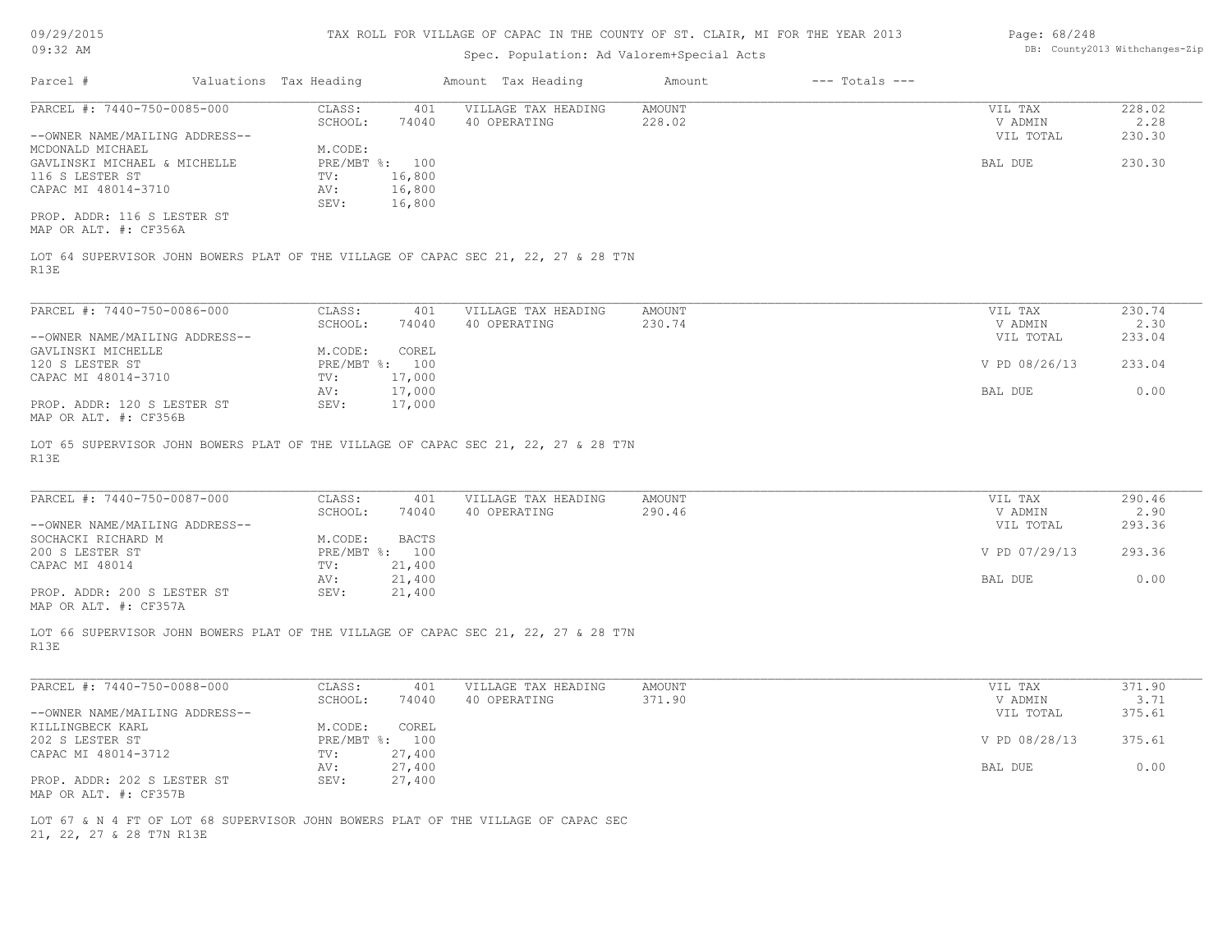| 09/29/2015                                           |                        |                  | TAX ROLL FOR VILLAGE OF CAPAC IN THE COUNTY OF ST. CLAIR, MI FOR THE YEAR 2013     |                                |                    | Page: 68/248         |                |
|------------------------------------------------------|------------------------|------------------|------------------------------------------------------------------------------------|--------------------------------|--------------------|----------------------|----------------|
| $09:32$ AM                                           |                        |                  |                                                                                    | DB: County2013 Withchanges-Zip |                    |                      |                |
| Parcel #                                             | Valuations Tax Heading |                  | Amount Tax Heading                                                                 | Amount                         | $---$ Totals $---$ |                      |                |
| PARCEL #: 7440-750-0085-000                          | CLASS:                 | 401              | VILLAGE TAX HEADING                                                                | AMOUNT                         |                    | VIL TAX              | 228.02         |
| --OWNER NAME/MAILING ADDRESS--                       | SCHOOL:                | 74040            | 40 OPERATING                                                                       | 228.02                         |                    | V ADMIN<br>VIL TOTAL | 2.28<br>230.30 |
| MCDONALD MICHAEL                                     | M.CODE:                |                  |                                                                                    |                                |                    |                      |                |
| GAVLINSKI MICHAEL & MICHELLE                         |                        | PRE/MBT %: 100   |                                                                                    |                                |                    | BAL DUE              | 230.30         |
| 116 S LESTER ST                                      | TV:                    | 16,800           |                                                                                    |                                |                    |                      |                |
| CAPAC MI 48014-3710                                  | AV:                    | 16,800           |                                                                                    |                                |                    |                      |                |
| PROP. ADDR: 116 S LESTER ST<br>MAP OR ALT. #: CF356A | SEV:                   | 16,800           |                                                                                    |                                |                    |                      |                |
| R13E                                                 |                        |                  | LOT 64 SUPERVISOR JOHN BOWERS PLAT OF THE VILLAGE OF CAPAC SEC 21, 22, 27 & 28 T7N |                                |                    |                      |                |
| PARCEL #: 7440-750-0086-000                          | CLASS:                 | 401              | VILLAGE TAX HEADING                                                                | AMOUNT                         |                    | VIL TAX              | 230.74         |
|                                                      | SCHOOL:                | 74040            | 40 OPERATING                                                                       | 230.74                         |                    | V ADMIN              | 2.30           |
| --OWNER NAME/MAILING ADDRESS--                       |                        |                  |                                                                                    |                                |                    | VIL TOTAL            | 233.04         |
| GAVLINSKI MICHELLE                                   | M.CODE:                | COREL            |                                                                                    |                                |                    |                      |                |
| 120 S LESTER ST                                      |                        | PRE/MBT %: 100   |                                                                                    |                                |                    | V PD 08/26/13        | 233.04         |
| CAPAC MI 48014-3710                                  | TV:                    | 17,000           |                                                                                    |                                |                    |                      |                |
| PROP. ADDR: 120 S LESTER ST<br>MAP OR ALT. #: CF356B | AV:<br>SEV:            | 17,000<br>17,000 |                                                                                    |                                |                    | BAL DUE              | 0.00           |
| PARCEL #: 7440-750-0087-000                          | CLASS:                 | 401              | VILLAGE TAX HEADING                                                                | AMOUNT                         |                    | VIL TAX              | 290.46         |
|                                                      | SCHOOL:                | 74040            | 40 OPERATING                                                                       | 290.46                         |                    | V ADMIN              | 2.90           |
| --OWNER NAME/MAILING ADDRESS--<br>SOCHACKI RICHARD M | M.CODE:                | <b>BACTS</b>     |                                                                                    |                                |                    | VIL TOTAL            | 293.36         |
| 200 S LESTER ST                                      |                        | PRE/MBT %: 100   |                                                                                    |                                |                    | V PD 07/29/13        | 293.36         |
| CAPAC MI 48014                                       | TV:                    | 21,400           |                                                                                    |                                |                    |                      |                |
|                                                      | AV:                    | 21,400           |                                                                                    |                                |                    | BAL DUE              | 0.00           |
| PROP. ADDR: 200 S LESTER ST<br>MAP OR ALT. #: CF357A | SEV:                   | 21,400           |                                                                                    |                                |                    |                      |                |
| R13E                                                 |                        |                  | LOT 66 SUPERVISOR JOHN BOWERS PLAT OF THE VILLAGE OF CAPAC SEC 21, 22, 27 & 28 T7N |                                |                    |                      |                |
| PARCEL #: 7440-750-0088-000                          | CLASS:                 | 401              | VILLAGE TAX HEADING                                                                | <b>AMOUNT</b>                  |                    | VIL TAX              | 371.90         |
|                                                      | SCHOOL:                | 74040            | 40 OPERATING                                                                       | 371.90                         |                    | V ADMIN              | 3.71           |
| --OWNER NAME/MAILING ADDRESS--                       |                        |                  |                                                                                    |                                |                    | VIL TOTAL            | 375.61         |
| KILLINGBECK KARL                                     |                        | M.CODE: COREL    |                                                                                    |                                |                    |                      |                |
| 202 S LESTER ST                                      |                        | PRE/MBT %: 100   |                                                                                    |                                |                    | V PD 08/28/13        | 375.61         |
| CAPAC MI 48014-3712                                  | TV:                    | 27,400           |                                                                                    |                                |                    |                      |                |
| PROP. ADDR: 202 S LESTER ST                          | AV:<br>SEV:            | 27,400<br>27,400 |                                                                                    |                                |                    | BAL DUE              | 0.00           |
| MAP OR ALT. #: CF357B                                |                        |                  |                                                                                    |                                |                    |                      |                |
|                                                      |                        |                  |                                                                                    |                                |                    |                      |                |
|                                                      |                        |                  | LOT 67 & N 4 FT OF LOT 68 SUPERVISOR JOHN BOWERS PLAT OF THE VILLAGE OF CAPAC SEC  |                                |                    |                      |                |
| 21, 22, 27 & 28 T7N R13E                             |                        |                  |                                                                                    |                                |                    |                      |                |
|                                                      |                        |                  |                                                                                    |                                |                    |                      |                |
|                                                      |                        |                  |                                                                                    |                                |                    |                      |                |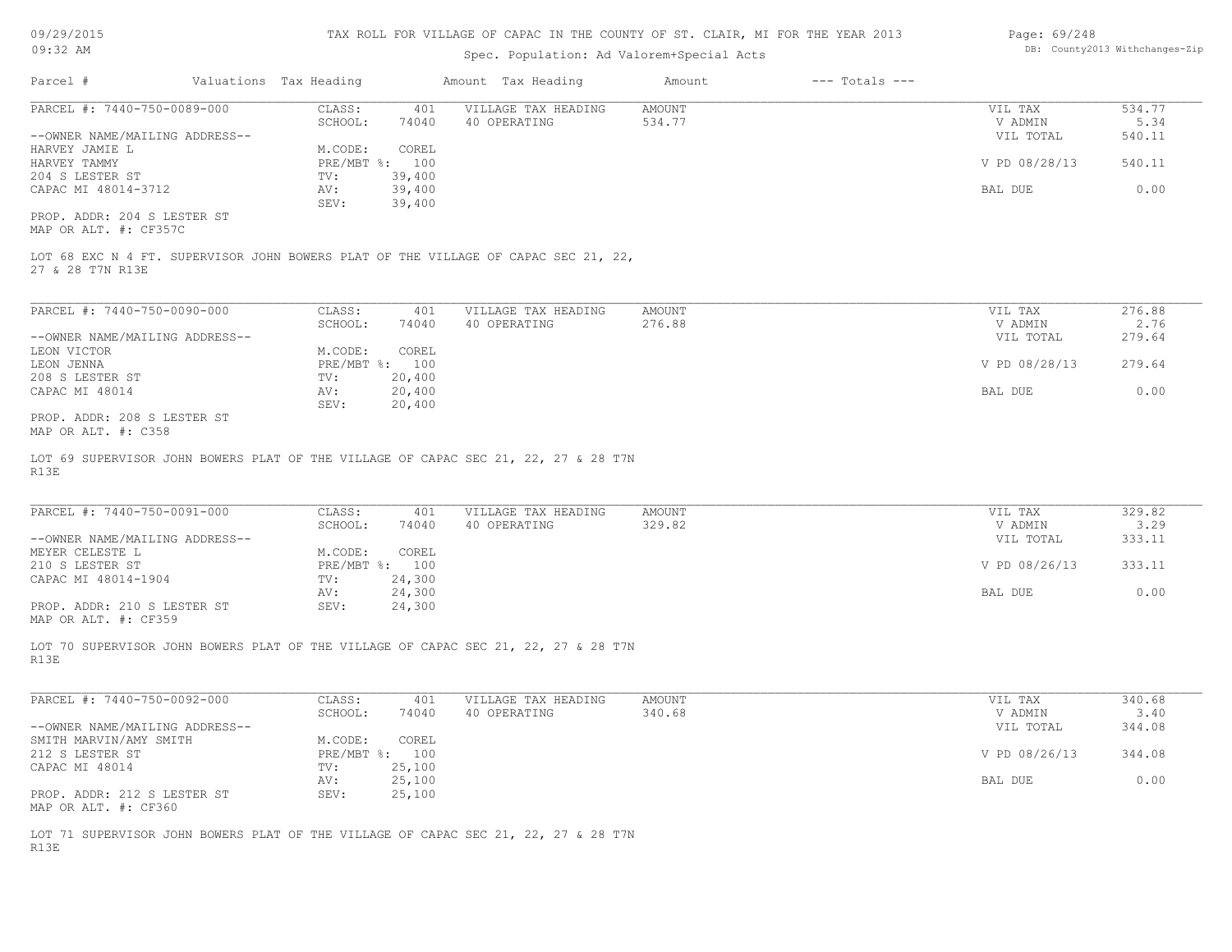09/29/2015 09:32 AM

#### TAX ROLL FOR VILLAGE OF CAPAC IN THE COUNTY OF ST. CLAIR, MI FOR THE YEAR 2013

### Spec. Population: Ad Valorem+Special Acts

| Page: 69/248 |                                |
|--------------|--------------------------------|
|              | DB: County2013 Withchanges-Zip |

| Parcel #                                             | Valuations Tax Heading |        | Amount Tax Heading  | Amount | $---$ Totals $---$ |               |        |
|------------------------------------------------------|------------------------|--------|---------------------|--------|--------------------|---------------|--------|
| PARCEL #: 7440-750-0089-000                          | CLASS:                 | 401    | VILLAGE TAX HEADING | AMOUNT |                    | VIL TAX       | 534.77 |
|                                                      | SCHOOL:                | 74040  | 40 OPERATING        | 534.77 |                    | V ADMIN       | 5.34   |
| --OWNER NAME/MAILING ADDRESS--                       |                        |        |                     |        |                    | VIL TOTAL     | 540.11 |
| HARVEY JAMIE L                                       | M.CODE:                | COREL  |                     |        |                    |               |        |
| HARVEY TAMMY                                         | $PRE/MBT$ %:           | 100    |                     |        |                    | V PD 08/28/13 | 540.11 |
| 204 S LESTER ST                                      | TV:                    | 39,400 |                     |        |                    |               |        |
| CAPAC MI 48014-3712                                  | AV:                    | 39,400 |                     |        |                    | BAL DUE       | 0.00   |
|                                                      | SEV:                   | 39,400 |                     |        |                    |               |        |
| PROP. ADDR: 204 S LESTER ST<br>MAP OR ALT. #: CF357C |                        |        |                     |        |                    |               |        |

27 & 28 T7N R13E LOT 68 EXC N 4 FT. SUPERVISOR JOHN BOWERS PLAT OF THE VILLAGE OF CAPAC SEC 21, 22,

| PARCEL #: 7440-750-0090-000    | CLASS:  | 401            | VILLAGE TAX HEADING | AMOUNT | VIL TAX       | 276.88 |
|--------------------------------|---------|----------------|---------------------|--------|---------------|--------|
|                                | SCHOOL: | 74040          | 40 OPERATING        | 276.88 | V ADMIN       | 2.76   |
| --OWNER NAME/MAILING ADDRESS-- |         |                |                     |        | VIL TOTAL     | 279.64 |
| LEON VICTOR                    | M.CODE: | COREL          |                     |        |               |        |
| LEON JENNA                     |         | PRE/MBT %: 100 |                     |        | V PD 08/28/13 | 279.64 |
| 208 S LESTER ST                | TV:     | 20,400         |                     |        |               |        |
| CAPAC MI 48014                 | AV:     | 20,400         |                     |        | BAL DUE       | 0.00   |
|                                | SEV:    | 20,400         |                     |        |               |        |
| PROP. ADDR: 208 S LESTER ST    |         |                |                     |        |               |        |

MAP OR ALT. #: C358

R13E LOT 69 SUPERVISOR JOHN BOWERS PLAT OF THE VILLAGE OF CAPAC SEC 21, 22, 27 & 28 T7N

| PARCEL #: 7440-750-0091-000    | CLASS:  | 401            | VILLAGE TAX HEADING | AMOUNT | VIL TAX       | 329.82 |
|--------------------------------|---------|----------------|---------------------|--------|---------------|--------|
|                                | SCHOOL: | 74040          | 40 OPERATING        | 329.82 | V ADMIN       | 3.29   |
| --OWNER NAME/MAILING ADDRESS-- |         |                |                     |        | VIL TOTAL     | 333.11 |
| MEYER CELESTE L                | M.CODE: | COREL          |                     |        |               |        |
| 210 S LESTER ST                |         | PRE/MBT %: 100 |                     |        | V PD 08/26/13 | 333.11 |
| CAPAC MI 48014-1904            | TV:     | 24,300         |                     |        |               |        |
|                                | AV:     | 24,300         |                     |        | BAL DUE       | 0.00   |
| PROP. ADDR: 210 S LESTER ST    | SEV:    | 24,300         |                     |        |               |        |
| MAP OR ALT. #: CF359           |         |                |                     |        |               |        |

R13E LOT 70 SUPERVISOR JOHN BOWERS PLAT OF THE VILLAGE OF CAPAC SEC 21, 22, 27 & 28 T7N

| PARCEL #: 7440-750-0092-000    | CLASS:       | 401    | VILLAGE TAX HEADING | AMOUNT | VIL TAX       | 340.68 |
|--------------------------------|--------------|--------|---------------------|--------|---------------|--------|
|                                | SCHOOL:      | 74040  | 40 OPERATING        | 340.68 | V ADMIN       | 3.40   |
| --OWNER NAME/MAILING ADDRESS-- |              |        |                     |        | VIL TOTAL     | 344.08 |
| SMITH MARVIN/AMY SMITH         | M.CODE:      | COREL  |                     |        |               |        |
| 212 S LESTER ST                | $PRE/MBT$ %: | 100    |                     |        | V PD 08/26/13 | 344.08 |
| CAPAC MI 48014                 | TV:          | 25,100 |                     |        |               |        |
|                                | AV:          | 25,100 |                     |        | BAL DUE       | 0.00   |
| PROP. ADDR: 212 S LESTER ST    | SEV:         | 25,100 |                     |        |               |        |
| MAP OR ALT. #: CF360           |              |        |                     |        |               |        |

R13E LOT 71 SUPERVISOR JOHN BOWERS PLAT OF THE VILLAGE OF CAPAC SEC 21, 22, 27 & 28 T7N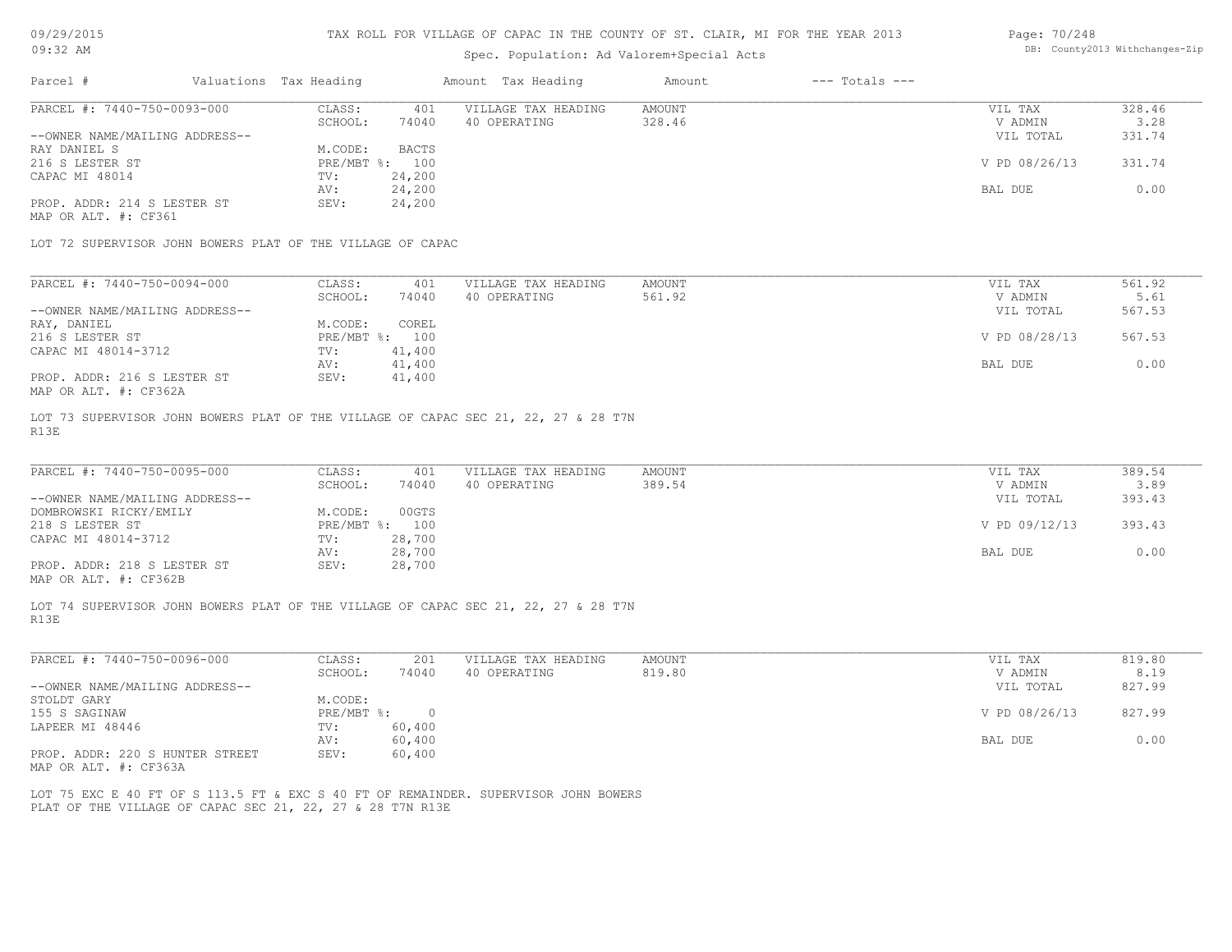# Spec. Population: Ad Valorem+Special Acts

| Page: 70/248 |                                |
|--------------|--------------------------------|
|              | DB: County2013 Withchanges-Zip |

| Parcel #                                                                           | Valuations Tax Heading          | Amount Tax Heading  | Amount | $---$ Totals $---$ |               |        |
|------------------------------------------------------------------------------------|---------------------------------|---------------------|--------|--------------------|---------------|--------|
| PARCEL #: 7440-750-0093-000                                                        | CLASS:<br>401                   | VILLAGE TAX HEADING | AMOUNT |                    | VIL TAX       | 328.46 |
|                                                                                    | SCHOOL:<br>74040                | 40 OPERATING        | 328.46 |                    | V ADMIN       | 3.28   |
| --OWNER NAME/MAILING ADDRESS--                                                     |                                 |                     |        |                    | VIL TOTAL     | 331.74 |
| RAY DANIEL S                                                                       | <b>BACTS</b><br>M.CODE:         |                     |        |                    |               |        |
| 216 S LESTER ST                                                                    | $PRE/MBT$ %:<br>100             |                     |        |                    | V PD 08/26/13 | 331.74 |
| CAPAC MI 48014                                                                     | 24,200<br>TV:                   |                     |        |                    |               |        |
|                                                                                    | 24,200<br>AV:                   |                     |        |                    | BAL DUE       | 0.00   |
| PROP. ADDR: 214 S LESTER ST                                                        | 24,200<br>SEV:                  |                     |        |                    |               |        |
|                                                                                    |                                 |                     |        |                    |               |        |
| MAP OR ALT. #: CF361<br>LOT 72 SUPERVISOR JOHN BOWERS PLAT OF THE VILLAGE OF CAPAC |                                 |                     |        |                    |               |        |
|                                                                                    |                                 |                     |        |                    |               |        |
| PARCEL #: 7440-750-0094-000                                                        | CLASS:<br>401                   | VILLAGE TAX HEADING | AMOUNT |                    | VIL TAX       | 561.92 |
|                                                                                    | 74040<br>SCHOOL:                | 40 OPERATING        | 561.92 |                    | V ADMIN       | 5.61   |
| --OWNER NAME/MAILING ADDRESS--                                                     |                                 |                     |        |                    | VIL TOTAL     | 567.53 |
| RAY, DANIEL                                                                        | COREL<br>M.CODE:                |                     |        |                    |               |        |
| 216 S LESTER ST                                                                    | $PRE/MBT$ %:<br>100             |                     |        |                    | V PD 08/28/13 | 567.53 |
| CAPAC MI 48014-3712                                                                | 41,400<br>TV:                   |                     |        |                    |               |        |
| PROP. ADDR: 216 S LESTER ST                                                        | 41,400<br>AV:<br>SEV:<br>41,400 |                     |        |                    | BAL DUE       | 0.00   |

R13E LOT 73 SUPERVISOR JOHN BOWERS PLAT OF THE VILLAGE OF CAPAC SEC 21, 22, 27 & 28 T7N

| PARCEL #: 7440-750-0095-000                           | CLASS:  | 401            | VILLAGE TAX HEADING | AMOUNT | VIL TAX       | 389.54 |
|-------------------------------------------------------|---------|----------------|---------------------|--------|---------------|--------|
|                                                       | SCHOOL: | 74040          | 40 OPERATING        | 389.54 | V ADMIN       | 3.89   |
| --OWNER NAME/MAILING ADDRESS--                        |         |                |                     |        | VIL TOTAL     | 393.43 |
| DOMBROWSKI RICKY/EMILY                                | M.CODE: | 00GTS          |                     |        |               |        |
| 218 S LESTER ST                                       |         | PRE/MBT %: 100 |                     |        | V PD 09/12/13 | 393.43 |
| CAPAC MI 48014-3712                                   | TV:     | 28,700         |                     |        |               |        |
|                                                       | AV:     | 28,700         |                     |        | BAL DUE       | 0.00   |
| PROP. ADDR: 218 S LESTER ST                           | SEV:    | 28,700         |                     |        |               |        |
| $\cdots$ $\cdots$ $\cdots$ $\cdots$ $\cdots$ $\cdots$ |         |                |                     |        |               |        |

 $\_$  , and the state of the state of the state of the state of the state of the state of the state of the state of the state of the state of the state of the state of the state of the state of the state of the state of the

MAP OR ALT. #: CF362B

R13E LOT 74 SUPERVISOR JOHN BOWERS PLAT OF THE VILLAGE OF CAPAC SEC 21, 22, 27 & 28 T7N

| PARCEL #: 7440-750-0096-000     | CLASS:     | 201    | VILLAGE TAX HEADING | AMOUNT | VIL TAX       | 819.80 |
|---------------------------------|------------|--------|---------------------|--------|---------------|--------|
|                                 | SCHOOL:    | 74040  | 40 OPERATING        | 819.80 | V ADMIN       | 8.19   |
| --OWNER NAME/MAILING ADDRESS--  |            |        |                     |        | VIL TOTAL     | 827.99 |
| STOLDT GARY                     | M.CODE:    |        |                     |        |               |        |
| 155 S SAGINAW                   | PRE/MBT %: |        |                     |        | V PD 08/26/13 | 827.99 |
| LAPEER MI 48446                 | TV:        | 60,400 |                     |        |               |        |
|                                 | AV:        | 60,400 |                     |        | BAL DUE       | 0.00   |
| PROP. ADDR: 220 S HUNTER STREET | SEV:       | 60,400 |                     |        |               |        |

MAP OR ALT. #: CF363A

PLAT OF THE VILLAGE OF CAPAC SEC 21, 22, 27 & 28 T7N R13E LOT 75 EXC E 40 FT OF S 113.5 FT & EXC S 40 FT OF REMAINDER. SUPERVISOR JOHN BOWERS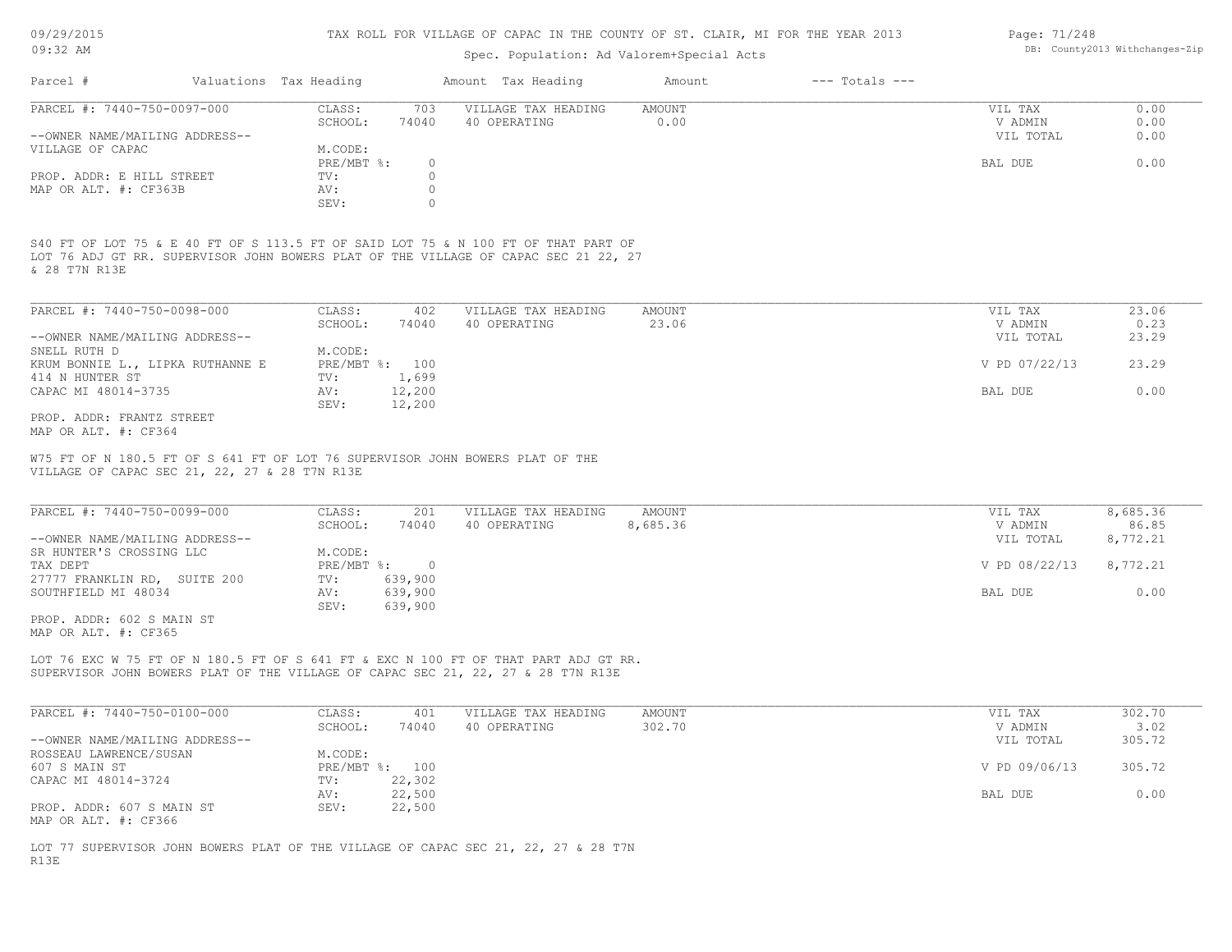09/29/2015 09:32 AM

#### TAX ROLL FOR VILLAGE OF CAPAC IN THE COUNTY OF ST. CLAIR, MI FOR THE YEAR 2013

# Spec. Population: Ad Valorem+Special Acts

| Parcel #                       | Valuations Tax Heading |       | Amount Tax Heading  | Amount | $---$ Totals $---$ |           |      |
|--------------------------------|------------------------|-------|---------------------|--------|--------------------|-----------|------|
| PARCEL #: 7440-750-0097-000    | CLASS:                 | 703   | VILLAGE TAX HEADING | AMOUNT |                    | VIL TAX   | 0.00 |
|                                | SCHOOL:                | 74040 | 40 OPERATING        | 0.00   |                    | V ADMIN   | 0.00 |
| --OWNER NAME/MAILING ADDRESS-- |                        |       |                     |        |                    | VIL TOTAL | 0.00 |
| VILLAGE OF CAPAC               | M.CODE:                |       |                     |        |                    |           |      |
|                                | PRE/MBT %:             |       |                     |        |                    | BAL DUE   | 0.00 |
| PROP. ADDR: E HILL STREET      | TV:                    |       |                     |        |                    |           |      |
| MAP OR ALT. #: CF363B          | AV:                    |       |                     |        |                    |           |      |
|                                | SEV:                   |       |                     |        |                    |           |      |
|                                |                        |       |                     |        |                    |           |      |

& 28 T7N R13E LOT 76 ADJ GT RR. SUPERVISOR JOHN BOWERS PLAT OF THE VILLAGE OF CAPAC SEC 21 22, 27 S40 FT OF LOT 75 & E 40 FT OF S 113.5 FT OF SAID LOT 75 & N 100 FT OF THAT PART OF

| PARCEL #: 7440-750-0098-000      | CLASS:  | 402            | VILLAGE TAX HEADING | AMOUNT | VIL TAX       | 23.06 |
|----------------------------------|---------|----------------|---------------------|--------|---------------|-------|
|                                  | SCHOOL: | 74040          | 40 OPERATING        | 23.06  | V ADMIN       | 0.23  |
| --OWNER NAME/MAILING ADDRESS--   |         |                |                     |        | VIL TOTAL     | 23.29 |
| SNELL RUTH D                     | M.CODE: |                |                     |        |               |       |
| KRUM BONNIE L., LIPKA RUTHANNE E |         | PRE/MBT %: 100 |                     |        | V PD 07/22/13 | 23.29 |
| 414 N HUNTER ST                  | TV:     | 1,699          |                     |        |               |       |
| CAPAC MI 48014-3735              | AV:     | 12,200         |                     |        | BAL DUE       | 0.00  |
|                                  | SEV:    | 12,200         |                     |        |               |       |
| PROP. ADDR: FRANTZ STREET        |         |                |                     |        |               |       |

MAP OR ALT. #: CF364

VILLAGE OF CAPAC SEC 21, 22, 27 & 28 T7N R13E W75 FT OF N 180.5 FT OF S 641 FT OF LOT 76 SUPERVISOR JOHN BOWERS PLAT OF THE

| PARCEL #: 7440-750-0099-000     | CLASS:       | 201     | VILLAGE TAX HEADING | AMOUNT   | VIL TAX       | 8,685.36 |
|---------------------------------|--------------|---------|---------------------|----------|---------------|----------|
|                                 | SCHOOL:      | 74040   | 40 OPERATING        | 8,685.36 | V ADMIN       | 86.85    |
| --OWNER NAME/MAILING ADDRESS--  |              |         |                     |          | VIL TOTAL     | 8,772.21 |
| SR HUNTER'S CROSSING LLC        | M.CODE:      |         |                     |          |               |          |
| TAX DEPT                        | $PRE/MBT$ %: |         |                     |          | V PD 08/22/13 | 8,772.21 |
| 27777 FRANKLIN RD,<br>SUITE 200 | TV:          | 639,900 |                     |          |               |          |
| SOUTHFIELD MI 48034             | AV:          | 639,900 |                     |          | BAL DUE       | 0.00     |
|                                 | SEV:         | 639,900 |                     |          |               |          |

MAP OR ALT. #: CF365 PROP. ADDR: 602 S MAIN ST

SUPERVISOR JOHN BOWERS PLAT OF THE VILLAGE OF CAPAC SEC 21, 22, 27 & 28 T7N R13E LOT 76 EXC W 75 FT OF N 180.5 FT OF S 641 FT & EXC N 100 FT OF THAT PART ADJ GT RR.

| PARCEL #: 7440-750-0100-000    | CLASS:  | 401            | VILLAGE TAX HEADING | AMOUNT | VIL TAX       | 302.70 |
|--------------------------------|---------|----------------|---------------------|--------|---------------|--------|
|                                | SCHOOL: | 74040          | 40 OPERATING        | 302.70 | V ADMIN       | 3.02   |
| --OWNER NAME/MAILING ADDRESS-- |         |                |                     |        | VIL TOTAL     | 305.72 |
| ROSSEAU LAWRENCE/SUSAN         | M.CODE: |                |                     |        |               |        |
| 607 S MAIN ST                  |         | PRE/MBT %: 100 |                     |        | V PD 09/06/13 | 305.72 |
| CAPAC MI 48014-3724            | TV:     | 22,302         |                     |        |               |        |
|                                | AV:     | 22,500         |                     |        | BAL DUE       | 0.00   |
| PROP. ADDR: 607 S MAIN ST      | SEV:    | 22,500         |                     |        |               |        |
| MAP OR ALT. #: CF366           |         |                |                     |        |               |        |

R13E LOT 77 SUPERVISOR JOHN BOWERS PLAT OF THE VILLAGE OF CAPAC SEC 21, 22, 27 & 28 T7N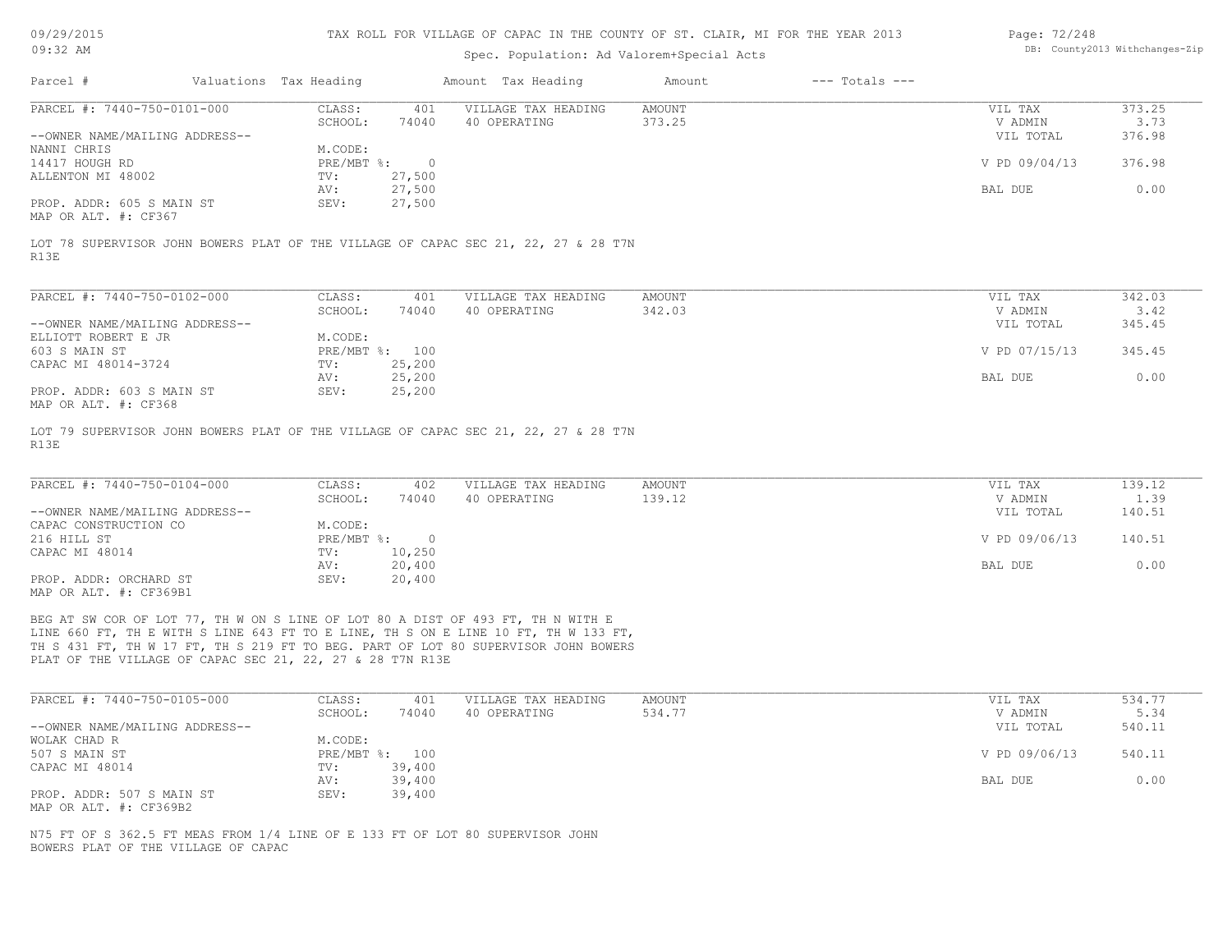| 09/29/2015 |  |
|------------|--|
| 09.32 AM   |  |

| Page: 72/248 |                                |
|--------------|--------------------------------|
|              | DB: County2013 Withchanges-Zip |

| UY:32 AM                       |                        |            | Spec. Population: Ad Valorem+Special Acts |                                                                                    | DB: County2013 Withchanges-21p |                    |               |        |
|--------------------------------|------------------------|------------|-------------------------------------------|------------------------------------------------------------------------------------|--------------------------------|--------------------|---------------|--------|
| Parcel #                       | Valuations Tax Heading |            |                                           | Amount Tax Heading                                                                 | Amount                         | $---$ Totals $---$ |               |        |
| PARCEL #: 7440-750-0101-000    |                        | CLASS:     | 401                                       | VILLAGE TAX HEADING                                                                | AMOUNT                         |                    | VIL TAX       | 373.25 |
|                                |                        | SCHOOL:    | 74040                                     | 40 OPERATING                                                                       | 373.25                         |                    | V ADMIN       | 3.73   |
| --OWNER NAME/MAILING ADDRESS-- |                        |            |                                           |                                                                                    |                                |                    | VIL TOTAL     | 376.98 |
| NANNI CHRIS                    |                        | M.CODE:    |                                           |                                                                                    |                                |                    |               |        |
| 14417 HOUGH RD                 |                        | PRE/MBT %: | $\overline{0}$                            |                                                                                    |                                |                    | V PD 09/04/13 | 376.98 |
| ALLENTON MI 48002              |                        | TV:<br>AV: | 27,500<br>27,500                          |                                                                                    |                                |                    | BAL DUE       | 0.00   |
| PROP. ADDR: 605 S MAIN ST      |                        | SEV:       | 27,500                                    |                                                                                    |                                |                    |               |        |
| MAP OR ALT. #: CF367           |                        |            |                                           |                                                                                    |                                |                    |               |        |
|                                |                        |            |                                           |                                                                                    |                                |                    |               |        |
|                                |                        |            |                                           | LOT 78 SUPERVISOR JOHN BOWERS PLAT OF THE VILLAGE OF CAPAC SEC 21, 22, 27 & 28 T7N |                                |                    |               |        |
| R13E                           |                        |            |                                           |                                                                                    |                                |                    |               |        |
|                                |                        |            |                                           |                                                                                    |                                |                    |               |        |
| PARCEL #: 7440-750-0102-000    |                        |            |                                           |                                                                                    |                                |                    |               |        |
|                                |                        | CLASS:     | 401<br>74040                              | VILLAGE TAX HEADING                                                                | AMOUNT                         |                    | VIL TAX       | 342.03 |
| --OWNER NAME/MAILING ADDRESS-- |                        | SCHOOL:    |                                           | 40 OPERATING                                                                       | 342.03                         |                    | V ADMIN       | 3.42   |
| ELLIOTT ROBERT E JR            |                        | M.CODE:    |                                           |                                                                                    |                                |                    | VIL TOTAL     | 345.45 |
| 603 S MAIN ST                  |                        |            | PRE/MBT %: 100                            |                                                                                    |                                |                    | V PD 07/15/13 | 345.45 |
|                                |                        |            |                                           |                                                                                    |                                |                    |               |        |
| CAPAC MI 48014-3724            |                        | TV:        | 25,200                                    |                                                                                    |                                |                    |               |        |
|                                |                        | AV:        | 25,200                                    |                                                                                    |                                |                    | BAL DUE       | 0.00   |
| PROP. ADDR: 603 S MAIN ST      |                        | SEV:       | 25,200                                    |                                                                                    |                                |                    |               |        |
| MAP OR ALT. #: CF368           |                        |            |                                           |                                                                                    |                                |                    |               |        |
|                                |                        |            |                                           | LOT 79 SUPERVISOR JOHN BOWERS PLAT OF THE VILLAGE OF CAPAC SEC 21, 22, 27 & 28 T7N |                                |                    |               |        |
| R13E                           |                        |            |                                           |                                                                                    |                                |                    |               |        |
|                                |                        |            |                                           |                                                                                    |                                |                    |               |        |
|                                |                        |            |                                           |                                                                                    |                                |                    |               |        |
|                                |                        |            |                                           |                                                                                    |                                |                    |               |        |

| PARCEL #: 7440-750-0104-000    | CLASS:     | 402    | VILLAGE TAX HEADING | AMOUNT | VIL TAX       | 139.12 |
|--------------------------------|------------|--------|---------------------|--------|---------------|--------|
|                                | SCHOOL:    | 74040  | 40 OPERATING        | 139.12 | V ADMIN       | 1.39   |
| --OWNER NAME/MAILING ADDRESS-- |            |        |                     |        | VIL TOTAL     | 140.51 |
| CAPAC CONSTRUCTION CO          | M.CODE:    |        |                     |        |               |        |
| 216 HILL ST                    | PRE/MBT %: | $\Box$ |                     |        | V PD 09/06/13 | 140.51 |
| CAPAC MI 48014                 | TV:        | 10,250 |                     |        |               |        |
|                                | AV:        | 20,400 |                     |        | BAL DUE       | 0.00   |
| PROP. ADDR: ORCHARD ST         | SEV:       | 20,400 |                     |        |               |        |
| MAP OR ALT. #: CF369B1         |            |        |                     |        |               |        |

PLAT OF THE VILLAGE OF CAPAC SEC 21, 22, 27 & 28 T7N R13E TH S 431 FT, TH W 17 FT, TH S 219 FT TO BEG. PART OF LOT 80 SUPERVISOR JOHN BOWERS LINE 660 FT, TH E WITH S LINE 643 FT TO E LINE, TH S ON E LINE 10 FT, TH W 133 FT, BEG AT SW COR OF LOT 77, TH W ON S LINE OF LOT 80 A DIST OF 493 FT, TH N WITH E

| PARCEL #: 7440-750-0105-000    | CLASS:  | 401            | VILLAGE TAX HEADING | AMOUNT | VIL TAX       | 534.77 |
|--------------------------------|---------|----------------|---------------------|--------|---------------|--------|
|                                | SCHOOL: | 74040          | 40 OPERATING        | 534.77 | V ADMIN       | 5.34   |
| --OWNER NAME/MAILING ADDRESS-- |         |                |                     |        | VIL TOTAL     | 540.11 |
| WOLAK CHAD R                   | M.CODE: |                |                     |        |               |        |
| 507 S MAIN ST                  |         | PRE/MBT %: 100 |                     |        | V PD 09/06/13 | 540.11 |
| CAPAC MI 48014                 | TV:     | 39,400         |                     |        |               |        |
|                                | AV:     | 39,400         |                     |        | BAL DUE       | 0.00   |
| PROP. ADDR: 507 S MAIN ST      | SEV:    | 39,400         |                     |        |               |        |
| MAP OR ALT. #: CF369B2         |         |                |                     |        |               |        |

BOWERS PLAT OF THE VILLAGE OF CAPAC N75 FT OF S 362.5 FT MEAS FROM 1/4 LINE OF E 133 FT OF LOT 80 SUPERVISOR JOHN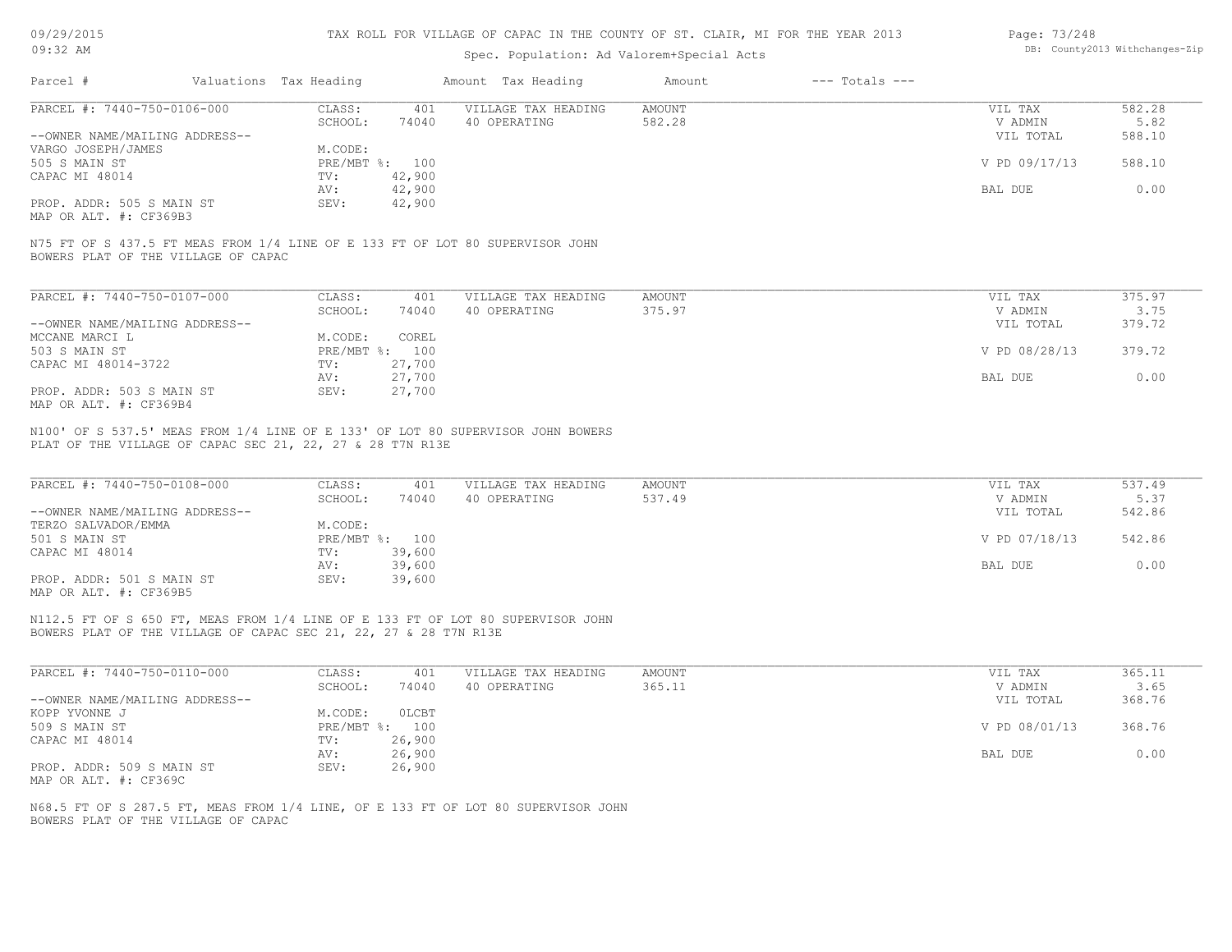| 09/29/2015 |  |
|------------|--|
| $09:32$ AM |  |

### Spec. Population: Ad Valorem+Special Acts

| Page: 73/248 |                                |
|--------------|--------------------------------|
|              | DB: County2013 Withchanges-Zip |

| Parcel #                            | Valuations Tax Heading |        | Amount Tax Heading                                                            | Amount | $---$ Totals $---$ |               |        |
|-------------------------------------|------------------------|--------|-------------------------------------------------------------------------------|--------|--------------------|---------------|--------|
| PARCEL #: 7440-750-0106-000         | CLASS:                 | 401    | VILLAGE TAX HEADING                                                           | AMOUNT |                    | VIL TAX       | 582.28 |
|                                     | SCHOOL:                | 74040  | 40 OPERATING                                                                  | 582.28 |                    | V ADMIN       | 5.82   |
| --OWNER NAME/MAILING ADDRESS--      |                        |        |                                                                               |        |                    | VIL TOTAL     | 588.10 |
| VARGO JOSEPH/JAMES                  | M.CODE:                |        |                                                                               |        |                    |               |        |
| 505 S MAIN ST                       | $PRE/MBT$ %:           | 100    |                                                                               |        |                    | V PD 09/17/13 | 588.10 |
| CAPAC MI 48014                      | TV:                    | 42,900 |                                                                               |        |                    |               |        |
|                                     | AV:                    | 42,900 |                                                                               |        |                    | BAL DUE       | 0.00   |
| PROP. ADDR: 505 S MAIN ST           | SEV:                   | 42,900 |                                                                               |        |                    |               |        |
| MAP OR ALT. #: CF369B3              |                        |        |                                                                               |        |                    |               |        |
|                                     |                        |        |                                                                               |        |                    |               |        |
| BOWERS PLAT OF THE VILLAGE OF CAPAC |                        |        | N75 FT OF S 437.5 FT MEAS FROM 1/4 LINE OF E 133 FT OF LOT 80 SUPERVISOR JOHN |        |                    |               |        |
|                                     |                        |        |                                                                               |        |                    |               |        |

| PARCEL #: 7440-750-0107-000    | CLASS:     | 401    | VILLAGE TAX HEADING | AMOUNT | VIL TAX       | 375.97 |
|--------------------------------|------------|--------|---------------------|--------|---------------|--------|
|                                | SCHOOL:    | 74040  | 40 OPERATING        | 375.97 | V ADMIN       | 3.75   |
| --OWNER NAME/MAILING ADDRESS-- |            |        |                     |        | VIL TOTAL     | 379.72 |
| MCCANE MARCI L                 | M.CODE:    | COREL  |                     |        |               |        |
| 503 S MAIN ST                  | PRE/MBT %: | 100    |                     |        | V PD 08/28/13 | 379.72 |
| CAPAC MI 48014-3722            | TV:        | 27,700 |                     |        |               |        |
|                                | AV:        | 27,700 |                     |        | BAL DUE       | 0.00   |
| PROP. ADDR: 503 S MAIN ST      | SEV:       | 27,700 |                     |        |               |        |
| MAP OR ALT. #: CF369B4         |            |        |                     |        |               |        |

PLAT OF THE VILLAGE OF CAPAC SEC 21, 22, 27 & 28 T7N R13E N100' OF S 537.5' MEAS FROM 1/4 LINE OF E 133' OF LOT 80 SUPERVISOR JOHN BOWERS

| PARCEL #: 7440-750-0108-000    | CLASS:  | 401            | VILLAGE TAX HEADING | AMOUNT | VIL TAX       | 537.49 |
|--------------------------------|---------|----------------|---------------------|--------|---------------|--------|
|                                | SCHOOL: | 74040          | 40 OPERATING        | 537.49 | V ADMIN       | 5.37   |
| --OWNER NAME/MAILING ADDRESS-- |         |                |                     |        | VIL TOTAL     | 542.86 |
| TERZO SALVADOR/EMMA            | M.CODE: |                |                     |        |               |        |
| 501 S MAIN ST                  |         | PRE/MBT %: 100 |                     |        | V PD 07/18/13 | 542.86 |
| CAPAC MI 48014                 | TV:     | 39,600         |                     |        |               |        |
|                                | AV:     | 39,600         |                     |        | BAL DUE       | 0.00   |
| PROP. ADDR: 501 S MAIN ST      | SEV:    | 39,600         |                     |        |               |        |
| MAP OR ALT. #: CF369B5         |         |                |                     |        |               |        |

BOWERS PLAT OF THE VILLAGE OF CAPAC SEC 21, 22, 27 & 28 T7N R13E N112.5 FT OF S 650 FT, MEAS FROM 1/4 LINE OF E 133 FT OF LOT 80 SUPERVISOR JOHN

| PARCEL #: 7440-750-0110-000    | CLASS:       | 401    | VILLAGE TAX HEADING | AMOUNT | VIL TAX       | 365.11 |
|--------------------------------|--------------|--------|---------------------|--------|---------------|--------|
|                                | SCHOOL:      | 74040  | 40 OPERATING        | 365.11 | V ADMIN       | 3.65   |
| --OWNER NAME/MAILING ADDRESS-- |              |        |                     |        | VIL TOTAL     | 368.76 |
| KOPP YVONNE J                  | M.CODE:      | OLCBT  |                     |        |               |        |
| 509 S MAIN ST                  | $PRE/MBT$ %: | 100    |                     |        | V PD 08/01/13 | 368.76 |
| CAPAC MI 48014                 | TV:          | 26,900 |                     |        |               |        |
|                                | AV:          | 26,900 |                     |        | BAL DUE       | 0.00   |
| PROP. ADDR: 509 S MAIN ST      | SEV:         | 26,900 |                     |        |               |        |
| MAP OR ALT. #: CF369C          |              |        |                     |        |               |        |

BOWERS PLAT OF THE VILLAGE OF CAPAC N68.5 FT OF S 287.5 FT, MEAS FROM 1/4 LINE, OF E 133 FT OF LOT 80 SUPERVISOR JOHN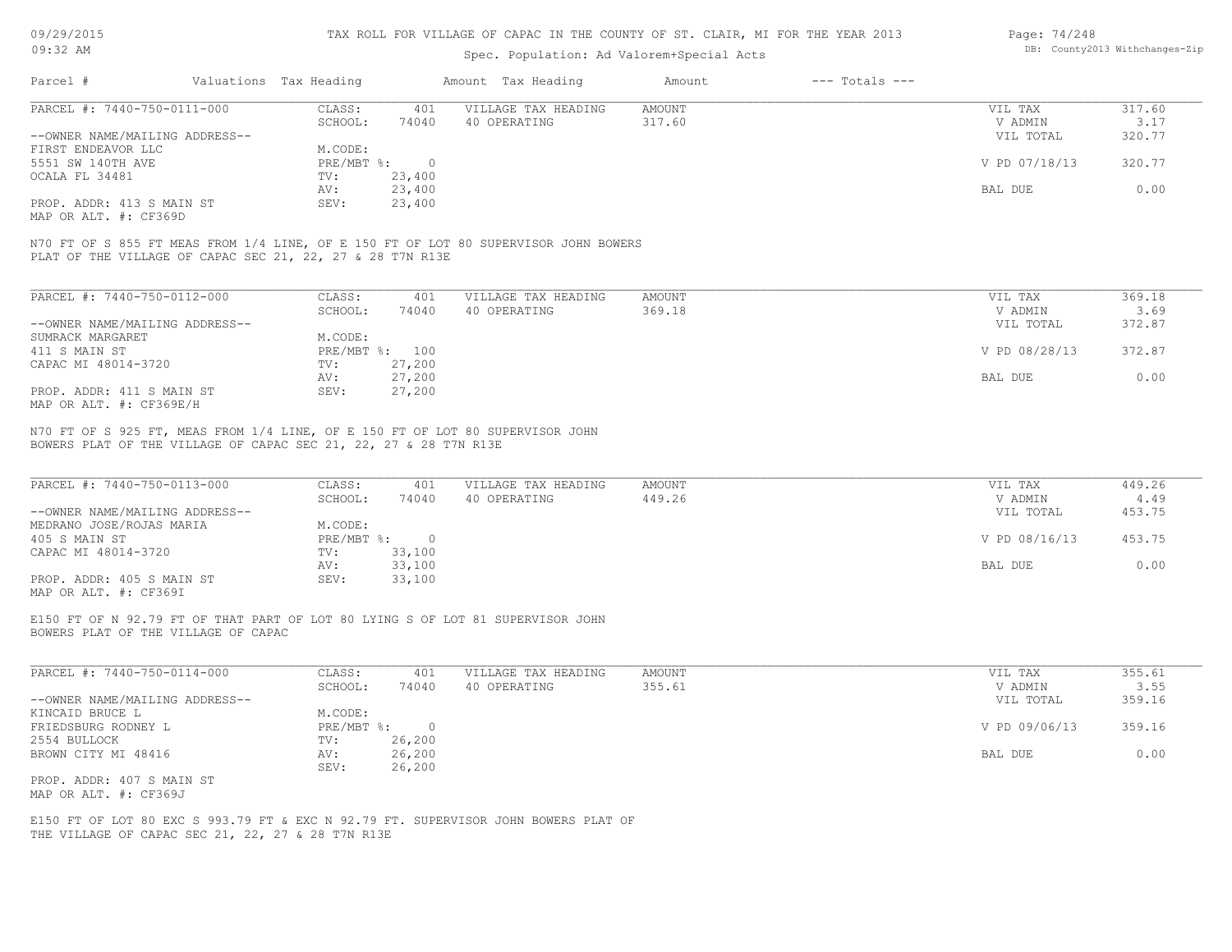| 09:32 AM                                                                                                                                          |                                |                                     | TAX ROLL FOR VILLAGE OF CAPAC IN THE COUNTY OF ST. CLAIR, MI FOR THE YEAR 2013<br>Spec. Population: Ad Valorem+Special Acts |                         |                    | Page: 74/248             | DB: County2013 Withchanges-Zip |
|---------------------------------------------------------------------------------------------------------------------------------------------------|--------------------------------|-------------------------------------|-----------------------------------------------------------------------------------------------------------------------------|-------------------------|--------------------|--------------------------|--------------------------------|
|                                                                                                                                                   |                                |                                     |                                                                                                                             |                         |                    |                          |                                |
| Parcel #                                                                                                                                          | Valuations Tax Heading         |                                     | Amount Tax Heading                                                                                                          | Amount                  | $---$ Totals $---$ |                          |                                |
| PARCEL #: 7440-750-0111-000                                                                                                                       | CLASS:<br>SCHOOL:              | 401<br>74040                        | VILLAGE TAX HEADING<br>40 OPERATING                                                                                         | <b>AMOUNT</b><br>317.60 |                    | VIL TAX<br>V ADMIN       | 317.60<br>3.17                 |
| --OWNER NAME/MAILING ADDRESS--<br>FIRST ENDEAVOR LLC                                                                                              | M.CODE:                        |                                     |                                                                                                                             |                         |                    | VIL TOTAL                | 320.77                         |
| 5551 SW 140TH AVE<br>OCALA FL 34481                                                                                                               | PRE/MBT %:<br>TV:              | $\overline{0}$<br>23,400            |                                                                                                                             |                         |                    | V PD 07/18/13            | 320.77                         |
| PROP. ADDR: 413 S MAIN ST<br>MAP OR ALT. #: CF369D                                                                                                | AV:<br>SEV:                    | 23,400<br>23,400                    |                                                                                                                             |                         |                    | BAL DUE                  | 0.00                           |
| N70 FT OF S 855 FT MEAS FROM 1/4 LINE, OF E 150 FT OF LOT 80 SUPERVISOR JOHN BOWERS<br>PLAT OF THE VILLAGE OF CAPAC SEC 21, 22, 27 & 28 T7N R13E  |                                |                                     |                                                                                                                             |                         |                    |                          |                                |
| PARCEL #: 7440-750-0112-000                                                                                                                       | CLASS:<br>SCHOOL:              | 401<br>74040                        | VILLAGE TAX HEADING<br>40 OPERATING                                                                                         | <b>AMOUNT</b><br>369.18 |                    | VIL TAX<br>V ADMIN       | 369.18<br>3.69                 |
| --OWNER NAME/MAILING ADDRESS--<br>SUMRACK MARGARET                                                                                                | M.CODE:                        |                                     |                                                                                                                             |                         |                    | VIL TOTAL                | 372.87                         |
| 411 S MAIN ST<br>CAPAC MI 48014-3720                                                                                                              | PRE/MBT %: 100<br>TV:          | 27,200                              |                                                                                                                             |                         |                    | V PD 08/28/13            | 372.87                         |
| PROP. ADDR: 411 S MAIN ST<br>MAP OR ALT. #: CF369E/H                                                                                              | AV:<br>SEV:                    | 27,200<br>27,200                    |                                                                                                                             |                         |                    | BAL DUE                  | 0.00                           |
| N70 FT OF S 925 FT, MEAS FROM 1/4 LINE, OF E 150 FT OF LOT 80 SUPERVISOR JOHN<br>BOWERS PLAT OF THE VILLAGE OF CAPAC SEC 21, 22, 27 & 28 T7N R13E |                                |                                     |                                                                                                                             |                         |                    |                          |                                |
| PARCEL #: 7440-750-0113-000                                                                                                                       | CLASS:<br>SCHOOL:              | 401<br>74040                        | VILLAGE TAX HEADING<br>40 OPERATING                                                                                         | <b>AMOUNT</b><br>449.26 |                    | VIL TAX<br>V ADMIN       | 449.26<br>4.49                 |
| --OWNER NAME/MAILING ADDRESS--<br>MEDRANO JOSE/ROJAS MARIA                                                                                        | M.CODE:                        |                                     |                                                                                                                             |                         |                    | VIL TOTAL                | 453.75                         |
| 405 S MAIN ST<br>CAPAC MI 48014-3720                                                                                                              | $PRE/MBT$ %:<br>TV:            | $\overline{0}$<br>33,100            |                                                                                                                             |                         |                    | V PD 08/16/13            | 453.75                         |
| PROP. ADDR: 405 S MAIN ST                                                                                                                         | AV:<br>SEV:                    | 33,100<br>33,100                    |                                                                                                                             |                         |                    | BAL DUE                  | 0.00                           |
| MAP OR ALT. #: CF369I                                                                                                                             |                                |                                     |                                                                                                                             |                         |                    |                          |                                |
|                                                                                                                                                   |                                |                                     |                                                                                                                             |                         |                    |                          |                                |
| E150 FT OF N 92.79 FT OF THAT PART OF LOT 80 LYING S OF LOT 81 SUPERVISOR JOHN<br>BOWERS PLAT OF THE VILLAGE OF CAPAC                             |                                |                                     |                                                                                                                             |                         |                    |                          |                                |
| PARCEL #: 7440-750-0114-000                                                                                                                       |                                | 401                                 |                                                                                                                             |                         |                    |                          | 355.61                         |
|                                                                                                                                                   | CLASS:<br>SCHOOL:              | 74040                               | VILLAGE TAX HEADING<br>40 OPERATING                                                                                         | AMOUNT<br>355.61        |                    | VIL TAX<br>V ADMIN       | 3.55                           |
| --OWNER NAME/MAILING ADDRESS--<br>KINCAID BRUCE L                                                                                                 | M.CODE:                        |                                     |                                                                                                                             |                         |                    | VIL TOTAL                | 359.16                         |
| FRIEDSBURG RODNEY L<br>2554 BULLOCK<br>BROWN CITY MI 48416                                                                                        | $PRE/MBT$ $\div$<br>TV:<br>AV: | $\overline{0}$<br>26,200<br>26, 200 |                                                                                                                             |                         |                    | V PD 09/06/13<br>BAL DUE | 359.16<br>0.00                 |

MAP OR ALT. #: CF369J PROP. ADDR: 407 S MAIN ST

THE VILLAGE OF CAPAC SEC 21, 22, 27 & 28 T7N R13E E150 FT OF LOT 80 EXC S 993.79 FT & EXC N 92.79 FT. SUPERVISOR JOHN BOWERS PLAT OF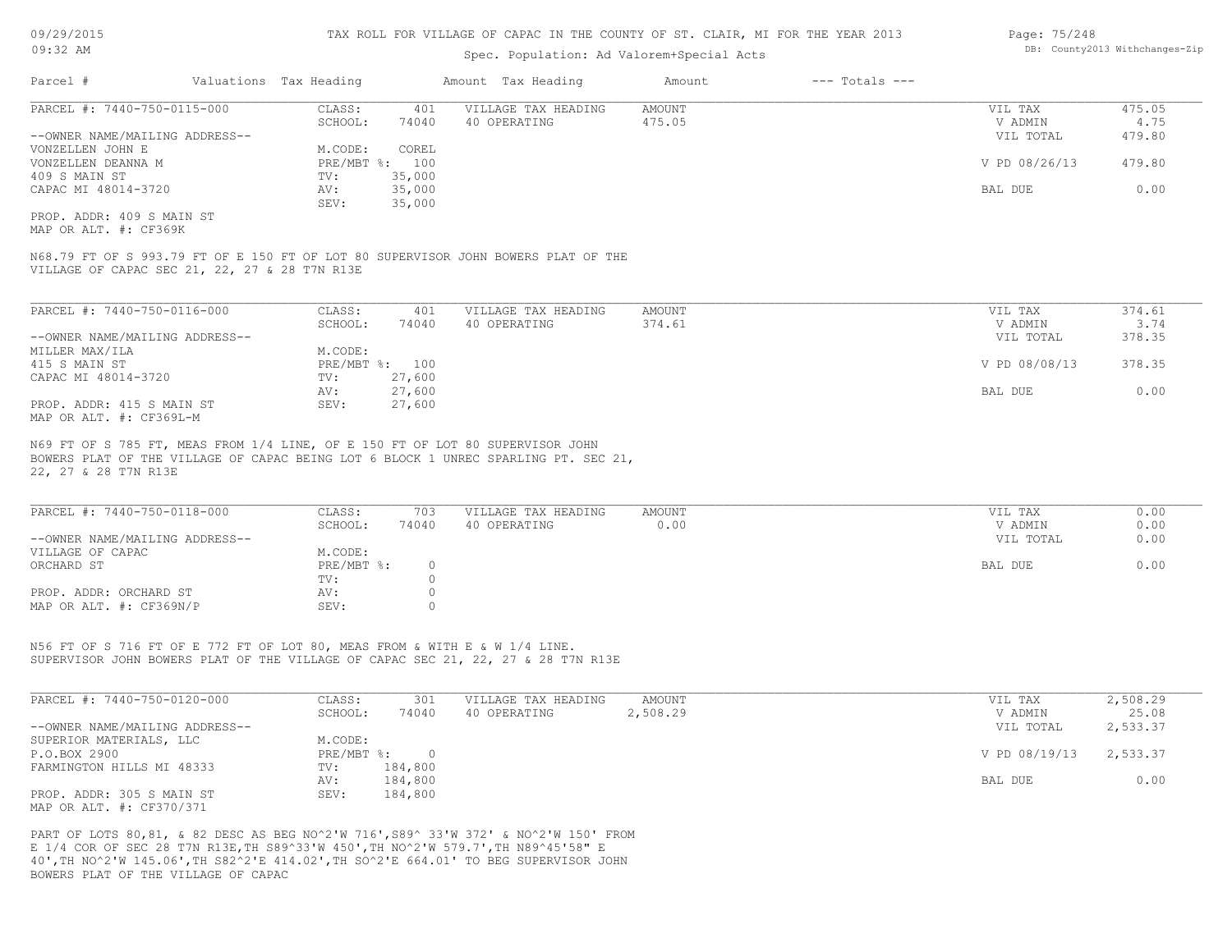### Spec. Population: Ad Valorem+Special Acts

| Page: 75/248 |                                |
|--------------|--------------------------------|
|              | DB: County2013 Withchanges-Zip |

| Parcel #                       | Valuations Tax Heading |        | Amount Tax Heading  | Amount | $---$ Totals $---$ |               |        |
|--------------------------------|------------------------|--------|---------------------|--------|--------------------|---------------|--------|
| PARCEL #: 7440-750-0115-000    | CLASS:                 | 401    | VILLAGE TAX HEADING | AMOUNT |                    | VIL TAX       | 475.05 |
|                                | SCHOOL:                | 74040  | 40 OPERATING        | 475.05 |                    | V ADMIN       | 4.75   |
| --OWNER NAME/MAILING ADDRESS-- |                        |        |                     |        |                    | VIL TOTAL     | 479.80 |
| VONZELLEN JOHN E               | M.CODE:                | COREL  |                     |        |                    |               |        |
| VONZELLEN DEANNA M             | PRE/MBT %: 100         |        |                     |        |                    | V PD 08/26/13 | 479.80 |
| 409 S MAIN ST                  | TV:                    | 35,000 |                     |        |                    |               |        |
| CAPAC MI 48014-3720            | AV:                    | 35,000 |                     |        |                    | BAL DUE       | 0.00   |
|                                | SEV:                   | 35,000 |                     |        |                    |               |        |
| PROP. ADDR: 409 S MAIN ST      |                        |        |                     |        |                    |               |        |

MAP OR ALT. #: CF369K

VILLAGE OF CAPAC SEC 21, 22, 27 & 28 T7N R13E N68.79 FT OF S 993.79 FT OF E 150 FT OF LOT 80 SUPERVISOR JOHN BOWERS PLAT OF THE

| PARCEL #: 7440-750-0116-000    | CLASS:  | 401            | VILLAGE TAX HEADING | AMOUNT | VIL TAX       | 374.61 |
|--------------------------------|---------|----------------|---------------------|--------|---------------|--------|
|                                | SCHOOL: | 74040          | 40 OPERATING        | 374.61 | V ADMIN       | 3.74   |
| --OWNER NAME/MAILING ADDRESS-- |         |                |                     |        | VIL TOTAL     | 378.35 |
| MILLER MAX/ILA                 | M.CODE: |                |                     |        |               |        |
| 415 S MAIN ST                  |         | PRE/MBT %: 100 |                     |        | V PD 08/08/13 | 378.35 |
| CAPAC MI 48014-3720            | TV:     | 27,600         |                     |        |               |        |
|                                | AV:     | 27,600         |                     |        | BAL DUE       | 0.00   |
| PROP. ADDR: 415 S MAIN ST      | SEV:    | 27,600         |                     |        |               |        |
| MAP OR ALT. #: CF369L-M        |         |                |                     |        |               |        |

22, 27 & 28 T7N R13E BOWERS PLAT OF THE VILLAGE OF CAPAC BEING LOT 6 BLOCK 1 UNREC SPARLING PT. SEC 21, N69 FT OF S 785 FT, MEAS FROM 1/4 LINE, OF E 150 FT OF LOT 80 SUPERVISOR JOHN

| PARCEL #: 7440-750-0118-000    | CLASS:       | 703   | VILLAGE TAX HEADING | AMOUNT | VIL TAX   | 0.00 |
|--------------------------------|--------------|-------|---------------------|--------|-----------|------|
|                                | SCHOOL:      | 74040 | 40 OPERATING        | 0.00   | V ADMIN   | 0.00 |
| --OWNER NAME/MAILING ADDRESS-- |              |       |                     |        | VIL TOTAL | 0.00 |
| VILLAGE OF CAPAC               | M.CODE:      |       |                     |        |           |      |
| ORCHARD ST                     | $PRE/MBT$ %: |       |                     |        | BAL DUE   | 0.00 |
|                                | TV:          |       |                     |        |           |      |
| PROP. ADDR: ORCHARD ST         | AV:          |       |                     |        |           |      |
| MAP OR ALT. #: CF369N/P        | SEV:         |       |                     |        |           |      |

SUPERVISOR JOHN BOWERS PLAT OF THE VILLAGE OF CAPAC SEC 21, 22, 27 & 28 T7N R13E N56 FT OF S 716 FT OF E 772 FT OF LOT 80, MEAS FROM & WITH E & W 1/4 LINE.

| PARCEL #: 7440-750-0120-000    | CLASS:       | 301     | VILLAGE TAX HEADING | AMOUNT   | VIL TAX       | 2,508.29 |
|--------------------------------|--------------|---------|---------------------|----------|---------------|----------|
|                                | SCHOOL:      | 74040   | 40 OPERATING        | 2,508.29 | V ADMIN       | 25.08    |
| --OWNER NAME/MAILING ADDRESS-- |              |         |                     |          | VIL TOTAL     | 2,533.37 |
| SUPERIOR MATERIALS, LLC        | M.CODE:      |         |                     |          |               |          |
| P.O.BOX 2900                   | $PRE/MBT$ %: |         |                     |          | V PD 08/19/13 | 2,533.37 |
| FARMINGTON HILLS MI 48333      | TV:          | 184,800 |                     |          |               |          |
|                                | AV:          | 184,800 |                     |          | BAL DUE       | 0.00     |
| PROP. ADDR: 305 S MAIN ST      | SEV:         | 184,800 |                     |          |               |          |
| MAP OR ALT. #: CF370/371       |              |         |                     |          |               |          |

BOWERS PLAT OF THE VILLAGE OF CAPAC 40',TH NO^2'W 145.06',TH S82^2'E 414.02',TH SO^2'E 664.01' TO BEG SUPERVISOR JOHN E 1/4 COR OF SEC 28 T7N R13E,TH S89^33'W 450',TH NO^2'W 579.7',TH N89^45'58" E PART OF LOTS 80,81, & 82 DESC AS BEG NO^2'W 716',S89^ 33'W 372' & NO^2'W 150' FROM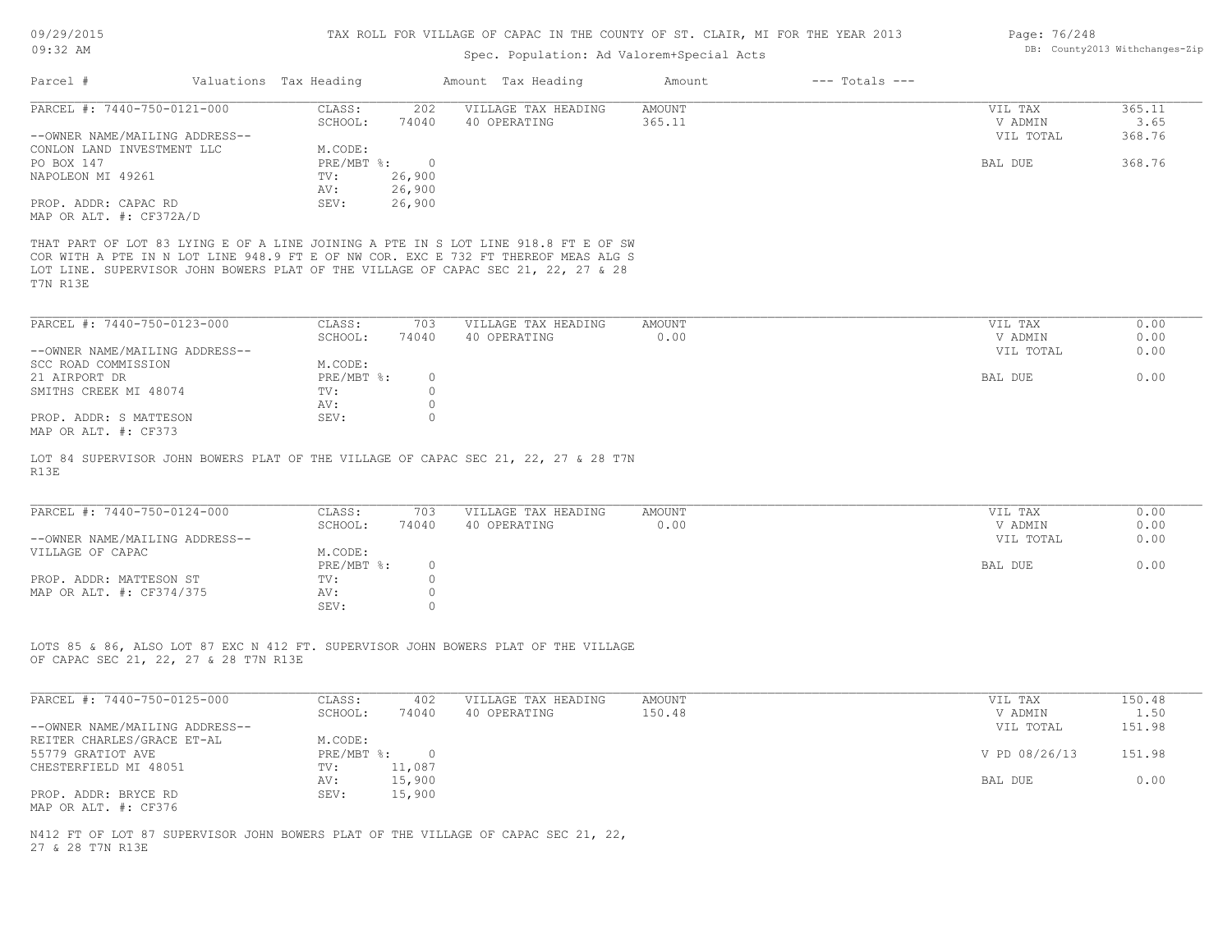## Spec. Population: Ad Valorem+Special Acts

| Parcel #                                                      | Valuations Tax Heading       |                               | Amount Tax Heading                                                                                                                                                                                                                                            | Amount                  | $---$ Totals $---$ |                                 |                          |
|---------------------------------------------------------------|------------------------------|-------------------------------|---------------------------------------------------------------------------------------------------------------------------------------------------------------------------------------------------------------------------------------------------------------|-------------------------|--------------------|---------------------------------|--------------------------|
| PARCEL #: 7440-750-0121-000<br>--OWNER NAME/MAILING ADDRESS-- | CLASS:<br>SCHOOL:            | 202<br>74040                  | VILLAGE TAX HEADING<br>40 OPERATING                                                                                                                                                                                                                           | AMOUNT<br>365.11        |                    | VIL TAX<br>V ADMIN<br>VIL TOTAL | 365.11<br>3.65<br>368.76 |
| CONLON LAND INVESTMENT LLC<br>PO BOX 147                      | M.CODE:<br>PRE/MBT %:        | $\overline{0}$                |                                                                                                                                                                                                                                                               |                         |                    | BAL DUE                         | 368.76                   |
| NAPOLEON MI 49261                                             | TV:<br>AV:                   | 26,900<br>26,900              |                                                                                                                                                                                                                                                               |                         |                    |                                 |                          |
| PROP. ADDR: CAPAC RD<br>MAP OR ALT. #: CF372A/D               | SEV:                         | 26,900                        |                                                                                                                                                                                                                                                               |                         |                    |                                 |                          |
| T7N R13E                                                      |                              |                               | THAT PART OF LOT 83 LYING E OF A LINE JOINING A PTE IN S LOT LINE 918.8 FT E OF SW<br>COR WITH A PTE IN N LOT LINE 948.9 FT E OF NW COR. EXC E 732 FT THEREOF MEAS ALG S<br>LOT LINE. SUPERVISOR JOHN BOWERS PLAT OF THE VILLAGE OF CAPAC SEC 21, 22, 27 & 28 |                         |                    |                                 |                          |
| PARCEL #: 7440-750-0123-000                                   | CLASS:                       | 703                           | VILLAGE TAX HEADING                                                                                                                                                                                                                                           | AMOUNT                  |                    | VIL TAX                         | 0.00                     |
| --OWNER NAME/MAILING ADDRESS--                                | SCHOOL:                      | 74040                         | 40 OPERATING                                                                                                                                                                                                                                                  | 0.00                    |                    | V ADMIN<br>VIL TOTAL            | 0.00<br>0.00             |
| SCC ROAD COMMISSION<br>21 AIRPORT DR<br>SMITHS CREEK MI 48074 | M.CODE:<br>PRE/MBT %:<br>TV: | $\circ$<br>$\circ$            |                                                                                                                                                                                                                                                               |                         |                    | BAL DUE                         | 0.00                     |
| PROP. ADDR: S MATTESON<br>MAP OR ALT. #: CF373                | AV:<br>SEV:                  | $\circ$<br>$\circ$            |                                                                                                                                                                                                                                                               |                         |                    |                                 |                          |
| R13E                                                          |                              |                               | LOT 84 SUPERVISOR JOHN BOWERS PLAT OF THE VILLAGE OF CAPAC SEC 21, 22, 27 & 28 T7N                                                                                                                                                                            |                         |                    |                                 |                          |
| PARCEL #: 7440-750-0124-000                                   | CLASS:<br>SCHOOL:            | 703<br>74040                  | VILLAGE TAX HEADING<br>40 OPERATING                                                                                                                                                                                                                           | <b>AMOUNT</b><br>0.00   |                    | VIL TAX<br>V ADMIN              | 0.00<br>0.00             |
| --OWNER NAME/MAILING ADDRESS--<br>VILLAGE OF CAPAC            | M.CODE:<br>PRE/MBT %:        | $\circ$                       |                                                                                                                                                                                                                                                               |                         |                    | VIL TOTAL<br>BAL DUE            | 0.00<br>0.00             |
| PROP. ADDR: MATTESON ST<br>MAP OR ALT. #: CF374/375           | TV:<br>AV:<br>SEV:           | $\circ$<br>$\circ$<br>$\circ$ |                                                                                                                                                                                                                                                               |                         |                    |                                 |                          |
| OF CAPAC SEC 21, 22, 27 & 28 T7N R13E                         |                              |                               | LOTS 85 & 86, ALSO LOT 87 EXC N 412 FT. SUPERVISOR JOHN BOWERS PLAT OF THE VILLAGE                                                                                                                                                                            |                         |                    |                                 |                          |
| PARCEL #: 7440-750-0125-000                                   | CLASS:<br>SCHOOL:            | 402<br>74040                  | VILLAGE TAX HEADING<br>40 OPERATING                                                                                                                                                                                                                           | <b>AMOUNT</b><br>150.48 |                    | VIL TAX<br>V ADMIN              | 150.48<br>1.50           |
| --OWNER NAME/MAILING ADDRESS--<br>REITER CHARLES/GRACE ET-AL  | M.CODE:                      |                               |                                                                                                                                                                                                                                                               |                         |                    | VIL TOTAL                       | 151.98                   |
| 55779 GRATIOT AVE<br>CHESTERFIELD MI 48051                    | PRE/MBT %: 0<br>TV:          | 11,087                        |                                                                                                                                                                                                                                                               |                         |                    | V PD 08/26/13                   | 151.98                   |
| PROP. ADDR: BRYCE RD                                          | AV:<br>SEV:                  | 15,900<br>15,900              |                                                                                                                                                                                                                                                               |                         |                    | BAL DUE                         | 0.00                     |
| MAP OR ALT. #: CF376                                          |                              |                               |                                                                                                                                                                                                                                                               |                         |                    |                                 |                          |
| 27 & 28 T7N R13E                                              |                              |                               | N412 FT OF LOT 87 SUPERVISOR JOHN BOWERS PLAT OF THE VILLAGE OF CAPAC SEC 21, 22,                                                                                                                                                                             |                         |                    |                                 |                          |
|                                                               |                              |                               |                                                                                                                                                                                                                                                               |                         |                    |                                 |                          |

Page: 76/248 DB: County2013 Withchanges-Zip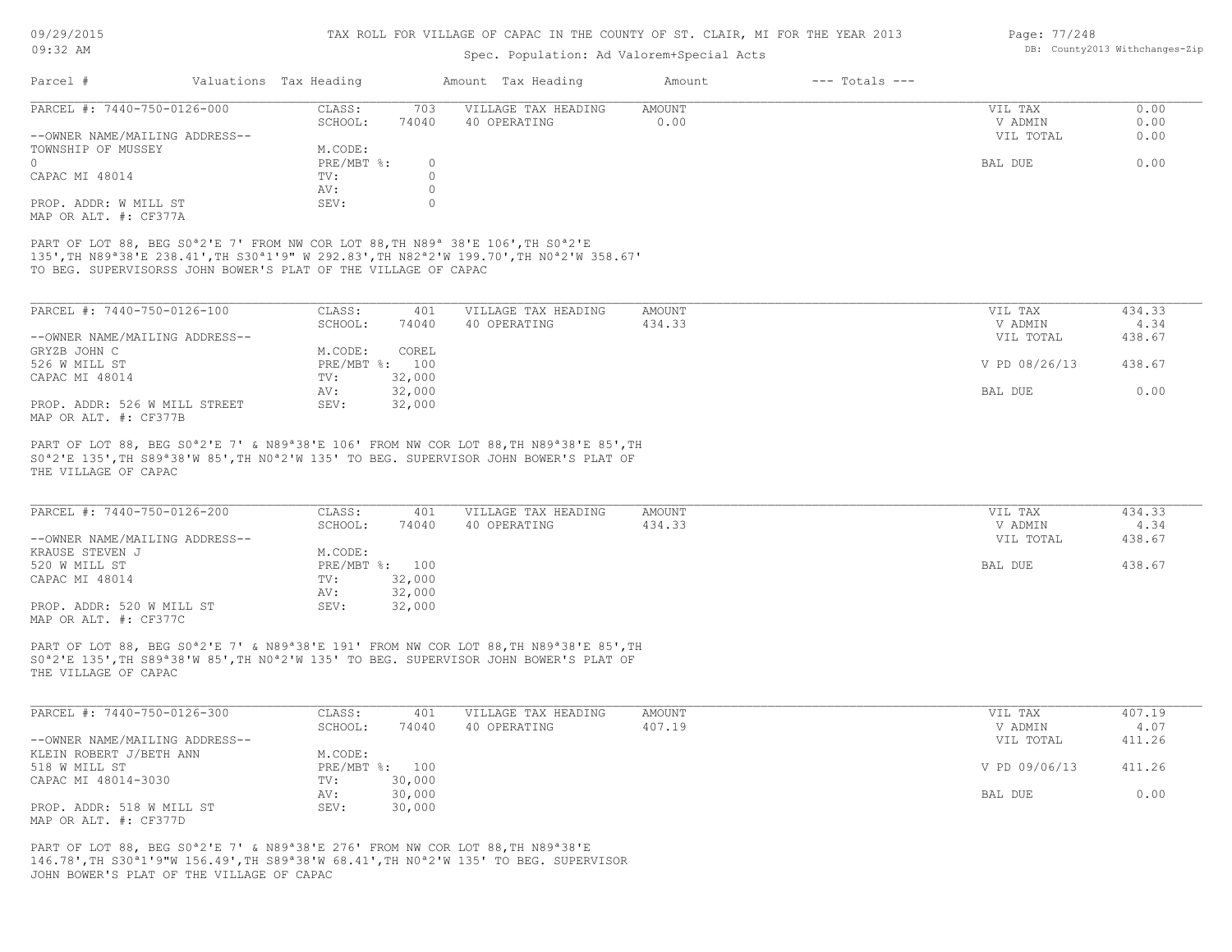### Spec. Population: Ad Valorem+Special Acts

| Page: 77/248 |                                |
|--------------|--------------------------------|
|              | DB: County2013 Withchanges-Zip |

| Parcel #                                              |  | Valuations Tax Heading | Amount Tax Heading |                     | Amount | $---$ Totals $---$ |           |      |
|-------------------------------------------------------|--|------------------------|--------------------|---------------------|--------|--------------------|-----------|------|
| PARCEL #: 7440-750-0126-000                           |  | CLASS:                 | 703                | VILLAGE TAX HEADING | AMOUNT |                    | VIL TAX   | 0.00 |
|                                                       |  | SCHOOL:                | 74040              | 40 OPERATING        | 0.00   |                    | V ADMIN   | 0.00 |
| --OWNER NAME/MAILING ADDRESS--                        |  |                        |                    |                     |        |                    | VIL TOTAL | 0.00 |
| TOWNSHIP OF MUSSEY                                    |  | M.CODE:                |                    |                     |        |                    |           |      |
| $\cap$                                                |  | $PRE/MBT$ %:           |                    |                     |        |                    | BAL DUE   | 0.00 |
| CAPAC MI 48014                                        |  | TV:                    |                    |                     |        |                    |           |      |
|                                                       |  | AV:                    |                    |                     |        |                    |           |      |
| PROP. ADDR: W MILL ST                                 |  | SEV:                   |                    |                     |        |                    |           |      |
| $\cdots$ $\cdots$ $\cdots$ $\cdots$ $\cdots$ $\cdots$ |  |                        |                    |                     |        |                    |           |      |

MAP OR ALT. #: CF377A

TO BEG. SUPERVISORSS JOHN BOWER'S PLAT OF THE VILLAGE OF CAPAC 135',TH N89ª38'E 238.41',TH S30ª1'9" W 292.83',TH N82ª2'W 199.70',TH N0ª2'W 358.67' PART OF LOT 88, BEG S0<sup>ª</sup>2'E 7' FROM NW COR LOT 88, TH N89<sup>ª</sup> 38'E 106', TH S0<sup>ª2'E</sup>

| PARCEL #: 7440-750-0126-100    | CLASS:  | 401            | VILLAGE TAX HEADING | AMOUNT | VIL TAX       | 434.33 |
|--------------------------------|---------|----------------|---------------------|--------|---------------|--------|
|                                | SCHOOL: | 74040          | 40 OPERATING        | 434.33 | V ADMIN       | 4.34   |
| --OWNER NAME/MAILING ADDRESS-- |         |                |                     |        | VIL TOTAL     | 438.67 |
| GRYZB JOHN C                   | M.CODE: | COREL          |                     |        |               |        |
| 526 W MILL ST                  |         | PRE/MBT %: 100 |                     |        | V PD 08/26/13 | 438.67 |
| CAPAC MI 48014                 | TV:     | 32,000         |                     |        |               |        |
|                                | AV:     | 32,000         |                     |        | BAL DUE       | 0.00   |
| PROP. ADDR: 526 W MILL STREET  | SEV:    | 32,000         |                     |        |               |        |
| MAP OR ALT. #: CF377B          |         |                |                     |        |               |        |

THE VILLAGE OF CAPAC S0ª2'E 135',TH S89ª38'W 85',TH N0ª2'W 135' TO BEG. SUPERVISOR JOHN BOWER'S PLAT OF PART OF LOT 88, BEG S0<sup>a</sup>2'E 7' & N89<sup>a</sup>38'E 106' FROM NW COR LOT 88, TH N89<sup>a</sup>38'E 85', TH

| PARCEL #: 7440-750-0126-200    | CLASS:  | 401            | VILLAGE TAX HEADING | AMOUNT | VIL TAX   | 434.33 |
|--------------------------------|---------|----------------|---------------------|--------|-----------|--------|
|                                | SCHOOL: | 74040          | 40 OPERATING        | 434.33 | V ADMIN   | 4.34   |
| --OWNER NAME/MAILING ADDRESS-- |         |                |                     |        | VIL TOTAL | 438.67 |
| KRAUSE STEVEN J                | M.CODE: |                |                     |        |           |        |
| 520 W MILL ST                  |         | PRE/MBT %: 100 |                     |        | BAL DUE   | 438.67 |
| CAPAC MI 48014                 | TV:     | 32,000         |                     |        |           |        |
|                                | AV:     | 32,000         |                     |        |           |        |
| PROP. ADDR: 520 W MILL ST      | SEV:    | 32,000         |                     |        |           |        |
| MAP OR ALT. #: CF377C          |         |                |                     |        |           |        |

THE VILLAGE OF CAPAC S0ª2'E 135',TH S89ª38'W 85',TH N0ª2'W 135' TO BEG. SUPERVISOR JOHN BOWER'S PLAT OF PART OF LOT 88, BEG S0<sup>a</sup>2'E 7' & N89<sup>a</sup>38'E 191' FROM NW COR LOT 88, TH N89<sup>a</sup>38'E 85', TH

| PARCEL #: 7440-750-0126-300    | CLASS:  | 401            | VILLAGE TAX HEADING | AMOUNT | VIL TAX       | 407.19 |
|--------------------------------|---------|----------------|---------------------|--------|---------------|--------|
|                                | SCHOOL: | 74040          | 40 OPERATING        | 407.19 | V ADMIN       | 4.07   |
| --OWNER NAME/MAILING ADDRESS-- |         |                |                     |        | VIL TOTAL     | 411.26 |
| KLEIN ROBERT J/BETH ANN        | M.CODE: |                |                     |        |               |        |
| 518 W MILL ST                  |         | PRE/MBT %: 100 |                     |        | V PD 09/06/13 | 411.26 |
| CAPAC MI 48014-3030            | TV:     | 30,000         |                     |        |               |        |
|                                | AV:     | 30,000         |                     |        | BAL DUE       | 0.00   |
| PROP. ADDR: 518 W MILL ST      | SEV:    | 30,000         |                     |        |               |        |
| MAP OR ALT. #: CF377D          |         |                |                     |        |               |        |

JOHN BOWER'S PLAT OF THE VILLAGE OF CAPAC 146.78',TH S30ª1'9"W 156.49',TH S89ª38'W 68.41',TH N0ª2'W 135' TO BEG. SUPERVISOR PART OF LOT 88, BEG S0ª2'E 7' & N89ª38'E 276' FROM NW COR LOT 88,TH N89ª38'E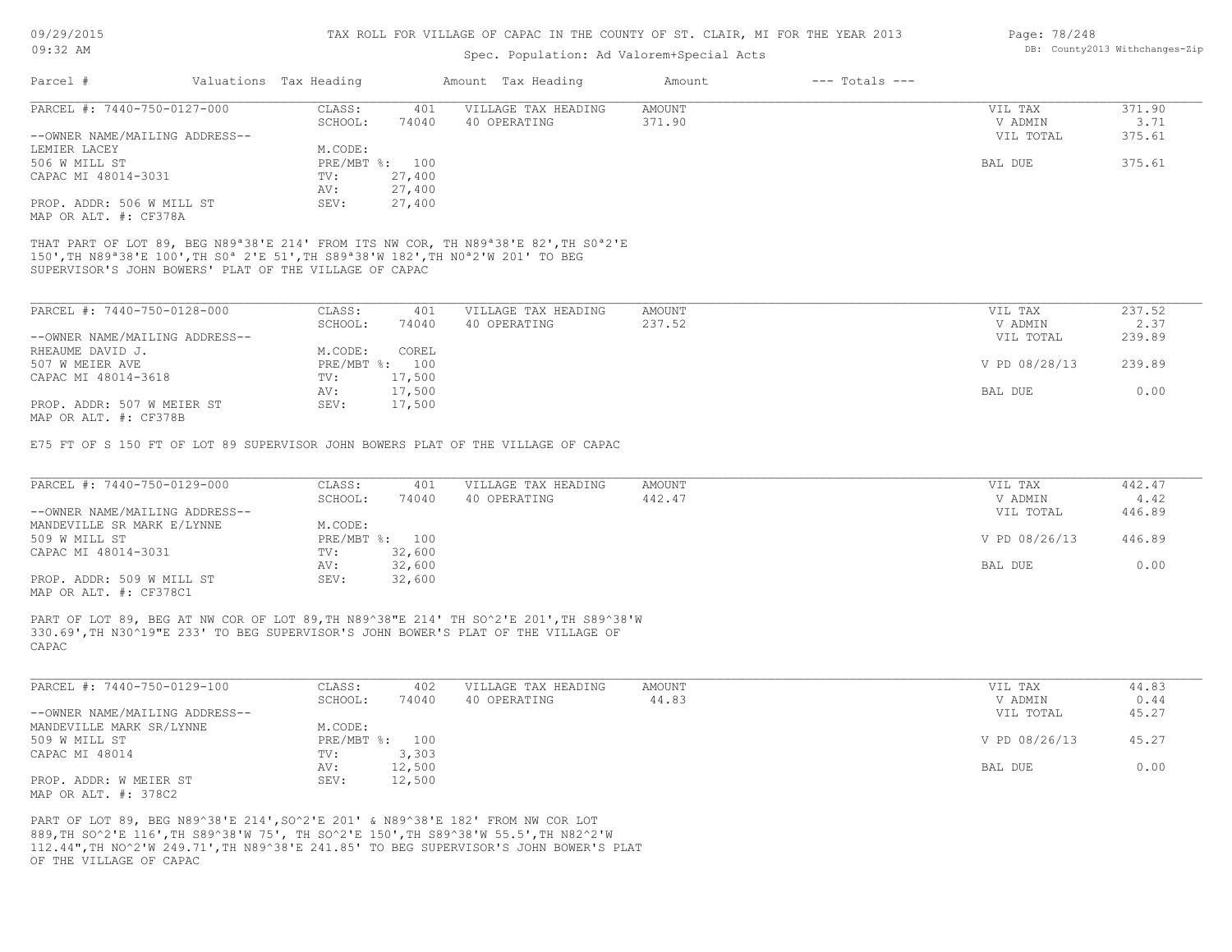### Spec. Population: Ad Valorem+Special Acts

| Page: 78/248 |                                |
|--------------|--------------------------------|
|              | DB: County2013 Withchanges-Zip |

| Parcel #                                               | Valuations Tax Heading |                    | Amount Tax Heading                                                                                                                                                                                                                                              | Amount        | $---$ Totals $---$ |                |        |
|--------------------------------------------------------|------------------------|--------------------|-----------------------------------------------------------------------------------------------------------------------------------------------------------------------------------------------------------------------------------------------------------------|---------------|--------------------|----------------|--------|
| PARCEL #: 7440-750-0127-000                            | CLASS:                 | 401                | VILLAGE TAX HEADING                                                                                                                                                                                                                                             | AMOUNT        |                    | VIL TAX        | 371.90 |
|                                                        | SCHOOL:                | 74040              | 40 OPERATING                                                                                                                                                                                                                                                    | 371.90        |                    | V ADMIN        | 3.71   |
| --OWNER NAME/MAILING ADDRESS--                         |                        |                    |                                                                                                                                                                                                                                                                 |               |                    | VIL TOTAL      | 375.61 |
| LEMIER LACEY                                           | M.CODE:                |                    |                                                                                                                                                                                                                                                                 |               |                    |                |        |
| 506 W MILL ST                                          |                        | PRE/MBT %: 100     |                                                                                                                                                                                                                                                                 |               |                    | BAL DUE        | 375.61 |
| CAPAC MI 48014-3031                                    | TV:                    | 27,400             |                                                                                                                                                                                                                                                                 |               |                    |                |        |
|                                                        | AV:                    | 27,400             |                                                                                                                                                                                                                                                                 |               |                    |                |        |
| PROP. ADDR: 506 W MILL ST                              | SEV:                   | 27,400             |                                                                                                                                                                                                                                                                 |               |                    |                |        |
| MAP OR ALT. #: CF378A                                  |                        |                    |                                                                                                                                                                                                                                                                 |               |                    |                |        |
| SUPERVISOR'S JOHN BOWERS' PLAT OF THE VILLAGE OF CAPAC |                        |                    | THAT PART OF LOT 89, BEG N89 <sup>ª</sup> 38'E 214' FROM ITS NW COR, TH N89 <sup>ª</sup> 38'E 82', TH S0 <sup>ª</sup> 2'E<br>150', TH N89 <sup>a</sup> 38'E 100', TH S0 <sup>a</sup> 2'E 51', TH S89 <sup>a</sup> 38'W 182', TH N0 <sup>a</sup> 2'W 201' TO BEG |               |                    |                |        |
| DADCET #, 7440 750 0139 000                            | CTROC                  | $\Lambda$ $\cap$ 1 | <u>מאדרו היחוז עומח יחמות הי</u>                                                                                                                                                                                                                                | <b>AMOUNT</b> |                    | <b>TTT mAV</b> | 22752  |

| PARCEL #: 7440-750-0128-000    | CLASS:       | 401    | VILLAGE TAX HEADING | AMOUNT | VIL TAX       | 237.52 |  |
|--------------------------------|--------------|--------|---------------------|--------|---------------|--------|--|
|                                | SCHOOL:      | 74040  | 40 OPERATING        | 237.52 | V ADMIN       | 2.37   |  |
| --OWNER NAME/MAILING ADDRESS-- |              |        |                     |        | VIL TOTAL     | 239.89 |  |
| RHEAUME DAVID J.               | M.CODE:      | COREL  |                     |        |               |        |  |
| 507 W MEIER AVE                | $PRE/MBT$ %: | 100    |                     |        | V PD 08/28/13 | 239.89 |  |
| CAPAC MI 48014-3618            | TV:          | 17,500 |                     |        |               |        |  |
|                                | AV:          | 17,500 |                     |        | BAL DUE       | 0.00   |  |
| PROP. ADDR: 507 W MEIER ST     | SEV:         | 17,500 |                     |        |               |        |  |
| תמדכתית .4. חזג תת תגזון       |              |        |                     |        |               |        |  |

MAP OR ALT. #: CF378B

E75 FT OF S 150 FT OF LOT 89 SUPERVISOR JOHN BOWERS PLAT OF THE VILLAGE OF CAPAC

| PARCEL #: 7440-750-0129-000    | CLASS:  | 401            | VILLAGE TAX HEADING | AMOUNT | VIL TAX       | 442.47 |
|--------------------------------|---------|----------------|---------------------|--------|---------------|--------|
|                                | SCHOOL: | 74040          | 40 OPERATING        | 442.47 | V ADMIN       | 4.42   |
| --OWNER NAME/MAILING ADDRESS-- |         |                |                     |        | VIL TOTAL     | 446.89 |
| MANDEVILLE SR MARK E/LYNNE     | M.CODE: |                |                     |        |               |        |
| 509 W MILL ST                  |         | PRE/MBT %: 100 |                     |        | V PD 08/26/13 | 446.89 |
| CAPAC MI 48014-3031            | TV:     | 32,600         |                     |        |               |        |
|                                | AV:     | 32,600         |                     |        | BAL DUE       | 0.00   |
| PROP. ADDR: 509 W MILL ST      | SEV:    | 32,600         |                     |        |               |        |
| MAP OR ALT. #: CF378C1         |         |                |                     |        |               |        |

CAPAC 330.69',TH N30^19"E 233' TO BEG SUPERVISOR'S JOHN BOWER'S PLAT OF THE VILLAGE OF PART OF LOT 89, BEG AT NW COR OF LOT 89,TH N89^38"E 214' TH SO^2'E 201',TH S89^38'W

| PARCEL #: 7440-750-0129-100    | CLASS:  | 402            | VILLAGE TAX HEADING | AMOUNT | VIL TAX       | 44.83 |
|--------------------------------|---------|----------------|---------------------|--------|---------------|-------|
|                                | SCHOOL: | 74040          | 40 OPERATING        | 44.83  | V ADMIN       | 0.44  |
| --OWNER NAME/MAILING ADDRESS-- |         |                |                     |        | VIL TOTAL     | 45.27 |
| MANDEVILLE MARK SR/LYNNE       | M.CODE: |                |                     |        |               |       |
| 509 W MILL ST                  |         | PRE/MBT %: 100 |                     |        | V PD 08/26/13 | 45.27 |
| CAPAC MI 48014                 | TV:     | 3,303          |                     |        |               |       |
|                                | AV:     | 12,500         |                     |        | BAL DUE       | 0.00  |
| PROP. ADDR: W MEIER ST         | SEV:    | 12,500         |                     |        |               |       |
| MAP OR ALT. #: 378C2           |         |                |                     |        |               |       |

OF THE VILLAGE OF CAPAC 112.44",TH NO^2'W 249.71',TH N89^38'E 241.85' TO BEG SUPERVISOR'S JOHN BOWER'S PLAT 889,TH SO^2'E 116',TH S89^38'W 75', TH SO^2'E 150',TH S89^38'W 55.5',TH N82^2'W PART OF LOT 89, BEG N89^38'E 214',SO^2'E 201' & N89^38'E 182' FROM NW COR LOT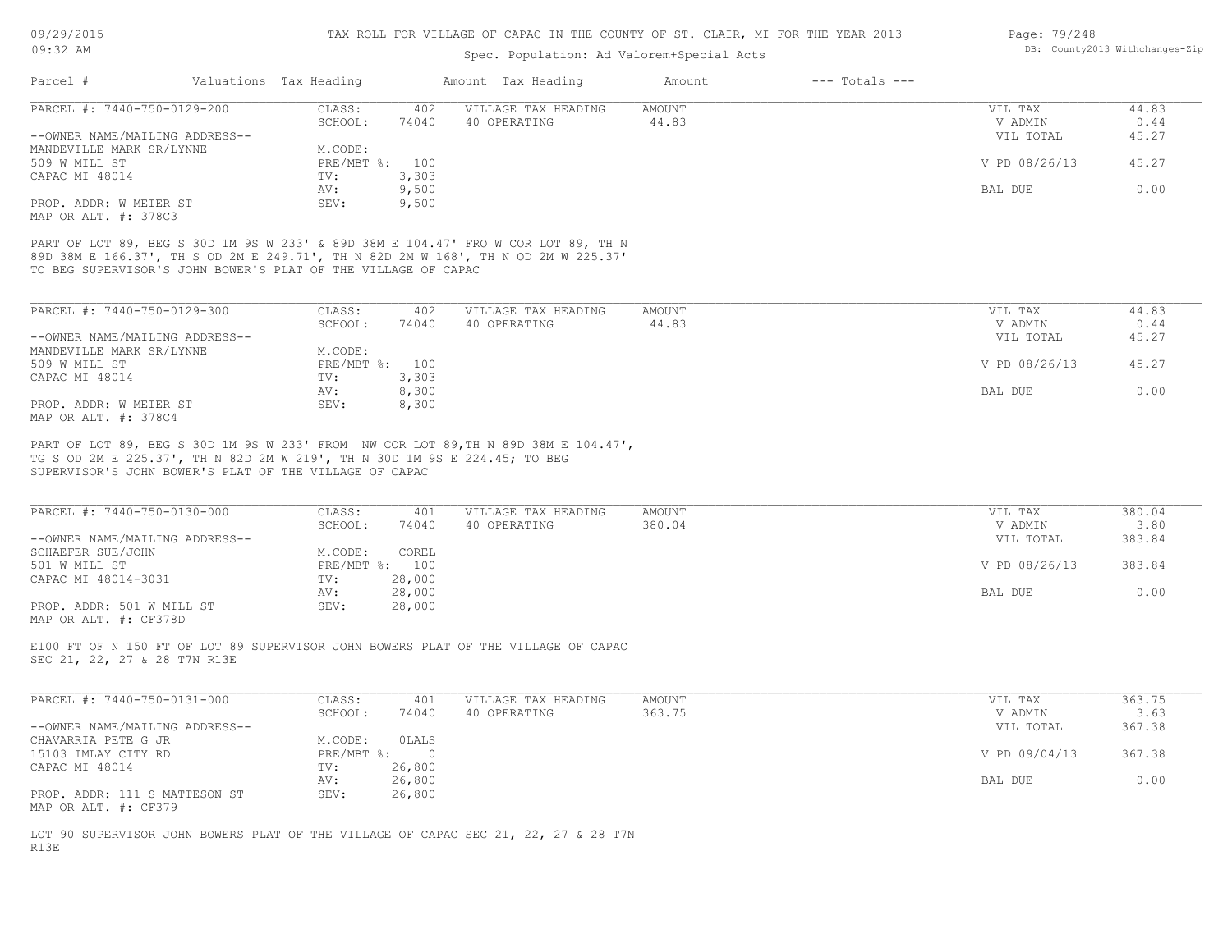MAP OR ALT. #: 378C3

#### TAX ROLL FOR VILLAGE OF CAPAC IN THE COUNTY OF ST. CLAIR, MI FOR THE YEAR 2013

### Spec. Population: Ad Valorem+Special Acts

|                                |         |                        |                     | Amount             | $---$ Totals $---$ |               |       |
|--------------------------------|---------|------------------------|---------------------|--------------------|--------------------|---------------|-------|
| PARCEL #: 7440-750-0129-200    | CLASS:  | 402                    | VILLAGE TAX HEADING | AMOUNT             |                    | VIL TAX       | 44.83 |
|                                | SCHOOL: | 74040                  | 40 OPERATING        | 44.83              |                    | V ADMIN       | 0.44  |
| --OWNER NAME/MAILING ADDRESS-- |         |                        |                     |                    |                    | VIL TOTAL     | 45.27 |
| MANDEVILLE MARK SR/LYNNE       | M.CODE: |                        |                     |                    |                    |               |       |
|                                |         |                        |                     |                    |                    | V PD 08/26/13 | 45.27 |
|                                | TV:     | 3,303                  |                     |                    |                    |               |       |
|                                | AV:     | 9,500                  |                     |                    |                    | BAL DUE       | 0.00  |
|                                |         | Valuations Tax Heading | PRE/MBT %: 100      | Amount Tax Heading |                    |               |       |

TO BEG SUPERVISOR'S JOHN BOWER'S PLAT OF THE VILLAGE OF CAPAC 89D 38M E 166.37', TH S OD 2M E 249.71', TH N 82D 2M W 168', TH N OD 2M W 225.37' PART OF LOT 89, BEG S 30D 1M 9S W 233' & 89D 38M E 104.47' FRO W COR LOT 89, TH N

PROP. ADDR: W MEIER ST SEV: 9,500

| PARCEL #: 7440-750-0129-300    | CLASS:  | 402            | VILLAGE TAX HEADING | AMOUNT | VIL TAX       | 44.83 |
|--------------------------------|---------|----------------|---------------------|--------|---------------|-------|
|                                | SCHOOL: | 74040          | 40 OPERATING        | 44.83  | V ADMIN       | 0.44  |
| --OWNER NAME/MAILING ADDRESS-- |         |                |                     |        | VIL TOTAL     | 45.27 |
| MANDEVILLE MARK SR/LYNNE       | M.CODE: |                |                     |        |               |       |
| 509 W MILL ST                  |         | PRE/MBT %: 100 |                     |        | V PD 08/26/13 | 45.27 |
| CAPAC MI 48014                 | TV:     | 3,303          |                     |        |               |       |
|                                | AV:     | 8,300          |                     |        | BAL DUE       | 0.00  |
| PROP. ADDR: W MEIER ST         | SEV:    | 8,300          |                     |        |               |       |
| MAP OR ALT. #: 378C4           |         |                |                     |        |               |       |

SUPERVISOR'S JOHN BOWER'S PLAT OF THE VILLAGE OF CAPAC TG S OD 2M E 225.37', TH N 82D 2M W 219', TH N 30D 1M 9S E 224.45; TO BEG PART OF LOT 89, BEG S 30D 1M 9S W 233' FROM NW COR LOT 89,TH N 89D 38M E 104.47',

| PARCEL #: 7440-750-0130-000    | CLASS:  | 401            | VILLAGE TAX HEADING | AMOUNT | VIL TAX       | 380.04 |
|--------------------------------|---------|----------------|---------------------|--------|---------------|--------|
|                                | SCHOOL: | 74040          | 40 OPERATING        | 380.04 | V ADMIN       | 3.80   |
| --OWNER NAME/MAILING ADDRESS-- |         |                |                     |        | VIL TOTAL     | 383.84 |
| SCHAEFER SUE/JOHN              | M.CODE: | COREL          |                     |        |               |        |
| 501 W MILL ST                  |         | PRE/MBT %: 100 |                     |        | V PD 08/26/13 | 383.84 |
| CAPAC MI 48014-3031            | TV:     | 28,000         |                     |        |               |        |
|                                | AV:     | 28,000         |                     |        | BAL DUE       | 0.00   |
| PROP. ADDR: 501 W MILL ST      | SEV:    | 28,000         |                     |        |               |        |
| MAP OR ALT. #: CF378D          |         |                |                     |        |               |        |

SEC 21, 22, 27 & 28 T7N R13E E100 FT OF N 150 FT OF LOT 89 SUPERVISOR JOHN BOWERS PLAT OF THE VILLAGE OF CAPAC

| PARCEL #: 7440-750-0131-000                           | CLASS:       | 401    | VILLAGE TAX HEADING | AMOUNT | VIL TAX       | 363.75 |
|-------------------------------------------------------|--------------|--------|---------------------|--------|---------------|--------|
|                                                       | SCHOOL:      | 74040  | 40 OPERATING        | 363.75 | V ADMIN       | 3.63   |
| --OWNER NAME/MAILING ADDRESS--                        |              |        |                     |        | VIL TOTAL     | 367.38 |
| CHAVARRIA PETE G JR                                   | M.CODE:      | OLALS  |                     |        |               |        |
| 15103 IMLAY CITY RD                                   | $PRE/MBT$ %: |        |                     |        | V PD 09/04/13 | 367.38 |
| CAPAC MI 48014                                        | TV:          | 26,800 |                     |        |               |        |
|                                                       | AV:          | 26,800 |                     |        | BAL DUE       | 0.00   |
| PROP. ADDR: 111 S MATTESON ST<br>MAP OR ALT. #: CF379 | SEV:         | 26,800 |                     |        |               |        |

R13E LOT 90 SUPERVISOR JOHN BOWERS PLAT OF THE VILLAGE OF CAPAC SEC 21, 22, 27 & 28 T7N Page: 79/248 DB: County2013 Withchanges-Zip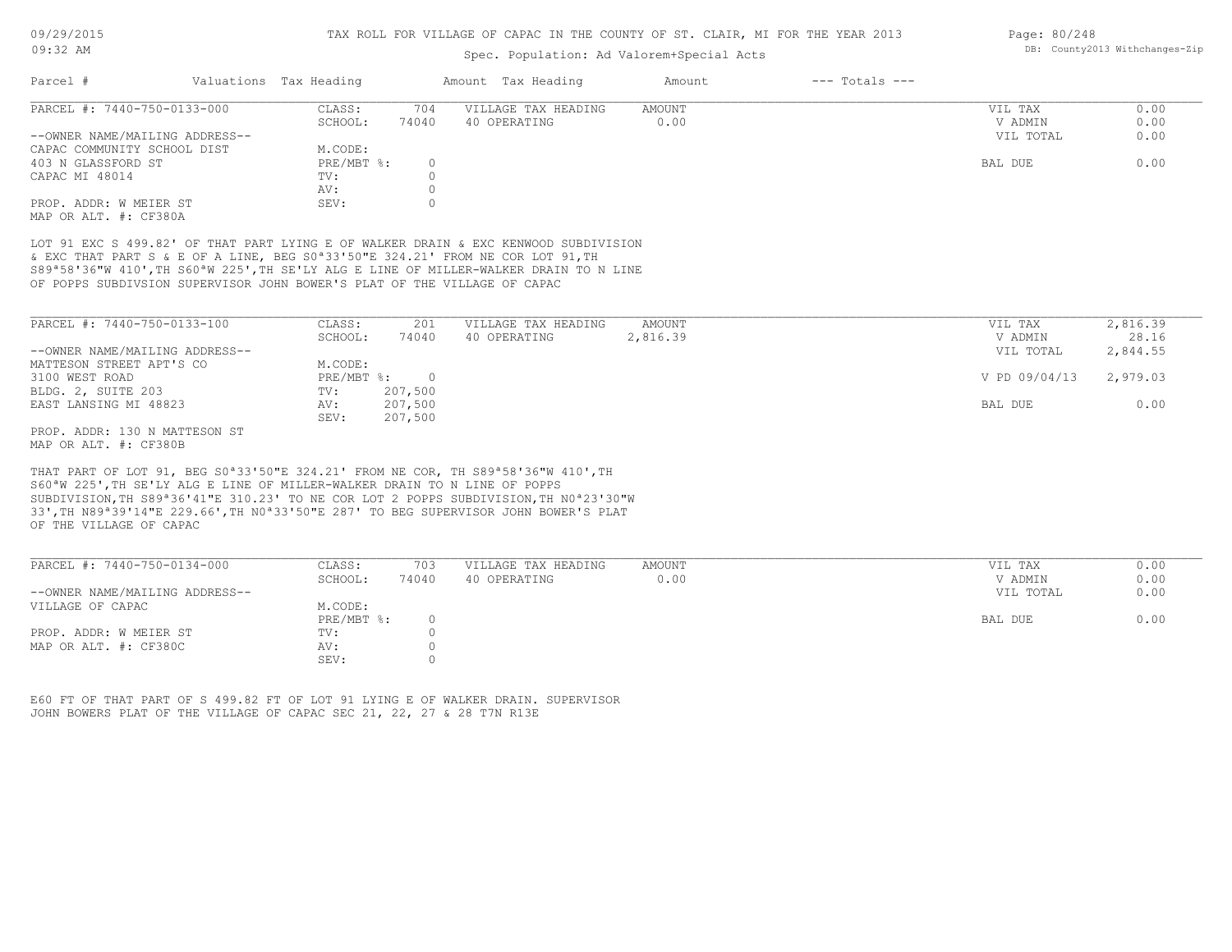### Spec. Population: Ad Valorem+Special Acts

| Parcel #                       | Valuations Tax Heading |       | Amount Tax Heading  | Amount | $---$ Totals $---$ |           |      |
|--------------------------------|------------------------|-------|---------------------|--------|--------------------|-----------|------|
| PARCEL #: 7440-750-0133-000    | CLASS:                 | 704   | VILLAGE TAX HEADING | AMOUNT |                    | VIL TAX   | 0.00 |
|                                | SCHOOL:                | 74040 | 40 OPERATING        | 0.00   |                    | V ADMIN   | 0.00 |
| --OWNER NAME/MAILING ADDRESS-- |                        |       |                     |        |                    | VIL TOTAL | 0.00 |
| CAPAC COMMUNITY SCHOOL DIST    | M.CODE:                |       |                     |        |                    |           |      |
| 403 N GLASSFORD ST             | PRE/MBT %:             |       |                     |        |                    | BAL DUE   | 0.00 |
| CAPAC MI 48014                 | TV:                    |       |                     |        |                    |           |      |
|                                | AV:                    |       |                     |        |                    |           |      |
| PROP. ADDR: W MEIER ST         | SEV:                   |       |                     |        |                    |           |      |
| MAP OR ALT. #: CF380A          |                        |       |                     |        |                    |           |      |

OF POPPS SUBDIVSION SUPERVISOR JOHN BOWER'S PLAT OF THE VILLAGE OF CAPAC S89ª58'36"W 410',TH S60ªW 225',TH SE'LY ALG E LINE OF MILLER-WALKER DRAIN TO N LINE & EXC THAT PART S & E OF A LINE, BEG S0ª33'50"E 324.21' FROM NE COR LOT 91,TH LOT 91 EXC S 499.82' OF THAT PART LYING E OF WALKER DRAIN & EXC KENWOOD SUBDIVISION

| PARCEL #: 7440-750-0133-100    | CLASS:       | 201      | VILLAGE TAX HEADING | AMOUNT   | VIL TAX       | 2,816.39 |
|--------------------------------|--------------|----------|---------------------|----------|---------------|----------|
|                                | SCHOOL:      | 74040    | 40 OPERATING        | 2,816.39 | V ADMIN       | 28.16    |
| --OWNER NAME/MAILING ADDRESS-- |              |          |                     |          | VIL TOTAL     | 2,844.55 |
| MATTESON STREET APT'S CO       | M.CODE:      |          |                     |          |               |          |
| 3100 WEST ROAD                 | $PRE/MBT$ %: | $\Omega$ |                     |          | V PD 09/04/13 | 2,979.03 |
| BLDG. 2, SUITE 203             | TV:          | 207,500  |                     |          |               |          |
| EAST LANSING MI 48823          | AV:          | 207,500  |                     |          | BAL DUE       | 0.00     |
|                                | SEV:         | 207,500  |                     |          |               |          |
| PROP. ADDR: 130 N MATTESON ST  |              |          |                     |          |               |          |

MAP OR ALT. #: CF380B

OF THE VILLAGE OF CAPAC 33',TH N89ª39'14"E 229.66',TH N0ª33'50"E 287' TO BEG SUPERVISOR JOHN BOWER'S PLAT SUBDIVISION,TH S89ª36'41"E 310.23' TO NE COR LOT 2 POPPS SUBDIVISION,TH N0ª23'30"W S60ªW 225',TH SE'LY ALG E LINE OF MILLER-WALKER DRAIN TO N LINE OF POPPS THAT PART OF LOT 91, BEG S0ª33'50"E 324.21' FROM NE COR, TH S89ª58'36"W 410',TH

| PARCEL #: 7440-750-0134-000    | CLASS:       | 703   | VILLAGE TAX HEADING | AMOUNT | VIL TAX   | 0.00 |
|--------------------------------|--------------|-------|---------------------|--------|-----------|------|
|                                | SCHOOL:      | 74040 | 40 OPERATING        | 0.00   | V ADMIN   | 0.00 |
| --OWNER NAME/MAILING ADDRESS-- |              |       |                     |        | VIL TOTAL | 0.00 |
| VILLAGE OF CAPAC               | M.CODE:      |       |                     |        |           |      |
|                                | $PRE/MBT$ %: |       |                     |        | BAL DUE   | 0.00 |
| PROP. ADDR: W MEIER ST         | TV:          |       |                     |        |           |      |
| MAP OR ALT. #: CF380C          | AV:          |       |                     |        |           |      |
|                                | SEV:         |       |                     |        |           |      |

JOHN BOWERS PLAT OF THE VILLAGE OF CAPAC SEC 21, 22, 27 & 28 T7N R13E E60 FT OF THAT PART OF S 499.82 FT OF LOT 91 LYING E OF WALKER DRAIN. SUPERVISOR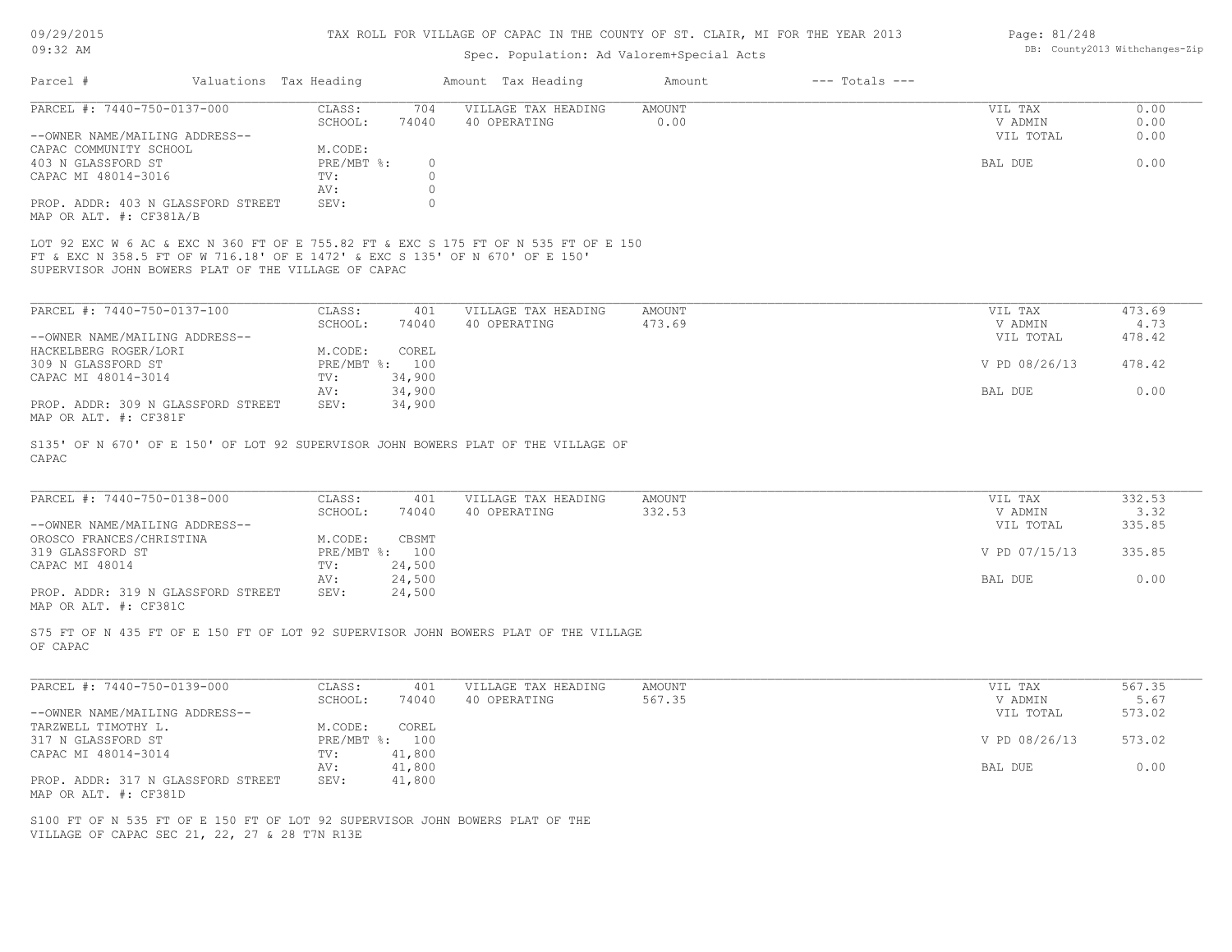# 09/29/2015

#### TAX ROLL FOR VILLAGE OF CAPAC IN THE COUNTY OF ST. CLAIR, MI FOR THE YEAR 2013

| 09:32 AM                                                                                                                                                                                                                   |                                 | DB: County2013 Withchanges-Zip |               |                |               |        |
|----------------------------------------------------------------------------------------------------------------------------------------------------------------------------------------------------------------------------|---------------------------------|--------------------------------|---------------|----------------|---------------|--------|
| Valuations Tax Heading<br>Parcel #                                                                                                                                                                                         |                                 | Amount Tax Heading             | Amount        | --- Totals --- |               |        |
| PARCEL #: 7440-750-0137-000                                                                                                                                                                                                | CLASS:<br>704                   | VILLAGE TAX HEADING            | AMOUNT        |                | VIL TAX       | 0.00   |
|                                                                                                                                                                                                                            | 74040<br>SCHOOL:                | 40 OPERATING                   | 0.00          |                | V ADMIN       | 0.00   |
| --OWNER NAME/MAILING ADDRESS--                                                                                                                                                                                             |                                 |                                |               |                | VIL TOTAL     | 0.00   |
| CAPAC COMMUNITY SCHOOL                                                                                                                                                                                                     | M.CODE:                         |                                |               |                |               |        |
| 403 N GLASSFORD ST                                                                                                                                                                                                         | $PRE/MBT$ %:<br>$\circ$         |                                |               |                | BAL DUE       | 0.00   |
| CAPAC MI 48014-3016                                                                                                                                                                                                        | TV:<br>$\Omega$                 |                                |               |                |               |        |
|                                                                                                                                                                                                                            | $\circ$<br>AV:                  |                                |               |                |               |        |
| PROP. ADDR: 403 N GLASSFORD STREET<br>MAP OR ALT. #: CF381A/B                                                                                                                                                              | SEV:<br>$\Omega$                |                                |               |                |               |        |
| LOT 92 EXC W 6 AC & EXC N 360 FT OF E 755.82 FT & EXC S 175 FT OF N 535 FT OF E 150<br>FT & EXC N 358.5 FT OF W 716.18' OF E 1472' & EXC S 135' OF N 670' OF E 150'<br>SUPERVISOR JOHN BOWERS PLAT OF THE VILLAGE OF CAPAC |                                 |                                |               |                |               |        |
|                                                                                                                                                                                                                            |                                 |                                |               |                |               |        |
| PARCEL #: 7440-750-0137-100                                                                                                                                                                                                | CLASS:<br>401                   | VILLAGE TAX HEADING            | <b>AMOUNT</b> |                | VIL TAX       | 473.69 |
|                                                                                                                                                                                                                            | SCHOOL:<br>74040                | 40 OPERATING                   | 473.69        |                | V ADMIN       | 4.73   |
| --OWNER NAME/MAILING ADDRESS--                                                                                                                                                                                             |                                 |                                |               |                | VIL TOTAL     | 478.42 |
| HACKELBERG ROGER/LORI                                                                                                                                                                                                      | M.CODE:<br>COREL                |                                |               |                |               |        |
| 309 N GLASSFORD ST                                                                                                                                                                                                         | PRE/MBT %: 100                  |                                |               |                | V PD 08/26/13 | 478.42 |
| CAPAC MI 48014-3014                                                                                                                                                                                                        | 34,900<br>TV:                   |                                |               |                |               |        |
|                                                                                                                                                                                                                            | 34,900<br>AV:                   |                                |               |                | BAL DUE       | 0.00   |
| PROP. ADDR: 309 N GLASSFORD STREET<br>MAP OR ALT. #: CF381F                                                                                                                                                                | SEV:<br>34,900                  |                                |               |                |               |        |
| S135' OF N 670' OF E 150' OF LOT 92 SUPERVISOR JOHN BOWERS PLAT OF THE VILLAGE OF<br>CAPAC                                                                                                                                 |                                 |                                |               |                |               |        |
| PARCEL #: 7440-750-0138-000                                                                                                                                                                                                | CLASS:<br>401                   | VILLAGE TAX HEADING            | AMOUNT        |                | VIL TAX       | 332.53 |
|                                                                                                                                                                                                                            | 74040<br>SCHOOL:                | 40 OPERATING                   | 332.53        |                | V ADMIN       | 3.32   |
|                                                                                                                                                                                                                            |                                 |                                |               |                | VIL TOTAL     | 335.85 |
| --OWNER NAME/MAILING ADDRESS--                                                                                                                                                                                             |                                 |                                |               |                |               |        |
| OROSCO FRANCES/CHRISTINA                                                                                                                                                                                                   | M.CODE:<br>CBSMT                |                                |               |                |               |        |
| 319 GLASSFORD ST                                                                                                                                                                                                           | PRE/MBT %: 100                  |                                |               |                | V PD 07/15/13 | 335.85 |
| CAPAC MI 48014                                                                                                                                                                                                             | 24,500<br>TV:                   |                                |               |                |               |        |
| PROP. ADDR: 319 N GLASSFORD STREET<br>MAP OR ALT. #: CF381C                                                                                                                                                                | 24,500<br>AV:<br>24,500<br>SEV: |                                |               |                | BAL DUE       | 0.00   |
| S75 FT OF N 435 FT OF E 150 FT OF LOT 92 SUPERVISOR JOHN BOWERS PLAT OF THE VILLAGE<br>OF CAPAC                                                                                                                            |                                 |                                |               |                |               |        |
|                                                                                                                                                                                                                            |                                 |                                |               |                |               |        |
| PARCEL #: 7440-750-0139-000                                                                                                                                                                                                | CLASS:<br>401                   | VILLAGE TAX HEADING            | AMOUNT        |                | VIL TAX       | 567.35 |
|                                                                                                                                                                                                                            | SCHOOL:<br>74040                | 40 OPERATING                   | 567.35        |                | V ADMIN       | 5.67   |
| --OWNER NAME/MAILING ADDRESS--                                                                                                                                                                                             |                                 |                                |               |                | VIL TOTAL     | 573.02 |
| TARZWELL TIMOTHY L.                                                                                                                                                                                                        | M.CODE:<br>COREL                |                                |               |                |               |        |
|                                                                                                                                                                                                                            |                                 |                                |               |                | V PD 08/26/13 | 573.02 |
| 317 N GLASSFORD ST                                                                                                                                                                                                         | PRE/MBT %: 100                  |                                |               |                |               |        |
| CAPAC MI 48014-3014                                                                                                                                                                                                        | TV:<br>41,800                   |                                |               |                |               |        |
|                                                                                                                                                                                                                            | 41,800<br>AV:                   |                                |               |                | BAL DUE       | 0.00   |

MAP OR ALT. #: CF381D PROP. ADDR: 317 N GLASSFORD STREET SEV: 41,800

VILLAGE OF CAPAC SEC 21, 22, 27 & 28 T7N R13E S100 FT OF N 535 FT OF E 150 FT OF LOT 92 SUPERVISOR JOHN BOWERS PLAT OF THE

Page: 81/248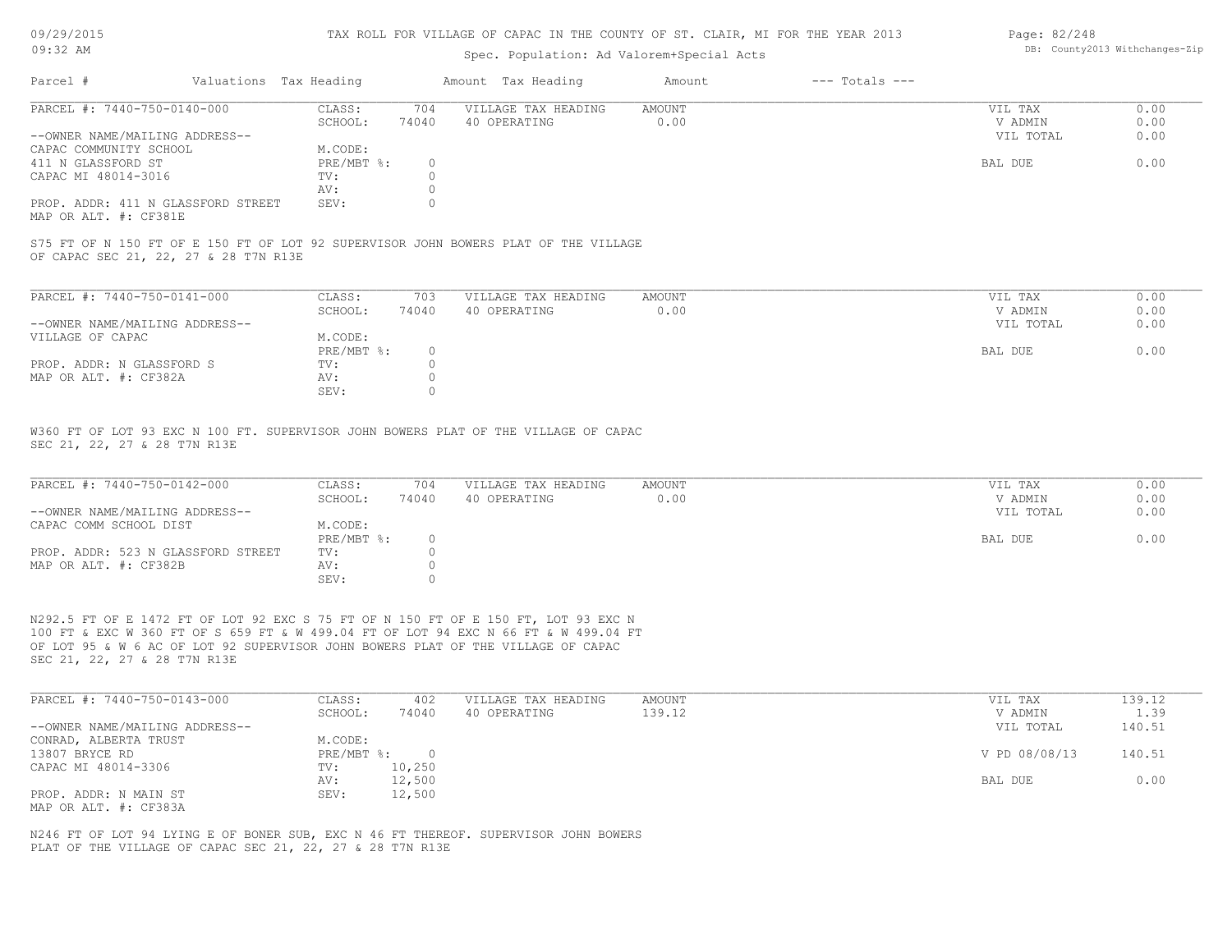#### 09/29/2015 09:32 AM

#### TAX ROLL FOR VILLAGE OF CAPAC IN THE COUNTY OF ST. CLAIR, MI FOR THE YEAR 2013

### Spec. Population: Ad Valorem+Special Acts

| Page: 82/248 |                                |
|--------------|--------------------------------|
|              | DB: County2013 Withchanges-Zip |

| Parcel #                           | Valuations Tax Heading |       | Amount Tax Heading  | Amount | $---$ Totals $---$ |           |      |
|------------------------------------|------------------------|-------|---------------------|--------|--------------------|-----------|------|
| PARCEL #: 7440-750-0140-000        | CLASS:                 | 704   | VILLAGE TAX HEADING | AMOUNT |                    | VIL TAX   | 0.00 |
|                                    | SCHOOL:                | 74040 | 40 OPERATING        | 0.00   |                    | V ADMIN   | 0.00 |
| --OWNER NAME/MAILING ADDRESS--     |                        |       |                     |        |                    | VIL TOTAL | 0.00 |
| CAPAC COMMUNITY SCHOOL             | M.CODE:                |       |                     |        |                    |           |      |
| 411 N GLASSFORD ST                 | PRE/MBT %:             |       |                     |        |                    | BAL DUE   | 0.00 |
| CAPAC MI 48014-3016                | TV:                    |       |                     |        |                    |           |      |
|                                    | AV:                    |       |                     |        |                    |           |      |
| PROP. ADDR: 411 N GLASSFORD STREET | SEV:                   |       |                     |        |                    |           |      |
|                                    |                        |       |                     |        |                    |           |      |

MAP OR ALT. #: CF381E

OF CAPAC SEC 21, 22, 27 & 28 T7N R13E S75 FT OF N 150 FT OF E 150 FT OF LOT 92 SUPERVISOR JOHN BOWERS PLAT OF THE VILLAGE

| PARCEL #: 7440-750-0141-000    | CLASS:     | 703   | VILLAGE TAX HEADING | AMOUNT | VIL TAX   | 0.00 |
|--------------------------------|------------|-------|---------------------|--------|-----------|------|
|                                | SCHOOL:    | 74040 | 40 OPERATING        | 0.00   | V ADMIN   | 0.00 |
| --OWNER NAME/MAILING ADDRESS-- |            |       |                     |        | VIL TOTAL | 0.00 |
| VILLAGE OF CAPAC               | M.CODE:    |       |                     |        |           |      |
|                                | PRE/MBT %: |       |                     |        | BAL DUE   | 0.00 |
| PROP. ADDR: N GLASSFORD S      | TV:        |       |                     |        |           |      |
| MAP OR ALT. #: CF382A          | AV:        |       |                     |        |           |      |
|                                | SEV:       |       |                     |        |           |      |

SEC 21, 22, 27 & 28 T7N R13E W360 FT OF LOT 93 EXC N 100 FT. SUPERVISOR JOHN BOWERS PLAT OF THE VILLAGE OF CAPAC

| PARCEL #: 7440-750-0142-000        | CLASS:     | 704   | VILLAGE TAX HEADING | AMOUNT | VIL TAX   | 0.00 |
|------------------------------------|------------|-------|---------------------|--------|-----------|------|
|                                    | SCHOOL:    | 74040 | 40 OPERATING        | 0.00   | V ADMIN   | 0.00 |
| --OWNER NAME/MAILING ADDRESS--     |            |       |                     |        | VIL TOTAL | 0.00 |
| CAPAC COMM SCHOOL DIST             | M.CODE:    |       |                     |        |           |      |
|                                    | PRE/MBT %: |       |                     |        | BAL DUE   | 0.00 |
| PROP. ADDR: 523 N GLASSFORD STREET | TV:        |       |                     |        |           |      |
| MAP OR ALT. #: CF382B              | AV:        |       |                     |        |           |      |
|                                    | SEV:       |       |                     |        |           |      |

SEC 21, 22, 27 & 28 T7N R13E OF LOT 95 & W 6 AC OF LOT 92 SUPERVISOR JOHN BOWERS PLAT OF THE VILLAGE OF CAPAC 100 FT & EXC W 360 FT OF S 659 FT & W 499.04 FT OF LOT 94 EXC N 66 FT & W 499.04 FT N292.5 FT OF E 1472 FT OF LOT 92 EXC S 75 FT OF N 150 FT OF E 150 FT, LOT 93 EXC N

| PARCEL #: 7440-750-0143-000    | CLASS:     | 402    | VILLAGE TAX HEADING | AMOUNT | VIL TAX       | 139.12 |
|--------------------------------|------------|--------|---------------------|--------|---------------|--------|
|                                | SCHOOL:    | 74040  | 40 OPERATING        | 139.12 | V ADMIN       | 1.39   |
| --OWNER NAME/MAILING ADDRESS-- |            |        |                     |        | VIL TOTAL     | 140.51 |
| CONRAD, ALBERTA TRUST          | M.CODE:    |        |                     |        |               |        |
| 13807 BRYCE RD                 | PRE/MBT %: |        |                     |        | V PD 08/08/13 | 140.51 |
| CAPAC MI 48014-3306            | TV:        | 10,250 |                     |        |               |        |
|                                | AV:        | 12,500 |                     |        | BAL DUE       | 0.00   |
| PROP. ADDR: N MAIN ST          | SEV:       | 12,500 |                     |        |               |        |
| MAP OR ALT. #: CF383A          |            |        |                     |        |               |        |

PLAT OF THE VILLAGE OF CAPAC SEC 21, 22, 27 & 28 T7N R13E N246 FT OF LOT 94 LYING E OF BONER SUB, EXC N 46 FT THEREOF. SUPERVISOR JOHN BOWERS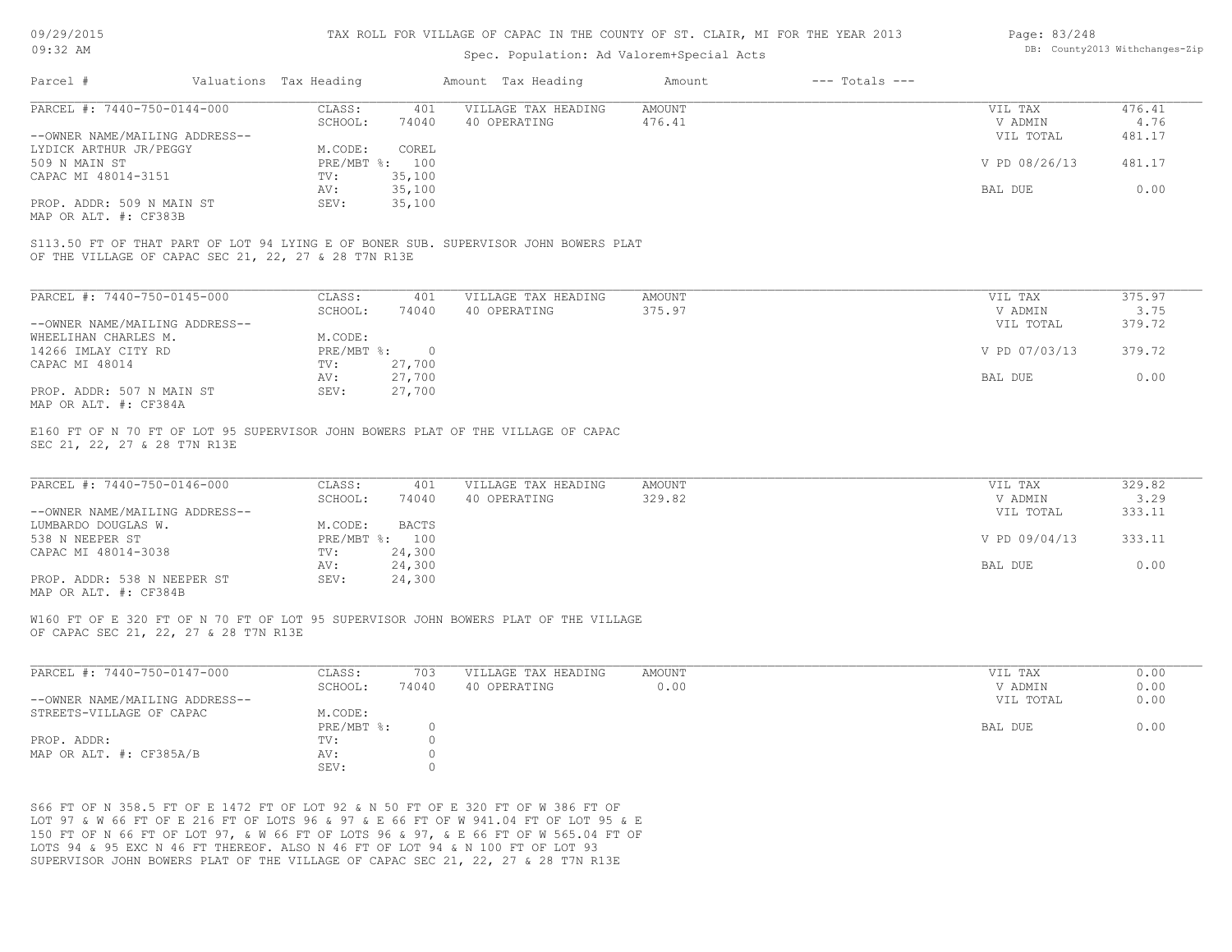### Spec. Population: Ad Valorem+Special Acts

| Page: 83/248 |                                |
|--------------|--------------------------------|
|              | DB: County2013 Withchanges-Zip |

| Parcel #                       | Valuations Tax Heading |                | Amount Tax Heading  | Amount | $---$ Totals $---$ |               |        |
|--------------------------------|------------------------|----------------|---------------------|--------|--------------------|---------------|--------|
| PARCEL #: 7440-750-0144-000    | CLASS:                 | 401            | VILLAGE TAX HEADING | AMOUNT |                    | VIL TAX       | 476.41 |
|                                | SCHOOL:                | 74040          | 40 OPERATING        | 476.41 |                    | V ADMIN       | 4.76   |
| --OWNER NAME/MAILING ADDRESS-- |                        |                |                     |        |                    | VIL TOTAL     | 481.17 |
| LYDICK ARTHUR JR/PEGGY         | M.CODE:                | COREL          |                     |        |                    |               |        |
| 509 N MAIN ST                  |                        | PRE/MBT %: 100 |                     |        |                    | V PD 08/26/13 | 481.17 |
| CAPAC MI 48014-3151            | TV:                    | 35,100         |                     |        |                    |               |        |
|                                | AV:                    | 35,100         |                     |        |                    | BAL DUE       | 0.00   |
| PROP. ADDR: 509 N MAIN ST      | SEV:                   | 35,100         |                     |        |                    |               |        |
| MAP OR ALT. #: CF383B          |                        |                |                     |        |                    |               |        |

OF THE VILLAGE OF CAPAC SEC 21, 22, 27 & 28 T7N R13E S113.50 FT OF THAT PART OF LOT 94 LYING E OF BONER SUB. SUPERVISOR JOHN BOWERS PLAT

| PARCEL #: 7440-750-0145-000    | CLASS:     | 401      | VILLAGE TAX HEADING | AMOUNT | VIL TAX       | 375.97 |
|--------------------------------|------------|----------|---------------------|--------|---------------|--------|
|                                | SCHOOL:    | 74040    | 40 OPERATING        | 375.97 | V ADMIN       | 3.75   |
| --OWNER NAME/MAILING ADDRESS-- |            |          |                     |        | VIL TOTAL     | 379.72 |
| WHEELIHAN CHARLES M.           | M.CODE:    |          |                     |        |               |        |
| 14266 IMLAY CITY RD            | PRE/MBT %: | $\Omega$ |                     |        | V PD 07/03/13 | 379.72 |
| CAPAC MI 48014                 | TV:        | 27,700   |                     |        |               |        |
|                                | AV:        | 27,700   |                     |        | BAL DUE       | 0.00   |
| PROP. ADDR: 507 N MAIN ST      | SEV:       | 27,700   |                     |        |               |        |
| MAP OR ALT. #: CF384A          |            |          |                     |        |               |        |

SEC 21, 22, 27 & 28 T7N R13E E160 FT OF N 70 FT OF LOT 95 SUPERVISOR JOHN BOWERS PLAT OF THE VILLAGE OF CAPAC

| PARCEL #: 7440-750-0146-000    | CLASS:  | 401            | VILLAGE TAX HEADING | AMOUNT | VIL TAX       | 329.82 |
|--------------------------------|---------|----------------|---------------------|--------|---------------|--------|
|                                | SCHOOL: | 74040          | 40 OPERATING        | 329.82 | V ADMIN       | 3.29   |
| --OWNER NAME/MAILING ADDRESS-- |         |                |                     |        | VIL TOTAL     | 333.11 |
| LUMBARDO DOUGLAS W.            | M.CODE: | <b>BACTS</b>   |                     |        |               |        |
| 538 N NEEPER ST                |         | PRE/MBT %: 100 |                     |        | V PD 09/04/13 | 333.11 |
| CAPAC MI 48014-3038            | TV:     | 24,300         |                     |        |               |        |
|                                | AV:     | 24,300         |                     |        | BAL DUE       | 0.00   |
| PROP. ADDR: 538 N NEEPER ST    | SEV:    | 24,300         |                     |        |               |        |
|                                |         |                |                     |        |               |        |

MAP OR ALT. #: CF384B

OF CAPAC SEC 21, 22, 27 & 28 T7N R13E W160 FT OF E 320 FT OF N 70 FT OF LOT 95 SUPERVISOR JOHN BOWERS PLAT OF THE VILLAGE

| PARCEL #: 7440-750-0147-000    | CLASS:     | 703   | VILLAGE TAX HEADING | AMOUNT | VIL TAX   | 0.00 |
|--------------------------------|------------|-------|---------------------|--------|-----------|------|
|                                | SCHOOL:    | 74040 | 40 OPERATING        | 0.00   | V ADMIN   | 0.00 |
| --OWNER NAME/MAILING ADDRESS-- |            |       |                     |        | VIL TOTAL | 0.00 |
| STREETS-VILLAGE OF CAPAC       | M.CODE:    |       |                     |        |           |      |
|                                | PRE/MBT %: |       |                     |        | BAL DUE   | 0.00 |
| PROP. ADDR:                    | TV:        |       |                     |        |           |      |
| MAP OR ALT. #: CF385A/B        | AV:        |       |                     |        |           |      |
|                                | SEV:       |       |                     |        |           |      |

 $\_$  , and the state of the state of the state of the state of the state of the state of the state of the state of the state of the state of the state of the state of the state of the state of the state of the state of the

SUPERVISOR JOHN BOWERS PLAT OF THE VILLAGE OF CAPAC SEC 21, 22, 27 & 28 T7N R13E LOTS 94 & 95 EXC N 46 FT THEREOF. ALSO N 46 FT OF LOT 94 & N 100 FT OF LOT 93 150 FT OF N 66 FT OF LOT 97, & W 66 FT OF LOTS 96 & 97, & E 66 FT OF W 565.04 FT OF LOT 97 & W 66 FT OF E 216 FT OF LOTS 96 & 97 & E 66 FT OF W 941.04 FT OF LOT 95 & E S66 FT OF N 358.5 FT OF E 1472 FT OF LOT 92 & N 50 FT OF E 320 FT OF W 386 FT OF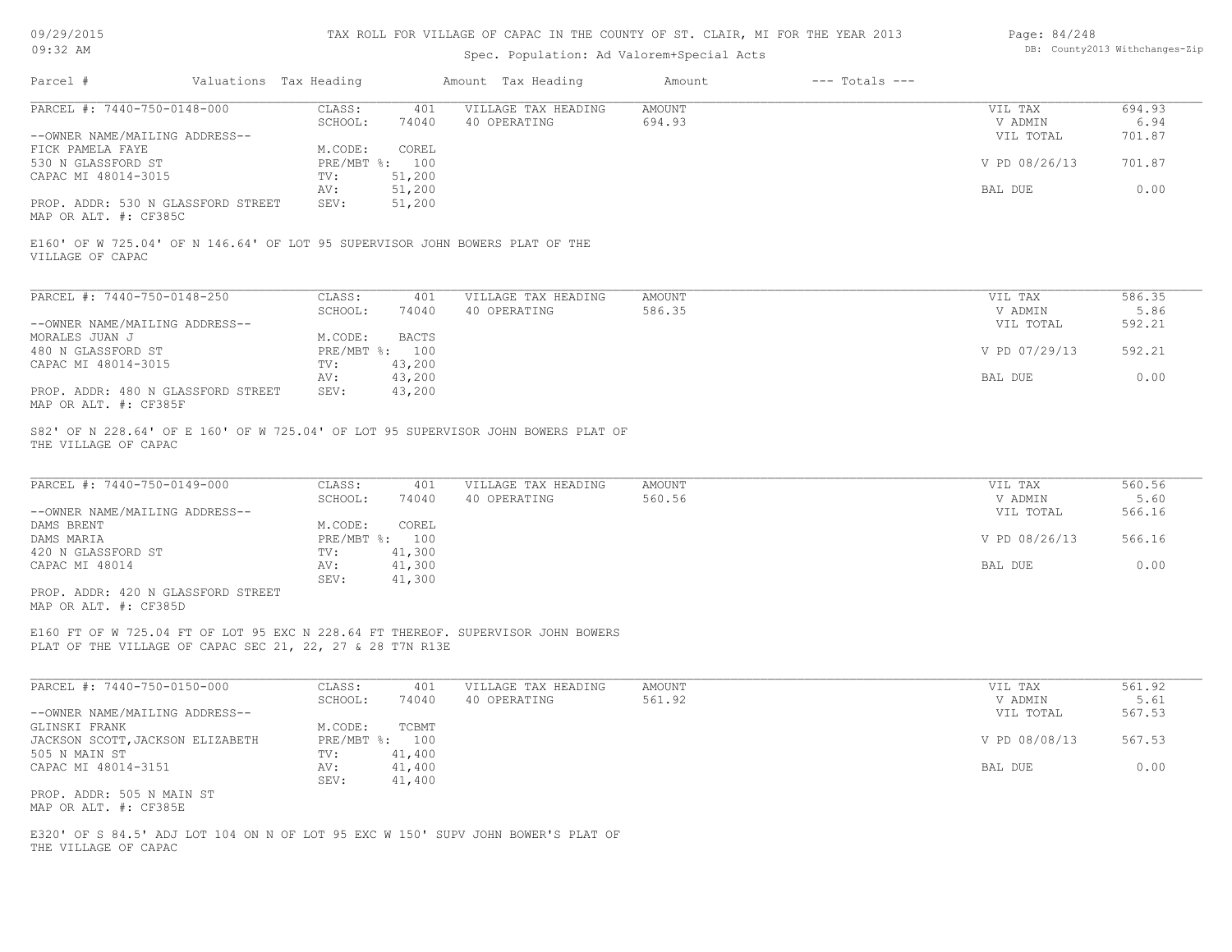| 09/29/2015 |  |
|------------|--|
| $09:32$ AM |  |

| Page: 84/248 |                                |
|--------------|--------------------------------|
|              | DB: County2013 Withchanges-Zip |

| Parcel #                                                                                         | Valuations Tax Heading |                                | Amount Tax Heading                                                                | Amount                  | $---$ Totals $---$ |                    |                |
|--------------------------------------------------------------------------------------------------|------------------------|--------------------------------|-----------------------------------------------------------------------------------|-------------------------|--------------------|--------------------|----------------|
| PARCEL #: 7440-750-0148-000                                                                      | CLASS:<br>SCHOOL:      | 401<br>74040                   | VILLAGE TAX HEADING<br>40 OPERATING                                               | <b>AMOUNT</b><br>694.93 |                    | VIL TAX<br>V ADMIN | 694.93<br>6.94 |
| --OWNER NAME/MAILING ADDRESS--                                                                   | M.CODE:                | COREL                          |                                                                                   |                         |                    | VIL TOTAL          | 701.87         |
| FICK PAMELA FAYE<br>530 N GLASSFORD ST                                                           |                        | PRE/MBT %: 100                 |                                                                                   |                         |                    | V PD 08/26/13      | 701.87         |
| CAPAC MI 48014-3015                                                                              | TV:                    | 51,200                         |                                                                                   |                         |                    |                    |                |
|                                                                                                  | AV:                    | 51,200                         |                                                                                   |                         |                    | BAL DUE            | 0.00           |
| PROP. ADDR: 530 N GLASSFORD STREET<br>MAP OR ALT. #: CF385C                                      | SEV:                   | 51,200                         |                                                                                   |                         |                    |                    |                |
| E160' OF W 725.04' OF N 146.64' OF LOT 95 SUPERVISOR JOHN BOWERS PLAT OF THE<br>VILLAGE OF CAPAC |                        |                                |                                                                                   |                         |                    |                    |                |
| PARCEL #: 7440-750-0148-250                                                                      | CLASS:                 | 401                            | VILLAGE TAX HEADING                                                               | <b>AMOUNT</b>           |                    | VIL TAX            | 586.35         |
|                                                                                                  | SCHOOL:                | 74040                          | 40 OPERATING                                                                      | 586.35                  |                    | V ADMIN            | 5.86           |
| --OWNER NAME/MAILING ADDRESS--                                                                   |                        |                                |                                                                                   |                         |                    | VIL TOTAL          | 592.21         |
| MORALES JUAN J<br>480 N GLASSFORD ST                                                             | M.CODE:                | <b>BACTS</b><br>PRE/MBT %: 100 |                                                                                   |                         |                    | V PD 07/29/13      | 592.21         |
| CAPAC MI 48014-3015                                                                              | TV:                    | 43,200                         |                                                                                   |                         |                    |                    |                |
|                                                                                                  | AV:                    | 43,200                         |                                                                                   |                         |                    | BAL DUE            | 0.00           |
| PROP. ADDR: 480 N GLASSFORD STREET<br>MAP OR ALT. #: CF385F                                      | SEV:                   | 43,200                         |                                                                                   |                         |                    |                    |                |
| THE VILLAGE OF CAPAC                                                                             |                        |                                | S82' OF N 228.64' OF E 160' OF W 725.04' OF LOT 95 SUPERVISOR JOHN BOWERS PLAT OF |                         |                    |                    |                |
| PARCEL #: 7440-750-0149-000                                                                      | CLASS:                 | 401                            | VILLAGE TAX HEADING                                                               | <b>AMOUNT</b>           |                    | VIL TAX            | 560.56         |
|                                                                                                  | SCHOOL:                | 74040                          | 40 OPERATING                                                                      | 560.56                  |                    | V ADMIN            | 5.60           |
| --OWNER NAME/MAILING ADDRESS--                                                                   |                        |                                |                                                                                   |                         |                    | VIL TOTAL          | 566.16         |
| DAMS BRENT                                                                                       | M.CODE:                | COREL                          |                                                                                   |                         |                    |                    |                |
| DAMS MARIA                                                                                       |                        | PRE/MBT %: 100                 |                                                                                   |                         |                    | V PD 08/26/13      | 566.16         |
| 420 N GLASSFORD ST<br>CAPAC MI 48014                                                             | TV:<br>AV:             | 41,300<br>41,300               |                                                                                   |                         |                    | BAL DUE            | 0.00           |
|                                                                                                  | SEV:                   | 41,300                         |                                                                                   |                         |                    |                    |                |
| PROP. ADDR: 420 N GLASSFORD STREET<br>MAP OR ALT. #: CF385D                                      |                        |                                |                                                                                   |                         |                    |                    |                |
| PLAT OF THE VILLAGE OF CAPAC SEC 21, 22, 27 & 28 T7N R13E                                        |                        |                                | E160 FT OF W 725.04 FT OF LOT 95 EXC N 228.64 FT THEREOF. SUPERVISOR JOHN BOWERS  |                         |                    |                    |                |
|                                                                                                  |                        |                                |                                                                                   |                         |                    |                    |                |
| PARCEL #: 7440-750-0150-000                                                                      | CLASS:                 | 401                            | VILLAGE TAX HEADING                                                               | <b>AMOUNT</b>           |                    | VIL TAX            | 561.92         |
|                                                                                                  | SCHOOL:                | 74040                          | 40 OPERATING                                                                      | 561.92                  |                    | V ADMIN            | 5.61           |
| --OWNER NAME/MAILING ADDRESS--                                                                   |                        |                                |                                                                                   |                         |                    | VIL TOTAL          | 567.53         |
| GLINSKI FRANK<br>JACKSON SCOTT, JACKSON ELIZABETH                                                | M.CODE:                | TCBMT<br>PRE/MBT %: 100        |                                                                                   |                         |                    | V PD 08/08/13      | 567.53         |
| 505 N MAIN ST                                                                                    | TV:                    | 41,400                         |                                                                                   |                         |                    |                    |                |
| CAPAC MI 48014-3151                                                                              | AV:<br>SEV:            | 41,400<br>41,400               |                                                                                   |                         |                    | BAL DUE            | 0.00           |
| PROP. ADDR: 505 N MAIN ST<br>MAP OR ALT. #: CF385E                                               |                        |                                |                                                                                   |                         |                    |                    |                |
| THE VILLAGE OF CAPAC                                                                             |                        |                                | E320' OF S 84.5' ADJ LOT 104 ON N OF LOT 95 EXC W 150' SUPV JOHN BOWER'S PLAT OF  |                         |                    |                    |                |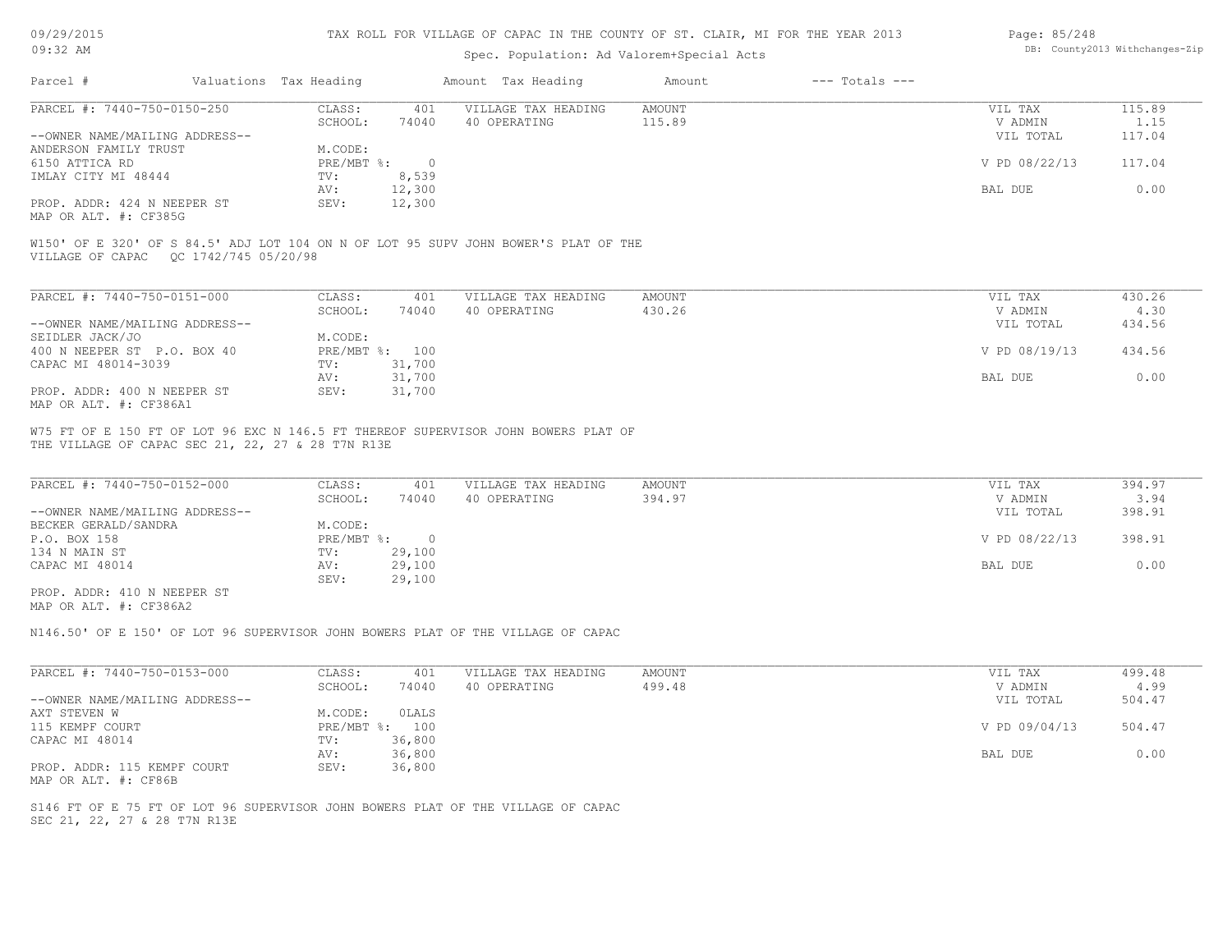| 09/29/2015 |  |
|------------|--|
| 32         |  |

### Spec. Population: Ad Valorem+Special Acts

| Page: 85/248 |                                |
|--------------|--------------------------------|
|              | DB: County2013 Withchanges-Zip |

| Parcel #                       | Valuations Tax Heading |        | Amount Tax Heading  | Amount | $---$ Totals $---$ |               |        |
|--------------------------------|------------------------|--------|---------------------|--------|--------------------|---------------|--------|
| PARCEL #: 7440-750-0150-250    | CLASS:                 | 401    | VILLAGE TAX HEADING | AMOUNT |                    | VIL TAX       | 115.89 |
|                                | SCHOOL:                | 74040  | 40 OPERATING        | 115.89 |                    | V ADMIN       | 1.15   |
| --OWNER NAME/MAILING ADDRESS-- |                        |        |                     |        |                    | VIL TOTAL     | 117.04 |
| ANDERSON FAMILY TRUST          | M.CODE:                |        |                     |        |                    |               |        |
| 6150 ATTICA RD                 | PRE/MBT %:             |        |                     |        |                    | V PD 08/22/13 | 117.04 |
| IMLAY CITY MI 48444            | TV:                    | 8,539  |                     |        |                    |               |        |
|                                | AV:                    | 12,300 |                     |        |                    | BAL DUE       | 0.00   |
| PROP. ADDR: 424 N NEEPER ST    | SEV:                   | 12,300 |                     |        |                    |               |        |
| MAP OR ALT. #: CF385G          |                        |        |                     |        |                    |               |        |

VILLAGE OF CAPAC QC 1742/745 05/20/98 W150' OF E 320' OF S 84.5' ADJ LOT 104 ON N OF LOT 95 SUPV JOHN BOWER'S PLAT OF THE

| PARCEL #: 7440-750-0151-000    | CLASS:       | 401    | VILLAGE TAX HEADING | AMOUNT | VIL TAX       | 430.26 |
|--------------------------------|--------------|--------|---------------------|--------|---------------|--------|
|                                | SCHOOL:      | 74040  | 40 OPERATING        | 430.26 | V ADMIN       | 4.30   |
| --OWNER NAME/MAILING ADDRESS-- |              |        |                     |        | VIL TOTAL     | 434.56 |
| SEIDLER JACK/JO                | M.CODE:      |        |                     |        |               |        |
| 400 N NEEPER ST P.O. BOX 40    | $PRE/MBT$ %: | 100    |                     |        | V PD 08/19/13 | 434.56 |
| CAPAC MI 48014-3039            | TV:          | 31,700 |                     |        |               |        |
|                                | AV:          | 31,700 |                     |        | BAL DUE       | 0.00   |
| PROP. ADDR: 400 N NEEPER ST    | SEV:         | 31,700 |                     |        |               |        |
| MAP OR ALT. #: CF386A1         |              |        |                     |        |               |        |

THE VILLAGE OF CAPAC SEC 21, 22, 27 & 28 T7N R13E W75 FT OF E 150 FT OF LOT 96 EXC N 146.5 FT THEREOF SUPERVISOR JOHN BOWERS PLAT OF

| PARCEL #: 7440-750-0152-000    | CLASS:     | 401    | VILLAGE TAX HEADING | AMOUNT | VIL TAX       | 394.97 |
|--------------------------------|------------|--------|---------------------|--------|---------------|--------|
|                                | SCHOOL:    | 74040  | 40 OPERATING        | 394.97 | V ADMIN       | 3.94   |
| --OWNER NAME/MAILING ADDRESS-- |            |        |                     |        | VIL TOTAL     | 398.91 |
| BECKER GERALD/SANDRA           | M.CODE:    |        |                     |        |               |        |
| P.O. BOX 158                   | PRE/MBT %: |        |                     |        | V PD 08/22/13 | 398.91 |
| 134 N MAIN ST                  | TV:        | 29,100 |                     |        |               |        |
| CAPAC MI 48014                 | AV:        | 29,100 |                     |        | BAL DUE       | 0.00   |
|                                | SEV:       | 29,100 |                     |        |               |        |
| PROP. ADDR: 410 N NEEPER ST    |            |        |                     |        |               |        |

MAP OR ALT. #: CF386A2

N146.50' OF E 150' OF LOT 96 SUPERVISOR JOHN BOWERS PLAT OF THE VILLAGE OF CAPAC

| PARCEL #: 7440-750-0153-000    | CLASS:       | 401    | VILLAGE TAX HEADING | AMOUNT | VIL TAX       | 499.48 |
|--------------------------------|--------------|--------|---------------------|--------|---------------|--------|
|                                | SCHOOL:      | 74040  | 40 OPERATING        | 499.48 | V ADMIN       | 4.99   |
| --OWNER NAME/MAILING ADDRESS-- |              |        |                     |        | VIL TOTAL     | 504.47 |
| AXT STEVEN W                   | M.CODE:      | OLALS  |                     |        |               |        |
| 115 KEMPF COURT                | $PRE/MBT$ %: | 100    |                     |        | V PD 09/04/13 | 504.47 |
| CAPAC MI 48014                 | TV:          | 36,800 |                     |        |               |        |
|                                | AV:          | 36,800 |                     |        | BAL DUE       | 0.00   |
| PROP. ADDR: 115 KEMPF COURT    | SEV:         | 36,800 |                     |        |               |        |
| MAP OR ALT. #: CF86B           |              |        |                     |        |               |        |

SEC 21, 22, 27 & 28 T7N R13E S146 FT OF E 75 FT OF LOT 96 SUPERVISOR JOHN BOWERS PLAT OF THE VILLAGE OF CAPAC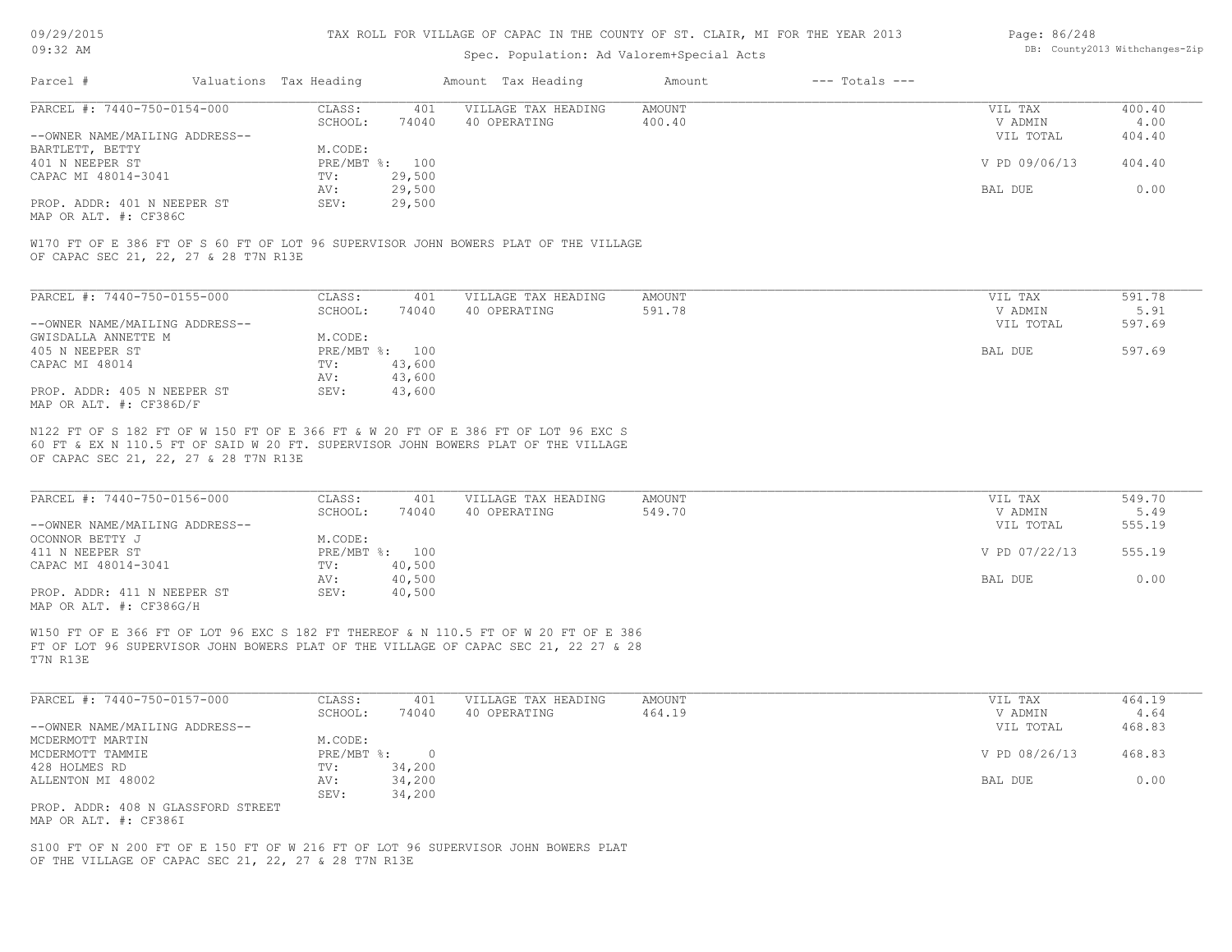09/29/2015 09:32 AM

#### TAX ROLL FOR VILLAGE OF CAPAC IN THE COUNTY OF ST. CLAIR, MI FOR THE YEAR 2013

### Spec. Population: Ad Valorem+Special Acts

| Page: 86/248 |                                |
|--------------|--------------------------------|
|              | DB: County2013 Withchanges-Zip |

| Parcel #                       |         | Valuations Tax Heading |              | Amount Tax Heading  | Amount | $---$ Totals $---$ |               |        |
|--------------------------------|---------|------------------------|--------------|---------------------|--------|--------------------|---------------|--------|
| PARCEL #: 7440-750-0154-000    |         | CLASS:                 | 401          | VILLAGE TAX HEADING | AMOUNT |                    | VIL TAX       | 400.40 |
|                                | SCHOOL: | 74040                  | 40 OPERATING | 400.40              |        | V ADMIN            | 4.00          |        |
| --OWNER NAME/MAILING ADDRESS-- |         |                        |              |                     |        |                    | VIL TOTAL     | 404.40 |
| BARTLETT, BETTY                |         | M.CODE:                |              |                     |        |                    |               |        |
| 401 N NEEPER ST                |         | PRE/MBT %: 100         |              |                     |        |                    | V PD 09/06/13 | 404.40 |
| CAPAC MI 48014-3041            |         | TV:                    | 29,500       |                     |        |                    |               |        |
|                                |         | AV:                    | 29,500       |                     |        |                    | BAL DUE       | 0.00   |
| PROP. ADDR: 401 N NEEPER ST    |         | SEV:                   | 29,500       |                     |        |                    |               |        |
|                                |         |                        |              |                     |        |                    |               |        |

MAP OR ALT. #: CF386C

OF CAPAC SEC 21, 22, 27 & 28 T7N R13E W170 FT OF E 386 FT OF S 60 FT OF LOT 96 SUPERVISOR JOHN BOWERS PLAT OF THE VILLAGE

| PARCEL #: 7440-750-0155-000    | CLASS:       | 401    | VILLAGE TAX HEADING | AMOUNT | VIL TAX   | 591.78 |
|--------------------------------|--------------|--------|---------------------|--------|-----------|--------|
|                                | SCHOOL:      | 74040  | 40 OPERATING        | 591.78 | V ADMIN   | 5.91   |
| --OWNER NAME/MAILING ADDRESS-- |              |        |                     |        | VIL TOTAL | 597.69 |
| GWISDALLA ANNETTE M            | M.CODE:      |        |                     |        |           |        |
| 405 N NEEPER ST                | $PRE/MBT$ %: | 100    |                     |        | BAL DUE   | 597.69 |
| CAPAC MI 48014                 | TV:          | 43,600 |                     |        |           |        |
|                                | AV:          | 43,600 |                     |        |           |        |
| PROP. ADDR: 405 N NEEPER ST    | SEV:         | 43,600 |                     |        |           |        |
| MAP OR ALT. #: CF386D/F        |              |        |                     |        |           |        |

OF CAPAC SEC 21, 22, 27 & 28 T7N R13E 60 FT & EX N 110.5 FT OF SAID W 20 FT. SUPERVISOR JOHN BOWERS PLAT OF THE VILLAGE N122 FT OF S 182 FT OF W 150 FT OF E 366 FT & W 20 FT OF E 386 FT OF LOT 96 EXC S

| PARCEL #: 7440-750-0156-000    | CLASS:  | 401            | VILLAGE TAX HEADING | AMOUNT | VIL TAX       | 549.70 |
|--------------------------------|---------|----------------|---------------------|--------|---------------|--------|
|                                | SCHOOL: | 74040          | 40 OPERATING        | 549.70 | V ADMIN       | 5.49   |
| --OWNER NAME/MAILING ADDRESS-- |         |                |                     |        | VIL TOTAL     | 555.19 |
| OCONNOR BETTY J                | M.CODE: |                |                     |        |               |        |
| 411 N NEEPER ST                |         | PRE/MBT %: 100 |                     |        | V PD 07/22/13 | 555.19 |
| CAPAC MI 48014-3041            | TV:     | 40,500         |                     |        |               |        |
|                                | AV:     | 40,500         |                     |        | BAL DUE       | 0.00   |
| PROP. ADDR: 411 N NEEPER ST    | SEV:    | 40,500         |                     |        |               |        |
| MAP OR ALT. #: CF386G/H        |         |                |                     |        |               |        |

FT OF LOT 96 SUPERVISOR JOHN BOWERS PLAT OF THE VILLAGE OF CAPAC SEC 21, 22 27 & 28 W150 FT OF E 366 FT OF LOT 96 EXC S 182 FT THEREOF & N 110.5 FT OF W 20 FT OF E 386

T7N R13E

| PARCEL #: 7440-750-0157-000        | CLASS:     | 401    | VILLAGE TAX HEADING | AMOUNT | VIL TAX       | 464.19 |
|------------------------------------|------------|--------|---------------------|--------|---------------|--------|
|                                    | SCHOOL:    | 74040  | 40 OPERATING        | 464.19 | V ADMIN       | 4.64   |
| --OWNER NAME/MAILING ADDRESS--     |            |        |                     |        | VIL TOTAL     | 468.83 |
| MCDERMOTT MARTIN                   | M.CODE:    |        |                     |        |               |        |
| MCDERMOTT TAMMIE                   | PRE/MBT %: |        |                     |        | V PD 08/26/13 | 468.83 |
| 428 HOLMES RD                      | TV:        | 34,200 |                     |        |               |        |
| ALLENTON MI 48002                  | AV:        | 34,200 |                     |        | BAL DUE       | 0.00   |
|                                    | SEV:       | 34,200 |                     |        |               |        |
| PROP. ADDR: 408 N GLASSFORD STREET |            |        |                     |        |               |        |
|                                    |            |        |                     |        |               |        |

MAP OR ALT. #: CF386I

OF THE VILLAGE OF CAPAC SEC 21, 22, 27 & 28 T7N R13E S100 FT OF N 200 FT OF E 150 FT OF W 216 FT OF LOT 96 SUPERVISOR JOHN BOWERS PLAT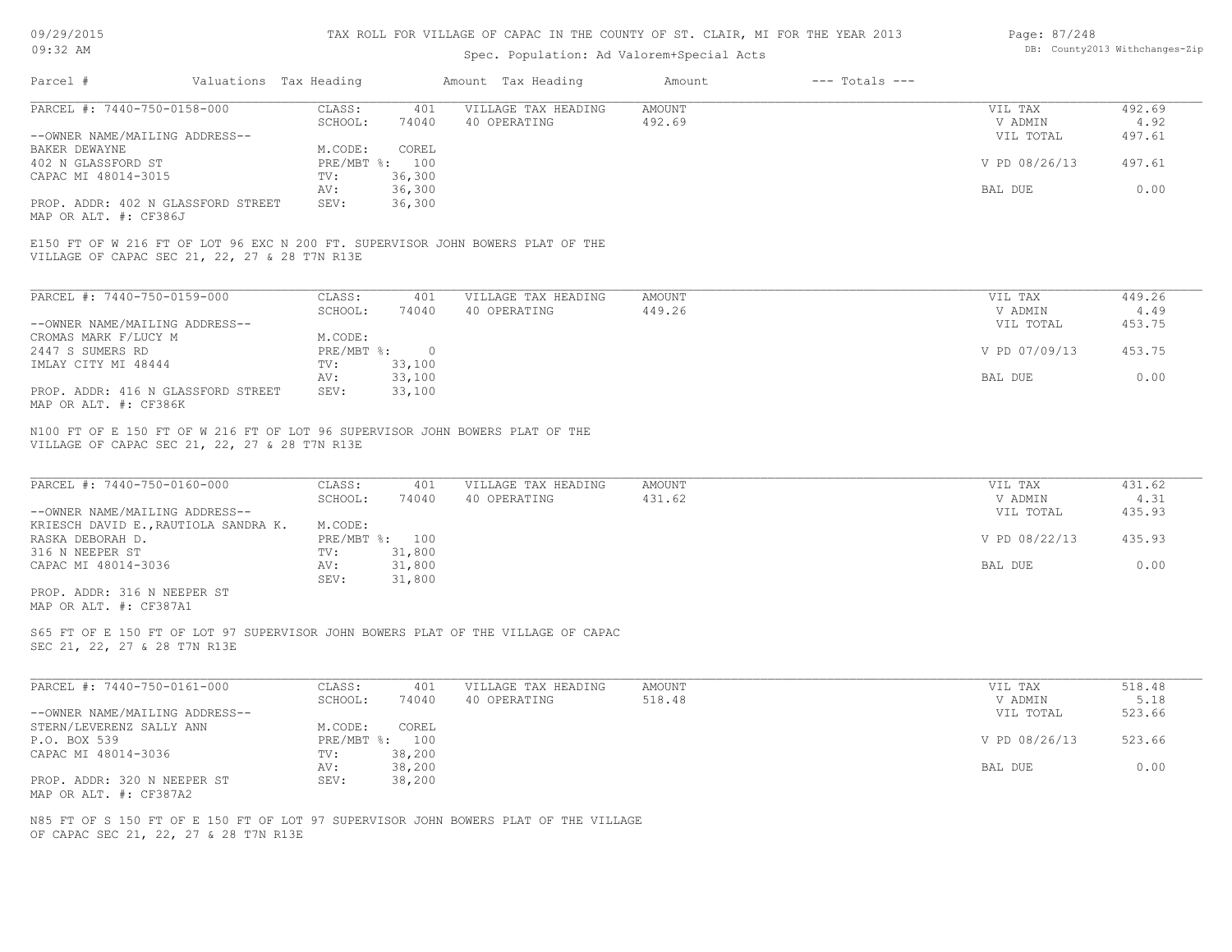| 09/29/2015 |  |
|------------|--|
|------------|--|

| Page: 87/248 |                               |
|--------------|-------------------------------|
|              | DB: County2013 Withchanges-Zi |

| Parcel #<br>Valuations Tax Heading<br>PARCEL #: 7440-750-0158-000<br>--OWNER NAME/MAILING ADDRESS--<br>BAKER DEWAYNE<br>402 N GLASSFORD ST<br>CAPAC MI 48014-3015<br>PROP. ADDR: 402 N GLASSFORD STREET<br>MAP OR ALT. #: CF386J<br>E150 FT OF W 216 FT OF LOT 96 EXC N 200 FT. SUPERVISOR JOHN BOWERS PLAT OF THE | CLASS:<br>401<br>SCHOOL:<br>74040<br>COREL<br>M.CODE:<br>PRE/MBT %: 100<br>36,300<br>TV:<br>36,300<br>AV:<br>36,300<br>SEV: | Amount Tax Heading<br>VILLAGE TAX HEADING<br>40 OPERATING | $---$ Totals $---$<br>Amount<br><b>AMOUNT</b><br>492.69 | VIL TAX<br>V ADMIN<br>VIL TOTAL<br>V PD 08/26/13 | 492.69<br>4.92<br>497.61 |
|--------------------------------------------------------------------------------------------------------------------------------------------------------------------------------------------------------------------------------------------------------------------------------------------------------------------|-----------------------------------------------------------------------------------------------------------------------------|-----------------------------------------------------------|---------------------------------------------------------|--------------------------------------------------|--------------------------|
|                                                                                                                                                                                                                                                                                                                    |                                                                                                                             |                                                           |                                                         |                                                  |                          |
|                                                                                                                                                                                                                                                                                                                    |                                                                                                                             |                                                           |                                                         |                                                  |                          |
|                                                                                                                                                                                                                                                                                                                    |                                                                                                                             |                                                           |                                                         |                                                  |                          |
|                                                                                                                                                                                                                                                                                                                    |                                                                                                                             |                                                           |                                                         |                                                  |                          |
|                                                                                                                                                                                                                                                                                                                    |                                                                                                                             |                                                           |                                                         |                                                  |                          |
|                                                                                                                                                                                                                                                                                                                    |                                                                                                                             |                                                           |                                                         |                                                  | 497.61                   |
|                                                                                                                                                                                                                                                                                                                    |                                                                                                                             |                                                           |                                                         |                                                  |                          |
|                                                                                                                                                                                                                                                                                                                    |                                                                                                                             |                                                           |                                                         | BAL DUE                                          | 0.00                     |
|                                                                                                                                                                                                                                                                                                                    |                                                                                                                             |                                                           |                                                         |                                                  |                          |
| VILLAGE OF CAPAC SEC 21, 22, 27 & 28 T7N R13E                                                                                                                                                                                                                                                                      |                                                                                                                             |                                                           |                                                         |                                                  |                          |
| PARCEL #: 7440-750-0159-000                                                                                                                                                                                                                                                                                        | CLASS:<br>401                                                                                                               | VILLAGE TAX HEADING                                       | <b>AMOUNT</b>                                           | VIL TAX                                          | 449.26                   |
|                                                                                                                                                                                                                                                                                                                    | SCHOOL:<br>74040                                                                                                            | 40 OPERATING                                              | 449.26                                                  | V ADMIN                                          | 4.49                     |
| --OWNER NAME/MAILING ADDRESS--                                                                                                                                                                                                                                                                                     |                                                                                                                             |                                                           |                                                         | VIL TOTAL                                        | 453.75                   |
| CROMAS MARK F/LUCY M                                                                                                                                                                                                                                                                                               | M.CODE:                                                                                                                     |                                                           |                                                         |                                                  |                          |
| 2447 S SUMERS RD                                                                                                                                                                                                                                                                                                   | PRE/MBT %:<br>$\overline{0}$                                                                                                |                                                           |                                                         | V PD 07/09/13                                    | 453.75                   |
| IMLAY CITY MI 48444                                                                                                                                                                                                                                                                                                | 33,100<br>TV:                                                                                                               |                                                           |                                                         |                                                  |                          |
|                                                                                                                                                                                                                                                                                                                    | 33,100<br>AV:                                                                                                               |                                                           |                                                         | BAL DUE                                          | 0.00                     |
| PROP. ADDR: 416 N GLASSFORD STREET<br>MAP OR ALT. #: CF386K                                                                                                                                                                                                                                                        | 33,100<br>SEV:                                                                                                              |                                                           |                                                         |                                                  |                          |
| PARCEL #: 7440-750-0160-000                                                                                                                                                                                                                                                                                        | CLASS:<br>401                                                                                                               | VILLAGE TAX HEADING                                       | <b>AMOUNT</b>                                           | VIL TAX                                          | 431.62                   |
|                                                                                                                                                                                                                                                                                                                    | SCHOOL:<br>74040                                                                                                            | 40 OPERATING                                              | 431.62                                                  | V ADMIN                                          | 4.31                     |
| --OWNER NAME/MAILING ADDRESS--                                                                                                                                                                                                                                                                                     |                                                                                                                             |                                                           |                                                         | VIL TOTAL                                        | 435.93                   |
| KRIESCH DAVID E., RAUTIOLA SANDRA K.                                                                                                                                                                                                                                                                               | M.CODE:                                                                                                                     |                                                           |                                                         |                                                  |                          |
| RASKA DEBORAH D.<br>316 N NEEPER ST                                                                                                                                                                                                                                                                                | PRE/MBT %: 100<br>31,800<br>TV:                                                                                             |                                                           |                                                         | V PD 08/22/13                                    | 435.93                   |
|                                                                                                                                                                                                                                                                                                                    | AV:                                                                                                                         |                                                           |                                                         | BAL DUE                                          | 0.00                     |
| CAPAC MI 48014-3036                                                                                                                                                                                                                                                                                                | 31,800<br>SEV:<br>31,800                                                                                                    |                                                           |                                                         |                                                  |                          |
| PROP. ADDR: 316 N NEEPER ST<br>MAP OR ALT. #: CF387A1                                                                                                                                                                                                                                                              |                                                                                                                             |                                                           |                                                         |                                                  |                          |
| S65 FT OF E 150 FT OF LOT 97 SUPERVISOR JOHN BOWERS PLAT OF THE VILLAGE OF CAPAC<br>SEC 21, 22, 27 & 28 T7N R13E                                                                                                                                                                                                   |                                                                                                                             |                                                           |                                                         |                                                  |                          |
| PARCEL #: 7440-750-0161-000                                                                                                                                                                                                                                                                                        | CLASS:<br>401                                                                                                               | VILLAGE TAX HEADING                                       | <b>AMOUNT</b>                                           | VIL TAX                                          | 518.48                   |
|                                                                                                                                                                                                                                                                                                                    | SCHOOL:<br>74040                                                                                                            | 40 OPERATING                                              | 518.48                                                  | V ADMIN                                          | 5.18                     |
| --OWNER NAME/MAILING ADDRESS--                                                                                                                                                                                                                                                                                     |                                                                                                                             |                                                           |                                                         | VIL TOTAL                                        | 523.66                   |
|                                                                                                                                                                                                                                                                                                                    | M.CODE:<br>COREL                                                                                                            |                                                           |                                                         |                                                  |                          |
| STERN/LEVERENZ SALLY ANN                                                                                                                                                                                                                                                                                           | PRE/MBT %: 100                                                                                                              |                                                           |                                                         | V PD 08/26/13                                    | 523.66                   |
| P.O. BOX 539                                                                                                                                                                                                                                                                                                       |                                                                                                                             |                                                           |                                                         |                                                  |                          |
| CAPAC MI 48014-3036                                                                                                                                                                                                                                                                                                | TV:<br>38,200                                                                                                               |                                                           |                                                         |                                                  |                          |
|                                                                                                                                                                                                                                                                                                                    | 38,200<br>AV:                                                                                                               |                                                           |                                                         | BAL DUE                                          | 0.00                     |
| PROP. ADDR: 320 N NEEPER ST                                                                                                                                                                                                                                                                                        | SEV:<br>38,200                                                                                                              |                                                           |                                                         |                                                  |                          |
| MAP OR ALT. #: CF387A2                                                                                                                                                                                                                                                                                             |                                                                                                                             |                                                           |                                                         |                                                  |                          |
| N85 FT OF S 150 FT OF E 150 FT OF LOT 97 SUPERVISOR JOHN BOWERS PLAT OF THE VILLAGE                                                                                                                                                                                                                                |                                                                                                                             |                                                           |                                                         |                                                  |                          |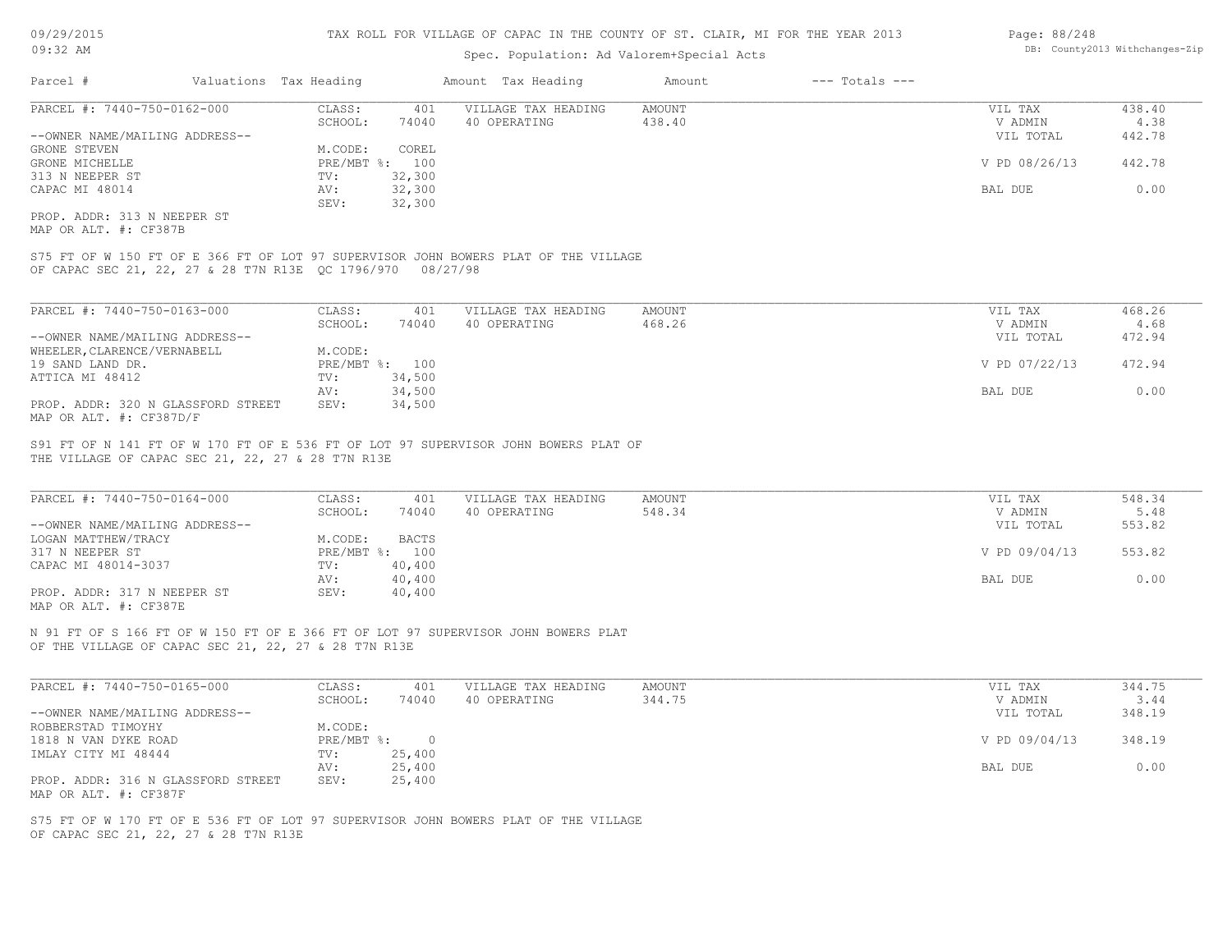### Spec. Population: Ad Valorem+Special Acts

| Page: 88/248 |                                |
|--------------|--------------------------------|
|              | DB: County2013 Withchanges-Zip |

| Parcel #                       | Valuations Tax Heading |        | Amount Tax Heading  | Amount | $---$ Totals $---$ |               |        |
|--------------------------------|------------------------|--------|---------------------|--------|--------------------|---------------|--------|
| PARCEL #: 7440-750-0162-000    | CLASS:                 | 401    | VILLAGE TAX HEADING | AMOUNT |                    | VIL TAX       | 438.40 |
|                                | SCHOOL:                | 74040  | 40 OPERATING        | 438.40 |                    | V ADMIN       | 4.38   |
| --OWNER NAME/MAILING ADDRESS-- |                        |        |                     |        |                    | VIL TOTAL     | 442.78 |
| GRONE STEVEN                   | M.CODE:                | COREL  |                     |        |                    |               |        |
| GRONE MICHELLE                 | $PRE/MBT$ %:           | 100    |                     |        |                    | V PD 08/26/13 | 442.78 |
| 313 N NEEPER ST                | TV:                    | 32,300 |                     |        |                    |               |        |
| CAPAC MI 48014                 | AV:                    | 32,300 |                     |        |                    | BAL DUE       | 0.00   |
|                                | SEV:                   | 32,300 |                     |        |                    |               |        |
|                                |                        |        |                     |        |                    |               |        |

MAP OR ALT. #: CF387B PROP. ADDR: 313 N NEEPER ST

OF CAPAC SEC 21, 22, 27 & 28 T7N R13E QC 1796/970 08/27/98 S75 FT OF W 150 FT OF E 366 FT OF LOT 97 SUPERVISOR JOHN BOWERS PLAT OF THE VILLAGE

| PARCEL #: 7440-750-0163-000        | CLASS:  | 401            | VILLAGE TAX HEADING | AMOUNT | VIL TAX       | 468.26 |
|------------------------------------|---------|----------------|---------------------|--------|---------------|--------|
|                                    | SCHOOL: | 74040          | 40 OPERATING        | 468.26 | V ADMIN       | 4.68   |
| --OWNER NAME/MAILING ADDRESS--     |         |                |                     |        | VIL TOTAL     | 472.94 |
| WHEELER, CLARENCE/VERNABELL        | M.CODE: |                |                     |        |               |        |
| 19 SAND LAND DR.                   |         | PRE/MBT %: 100 |                     |        | V PD 07/22/13 | 472.94 |
| ATTICA MI 48412                    | TV:     | 34,500         |                     |        |               |        |
|                                    | AV:     | 34,500         |                     |        | BAL DUE       | 0.00   |
| PROP. ADDR: 320 N GLASSFORD STREET | SEV:    | 34,500         |                     |        |               |        |
| MAP OR ALT. #: CF387D/F            |         |                |                     |        |               |        |

THE VILLAGE OF CAPAC SEC 21, 22, 27 & 28 T7N R13E S91 FT OF N 141 FT OF W 170 FT OF E 536 FT OF LOT 97 SUPERVISOR JOHN BOWERS PLAT OF

| PARCEL #: 7440-750-0164-000    | CLASS:       | 401    | VILLAGE TAX HEADING | AMOUNT | VIL TAX       | 548.34 |
|--------------------------------|--------------|--------|---------------------|--------|---------------|--------|
|                                | SCHOOL:      | 74040  | 40 OPERATING        | 548.34 | V ADMIN       | 5.48   |
| --OWNER NAME/MAILING ADDRESS-- |              |        |                     |        | VIL TOTAL     | 553.82 |
| LOGAN MATTHEW/TRACY            | M.CODE:      | BACTS  |                     |        |               |        |
| 317 N NEEPER ST                | $PRE/MBT$ %: | 100    |                     |        | V PD 09/04/13 | 553.82 |
| CAPAC MI 48014-3037            | TV:          | 40,400 |                     |        |               |        |
|                                | AV:          | 40,400 |                     |        | BAL DUE       | 0.00   |
| PROP. ADDR: 317 N NEEPER ST    | SEV:         | 40,400 |                     |        |               |        |
| MAP OR ALT. #: CF387E          |              |        |                     |        |               |        |

 $\_$  , and the state of the state of the state of the state of the state of the state of the state of the state of the state of the state of the state of the state of the state of the state of the state of the state of the

OF THE VILLAGE OF CAPAC SEC 21, 22, 27 & 28 T7N R13E N 91 FT OF S 166 FT OF W 150 FT OF E 366 FT OF LOT 97 SUPERVISOR JOHN BOWERS PLAT

| PARCEL #: 7440-750-0165-000        | CLASS:     | 401    | VILLAGE TAX HEADING | AMOUNT | VIL TAX       | 344.75 |
|------------------------------------|------------|--------|---------------------|--------|---------------|--------|
|                                    | SCHOOL:    | 74040  | 40 OPERATING        | 344.75 | V ADMIN       | 3.44   |
| --OWNER NAME/MAILING ADDRESS--     |            |        |                     |        | VIL TOTAL     | 348.19 |
| ROBBERSTAD TIMOYHY                 | M.CODE:    |        |                     |        |               |        |
| 1818 N VAN DYKE ROAD               | PRE/MBT %: |        |                     |        | V PD 09/04/13 | 348.19 |
| IMLAY CITY MI 48444                | TV:        | 25,400 |                     |        |               |        |
|                                    | AV:        | 25,400 |                     |        | BAL DUE       | 0.00   |
| PROP. ADDR: 316 N GLASSFORD STREET | SEV:       | 25,400 |                     |        |               |        |
| MAP OR ALT. #: CF387F              |            |        |                     |        |               |        |

OF CAPAC SEC 21, 22, 27 & 28 T7N R13E S75 FT OF W 170 FT OF E 536 FT OF LOT 97 SUPERVISOR JOHN BOWERS PLAT OF THE VILLAGE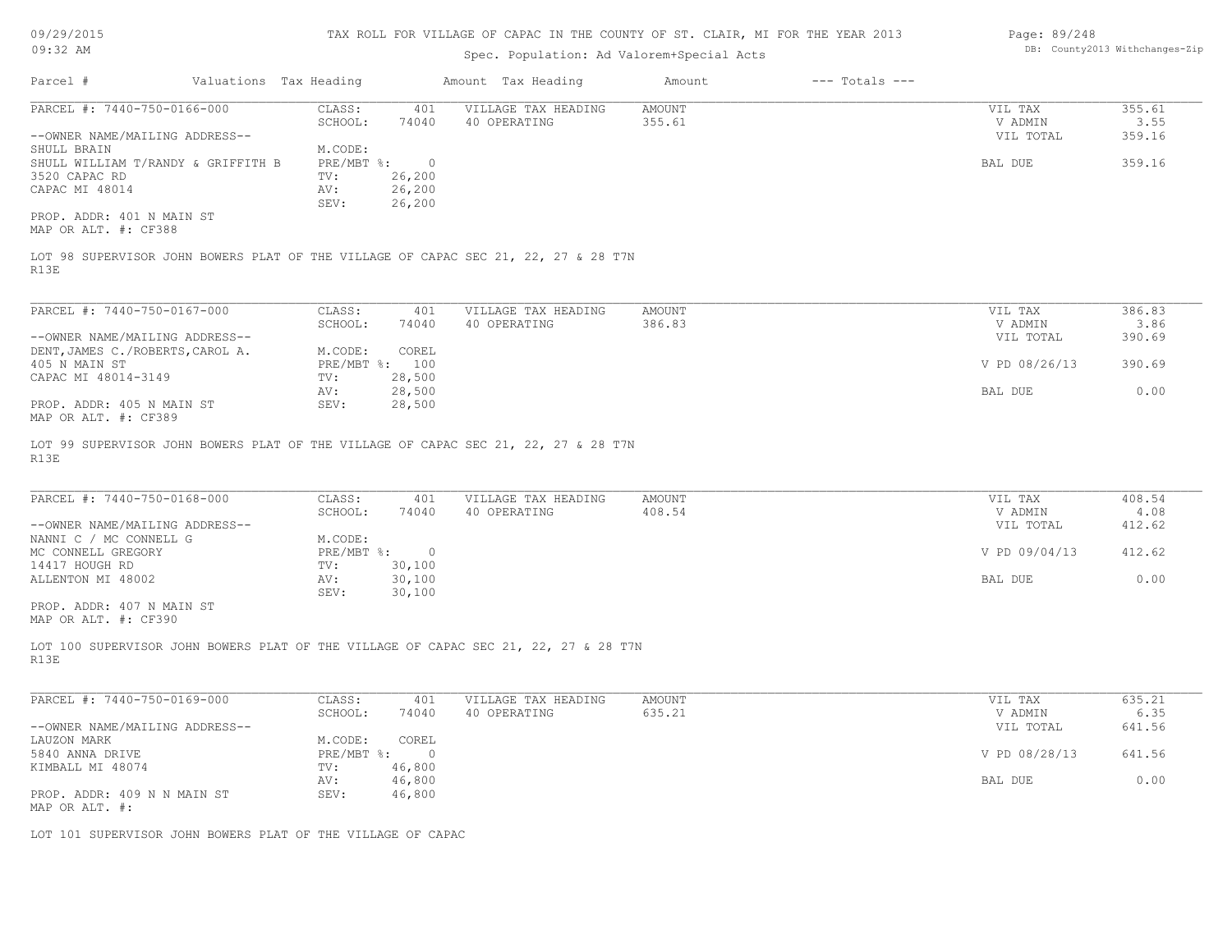| 09/29/2015                                                                                  |                              | TAX ROLL FOR VILLAGE OF CAPAC IN THE COUNTY OF ST. CLAIR, MI FOR THE YEAR 2013 |                  |                    | Page: 89/248         |                                |
|---------------------------------------------------------------------------------------------|------------------------------|--------------------------------------------------------------------------------|------------------|--------------------|----------------------|--------------------------------|
| $09:32$ AM                                                                                  |                              | Spec. Population: Ad Valorem+Special Acts                                      |                  |                    |                      | DB: County2013 Withchanges-Zip |
| Valuations Tax Heading<br>Parcel #                                                          |                              | Amount Tax Heading                                                             | Amount           | $---$ Totals $---$ |                      |                                |
| PARCEL #: 7440-750-0166-000                                                                 | CLASS:<br>401                | VILLAGE TAX HEADING                                                            | <b>AMOUNT</b>    |                    | VIL TAX              | 355.61                         |
|                                                                                             | SCHOOL:<br>74040             | 40 OPERATING                                                                   | 355.61           |                    | V ADMIN              | 3.55                           |
| --OWNER NAME/MAILING ADDRESS--                                                              |                              |                                                                                |                  |                    | VIL TOTAL            | 359.16                         |
| SHULL BRAIN                                                                                 | M.CODE:                      |                                                                                |                  |                    |                      |                                |
| SHULL WILLIAM T/RANDY & GRIFFITH B                                                          | PRE/MBT %:<br>$\overline{0}$ |                                                                                |                  |                    | BAL DUE              | 359.16                         |
| 3520 CAPAC RD                                                                               | 26,200<br>TV:                |                                                                                |                  |                    |                      |                                |
| CAPAC MI 48014                                                                              | AV:<br>26,200                |                                                                                |                  |                    |                      |                                |
| PROP. ADDR: 401 N MAIN ST                                                                   | 26,200<br>SEV:               |                                                                                |                  |                    |                      |                                |
| MAP OR ALT. #: CF388                                                                        |                              |                                                                                |                  |                    |                      |                                |
| LOT 98 SUPERVISOR JOHN BOWERS PLAT OF THE VILLAGE OF CAPAC SEC 21, 22, 27 & 28 T7N          |                              |                                                                                |                  |                    |                      |                                |
| R13E                                                                                        |                              |                                                                                |                  |                    |                      |                                |
|                                                                                             |                              |                                                                                |                  |                    |                      |                                |
| PARCEL #: 7440-750-0167-000                                                                 | CLASS:<br>401                | VILLAGE TAX HEADING                                                            | AMOUNT<br>386.83 |                    | VIL TAX              | 386.83                         |
| --OWNER NAME/MAILING ADDRESS--                                                              | SCHOOL:<br>74040             | 40 OPERATING                                                                   |                  |                    | V ADMIN<br>VIL TOTAL | 3.86<br>390.69                 |
|                                                                                             | M.CODE:<br>COREL             |                                                                                |                  |                    |                      |                                |
| DENT, JAMES C./ROBERTS, CAROL A.<br>405 N MAIN ST                                           | PRE/MBT %: 100               |                                                                                |                  |                    | V PD 08/26/13        | 390.69                         |
| CAPAC MI 48014-3149                                                                         | 28,500<br>TV:                |                                                                                |                  |                    |                      |                                |
|                                                                                             | 28,500<br>AV:                |                                                                                |                  |                    | BAL DUE              | 0.00                           |
| PROP. ADDR: 405 N MAIN ST                                                                   | SEV:<br>28,500               |                                                                                |                  |                    |                      |                                |
| MAP OR ALT. #: CF389                                                                        |                              |                                                                                |                  |                    |                      |                                |
| LOT 99 SUPERVISOR JOHN BOWERS PLAT OF THE VILLAGE OF CAPAC SEC 21, 22, 27 & 28 T7N          |                              |                                                                                |                  |                    |                      |                                |
| R13E                                                                                        |                              |                                                                                |                  |                    |                      |                                |
| PARCEL #: 7440-750-0168-000                                                                 | CLASS:<br>401                | VILLAGE TAX HEADING                                                            | AMOUNT           |                    | VIL TAX              | 408.54                         |
|                                                                                             | SCHOOL:<br>74040             | 40 OPERATING                                                                   | 408.54           |                    | V ADMIN              | 4.08                           |
| --OWNER NAME/MAILING ADDRESS--                                                              |                              |                                                                                |                  |                    | VIL TOTAL            | 412.62                         |
| NANNI C / MC CONNELL G                                                                      | M.CODE:                      |                                                                                |                  |                    |                      |                                |
| MC CONNELL GREGORY                                                                          | PRE/MBT %:<br>$\overline{0}$ |                                                                                |                  |                    | V PD 09/04/13        | 412.62                         |
| 14417 HOUGH RD                                                                              | 30,100<br>TV:                |                                                                                |                  |                    |                      |                                |
| ALLENTON MI 48002                                                                           | 30,100<br>AV:                |                                                                                |                  |                    | BAL DUE              | 0.00                           |
|                                                                                             | SEV:<br>30,100               |                                                                                |                  |                    |                      |                                |
| PROP. ADDR: 407 N MAIN ST<br>MAP OR ALT. #: CF390                                           |                              |                                                                                |                  |                    |                      |                                |
| LOT 100 SUPERVISOR JOHN BOWERS PLAT OF THE VILLAGE OF CAPAC SEC 21, 22, 27 & 28 T7N<br>R13E |                              |                                                                                |                  |                    |                      |                                |
| PARCEL #: 7440-750-0169-000                                                                 | CLASS:<br>401                | VILLAGE TAX HEADING                                                            | AMOUNT           |                    | VIL TAX              | 635.21                         |
|                                                                                             | SCHOOL .<br>74040            | 40 OPERATING                                                                   | 635 21           |                    | V ADMIN              | 635                            |

|                                | SCHOOL:      | 74040    | 40 OPERATING | 635.21 | V ADMIN       | 6.35   |
|--------------------------------|--------------|----------|--------------|--------|---------------|--------|
| --OWNER NAME/MAILING ADDRESS-- |              |          |              |        | VIL TOTAL     | 641.56 |
| LAUZON MARK                    | M.CODE:      | COREL    |              |        |               |        |
| 5840 ANNA DRIVE                | $PRE/MBT$ %: | $\Omega$ |              |        | V PD 08/28/13 | 641.56 |
| KIMBALL MI 48074               | TV:          | 46,800   |              |        |               |        |
|                                | AV:          | 46,800   |              |        | BAL DUE       | 0.00   |
| PROP. ADDR: 409 N N MAIN ST    | SEV:         | 46,800   |              |        |               |        |
| MAP OR ALT. #:                 |              |          |              |        |               |        |

LOT 101 SUPERVISOR JOHN BOWERS PLAT OF THE VILLAGE OF CAPAC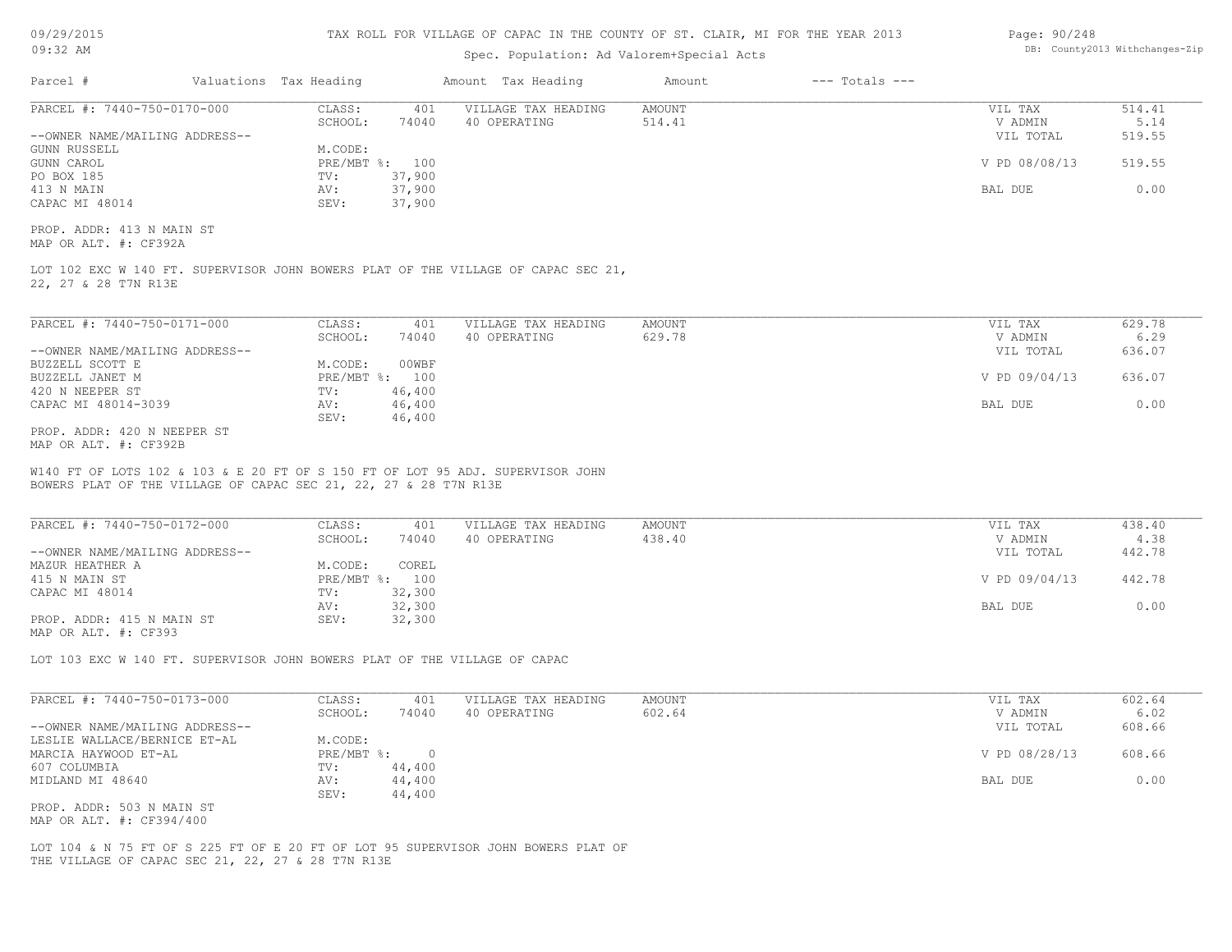| 09/29/2015 |  |
|------------|--|
|------------|--|

| Page: 90/248 |                               |
|--------------|-------------------------------|
|              | DB: County2013 Withchanges-Zi |

| Parcel #                                                                                                                                           |                           |                  |                                     |                  |                    |                                 |                          |
|----------------------------------------------------------------------------------------------------------------------------------------------------|---------------------------|------------------|-------------------------------------|------------------|--------------------|---------------------------------|--------------------------|
|                                                                                                                                                    | Valuations Tax Heading    |                  | Amount Tax Heading                  | Amount           | $---$ Totals $---$ |                                 |                          |
| PARCEL #: 7440-750-0170-000<br>--OWNER NAME/MAILING ADDRESS--                                                                                      | CLASS:<br>SCHOOL:         | 401<br>74040     | VILLAGE TAX HEADING<br>40 OPERATING | AMOUNT<br>514.41 |                    | VIL TAX<br>V ADMIN<br>VIL TOTAL | 514.41<br>5.14<br>519.55 |
| <b>GUNN RUSSELL</b><br>GUNN CAROL                                                                                                                  | M.CODE:<br>PRE/MBT %: 100 |                  |                                     |                  |                    | V PD 08/08/13                   | 519.55                   |
| PO BOX 185<br>413 N MAIN                                                                                                                           | TV:                       | 37,900<br>37,900 |                                     |                  |                    | BAL DUE                         | 0.00                     |
| CAPAC MI 48014                                                                                                                                     | AV:<br>SEV:               | 37,900           |                                     |                  |                    |                                 |                          |
| PROP. ADDR: 413 N MAIN ST<br>MAP OR ALT. #: CF392A                                                                                                 |                           |                  |                                     |                  |                    |                                 |                          |
| LOT 102 EXC W 140 FT. SUPERVISOR JOHN BOWERS PLAT OF THE VILLAGE OF CAPAC SEC 21,<br>22, 27 & 28 T7N R13E                                          |                           |                  |                                     |                  |                    |                                 |                          |
| PARCEL #: 7440-750-0171-000                                                                                                                        | CLASS:                    | 401              | VILLAGE TAX HEADING                 | AMOUNT           |                    | VIL TAX                         | 629.78                   |
|                                                                                                                                                    | SCHOOL:                   | 74040            | 40 OPERATING                        | 629.78           |                    | V ADMIN                         | 6.29                     |
| --OWNER NAME/MAILING ADDRESS--<br>BUZZELL SCOTT E                                                                                                  | M.CODE:                   | 00WBF            |                                     |                  |                    | VIL TOTAL                       | 636.07                   |
| BUZZELL JANET M                                                                                                                                    | PRE/MBT %: 100            |                  |                                     |                  |                    | V PD 09/04/13                   | 636.07                   |
| 420 N NEEPER ST                                                                                                                                    | TV:                       | 46,400           |                                     |                  |                    |                                 |                          |
|                                                                                                                                                    |                           | 46,400           |                                     |                  |                    | BAL DUE                         | 0.00                     |
| CAPAC MI 48014-3039                                                                                                                                | AV:                       |                  |                                     |                  |                    |                                 |                          |
| PROP. ADDR: 420 N NEEPER ST<br>MAP OR ALT. #: CF392B                                                                                               | SEV:                      | 46,400           |                                     |                  |                    |                                 |                          |
| W140 FT OF LOTS 102 & 103 & E 20 FT OF S 150 FT OF LOT 95 ADJ. SUPERVISOR JOHN<br>BOWERS PLAT OF THE VILLAGE OF CAPAC SEC 21, 22, 27 & 28 T7N R13E |                           |                  |                                     |                  |                    |                                 |                          |
| PARCEL #: 7440-750-0172-000                                                                                                                        | CLASS:                    | 401              | VILLAGE TAX HEADING                 | AMOUNT           |                    | VIL TAX                         | 438.40                   |
|                                                                                                                                                    | SCHOOL:                   | 74040            | 40 OPERATING                        | 438.40           |                    | V ADMIN                         | 4.38                     |
| --OWNER NAME/MAILING ADDRESS--<br>MAZUR HEATHER A                                                                                                  | M.CODE:                   | COREL            |                                     |                  |                    | VIL TOTAL                       | 442.78                   |
| 415 N MAIN ST                                                                                                                                      | PRE/MBT %: 100            |                  |                                     |                  |                    | V PD 09/04/13                   | 442.78                   |
| CAPAC MI 48014                                                                                                                                     | TV:                       | 32,300           |                                     |                  |                    |                                 |                          |
|                                                                                                                                                    | AV:                       | 32,300           |                                     |                  |                    | BAL DUE                         | 0.00                     |
| PROP. ADDR: 415 N MAIN ST<br>MAP OR ALT. #: CF393                                                                                                  | SEV:                      | 32,300           |                                     |                  |                    |                                 |                          |
| LOT 103 EXC W 140 FT. SUPERVISOR JOHN BOWERS PLAT OF THE VILLAGE OF CAPAC                                                                          |                           |                  |                                     |                  |                    |                                 |                          |
| PARCEL #: 7440-750-0173-000                                                                                                                        | CLASS:                    | 401              | VILLAGE TAX HEADING                 | AMOUNT           |                    | VIL TAX                         | 602.64                   |
|                                                                                                                                                    | SCHOOL:                   | 74040            | 40 OPERATING                        | 602.64           |                    | V ADMIN                         | 6.02                     |
| --OWNER NAME/MAILING ADDRESS--                                                                                                                     |                           |                  |                                     |                  |                    | VIL TOTAL                       | 608.66                   |
| LESLIE WALLACE/BERNICE ET-AL<br>MARCIA HAYWOOD ET-AL                                                                                               | M.CODE:<br>PRE/MBT %: 0   |                  |                                     |                  |                    | V PD 08/28/13                   | 608.66                   |
| 607 COLUMBIA                                                                                                                                       | TV:                       | 44,400           |                                     |                  |                    |                                 |                          |
| MIDLAND MI 48640                                                                                                                                   | AV:<br>SEV:               | 44,400<br>44,400 |                                     |                  |                    | BAL DUE                         | 0.00                     |

THE VILLAGE OF CAPAC SEC 21, 22, 27 & 28 T7N R13E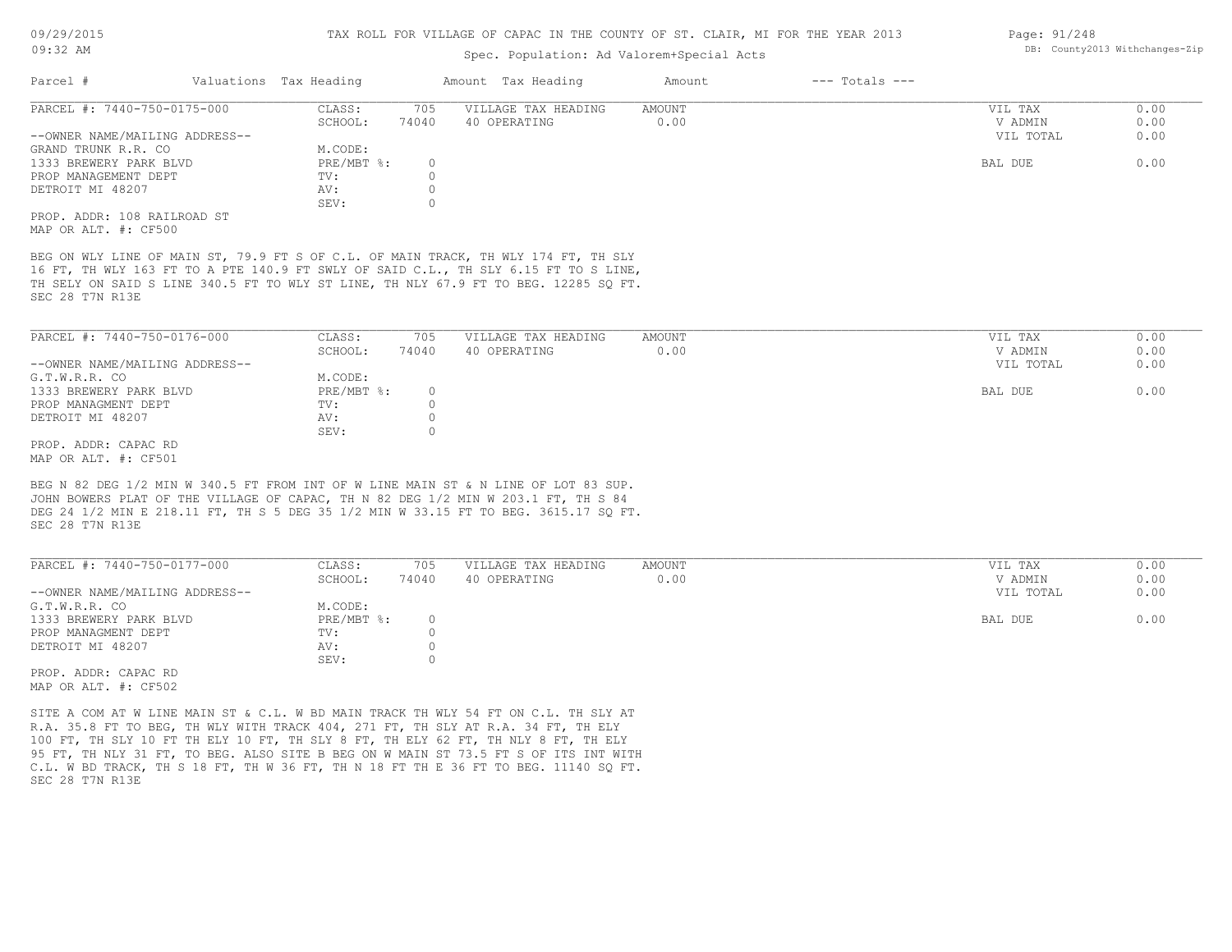### Spec. Population: Ad Valorem+Special Acts

| Parcel #                       | Valuations Tax Heading |       | Amount Tax Heading  | Amount | $---$ Totals $---$ |           |      |
|--------------------------------|------------------------|-------|---------------------|--------|--------------------|-----------|------|
| PARCEL #: 7440-750-0175-000    | CLASS:                 | 705   | VILLAGE TAX HEADING | AMOUNT |                    | VIL TAX   | 0.00 |
|                                | SCHOOL:                | 74040 | 40 OPERATING        | 0.00   |                    | V ADMIN   | 0.00 |
| --OWNER NAME/MAILING ADDRESS-- |                        |       |                     |        |                    | VIL TOTAL | 0.00 |
| GRAND TRUNK R.R. CO            | M.CODE:                |       |                     |        |                    |           |      |
| 1333 BREWERY PARK BLVD         | $PRE/MBT$ %:           |       |                     |        |                    | BAL DUE   | 0.00 |
| PROP MANAGEMENT DEPT           | TV:                    |       |                     |        |                    |           |      |
| DETROIT MI 48207               | AV:                    |       |                     |        |                    |           |      |
|                                | SEV:                   |       |                     |        |                    |           |      |
| PROP. ADDR: 108 RAILROAD ST    |                        |       |                     |        |                    |           |      |

MAP OR ALT. #: CF500

SEC 28 T7N R13E TH SELY ON SAID S LINE 340.5 FT TO WLY ST LINE, TH NLY 67.9 FT TO BEG. 12285 SQ FT. 16 FT, TH WLY 163 FT TO A PTE 140.9 FT SWLY OF SAID C.L., TH SLY 6.15 FT TO S LINE, BEG ON WLY LINE OF MAIN ST, 79.9 FT S OF C.L. OF MAIN TRACK, TH WLY 174 FT, TH SLY

| PARCEL #: 7440-750-0176-000    | CLASS:       | 705   | VILLAGE TAX HEADING | AMOUNT | VIL TAX   | 0.00 |
|--------------------------------|--------------|-------|---------------------|--------|-----------|------|
|                                | SCHOOL:      | 74040 | 40 OPERATING        | 0.00   | V ADMIN   | 0.00 |
| --OWNER NAME/MAILING ADDRESS-- |              |       |                     |        | VIL TOTAL | 0.00 |
| G.T.W.R.R. CO                  | M.CODE:      |       |                     |        |           |      |
| 1333 BREWERY PARK BLVD         | $PRE/MBT$ %: |       |                     |        | BAL DUE   | 0.00 |
| PROP MANAGMENT DEPT            | TV:          |       |                     |        |           |      |
| DETROIT MI 48207               | AV:          |       |                     |        |           |      |
|                                | SEV:         |       |                     |        |           |      |
| PROP. ADDR: CAPAC RD           |              |       |                     |        |           |      |

MAP OR ALT. #: CF501

SEC 28 T7N R13E DEG 24 1/2 MIN E 218.11 FT, TH S 5 DEG 35 1/2 MIN W 33.15 FT TO BEG. 3615.17 SQ FT. JOHN BOWERS PLAT OF THE VILLAGE OF CAPAC, TH N 82 DEG 1/2 MIN W 203.1 FT, TH S 84 BEG N 82 DEG 1/2 MIN W 340.5 FT FROM INT OF W LINE MAIN ST & N LINE OF LOT 83 SUP.

| PARCEL #: 7440-750-0177-000    | CLASS:     | 705   | VILLAGE TAX HEADING | AMOUNT | VIL TAX   | 0.00 |
|--------------------------------|------------|-------|---------------------|--------|-----------|------|
|                                | SCHOOL:    | 74040 | 40 OPERATING        | 0.00   | V ADMIN   | 0.00 |
| --OWNER NAME/MAILING ADDRESS-- |            |       |                     |        | VIL TOTAL | 0.00 |
| G.T.W.R.R. CO                  | M.CODE:    |       |                     |        |           |      |
| 1333 BREWERY PARK BLVD         | PRE/MBT %: |       |                     |        | BAL DUE   | 0.00 |
| PROP MANAGMENT DEPT            | TV:        |       |                     |        |           |      |
| DETROIT MI 48207               | AV:        |       |                     |        |           |      |
|                                | SEV:       |       |                     |        |           |      |
| תת מתתמים נתחת החתת            |            |       |                     |        |           |      |

MAP OR ALT. #: CF502 PROP. ADDR: CAPAC RD

SEC 28 T7N R13E C.L. W BD TRACK, TH S 18 FT, TH W 36 FT, TH N 18 FT TH E 36 FT TO BEG. 11140 SQ FT. 95 FT, TH NLY 31 FT, TO BEG. ALSO SITE B BEG ON W MAIN ST 73.5 FT S OF ITS INT WITH 100 FT, TH SLY 10 FT TH ELY 10 FT, TH SLY 8 FT, TH ELY 62 FT, TH NLY 8 FT, TH ELY R.A. 35.8 FT TO BEG, TH WLY WITH TRACK 404, 271 FT, TH SLY AT R.A. 34 FT, TH ELY SITE A COM AT W LINE MAIN ST & C.L. W BD MAIN TRACK TH WLY 54 FT ON C.L. TH SLY AT

Page: 91/248 DB: County2013 Withchanges-Zip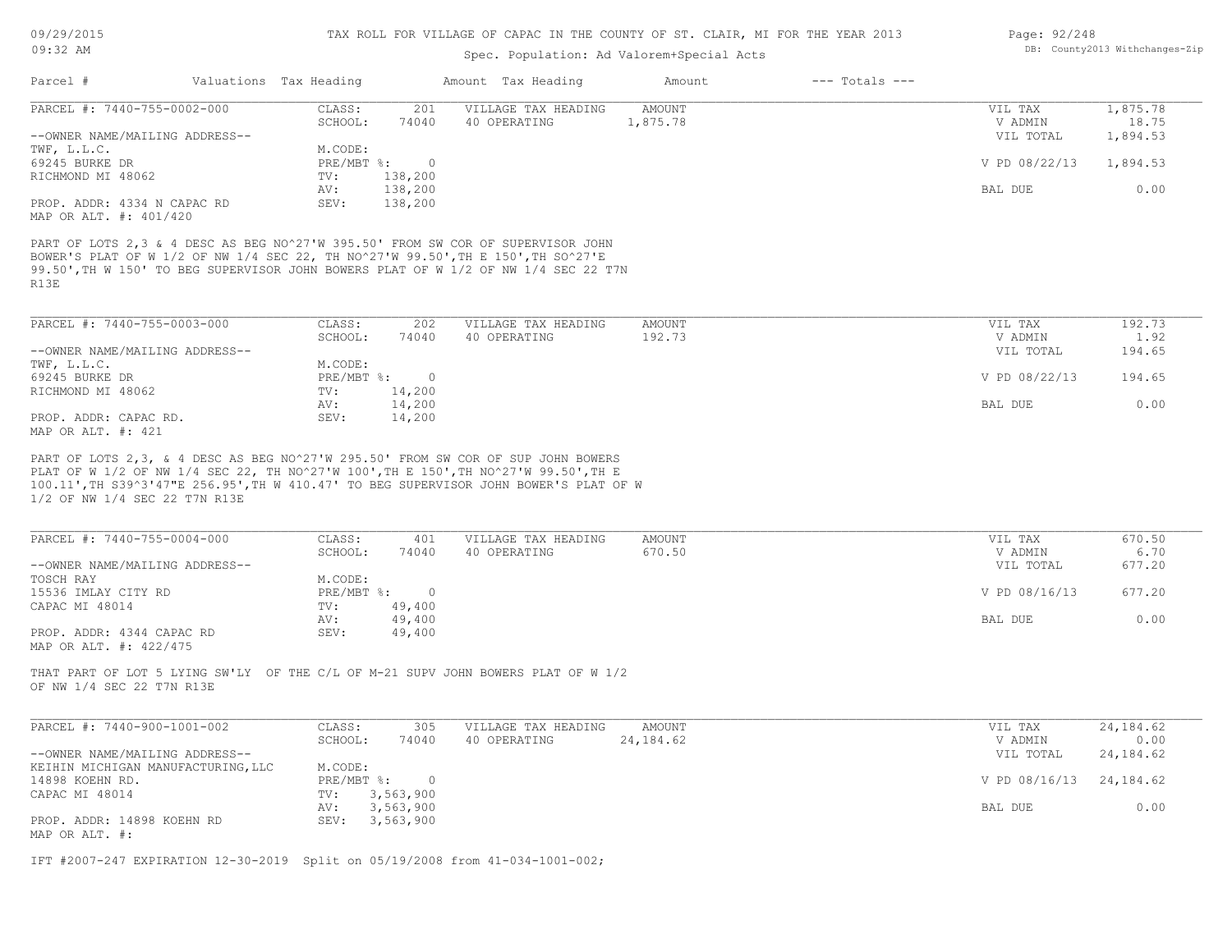| Page: 92/248 |                                |
|--------------|--------------------------------|
|              | DB: County2013 Withchanges-Zip |

| PARCEL #: 7440-755-0002-000<br>CLASS:<br>201<br>VILLAGE TAX HEADING<br>AMOUNT                                                                                                                                                                                     | 1,875.78<br>VIL TAX       |
|-------------------------------------------------------------------------------------------------------------------------------------------------------------------------------------------------------------------------------------------------------------------|---------------------------|
| SCHOOL:<br>1,875.78<br>74040<br>40 OPERATING                                                                                                                                                                                                                      | 18.75<br>V ADMIN          |
| --OWNER NAME/MAILING ADDRESS--                                                                                                                                                                                                                                    | VIL TOTAL<br>1,894.53     |
| TWF, L.L.C.<br>M.CODE:                                                                                                                                                                                                                                            |                           |
| 69245 BURKE DR<br>PRE/MBT %:<br>$\overline{0}$                                                                                                                                                                                                                    | V PD 08/22/13<br>1,894.53 |
| 138,200<br>RICHMOND MI 48062<br>TV:                                                                                                                                                                                                                               |                           |
| 138,200<br>AV:                                                                                                                                                                                                                                                    | 0.00<br>BAL DUE           |
| PROP. ADDR: 4334 N CAPAC RD<br>SEV:<br>138,200<br>MAP OR ALT. #: 401/420                                                                                                                                                                                          |                           |
| PART OF LOTS 2,3 & 4 DESC AS BEG NO^27'W 395.50' FROM SW COR OF SUPERVISOR JOHN<br>BOWER'S PLAT OF W 1/2 OF NW 1/4 SEC 22, TH NO^27'W 99.50', TH E 150', TH SO^27'E<br>99.50', TH W 150' TO BEG SUPERVISOR JOHN BOWERS PLAT OF W 1/2 OF NW 1/4 SEC 22 T7N<br>R13E |                           |
| PARCEL #: 7440-755-0003-000<br>CLASS:<br>202<br>VILLAGE TAX HEADING<br><b>AMOUNT</b>                                                                                                                                                                              | 192.73<br>VIL TAX         |
| 192.73<br>SCHOOL:<br>74040<br>40 OPERATING                                                                                                                                                                                                                        | 1.92<br>V ADMIN           |
| --OWNER NAME/MAILING ADDRESS--                                                                                                                                                                                                                                    | 194.65<br>VIL TOTAL       |
| TWF, L.L.C.<br>M.CODE:                                                                                                                                                                                                                                            |                           |
| 69245 BURKE DR<br>PRE/MBT %:<br>$\overline{\phantom{0}}$                                                                                                                                                                                                          | V PD 08/22/13<br>194.65   |
| RICHMOND MI 48062<br>TV:<br>14,200                                                                                                                                                                                                                                |                           |
| 14,200<br>AV:                                                                                                                                                                                                                                                     | BAL DUE<br>0.00           |
| PROP. ADDR: CAPAC RD.<br>SEV:<br>14,200<br>MAP OR ALT. #: 421                                                                                                                                                                                                     |                           |
| 1/2 OF NW 1/4 SEC 22 T7N R13E                                                                                                                                                                                                                                     |                           |
|                                                                                                                                                                                                                                                                   |                           |
| PARCEL #: 7440-755-0004-000<br>CLASS:<br>VILLAGE TAX HEADING<br><b>AMOUNT</b><br>401                                                                                                                                                                              | VIL TAX<br>670.50         |
| 670.50<br>SCHOOL:<br>74040<br>40 OPERATING                                                                                                                                                                                                                        | 6.70<br>V ADMIN           |
| --OWNER NAME/MAILING ADDRESS--                                                                                                                                                                                                                                    | 677.20<br>VIL TOTAL       |
| M.CODE:<br>$PRE/MBT$ %:<br>$\overline{\phantom{0}}$                                                                                                                                                                                                               | 677.20<br>V PD 08/16/13   |
| TOSCH RAY<br>CAPAC MI 48014<br>TV:<br>49,400                                                                                                                                                                                                                      |                           |
| 49,400<br>AV:                                                                                                                                                                                                                                                     | BAL DUE<br>0.00           |
| PROP. ADDR: 4344 CAPAC RD<br>SEV:<br>49,400                                                                                                                                                                                                                       |                           |
| 15536 IMLAY CITY RD<br>MAP OR ALT. #: 422/475<br>THAT PART OF LOT 5 LYING SW'LY OF THE C/L OF M-21 SUPV JOHN BOWERS PLAT OF W 1/2<br>OF NW 1/4 SEC 22 T7N R13E                                                                                                    |                           |
| CLASS:<br>305<br>VILLAGE TAX HEADING<br>AMOUNT                                                                                                                                                                                                                    | 24, 184.62<br>VIL TAX     |
| SCHOOL:<br>74040<br>40 OPERATING<br>24, 184.62                                                                                                                                                                                                                    | 0.00<br>V ADMIN           |
|                                                                                                                                                                                                                                                                   | 24, 184.62<br>VIL TOTAL   |
| M.CODE:                                                                                                                                                                                                                                                           |                           |
| PARCEL #: 7440-900-1001-002<br>--OWNER NAME/MAILING ADDRESS--<br>KEIHIN MICHIGAN MANUFACTURING, LLC<br>$PRE/MBT$ $\div$ 0<br>CAPAC MI 48014                                                                                                                       | V PD 08/16/13 24,184.62   |
| 14898 KOEHN RD.<br>TV: 3, 563, 900<br>AV: 3,563,900                                                                                                                                                                                                               | 0.00<br>BAL DUE           |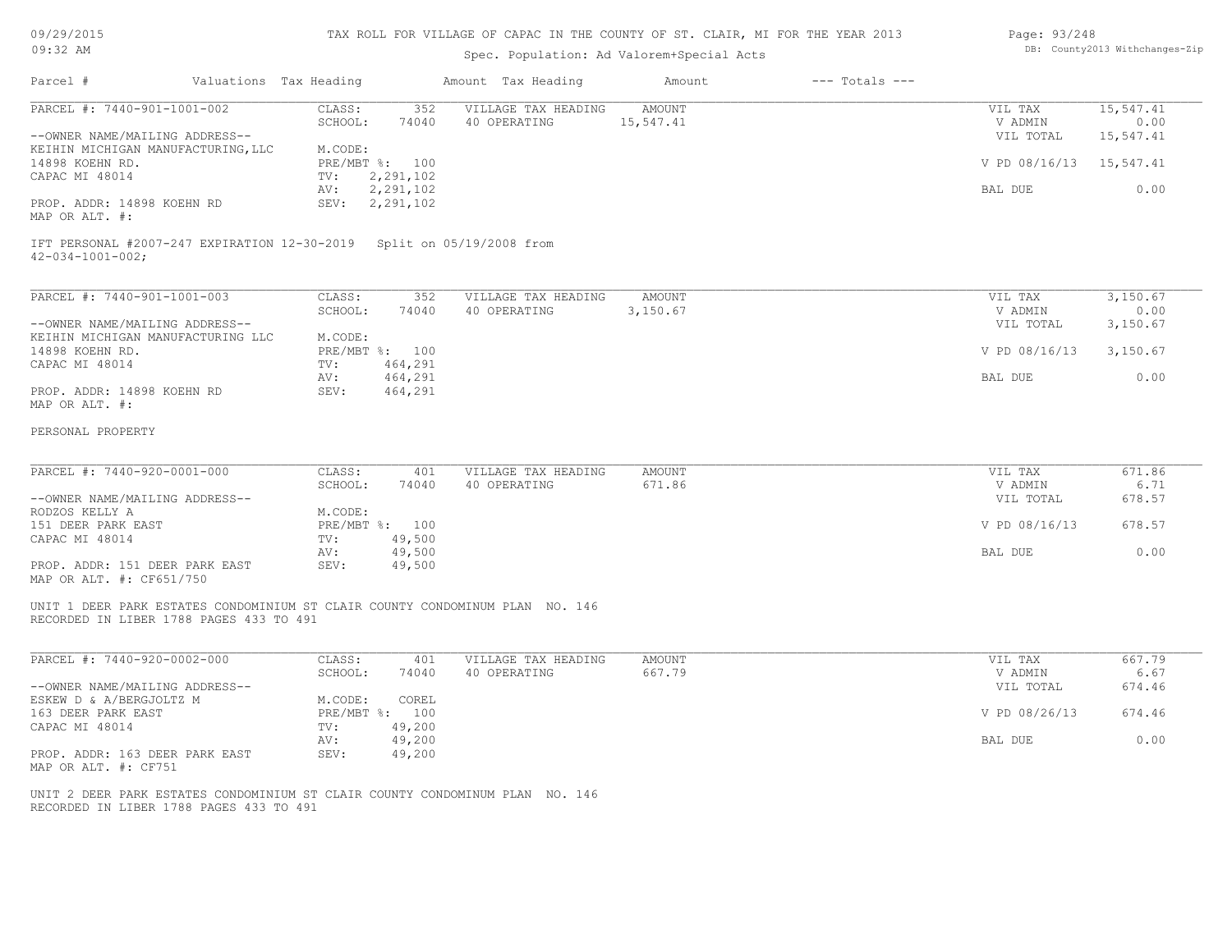| 09/29/2015 |  |
|------------|--|
| $09:32$ AM |  |

## Spec. Population: Ad Valorem+Special Acts

#### Page: 93/248 DB: County2013 Withchanges-Zip

| Parcel #                                                                                           | Valuations Tax Heading            | Amount Tax Heading                  | Amount                     | $---$ Totals $---$ |                         |                   |
|----------------------------------------------------------------------------------------------------|-----------------------------------|-------------------------------------|----------------------------|--------------------|-------------------------|-------------------|
| PARCEL #: 7440-901-1001-002                                                                        | CLASS:<br>352<br>SCHOOL:<br>74040 | VILLAGE TAX HEADING<br>40 OPERATING | <b>AMOUNT</b><br>15,547.41 |                    | VIL TAX<br>V ADMIN      | 15,547.41<br>0.00 |
| --OWNER NAME/MAILING ADDRESS--                                                                     |                                   |                                     |                            |                    | VIL TOTAL               | 15,547.41         |
| KEIHIN MICHIGAN MANUFACTURING, LLC                                                                 | M.CODE:                           |                                     |                            |                    |                         |                   |
| 14898 KOEHN RD.                                                                                    | PRE/MBT %: 100                    |                                     |                            |                    | V PD 08/16/13 15,547.41 |                   |
| CAPAC MI 48014                                                                                     | 2,291,102<br>TV:                  |                                     |                            |                    |                         |                   |
|                                                                                                    | 2,291,102<br>AV:                  |                                     |                            |                    | BAL DUE                 | 0.00              |
| PROP. ADDR: 14898 KOEHN RD<br>MAP OR ALT. #:                                                       | SEV: 2,291,102                    |                                     |                            |                    |                         |                   |
| IFT PERSONAL #2007-247 EXPIRATION 12-30-2019 Split on 05/19/2008 from<br>$42 - 034 - 1001 - 002$ ; |                                   |                                     |                            |                    |                         |                   |
| PARCEL #: 7440-901-1001-003                                                                        | CLASS:<br>352                     | VILLAGE TAX HEADING                 | AMOUNT                     |                    | VIL TAX                 | 3,150.67          |
|                                                                                                    | SCHOOL:<br>74040                  | 40 OPERATING                        | 3,150.67                   |                    | V ADMIN                 | 0.00              |
| --OWNER NAME/MAILING ADDRESS--                                                                     |                                   |                                     |                            |                    | VIL TOTAL               | 3,150.67          |
| KEIHIN MICHIGAN MANUFACTURING LLC                                                                  | M.CODE:                           |                                     |                            |                    |                         |                   |
| 14898 KOEHN RD.                                                                                    | PRE/MBT %: 100                    |                                     |                            |                    | V PD 08/16/13           | 3,150.67          |
| CAPAC MI 48014                                                                                     | 464,291<br>TV:<br>464,291<br>AV:  |                                     |                            |                    | BAL DUE                 | 0.00              |
| PROP. ADDR: 14898 KOEHN RD                                                                         | 464,291<br>SEV:                   |                                     |                            |                    |                         |                   |
| MAP OR ALT. #:                                                                                     |                                   |                                     |                            |                    |                         |                   |
| PERSONAL PROPERTY                                                                                  |                                   |                                     |                            |                    |                         |                   |
| PARCEL #: 7440-920-0001-000                                                                        | CLASS:<br>401                     | VILLAGE TAX HEADING                 | <b>AMOUNT</b>              |                    | VIL TAX                 | 671.86            |
|                                                                                                    | SCHOOL:<br>74040                  | 40 OPERATING                        | 671.86                     |                    | V ADMIN                 | 6.71              |
| --OWNER NAME/MAILING ADDRESS--                                                                     |                                   |                                     |                            |                    | VIL TOTAL               | 678.57            |
| RODZOS KELLY A                                                                                     | M.CODE:                           |                                     |                            |                    |                         |                   |
| 151 DEER PARK EAST                                                                                 | PRE/MBT %: 100                    |                                     |                            |                    | V PD 08/16/13           | 678.57            |
| CAPAC MI 48014                                                                                     | 49,500<br>TV:                     |                                     |                            |                    |                         |                   |
| PROP. ADDR: 151 DEER PARK EAST                                                                     | 49,500<br>AV:<br>49,500<br>SEV:   |                                     |                            |                    | BAL DUE                 | 0.00              |
| MAP OR ALT. #: CF651/750                                                                           |                                   |                                     |                            |                    |                         |                   |
| UNIT 1 DEER PARK ESTATES CONDOMINIUM ST CLAIR COUNTY CONDOMINUM PLAN NO. 146                       |                                   |                                     |                            |                    |                         |                   |
| RECORDED IN LIBER 1788 PAGES 433 TO 491                                                            |                                   |                                     |                            |                    |                         |                   |
| PARCEL #: 7440-920-0002-000                                                                        | CLASS:<br>401                     | VILLAGE TAX HEADING                 | <b>AMOUNT</b>              |                    | VIL TAX                 | 667.79            |
|                                                                                                    | SCHOOL:<br>74040                  | 40 OPERATING                        | 667.79                     |                    | V ADMIN                 | 6.67              |
| --OWNER NAME/MAILING ADDRESS--                                                                     |                                   |                                     |                            |                    | VIL TOTAL               | 674.46            |
| ESKEW D & A/BERGJOLTZ M                                                                            | M.CODE:<br>COREL                  |                                     |                            |                    |                         |                   |
| 163 DEER PARK EAST                                                                                 | PRE/MBT %: 100                    |                                     |                            |                    | V PD 08/26/13           | 674.46            |
| CAPAC MI 48014                                                                                     | 49,200<br>TV:<br>49,200<br>AV:    |                                     |                            |                    | BAL DUE                 | 0.00              |
| PROP. ADDR: 163 DEER PARK EAST                                                                     | SEV:<br>49,200                    |                                     |                            |                    |                         |                   |
| MAP OR ALT. #: CF751                                                                               |                                   |                                     |                            |                    |                         |                   |
| UNIT 2 DEER PARK ESTATES CONDOMINIUM ST CLAIR COUNTY CONDOMINUM PLAN NO. 146                       |                                   |                                     |                            |                    |                         |                   |
|                                                                                                    |                                   |                                     |                            |                    |                         |                   |

RECORDED IN LIBER 1788 PAGES 433 TO 491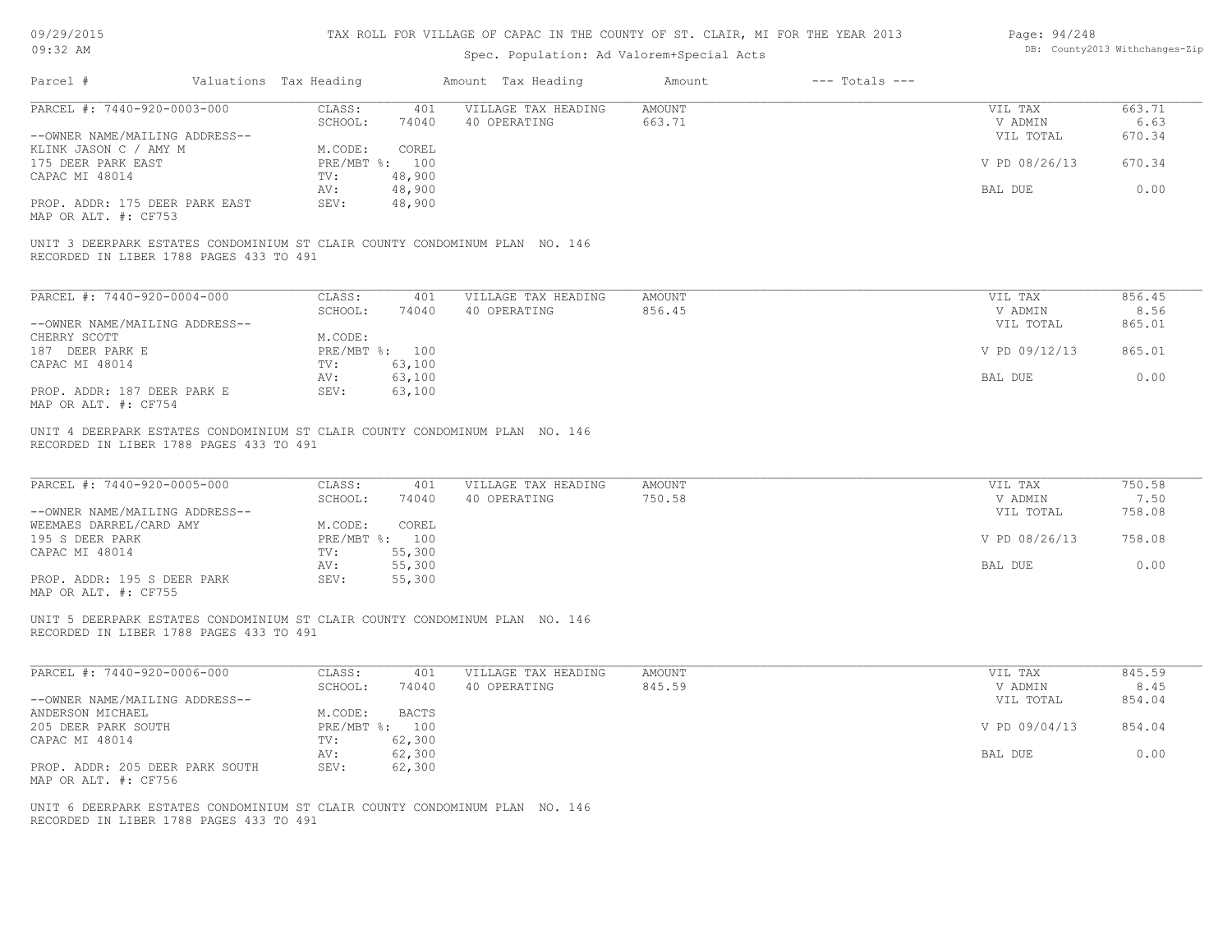| 09/29/2015 |  |
|------------|--|
| $09:32$ AM |  |

| Page: 94/248 |                                |
|--------------|--------------------------------|
|              | DB: County2013 Withchanges-Zip |

| Parcel #                                                                                                               | Valuations Tax Heading |                                | Amount Tax Heading                  | Amount           | $---$ Totals $---$ |                                 |                          |
|------------------------------------------------------------------------------------------------------------------------|------------------------|--------------------------------|-------------------------------------|------------------|--------------------|---------------------------------|--------------------------|
| PARCEL #: 7440-920-0003-000                                                                                            |                        | CLASS:                         | 401 VILLAGE TAX HEADING             | AMOUNT           |                    | VIL TAX                         | 663.71                   |
|                                                                                                                        |                        | SCHOOL:<br>74040               | 40 OPERATING                        | 663.71           |                    | V ADMIN                         | 6.63                     |
| --OWNER NAME/MAILING ADDRESS--                                                                                         |                        |                                |                                     |                  |                    | VIL TOTAL                       | 670.34                   |
| KLINK JASON C / AMY M                                                                                                  |                        | M.CODE:<br>COREL               |                                     |                  |                    |                                 |                          |
| 175 DEER PARK EAST                                                                                                     |                        | PRE/MBT %: 100                 |                                     |                  |                    | V PD 08/26/13                   | 670.34                   |
| CAPAC MI 48014                                                                                                         | $\text{TV}$ :          | 48,900                         |                                     |                  |                    |                                 |                          |
|                                                                                                                        | AV:                    | 48,900                         |                                     |                  |                    | BAL DUE                         | 0.00                     |
| PROP. ADDR: 175 DEER PARK EAST<br>MAP OR ALT. #: CF753                                                                 | SEV:                   | 48,900                         |                                     |                  |                    |                                 |                          |
| UNIT 3 DEERPARK ESTATES CONDOMINIUM ST CLAIR COUNTY CONDOMINUM PLAN NO. 146<br>RECORDED IN LIBER 1788 PAGES 433 TO 491 |                        |                                |                                     |                  |                    |                                 |                          |
| PARCEL #: 7440-920-0004-000                                                                                            |                        | CLASS:<br>401                  | VILLAGE TAX HEADING                 | <b>AMOUNT</b>    |                    | VIL TAX                         | 856.45                   |
|                                                                                                                        |                        | SCHOOL:<br>74040               | 40 OPERATING                        | 856.45           |                    | V ADMIN                         | 8.56                     |
| --OWNER NAME/MAILING ADDRESS--                                                                                         |                        |                                |                                     |                  |                    | VIL TOTAL                       | 865.01                   |
| CHERRY SCOTT                                                                                                           |                        | M.CODE:                        |                                     |                  |                    |                                 |                          |
| 187 DEER PARK E                                                                                                        |                        | PRE/MBT %: 100                 |                                     |                  |                    | V PD 09/12/13                   | 865.01                   |
|                                                                                                                        | TV:                    | 63,100                         |                                     |                  |                    |                                 |                          |
| CAPAC MI 48014                                                                                                         |                        | 63,100                         |                                     |                  |                    | BAL DUE                         | 0.00                     |
| PROP. ADDR: 187 DEER PARK E                                                                                            | AV:<br>SEV:            | 63,100                         |                                     |                  |                    |                                 |                          |
| MAP OR ALT. #: CF754                                                                                                   |                        |                                |                                     |                  |                    |                                 |                          |
| PARCEL #: 7440-920-0005-000<br>--OWNER NAME/MAILING ADDRESS--                                                          |                        | CLASS: 401<br>SCHOOL:<br>74040 | VILLAGE TAX HEADING<br>40 OPERATING | AMOUNT<br>750.58 |                    | VIL TAX<br>V ADMIN<br>VIL TOTAL | 750.58<br>7.50<br>758.08 |
| WEEMAES DARREL/CARD AMY                                                                                                |                        | M.CODE:<br>COREL               |                                     |                  |                    |                                 |                          |
| 195 S DEER PARK                                                                                                        |                        | PRE/MBT %: 100                 |                                     |                  |                    | V PD 08/26/13                   | 758.08                   |
| CAPAC MI 48014                                                                                                         | $\text{TV}$ :          | 55,300                         |                                     |                  |                    |                                 |                          |
|                                                                                                                        | AV:                    | 55,300                         |                                     |                  |                    | BAL DUE                         | 0.00                     |
| PROP. ADDR: 195 S DEER PARK<br>MAP OR ALT. #: CF755                                                                    | SEV:                   | 55,300                         |                                     |                  |                    |                                 |                          |
| UNIT 5 DEERPARK ESTATES CONDOMINIUM ST CLAIR COUNTY CONDOMINUM PLAN NO. 146<br>RECORDED IN LIBER 1788 PAGES 433 TO 491 |                        |                                |                                     |                  |                    |                                 |                          |
| PARCEL #: 7440-920-0006-000                                                                                            |                        | CLASS:<br>401                  | VILLAGE TAX HEADING                 | <b>AMOUNT</b>    |                    | VIL TAX                         | 845.59                   |
|                                                                                                                        |                        | SCHOOL:<br>74040               | 40 OPERATING                        | 845.59           |                    | V ADMIN                         | 8.45                     |
| --OWNER NAME/MAILING ADDRESS--                                                                                         |                        |                                |                                     |                  |                    | VIL TOTAL                       | 854.04                   |
| ANDERSON MICHAEL                                                                                                       |                        | M.CODE:<br><b>BACTS</b>        |                                     |                  |                    |                                 |                          |
| 205 DEER PARK SOUTH                                                                                                    |                        | PRE/MBT %: 100                 |                                     |                  |                    | V PD 09/04/13                   | 854.04                   |
| CAPAC MI 48014                                                                                                         | TV:                    | 62,300                         |                                     |                  |                    |                                 |                          |
|                                                                                                                        | AV:                    | 62,300                         |                                     |                  |                    | BAL DUE                         | 0.00                     |
| PROP. ADDR: 205 DEER PARK SOUTH<br>MAP OR ALT. #: CF756                                                                | SEV:                   | 62,300                         |                                     |                  |                    |                                 |                          |
| UNIT 6 DEERPARK ESTATES CONDOMINIUM ST CLAIR COUNTY CONDOMINUM PLAN NO. 146<br>RECORDED IN LIBER 1788 PAGES 433 TO 491 |                        |                                |                                     |                  |                    |                                 |                          |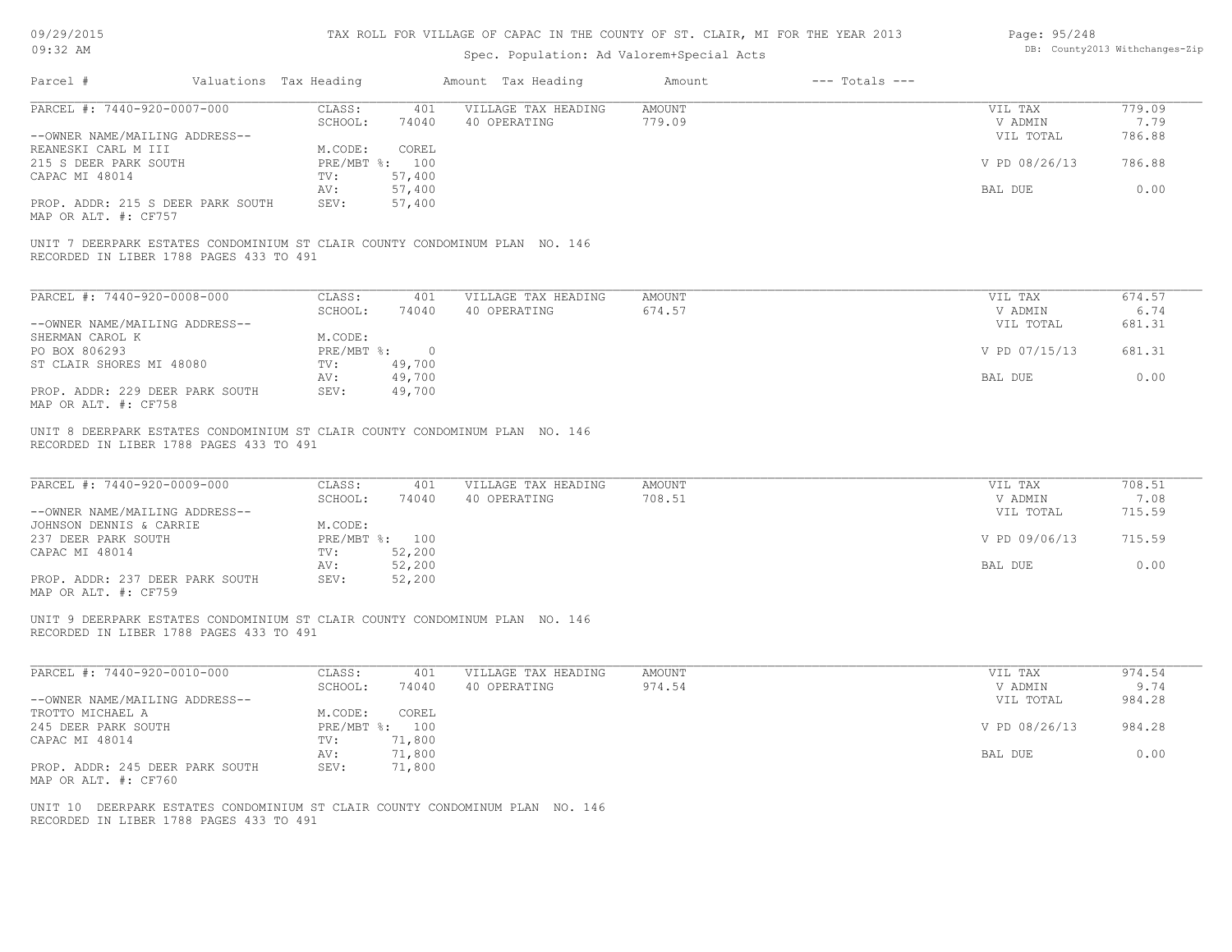| 09/29/2015 |  |
|------------|--|
| $09:32$ AM |  |

| Page: 95/248 |                                |
|--------------|--------------------------------|
|              | DB: County2013 Withchanges-Zip |

| Parcel #                                                                                                                | Valuations Tax Heading |                            | Amount Tax Heading                  | Amount                  | $---$ Totals $---$ |                      |                |
|-------------------------------------------------------------------------------------------------------------------------|------------------------|----------------------------|-------------------------------------|-------------------------|--------------------|----------------------|----------------|
| PARCEL #: 7440-920-0007-000                                                                                             | CLASS:<br>SCHOOL:      | 401<br>74040               | VILLAGE TAX HEADING<br>40 OPERATING | <b>AMOUNT</b><br>779.09 |                    | VIL TAX<br>V ADMIN   | 779.09<br>7.79 |
| --OWNER NAME/MAILING ADDRESS--<br>REANESKI CARL M III                                                                   | M.CODE:                | COREL                      |                                     |                         |                    | VIL TOTAL            | 786.88         |
| 215 S DEER PARK SOUTH<br>CAPAC MI 48014                                                                                 | TV:                    | PRE/MBT %: 100<br>57,400   |                                     |                         |                    | V PD 08/26/13        | 786.88         |
| PROP. ADDR: 215 S DEER PARK SOUTH<br>MAP OR ALT. #: CF757                                                               | AV:<br>SEV:            | 57,400<br>57,400           |                                     |                         |                    | BAL DUE              | 0.00           |
| UNIT 7 DEERPARK ESTATES CONDOMINIUM ST CLAIR COUNTY CONDOMINUM PLAN NO. 146<br>RECORDED IN LIBER 1788 PAGES 433 TO 491  |                        |                            |                                     |                         |                    |                      |                |
| PARCEL #: 7440-920-0008-000                                                                                             | CLASS:                 | 401                        | VILLAGE TAX HEADING                 | <b>AMOUNT</b>           |                    | VIL TAX              | 674.57         |
| --OWNER NAME/MAILING ADDRESS--                                                                                          | SCHOOL:                | 74040                      | 40 OPERATING                        | 674.57                  |                    | V ADMIN<br>VIL TOTAL | 6.74<br>681.31 |
| SHERMAN CAROL K<br>PO BOX 806293                                                                                        | M.CODE:                | PRE/MBT %: 0               |                                     |                         |                    | V PD 07/15/13        | 681.31         |
| ST CLAIR SHORES MI 48080<br>PROP. ADDR: 229 DEER PARK SOUTH                                                             | TV:<br>AV:<br>SEV:     | 49,700<br>49,700<br>49,700 |                                     |                         |                    | BAL DUE              | 0.00           |
| MAP OR ALT. #: CF758                                                                                                    |                        |                            |                                     |                         |                    |                      |                |
| UNIT 8 DEERPARK ESTATES CONDOMINIUM ST CLAIR COUNTY CONDOMINUM PLAN NO. 146<br>RECORDED IN LIBER 1788 PAGES 433 TO 491  |                        |                            |                                     |                         |                    |                      |                |
| PARCEL #: 7440-920-0009-000                                                                                             | CLASS:<br>SCHOOL:      | 401<br>74040               | VILLAGE TAX HEADING<br>40 OPERATING | <b>AMOUNT</b><br>708.51 |                    | VIL TAX<br>V ADMIN   | 708.51<br>7.08 |
| --OWNER NAME/MAILING ADDRESS--<br>JOHNSON DENNIS & CARRIE                                                               | M.CODE:                |                            |                                     |                         |                    | VIL TOTAL            | 715.59         |
| 237 DEER PARK SOUTH<br>CAPAC MI 48014                                                                                   | TV:                    | PRE/MBT %: 100<br>52,200   |                                     |                         |                    | V PD 09/06/13        | 715.59         |
| PROP. ADDR: 237 DEER PARK SOUTH                                                                                         | AV:<br>SEV:            | 52,200<br>52,200           |                                     |                         |                    | BAL DUE              | 0.00           |
| MAP OR ALT. #: CF759                                                                                                    |                        |                            |                                     |                         |                    |                      |                |
| UNIT 9 DEERPARK ESTATES CONDOMINIUM ST CLAIR COUNTY CONDOMINUM PLAN NO. 146<br>RECORDED IN LIBER 1788 PAGES 433 TO 491  |                        |                            |                                     |                         |                    |                      |                |
| PARCEL #: 7440-920-0010-000                                                                                             | CLASS:                 | 401                        | VILLAGE TAX HEADING                 | <b>AMOUNT</b>           |                    | VIL TAX              | 974.54         |
| --OWNER NAME/MAILING ADDRESS--<br>TROTTO MICHAEL A                                                                      | SCHOOL:<br>M.CODE:     | 74040<br>COREL             | 40 OPERATING                        | 974.54                  |                    | V ADMIN<br>VIL TOTAL | 9.74<br>984.28 |
| 245 DEER PARK SOUTH<br>CAPAC MI 48014                                                                                   | TV:                    | PRE/MBT %: 100<br>71,800   |                                     |                         |                    | V PD 08/26/13        | 984.28         |
| PROP. ADDR: 245 DEER PARK SOUTH                                                                                         | AV:<br>SEV:            | 71,800<br>71,800           |                                     |                         |                    | BAL DUE              | 0.00           |
| MAP OR ALT. #: CF760                                                                                                    |                        |                            |                                     |                         |                    |                      |                |
| UNIT 10 DEERPARK ESTATES CONDOMINIUM ST CLAIR COUNTY CONDOMINUM PLAN NO. 146<br>RECORDED IN LIBER 1788 PAGES 433 TO 491 |                        |                            |                                     |                         |                    |                      |                |
|                                                                                                                         |                        |                            |                                     |                         |                    |                      |                |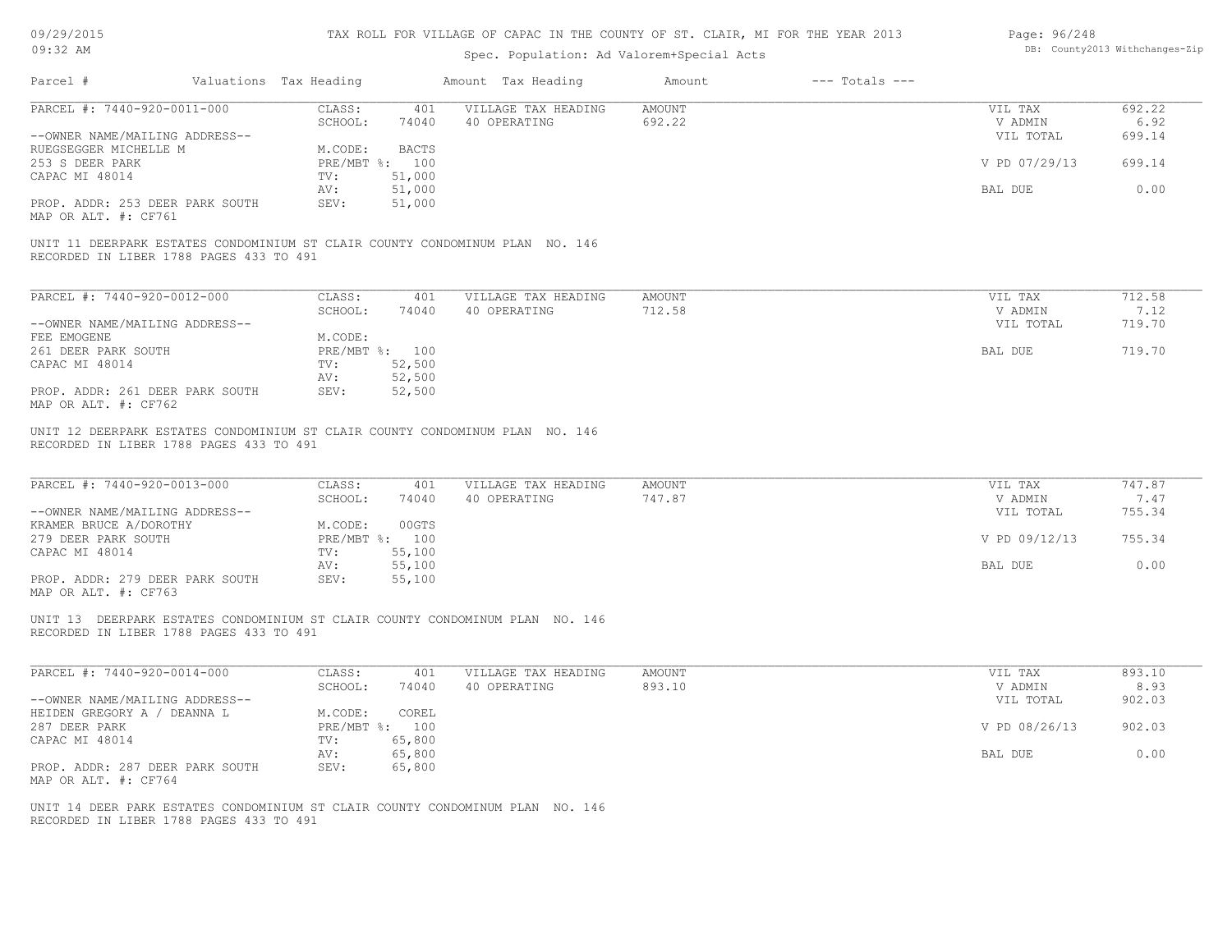| 09/29/2015 |  |
|------------|--|
| $09:32$ AM |  |

| Page: 96/248 |                                |
|--------------|--------------------------------|
|              | DB: County2013 Withchanges-Zip |

| PARCEL #: 7440-920-0011-000                                                                                             |                                                       |                                     |                         |                                 |                          |
|-------------------------------------------------------------------------------------------------------------------------|-------------------------------------------------------|-------------------------------------|-------------------------|---------------------------------|--------------------------|
|                                                                                                                         | CLASS:<br>401<br>SCHOOL:<br>74040                     | VILLAGE TAX HEADING<br>40 OPERATING | AMOUNT<br>692.22        | VIL TAX<br>V ADMIN              | 692.22<br>6.92           |
| --OWNER NAME/MAILING ADDRESS--                                                                                          |                                                       |                                     |                         | VIL TOTAL                       | 699.14                   |
| RUEGSEGGER MICHELLE M                                                                                                   | M.CODE:<br><b>BACTS</b>                               |                                     |                         |                                 |                          |
| 253 S DEER PARK                                                                                                         | PRE/MBT %: 100                                        |                                     |                         | V PD 07/29/13                   | 699.14                   |
| CAPAC MI 48014                                                                                                          | 51,000<br>$\text{TV}$ :                               |                                     |                         |                                 |                          |
|                                                                                                                         | 51,000<br>AV:                                         |                                     |                         | BAL DUE                         | 0.00                     |
| PROP. ADDR: 253 DEER PARK SOUTH<br>MAP OR ALT. #: CF761                                                                 | SEV:<br>51,000                                        |                                     |                         |                                 |                          |
| UNIT 11 DEERPARK ESTATES CONDOMINIUM ST CLAIR COUNTY CONDOMINUM PLAN NO. 146<br>RECORDED IN LIBER 1788 PAGES 433 TO 491 |                                                       |                                     |                         |                                 |                          |
| PARCEL #: 7440-920-0012-000                                                                                             | CLASS:<br>401                                         | VILLAGE TAX HEADING                 | <b>AMOUNT</b>           | VIL TAX                         | 712.58                   |
|                                                                                                                         | SCHOOL:<br>74040                                      | 40 OPERATING                        | 712.58                  | V ADMIN                         | 7.12                     |
| --OWNER NAME/MAILING ADDRESS--                                                                                          |                                                       |                                     |                         | VIL TOTAL                       | 719.70                   |
| FEE EMOGENE                                                                                                             | M.CODE:                                               |                                     |                         |                                 |                          |
| 261 DEER PARK SOUTH                                                                                                     | PRE/MBT %: 100                                        |                                     |                         | BAL DUE                         | 719.70                   |
| CAPAC MI 48014                                                                                                          | 52,500<br>$\text{TV}$ :                               |                                     |                         |                                 |                          |
|                                                                                                                         | 52,500<br>AV:                                         |                                     |                         |                                 |                          |
| PROP. ADDR: 261 DEER PARK SOUTH<br>MAP OR ALT. #: CF762                                                                 | SEV:<br>52,500                                        |                                     |                         |                                 |                          |
| PARCEL #: 7440-920-0013-000<br>--OWNER NAME/MAILING ADDRESS--                                                           | CLASS:<br>401<br>SCHOOL:<br>74040<br>00GTS<br>M.CODE: | VILLAGE TAX HEADING<br>40 OPERATING | <b>AMOUNT</b><br>747.87 | VIL TAX<br>V ADMIN<br>VIL TOTAL | 747.87<br>7.47<br>755.34 |
| KRAMER BRUCE A/DOROTHY<br>279 DEER PARK SOUTH                                                                           | PRE/MBT %: 100                                        |                                     |                         | V PD 09/12/13                   | 755.34                   |
|                                                                                                                         | 55,100<br>TV:                                         |                                     |                         |                                 |                          |
|                                                                                                                         |                                                       |                                     |                         | BAL DUE                         | 0.00                     |
| CAPAC MI 48014                                                                                                          | AV:                                                   |                                     |                         |                                 |                          |
| PROP. ADDR: 279 DEER PARK SOUTH<br>MAP OR ALT. #: CF763                                                                 | 55,100<br>55,100<br>SEV:                              |                                     |                         |                                 |                          |
| UNIT 13 DEERPARK ESTATES CONDOMINIUM ST CLAIR COUNTY CONDOMINUM PLAN NO. 146<br>RECORDED IN LIBER 1788 PAGES 433 TO 491 |                                                       |                                     |                         |                                 |                          |
| PARCEL #: 7440-920-0014-000                                                                                             | CLASS:<br>401                                         | VILLAGE TAX HEADING                 | AMOUNT                  | VIL TAX                         | 893.10                   |
|                                                                                                                         | SCHOOL:<br>74040                                      | 40 OPERATING                        | 893.10                  | V ADMIN                         | 8.93                     |
| --OWNER NAME/MAILING ADDRESS--                                                                                          |                                                       |                                     |                         | VIL TOTAL                       | 902.03                   |
| HEIDEN GREGORY A / DEANNA L                                                                                             | M.CODE:<br>COREL                                      |                                     |                         |                                 |                          |
| 287 DEER PARK                                                                                                           | PRE/MBT %: 100                                        |                                     |                         | V PD 08/26/13                   | 902.03                   |
| CAPAC MI 48014                                                                                                          | 65,800<br>TV:                                         |                                     |                         |                                 |                          |
|                                                                                                                         | 65,800<br>AV:                                         |                                     |                         | BAL DUE                         | 0.00                     |
| PROP. ADDR: 287 DEER PARK SOUTH                                                                                         | SEV:<br>65,800                                        |                                     |                         |                                 |                          |
| MAP OR ALT. #: CF764                                                                                                    |                                                       |                                     |                         |                                 |                          |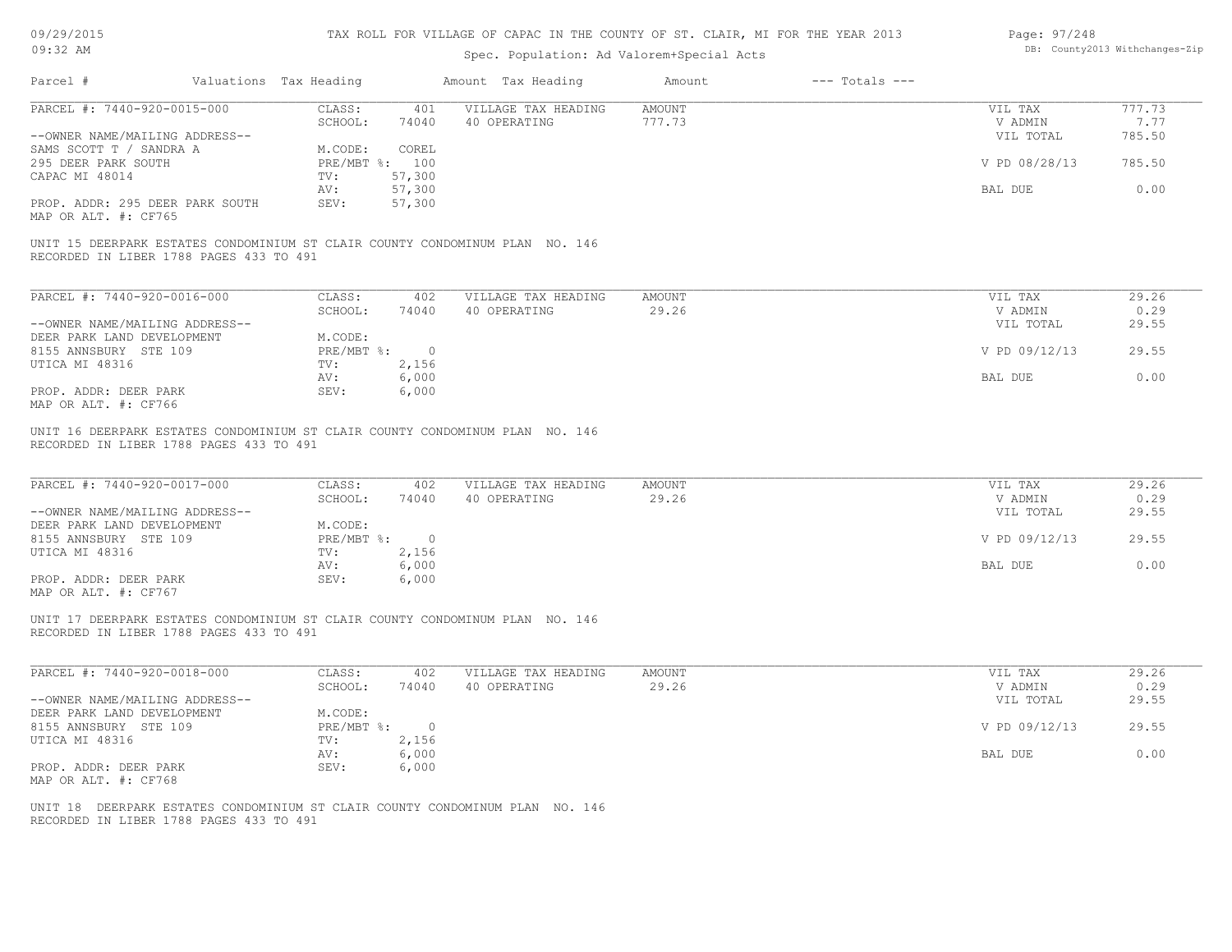| 09/29/2015 |  |
|------------|--|
|------------|--|

| Page: 97/248 |                                |
|--------------|--------------------------------|
|              | DB: County2013 Withchanges-Zip |

| 09:32 AM                                                                                                                |                           |                  | Spec. Population: Ad Valorem+Special Acts                                    |               |                    |                      | DB: County2013 Withchanges-Zip |
|-------------------------------------------------------------------------------------------------------------------------|---------------------------|------------------|------------------------------------------------------------------------------|---------------|--------------------|----------------------|--------------------------------|
| Parcel #                                                                                                                | Valuations Tax Heading    |                  | Amount Tax Heading                                                           | Amount        | $---$ Totals $---$ |                      |                                |
| PARCEL #: 7440-920-0015-000                                                                                             | CLASS:                    | 401              | VILLAGE TAX HEADING                                                          | <b>AMOUNT</b> |                    | VIL TAX              | 777.73                         |
| --OWNER NAME/MAILING ADDRESS--                                                                                          | SCHOOL:                   | 74040            | 40 OPERATING                                                                 | 777.73        |                    | V ADMIN<br>VIL TOTAL | 7.77<br>785.50                 |
| SAMS SCOTT T / SANDRA A<br>295 DEER PARK SOUTH                                                                          | M.CODE:<br>PRE/MBT %: 100 | COREL            |                                                                              |               |                    | V PD 08/28/13        | 785.50                         |
| CAPAC MI 48014                                                                                                          | TV:<br>AV:                | 57,300<br>57,300 |                                                                              |               |                    | BAL DUE              | 0.00                           |
| PROP. ADDR: 295 DEER PARK SOUTH<br>MAP OR ALT. #: CF765                                                                 | SEV:                      | 57,300           |                                                                              |               |                    |                      |                                |
| UNIT 15 DEERPARK ESTATES CONDOMINIUM ST CLAIR COUNTY CONDOMINUM PLAN NO. 146<br>RECORDED IN LIBER 1788 PAGES 433 TO 491 |                           |                  |                                                                              |               |                    |                      |                                |
| PARCEL #: 7440-920-0016-000                                                                                             | CLASS:                    | 402              | VILLAGE TAX HEADING                                                          | <b>AMOUNT</b> |                    | VIL TAX              | 29.26                          |
|                                                                                                                         | SCHOOL:                   | 74040            | 40 OPERATING                                                                 | 29.26         |                    | V ADMIN<br>VIL TOTAL | 0.29                           |
| --OWNER NAME/MAILING ADDRESS--<br>DEER PARK LAND DEVELOPMENT                                                            | M.CODE:                   |                  |                                                                              |               |                    |                      | 29.55                          |
| 8155 ANNSBURY STE 109                                                                                                   | PRE/MBT %:                | $\circ$          |                                                                              |               |                    | V PD 09/12/13        | 29.55                          |
| UTICA MI 48316                                                                                                          | TV:                       | 2,156            |                                                                              |               |                    |                      |                                |
| PROP. ADDR: DEER PARK<br>MAP OR ALT. #: CF766                                                                           | AV:<br>SEV:               | 6,000<br>6,000   |                                                                              |               |                    | BAL DUE              | 0.00                           |
| PARCEL #: 7440-920-0017-000                                                                                             | CLASS:                    | 402              | VILLAGE TAX HEADING                                                          | <b>AMOUNT</b> |                    | VIL TAX              | 29.26                          |
| --OWNER NAME/MAILING ADDRESS--                                                                                          | SCHOOL:                   | 74040            | 40 OPERATING                                                                 | 29.26         |                    | V ADMIN<br>VIL TOTAL | 0.29<br>29.55                  |
| DEER PARK LAND DEVELOPMENT<br>8155 ANNSBURY STE 109                                                                     | M.CODE:<br>PRE/MBT %:     | $\circ$          |                                                                              |               |                    | V PD 09/12/13        | 29.55                          |
| UTICA MI 48316                                                                                                          | TV:<br>AV:                | 2,156<br>6,000   |                                                                              |               |                    | BAL DUE              | 0.00                           |
| PROP. ADDR: DEER PARK<br>MAP OR ALT. #: CF767                                                                           | SEV:                      | 6,000            |                                                                              |               |                    |                      |                                |
| RECORDED IN LIBER 1788 PAGES 433 TO 491                                                                                 |                           |                  | UNIT 17 DEERPARK ESTATES CONDOMINIUM ST CLAIR COUNTY CONDOMINUM PLAN NO. 146 |               |                    |                      |                                |
| PARCEL #: 7440-920-0018-000                                                                                             | CLASS:                    | 402              | VILLAGE TAX HEADING                                                          | AMOUNT        |                    | VIL TAX              | 29.26                          |
| --OWNER NAME/MAILING ADDRESS--                                                                                          | SCHOOL:                   | 74040            | 40 OPERATING                                                                 | 29.26         |                    | V ADMIN<br>VIL TOTAL | 0.29<br>29.55                  |
| DEER PARK LAND DEVELOPMENT<br>8155 ANNSBURY STE 109                                                                     | M.CODE:<br>PRE/MBT %:     | $\circ$          |                                                                              |               |                    | V PD 09/12/13        | 29.55                          |
| UTICA MI 48316                                                                                                          | TV:                       | 2,156            |                                                                              |               |                    |                      |                                |
| PROP. ADDR: DEER PARK                                                                                                   | AV:<br>SEV:               | 6,000<br>6,000   |                                                                              |               |                    | BAL DUE              | 0.00                           |
| MAP OR ALT. #: CF768                                                                                                    |                           |                  |                                                                              |               |                    |                      |                                |
|                                                                                                                         |                           |                  | UNIT 18 DEERPARK ESTATES CONDOMINIUM ST CLAIR COUNTY CONDOMINUM PLAN NO. 146 |               |                    |                      |                                |
| RECORDED IN LIBER 1788 PAGES 433 TO 491                                                                                 |                           |                  |                                                                              |               |                    |                      |                                |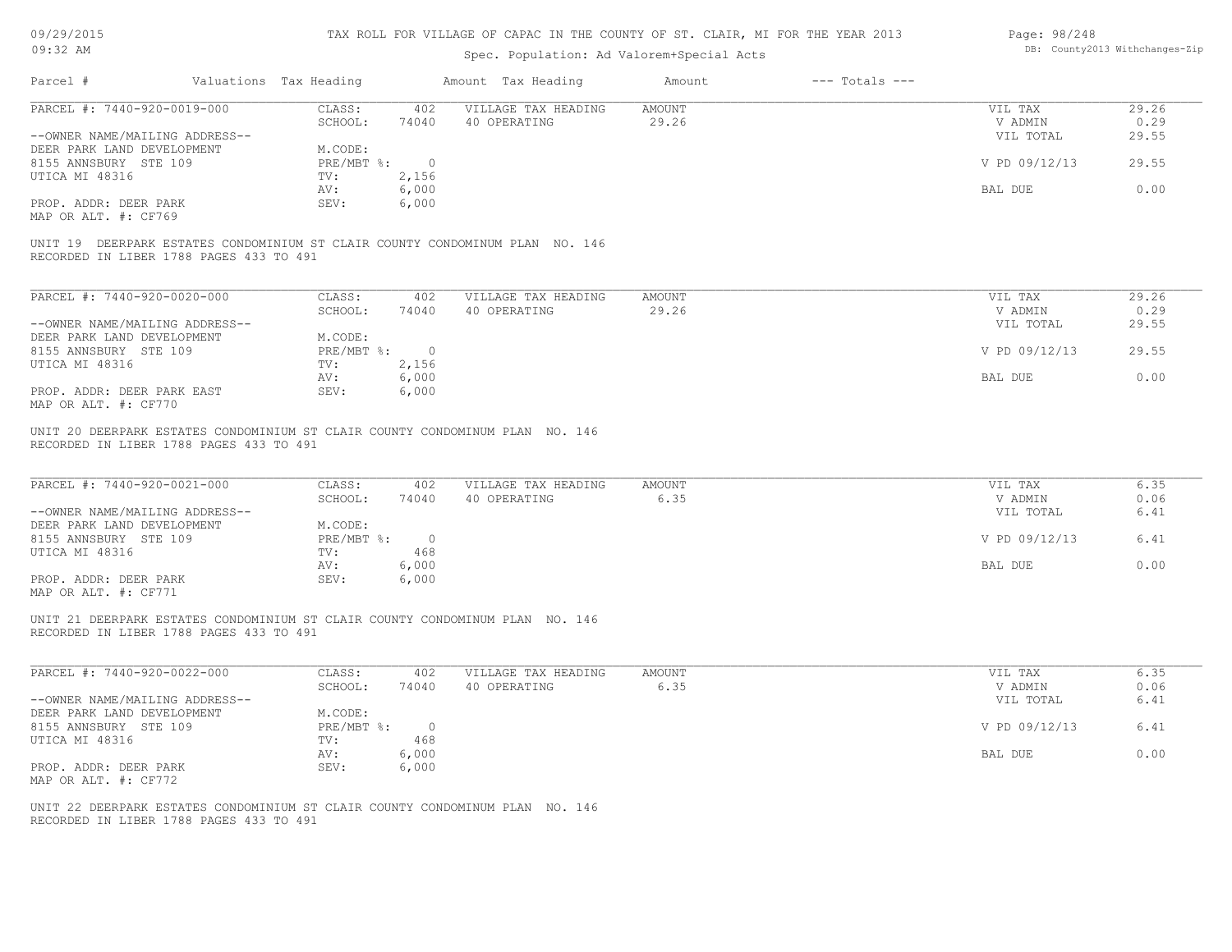| 09/29/2015 |  |
|------------|--|
| $09:32$ AM |  |

| Page: 98/248 |                                |
|--------------|--------------------------------|
|              | DB: County2013 Withchanges-Zip |

|                                                                                                                         | Valuations Tax Heading            | Amount Tax Heading                      | Amount<br>$---$ Totals $---$ |                                 |                      |
|-------------------------------------------------------------------------------------------------------------------------|-----------------------------------|-----------------------------------------|------------------------------|---------------------------------|----------------------|
| PARCEL #: 7440-920-0019-000                                                                                             | CLASS:<br>74040                   | 402 VILLAGE TAX HEADING<br>40 OPERATING | AMOUNT<br>29.26              | VIL TAX<br>V ADMIN              | 29.26                |
| --OWNER NAME/MAILING ADDRESS--                                                                                          | SCHOOL:                           |                                         |                              | VIL TOTAL                       | 0.29<br>29.55        |
| DEER PARK LAND DEVELOPMENT                                                                                              | M.CODE:                           |                                         |                              |                                 |                      |
| 8155 ANNSBURY STE 109                                                                                                   | PRE/MBT %: 0                      |                                         |                              | V PD 09/12/13                   | 29.55                |
| UTICA MI 48316                                                                                                          | 2,156<br>TV:                      |                                         |                              |                                 |                      |
|                                                                                                                         | 6,000<br>AV:                      |                                         |                              | BAL DUE                         | 0.00                 |
| PROP. ADDR: DEER PARK                                                                                                   | 6,000<br>SEV:                     |                                         |                              |                                 |                      |
| MAP OR ALT. #: CF769                                                                                                    |                                   |                                         |                              |                                 |                      |
| UNIT 19 DEERPARK ESTATES CONDOMINIUM ST CLAIR COUNTY CONDOMINUM PLAN NO. 146<br>RECORDED IN LIBER 1788 PAGES 433 TO 491 |                                   |                                         |                              |                                 |                      |
|                                                                                                                         |                                   |                                         |                              |                                 |                      |
| PARCEL #: 7440-920-0020-000                                                                                             | CLASS:<br>402                     | VILLAGE TAX HEADING                     | <b>AMOUNT</b>                | VIL TAX                         | 29.26                |
|                                                                                                                         | SCHOOL:<br>74040                  | 40 OPERATING                            | 29.26                        | V ADMIN                         | 0.29                 |
| --OWNER NAME/MAILING ADDRESS--                                                                                          |                                   |                                         |                              | VIL TOTAL                       | 29.55                |
| DEER PARK LAND DEVELOPMENT                                                                                              | M.CODE:                           |                                         |                              |                                 |                      |
| 8155 ANNSBURY STE 109                                                                                                   | $PRE/MBT$ $\div$ 0                |                                         |                              | V PD 09/12/13                   | 29.55                |
| UTICA MI 48316                                                                                                          | 2,156<br>TV:                      |                                         |                              |                                 |                      |
|                                                                                                                         | 6,000<br>AV:                      |                                         |                              | BAL DUE                         | 0.00                 |
| PROP. ADDR: DEER PARK EAST<br>MAP OR ALT. #: CF770                                                                      | SEV:<br>6,000                     |                                         |                              |                                 |                      |
|                                                                                                                         |                                   |                                         |                              |                                 |                      |
| PARCEL #: 7440-920-0021-000<br>--OWNER NAME/MAILING ADDRESS--                                                           | CLASS:<br>402<br>SCHOOL:<br>74040 | VILLAGE TAX HEADING<br>40 OPERATING     | <b>AMOUNT</b><br>6.35        | VIL TAX<br>V ADMIN<br>VIL TOTAL | 6.35<br>0.06<br>6.41 |
| DEER PARK LAND DEVELOPMENT<br>8155 ANNSBURY STE 109                                                                     | M.CODE:<br>PRE/MBT %: 0           |                                         |                              | V PD 09/12/13                   | 6.41                 |
| UTICA MI 48316                                                                                                          | 468<br>TV:                        |                                         |                              |                                 |                      |
|                                                                                                                         | 6,000<br>AV:                      |                                         |                              | BAL DUE                         | 0.00                 |
| PROP. ADDR: DEER PARK<br>MAP OR ALT. #: CF771                                                                           | 6,000<br>SEV:                     |                                         |                              |                                 |                      |
| UNIT 21 DEERPARK ESTATES CONDOMINIUM ST CLAIR COUNTY CONDOMINUM PLAN NO. 146<br>RECORDED IN LIBER 1788 PAGES 433 TO 491 |                                   |                                         |                              |                                 |                      |
| PARCEL #: 7440-920-0022-000                                                                                             | CLASS:<br>402                     | VILLAGE TAX HEADING                     | <b>AMOUNT</b>                | VIL TAX                         | 6.35                 |
|                                                                                                                         | SCHOOL:<br>74040                  | 40 OPERATING                            | 6.35                         | V ADMIN                         | 0.06                 |
|                                                                                                                         |                                   |                                         |                              | VIL TOTAL                       | 6.41                 |
|                                                                                                                         | M.CODE:                           |                                         |                              |                                 |                      |
|                                                                                                                         | PRE/MBT %: 0                      |                                         |                              | V PD 09/12/13                   | 6.41                 |
| --OWNER NAME/MAILING ADDRESS--<br>DEER PARK LAND DEVELOPMENT<br>8155 ANNSBURY STE 109<br>UTICA MI 48316                 | 468<br>TV:                        |                                         |                              |                                 |                      |
|                                                                                                                         | 6,000<br>AV:                      |                                         |                              | BAL DUE                         | 0.00                 |
| PROP. ADDR: DEER PARK<br>MAP OR ALT. #: CF772                                                                           | 6,000<br>SEV:                     |                                         |                              |                                 |                      |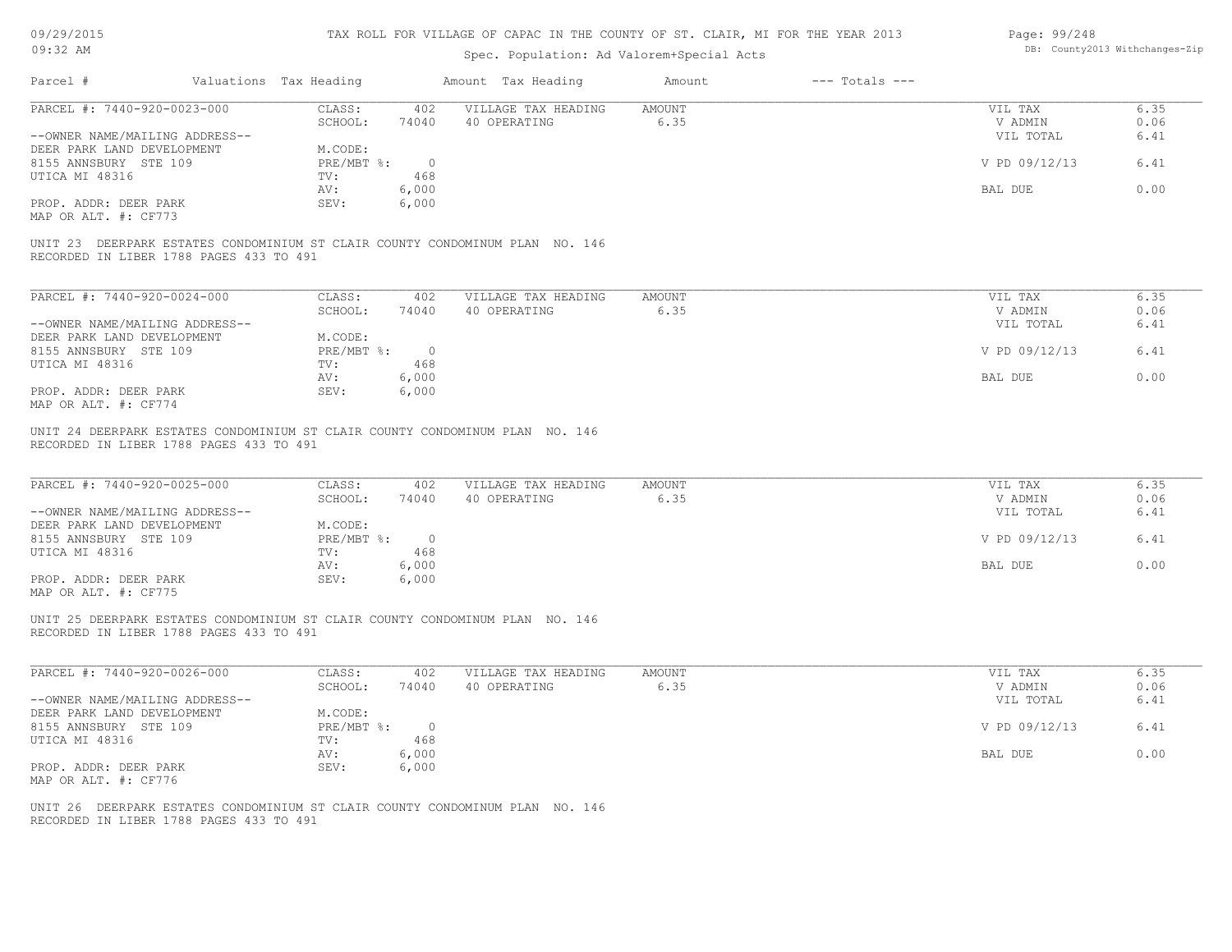| 09/29/2015 |  |
|------------|--|
|------------|--|

| Page: 99/248 |                                |
|--------------|--------------------------------|
|              | DB: County2013 Withchanges-Zip |

| $09:32$ AM                                                                                                              |                                              | Spec. Population: Ad Valorem+Special Acts |                              |                                 | DB: County2013 Withchanges-Zip |
|-------------------------------------------------------------------------------------------------------------------------|----------------------------------------------|-------------------------------------------|------------------------------|---------------------------------|--------------------------------|
| Parcel #                                                                                                                | Valuations Tax Heading                       | Amount Tax Heading                        | $---$ Totals $---$<br>Amount |                                 |                                |
| PARCEL #: 7440-920-0023-000                                                                                             | CLASS:<br>402                                | VILLAGE TAX HEADING                       | <b>AMOUNT</b>                | VIL TAX                         | 6.35                           |
|                                                                                                                         | SCHOOL:<br>74040                             | 40 OPERATING                              | 6.35                         | V ADMIN                         | 0.06                           |
| --OWNER NAME/MAILING ADDRESS--                                                                                          |                                              |                                           |                              | VIL TOTAL                       | 6.41                           |
| DEER PARK LAND DEVELOPMENT                                                                                              | M.CODE:                                      |                                           |                              |                                 |                                |
| 8155 ANNSBURY STE 109                                                                                                   | PRE/MBT %:<br>$\overline{0}$                 |                                           |                              | V PD 09/12/13                   | 6.41                           |
| UTICA MI 48316                                                                                                          | 468<br>TV:                                   |                                           |                              |                                 |                                |
|                                                                                                                         | 6,000<br>AV:                                 |                                           |                              | BAL DUE                         | 0.00                           |
| PROP. ADDR: DEER PARK<br>MAP OR ALT. #: CF773                                                                           | 6,000<br>SEV:                                |                                           |                              |                                 |                                |
|                                                                                                                         |                                              |                                           |                              |                                 |                                |
| UNIT 23 DEERPARK ESTATES CONDOMINIUM ST CLAIR COUNTY CONDOMINUM PLAN NO. 146<br>RECORDED IN LIBER 1788 PAGES 433 TO 491 |                                              |                                           |                              |                                 |                                |
| PARCEL #: 7440-920-0024-000                                                                                             | CLASS:<br>402                                | VILLAGE TAX HEADING                       | AMOUNT                       | VIL TAX                         | 6.35                           |
|                                                                                                                         | SCHOOL:<br>74040                             | 40 OPERATING                              | 6.35                         | V ADMIN                         | 0.06                           |
| --OWNER NAME/MAILING ADDRESS--                                                                                          |                                              |                                           |                              | VIL TOTAL                       | 6.41                           |
| DEER PARK LAND DEVELOPMENT                                                                                              | M.CODE:                                      |                                           |                              |                                 |                                |
| 8155 ANNSBURY STE 109                                                                                                   | $PRE/MBT$ $\frac{6}{3}$ :<br>$\overline{0}$  |                                           |                              | V PD 09/12/13                   | 6.41                           |
| UTICA MI 48316                                                                                                          | 468<br>TV:                                   |                                           |                              |                                 |                                |
|                                                                                                                         | 6,000<br>AV:                                 |                                           |                              | BAL DUE                         | 0.00                           |
| PROP. ADDR: DEER PARK                                                                                                   | SEV:<br>6,000                                |                                           |                              |                                 |                                |
| MAP OR ALT. #: CF774                                                                                                    |                                              |                                           |                              |                                 |                                |
| PARCEL #: 7440-920-0025-000<br>--OWNER NAME/MAILING ADDRESS--<br>DEER PARK LAND DEVELOPMENT                             | CLASS:<br>402<br>SCHOOL:<br>74040<br>M.CODE: | VILLAGE TAX HEADING<br>40 OPERATING       | AMOUNT<br>6.35               | VIL TAX<br>V ADMIN<br>VIL TOTAL | 6.35<br>0.06<br>6.41           |
| 8155 ANNSBURY STE 109                                                                                                   | $PRE/MBT$ $\div$<br>$\overline{0}$           |                                           |                              | V PD 09/12/13                   | 6.41                           |
| UTICA MI 48316                                                                                                          | 468<br>TV:                                   |                                           |                              |                                 |                                |
|                                                                                                                         | AV:<br>6,000                                 |                                           |                              | BAL DUE                         | 0.00                           |
| PROP. ADDR: DEER PARK                                                                                                   | 6,000<br>SEV:                                |                                           |                              |                                 |                                |
| MAP OR ALT. #: CF775                                                                                                    |                                              |                                           |                              |                                 |                                |
| UNIT 25 DEERPARK ESTATES CONDOMINIUM ST CLAIR COUNTY CONDOMINUM PLAN NO. 146<br>RECORDED IN LIBER 1788 PAGES 433 TO 491 |                                              |                                           |                              |                                 |                                |
| PARCEL #: 7440-920-0026-000                                                                                             | CLASS:<br>402                                | VILLAGE TAX HEADING                       | AMOUNT                       | VIL TAX                         | 6.35                           |
|                                                                                                                         | SCHOOL:<br>74040                             | 40 OPERATING                              | 6.35                         | V ADMIN                         | 0.06                           |
| --OWNER NAME/MAILING ADDRESS--                                                                                          |                                              |                                           |                              | VIL TOTAL                       | 6.41                           |
| DEER PARK LAND DEVELOPMENT                                                                                              | M.CODE:                                      |                                           |                              |                                 |                                |
| 8155 ANNSBURY STE 109                                                                                                   | PRE/MBT %:<br>$\circ$                        |                                           |                              | V PD 09/12/13                   | 6.41                           |
| UTICA MI 48316                                                                                                          | 468<br>TV:<br>6,000<br>AV:                   |                                           |                              |                                 | 0.00                           |
| PROP. ADDR: DEER PARK                                                                                                   | SEV:<br>6,000                                |                                           |                              | BAL DUE                         |                                |
| MAP OR ALT. #: CF776                                                                                                    |                                              |                                           |                              |                                 |                                |
|                                                                                                                         |                                              |                                           |                              |                                 |                                |
| UNIT 26 DEERPARK ESTATES CONDOMINIUM ST CLAIR COUNTY CONDOMINUM PLAN NO. 146                                            |                                              |                                           |                              |                                 |                                |
| RECORDED IN LIBER 1788 PAGES 433 TO 491                                                                                 |                                              |                                           |                              |                                 |                                |
|                                                                                                                         |                                              |                                           |                              |                                 |                                |
|                                                                                                                         |                                              |                                           |                              |                                 |                                |
|                                                                                                                         |                                              |                                           |                              |                                 |                                |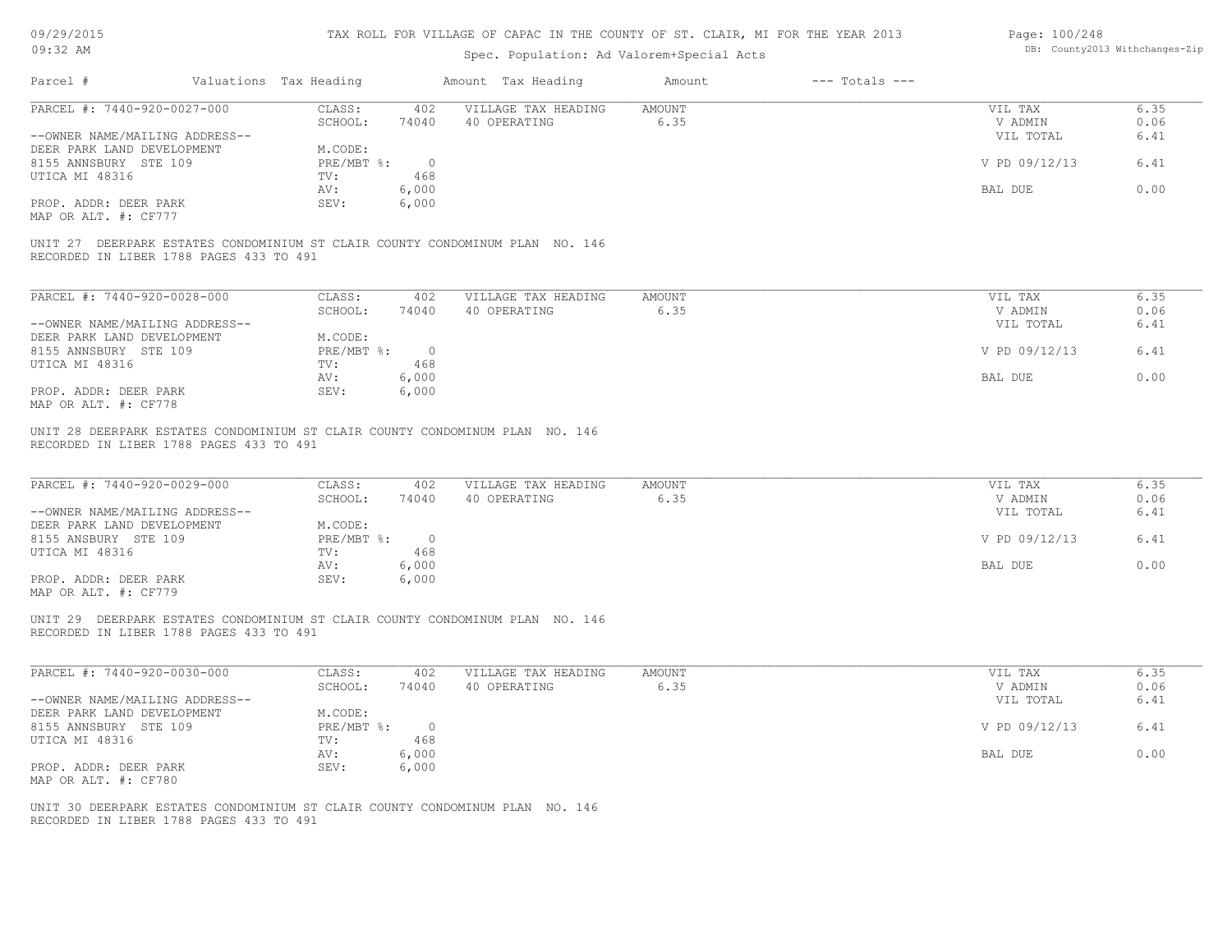| 09/29/2015 |  |
|------------|--|
|------------|--|

| Page: 100/248 |                                |
|---------------|--------------------------------|
|               | DB: County2013 Withchanges-Zip |

| 09:32 AM                                                                                                                |                                               | Spec. Population: Ad Valorem+Special Acts |                              |                    | DB: County2013 Withchanges-Zip |
|-------------------------------------------------------------------------------------------------------------------------|-----------------------------------------------|-------------------------------------------|------------------------------|--------------------|--------------------------------|
| Parcel #                                                                                                                | Valuations Tax Heading                        | Amount Tax Heading                        | $---$ Totals $---$<br>Amount |                    |                                |
| PARCEL #: 7440-920-0027-000                                                                                             | CLASS:<br>402                                 | VILLAGE TAX HEADING                       | <b>AMOUNT</b>                | VIL TAX            | 6.35                           |
|                                                                                                                         | SCHOOL:<br>74040                              | 40 OPERATING                              | 6.35                         | V ADMIN            | 0.06                           |
| --OWNER NAME/MAILING ADDRESS--                                                                                          |                                               |                                           |                              | VIL TOTAL          | 6.41                           |
| DEER PARK LAND DEVELOPMENT                                                                                              | M.CODE:                                       |                                           |                              |                    |                                |
| 8155 ANNSBURY STE 109                                                                                                   | $\circ$<br>PRE/MBT %:                         |                                           |                              | V PD 09/12/13      | 6.41                           |
| UTICA MI 48316                                                                                                          | 468<br>TV:<br>6,000<br>AV:                    |                                           |                              | BAL DUE            | 0.00                           |
| PROP. ADDR: DEER PARK                                                                                                   | 6,000<br>SEV:                                 |                                           |                              |                    |                                |
| MAP OR ALT. #: CF777                                                                                                    |                                               |                                           |                              |                    |                                |
|                                                                                                                         |                                               |                                           |                              |                    |                                |
| UNIT 27 DEERPARK ESTATES CONDOMINIUM ST CLAIR COUNTY CONDOMINUM PLAN NO. 146<br>RECORDED IN LIBER 1788 PAGES 433 TO 491 |                                               |                                           |                              |                    |                                |
| PARCEL #: 7440-920-0028-000                                                                                             | CLASS:<br>402                                 | VILLAGE TAX HEADING                       | <b>AMOUNT</b>                | VIL TAX            | 6.35                           |
|                                                                                                                         | SCHOOL:<br>74040                              | 40 OPERATING                              | 6.35                         | V ADMIN            | 0.06                           |
| --OWNER NAME/MAILING ADDRESS--                                                                                          |                                               |                                           |                              | VIL TOTAL          | 6.41                           |
| DEER PARK LAND DEVELOPMENT                                                                                              | M.CODE:                                       |                                           |                              |                    |                                |
| 8155 ANNSBURY STE 109                                                                                                   | PRE/MBT %:<br>$\overline{0}$                  |                                           |                              | V PD 09/12/13      | 6.41                           |
| UTICA MI 48316                                                                                                          | TV:<br>468                                    |                                           |                              |                    |                                |
|                                                                                                                         | 6,000<br>AV:                                  |                                           |                              | BAL DUE            | 0.00                           |
| PROP. ADDR: DEER PARK                                                                                                   | 6,000<br>SEV:                                 |                                           |                              |                    |                                |
| MAP OR ALT. #: CF778                                                                                                    |                                               |                                           |                              |                    |                                |
| PARCEL #: 7440-920-0029-000                                                                                             | CLASS:<br>402<br>74040<br>SCHOOL:             | VILLAGE TAX HEADING<br>40 OPERATING       | <b>AMOUNT</b><br>6.35        | VIL TAX<br>V ADMIN | 6.35<br>0.06                   |
| --OWNER NAME/MAILING ADDRESS--                                                                                          |                                               |                                           |                              | VIL TOTAL          | 6.41                           |
| DEER PARK LAND DEVELOPMENT<br>8155 ANSBURY STE 109                                                                      | M.CODE:<br>$PRE/MBT$ $\div$<br>$\overline{0}$ |                                           |                              | V PD 09/12/13      | 6.41                           |
| UTICA MI 48316                                                                                                          | 468<br>TV:                                    |                                           |                              |                    |                                |
|                                                                                                                         | 6,000<br>AV:                                  |                                           |                              | BAL DUE            | 0.00                           |
| PROP. ADDR: DEER PARK                                                                                                   | 6,000<br>SEV:                                 |                                           |                              |                    |                                |
| MAP OR ALT. #: CF779                                                                                                    |                                               |                                           |                              |                    |                                |
| UNIT 29 DEERPARK ESTATES CONDOMINIUM ST CLAIR COUNTY CONDOMINUM PLAN NO. 146<br>RECORDED IN LIBER 1788 PAGES 433 TO 491 |                                               |                                           |                              |                    |                                |
| PARCEL #: 7440-920-0030-000                                                                                             | CLASS:<br>402<br>SCHOOL:<br>74040             | VILLAGE TAX HEADING<br>40 OPERATING       | <b>AMOUNT</b><br>6.35        | VIL TAX<br>V ADMIN | 6.35<br>0.06                   |
| --OWNER NAME/MAILING ADDRESS--                                                                                          |                                               |                                           |                              | VIL TOTAL          | 6.41                           |
| DEER PARK LAND DEVELOPMENT                                                                                              | M.CODE:                                       |                                           |                              |                    |                                |
| 8155 ANNSBURY STE 109                                                                                                   | PRE/MBT %:<br>$\overline{0}$                  |                                           |                              | V PD 09/12/13      | 6.41                           |
| UTICA MI 48316                                                                                                          | 468<br>TV:                                    |                                           |                              |                    |                                |
|                                                                                                                         | 6,000<br>AV:                                  |                                           |                              | BAL DUE            | 0.00                           |
| PROP. ADDR: DEER PARK                                                                                                   | 6,000<br>SEV:                                 |                                           |                              |                    |                                |
| MAP OR ALT. #: CF780                                                                                                    |                                               |                                           |                              |                    |                                |
|                                                                                                                         |                                               |                                           |                              |                    |                                |
| UNIT 30 DEERPARK ESTATES CONDOMINIUM ST CLAIR COUNTY CONDOMINUM PLAN NO. 146                                            |                                               |                                           |                              |                    |                                |
| RECORDED IN LIBER 1788 PAGES 433 TO 491                                                                                 |                                               |                                           |                              |                    |                                |
|                                                                                                                         |                                               |                                           |                              |                    |                                |
|                                                                                                                         |                                               |                                           |                              |                    |                                |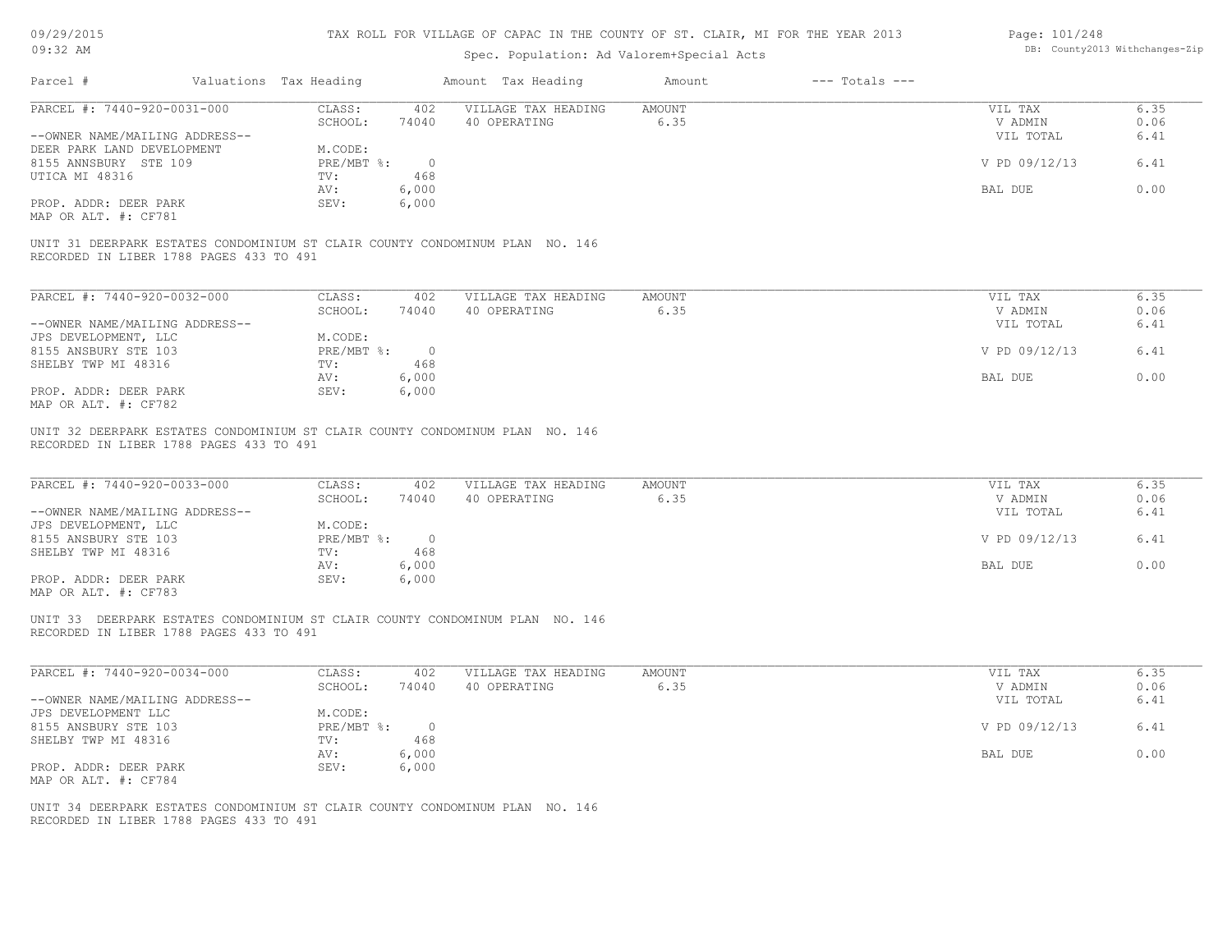| 09/29/2015 |  |
|------------|--|
|------------|--|

| Page: 101/248 |                                |
|---------------|--------------------------------|
|               | DB: County2013 Withchanges-Zip |

| $09:32$ AM                                                                                                              |                                                           | Spec. Population: Ad Valorem+Special Acts |                       |                                 | DB: County2013 Withchanges-Zip |
|-------------------------------------------------------------------------------------------------------------------------|-----------------------------------------------------------|-------------------------------------------|-----------------------|---------------------------------|--------------------------------|
| Parcel #                                                                                                                | Valuations Tax Heading                                    | Amount Tax Heading                        | Amount                | $---$ Totals $---$              |                                |
| PARCEL #: 7440-920-0031-000                                                                                             | CLASS:<br>402<br>SCHOOL:<br>74040                         | VILLAGE TAX HEADING<br>40 OPERATING       | <b>AMOUNT</b><br>6.35 | VIL TAX<br>V ADMIN              | 6.35<br>0.06                   |
| --OWNER NAME/MAILING ADDRESS--                                                                                          |                                                           |                                           |                       | VIL TOTAL                       | 6.41                           |
| DEER PARK LAND DEVELOPMENT<br>8155 ANNSBURY STE 109                                                                     | M.CODE:<br>$PRE/MBT$ $\div$<br>$\overline{0}$             |                                           |                       | V PD 09/12/13                   | 6.41                           |
| UTICA MI 48316                                                                                                          | 468<br>TV:<br>6,000<br>AV:                                |                                           |                       | BAL DUE                         | 0.00                           |
| PROP. ADDR: DEER PARK<br>MAP OR ALT. #: CF781                                                                           | SEV:<br>6,000                                             |                                           |                       |                                 |                                |
| UNIT 31 DEERPARK ESTATES CONDOMINIUM ST CLAIR COUNTY CONDOMINUM PLAN NO. 146<br>RECORDED IN LIBER 1788 PAGES 433 TO 491 |                                                           |                                           |                       |                                 |                                |
| PARCEL #: 7440-920-0032-000                                                                                             |                                                           |                                           | AMOUNT                | VIL TAX                         | 6.35                           |
|                                                                                                                         | CLASS:<br>402<br>SCHOOL:<br>74040                         | VILLAGE TAX HEADING<br>40 OPERATING       | 6.35                  | V ADMIN                         | 0.06                           |
| --OWNER NAME/MAILING ADDRESS--                                                                                          |                                                           |                                           |                       | VIL TOTAL                       | 6.41                           |
| JPS DEVELOPMENT, LLC<br>8155 ANSBURY STE 103                                                                            | M.CODE:<br>$PRE/MBT$ $\div$<br>$\overline{0}$             |                                           |                       | V PD 09/12/13                   | 6.41                           |
| SHELBY TWP MI 48316                                                                                                     | 468<br>TV:                                                |                                           |                       |                                 |                                |
| PROP. ADDR: DEER PARK<br>MAP OR ALT. #: CF782                                                                           | AV:<br>6,000<br>SEV:<br>6,000                             |                                           |                       | BAL DUE                         | 0.00                           |
| PARCEL #: 7440-920-0033-000<br>--OWNER NAME/MAILING ADDRESS--<br>JPS DEVELOPMENT, LLC                                   | CLASS:<br>402<br>SCHOOL:<br>74040<br>M.CODE:              | VILLAGE TAX HEADING<br>40 OPERATING       | <b>AMOUNT</b><br>6.35 | VIL TAX<br>V ADMIN<br>VIL TOTAL | 6.35<br>0.06<br>6.41           |
| 8155 ANSBURY STE 103<br>SHELBY TWP MI 48316                                                                             | $PRE/MBT$ $\frac{1}{6}$ :<br>$\overline{0}$<br>468<br>TV: |                                           |                       | V PD 09/12/13                   | 6.41                           |
|                                                                                                                         | 6,000<br>AV:                                              |                                           |                       | BAL DUE                         | 0.00                           |
| PROP. ADDR: DEER PARK<br>MAP OR ALT. #: CF783                                                                           | SEV:<br>6,000                                             |                                           |                       |                                 |                                |
| UNIT 33 DEERPARK ESTATES CONDOMINIUM ST CLAIR COUNTY CONDOMINUM PLAN NO. 146<br>RECORDED IN LIBER 1788 PAGES 433 TO 491 |                                                           |                                           |                       |                                 |                                |
| PARCEL #: 7440-920-0034-000                                                                                             | CLASS:<br>402                                             | VILLAGE TAX HEADING                       | AMOUNT                | VIL TAX                         | 6.35                           |
| --OWNER NAME/MAILING ADDRESS--                                                                                          | SCHOOL:<br>74040                                          | 40 OPERATING                              | 6.35                  | V ADMIN<br>VIL TOTAL            | 0.06<br>6.41                   |
| JPS DEVELOPMENT LLC                                                                                                     | M.CODE:                                                   |                                           |                       |                                 |                                |
| 8155 ANSBURY STE 103<br>SHELBY TWP MI 48316                                                                             | $PRE/MBT$ %:<br>$\circ$<br>468<br>TV:                     |                                           |                       | V PD 09/12/13                   | 6.41                           |
|                                                                                                                         | 6,000<br>AV:                                              |                                           |                       | BAL DUE                         | 0.00                           |
| PROP. ADDR: DEER PARK<br>MAP OR ALT. #: CF784                                                                           | SEV:<br>6,000                                             |                                           |                       |                                 |                                |
| UNIT 34 DEERPARK ESTATES CONDOMINIUM ST CLAIR COUNTY CONDOMINUM PLAN NO. 146<br>RECORDED IN LIBER 1788 PAGES 433 TO 491 |                                                           |                                           |                       |                                 |                                |
|                                                                                                                         |                                                           |                                           |                       |                                 |                                |
|                                                                                                                         |                                                           |                                           |                       |                                 |                                |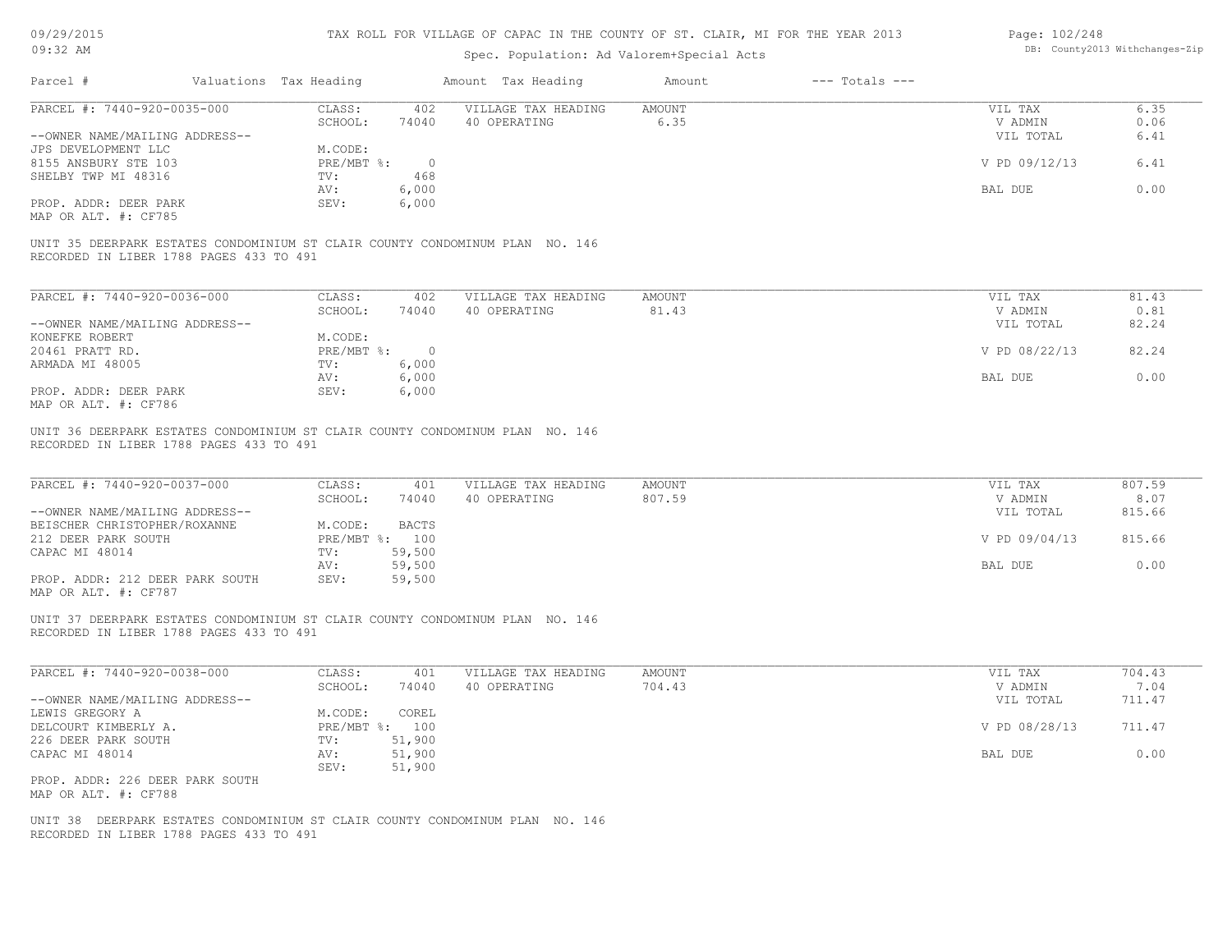| 09/29/2015 |  |
|------------|--|
|------------|--|

| Page: 102/248 |                                |
|---------------|--------------------------------|
|               | DB: County2013 Withchanges-Zip |

| 09:32 AM                                                                                                                |                              |                              | Spec. Population: Ad Valorem+Special Acts |                         |                    |                                 | DB: County2013 Withchanges-Zip |
|-------------------------------------------------------------------------------------------------------------------------|------------------------------|------------------------------|-------------------------------------------|-------------------------|--------------------|---------------------------------|--------------------------------|
| Parcel #                                                                                                                | Valuations Tax Heading       |                              | Amount Tax Heading                        | Amount                  | $---$ Totals $---$ |                                 |                                |
| PARCEL #: 7440-920-0035-000                                                                                             | CLASS:                       | 402                          | VILLAGE TAX HEADING                       | <b>AMOUNT</b>           |                    | VIL TAX                         | 6.35                           |
|                                                                                                                         | SCHOOL:                      | 74040                        | 40 OPERATING                              | 6.35                    |                    | V ADMIN                         | 0.06                           |
| --OWNER NAME/MAILING ADDRESS--                                                                                          |                              |                              |                                           |                         |                    | VIL TOTAL                       | 6.41                           |
| JPS DEVELOPMENT LLC                                                                                                     | M.CODE:                      |                              |                                           |                         |                    |                                 |                                |
| 8155 ANSBURY STE 103                                                                                                    | PRE/MBT %:                   | $\overline{0}$               |                                           |                         |                    | V PD 09/12/13                   | 6.41                           |
| SHELBY TWP MI 48316                                                                                                     | TV:                          | 468                          |                                           |                         |                    |                                 |                                |
|                                                                                                                         |                              |                              |                                           |                         |                    |                                 |                                |
|                                                                                                                         | AV:                          | 6,000                        |                                           |                         |                    | BAL DUE                         | 0.00                           |
| PROP. ADDR: DEER PARK                                                                                                   | SEV:                         | 6,000                        |                                           |                         |                    |                                 |                                |
| MAP OR ALT. #: CF785                                                                                                    |                              |                              |                                           |                         |                    |                                 |                                |
| UNIT 35 DEERPARK ESTATES CONDOMINIUM ST CLAIR COUNTY CONDOMINUM PLAN NO. 146<br>RECORDED IN LIBER 1788 PAGES 433 TO 491 |                              |                              |                                           |                         |                    |                                 |                                |
| PARCEL #: 7440-920-0036-000                                                                                             | CLASS:                       | 402                          | VILLAGE TAX HEADING                       | AMOUNT                  |                    | VIL TAX                         | 81.43                          |
|                                                                                                                         | SCHOOL:                      | 74040                        | 40 OPERATING                              | 81.43                   |                    | V ADMIN                         | 0.81                           |
| --OWNER NAME/MAILING ADDRESS--                                                                                          |                              |                              |                                           |                         |                    | VIL TOTAL                       | 82.24                          |
| KONEFKE ROBERT                                                                                                          | M.CODE:                      |                              |                                           |                         |                    |                                 |                                |
|                                                                                                                         |                              |                              |                                           |                         |                    |                                 |                                |
| 20461 PRATT RD.                                                                                                         | $PRE/MBT$ %:                 | $\overline{0}$               |                                           |                         |                    | V PD 08/22/13                   | 82.24                          |
| ARMADA MI 48005                                                                                                         | TV:                          | 6,000                        |                                           |                         |                    |                                 |                                |
|                                                                                                                         | AV:                          | 6,000                        |                                           |                         |                    | BAL DUE                         | 0.00                           |
| PROP. ADDR: DEER PARK                                                                                                   | SEV:                         | 6,000                        |                                           |                         |                    |                                 |                                |
| MAP OR ALT. #: CF786                                                                                                    |                              |                              |                                           |                         |                    |                                 |                                |
| PARCEL #: 7440-920-0037-000<br>--OWNER NAME/MAILING ADDRESS--<br>BEISCHER CHRISTOPHER/ROXANNE                           | CLASS:<br>SCHOOL:<br>M.CODE: | 401<br>74040<br><b>BACTS</b> | VILLAGE TAX HEADING<br>40 OPERATING       | <b>AMOUNT</b><br>807.59 |                    | VIL TAX<br>V ADMIN<br>VIL TOTAL | 807.59<br>8.07<br>815.66       |
| 212 DEER PARK SOUTH                                                                                                     | PRE/MBT %: 100               |                              |                                           |                         |                    | V PD 09/04/13                   | 815.66                         |
| CAPAC MI 48014                                                                                                          | TV:                          | 59,500                       |                                           |                         |                    |                                 |                                |
|                                                                                                                         | AV:                          | 59,500                       |                                           |                         |                    | BAL DUE                         | 0.00                           |
| PROP. ADDR: 212 DEER PARK SOUTH<br>MAP OR ALT. #: CF787                                                                 | SEV:                         | 59,500                       |                                           |                         |                    |                                 |                                |
| UNIT 37 DEERPARK ESTATES CONDOMINIUM ST CLAIR COUNTY CONDOMINUM PLAN NO. 146<br>RECORDED IN LIBER 1788 PAGES 433 TO 491 |                              |                              |                                           |                         |                    |                                 |                                |
| PARCEL #: 7440-920-0038-000                                                                                             | CLASS:<br>SCHOOL:            | 401<br>74040                 | VILLAGE TAX HEADING<br>40 OPERATING       | <b>AMOUNT</b><br>704.43 |                    | VIL TAX<br>V ADMIN              | 704.43<br>7.04                 |
| --OWNER NAME/MAILING ADDRESS--                                                                                          |                              |                              |                                           |                         |                    | VIL TOTAL                       | 711.47                         |
|                                                                                                                         |                              | COREL                        |                                           |                         |                    |                                 |                                |
| LEWIS GREGORY A                                                                                                         | M.CODE:                      |                              |                                           |                         |                    |                                 |                                |
| DELCOURT KIMBERLY A.                                                                                                    | PRE/MBT %: 100               |                              |                                           |                         |                    | V PD 08/28/13                   | 711.47                         |
| 226 DEER PARK SOUTH                                                                                                     | TV: 51,900                   |                              |                                           |                         |                    |                                 |                                |
| CAPAC MI 48014                                                                                                          | AV:                          | 51,900                       |                                           |                         |                    | BAL DUE                         | 0.00                           |
|                                                                                                                         | SEV:                         | 51,900                       |                                           |                         |                    |                                 |                                |
| PROP. ADDR: 226 DEER PARK SOUTH<br>MAP OR ALT. #: CF788                                                                 |                              |                              |                                           |                         |                    |                                 |                                |
|                                                                                                                         |                              |                              |                                           |                         |                    |                                 |                                |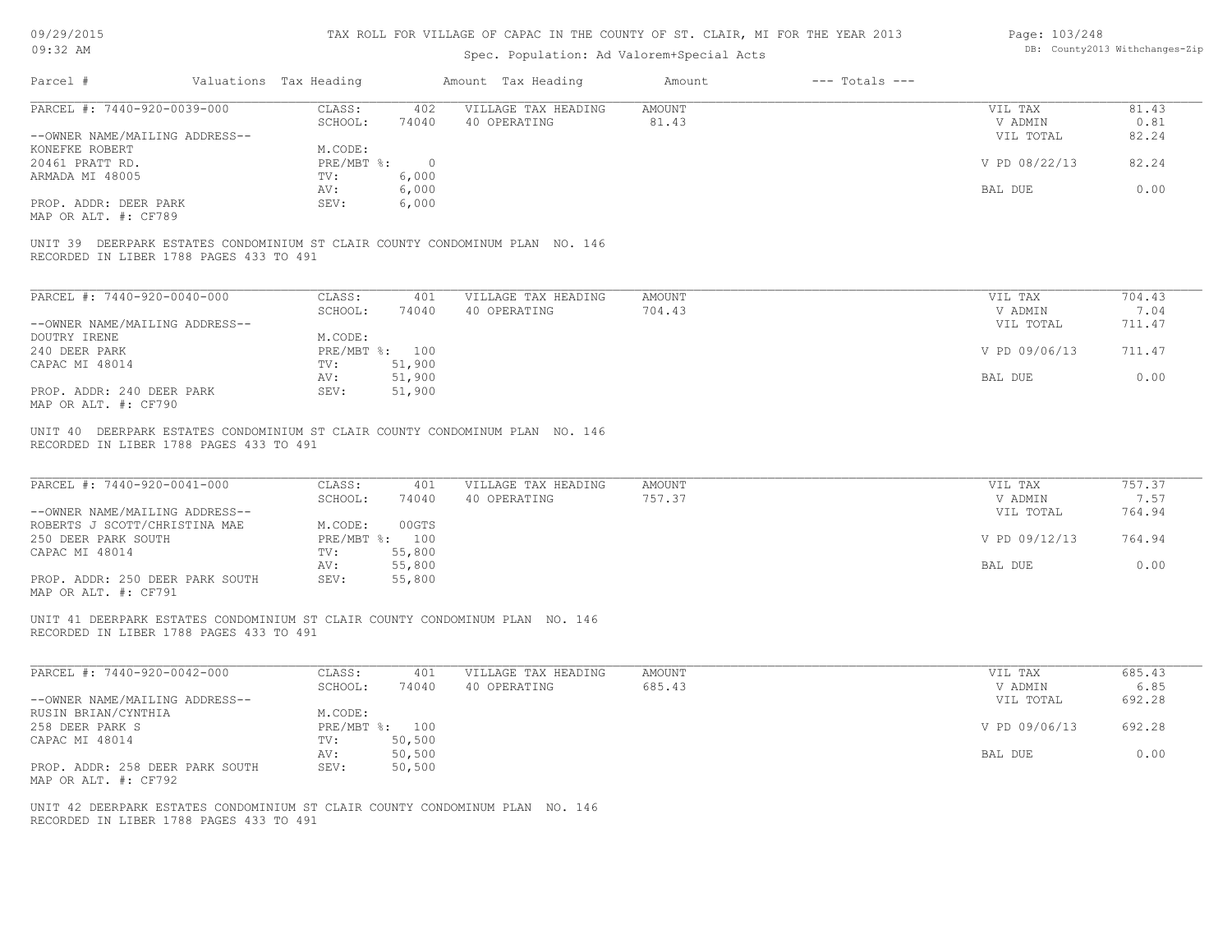| 09/29/2015 |  |
|------------|--|
| $09:32$ AM |  |

| Page: 103/248 |                                |
|---------------|--------------------------------|
|               | DB: County2013 Withchanges-Zip |

|                                                                                                                                                                                                                                                                                                                                                                                                                                                          | Valuations Tax Heading            | Amount Tax Heading                  | Amount<br>$---$ Totals $---$ |                    |                |
|----------------------------------------------------------------------------------------------------------------------------------------------------------------------------------------------------------------------------------------------------------------------------------------------------------------------------------------------------------------------------------------------------------------------------------------------------------|-----------------------------------|-------------------------------------|------------------------------|--------------------|----------------|
| PARCEL #: 7440-920-0039-000                                                                                                                                                                                                                                                                                                                                                                                                                              | CLASS:<br>402                     | VILLAGE TAX HEADING                 | AMOUNT                       | VIL TAX            | 81.43          |
|                                                                                                                                                                                                                                                                                                                                                                                                                                                          | SCHOOL:<br>74040                  | 40 OPERATING                        | 81.43                        | V ADMIN            | 0.81           |
| --OWNER NAME/MAILING ADDRESS--                                                                                                                                                                                                                                                                                                                                                                                                                           |                                   |                                     |                              | VIL TOTAL          | 82.24          |
| KONEFKE ROBERT                                                                                                                                                                                                                                                                                                                                                                                                                                           | M.CODE:                           |                                     |                              |                    |                |
| 20461 PRATT RD.                                                                                                                                                                                                                                                                                                                                                                                                                                          | PRE/MBT %: 0                      |                                     |                              | V PD 08/22/13      | 82.24          |
| ARMADA MI 48005                                                                                                                                                                                                                                                                                                                                                                                                                                          | 6,000<br>TV:                      |                                     |                              |                    |                |
|                                                                                                                                                                                                                                                                                                                                                                                                                                                          | 6,000<br>AV:                      |                                     |                              | BAL DUE            | 0.00           |
| PROP. ADDR: DEER PARK                                                                                                                                                                                                                                                                                                                                                                                                                                    | 6,000<br>SEV:                     |                                     |                              |                    |                |
| MAP OR ALT. #: CF789                                                                                                                                                                                                                                                                                                                                                                                                                                     |                                   |                                     |                              |                    |                |
| UNIT 39 DEERPARK ESTATES CONDOMINIUM ST CLAIR COUNTY CONDOMINUM PLAN NO. 146<br>RECORDED IN LIBER 1788 PAGES 433 TO 491                                                                                                                                                                                                                                                                                                                                  |                                   |                                     |                              |                    |                |
| PARCEL #: 7440-920-0040-000                                                                                                                                                                                                                                                                                                                                                                                                                              | CLASS:<br>401                     | VILLAGE TAX HEADING                 | AMOUNT                       | VIL TAX            | 704.43         |
|                                                                                                                                                                                                                                                                                                                                                                                                                                                          | SCHOOL:<br>74040                  | 40 OPERATING                        | 704.43                       | V ADMIN            | 7.04           |
| --OWNER NAME/MAILING ADDRESS--                                                                                                                                                                                                                                                                                                                                                                                                                           |                                   |                                     |                              | VIL TOTAL          | 711.47         |
| DOUTRY IRENE                                                                                                                                                                                                                                                                                                                                                                                                                                             | M.CODE:                           |                                     |                              |                    |                |
|                                                                                                                                                                                                                                                                                                                                                                                                                                                          |                                   |                                     |                              |                    |                |
| 240 DEER PARK                                                                                                                                                                                                                                                                                                                                                                                                                                            | PRE/MBT %: 100                    |                                     |                              | V PD 09/06/13      | 711.47         |
| CAPAC MI 48014                                                                                                                                                                                                                                                                                                                                                                                                                                           | 51,900<br>TV:                     |                                     |                              |                    |                |
|                                                                                                                                                                                                                                                                                                                                                                                                                                                          | 51,900<br>AV:                     |                                     |                              | BAL DUE            | 0.00           |
| PROP. ADDR: 240 DEER PARK<br>MAP OR ALT. #: CF790                                                                                                                                                                                                                                                                                                                                                                                                        | SEV:<br>51,900                    |                                     |                              |                    |                |
|                                                                                                                                                                                                                                                                                                                                                                                                                                                          |                                   |                                     |                              |                    |                |
|                                                                                                                                                                                                                                                                                                                                                                                                                                                          | CLASS:<br>401<br>SCHOOL:<br>74040 | VILLAGE TAX HEADING<br>40 OPERATING | <b>AMOUNT</b><br>757.37      | VIL TAX<br>V ADMIN | 757.37<br>7.57 |
|                                                                                                                                                                                                                                                                                                                                                                                                                                                          |                                   |                                     |                              | VIL TOTAL          | 764.94         |
|                                                                                                                                                                                                                                                                                                                                                                                                                                                          | M.CODE:<br>00GTS                  |                                     |                              |                    |                |
|                                                                                                                                                                                                                                                                                                                                                                                                                                                          | PRE/MBT %: 100                    |                                     |                              | V PD 09/12/13      | 764.94         |
|                                                                                                                                                                                                                                                                                                                                                                                                                                                          | TV:<br>55,800                     |                                     |                              |                    |                |
|                                                                                                                                                                                                                                                                                                                                                                                                                                                          | 55,800<br>AV:                     |                                     |                              | BAL DUE            | 0.00           |
|                                                                                                                                                                                                                                                                                                                                                                                                                                                          | SEV:<br>55,800                    |                                     |                              |                    |                |
| UNIT 40 DEERPARK ESTATES CONDOMINIUM ST CLAIR COUNTY CONDOMINUM PLAN NO. 146<br>RECORDED IN LIBER 1788 PAGES 433 TO 491<br>PARCEL #: 7440-920-0041-000<br>--OWNER NAME/MAILING ADDRESS--<br>ROBERTS J SCOTT/CHRISTINA MAE<br>250 DEER PARK SOUTH<br>CAPAC MI 48014<br>PROP. ADDR: 250 DEER PARK SOUTH<br>MAP OR ALT. #: CF791<br>UNIT 41 DEERPARK ESTATES CONDOMINIUM ST CLAIR COUNTY CONDOMINUM PLAN NO. 146<br>RECORDED IN LIBER 1788 PAGES 433 TO 491 |                                   |                                     |                              |                    |                |
|                                                                                                                                                                                                                                                                                                                                                                                                                                                          | CLASS:<br>401                     | VILLAGE TAX HEADING                 | <b>AMOUNT</b>                | VIL TAX            | 685.43         |
|                                                                                                                                                                                                                                                                                                                                                                                                                                                          | SCHOOL:<br>74040                  | 40 OPERATING                        | 685.43                       | V ADMIN            | 6.85           |
|                                                                                                                                                                                                                                                                                                                                                                                                                                                          |                                   |                                     |                              | VIL TOTAL          | 692.28         |
|                                                                                                                                                                                                                                                                                                                                                                                                                                                          | M.CODE:                           |                                     |                              |                    |                |
|                                                                                                                                                                                                                                                                                                                                                                                                                                                          | PRE/MBT %: 100                    |                                     |                              | V PD 09/06/13      | 692.28         |
|                                                                                                                                                                                                                                                                                                                                                                                                                                                          | 50, 500<br>TV:                    |                                     |                              |                    |                |
|                                                                                                                                                                                                                                                                                                                                                                                                                                                          | 50,500<br>AV:                     |                                     |                              | BAL DUE            | 0.00           |
| PARCEL #: 7440-920-0042-000<br>--OWNER NAME/MAILING ADDRESS--<br>RUSIN BRIAN/CYNTHIA<br>258 DEER PARK S<br>CAPAC MI 48014<br>PROP. ADDR: 258 DEER PARK SOUTH<br>MAP OR ALT. #: CF792                                                                                                                                                                                                                                                                     | 50,500<br>SEV:                    |                                     |                              |                    |                |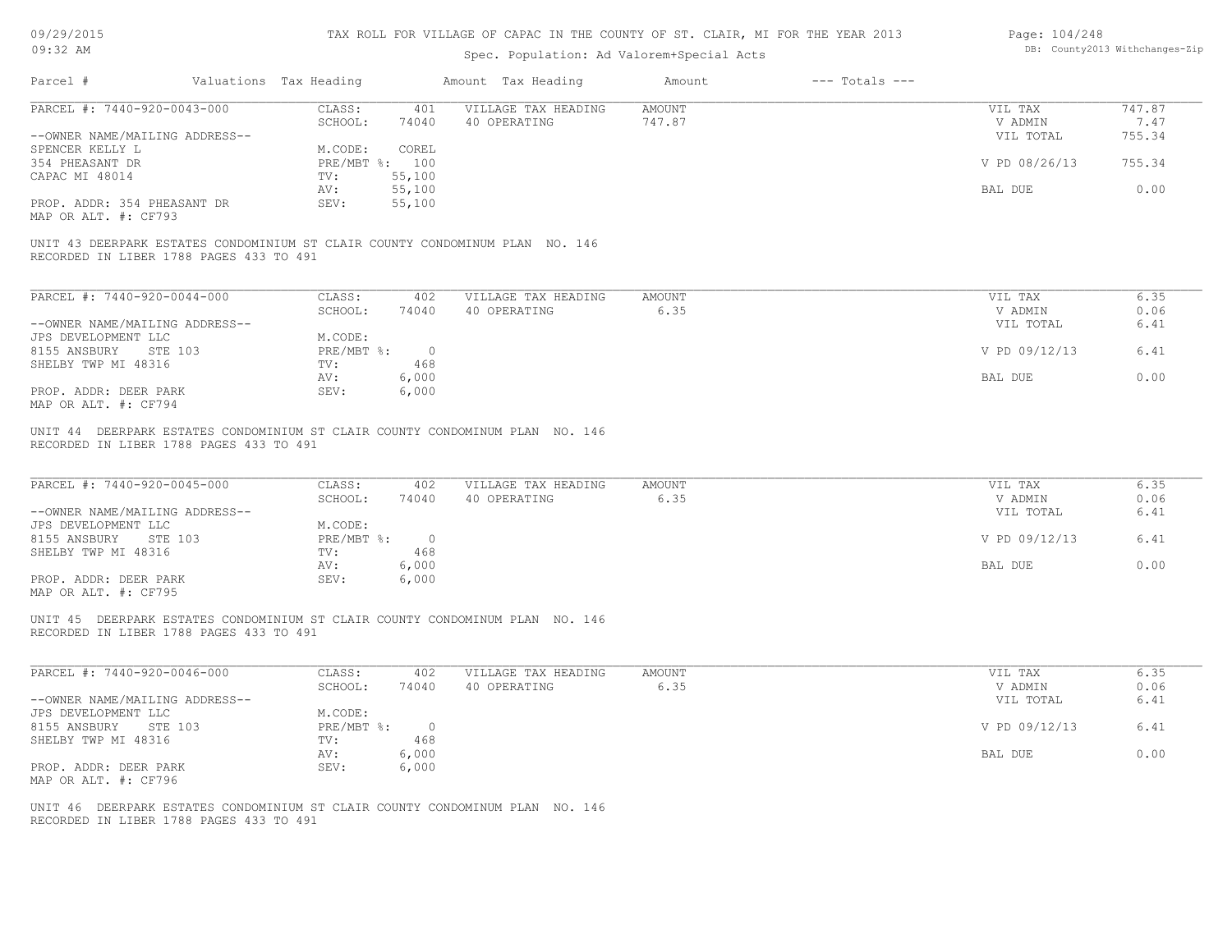| 09/29/2015 |  |
|------------|--|
| $09:32$ AM |  |

| Page: 104/248 |                                |
|---------------|--------------------------------|
|               | DB: County2013 Withchanges-Zip |

|                                                                                                                                                 | Valuations Tax Heading                                                         | Amount Tax Heading                  | Amount<br>$---$ Totals $---$ |                                                  |                              |
|-------------------------------------------------------------------------------------------------------------------------------------------------|--------------------------------------------------------------------------------|-------------------------------------|------------------------------|--------------------------------------------------|------------------------------|
| PARCEL #: 7440-920-0043-000                                                                                                                     | CLASS:<br>401                                                                  | VILLAGE TAX HEADING                 | <b>AMOUNT</b>                | VIL TAX                                          | 747.87                       |
|                                                                                                                                                 | SCHOOL:<br>74040                                                               | 40 OPERATING                        | 747.87                       | V ADMIN                                          | 7.47                         |
| --OWNER NAME/MAILING ADDRESS--                                                                                                                  |                                                                                |                                     |                              | VIL TOTAL                                        | 755.34                       |
| SPENCER KELLY L                                                                                                                                 | M.CODE:<br>COREL                                                               |                                     |                              |                                                  |                              |
| 354 PHEASANT DR                                                                                                                                 | PRE/MBT %: 100                                                                 |                                     |                              | V PD 08/26/13                                    | 755.34                       |
| CAPAC MI 48014                                                                                                                                  | 55,100<br>TV:                                                                  |                                     |                              | BAL DUE                                          | 0.00                         |
|                                                                                                                                                 | 55,100<br>AV:<br>SEV:                                                          |                                     |                              |                                                  |                              |
| PROP. ADDR: 354 PHEASANT DR<br>MAP OR ALT. #: CF793                                                                                             | 55,100                                                                         |                                     |                              |                                                  |                              |
| UNIT 43 DEERPARK ESTATES CONDOMINIUM ST CLAIR COUNTY CONDOMINUM PLAN NO. 146<br>RECORDED IN LIBER 1788 PAGES 433 TO 491                         |                                                                                |                                     |                              |                                                  |                              |
| PARCEL #: 7440-920-0044-000                                                                                                                     | CLASS:<br>402                                                                  | VILLAGE TAX HEADING                 | AMOUNT                       | VIL TAX                                          | 6.35                         |
|                                                                                                                                                 | SCHOOL:<br>74040                                                               | 40 OPERATING                        | 6.35                         | V ADMIN                                          | 0.06                         |
| --OWNER NAME/MAILING ADDRESS--                                                                                                                  |                                                                                |                                     |                              | VIL TOTAL                                        | 6.41                         |
| JPS DEVELOPMENT LLC                                                                                                                             | M.CODE:                                                                        |                                     |                              |                                                  |                              |
| 8155 ANSBURY<br>STE 103                                                                                                                         | PRE/MBT %:<br>$\overline{0}$                                                   |                                     |                              | V PD 09/12/13                                    | 6.41                         |
| SHELBY TWP MI 48316                                                                                                                             | 468<br>TV:                                                                     |                                     |                              |                                                  |                              |
|                                                                                                                                                 | 6,000<br>AV:                                                                   |                                     |                              | BAL DUE                                          | 0.00                         |
| PROP. ADDR: DEER PARK                                                                                                                           | SEV:<br>6,000                                                                  |                                     |                              |                                                  |                              |
| MAP OR ALT. #: CF794                                                                                                                            |                                                                                |                                     |                              |                                                  |                              |
| PARCEL #: 7440-920-0045-000<br>--OWNER NAME/MAILING ADDRESS--<br>JPS DEVELOPMENT LLC<br>8155 ANSBURY<br>STE 103                                 | CLASS:<br>402<br>SCHOOL:<br>74040<br>M.CODE:<br>$\overline{0}$<br>$PRE/MBT$ %: | VILLAGE TAX HEADING<br>40 OPERATING | <b>AMOUNT</b><br>6.35        | VIL TAX<br>V ADMIN<br>VIL TOTAL<br>V PD 09/12/13 | 6.35<br>0.06<br>6.41<br>6.41 |
| SHELBY TWP MI 48316                                                                                                                             | TV:<br>468                                                                     |                                     |                              |                                                  |                              |
|                                                                                                                                                 | 6,000<br>AV:                                                                   |                                     |                              | BAL DUE                                          | 0.00                         |
| PROP. ADDR: DEER PARK                                                                                                                           | SEV:<br>6,000                                                                  |                                     |                              |                                                  |                              |
|                                                                                                                                                 |                                                                                |                                     |                              |                                                  |                              |
| MAP OR ALT. #: CF795<br>UNIT 45 DEERPARK ESTATES CONDOMINIUM ST CLAIR COUNTY CONDOMINUM PLAN NO. 146<br>RECORDED IN LIBER 1788 PAGES 433 TO 491 |                                                                                |                                     |                              |                                                  |                              |
| PARCEL #: 7440-920-0046-000                                                                                                                     | CLASS:<br>402                                                                  | VILLAGE TAX HEADING                 | AMOUNT                       | VIL TAX                                          | 6.35                         |
|                                                                                                                                                 | SCHOOL:<br>74040                                                               | 40 OPERATING                        | 6.35                         | V ADMIN                                          | 0.06                         |
| --OWNER NAME/MAILING ADDRESS--                                                                                                                  |                                                                                |                                     |                              | VIL TOTAL                                        | 6.41                         |
| JPS DEVELOPMENT LLC                                                                                                                             | M.CODE:                                                                        |                                     |                              |                                                  |                              |
| 8155 ANSBURY STE 103                                                                                                                            | PRE/MBT %: 0                                                                   |                                     |                              | V PD 09/12/13                                    | 6.41                         |
| SHELBY TWP MI 48316                                                                                                                             | 468<br>TV:                                                                     |                                     |                              |                                                  |                              |
|                                                                                                                                                 | 6,000<br>AV:                                                                   |                                     |                              | BAL DUE                                          | 0.00                         |
| PROP. ADDR: DEER PARK                                                                                                                           | SEV:<br>6,000                                                                  |                                     |                              |                                                  |                              |
| MAP OR ALT. #: CF796                                                                                                                            |                                                                                |                                     |                              |                                                  |                              |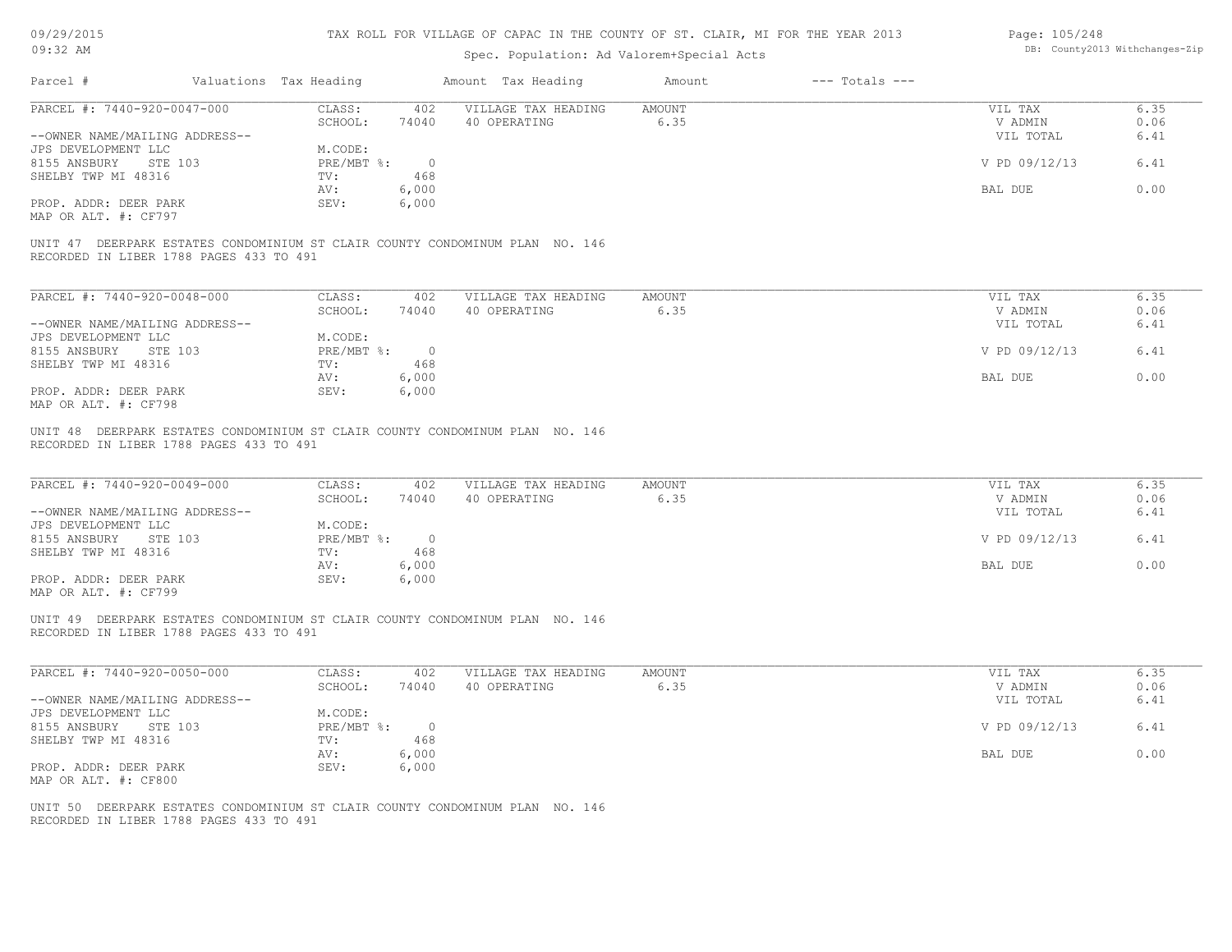| 09/29/2015 |  |
|------------|--|
| $09:32$ AM |  |

| Page: 105/248 |                                |
|---------------|--------------------------------|
|               | DB: County2013 Withchanges-Zip |

| PARCEL #: 7440-920-0047-000                                                                                             |                                             | Amount Tax Heading                  | $---$ Totals $---$<br>Amount |                      |              |
|-------------------------------------------------------------------------------------------------------------------------|---------------------------------------------|-------------------------------------|------------------------------|----------------------|--------------|
|                                                                                                                         | CLASS:<br>402<br>SCHOOL:<br>74040           | VILLAGE TAX HEADING<br>40 OPERATING | AMOUNT<br>6.35               | VIL TAX<br>V ADMIN   | 6.35<br>0.06 |
| --OWNER NAME/MAILING ADDRESS--                                                                                          |                                             |                                     |                              | VIL TOTAL            | 6.41         |
| JPS DEVELOPMENT LLC<br>8155 ANSBURY<br>STE 103<br>SHELBY TWP MI 48316                                                   | M.CODE:<br>$PRE/MBT$ $\div$ 0<br>TV:<br>468 |                                     |                              | V PD 09/12/13        | 6.41         |
|                                                                                                                         | 6,000<br>AV:                                |                                     |                              | BAL DUE              | 0.00         |
| PROP. ADDR: DEER PARK<br>MAP OR ALT. #: CF797                                                                           | SEV:<br>6,000                               |                                     |                              |                      |              |
| UNIT 47 DEERPARK ESTATES CONDOMINIUM ST CLAIR COUNTY CONDOMINUM PLAN NO. 146<br>RECORDED IN LIBER 1788 PAGES 433 TO 491 |                                             |                                     |                              |                      |              |
| PARCEL #: 7440-920-0048-000                                                                                             | CLASS:<br>402                               | VILLAGE TAX HEADING                 | AMOUNT                       | VIL TAX              | 6.35         |
| --OWNER NAME/MAILING ADDRESS--                                                                                          | SCHOOL:<br>74040                            | 40 OPERATING                        | 6.35                         | V ADMIN<br>VIL TOTAL | 0.06<br>6.41 |
| JPS DEVELOPMENT LLC<br>8155 ANSBURY<br>STE 103                                                                          | M.CODE:<br>PRE/MBT %: 0                     |                                     |                              | V PD 09/12/13        | 6.41         |
| SHELBY TWP MI 48316                                                                                                     | 468<br>$\text{TV}$ :<br>AV:<br>6,000        |                                     |                              | BAL DUE              | 0.00         |
| PROP. ADDR: DEER PARK<br>MAP OR ALT. #: CF798                                                                           | SEV:<br>6,000                               |                                     |                              |                      |              |
| PARCEL #: 7440-920-0049-000                                                                                             | CLASS:                                      | 402 VILLAGE TAX HEADING             | AMOUNT<br>6.35               | VIL TAX              | 6.35<br>0.06 |
| --OWNER NAME/MAILING ADDRESS--                                                                                          | SCHOOL:<br>74040                            | 40 OPERATING                        |                              | V ADMIN<br>VIL TOTAL | 6.41         |
| JPS DEVELOPMENT LLC<br>8155 ANSBURY STE 103                                                                             | M.CODE:<br>PRE/MBT %: 0                     |                                     |                              | V PD 09/12/13        | 6.41         |
| SHELBY TWP MI 48316                                                                                                     | 468<br>TV:<br>6,000<br>AV:                  |                                     |                              | BAL DUE              | 0.00         |
| PROP. ADDR: DEER PARK<br>MAP OR ALT. #: CF799                                                                           | 6,000<br>SEV:                               |                                     |                              |                      |              |
| UNIT 49 DEERPARK ESTATES CONDOMINIUM ST CLAIR COUNTY CONDOMINUM PLAN NO. 146<br>RECORDED IN LIBER 1788 PAGES 433 TO 491 |                                             |                                     |                              |                      |              |
| PARCEL #: 7440-920-0050-000                                                                                             | CLASS:<br>402                               | VILLAGE TAX HEADING                 | <b>AMOUNT</b>                | VIL TAX              | 6.35         |
| --OWNER NAME/MAILING ADDRESS--                                                                                          | SCHOOL:<br>74040                            | 40 OPERATING                        | 6.35                         | V ADMIN<br>VIL TOTAL | 0.06<br>6.41 |
| JPS DEVELOPMENT LLC<br>8155 ANSBURY STE 103                                                                             | M.CODE:<br>PRE/MBT %: 0                     |                                     |                              | V PD 09/12/13        | 6.41         |
| SHELBY TWP MI 48316                                                                                                     | 468<br>TV:<br>6,000<br>AV:                  |                                     |                              | BAL DUE              | 0.00         |
| PROP. ADDR: DEER PARK<br>MAP OR ALT. #: CF800                                                                           | SEV:<br>6,000                               |                                     |                              |                      |              |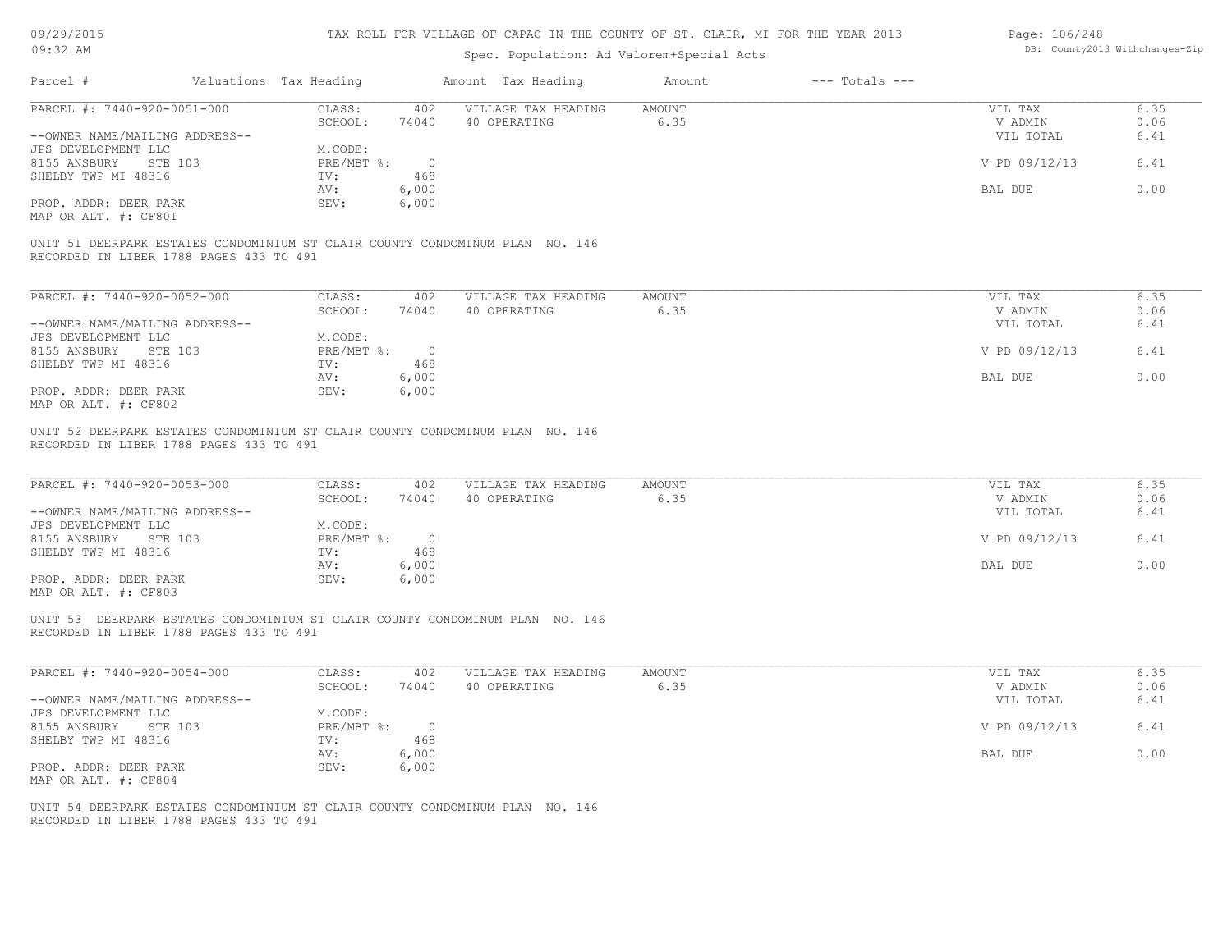| 09/29/2015 |  |
|------------|--|
|------------|--|

| Page: 106/248 |                                |
|---------------|--------------------------------|
|               | DB: County2013 Withchanges-Zip |

|                                                                                                                                                                                                                                                                                                                                                                                                                                                                                                |                                                                    |                                                         | Spec. Population: Ad Valorem+Special Acts |                |                    |                                                             |                                      |
|------------------------------------------------------------------------------------------------------------------------------------------------------------------------------------------------------------------------------------------------------------------------------------------------------------------------------------------------------------------------------------------------------------------------------------------------------------------------------------------------|--------------------------------------------------------------------|---------------------------------------------------------|-------------------------------------------|----------------|--------------------|-------------------------------------------------------------|--------------------------------------|
| Parcel #<br>Valuations Tax Heading                                                                                                                                                                                                                                                                                                                                                                                                                                                             |                                                                    |                                                         | Amount Tax Heading                        | Amount         | $---$ Totals $---$ |                                                             |                                      |
| PARCEL #: 7440-920-0051-000                                                                                                                                                                                                                                                                                                                                                                                                                                                                    | CLASS:                                                             | 402                                                     | VILLAGE TAX HEADING                       | AMOUNT         |                    | VIL TAX                                                     | 6.35                                 |
|                                                                                                                                                                                                                                                                                                                                                                                                                                                                                                | SCHOOL:                                                            | 74040                                                   | 40 OPERATING                              | 6.35           |                    | V ADMIN                                                     | 0.06                                 |
| --OWNER NAME/MAILING ADDRESS--                                                                                                                                                                                                                                                                                                                                                                                                                                                                 |                                                                    |                                                         |                                           |                |                    | VIL TOTAL                                                   | 6.41                                 |
| JPS DEVELOPMENT LLC                                                                                                                                                                                                                                                                                                                                                                                                                                                                            | M.CODE:                                                            |                                                         |                                           |                |                    |                                                             |                                      |
| 8155 ANSBURY<br>STE 103                                                                                                                                                                                                                                                                                                                                                                                                                                                                        | $PRE/MBT$ $\frac{6}{3}$ :                                          | $\overline{0}$                                          |                                           |                |                    | V PD 09/12/13                                               | 6.41                                 |
| SHELBY TWP MI 48316                                                                                                                                                                                                                                                                                                                                                                                                                                                                            | TV:<br>AV:                                                         | 468<br>6,000                                            |                                           |                |                    | BAL DUE                                                     | 0.00                                 |
| PROP. ADDR: DEER PARK                                                                                                                                                                                                                                                                                                                                                                                                                                                                          | SEV:                                                               | 6,000                                                   |                                           |                |                    |                                                             |                                      |
| MAP OR ALT. #: CF801                                                                                                                                                                                                                                                                                                                                                                                                                                                                           |                                                                    |                                                         |                                           |                |                    |                                                             |                                      |
| UNIT 51 DEERPARK ESTATES CONDOMINIUM ST CLAIR COUNTY CONDOMINUM PLAN NO. 146<br>RECORDED IN LIBER 1788 PAGES 433 TO 491                                                                                                                                                                                                                                                                                                                                                                        |                                                                    |                                                         |                                           |                |                    |                                                             |                                      |
| PARCEL #: 7440-920-0052-000                                                                                                                                                                                                                                                                                                                                                                                                                                                                    | CLASS:                                                             | 402                                                     | VILLAGE TAX HEADING                       | AMOUNT         |                    | VIL TAX                                                     | 6.35                                 |
|                                                                                                                                                                                                                                                                                                                                                                                                                                                                                                | SCHOOL:                                                            | 74040                                                   | 40 OPERATING                              | 6.35           |                    | V ADMIN                                                     | 0.06                                 |
| --OWNER NAME/MAILING ADDRESS--                                                                                                                                                                                                                                                                                                                                                                                                                                                                 |                                                                    |                                                         |                                           |                |                    | VIL TOTAL                                                   | 6.41                                 |
| JPS DEVELOPMENT LLC                                                                                                                                                                                                                                                                                                                                                                                                                                                                            | M.CODE:                                                            |                                                         |                                           |                |                    |                                                             |                                      |
| 8155 ANSBURY STE 103                                                                                                                                                                                                                                                                                                                                                                                                                                                                           | $PRE/MBT$ %:                                                       | $\overline{0}$                                          |                                           |                |                    | V PD 09/12/13                                               | 6.41                                 |
|                                                                                                                                                                                                                                                                                                                                                                                                                                                                                                | TV:                                                                | 468                                                     |                                           |                |                    |                                                             |                                      |
| SHELBY TWP MI 48316                                                                                                                                                                                                                                                                                                                                                                                                                                                                            |                                                                    |                                                         |                                           |                |                    | BAL DUE                                                     | 0.00                                 |
|                                                                                                                                                                                                                                                                                                                                                                                                                                                                                                | AV:                                                                | 6,000                                                   |                                           |                |                    |                                                             |                                      |
|                                                                                                                                                                                                                                                                                                                                                                                                                                                                                                | SEV:                                                               | 6,000                                                   |                                           |                |                    |                                                             |                                      |
| PROP. ADDR: DEER PARK<br>MAP OR ALT. #: CF802<br>UNIT 52 DEERPARK ESTATES CONDOMINIUM ST CLAIR COUNTY CONDOMINUM PLAN NO. 146<br>RECORDED IN LIBER 1788 PAGES 433 TO 491<br>PARCEL #: 7440-920-0053-000<br>--OWNER NAME/MAILING ADDRESS--<br>JPS DEVELOPMENT LLC<br>8155 ANSBURY<br>STE 103<br>SHELBY TWP MI 48316<br>PROP. ADDR: DEER PARK<br>MAP OR ALT. #: CF803<br>UNIT 53 DEERPARK ESTATES CONDOMINIUM ST CLAIR COUNTY CONDOMINUM PLAN NO. 146<br>RECORDED IN LIBER 1788 PAGES 433 TO 491 | CLASS:<br>SCHOOL:<br>M.CODE:<br>$PRE/MBT$ %:<br>TV:<br>AV:<br>SEV: | 402<br>74040<br>$\overline{0}$<br>468<br>6,000<br>6,000 | VILLAGE TAX HEADING<br>40 OPERATING       | AMOUNT<br>6.35 |                    | VIL TAX<br>V ADMIN<br>VIL TOTAL<br>V PD 09/12/13<br>BAL DUE | 6.35<br>0.06<br>6.41<br>6.41<br>0.00 |
| PARCEL #: 7440-920-0054-000                                                                                                                                                                                                                                                                                                                                                                                                                                                                    | CLASS:                                                             | 402                                                     | VILLAGE TAX HEADING                       | <b>AMOUNT</b>  |                    | VIL TAX                                                     | 6.35                                 |
|                                                                                                                                                                                                                                                                                                                                                                                                                                                                                                | SCHOOL:                                                            | 74040                                                   | 40 OPERATING                              | 6.35           |                    | V ADMIN                                                     | 0.06                                 |
| --OWNER NAME/MAILING ADDRESS--                                                                                                                                                                                                                                                                                                                                                                                                                                                                 |                                                                    |                                                         |                                           |                |                    | VIL TOTAL                                                   | 6.41                                 |
| JPS DEVELOPMENT LLC                                                                                                                                                                                                                                                                                                                                                                                                                                                                            | M.CODE:                                                            |                                                         |                                           |                |                    |                                                             |                                      |
| 8155 ANSBURY<br>STE 103                                                                                                                                                                                                                                                                                                                                                                                                                                                                        | $PRE/MBT$ $\div$                                                   | $\overline{0}$                                          |                                           |                |                    | V PD 09/12/13                                               | 6.41                                 |
| SHELBY TWP MI 48316                                                                                                                                                                                                                                                                                                                                                                                                                                                                            | TV:                                                                | 468                                                     |                                           |                |                    |                                                             |                                      |
| PROP. ADDR: DEER PARK                                                                                                                                                                                                                                                                                                                                                                                                                                                                          | AV:<br>SEV:                                                        | 6,000<br>6,000                                          |                                           |                |                    | BAL DUE                                                     | 0.00                                 |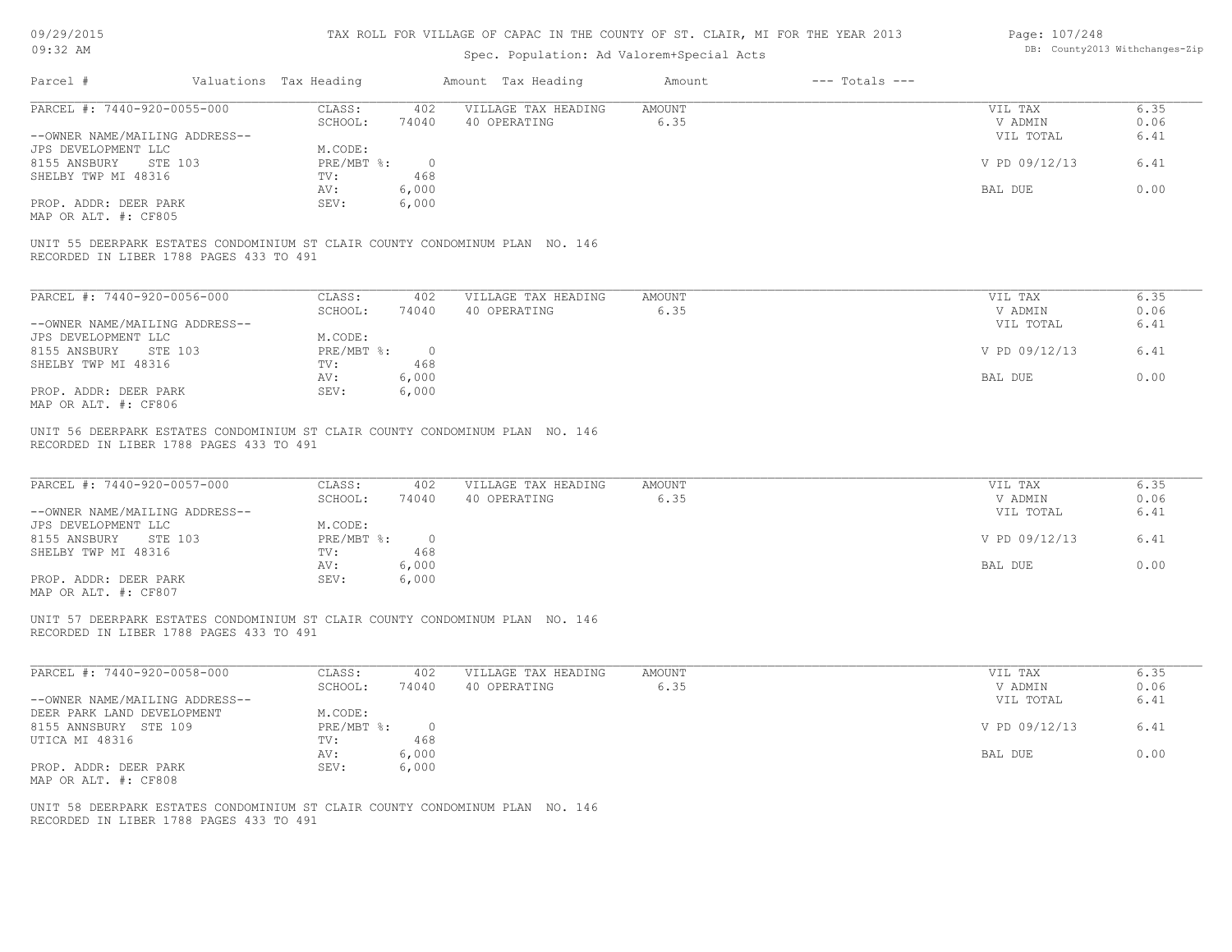| 09/29/2015 |  |
|------------|--|
|------------|--|

| Page: 107/248 |                                |
|---------------|--------------------------------|
|               | DB: County2013 Withchanges-Zip |

| 09:32 AM                                                                                                                    |         |                                                                |                                                | Spec. Population: Ad Valorem+Special Acts                                    |                       |                    |                                                             | DB: County2013 Withchanges-Zip       |
|-----------------------------------------------------------------------------------------------------------------------------|---------|----------------------------------------------------------------|------------------------------------------------|------------------------------------------------------------------------------|-----------------------|--------------------|-------------------------------------------------------------|--------------------------------------|
| Parcel #                                                                                                                    |         | Valuations Tax Heading                                         |                                                | Amount Tax Heading                                                           | Amount                | $---$ Totals $---$ |                                                             |                                      |
| PARCEL #: 7440-920-0055-000                                                                                                 |         | CLASS:                                                         | 402                                            | VILLAGE TAX HEADING                                                          | <b>AMOUNT</b>         |                    | VIL TAX                                                     | 6.35                                 |
|                                                                                                                             |         | SCHOOL:                                                        | 74040                                          | 40 OPERATING                                                                 | 6.35                  |                    | V ADMIN                                                     | 0.06                                 |
| --OWNER NAME/MAILING ADDRESS--                                                                                              |         |                                                                |                                                |                                                                              |                       |                    | VIL TOTAL                                                   | 6.41                                 |
| JPS DEVELOPMENT LLC                                                                                                         |         | M.CODE:                                                        |                                                |                                                                              |                       |                    |                                                             |                                      |
| 8155 ANSBURY STE 103                                                                                                        |         | PRE/MBT %:                                                     | $\overline{0}$                                 |                                                                              |                       |                    | V PD 09/12/13                                               | 6.41                                 |
| SHELBY TWP MI 48316                                                                                                         |         | TV:                                                            | 468                                            |                                                                              |                       |                    |                                                             |                                      |
|                                                                                                                             |         | AV:                                                            | 6,000                                          |                                                                              |                       |                    | BAL DUE                                                     | 0.00                                 |
| PROP. ADDR: DEER PARK                                                                                                       |         | SEV:                                                           | 6,000                                          |                                                                              |                       |                    |                                                             |                                      |
| MAP OR ALT. #: CF805                                                                                                        |         |                                                                |                                                |                                                                              |                       |                    |                                                             |                                      |
| RECORDED IN LIBER 1788 PAGES 433 TO 491                                                                                     |         |                                                                |                                                | UNIT 55 DEERPARK ESTATES CONDOMINIUM ST CLAIR COUNTY CONDOMINUM PLAN NO. 146 |                       |                    |                                                             |                                      |
| PARCEL #: 7440-920-0056-000                                                                                                 |         | CLASS:                                                         | 402                                            | VILLAGE TAX HEADING                                                          | AMOUNT                |                    | VIL TAX                                                     | 6.35                                 |
|                                                                                                                             |         | SCHOOL:                                                        | 74040                                          | 40 OPERATING                                                                 | 6.35                  |                    | V ADMIN                                                     | 0.06                                 |
| --OWNER NAME/MAILING ADDRESS--                                                                                              |         |                                                                |                                                |                                                                              |                       |                    | VIL TOTAL                                                   | 6.41                                 |
| JPS DEVELOPMENT LLC                                                                                                         |         | M.CODE:                                                        |                                                |                                                                              |                       |                    |                                                             |                                      |
| 8155 ANSBURY<br>STE 103                                                                                                     |         | $PRE/MBT$ %:                                                   | $\overline{0}$                                 |                                                                              |                       |                    | V PD 09/12/13                                               | 6.41                                 |
| SHELBY TWP MI 48316                                                                                                         |         | TV:                                                            | 468                                            |                                                                              |                       |                    |                                                             |                                      |
|                                                                                                                             |         |                                                                |                                                |                                                                              |                       |                    |                                                             | 0.00                                 |
|                                                                                                                             |         | AV:                                                            | 6,000                                          |                                                                              |                       |                    | BAL DUE                                                     |                                      |
| PROP. ADDR: DEER PARK<br>MAP OR ALT. #: CF806                                                                               |         | SEV:                                                           | 6,000                                          |                                                                              |                       |                    |                                                             |                                      |
| PARCEL #: 7440-920-0057-000<br>--OWNER NAME/MAILING ADDRESS--<br>JPS DEVELOPMENT LLC<br>8155 ANSBURY<br>SHELBY TWP MI 48316 | STE 103 | CLASS:<br>SCHOOL:<br>M.CODE:<br>$PRE/MBT$ $\div$<br>TV:<br>AV: | 402<br>74040<br>$\overline{0}$<br>468<br>6,000 | VILLAGE TAX HEADING<br>40 OPERATING                                          | <b>AMOUNT</b><br>6.35 |                    | VIL TAX<br>V ADMIN<br>VIL TOTAL<br>V PD 09/12/13<br>BAL DUE | 6.35<br>0.06<br>6.41<br>6.41<br>0.00 |
| PROP. ADDR: DEER PARK<br>MAP OR ALT. #: CF807                                                                               |         | SEV:                                                           | 6,000                                          |                                                                              |                       |                    |                                                             |                                      |
| RECORDED IN LIBER 1788 PAGES 433 TO 491                                                                                     |         |                                                                |                                                | UNIT 57 DEERPARK ESTATES CONDOMINIUM ST CLAIR COUNTY CONDOMINUM PLAN NO. 146 |                       |                    |                                                             |                                      |
| PARCEL #: 7440-920-0058-000                                                                                                 |         | CLASS:<br>SCHOOL:                                              | 402<br>74040                                   | VILLAGE TAX HEADING<br>40 OPERATING                                          | <b>AMOUNT</b><br>6.35 |                    | VIL TAX<br>V ADMIN                                          | 6.35<br>0.06                         |
| --OWNER NAME/MAILING ADDRESS--                                                                                              |         |                                                                |                                                |                                                                              |                       |                    | VIL TOTAL                                                   | 6.41                                 |
| DEER PARK LAND DEVELOPMENT                                                                                                  |         | M.CODE:                                                        |                                                |                                                                              |                       |                    |                                                             |                                      |
| 8155 ANNSBURY STE 109                                                                                                       |         | PRE/MBT %:                                                     | $\circ$                                        |                                                                              |                       |                    | V PD 09/12/13                                               | 6.41                                 |
| UTICA MI 48316                                                                                                              |         | TV:                                                            | 468                                            |                                                                              |                       |                    |                                                             |                                      |
|                                                                                                                             |         | AV:                                                            | 6,000                                          |                                                                              |                       |                    | BAL DUE                                                     | 0.00                                 |
|                                                                                                                             |         | SEV:                                                           |                                                |                                                                              |                       |                    |                                                             |                                      |
| PROP. ADDR: DEER PARK<br>MAP OR ALT. #: CF808                                                                               |         |                                                                | 6,000                                          |                                                                              |                       |                    |                                                             |                                      |
| RECORDED IN LIBER 1788 PAGES 433 TO 491                                                                                     |         |                                                                |                                                | UNIT 58 DEERPARK ESTATES CONDOMINIUM ST CLAIR COUNTY CONDOMINUM PLAN NO. 146 |                       |                    |                                                             |                                      |
|                                                                                                                             |         |                                                                |                                                |                                                                              |                       |                    |                                                             |                                      |
|                                                                                                                             |         |                                                                |                                                |                                                                              |                       |                    |                                                             |                                      |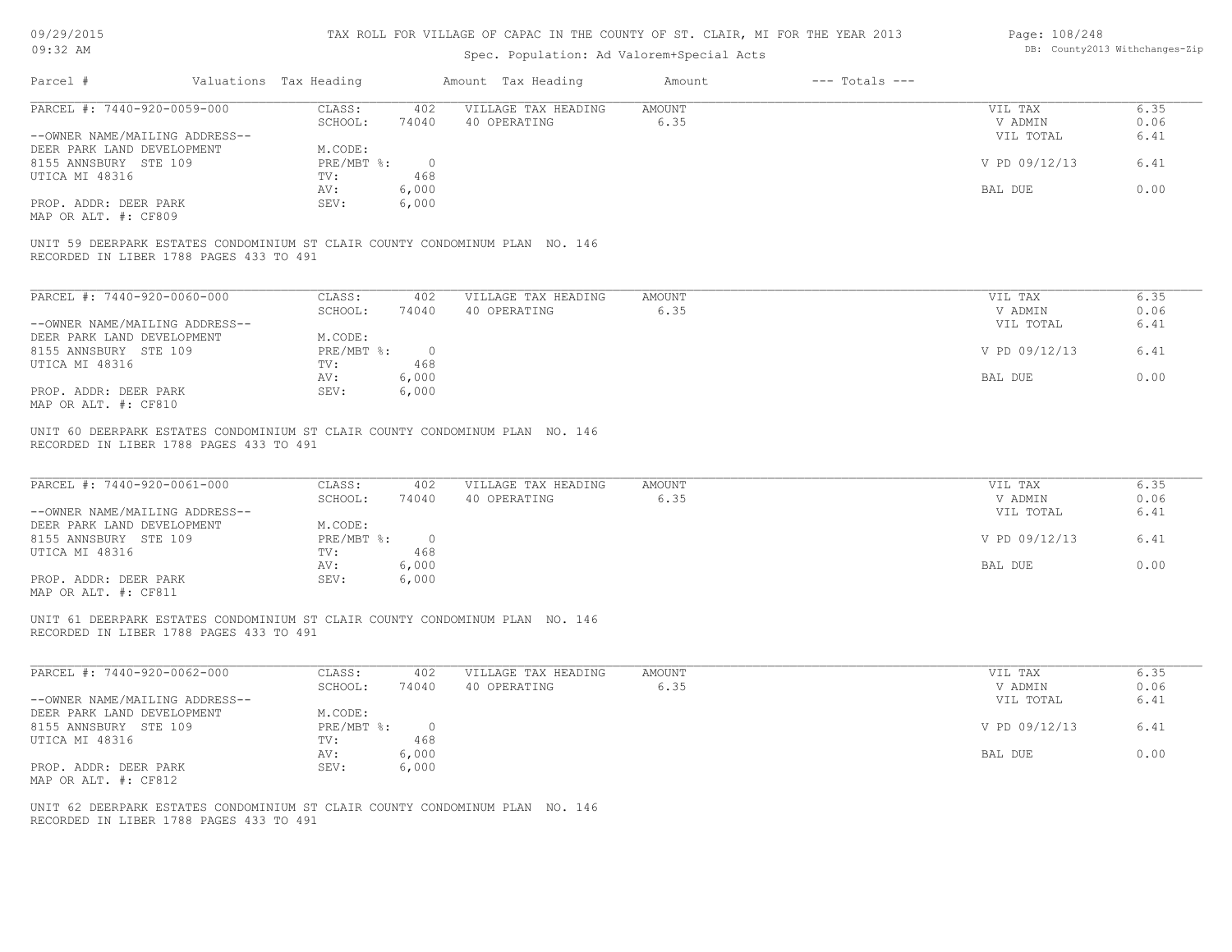| 09/29/2015 |  |
|------------|--|
|------------|--|

| Page: 108/248 |                                |
|---------------|--------------------------------|
|               | DB: County2013 Withchanges-Zip |

| Parcel #                                                                                                                |                        |                | Spec. Population: Ad Valorem+Special Acts |                |                    |                    | DB: County2013 Withchanges-Zip |
|-------------------------------------------------------------------------------------------------------------------------|------------------------|----------------|-------------------------------------------|----------------|--------------------|--------------------|--------------------------------|
|                                                                                                                         | Valuations Tax Heading |                | Amount Tax Heading                        | Amount         | $---$ Totals $---$ |                    |                                |
| PARCEL #: 7440-920-0059-000                                                                                             | CLASS:                 | 402            | VILLAGE TAX HEADING                       | AMOUNT         |                    | VIL TAX            | 6.35                           |
|                                                                                                                         | SCHOOL:                | 74040          | 40 OPERATING                              | 6.35           |                    | V ADMIN            | 0.06                           |
| --OWNER NAME/MAILING ADDRESS--                                                                                          |                        |                |                                           |                |                    | VIL TOTAL          | 6.41                           |
| DEER PARK LAND DEVELOPMENT                                                                                              | M.CODE:                |                |                                           |                |                    |                    |                                |
| 8155 ANNSBURY STE 109                                                                                                   | $PRE/MBT$ $\div$       | $\overline{0}$ |                                           |                |                    | V PD 09/12/13      | 6.41                           |
| UTICA MI 48316                                                                                                          | TV:                    | 468            |                                           |                |                    |                    | 0.00                           |
| PROP. ADDR: DEER PARK                                                                                                   | AV:<br>SEV:            | 6,000<br>6,000 |                                           |                |                    | BAL DUE            |                                |
| MAP OR ALT. #: CF809                                                                                                    |                        |                |                                           |                |                    |                    |                                |
| UNIT 59 DEERPARK ESTATES CONDOMINIUM ST CLAIR COUNTY CONDOMINUM PLAN NO. 146<br>RECORDED IN LIBER 1788 PAGES 433 TO 491 |                        |                |                                           |                |                    |                    |                                |
| PARCEL #: 7440-920-0060-000                                                                                             | CLASS:                 | 402            | VILLAGE TAX HEADING                       | <b>AMOUNT</b>  |                    | VIL TAX            | 6.35                           |
|                                                                                                                         | SCHOOL:                | 74040          | 40 OPERATING                              | 6.35           |                    | V ADMIN            | 0.06                           |
| --OWNER NAME/MAILING ADDRESS--                                                                                          |                        |                |                                           |                |                    | VIL TOTAL          | 6.41                           |
| DEER PARK LAND DEVELOPMENT                                                                                              | M.CODE:                |                |                                           |                |                    |                    |                                |
| 8155 ANNSBURY STE 109                                                                                                   | PRE/MBT %:             | $\overline{0}$ |                                           |                |                    | V PD 09/12/13      | 6.41                           |
| UTICA MI 48316                                                                                                          | TV:                    | 468            |                                           |                |                    |                    |                                |
|                                                                                                                         | AV:                    | 6,000          |                                           |                |                    | BAL DUE            | 0.00                           |
| PROP. ADDR: DEER PARK<br>MAP OR ALT. #: CF810                                                                           | SEV:                   | 6,000          |                                           |                |                    |                    |                                |
| PARCEL #: 7440-920-0061-000                                                                                             | CLASS:<br>SCHOOL:      | 402<br>74040   | VILLAGE TAX HEADING<br>40 OPERATING       | AMOUNT<br>6.35 |                    | VIL TAX<br>V ADMIN | 6.35<br>0.06<br>6.41           |
| --OWNER NAME/MAILING ADDRESS--<br>DEER PARK LAND DEVELOPMENT                                                            | M.CODE:                |                |                                           |                |                    | VIL TOTAL          |                                |
| 8155 ANNSBURY STE 109                                                                                                   | PRE/MBT %:             | $\overline{0}$ |                                           |                |                    | V PD 09/12/13      | 6.41                           |
| UTICA MI 48316                                                                                                          | TV:                    | 468            |                                           |                |                    |                    |                                |
|                                                                                                                         | AV:                    | 6,000          |                                           |                |                    | BAL DUE            | 0.00                           |
| PROP. ADDR: DEER PARK                                                                                                   | SEV:                   | 6,000          |                                           |                |                    |                    |                                |
| MAP OR ALT. #: CF811                                                                                                    |                        |                |                                           |                |                    |                    |                                |
| UNIT 61 DEERPARK ESTATES CONDOMINIUM ST CLAIR COUNTY CONDOMINUM PLAN NO. 146<br>RECORDED IN LIBER 1788 PAGES 433 TO 491 |                        |                |                                           |                |                    |                    |                                |
| PARCEL #: 7440-920-0062-000                                                                                             | CLASS:                 | 402            | VILLAGE TAX HEADING                       | <b>AMOUNT</b>  |                    | VIL TAX            | 6.35                           |
|                                                                                                                         | SCHOOL:                | 74040          | 40 OPERATING                              | 6.35           |                    | V ADMIN            | 0.06                           |
| --OWNER NAME/MAILING ADDRESS--                                                                                          |                        |                |                                           |                |                    | VIL TOTAL          | 6.41                           |
| DEER PARK LAND DEVELOPMENT                                                                                              | M.CODE:                |                |                                           |                |                    |                    |                                |
| 8155 ANNSBURY STE 109                                                                                                   | PRE/MBT %:             | 0              |                                           |                |                    | V PD 09/12/13      | 6.41                           |
| UTICA MI 48316                                                                                                          | TV:                    | 468            |                                           |                |                    |                    |                                |
|                                                                                                                         | AV:                    | 6,000          |                                           |                |                    | BAL DUE            | 0.00                           |
| PROP. ADDR: DEER PARK<br>MAP OR ALT. #: CF812                                                                           | SEV:                   | 6,000          |                                           |                |                    |                    |                                |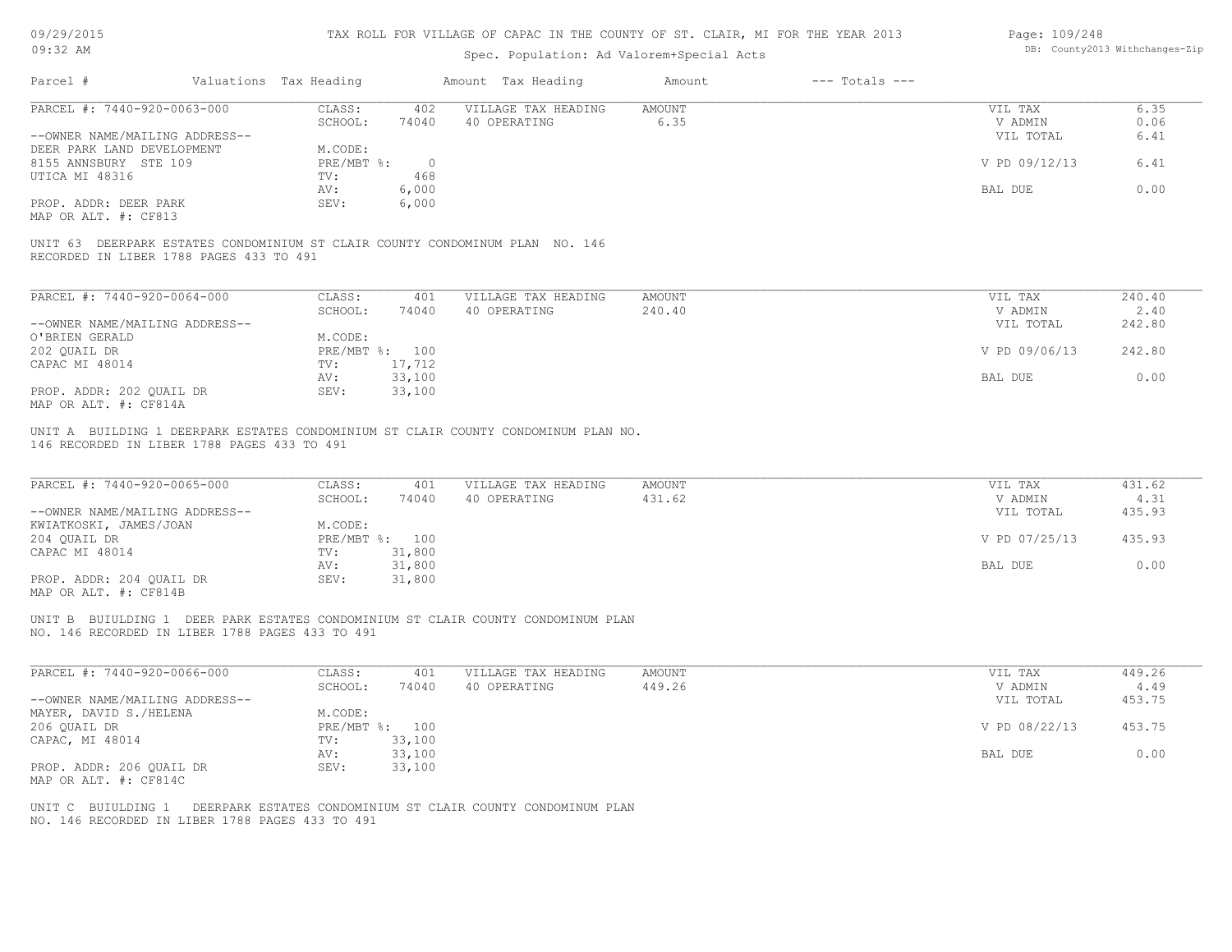| 09/29/2015 |  |
|------------|--|
|------------|--|

| Page: 109/248 |                                |
|---------------|--------------------------------|
|               | DB: County2013 Withchanges-Zip |

| 09:32 AM                                                                                                                            |                        |                                  |                  | Spec. Population: Ad Valorem+Special Acts |                       |                    |                                 | DB: County2013 Withchanges-Zip |
|-------------------------------------------------------------------------------------------------------------------------------------|------------------------|----------------------------------|------------------|-------------------------------------------|-----------------------|--------------------|---------------------------------|--------------------------------|
| Parcel #                                                                                                                            | Valuations Tax Heading |                                  |                  | Amount Tax Heading                        | Amount                | $---$ Totals $---$ |                                 |                                |
| PARCEL #: 7440-920-0063-000                                                                                                         |                        | CLASS:<br>SCHOOL:                | 402<br>74040     | VILLAGE TAX HEADING<br>40 OPERATING       | <b>AMOUNT</b><br>6.35 |                    | VIL TAX<br>V ADMIN              | 6.35<br>0.06                   |
| --OWNER NAME/MAILING ADDRESS--<br>DEER PARK LAND DEVELOPMENT                                                                        |                        | M.CODE:                          |                  |                                           |                       |                    | VIL TOTAL                       | 6.41                           |
| 8155 ANNSBURY STE 109<br>UTICA MI 48316                                                                                             |                        | $PRE/MBT$ %:<br>TV:              | $\circ$<br>468   |                                           |                       |                    | V PD 09/12/13                   | 6.41                           |
| PROP. ADDR: DEER PARK<br>MAP OR ALT. #: CF813                                                                                       |                        | AV:<br>SEV:                      | 6,000<br>6,000   |                                           |                       |                    | BAL DUE                         | 0.00                           |
| UNIT 63 DEERPARK ESTATES CONDOMINIUM ST CLAIR COUNTY CONDOMINUM PLAN NO. 146<br>RECORDED IN LIBER 1788 PAGES 433 TO 491             |                        |                                  |                  |                                           |                       |                    |                                 |                                |
| PARCEL #: 7440-920-0064-000                                                                                                         |                        | CLASS:                           | 401              | VILLAGE TAX HEADING                       | <b>AMOUNT</b>         |                    | VIL TAX                         | 240.40                         |
| --OWNER NAME/MAILING ADDRESS--                                                                                                      |                        | SCHOOL:                          | 74040            | 40 OPERATING                              | 240.40                |                    | V ADMIN<br>VIL TOTAL            | 2.40<br>242.80                 |
| O'BRIEN GERALD<br>202 QUAIL DR                                                                                                      |                        | M.CODE:<br>PRE/MBT %: 100        |                  |                                           |                       |                    | V PD 09/06/13                   | 242.80                         |
| CAPAC MI 48014                                                                                                                      |                        | TV:<br>AV:                       | 17,712<br>33,100 |                                           |                       |                    | BAL DUE                         | 0.00                           |
| PROP. ADDR: 202 OUAIL DR<br>MAP OR ALT. #: CF814A                                                                                   |                        | SEV:                             | 33,100           |                                           |                       |                    |                                 |                                |
| 146 RECORDED IN LIBER 1788 PAGES 433 TO 491<br>PARCEL #: 7440-920-0065-000<br>--OWNER NAME/MAILING ADDRESS--                        |                        | CLASS:<br>SCHOOL:                | 401<br>74040     | VILLAGE TAX HEADING<br>40 OPERATING       | AMOUNT<br>431.62      |                    | VIL TAX<br>V ADMIN<br>VIL TOTAL | 431.62<br>4.31<br>435.93       |
| KWIATKOSKI, JAMES/JOAN<br>204 QUAIL DR<br>CAPAC MI 48014                                                                            |                        | M.CODE:<br>PRE/MBT %: 100<br>TV: | 31,800           |                                           |                       |                    | V PD 07/25/13                   | 435.93                         |
| PROP. ADDR: 204 QUAIL DR<br>MAP OR ALT. #: CF814B                                                                                   |                        | AV:<br>SEV:                      | 31,800<br>31,800 |                                           |                       |                    | BAL DUE                         | 0.00                           |
| UNIT B BUIULDING 1 DEER PARK ESTATES CONDOMINIUM ST CLAIR COUNTY CONDOMINUM PLAN<br>NO. 146 RECORDED IN LIBER 1788 PAGES 433 TO 491 |                        |                                  |                  |                                           |                       |                    |                                 |                                |
| PARCEL #: 7440-920-0066-000                                                                                                         |                        | CLASS:<br>SCHOOL:                | 401<br>74040     | VILLAGE TAX HEADING<br>40 OPERATING       | AMOUNT<br>449.26      |                    | VIL TAX<br>V ADMIN              | 449.26<br>4.49                 |
| --OWNER NAME/MAILING ADDRESS--<br>MAYER, DAVID S./HELENA                                                                            |                        | M.CODE:                          |                  |                                           |                       |                    | VIL TOTAL                       | 453.75                         |
| 206 QUAIL DR<br>CAPAC, MI 48014                                                                                                     |                        | PRE/MBT %: 100<br>TV:            | 33,100           |                                           |                       |                    | V PD 08/22/13                   | 453.75                         |
| PROP. ADDR: 206 QUAIL DR                                                                                                            |                        | AV:<br>SEV:                      | 33,100<br>33,100 |                                           |                       |                    | BAL DUE                         | 0.00                           |
| MAP OR ALT. #: CF814C<br>UNIT C BUIULDING 1 DEERPARK ESTATES CONDOMINIUM ST CLAIR COUNTY CONDOMINUM PLAN                            |                        |                                  |                  |                                           |                       |                    |                                 |                                |
| NO. 146 RECORDED IN LIBER 1788 PAGES 433 TO 491                                                                                     |                        |                                  |                  |                                           |                       |                    |                                 |                                |
|                                                                                                                                     |                        |                                  |                  |                                           |                       |                    |                                 |                                |
|                                                                                                                                     |                        |                                  |                  |                                           |                       |                    |                                 |                                |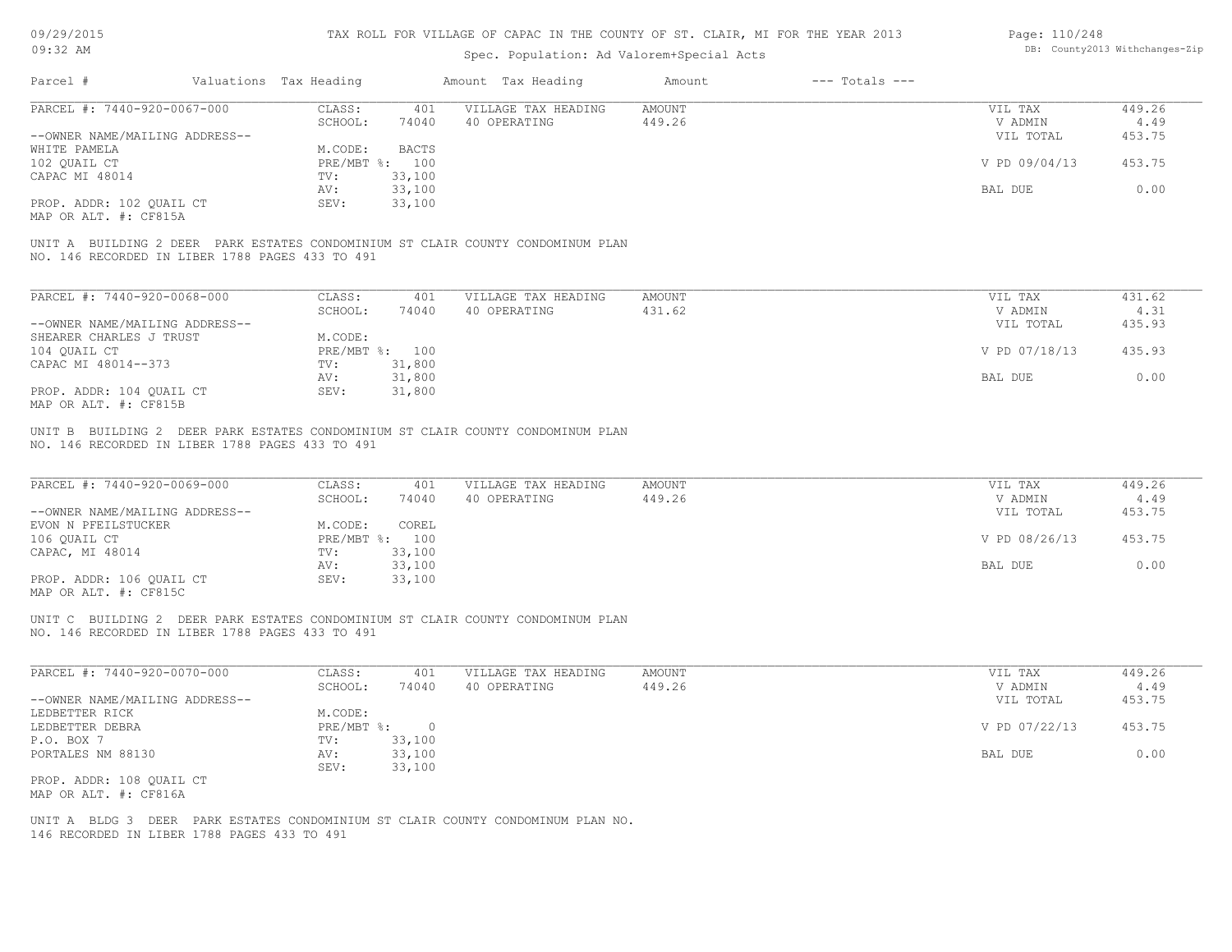### Spec. Population: Ad Valorem+Special Acts

#### Page: 110/248 DB: County2013 Withchanges-Zip

| Parcel #                       | Valuations Tax Heading |        | Amount Tax Heading                                       | Amount | $---$ Totals $---$ |               |        |
|--------------------------------|------------------------|--------|----------------------------------------------------------|--------|--------------------|---------------|--------|
| PARCEL #: 7440-920-0067-000    | CLASS:                 | 401    | VILLAGE TAX HEADING                                      | AMOUNT |                    | VIL TAX       | 449.26 |
|                                | SCHOOL:                | 74040  | 40 OPERATING                                             | 449.26 |                    | V ADMIN       | 4.49   |
| --OWNER NAME/MAILING ADDRESS-- |                        |        |                                                          |        |                    | VIL TOTAL     | 453.75 |
| WHITE PAMELA                   | M.CODE:                | BACTS  |                                                          |        |                    |               |        |
| 102 QUAIL CT                   | PRE/MBT %: 100         |        |                                                          |        |                    | V PD 09/04/13 | 453.75 |
| CAPAC MI 48014                 | TV:                    | 33,100 |                                                          |        |                    |               |        |
|                                | AV:                    | 33,100 |                                                          |        |                    | BAL DUE       | 0.00   |
| PROP. ADDR: 102 QUAIL CT       | SEV:                   | 33,100 |                                                          |        |                    |               |        |
| MAP OR ALT. #: CF815A          |                        |        |                                                          |        |                    |               |        |
| UNIT A BUILDING 2 DEER         |                        |        | PARK ESTATES CONDOMINIUM ST CLAIR COUNTY CONDOMINUM PLAN |        |                    |               |        |

NO. 146 RECORDED IN LIBER 1788 PAGES 433 TO 491

| PARCEL #: 7440-920-0068-000    | CLASS:     | 401    | VILLAGE TAX HEADING | AMOUNT | VIL TAX       | 431.62 |
|--------------------------------|------------|--------|---------------------|--------|---------------|--------|
|                                | SCHOOL:    | 74040  | 40 OPERATING        | 431.62 | V ADMIN       | 4.31   |
| --OWNER NAME/MAILING ADDRESS-- |            |        |                     |        | VIL TOTAL     | 435.93 |
| SHEARER CHARLES J TRUST        | M.CODE:    |        |                     |        |               |        |
| 104 OUAIL CT                   | PRE/MBT %: | 100    |                     |        | V PD 07/18/13 | 435.93 |
| CAPAC MI 48014--373            | TV:        | 31,800 |                     |        |               |        |
|                                | AV:        | 31,800 |                     |        | BAL DUE       | 0.00   |
| PROP. ADDR: 104 OUAIL CT       | SEV:       | 31,800 |                     |        |               |        |
| MAP OR ALT. #: CF815B          |            |        |                     |        |               |        |

NO. 146 RECORDED IN LIBER 1788 PAGES 433 TO 491 UNIT B BUILDING 2 DEER PARK ESTATES CONDOMINIUM ST CLAIR COUNTY CONDOMINUM PLAN

| PARCEL #: 7440-920-0069-000    | CLASS:  | 401            | VILLAGE TAX HEADING | AMOUNT | VIL TAX       | 449.26 |
|--------------------------------|---------|----------------|---------------------|--------|---------------|--------|
|                                | SCHOOL: | 74040          | 40 OPERATING        | 449.26 | V ADMIN       | 4.49   |
| --OWNER NAME/MAILING ADDRESS-- |         |                |                     |        | VIL TOTAL     | 453.75 |
| EVON N PFEILSTUCKER            | M.CODE: | COREL          |                     |        |               |        |
| 106 OUAIL CT                   |         | PRE/MBT %: 100 |                     |        | V PD 08/26/13 | 453.75 |
| CAPAC, MI 48014                | TV:     | 33,100         |                     |        |               |        |
|                                | AV:     | 33,100         |                     |        | BAL DUE       | 0.00   |
| PROP. ADDR: 106 OUAIL CT       | SEV:    | 33,100         |                     |        |               |        |
| $\cdots$                       |         |                |                     |        |               |        |

MAP OR ALT. #: CF815C

NO. 146 RECORDED IN LIBER 1788 PAGES 433 TO 491 UNIT C BUILDING 2 DEER PARK ESTATES CONDOMINIUM ST CLAIR COUNTY CONDOMINUM PLAN

| PARCEL #: 7440-920-0070-000    | CLASS:     | 401      | VILLAGE TAX HEADING | AMOUNT | VIL TAX       | 449.26 |
|--------------------------------|------------|----------|---------------------|--------|---------------|--------|
|                                | SCHOOL:    | 74040    | 40 OPERATING        | 449.26 | V ADMIN       | 4.49   |
| --OWNER NAME/MAILING ADDRESS-- |            |          |                     |        | VIL TOTAL     | 453.75 |
| LEDBETTER RICK                 | M.CODE:    |          |                     |        |               |        |
| LEDBETTER DEBRA                | PRE/MBT %: | $\Omega$ |                     |        | V PD 07/22/13 | 453.75 |
| P.O. BOX 7                     | TV:        | 33,100   |                     |        |               |        |
| PORTALES NM 88130              | AV:        | 33,100   |                     |        | BAL DUE       | 0.00   |
|                                | SEV:       | 33,100   |                     |        |               |        |
| PROP. ADDR: 108 QUAIL CT       |            |          |                     |        |               |        |
| MAP OR ALT. #: CF816A          |            |          |                     |        |               |        |

 $\_$  , and the state of the state of the state of the state of the state of the state of the state of the state of the state of the state of the state of the state of the state of the state of the state of the state of the

146 RECORDED IN LIBER 1788 PAGES 433 TO 491 UNIT A BLDG 3 DEER PARK ESTATES CONDOMINIUM ST CLAIR COUNTY CONDOMINUM PLAN NO.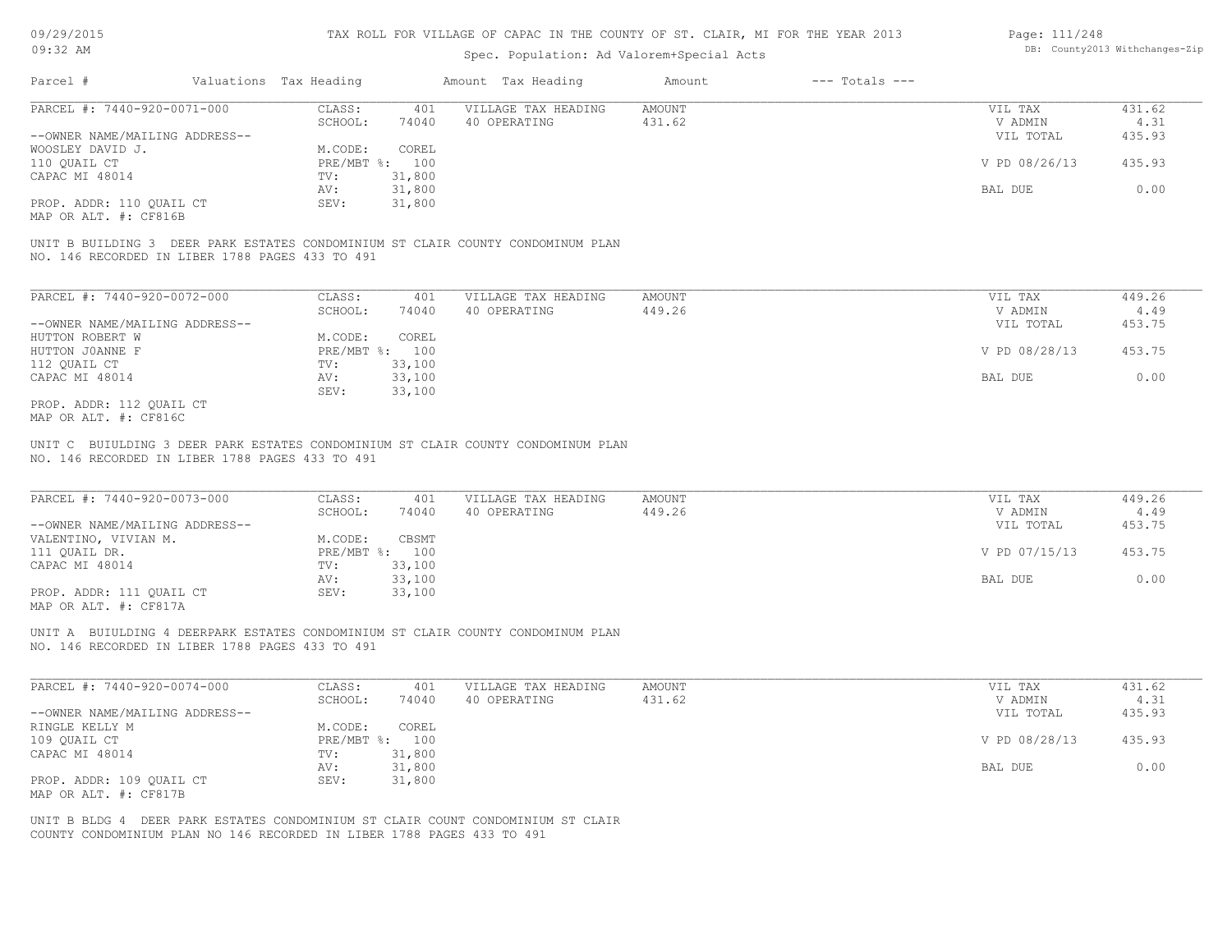### Spec. Population: Ad Valorem+Special Acts

#### Page: 111/248 DB: County2013 Withchanges-Zip

| Parcel #                       | Valuations Tax Heading |                | Amount Tax Heading  | Amount | $---$ Totals $---$ |               |        |
|--------------------------------|------------------------|----------------|---------------------|--------|--------------------|---------------|--------|
| PARCEL #: 7440-920-0071-000    | CLASS:                 | 401            | VILLAGE TAX HEADING | AMOUNT |                    | VIL TAX       | 431.62 |
|                                | SCHOOL:                | 74040          | 40 OPERATING        | 431.62 |                    | V ADMIN       | 4.31   |
| --OWNER NAME/MAILING ADDRESS-- |                        |                |                     |        |                    | VIL TOTAL     | 435.93 |
| WOOSLEY DAVID J.               | M.CODE:                | COREL          |                     |        |                    |               |        |
| 110 QUAIL CT                   |                        | PRE/MBT %: 100 |                     |        |                    | V PD 08/26/13 | 435.93 |
| CAPAC MI 48014                 | TV:                    | 31,800         |                     |        |                    |               |        |
|                                | AV:                    | 31,800         |                     |        |                    | BAL DUE       | 0.00   |
| PROP. ADDR: 110 QUAIL CT       | SEV:                   | 31,800         |                     |        |                    |               |        |
|                                |                        |                |                     |        |                    |               |        |

MAP OR ALT. #: CF816B

NO. 146 RECORDED IN LIBER 1788 PAGES 433 TO 491 UNIT B BUILDING 3 DEER PARK ESTATES CONDOMINIUM ST CLAIR COUNTY CONDOMINUM PLAN

| PARCEL #: 7440-920-0072-000    | CLASS:       | 401    | VILLAGE TAX HEADING | AMOUNT | VIL TAX       | 449.26 |
|--------------------------------|--------------|--------|---------------------|--------|---------------|--------|
|                                | SCHOOL:      | 74040  | 40 OPERATING        | 449.26 | V ADMIN       | 4.49   |
| --OWNER NAME/MAILING ADDRESS-- |              |        |                     |        | VIL TOTAL     | 453.75 |
| HUTTON ROBERT W                | M.CODE:      | COREL  |                     |        |               |        |
| HUTTON JOANNE F                | $PRE/MBT$ %: | 100    |                     |        | V PD 08/28/13 | 453.75 |
| 112 QUAIL CT                   | TV:          | 33,100 |                     |        |               |        |
| CAPAC MI 48014                 | AV:          | 33,100 |                     |        | BAL DUE       | 0.00   |
|                                | SEV:         | 33,100 |                     |        |               |        |
| PROP. ADDR: 112 QUAIL CT       |              |        |                     |        |               |        |

MAP OR ALT. #: CF816C

NO. 146 RECORDED IN LIBER 1788 PAGES 433 TO 491 UNIT C BUIULDING 3 DEER PARK ESTATES CONDOMINIUM ST CLAIR COUNTY CONDOMINUM PLAN

| PARCEL #: 7440-920-0073-000    | CLASS:     | 401    | VILLAGE TAX HEADING | AMOUNT | VIL TAX       | 449.26 |
|--------------------------------|------------|--------|---------------------|--------|---------------|--------|
|                                | SCHOOL:    | 74040  | 40 OPERATING        | 449.26 | V ADMIN       | 4.49   |
| --OWNER NAME/MAILING ADDRESS-- |            |        |                     |        | VIL TOTAL     | 453.75 |
| VALENTINO, VIVIAN M.           | M.CODE:    | CBSMT  |                     |        |               |        |
| 111 OUAIL DR.                  | PRE/MBT %: | 100    |                     |        | V PD 07/15/13 | 453.75 |
| CAPAC MI 48014                 | TV:        | 33,100 |                     |        |               |        |
|                                | AV:        | 33,100 |                     |        | BAL DUE       | 0.00   |
| PROP. ADDR: 111 OUAIL CT       | SEV:       | 33,100 |                     |        |               |        |
| $\cdots$                       |            |        |                     |        |               |        |

 $\_$  , and the state of the state of the state of the state of the state of the state of the state of the state of the state of the state of the state of the state of the state of the state of the state of the state of the

MAP OR ALT. #: CF817A

NO. 146 RECORDED IN LIBER 1788 PAGES 433 TO 491 UNIT A BUIULDING 4 DEERPARK ESTATES CONDOMINIUM ST CLAIR COUNTY CONDOMINUM PLAN

| PARCEL #: 7440-920-0074-000    | CLASS:  | 401            | VILLAGE TAX HEADING | AMOUNT | VIL TAX       | 431.62 |
|--------------------------------|---------|----------------|---------------------|--------|---------------|--------|
|                                | SCHOOL: | 74040          | 40 OPERATING        | 431.62 | V ADMIN       | 4.31   |
| --OWNER NAME/MAILING ADDRESS-- |         |                |                     |        | VIL TOTAL     | 435.93 |
| RINGLE KELLY M                 | M.CODE: | COREL          |                     |        |               |        |
| 109 QUAIL CT                   |         | PRE/MBT %: 100 |                     |        | V PD 08/28/13 | 435.93 |
| CAPAC MI 48014                 | TV:     | 31,800         |                     |        |               |        |
|                                | AV:     | 31,800         |                     |        | BAL DUE       | 0.00   |
| PROP. ADDR: 109 QUAIL CT       | SEV:    | 31,800         |                     |        |               |        |
| MAP OR ALT. #: CF817B          |         |                |                     |        |               |        |

COUNTY CONDOMINIUM PLAN NO 146 RECORDED IN LIBER 1788 PAGES 433 TO 491 UNIT B BLDG 4 DEER PARK ESTATES CONDOMINIUM ST CLAIR COUNT CONDOMINIUM ST CLAIR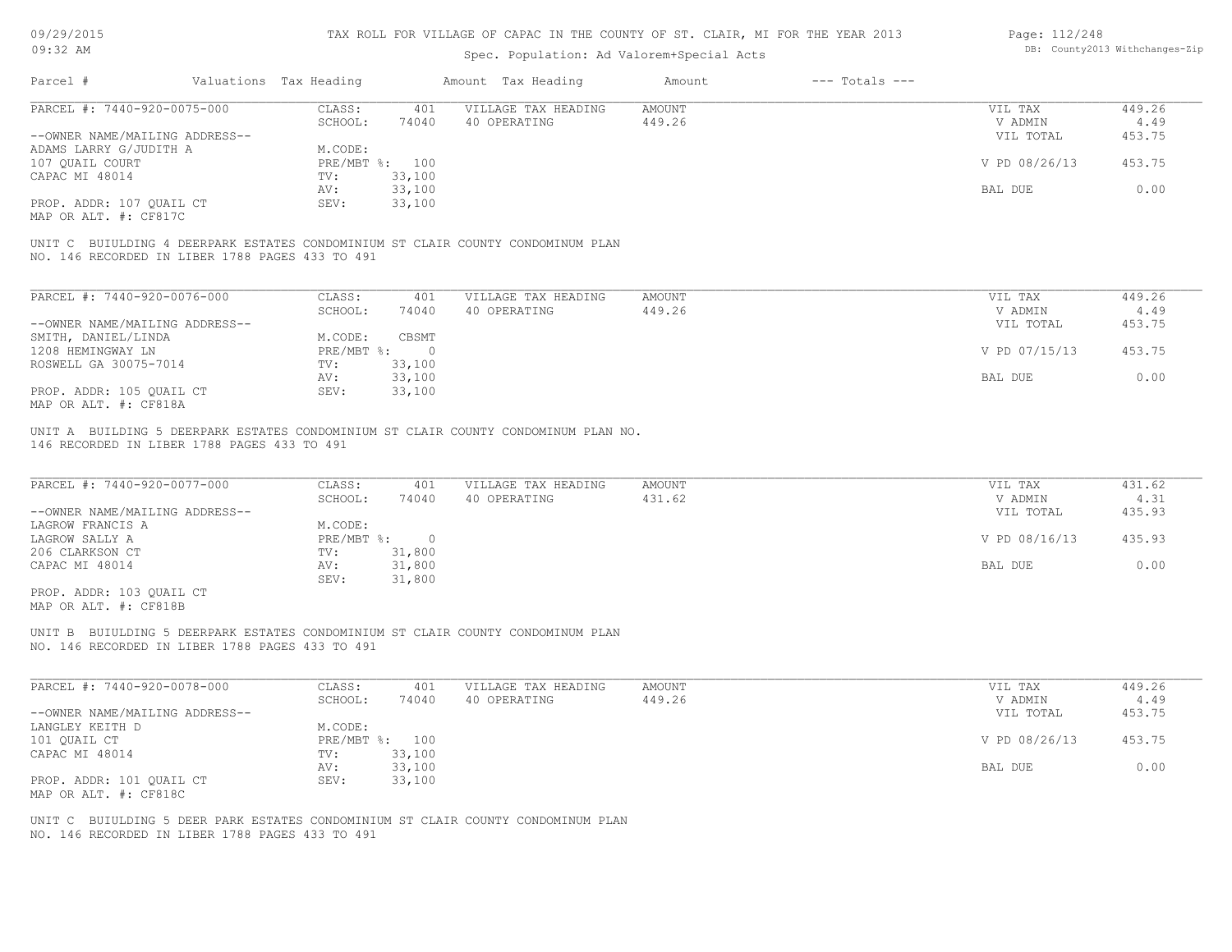| 09/29/2015                                                                         |                                   |                                     | TAX ROLL FOR VILLAGE OF CAPAC IN THE COUNTY OF ST. CLAIR, MI FOR THE YEAR 2013 |                    | Page: 112/248      |                                |
|------------------------------------------------------------------------------------|-----------------------------------|-------------------------------------|--------------------------------------------------------------------------------|--------------------|--------------------|--------------------------------|
| $09:32$ AM                                                                         |                                   |                                     | Spec. Population: Ad Valorem+Special Acts                                      |                    |                    | DB: County2013 Withchanges-Zip |
| Parcel #                                                                           | Valuations Tax Heading            | Amount Tax Heading                  | Amount                                                                         | $---$ Totals $---$ |                    |                                |
| PARCEL #: 7440-920-0075-000                                                        | CLASS:<br>401                     | VILLAGE TAX HEADING                 | <b>AMOUNT</b>                                                                  |                    | VIL TAX            | 449.26                         |
|                                                                                    | 74040<br>SCHOOL:                  | 40 OPERATING                        | 449.26                                                                         |                    | V ADMIN            | 4.49                           |
| --OWNER NAME/MAILING ADDRESS--                                                     |                                   |                                     |                                                                                |                    | VIL TOTAL          | 453.75                         |
| ADAMS LARRY G/JUDITH A                                                             | M.CODE:                           |                                     |                                                                                |                    |                    |                                |
| 107 QUAIL COURT                                                                    | PRE/MBT %: 100                    |                                     |                                                                                |                    | V PD 08/26/13      | 453.75                         |
| CAPAC MI 48014                                                                     | 33,100<br>TV:                     |                                     |                                                                                |                    |                    | 0.00                           |
| PROP. ADDR: 107 QUAIL CT                                                           | 33,100<br>AV:<br>SEV:             |                                     |                                                                                |                    | BAL DUE            |                                |
| MAP OR ALT. #: CF817C                                                              | 33,100                            |                                     |                                                                                |                    |                    |                                |
|                                                                                    |                                   |                                     |                                                                                |                    |                    |                                |
| UNIT C BUIULDING 4 DEERPARK ESTATES CONDOMINIUM ST CLAIR COUNTY CONDOMINUM PLAN    |                                   |                                     |                                                                                |                    |                    |                                |
| NO. 146 RECORDED IN LIBER 1788 PAGES 433 TO 491                                    |                                   |                                     |                                                                                |                    |                    |                                |
|                                                                                    |                                   |                                     |                                                                                |                    |                    |                                |
| PARCEL #: 7440-920-0076-000                                                        |                                   |                                     |                                                                                |                    |                    | 449.26                         |
|                                                                                    | CLASS:<br>401<br>SCHOOL:<br>74040 | VILLAGE TAX HEADING<br>40 OPERATING | <b>AMOUNT</b><br>449.26                                                        |                    | VIL TAX<br>V ADMIN | 4.49                           |
| --OWNER NAME/MAILING ADDRESS--                                                     |                                   |                                     |                                                                                |                    | VIL TOTAL          | 453.75                         |
| SMITH, DANIEL/LINDA                                                                | M.CODE:<br>CBSMT                  |                                     |                                                                                |                    |                    |                                |
| 1208 HEMINGWAY LN                                                                  | PRE/MBT %:<br>$\bigcirc$          |                                     |                                                                                |                    | V PD 07/15/13      | 453.75                         |
| ROSWELL GA 30075-7014                                                              | 33,100<br>TV:                     |                                     |                                                                                |                    |                    |                                |
|                                                                                    | 33,100<br>AV:                     |                                     |                                                                                |                    | BAL DUE            | 0.00                           |
| PROP. ADDR: 105 OUAIL CT                                                           | SEV:<br>33,100                    |                                     |                                                                                |                    |                    |                                |
| MAP OR ALT. #: CF818A                                                              |                                   |                                     |                                                                                |                    |                    |                                |
|                                                                                    |                                   |                                     |                                                                                |                    |                    |                                |
| UNIT A BUILDING 5 DEERPARK ESTATES CONDOMINIUM ST CLAIR COUNTY CONDOMINUM PLAN NO. |                                   |                                     |                                                                                |                    |                    |                                |
| 146 RECORDED IN LIBER 1788 PAGES 433 TO 491                                        |                                   |                                     |                                                                                |                    |                    |                                |
|                                                                                    |                                   |                                     |                                                                                |                    |                    |                                |
| PARCEL #: 7440-920-0077-000                                                        | CLASS:<br>401                     | VILLAGE TAX HEADING                 | <b>AMOUNT</b>                                                                  |                    | VIL TAX            | 431.62                         |
|                                                                                    | 74040<br>SCHOOL:                  | 40 OPERATING                        | 431.62                                                                         |                    | V ADMIN            | 4.31                           |
| --OWNER NAME/MAILING ADDRESS--                                                     |                                   |                                     |                                                                                |                    | VIL TOTAL          | 435.93                         |
| LAGROW FRANCIS A                                                                   | M.CODE:                           |                                     |                                                                                |                    |                    |                                |
| LAGROW SALLY A                                                                     | PRE/MBT %:<br>$\overline{0}$      |                                     |                                                                                |                    | V PD 08/16/13      | 435.93                         |
| 206 CLARKSON CT                                                                    | 31,800<br>TV:                     |                                     |                                                                                |                    |                    |                                |
| CAPAC MI 48014                                                                     | 31,800<br>AV:                     |                                     |                                                                                |                    | BAL DUE            | 0.00                           |
|                                                                                    | 31,800<br>SEV:                    |                                     |                                                                                |                    |                    |                                |
| PROP. ADDR: 103 OUAIL CT                                                           |                                   |                                     |                                                                                |                    |                    |                                |
| MAP OR ALT. #: CF818B                                                              |                                   |                                     |                                                                                |                    |                    |                                |

NO. 146 RECORDED IN LIBER 1788 PAGES 433 TO 491 UNIT B BUIULDING 5 DEERPARK ESTATES CONDOMINIUM ST CLAIR COUNTY CONDOMINUM PLAN

| PARCEL #: 7440-920-0078-000    | CLASS:     | 401    | VILLAGE TAX HEADING | AMOUNT | VIL TAX       | 449.26 |
|--------------------------------|------------|--------|---------------------|--------|---------------|--------|
|                                | SCHOOL:    | 74040  | 40 OPERATING        | 449.26 | V ADMIN       | 4.49   |
| --OWNER NAME/MAILING ADDRESS-- |            |        |                     |        | VIL TOTAL     | 453.75 |
| LANGLEY KEITH D                | M.CODE:    |        |                     |        |               |        |
| 101 QUAIL CT                   | PRE/MBT %: | 100    |                     |        | V PD 08/26/13 | 453.75 |
| CAPAC MI 48014                 | TV:        | 33,100 |                     |        |               |        |
|                                | AV:        | 33,100 |                     |        | BAL DUE       | 0.00   |
| PROP. ADDR: 101 OUAIL CT       | SEV:       | 33,100 |                     |        |               |        |
| MAP OR ALT. #: CF818C          |            |        |                     |        |               |        |

NO. 146 RECORDED IN LIBER 1788 PAGES 433 TO 491 UNIT C BUIULDING 5 DEER PARK ESTATES CONDOMINIUM ST CLAIR COUNTY CONDOMINUM PLAN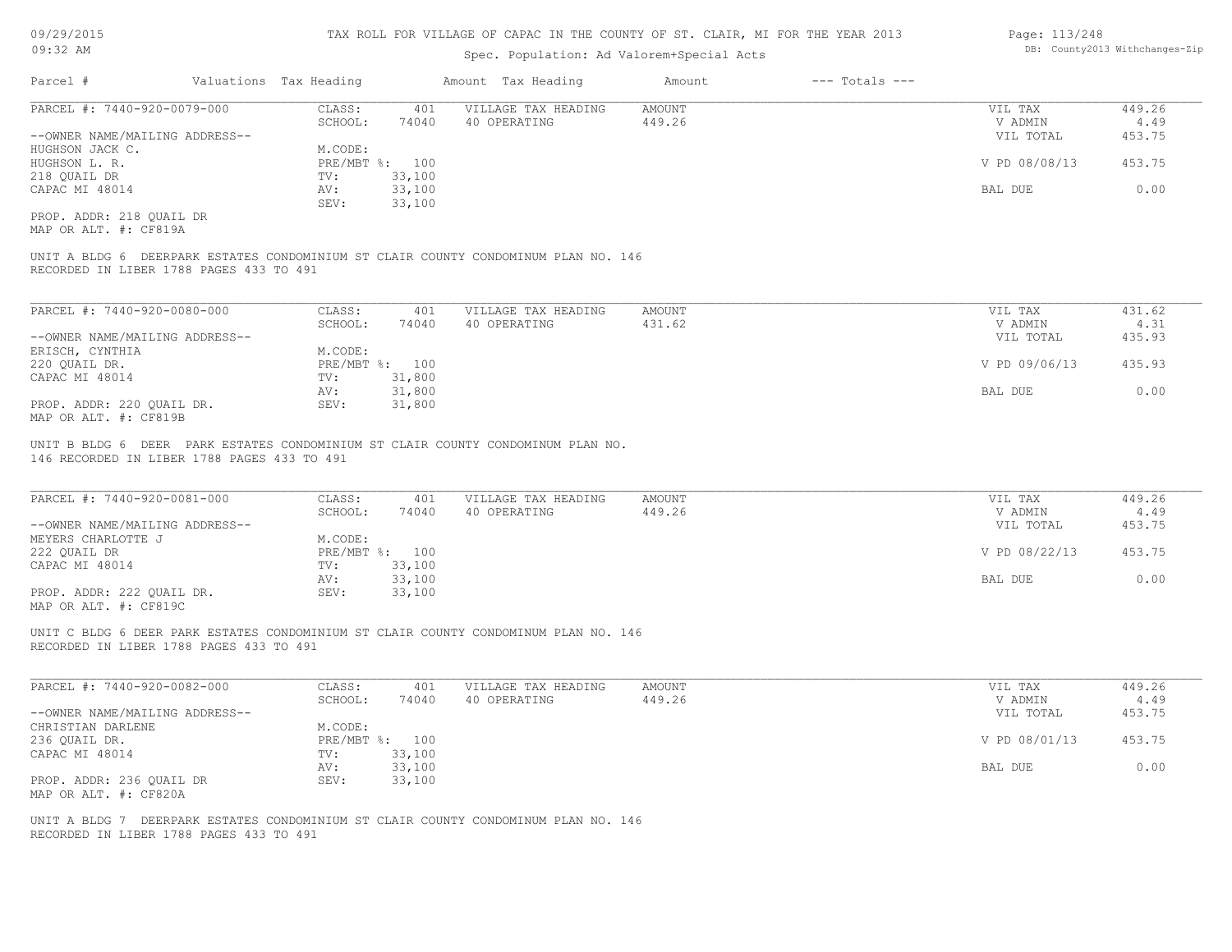#### TAX ROLL FOR VILLAGE OF CAPAC IN THE COUNTY OF ST. CLAIR, MI FOR THE YEAR 2013

### Spec. Population: Ad Valorem+Special Acts

| Parcel #                       | Valuations Tax Heading |        | Amount Tax Heading  | Amount | $---$ Totals $---$ |               |        |
|--------------------------------|------------------------|--------|---------------------|--------|--------------------|---------------|--------|
| PARCEL #: 7440-920-0079-000    | CLASS:                 | 401    | VILLAGE TAX HEADING | AMOUNT |                    | VIL TAX       | 449.26 |
|                                | SCHOOL:                | 74040  | 40 OPERATING        | 449.26 |                    | V ADMIN       | 4.49   |
| --OWNER NAME/MAILING ADDRESS-- |                        |        |                     |        |                    | VIL TOTAL     | 453.75 |
| HUGHSON JACK C.                | M.CODE:                |        |                     |        |                    |               |        |
| HUGHSON L. R.                  | PRE/MBT %: 100         |        |                     |        |                    | V PD 08/08/13 | 453.75 |
| 218 OUAIL DR                   | TV:                    | 33,100 |                     |        |                    |               |        |
| CAPAC MI 48014                 | AV:                    | 33,100 |                     |        |                    | BAL DUE       | 0.00   |
|                                | SEV:                   | 33,100 |                     |        |                    |               |        |
|                                |                        |        |                     |        |                    |               |        |

MAP OR ALT. #: CF819A PROP. ADDR: 218 QUAIL DR

RECORDED IN LIBER 1788 PAGES 433 TO 491 UNIT A BLDG 6 DEERPARK ESTATES CONDOMINIUM ST CLAIR COUNTY CONDOMINUM PLAN NO. 146

| PARCEL #: 7440-920-0080-000    | CLASS:  | 401            | VILLAGE TAX HEADING | AMOUNT | VIL TAX       | 431.62 |
|--------------------------------|---------|----------------|---------------------|--------|---------------|--------|
|                                | SCHOOL: | 74040          | 40 OPERATING        | 431.62 | V ADMIN       | 4.31   |
| --OWNER NAME/MAILING ADDRESS-- |         |                |                     |        | VIL TOTAL     | 435.93 |
| ERISCH, CYNTHIA                | M.CODE: |                |                     |        |               |        |
| 220 QUAIL DR.                  |         | PRE/MBT %: 100 |                     |        | V PD 09/06/13 | 435.93 |
| CAPAC MI 48014                 | TV:     | 31,800         |                     |        |               |        |
|                                | AV:     | 31,800         |                     |        | BAL DUE       | 0.00   |
| PROP. ADDR: 220 OUAIL DR.      | SEV:    | 31,800         |                     |        |               |        |
| MAP OR ALT. #: CF819B          |         |                |                     |        |               |        |

146 RECORDED IN LIBER 1788 PAGES 433 TO 491 UNIT B BLDG 6 DEER PARK ESTATES CONDOMINIUM ST CLAIR COUNTY CONDOMINUM PLAN NO.

| PARCEL #: 7440-920-0081-000                           | CLASS:       | 401    | VILLAGE TAX HEADING | AMOUNT | VIL TAX       | 449.26 |
|-------------------------------------------------------|--------------|--------|---------------------|--------|---------------|--------|
|                                                       | SCHOOL:      | 74040  | 40 OPERATING        | 449.26 | V ADMIN       | 4.49   |
| --OWNER NAME/MAILING ADDRESS--                        |              |        |                     |        | VIL TOTAL     | 453.75 |
| MEYERS CHARLOTTE J                                    | M.CODE:      |        |                     |        |               |        |
| 222 QUAIL DR                                          | $PRE/MBT$ %: | 100    |                     |        | V PD 08/22/13 | 453.75 |
| CAPAC MI 48014                                        | TV:          | 33,100 |                     |        |               |        |
|                                                       | AV:          | 33,100 |                     |        | BAL DUE       | 0.00   |
| PROP. ADDR: 222 QUAIL DR.                             | SEV:         | 33,100 |                     |        |               |        |
| $\cdots$ $\cdots$ $\cdots$ $\cdots$ $\cdots$ $\cdots$ |              |        |                     |        |               |        |

 $\_$  , and the state of the state of the state of the state of the state of the state of the state of the state of the state of the state of the state of the state of the state of the state of the state of the state of the

MAP OR ALT. #: CF819C

RECORDED IN LIBER 1788 PAGES 433 TO 491 UNIT C BLDG 6 DEER PARK ESTATES CONDOMINIUM ST CLAIR COUNTY CONDOMINUM PLAN NO. 146

| PARCEL #: 7440-920-0082-000    | CLASS:  | 401            | VILLAGE TAX HEADING | AMOUNT | VIL TAX       | 449.26 |
|--------------------------------|---------|----------------|---------------------|--------|---------------|--------|
|                                | SCHOOL: | 74040          | 40 OPERATING        | 449.26 | V ADMIN       | 4.49   |
| --OWNER NAME/MAILING ADDRESS-- |         |                |                     |        | VIL TOTAL     | 453.75 |
| CHRISTIAN DARLENE              | M.CODE: |                |                     |        |               |        |
| 236 QUAIL DR.                  |         | PRE/MBT %: 100 |                     |        | V PD 08/01/13 | 453.75 |
| CAPAC MI 48014                 | TV:     | 33,100         |                     |        |               |        |
|                                | AV:     | 33,100         |                     |        | BAL DUE       | 0.00   |
| PROP. ADDR: 236 QUAIL DR       | SEV:    | 33,100         |                     |        |               |        |
| MAP OR ALT. #: CF820A          |         |                |                     |        |               |        |

RECORDED IN LIBER 1788 PAGES 433 TO 491 UNIT A BLDG 7 DEERPARK ESTATES CONDOMINIUM ST CLAIR COUNTY CONDOMINUM PLAN NO. 146 Page: 113/248 DB: County2013 Withchanges-Zip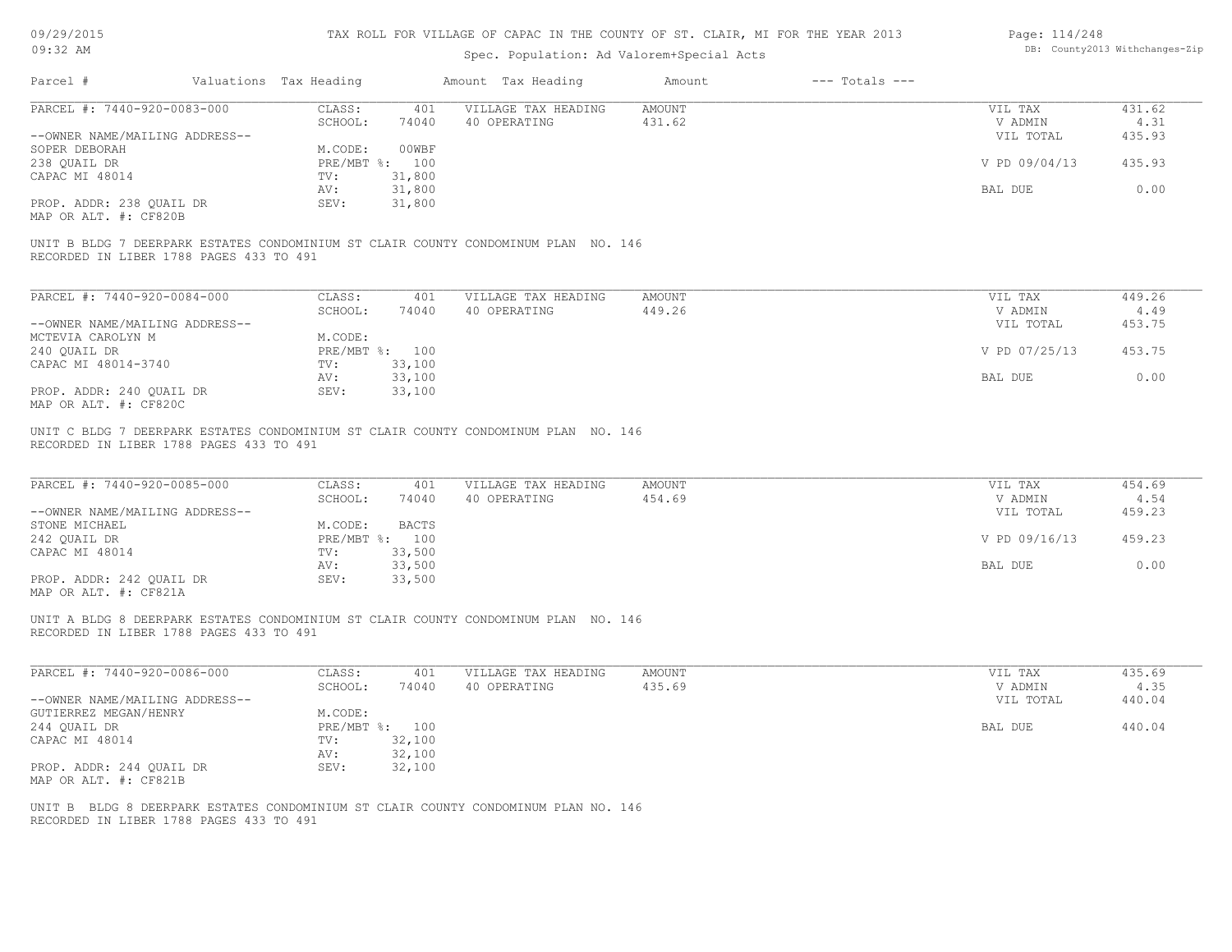| 09/29/2015 |  |
|------------|--|
|------------|--|

| Page: 114/248 |                               |
|---------------|-------------------------------|
|               | DB: County2013 Withchanges-Zi |

| 09:32 AM                                                                                                                      |                                   | Spec. Population: Ad Valorem+Special Acts |                         |                    |                                 | DB: County2013 Withchanges-Zip |
|-------------------------------------------------------------------------------------------------------------------------------|-----------------------------------|-------------------------------------------|-------------------------|--------------------|---------------------------------|--------------------------------|
| Parcel #<br>Valuations Tax Heading                                                                                            |                                   | Amount Tax Heading                        | Amount                  | $---$ Totals $---$ |                                 |                                |
| PARCEL #: 7440-920-0083-000                                                                                                   | CLASS:<br>401                     | VILLAGE TAX HEADING                       | <b>AMOUNT</b>           |                    | VIL TAX                         | 431.62                         |
|                                                                                                                               | SCHOOL:<br>74040                  | 40 OPERATING                              | 431.62                  |                    | V ADMIN                         | 4.31                           |
| --OWNER NAME/MAILING ADDRESS--                                                                                                |                                   |                                           |                         |                    | VIL TOTAL                       | 435.93                         |
| SOPER DEBORAH                                                                                                                 | 00WBF<br>M.CODE:                  |                                           |                         |                    |                                 |                                |
| 238 QUAIL DR                                                                                                                  | PRE/MBT %: 100                    |                                           |                         |                    | V PD 09/04/13                   | 435.93                         |
| CAPAC MI 48014                                                                                                                | 31,800<br>TV:                     |                                           |                         |                    |                                 |                                |
|                                                                                                                               | 31,800<br>AV:                     |                                           |                         |                    | BAL DUE                         | 0.00                           |
| PROP. ADDR: 238 QUAIL DR                                                                                                      | 31,800<br>SEV:                    |                                           |                         |                    |                                 |                                |
| MAP OR ALT. #: CF820B                                                                                                         |                                   |                                           |                         |                    |                                 |                                |
| UNIT B BLDG 7 DEERPARK ESTATES CONDOMINIUM ST CLAIR COUNTY CONDOMINUM PLAN NO. 146<br>RECORDED IN LIBER 1788 PAGES 433 TO 491 |                                   |                                           |                         |                    |                                 |                                |
| PARCEL #: 7440-920-0084-000                                                                                                   | CLASS:<br>401                     | VILLAGE TAX HEADING                       | <b>AMOUNT</b>           |                    | VIL TAX                         | 449.26                         |
|                                                                                                                               | SCHOOL:<br>74040                  | 40 OPERATING                              | 449.26                  |                    | V ADMIN                         | 4.49                           |
| --OWNER NAME/MAILING ADDRESS--                                                                                                |                                   |                                           |                         |                    | VIL TOTAL                       | 453.75                         |
| MCTEVIA CAROLYN M                                                                                                             | M.CODE:                           |                                           |                         |                    |                                 |                                |
| 240 QUAIL DR                                                                                                                  | PRE/MBT %: 100                    |                                           |                         |                    | V PD 07/25/13                   | 453.75                         |
| CAPAC MI 48014-3740                                                                                                           | 33,100<br>TV:                     |                                           |                         |                    |                                 |                                |
|                                                                                                                               | 33,100<br>AV:                     |                                           |                         |                    | BAL DUE                         | 0.00                           |
| PROP. ADDR: 240 QUAIL DR                                                                                                      | 33,100<br>SEV:                    |                                           |                         |                    |                                 |                                |
| MAP OR ALT. #: CF820C                                                                                                         |                                   |                                           |                         |                    |                                 |                                |
| PARCEL #: 7440-920-0085-000<br>--OWNER NAME/MAILING ADDRESS--                                                                 | CLASS:<br>401<br>SCHOOL:<br>74040 | VILLAGE TAX HEADING<br>40 OPERATING       | <b>AMOUNT</b><br>454.69 |                    | VIL TAX<br>V ADMIN<br>VIL TOTAL | 454.69<br>4.54<br>459.23       |
| STONE MICHAEL                                                                                                                 | <b>BACTS</b><br>M.CODE:           |                                           |                         |                    |                                 |                                |
| 242 QUAIL DR                                                                                                                  | PRE/MBT %: 100                    |                                           |                         |                    | V PD 09/16/13                   | 459.23                         |
| CAPAC MI 48014                                                                                                                | 33,500<br>TV:                     |                                           |                         |                    |                                 |                                |
|                                                                                                                               | 33,500<br>AV:                     |                                           |                         |                    | BAL DUE                         | 0.00                           |
| PROP. ADDR: 242 QUAIL DR<br>MAP OR ALT. #: CF821A                                                                             | 33,500<br>SEV:                    |                                           |                         |                    |                                 |                                |
|                                                                                                                               |                                   |                                           |                         |                    |                                 |                                |
| UNIT A BLDG 8 DEERPARK ESTATES CONDOMINIUM ST CLAIR COUNTY CONDOMINUM PLAN NO. 146<br>RECORDED IN LIBER 1788 PAGES 433 TO 491 |                                   |                                           |                         |                    |                                 |                                |
| PARCEL #: 7440-920-0086-000                                                                                                   | CLASS:<br>401                     | VILLAGE TAX HEADING                       | <b>AMOUNT</b>           |                    | VIL TAX                         | 435.69                         |
|                                                                                                                               | SCHOOL:<br>74040                  | 40 OPERATING                              | 435.69                  |                    | V ADMIN                         | 4.35                           |
| --OWNER NAME/MAILING ADDRESS--                                                                                                |                                   |                                           |                         |                    | VIL TOTAL                       | 440.04                         |
| GUTIERREZ MEGAN/HENRY                                                                                                         | M.CODE:<br>PRE/MBT %: 100         |                                           |                         |                    | BAL DUE                         | 440.04                         |
| 244 QUAIL DR                                                                                                                  |                                   |                                           |                         |                    |                                 |                                |
| CAPAC MI 48014                                                                                                                | 32,100<br>TV:<br>32,100<br>AV:    |                                           |                         |                    |                                 |                                |
| PROP. ADDR: 244 QUAIL DR                                                                                                      | 32,100<br>SEV:                    |                                           |                         |                    |                                 |                                |
| MAP OR ALT. #: CF821B                                                                                                         |                                   |                                           |                         |                    |                                 |                                |
|                                                                                                                               |                                   |                                           |                         |                    |                                 |                                |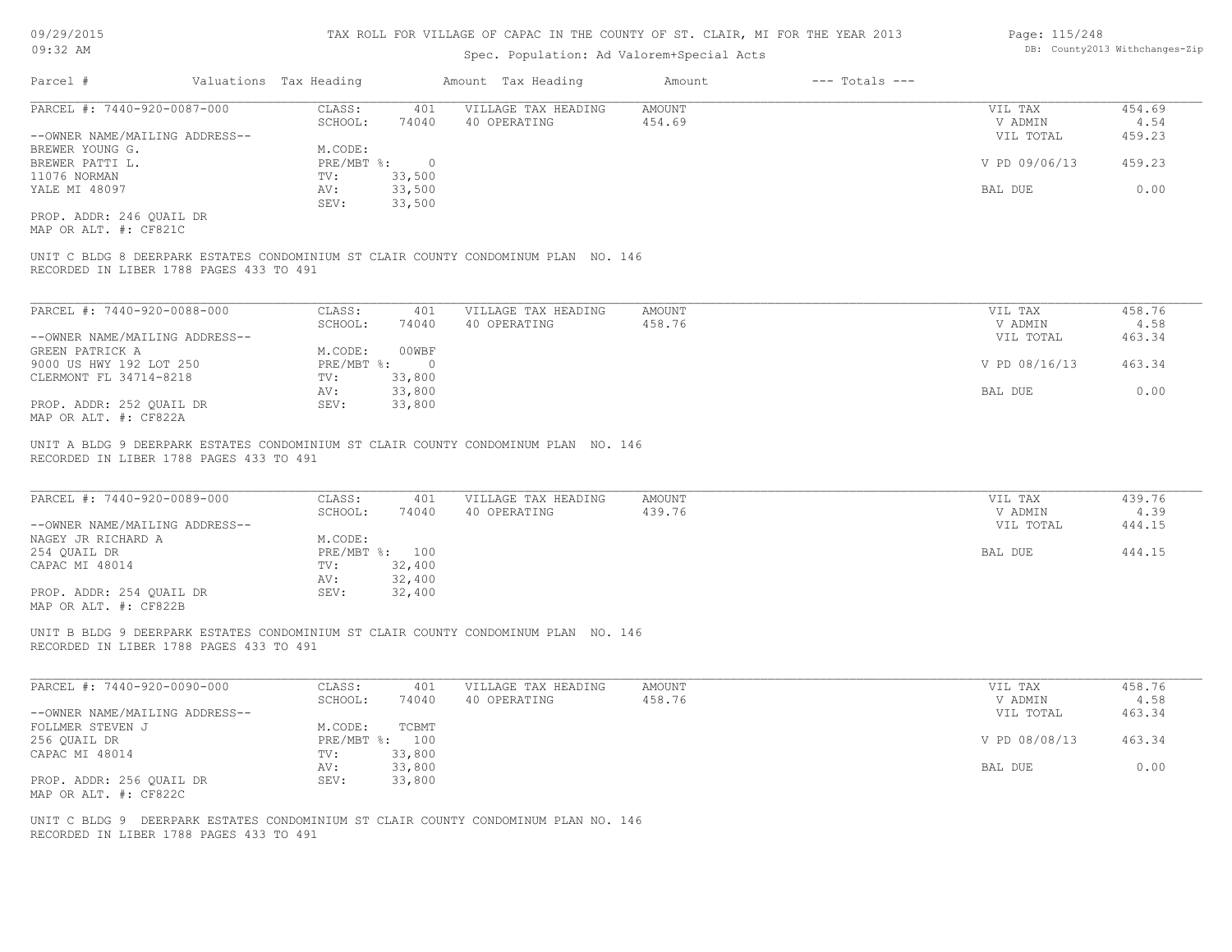#### TAX ROLL FOR VILLAGE OF CAPAC IN THE COUNTY OF ST. CLAIR, MI FOR THE YEAR 2013

### Spec. Population: Ad Valorem+Special Acts

| Page: 115/248 |                                |
|---------------|--------------------------------|
|               | DB: County2013 Withchanges-Zip |

| Parcel #                       | Valuations Tax Heading |        | Amount Tax Heading  | Amount | $---$ Totals $---$ |               |        |
|--------------------------------|------------------------|--------|---------------------|--------|--------------------|---------------|--------|
| PARCEL #: 7440-920-0087-000    | CLASS:                 | 401    | VILLAGE TAX HEADING | AMOUNT |                    | VIL TAX       | 454.69 |
|                                | SCHOOL:                | 74040  | 40 OPERATING        | 454.69 |                    | V ADMIN       | 4.54   |
| --OWNER NAME/MAILING ADDRESS-- |                        |        |                     |        |                    | VIL TOTAL     | 459.23 |
| BREWER YOUNG G.                | M.CODE:                |        |                     |        |                    |               |        |
| BREWER PATTI L.                | $PRE/MBT$ %:           | $\cap$ |                     |        |                    | V PD 09/06/13 | 459.23 |
| 11076 NORMAN                   | TV:                    | 33,500 |                     |        |                    |               |        |
| YALE MI 48097                  | AV:                    | 33,500 |                     |        |                    | BAL DUE       | 0.00   |
|                                | SEV:                   | 33,500 |                     |        |                    |               |        |
|                                |                        |        |                     |        |                    |               |        |

MAP OR ALT. #: CF821C PROP. ADDR: 246 QUAIL DR

RECORDED IN LIBER 1788 PAGES 433 TO 491 UNIT C BLDG 8 DEERPARK ESTATES CONDOMINIUM ST CLAIR COUNTY CONDOMINUM PLAN NO. 146

| PARCEL #: 7440-920-0088-000    | CLASS:     | 401    | VILLAGE TAX HEADING | AMOUNT | VIL TAX       | 458.76 |
|--------------------------------|------------|--------|---------------------|--------|---------------|--------|
|                                | SCHOOL:    | 74040  | 40 OPERATING        | 458.76 | V ADMIN       | 4.58   |
| --OWNER NAME/MAILING ADDRESS-- |            |        |                     |        | VIL TOTAL     | 463.34 |
| GREEN PATRICK A                | M.CODE:    | 00WBF  |                     |        |               |        |
| 9000 US HWY 192 LOT 250        | PRE/MBT %: |        |                     |        | V PD 08/16/13 | 463.34 |
| CLERMONT FL 34714-8218         | TV:        | 33,800 |                     |        |               |        |
|                                | AV:        | 33,800 |                     |        | BAL DUE       | 0.00   |
| PROP. ADDR: 252 OUAIL DR       | SEV:       | 33,800 |                     |        |               |        |
| MAP OR ALT. #: CF822A          |            |        |                     |        |               |        |

RECORDED IN LIBER 1788 PAGES 433 TO 491 UNIT A BLDG 9 DEERPARK ESTATES CONDOMINIUM ST CLAIR COUNTY CONDOMINUM PLAN NO. 146

| PARCEL #: 7440-920-0089-000    | CLASS:     | 401    | VILLAGE TAX HEADING | AMOUNT | VIL TAX   | 439.76 |
|--------------------------------|------------|--------|---------------------|--------|-----------|--------|
|                                | SCHOOL:    | 74040  | 40 OPERATING        | 439.76 | V ADMIN   | 4.39   |
| --OWNER NAME/MAILING ADDRESS-- |            |        |                     |        | VIL TOTAL | 444.15 |
| NAGEY JR RICHARD A             | M.CODE:    |        |                     |        |           |        |
| 254 OUAIL DR                   | PRE/MBT %: | 100    |                     |        | BAL DUE   | 444.15 |
| CAPAC MI 48014                 | TV:        | 32,400 |                     |        |           |        |
|                                | AV:        | 32,400 |                     |        |           |        |
| PROP. ADDR: 254 OUAIL DR       | SEV:       | 32,400 |                     |        |           |        |
| MAP OR ALT. #: CF822B          |            |        |                     |        |           |        |

 $\_$  , and the state of the state of the state of the state of the state of the state of the state of the state of the state of the state of the state of the state of the state of the state of the state of the state of the

RECORDED IN LIBER 1788 PAGES 433 TO 491 UNIT B BLDG 9 DEERPARK ESTATES CONDOMINIUM ST CLAIR COUNTY CONDOMINUM PLAN NO. 146

| PARCEL #: 7440-920-0090-000    | CLASS:  | 401            | VILLAGE TAX HEADING | AMOUNT | VIL TAX       | 458.76 |
|--------------------------------|---------|----------------|---------------------|--------|---------------|--------|
|                                | SCHOOL: | 74040          | 40 OPERATING        | 458.76 | V ADMIN       | 4.58   |
| --OWNER NAME/MAILING ADDRESS-- |         |                |                     |        | VIL TOTAL     | 463.34 |
| FOLLMER STEVEN J               | M.CODE: | TCBMT          |                     |        |               |        |
| 256 QUAIL DR                   |         | PRE/MBT %: 100 |                     |        | V PD 08/08/13 | 463.34 |
| CAPAC MI 48014                 | TV:     | 33,800         |                     |        |               |        |
|                                | AV:     | 33,800         |                     |        | BAL DUE       | 0.00   |
| PROP. ADDR: 256 OUAIL DR       | SEV:    | 33,800         |                     |        |               |        |
| MAP OR ALT. #: CF822C          |         |                |                     |        |               |        |

RECORDED IN LIBER 1788 PAGES 433 TO 491 UNIT C BLDG 9 DEERPARK ESTATES CONDOMINIUM ST CLAIR COUNTY CONDOMINUM PLAN NO. 146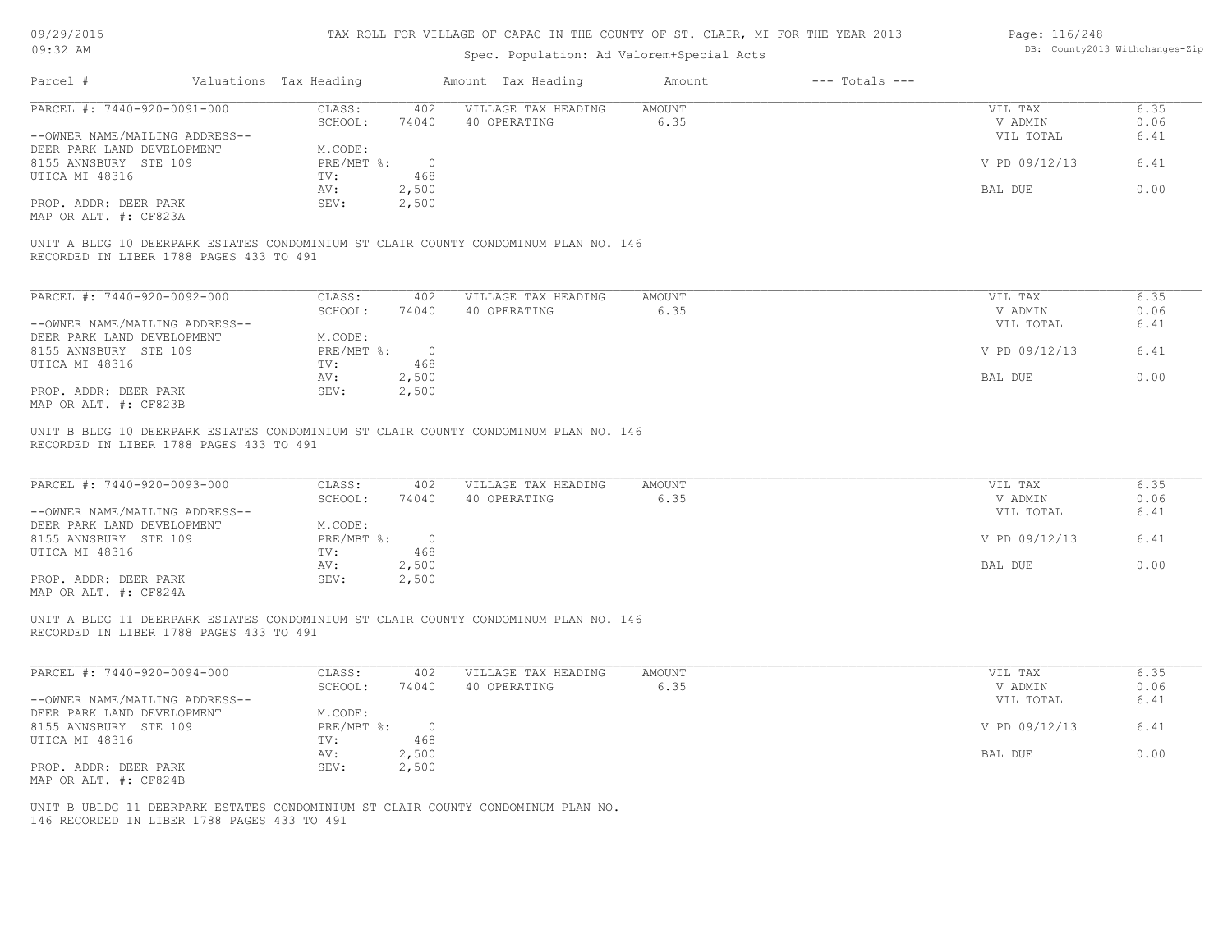| 09/29/2015 |  |
|------------|--|
|------------|--|

| Page: 116/248 |                               |
|---------------|-------------------------------|
|               | DB: County2013 Withchanges-Zi |

| UY/29/2015<br>09:32 AM                                                                      |  |                              | TAX ROLL FOR VILLAGE OF CAPAC IN THE COUNTY OF ST. CLAIR, MI FOR THE YEAR 2013 | Page: 116/248<br>DB: County2013 Withchanges-Zip                                     |                       |                    |                                 |                      |
|---------------------------------------------------------------------------------------------|--|------------------------------|--------------------------------------------------------------------------------|-------------------------------------------------------------------------------------|-----------------------|--------------------|---------------------------------|----------------------|
| Parcel #                                                                                    |  | Valuations Tax Heading       |                                                                                | Amount Tax Heading                                                                  | Amount                | $---$ Totals $---$ |                                 |                      |
| PARCEL #: 7440-920-0091-000                                                                 |  | CLASS:                       | 402                                                                            | VILLAGE TAX HEADING                                                                 | AMOUNT                |                    | VIL TAX                         | 6.35                 |
| --OWNER NAME/MAILING ADDRESS--                                                              |  | SCHOOL:                      | 74040                                                                          | 40 OPERATING                                                                        | 6.35                  |                    | V ADMIN<br>VIL TOTAL            | 0.06<br>6.41         |
| DEER PARK LAND DEVELOPMENT                                                                  |  | M.CODE:                      |                                                                                |                                                                                     |                       |                    |                                 |                      |
| 8155 ANNSBURY STE 109<br>UTICA MI 48316                                                     |  | PRE/MBT %:<br>TV:            | $\overline{0}$<br>468                                                          |                                                                                     |                       |                    | V PD 09/12/13                   | 6.41                 |
|                                                                                             |  | AV:                          | 2,500                                                                          |                                                                                     |                       |                    | BAL DUE                         | 0.00                 |
| PROP. ADDR: DEER PARK<br>MAP OR ALT. #: CF823A                                              |  | SEV:                         | 2,500                                                                          |                                                                                     |                       |                    |                                 |                      |
| RECORDED IN LIBER 1788 PAGES 433 TO 491                                                     |  |                              |                                                                                | UNIT A BLDG 10 DEERPARK ESTATES CONDOMINIUM ST CLAIR COUNTY CONDOMINUM PLAN NO. 146 |                       |                    |                                 |                      |
| PARCEL #: 7440-920-0092-000                                                                 |  | CLASS:                       | 402                                                                            | VILLAGE TAX HEADING                                                                 | AMOUNT                |                    | VIL TAX                         | 6.35                 |
|                                                                                             |  | SCHOOL:                      | 74040                                                                          | 40 OPERATING                                                                        | 6.35                  |                    | V ADMIN                         | 0.06                 |
| --OWNER NAME/MAILING ADDRESS--                                                              |  |                              |                                                                                |                                                                                     |                       |                    | VIL TOTAL                       | 6.41                 |
| DEER PARK LAND DEVELOPMENT<br>8155 ANNSBURY STE 109                                         |  | M.CODE:<br>$PRE/MBT$ $\div$  | $\overline{0}$                                                                 |                                                                                     |                       |                    | V PD 09/12/13                   | 6.41                 |
| UTICA MI 48316                                                                              |  | TV:                          | 468                                                                            |                                                                                     |                       |                    |                                 |                      |
|                                                                                             |  | AV:                          | 2,500                                                                          |                                                                                     |                       |                    | BAL DUE                         | 0.00                 |
| PROP. ADDR: DEER PARK<br>MAP OR ALT. #: CF823B                                              |  | SEV:                         | 2,500                                                                          |                                                                                     |                       |                    |                                 |                      |
| PARCEL #: 7440-920-0093-000<br>--OWNER NAME/MAILING ADDRESS--<br>DEER PARK LAND DEVELOPMENT |  | CLASS:<br>SCHOOL:<br>M.CODE: | 402<br>74040                                                                   | VILLAGE TAX HEADING<br>40 OPERATING                                                 | <b>AMOUNT</b><br>6.35 |                    | VIL TAX<br>V ADMIN<br>VIL TOTAL | 6.35<br>0.06<br>6.41 |
| 8155 ANNSBURY STE 109                                                                       |  | $PRE/MBT$ $\frac{1}{6}$ :    | $\overline{0}$                                                                 |                                                                                     |                       |                    | V PD 09/12/13                   | 6.41                 |
| UTICA MI 48316                                                                              |  | TV:                          | 468                                                                            |                                                                                     |                       |                    |                                 |                      |
| PROP. ADDR: DEER PARK<br>MAP OR ALT. #: CF824A                                              |  | AV:<br>SEV:                  | 2,500<br>2,500                                                                 |                                                                                     |                       |                    | BAL DUE                         | 0.00                 |
| RECORDED IN LIBER 1788 PAGES 433 TO 491                                                     |  |                              |                                                                                | UNIT A BLDG 11 DEERPARK ESTATES CONDOMINIUM ST CLAIR COUNTY CONDOMINUM PLAN NO. 146 |                       |                    |                                 |                      |
| PARCEL #: 7440-920-0094-000                                                                 |  | CLASS:<br>SCHOOL:            | 402<br>74040                                                                   | VILLAGE TAX HEADING<br>40 OPERATING                                                 | AMOUNT<br>6.35        |                    | VIL TAX<br>V ADMIN              | 6.35<br>0.06         |
| --OWNER NAME/MAILING ADDRESS--                                                              |  |                              |                                                                                |                                                                                     |                       |                    | VIL TOTAL                       | 6.41                 |
| DEER PARK LAND DEVELOPMENT                                                                  |  | M.CODE:                      |                                                                                |                                                                                     |                       |                    |                                 |                      |
| 8155 ANNSBURY STE 109                                                                       |  | PRE/MBT %:                   | $\circ$                                                                        |                                                                                     |                       |                    | V PD 09/12/13                   | 6.41                 |
| UTICA MI 48316                                                                              |  | TV:<br>AV:                   | 468<br>2,500                                                                   |                                                                                     |                       |                    | BAL DUE                         | 0.00                 |
| PROP. ADDR: DEER PARK                                                                       |  | SEV:                         | 2,500                                                                          |                                                                                     |                       |                    |                                 |                      |
| MAP OR ALT. #: CF824B                                                                       |  |                              |                                                                                |                                                                                     |                       |                    |                                 |                      |
| 146 RECORDED IN LIBER 1788 PAGES 433 TO 491                                                 |  |                              |                                                                                | UNIT B UBLDG 11 DEERPARK ESTATES CONDOMINIUM ST CLAIR COUNTY CONDOMINUM PLAN NO.    |                       |                    |                                 |                      |
|                                                                                             |  |                              |                                                                                |                                                                                     |                       |                    |                                 |                      |
|                                                                                             |  |                              |                                                                                |                                                                                     |                       |                    |                                 |                      |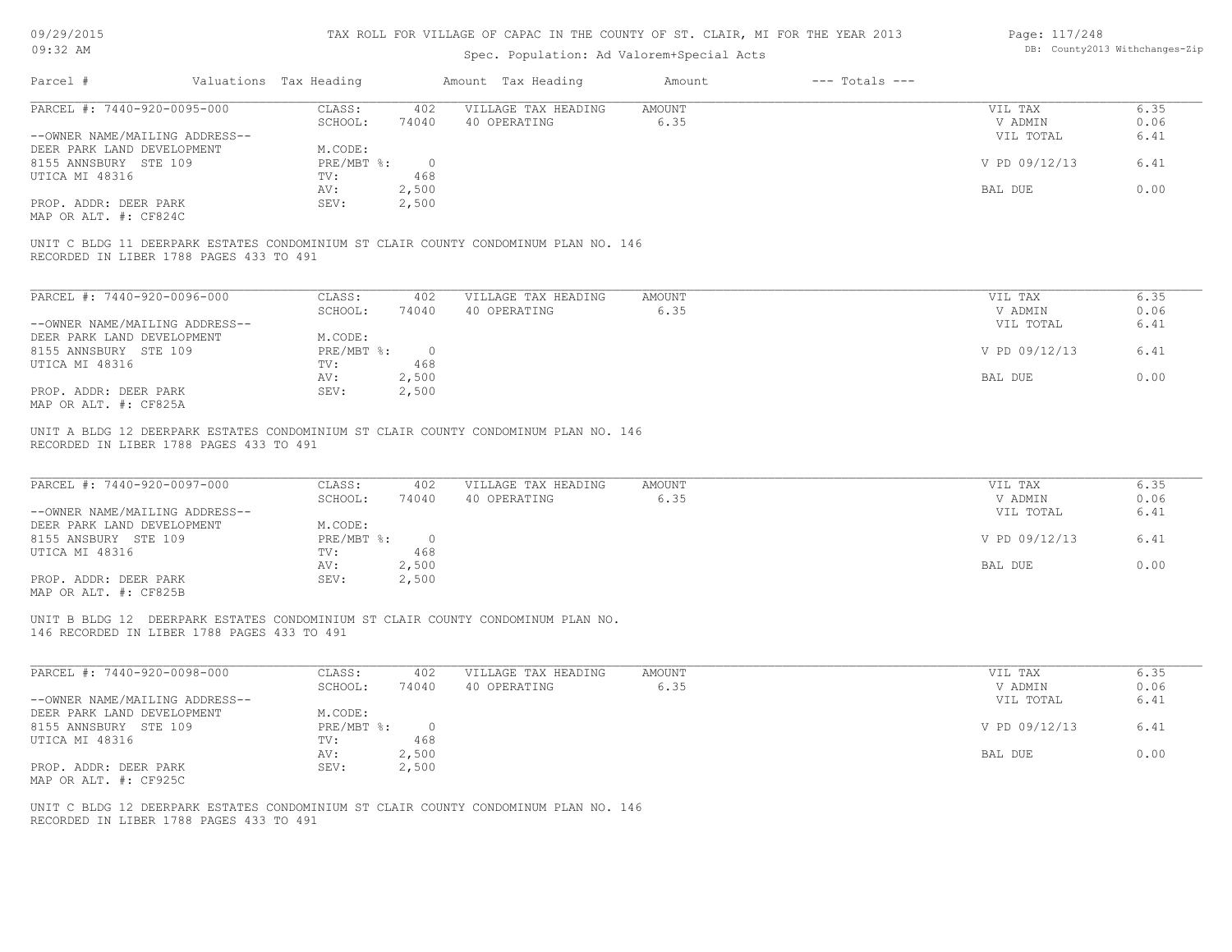| 09/29/2015 |  |
|------------|--|
|------------|--|

| Page: 117/248 |                               |
|---------------|-------------------------------|
|               | DB: County2013 Withchanges-Zi |

| U9/29/2015<br>$09:32$ AM                                                                                                       |                                    | TAX ROLL FOR VILLAGE OF CAPAC IN THE COUNTY OF ST. CLAIR, MI FOR THE YEAR 2013<br>Spec. Population: Ad Valorem+Special Acts |                       |                    | Page: 11//248                   | DB: County2013 Withchanges-Zip |
|--------------------------------------------------------------------------------------------------------------------------------|------------------------------------|-----------------------------------------------------------------------------------------------------------------------------|-----------------------|--------------------|---------------------------------|--------------------------------|
| Parcel #                                                                                                                       | Valuations Tax Heading             | Amount Tax Heading                                                                                                          | Amount                | $---$ Totals $---$ |                                 |                                |
|                                                                                                                                |                                    |                                                                                                                             |                       |                    |                                 |                                |
| PARCEL #: 7440-920-0095-000                                                                                                    | CLASS:<br>402                      | VILLAGE TAX HEADING                                                                                                         | AMOUNT                |                    | VIL TAX                         | 6.35                           |
|                                                                                                                                | SCHOOL:<br>74040                   | 40 OPERATING                                                                                                                | 6.35                  |                    | V ADMIN                         | 0.06                           |
| --OWNER NAME/MAILING ADDRESS--                                                                                                 |                                    |                                                                                                                             |                       |                    | VIL TOTAL                       | 6.41                           |
| DEER PARK LAND DEVELOPMENT                                                                                                     | M.CODE:                            |                                                                                                                             |                       |                    |                                 |                                |
| 8155 ANNSBURY STE 109                                                                                                          | $PRE/MBT$ $\div$<br>$\overline{0}$ |                                                                                                                             |                       |                    | V PD 09/12/13                   | 6.41                           |
| UTICA MI 48316                                                                                                                 | TV:<br>468                         |                                                                                                                             |                       |                    |                                 |                                |
|                                                                                                                                | 2,500<br>AV:                       |                                                                                                                             |                       |                    | BAL DUE                         | 0.00                           |
| PROP. ADDR: DEER PARK                                                                                                          | SEV:<br>2,500                      |                                                                                                                             |                       |                    |                                 |                                |
| MAP OR ALT. #: CF824C                                                                                                          |                                    |                                                                                                                             |                       |                    |                                 |                                |
| UNIT C BLDG 11 DEERPARK ESTATES CONDOMINIUM ST CLAIR COUNTY CONDOMINUM PLAN NO. 146<br>RECORDED IN LIBER 1788 PAGES 433 TO 491 |                                    |                                                                                                                             |                       |                    |                                 |                                |
| PARCEL #: 7440-920-0096-000                                                                                                    | CLASS:<br>402                      | VILLAGE TAX HEADING                                                                                                         | AMOUNT                |                    | VIL TAX                         | 6.35                           |
|                                                                                                                                | SCHOOL:<br>74040                   | 40 OPERATING                                                                                                                | 6.35                  |                    | V ADMIN                         | 0.06                           |
| --OWNER NAME/MAILING ADDRESS--                                                                                                 |                                    |                                                                                                                             |                       |                    | VIL TOTAL                       | 6.41                           |
| DEER PARK LAND DEVELOPMENT                                                                                                     | M.CODE:                            |                                                                                                                             |                       |                    |                                 |                                |
| 8155 ANNSBURY STE 109                                                                                                          | $PRE/MBT$ %:<br>$\overline{0}$     |                                                                                                                             |                       |                    | V PD 09/12/13                   | 6.41                           |
| UTICA MI 48316                                                                                                                 | 468<br>TV:                         |                                                                                                                             |                       |                    |                                 |                                |
|                                                                                                                                | 2,500<br>AV:                       |                                                                                                                             |                       |                    | BAL DUE                         | 0.00                           |
| PROP. ADDR: DEER PARK                                                                                                          | SEV:<br>2,500                      |                                                                                                                             |                       |                    |                                 |                                |
| MAP OR ALT. #: CF825A                                                                                                          |                                    |                                                                                                                             |                       |                    |                                 |                                |
| PARCEL #: 7440-920-0097-000<br>--OWNER NAME/MAILING ADDRESS--                                                                  | CLASS:<br>402<br>SCHOOL:<br>74040  | VILLAGE TAX HEADING<br>40 OPERATING                                                                                         | <b>AMOUNT</b><br>6.35 |                    | VIL TAX<br>V ADMIN<br>VIL TOTAL | 6.35<br>0.06<br>6.41           |
| DEER PARK LAND DEVELOPMENT                                                                                                     | M.CODE:                            |                                                                                                                             |                       |                    |                                 |                                |
| 8155 ANSBURY STE 109                                                                                                           | $PRE/MBT$ $\div$<br>$\overline{0}$ |                                                                                                                             |                       |                    | V PD 09/12/13                   | 6.41                           |
| UTICA MI 48316                                                                                                                 | 468<br>TV:                         |                                                                                                                             |                       |                    |                                 |                                |
|                                                                                                                                | AV:<br>2,500                       |                                                                                                                             |                       |                    | BAL DUE                         | 0.00                           |
| PROP. ADDR: DEER PARK                                                                                                          | SEV:<br>2,500                      |                                                                                                                             |                       |                    |                                 |                                |
| MAP OR ALT. #: CF825B                                                                                                          |                                    |                                                                                                                             |                       |                    |                                 |                                |
| UNIT B BLDG 12 DEERPARK ESTATES CONDOMINIUM ST CLAIR COUNTY CONDOMINUM PLAN NO.<br>146 RECORDED IN LIBER 1788 PAGES 433 TO 491 |                                    |                                                                                                                             |                       |                    |                                 |                                |
| PARCEL #: 7440-920-0098-000                                                                                                    | 402<br>CLASS:                      | VILLAGE TAX HEADING                                                                                                         | AMOUNT                |                    | VIL TAX                         | 6.35                           |
|                                                                                                                                | SCHOOL:<br>74040                   | 40 OPERATING                                                                                                                | 6.35                  |                    | V ADMIN                         | 0.06                           |
| --OWNER NAME/MAILING ADDRESS--                                                                                                 |                                    |                                                                                                                             |                       |                    | VIL TOTAL                       | 6.41                           |
| DEER PARK LAND DEVELOPMENT                                                                                                     | M.CODE:                            |                                                                                                                             |                       |                    |                                 |                                |
| 8155 ANNSBURY STE 109                                                                                                          | PRE/MBT %:<br>$\circ$              |                                                                                                                             |                       |                    | V PD 09/12/13                   | 6.41                           |
| UTICA MI 48316                                                                                                                 | 468<br>TV:                         |                                                                                                                             |                       |                    |                                 |                                |
|                                                                                                                                | 2,500<br>AV:                       |                                                                                                                             |                       |                    | BAL DUE                         | 0.00                           |
| PROP. ADDR: DEER PARK                                                                                                          | 2,500<br>SEV:                      |                                                                                                                             |                       |                    |                                 |                                |
| MAP OR ALT. #: CF925C                                                                                                          |                                    |                                                                                                                             |                       |                    |                                 |                                |
|                                                                                                                                |                                    |                                                                                                                             |                       |                    |                                 |                                |
| UNIT C BLDG 12 DEERPARK ESTATES CONDOMINIUM ST CLAIR COUNTY CONDOMINUM PLAN NO. 146                                            |                                    |                                                                                                                             |                       |                    |                                 |                                |
| RECORDED IN LIBER 1788 PAGES 433 TO 491                                                                                        |                                    |                                                                                                                             |                       |                    |                                 |                                |
|                                                                                                                                |                                    |                                                                                                                             |                       |                    |                                 |                                |
|                                                                                                                                |                                    |                                                                                                                             |                       |                    |                                 |                                |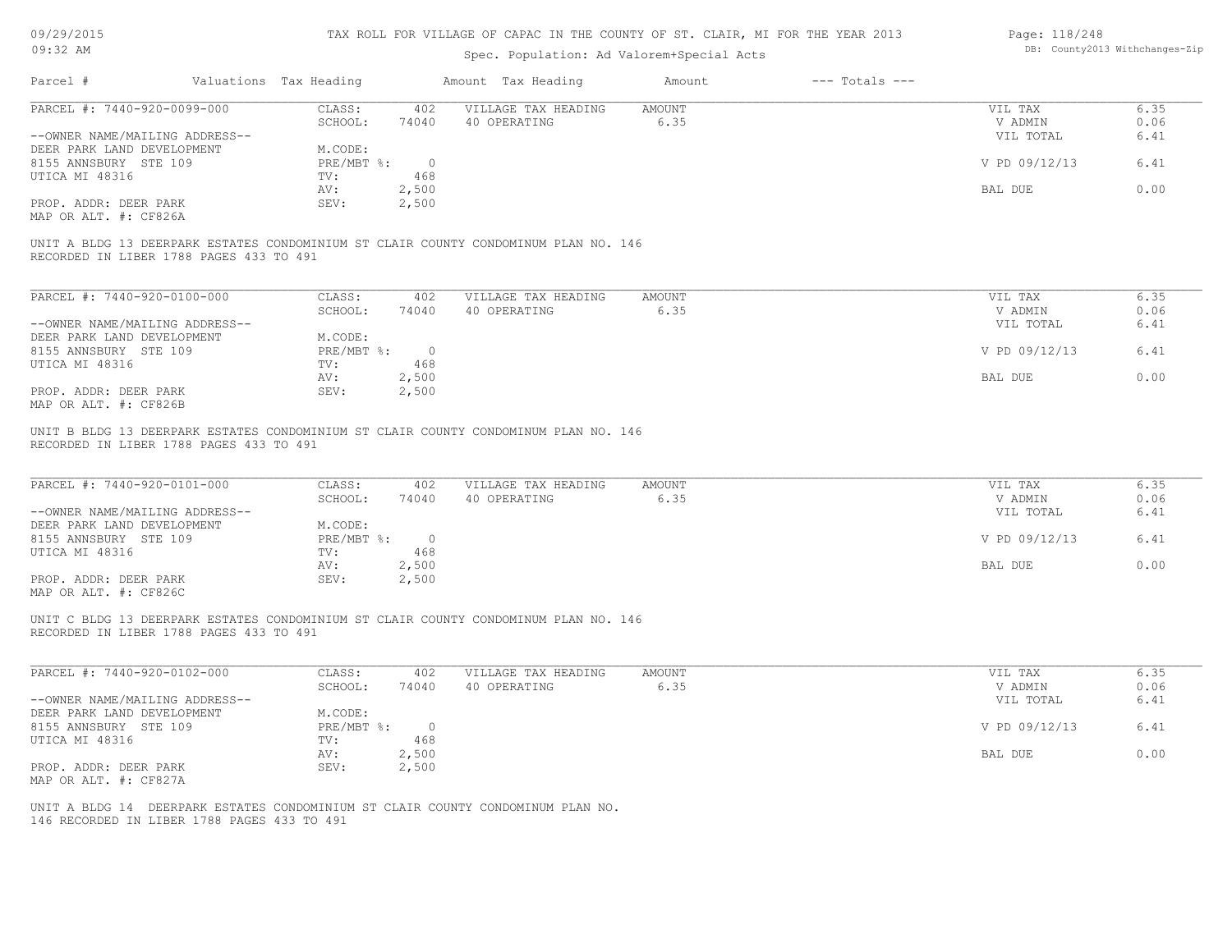| 09/29/2015 |  |
|------------|--|
|------------|--|

| Page: 118/248 |                                |
|---------------|--------------------------------|
|               | DB: County2013 Withchanges-Zip |

| Parcel #<br>Valuations Tax Heading<br>Amount Tax Heading<br>$---$ Totals $---$<br>Amount<br>PARCEL #: 7440-920-0099-000<br>CLASS:<br>VILLAGE TAX HEADING<br>AMOUNT<br>402<br>SCHOOL:<br>74040<br>40 OPERATING<br>6.35<br>--OWNER NAME/MAILING ADDRESS--<br>DEER PARK LAND DEVELOPMENT<br>M.CODE:<br>8155 ANNSBURY STE 109<br>$PRE/MBT$ %:<br>$\overline{\phantom{0}}$<br>468<br>UTICA MI 48316<br>TV:<br>2,500<br>AV:<br>PROP. ADDR: DEER PARK<br>SEV:<br>2,500<br>MAP OR ALT. #: CF826A<br>UNIT A BLDG 13 DEERPARK ESTATES CONDOMINIUM ST CLAIR COUNTY CONDOMINUM PLAN NO. 146<br>RECORDED IN LIBER 1788 PAGES 433 TO 491<br>PARCEL #: 7440-920-0100-000<br>CLASS:<br>402<br>VILLAGE TAX HEADING<br>AMOUNT<br>SCHOOL:<br>40 OPERATING<br>6.35<br>74040<br>--OWNER NAME/MAILING ADDRESS--<br>DEER PARK LAND DEVELOPMENT<br>M.CODE:<br>8155 ANNSBURY STE 109<br>$PRE/MBT$ $\div$ 0<br>468<br>UTICA MI 48316<br>TV:<br>AV:<br>2,500<br>PROP. ADDR: DEER PARK<br>SEV:<br>2,500<br>MAP OR ALT. #: CF826B<br>UNIT B BLDG 13 DEERPARK ESTATES CONDOMINIUM ST CLAIR COUNTY CONDOMINUM PLAN NO. 146<br>RECORDED IN LIBER 1788 PAGES 433 TO 491 | VIL TAX<br>V ADMIN<br>VIL TOTAL<br>V PD 09/12/13<br>BAL DUE<br>VIL TAX<br>V ADMIN<br>VIL TOTAL<br>V PD 09/12/13<br>BAL DUE | 6.35<br>0.06<br>6.41<br>6.41<br>0.00<br>6.35<br>0.06<br>6.41<br>6.41<br>0.00 |
|----------------------------------------------------------------------------------------------------------------------------------------------------------------------------------------------------------------------------------------------------------------------------------------------------------------------------------------------------------------------------------------------------------------------------------------------------------------------------------------------------------------------------------------------------------------------------------------------------------------------------------------------------------------------------------------------------------------------------------------------------------------------------------------------------------------------------------------------------------------------------------------------------------------------------------------------------------------------------------------------------------------------------------------------------------------------------------------------------------------------------------------|----------------------------------------------------------------------------------------------------------------------------|------------------------------------------------------------------------------|
|                                                                                                                                                                                                                                                                                                                                                                                                                                                                                                                                                                                                                                                                                                                                                                                                                                                                                                                                                                                                                                                                                                                                        |                                                                                                                            |                                                                              |
|                                                                                                                                                                                                                                                                                                                                                                                                                                                                                                                                                                                                                                                                                                                                                                                                                                                                                                                                                                                                                                                                                                                                        |                                                                                                                            |                                                                              |
|                                                                                                                                                                                                                                                                                                                                                                                                                                                                                                                                                                                                                                                                                                                                                                                                                                                                                                                                                                                                                                                                                                                                        |                                                                                                                            |                                                                              |
|                                                                                                                                                                                                                                                                                                                                                                                                                                                                                                                                                                                                                                                                                                                                                                                                                                                                                                                                                                                                                                                                                                                                        |                                                                                                                            |                                                                              |
|                                                                                                                                                                                                                                                                                                                                                                                                                                                                                                                                                                                                                                                                                                                                                                                                                                                                                                                                                                                                                                                                                                                                        |                                                                                                                            |                                                                              |
|                                                                                                                                                                                                                                                                                                                                                                                                                                                                                                                                                                                                                                                                                                                                                                                                                                                                                                                                                                                                                                                                                                                                        |                                                                                                                            |                                                                              |
|                                                                                                                                                                                                                                                                                                                                                                                                                                                                                                                                                                                                                                                                                                                                                                                                                                                                                                                                                                                                                                                                                                                                        |                                                                                                                            |                                                                              |
|                                                                                                                                                                                                                                                                                                                                                                                                                                                                                                                                                                                                                                                                                                                                                                                                                                                                                                                                                                                                                                                                                                                                        |                                                                                                                            |                                                                              |
|                                                                                                                                                                                                                                                                                                                                                                                                                                                                                                                                                                                                                                                                                                                                                                                                                                                                                                                                                                                                                                                                                                                                        |                                                                                                                            |                                                                              |
|                                                                                                                                                                                                                                                                                                                                                                                                                                                                                                                                                                                                                                                                                                                                                                                                                                                                                                                                                                                                                                                                                                                                        |                                                                                                                            |                                                                              |
|                                                                                                                                                                                                                                                                                                                                                                                                                                                                                                                                                                                                                                                                                                                                                                                                                                                                                                                                                                                                                                                                                                                                        |                                                                                                                            |                                                                              |
|                                                                                                                                                                                                                                                                                                                                                                                                                                                                                                                                                                                                                                                                                                                                                                                                                                                                                                                                                                                                                                                                                                                                        |                                                                                                                            |                                                                              |
|                                                                                                                                                                                                                                                                                                                                                                                                                                                                                                                                                                                                                                                                                                                                                                                                                                                                                                                                                                                                                                                                                                                                        |                                                                                                                            |                                                                              |
|                                                                                                                                                                                                                                                                                                                                                                                                                                                                                                                                                                                                                                                                                                                                                                                                                                                                                                                                                                                                                                                                                                                                        |                                                                                                                            |                                                                              |
|                                                                                                                                                                                                                                                                                                                                                                                                                                                                                                                                                                                                                                                                                                                                                                                                                                                                                                                                                                                                                                                                                                                                        |                                                                                                                            |                                                                              |
|                                                                                                                                                                                                                                                                                                                                                                                                                                                                                                                                                                                                                                                                                                                                                                                                                                                                                                                                                                                                                                                                                                                                        |                                                                                                                            |                                                                              |
|                                                                                                                                                                                                                                                                                                                                                                                                                                                                                                                                                                                                                                                                                                                                                                                                                                                                                                                                                                                                                                                                                                                                        |                                                                                                                            |                                                                              |
|                                                                                                                                                                                                                                                                                                                                                                                                                                                                                                                                                                                                                                                                                                                                                                                                                                                                                                                                                                                                                                                                                                                                        |                                                                                                                            |                                                                              |
|                                                                                                                                                                                                                                                                                                                                                                                                                                                                                                                                                                                                                                                                                                                                                                                                                                                                                                                                                                                                                                                                                                                                        |                                                                                                                            |                                                                              |
| PARCEL #: 7440-920-0101-000<br>CLASS:<br>402<br>VILLAGE TAX HEADING<br>AMOUNT<br>6.35<br>SCHOOL:<br>74040<br>40 OPERATING<br>--OWNER NAME/MAILING ADDRESS--                                                                                                                                                                                                                                                                                                                                                                                                                                                                                                                                                                                                                                                                                                                                                                                                                                                                                                                                                                            | VIL TAX<br>V ADMIN<br>VIL TOTAL                                                                                            | 6.35<br>0.06<br>6.41                                                         |
| DEER PARK LAND DEVELOPMENT<br>M.CODE:<br>PRE/MBT %: 0<br>8155 ANNSBURY STE 109                                                                                                                                                                                                                                                                                                                                                                                                                                                                                                                                                                                                                                                                                                                                                                                                                                                                                                                                                                                                                                                         | V PD 09/12/13                                                                                                              | 6.41                                                                         |
| UTICA MI 48316<br>TV:<br>468                                                                                                                                                                                                                                                                                                                                                                                                                                                                                                                                                                                                                                                                                                                                                                                                                                                                                                                                                                                                                                                                                                           |                                                                                                                            |                                                                              |
| 2,500<br>AV:                                                                                                                                                                                                                                                                                                                                                                                                                                                                                                                                                                                                                                                                                                                                                                                                                                                                                                                                                                                                                                                                                                                           | BAL DUE                                                                                                                    | 0.00                                                                         |
| PROP. ADDR: DEER PARK<br>SEV:<br>2,500                                                                                                                                                                                                                                                                                                                                                                                                                                                                                                                                                                                                                                                                                                                                                                                                                                                                                                                                                                                                                                                                                                 |                                                                                                                            |                                                                              |
| MAP OR ALT. #: CF826C                                                                                                                                                                                                                                                                                                                                                                                                                                                                                                                                                                                                                                                                                                                                                                                                                                                                                                                                                                                                                                                                                                                  |                                                                                                                            |                                                                              |
| UNIT C BLDG 13 DEERPARK ESTATES CONDOMINIUM ST CLAIR COUNTY CONDOMINUM PLAN NO. 146<br>RECORDED IN LIBER 1788 PAGES 433 TO 491                                                                                                                                                                                                                                                                                                                                                                                                                                                                                                                                                                                                                                                                                                                                                                                                                                                                                                                                                                                                         |                                                                                                                            |                                                                              |
| PARCEL #: 7440-920-0102-000<br>VILLAGE TAX HEADING<br><b>AMOUNT</b><br>CLASS:<br>402                                                                                                                                                                                                                                                                                                                                                                                                                                                                                                                                                                                                                                                                                                                                                                                                                                                                                                                                                                                                                                                   | VIL TAX<br>V ADMIN                                                                                                         | 6.35                                                                         |
| SCHOOL:<br>74040<br>40 OPERATING<br>6.35<br>--OWNER NAME/MAILING ADDRESS--                                                                                                                                                                                                                                                                                                                                                                                                                                                                                                                                                                                                                                                                                                                                                                                                                                                                                                                                                                                                                                                             | VIL TOTAL                                                                                                                  | 0.06<br>6.41                                                                 |
| M.CODE:<br>DEER PARK LAND DEVELOPMENT                                                                                                                                                                                                                                                                                                                                                                                                                                                                                                                                                                                                                                                                                                                                                                                                                                                                                                                                                                                                                                                                                                  |                                                                                                                            |                                                                              |
| 8155 ANNSBURY STE 109<br>PRE/MBT %:<br>$\circ$                                                                                                                                                                                                                                                                                                                                                                                                                                                                                                                                                                                                                                                                                                                                                                                                                                                                                                                                                                                                                                                                                         | V PD 09/12/13                                                                                                              | 6.41                                                                         |
| UTICA MI 48316<br>468<br>TV:                                                                                                                                                                                                                                                                                                                                                                                                                                                                                                                                                                                                                                                                                                                                                                                                                                                                                                                                                                                                                                                                                                           |                                                                                                                            |                                                                              |
| 2,500<br>AV:                                                                                                                                                                                                                                                                                                                                                                                                                                                                                                                                                                                                                                                                                                                                                                                                                                                                                                                                                                                                                                                                                                                           | BAL DUE                                                                                                                    | 0.00                                                                         |
| SEV:<br>2,500<br>PROP. ADDR: DEER PARK<br>MAP OR ALT. #: CF827A                                                                                                                                                                                                                                                                                                                                                                                                                                                                                                                                                                                                                                                                                                                                                                                                                                                                                                                                                                                                                                                                        |                                                                                                                            |                                                                              |
| UNIT A BLDG 14 DEERPARK ESTATES CONDOMINIUM ST CLAIR COUNTY CONDOMINUM PLAN NO.<br>146 RECORDED IN LIBER 1788 PAGES 433 TO 491                                                                                                                                                                                                                                                                                                                                                                                                                                                                                                                                                                                                                                                                                                                                                                                                                                                                                                                                                                                                         |                                                                                                                            |                                                                              |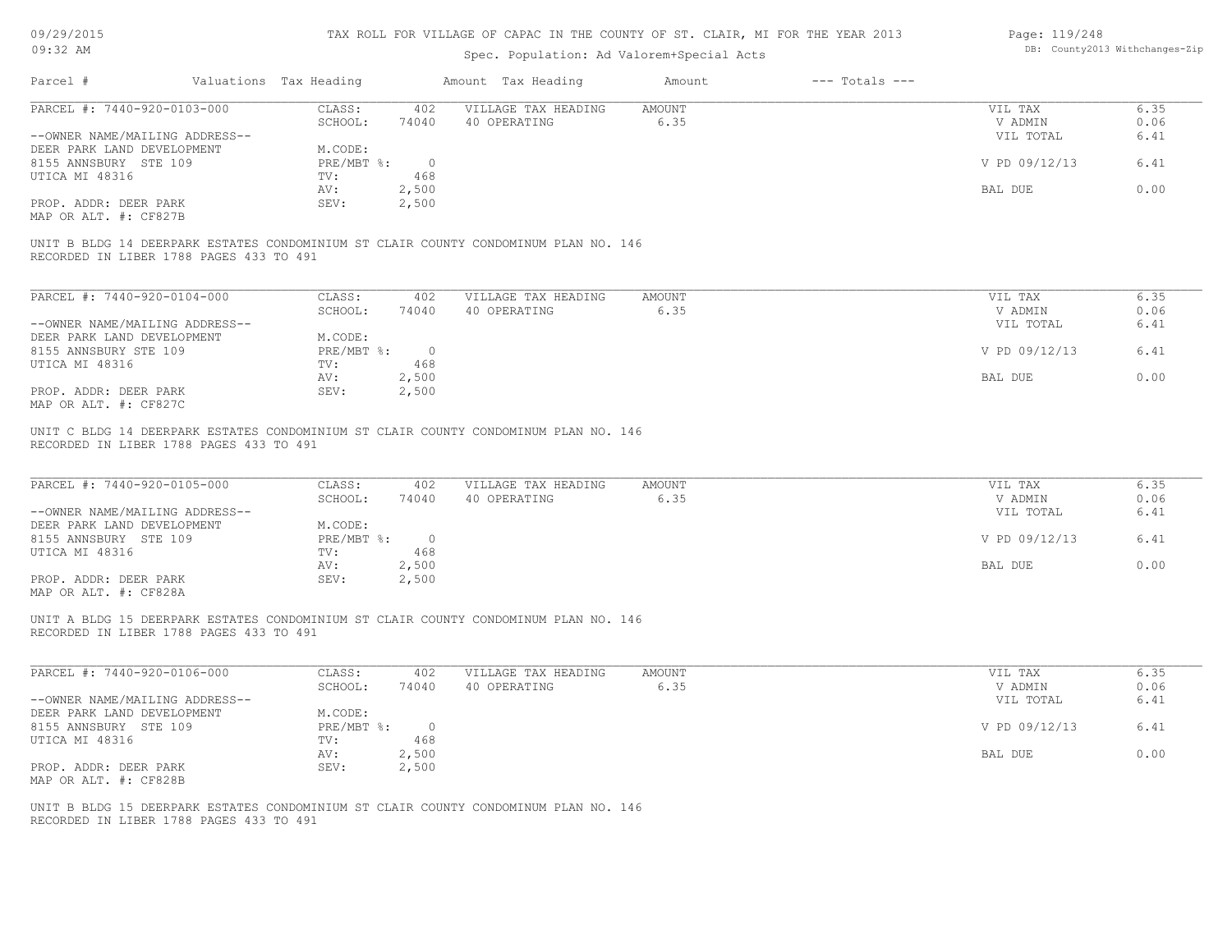| 09/29/2015 |  |
|------------|--|
|------------|--|

| Page: 119/248 |                                |
|---------------|--------------------------------|
|               | DB: County2013 Withchanges-Zij |

| U <i>JI 431 4</i> U 1 J<br>$09:32$ AM                                                       |                                |                       | TAA NULL FUN VILLEAGE UF UAFAU IN INE UUUNII UF 91, ULAIN, MI FUN INE IEAN 2019<br>Spec. Population: Ad Valorem+Special Acts |                       |                    | raye. IIJ/240                   | DB: County2013 Withchanges-Zip |
|---------------------------------------------------------------------------------------------|--------------------------------|-----------------------|------------------------------------------------------------------------------------------------------------------------------|-----------------------|--------------------|---------------------------------|--------------------------------|
| Parcel #                                                                                    | Valuations Tax Heading         |                       | Amount Tax Heading                                                                                                           | Amount                | $---$ Totals $---$ |                                 |                                |
| PARCEL #: 7440-920-0103-000<br>--OWNER NAME/MAILING ADDRESS--                               | CLASS:<br>SCHOOL:              | 402<br>74040          | VILLAGE TAX HEADING<br>40 OPERATING                                                                                          | AMOUNT<br>6.35        |                    | VIL TAX<br>V ADMIN<br>VIL TOTAL | 6.35<br>0.06<br>6.41           |
| DEER PARK LAND DEVELOPMENT<br>8155 ANNSBURY STE 109<br>UTICA MI 48316                       | M.CODE:<br>$PRE/MBT$ %:<br>TV: | $\overline{0}$<br>468 |                                                                                                                              |                       |                    | V PD 09/12/13                   | 6.41                           |
| PROP. ADDR: DEER PARK<br>MAP OR ALT. #: CF827B                                              | AV:<br>SEV:                    | 2,500<br>2,500        |                                                                                                                              |                       |                    | BAL DUE                         | 0.00                           |
| RECORDED IN LIBER 1788 PAGES 433 TO 491                                                     |                                |                       | UNIT B BLDG 14 DEERPARK ESTATES CONDOMINIUM ST CLAIR COUNTY CONDOMINUM PLAN NO. 146                                          |                       |                    |                                 |                                |
| PARCEL #: 7440-920-0104-000                                                                 | CLASS:                         | 402                   | VILLAGE TAX HEADING                                                                                                          | AMOUNT                |                    | VIL TAX                         | 6.35                           |
| --OWNER NAME/MAILING ADDRESS--                                                              | SCHOOL:                        | 74040                 | 40 OPERATING                                                                                                                 | 6.35                  |                    | V ADMIN<br>VIL TOTAL            | 0.06<br>6.41                   |
| DEER PARK LAND DEVELOPMENT<br>8155 ANNSBURY STE 109<br>UTICA MI 48316                       | M.CODE:<br>$PRE/MBT$ %:<br>TV: | $\overline{0}$<br>468 |                                                                                                                              |                       |                    | V PD 09/12/13                   | 6.41                           |
| PROP. ADDR: DEER PARK<br>MAP OR ALT. #: CF827C                                              | AV:<br>SEV:                    | 2,500<br>2,500        |                                                                                                                              |                       |                    | BAL DUE                         | 0.00                           |
| PARCEL #: 7440-920-0105-000<br>--OWNER NAME/MAILING ADDRESS--<br>DEER PARK LAND DEVELOPMENT | CLASS:<br>SCHOOL:<br>M.CODE:   | 402<br>74040          | VILLAGE TAX HEADING<br>40 OPERATING                                                                                          | <b>AMOUNT</b><br>6.35 |                    | VIL TAX<br>V ADMIN<br>VIL TOTAL | 6.35<br>0.06<br>6.41           |
| 8155 ANNSBURY STE 109                                                                       | $PRE/MBT$ %:                   | $\overline{0}$        |                                                                                                                              |                       |                    | V PD 09/12/13                   | 6.41                           |
| UTICA MI 48316<br>PROP. ADDR: DEER PARK                                                     | TV:<br>AV:<br>SEV:             | 468<br>2,500<br>2,500 |                                                                                                                              |                       |                    | BAL DUE                         | 0.00                           |
| MAP OR ALT. #: CF828A                                                                       |                                |                       |                                                                                                                              |                       |                    |                                 |                                |
| RECORDED IN LIBER 1788 PAGES 433 TO 491                                                     |                                |                       | UNIT A BLDG 15 DEERPARK ESTATES CONDOMINIUM ST CLAIR COUNTY CONDOMINUM PLAN NO. 146                                          |                       |                    |                                 |                                |
| PARCEL #: 7440-920-0106-000                                                                 | CLASS:<br>SCHOOL:              | 402<br>74040          | VILLAGE TAX HEADING<br>40 OPERATING                                                                                          | <b>AMOUNT</b><br>6.35 |                    | VIL TAX<br>V ADMIN              | 6.35<br>0.06                   |
| --OWNER NAME/MAILING ADDRESS--<br>DEER PARK LAND DEVELOPMENT                                | M.CODE:                        |                       |                                                                                                                              |                       |                    | VIL TOTAL                       | 6.41                           |
| 8155 ANNSBURY STE 109<br>UTICA MI 48316                                                     | PRE/MBT %:<br>TV:              | $\circ$<br>468        |                                                                                                                              |                       |                    | V PD 09/12/13                   | 6.41                           |
| PROP. ADDR: DEER PARK<br>MAP OR ALT. #: CF828B                                              | AV:<br>SEV:                    | 2,500<br>2,500        |                                                                                                                              |                       |                    | BAL DUE                         | 0.00                           |
| RECORDED IN LIBER 1788 PAGES 433 TO 491                                                     |                                |                       | UNIT B BLDG 15 DEERPARK ESTATES CONDOMINIUM ST CLAIR COUNTY CONDOMINUM PLAN NO. 146                                          |                       |                    |                                 |                                |
|                                                                                             |                                |                       |                                                                                                                              |                       |                    |                                 |                                |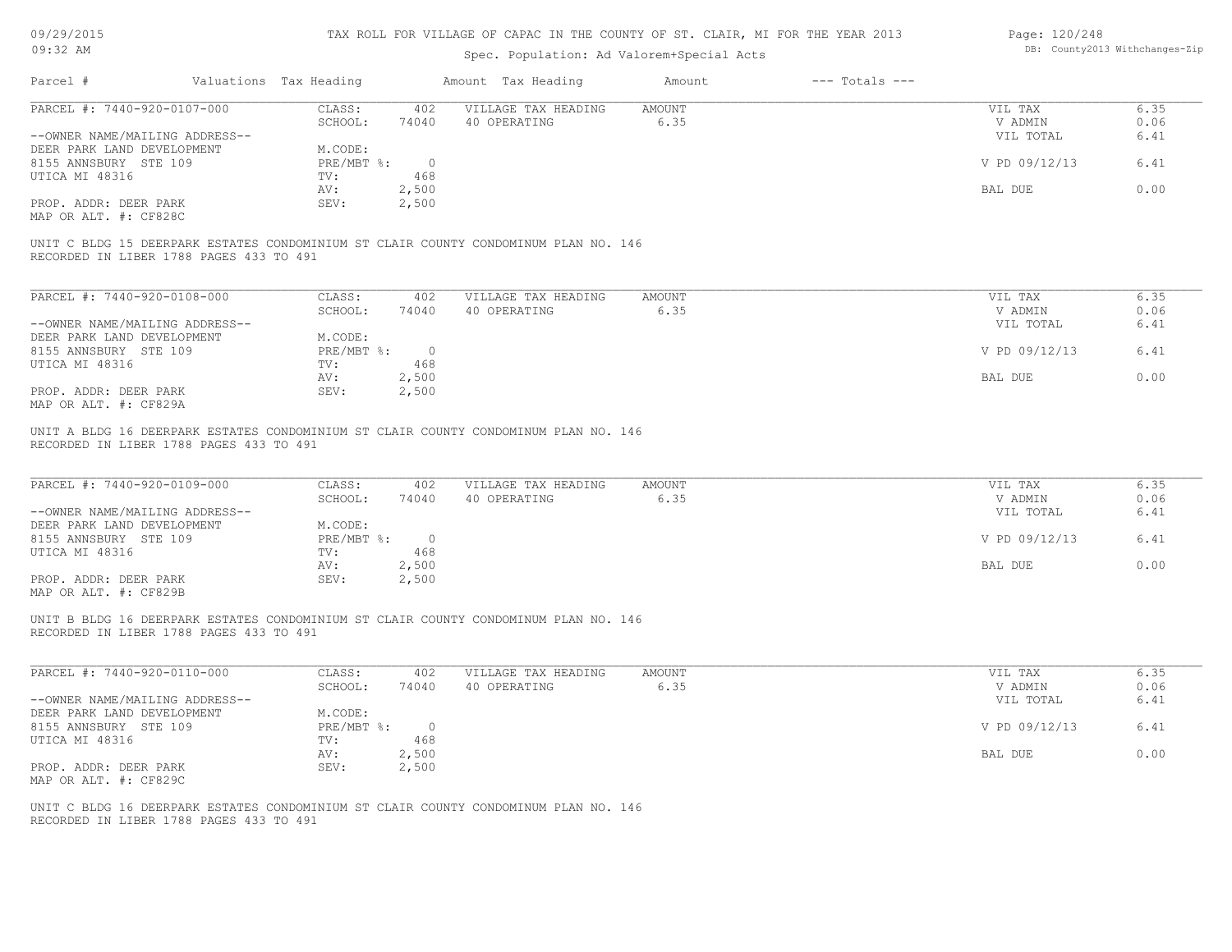| 09/29/2015                                     |                        |                                | TAX ROLL FOR VILLAGE OF CAPAC IN THE COUNTY OF ST. CLAIR, MI FOR THE YEAR 2013      |                |                    | Page: 120/248      |              |  |
|------------------------------------------------|------------------------|--------------------------------|-------------------------------------------------------------------------------------|----------------|--------------------|--------------------|--------------|--|
| $09:32$ AM                                     |                        | DB: County2013 Withchanges-Zip |                                                                                     |                |                    |                    |              |  |
| Parcel #                                       | Valuations Tax Heading |                                | Amount Tax Heading                                                                  | Amount         | $---$ Totals $---$ |                    |              |  |
| PARCEL #: 7440-920-0107-000                    | CLASS:                 | 402                            | VILLAGE TAX HEADING                                                                 | <b>AMOUNT</b>  |                    | VIL TAX            | 6.35         |  |
|                                                | SCHOOL:                | 74040                          | 40 OPERATING                                                                        | 6.35           |                    | V ADMIN            | 0.06         |  |
| --OWNER NAME/MAILING ADDRESS--                 |                        |                                |                                                                                     |                |                    | VIL TOTAL          | 6.41         |  |
| DEER PARK LAND DEVELOPMENT                     | M.CODE:                |                                |                                                                                     |                |                    |                    |              |  |
| 8155 ANNSBURY STE 109                          | PRE/MBT %:             | $\circ$                        |                                                                                     |                |                    | V PD 09/12/13      | 6.41         |  |
| UTICA MI 48316                                 | TV:                    | 468                            |                                                                                     |                |                    |                    |              |  |
|                                                | AV:                    | 2,500                          |                                                                                     |                |                    | BAL DUE            | 0.00         |  |
| PROP. ADDR: DEER PARK<br>MAP OR ALT. #: CF828C | SEV:                   | 2,500                          |                                                                                     |                |                    |                    |              |  |
|                                                |                        |                                | UNIT C BLDG 15 DEERPARK ESTATES CONDOMINIUM ST CLAIR COUNTY CONDOMINUM PLAN NO. 146 |                |                    |                    |              |  |
| RECORDED IN LIBER 1788 PAGES 433 TO 491        |                        |                                |                                                                                     |                |                    |                    |              |  |
| PARCEL #: 7440-920-0108-000                    | CLASS:                 | 402                            | VILLAGE TAX HEADING                                                                 | <b>AMOUNT</b>  |                    | VIL TAX            | 6.35         |  |
|                                                | SCHOOL:                | 74040                          | 40 OPERATING                                                                        | 6.35           |                    | V ADMIN            | 0.06         |  |
| --OWNER NAME/MAILING ADDRESS--                 |                        |                                |                                                                                     |                |                    | VIL TOTAL          | 6.41         |  |
| DEER PARK LAND DEVELOPMENT                     | M.CODE:                |                                |                                                                                     |                |                    |                    |              |  |
| 8155 ANNSBURY STE 109                          | $PRE/MBT$ $\div$       | $\overline{0}$                 |                                                                                     |                |                    | V PD 09/12/13      | 6.41         |  |
| UTICA MI 48316                                 | TV:                    | 468                            |                                                                                     |                |                    |                    |              |  |
|                                                | AV:                    | 2,500                          |                                                                                     |                |                    | BAL DUE            | 0.00         |  |
| PROP. ADDR: DEER PARK                          | SEV:                   | 2,500                          |                                                                                     |                |                    |                    |              |  |
| MAP OR ALT. #: CF829A                          |                        |                                |                                                                                     |                |                    |                    |              |  |
| PARCEL #: 7440-920-0109-000                    | CLASS:<br>SCHOOL:      | 402<br>74040                   | VILLAGE TAX HEADING<br>40 OPERATING                                                 | AMOUNT<br>6.35 |                    | VIL TAX<br>V ADMIN | 6.35<br>0.06 |  |
| --OWNER NAME/MAILING ADDRESS--                 |                        |                                |                                                                                     |                |                    | VIL TOTAL          | 6.41         |  |
| DEER PARK LAND DEVELOPMENT                     | M.CODE:                |                                |                                                                                     |                |                    |                    |              |  |
| 8155 ANNSBURY STE 109                          | $PRE/MBT$ $\div$       | $\overline{\phantom{0}}$       |                                                                                     |                |                    | V PD 09/12/13      | 6.41         |  |
| UTICA MI 48316                                 | TV:                    | 468                            |                                                                                     |                |                    |                    |              |  |
|                                                | AV:                    | 2,500                          |                                                                                     |                |                    | BAL DUE            | 0.00         |  |
| PROP. ADDR: DEER PARK                          | SEV:                   | 2,500                          |                                                                                     |                |                    |                    |              |  |
| MAP OR ALT. #: CF829B                          |                        |                                |                                                                                     |                |                    |                    |              |  |
| RECORDED IN LIBER 1788 PAGES 433 TO 491        |                        |                                | UNIT B BLDG 16 DEERPARK ESTATES CONDOMINIUM ST CLAIR COUNTY CONDOMINUM PLAN NO. 146 |                |                    |                    |              |  |
|                                                |                        |                                |                                                                                     |                |                    |                    |              |  |
| PARCEL #: 7440-920-0110-000                    | CLASS:                 | 402                            | VILLAGE TAX HEADING                                                                 | AMOUNT         |                    | VIL TAX            | 6.35         |  |
|                                                | SCHOOL:                | 74040                          | 40 OPERATING                                                                        | 6.35           |                    | V ADMIN            | 0.06         |  |
| --OWNER NAME/MAILING ADDRESS--                 |                        |                                |                                                                                     |                |                    | VIL TOTAL          | 6.41         |  |
| DEER PARK LAND DEVELOPMENT                     | M.CODE:                |                                |                                                                                     |                |                    |                    |              |  |
| 8155 ANNSBURY STE 109                          | PRE/MBT %: 0           |                                |                                                                                     |                |                    | V PD 09/12/13      | 6.41         |  |
| UTICA MI 48316                                 | TV:                    | 468                            |                                                                                     |                |                    |                    |              |  |
|                                                | AV:                    | 2,500                          |                                                                                     |                |                    | BAL DUE            | 0.00         |  |
| PROP. ADDR: DEER PARK                          | SEV:                   | 2,500                          |                                                                                     |                |                    |                    |              |  |
| MAP OR ALT. #: CF829C                          |                        |                                |                                                                                     |                |                    |                    |              |  |
|                                                |                        |                                | UNIT C BLDG 16 DEERPARK ESTATES CONDOMINIUM ST CLAIR COUNTY CONDOMINUM PLAN NO. 146 |                |                    |                    |              |  |
| RECORDED IN LIBER 1788 PAGES 433 TO 491        |                        |                                |                                                                                     |                |                    |                    |              |  |
|                                                |                        |                                |                                                                                     |                |                    |                    |              |  |
|                                                |                        |                                |                                                                                     |                |                    |                    |              |  |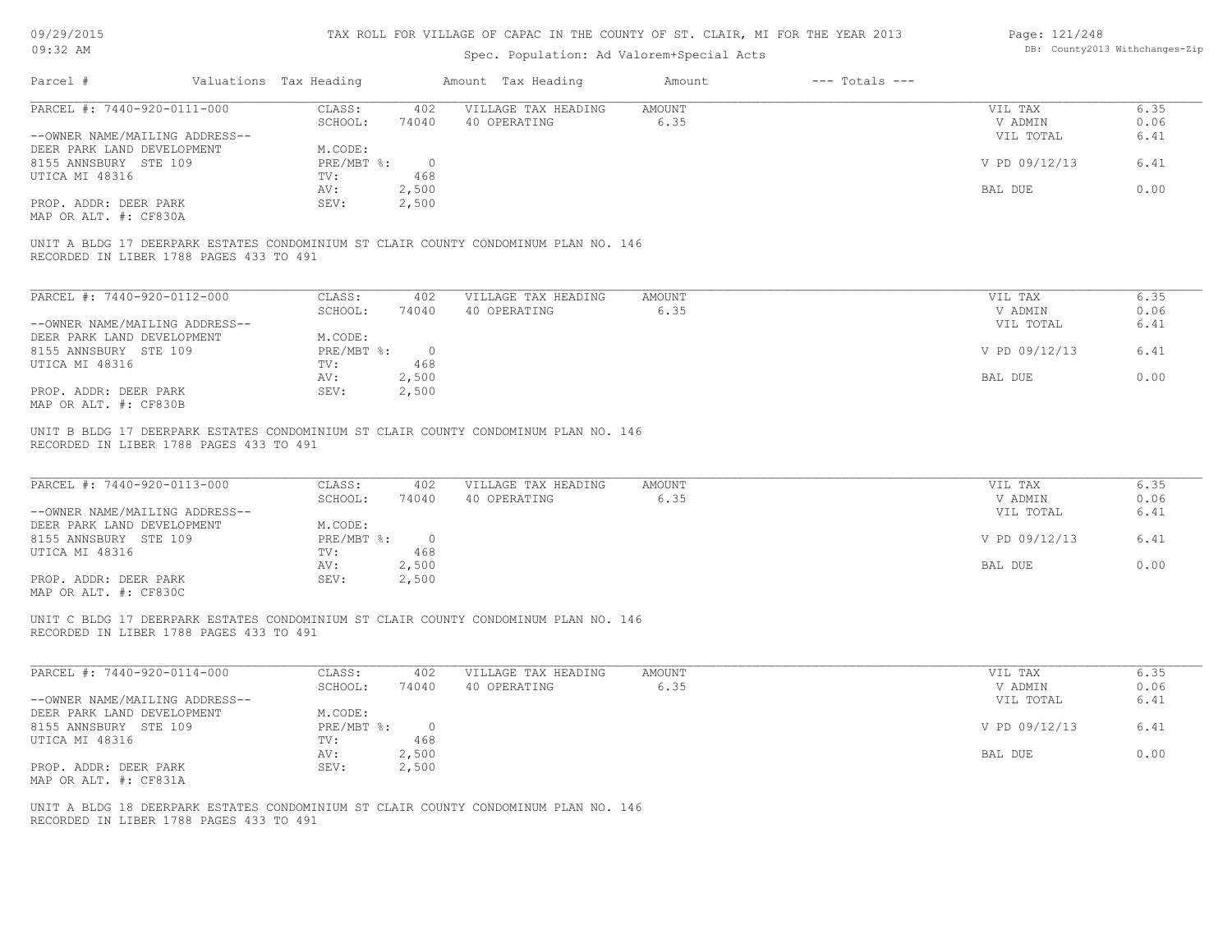| 09/29/2015 |  |
|------------|--|
|------------|--|

| Page: 121/248 |                                |
|---------------|--------------------------------|
|               | DB: County2013 Withchanges-Zip |

| 0.162120120<br>$09:32$ AM                                     |                                         |                           |                       | TUV MARR LOR ATRIVAR AL AUTUO TIA INR COOMIT AL AT ' ARITIA' MI LOM INR TRUM CATA<br>Spec. Population: Ad Valorem+Special Acts |                |                    | Layt. IZI/ZIU                   | DB: County2013 Withchanges-Zip |
|---------------------------------------------------------------|-----------------------------------------|---------------------------|-----------------------|--------------------------------------------------------------------------------------------------------------------------------|----------------|--------------------|---------------------------------|--------------------------------|
| Parcel #                                                      |                                         | Valuations Tax Heading    |                       | Amount Tax Heading                                                                                                             | Amount         | $---$ Totals $---$ |                                 |                                |
| PARCEL #: 7440-920-0111-000<br>--OWNER NAME/MAILING ADDRESS-- |                                         | CLASS:<br>SCHOOL:         | 402<br>74040          | VILLAGE TAX HEADING<br>40 OPERATING                                                                                            | AMOUNT<br>6.35 |                    | VIL TAX<br>V ADMIN<br>VIL TOTAL | 6.35<br>0.06<br>6.41           |
| DEER PARK LAND DEVELOPMENT<br>8155 ANNSBURY STE 109           |                                         | M.CODE:<br>$PRE/MBT$ %:   | $\overline{0}$        |                                                                                                                                |                |                    | V PD 09/12/13                   | 6.41                           |
| UTICA MI 48316<br>PROP. ADDR: DEER PARK                       |                                         | TV:<br>AV:<br>SEV:        | 468<br>2,500<br>2,500 |                                                                                                                                |                |                    | BAL DUE                         | 0.00                           |
| MAP OR ALT. #: CF830A                                         | RECORDED IN LIBER 1788 PAGES 433 TO 491 |                           |                       | UNIT A BLDG 17 DEERPARK ESTATES CONDOMINIUM ST CLAIR COUNTY CONDOMINUM PLAN NO. 146                                            |                |                    |                                 |                                |
|                                                               |                                         |                           |                       |                                                                                                                                |                |                    |                                 |                                |
| PARCEL #: 7440-920-0112-000                                   |                                         | CLASS:<br>SCHOOL:         | 402<br>74040          | VILLAGE TAX HEADING<br>40 OPERATING                                                                                            | AMOUNT<br>6.35 |                    | VIL TAX<br>V ADMIN              | 6.35<br>0.06                   |
| --OWNER NAME/MAILING ADDRESS--<br>DEER PARK LAND DEVELOPMENT  |                                         | M.CODE:                   |                       |                                                                                                                                |                |                    | VIL TOTAL                       | 6.41                           |
| 8155 ANNSBURY STE 109<br>UTICA MI 48316                       |                                         | $PRE/MBT$ $\div$ 0<br>TV: | 468                   |                                                                                                                                |                |                    | V PD 09/12/13                   | 6.41                           |
|                                                               |                                         | AV:                       | 2,500                 |                                                                                                                                |                |                    | BAL DUE                         | 0.00                           |
| PROP. ADDR: DEER PARK<br>MAP OR ALT. #: CF830B                |                                         | SEV:                      | 2,500                 |                                                                                                                                |                |                    |                                 |                                |
| PARCEL #: 7440-920-0113-000<br>--OWNER NAME/MAILING ADDRESS-- | RECORDED IN LIBER 1788 PAGES 433 TO 491 | CLASS:<br>SCHOOL:         | 402<br>74040          | UNIT B BLDG 17 DEERPARK ESTATES CONDOMINIUM ST CLAIR COUNTY CONDOMINUM PLAN NO. 146<br>VILLAGE TAX HEADING<br>40 OPERATING     | AMOUNT<br>6.35 |                    | VIL TAX<br>V ADMIN<br>VIL TOTAL | 6.35<br>0.06<br>6.41           |
| DEER PARK LAND DEVELOPMENT<br>8155 ANNSBURY STE 109           |                                         | M.CODE:<br>PRE/MBT %: 0   |                       |                                                                                                                                |                |                    | V PD 09/12/13                   | 6.41                           |
| UTICA MI 48316                                                |                                         | TV:<br>AV:                | 468<br>2,500          |                                                                                                                                |                |                    | BAL DUE                         | 0.00                           |
| PROP. ADDR: DEER PARK<br>MAP OR ALT. #: CF830C                |                                         | SEV:                      | 2,500                 |                                                                                                                                |                |                    |                                 |                                |
|                                                               | RECORDED IN LIBER 1788 PAGES 433 TO 491 |                           |                       | UNIT C BLDG 17 DEERPARK ESTATES CONDOMINIUM ST CLAIR COUNTY CONDOMINUM PLAN NO. 146                                            |                |                    |                                 |                                |
| PARCEL #: 7440-920-0114-000                                   |                                         | CLASS:                    | 402                   | VILLAGE TAX HEADING                                                                                                            | AMOUNT         |                    | VIL TAX                         | 6.35                           |
| --OWNER NAME/MAILING ADDRESS--                                |                                         | SCHOOL:                   | 74040                 | 40 OPERATING                                                                                                                   | 6.35           |                    | V ADMIN<br>VIL TOTAL            | 0.06<br>6.41                   |
| DEER PARK LAND DEVELOPMENT<br>8155 ANNSBURY STE 109           |                                         | M.CODE:<br>PRE/MBT %:     | $\circ$               |                                                                                                                                |                |                    | V PD 09/12/13                   | 6.41                           |
| UTICA MI 48316                                                |                                         | TV:<br>AV:                | 468<br>2,500          |                                                                                                                                |                |                    | BAL DUE                         | 0.00                           |
| PROP. ADDR: DEER PARK<br>MAP OR ALT. #: CF831A                |                                         | SEV:                      | 2,500                 |                                                                                                                                |                |                    |                                 |                                |
|                                                               | RECORDED IN LIBER 1788 PAGES 433 TO 491 |                           |                       | UNIT A BLDG 18 DEERPARK ESTATES CONDOMINIUM ST CLAIR COUNTY CONDOMINUM PLAN NO. 146                                            |                |                    |                                 |                                |
|                                                               |                                         |                           |                       |                                                                                                                                |                |                    |                                 |                                |
|                                                               |                                         |                           |                       |                                                                                                                                |                |                    |                                 |                                |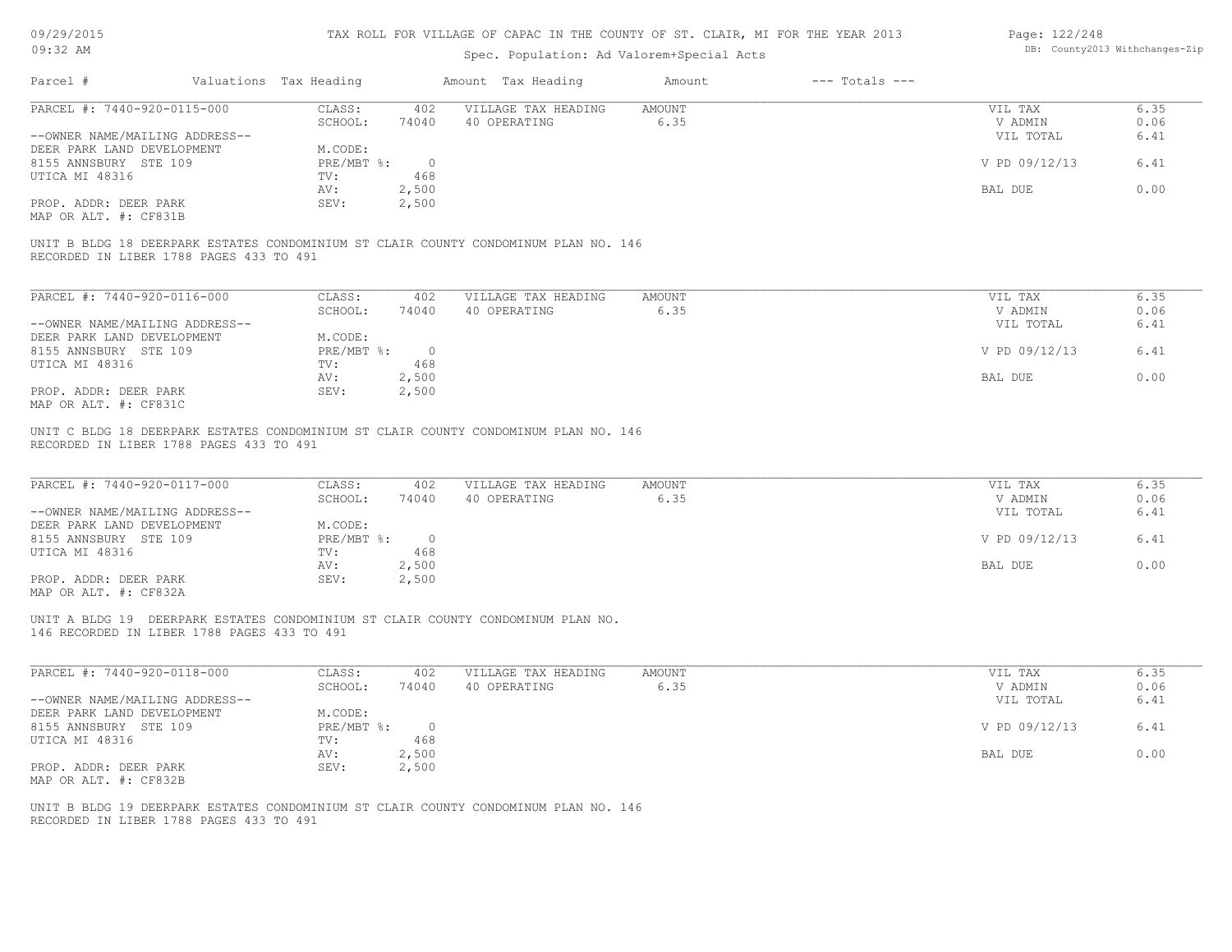| 09/29/2015 |  |
|------------|--|
|------------|--|

| Page: 122/248 |                               |
|---------------|-------------------------------|
|               | DB: County2013 Withchanges-Zi |

| 09/29/2015                                  |                        |                | TAX ROLL FOR VILLAGE OF CAPAC IN THE COUNTY OF ST. CLAIR, MI FOR THE YEAR 2013      |                       |                    | Page: 122/248      |              |
|---------------------------------------------|------------------------|----------------|-------------------------------------------------------------------------------------|-----------------------|--------------------|--------------------|--------------|
| 09:32 AM                                    |                        |                | DB: County2013 Withchanges-Zip                                                      |                       |                    |                    |              |
| Parcel #                                    | Valuations Tax Heading |                | Amount Tax Heading                                                                  | Amount                | $---$ Totals $---$ |                    |              |
| PARCEL #: 7440-920-0115-000                 | CLASS:                 | 402            | VILLAGE TAX HEADING                                                                 | <b>AMOUNT</b>         |                    | VIL TAX            | 6.35         |
|                                             | SCHOOL:                | 74040          | 40 OPERATING                                                                        | 6.35                  |                    | V ADMIN            | 0.06         |
| --OWNER NAME/MAILING ADDRESS--              |                        |                |                                                                                     |                       |                    | VIL TOTAL          | 6.41         |
| DEER PARK LAND DEVELOPMENT                  | M.CODE:                |                |                                                                                     |                       |                    |                    |              |
| 8155 ANNSBURY STE 109                       | $PRE/MBT$ $\div$       | $\overline{0}$ |                                                                                     |                       |                    | V PD 09/12/13      | 6.41         |
| UTICA MI 48316                              | TV:                    | 468            |                                                                                     |                       |                    |                    |              |
|                                             | AV:                    | 2,500          |                                                                                     |                       |                    | BAL DUE            | 0.00         |
| PROP. ADDR: DEER PARK                       | SEV:                   | 2,500          |                                                                                     |                       |                    |                    |              |
| MAP OR ALT. #: CF831B                       |                        |                |                                                                                     |                       |                    |                    |              |
| RECORDED IN LIBER 1788 PAGES 433 TO 491     |                        |                | UNIT B BLDG 18 DEERPARK ESTATES CONDOMINIUM ST CLAIR COUNTY CONDOMINUM PLAN NO. 146 |                       |                    |                    |              |
| PARCEL #: 7440-920-0116-000                 | CLASS:                 | 402            | VILLAGE TAX HEADING                                                                 | AMOUNT                |                    | VIL TAX            | 6.35         |
|                                             | SCHOOL:                | 74040          | 40 OPERATING                                                                        | 6.35                  |                    | V ADMIN            | 0.06         |
| --OWNER NAME/MAILING ADDRESS--              |                        |                |                                                                                     |                       |                    | VIL TOTAL          | 6.41         |
| DEER PARK LAND DEVELOPMENT                  | M.CODE:                |                |                                                                                     |                       |                    |                    |              |
| 8155 ANNSBURY STE 109                       | PRE/MBT %:             | $\overline{0}$ |                                                                                     |                       |                    | V PD 09/12/13      | 6.41         |
| UTICA MI 48316                              | TV:                    | 468            |                                                                                     |                       |                    |                    |              |
|                                             | AV:                    | 2,500          |                                                                                     |                       |                    | BAL DUE            | 0.00         |
| PROP. ADDR: DEER PARK                       | SEV:                   | 2,500          |                                                                                     |                       |                    |                    |              |
| MAP OR ALT. #: CF831C                       |                        |                |                                                                                     |                       |                    |                    |              |
| PARCEL #: 7440-920-0117-000                 | CLASS:<br>SCHOOL:      | 402<br>74040   | VILLAGE TAX HEADING<br>40 OPERATING                                                 | <b>AMOUNT</b><br>6.35 |                    | VIL TAX<br>V ADMIN | 6.35<br>0.06 |
| --OWNER NAME/MAILING ADDRESS--              |                        |                |                                                                                     |                       |                    | VIL TOTAL          | 6.41         |
| DEER PARK LAND DEVELOPMENT                  | M.CODE:                |                |                                                                                     |                       |                    |                    |              |
| 8155 ANNSBURY STE 109                       | $PRE/MBT$ $\div$       | $\overline{0}$ |                                                                                     |                       |                    | V PD 09/12/13      | 6.41         |
| UTICA MI 48316                              | TV:                    | 468            |                                                                                     |                       |                    |                    |              |
|                                             | AV:                    | 2,500          |                                                                                     |                       |                    | BAL DUE            | 0.00         |
| PROP. ADDR: DEER PARK                       | SEV:                   | 2,500          |                                                                                     |                       |                    |                    |              |
| MAP OR ALT. #: CF832A                       |                        |                |                                                                                     |                       |                    |                    |              |
| 146 RECORDED IN LIBER 1788 PAGES 433 TO 491 |                        |                | UNIT A BLDG 19 DEERPARK ESTATES CONDOMINIUM ST CLAIR COUNTY CONDOMINUM PLAN NO.     |                       |                    |                    |              |
| PARCEL #: 7440-920-0118-000                 | CLASS:                 | 402            | VILLAGE TAX HEADING                                                                 | AMOUNT                |                    | VIL TAX            | 6.35         |
|                                             | SCHOOL:                | 74040          | 40 OPERATING                                                                        | 6.35                  |                    | V ADMIN            | 0.06         |
| --OWNER NAME/MAILING ADDRESS--              |                        |                |                                                                                     |                       |                    | VIL TOTAL          | 6.41         |
| DEER PARK LAND DEVELOPMENT                  | M.CODE:                |                |                                                                                     |                       |                    |                    |              |
| 8155 ANNSBURY STE 109                       |                        | PRE/MBT %: 0   |                                                                                     |                       |                    | V PD 09/12/13      | 6.41         |
| UTICA MI 48316                              | TV:                    | 468            |                                                                                     |                       |                    |                    |              |
|                                             | AV:                    | 2,500          |                                                                                     |                       |                    | BAL DUE            | 0.00         |
| PROP. ADDR: DEER PARK                       | SEV:                   | 2,500          |                                                                                     |                       |                    |                    |              |
| MAP OR ALT. #: CF832B                       |                        |                |                                                                                     |                       |                    |                    |              |
|                                             |                        |                |                                                                                     |                       |                    |                    |              |
|                                             |                        |                | UNIT B BLDG 19 DEERPARK ESTATES CONDOMINIUM ST CLAIR COUNTY CONDOMINUM PLAN NO. 146 |                       |                    |                    |              |
| RECORDED IN LIBER 1788 PAGES 433 TO 491     |                        |                |                                                                                     |                       |                    |                    |              |
|                                             |                        |                |                                                                                     |                       |                    |                    |              |
|                                             |                        |                |                                                                                     |                       |                    |                    |              |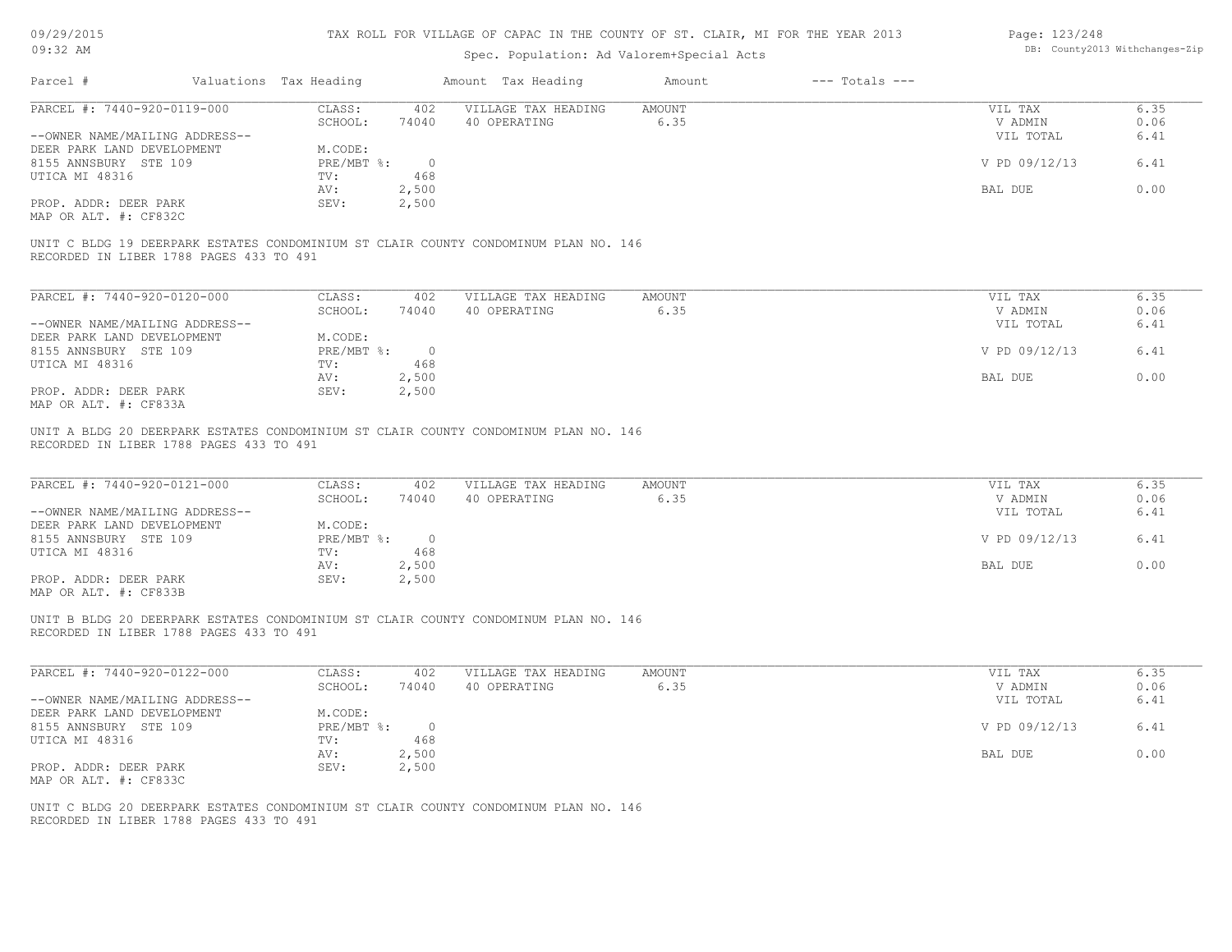| 09/29/2015 |  |
|------------|--|
|------------|--|

| Page: 123/248 |                                |
|---------------|--------------------------------|
|               | DB: County2013 Withchanges-Zij |

| 0J/ZJ/ZULJ<br>$09:32$ AM                                                                                                               |                                                                            | TUV MARR LOR ATRIVAR AL AUTUO TIA INR COOMIT AL AT ' ARITIA' MI LOM INR TRUM CATA<br>Spec. Population: Ad Valorem+Special Acts |                |                    | Layt. ILJ/LEU                                    | DB: County2013 Withchanges-Zip |
|----------------------------------------------------------------------------------------------------------------------------------------|----------------------------------------------------------------------------|--------------------------------------------------------------------------------------------------------------------------------|----------------|--------------------|--------------------------------------------------|--------------------------------|
| Parcel #                                                                                                                               | Valuations Tax Heading                                                     | Amount Tax Heading                                                                                                             | Amount         | $---$ Totals $---$ |                                                  |                                |
| PARCEL #: 7440-920-0119-000<br>--OWNER NAME/MAILING ADDRESS--                                                                          | CLASS:<br>402<br>SCHOOL:<br>74040                                          | VILLAGE TAX HEADING<br>40 OPERATING                                                                                            | AMOUNT<br>6.35 |                    | VIL TAX<br>V ADMIN<br>VIL TOTAL                  | 6.35<br>0.06<br>6.41           |
| DEER PARK LAND DEVELOPMENT<br>8155 ANNSBURY STE 109                                                                                    | M.CODE:<br>$PRE/MBT$ %:<br>$\overline{0}$                                  |                                                                                                                                |                |                    | V PD 09/12/13                                    | 6.41                           |
| UTICA MI 48316<br>PROP. ADDR: DEER PARK                                                                                                | 468<br>TV:<br>2,500<br>AV:<br>2,500<br>SEV:                                |                                                                                                                                |                |                    | BAL DUE                                          | 0.00                           |
| MAP OR ALT. #: CF832C                                                                                                                  |                                                                            |                                                                                                                                |                |                    |                                                  |                                |
| UNIT C BLDG 19 DEERPARK ESTATES CONDOMINIUM ST CLAIR COUNTY CONDOMINUM PLAN NO. 146<br>RECORDED IN LIBER 1788 PAGES 433 TO 491         |                                                                            |                                                                                                                                |                |                    |                                                  |                                |
| PARCEL #: 7440-920-0120-000                                                                                                            | CLASS:<br>402                                                              | VILLAGE TAX HEADING                                                                                                            | AMOUNT         |                    | VIL TAX                                          | 6.35                           |
| --OWNER NAME/MAILING ADDRESS--                                                                                                         | SCHOOL:<br>74040                                                           | 40 OPERATING                                                                                                                   | 6.35           |                    | V ADMIN<br>VIL TOTAL                             | 0.06<br>6.41                   |
| DEER PARK LAND DEVELOPMENT<br>8155 ANNSBURY STE 109<br>UTICA MI 48316                                                                  | M.CODE:<br>$PRE/MBT$ $\div$ 0<br>468<br>TV:                                |                                                                                                                                |                |                    | V PD 09/12/13                                    | 6.41                           |
| PROP. ADDR: DEER PARK                                                                                                                  | 2,500<br>AV:<br>SEV:<br>2,500                                              |                                                                                                                                |                |                    | BAL DUE                                          | 0.00                           |
| PARCEL #: 7440-920-0121-000<br>--OWNER NAME/MAILING ADDRESS--<br>DEER PARK LAND DEVELOPMENT<br>8155 ANNSBURY STE 109<br>UTICA MI 48316 | 402<br>CLASS:<br>SCHOOL:<br>74040<br>M.CODE:<br>PRE/MBT %: 0<br>TV:<br>468 | VILLAGE TAX HEADING<br>40 OPERATING                                                                                            | AMOUNT<br>6.35 |                    | VIL TAX<br>V ADMIN<br>VIL TOTAL<br>V PD 09/12/13 | 6.35<br>0.06<br>6.41<br>6.41   |
| PROP. ADDR: DEER PARK<br>MAP OR ALT. #: CF833B                                                                                         | 2,500<br>AV:<br>SEV:<br>2,500                                              |                                                                                                                                |                |                    | BAL DUE                                          | 0.00                           |
| UNIT B BLDG 20 DEERPARK ESTATES CONDOMINIUM ST CLAIR COUNTY CONDOMINUM PLAN NO. 146<br>RECORDED IN LIBER 1788 PAGES 433 TO 491         |                                                                            |                                                                                                                                |                |                    |                                                  |                                |
| PARCEL #: 7440-920-0122-000                                                                                                            | CLASS:<br>402<br>SCHOOL:<br>74040                                          | VILLAGE TAX HEADING<br>40 OPERATING                                                                                            | AMOUNT<br>6.35 |                    | VIL TAX<br>V ADMIN                               | 6.35<br>0.06                   |
| --OWNER NAME/MAILING ADDRESS--<br>DEER PARK LAND DEVELOPMENT<br>8155 ANNSBURY STE 109                                                  | M.CODE:<br>PRE/MBT %:<br>$\circ$                                           |                                                                                                                                |                |                    | VIL TOTAL<br>V PD 09/12/13                       | 6.41<br>6.41                   |
| UTICA MI 48316                                                                                                                         | 468<br>TV:<br>AV:<br>2,500                                                 |                                                                                                                                |                |                    | BAL DUE                                          | 0.00                           |
| PROP. ADDR: DEER PARK<br>MAP OR ALT. #: CF833C                                                                                         | SEV:<br>2,500                                                              |                                                                                                                                |                |                    |                                                  |                                |
| UNIT C BLDG 20 DEERPARK ESTATES CONDOMINIUM ST CLAIR COUNTY CONDOMINUM PLAN NO. 146<br>RECORDED IN LIBER 1788 PAGES 433 TO 491         |                                                                            |                                                                                                                                |                |                    |                                                  |                                |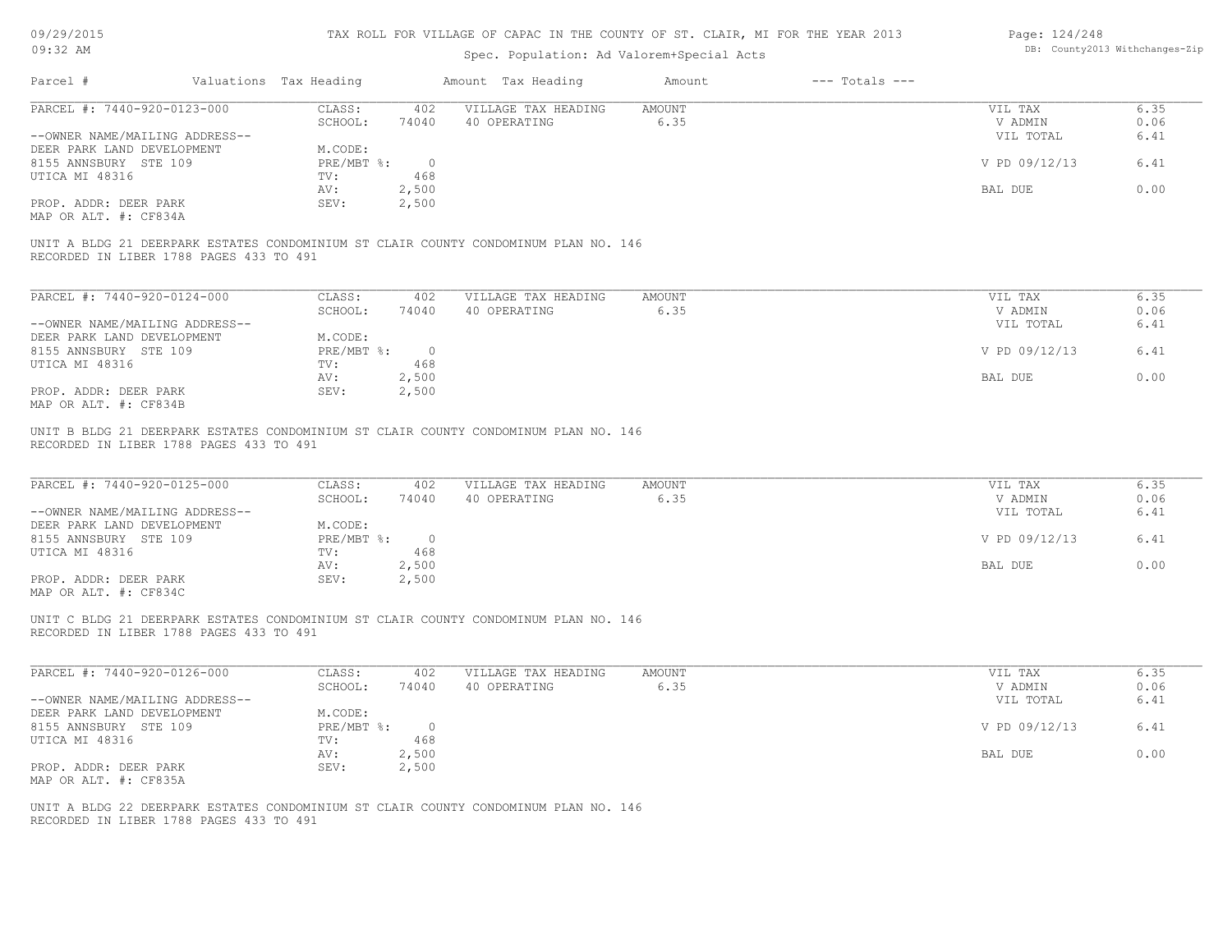| 09/29/2015 |  |
|------------|--|
|------------|--|

| Page: 124/248 |                               |
|---------------|-------------------------------|
|               | DB: County2013 Withchanges-Zi |

| 09/29/2015                              |                                         |                        |                | TAX ROLL FOR VILLAGE OF CAPAC IN THE COUNTY OF ST. CLAIR, MI FOR THE YEAR 2013      |                |                    | Page: 124/248        |              |
|-----------------------------------------|-----------------------------------------|------------------------|----------------|-------------------------------------------------------------------------------------|----------------|--------------------|----------------------|--------------|
| $09:32$ AM                              |                                         |                        |                | DB: County2013 Withchanges-Zip                                                      |                |                    |                      |              |
| Parcel #                                |                                         | Valuations Tax Heading |                | Amount Tax Heading                                                                  | Amount         | $---$ Totals $---$ |                      |              |
| PARCEL #: 7440-920-0123-000             |                                         | CLASS:                 | 402            | VILLAGE TAX HEADING                                                                 | <b>AMOUNT</b>  |                    | VIL TAX              | 6.35         |
|                                         |                                         | SCHOOL:                | 74040          | 40 OPERATING                                                                        | 6.35           |                    | V ADMIN              | 0.06         |
| --OWNER NAME/MAILING ADDRESS--          |                                         |                        |                |                                                                                     |                |                    | VIL TOTAL            | 6.41         |
| DEER PARK LAND DEVELOPMENT              |                                         | M.CODE:                |                |                                                                                     |                |                    |                      |              |
| 8155 ANNSBURY STE 109                   |                                         | PRE/MBT %:             | $\overline{0}$ |                                                                                     |                |                    | V PD 09/12/13        | 6.41         |
| UTICA MI 48316                          |                                         | TV:                    | 468            |                                                                                     |                |                    |                      | 0.00         |
| PROP. ADDR: DEER PARK                   |                                         | AV:<br>SEV:            | 2,500<br>2,500 |                                                                                     |                |                    | BAL DUE              |              |
| MAP OR ALT. #: CF834A                   |                                         |                        |                |                                                                                     |                |                    |                      |              |
|                                         | RECORDED IN LIBER 1788 PAGES 433 TO 491 |                        |                | UNIT A BLDG 21 DEERPARK ESTATES CONDOMINIUM ST CLAIR COUNTY CONDOMINUM PLAN NO. 146 |                |                    |                      |              |
|                                         |                                         |                        |                |                                                                                     |                |                    |                      |              |
| PARCEL #: 7440-920-0124-000             |                                         | CLASS:                 | 402            | VILLAGE TAX HEADING                                                                 | <b>AMOUNT</b>  |                    | VIL TAX              | 6.35         |
| --OWNER NAME/MAILING ADDRESS--          |                                         | SCHOOL:                | 74040          | 40 OPERATING                                                                        | 6.35           |                    | V ADMIN<br>VIL TOTAL | 0.06<br>6.41 |
| DEER PARK LAND DEVELOPMENT              |                                         | M.CODE:                |                |                                                                                     |                |                    |                      |              |
| 8155 ANNSBURY STE 109                   |                                         | $PRE/MBT$ $\div$       | $\overline{0}$ |                                                                                     |                |                    | V PD 09/12/13        | 6.41         |
| UTICA MI 48316                          |                                         | TV:                    | 468            |                                                                                     |                |                    |                      |              |
|                                         |                                         | AV:                    | 2,500          |                                                                                     |                |                    | BAL DUE              | 0.00         |
| PROP. ADDR: DEER PARK                   |                                         | SEV:                   | 2,500          |                                                                                     |                |                    |                      |              |
| MAP OR ALT. #: CF834B                   |                                         |                        |                |                                                                                     |                |                    |                      |              |
| PARCEL #: 7440-920-0125-000             |                                         | CLASS:<br>SCHOOL:      | 402<br>74040   | VILLAGE TAX HEADING<br>40 OPERATING                                                 | AMOUNT<br>6.35 |                    | VIL TAX<br>V ADMIN   | 6.35<br>0.06 |
| --OWNER NAME/MAILING ADDRESS--          |                                         |                        |                |                                                                                     |                |                    | VIL TOTAL            | 6.41         |
| DEER PARK LAND DEVELOPMENT              |                                         | M.CODE:                |                |                                                                                     |                |                    |                      |              |
| 8155 ANNSBURY STE 109                   |                                         | $PRE/MBT$ $\div$       | $\overline{0}$ |                                                                                     |                |                    | V PD 09/12/13        | 6.41         |
| UTICA MI 48316                          |                                         | TV:                    | 468            |                                                                                     |                |                    |                      |              |
|                                         |                                         | AV:                    | 2,500          |                                                                                     |                |                    | BAL DUE              | 0.00         |
| PROP. ADDR: DEER PARK                   |                                         | SEV:                   | 2,500          |                                                                                     |                |                    |                      |              |
| MAP OR ALT. #: CF834C                   |                                         |                        |                |                                                                                     |                |                    |                      |              |
|                                         | RECORDED IN LIBER 1788 PAGES 433 TO 491 |                        |                | UNIT C BLDG 21 DEERPARK ESTATES CONDOMINIUM ST CLAIR COUNTY CONDOMINUM PLAN NO. 146 |                |                    |                      |              |
| PARCEL #: 7440-920-0126-000             |                                         | CLASS:                 | 402            | VILLAGE TAX HEADING                                                                 | AMOUNT         |                    | VIL TAX              | 6.35         |
|                                         |                                         | SCHOOL:                | 74040          | 40 OPERATING                                                                        | 6.35           |                    | V ADMIN              | 0.06         |
| --OWNER NAME/MAILING ADDRESS--          |                                         |                        |                |                                                                                     |                |                    | VIL TOTAL            | 6.41         |
| DEER PARK LAND DEVELOPMENT              |                                         | M.CODE:                |                |                                                                                     |                |                    |                      |              |
| 8155 ANNSBURY STE 109<br>UTICA MI 48316 |                                         | $PRE/MBT$ $\div$ 0     |                |                                                                                     |                |                    | V PD 09/12/13        | 6.41         |
|                                         |                                         | TV:<br>AV:             | 468<br>2,500   |                                                                                     |                |                    | BAL DUE              | 0.00         |
| PROP. ADDR: DEER PARK                   |                                         | SEV:                   | 2,500          |                                                                                     |                |                    |                      |              |
| MAP OR ALT. #: CF835A                   |                                         |                        |                |                                                                                     |                |                    |                      |              |
|                                         |                                         |                        |                |                                                                                     |                |                    |                      |              |
|                                         | RECORDED IN LIBER 1788 PAGES 433 TO 491 |                        |                | UNIT A BLDG 22 DEERPARK ESTATES CONDOMINIUM ST CLAIR COUNTY CONDOMINUM PLAN NO. 146 |                |                    |                      |              |
|                                         |                                         |                        |                |                                                                                     |                |                    |                      |              |
|                                         |                                         |                        |                |                                                                                     |                |                    |                      |              |
|                                         |                                         |                        |                |                                                                                     |                |                    |                      |              |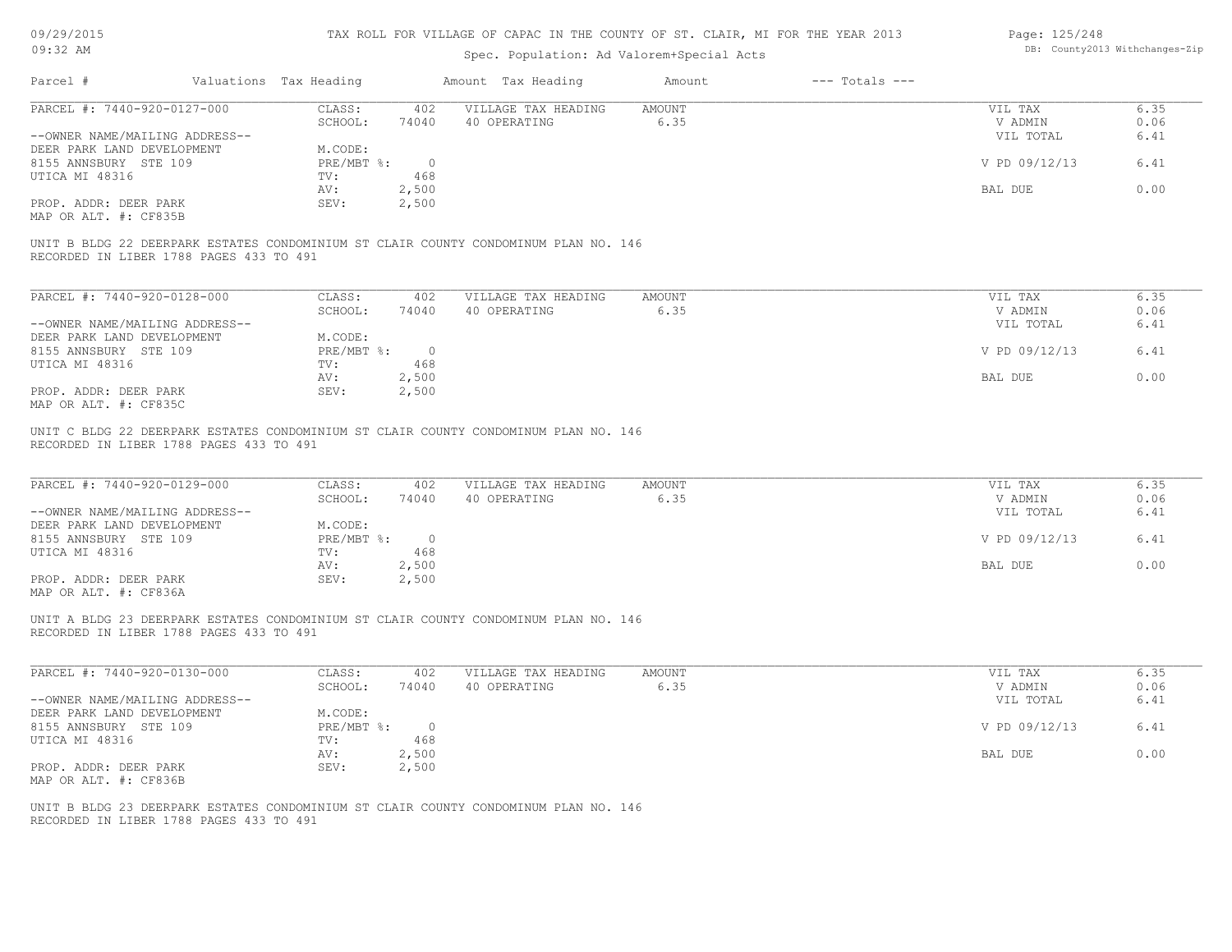| 09/29/2015 |  |
|------------|--|
|------------|--|

| Page: 125/248 |                                |
|---------------|--------------------------------|
|               | DB: County2013 Withchanges-Zij |

| $---$ Totals $---$<br>Amount Tax Heading<br>Amount<br>VILLAGE TAX HEADING<br>AMOUNT<br>402<br>40 OPERATING<br>6.35<br>74040<br>$\overline{\phantom{0}}$<br>468<br>2,500 | VIL TAX<br>V ADMIN<br>VIL TOTAL<br>V PD 09/12/13                                                                            | 6.35<br>0.06<br>6.41<br>6.41 |
|-------------------------------------------------------------------------------------------------------------------------------------------------------------------------|-----------------------------------------------------------------------------------------------------------------------------|------------------------------|
|                                                                                                                                                                         |                                                                                                                             |                              |
|                                                                                                                                                                         |                                                                                                                             |                              |
|                                                                                                                                                                         |                                                                                                                             |                              |
| 2,500                                                                                                                                                                   | BAL DUE                                                                                                                     | 0.00                         |
| UNIT B BLDG 22 DEERPARK ESTATES CONDOMINIUM ST CLAIR COUNTY CONDOMINUM PLAN NO. 146                                                                                     |                                                                                                                             |                              |
| 402<br>VILLAGE TAX HEADING<br>AMOUNT                                                                                                                                    | VIL TAX                                                                                                                     | 6.35                         |
| 6.35<br>74040<br>40 OPERATING                                                                                                                                           | V ADMIN<br>VIL TOTAL                                                                                                        | 0.06<br>6.41                 |
| $\overline{0}$                                                                                                                                                          | V PD 09/12/13                                                                                                               | 6.41                         |
| 2,500<br>2,500                                                                                                                                                          | BAL DUE                                                                                                                     | 0.00                         |
| VILLAGE TAX HEADING<br><b>AMOUNT</b><br>402<br>6.35<br>74040<br>40 OPERATING                                                                                            | VIL TAX<br>V ADMIN<br>VIL TOTAL                                                                                             | 6.35<br>0.06<br>6.41         |
| $\overline{0}$<br>468                                                                                                                                                   | V PD 09/12/13                                                                                                               | 6.41                         |
| 2,500<br>2,500                                                                                                                                                          | BAL DUE                                                                                                                     | 0.00                         |
| UNIT A BLDG 23 DEERPARK ESTATES CONDOMINIUM ST CLAIR COUNTY CONDOMINUM PLAN NO. 146                                                                                     |                                                                                                                             |                              |
| 402<br>VILLAGE TAX HEADING<br><b>AMOUNT</b>                                                                                                                             | VIL TAX                                                                                                                     | 6.35                         |
|                                                                                                                                                                         | VIL TOTAL                                                                                                                   | 0.06<br>6.41                 |
| $\circ$<br>468                                                                                                                                                          | V PD 09/12/13                                                                                                               | 6.41                         |
|                                                                                                                                                                         | BAL DUE                                                                                                                     | 0.00                         |
|                                                                                                                                                                         | 468<br>UNIT C BLDG 22 DEERPARK ESTATES CONDOMINIUM ST CLAIR COUNTY CONDOMINUM PLAN NO. 146<br>74040<br>40 OPERATING<br>6.35 | V ADMIN                      |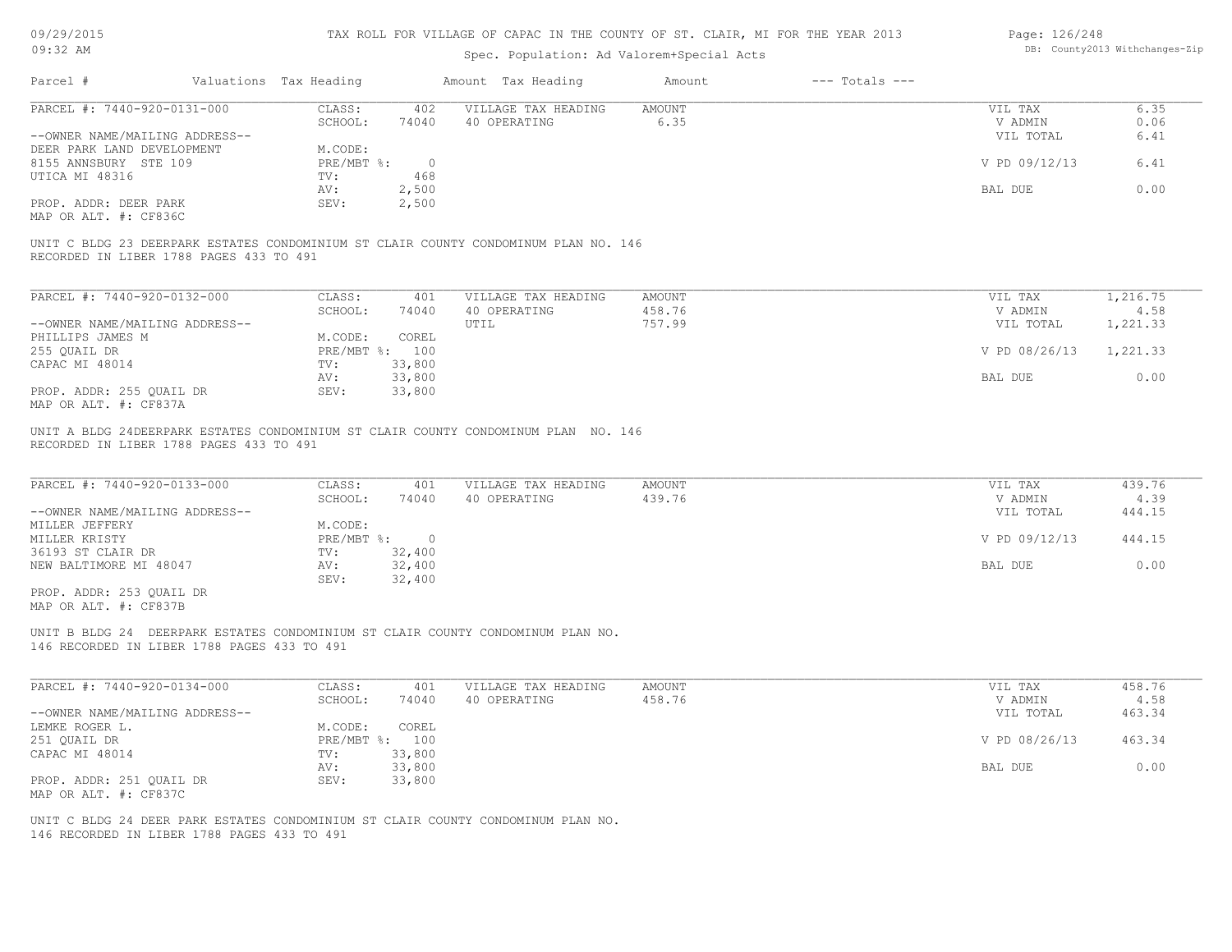09/29/2015

| Page: 126/248 |                                |
|---------------|--------------------------------|
|               | DB: County2013 Withchanges-Zip |

| 09:32 AM                                                                                                                                        |                        |                                                          | Spec. Population: Ad Valorem+Special Acts          | DB: County2013 Withchanges-Zip                                                      |                  |                    |                                                             |                                            |
|-------------------------------------------------------------------------------------------------------------------------------------------------|------------------------|----------------------------------------------------------|----------------------------------------------------|-------------------------------------------------------------------------------------|------------------|--------------------|-------------------------------------------------------------|--------------------------------------------|
| Parcel #                                                                                                                                        | Valuations Tax Heading |                                                          |                                                    | Amount Tax Heading                                                                  | Amount           | $---$ Totals $---$ |                                                             |                                            |
| PARCEL #: 7440-920-0131-000                                                                                                                     |                        | CLASS:                                                   | 402                                                | VILLAGE TAX HEADING                                                                 | <b>AMOUNT</b>    |                    | VIL TAX                                                     | 6.35                                       |
|                                                                                                                                                 |                        | SCHOOL:                                                  | 74040                                              | 40 OPERATING                                                                        | 6.35             |                    | V ADMIN                                                     | 0.06                                       |
| --OWNER NAME/MAILING ADDRESS--                                                                                                                  |                        |                                                          |                                                    |                                                                                     |                  |                    | VIL TOTAL                                                   | 6.41                                       |
| DEER PARK LAND DEVELOPMENT                                                                                                                      |                        | M.CODE:                                                  |                                                    |                                                                                     |                  |                    |                                                             |                                            |
| 8155 ANNSBURY STE 109                                                                                                                           |                        | $PRE/MBT$ $\div$                                         | $\circ$                                            |                                                                                     |                  |                    | V PD 09/12/13                                               | 6.41                                       |
| UTICA MI 48316                                                                                                                                  |                        | TV:                                                      | 468                                                |                                                                                     |                  |                    |                                                             |                                            |
|                                                                                                                                                 |                        | AV:                                                      | 2,500                                              |                                                                                     |                  |                    | BAL DUE                                                     | 0.00                                       |
| PROP. ADDR: DEER PARK                                                                                                                           |                        | SEV:                                                     | 2,500                                              |                                                                                     |                  |                    |                                                             |                                            |
| MAP OR ALT. #: CF836C                                                                                                                           |                        |                                                          |                                                    |                                                                                     |                  |                    |                                                             |                                            |
| RECORDED IN LIBER 1788 PAGES 433 TO 491                                                                                                         |                        |                                                          |                                                    | UNIT C BLDG 23 DEERPARK ESTATES CONDOMINIUM ST CLAIR COUNTY CONDOMINUM PLAN NO. 146 |                  |                    |                                                             |                                            |
| PARCEL #: 7440-920-0132-000                                                                                                                     |                        | CLASS:                                                   | 401                                                | VILLAGE TAX HEADING                                                                 | AMOUNT           |                    | VIL TAX                                                     | 1,216.75                                   |
|                                                                                                                                                 |                        | SCHOOL:                                                  | 74040                                              | 40 OPERATING                                                                        | 458.76           |                    | V ADMIN                                                     | 4.58                                       |
| --OWNER NAME/MAILING ADDRESS--                                                                                                                  |                        |                                                          |                                                    | UTIL                                                                                | 757.99           |                    | VIL TOTAL                                                   | 1,221.33                                   |
| PHILLIPS JAMES M                                                                                                                                |                        | M.CODE:                                                  | COREL                                              |                                                                                     |                  |                    |                                                             |                                            |
| 255 QUAIL DR                                                                                                                                    |                        | PRE/MBT %: 100                                           |                                                    |                                                                                     |                  |                    | V PD 08/26/13                                               | 1,221.33                                   |
| CAPAC MI 48014                                                                                                                                  |                        | TV:                                                      | 33,800                                             |                                                                                     |                  |                    |                                                             |                                            |
|                                                                                                                                                 |                        | AV:                                                      | 33,800                                             |                                                                                     |                  |                    | BAL DUE                                                     | 0.00                                       |
| PROP. ADDR: 255 QUAIL DR<br>MAP OR ALT. #: CF837A                                                                                               |                        | SEV:                                                     | 33,800                                             |                                                                                     |                  |                    |                                                             |                                            |
| PARCEL #: 7440-920-0133-000<br>--OWNER NAME/MAILING ADDRESS--<br>MILLER JEFFERY<br>MILLER KRISTY<br>36193 ST CLAIR DR<br>NEW BALTIMORE MI 48047 |                        | CLASS:<br>SCHOOL:<br>M.CODE:<br>PRE/MBT %:<br>TV:<br>AV: | 401<br>74040<br>$\overline{0}$<br>32,400<br>32,400 | VILLAGE TAX HEADING<br>40 OPERATING                                                 | AMOUNT<br>439.76 |                    | VIL TAX<br>V ADMIN<br>VIL TOTAL<br>V PD 09/12/13<br>BAL DUE | 439.76<br>4.39<br>444.15<br>444.15<br>0.00 |
| PROP. ADDR: 253 QUAIL DR<br>MAP OR ALT. #: CF837B                                                                                               |                        | SEV:                                                     | 32,400                                             |                                                                                     |                  |                    |                                                             |                                            |
| 146 RECORDED IN LIBER 1788 PAGES 433 TO 491                                                                                                     |                        |                                                          |                                                    | UNIT B BLDG 24 DEERPARK ESTATES CONDOMINIUM ST CLAIR COUNTY CONDOMINUM PLAN NO.     |                  |                    |                                                             |                                            |
| PARCEL #: 7440-920-0134-000                                                                                                                     |                        | CLASS:                                                   | 401                                                | VILLAGE TAX HEADING                                                                 | AMOUNT           |                    | VIL TAX                                                     | 458.76                                     |
|                                                                                                                                                 |                        | SCHOOL:                                                  | 74040                                              | 40 OPERATING                                                                        | 458.76           |                    | V ADMIN                                                     | 4.58                                       |
| --OWNER NAME/MAILING ADDRESS--                                                                                                                  |                        |                                                          |                                                    |                                                                                     |                  |                    | VIL TOTAL                                                   | 463.34                                     |
| LEMKE ROGER L.                                                                                                                                  |                        | M.CODE:                                                  | COREL                                              |                                                                                     |                  |                    |                                                             |                                            |
| 251 QUAIL DR                                                                                                                                    |                        | PRE/MBT %: 100                                           |                                                    |                                                                                     |                  |                    | V PD 08/26/13                                               | 463.34                                     |
| CAPAC MI 48014                                                                                                                                  |                        | TV:                                                      | 33,800                                             |                                                                                     |                  |                    |                                                             |                                            |
|                                                                                                                                                 |                        | AV:                                                      | 33,800                                             |                                                                                     |                  |                    | BAL DUE                                                     | 0.00                                       |
| PROP. ADDR: 251 QUAIL DR                                                                                                                        |                        | SEV:                                                     | 33,800                                             |                                                                                     |                  |                    |                                                             |                                            |
| MAP OR ALT. #: CF837C                                                                                                                           |                        |                                                          |                                                    |                                                                                     |                  |                    |                                                             |                                            |
| 146 RECORDED IN LIBER 1788 PAGES 433 TO 491                                                                                                     |                        |                                                          |                                                    | UNIT C BLDG 24 DEER PARK ESTATES CONDOMINIUM ST CLAIR COUNTY CONDOMINUM PLAN NO.    |                  |                    |                                                             |                                            |
|                                                                                                                                                 |                        |                                                          |                                                    |                                                                                     |                  |                    |                                                             |                                            |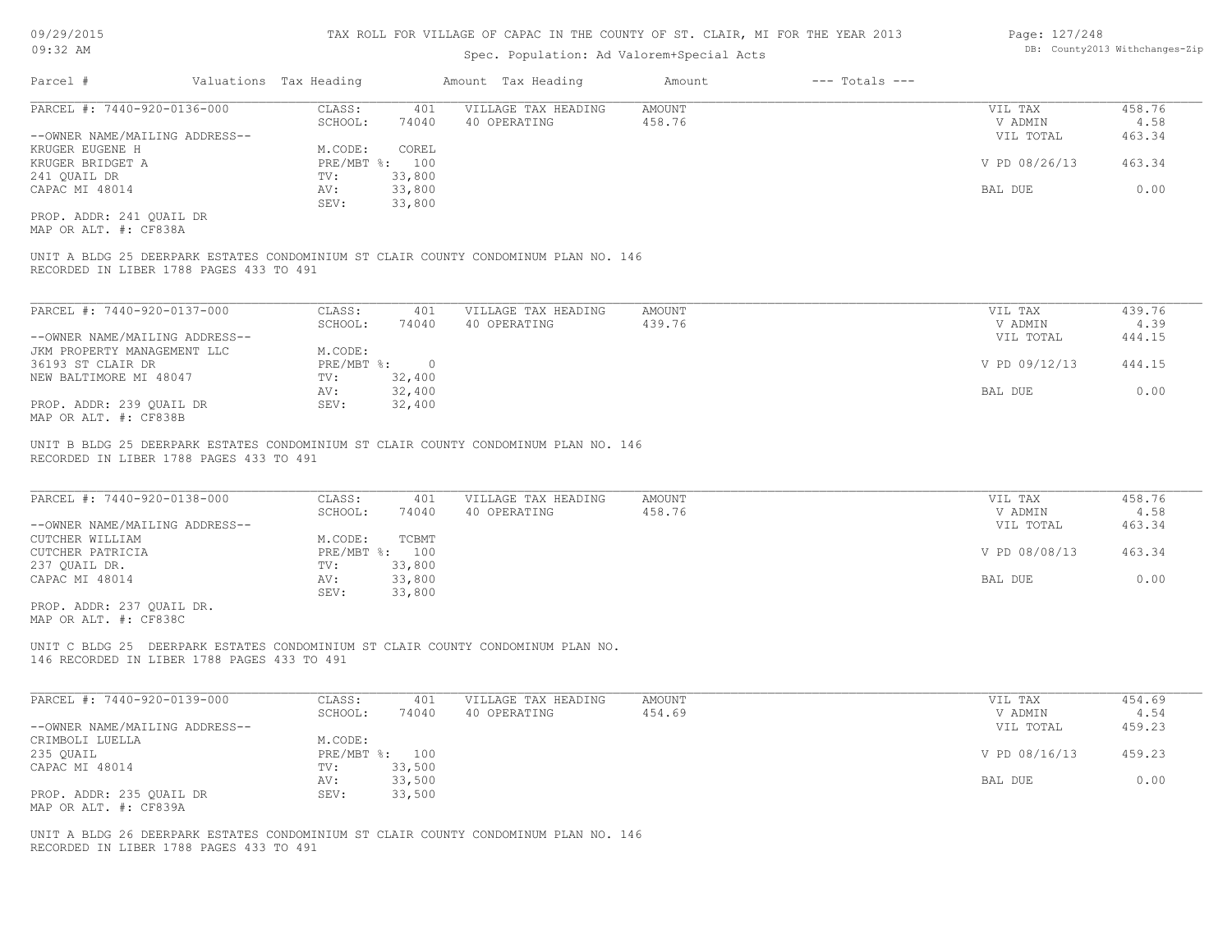#### TAX ROLL FOR VILLAGE OF CAPAC IN THE COUNTY OF ST. CLAIR, MI FOR THE YEAR 2013

### Spec. Population: Ad Valorem+Special Acts

| Parcel #                       | Valuations Tax Heading |        | Amount Tax Heading  | Amount | $---$ Totals $---$ |               |        |
|--------------------------------|------------------------|--------|---------------------|--------|--------------------|---------------|--------|
| PARCEL #: 7440-920-0136-000    | CLASS:                 | 401    | VILLAGE TAX HEADING | AMOUNT |                    | VIL TAX       | 458.76 |
|                                | SCHOOL:                | 74040  | 40 OPERATING        | 458.76 |                    | V ADMIN       | 4.58   |
| --OWNER NAME/MAILING ADDRESS-- |                        |        |                     |        |                    | VIL TOTAL     | 463.34 |
| KRUGER EUGENE H                | M.CODE:                | COREL  |                     |        |                    |               |        |
| KRUGER BRIDGET A               | PRE/MBT %: 100         |        |                     |        |                    | V PD 08/26/13 | 463.34 |
| 241 OUAIL DR                   | TV:                    | 33,800 |                     |        |                    |               |        |
| CAPAC MI 48014                 | AV:                    | 33,800 |                     |        |                    | BAL DUE       | 0.00   |
|                                | SEV:                   | 33,800 |                     |        |                    |               |        |
|                                |                        |        |                     |        |                    |               |        |

MAP OR ALT. #: CF838A PROP. ADDR: 241 QUAIL DR

RECORDED IN LIBER 1788 PAGES 433 TO 491 UNIT A BLDG 25 DEERPARK ESTATES CONDOMINIUM ST CLAIR COUNTY CONDOMINUM PLAN NO. 146

| PARCEL #: 7440-920-0137-000    | CLASS:     | 401    | VILLAGE TAX HEADING | AMOUNT | VIL TAX       | 439.76 |
|--------------------------------|------------|--------|---------------------|--------|---------------|--------|
|                                | SCHOOL:    | 74040  | 40 OPERATING        | 439.76 | V ADMIN       | 4.39   |
| --OWNER NAME/MAILING ADDRESS-- |            |        |                     |        | VIL TOTAL     | 444.15 |
| JKM PROPERTY MANAGEMENT LLC    | M.CODE:    |        |                     |        |               |        |
| 36193 ST CLAIR DR              | PRE/MBT %: |        |                     |        | V PD 09/12/13 | 444.15 |
| NEW BALTIMORE MI 48047         | TV:        | 32,400 |                     |        |               |        |
|                                | AV:        | 32,400 |                     |        | BAL DUE       | 0.00   |
| PROP. ADDR: 239 OUAIL DR       | SEV:       | 32,400 |                     |        |               |        |
| MAP OR ALT. #: CF838B          |            |        |                     |        |               |        |

RECORDED IN LIBER 1788 PAGES 433 TO 491 UNIT B BLDG 25 DEERPARK ESTATES CONDOMINIUM ST CLAIR COUNTY CONDOMINUM PLAN NO. 146

| PARCEL #: 7440-920-0138-000    | CLASS:  | 401            | VILLAGE TAX HEADING | AMOUNT | VIL TAX       | 458.76 |
|--------------------------------|---------|----------------|---------------------|--------|---------------|--------|
|                                | SCHOOL: | 74040          | 40 OPERATING        | 458.76 | V ADMIN       | 4.58   |
| --OWNER NAME/MAILING ADDRESS-- |         |                |                     |        | VIL TOTAL     | 463.34 |
| CUTCHER WILLIAM                | M.CODE: | TCBMT          |                     |        |               |        |
| CUTCHER PATRICIA               |         | PRE/MBT %: 100 |                     |        | V PD 08/08/13 | 463.34 |
| 237 QUAIL DR.                  | TV:     | 33,800         |                     |        |               |        |
| CAPAC MI 48014                 | AV:     | 33,800         |                     |        | BAL DUE       | 0.00   |
|                                | SEV:    | 33,800         |                     |        |               |        |
| PROP. ADDR: 237 OUAIL DR.      |         |                |                     |        |               |        |

MAP OR ALT. #: CF838C

146 RECORDED IN LIBER 1788 PAGES 433 TO 491 UNIT C BLDG 25 DEERPARK ESTATES CONDOMINIUM ST CLAIR COUNTY CONDOMINUM PLAN NO.

| PARCEL #: 7440-920-0139-000    | CLASS:  | 401            | VILLAGE TAX HEADING | AMOUNT | VIL TAX       | 454.69 |
|--------------------------------|---------|----------------|---------------------|--------|---------------|--------|
|                                | SCHOOL: | 74040          | 40 OPERATING        | 454.69 | V ADMIN       | 4.54   |
| --OWNER NAME/MAILING ADDRESS-- |         |                |                     |        | VIL TOTAL     | 459.23 |
| CRIMBOLI LUELLA                | M.CODE: |                |                     |        |               |        |
| 235 QUAIL                      |         | PRE/MBT %: 100 |                     |        | V PD 08/16/13 | 459.23 |
| CAPAC MI 48014                 | TV:     | 33,500         |                     |        |               |        |
|                                | AV:     | 33,500         |                     |        | BAL DUE       | 0.00   |
| PROP. ADDR: 235 OUAIL DR       | SEV:    | 33,500         |                     |        |               |        |
| MAP OR ALT. #: CF839A          |         |                |                     |        |               |        |

RECORDED IN LIBER 1788 PAGES 433 TO 491 UNIT A BLDG 26 DEERPARK ESTATES CONDOMINIUM ST CLAIR COUNTY CONDOMINUM PLAN NO. 146 Page: 127/248 DB: County2013 Withchanges-Zip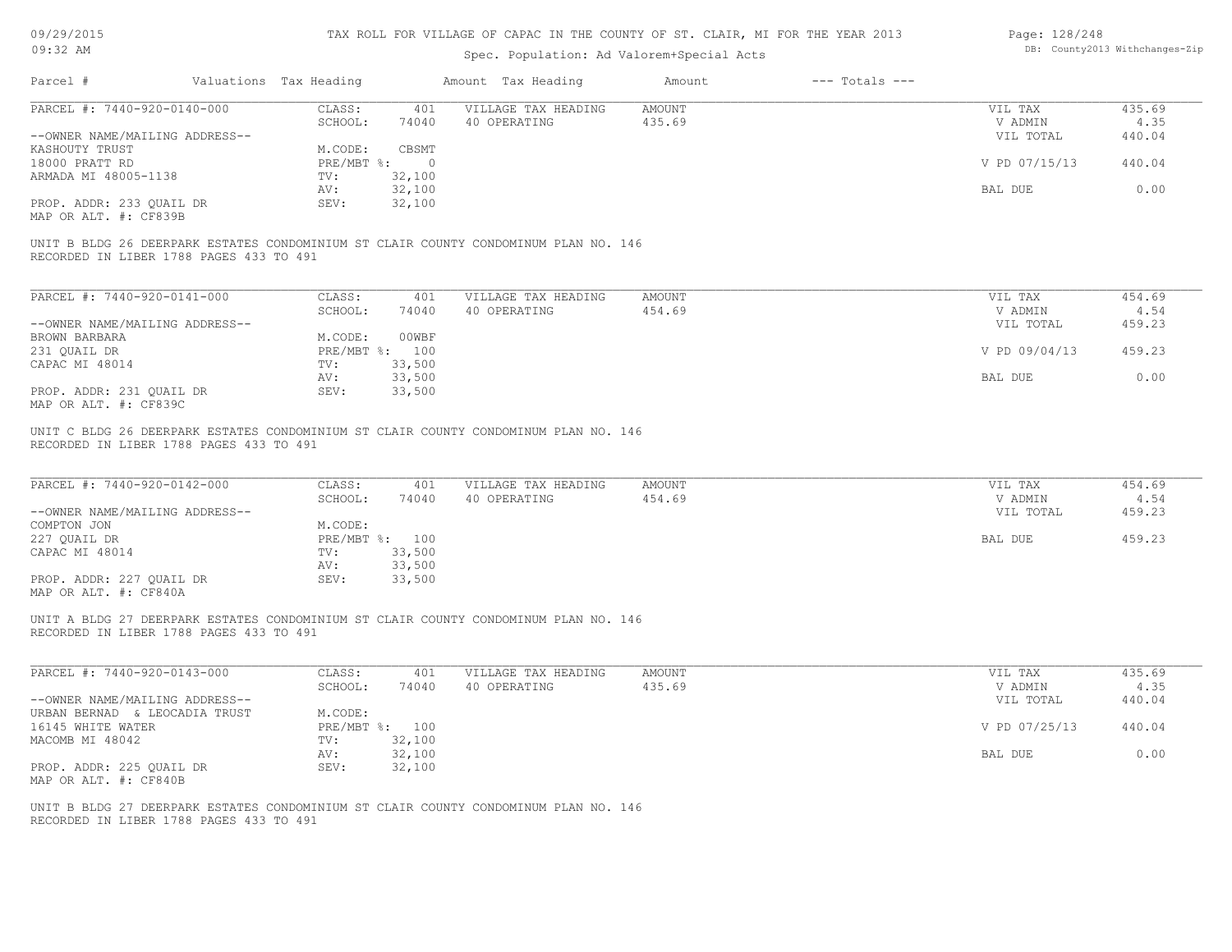| 09/29/2015 |  |
|------------|--|
|------------|--|

| Page: 128/248 |                                |
|---------------|--------------------------------|
|               | DB: County2013 Withchanges-Zip |

| UY/ 29/ 2015                            |                        |                | TAX ROLL FOR VILLAGE OF CAPAC IN THE COUNTY OF ST. CLAIR, MI FOR THE YEAR 2013      |               |                    | Page: 128/248 |                                |
|-----------------------------------------|------------------------|----------------|-------------------------------------------------------------------------------------|---------------|--------------------|---------------|--------------------------------|
| 09:32 AM                                |                        |                | Spec. Population: Ad Valorem+Special Acts                                           |               |                    |               | DB: County2013 Withchanges-Zip |
| Parcel #                                | Valuations Tax Heading |                | Amount Tax Heading                                                                  | Amount        | $---$ Totals $---$ |               |                                |
|                                         |                        |                |                                                                                     |               |                    |               |                                |
| PARCEL #: 7440-920-0140-000             | CLASS:                 | 401            | VILLAGE TAX HEADING                                                                 | AMOUNT        |                    | VIL TAX       | 435.69                         |
|                                         | SCHOOL:                | 74040          | 40 OPERATING                                                                        | 435.69        |                    | V ADMIN       | 4.35                           |
| --OWNER NAME/MAILING ADDRESS--          |                        |                |                                                                                     |               |                    | VIL TOTAL     | 440.04                         |
| KASHOUTY TRUST                          | M.CODE:                | CBSMT          |                                                                                     |               |                    |               |                                |
| 18000 PRATT RD                          | PRE/MBT %:             | $\overline{0}$ |                                                                                     |               |                    | V PD 07/15/13 | 440.04                         |
| ARMADA MI 48005-1138                    | TV:                    | 32,100         |                                                                                     |               |                    |               |                                |
|                                         |                        |                |                                                                                     |               |                    |               | 0.00                           |
|                                         | AV:                    | 32,100         |                                                                                     |               |                    | BAL DUE       |                                |
| PROP. ADDR: 233 QUAIL DR                | SEV:                   | 32,100         |                                                                                     |               |                    |               |                                |
| MAP OR ALT. #: CF839B                   |                        |                |                                                                                     |               |                    |               |                                |
| RECORDED IN LIBER 1788 PAGES 433 TO 491 |                        |                | UNIT B BLDG 26 DEERPARK ESTATES CONDOMINIUM ST CLAIR COUNTY CONDOMINUM PLAN NO. 146 |               |                    |               |                                |
| PARCEL #: 7440-920-0141-000             | CLASS:                 | 401            | VILLAGE TAX HEADING                                                                 | <b>AMOUNT</b> |                    | VIL TAX       | 454.69                         |
|                                         | SCHOOL:                | 74040          | 40 OPERATING                                                                        | 454.69        |                    | V ADMIN       | 4.54                           |
|                                         |                        |                |                                                                                     |               |                    |               | 459.23                         |
| --OWNER NAME/MAILING ADDRESS--          |                        |                |                                                                                     |               |                    | VIL TOTAL     |                                |
| BROWN BARBARA                           | M.CODE:                | 00WBF          |                                                                                     |               |                    |               |                                |
| 231 QUAIL DR                            |                        | PRE/MBT %: 100 |                                                                                     |               |                    | V PD 09/04/13 | 459.23                         |
| CAPAC MI 48014                          | TV:                    | 33,500         |                                                                                     |               |                    |               |                                |
|                                         | AV:                    | 33,500         |                                                                                     |               |                    | BAL DUE       | 0.00                           |
| PROP. ADDR: 231 QUAIL DR                | SEV:                   | 33,500         |                                                                                     |               |                    |               |                                |
| MAP OR ALT. #: CF839C                   |                        |                |                                                                                     |               |                    |               |                                |
| PARCEL #: 7440-920-0142-000             | CLASS:                 | 401            | VILLAGE TAX HEADING                                                                 | AMOUNT        |                    | VIL TAX       | 454.69                         |
|                                         | SCHOOL:                | 74040          | 40 OPERATING                                                                        | 454.69        |                    | V ADMIN       | 4.54                           |
| --OWNER NAME/MAILING ADDRESS--          |                        |                |                                                                                     |               |                    | VIL TOTAL     | 459.23                         |
| COMPTON JON                             | M.CODE:                |                |                                                                                     |               |                    |               |                                |
| 227 QUAIL DR                            |                        | PRE/MBT %: 100 |                                                                                     |               |                    | BAL DUE       | 459.23                         |
| CAPAC MI 48014                          | TV:                    | 33,500         |                                                                                     |               |                    |               |                                |
|                                         | AV:                    | 33,500         |                                                                                     |               |                    |               |                                |
| PROP. ADDR: 227 QUAIL DR                | SEV:                   | 33,500         |                                                                                     |               |                    |               |                                |
| MAP OR ALT. #: CF840A                   |                        |                |                                                                                     |               |                    |               |                                |
| RECORDED IN LIBER 1788 PAGES 433 TO 491 |                        |                | UNIT A BLDG 27 DEERPARK ESTATES CONDOMINIUM ST CLAIR COUNTY CONDOMINUM PLAN NO. 146 |               |                    |               |                                |
| PARCEL #: 7440-920-0143-000             | CLASS:                 | 401            | VILLAGE TAX HEADING                                                                 | <b>AMOUNT</b> |                    | VIL TAX       | 435.69                         |
|                                         | SCHOOL:                | 74040          | 40 OPERATING                                                                        | 435.69        |                    | V ADMIN       | 4.35                           |
| --OWNER NAME/MAILING ADDRESS--          |                        |                |                                                                                     |               |                    | VIL TOTAL     | 440.04                         |
| URBAN BERNAD & LEOCADIA TRUST           | M.CODE:                |                |                                                                                     |               |                    |               |                                |
| 16145 WHITE WATER                       |                        | PRE/MBT %: 100 |                                                                                     |               |                    | V PD 07/25/13 | 440.04                         |
| MACOMB MI 48042                         | TV:                    | 32,100         |                                                                                     |               |                    |               |                                |
|                                         |                        | 32,100         |                                                                                     |               |                    | BAL DUE       | 0.00                           |
|                                         | AV:                    |                |                                                                                     |               |                    |               |                                |
| PROP. ADDR: 225 QUAIL DR                | SEV:                   | 32,100         |                                                                                     |               |                    |               |                                |
| MAP OR ALT. #: CF840B                   |                        |                |                                                                                     |               |                    |               |                                |
|                                         |                        |                |                                                                                     |               |                    |               |                                |
|                                         |                        |                | UNIT B BLDG 27 DEERPARK ESTATES CONDOMINIUM ST CLAIR COUNTY CONDOMINUM PLAN NO. 146 |               |                    |               |                                |
| RECORDED IN LIBER 1788 PAGES 433 TO 491 |                        |                |                                                                                     |               |                    |               |                                |
|                                         |                        |                |                                                                                     |               |                    |               |                                |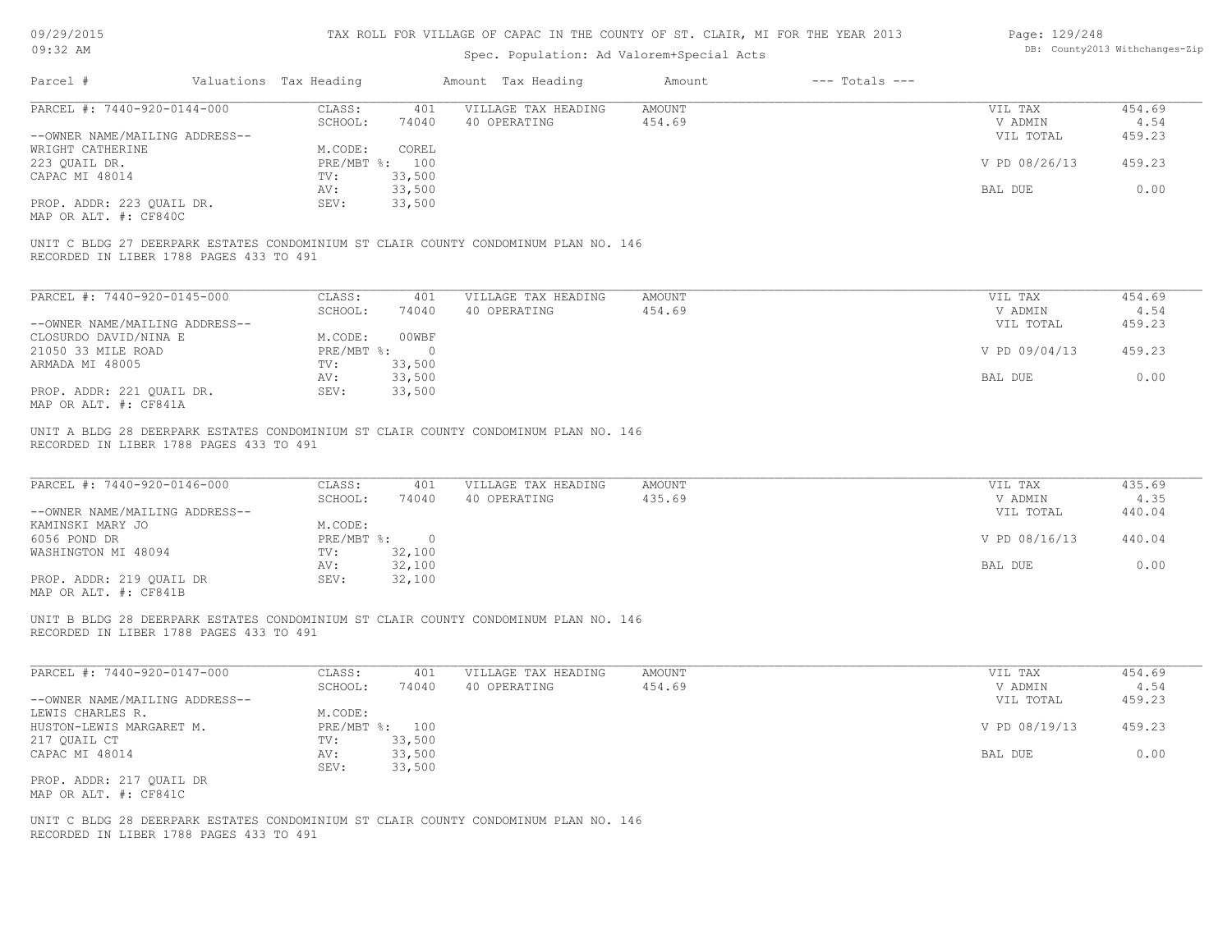| 09/29/2015 |
|------------|
|------------|

| Page: 129/248 |                               |
|---------------|-------------------------------|
|               | DB: County2013 Withchanges-Zi |

| Vシ/ ムン/ ムVエJ<br>$09:32$ AM                                                        |                              |                | TAA AVIII FUN VIIIIAGE VE CAFAC IN INE COUNTI OF 91, CIAIN, MI FUN INE IEAN 2019<br>Spec. Population: Ad Valorem+Special Acts |                         |                    | raye. 1437240                   | DB: County2013 Withchanges-Zip |
|-----------------------------------------------------------------------------------|------------------------------|----------------|-------------------------------------------------------------------------------------------------------------------------------|-------------------------|--------------------|---------------------------------|--------------------------------|
| Parcel #                                                                          | Valuations Tax Heading       |                | Amount Tax Heading                                                                                                            | Amount                  | $---$ Totals $---$ |                                 |                                |
| PARCEL #: 7440-920-0144-000                                                       | CLASS:                       | 401            | VILLAGE TAX HEADING                                                                                                           | <b>AMOUNT</b>           |                    | VIL TAX                         | 454.69                         |
|                                                                                   | SCHOOL:                      | 74040          | 40 OPERATING                                                                                                                  | 454.69                  |                    | V ADMIN                         | 4.54                           |
| --OWNER NAME/MAILING ADDRESS--                                                    |                              |                |                                                                                                                               |                         |                    | VIL TOTAL                       | 459.23                         |
| WRIGHT CATHERINE                                                                  | M.CODE:                      | COREL          |                                                                                                                               |                         |                    |                                 |                                |
| 223 QUAIL DR.                                                                     |                              | PRE/MBT %: 100 |                                                                                                                               |                         |                    | V PD 08/26/13                   | 459.23                         |
| CAPAC MI 48014                                                                    | TV:                          | 33,500         |                                                                                                                               |                         |                    |                                 |                                |
|                                                                                   | AV:                          | 33,500         |                                                                                                                               |                         |                    | BAL DUE                         | 0.00                           |
| PROP. ADDR: 223 QUAIL DR.<br>MAP OR ALT. #: CF840C                                | SEV:                         | 33,500         |                                                                                                                               |                         |                    |                                 |                                |
| RECORDED IN LIBER 1788 PAGES 433 TO 491                                           |                              |                | UNIT C BLDG 27 DEERPARK ESTATES CONDOMINIUM ST CLAIR COUNTY CONDOMINUM PLAN NO. 146                                           |                         |                    |                                 |                                |
| PARCEL #: 7440-920-0145-000                                                       | CLASS:                       | 401            | VILLAGE TAX HEADING                                                                                                           | AMOUNT                  |                    | VIL TAX                         | 454.69                         |
|                                                                                   | SCHOOL:                      | 74040          | 40 OPERATING                                                                                                                  | 454.69                  |                    | V ADMIN                         | 4.54                           |
| --OWNER NAME/MAILING ADDRESS--                                                    |                              |                |                                                                                                                               |                         |                    | VIL TOTAL                       | 459.23                         |
| CLOSURDO DAVID/NINA E                                                             | M.CODE:                      | 00WBF          |                                                                                                                               |                         |                    |                                 |                                |
| 21050 33 MILE ROAD                                                                | $PRE/MBT$ %:                 | $\overline{0}$ |                                                                                                                               |                         |                    | V PD 09/04/13                   | 459.23                         |
| ARMADA MI 48005                                                                   | TV:                          | 33,500         |                                                                                                                               |                         |                    |                                 |                                |
|                                                                                   | AV:                          | 33,500         |                                                                                                                               |                         |                    | BAL DUE                         | 0.00                           |
| PROP. ADDR: 221 QUAIL DR.<br>MAP OR ALT. #: CF841A                                | SEV:                         | 33,500         |                                                                                                                               |                         |                    |                                 |                                |
| PARCEL #: 7440-920-0146-000<br>--OWNER NAME/MAILING ADDRESS--<br>KAMINSKI MARY JO | CLASS:<br>SCHOOL:<br>M.CODE: | 401<br>74040   | VILLAGE TAX HEADING<br>40 OPERATING                                                                                           | <b>AMOUNT</b><br>435.69 |                    | VIL TAX<br>V ADMIN<br>VIL TOTAL | 435.69<br>4.35<br>440.04       |
| 6056 POND DR                                                                      | $PRE/MBT$ $\frac{6}{3}$ :    | $\overline{0}$ |                                                                                                                               |                         |                    | V PD 08/16/13                   | 440.04                         |
| WASHINGTON MI 48094                                                               | TV:                          | 32,100         |                                                                                                                               |                         |                    |                                 |                                |
|                                                                                   | AV:                          | 32,100         |                                                                                                                               |                         |                    | BAL DUE                         | 0.00                           |
| PROP. ADDR: 219 QUAIL DR<br>MAP OR ALT. #: CF841B                                 | SEV:                         | 32,100         |                                                                                                                               |                         |                    |                                 |                                |
| RECORDED IN LIBER 1788 PAGES 433 TO 491                                           |                              |                | UNIT B BLDG 28 DEERPARK ESTATES CONDOMINIUM ST CLAIR COUNTY CONDOMINUM PLAN NO. 146                                           |                         |                    |                                 |                                |
| PARCEL #: 7440-920-0147-000                                                       | CLASS:                       | 401            | VILLAGE TAX HEADING                                                                                                           | <b>AMOUNT</b>           |                    | VIL TAX                         | 454.69                         |
|                                                                                   | SCHOOL:                      | 74040          | 40 OPERATING                                                                                                                  | 454.69                  |                    | V ADMIN                         | 4.54                           |
| --OWNER NAME/MAILING ADDRESS--                                                    |                              |                |                                                                                                                               |                         |                    | VIL TOTAL                       | 459.23                         |
| LEWIS CHARLES R.                                                                  | M.CODE:                      |                |                                                                                                                               |                         |                    |                                 |                                |
| HUSTON-LEWIS MARGARET M.                                                          | $PRE/MBT$ %:                 | 100            |                                                                                                                               |                         |                    | V PD 08/19/13                   | 459.23                         |
| 217 QUAIL CT                                                                      | TV:                          | 33,500         |                                                                                                                               |                         |                    |                                 |                                |
| CAPAC MI 48014                                                                    | AV:                          | 33,500         |                                                                                                                               |                         |                    | BAL DUE                         | 0.00                           |
|                                                                                   | SEV:                         | 33,500         |                                                                                                                               |                         |                    |                                 |                                |
| PROP. ADDR: 217 QUAIL DR<br>MAP OR ALT. #: CF841C                                 |                              |                |                                                                                                                               |                         |                    |                                 |                                |
|                                                                                   |                              |                |                                                                                                                               |                         |                    |                                 |                                |
|                                                                                   |                              |                | UNIT C BLDG 28 DEERPARK ESTATES CONDOMINIUM ST CLAIR COUNTY CONDOMINUM PLAN NO. 146                                           |                         |                    |                                 |                                |
| RECORDED IN LIBER 1788 PAGES 433 TO 491                                           |                              |                |                                                                                                                               |                         |                    |                                 |                                |
|                                                                                   |                              |                |                                                                                                                               |                         |                    |                                 |                                |
|                                                                                   |                              |                |                                                                                                                               |                         |                    |                                 |                                |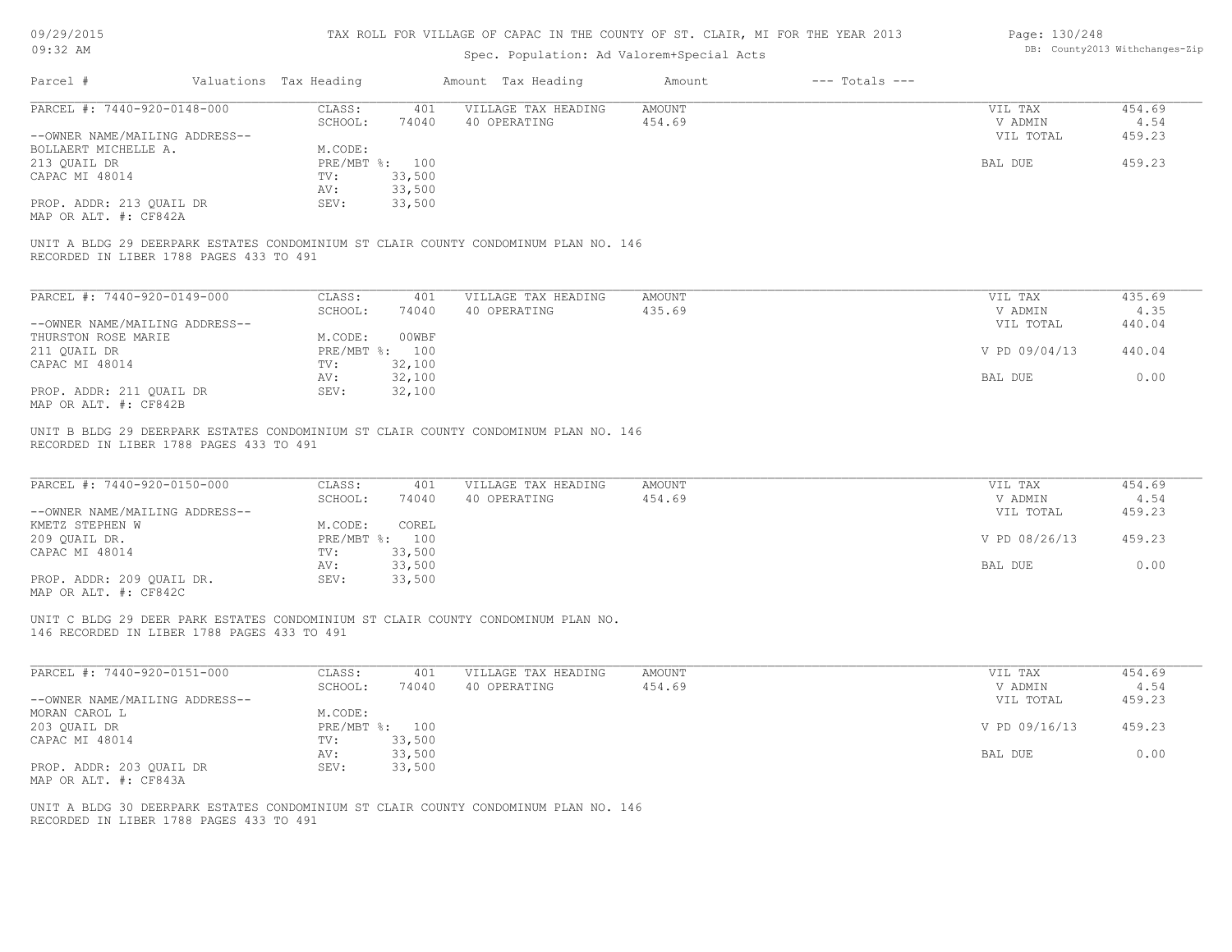| 09/29/2015 |  |
|------------|--|
| $09:32$ AM |  |

# Spec. Population: Ad Valorem+Special Acts

#### Page: 130/248 DB: County2013 Withchanges-Zip

| Parcel #                                                                                                                        | Valuations Tax Heading |                  | Amount Tax Heading                  | Amount           | $---$ Totals $---$ |                                 |                          |
|---------------------------------------------------------------------------------------------------------------------------------|------------------------|------------------|-------------------------------------|------------------|--------------------|---------------------------------|--------------------------|
| PARCEL #: 7440-920-0148-000                                                                                                     | CLASS:                 | 401              | VILLAGE TAX HEADING                 | <b>AMOUNT</b>    |                    | VIL TAX                         | 454.69                   |
|                                                                                                                                 | SCHOOL:                | 74040            | 40 OPERATING                        | 454.69           |                    | V ADMIN                         | 4.54                     |
| --OWNER NAME/MAILING ADDRESS--                                                                                                  |                        |                  |                                     |                  |                    | VIL TOTAL                       | 459.23                   |
| BOLLAERT MICHELLE A.                                                                                                            | M.CODE:                |                  |                                     |                  |                    |                                 |                          |
| 213 QUAIL DR                                                                                                                    |                        | PRE/MBT %: 100   |                                     |                  |                    | BAL DUE                         | 459.23                   |
| CAPAC MI 48014                                                                                                                  | TV:                    | 33,500           |                                     |                  |                    |                                 |                          |
|                                                                                                                                 | AV:                    | 33,500           |                                     |                  |                    |                                 |                          |
| PROP. ADDR: 213 QUAIL DR                                                                                                        | SEV:                   | 33,500           |                                     |                  |                    |                                 |                          |
| MAP OR ALT. #: CF842A                                                                                                           |                        |                  |                                     |                  |                    |                                 |                          |
| UNIT A BLDG 29 DEERPARK ESTATES CONDOMINIUM ST CLAIR COUNTY CONDOMINUM PLAN NO. 146<br>RECORDED IN LIBER 1788 PAGES 433 TO 491  |                        |                  |                                     |                  |                    |                                 |                          |
| PARCEL #: 7440-920-0149-000                                                                                                     | CLASS:                 | 401              | VILLAGE TAX HEADING                 | AMOUNT           |                    | VIL TAX                         | 435.69                   |
|                                                                                                                                 | SCHOOL:                | 74040            | 40 OPERATING                        | 435.69           |                    | V ADMIN                         | 4.35                     |
| --OWNER NAME/MAILING ADDRESS--                                                                                                  |                        |                  |                                     |                  |                    | VIL TOTAL                       | 440.04                   |
| THURSTON ROSE MARIE                                                                                                             | M.CODE:                | 00WBF            |                                     |                  |                    |                                 |                          |
| 211 QUAIL DR                                                                                                                    |                        | PRE/MBT %: 100   |                                     |                  |                    | V PD 09/04/13                   | 440.04                   |
| CAPAC MI 48014                                                                                                                  | TV:                    | 32,100           |                                     |                  |                    |                                 |                          |
|                                                                                                                                 | AV:                    | 32,100           |                                     |                  |                    | BAL DUE                         | 0.00                     |
| PROP. ADDR: 211 QUAIL DR<br>MAP OR ALT. #: CF842B                                                                               | SEV:                   | 32,100           |                                     |                  |                    |                                 |                          |
| PARCEL #: 7440-920-0150-000<br>--OWNER NAME/MAILING ADDRESS--                                                                   | CLASS:<br>SCHOOL:      | 401<br>74040     | VILLAGE TAX HEADING<br>40 OPERATING | AMOUNT<br>454.69 |                    | VIL TAX<br>V ADMIN<br>VIL TOTAL | 454.69<br>4.54<br>459.23 |
| KMETZ STEPHEN W                                                                                                                 | M.CODE:                | COREL            |                                     |                  |                    |                                 |                          |
| 209 QUAIL DR.                                                                                                                   |                        | PRE/MBT %: 100   |                                     |                  |                    | V PD 08/26/13                   | 459.23                   |
| CAPAC MI 48014                                                                                                                  | TV:                    | 33,500           |                                     |                  |                    |                                 |                          |
|                                                                                                                                 | AV:                    | 33,500           |                                     |                  |                    | BAL DUE                         | 0.00                     |
| PROP. ADDR: 209 QUAIL DR.                                                                                                       | SEV:                   | 33,500           |                                     |                  |                    |                                 |                          |
| MAP OR ALT. #: CF842C                                                                                                           |                        |                  |                                     |                  |                    |                                 |                          |
| UNIT C BLDG 29 DEER PARK ESTATES CONDOMINIUM ST CLAIR COUNTY CONDOMINUM PLAN NO.<br>146 RECORDED IN LIBER 1788 PAGES 433 TO 491 |                        |                  |                                     |                  |                    |                                 |                          |
| PARCEL #: 7440-920-0151-000                                                                                                     | CLASS:                 | 401              | VILLAGE TAX HEADING                 | <b>AMOUNT</b>    |                    | VIL TAX                         | 454.69                   |
|                                                                                                                                 | SCHOOL:                | 74040            | 40 OPERATING                        | 454.69           |                    | V ADMIN                         | 4.54                     |
| --OWNER NAME/MAILING ADDRESS--                                                                                                  |                        |                  |                                     |                  |                    | VIL TOTAL                       | 459.23                   |
| MORAN CAROL L                                                                                                                   | M.CODE:                |                  |                                     |                  |                    |                                 |                          |
| 203 QUAIL DR                                                                                                                    |                        | PRE/MBT %: 100   |                                     |                  |                    | V PD 09/16/13                   | 459.23                   |
|                                                                                                                                 |                        |                  |                                     |                  |                    |                                 |                          |
|                                                                                                                                 | TV:                    |                  |                                     |                  |                    |                                 |                          |
| CAPAC MI 48014                                                                                                                  | AV:                    | 33,500<br>33,500 |                                     |                  |                    | BAL DUE                         | 0.00                     |

RECORDED IN LIBER 1788 PAGES 433 TO 491 UNIT A BLDG 30 DEERPARK ESTATES CONDOMINIUM ST CLAIR COUNTY CONDOMINUM PLAN NO. 146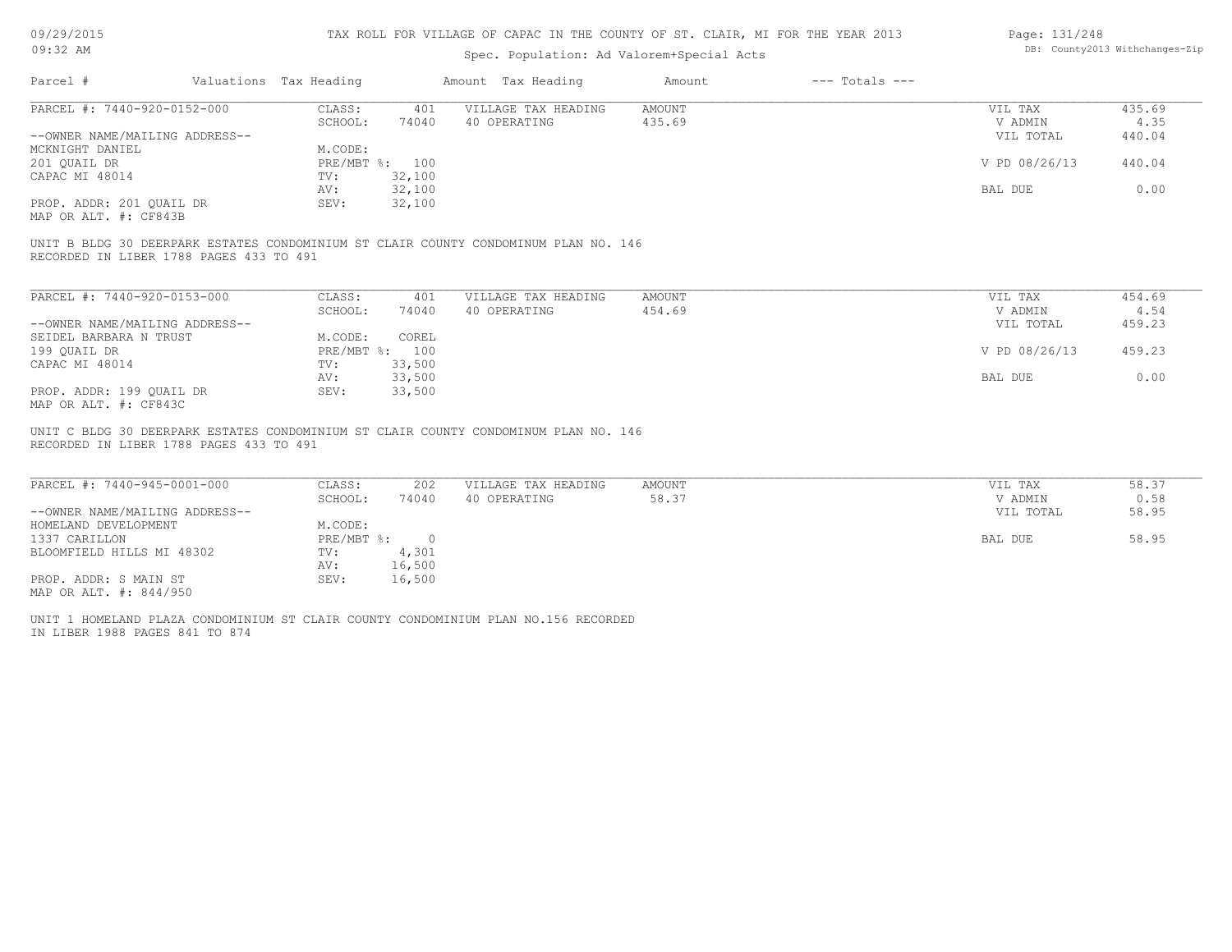#### TAX ROLL FOR VILLAGE OF CAPAC IN THE COUNTY OF ST. CLAIR, MI FOR THE YEAR 2013

### Spec. Population: Ad Valorem+Special Acts

| Page: 131/248 |                                |
|---------------|--------------------------------|
|               | DB: County2013 Withchanges-Zip |

| Parcel #                       | Valuations Tax Heading |        | Amount Tax Heading  | Amount | $---$ Totals $---$ |               |        |
|--------------------------------|------------------------|--------|---------------------|--------|--------------------|---------------|--------|
| PARCEL #: 7440-920-0152-000    | CLASS:                 | 401    | VILLAGE TAX HEADING | AMOUNT |                    | VIL TAX       | 435.69 |
|                                | SCHOOL:                | 74040  | 40 OPERATING        | 435.69 |                    | V ADMIN       | 4.35   |
| --OWNER NAME/MAILING ADDRESS-- |                        |        |                     |        |                    | VIL TOTAL     | 440.04 |
| MCKNIGHT DANIEL                | M.CODE:                |        |                     |        |                    |               |        |
| 201 OUAIL DR                   | PRE/MBT %: 100         |        |                     |        |                    | V PD 08/26/13 | 440.04 |
| CAPAC MI 48014                 | TV:                    | 32,100 |                     |        |                    |               |        |
|                                | AV:                    | 32,100 |                     |        |                    | BAL DUE       | 0.00   |
| PROP. ADDR: 201 QUAIL DR       | SEV:                   | 32,100 |                     |        |                    |               |        |
| MAP OR ALT. #: CF843B          |                        |        |                     |        |                    |               |        |

RECORDED IN LIBER 1788 PAGES 433 TO 491 UNIT B BLDG 30 DEERPARK ESTATES CONDOMINIUM ST CLAIR COUNTY CONDOMINUM PLAN NO. 146

| PARCEL #: 7440-920-0153-000    | CLASS:       | 401    | VILLAGE TAX HEADING | AMOUNT | VIL TAX       | 454.69 |
|--------------------------------|--------------|--------|---------------------|--------|---------------|--------|
|                                | SCHOOL:      | 74040  | 40 OPERATING        | 454.69 | V ADMIN       | 4.54   |
| --OWNER NAME/MAILING ADDRESS-- |              |        |                     |        | VIL TOTAL     | 459.23 |
| SEIDEL BARBARA N TRUST         | M.CODE:      | COREL  |                     |        |               |        |
| 199 OUAIL DR                   | $PRE/MBT$ %: | 100    |                     |        | V PD 08/26/13 | 459.23 |
| CAPAC MI 48014                 | TV:          | 33,500 |                     |        |               |        |
|                                | AV:          | 33,500 |                     |        | BAL DUE       | 0.00   |
| PROP. ADDR: 199 OUAIL DR       | SEV:         | 33,500 |                     |        |               |        |
| MAP OR ALT. #: CF843C          |              |        |                     |        |               |        |

RECORDED IN LIBER 1788 PAGES 433 TO 491 UNIT C BLDG 30 DEERPARK ESTATES CONDOMINIUM ST CLAIR COUNTY CONDOMINUM PLAN NO. 146

| PARCEL #: 7440-945-0001-000    | CLASS:     | 202    | VILLAGE TAX HEADING | AMOUNT | VIL TAX   | 58.37 |
|--------------------------------|------------|--------|---------------------|--------|-----------|-------|
|                                | SCHOOL:    | 74040  | 40 OPERATING        | 58.37  | V ADMIN   | 0.58  |
| --OWNER NAME/MAILING ADDRESS-- |            |        |                     |        | VIL TOTAL | 58.95 |
| HOMELAND DEVELOPMENT           | M.CODE:    |        |                     |        |           |       |
| 1337 CARILLON                  | PRE/MBT %: |        |                     |        | BAL DUE   | 58.95 |
| BLOOMFIELD HILLS MI 48302      | TV:        | 4,301  |                     |        |           |       |
|                                | AV:        | 16,500 |                     |        |           |       |
| PROP. ADDR: S MAIN ST          | SEV:       | 16,500 |                     |        |           |       |
| MAP OR ALT. #: 844/950         |            |        |                     |        |           |       |

IN LIBER 1988 PAGES 841 TO 874 UNIT 1 HOMELAND PLAZA CONDOMINIUM ST CLAIR COUNTY CONDOMINIUM PLAN NO.156 RECORDED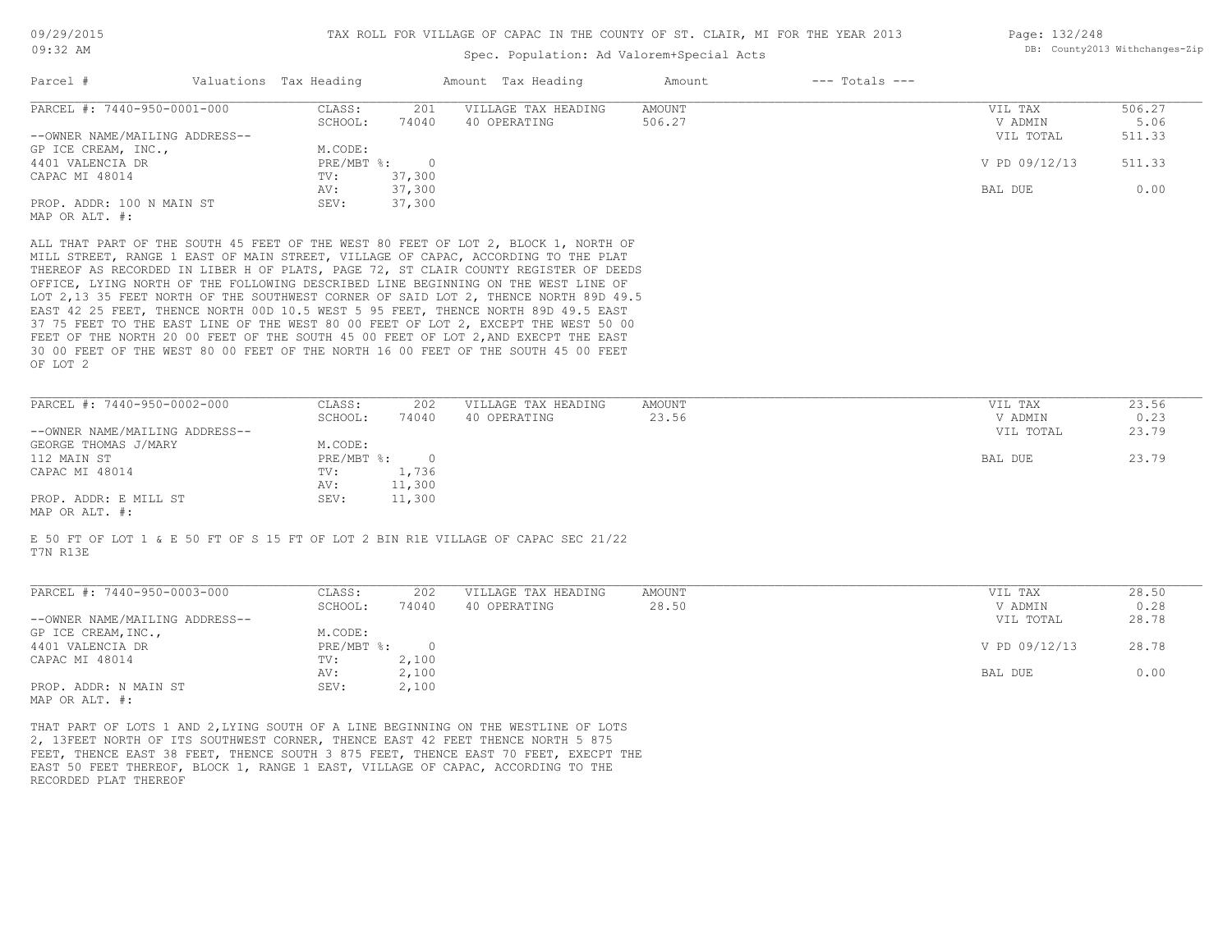| Page: 132/248 |                                |
|---------------|--------------------------------|
|               | DB: County2013 Withchanges-Zip |

| Parcel #                                                                                                                                                                                                                                                                                                                                                                                                                                                                                                                                                                                                                                                                                                                                                                                                     |                                                                  | Spec. Population: Ad Valorem+Special Acts |                              |                    | DB: County2013 Withchanges-Zip |
|--------------------------------------------------------------------------------------------------------------------------------------------------------------------------------------------------------------------------------------------------------------------------------------------------------------------------------------------------------------------------------------------------------------------------------------------------------------------------------------------------------------------------------------------------------------------------------------------------------------------------------------------------------------------------------------------------------------------------------------------------------------------------------------------------------------|------------------------------------------------------------------|-------------------------------------------|------------------------------|--------------------|--------------------------------|
|                                                                                                                                                                                                                                                                                                                                                                                                                                                                                                                                                                                                                                                                                                                                                                                                              | Valuations Tax Heading                                           | Amount Tax Heading                        | $---$ Totals $---$<br>Amount |                    |                                |
| PARCEL #: 7440-950-0001-000                                                                                                                                                                                                                                                                                                                                                                                                                                                                                                                                                                                                                                                                                                                                                                                  | CLASS:<br>201                                                    | VILLAGE TAX HEADING                       | <b>AMOUNT</b>                | VIL TAX            | 506.27                         |
|                                                                                                                                                                                                                                                                                                                                                                                                                                                                                                                                                                                                                                                                                                                                                                                                              | SCHOOL:<br>74040                                                 | 40 OPERATING                              | 506.27                       | V ADMIN            | 5.06                           |
| --OWNER NAME/MAILING ADDRESS--                                                                                                                                                                                                                                                                                                                                                                                                                                                                                                                                                                                                                                                                                                                                                                               |                                                                  |                                           |                              | VIL TOTAL          | 511.33                         |
| GP ICE CREAM, INC.,<br>4401 VALENCIA DR                                                                                                                                                                                                                                                                                                                                                                                                                                                                                                                                                                                                                                                                                                                                                                      | M.CODE:<br>$PRE/MBT$ $\frac{1}{6}$ :<br>$\overline{\phantom{0}}$ |                                           |                              | V PD 09/12/13      | 511.33                         |
| CAPAC MI 48014                                                                                                                                                                                                                                                                                                                                                                                                                                                                                                                                                                                                                                                                                                                                                                                               | TV:<br>37,300                                                    |                                           |                              |                    |                                |
|                                                                                                                                                                                                                                                                                                                                                                                                                                                                                                                                                                                                                                                                                                                                                                                                              | 37,300<br>AV:                                                    |                                           |                              | BAL DUE            | 0.00                           |
| PROP. ADDR: 100 N MAIN ST                                                                                                                                                                                                                                                                                                                                                                                                                                                                                                                                                                                                                                                                                                                                                                                    | 37,300<br>SEV:                                                   |                                           |                              |                    |                                |
| MAP OR ALT. #:                                                                                                                                                                                                                                                                                                                                                                                                                                                                                                                                                                                                                                                                                                                                                                                               |                                                                  |                                           |                              |                    |                                |
| ALL THAT PART OF THE SOUTH 45 FEET OF THE WEST 80 FEET OF LOT 2, BLOCK 1, NORTH OF<br>MILL STREET, RANGE 1 EAST OF MAIN STREET, VILLAGE OF CAPAC, ACCORDING TO THE PLAT<br>THEREOF AS RECORDED IN LIBER H OF PLATS, PAGE 72, ST CLAIR COUNTY REGISTER OF DEEDS<br>OFFICE, LYING NORTH OF THE FOLLOWING DESCRIBED LINE BEGINNING ON THE WEST LINE OF<br>LOT 2,13 35 FEET NORTH OF THE SOUTHWEST CORNER OF SAID LOT 2, THENCE NORTH 89D 49.5<br>EAST 42 25 FEET, THENCE NORTH 00D 10.5 WEST 5 95 FEET, THENCE NORTH 89D 49.5 EAST<br>37 75 FEET TO THE EAST LINE OF THE WEST 80 00 FEET OF LOT 2, EXCEPT THE WEST 50 00<br>FEET OF THE NORTH 20 00 FEET OF THE SOUTH 45 00 FEET OF LOT 2, AND EXECPT THE EAST<br>30 00 FEET OF THE WEST 80 00 FEET OF THE NORTH 16 00 FEET OF THE SOUTH 45 00 FEET<br>OF LOT 2 |                                                                  |                                           |                              |                    |                                |
|                                                                                                                                                                                                                                                                                                                                                                                                                                                                                                                                                                                                                                                                                                                                                                                                              |                                                                  |                                           |                              |                    |                                |
| PARCEL #: 7440-950-0002-000                                                                                                                                                                                                                                                                                                                                                                                                                                                                                                                                                                                                                                                                                                                                                                                  | CLASS:<br>202<br>SCHOOL:<br>74040                                | VILLAGE TAX HEADING<br>40 OPERATING       | <b>AMOUNT</b><br>23.56       | VIL TAX<br>V ADMIN | 23.56<br>0.23                  |
| --OWNER NAME/MAILING ADDRESS--                                                                                                                                                                                                                                                                                                                                                                                                                                                                                                                                                                                                                                                                                                                                                                               |                                                                  |                                           |                              | VIL TOTAL          | 23.79                          |
| GEORGE THOMAS J/MARY                                                                                                                                                                                                                                                                                                                                                                                                                                                                                                                                                                                                                                                                                                                                                                                         | M.CODE:                                                          |                                           |                              |                    |                                |
| 112 MAIN ST                                                                                                                                                                                                                                                                                                                                                                                                                                                                                                                                                                                                                                                                                                                                                                                                  | $PRE/MBT$ $\frac{1}{6}$ :<br>$\overline{0}$                      |                                           |                              | BAL DUE            | 23.79                          |
| CAPAC MI 48014                                                                                                                                                                                                                                                                                                                                                                                                                                                                                                                                                                                                                                                                                                                                                                                               | 1,736<br>TV:                                                     |                                           |                              |                    |                                |
| PROP. ADDR: E MILL ST                                                                                                                                                                                                                                                                                                                                                                                                                                                                                                                                                                                                                                                                                                                                                                                        | AV:<br>11,300<br>SEV:<br>11,300                                  |                                           |                              |                    |                                |
| MAP OR ALT. #:                                                                                                                                                                                                                                                                                                                                                                                                                                                                                                                                                                                                                                                                                                                                                                                               |                                                                  |                                           |                              |                    |                                |
| E 50 FT OF LOT 1 & E 50 FT OF S 15 FT OF LOT 2 BIN R1E VILLAGE OF CAPAC SEC 21/22<br>T7N R13E                                                                                                                                                                                                                                                                                                                                                                                                                                                                                                                                                                                                                                                                                                                |                                                                  |                                           |                              |                    |                                |
| PARCEL #: 7440-950-0003-000                                                                                                                                                                                                                                                                                                                                                                                                                                                                                                                                                                                                                                                                                                                                                                                  | CLASS:<br>202                                                    | VILLAGE TAX HEADING                       | AMOUNT                       | VIL TAX            | 28.50                          |
|                                                                                                                                                                                                                                                                                                                                                                                                                                                                                                                                                                                                                                                                                                                                                                                                              | SCHOOL:<br>74040                                                 | 40 OPERATING                              | 28.50                        | V ADMIN            | 0.28                           |
| --OWNER NAME/MAILING ADDRESS--                                                                                                                                                                                                                                                                                                                                                                                                                                                                                                                                                                                                                                                                                                                                                                               |                                                                  |                                           |                              | VIL TOTAL          | 28.78                          |
|                                                                                                                                                                                                                                                                                                                                                                                                                                                                                                                                                                                                                                                                                                                                                                                                              |                                                                  |                                           |                              |                    |                                |
|                                                                                                                                                                                                                                                                                                                                                                                                                                                                                                                                                                                                                                                                                                                                                                                                              | M.CODE:<br>$PRE/MBT$ %:<br>$\overline{0}$                        |                                           |                              | V PD 09/12/13      | 28.78                          |
| GP ICE CREAM, INC.,<br>4401 VALENCIA DR<br>CAPAC MI 48014                                                                                                                                                                                                                                                                                                                                                                                                                                                                                                                                                                                                                                                                                                                                                    | 2,100<br>TV:                                                     |                                           |                              |                    |                                |
|                                                                                                                                                                                                                                                                                                                                                                                                                                                                                                                                                                                                                                                                                                                                                                                                              | 2,100<br>AV:                                                     |                                           |                              | BAL DUE            | 0.00                           |
| PROP. ADDR: N MAIN ST<br>MAP OR ALT. #:                                                                                                                                                                                                                                                                                                                                                                                                                                                                                                                                                                                                                                                                                                                                                                      | SEV:<br>2,100                                                    |                                           |                              |                    |                                |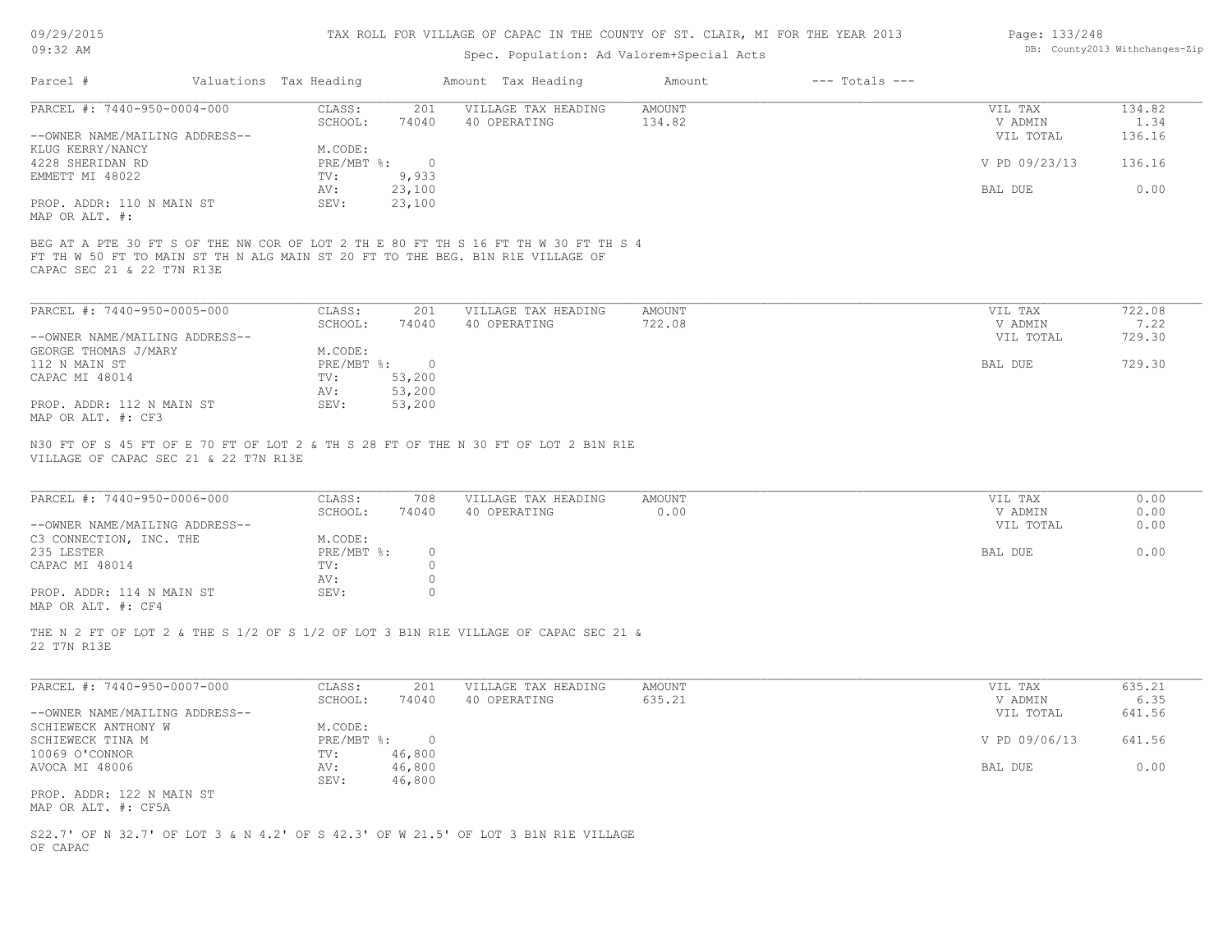| 09/29/2015 |  |
|------------|--|
| $09:32$ AM |  |

### Spec. Population: Ad Valorem+Special Acts

| Page: 133/248 |                                |
|---------------|--------------------------------|
|               | DB: County2013 Withchanges-Zip |

| Parcel #                       | Valuations Tax Heading |                | Amount Tax Heading  | Amount | $---$ Totals $---$ |               |        |
|--------------------------------|------------------------|----------------|---------------------|--------|--------------------|---------------|--------|
| PARCEL #: 7440-950-0004-000    | CLASS:                 | 201            | VILLAGE TAX HEADING | AMOUNT |                    | VIL TAX       | 134.82 |
|                                | SCHOOL:                | 74040          | 40 OPERATING        | 134.82 |                    | V ADMIN       | 1.34   |
| --OWNER NAME/MAILING ADDRESS-- |                        |                |                     |        |                    | VIL TOTAL     | 136.16 |
| KLUG KERRY/NANCY               | M.CODE:                |                |                     |        |                    |               |        |
| 4228 SHERIDAN RD               | PRE/MBT %:             | $\overline{0}$ |                     |        |                    | V PD 09/23/13 | 136.16 |
| EMMETT MI 48022                | TV:                    | 9,933          |                     |        |                    |               |        |
|                                | AV:                    | 23,100         |                     |        |                    | BAL DUE       | 0.00   |
| PROP. ADDR: 110 N MAIN ST      | SEV:                   | 23,100         |                     |        |                    |               |        |
| MAP OR ALT. #:                 |                        |                |                     |        |                    |               |        |
| CAPAC SEC 21 & 22 T7N R13E     |                        |                |                     |        |                    |               |        |
| PARCEL #: 7440-950-0005-000    | CLASS:                 | 201            | VILLAGE TAX HEADING | AMOUNT |                    | VIL TAX       | 722.08 |
|                                | SCHOOL:                | 74040          | 40 OPERATING        | 722.08 |                    | V ADMIN       | 7.22   |
| --OWNER NAME/MAILING ADDRESS-- |                        |                |                     |        |                    | VIL TOTAL     | 729.30 |
| GEORGE THOMAS J/MARY           | M.CODE:                |                |                     |        |                    |               |        |
| 112 N MAIN ST                  | $PRE/MBT$ $\div$       | $\overline{0}$ |                     |        |                    | BAL DUE       | 729.30 |
| CAPAC MI 48014                 | TV:                    | 53,200         |                     |        |                    |               |        |
|                                | AV:                    | 53,200         |                     |        |                    |               |        |
| PROP. ADDR: 112 N MAIN ST      | SEV:                   | 53,200         |                     |        |                    |               |        |
|                                |                        |                |                     |        |                    |               |        |

MAP OR ALT. #: CF3

VILLAGE OF CAPAC SEC 21 & 22 T7N R13E N30 FT OF S 45 FT OF E 70 FT OF LOT 2 & TH S 28 FT OF THE N 30 FT OF LOT 2 B1N R1E

| PARCEL #: 7440-950-0006-000    | CLASS:     | 708   | VILLAGE TAX HEADING | AMOUNT | VIL TAX   | 0.00 |
|--------------------------------|------------|-------|---------------------|--------|-----------|------|
|                                | SCHOOL:    | 74040 | 40 OPERATING        | 0.00   | V ADMIN   | 0.00 |
| --OWNER NAME/MAILING ADDRESS-- |            |       |                     |        | VIL TOTAL | 0.00 |
| C3 CONNECTION, INC. THE        | M.CODE:    |       |                     |        |           |      |
| 235 LESTER                     | PRE/MBT %: |       |                     |        | BAL DUE   | 0.00 |
| CAPAC MI 48014                 | TV:        |       |                     |        |           |      |
|                                | AV:        |       |                     |        |           |      |
| PROP. ADDR: 114 N MAIN ST      | SEV:       |       |                     |        |           |      |
| MAP OR ALT. #: CF4             |            |       |                     |        |           |      |

 $\_$  , and the state of the state of the state of the state of the state of the state of the state of the state of the state of the state of the state of the state of the state of the state of the state of the state of the

22 T7N R13E THE N 2 FT OF LOT 2 & THE S 1/2 OF S 1/2 OF LOT 3 B1N R1E VILLAGE OF CAPAC SEC 21 &

| PARCEL #: 7440-950-0007-000    | CLASS:       | 201    | VILLAGE TAX HEADING | AMOUNT | VIL TAX       | 635.21 |
|--------------------------------|--------------|--------|---------------------|--------|---------------|--------|
|                                | SCHOOL:      | 74040  | 40 OPERATING        | 635.21 | V ADMIN       | 6.35   |
| --OWNER NAME/MAILING ADDRESS-- |              |        |                     |        | VIL TOTAL     | 641.56 |
| SCHIEWECK ANTHONY W            | M.CODE:      |        |                     |        |               |        |
| SCHIEWECK TINA M               | $PRE/MBT$ %: |        |                     |        | V PD 09/06/13 | 641.56 |
| 10069 O'CONNOR                 | TV:          | 46,800 |                     |        |               |        |
| AVOCA MI 48006                 | AV:          | 46,800 |                     |        | BAL DUE       | 0.00   |
|                                | SEV:         | 46,800 |                     |        |               |        |
| PROP. ADDR: 122 N MAIN ST      |              |        |                     |        |               |        |
| MAP OR ALT. #: CF5A            |              |        |                     |        |               |        |

OF CAPAC S22.7' OF N 32.7' OF LOT 3 & N 4.2' OF S 42.3' OF W 21.5' OF LOT 3 B1N R1E VILLAGE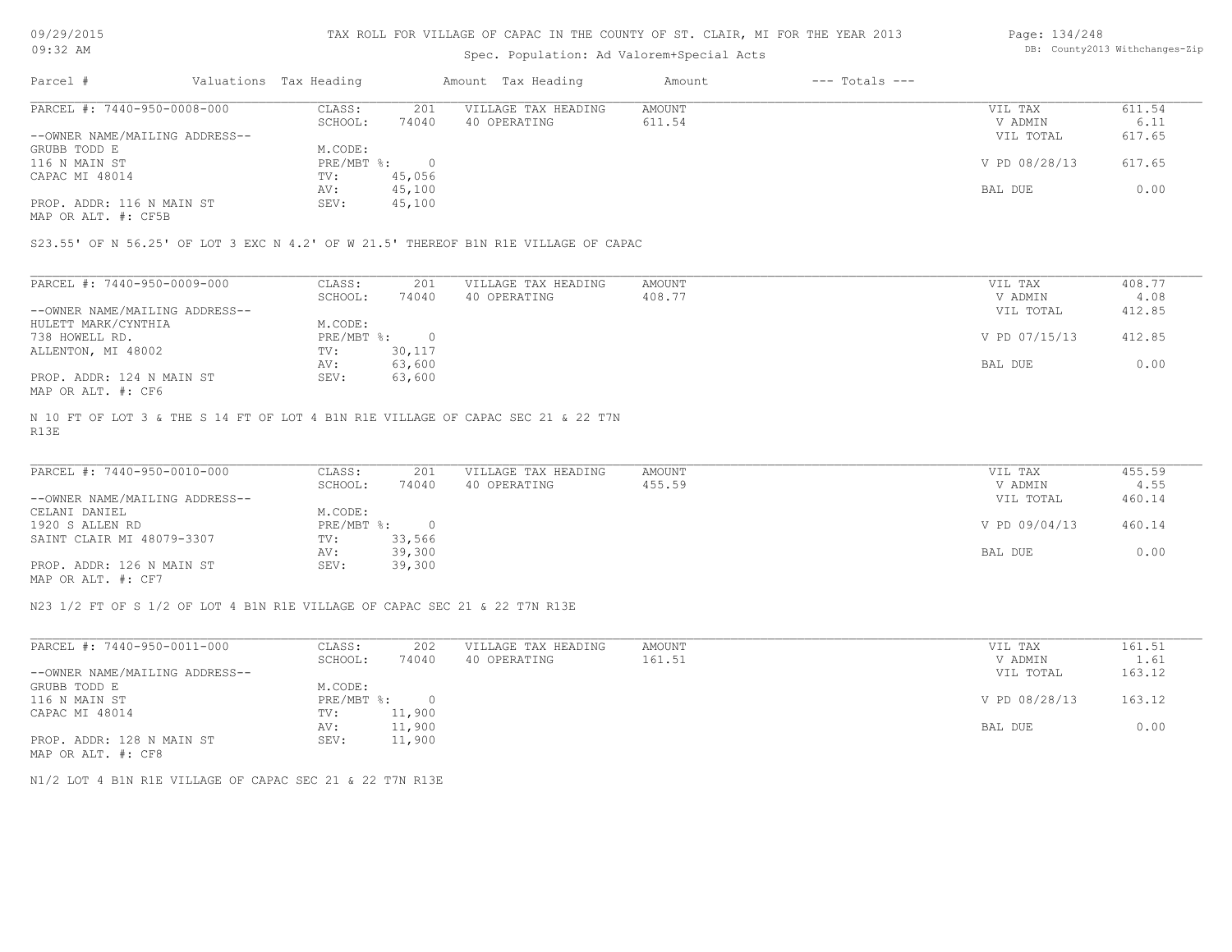### TAX ROLL FOR VILLAGE OF CAPAC IN THE COUNTY OF ST. CLAIR, MI FOR THE YEAR 2013

# Spec. Population: Ad Valorem+Special Acts

#### Page: 134/248 DB: County2013 Withchanges-Zip

| Parcel #                       | Valuations Tax Heading |        | Amount Tax Heading  | Amount | $---$ Totals $---$ |               |        |
|--------------------------------|------------------------|--------|---------------------|--------|--------------------|---------------|--------|
| PARCEL #: 7440-950-0008-000    | CLASS:                 | 201    | VILLAGE TAX HEADING | AMOUNT |                    | VIL TAX       | 611.54 |
|                                | SCHOOL:                | 74040  | 40 OPERATING        | 611.54 |                    | V ADMIN       | 6.11   |
| --OWNER NAME/MAILING ADDRESS-- |                        |        |                     |        |                    | VIL TOTAL     | 617.65 |
| GRUBB TODD E                   | M.CODE:                |        |                     |        |                    |               |        |
| 116 N MAIN ST                  | PRE/MBT %:             |        |                     |        |                    | V PD 08/28/13 | 617.65 |
| CAPAC MI 48014                 | TV:                    | 45,056 |                     |        |                    |               |        |
|                                | AV:                    | 45,100 |                     |        |                    | BAL DUE       | 0.00   |
| PROP. ADDR: 116 N MAIN ST      | SEV:                   | 45,100 |                     |        |                    |               |        |
|                                |                        |        |                     |        |                    |               |        |

MAP OR ALT. #: CF5B

S23.55' OF N 56.25' OF LOT 3 EXC N 4.2' OF W 21.5' THEREOF B1N R1E VILLAGE OF CAPAC

| PARCEL #: 7440-950-0009-000    | CLASS:     | 201    | VILLAGE TAX HEADING | AMOUNT | VIL TAX       | 408.77 |
|--------------------------------|------------|--------|---------------------|--------|---------------|--------|
|                                | SCHOOL:    | 74040  | 40 OPERATING        | 408.77 | V ADMIN       | 4.08   |
| --OWNER NAME/MAILING ADDRESS-- |            |        |                     |        | VIL TOTAL     | 412.85 |
| HULETT MARK/CYNTHIA            | M.CODE:    |        |                     |        |               |        |
| 738 HOWELL RD.                 | PRE/MBT %: |        |                     |        | V PD 07/15/13 | 412.85 |
| ALLENTON, MI 48002             | TV:        | 30,117 |                     |        |               |        |
|                                | AV:        | 63,600 |                     |        | BAL DUE       | 0.00   |
| PROP. ADDR: 124 N MAIN ST      | SEV:       | 63,600 |                     |        |               |        |
| MAP OR ALT. #: CF6             |            |        |                     |        |               |        |

R13E N 10 FT OF LOT 3 & THE S 14 FT OF LOT 4 B1N R1E VILLAGE OF CAPAC SEC 21 & 22 T7N

| PARCEL #: 7440-950-0010-000    | CLASS:     | 201    | VILLAGE TAX HEADING | AMOUNT | VIL TAX       | 455.59 |
|--------------------------------|------------|--------|---------------------|--------|---------------|--------|
|                                | SCHOOL:    | 74040  | 40 OPERATING        | 455.59 | V ADMIN       | 4.55   |
| --OWNER NAME/MAILING ADDRESS-- |            |        |                     |        | VIL TOTAL     | 460.14 |
| CELANI DANIEL                  | M.CODE:    |        |                     |        |               |        |
| 1920 S ALLEN RD                | PRE/MBT %: | $\cap$ |                     |        | V PD 09/04/13 | 460.14 |
| SAINT CLAIR MI 48079-3307      | TV:        | 33,566 |                     |        |               |        |
|                                | AV:        | 39,300 |                     |        | BAL DUE       | 0.00   |
| PROP. ADDR: 126 N MAIN ST      | SEV:       | 39,300 |                     |        |               |        |
| MAP OR ALT. #: CF7             |            |        |                     |        |               |        |

 $\_$  , and the state of the state of the state of the state of the state of the state of the state of the state of the state of the state of the state of the state of the state of the state of the state of the state of the

N23 1/2 FT OF S 1/2 OF LOT 4 B1N R1E VILLAGE OF CAPAC SEC 21 & 22 T7N R13E

| PARCEL #: 7440-950-0011-000    | CLASS:     | 202    | VILLAGE TAX HEADING | AMOUNT | VIL TAX       | 161.51 |
|--------------------------------|------------|--------|---------------------|--------|---------------|--------|
|                                | SCHOOL:    | 74040  | 40 OPERATING        | 161.51 | V ADMIN       | 1.61   |
| --OWNER NAME/MAILING ADDRESS-- |            |        |                     |        | VIL TOTAL     | 163.12 |
| GRUBB TODD E                   | M.CODE:    |        |                     |        |               |        |
| 116 N MAIN ST                  | PRE/MBT %: |        |                     |        | V PD 08/28/13 | 163.12 |
| CAPAC MI 48014                 | TV:        | 11,900 |                     |        |               |        |
|                                | AV:        | 11,900 |                     |        | BAL DUE       | 0.00   |
| PROP. ADDR: 128 N MAIN ST      | SEV:       | 11,900 |                     |        |               |        |
| MAP OR ALT. #: CF8             |            |        |                     |        |               |        |

N1/2 LOT 4 B1N R1E VILLAGE OF CAPAC SEC 21 & 22 T7N R13E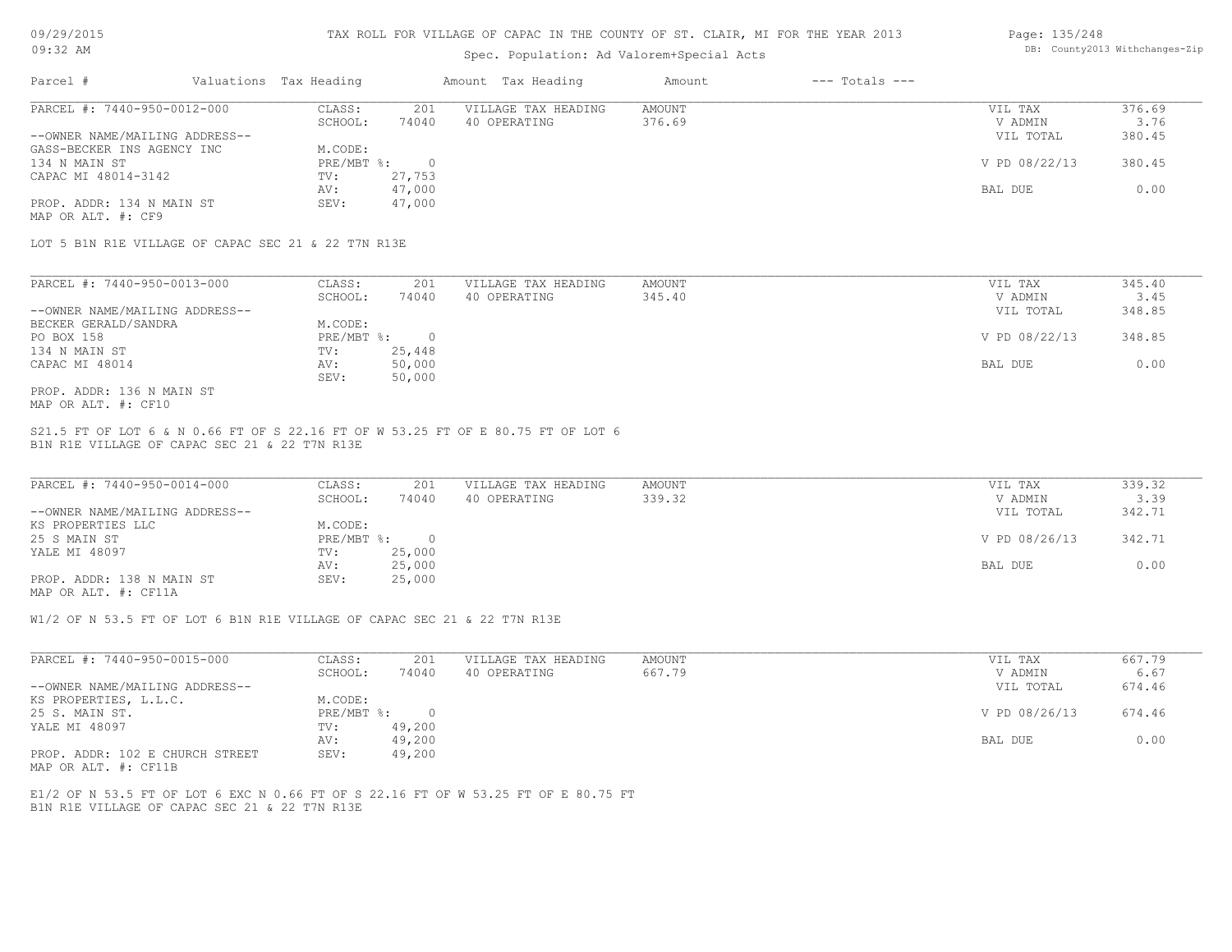| 09/29/2015 |  |
|------------|--|
| 32         |  |

# Spec. Population: Ad Valorem+Special Acts

#### Page: 135/248 DB: County2013 Withchanges-Zip

| Parcel #                       | Valuations Tax Heading |        | Amount Tax Heading  | Amount | $---$ Totals $---$ |               |        |
|--------------------------------|------------------------|--------|---------------------|--------|--------------------|---------------|--------|
| PARCEL #: 7440-950-0012-000    | CLASS:                 | 201    | VILLAGE TAX HEADING | AMOUNT |                    | VIL TAX       | 376.69 |
|                                | SCHOOL:                | 74040  | 40 OPERATING        | 376.69 |                    | V ADMIN       | 3.76   |
| --OWNER NAME/MAILING ADDRESS-- |                        |        |                     |        |                    | VIL TOTAL     | 380.45 |
| GASS-BECKER INS AGENCY INC     | M.CODE:                |        |                     |        |                    |               |        |
| 134 N MAIN ST                  | PRE/MBT %:             |        |                     |        |                    | V PD 08/22/13 | 380.45 |
| CAPAC MI 48014-3142            | TV:                    | 27,753 |                     |        |                    |               |        |
|                                | AV:                    | 47,000 |                     |        |                    | BAL DUE       | 0.00   |
| PROP. ADDR: 134 N MAIN ST      | SEV:                   | 47,000 |                     |        |                    |               |        |
| MAP OR ALT. #: CF9             |                        |        |                     |        |                    |               |        |

LOT 5 B1N R1E VILLAGE OF CAPAC SEC 21 & 22 T7N R13E

| PARCEL #: 7440-950-0013-000    | CLASS:     | 201    | VILLAGE TAX HEADING | AMOUNT | VIL TAX       | 345.40 |
|--------------------------------|------------|--------|---------------------|--------|---------------|--------|
|                                | SCHOOL:    | 74040  | 40 OPERATING        | 345.40 | V ADMIN       | 3.45   |
| --OWNER NAME/MAILING ADDRESS-- |            |        |                     |        | VIL TOTAL     | 348.85 |
| BECKER GERALD/SANDRA           | M.CODE:    |        |                     |        |               |        |
| PO BOX 158                     | PRE/MBT %: |        |                     |        | V PD 08/22/13 | 348.85 |
| 134 N MAIN ST                  | TV:        | 25,448 |                     |        |               |        |
| CAPAC MI 48014                 | AV:        | 50,000 |                     |        | BAL DUE       | 0.00   |
|                                | SEV:       | 50,000 |                     |        |               |        |
| PROP. ADDR: 136 N MAIN ST      |            |        |                     |        |               |        |

MAP OR ALT. #: CF10

B1N R1E VILLAGE OF CAPAC SEC 21 & 22 T7N R13E S21.5 FT OF LOT 6 & N 0.66 FT OF S 22.16 FT OF W 53.25 FT OF E 80.75 FT OF LOT 6

| PARCEL #: 7440-950-0014-000    | CLASS:       | 201    | VILLAGE TAX HEADING | AMOUNT | VIL TAX       | 339.32 |
|--------------------------------|--------------|--------|---------------------|--------|---------------|--------|
|                                | SCHOOL:      | 74040  | 40 OPERATING        | 339.32 | V ADMIN       | 3.39   |
| --OWNER NAME/MAILING ADDRESS-- |              |        |                     |        | VIL TOTAL     | 342.71 |
| KS PROPERTIES LLC              | M.CODE:      |        |                     |        |               |        |
| 25 S MAIN ST                   | $PRE/MBT$ %: |        |                     |        | V PD 08/26/13 | 342.71 |
| YALE MI 48097                  | TV:          | 25,000 |                     |        |               |        |
|                                | AV:          | 25,000 |                     |        | BAL DUE       | 0.00   |
| PROP. ADDR: 138 N MAIN ST      | SEV:         | 25,000 |                     |        |               |        |
|                                |              |        |                     |        |               |        |

MAP OR ALT. #: CF11A

W1/2 OF N 53.5 FT OF LOT 6 B1N R1E VILLAGE OF CAPAC SEC 21 & 22 T7N R13E

| PARCEL #: 7440-950-0015-000                                                                                                                        | CLASS:     | 201      | VILLAGE TAX HEADING | AMOUNT | VIL TAX       | 667.79 |
|----------------------------------------------------------------------------------------------------------------------------------------------------|------------|----------|---------------------|--------|---------------|--------|
|                                                                                                                                                    | SCHOOL:    | 74040    | 40 OPERATING        | 667.79 | V ADMIN       | 6.67   |
| --OWNER NAME/MAILING ADDRESS--                                                                                                                     |            |          |                     |        | VIL TOTAL     | 674.46 |
| KS PROPERTIES, L.L.C.                                                                                                                              | M.CODE:    |          |                     |        |               |        |
| 25 S. MAIN ST.                                                                                                                                     | PRE/MBT %: | $\Omega$ |                     |        | V PD 08/26/13 | 674.46 |
| YALE MI 48097                                                                                                                                      | TV:        | 49,200   |                     |        |               |        |
|                                                                                                                                                    | AV:        | 49,200   |                     |        | BAL DUE       | 0.00   |
| PROP. ADDR: 102 E CHURCH STREET<br>the contract of the contract of the contract of the contract of the contract of the contract of the contract of | SEV:       | 49,200   |                     |        |               |        |

MAP OR ALT. #: CF11B

B1N R1E VILLAGE OF CAPAC SEC 21 & 22 T7N R13E E1/2 OF N 53.5 FT OF LOT 6 EXC N 0.66 FT OF S 22.16 FT OF W 53.25 FT OF E 80.75 FT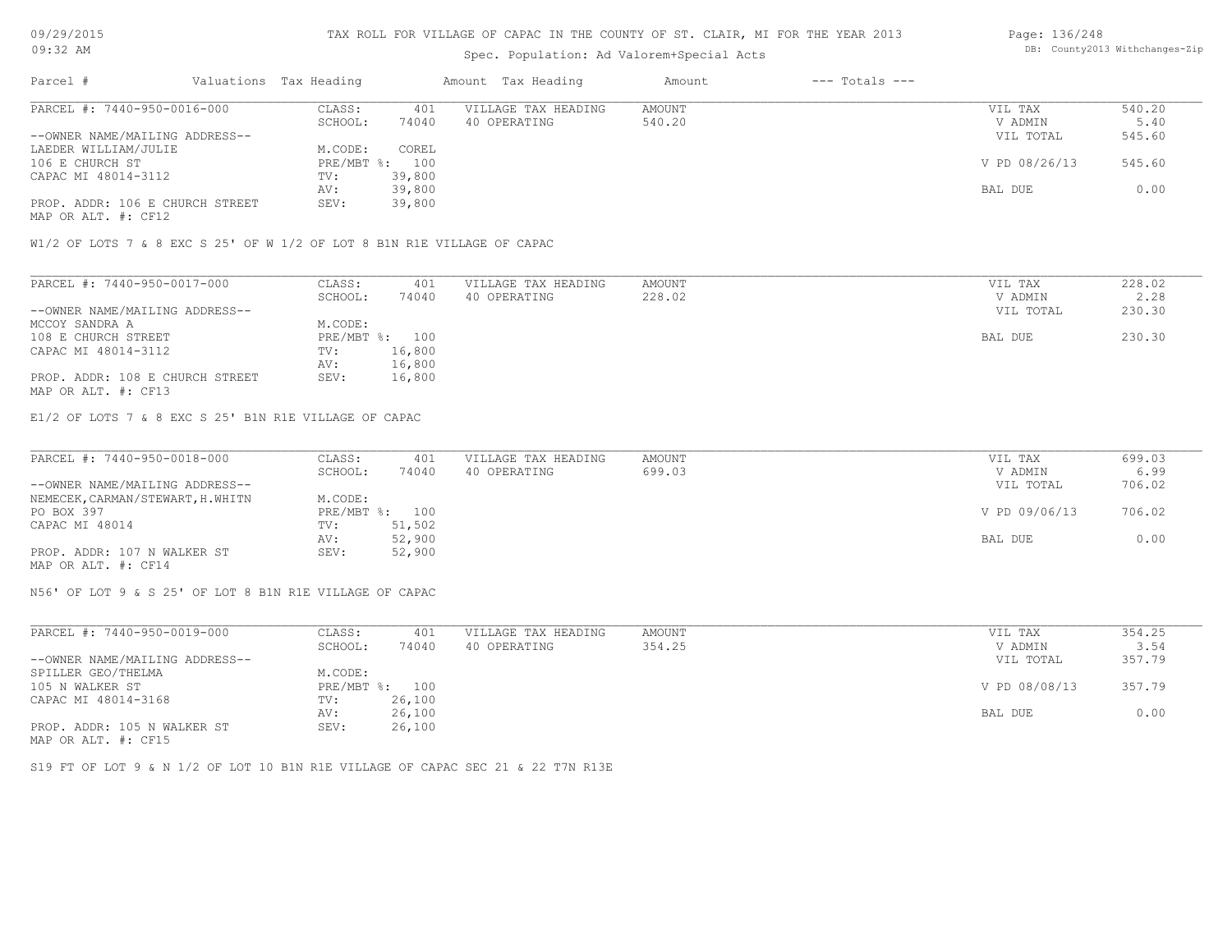### Spec. Population: Ad Valorem+Special Acts

### Page: 136/248 DB: County2013 Withchanges-Zip

| Parcel #                        | Valuations Tax Heading |        | Amount Tax Heading  | Amount | $---$ Totals $---$ |               |        |
|---------------------------------|------------------------|--------|---------------------|--------|--------------------|---------------|--------|
| PARCEL #: 7440-950-0016-000     | CLASS:                 | 401    | VILLAGE TAX HEADING | AMOUNT |                    | VIL TAX       | 540.20 |
|                                 | SCHOOL:                | 74040  | 40 OPERATING        | 540.20 |                    | V ADMIN       | 5.40   |
| --OWNER NAME/MAILING ADDRESS--  |                        |        |                     |        |                    | VIL TOTAL     | 545.60 |
| LAEDER WILLIAM/JULIE            | M.CODE:                | COREL  |                     |        |                    |               |        |
| 106 E CHURCH ST                 | $PRE/MBT$ %:           | 100    |                     |        |                    | V PD 08/26/13 | 545.60 |
| CAPAC MI 48014-3112             | TV:                    | 39,800 |                     |        |                    |               |        |
|                                 | AV:                    | 39,800 |                     |        |                    | BAL DUE       | 0.00   |
| PROP. ADDR: 106 E CHURCH STREET | SEV:                   | 39,800 |                     |        |                    |               |        |
|                                 |                        |        |                     |        |                    |               |        |

MAP OR ALT. #: CF12

W1/2 OF LOTS 7 & 8 EXC S 25' OF W 1/2 OF LOT 8 B1N R1E VILLAGE OF CAPAC

| PARCEL #: 7440-950-0017-000     | CLASS:  | 401            | VILLAGE TAX HEADING | AMOUNT | VIL TAX   | 228.02 |
|---------------------------------|---------|----------------|---------------------|--------|-----------|--------|
|                                 | SCHOOL: | 74040          | 40 OPERATING        | 228.02 | V ADMIN   | 2.28   |
| --OWNER NAME/MAILING ADDRESS--  |         |                |                     |        | VIL TOTAL | 230.30 |
| MCCOY SANDRA A                  | M.CODE: |                |                     |        |           |        |
| 108 E CHURCH STREET             |         | PRE/MBT %: 100 |                     |        | BAL DUE   | 230.30 |
| CAPAC MI 48014-3112             | TV:     | 16,800         |                     |        |           |        |
|                                 | AV:     | 16,800         |                     |        |           |        |
| PROP. ADDR: 108 E CHURCH STREET | SEV:    | 16,800         |                     |        |           |        |
| MAP OR ALT. #: CF13             |         |                |                     |        |           |        |

E1/2 OF LOTS 7 & 8 EXC S 25' B1N R1E VILLAGE OF CAPAC

| PARCEL #: 7440-950-0018-000       | CLASS:  | 401            | VILLAGE TAX HEADING | AMOUNT | VIL TAX       | 699.03 |
|-----------------------------------|---------|----------------|---------------------|--------|---------------|--------|
|                                   | SCHOOL: | 74040          | 40 OPERATING        | 699.03 | V ADMIN       | 6.99   |
| --OWNER NAME/MAILING ADDRESS--    |         |                |                     |        | VIL TOTAL     | 706.02 |
| NEMECEK, CARMAN/STEWART, H. WHITN | M.CODE: |                |                     |        |               |        |
| PO BOX 397                        |         | PRE/MBT %: 100 |                     |        | V PD 09/06/13 | 706.02 |
| CAPAC MI 48014                    | TV:     | 51,502         |                     |        |               |        |
|                                   | AV:     | 52,900         |                     |        | BAL DUE       | 0.00   |
| PROP. ADDR: 107 N WALKER ST       | SEV:    | 52,900         |                     |        |               |        |
| MAP OR ALT. #: CF14               |         |                |                     |        |               |        |

N56' OF LOT 9 & S 25' OF LOT 8 B1N R1E VILLAGE OF CAPAC

| PARCEL #: 7440-950-0019-000    | CLASS:       | 401    | VILLAGE TAX HEADING | AMOUNT | VIL TAX       | 354.25 |
|--------------------------------|--------------|--------|---------------------|--------|---------------|--------|
|                                | SCHOOL:      | 74040  | 40 OPERATING        | 354.25 | V ADMIN       | 3.54   |
| --OWNER NAME/MAILING ADDRESS-- |              |        |                     |        | VIL TOTAL     | 357.79 |
| SPILLER GEO/THELMA             | M.CODE:      |        |                     |        |               |        |
| 105 N WALKER ST                | $PRE/MBT$ %: | 100    |                     |        | V PD 08/08/13 | 357.79 |
| CAPAC MI 48014-3168            | TV:          | 26,100 |                     |        |               |        |
|                                | AV:          | 26,100 |                     |        | BAL DUE       | 0.00   |
| PROP. ADDR: 105 N WALKER ST    | SEV:         | 26,100 |                     |        |               |        |
| MAP OR ALT. #: CF15            |              |        |                     |        |               |        |

S19 FT OF LOT 9 & N 1/2 OF LOT 10 B1N R1E VILLAGE OF CAPAC SEC 21 & 22 T7N R13E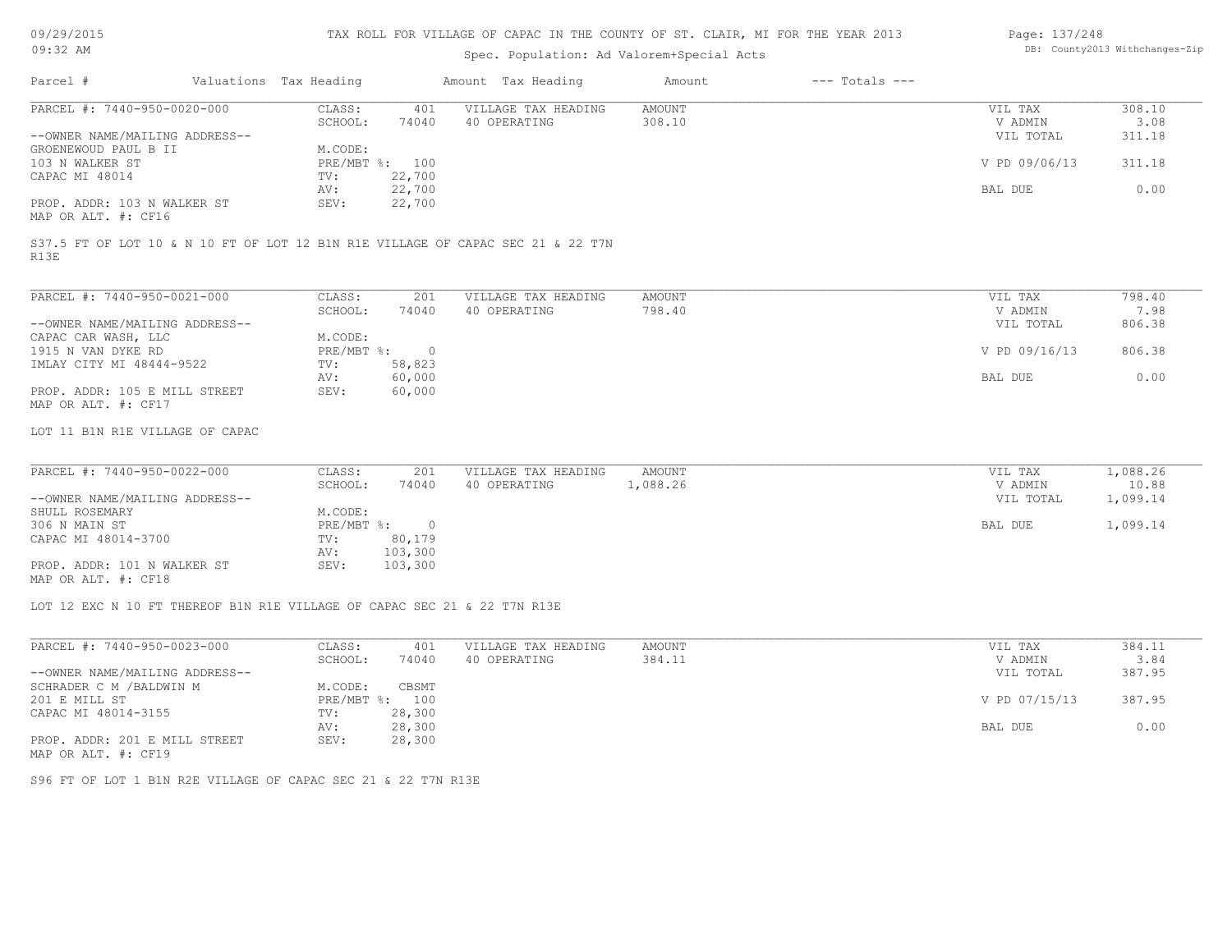### TAX ROLL FOR VILLAGE OF CAPAC IN THE COUNTY OF ST. CLAIR, MI FOR THE YEAR 2013

### Spec. Population: Ad Valorem+Special Acts

#### Page: 137/248 DB: County2013 Withchanges-Zip

| Parcel #                       | Valuations Tax Heading |        | Amount Tax Heading  | Amount | $---$ Totals $---$ |               |        |
|--------------------------------|------------------------|--------|---------------------|--------|--------------------|---------------|--------|
| PARCEL #: 7440-950-0020-000    | CLASS:                 | 401    | VILLAGE TAX HEADING | AMOUNT |                    | VIL TAX       | 308.10 |
|                                | SCHOOL:                | 74040  | 40 OPERATING        | 308.10 |                    | V ADMIN       | 3.08   |
| --OWNER NAME/MAILING ADDRESS-- |                        |        |                     |        |                    | VIL TOTAL     | 311.18 |
| GROENEWOUD PAUL B II           | M.CODE:                |        |                     |        |                    |               |        |
| 103 N WALKER ST                | PRE/MBT %: 100         |        |                     |        |                    | V PD 09/06/13 | 311.18 |
| CAPAC MI 48014                 | TV:                    | 22,700 |                     |        |                    |               |        |
|                                | AV:                    | 22,700 |                     |        |                    | BAL DUE       | 0.00   |
| PROP. ADDR: 103 N WALKER ST    | SEV:                   | 22,700 |                     |        |                    |               |        |
| MAP OR ALT. #: CF16            |                        |        |                     |        |                    |               |        |

R13E S37.5 FT OF LOT 10 & N 10 FT OF LOT 12 B1N R1E VILLAGE OF CAPAC SEC 21 & 22 T7N

| PARCEL #: 7440-950-0021-000    | CLASS:     | 201    | VILLAGE TAX HEADING | AMOUNT | VIL TAX       | 798.40 |
|--------------------------------|------------|--------|---------------------|--------|---------------|--------|
|                                | SCHOOL:    | 74040  | 40 OPERATING        | 798.40 | V ADMIN       | 7.98   |
| --OWNER NAME/MAILING ADDRESS-- |            |        |                     |        | VIL TOTAL     | 806.38 |
| CAPAC CAR WASH, LLC            | M.CODE:    |        |                     |        |               |        |
| 1915 N VAN DYKE RD             | PRE/MBT %: | $\cap$ |                     |        | V PD 09/16/13 | 806.38 |
| IMLAY CITY MI 48444-9522       | TV:        | 58,823 |                     |        |               |        |
|                                | AV:        | 60,000 |                     |        | BAL DUE       | 0.00   |
| PROP. ADDR: 105 E MILL STREET  | SEV:       | 60,000 |                     |        |               |        |
| MAP OR ALT. #: CF17            |            |        |                     |        |               |        |

LOT 11 B1N R1E VILLAGE OF CAPAC

| PARCEL #: 7440-950-0022-000    | CLASS:     | 201     | VILLAGE TAX HEADING | AMOUNT   | 1,088.26<br>VIL TAX   |
|--------------------------------|------------|---------|---------------------|----------|-----------------------|
|                                | SCHOOL:    | 74040   | 40 OPERATING        | l,088.26 | 10.88<br>V ADMIN      |
| --OWNER NAME/MAILING ADDRESS-- |            |         |                     |          | 1,099.14<br>VIL TOTAL |
| SHULL ROSEMARY                 | M.CODE:    |         |                     |          |                       |
| 306 N MAIN ST                  | PRE/MBT %: |         |                     |          | 1,099.14<br>BAL DUE   |
| CAPAC MI 48014-3700            | TV:        | 80,179  |                     |          |                       |
|                                | AV:        | 103,300 |                     |          |                       |
| PROP. ADDR: 101 N WALKER ST    | SEV:       | 103,300 |                     |          |                       |
| MAP OR ALT. #: CF18            |            |         |                     |          |                       |

 $\_$  , and the state of the state of the state of the state of the state of the state of the state of the state of the state of the state of the state of the state of the state of the state of the state of the state of the

LOT 12 EXC N 10 FT THEREOF B1N R1E VILLAGE OF CAPAC SEC 21 & 22 T7N R13E

| PARCEL #: 7440-950-0023-000    | CLASS:  | 401            | VILLAGE TAX HEADING | AMOUNT | VIL TAX       | 384.11 |
|--------------------------------|---------|----------------|---------------------|--------|---------------|--------|
|                                | SCHOOL: | 74040          | 40 OPERATING        | 384.11 | V ADMIN       | 3.84   |
| --OWNER NAME/MAILING ADDRESS-- |         |                |                     |        | VIL TOTAL     | 387.95 |
| SCHRADER C M / BALDWIN M       | M.CODE: | CBSMT          |                     |        |               |        |
| 201 E MILL ST                  |         | PRE/MBT %: 100 |                     |        | V PD 07/15/13 | 387.95 |
| CAPAC MI 48014-3155            | TV:     | 28,300         |                     |        |               |        |
|                                | AV:     | 28,300         |                     |        | BAL DUE       | 0.00   |
| PROP. ADDR: 201 E MILL STREET  | SEV:    | 28,300         |                     |        |               |        |
| MAP OR ALT. #: CF19            |         |                |                     |        |               |        |

S96 FT OF LOT 1 B1N R2E VILLAGE OF CAPAC SEC 21 & 22 T7N R13E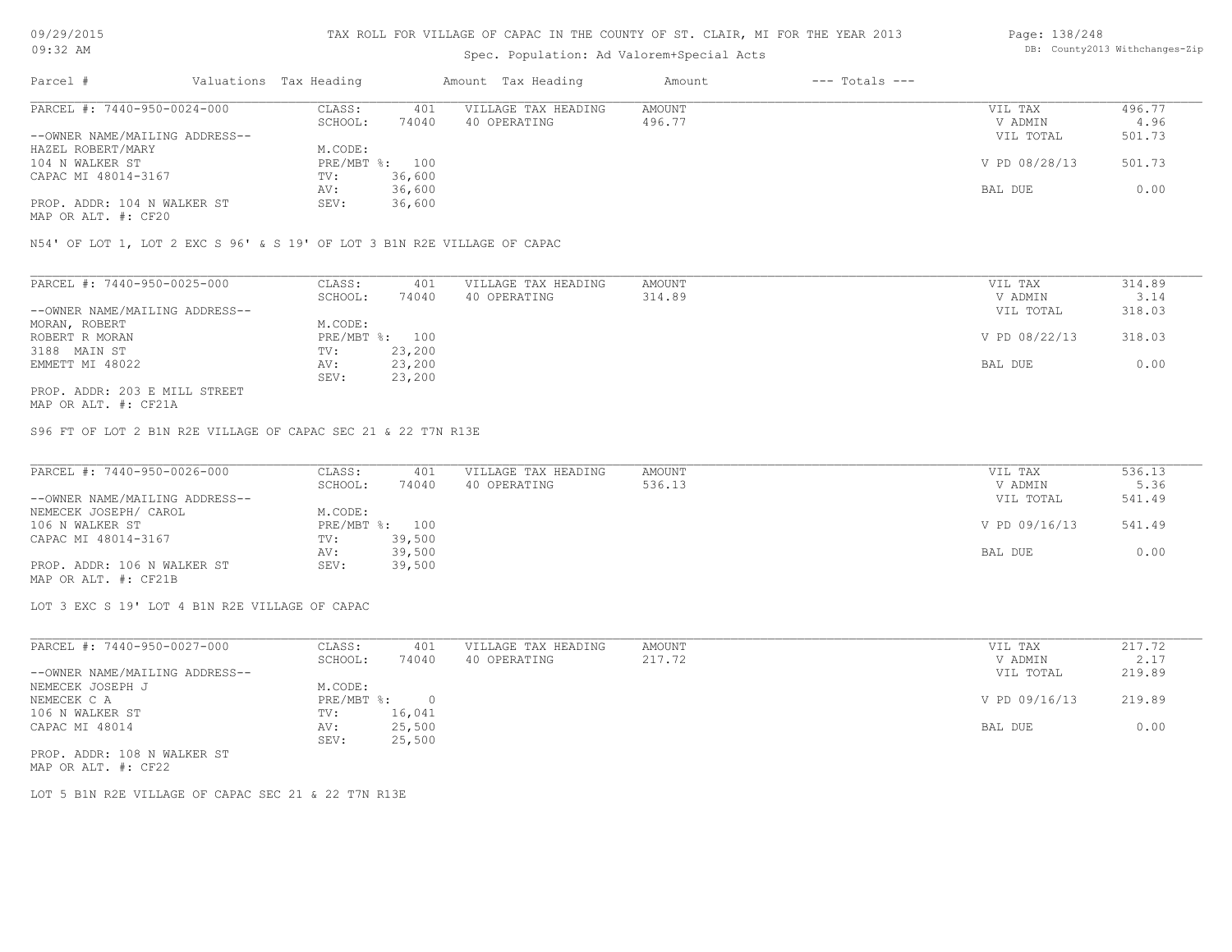# Spec. Population: Ad Valorem+Special Acts

#### Page: 138/248 DB: County2013 Withchanges-Zip

| Parcel #                       | Valuations Tax Heading |        | Amount Tax Heading  | Amount | $---$ Totals $---$ |               |        |
|--------------------------------|------------------------|--------|---------------------|--------|--------------------|---------------|--------|
| PARCEL #: 7440-950-0024-000    | CLASS:                 | 401    | VILLAGE TAX HEADING | AMOUNT |                    | VIL TAX       | 496.77 |
|                                | SCHOOL:                | 74040  | 40 OPERATING        | 496.77 |                    | V ADMIN       | 4.96   |
| --OWNER NAME/MAILING ADDRESS-- |                        |        |                     |        |                    | VIL TOTAL     | 501.73 |
| HAZEL ROBERT/MARY              | M.CODE:                |        |                     |        |                    |               |        |
| 104 N WALKER ST                | PRE/MBT %: 100         |        |                     |        |                    | V PD 08/28/13 | 501.73 |
| CAPAC MI 48014-3167            | TV:                    | 36,600 |                     |        |                    |               |        |
|                                | AV:                    | 36,600 |                     |        |                    | BAL DUE       | 0.00   |
| PROP. ADDR: 104 N WALKER ST    | SEV:                   | 36,600 |                     |        |                    |               |        |
|                                |                        |        |                     |        |                    |               |        |

MAP OR ALT. #: CF20

N54' OF LOT 1, LOT 2 EXC S 96' & S 19' OF LOT 3 B1N R2E VILLAGE OF CAPAC

| PARCEL #: 7440-950-0025-000    | CLASS:  | 401            | VILLAGE TAX HEADING | AMOUNT | VIL TAX       | 314.89 |
|--------------------------------|---------|----------------|---------------------|--------|---------------|--------|
|                                | SCHOOL: | 74040          | 40 OPERATING        | 314.89 | V ADMIN       | 3.14   |
| --OWNER NAME/MAILING ADDRESS-- |         |                |                     |        | VIL TOTAL     | 318.03 |
| MORAN, ROBERT                  | M.CODE: |                |                     |        |               |        |
| ROBERT R MORAN                 |         | PRE/MBT %: 100 |                     |        | V PD 08/22/13 | 318.03 |
| 3188 MAIN ST                   | TV:     | 23,200         |                     |        |               |        |
| EMMETT MI 48022                | AV:     | 23,200         |                     |        | BAL DUE       | 0.00   |
|                                | SEV:    | 23,200         |                     |        |               |        |
| PROP. ADDR: 203 E MILL STREET  |         |                |                     |        |               |        |

MAP OR ALT. #: CF21A

S96 FT OF LOT 2 B1N R2E VILLAGE OF CAPAC SEC 21 & 22 T7N R13E

| PARCEL #: 7440-950-0026-000    | CLASS:  | 401            | VILLAGE TAX HEADING | AMOUNT | VIL TAX       | 536.13 |
|--------------------------------|---------|----------------|---------------------|--------|---------------|--------|
|                                | SCHOOL: | 74040          | 40 OPERATING        | 536.13 | V ADMIN       | 5.36   |
| --OWNER NAME/MAILING ADDRESS-- |         |                |                     |        | VIL TOTAL     | 541.49 |
| NEMECEK JOSEPH/ CAROL          | M.CODE: |                |                     |        |               |        |
| 106 N WALKER ST                |         | PRE/MBT %: 100 |                     |        | V PD 09/16/13 | 541.49 |
| CAPAC MI 48014-3167            | TV:     | 39,500         |                     |        |               |        |
|                                | AV:     | 39,500         |                     |        | BAL DUE       | 0.00   |
| PROP. ADDR: 106 N WALKER ST    | SEV:    | 39,500         |                     |        |               |        |
|                                |         |                |                     |        |               |        |

MAP OR ALT. #: CF21B

LOT 3 EXC S 19' LOT 4 B1N R2E VILLAGE OF CAPAC

| PARCEL #: 7440-950-0027-000    | CLASS:       | 401    | VILLAGE TAX HEADING | AMOUNT | VIL TAX       | 217.72 |
|--------------------------------|--------------|--------|---------------------|--------|---------------|--------|
|                                | SCHOOL:      | 74040  | 40 OPERATING        | 217.72 | V ADMIN       | 2.17   |
| --OWNER NAME/MAILING ADDRESS-- |              |        |                     |        | VIL TOTAL     | 219.89 |
| NEMECEK JOSEPH J               | M.CODE:      |        |                     |        |               |        |
| NEMECEK C A                    | $PRE/MBT$ %: |        |                     |        | V PD 09/16/13 | 219.89 |
| 106 N WALKER ST                | TV:          | 16,041 |                     |        |               |        |
| CAPAC MI 48014                 | AV:          | 25,500 |                     |        | BAL DUE       | 0.00   |
|                                | SEV:         | 25,500 |                     |        |               |        |
| PROP. ADDR: 108 N WALKER ST    |              |        |                     |        |               |        |

MAP OR ALT. #: CF22

LOT 5 B1N R2E VILLAGE OF CAPAC SEC 21 & 22 T7N R13E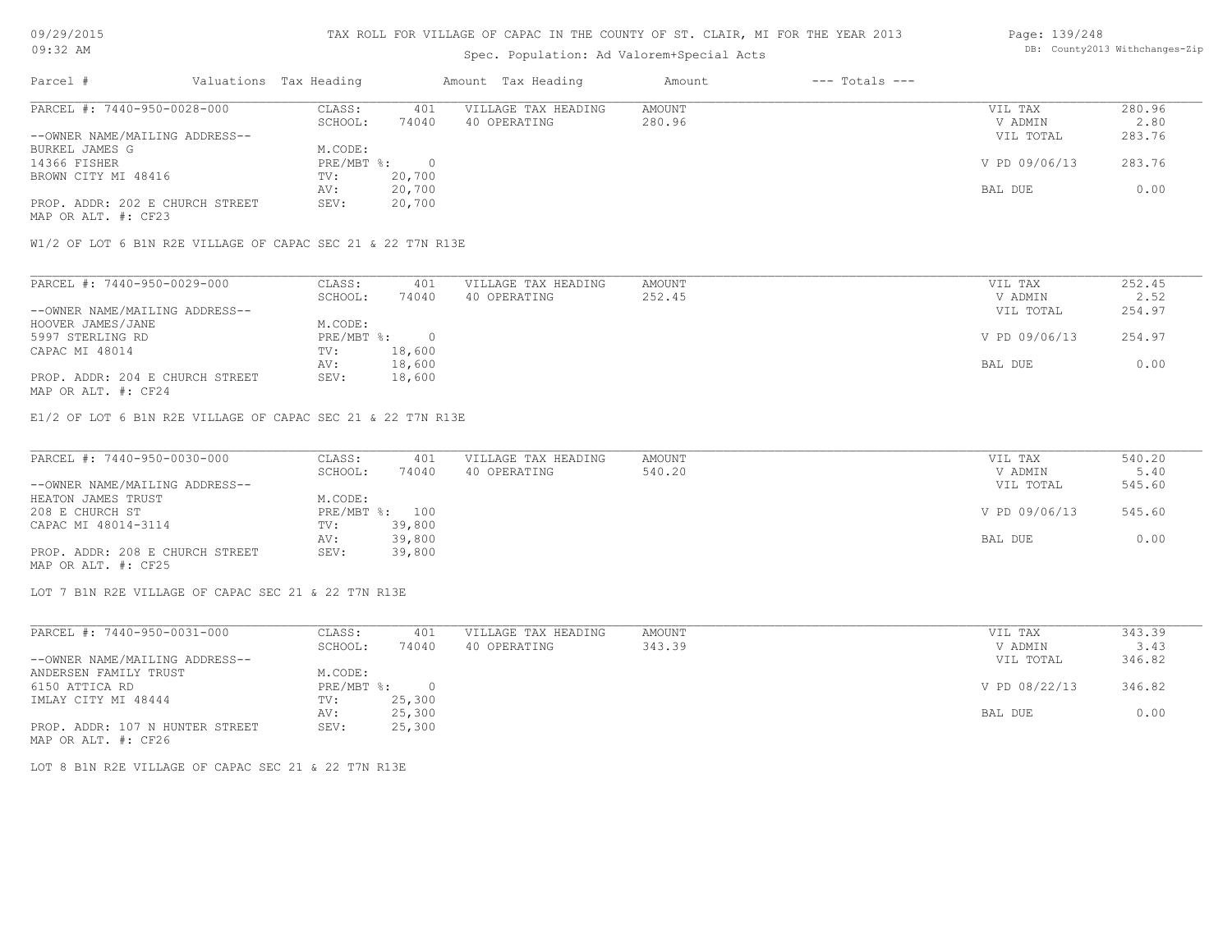### TAX ROLL FOR VILLAGE OF CAPAC IN THE COUNTY OF ST. CLAIR, MI FOR THE YEAR 2013

### Spec. Population: Ad Valorem+Special Acts

#### Page: 139/248 DB: County2013 Withchanges-Zip

| Parcel #                        | Valuations Tax Heading |        | Amount Tax Heading  | Amount | $---$ Totals $---$ |               |        |
|---------------------------------|------------------------|--------|---------------------|--------|--------------------|---------------|--------|
| PARCEL #: 7440-950-0028-000     | CLASS:                 | 401    | VILLAGE TAX HEADING | AMOUNT |                    | VIL TAX       | 280.96 |
|                                 | SCHOOL:                | 74040  | 40 OPERATING        | 280.96 |                    | V ADMIN       | 2.80   |
| --OWNER NAME/MAILING ADDRESS--  |                        |        |                     |        |                    | VIL TOTAL     | 283.76 |
| BURKEL JAMES G                  | M.CODE:                |        |                     |        |                    |               |        |
| 14366 FISHER                    | PRE/MBT %:             |        |                     |        |                    | V PD 09/06/13 | 283.76 |
| BROWN CITY MI 48416             | TV:                    | 20,700 |                     |        |                    |               |        |
|                                 | AV:                    | 20,700 |                     |        |                    | BAL DUE       | 0.00   |
| PROP. ADDR: 202 E CHURCH STREET | SEV:                   | 20,700 |                     |        |                    |               |        |
| MAP OR ALT. #: CF23             |                        |        |                     |        |                    |               |        |

W1/2 OF LOT 6 B1N R2E VILLAGE OF CAPAC SEC 21 & 22 T7N R13E

| PARCEL #: 7440-950-0029-000     | CLASS:     | 401    | VILLAGE TAX HEADING | AMOUNT | VIL TAX       | 252.45 |
|---------------------------------|------------|--------|---------------------|--------|---------------|--------|
|                                 | SCHOOL:    | 74040  | 40 OPERATING        | 252.45 | V ADMIN       | 2.52   |
| --OWNER NAME/MAILING ADDRESS--  |            |        |                     |        | VIL TOTAL     | 254.97 |
| HOOVER JAMES/JANE               | M.CODE:    |        |                     |        |               |        |
| 5997 STERLING RD                | PRE/MBT %: |        |                     |        | V PD 09/06/13 | 254.97 |
| CAPAC MI 48014                  | TV:        | 18,600 |                     |        |               |        |
|                                 | AV:        | 18,600 |                     |        | BAL DUE       | 0.00   |
| PROP. ADDR: 204 E CHURCH STREET | SEV:       | 18,600 |                     |        |               |        |
| MAP OR ALT. #: CF24             |            |        |                     |        |               |        |

E1/2 OF LOT 6 B1N R2E VILLAGE OF CAPAC SEC 21 & 22 T7N R13E

| PARCEL #: 7440-950-0030-000     | CLASS:  | 401            | VILLAGE TAX HEADING | AMOUNT | VIL TAX       | 540.20 |
|---------------------------------|---------|----------------|---------------------|--------|---------------|--------|
|                                 | SCHOOL: | 74040          | 40 OPERATING        | 540.20 | V ADMIN       | 5.40   |
| --OWNER NAME/MAILING ADDRESS--  |         |                |                     |        | VIL TOTAL     | 545.60 |
| HEATON JAMES TRUST              | M.CODE: |                |                     |        |               |        |
| 208 E CHURCH ST                 |         | PRE/MBT %: 100 |                     |        | V PD 09/06/13 | 545.60 |
| CAPAC MI 48014-3114             | TV:     | 39,800         |                     |        |               |        |
|                                 | AV:     | 39,800         |                     |        | BAL DUE       | 0.00   |
| PROP. ADDR: 208 E CHURCH STREET | SEV:    | 39,800         |                     |        |               |        |
| MAP OR ALT. #: CF25             |         |                |                     |        |               |        |

LOT 7 B1N R2E VILLAGE OF CAPAC SEC 21 & 22 T7N R13E

| PARCEL #: 7440-950-0031-000     | CLASS:     | 401    | VILLAGE TAX HEADING | AMOUNT | VIL TAX       | 343.39 |
|---------------------------------|------------|--------|---------------------|--------|---------------|--------|
|                                 | SCHOOL:    | 74040  | 40 OPERATING        | 343.39 | V ADMIN       | 3.43   |
| --OWNER NAME/MAILING ADDRESS--  |            |        |                     |        | VIL TOTAL     | 346.82 |
| ANDERSEN FAMILY TRUST           | M.CODE:    |        |                     |        |               |        |
| 6150 ATTICA RD                  | PRE/MBT %: | $\cap$ |                     |        | V PD 08/22/13 | 346.82 |
| IMLAY CITY MI 48444             | TV:        | 25,300 |                     |        |               |        |
|                                 | AV:        | 25,300 |                     |        | BAL DUE       | 0.00   |
| PROP. ADDR: 107 N HUNTER STREET | SEV:       | 25,300 |                     |        |               |        |
| MAP OR ALT. #: CF26             |            |        |                     |        |               |        |

LOT 8 B1N R2E VILLAGE OF CAPAC SEC 21 & 22 T7N R13E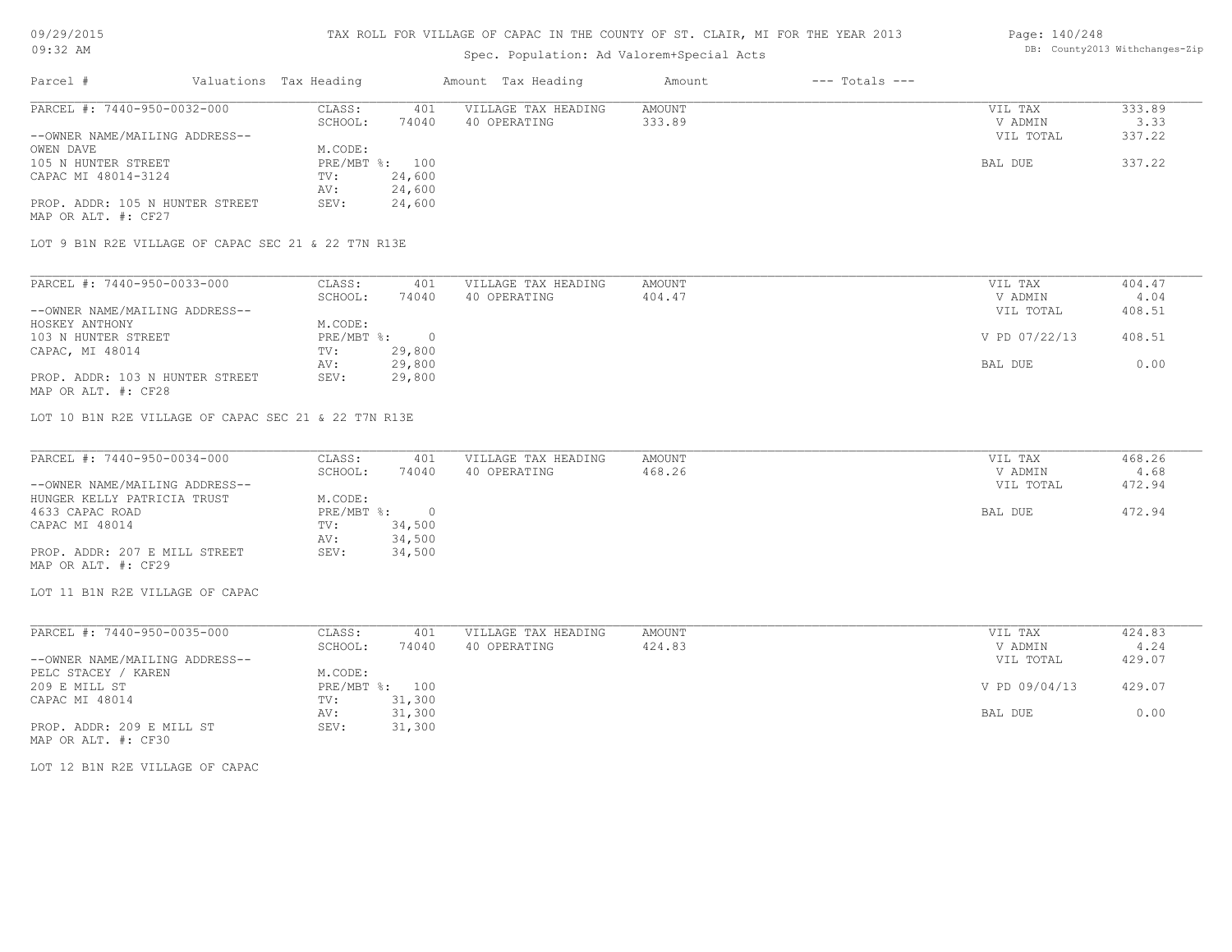### TAX ROLL FOR VILLAGE OF CAPAC IN THE COUNTY OF ST. CLAIR, MI FOR THE YEAR 2013

# Spec. Population: Ad Valorem+Special Acts

### Page: 140/248 DB: County2013 Withchanges-Zip

| Parcel #                                             | Valuations Tax Heading |          | Amount Tax Heading  | Amount        | $---$ Totals $---$ |               |        |
|------------------------------------------------------|------------------------|----------|---------------------|---------------|--------------------|---------------|--------|
| PARCEL #: 7440-950-0032-000                          | CLASS:                 | 401      | VILLAGE TAX HEADING | <b>AMOUNT</b> |                    | VIL TAX       | 333.89 |
|                                                      | SCHOOL:                | 74040    | 40 OPERATING        | 333.89        |                    | V ADMIN       | 3.33   |
| --OWNER NAME/MAILING ADDRESS--                       |                        |          |                     |               |                    | VIL TOTAL     | 337.22 |
| OWEN DAVE                                            | M.CODE:                |          |                     |               |                    |               |        |
| 105 N HUNTER STREET                                  | PRE/MBT %:             | 100      |                     |               |                    | BAL DUE       | 337.22 |
| CAPAC MI 48014-3124                                  | TV:                    | 24,600   |                     |               |                    |               |        |
|                                                      | AV:                    | 24,600   |                     |               |                    |               |        |
| PROP. ADDR: 105 N HUNTER STREET                      | SEV:                   | 24,600   |                     |               |                    |               |        |
| MAP OR ALT. #: CF27                                  |                        |          |                     |               |                    |               |        |
| LOT 9 B1N R2E VILLAGE OF CAPAC SEC 21 & 22 T7N R13E  |                        |          |                     |               |                    |               |        |
| PARCEL #: 7440-950-0033-000                          | CLASS:                 | 401      | VILLAGE TAX HEADING | AMOUNT        |                    | VIL TAX       | 404.47 |
|                                                      | SCHOOL:                | 74040    | 40 OPERATING        | 404.47        |                    | V ADMIN       | 4.04   |
| --OWNER NAME/MAILING ADDRESS--                       |                        |          |                     |               |                    | VIL TOTAL     | 408.51 |
| HOSKEY ANTHONY                                       | M.CODE:                |          |                     |               |                    |               |        |
| 103 N HUNTER STREET                                  | $PRE/MBT$ %:           | $\Omega$ |                     |               |                    | V PD 07/22/13 | 408.51 |
| CAPAC, MI 48014                                      | TV:                    | 29,800   |                     |               |                    |               |        |
|                                                      | AV:                    | 29,800   |                     |               |                    | BAL DUE       | 0.00   |
| PROP. ADDR: 103 N HUNTER STREET                      | SEV:                   | 29,800   |                     |               |                    |               |        |
| MAP OR ALT. #: CF28                                  |                        |          |                     |               |                    |               |        |
| LOT 10 B1N R2E VILLAGE OF CAPAC SEC 21 & 22 T7N R13E |                        |          |                     |               |                    |               |        |
|                                                      |                        |          |                     |               |                    |               |        |

| PARCEL #: 7440-950-0034-000    | CLASS:     | 401    | VILLAGE TAX HEADING | AMOUNT | VIL TAX   | 468.26 |
|--------------------------------|------------|--------|---------------------|--------|-----------|--------|
|                                | SCHOOL:    | 74040  | 40 OPERATING        | 468.26 | V ADMIN   | 4.68   |
| --OWNER NAME/MAILING ADDRESS-- |            |        |                     |        | VIL TOTAL | 472.94 |
| HUNGER KELLY PATRICIA TRUST    | M.CODE:    |        |                     |        |           |        |
| 4633 CAPAC ROAD                | PRE/MBT %: |        |                     |        | BAL DUE   | 472.94 |
| CAPAC MI 48014                 | TV:        | 34,500 |                     |        |           |        |
|                                | AV:        | 34,500 |                     |        |           |        |
| PROP. ADDR: 207 E MILL STREET  | SEV:       | 34,500 |                     |        |           |        |
| MAP OR ALT. #: CF29            |            |        |                     |        |           |        |

LOT 11 B1N R2E VILLAGE OF CAPAC

| PARCEL #: 7440-950-0035-000    | CLASS:     | 401    | VILLAGE TAX HEADING | AMOUNT | 424.83<br>VIL TAX       |
|--------------------------------|------------|--------|---------------------|--------|-------------------------|
|                                | SCHOOL:    | 74040  | 40 OPERATING        | 424.83 | 4.24<br>V ADMIN         |
| --OWNER NAME/MAILING ADDRESS-- |            |        |                     |        | 429.07<br>VIL TOTAL     |
| PELC STACEY<br>KAREN           | M.CODE:    |        |                     |        |                         |
| 209 E MILL ST                  | PRE/MBT %: | 100    |                     |        | V PD 09/04/13<br>429.07 |
| CAPAC MI 48014                 | TV:        | 31,300 |                     |        |                         |
|                                | AV:        | 31,300 |                     |        | 0.00<br>BAL DUE         |
| PROP. ADDR: 209 E MILL ST      | SEV:       | 31,300 |                     |        |                         |
| MAP OR ALT. #: CF30            |            |        |                     |        |                         |

LOT 12 B1N R2E VILLAGE OF CAPAC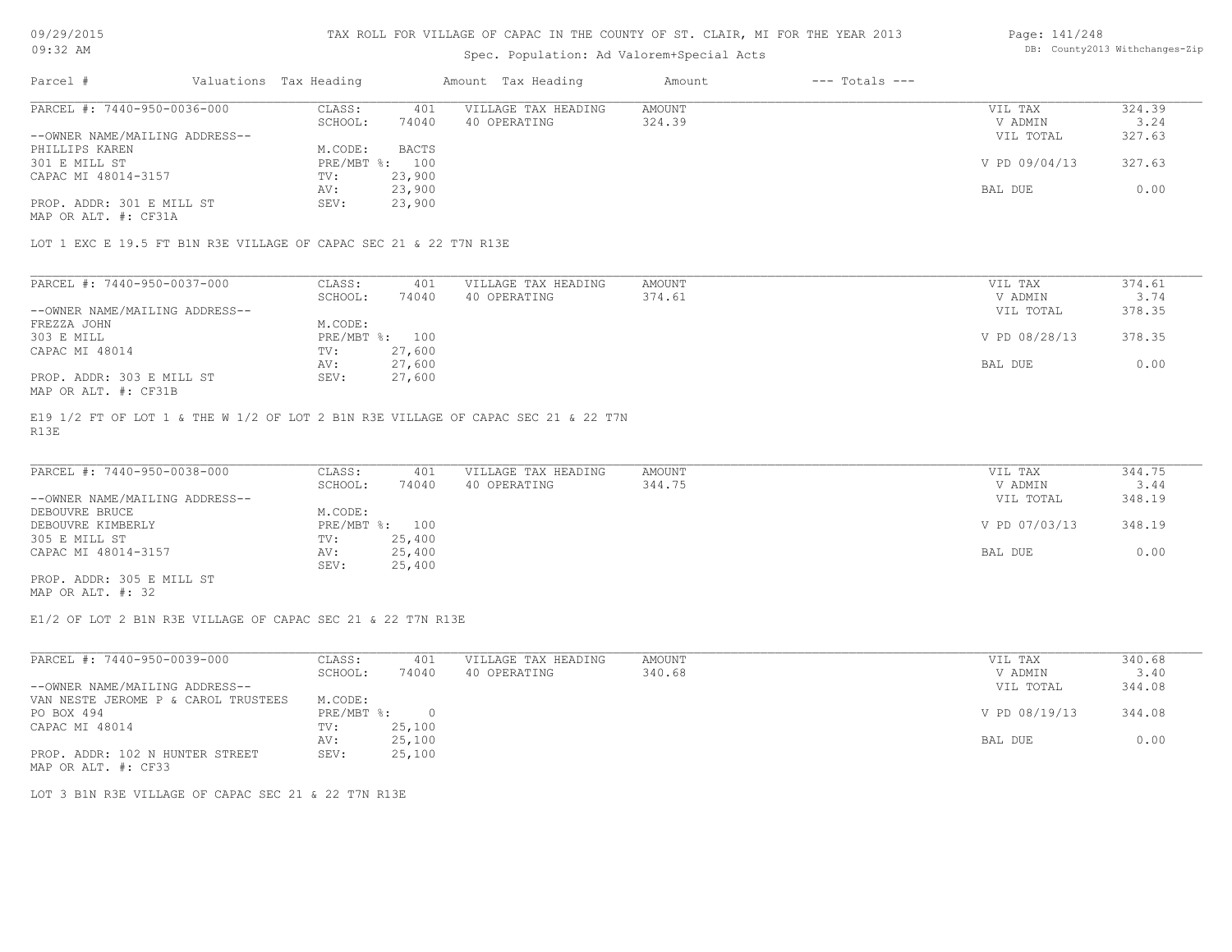# Spec. Population: Ad Valorem+Special Acts

#### Page: 141/248 DB: County2013 Withchanges-Zip

| Parcel #                       | Valuations Tax Heading |        | Amount Tax Heading  | Amount | $---$ Totals $---$ |               |        |
|--------------------------------|------------------------|--------|---------------------|--------|--------------------|---------------|--------|
| PARCEL #: 7440-950-0036-000    | CLASS:                 | 401    | VILLAGE TAX HEADING | AMOUNT |                    | VIL TAX       | 324.39 |
|                                | SCHOOL:                | 74040  | 40 OPERATING        | 324.39 |                    | V ADMIN       | 3.24   |
| --OWNER NAME/MAILING ADDRESS-- |                        |        |                     |        |                    | VIL TOTAL     | 327.63 |
| PHILLIPS KAREN                 | M.CODE:                | BACTS  |                     |        |                    |               |        |
| 301 E MILL ST                  | $PRE/MBT$ %:           | 100    |                     |        |                    | V PD 09/04/13 | 327.63 |
| CAPAC MI 48014-3157            | TV:                    | 23,900 |                     |        |                    |               |        |
|                                | AV:                    | 23,900 |                     |        |                    | BAL DUE       | 0.00   |
| PROP. ADDR: 301 E MILL ST      | SEV:                   | 23,900 |                     |        |                    |               |        |
| MAP OR ALT. #: CF31A           |                        |        |                     |        |                    |               |        |

LOT 1 EXC E 19.5 FT B1N R3E VILLAGE OF CAPAC SEC 21 & 22 T7N R13E

| PARCEL #: 7440-950-0037-000    | CLASS:  | 401            | VILLAGE TAX HEADING | AMOUNT | VIL TAX       | 374.61 |
|--------------------------------|---------|----------------|---------------------|--------|---------------|--------|
|                                | SCHOOL: | 74040          | 40 OPERATING        | 374.61 | V ADMIN       | 3.74   |
| --OWNER NAME/MAILING ADDRESS-- |         |                |                     |        | VIL TOTAL     | 378.35 |
| FREZZA JOHN                    | M.CODE: |                |                     |        |               |        |
| 303 E MILL                     |         | PRE/MBT %: 100 |                     |        | V PD 08/28/13 | 378.35 |
| CAPAC MI 48014                 | TV:     | 27,600         |                     |        |               |        |
|                                | AV:     | 27,600         |                     |        | BAL DUE       | 0.00   |
| PROP. ADDR: 303 E MILL ST      | SEV:    | 27,600         |                     |        |               |        |
| MAP OR ALT. #: CF31B           |         |                |                     |        |               |        |

R13E E19 1/2 FT OF LOT 1 & THE W 1/2 OF LOT 2 B1N R3E VILLAGE OF CAPAC SEC 21 & 22 T7N

| PARCEL #: 7440-950-0038-000    | CLASS:         | 401    | VILLAGE TAX HEADING | AMOUNT | VIL TAX       | 344.75 |
|--------------------------------|----------------|--------|---------------------|--------|---------------|--------|
|                                | SCHOOL:        | 74040  | 40 OPERATING        | 344.75 | V ADMIN       | 3.44   |
| --OWNER NAME/MAILING ADDRESS-- |                |        |                     |        | VIL TOTAL     | 348.19 |
| DEBOUVRE BRUCE                 | M.CODE:        |        |                     |        |               |        |
| DEBOUVRE KIMBERLY              | PRE/MBT %: 100 |        |                     |        | V PD 07/03/13 | 348.19 |
| 305 E MILL ST                  | TV:            | 25,400 |                     |        |               |        |
| CAPAC MI 48014-3157            | AV:            | 25,400 |                     |        | BAL DUE       | 0.00   |
|                                | SEV:           | 25,400 |                     |        |               |        |
| PROP. ADDR: 305 E MILL ST      |                |        |                     |        |               |        |

MAP OR ALT. #: 32

E1/2 OF LOT 2 B1N R3E VILLAGE OF CAPAC SEC 21 & 22 T7N R13E

| PARCEL #: 7440-950-0039-000         | CLASS:     | 401    | VILLAGE TAX HEADING | AMOUNT | 340.68<br>VIL TAX       |
|-------------------------------------|------------|--------|---------------------|--------|-------------------------|
|                                     | SCHOOL:    | 74040  | 40 OPERATING        | 340.68 | 3.40<br>V ADMIN         |
| --OWNER NAME/MAILING ADDRESS--      |            |        |                     |        | 344.08<br>VIL TOTAL     |
| VAN NESTE JEROME P & CAROL TRUSTEES | M.CODE:    |        |                     |        |                         |
| PO BOX 494                          | PRE/MBT %: |        |                     |        | V PD 08/19/13<br>344.08 |
| CAPAC MI 48014                      | TV:        | 25,100 |                     |        |                         |
|                                     | AV:        | 25,100 |                     |        | 0.00<br>BAL DUE         |
| PROP. ADDR: 102 N HUNTER STREET     | SEV:       | 25,100 |                     |        |                         |
| MAP OR ALT. #: CF33                 |            |        |                     |        |                         |

LOT 3 B1N R3E VILLAGE OF CAPAC SEC 21 & 22 T7N R13E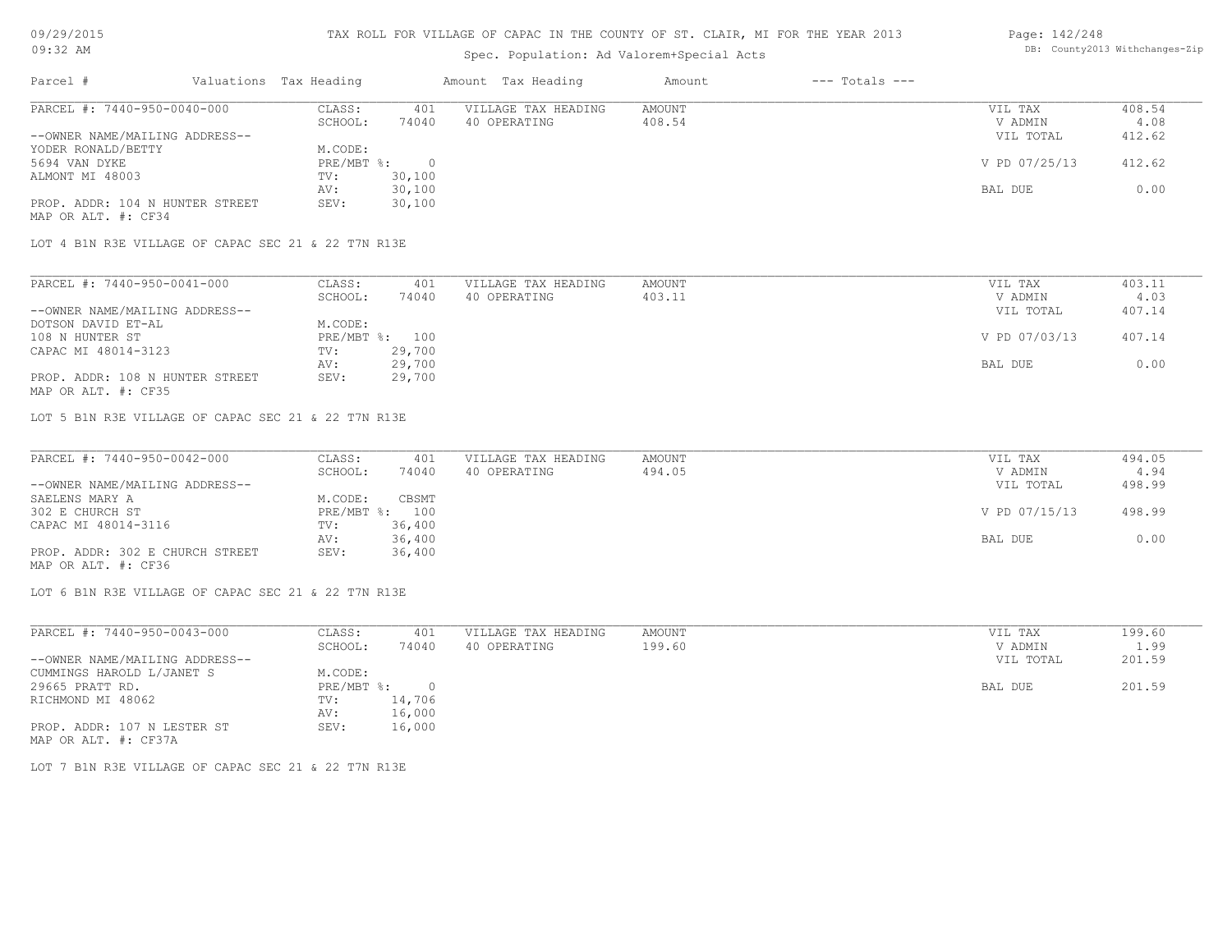### TAX ROLL FOR VILLAGE OF CAPAC IN THE COUNTY OF ST. CLAIR, MI FOR THE YEAR 2013

### Spec. Population: Ad Valorem+Special Acts

#### Page: 142/248 DB: County2013 Withchanges-Zip

| Parcel #                        | Valuations Tax Heading |        | Amount Tax Heading  | Amount | $---$ Totals $---$ |               |        |
|---------------------------------|------------------------|--------|---------------------|--------|--------------------|---------------|--------|
| PARCEL #: 7440-950-0040-000     | CLASS:                 | 401    | VILLAGE TAX HEADING | AMOUNT |                    | VIL TAX       | 408.54 |
|                                 | SCHOOL:                | 74040  | 40 OPERATING        | 408.54 |                    | V ADMIN       | 4.08   |
| --OWNER NAME/MAILING ADDRESS--  |                        |        |                     |        |                    | VIL TOTAL     | 412.62 |
| YODER RONALD/BETTY              | M.CODE:                |        |                     |        |                    |               |        |
| 5694 VAN DYKE                   | PRE/MBT %:             |        |                     |        |                    | V PD 07/25/13 | 412.62 |
| ALMONT MI 48003                 | TV:                    | 30,100 |                     |        |                    |               |        |
|                                 | AV:                    | 30,100 |                     |        |                    | BAL DUE       | 0.00   |
| PROP. ADDR: 104 N HUNTER STREET | SEV:                   | 30,100 |                     |        |                    |               |        |
| MAP OR ALT. #: CF34             |                        |        |                     |        |                    |               |        |

LOT 4 B1N R3E VILLAGE OF CAPAC SEC 21 & 22 T7N R13E

| PARCEL #: 7440-950-0041-000     | CLASS:  | 401            | VILLAGE TAX HEADING | AMOUNT | VIL TAX       | 403.11 |
|---------------------------------|---------|----------------|---------------------|--------|---------------|--------|
|                                 | SCHOOL: | 74040          | 40 OPERATING        | 403.11 | V ADMIN       | 4.03   |
| --OWNER NAME/MAILING ADDRESS--  |         |                |                     |        | VIL TOTAL     | 407.14 |
| DOTSON DAVID ET-AL              | M.CODE: |                |                     |        |               |        |
| 108 N HUNTER ST                 |         | PRE/MBT %: 100 |                     |        | V PD 07/03/13 | 407.14 |
| CAPAC MI 48014-3123             | TV:     | 29,700         |                     |        |               |        |
|                                 | AV:     | 29,700         |                     |        | BAL DUE       | 0.00   |
| PROP. ADDR: 108 N HUNTER STREET | SEV:    | 29,700         |                     |        |               |        |
| MAP OR ALT. #: CF35             |         |                |                     |        |               |        |

LOT 5 B1N R3E VILLAGE OF CAPAC SEC 21 & 22 T7N R13E

| PARCEL #: 7440-950-0042-000     | CLASS:  | 401            | VILLAGE TAX HEADING | AMOUNT | VIL TAX       | 494.05 |
|---------------------------------|---------|----------------|---------------------|--------|---------------|--------|
|                                 | SCHOOL: | 74040          | 40 OPERATING        | 494.05 | V ADMIN       | 4.94   |
| --OWNER NAME/MAILING ADDRESS--  |         |                |                     |        | VIL TOTAL     | 498.99 |
| SAELENS MARY A                  | M.CODE: | CBSMT          |                     |        |               |        |
| 302 E CHURCH ST                 |         | PRE/MBT %: 100 |                     |        | V PD 07/15/13 | 498.99 |
| CAPAC MI 48014-3116             | TV:     | 36,400         |                     |        |               |        |
|                                 | AV:     | 36,400         |                     |        | BAL DUE       | 0.00   |
| PROP. ADDR: 302 E CHURCH STREET | SEV:    | 36,400         |                     |        |               |        |
| MAP OR ALT. #: CF36             |         |                |                     |        |               |        |

LOT 6 B1N R3E VILLAGE OF CAPAC SEC 21 & 22 T7N R13E

| PARCEL #: 7440-950-0043-000    | CLASS:     | 401    | VILLAGE TAX HEADING | AMOUNT | VIL TAX   | 199.60 |
|--------------------------------|------------|--------|---------------------|--------|-----------|--------|
|                                | SCHOOL:    | 74040  | 40 OPERATING        | 199.60 | V ADMIN   | 1.99   |
| --OWNER NAME/MAILING ADDRESS-- |            |        |                     |        | VIL TOTAL | 201.59 |
| CUMMINGS HAROLD L/JANET S      | M.CODE:    |        |                     |        |           |        |
| 29665 PRATT RD.                | PRE/MBT %: | $\cap$ |                     |        | BAL DUE   | 201.59 |
| RICHMOND MI 48062              | TV:        | 14,706 |                     |        |           |        |
|                                | AV:        | 16,000 |                     |        |           |        |
| PROP. ADDR: 107 N LESTER ST    | SEV:       | 16,000 |                     |        |           |        |
| MAP OR ALT. #: CF37A           |            |        |                     |        |           |        |

LOT 7 B1N R3E VILLAGE OF CAPAC SEC 21 & 22 T7N R13E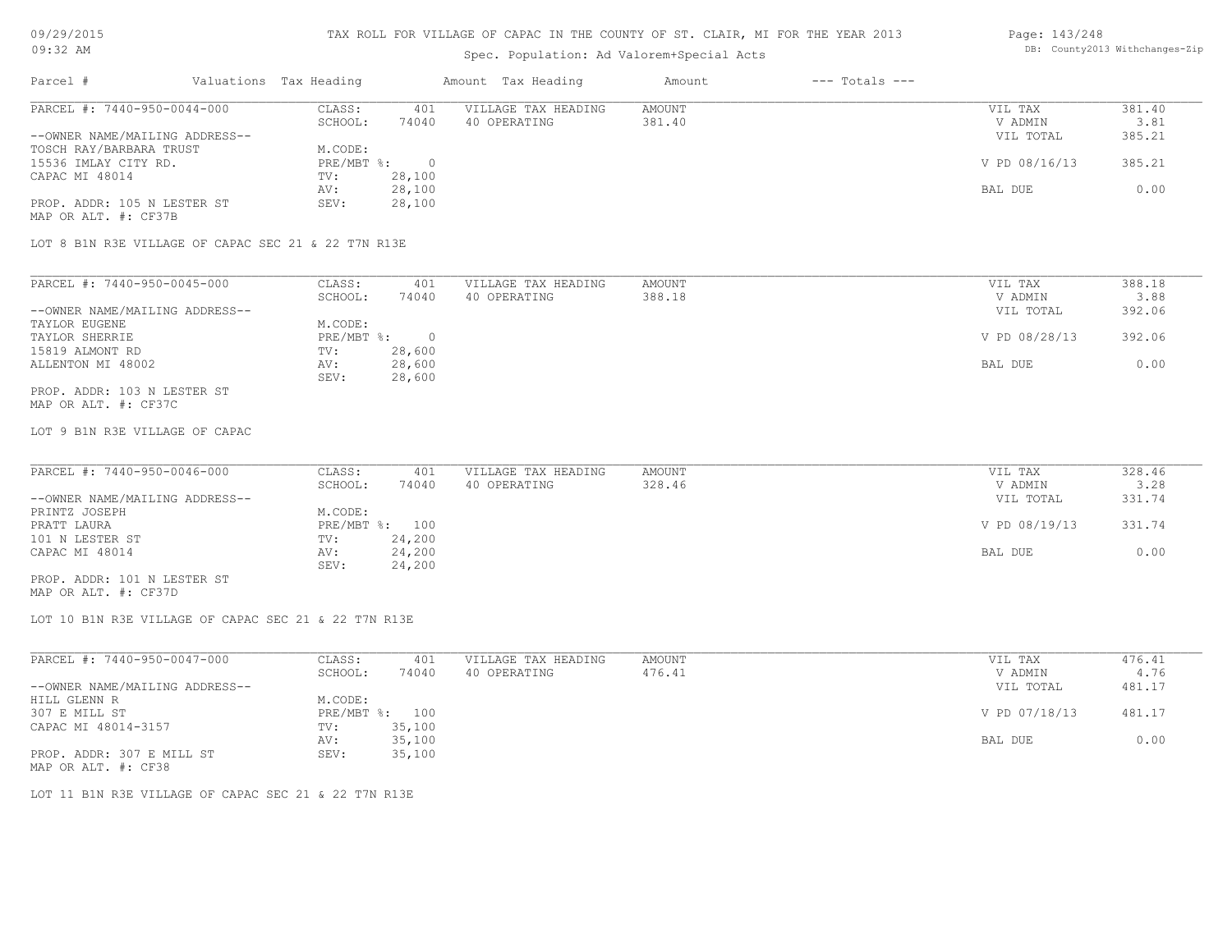### TAX ROLL FOR VILLAGE OF CAPAC IN THE COUNTY OF ST. CLAIR, MI FOR THE YEAR 2013

# Spec. Population: Ad Valorem+Special Acts

#### Page: 143/248 DB: County2013 Withchanges-Zip

| Parcel #                       | Valuations Tax Heading |        | Amount Tax Heading  | Amount | $---$ Totals $---$ |               |        |
|--------------------------------|------------------------|--------|---------------------|--------|--------------------|---------------|--------|
| PARCEL #: 7440-950-0044-000    | CLASS:                 | 401    | VILLAGE TAX HEADING | AMOUNT |                    | VIL TAX       | 381.40 |
|                                | SCHOOL:                | 74040  | 40 OPERATING        | 381.40 |                    | V ADMIN       | 3.81   |
| --OWNER NAME/MAILING ADDRESS-- |                        |        |                     |        |                    | VIL TOTAL     | 385.21 |
| TOSCH RAY/BARBARA TRUST        | M.CODE:                |        |                     |        |                    |               |        |
| 15536 IMLAY CITY RD.           | PRE/MBT %:             |        |                     |        |                    | V PD 08/16/13 | 385.21 |
| CAPAC MI 48014                 | TV:                    | 28,100 |                     |        |                    |               |        |
|                                | AV:                    | 28,100 |                     |        |                    | BAL DUE       | 0.00   |
| PROP. ADDR: 105 N LESTER ST    | SEV:                   | 28,100 |                     |        |                    |               |        |
| MAP OR ALT. #: CF37B           |                        |        |                     |        |                    |               |        |
|                                |                        |        |                     |        |                    |               |        |

LOT 8 B1N R3E VILLAGE OF CAPAC SEC 21 & 22 T7N R13E

| PARCEL #: 7440-950-0045-000    | CLASS:     | 401    | VILLAGE TAX HEADING | AMOUNT | VIL TAX       | 388.18 |
|--------------------------------|------------|--------|---------------------|--------|---------------|--------|
|                                | SCHOOL:    | 74040  | 40 OPERATING        | 388.18 | V ADMIN       | 3.88   |
| --OWNER NAME/MAILING ADDRESS-- |            |        |                     |        | VIL TOTAL     | 392.06 |
| TAYLOR EUGENE                  | M.CODE:    |        |                     |        |               |        |
| TAYLOR SHERRIE                 | PRE/MBT %: |        |                     |        | V PD 08/28/13 | 392.06 |
| 15819 ALMONT RD                | TV:        | 28,600 |                     |        |               |        |
| ALLENTON MI 48002              | AV:        | 28,600 |                     |        | BAL DUE       | 0.00   |
|                                | SEV:       | 28,600 |                     |        |               |        |
| PROP. ADDR: 103 N LESTER ST    |            |        |                     |        |               |        |

MAP OR ALT. #: CF37C

LOT 9 B1N R3E VILLAGE OF CAPAC

| PARCEL #: 7440-950-0046-000    | CLASS:  | 401            | VILLAGE TAX HEADING | AMOUNT | VIL TAX       | 328.46 |
|--------------------------------|---------|----------------|---------------------|--------|---------------|--------|
|                                | SCHOOL: | 74040          | 40 OPERATING        | 328.46 | V ADMIN       | 3.28   |
| --OWNER NAME/MAILING ADDRESS-- |         |                |                     |        | VIL TOTAL     | 331.74 |
| PRINTZ JOSEPH                  | M.CODE: |                |                     |        |               |        |
| PRATT LAURA                    |         | PRE/MBT %: 100 |                     |        | V PD 08/19/13 | 331.74 |
| 101 N LESTER ST                | TV:     | 24,200         |                     |        |               |        |
| CAPAC MI 48014                 | AV:     | 24,200         |                     |        | BAL DUE       | 0.00   |
|                                | SEV:    | 24,200         |                     |        |               |        |
| PROP. ADDR: 101 N LESTER ST    |         |                |                     |        |               |        |

MAP OR ALT. #: CF37D

LOT 10 B1N R3E VILLAGE OF CAPAC SEC 21 & 22 T7N R13E

| PARCEL #: 7440-950-0047-000    | CLASS:       | 401    | VILLAGE TAX HEADING | AMOUNT | VIL TAX       | 476.41 |
|--------------------------------|--------------|--------|---------------------|--------|---------------|--------|
|                                | SCHOOL:      | 74040  | 40 OPERATING        | 476.41 | V ADMIN       | 4.76   |
| --OWNER NAME/MAILING ADDRESS-- |              |        |                     |        | VIL TOTAL     | 481.17 |
| HILL GLENN R                   | M.CODE:      |        |                     |        |               |        |
| 307 E MILL ST                  | $PRE/MBT$ %: | 100    |                     |        | V PD 07/18/13 | 481.17 |
| CAPAC MI 48014-3157            | TV:          | 35,100 |                     |        |               |        |
|                                | AV:          | 35,100 |                     |        | BAL DUE       | 0.00   |
| PROP. ADDR: 307 E MILL ST      | SEV:         | 35,100 |                     |        |               |        |
| MAP OR ALT. #: CF38            |              |        |                     |        |               |        |

LOT 11 B1N R3E VILLAGE OF CAPAC SEC 21 & 22 T7N R13E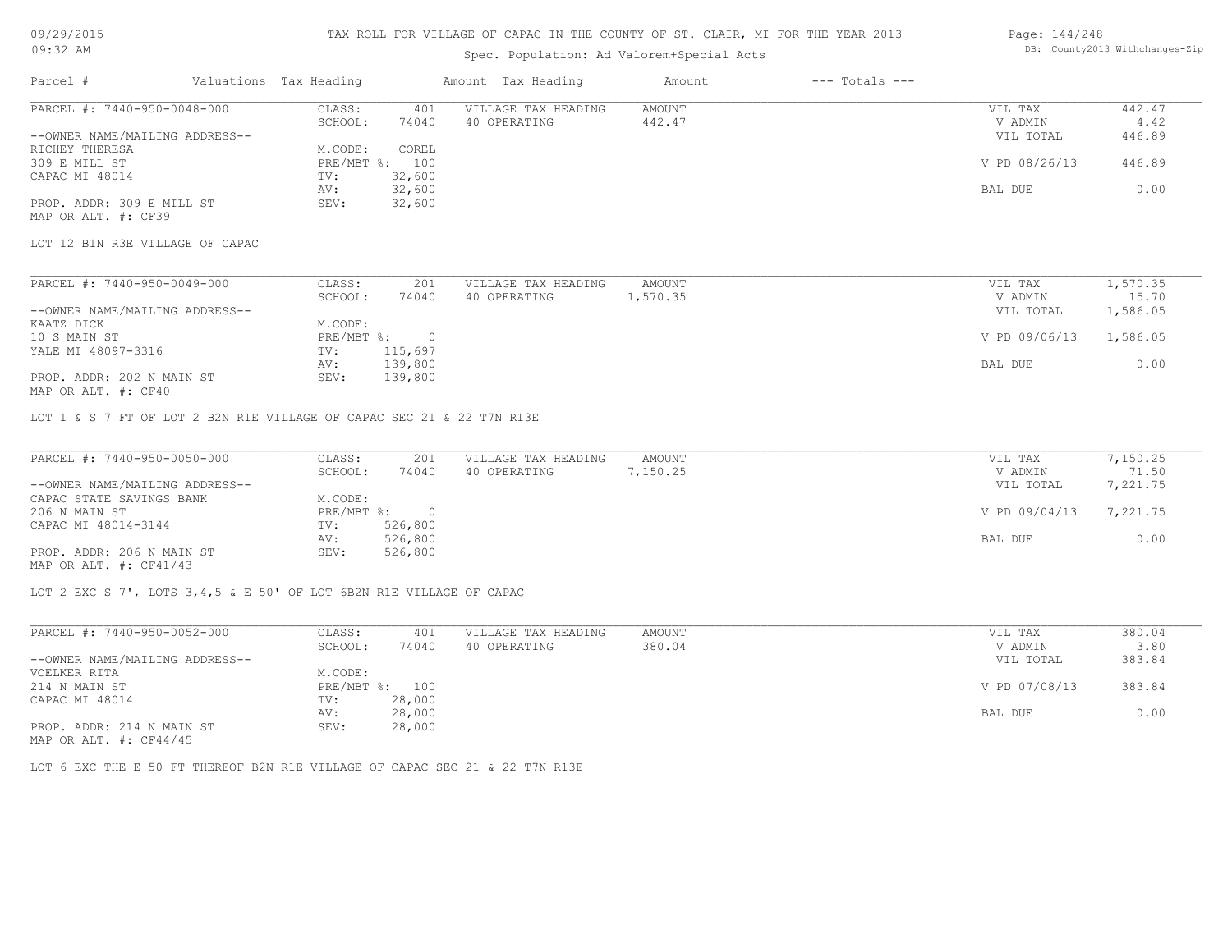### Spec. Population: Ad Valorem+Special Acts

#### Page: 144/248 DB: County2013 Withchanges-Zip

| Parcel #                       | Valuations Tax Heading |        | Amount Tax Heading  | Amount | $---$ Totals $---$ |               |        |
|--------------------------------|------------------------|--------|---------------------|--------|--------------------|---------------|--------|
| PARCEL #: 7440-950-0048-000    | CLASS:                 | 401    | VILLAGE TAX HEADING | AMOUNT |                    | VIL TAX       | 442.47 |
|                                | SCHOOL:                | 74040  | 40 OPERATING        | 442.47 |                    | V ADMIN       | 4.42   |
| --OWNER NAME/MAILING ADDRESS-- |                        |        |                     |        |                    | VIL TOTAL     | 446.89 |
| RICHEY THERESA                 | M.CODE:                | COREL  |                     |        |                    |               |        |
| 309 E MILL ST                  | PRE/MBT %: 100         |        |                     |        |                    | V PD 08/26/13 | 446.89 |
| CAPAC MI 48014                 | TV:                    | 32,600 |                     |        |                    |               |        |
|                                | AV:                    | 32,600 |                     |        |                    | BAL DUE       | 0.00   |
| PROP. ADDR: 309 E MILL ST      | SEV:                   | 32,600 |                     |        |                    |               |        |
|                                |                        |        |                     |        |                    |               |        |

MAP OR ALT. #: CF39

LOT 12 B1N R3E VILLAGE OF CAPAC

| PARCEL #: 7440-950-0049-000    | CLASS:     | 201     | VILLAGE TAX HEADING | AMOUNT   | VIL TAX       | 1,570.35 |
|--------------------------------|------------|---------|---------------------|----------|---------------|----------|
|                                | SCHOOL:    | 74040   | 40 OPERATING        | 1,570.35 | V ADMIN       | 15.70    |
| --OWNER NAME/MAILING ADDRESS-- |            |         |                     |          | VIL TOTAL     | 1,586.05 |
| KAATZ DICK                     | M.CODE:    |         |                     |          |               |          |
| 10 S MAIN ST                   | PRE/MBT %: |         |                     |          | V PD 09/06/13 | 1,586.05 |
| YALE MI 48097-3316             | TV:        | 115,697 |                     |          |               |          |
|                                | AV:        | 139,800 |                     |          | BAL DUE       | 0.00     |
| PROP. ADDR: 202 N MAIN ST      | SEV:       | 139,800 |                     |          |               |          |
|                                |            |         |                     |          |               |          |

MAP OR ALT. #: CF40

LOT 1 & S 7 FT OF LOT 2 B2N R1E VILLAGE OF CAPAC SEC 21 & 22 T7N R13E

| PARCEL #: 7440-950-0050-000    | CLASS:       | 201     | VILLAGE TAX HEADING | AMOUNT   | VIL TAX       | 7,150.25 |
|--------------------------------|--------------|---------|---------------------|----------|---------------|----------|
|                                | SCHOOL:      | 74040   | 40 OPERATING        | 7,150.25 | V ADMIN       | 71.50    |
| --OWNER NAME/MAILING ADDRESS-- |              |         |                     |          | VIL TOTAL     | 7,221.75 |
| CAPAC STATE SAVINGS BANK       | M.CODE:      |         |                     |          |               |          |
| 206 N MAIN ST                  | $PRE/MBT$ %: |         |                     |          | V PD 09/04/13 | 7,221.75 |
| CAPAC MI 48014-3144            | TV:          | 526,800 |                     |          |               |          |
|                                | AV:          | 526,800 |                     |          | BAL DUE       | 0.00     |
| PROP. ADDR: 206 N MAIN ST      | SEV:         | 526,800 |                     |          |               |          |
| MAP OR ALT. $\#$ : CF41/43     |              |         |                     |          |               |          |

LOT 2 EXC S 7', LOTS 3,4,5 & E 50' OF LOT 6B2N R1E VILLAGE OF CAPAC

| PARCEL #: 7440-950-0052-000    | CLASS:     | 401    | VILLAGE TAX HEADING | AMOUNT | VIL TAX       | 380.04 |
|--------------------------------|------------|--------|---------------------|--------|---------------|--------|
|                                | SCHOOL:    | 74040  | 40 OPERATING        | 380.04 | V ADMIN       | 3.80   |
| --OWNER NAME/MAILING ADDRESS-- |            |        |                     |        | VIL TOTAL     | 383.84 |
| VOELKER RITA                   | M.CODE:    |        |                     |        |               |        |
| 214 N MAIN ST                  | PRE/MBT %: | 100    |                     |        | V PD 07/08/13 | 383.84 |
| CAPAC MI 48014                 | TV:        | 28,000 |                     |        |               |        |
|                                | AV:        | 28,000 |                     |        | BAL DUE       | 0.00   |
| PROP. ADDR: 214 N MAIN ST      | SEV:       | 28,000 |                     |        |               |        |
| MAP OR ALT. $\#$ : CF44/45     |            |        |                     |        |               |        |

LOT 6 EXC THE E 50 FT THEREOF B2N R1E VILLAGE OF CAPAC SEC 21 & 22 T7N R13E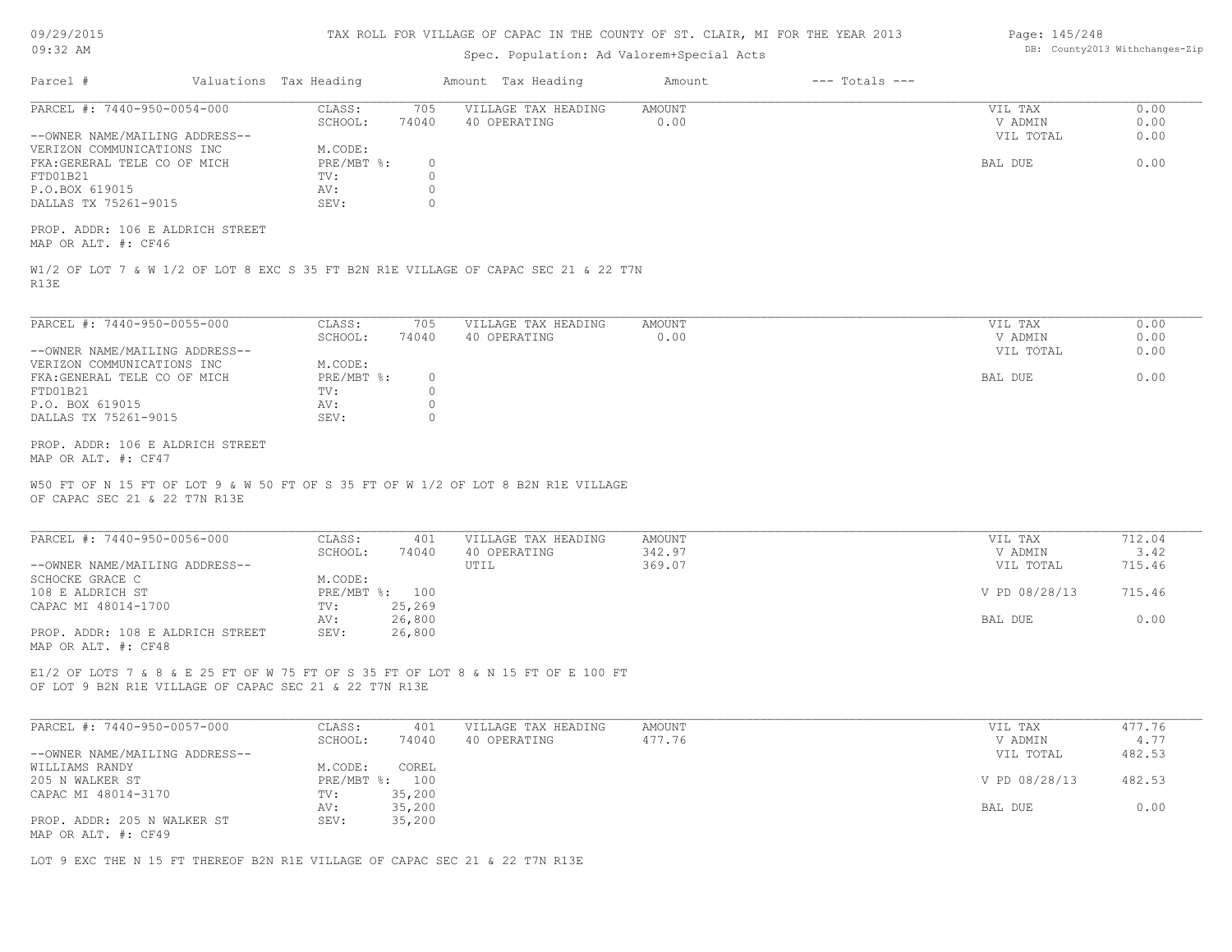| 09/29/2015 |  |
|------------|--|
|------------|--|

#### 09:32 AM

## TAX ROLL FOR VILLAGE OF CAPAC IN THE COUNTY OF ST. CLAIR, MI FOR THE YEAR 2013

# Spec. Population: Ad Valorem+Special Acts

| Page: 145/248 |                                |
|---------------|--------------------------------|
|               | DB: County2013 Withchanges-Zip |

|                                                                                                                                                   |                                    | Spec. Population: Ad Valorem+Special Acts |                       |                    |                    |              |
|---------------------------------------------------------------------------------------------------------------------------------------------------|------------------------------------|-------------------------------------------|-----------------------|--------------------|--------------------|--------------|
| Parcel #<br>Valuations Tax Heading                                                                                                                |                                    | Amount Tax Heading                        | Amount                | $---$ Totals $---$ |                    |              |
| PARCEL #: 7440-950-0054-000                                                                                                                       | CLASS:<br>705<br>SCHOOL:<br>74040  | VILLAGE TAX HEADING<br>40 OPERATING       | <b>AMOUNT</b><br>0.00 |                    | VIL TAX<br>V ADMIN | 0.00<br>0.00 |
| --OWNER NAME/MAILING ADDRESS--<br>VERIZON COMMUNICATIONS INC                                                                                      | M.CODE:                            |                                           |                       |                    | VIL TOTAL          | 0.00         |
| FKA: GERERAL TELE CO OF MICH                                                                                                                      | PRE/MBT %:<br>$\circ$              |                                           |                       |                    | BAL DUE            | 0.00         |
| FTD01B21                                                                                                                                          | $\circ$<br>TV:                     |                                           |                       |                    |                    |              |
| P.O.BOX 619015                                                                                                                                    | AV:<br>$\circ$                     |                                           |                       |                    |                    |              |
| DALLAS TX 75261-9015                                                                                                                              | SEV:<br>$\circ$                    |                                           |                       |                    |                    |              |
| PROP. ADDR: 106 E ALDRICH STREET<br>MAP OR ALT. #: CF46                                                                                           |                                    |                                           |                       |                    |                    |              |
| W1/2 OF LOT 7 & W 1/2 OF LOT 8 EXC S 35 FT B2N R1E VILLAGE OF CAPAC SEC 21 & 22 T7N<br>R13E                                                       |                                    |                                           |                       |                    |                    |              |
|                                                                                                                                                   |                                    |                                           |                       |                    |                    |              |
| PARCEL #: 7440-950-0055-000                                                                                                                       | CLASS:<br>705<br>SCHOOL:<br>74040  | VILLAGE TAX HEADING<br>40 OPERATING       | <b>AMOUNT</b><br>0.00 |                    | VIL TAX<br>V ADMIN | 0.00<br>0.00 |
| --OWNER NAME/MAILING ADDRESS--                                                                                                                    |                                    |                                           |                       |                    | VIL TOTAL          | 0.00         |
| VERIZON COMMUNICATIONS INC                                                                                                                        | M.CODE:                            |                                           |                       |                    |                    |              |
| FKA: GENERAL TELE CO OF MICH                                                                                                                      | PRE/MBT %:<br>$\circ$              |                                           |                       |                    | BAL DUE            | 0.00         |
| FTD01B21                                                                                                                                          | $\circ$<br>TV:                     |                                           |                       |                    |                    |              |
| P.O. BOX 619015<br>DALLAS TX 75261-9015                                                                                                           | $\circ$<br>AV:<br>SEV:<br>$\Omega$ |                                           |                       |                    |                    |              |
| PROP. ADDR: 106 E ALDRICH STREET                                                                                                                  |                                    |                                           |                       |                    |                    |              |
| MAP OR ALT. #: CF47                                                                                                                               |                                    |                                           |                       |                    |                    |              |
| W50 FT OF N 15 FT OF LOT 9 & W 50 FT OF S 35 FT OF W 1/2 OF LOT 8 B2N R1E VILLAGE<br>OF CAPAC SEC 21 & 22 T7N R13E<br>PARCEL #: 7440-950-0056-000 | CLASS:<br>401                      | VILLAGE TAX HEADING                       | <b>AMOUNT</b>         |                    | VIL TAX            | 712.04       |
|                                                                                                                                                   | SCHOOL:<br>74040                   | 40 OPERATING                              | 342.97                |                    | V ADMIN            | 3.42         |
| --OWNER NAME/MAILING ADDRESS--                                                                                                                    |                                    | UTIL                                      | 369.07                |                    | VIL TOTAL          | 715.46       |
| SCHOCKE GRACE C                                                                                                                                   | M.CODE:                            |                                           |                       |                    |                    |              |
| 108 E ALDRICH ST                                                                                                                                  | PRE/MBT %: 100                     |                                           |                       |                    | V PD 08/28/13      | 715.46       |
| CAPAC MI 48014-1700                                                                                                                               | 25,269<br>TV:<br>26,800<br>AV:     |                                           |                       |                    | BAL DUE            | 0.00         |
| PROP. ADDR: 108 E ALDRICH STREET<br>MAP OR ALT. #: CF48                                                                                           | SEV:<br>26,800                     |                                           |                       |                    |                    |              |
| E1/2 OF LOTS 7 & 8 & E 25 FT OF W 75 FT OF S 35 FT OF LOT 8 & N 15 FT OF E 100 FT<br>OF LOT 9 B2N R1E VILLAGE OF CAPAC SEC 21 & 22 T7N R13E       |                                    |                                           |                       |                    |                    |              |
| PARCEL #: 7440-950-0057-000                                                                                                                       | CLASS:<br>401                      | VILLAGE TAX HEADING                       | <b>AMOUNT</b>         |                    | VIL TAX            | 477.76       |
|                                                                                                                                                   | SCHOOL:<br>74040                   | 40 OPERATING                              | 477.76                |                    | V ADMIN            | 4.77         |
| --OWNER NAME/MAILING ADDRESS--                                                                                                                    |                                    |                                           |                       |                    | VIL TOTAL          | 482.53       |
| WILLIAMS RANDY<br>205 N WALKER ST                                                                                                                 | COREL<br>M.CODE:<br>PRE/MBT %: 100 |                                           |                       |                    | V PD 08/28/13      | 482.53       |
| CAPAC MI 48014-3170                                                                                                                               | 35,200<br>TV:                      |                                           |                       |                    |                    |              |
|                                                                                                                                                   | 35,200<br>AV:                      |                                           |                       |                    | BAL DUE            | 0.00         |
| PROP. ADDR: 205 N WALKER ST<br>MAP OR ALT. #: CF49                                                                                                | 35,200<br>SEV:                     |                                           |                       |                    |                    |              |
| LOT 9 EXC THE N 15 FT THEREOF B2N R1E VILLAGE OF CAPAC SEC 21 & 22 T7N R13E                                                                       |                                    |                                           |                       |                    |                    |              |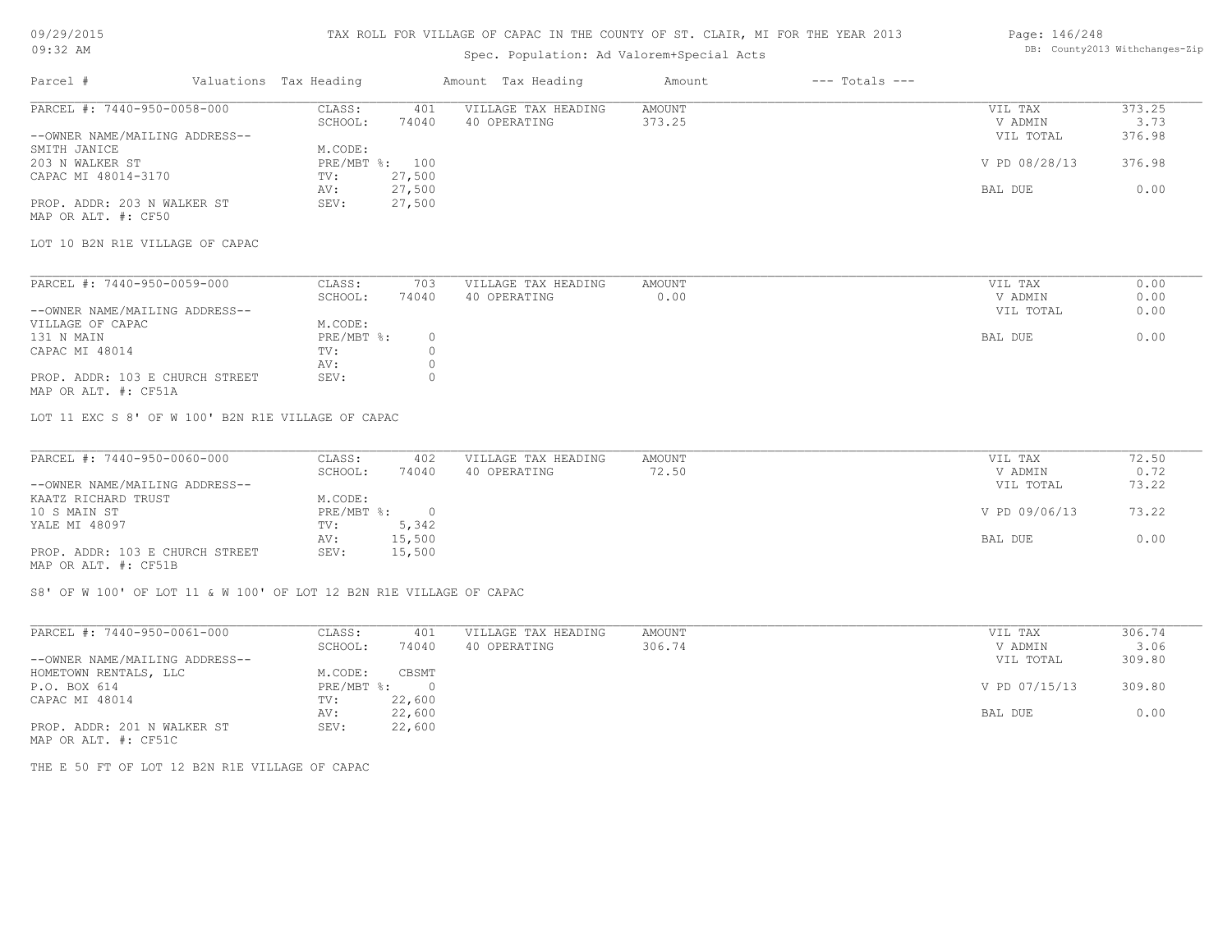#### TAX ROLL FOR VILLAGE OF CAPAC IN THE COUNTY OF ST. CLAIR, MI FOR THE YEAR 2013 Page: 146/248

## Spec. Population: Ad Valorem+Special Acts

# DB: County2013 Withchanges-Zip

| Parcel #                       | Valuations Tax Heading |        | Amount Tax Heading  | Amount | $---$ Totals $---$ |               |        |
|--------------------------------|------------------------|--------|---------------------|--------|--------------------|---------------|--------|
| PARCEL #: 7440-950-0058-000    | CLASS:                 | 401    | VILLAGE TAX HEADING | AMOUNT |                    | VIL TAX       | 373.25 |
|                                | SCHOOL:                | 74040  | 40 OPERATING        | 373.25 |                    | V ADMIN       | 3.73   |
| --OWNER NAME/MAILING ADDRESS-- |                        |        |                     |        |                    | VIL TOTAL     | 376.98 |
| SMITH JANICE                   | M.CODE:                |        |                     |        |                    |               |        |
| 203 N WALKER ST                | PRE/MBT %:             | 100    |                     |        |                    | V PD 08/28/13 | 376.98 |
| CAPAC MI 48014-3170            | TV:                    | 27,500 |                     |        |                    |               |        |
|                                | AV:                    | 27,500 |                     |        |                    | BAL DUE       | 0.00   |
| PROP. ADDR: 203 N WALKER ST    | SEV:                   | 27,500 |                     |        |                    |               |        |
| MAP OR ALT. #: CF50            |                        |        |                     |        |                    |               |        |

LOT 10 B2N R1E VILLAGE OF CAPAC

| PARCEL #: 7440-950-0059-000     | CLASS:     | 703   | VILLAGE TAX HEADING | AMOUNT | VIL TAX   | 0.00 |
|---------------------------------|------------|-------|---------------------|--------|-----------|------|
|                                 | SCHOOL:    | 74040 | 40 OPERATING        | 0.00   | V ADMIN   | 0.00 |
| --OWNER NAME/MAILING ADDRESS--  |            |       |                     |        | VIL TOTAL | 0.00 |
| VILLAGE OF CAPAC                | M.CODE:    |       |                     |        |           |      |
| 131 N MAIN                      | PRE/MBT %: |       |                     |        | BAL DUE   | 0.00 |
| CAPAC MI 48014                  | TV:        |       |                     |        |           |      |
|                                 | AV:        |       |                     |        |           |      |
| PROP. ADDR: 103 E CHURCH STREET | SEV:       |       |                     |        |           |      |
|                                 |            |       |                     |        |           |      |

MAP OR ALT. #: CF51A

LOT 11 EXC S 8' OF W 100' B2N R1E VILLAGE OF CAPAC

| PARCEL #: 7440-950-0060-000     | CLASS:     | 402    | VILLAGE TAX HEADING | AMOUNT | VIL TAX       | 72.50 |
|---------------------------------|------------|--------|---------------------|--------|---------------|-------|
|                                 | SCHOOL:    | 74040  | 40 OPERATING        | 72.50  | V ADMIN       | 0.72  |
| --OWNER NAME/MAILING ADDRESS--  |            |        |                     |        | VIL TOTAL     | 73.22 |
| KAATZ RICHARD TRUST             | M.CODE:    |        |                     |        |               |       |
| 10 S MAIN ST                    | PRE/MBT %: |        |                     |        | V PD 09/06/13 | 73.22 |
| YALE MI 48097                   | TV:        | 5,342  |                     |        |               |       |
|                                 | AV:        | 15,500 |                     |        | BAL DUE       | 0.00  |
| PROP. ADDR: 103 E CHURCH STREET | SEV:       | 15,500 |                     |        |               |       |
| MAP OR ALT. #: CF51B            |            |        |                     |        |               |       |

S8' OF W 100' OF LOT 11 & W 100' OF LOT 12 B2N R1E VILLAGE OF CAPAC

| PARCEL #: 7440-950-0061-000    | CLASS:       | 401      | VILLAGE TAX HEADING | AMOUNT | VIL TAX       | 306.74 |
|--------------------------------|--------------|----------|---------------------|--------|---------------|--------|
|                                | SCHOOL:      | 74040    | 40 OPERATING        | 306.74 | V ADMIN       | 3.06   |
| --OWNER NAME/MAILING ADDRESS-- |              |          |                     |        | VIL TOTAL     | 309.80 |
| HOMETOWN RENTALS, LLC          | M.CODE:      | CBSMT    |                     |        |               |        |
| P.O. BOX 614                   | $PRE/MBT$ %: | $\Omega$ |                     |        | V PD 07/15/13 | 309.80 |
| CAPAC MI 48014                 | TV:          | 22,600   |                     |        |               |        |
|                                | AV:          | 22,600   |                     |        | BAL DUE       | 0.00   |
| PROP. ADDR: 201 N WALKER ST    | SEV:         | 22,600   |                     |        |               |        |

MAP OR ALT. #: CF51C

THE E 50 FT OF LOT 12 B2N R1E VILLAGE OF CAPAC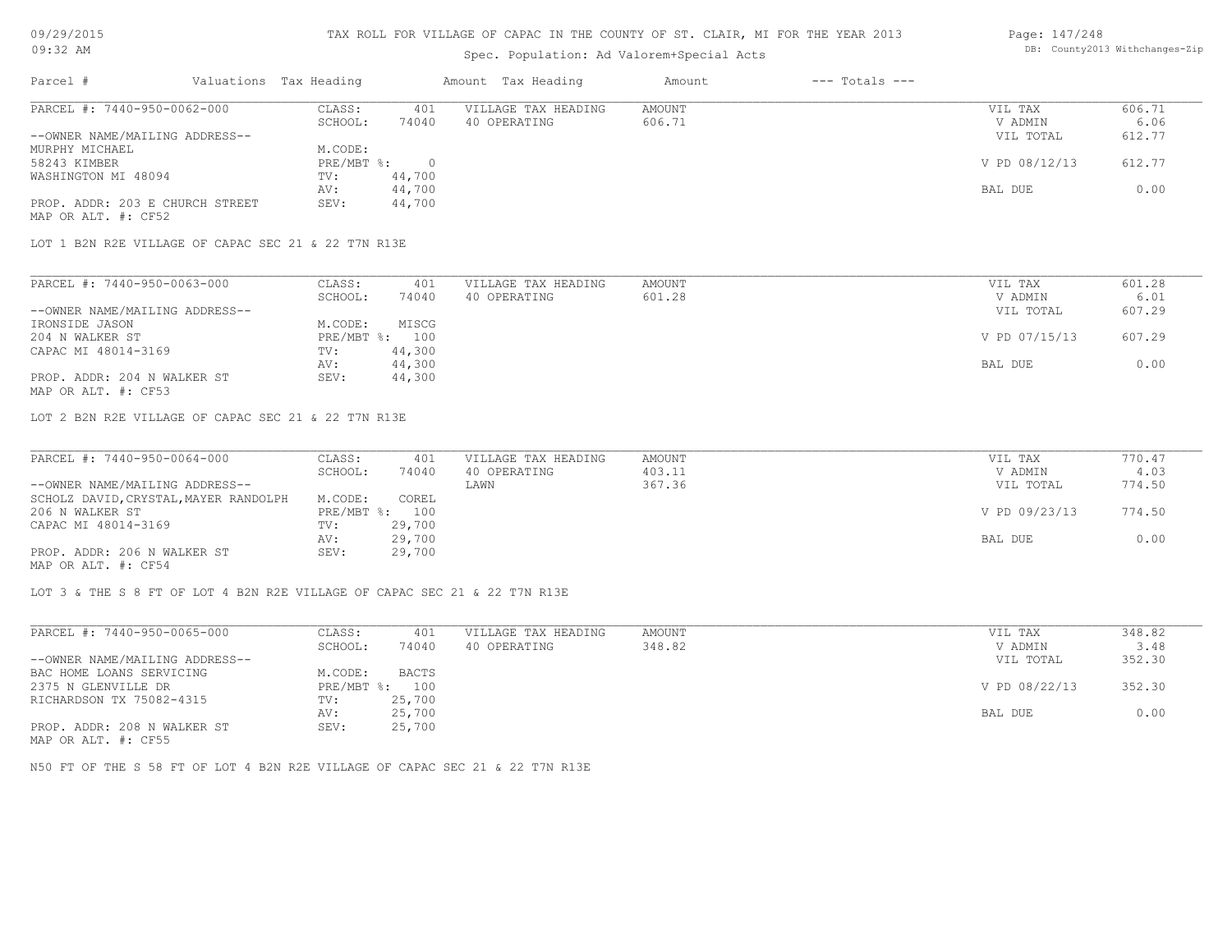#### TAX ROLL FOR VILLAGE OF CAPAC IN THE COUNTY OF ST. CLAIR, MI FOR THE YEAR 2013

## Spec. Population: Ad Valorem+Special Acts

#### Page: 147/248 DB: County2013 Withchanges-Zip

| Parcel #                        | Valuations Tax Heading |        | Amount Tax Heading  | Amount | $---$ Totals $---$ |               |        |
|---------------------------------|------------------------|--------|---------------------|--------|--------------------|---------------|--------|
| PARCEL #: 7440-950-0062-000     | CLASS:                 | 401    | VILLAGE TAX HEADING | AMOUNT |                    | VIL TAX       | 606.71 |
|                                 | SCHOOL:                | 74040  | 40 OPERATING        | 606.71 |                    | V ADMIN       | 6.06   |
| --OWNER NAME/MAILING ADDRESS--  |                        |        |                     |        |                    | VIL TOTAL     | 612.77 |
| MURPHY MICHAEL                  | M.CODE:                |        |                     |        |                    |               |        |
| 58243 KIMBER                    | $PRE/MBT$ %:           |        |                     |        |                    | V PD 08/12/13 | 612.77 |
| WASHINGTON MI 48094             | TV:                    | 44,700 |                     |        |                    |               |        |
|                                 | AV:                    | 44,700 |                     |        |                    | BAL DUE       | 0.00   |
| PROP. ADDR: 203 E CHURCH STREET | SEV:                   | 44,700 |                     |        |                    |               |        |
| MAP OR ALT. #: CF52             |                        |        |                     |        |                    |               |        |

LOT 1 B2N R2E VILLAGE OF CAPAC SEC 21 & 22 T7N R13E

| PARCEL #: 7440-950-0063-000    | CLASS:  | 401            | VILLAGE TAX HEADING | AMOUNT | VIL TAX       | 601.28 |
|--------------------------------|---------|----------------|---------------------|--------|---------------|--------|
|                                | SCHOOL: | 74040          | 40 OPERATING        | 601.28 | V ADMIN       | 6.01   |
| --OWNER NAME/MAILING ADDRESS-- |         |                |                     |        | VIL TOTAL     | 607.29 |
| IRONSIDE JASON                 | M.CODE: | MISCG          |                     |        |               |        |
| 204 N WALKER ST                |         | PRE/MBT %: 100 |                     |        | V PD 07/15/13 | 607.29 |
| CAPAC MI 48014-3169            | TV:     | 44,300         |                     |        |               |        |
|                                | AV:     | 44,300         |                     |        | BAL DUE       | 0.00   |
| PROP. ADDR: 204 N WALKER ST    | SEV:    | 44,300         |                     |        |               |        |
| MAP OR ALT. #: CF53            |         |                |                     |        |               |        |

LOT 2 B2N R2E VILLAGE OF CAPAC SEC 21 & 22 T7N R13E

| PARCEL #: 7440-950-0064-000           | CLASS:       | 401    | VILLAGE TAX HEADING | AMOUNT | VIL TAX       | 770.47 |
|---------------------------------------|--------------|--------|---------------------|--------|---------------|--------|
|                                       | SCHOOL:      | 74040  | 40 OPERATING        | 403.11 | V ADMIN       | 4.03   |
| --OWNER NAME/MAILING ADDRESS--        |              |        | LAWN                | 367.36 | VIL TOTAL     | 774.50 |
| SCHOLZ DAVID, CRYSTAL, MAYER RANDOLPH | M.CODE:      | COREL  |                     |        |               |        |
| 206 N WALKER ST                       | $PRE/MBT$ %: | 100    |                     |        | V PD 09/23/13 | 774.50 |
| CAPAC MI 48014-3169                   | TV:          | 29,700 |                     |        |               |        |
|                                       | AV:          | 29,700 |                     |        | BAL DUE       | 0.00   |
| PROP. ADDR: 206 N WALKER ST           | SEV:         | 29,700 |                     |        |               |        |
|                                       |              |        |                     |        |               |        |

MAP OR ALT. #: CF54

LOT 3 & THE S 8 FT OF LOT 4 B2N R2E VILLAGE OF CAPAC SEC 21 & 22 T7N R13E

| PARCEL #: 7440-950-0065-000    | CLASS:       | 401    | VILLAGE TAX HEADING | AMOUNT | VIL TAX       | 348.82 |
|--------------------------------|--------------|--------|---------------------|--------|---------------|--------|
|                                | SCHOOL:      | 74040  | 40 OPERATING        | 348.82 | V ADMIN       | 3.48   |
| --OWNER NAME/MAILING ADDRESS-- |              |        |                     |        | VIL TOTAL     | 352.30 |
| BAC HOME LOANS SERVICING       | M.CODE:      | BACTS  |                     |        |               |        |
| 2375 N GLENVILLE DR            | $PRE/MBT$ %: | 100    |                     |        | V PD 08/22/13 | 352.30 |
| RICHARDSON TX 75082-4315       | TV:          | 25,700 |                     |        |               |        |
|                                | AV:          | 25,700 |                     |        | BAL DUE       | 0.00   |
| PROP. ADDR: 208 N WALKER ST    | SEV:         | 25,700 |                     |        |               |        |
| MAP OR ALT. #: CF55            |              |        |                     |        |               |        |

N50 FT OF THE S 58 FT OF LOT 4 B2N R2E VILLAGE OF CAPAC SEC 21 & 22 T7N R13E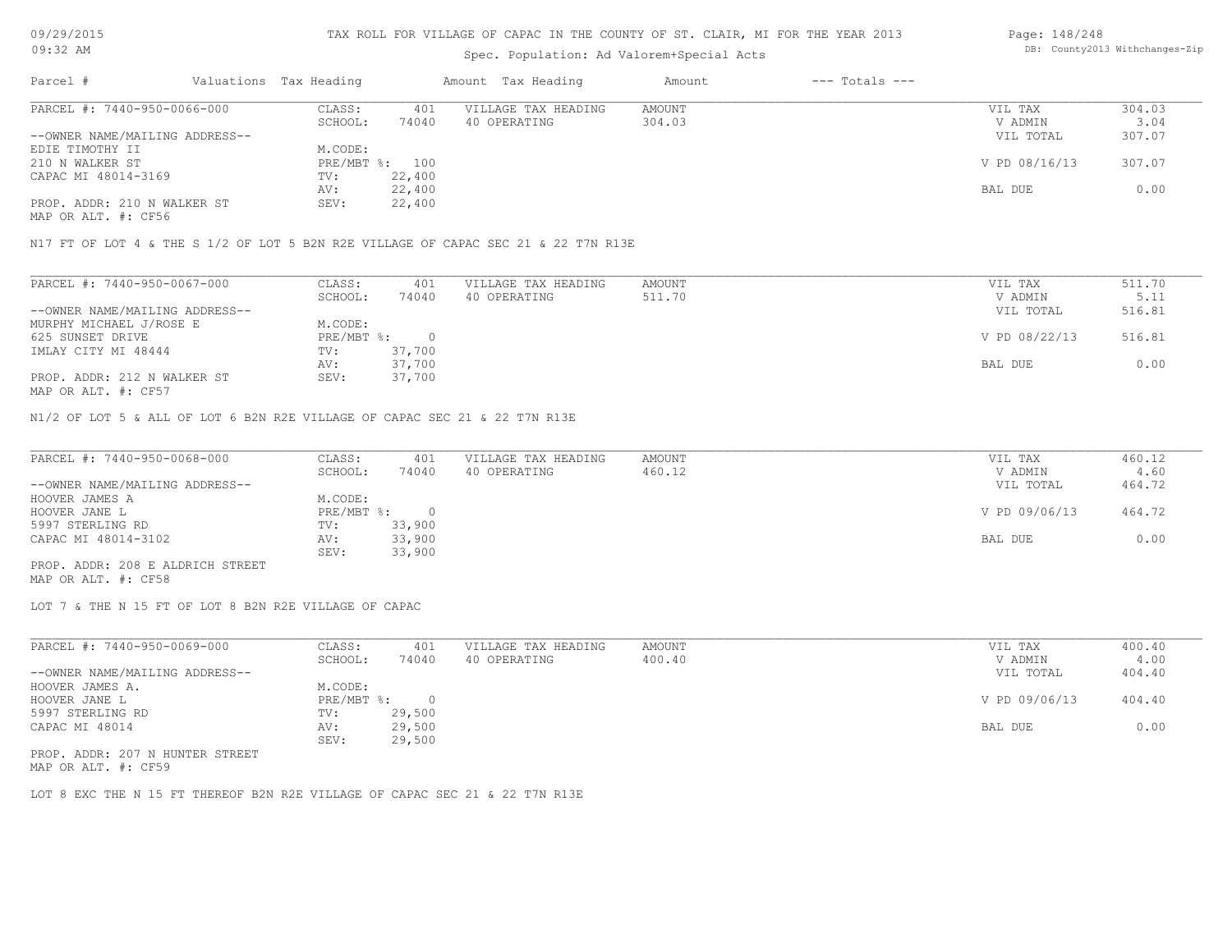#### TAX ROLL FOR VILLAGE OF CAPAC IN THE COUNTY OF ST. CLAIR, MI FOR THE YEAR 2013

## Spec. Population: Ad Valorem+Special Acts

#### Page: 148/248 DB: County2013 Withchanges-Zip

| Parcel #                       | Valuations Tax Heading |        | Amount Tax Heading  | Amount | $---$ Totals $---$ |               |        |
|--------------------------------|------------------------|--------|---------------------|--------|--------------------|---------------|--------|
| PARCEL #: 7440-950-0066-000    | CLASS:                 | 401    | VILLAGE TAX HEADING | AMOUNT |                    | VIL TAX       | 304.03 |
|                                | SCHOOL:                | 74040  | 40 OPERATING        | 304.03 |                    | V ADMIN       | 3.04   |
| --OWNER NAME/MAILING ADDRESS-- |                        |        |                     |        |                    | VIL TOTAL     | 307.07 |
| EDIE TIMOTHY II                | M.CODE:                |        |                     |        |                    |               |        |
| 210 N WALKER ST                | PRE/MBT %: 100         |        |                     |        |                    | V PD 08/16/13 | 307.07 |
| CAPAC MI 48014-3169            | TV:                    | 22,400 |                     |        |                    |               |        |
|                                | AV:                    | 22,400 |                     |        |                    | BAL DUE       | 0.00   |
| PROP. ADDR: 210 N WALKER ST    | SEV:                   | 22,400 |                     |        |                    |               |        |
|                                |                        |        |                     |        |                    |               |        |

MAP OR ALT. #: CF56

N17 FT OF LOT 4 & THE S 1/2 OF LOT 5 B2N R2E VILLAGE OF CAPAC SEC 21 & 22 T7N R13E

| PARCEL #: 7440-950-0067-000    | CLASS:       | 401    | VILLAGE TAX HEADING | AMOUNT | VIL TAX       | 511.70 |
|--------------------------------|--------------|--------|---------------------|--------|---------------|--------|
|                                | SCHOOL:      | 74040  | 40 OPERATING        | 511.70 | V ADMIN       | 5.11   |
| --OWNER NAME/MAILING ADDRESS-- |              |        |                     |        | VIL TOTAL     | 516.81 |
| MURPHY MICHAEL J/ROSE E        | M.CODE:      |        |                     |        |               |        |
| 625 SUNSET DRIVE               | $PRE/MBT$ %: |        |                     |        | V PD 08/22/13 | 516.81 |
| IMLAY CITY MI 48444            | TV:          | 37,700 |                     |        |               |        |
|                                | AV:          | 37,700 |                     |        | BAL DUE       | 0.00   |
| PROP. ADDR: 212 N WALKER ST    | SEV:         | 37,700 |                     |        |               |        |
| MAP OR ALT. #: CF57            |              |        |                     |        |               |        |

N1/2 OF LOT 5 & ALL OF LOT 6 B2N R2E VILLAGE OF CAPAC SEC 21 & 22 T7N R13E

| PARCEL #: 7440-950-0068-000      | CLASS:       | 401    | VILLAGE TAX HEADING | AMOUNT | VIL TAX       | 460.12 |
|----------------------------------|--------------|--------|---------------------|--------|---------------|--------|
|                                  | SCHOOL:      | 74040  | 40 OPERATING        | 460.12 | V ADMIN       | 4.60   |
| --OWNER NAME/MAILING ADDRESS--   |              |        |                     |        | VIL TOTAL     | 464.72 |
| HOOVER JAMES A                   | M.CODE:      |        |                     |        |               |        |
| HOOVER JANE L                    | $PRE/MBT$ %: |        |                     |        | V PD 09/06/13 | 464.72 |
| 5997 STERLING RD                 | TV:          | 33,900 |                     |        |               |        |
| CAPAC MI 48014-3102              | AV:          | 33,900 |                     |        | BAL DUE       | 0.00   |
|                                  | SEV:         | 33,900 |                     |        |               |        |
| PROP. ADDR: 208 E ALDRICH STREET |              |        |                     |        |               |        |

MAP OR ALT. #: CF58

LOT 7 & THE N 15 FT OF LOT 8 B2N R2E VILLAGE OF CAPAC

| PARCEL #: 7440-950-0069-000     | CLASS:       | 401    | VILLAGE TAX HEADING | AMOUNT | VIL TAX       | 400.40 |
|---------------------------------|--------------|--------|---------------------|--------|---------------|--------|
|                                 | SCHOOL:      | 74040  | 40 OPERATING        | 400.40 | V ADMIN       | 4.00   |
| --OWNER NAME/MAILING ADDRESS--  |              |        |                     |        | VIL TOTAL     | 404.40 |
| HOOVER JAMES A.                 | M.CODE:      |        |                     |        |               |        |
| HOOVER JANE L                   | $PRE/MBT$ %: |        |                     |        | V PD 09/06/13 | 404.40 |
| 5997 STERLING RD                | TV:          | 29,500 |                     |        |               |        |
| CAPAC MI 48014                  | AV:          | 29,500 |                     |        | BAL DUE       | 0.00   |
|                                 | SEV:         | 29,500 |                     |        |               |        |
| PROP. ADDR: 207 N HUNTER STREET |              |        |                     |        |               |        |

MAP OR ALT. #: CF59

LOT 8 EXC THE N 15 FT THEREOF B2N R2E VILLAGE OF CAPAC SEC 21 & 22 T7N R13E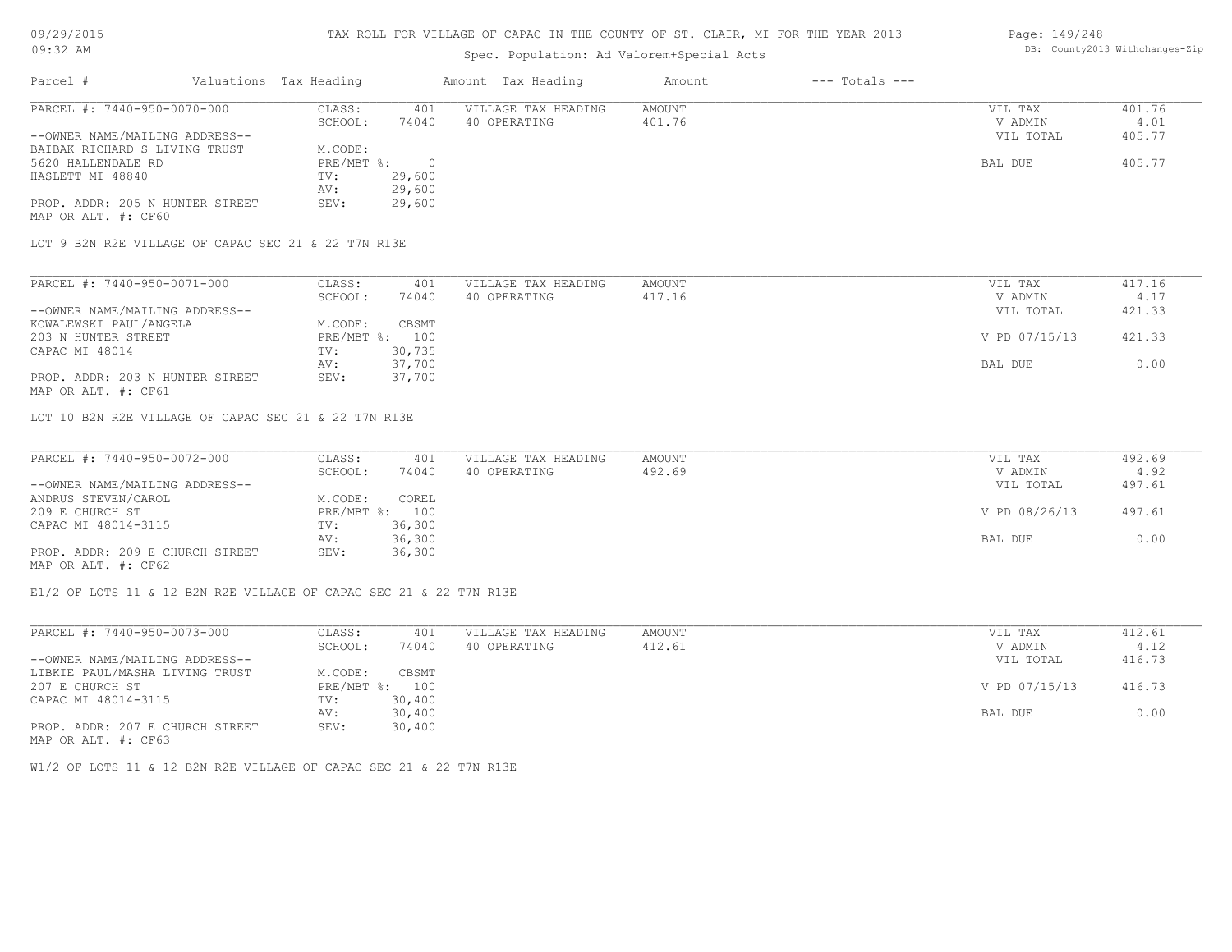#### TAX ROLL FOR VILLAGE OF CAPAC IN THE COUNTY OF ST. CLAIR, MI FOR THE YEAR 2013

## Spec. Population: Ad Valorem+Special Acts

## Parcel # Valuations Tax Heading Amount Tax Heading Amount --- Totals ---MAP OR ALT. #: CF60 PROP. ADDR: 205 N HUNTER STREET SEV: 29,600 AV: 29,600 HASLETT MI 48840 TV: 29,600<br>AV: 29,600 5620 HALLENDALE RD PRE/MBT %: 0 BAL DUE 405.77 BAIBAK RICHARD S LIVING TRUST M.CODE: --OWNER NAME/MAILING ADDRESS-- VIL TOTAL 405.77 SCHOOL: 74040 40 OPERATING 401.76 401.76 V ADMIN 4.01 PARCEL #: 7440-950-0070-000 CLASS: 401 VILLAGE TAX HEADING AMOUNT AUGUST AND VIL TAX 401.76 400 V ADMIN 4.01  $\mathcal{L}_\mathcal{L} = \mathcal{L}_\mathcal{L} = \mathcal{L}_\mathcal{L} = \mathcal{L}_\mathcal{L} = \mathcal{L}_\mathcal{L} = \mathcal{L}_\mathcal{L} = \mathcal{L}_\mathcal{L} = \mathcal{L}_\mathcal{L} = \mathcal{L}_\mathcal{L} = \mathcal{L}_\mathcal{L} = \mathcal{L}_\mathcal{L} = \mathcal{L}_\mathcal{L} = \mathcal{L}_\mathcal{L} = \mathcal{L}_\mathcal{L} = \mathcal{L}_\mathcal{L} = \mathcal{L}_\mathcal{L} = \mathcal{L}_\mathcal{L}$

LOT 9 B2N R2E VILLAGE OF CAPAC SEC 21 & 22 T7N R13E

| PARCEL #: 7440-950-0071-000     | CLASS:  | 401            | VILLAGE TAX HEADING | AMOUNT | VIL TAX       | 417.16 |
|---------------------------------|---------|----------------|---------------------|--------|---------------|--------|
|                                 | SCHOOL: | 74040          | 40 OPERATING        | 417.16 | V ADMIN       | 4.17   |
| --OWNER NAME/MAILING ADDRESS--  |         |                |                     |        | VIL TOTAL     | 421.33 |
| KOWALEWSKI PAUL/ANGELA          | M.CODE: | CBSMT          |                     |        |               |        |
| 203 N HUNTER STREET             |         | PRE/MBT %: 100 |                     |        | V PD 07/15/13 | 421.33 |
| CAPAC MI 48014                  | TV:     | 30,735         |                     |        |               |        |
|                                 | AV:     | 37,700         |                     |        | BAL DUE       | 0.00   |
| PROP. ADDR: 203 N HUNTER STREET | SEV:    | 37,700         |                     |        |               |        |
| MAP OR ALT. #: CF61             |         |                |                     |        |               |        |

LOT 10 B2N R2E VILLAGE OF CAPAC SEC 21 & 22 T7N R13E

| PARCEL #: 7440-950-0072-000     | CLASS:  | 401            | VILLAGE TAX HEADING | AMOUNT | VIL TAX       | 492.69 |
|---------------------------------|---------|----------------|---------------------|--------|---------------|--------|
|                                 | SCHOOL: | 74040          | 40 OPERATING        | 492.69 | V ADMIN       | 4.92   |
| --OWNER NAME/MAILING ADDRESS--  |         |                |                     |        | VIL TOTAL     | 497.61 |
| ANDRUS STEVEN/CAROL             | M.CODE: | COREL          |                     |        |               |        |
| 209 E CHURCH ST                 |         | PRE/MBT %: 100 |                     |        | V PD 08/26/13 | 497.61 |
| CAPAC MI 48014-3115             | TV:     | 36,300         |                     |        |               |        |
|                                 | AV:     | 36,300         |                     |        | BAL DUE       | 0.00   |
| PROP. ADDR: 209 E CHURCH STREET | SEV:    | 36,300         |                     |        |               |        |
| MAP OR ALT. #: CF62             |         |                |                     |        |               |        |

E1/2 OF LOTS 11 & 12 B2N R2E VILLAGE OF CAPAC SEC 21 & 22 T7N R13E

| PARCEL #: 7440-950-0073-000     | CLASS:       | 401    | VILLAGE TAX HEADING | AMOUNT | VIL TAX       | 412.61 |  |
|---------------------------------|--------------|--------|---------------------|--------|---------------|--------|--|
|                                 | SCHOOL:      | 74040  | 40 OPERATING        | 412.61 | V ADMIN       | 4.12   |  |
| --OWNER NAME/MAILING ADDRESS--  |              |        |                     |        | VIL TOTAL     | 416.73 |  |
| LIBKIE PAUL/MASHA LIVING TRUST  | M.CODE:      | CBSMT  |                     |        |               |        |  |
| 207 E CHURCH ST                 | $PRE/MBT$ %: | 100    |                     |        | V PD 07/15/13 | 416.73 |  |
| CAPAC MI 48014-3115             | TV:          | 30,400 |                     |        |               |        |  |
|                                 | AV:          | 30,400 |                     |        | BAL DUE       | 0.00   |  |
| PROP. ADDR: 207 E CHURCH STREET | SEV:         | 30,400 |                     |        |               |        |  |
| MAP OR ALT. #: CF63             |              |        |                     |        |               |        |  |

W1/2 OF LOTS 11 & 12 B2N R2E VILLAGE OF CAPAC SEC 21 & 22 T7N R13E

Page: 149/248 DB: County2013 Withchanges-Zip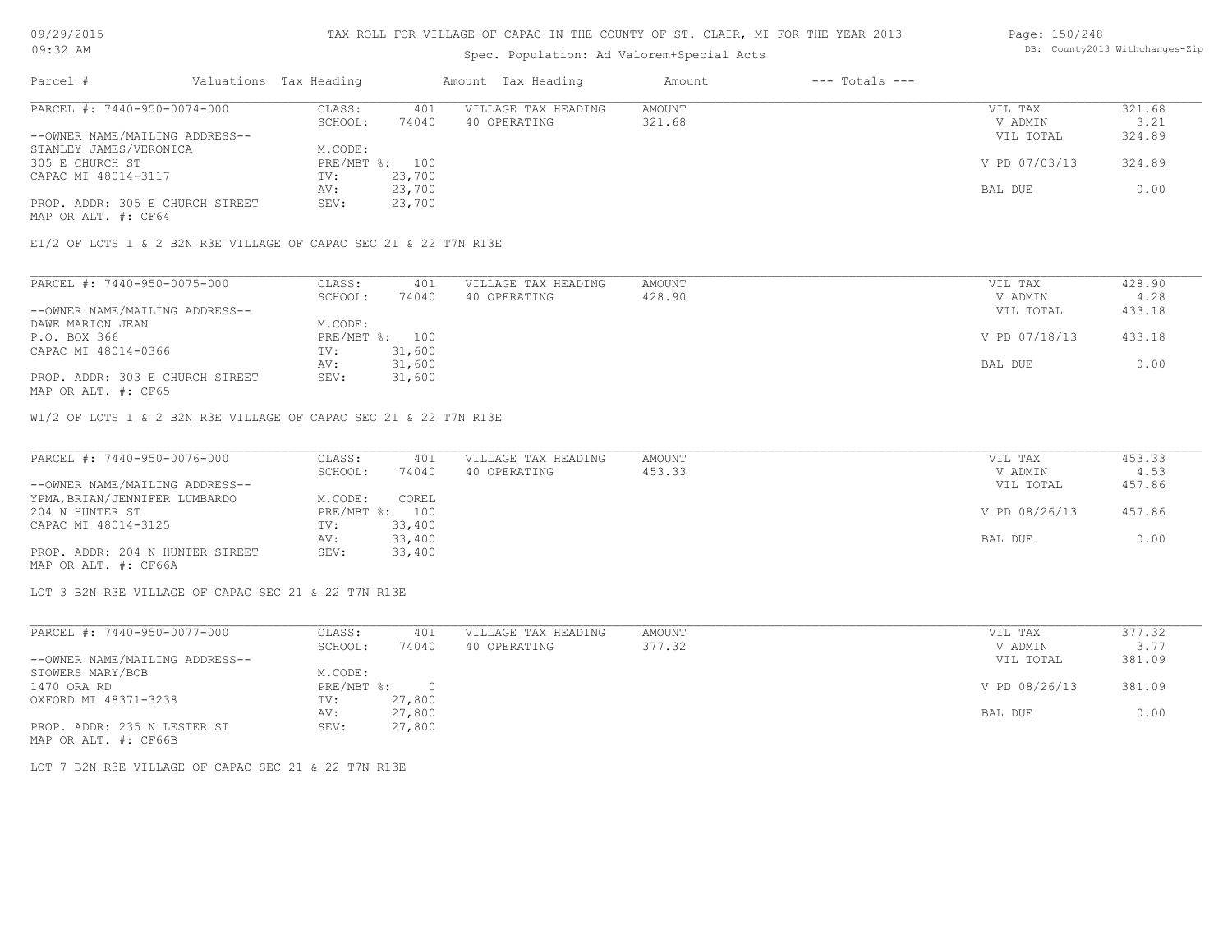## Spec. Population: Ad Valorem+Special Acts

#### Page: 150/248 DB: County2013 Withchanges-Zip

| Parcel #                        | Valuations Tax Heading |        | Amount Tax Heading  | Amount | $---$ Totals $---$ |               |        |
|---------------------------------|------------------------|--------|---------------------|--------|--------------------|---------------|--------|
| PARCEL #: 7440-950-0074-000     | CLASS:                 | 401    | VILLAGE TAX HEADING | AMOUNT |                    | VIL TAX       | 321.68 |
|                                 | SCHOOL:                | 74040  | 40 OPERATING        | 321.68 |                    | V ADMIN       | 3.21   |
| --OWNER NAME/MAILING ADDRESS--  |                        |        |                     |        |                    | VIL TOTAL     | 324.89 |
| STANLEY JAMES/VERONICA          | M.CODE:                |        |                     |        |                    |               |        |
| 305 E CHURCH ST                 | PRE/MBT %: 100         |        |                     |        |                    | V PD 07/03/13 | 324.89 |
| CAPAC MI 48014-3117             | TV:                    | 23,700 |                     |        |                    |               |        |
|                                 | AV:                    | 23,700 |                     |        |                    | BAL DUE       | 0.00   |
| PROP. ADDR: 305 E CHURCH STREET | SEV:                   | 23,700 |                     |        |                    |               |        |
| MAP OR ALT. #: CF64             |                        |        |                     |        |                    |               |        |

E1/2 OF LOTS 1 & 2 B2N R3E VILLAGE OF CAPAC SEC 21 & 22 T7N R13E

| PARCEL #: 7440-950-0075-000     | CLASS:  | 401            | VILLAGE TAX HEADING | AMOUNT | VIL TAX       | 428.90 |
|---------------------------------|---------|----------------|---------------------|--------|---------------|--------|
|                                 | SCHOOL: | 74040          | 40 OPERATING        | 428.90 | V ADMIN       | 4.28   |
| --OWNER NAME/MAILING ADDRESS--  |         |                |                     |        | VIL TOTAL     | 433.18 |
| DAWE MARION JEAN                | M.CODE: |                |                     |        |               |        |
| P.O. BOX 366                    |         | PRE/MBT %: 100 |                     |        | V PD 07/18/13 | 433.18 |
| CAPAC MI 48014-0366             | TV:     | 31,600         |                     |        |               |        |
|                                 | AV:     | 31,600         |                     |        | BAL DUE       | 0.00   |
| PROP. ADDR: 303 E CHURCH STREET | SEV:    | 31,600         |                     |        |               |        |
| MAP OR ALT. #: CF65             |         |                |                     |        |               |        |

W1/2 OF LOTS 1 & 2 B2N R3E VILLAGE OF CAPAC SEC 21 & 22 T7N R13E

| PARCEL #: 7440-950-0076-000     | CLASS:  | 401            | VILLAGE TAX HEADING | AMOUNT | VIL TAX       | 453.33 |
|---------------------------------|---------|----------------|---------------------|--------|---------------|--------|
|                                 | SCHOOL: | 74040          | 40 OPERATING        | 453.33 | V ADMIN       | 4.53   |
| --OWNER NAME/MAILING ADDRESS--  |         |                |                     |        | VIL TOTAL     | 457.86 |
| YPMA, BRIAN/JENNIFER LUMBARDO   | M.CODE: | COREL          |                     |        |               |        |
| 204 N HUNTER ST                 |         | PRE/MBT %: 100 |                     |        | V PD 08/26/13 | 457.86 |
| CAPAC MI 48014-3125             | TV:     | 33,400         |                     |        |               |        |
|                                 | AV:     | 33,400         |                     |        | BAL DUE       | 0.00   |
| PROP. ADDR: 204 N HUNTER STREET | SEV:    | 33,400         |                     |        |               |        |
| MAP OR ALT. #: CF66A            |         |                |                     |        |               |        |

LOT 3 B2N R3E VILLAGE OF CAPAC SEC 21 & 22 T7N R13E

| PARCEL #: 7440-950-0077-000    | CLASS:     | 401      | VILLAGE TAX HEADING | AMOUNT | VIL TAX       | 377.32 |
|--------------------------------|------------|----------|---------------------|--------|---------------|--------|
|                                | SCHOOL:    | 74040    | 40 OPERATING        | 377.32 | V ADMIN       | 3.77   |
| --OWNER NAME/MAILING ADDRESS-- |            |          |                     |        | VIL TOTAL     | 381.09 |
| STOWERS MARY/BOB               | M.CODE:    |          |                     |        |               |        |
| 1470 ORA RD                    | PRE/MBT %: | $\Omega$ |                     |        | V PD 08/26/13 | 381.09 |
| OXFORD MI 48371-3238           | TV:        | 27,800   |                     |        |               |        |
|                                | AV:        | 27,800   |                     |        | BAL DUE       | 0.00   |
| PROP. ADDR: 235 N LESTER ST    | SEV:       | 27,800   |                     |        |               |        |
| MAP OR ALT. #: CF66B           |            |          |                     |        |               |        |

LOT 7 B2N R3E VILLAGE OF CAPAC SEC 21 & 22 T7N R13E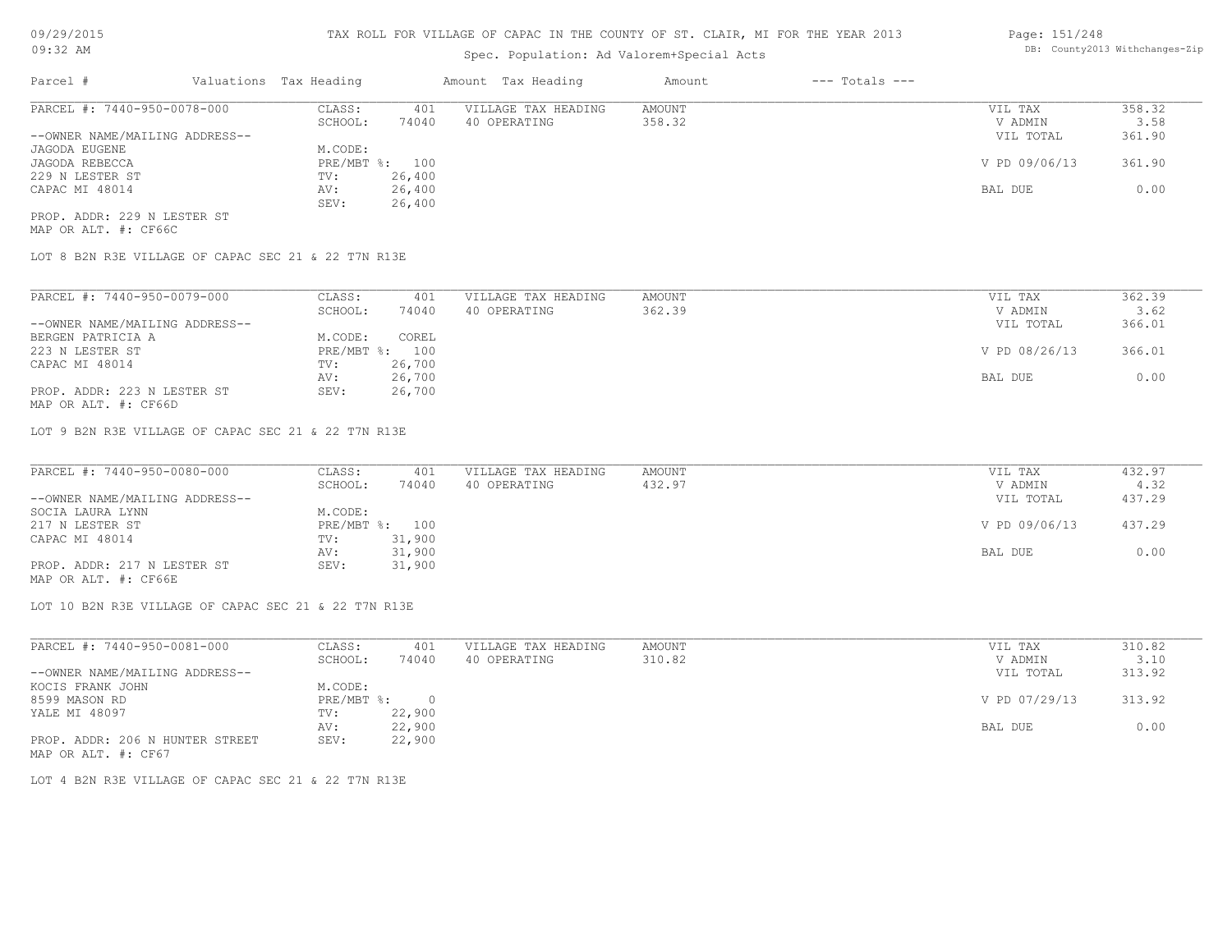## Spec. Population: Ad Valorem+Special Acts

#### Page: 151/248 DB: County2013 Withchanges-Zip

| Parcel #                       | Valuations Tax Heading |        | Amount Tax Heading  | Amount | $---$ Totals $---$ |               |        |
|--------------------------------|------------------------|--------|---------------------|--------|--------------------|---------------|--------|
| PARCEL #: 7440-950-0078-000    | CLASS:                 | 401    | VILLAGE TAX HEADING | AMOUNT |                    | VIL TAX       | 358.32 |
|                                | SCHOOL:                | 74040  | 40 OPERATING        | 358.32 |                    | V ADMIN       | 3.58   |
| --OWNER NAME/MAILING ADDRESS-- |                        |        |                     |        |                    | VIL TOTAL     | 361.90 |
| JAGODA EUGENE                  | M.CODE:                |        |                     |        |                    |               |        |
| JAGODA REBECCA                 | PRE/MBT %: 100         |        |                     |        |                    | V PD 09/06/13 | 361.90 |
| 229 N LESTER ST                | TV:                    | 26,400 |                     |        |                    |               |        |
| CAPAC MI 48014                 | AV:                    | 26,400 |                     |        |                    | BAL DUE       | 0.00   |
|                                | SEV:                   | 26,400 |                     |        |                    |               |        |
| PROP. ADDR: 229 N LESTER ST    |                        |        |                     |        |                    |               |        |

MAP OR ALT. #: CF66C

LOT 8 B2N R3E VILLAGE OF CAPAC SEC 21 & 22 T7N R13E

| PARCEL #: 7440-950-0079-000    | CLASS:       | 401    | VILLAGE TAX HEADING | AMOUNT | VIL TAX       | 362.39 |
|--------------------------------|--------------|--------|---------------------|--------|---------------|--------|
|                                | SCHOOL:      | 74040  | 40 OPERATING        | 362.39 | V ADMIN       | 3.62   |
| --OWNER NAME/MAILING ADDRESS-- |              |        |                     |        | VIL TOTAL     | 366.01 |
| BERGEN PATRICIA A              | M.CODE:      | COREL  |                     |        |               |        |
| 223 N LESTER ST                | $PRE/MBT$ %: | 100    |                     |        | V PD 08/26/13 | 366.01 |
| CAPAC MI 48014                 | TV:          | 26,700 |                     |        |               |        |
|                                | AV:          | 26,700 |                     |        | BAL DUE       | 0.00   |
| PROP. ADDR: 223 N LESTER ST    | SEV:         | 26,700 |                     |        |               |        |

MAP OR ALT. #: CF66D

LOT 9 B2N R3E VILLAGE OF CAPAC SEC 21 & 22 T7N R13E

| PARCEL #: 7440-950-0080-000    | CLASS:  | 401            | VILLAGE TAX HEADING | AMOUNT | VIL TAX       | 432.97 |
|--------------------------------|---------|----------------|---------------------|--------|---------------|--------|
|                                | SCHOOL: | 74040          | 40 OPERATING        | 432.97 | V ADMIN       | 4.32   |
| --OWNER NAME/MAILING ADDRESS-- |         |                |                     |        | VIL TOTAL     | 437.29 |
| SOCIA LAURA LYNN               | M.CODE: |                |                     |        |               |        |
| 217 N LESTER ST                |         | PRE/MBT %: 100 |                     |        | V PD 09/06/13 | 437.29 |
| CAPAC MI 48014                 | TV:     | 31,900         |                     |        |               |        |
|                                | AV:     | 31,900         |                     |        | BAL DUE       | 0.00   |
| PROP. ADDR: 217 N LESTER ST    | SEV:    | 31,900         |                     |        |               |        |
|                                |         |                |                     |        |               |        |

MAP OR ALT. #: CF66E

LOT 10 B2N R3E VILLAGE OF CAPAC SEC 21 & 22 T7N R13E

| PARCEL #: 7440-950-0081-000     | CLASS:       | 401    | VILLAGE TAX HEADING | AMOUNT | VIL TAX       | 310.82 |
|---------------------------------|--------------|--------|---------------------|--------|---------------|--------|
|                                 | SCHOOL:      | 74040  | 40 OPERATING        | 310.82 | V ADMIN       | 3.10   |
| --OWNER NAME/MAILING ADDRESS--  |              |        |                     |        | VIL TOTAL     | 313.92 |
| KOCIS FRANK JOHN                | M.CODE:      |        |                     |        |               |        |
| 8599 MASON RD                   | $PRE/MBT$ %: |        |                     |        | V PD 07/29/13 | 313.92 |
| YALE MI 48097                   | TV:          | 22,900 |                     |        |               |        |
|                                 | AV:          | 22,900 |                     |        | BAL DUE       | 0.00   |
| PROP. ADDR: 206 N HUNTER STREET | SEV:         | 22,900 |                     |        |               |        |
| MAP OR ALT. #: CF67             |              |        |                     |        |               |        |

LOT 4 B2N R3E VILLAGE OF CAPAC SEC 21 & 22 T7N R13E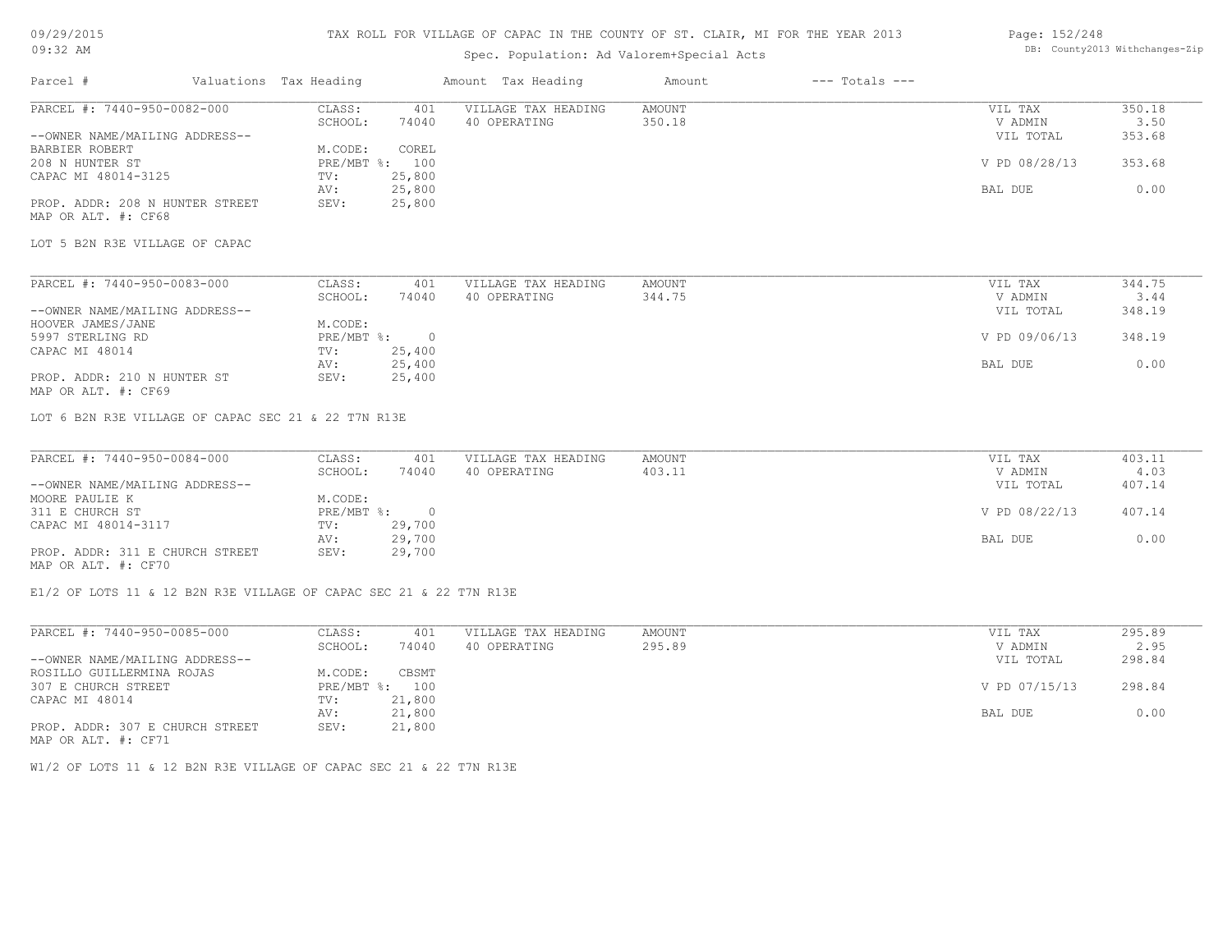#### TAX ROLL FOR VILLAGE OF CAPAC IN THE COUNTY OF ST. CLAIR, MI FOR THE YEAR 2013

## Spec. Population: Ad Valorem+Special Acts

#### Page: 152/248 DB: County2013 Withchanges-Zip

| Parcel #                        | Valuations Tax Heading    |            | Amount Tax Heading  | Amount | $---$ Totals $---$ |               |        |
|---------------------------------|---------------------------|------------|---------------------|--------|--------------------|---------------|--------|
| PARCEL #: 7440-950-0082-000     | CLASS:                    | 401        | VILLAGE TAX HEADING | AMOUNT |                    | VIL TAX       | 350.18 |
|                                 | SCHOOL:                   | 74040      | 40 OPERATING        | 350.18 |                    | V ADMIN       | 3.50   |
| --OWNER NAME/MAILING ADDRESS--  |                           |            |                     |        |                    | VIL TOTAL     | 353.68 |
| BARBIER ROBERT                  | M.CODE:                   | COREL      |                     |        |                    |               |        |
| 208 N HUNTER ST                 | PRE/MBT %: 100            |            |                     |        |                    | V PD 08/28/13 | 353.68 |
| CAPAC MI 48014-3125             | TV:                       | 25,800     |                     |        |                    |               |        |
|                                 | AV:                       | 25,800     |                     |        |                    | BAL DUE       | 0.00   |
| PROP. ADDR: 208 N HUNTER STREET | SEV:                      | 25,800     |                     |        |                    |               |        |
| MAP OR ALT. #: CF68             |                           |            |                     |        |                    |               |        |
|                                 |                           |            |                     |        |                    |               |        |
| LOT 5 B2N R3E VILLAGE OF CAPAC  |                           |            |                     |        |                    |               |        |
|                                 |                           |            |                     |        |                    |               |        |
| PARCEL #: 7440-950-0083-000     | CLASS:                    | 401        | VILLAGE TAX HEADING | AMOUNT |                    | VIL TAX       | 344.75 |
|                                 | SCHOOL:                   | 74040      | 40 OPERATING        | 344.75 |                    | V ADMIN       | 3.44   |
| --OWNER NAME/MAILING ADDRESS--  |                           |            |                     |        |                    | VIL TOTAL     | 348.19 |
| HOOVER JAMES/JANE               | M.CODE:                   |            |                     |        |                    |               |        |
| 5997 STERLING RD                | $PRE/MBT$ $\frac{1}{6}$ : | $\bigcirc$ |                     |        |                    | V PD 09/06/13 | 348.19 |
| CAPAC MI 48014                  | TV:                       | 25,400     |                     |        |                    |               |        |
|                                 | AV:                       | 25,400     |                     |        |                    | BAL DUE       | 0.00   |
| PROP. ADDR: 210 N HUNTER ST     | SEV:                      | 25,400     |                     |        |                    |               |        |
| MAP OR ALT. #: CF69             |                           |            |                     |        |                    |               |        |
|                                 |                           |            |                     |        |                    |               |        |

LOT 6 B2N R3E VILLAGE OF CAPAC SEC 21 & 22 T7N R13E

| PARCEL #: 7440-950-0084-000     | CLASS:     | 401      | VILLAGE TAX HEADING | AMOUNT | VIL TAX       | 403.11 |
|---------------------------------|------------|----------|---------------------|--------|---------------|--------|
|                                 | SCHOOL:    | 74040    | 40 OPERATING        | 403.11 | V ADMIN       | 4.03   |
| --OWNER NAME/MAILING ADDRESS--  |            |          |                     |        | VIL TOTAL     | 407.14 |
| MOORE PAULIE K                  | M.CODE:    |          |                     |        |               |        |
| 311 E CHURCH ST                 | PRE/MBT %: | $\Omega$ |                     |        | V PD 08/22/13 | 407.14 |
| CAPAC MI 48014-3117             | TV:        | 29,700   |                     |        |               |        |
|                                 | AV:        | 29,700   |                     |        | BAL DUE       | 0.00   |
| PROP. ADDR: 311 E CHURCH STREET | SEV:       | 29,700   |                     |        |               |        |
| MAP OR ALT. #: CF70             |            |          |                     |        |               |        |

 $\mathcal{L}_\mathcal{L} = \mathcal{L}_\mathcal{L} = \mathcal{L}_\mathcal{L} = \mathcal{L}_\mathcal{L} = \mathcal{L}_\mathcal{L} = \mathcal{L}_\mathcal{L} = \mathcal{L}_\mathcal{L} = \mathcal{L}_\mathcal{L} = \mathcal{L}_\mathcal{L} = \mathcal{L}_\mathcal{L} = \mathcal{L}_\mathcal{L} = \mathcal{L}_\mathcal{L} = \mathcal{L}_\mathcal{L} = \mathcal{L}_\mathcal{L} = \mathcal{L}_\mathcal{L} = \mathcal{L}_\mathcal{L} = \mathcal{L}_\mathcal{L}$ 

E1/2 OF LOTS 11 & 12 B2N R3E VILLAGE OF CAPAC SEC 21 & 22 T7N R13E

| PARCEL #: 7440-950-0085-000     | CLASS:       | 401    | VILLAGE TAX HEADING | AMOUNT |         | VIL TAX       | 295.89 |
|---------------------------------|--------------|--------|---------------------|--------|---------|---------------|--------|
|                                 | SCHOOL:      | 74040  | 40 OPERATING        | 295.89 |         | V ADMIN       | 2.95   |
| --OWNER NAME/MAILING ADDRESS--  |              |        |                     |        |         | VIL TOTAL     | 298.84 |
| ROSILLO GUILLERMINA ROJAS       | M.CODE:      | CBSMT  |                     |        |         |               |        |
| 307 E CHURCH STREET             | $PRE/MBT$ %: | 100    |                     |        |         | V PD 07/15/13 | 298.84 |
| CAPAC MI 48014                  | TV:          | 21,800 |                     |        |         |               |        |
|                                 | AV:          | 21,800 |                     |        | BAL DUE |               | 0.00   |
| PROP. ADDR: 307 E CHURCH STREET | SEV:         | 21,800 |                     |        |         |               |        |
| MAP OR ALT. #: CF71             |              |        |                     |        |         |               |        |

W1/2 OF LOTS 11 & 12 B2N R3E VILLAGE OF CAPAC SEC 21 & 22 T7N R13E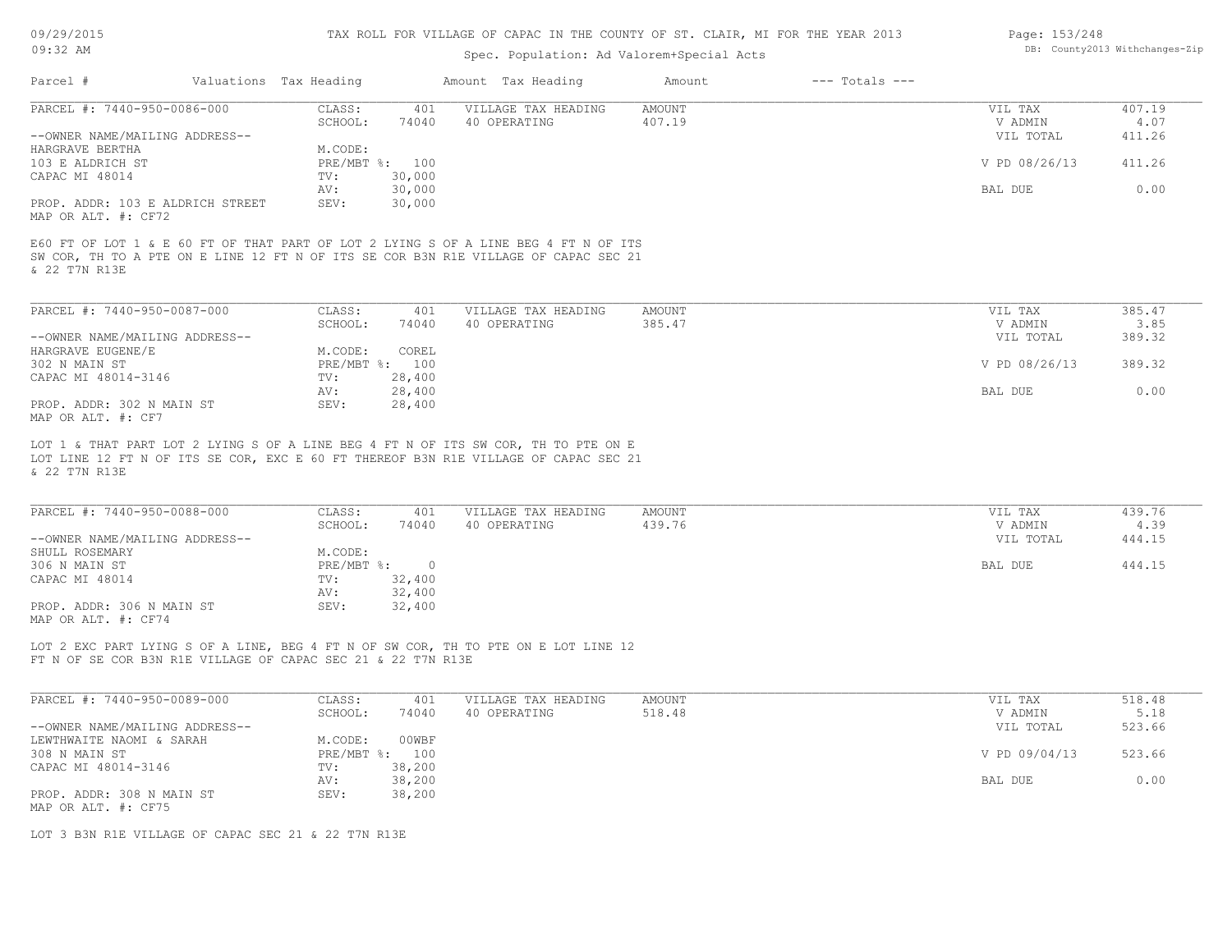#### TAX ROLL FOR VILLAGE OF CAPAC IN THE COUNTY OF ST. CLAIR, MI FOR THE YEAR 2013

## Spec. Population: Ad Valorem+Special Acts

| Page: 153/248 |                                |
|---------------|--------------------------------|
|               | DB: County2013 Withchanges-Zip |

|                                                         | Valuations Tax Heading |                  | Amount Tax Heading                                                                                                                                                         | Amount           | $---$ Totals $---$ |                    |                |
|---------------------------------------------------------|------------------------|------------------|----------------------------------------------------------------------------------------------------------------------------------------------------------------------------|------------------|--------------------|--------------------|----------------|
| PARCEL #: 7440-950-0086-000                             | CLASS:                 | 401              | VILLAGE TAX HEADING                                                                                                                                                        | AMOUNT           |                    | VIL TAX            | 407.19         |
|                                                         | SCHOOL:                | 74040            | 40 OPERATING                                                                                                                                                               | 407.19           |                    | V ADMIN            | 4.07           |
| --OWNER NAME/MAILING ADDRESS--                          |                        |                  |                                                                                                                                                                            |                  |                    | VIL TOTAL          | 411.26         |
| HARGRAVE BERTHA                                         | M.CODE:                |                  |                                                                                                                                                                            |                  |                    |                    |                |
| 103 E ALDRICH ST                                        | PRE/MBT %: 100         |                  |                                                                                                                                                                            |                  |                    | V PD 08/26/13      | 411.26         |
| CAPAC MI 48014                                          | TV:                    | 30,000           |                                                                                                                                                                            |                  |                    |                    |                |
|                                                         | AV:                    | 30,000           |                                                                                                                                                                            |                  |                    | BAL DUE            | 0.00           |
| PROP. ADDR: 103 E ALDRICH STREET<br>MAP OR ALT. #: CF72 | SEV:                   | 30,000           |                                                                                                                                                                            |                  |                    |                    |                |
|                                                         |                        |                  | E60 FT OF LOT 1 & E 60 FT OF THAT PART OF LOT 2 LYING S OF A LINE BEG 4 FT N OF ITS<br>SW COR, TH TO A PTE ON E LINE 12 FT N OF ITS SE COR B3N R1E VILLAGE OF CAPAC SEC 21 |                  |                    |                    |                |
| & 22 T7N R13E<br>PARCEL #: 7440-950-0087-000            | CLASS:<br>SCHOOL:      | 401<br>74040     | VILLAGE TAX HEADING<br>40 OPERATING                                                                                                                                        | AMOUNT<br>385.47 |                    | VIL TAX<br>V ADMIN | 385.47<br>3.85 |
| --OWNER NAME/MAILING ADDRESS--                          |                        |                  |                                                                                                                                                                            |                  |                    | VIL TOTAL          | 389.32         |
| HARGRAVE EUGENE/E                                       | M.CODE:                | COREL            |                                                                                                                                                                            |                  |                    |                    |                |
| 302 N MAIN ST                                           | PRE/MBT %:             | 100              |                                                                                                                                                                            |                  |                    | V PD 08/26/13      | 389.32         |
| CAPAC MI 48014-3146                                     | TV:<br>AV:             | 28,400<br>28,400 |                                                                                                                                                                            |                  |                    | BAL DUE            | 0.00           |

& 22 T7N R13E

| PARCEL #: 7440-950-0088-000    | CLASS:     | 401    | VILLAGE TAX HEADING | AMOUNT | VIL TAX   | 439.76 |
|--------------------------------|------------|--------|---------------------|--------|-----------|--------|
|                                | SCHOOL:    | 74040  | 40 OPERATING        | 439.76 | V ADMIN   | 4.39   |
| --OWNER NAME/MAILING ADDRESS-- |            |        |                     |        | VIL TOTAL | 444.15 |
| SHULL ROSEMARY                 | M.CODE:    |        |                     |        |           |        |
| 306 N MAIN ST                  | PRE/MBT %: | $\cap$ |                     |        | BAL DUE   | 444.15 |
| CAPAC MI 48014                 | TV:        | 32,400 |                     |        |           |        |
|                                | AV:        | 32,400 |                     |        |           |        |
| PROP. ADDR: 306 N MAIN ST      | SEV:       | 32,400 |                     |        |           |        |
| MAP OR ALT. #: CF74            |            |        |                     |        |           |        |

 $\mathcal{L}_\mathcal{L} = \mathcal{L}_\mathcal{L} = \mathcal{L}_\mathcal{L} = \mathcal{L}_\mathcal{L} = \mathcal{L}_\mathcal{L} = \mathcal{L}_\mathcal{L} = \mathcal{L}_\mathcal{L} = \mathcal{L}_\mathcal{L} = \mathcal{L}_\mathcal{L} = \mathcal{L}_\mathcal{L} = \mathcal{L}_\mathcal{L} = \mathcal{L}_\mathcal{L} = \mathcal{L}_\mathcal{L} = \mathcal{L}_\mathcal{L} = \mathcal{L}_\mathcal{L} = \mathcal{L}_\mathcal{L} = \mathcal{L}_\mathcal{L}$ 

FT N OF SE COR B3N R1E VILLAGE OF CAPAC SEC 21 & 22 T7N R13E LOT 2 EXC PART LYING S OF A LINE, BEG 4 FT N OF SW COR, TH TO PTE ON E LOT LINE 12

| PARCEL #: 7440-950-0089-000    | CLASS:       | 401    | VILLAGE TAX HEADING | AMOUNT | VIL TAX       | 518.48 |
|--------------------------------|--------------|--------|---------------------|--------|---------------|--------|
|                                | SCHOOL:      | 74040  | 40 OPERATING        | 518.48 | V ADMIN       | 5.18   |
| --OWNER NAME/MAILING ADDRESS-- |              |        |                     |        | VIL TOTAL     | 523.66 |
| LEWTHWAITE NAOMI & SARAH       | M.CODE:      | 00WBF  |                     |        |               |        |
| 308 N MAIN ST                  | $PRE/MBT$ %: | 100    |                     |        | V PD 09/04/13 | 523.66 |
| CAPAC MI 48014-3146            | TV:          | 38,200 |                     |        |               |        |
|                                | AV:          | 38,200 |                     |        | BAL DUE       | 0.00   |
| PROP. ADDR: 308 N MAIN ST      | SEV:         | 38,200 |                     |        |               |        |
| MAP OR ALT. #: CF75            |              |        |                     |        |               |        |

LOT 3 B3N R1E VILLAGE OF CAPAC SEC 21 & 22 T7N R13E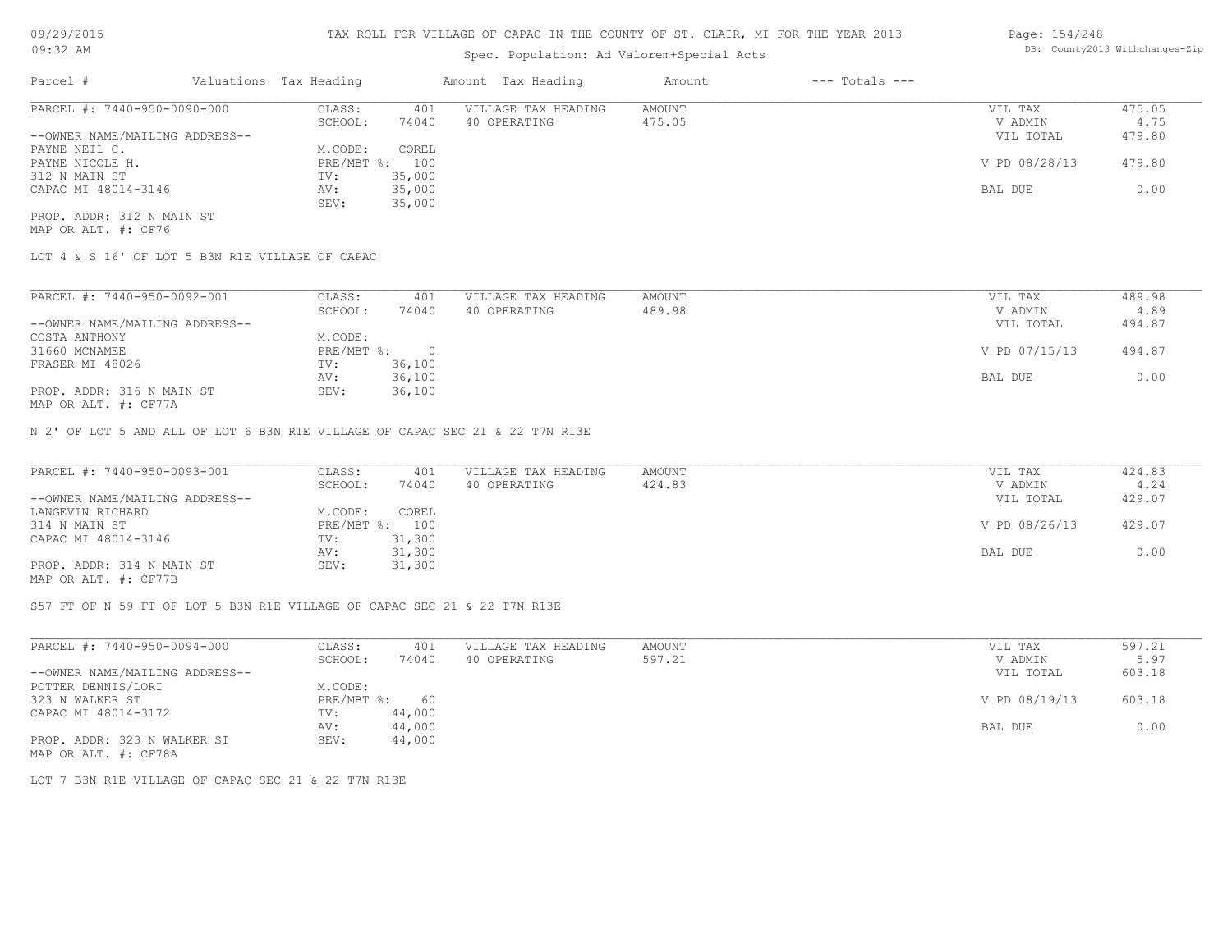## Spec. Population: Ad Valorem+Special Acts

| Parcel #                       | Valuations Tax Heading |        | Amount Tax Heading  | Amount | $---$ Totals $---$ |               |        |
|--------------------------------|------------------------|--------|---------------------|--------|--------------------|---------------|--------|
| PARCEL #: 7440-950-0090-000    | CLASS:                 | 401    | VILLAGE TAX HEADING | AMOUNT |                    | VIL TAX       | 475.05 |
|                                | SCHOOL:                | 74040  | 40 OPERATING        | 475.05 |                    | V ADMIN       | 4.75   |
| --OWNER NAME/MAILING ADDRESS-- |                        |        |                     |        |                    | VIL TOTAL     | 479.80 |
| PAYNE NEIL C.                  | M.CODE:                | COREL  |                     |        |                    |               |        |
| PAYNE NICOLE H.                | PRE/MBT %: 100         |        |                     |        |                    | V PD 08/28/13 | 479.80 |
| 312 N MAIN ST                  | TV:                    | 35,000 |                     |        |                    |               |        |
| CAPAC MI 48014-3146            | AV:                    | 35,000 |                     |        |                    | BAL DUE       | 0.00   |
|                                | SEV:                   | 35,000 |                     |        |                    |               |        |
|                                |                        |        |                     |        |                    |               |        |

MAP OR ALT. #: CF76 PROP. ADDR: 312 N MAIN ST

LOT 4 & S 16' OF LOT 5 B3N R1E VILLAGE OF CAPAC

| PARCEL #: 7440-950-0092-001                           | CLASS:           | 401    | VILLAGE TAX HEADING | AMOUNT | VIL TAX       | 489.98 |
|-------------------------------------------------------|------------------|--------|---------------------|--------|---------------|--------|
|                                                       | SCHOOL:          | 74040  | 40 OPERATING        | 489.98 | V ADMIN       | 4.89   |
| --OWNER NAME/MAILING ADDRESS--                        |                  |        |                     |        | VIL TOTAL     | 494.87 |
| COSTA ANTHONY                                         | M.CODE:          |        |                     |        |               |        |
| 31660 MCNAMEE                                         | $PRE/MBT$ $\div$ | 0.     |                     |        | V PD 07/15/13 | 494.87 |
| FRASER MI 48026                                       | TV:              | 36,100 |                     |        |               |        |
|                                                       | AV:              | 36,100 |                     |        | BAL DUE       | 0.00   |
| PROP. ADDR: 316 N MAIN ST                             | SEV:             | 36,100 |                     |        |               |        |
| $\cdots$ $\cdots$ $\cdots$ $\cdots$ $\cdots$ $\cdots$ |                  |        |                     |        |               |        |

MAP OR ALT. #: CF77A

N 2' OF LOT 5 AND ALL OF LOT 6 B3N R1E VILLAGE OF CAPAC SEC 21 & 22 T7N R13E

| PARCEL #: 7440-950-0093-001                           | CLASS:  | 401            | VILLAGE TAX HEADING | AMOUNT | VIL TAX       | 424.83 |
|-------------------------------------------------------|---------|----------------|---------------------|--------|---------------|--------|
|                                                       | SCHOOL: | 74040          | 40 OPERATING        | 424.83 | V ADMIN       | 4.24   |
| --OWNER NAME/MAILING ADDRESS--                        |         |                |                     |        | VIL TOTAL     | 429.07 |
| LANGEVIN RICHARD                                      | M.CODE: | COREL          |                     |        |               |        |
| 314 N MAIN ST                                         |         | PRE/MBT %: 100 |                     |        | V PD 08/26/13 | 429.07 |
| CAPAC MI 48014-3146                                   | TV:     | 31,300         |                     |        |               |        |
|                                                       | AV:     | 31,300         |                     |        | BAL DUE       | 0.00   |
| PROP. ADDR: 314 N MAIN ST                             | SEV:    | 31,300         |                     |        |               |        |
| $\cdots$ $\cdots$ $\cdots$ $\cdots$ $\cdots$ $\cdots$ |         |                |                     |        |               |        |

MAP OR ALT. #: CF77B

S57 FT OF N 59 FT OF LOT 5 B3N R1E VILLAGE OF CAPAC SEC 21 & 22 T7N R13E

| PARCEL #: 7440-950-0094-000    | CLASS:       | 401    | VILLAGE TAX HEADING | AMOUNT | VIL TAX       | 597.21 |
|--------------------------------|--------------|--------|---------------------|--------|---------------|--------|
|                                | SCHOOL:      | 74040  | 40 OPERATING        | 597.21 | V ADMIN       | 5.97   |
| --OWNER NAME/MAILING ADDRESS-- |              |        |                     |        | VIL TOTAL     | 603.18 |
| POTTER DENNIS/LORI             | M.CODE:      |        |                     |        |               |        |
| 323 N WALKER ST                | $PRE/MBT$ %: | 60     |                     |        | V PD 08/19/13 | 603.18 |
| CAPAC MI 48014-3172            | TV:          | 44,000 |                     |        |               |        |
|                                | AV:          | 44,000 |                     |        | BAL DUE       | 0.00   |
| PROP. ADDR: 323 N WALKER ST    | SEV:         | 44,000 |                     |        |               |        |
| MAP OR ALT. #: CF78A           |              |        |                     |        |               |        |

LOT 7 B3N R1E VILLAGE OF CAPAC SEC 21 & 22 T7N R13E

Page: 154/248 DB: County2013 Withchanges-Zip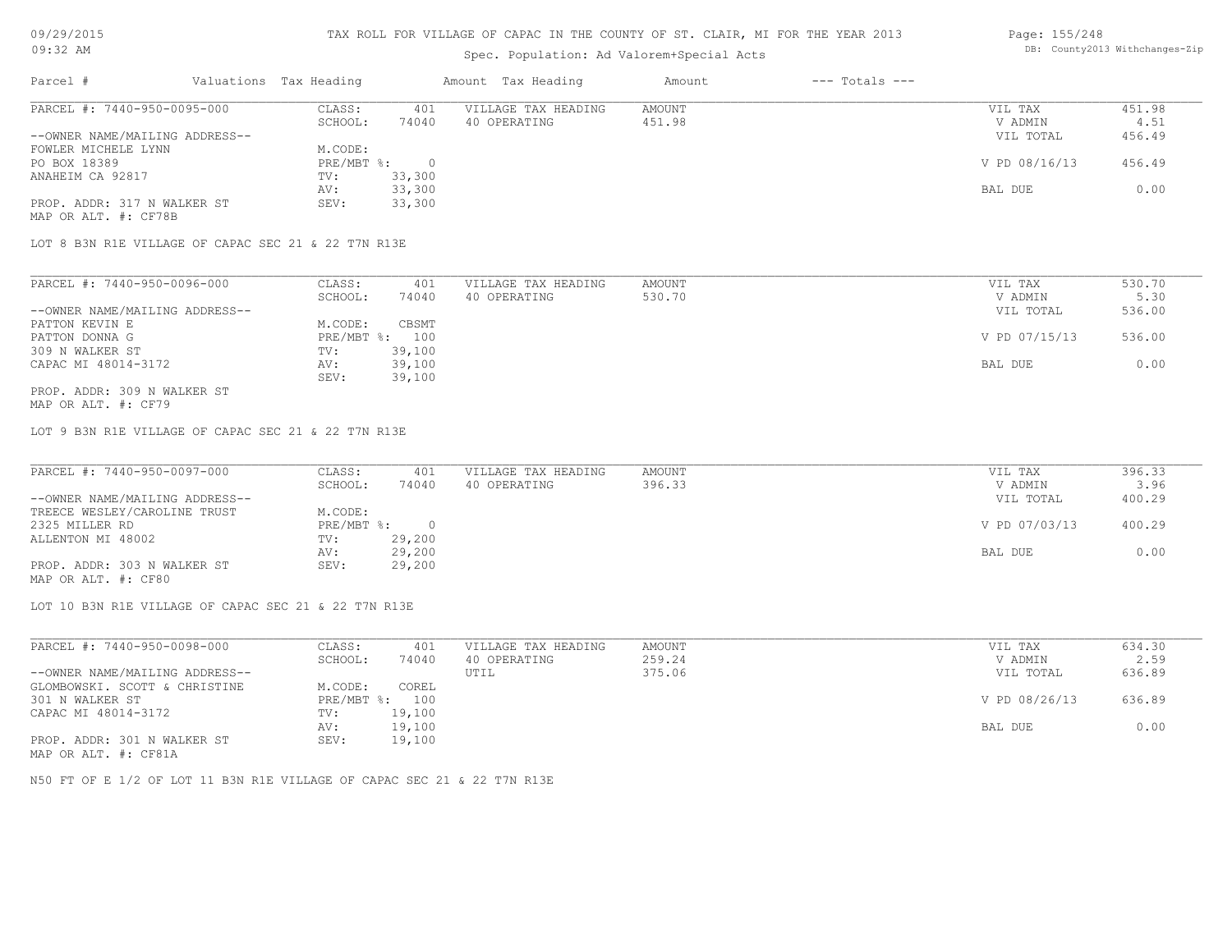## Spec. Population: Ad Valorem+Special Acts

#### Page: 155/248 DB: County2013 Withchanges-Zip

| Parcel #                                            | Valuations Tax Heading |          | Amount Tax Heading  | Amount | $---$ Totals $---$ |               |        |
|-----------------------------------------------------|------------------------|----------|---------------------|--------|--------------------|---------------|--------|
| PARCEL #: 7440-950-0095-000                         | CLASS:                 | 401      | VILLAGE TAX HEADING | AMOUNT |                    | VIL TAX       | 451.98 |
|                                                     | SCHOOL:                | 74040    | 40 OPERATING        | 451.98 |                    | V ADMIN       | 4.51   |
| --OWNER NAME/MAILING ADDRESS--                      |                        |          |                     |        |                    | VIL TOTAL     | 456.49 |
| FOWLER MICHELE LYNN                                 | M.CODE:                |          |                     |        |                    |               |        |
| PO BOX 18389                                        | PRE/MBT %:             | $\Omega$ |                     |        |                    | V PD 08/16/13 | 456.49 |
| ANAHEIM CA 92817                                    | TV:                    | 33,300   |                     |        |                    |               |        |
|                                                     | AV:                    | 33,300   |                     |        |                    | BAL DUE       | 0.00   |
| PROP. ADDR: 317 N WALKER ST                         | SEV:                   | 33,300   |                     |        |                    |               |        |
| MAP OR ALT. #: CF78B                                |                        |          |                     |        |                    |               |        |
|                                                     |                        |          |                     |        |                    |               |        |
| LOT 8 B3N R1E VILLAGE OF CAPAC SEC 21 & 22 T7N R13E |                        |          |                     |        |                    |               |        |
|                                                     |                        |          |                     |        |                    |               |        |
|                                                     |                        |          |                     |        |                    |               |        |

| PARCEL #: 7440-950-0096-000    | CLASS:     | 401    | VILLAGE TAX HEADING | AMOUNT | VIL TAX       | 530.70 |
|--------------------------------|------------|--------|---------------------|--------|---------------|--------|
|                                | SCHOOL:    | 74040  | 40 OPERATING        | 530.70 | V ADMIN       | 5.30   |
| --OWNER NAME/MAILING ADDRESS-- |            |        |                     |        | VIL TOTAL     | 536.00 |
| PATTON KEVIN E                 | M.CODE:    | CBSMT  |                     |        |               |        |
| PATTON DONNA G                 | PRE/MBT %: | 100    |                     |        | V PD 07/15/13 | 536.00 |
| 309 N WALKER ST                | TV:        | 39,100 |                     |        |               |        |
| CAPAC MI 48014-3172            | AV:        | 39,100 |                     |        | BAL DUE       | 0.00   |
|                                | SEV:       | 39,100 |                     |        |               |        |
| PROP. ADDR: 309 N WALKER ST    |            |        |                     |        |               |        |

MAP OR ALT. #: CF79

LOT 9 B3N R1E VILLAGE OF CAPAC SEC 21 & 22 T7N R13E

| PARCEL #: 7440-950-0097-000    | CLASS:     | 401    | VILLAGE TAX HEADING | AMOUNT | VIL TAX       | 396.33 |
|--------------------------------|------------|--------|---------------------|--------|---------------|--------|
|                                | SCHOOL:    | 74040  | 40 OPERATING        | 396.33 | V ADMIN       | 3.96   |
| --OWNER NAME/MAILING ADDRESS-- |            |        |                     |        | VIL TOTAL     | 400.29 |
| TREECE WESLEY/CAROLINE TRUST   | M.CODE:    |        |                     |        |               |        |
| 2325 MILLER RD                 | PRE/MBT %: |        |                     |        | V PD 07/03/13 | 400.29 |
| ALLENTON MI 48002              | TV:        | 29,200 |                     |        |               |        |
|                                | AV:        | 29,200 |                     |        | BAL DUE       | 0.00   |
| PROP. ADDR: 303 N WALKER ST    | SEV:       | 29,200 |                     |        |               |        |
| MAP OR ALT. #: CF80            |            |        |                     |        |               |        |

LOT 10 B3N R1E VILLAGE OF CAPAC SEC 21 & 22 T7N R13E

| PARCEL #: 7440-950-0098-000    | CLASS:  | 401            | VILLAGE TAX HEADING | AMOUNT | VIL TAX       | 634.30 |
|--------------------------------|---------|----------------|---------------------|--------|---------------|--------|
|                                | SCHOOL: | 74040          | 40 OPERATING        | 259.24 | V ADMIN       | 2.59   |
| --OWNER NAME/MAILING ADDRESS-- |         |                | UTIL                | 375.06 | VIL TOTAL     | 636.89 |
| GLOMBOWSKI. SCOTT & CHRISTINE  | M.CODE: | COREL          |                     |        |               |        |
| 301 N WALKER ST                |         | PRE/MBT %: 100 |                     |        | V PD 08/26/13 | 636.89 |
| CAPAC MI 48014-3172            | TV:     | 19,100         |                     |        |               |        |
|                                | AV:     | 19,100         |                     |        | BAL DUE       | 0.00   |
| PROP. ADDR: 301 N WALKER ST    | SEV:    | 19,100         |                     |        |               |        |
| MAP OR ALT. #: CF81A           |         |                |                     |        |               |        |

N50 FT OF E 1/2 OF LOT 11 B3N R1E VILLAGE OF CAPAC SEC 21 & 22 T7N R13E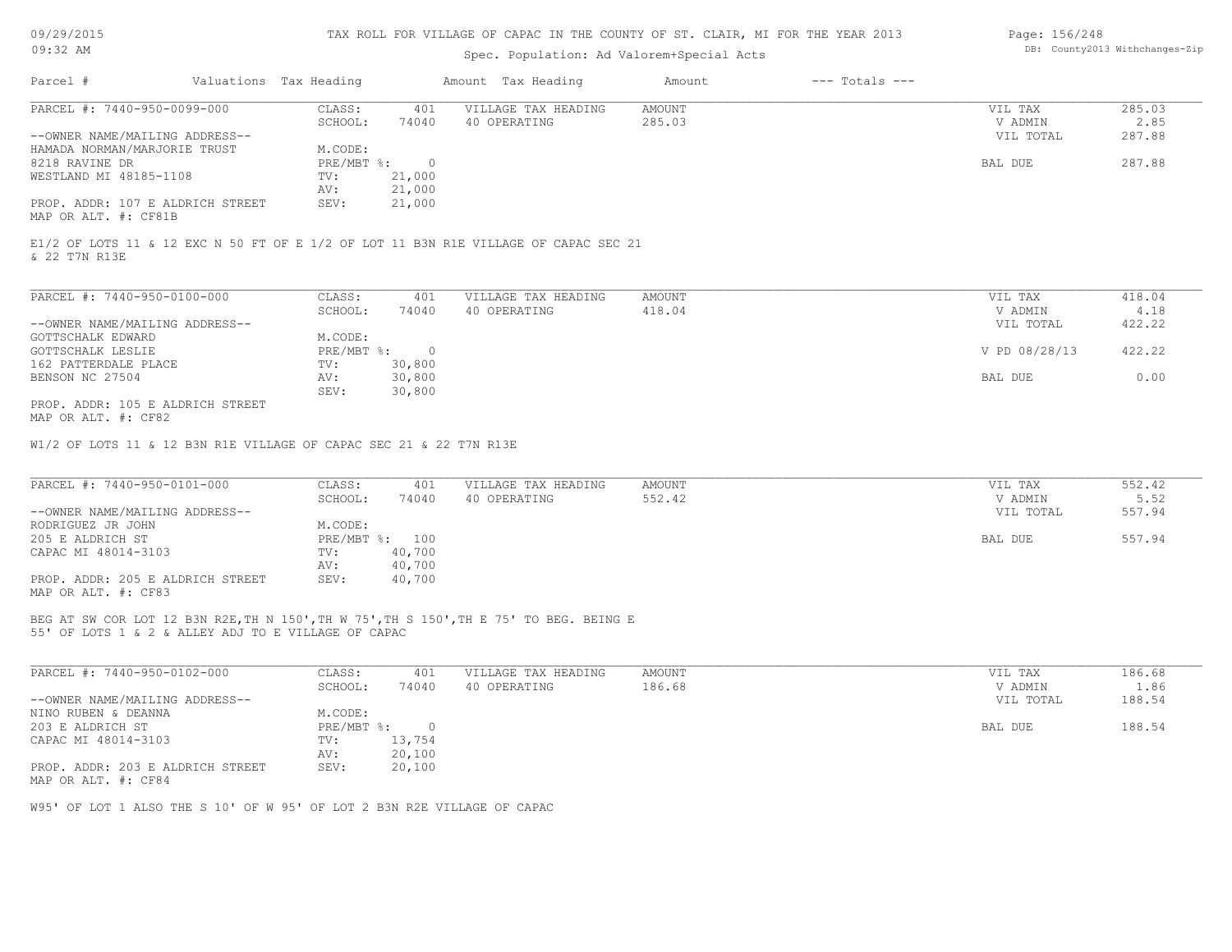| 09/29/2015 |  |
|------------|--|
| 32         |  |

## Spec. Population: Ad Valorem+Special Acts

#### Page: 156/248 DB: County2013 Withchanges-Zip

| Parcel #                         | Valuations Tax Heading |        | Amount Tax Heading  | Amount | $---$ Totals $---$ |           |        |
|----------------------------------|------------------------|--------|---------------------|--------|--------------------|-----------|--------|
| PARCEL #: 7440-950-0099-000      | CLASS:                 | 401    | VILLAGE TAX HEADING | AMOUNT |                    | VIL TAX   | 285.03 |
|                                  | SCHOOL:                | 74040  | 40 OPERATING        | 285.03 |                    | V ADMIN   | 2.85   |
| --OWNER NAME/MAILING ADDRESS--   |                        |        |                     |        |                    | VIL TOTAL | 287.88 |
| HAMADA NORMAN/MARJORIE TRUST     | M.CODE:                |        |                     |        |                    |           |        |
| 8218 RAVINE DR                   | $PRE/MBT$ %:           |        |                     |        |                    | BAL DUE   | 287.88 |
| WESTLAND MI 48185-1108           | TV:                    | 21,000 |                     |        |                    |           |        |
|                                  | AV:                    | 21,000 |                     |        |                    |           |        |
| PROP. ADDR: 107 E ALDRICH STREET | SEV:                   | 21,000 |                     |        |                    |           |        |
| MAP OR ALT. #: CF81B             |                        |        |                     |        |                    |           |        |
|                                  |                        |        |                     |        |                    |           |        |

& 22 T7N R13E E1/2 OF LOTS 11 & 12 EXC N 50 FT OF E 1/2 OF LOT 11 B3N R1E VILLAGE OF CAPAC SEC 21

| PARCEL #: 7440-950-0100-000      | CLASS:     | 401    | VILLAGE TAX HEADING | AMOUNT | 418.04<br>VIL TAX       |
|----------------------------------|------------|--------|---------------------|--------|-------------------------|
|                                  | SCHOOL:    | 74040  | 40 OPERATING        | 418.04 | 4.18<br>V ADMIN         |
| --OWNER NAME/MAILING ADDRESS--   |            |        |                     |        | 422.22<br>VIL TOTAL     |
| GOTTSCHALK EDWARD                | M.CODE:    |        |                     |        |                         |
| GOTTSCHALK LESLIE                | PRE/MBT %: |        |                     |        | 422.22<br>V PD 08/28/13 |
| 162 PATTERDALE PLACE             | TV:        | 30,800 |                     |        |                         |
| BENSON NC 27504                  | AV:        | 30,800 |                     |        | 0.00<br>BAL DUE         |
|                                  | SEV:       | 30,800 |                     |        |                         |
| PROP. ADDR: 105 E ALDRICH STREET |            |        |                     |        |                         |

MAP OR ALT. #: CF82

W1/2 OF LOTS 11 & 12 B3N R1E VILLAGE OF CAPAC SEC 21 & 22 T7N R13E

| PARCEL #: 7440-950-0101-000      | CLASS:         | 401    | VILLAGE TAX HEADING | AMOUNT | VIL TAX   | 552.42 |
|----------------------------------|----------------|--------|---------------------|--------|-----------|--------|
|                                  | SCHOOL:        | 74040  | 40 OPERATING        | 552.42 | V ADMIN   | 5.52   |
| --OWNER NAME/MAILING ADDRESS--   |                |        |                     |        | VIL TOTAL | 557.94 |
| RODRIGUEZ JR JOHN                | M.CODE:        |        |                     |        |           |        |
| 205 E ALDRICH ST                 | PRE/MBT %: 100 |        |                     |        | BAL DUE   | 557.94 |
| CAPAC MI 48014-3103              | TV:            | 40,700 |                     |        |           |        |
|                                  | AV:            | 40,700 |                     |        |           |        |
| PROP. ADDR: 205 E ALDRICH STREET | SEV:           | 40,700 |                     |        |           |        |
| MAP OR ALT. #: CF83              |                |        |                     |        |           |        |

55' OF LOTS 1 & 2 & ALLEY ADJ TO E VILLAGE OF CAPAC BEG AT SW COR LOT 12 B3N R2E,TH N 150',TH W 75',TH S 150',TH E 75' TO BEG. BEING E

| PARCEL #: 7440-950-0102-000      | CLASS:     | 401    | VILLAGE TAX HEADING | AMOUNT | VIL TAX   | 186.68 |
|----------------------------------|------------|--------|---------------------|--------|-----------|--------|
|                                  | SCHOOL:    | 74040  | 40 OPERATING        | 186.68 | V ADMIN   | 1.86   |
| --OWNER NAME/MAILING ADDRESS--   |            |        |                     |        | VIL TOTAL | 188.54 |
| NINO RUBEN & DEANNA              | M.CODE:    |        |                     |        |           |        |
| 203 E ALDRICH ST                 | PRE/MBT %: |        |                     |        | BAL DUE   | 188.54 |
| CAPAC MI 48014-3103              | TV:        | 13,754 |                     |        |           |        |
|                                  | AV:        | 20,100 |                     |        |           |        |
| PROP. ADDR: 203 E ALDRICH STREET | SEV:       | 20,100 |                     |        |           |        |
| MAP OR ALT. #: CF84              |            |        |                     |        |           |        |

W95' OF LOT 1 ALSO THE S 10' OF W 95' OF LOT 2 B3N R2E VILLAGE OF CAPAC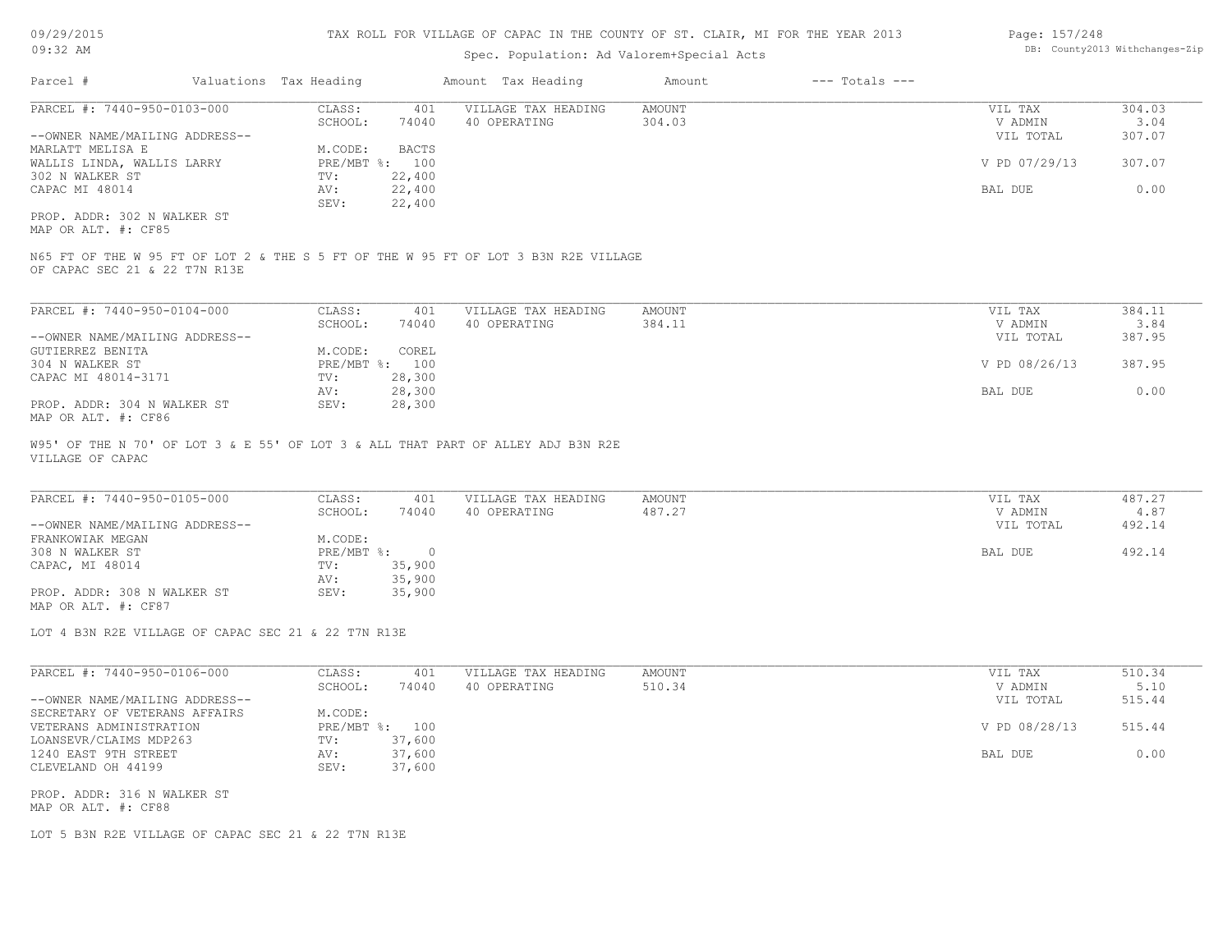## Spec. Population: Ad Valorem+Special Acts

| Page: 157/248 |                                |
|---------------|--------------------------------|
|               | DB: County2013 Withchanges-Zip |

| Parcel #                       |  | Valuations Tax Heading | Amount Tax Heading |                     | Amount | $---$ Totals $---$ |               |        |
|--------------------------------|--|------------------------|--------------------|---------------------|--------|--------------------|---------------|--------|
| PARCEL #: 7440-950-0103-000    |  | CLASS:                 | 401                | VILLAGE TAX HEADING | AMOUNT |                    | VIL TAX       | 304.03 |
|                                |  | SCHOOL:                | 74040              | 40 OPERATING        | 304.03 |                    | V ADMIN       | 3.04   |
| --OWNER NAME/MAILING ADDRESS-- |  |                        |                    |                     |        |                    | VIL TOTAL     | 307.07 |
| MARLATT MELISA E               |  | M.CODE:                | BACTS              |                     |        |                    |               |        |
| WALLIS LINDA, WALLIS LARRY     |  |                        | PRE/MBT %: 100     |                     |        |                    | V PD 07/29/13 | 307.07 |
| 302 N WALKER ST                |  | TV:                    | 22,400             |                     |        |                    |               |        |
| CAPAC MI 48014                 |  | AV:                    | 22,400             |                     |        |                    | BAL DUE       | 0.00   |
|                                |  | SEV:                   | 22,400             |                     |        |                    |               |        |
| PROP. ADDR: 302 N WALKER ST    |  |                        |                    |                     |        |                    |               |        |

MAP OR ALT. #: CF85

OF CAPAC SEC 21 & 22 T7N R13E N65 FT OF THE W 95 FT OF LOT 2 & THE S 5 FT OF THE W 95 FT OF LOT 3 B3N R2E VILLAGE

| PARCEL #: 7440-950-0104-000    | CLASS:  | 401            | VILLAGE TAX HEADING | AMOUNT | VIL TAX       | 384.11 |
|--------------------------------|---------|----------------|---------------------|--------|---------------|--------|
|                                | SCHOOL: | 74040          | 40 OPERATING        | 384.11 | V ADMIN       | 3.84   |
| --OWNER NAME/MAILING ADDRESS-- |         |                |                     |        | VIL TOTAL     | 387.95 |
| GUTIERREZ BENITA               | M.CODE: | COREL          |                     |        |               |        |
| 304 N WALKER ST                |         | PRE/MBT %: 100 |                     |        | V PD 08/26/13 | 387.95 |
| CAPAC MI 48014-3171            | TV:     | 28,300         |                     |        |               |        |
|                                | AV:     | 28,300         |                     |        | BAL DUE       | 0.00   |
| PROP. ADDR: 304 N WALKER ST    | SEV:    | 28,300         |                     |        |               |        |
| MAP OR ALT. #: CF86            |         |                |                     |        |               |        |

VILLAGE OF CAPAC W95' OF THE N 70' OF LOT 3 & E 55' OF LOT 3 & ALL THAT PART OF ALLEY ADJ B3N R2E

| PARCEL #: 7440-950-0105-000    | CLASS:     | 401    | VILLAGE TAX HEADING | AMOUNT | VIL TAX   | 487.27 |
|--------------------------------|------------|--------|---------------------|--------|-----------|--------|
|                                | SCHOOL:    | 74040  | 40 OPERATING        | 487.27 | V ADMIN   | 4.87   |
| --OWNER NAME/MAILING ADDRESS-- |            |        |                     |        | VIL TOTAL | 492.14 |
| FRANKOWIAK MEGAN               | M.CODE:    |        |                     |        |           |        |
| 308 N WALKER ST                | PRE/MBT %: | $\Box$ |                     |        | BAL DUE   | 492.14 |
| CAPAC, MI 48014                | TV:        | 35,900 |                     |        |           |        |
|                                | AV:        | 35,900 |                     |        |           |        |
| PROP. ADDR: 308 N WALKER ST    | SEV:       | 35,900 |                     |        |           |        |
| MAP OR ALT. #: CF87            |            |        |                     |        |           |        |

 $\mathcal{L}_\mathcal{L} = \mathcal{L}_\mathcal{L} = \mathcal{L}_\mathcal{L} = \mathcal{L}_\mathcal{L} = \mathcal{L}_\mathcal{L} = \mathcal{L}_\mathcal{L} = \mathcal{L}_\mathcal{L} = \mathcal{L}_\mathcal{L} = \mathcal{L}_\mathcal{L} = \mathcal{L}_\mathcal{L} = \mathcal{L}_\mathcal{L} = \mathcal{L}_\mathcal{L} = \mathcal{L}_\mathcal{L} = \mathcal{L}_\mathcal{L} = \mathcal{L}_\mathcal{L} = \mathcal{L}_\mathcal{L} = \mathcal{L}_\mathcal{L}$ 

LOT 4 B3N R2E VILLAGE OF CAPAC SEC 21 & 22 T7N R13E

| PARCEL #: 7440-950-0106-000    | CLASS:     | 401    | VILLAGE TAX HEADING | AMOUNT | VIL TAX       | 510.34 |
|--------------------------------|------------|--------|---------------------|--------|---------------|--------|
|                                | SCHOOL:    | 74040  | 40 OPERATING        | 510.34 | V ADMIN       | 5.10   |
| --OWNER NAME/MAILING ADDRESS-- |            |        |                     |        | VIL TOTAL     | 515.44 |
| SECRETARY OF VETERANS AFFAIRS  | M.CODE:    |        |                     |        |               |        |
| VETERANS ADMINISTRATION        | PRE/MBT %: | 100    |                     |        | V PD 08/28/13 | 515.44 |
| LOANSEVR/CLAIMS MDP263         | TV:        | 37,600 |                     |        |               |        |
| 1240 EAST 9TH STREET           | AV:        | 37,600 |                     |        | BAL DUE       | 0.00   |
| CLEVELAND OH 44199             | SEV:       | 37,600 |                     |        |               |        |

MAP OR ALT. #: CF88 PROP. ADDR: 316 N WALKER ST

LOT 5 B3N R2E VILLAGE OF CAPAC SEC 21 & 22 T7N R13E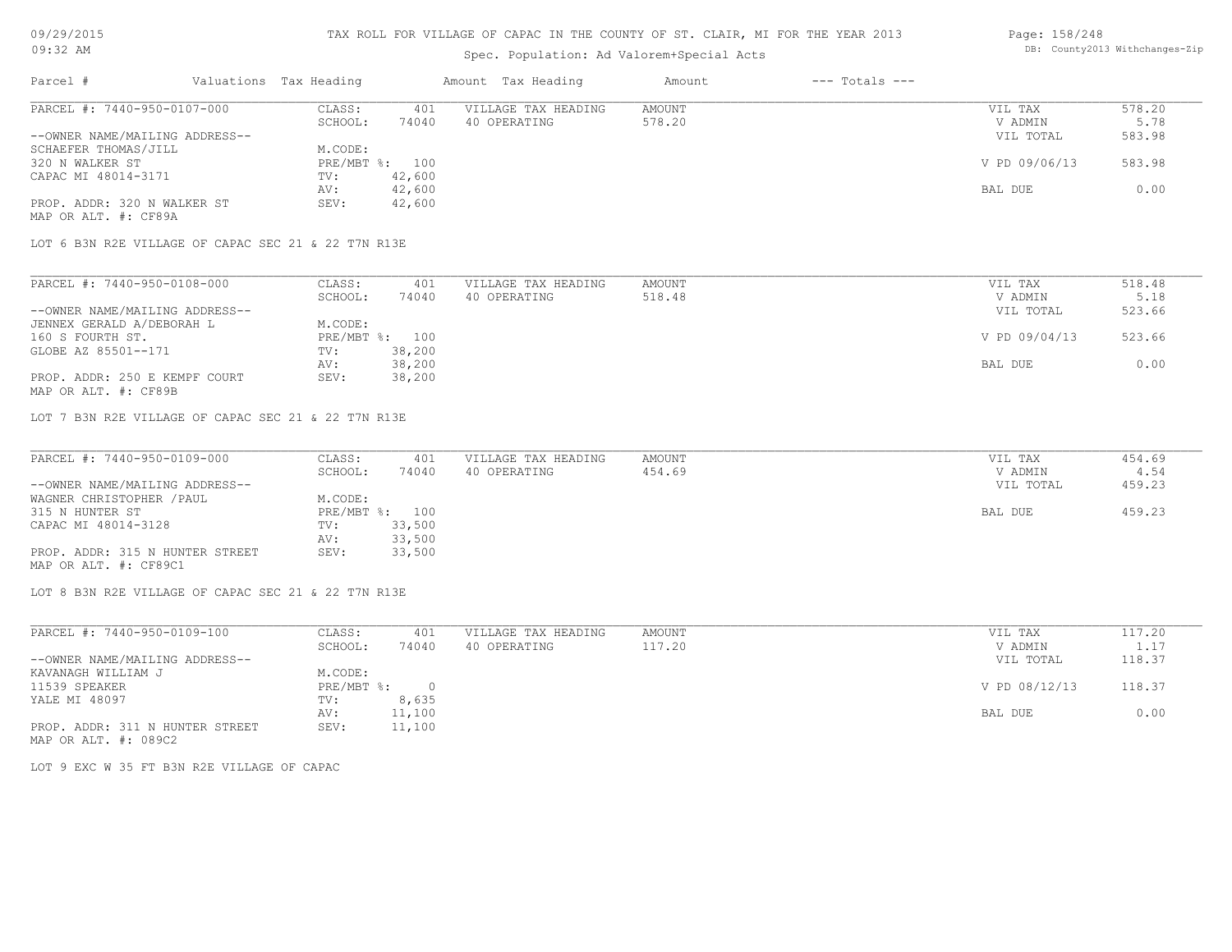## Spec. Population: Ad Valorem+Special Acts

#### Page: 158/248 DB: County2013 Withchanges-Zip

|                                                                                                                                                                     |                        |                     | Amount             |                    |        |
|---------------------------------------------------------------------------------------------------------------------------------------------------------------------|------------------------|---------------------|--------------------|--------------------|--------|
| CLASS:                                                                                                                                                              | 401                    | VILLAGE TAX HEADING | AMOUNT             | VIL TAX            | 578.20 |
| SCHOOL:                                                                                                                                                             | 74040                  | 40 OPERATING        | 578.20             | V ADMIN            | 5.78   |
|                                                                                                                                                                     |                        |                     |                    | VIL TOTAL          | 583.98 |
| M.CODE:                                                                                                                                                             |                        |                     |                    |                    |        |
|                                                                                                                                                                     |                        |                     |                    | V PD 09/06/13      | 583.98 |
| TV:                                                                                                                                                                 | 42,600                 |                     |                    |                    |        |
| AV:                                                                                                                                                                 | 42,600                 |                     |                    | BAL DUE            | 0.00   |
| SEV:                                                                                                                                                                | 42,600                 |                     |                    |                    |        |
|                                                                                                                                                                     |                        |                     |                    |                    |        |
| PARCEL #: 7440-950-0107-000<br>--OWNER NAME/MAILING ADDRESS--<br>SCHAEFER THOMAS/JILL<br>CAPAC MI 48014-3171<br>PROP. ADDR: 320 N WALKER ST<br>MAP OR ALT. #: CF89A | Valuations Tax Heading | PRE/MBT %: 100      | Amount Tax Heading | $---$ Totals $---$ |        |

LOT 6 B3N R2E VILLAGE OF CAPAC SEC 21 & 22 T7N R13E

| PARCEL #: 7440-950-0108-000    | CLASS:  | 401            | VILLAGE TAX HEADING | AMOUNT | VIL TAX       | 518.48 |
|--------------------------------|---------|----------------|---------------------|--------|---------------|--------|
|                                | SCHOOL: | 74040          | 40 OPERATING        | 518.48 | V ADMIN       | 5.18   |
| --OWNER NAME/MAILING ADDRESS-- |         |                |                     |        | VIL TOTAL     | 523.66 |
| JENNEX GERALD A/DEBORAH L      | M.CODE: |                |                     |        |               |        |
| 160 S FOURTH ST.               |         | PRE/MBT %: 100 |                     |        | V PD 09/04/13 | 523.66 |
| GLOBE AZ 85501--171            | TV:     | 38,200         |                     |        |               |        |
|                                | AV:     | 38,200         |                     |        | BAL DUE       | 0.00   |
| PROP. ADDR: 250 E KEMPF COURT  | SEV:    | 38,200         |                     |        |               |        |
| MAP OR ALT. #: CF89B           |         |                |                     |        |               |        |

LOT 7 B3N R2E VILLAGE OF CAPAC SEC 21 & 22 T7N R13E

| PARCEL #: 7440-950-0109-000     | CLASS:  | 401            | VILLAGE TAX HEADING | AMOUNT | VIL TAX   | 454.69 |
|---------------------------------|---------|----------------|---------------------|--------|-----------|--------|
|                                 | SCHOOL: | 74040          | 40 OPERATING        | 454.69 | V ADMIN   | 4.54   |
| --OWNER NAME/MAILING ADDRESS--  |         |                |                     |        | VIL TOTAL | 459.23 |
| WAGNER CHRISTOPHER / PAUL       | M.CODE: |                |                     |        |           |        |
| 315 N HUNTER ST                 |         | PRE/MBT %: 100 |                     |        | BAL DUE   | 459.23 |
| CAPAC MI 48014-3128             | TV:     | 33,500         |                     |        |           |        |
|                                 | AV:     | 33,500         |                     |        |           |        |
| PROP. ADDR: 315 N HUNTER STREET | SEV:    | 33,500         |                     |        |           |        |
| MAP OR ALT. #: CF89C1           |         |                |                     |        |           |        |

LOT 8 B3N R2E VILLAGE OF CAPAC SEC 21 & 22 T7N R13E

| PARCEL #: 7440-950-0109-100                             | CLASS:     | 401      | VILLAGE TAX HEADING | AMOUNT | VIL TAX       | 117.20 |
|---------------------------------------------------------|------------|----------|---------------------|--------|---------------|--------|
|                                                         | SCHOOL:    | 74040    | 40 OPERATING        | 117.20 | V ADMIN       | 1.17   |
| --OWNER NAME/MAILING ADDRESS--                          |            |          |                     |        | VIL TOTAL     | 118.37 |
| KAVANAGH WILLIAM J                                      | M.CODE:    |          |                     |        |               |        |
| 11539 SPEAKER                                           | PRE/MBT %: | $\Omega$ |                     |        | V PD 08/12/13 | 118.37 |
| YALE MI 48097                                           | TV:        | 8,635    |                     |        |               |        |
|                                                         | AV:        | 11,100   |                     |        | BAL DUE       | 0.00   |
| PROP. ADDR: 311 N HUNTER STREET<br>MAP OR ALT. #: 089C2 | SEV:       | 11,100   |                     |        |               |        |

LOT 9 EXC W 35 FT B3N R2E VILLAGE OF CAPAC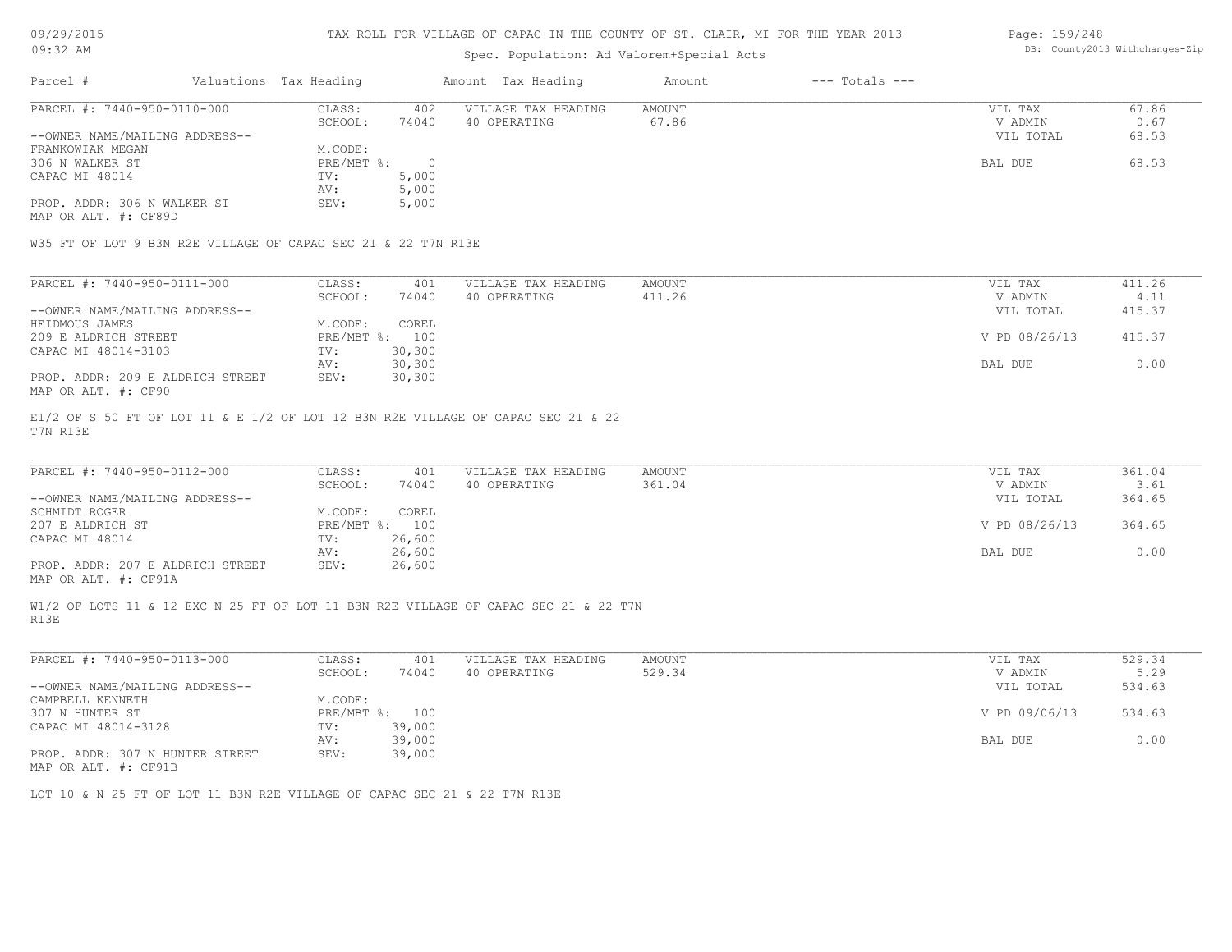#### TAX ROLL FOR VILLAGE OF CAPAC IN THE COUNTY OF ST. CLAIR, MI FOR THE YEAR 2013

## Spec. Population: Ad Valorem+Special Acts

#### Page: 159/248 DB: County2013 Withchanges-Zip

| Parcel #                       | Valuations Tax Heading |        | Amount Tax Heading  | Amount | $---$ Totals $---$ |           |       |
|--------------------------------|------------------------|--------|---------------------|--------|--------------------|-----------|-------|
| PARCEL #: 7440-950-0110-000    | CLASS:                 | 402    | VILLAGE TAX HEADING | AMOUNT |                    | VIL TAX   | 67.86 |
|                                | SCHOOL:                | 74040  | 40 OPERATING        | 67.86  |                    | V ADMIN   | 0.67  |
| --OWNER NAME/MAILING ADDRESS-- |                        |        |                     |        |                    | VIL TOTAL | 68.53 |
| FRANKOWIAK MEGAN               | M.CODE:                |        |                     |        |                    |           |       |
| 306 N WALKER ST                | $PRE/MBT$ %:           | $\cap$ |                     |        |                    | BAL DUE   | 68.53 |
| CAPAC MI 48014                 | TV:                    | 5,000  |                     |        |                    |           |       |
|                                | AV:                    | 5,000  |                     |        |                    |           |       |
| PROP. ADDR: 306 N WALKER ST    | SEV:                   | 5,000  |                     |        |                    |           |       |
| MAP OR ALT. #: CF89D           |                        |        |                     |        |                    |           |       |
|                                |                        |        |                     |        |                    |           |       |

W35 FT OF LOT 9 B3N R2E VILLAGE OF CAPAC SEC 21 & 22 T7N R13E

| PARCEL #: 7440-950-0111-000      | CLASS:  | 401            | VILLAGE TAX HEADING | AMOUNT | VIL TAX       | 411.26 |
|----------------------------------|---------|----------------|---------------------|--------|---------------|--------|
|                                  | SCHOOL: | 74040          | 40 OPERATING        | 411.26 | V ADMIN       | 4.11   |
| --OWNER NAME/MAILING ADDRESS--   |         |                |                     |        | VIL TOTAL     | 415.37 |
| HEIDMOUS JAMES                   | M.CODE: | COREL          |                     |        |               |        |
| 209 E ALDRICH STREET             |         | PRE/MBT %: 100 |                     |        | V PD 08/26/13 | 415.37 |
| CAPAC MI 48014-3103              | TV:     | 30,300         |                     |        |               |        |
|                                  | AV:     | 30,300         |                     |        | BAL DUE       | 0.00   |
| PROP. ADDR: 209 E ALDRICH STREET | SEV:    | 30,300         |                     |        |               |        |
| MAP OR ALT. #: CF90              |         |                |                     |        |               |        |

T7N R13E E1/2 OF S 50 FT OF LOT 11 & E 1/2 OF LOT 12 B3N R2E VILLAGE OF CAPAC SEC 21 & 22

| PARCEL #: 7440-950-0112-000      | CLASS:     | 401    | VILLAGE TAX HEADING | AMOUNT | VIL TAX       | 361.04 |
|----------------------------------|------------|--------|---------------------|--------|---------------|--------|
|                                  | SCHOOL:    | 74040  | 40 OPERATING        | 361.04 | V ADMIN       | 3.61   |
| --OWNER NAME/MAILING ADDRESS--   |            |        |                     |        | VIL TOTAL     | 364.65 |
| SCHMIDT ROGER                    | M.CODE:    | COREL  |                     |        |               |        |
| 207 E ALDRICH ST                 | PRE/MBT %: | 100    |                     |        | V PD 08/26/13 | 364.65 |
| CAPAC MI 48014                   | TV:        | 26,600 |                     |        |               |        |
|                                  | AV:        | 26,600 |                     |        | BAL DUE       | 0.00   |
| PROP. ADDR: 207 E ALDRICH STREET | SEV:       | 26,600 |                     |        |               |        |
|                                  |            |        |                     |        |               |        |

MAP OR ALT. #: CF91A

R13E W1/2 OF LOTS 11 & 12 EXC N 25 FT OF LOT 11 B3N R2E VILLAGE OF CAPAC SEC 21 & 22 T7N

| PARCEL #: 7440-950-0113-000     | CLASS:     | 401    | VILLAGE TAX HEADING | AMOUNT | VIL TAX       | 529.34 |
|---------------------------------|------------|--------|---------------------|--------|---------------|--------|
|                                 | SCHOOL:    | 74040  | 40 OPERATING        | 529.34 | V ADMIN       | 5.29   |
| --OWNER NAME/MAILING ADDRESS--  |            |        |                     |        | VIL TOTAL     | 534.63 |
| CAMPBELL KENNETH                | M.CODE:    |        |                     |        |               |        |
| 307 N HUNTER ST                 | PRE/MBT %: | 100    |                     |        | V PD 09/06/13 | 534.63 |
| CAPAC MI 48014-3128             | TV:        | 39,000 |                     |        |               |        |
|                                 | AV:        | 39,000 |                     |        | BAL DUE       | 0.00   |
| PROP. ADDR: 307 N HUNTER STREET | SEV:       | 39,000 |                     |        |               |        |
| $\frac{1}{2}$                   |            |        |                     |        |               |        |

MAP OR ALT. #: CF91B

LOT 10 & N 25 FT OF LOT 11 B3N R2E VILLAGE OF CAPAC SEC 21 & 22 T7N R13E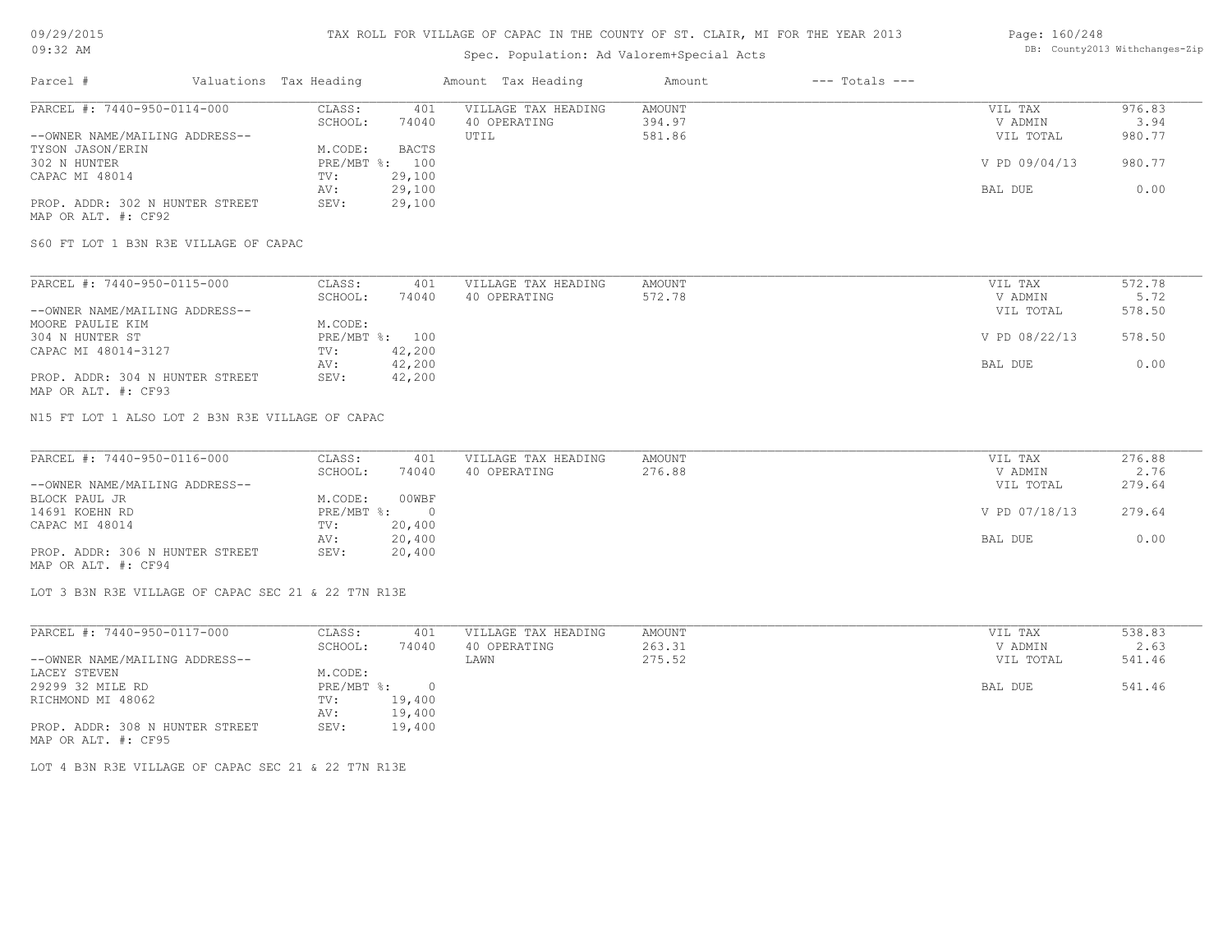## Spec. Population: Ad Valorem+Special Acts

#### Page: 160/248 DB: County2013 Withchanges-Zip

| Parcel #                        | Valuations Tax Heading |        | Amount Tax Heading  | Amount | $---$ Totals $---$ |               |        |
|---------------------------------|------------------------|--------|---------------------|--------|--------------------|---------------|--------|
| PARCEL #: 7440-950-0114-000     | CLASS:                 | 401    | VILLAGE TAX HEADING | AMOUNT |                    | VIL TAX       | 976.83 |
|                                 | SCHOOL:                | 74040  | 40 OPERATING        | 394.97 |                    | V ADMIN       | 3.94   |
| --OWNER NAME/MAILING ADDRESS--  |                        |        | UTIL                | 581.86 |                    | VIL TOTAL     | 980.77 |
| TYSON JASON/ERIN                | M.CODE:                | BACTS  |                     |        |                    |               |        |
| 302 N HUNTER                    | $PRE/MBT$ %:           | 100    |                     |        |                    | V PD 09/04/13 | 980.77 |
| CAPAC MI 48014                  | TV:                    | 29,100 |                     |        |                    |               |        |
|                                 | AV:                    | 29,100 |                     |        |                    | BAL DUE       | 0.00   |
| PROP. ADDR: 302 N HUNTER STREET | SEV:                   | 29,100 |                     |        |                    |               |        |
| MAP OR ALT. #: CF92             |                        |        |                     |        |                    |               |        |

S60 FT LOT 1 B3N R3E VILLAGE OF CAPAC

| PARCEL #: 7440-950-0115-000     | CLASS:  | 401            | VILLAGE TAX HEADING | AMOUNT | VIL TAX       | 572.78 |
|---------------------------------|---------|----------------|---------------------|--------|---------------|--------|
|                                 | SCHOOL: | 74040          | 40 OPERATING        | 572.78 | V ADMIN       | 5.72   |
| --OWNER NAME/MAILING ADDRESS--  |         |                |                     |        | VIL TOTAL     | 578.50 |
| MOORE PAULIE KIM                | M.CODE: |                |                     |        |               |        |
| 304 N HUNTER ST                 |         | PRE/MBT %: 100 |                     |        | V PD 08/22/13 | 578.50 |
| CAPAC MI 48014-3127             | TV:     | 42,200         |                     |        |               |        |
|                                 | AV:     | 42,200         |                     |        | BAL DUE       | 0.00   |
| PROP. ADDR: 304 N HUNTER STREET | SEV:    | 42,200         |                     |        |               |        |
| MAP OR ALT. #: CF93             |         |                |                     |        |               |        |

N15 FT LOT 1 ALSO LOT 2 B3N R3E VILLAGE OF CAPAC

| PARCEL #: 7440-950-0116-000     | CLASS:     | 401    | VILLAGE TAX HEADING | AMOUNT | VIL TAX       | 276.88 |
|---------------------------------|------------|--------|---------------------|--------|---------------|--------|
|                                 | SCHOOL:    | 74040  | 40 OPERATING        | 276.88 | V ADMIN       | 2.76   |
| --OWNER NAME/MAILING ADDRESS--  |            |        |                     |        | VIL TOTAL     | 279.64 |
| BLOCK PAUL JR                   | M.CODE:    | 00WBF  |                     |        |               |        |
| 14691 KOEHN RD                  | PRE/MBT %: |        |                     |        | V PD 07/18/13 | 279.64 |
| CAPAC MI 48014                  | TV:        | 20,400 |                     |        |               |        |
|                                 | AV:        | 20,400 |                     |        | BAL DUE       | 0.00   |
| PROP. ADDR: 306 N HUNTER STREET | SEV:       | 20,400 |                     |        |               |        |
| MAP OR ALT. #: CF94             |            |        |                     |        |               |        |

LOT 3 B3N R3E VILLAGE OF CAPAC SEC 21 & 22 T7N R13E

| PARCEL #: 7440-950-0117-000     | CLASS:     | 401    | VILLAGE TAX HEADING | AMOUNT | VIL TAX   | 538.83 |
|---------------------------------|------------|--------|---------------------|--------|-----------|--------|
|                                 | SCHOOL:    | 74040  | 40 OPERATING        | 263.31 | V ADMIN   | 2.63   |
| --OWNER NAME/MAILING ADDRESS--  |            |        | LAWN                | 275.52 | VIL TOTAL | 541.46 |
| LACEY STEVEN                    | M.CODE:    |        |                     |        |           |        |
| 29299 32 MILE RD                | PRE/MBT %: |        |                     |        | BAL DUE   | 541.46 |
| RICHMOND MI 48062               | TV:        | 19,400 |                     |        |           |        |
|                                 | AV:        | 19,400 |                     |        |           |        |
| PROP. ADDR: 308 N HUNTER STREET | SEV:       | 19,400 |                     |        |           |        |
| MAP OR ALT. #: CF95             |            |        |                     |        |           |        |

LOT 4 B3N R3E VILLAGE OF CAPAC SEC 21 & 22 T7N R13E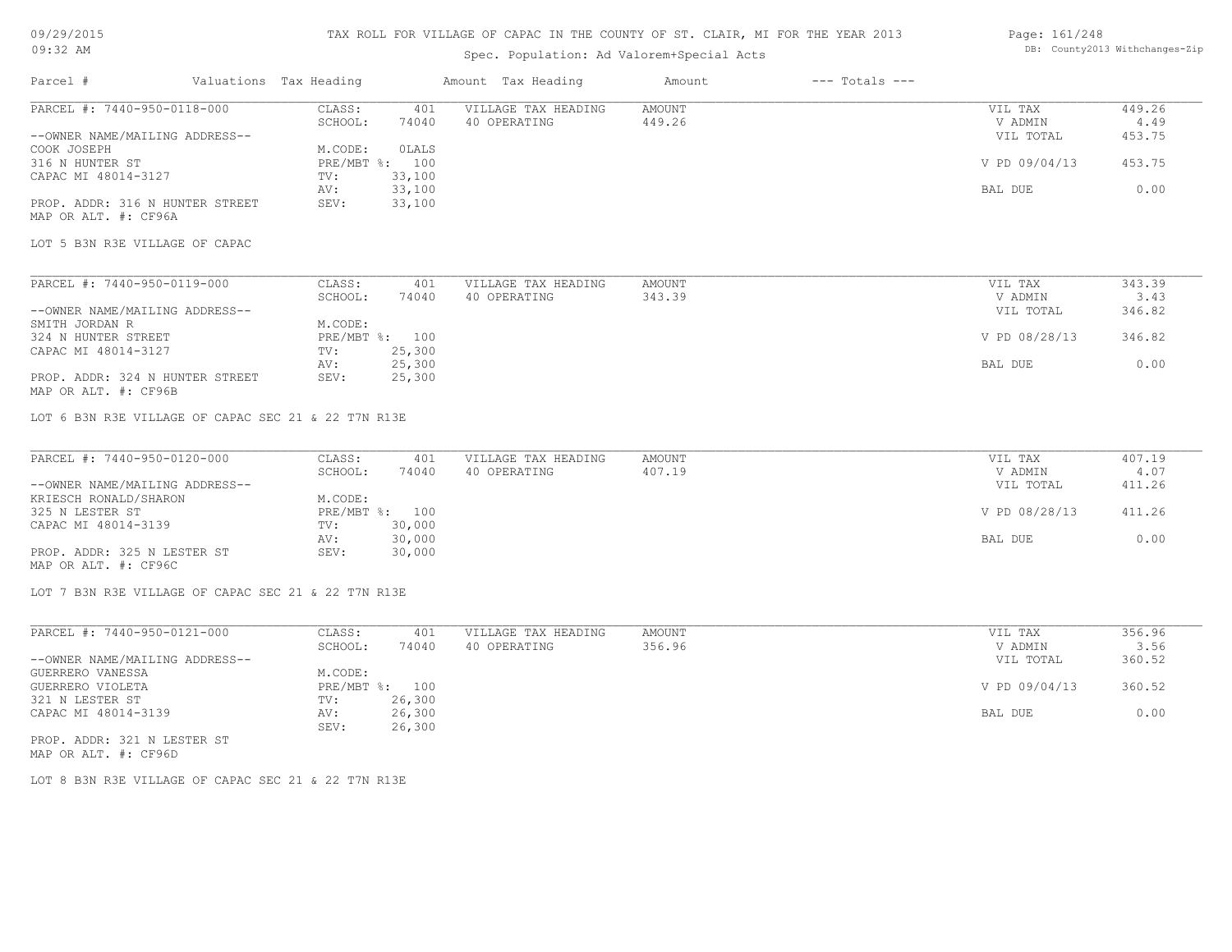#### TAX ROLL FOR VILLAGE OF CAPAC IN THE COUNTY OF ST. CLAIR, MI FOR THE YEAR 2013

## Spec. Population: Ad Valorem+Special Acts

#### Page: 161/248 DB: County2013 Withchanges-Zip

| Valuations Tax Heading<br>Parcel #                      |                   | Amount Tax Heading           | Amount                  | $---$ Totals $---$ |                    |                |
|---------------------------------------------------------|-------------------|------------------------------|-------------------------|--------------------|--------------------|----------------|
| PARCEL #: 7440-950-0118-000                             | CLASS:            | VILLAGE TAX HEADING<br>401   | <b>AMOUNT</b>           |                    | VIL TAX            | 449.26         |
|                                                         | SCHOOL:           | 74040<br>40 OPERATING        | 449.26                  |                    | V ADMIN            | 4.49           |
| --OWNER NAME/MAILING ADDRESS--                          |                   |                              |                         |                    | VIL TOTAL          | 453.75         |
| COOK JOSEPH                                             | M.CODE:           | OLALS                        |                         |                    |                    |                |
| 316 N HUNTER ST                                         | PRE/MBT %:        | 100                          |                         |                    | V PD 09/04/13      | 453.75         |
| CAPAC MI 48014-3127                                     | 33,100<br>TV:     |                              |                         |                    |                    |                |
|                                                         | 33,100<br>AV:     |                              |                         |                    | BAL DUE            | 0.00           |
| PROP. ADDR: 316 N HUNTER STREET<br>MAP OR ALT. #: CF96A | 33,100<br>SEV:    |                              |                         |                    |                    |                |
| LOT 5 B3N R3E VILLAGE OF CAPAC                          |                   |                              |                         |                    |                    |                |
| PARCEL #: 7440-950-0119-000                             | CLASS:            | VILLAGE TAX HEADING<br>401   | <b>AMOUNT</b>           |                    | VIL TAX            | 343.39         |
|                                                         | SCHOOL:           | 74040<br>40 OPERATING        | 343.39                  |                    | V ADMIN            | 3.43           |
| --OWNER NAME/MAILING ADDRESS--                          |                   |                              |                         |                    | VIL TOTAL          | 346.82         |
| SMITH JORDAN R                                          | M.CODE:           |                              |                         |                    |                    |                |
| 324 N HUNTER STREET                                     | PRE/MBT %: 100    |                              |                         |                    | V PD 08/28/13      | 346.82         |
| CAPAC MI 48014-3127                                     | 25,300<br>TV:     |                              |                         |                    |                    |                |
|                                                         | 25,300<br>AV:     |                              |                         |                    | BAL DUE            | 0.00           |
| PROP. ADDR: 324 N HUNTER STREET<br>MAP OR ALT. #: CF96B | SEV:<br>25,300    |                              |                         |                    |                    |                |
| LOT 6 B3N R3E VILLAGE OF CAPAC SEC 21 & 22 T7N R13E     |                   |                              |                         |                    |                    |                |
| PARCEL #: 7440-950-0120-000                             |                   | VILLAGE TAX HEADING          |                         |                    |                    |                |
|                                                         | CLASS:<br>SCHOOL: | 401<br>74040<br>40 OPERATING | <b>AMOUNT</b><br>407.19 |                    | VIL TAX<br>V ADMIN | 407.19<br>4.07 |
| --OWNER NAME/MAILING ADDRESS--                          |                   |                              |                         |                    | VIL TOTAL          | 411.26         |
| KRIESCH RONALD/SHARON                                   | M.CODE:           |                              |                         |                    |                    |                |
| 325 N LESTER ST                                         | PRE/MBT %:        | 100                          |                         |                    | V PD 08/28/13      | 411.26         |
| CAPAC MI 48014-3139                                     | 30,000<br>TV:     |                              |                         |                    |                    |                |
|                                                         | 30,000            |                              |                         |                    |                    |                |
| PROP. ADDR: 325 N LESTER ST                             | AV:               |                              |                         |                    | BAL DUE            | 0.00           |
|                                                         | 30,000<br>SEV:    |                              |                         |                    |                    |                |

MAP OR ALT. #: CF96C

LOT 7 B3N R3E VILLAGE OF CAPAC SEC 21 & 22 T7N R13E

| PARCEL #: 7440-950-0121-000    | CLASS:       | 401    | VILLAGE TAX HEADING | AMOUNT | VIL TAX       | 356.96 |
|--------------------------------|--------------|--------|---------------------|--------|---------------|--------|
|                                | SCHOOL:      | 74040  | 40 OPERATING        | 356.96 | V ADMIN       | 3.56   |
| --OWNER NAME/MAILING ADDRESS-- |              |        |                     |        | VIL TOTAL     | 360.52 |
| GUERRERO VANESSA               | M.CODE:      |        |                     |        |               |        |
| GUERRERO VIOLETA               | $PRE/MBT$ %: | 100    |                     |        | V PD 09/04/13 | 360.52 |
| 321 N LESTER ST                | TV:          | 26,300 |                     |        |               |        |
| CAPAC MI 48014-3139            | AV:          | 26,300 |                     |        | BAL DUE       | 0.00   |
|                                | SEV:         | 26,300 |                     |        |               |        |
| PROP. ADDR: 321 N LESTER ST    |              |        |                     |        |               |        |

MAP OR ALT. #: CF96D

LOT 8 B3N R3E VILLAGE OF CAPAC SEC 21 & 22 T7N R13E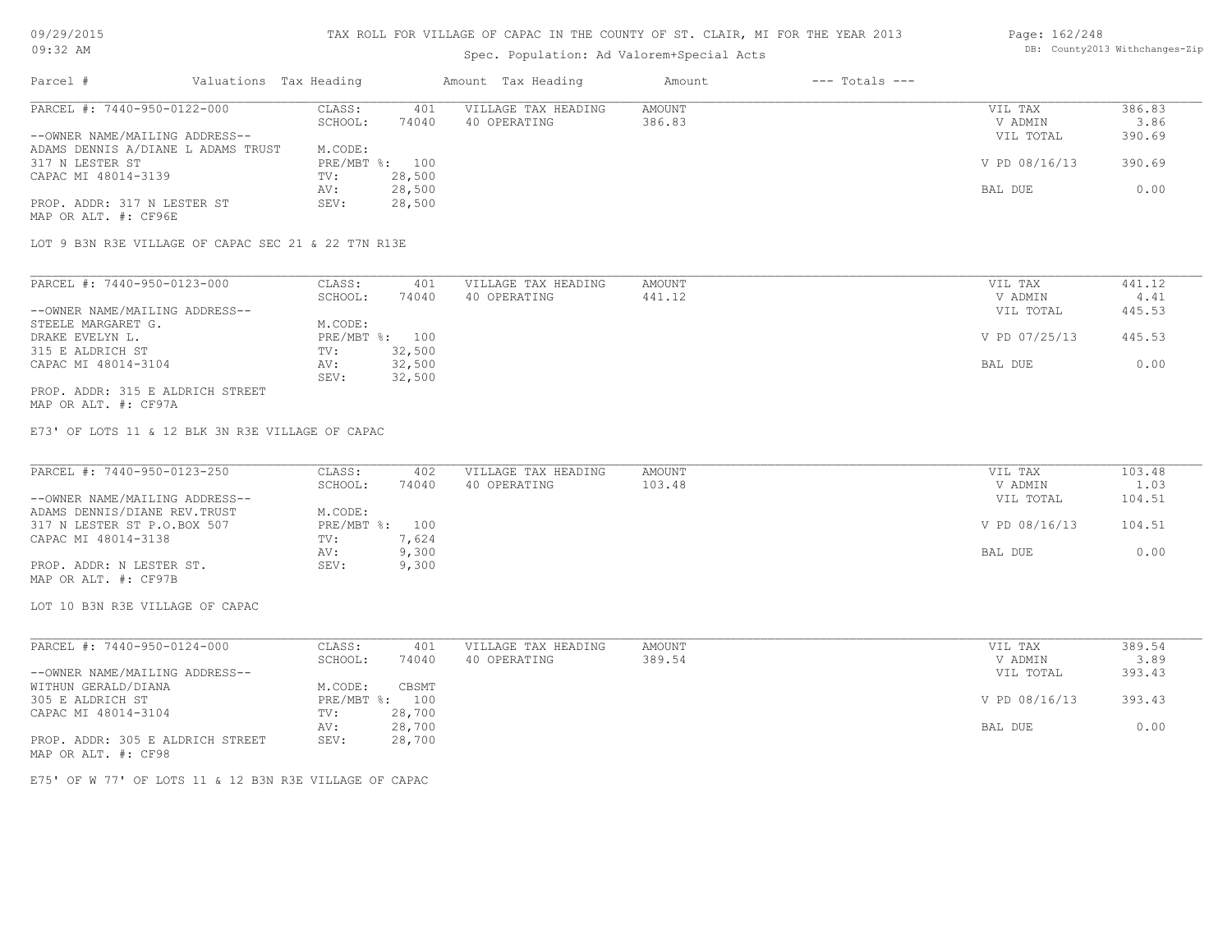#### TAX ROLL FOR VILLAGE OF CAPAC IN THE COUNTY OF ST. CLAIR, MI FOR THE YEAR 2013

## Spec. Population: Ad Valorem+Special Acts

## Parcel # Valuations Tax Heading Amount Tax Heading Amount --- Totals ---PROP. ADDR: 317 N LESTER ST SEV: 28,500 AV: 28,500 BAL DUE 0.00 CAPAC MI 48014-3139 TV: 28,500<br>AV: 28,500 317 N LESTER ST PRE/MBT %: 100 V PD 08/16/13 390.69 ADAMS DENNIS A/DIANE L ADAMS TRUST M.CODE: --OWNER NAME/MAILING ADDRESS-- VIL TOTAL 390.69 SCHOOL: 74040 40 OPERATING 386.83 386.89 V ADMIN 3.86 PARCEL #: 7440-950-0122-000 CLASS: 401 VILLAGE TAX HEADING AMOUNT NUMBER ON THE VIL TAX 386.83<br>386.83 SCHOOL: 74040 40 OPERATING 386.83 386.83 VADMIN 3.86  $\mathcal{L}_\mathcal{L} = \mathcal{L}_\mathcal{L} = \mathcal{L}_\mathcal{L} = \mathcal{L}_\mathcal{L} = \mathcal{L}_\mathcal{L} = \mathcal{L}_\mathcal{L} = \mathcal{L}_\mathcal{L} = \mathcal{L}_\mathcal{L} = \mathcal{L}_\mathcal{L} = \mathcal{L}_\mathcal{L} = \mathcal{L}_\mathcal{L} = \mathcal{L}_\mathcal{L} = \mathcal{L}_\mathcal{L} = \mathcal{L}_\mathcal{L} = \mathcal{L}_\mathcal{L} = \mathcal{L}_\mathcal{L} = \mathcal{L}_\mathcal{L}$

MAP OR ALT. #: CF96E

LOT 9 B3N R3E VILLAGE OF CAPAC SEC 21 & 22 T7N R13E

| PARCEL #: 7440-950-0123-000      | CLASS:  | 401            | VILLAGE TAX HEADING | AMOUNT | VIL TAX       | 441.12 |
|----------------------------------|---------|----------------|---------------------|--------|---------------|--------|
|                                  | SCHOOL: | 74040          | 40 OPERATING        | 441.12 | V ADMIN       | 4.41   |
| --OWNER NAME/MAILING ADDRESS--   |         |                |                     |        | VIL TOTAL     | 445.53 |
| STEELE MARGARET G.               | M.CODE: |                |                     |        |               |        |
| DRAKE EVELYN L.                  |         | PRE/MBT %: 100 |                     |        | V PD 07/25/13 | 445.53 |
| 315 E ALDRICH ST                 | TV:     | 32,500         |                     |        |               |        |
| CAPAC MI 48014-3104              | AV:     | 32,500         |                     |        | BAL DUE       | 0.00   |
|                                  | SEV:    | 32,500         |                     |        |               |        |
| PROP. ADDR: 315 E ALDRICH STREET |         |                |                     |        |               |        |

MAP OR ALT. #: CF97A

E73' OF LOTS 11 & 12 BLK 3N R3E VILLAGE OF CAPAC

| PARCEL #: 7440-950-0123-250    | CLASS:         | 402   | VILLAGE TAX HEADING | AMOUNT | VIL TAX       | 103.48 |
|--------------------------------|----------------|-------|---------------------|--------|---------------|--------|
|                                | SCHOOL:        | 74040 | 40 OPERATING        | 103.48 | V ADMIN       | 1.03   |
| --OWNER NAME/MAILING ADDRESS-- |                |       |                     |        | VIL TOTAL     | 104.51 |
| ADAMS DENNIS/DIANE REV. TRUST  | M.CODE:        |       |                     |        |               |        |
| 317 N LESTER ST P.O.BOX 507    | PRE/MBT %: 100 |       |                     |        | V PD 08/16/13 | 104.51 |
| CAPAC MI 48014-3138            | TV:            | 7,624 |                     |        |               |        |
|                                | AV:            | 9,300 |                     |        | BAL DUE       | 0.00   |
| PROP. ADDR: N LESTER ST.       | SEV:           | 9,300 |                     |        |               |        |
| MAP OR ALT. #: CF97B           |                |       |                     |        |               |        |

LOT 10 B3N R3E VILLAGE OF CAPAC

| PARCEL #: 7440-950-0124-000      | CLASS:  | 401            | VILLAGE TAX HEADING | AMOUNT | VIL TAX       | 389.54 |
|----------------------------------|---------|----------------|---------------------|--------|---------------|--------|
|                                  | SCHOOL: | 74040          | 40 OPERATING        | 389.54 | V ADMIN       | 3.89   |
| --OWNER NAME/MAILING ADDRESS--   |         |                |                     |        | VIL TOTAL     | 393.43 |
| WITHUN GERALD/DIANA              | M.CODE: | CBSMT          |                     |        |               |        |
| 305 E ALDRICH ST                 |         | PRE/MBT %: 100 |                     |        | V PD 08/16/13 | 393.43 |
| CAPAC MI 48014-3104              | TV:     | 28,700         |                     |        |               |        |
|                                  | AV:     | 28,700         |                     |        | BAL DUE       | 0.00   |
| PROP. ADDR: 305 E ALDRICH STREET | SEV:    | 28,700         |                     |        |               |        |
| MAP OR ALT. #: CF98              |         |                |                     |        |               |        |

E75' OF W 77' OF LOTS 11 & 12 B3N R3E VILLAGE OF CAPAC

Page: 162/248 DB: County2013 Withchanges-Zip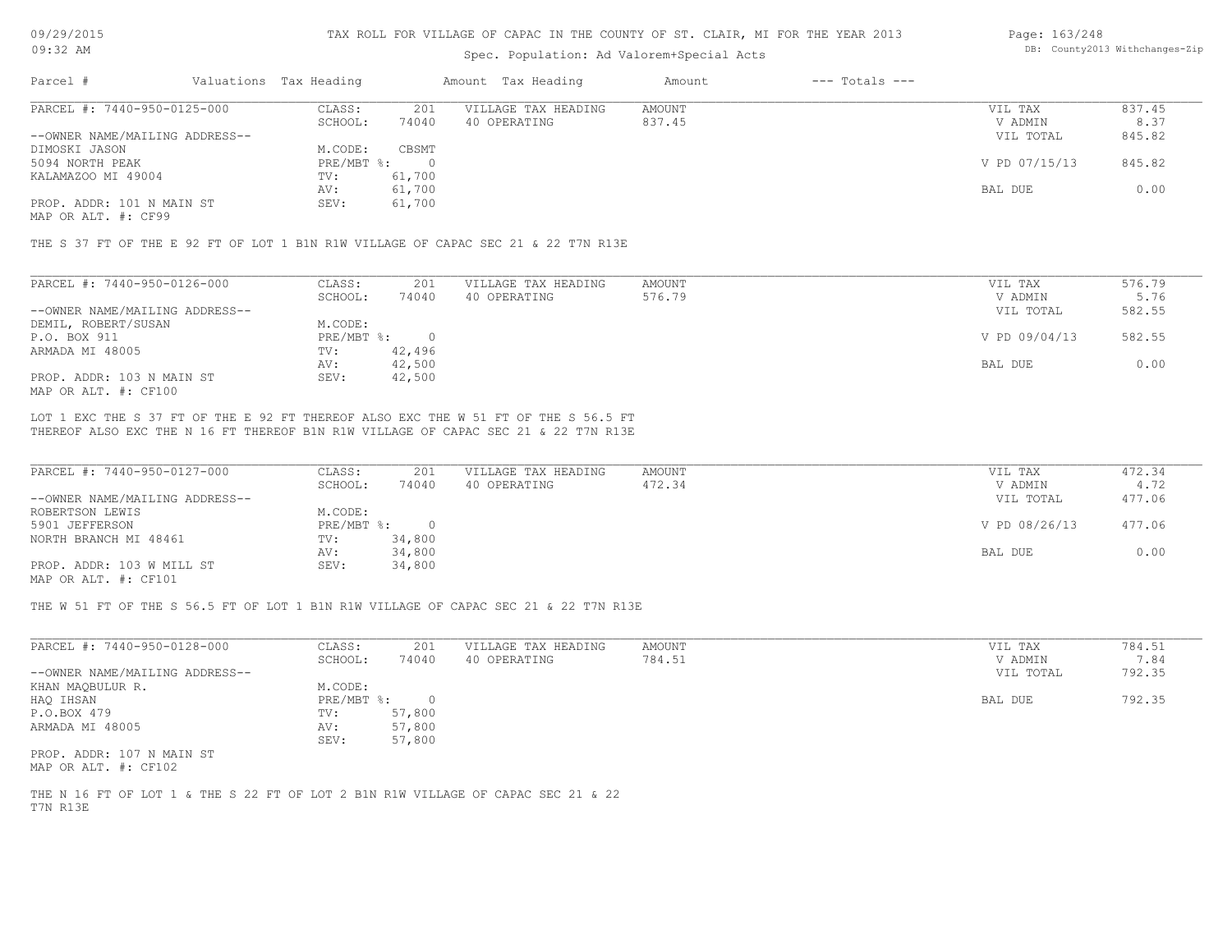## Spec. Population: Ad Valorem+Special Acts

#### Page: 163/248 DB: County2013 Withchanges-Zip

| Parcel #                       | Valuations Tax Heading |        | Amount Tax Heading  | Amount | $---$ Totals $---$ |               |        |
|--------------------------------|------------------------|--------|---------------------|--------|--------------------|---------------|--------|
| PARCEL #: 7440-950-0125-000    | CLASS:                 | 201    | VILLAGE TAX HEADING | AMOUNT |                    | VIL TAX       | 837.45 |
|                                | SCHOOL:                | 74040  | 40 OPERATING        | 837.45 |                    | V ADMIN       | 8.37   |
| --OWNER NAME/MAILING ADDRESS-- |                        |        |                     |        |                    | VIL TOTAL     | 845.82 |
| DIMOSKI JASON                  | M.CODE:                | CBSMT  |                     |        |                    |               |        |
| 5094 NORTH PEAK                | PRE/MBT %:             |        |                     |        |                    | V PD 07/15/13 | 845.82 |
| KALAMAZOO MI 49004             | TV:                    | 61,700 |                     |        |                    |               |        |
|                                | AV:                    | 61,700 |                     |        |                    | BAL DUE       | 0.00   |
| PROP. ADDR: 101 N MAIN ST      | SEV:                   | 61,700 |                     |        |                    |               |        |
|                                |                        |        |                     |        |                    |               |        |

MAP OR ALT. #: CF99

THE S 37 FT OF THE E 92 FT OF LOT 1 B1N R1W VILLAGE OF CAPAC SEC 21 & 22 T7N R13E

| PARCEL #: 7440-950-0126-000    | CLASS:     | 201    | VILLAGE TAX HEADING | AMOUNT | VIL TAX       | 576.79 |
|--------------------------------|------------|--------|---------------------|--------|---------------|--------|
|                                | SCHOOL:    | 74040  | 40 OPERATING        | 576.79 | V ADMIN       | 5.76   |
| --OWNER NAME/MAILING ADDRESS-- |            |        |                     |        | VIL TOTAL     | 582.55 |
| DEMIL, ROBERT/SUSAN            | M.CODE:    |        |                     |        |               |        |
| P.O. BOX 911                   | PRE/MBT %: |        |                     |        | V PD 09/04/13 | 582.55 |
| ARMADA MI 48005                | TV:        | 42,496 |                     |        |               |        |
|                                | AV:        | 42,500 |                     |        | BAL DUE       | 0.00   |
| PROP. ADDR: 103 N MAIN ST      | SEV:       | 42,500 |                     |        |               |        |
| MAP OR ALT. #: CF100           |            |        |                     |        |               |        |

THEREOF ALSO EXC THE N 16 FT THEREOF B1N R1W VILLAGE OF CAPAC SEC 21 & 22 T7N R13E LOT 1 EXC THE S 37 FT OF THE E 92 FT THEREOF ALSO EXC THE W 51 FT OF THE S 56.5 FT

| PARCEL #: 7440-950-0127-000    | CLASS:     | 201    | VILLAGE TAX HEADING | AMOUNT | VIL TAX       | 472.34 |
|--------------------------------|------------|--------|---------------------|--------|---------------|--------|
|                                | SCHOOL:    | 74040  | 40 OPERATING        | 472.34 | V ADMIN       | 4.72   |
| --OWNER NAME/MAILING ADDRESS-- |            |        |                     |        | VIL TOTAL     | 477.06 |
| ROBERTSON LEWIS                | M.CODE:    |        |                     |        |               |        |
| 5901 JEFFERSON                 | PRE/MBT %: |        |                     |        | V PD 08/26/13 | 477.06 |
| NORTH BRANCH MI 48461          | TV:        | 34,800 |                     |        |               |        |
|                                | AV:        | 34,800 |                     |        | BAL DUE       | 0.00   |
| PROP. ADDR: 103 W MILL ST      | SEV:       | 34,800 |                     |        |               |        |
| $\frac{1}{2}$                  |            |        |                     |        |               |        |

MAP OR ALT. #: CF101

THE W 51 FT OF THE S 56.5 FT OF LOT 1 B1N R1W VILLAGE OF CAPAC SEC 21 & 22 T7N R13E

| PARCEL #: 7440-950-0128-000    | CLASS:     | 201    | VILLAGE TAX HEADING | AMOUNT | VIL TAX   | 784.51 |
|--------------------------------|------------|--------|---------------------|--------|-----------|--------|
|                                | SCHOOL:    | 74040  | 40 OPERATING        | 784.51 | V ADMIN   | 7.84   |
| --OWNER NAME/MAILING ADDRESS-- |            |        |                     |        | VIL TOTAL | 792.35 |
| KHAN MAQBULUR R.               | M.CODE:    |        |                     |        |           |        |
| HAQ IHSAN                      | PRE/MBT %: |        |                     |        | BAL DUE   | 792.35 |
| P.O.BOX 479                    | TV:        | 57,800 |                     |        |           |        |
| ARMADA MI 48005                | AV:        | 57,800 |                     |        |           |        |
|                                | SEV:       | 57,800 |                     |        |           |        |
| PROP. ADDR: 107 N MAIN ST      |            |        |                     |        |           |        |

MAP OR ALT. #: CF102

T7N R13E THE N 16 FT OF LOT 1 & THE S 22 FT OF LOT 2 B1N R1W VILLAGE OF CAPAC SEC 21 & 22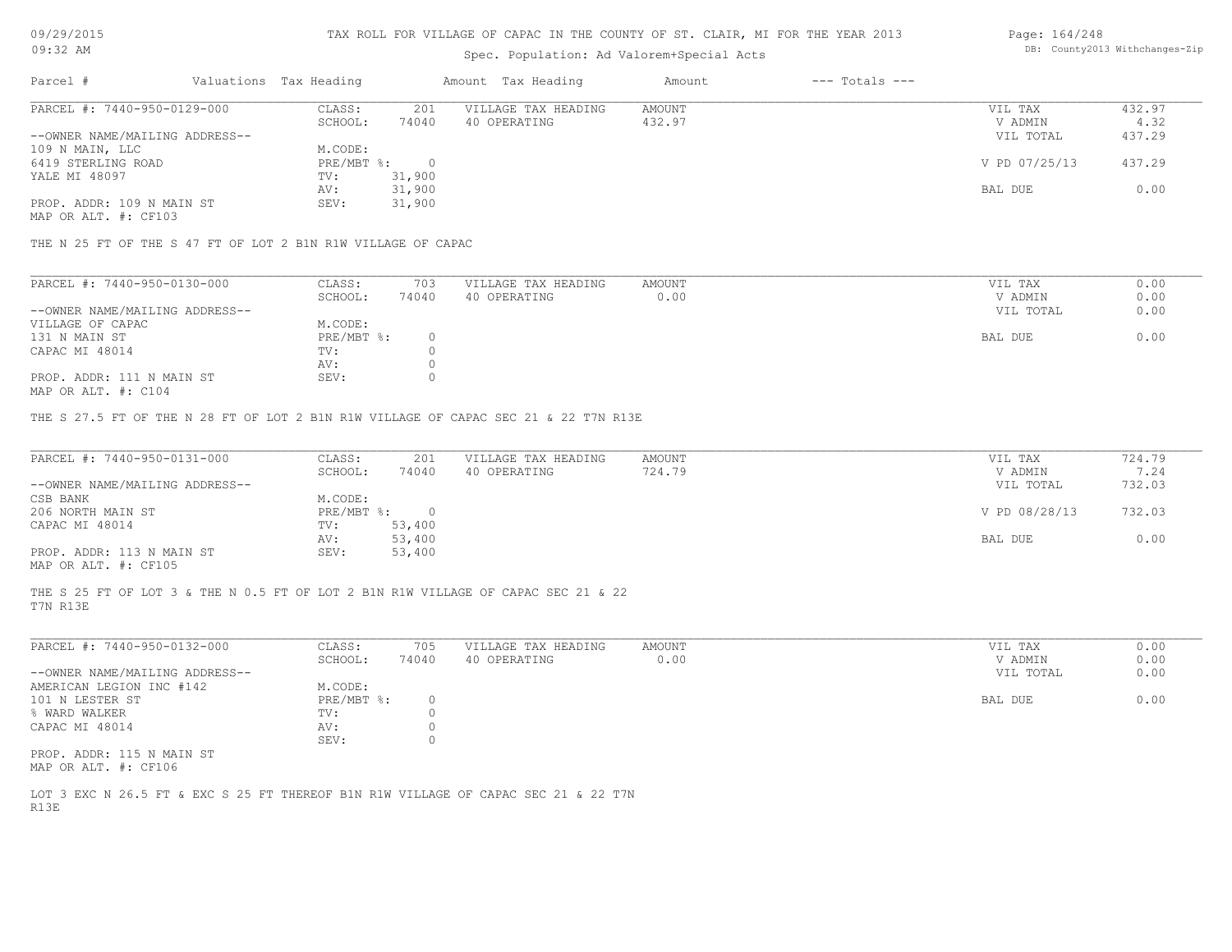#### TAX ROLL FOR VILLAGE OF CAPAC IN THE COUNTY OF ST. CLAIR, MI FOR THE YEAR 2013

## Spec. Population: Ad Valorem+Special Acts

#### Page: 164/248 DB: County2013 Withchanges-Zip

| Parcel #                       | Valuations Tax Heading |        | Amount Tax Heading  | Amount | $---$ Totals $---$ |               |        |
|--------------------------------|------------------------|--------|---------------------|--------|--------------------|---------------|--------|
| PARCEL #: 7440-950-0129-000    | CLASS:                 | 201    | VILLAGE TAX HEADING | AMOUNT |                    | VIL TAX       | 432.97 |
|                                | SCHOOL:                | 74040  | 40 OPERATING        | 432.97 |                    | V ADMIN       | 4.32   |
| --OWNER NAME/MAILING ADDRESS-- |                        |        |                     |        |                    | VIL TOTAL     | 437.29 |
| 109 N MAIN, LLC                | M.CODE:                |        |                     |        |                    |               |        |
| 6419 STERLING ROAD             | $PRE/MBT$ $\div$       |        |                     |        |                    | V PD 07/25/13 | 437.29 |
| YALE MI 48097                  | TV:                    | 31,900 |                     |        |                    |               |        |
|                                | AV:                    | 31,900 |                     |        |                    | BAL DUE       | 0.00   |
| PROP. ADDR: 109 N MAIN ST      | SEV:                   | 31,900 |                     |        |                    |               |        |
|                                |                        |        |                     |        |                    |               |        |

MAP OR ALT. #: CF103

THE N 25 FT OF THE S 47 FT OF LOT 2 B1N R1W VILLAGE OF CAPAC

| PARCEL #: 7440-950-0130-000    | CLASS:       | 703   | VILLAGE TAX HEADING | AMOUNT | VIL TAX   | 0.00 |
|--------------------------------|--------------|-------|---------------------|--------|-----------|------|
|                                | SCHOOL:      | 74040 | 40 OPERATING        | 0.00   | V ADMIN   | 0.00 |
| --OWNER NAME/MAILING ADDRESS-- |              |       |                     |        | VIL TOTAL | 0.00 |
| VILLAGE OF CAPAC               | M.CODE:      |       |                     |        |           |      |
| 131 N MAIN ST                  | $PRE/MBT$ %: |       |                     |        | BAL DUE   | 0.00 |
| CAPAC MI 48014                 | TV:          |       |                     |        |           |      |
|                                | AV:          |       |                     |        |           |      |
| PROP. ADDR: 111 N MAIN ST      | SEV:         |       |                     |        |           |      |
|                                |              |       |                     |        |           |      |

MAP OR ALT. #: C104

THE S 27.5 FT OF THE N 28 FT OF LOT 2 B1N R1W VILLAGE OF CAPAC SEC 21 & 22 T7N R13E

| PARCEL #: 7440-950-0131-000    | CLASS:       | 201    | VILLAGE TAX HEADING | AMOUNT | VIL TAX       | 724.79 |
|--------------------------------|--------------|--------|---------------------|--------|---------------|--------|
|                                | SCHOOL:      | 74040  | 40 OPERATING        | 724.79 | V ADMIN       | 7.24   |
| --OWNER NAME/MAILING ADDRESS-- |              |        |                     |        | VIL TOTAL     | 732.03 |
| CSB BANK                       | M.CODE:      |        |                     |        |               |        |
| 206 NORTH MAIN ST              | $PRE/MBT$ %: |        |                     |        | V PD 08/28/13 | 732.03 |
| CAPAC MI 48014                 | TV:          | 53,400 |                     |        |               |        |
|                                | AV:          | 53,400 |                     |        | BAL DUE       | 0.00   |
| PROP. ADDR: 113 N MAIN ST      | SEV:         | 53,400 |                     |        |               |        |
| MAP OR ALT. #: CF105           |              |        |                     |        |               |        |

THE S 25 FT OF LOT 3 & THE N 0.5 FT OF LOT 2 B1N R1W VILLAGE OF CAPAC SEC 21 & 22

T7N R13E

| PARCEL #: 7440-950-0132-000    | CLASS:     | 705   | VILLAGE TAX HEADING | AMOUNT | VIL TAX   | 0.00 |
|--------------------------------|------------|-------|---------------------|--------|-----------|------|
|                                | SCHOOL:    | 74040 | 40 OPERATING        | 0.00   | V ADMIN   | 0.00 |
| --OWNER NAME/MAILING ADDRESS-- |            |       |                     |        | VIL TOTAL | 0.00 |
| AMERICAN LEGION INC #142       | M.CODE:    |       |                     |        |           |      |
| 101 N LESTER ST                | PRE/MBT %: |       |                     |        | BAL DUE   | 0.00 |
| % WARD WALKER                  | TV:        |       |                     |        |           |      |
| CAPAC MI 48014                 | AV:        |       |                     |        |           |      |
|                                | SEV:       |       |                     |        |           |      |
| PROP. ADDR: 115 N MAIN ST      |            |       |                     |        |           |      |

MAP OR ALT. #: CF106

R13E LOT 3 EXC N 26.5 FT & EXC S 25 FT THEREOF B1N R1W VILLAGE OF CAPAC SEC 21 & 22 T7N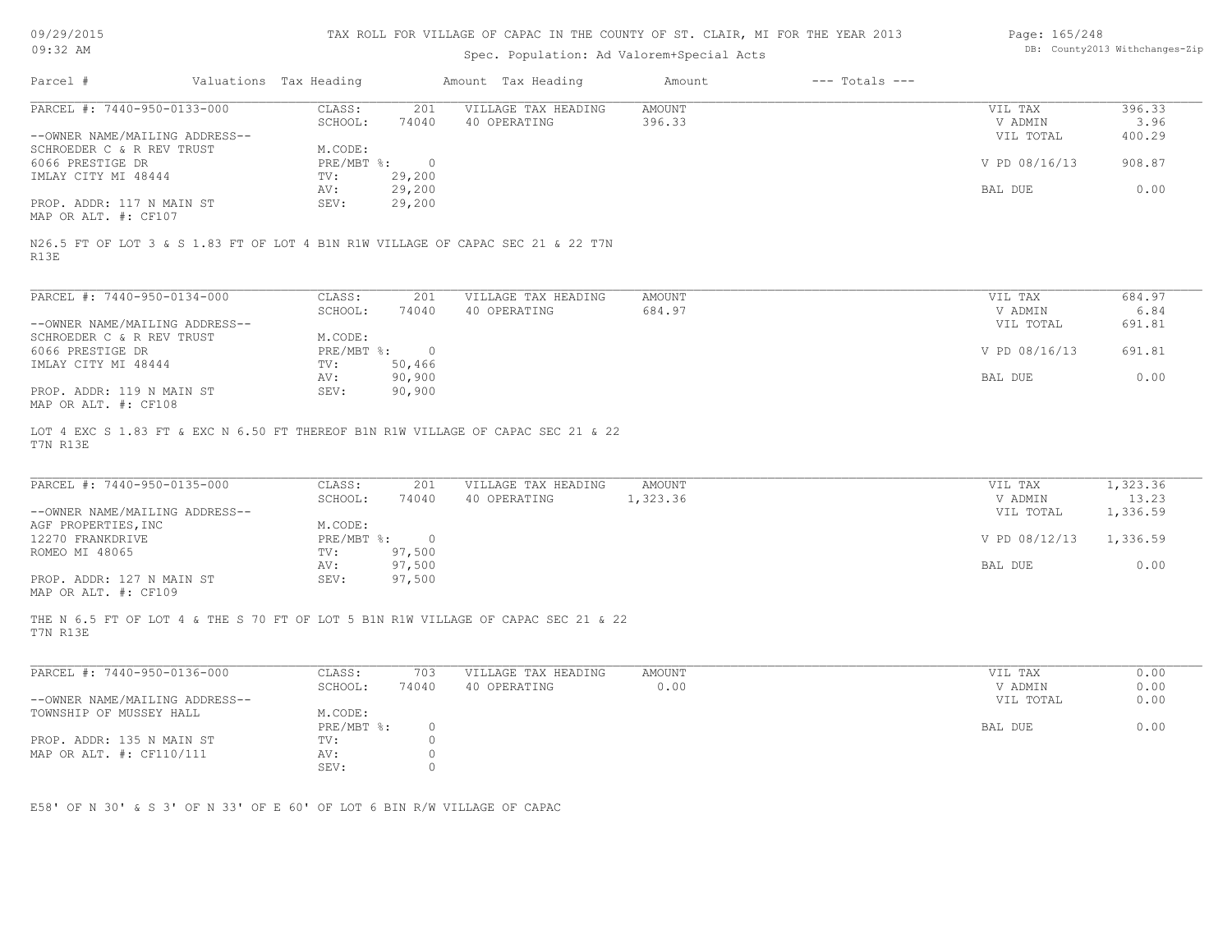| 09/29/2015                                        |                                                                          |                        |                  | TAX ROLL FOR VILLAGE OF CAPAC IN THE COUNTY OF ST. CLAIR, MI FOR THE YEAR 2013    |               |                                | Page: 165/248        |                |
|---------------------------------------------------|--------------------------------------------------------------------------|------------------------|------------------|-----------------------------------------------------------------------------------|---------------|--------------------------------|----------------------|----------------|
| 09:32 AM                                          |                                                                          |                        |                  | Spec. Population: Ad Valorem+Special Acts                                         |               | DB: County2013 Withchanges-Zip |                      |                |
| Parcel #                                          |                                                                          | Valuations Tax Heading |                  | Amount Tax Heading                                                                | Amount        | $---$ Totals $---$             |                      |                |
| PARCEL #: 7440-950-0133-000                       |                                                                          | CLASS:                 | 201              | VILLAGE TAX HEADING                                                               | <b>AMOUNT</b> |                                | VIL TAX              | 396.33         |
| --OWNER NAME/MAILING ADDRESS--                    |                                                                          | SCHOOL:                | 74040            | 40 OPERATING                                                                      | 396.33        |                                | V ADMIN<br>VIL TOTAL | 3.96<br>400.29 |
| SCHROEDER C & R REV TRUST                         |                                                                          | M.CODE:                |                  |                                                                                   |               |                                |                      |                |
| 6066 PRESTIGE DR                                  |                                                                          | PRE/MBT %:             | $\circ$          |                                                                                   |               |                                | V PD 08/16/13        | 908.87         |
| IMLAY CITY MI 48444                               |                                                                          | TV:                    | 29,200           |                                                                                   |               |                                |                      |                |
|                                                   |                                                                          | AV:                    | 29,200           |                                                                                   |               |                                | BAL DUE              | 0.00           |
| PROP. ADDR: 117 N MAIN ST<br>MAP OR ALT. #: CF107 |                                                                          | SEV:                   | 29,200           |                                                                                   |               |                                |                      |                |
| R13E                                              |                                                                          |                        |                  | N26.5 FT OF LOT 3 & S 1.83 FT OF LOT 4 B1N R1W VILLAGE OF CAPAC SEC 21 & 22 T7N   |               |                                |                      |                |
| PARCEL #: 7440-950-0134-000                       |                                                                          | CLASS:                 | 201              | VILLAGE TAX HEADING                                                               | <b>AMOUNT</b> |                                | VIL TAX              | 684.97         |
|                                                   |                                                                          | SCHOOL:                | 74040            | 40 OPERATING                                                                      | 684.97        |                                | V ADMIN              | 6.84           |
| --OWNER NAME/MAILING ADDRESS--                    |                                                                          |                        |                  |                                                                                   |               |                                | VIL TOTAL            | 691.81         |
| SCHROEDER C & R REV TRUST                         |                                                                          | M.CODE:                |                  |                                                                                   |               |                                |                      |                |
| 6066 PRESTIGE DR                                  |                                                                          | PRE/MBT %:             | $\overline{0}$   |                                                                                   |               |                                | V PD 08/16/13        | 691.81         |
| IMLAY CITY MI 48444                               |                                                                          | TV:                    | 50,466           |                                                                                   |               |                                |                      |                |
| PROP. ADDR: 119 N MAIN ST                         |                                                                          | AV:<br>SEV:            | 90,900<br>90,900 |                                                                                   |               |                                | BAL DUE              | 0.00           |
| MAP OR ALT. #: CF108                              |                                                                          |                        |                  |                                                                                   |               |                                |                      |                |
| T7N R13E                                          |                                                                          |                        |                  | LOT 4 EXC S 1.83 FT & EXC N 6.50 FT THEREOF B1N R1W VILLAGE OF CAPAC SEC 21 & 22  |               |                                |                      |                |
| PARCEL #: 7440-950-0135-000                       |                                                                          | CLASS:                 | 201              | VILLAGE TAX HEADING                                                               | <b>AMOUNT</b> |                                | VIL TAX              | 1,323.36       |
|                                                   |                                                                          | SCHOOL:                | 74040            | 40 OPERATING                                                                      | 1,323.36      |                                | V ADMIN              | 13.23          |
| --OWNER NAME/MAILING ADDRESS--                    |                                                                          |                        |                  |                                                                                   |               |                                | VIL TOTAL            | 1,336.59       |
| AGF PROPERTIES, INC                               |                                                                          | M.CODE:                |                  |                                                                                   |               |                                |                      |                |
| 12270 FRANKDRIVE                                  |                                                                          | $PRE/MBT$ $\div$       | $\overline{0}$   |                                                                                   |               |                                | V PD 08/12/13        | 1,336.59       |
| ROMEO MI 48065                                    |                                                                          | TV:                    | 97,500           |                                                                                   |               |                                |                      |                |
| PROP. ADDR: 127 N MAIN ST                         |                                                                          | AV:<br>SEV:            | 97,500<br>97,500 |                                                                                   |               |                                | BAL DUE              | 0.00           |
| MAP OR ALT. #: CF109                              |                                                                          |                        |                  |                                                                                   |               |                                |                      |                |
| T7N R13E                                          |                                                                          |                        |                  | THE N 6.5 FT OF LOT 4 & THE S 70 FT OF LOT 5 B1N R1W VILLAGE OF CAPAC SEC 21 & 22 |               |                                |                      |                |
| PARCEL #: 7440-950-0136-000                       |                                                                          | CLASS:                 | 703              | VILLAGE TAX HEADING                                                               | <b>AMOUNT</b> |                                | VIL TAX              | 0.00           |
|                                                   |                                                                          | SCHOOL:                | 74040            | 40 OPERATING                                                                      | 0.00          |                                | V ADMIN              | 0.00           |
| --OWNER NAME/MAILING ADDRESS--                    |                                                                          |                        |                  |                                                                                   |               |                                | VIL TOTAL            | 0.00           |
| TOWNSHIP OF MUSSEY HALL                           |                                                                          | M.CODE:                | $\circ$          |                                                                                   |               |                                |                      | 0.00           |
| PROP. ADDR: 135 N MAIN ST                         |                                                                          | PRE/MBT %:<br>TV:      | $\circ$          |                                                                                   |               |                                | BAL DUE              |                |
| MAP OR ALT. #: CF110/111                          |                                                                          | AV:                    | $\circledcirc$   |                                                                                   |               |                                |                      |                |
|                                                   |                                                                          | SEV:                   | $\circ$          |                                                                                   |               |                                |                      |                |
|                                                   |                                                                          |                        |                  |                                                                                   |               |                                |                      |                |
|                                                   |                                                                          |                        |                  |                                                                                   |               |                                |                      |                |
|                                                   | E58' OF N 30' & S 3' OF N 33' OF E 60' OF LOT 6 BIN R/W VILLAGE OF CAPAC |                        |                  |                                                                                   |               |                                |                      |                |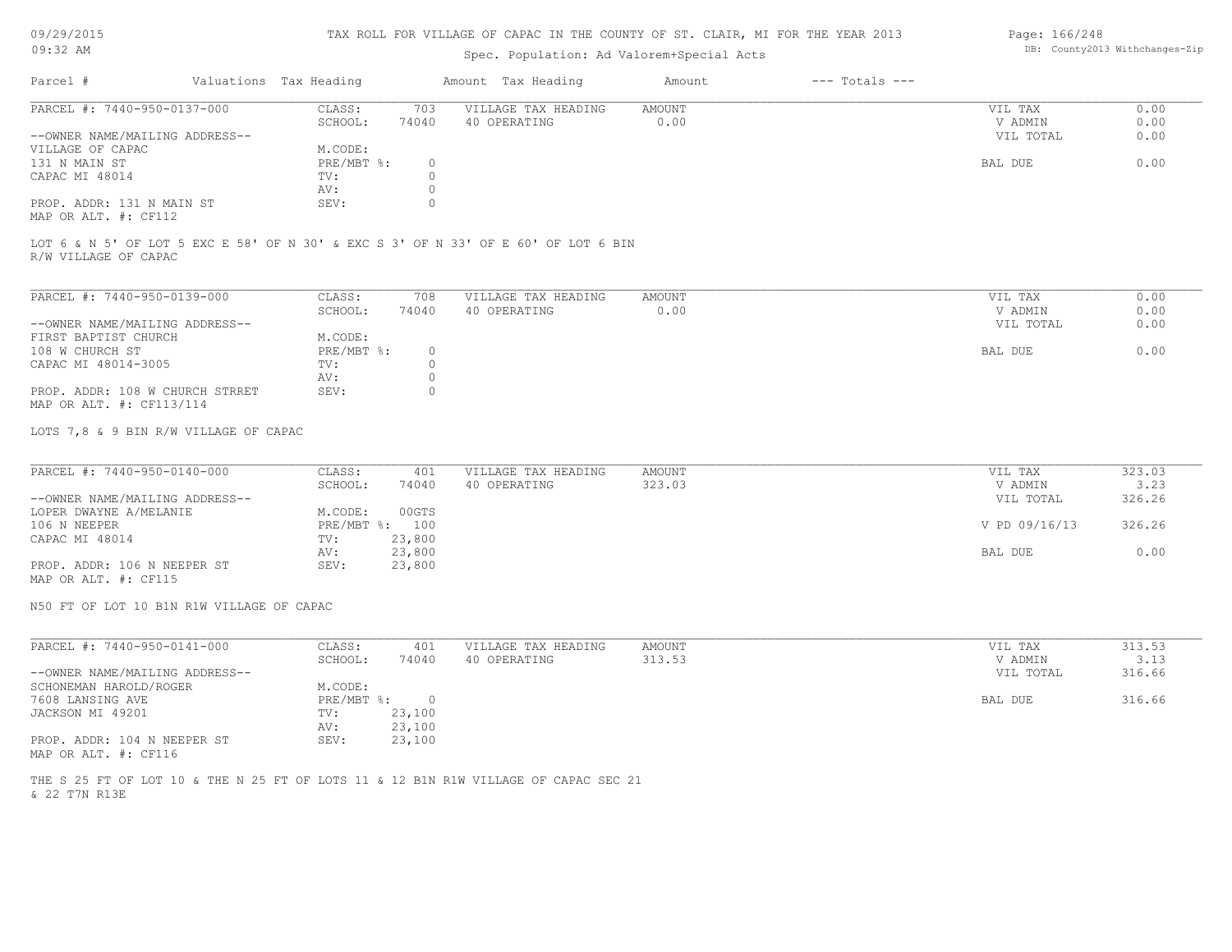#### TAX ROLL FOR VILLAGE OF CAPAC IN THE COUNTY OF ST. CLAIR, MI FOR THE YEAR 2013

## Spec. Population: Ad Valorem+Special Acts

## Parcel # Valuations Tax Heading Amount Tax Heading Amount --- Totals ---PROP. ADDR: 131 N MAIN ST SEV: 0 AV: 0 CAPAC MI 48014  $TV:$  0<br>AV: 0 131 N MAIN ST PRE/MBT %: 0 BAL DUE 0.00 VILLAGE OF CAPAC M.CODE: M.CODE: 131 N MAIN ST --OWNER NAME/MAILING ADDRESS-- VIL TOTAL 0.00 SCHOOL: 74040 40 OPERATING 0.00 V ADMIN 0.00 PARCEL #: 7440-950-0137-000 CLASS: 703 VILLAGE TAX HEADING AMOUNT VIL TAX VIL TAX 0.00<br>SCHOOL: 74040 40 OPERATING 0.00 000 VADMIN 0.00  $\mathcal{L}_\mathcal{L} = \mathcal{L}_\mathcal{L} = \mathcal{L}_\mathcal{L} = \mathcal{L}_\mathcal{L} = \mathcal{L}_\mathcal{L} = \mathcal{L}_\mathcal{L} = \mathcal{L}_\mathcal{L} = \mathcal{L}_\mathcal{L} = \mathcal{L}_\mathcal{L} = \mathcal{L}_\mathcal{L} = \mathcal{L}_\mathcal{L} = \mathcal{L}_\mathcal{L} = \mathcal{L}_\mathcal{L} = \mathcal{L}_\mathcal{L} = \mathcal{L}_\mathcal{L} = \mathcal{L}_\mathcal{L} = \mathcal{L}_\mathcal{L}$

MAP OR ALT. #: CF112

R/W VILLAGE OF CAPAC LOT 6 & N 5' OF LOT 5 EXC E 58' OF N 30' & EXC S 3' OF N 33' OF E 60' OF LOT 6 BIN

| PARCEL #: 7440-950-0139-000     | CLASS:     | 708      | VILLAGE TAX HEADING | AMOUNT | VIL TAX |           | 0.00 |
|---------------------------------|------------|----------|---------------------|--------|---------|-----------|------|
|                                 | SCHOOL:    | 74040    | 40 OPERATING        | 0.00   |         | V ADMIN   | 0.00 |
| --OWNER NAME/MAILING ADDRESS--  |            |          |                     |        |         | VIL TOTAL | 0.00 |
| FIRST BAPTIST CHURCH            | M.CODE:    |          |                     |        |         |           |      |
| 108 W CHURCH ST                 | PRE/MBT %: | $\Omega$ |                     |        | BAL DUE |           | 0.00 |
| CAPAC MI 48014-3005             | TV:        |          |                     |        |         |           |      |
|                                 | AV:        |          |                     |        |         |           |      |
| PROP. ADDR: 108 W CHURCH STRRET | SEV:       | $^{(1)}$ |                     |        |         |           |      |
| MAP OR ALT. #: CF113/114        |            |          |                     |        |         |           |      |

LOTS 7,8 & 9 BIN R/W VILLAGE OF CAPAC

| PARCEL #: 7440-950-0140-000    | CLASS:  | 401            | VILLAGE TAX HEADING | AMOUNT | VIL TAX       | 323.03 |
|--------------------------------|---------|----------------|---------------------|--------|---------------|--------|
|                                | SCHOOL: | 74040          | 40 OPERATING        | 323.03 | V ADMIN       | 3.23   |
| --OWNER NAME/MAILING ADDRESS-- |         |                |                     |        | VIL TOTAL     | 326.26 |
| LOPER DWAYNE A/MELANIE         | M.CODE: | 00GTS          |                     |        |               |        |
| 106 N NEEPER                   |         | PRE/MBT %: 100 |                     |        | V PD 09/16/13 | 326.26 |
| CAPAC MI 48014                 | TV:     | 23,800         |                     |        |               |        |
|                                | AV:     | 23,800         |                     |        | BAL DUE       | 0.00   |
| PROP. ADDR: 106 N NEEPER ST    | SEV:    | 23,800         |                     |        |               |        |
|                                |         |                |                     |        |               |        |

MAP OR ALT. #: CF115

N50 FT OF LOT 10 B1N R1W VILLAGE OF CAPAC

| PARCEL #: 7440-950-0141-000    | CLASS:       | 401    | VILLAGE TAX HEADING | AMOUNT | VIL TAX   | 313.53 |
|--------------------------------|--------------|--------|---------------------|--------|-----------|--------|
|                                | SCHOOL:      | 74040  | 40 OPERATING        | 313.53 | V ADMIN   | 3.13   |
| --OWNER NAME/MAILING ADDRESS-- |              |        |                     |        | VIL TOTAL | 316.66 |
| SCHONEMAN HAROLD/ROGER         | M.CODE:      |        |                     |        |           |        |
| 7608 LANSING AVE               | $PRE/MBT$ %: |        |                     |        | BAL DUE   | 316.66 |
| JACKSON MI 49201               | TV:          | 23,100 |                     |        |           |        |
|                                | AV:          | 23,100 |                     |        |           |        |
| PROP. ADDR: 104 N NEEPER ST    | SEV:         | 23,100 |                     |        |           |        |
| MAP OR ALT. #: CF116           |              |        |                     |        |           |        |

& 22 T7N R13E THE S 25 FT OF LOT 10 & THE N 25 FT OF LOTS 11 & 12 B1N R1W VILLAGE OF CAPAC SEC 21 Page: 166/248 DB: County2013 Withchanges-Zip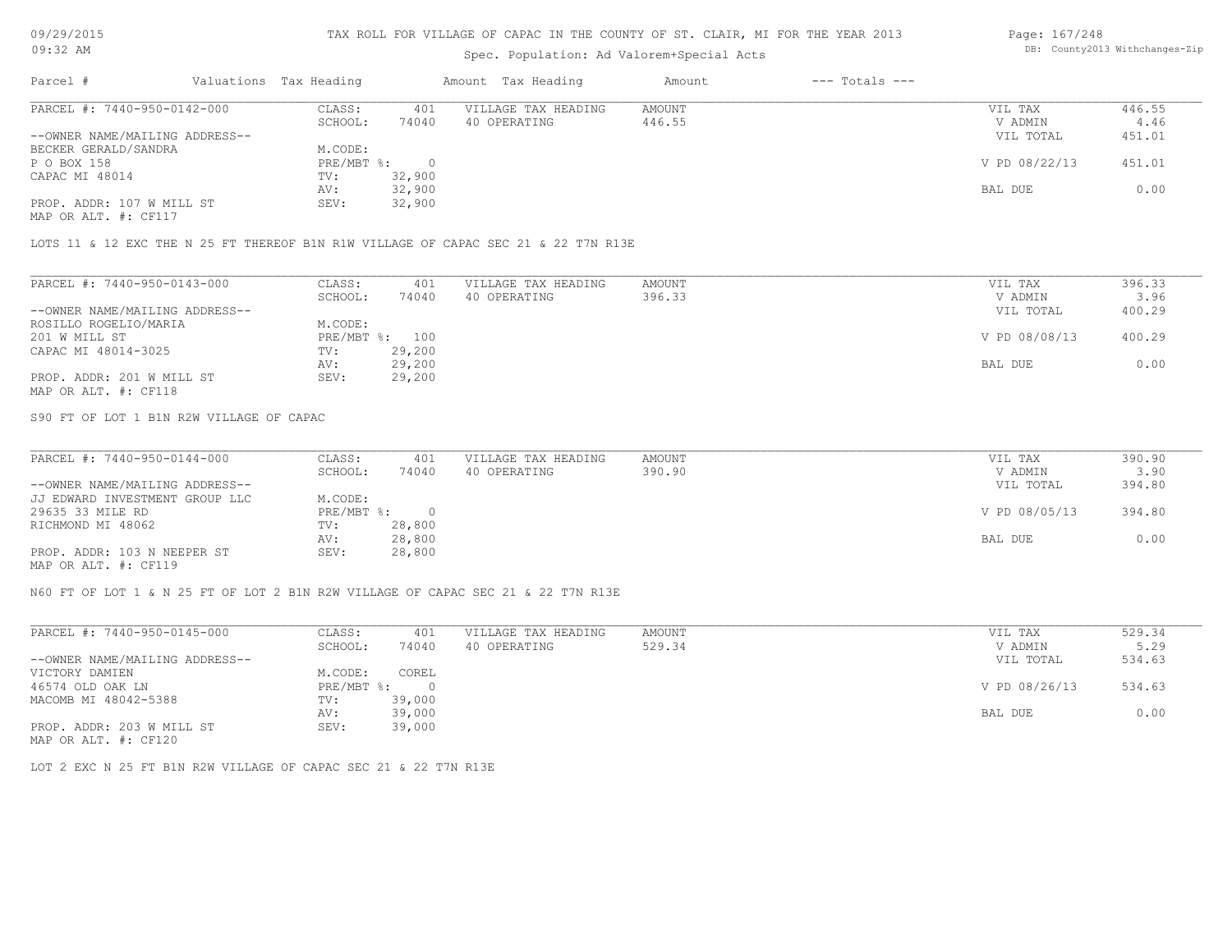## Spec. Population: Ad Valorem+Special Acts

#### Page: 167/248 DB: County2013 Withchanges-Zip

| Parcel #                       | Valuations Tax Heading |        | Amount Tax Heading  | Amount | $---$ Totals $---$ |               |        |
|--------------------------------|------------------------|--------|---------------------|--------|--------------------|---------------|--------|
| PARCEL #: 7440-950-0142-000    | CLASS:                 | 401    | VILLAGE TAX HEADING | AMOUNT |                    | VIL TAX       | 446.55 |
|                                | SCHOOL:                | 74040  | 40 OPERATING        | 446.55 |                    | V ADMIN       | 4.46   |
| --OWNER NAME/MAILING ADDRESS-- |                        |        |                     |        |                    | VIL TOTAL     | 451.01 |
| BECKER GERALD/SANDRA           | M.CODE:                |        |                     |        |                    |               |        |
| P O BOX 158                    | $PRE/MBT$ %:           |        |                     |        |                    | V PD 08/22/13 | 451.01 |
| CAPAC MI 48014                 | TV:                    | 32,900 |                     |        |                    |               |        |
|                                | AV:                    | 32,900 |                     |        |                    | BAL DUE       | 0.00   |
| PROP. ADDR: 107 W MILL ST      | SEV:                   | 32,900 |                     |        |                    |               |        |
| MAP OR ALT. #: CF117           |                        |        |                     |        |                    |               |        |

LOTS 11 & 12 EXC THE N 25 FT THEREOF B1N R1W VILLAGE OF CAPAC SEC 21 & 22 T7N R13E

| PARCEL #: 7440-950-0143-000    | CLASS:  | 401            | VILLAGE TAX HEADING | AMOUNT | VIL TAX       | 396.33 |
|--------------------------------|---------|----------------|---------------------|--------|---------------|--------|
|                                | SCHOOL: | 74040          | 40 OPERATING        | 396.33 | V ADMIN       | 3.96   |
| --OWNER NAME/MAILING ADDRESS-- |         |                |                     |        | VIL TOTAL     | 400.29 |
| ROSILLO ROGELIO/MARIA          | M.CODE: |                |                     |        |               |        |
| 201 W MILL ST                  |         | PRE/MBT %: 100 |                     |        | V PD 08/08/13 | 400.29 |
| CAPAC MI 48014-3025            | TV:     | 29,200         |                     |        |               |        |
|                                | AV:     | 29,200         |                     |        | BAL DUE       | 0.00   |
| PROP. ADDR: 201 W MILL ST      | SEV:    | 29,200         |                     |        |               |        |
| MAP OR ALT. #: CF118           |         |                |                     |        |               |        |

S90 FT OF LOT 1 B1N R2W VILLAGE OF CAPAC

| PARCEL #: 7440-950-0144-000    | CLASS:     | 401    | VILLAGE TAX HEADING | AMOUNT | VIL TAX       | 390.90 |
|--------------------------------|------------|--------|---------------------|--------|---------------|--------|
|                                | SCHOOL:    | 74040  | 40 OPERATING        | 390.90 | V ADMIN       | 3.90   |
| --OWNER NAME/MAILING ADDRESS-- |            |        |                     |        | VIL TOTAL     | 394.80 |
| JJ EDWARD INVESTMENT GROUP LLC | M.CODE:    |        |                     |        |               |        |
| 29635 33 MILE RD               | PRE/MBT %: |        |                     |        | V PD 08/05/13 | 394.80 |
| RICHMOND MI 48062              | TV:        | 28,800 |                     |        |               |        |
|                                | AV:        | 28,800 |                     |        | BAL DUE       | 0.00   |
| PROP. ADDR: 103 N NEEPER ST    | SEV:       | 28,800 |                     |        |               |        |
| MAP OR ALT. #: CF119           |            |        |                     |        |               |        |

N60 FT OF LOT 1 & N 25 FT OF LOT 2 B1N R2W VILLAGE OF CAPAC SEC 21 & 22 T7N R13E

| PARCEL #: 7440-950-0145-000    | CLASS:     | 401    | VILLAGE TAX HEADING | AMOUNT | VIL TAX       | 529.34 |
|--------------------------------|------------|--------|---------------------|--------|---------------|--------|
|                                | SCHOOL:    | 74040  | 40 OPERATING        | 529.34 | V ADMIN       | 5.29   |
| --OWNER NAME/MAILING ADDRESS-- |            |        |                     |        | VIL TOTAL     | 534.63 |
| VICTORY DAMIEN                 | M.CODE:    | COREL  |                     |        |               |        |
| 46574 OLD OAK LN               | PRE/MBT %: |        |                     |        | V PD 08/26/13 | 534.63 |
| MACOMB MI 48042-5388           | TV:        | 39,000 |                     |        |               |        |
|                                | AV:        | 39,000 |                     |        | BAL DUE       | 0.00   |
| PROP. ADDR: 203 W MILL ST      | SEV:       | 39,000 |                     |        |               |        |
| MAP OR ALT. #: CF120           |            |        |                     |        |               |        |

LOT 2 EXC N 25 FT B1N R2W VILLAGE OF CAPAC SEC 21 & 22 T7N R13E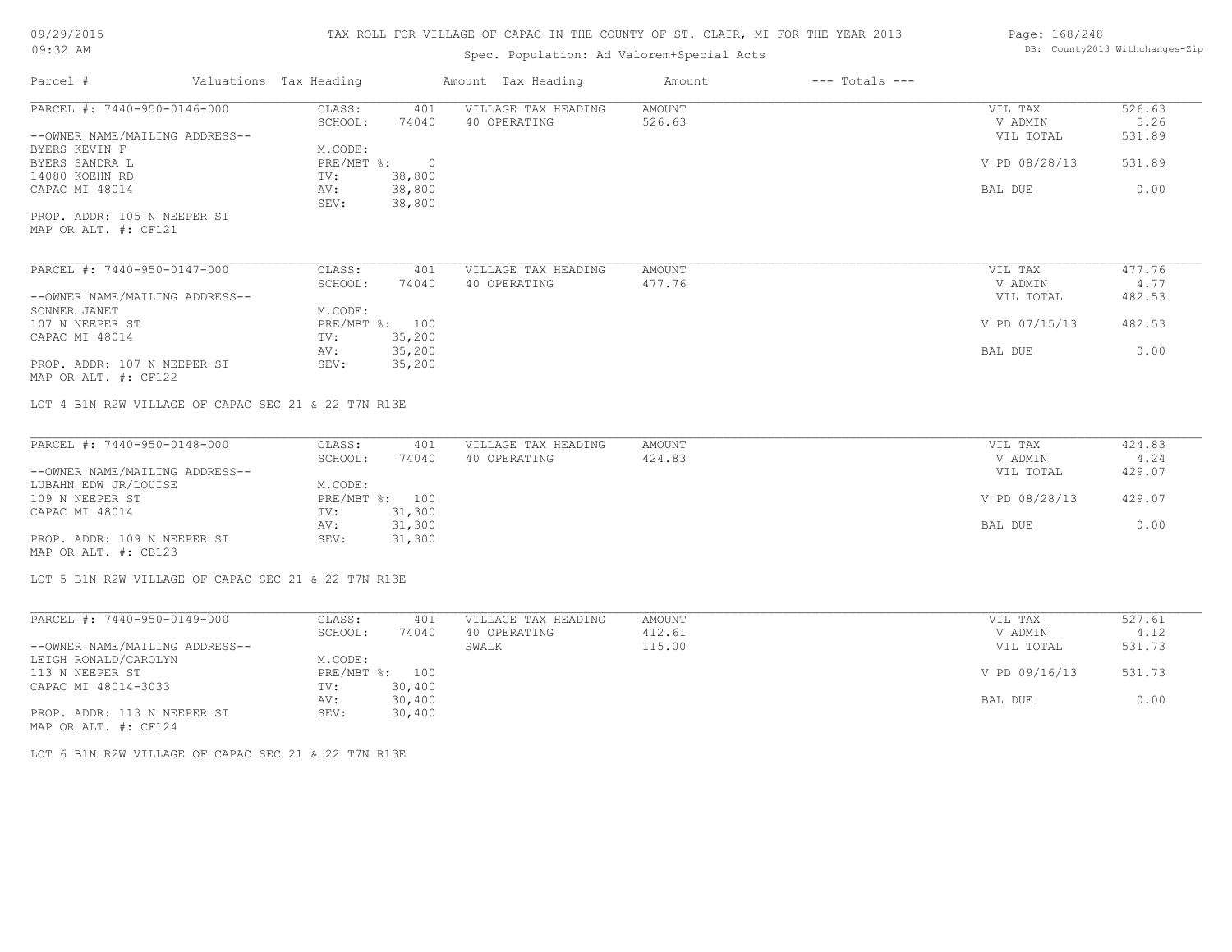## Spec. Population: Ad Valorem+Special Acts

## Page: 168/248 DB: County2013 Withchanges-Zip

| Parcel #                                            | Valuations Tax Heading |                | Amount Tax Heading  | Amount        | $---$ Totals $---$ |               |        |
|-----------------------------------------------------|------------------------|----------------|---------------------|---------------|--------------------|---------------|--------|
| PARCEL #: 7440-950-0146-000                         | CLASS:                 | 401            | VILLAGE TAX HEADING | <b>AMOUNT</b> |                    | VIL TAX       | 526.63 |
|                                                     | SCHOOL:                | 74040          | 40 OPERATING        | 526.63        |                    | V ADMIN       | 5.26   |
| --OWNER NAME/MAILING ADDRESS--                      |                        |                |                     |               |                    | VIL TOTAL     | 531.89 |
| BYERS KEVIN F                                       | M.CODE:                |                |                     |               |                    |               |        |
| BYERS SANDRA L                                      | PRE/MBT %:             | $\overline{0}$ |                     |               |                    | V PD 08/28/13 | 531.89 |
| 14080 KOEHN RD                                      | TV:                    | 38,800         |                     |               |                    |               |        |
| CAPAC MI 48014                                      | AV:                    | 38,800         |                     |               |                    | BAL DUE       | 0.00   |
|                                                     | SEV:                   | 38,800         |                     |               |                    |               |        |
| PROP. ADDR: 105 N NEEPER ST                         |                        |                |                     |               |                    |               |        |
| MAP OR ALT. #: CF121                                |                        |                |                     |               |                    |               |        |
|                                                     |                        |                |                     |               |                    |               |        |
| PARCEL #: 7440-950-0147-000                         | CLASS:                 | 401            | VILLAGE TAX HEADING | <b>AMOUNT</b> |                    | VIL TAX       | 477.76 |
|                                                     | SCHOOL:                | 74040          | 40 OPERATING        | 477.76        |                    | V ADMIN       | 4.77   |
| --OWNER NAME/MAILING ADDRESS--                      |                        |                |                     |               |                    | VIL TOTAL     | 482.53 |
| SONNER JANET                                        | M.CODE:                |                |                     |               |                    |               |        |
| 107 N NEEPER ST                                     | PRE/MBT %: 100         |                |                     |               |                    | V PD 07/15/13 | 482.53 |
| CAPAC MI 48014                                      | TV:                    | 35,200         |                     |               |                    |               |        |
|                                                     | AV:                    | 35,200         |                     |               |                    | BAL DUE       | 0.00   |
| PROP. ADDR: 107 N NEEPER ST                         | SEV:                   | 35,200         |                     |               |                    |               |        |
| MAP OR ALT. #: CF122                                |                        |                |                     |               |                    |               |        |
| LOT 4 B1N R2W VILLAGE OF CAPAC SEC 21 & 22 T7N R13E |                        |                |                     |               |                    |               |        |
| PARCEL #: 7440-950-0148-000                         | CLASS:                 | 401            | VILLAGE TAX HEADING | <b>AMOUNT</b> |                    | VIL TAX       | 424.83 |
|                                                     | SCHOOL:                | 74040          | 40 OPERATING        | 424.83        |                    | V ADMIN       | 4.24   |
| --OWNER NAME/MAILING ADDRESS--                      |                        |                |                     |               |                    | VIL TOTAL     | 429.07 |
| LUBAHN EDW JR/LOUISE                                | M.CODE:                |                |                     |               |                    |               |        |
| 109 N NEEPER ST                                     |                        | PRE/MBT %: 100 |                     |               |                    | V PD 08/28/13 | 429.07 |
|                                                     |                        |                |                     |               |                    |               |        |
| CAPAC MI 48014                                      | TV:                    | 31,300         |                     |               |                    |               |        |
|                                                     | AV:                    | 31,300         |                     |               |                    | BAL DUE       | 0.00   |
| PROP. ADDR: 109 N NEEPER ST<br>MAP OR ALT. #: CB123 | SEV:                   | 31,300         |                     |               |                    |               |        |
| LOT 5 B1N R2W VILLAGE OF CAPAC SEC 21 & 22 T7N R13E |                        |                |                     |               |                    |               |        |
|                                                     |                        |                |                     |               |                    |               |        |

| PARCEL #: 7440-950-0149-000    | CLASS:  | 401            | VILLAGE TAX HEADING | AMOUNT | VIL TAX       | 527.61 |
|--------------------------------|---------|----------------|---------------------|--------|---------------|--------|
|                                | SCHOOL: | 74040          | 40 OPERATING        | 412.61 | V ADMIN       | 4.12   |
| --OWNER NAME/MAILING ADDRESS-- |         |                | SWALK               | 115.00 | VIL TOTAL     | 531.73 |
| LEIGH RONALD/CAROLYN           | M.CODE: |                |                     |        |               |        |
| 113 N NEEPER ST                |         | PRE/MBT %: 100 |                     |        | V PD 09/16/13 | 531.73 |
| CAPAC MI 48014-3033            | TV:     | 30,400         |                     |        |               |        |
|                                | AV:     | 30,400         |                     |        | BAL DUE       | 0.00   |
| PROP. ADDR: 113 N NEEPER ST    | SEV:    | 30,400         |                     |        |               |        |
| MAP OR ALT. #: CF124           |         |                |                     |        |               |        |

LOT 6 B1N R2W VILLAGE OF CAPAC SEC 21 & 22 T7N R13E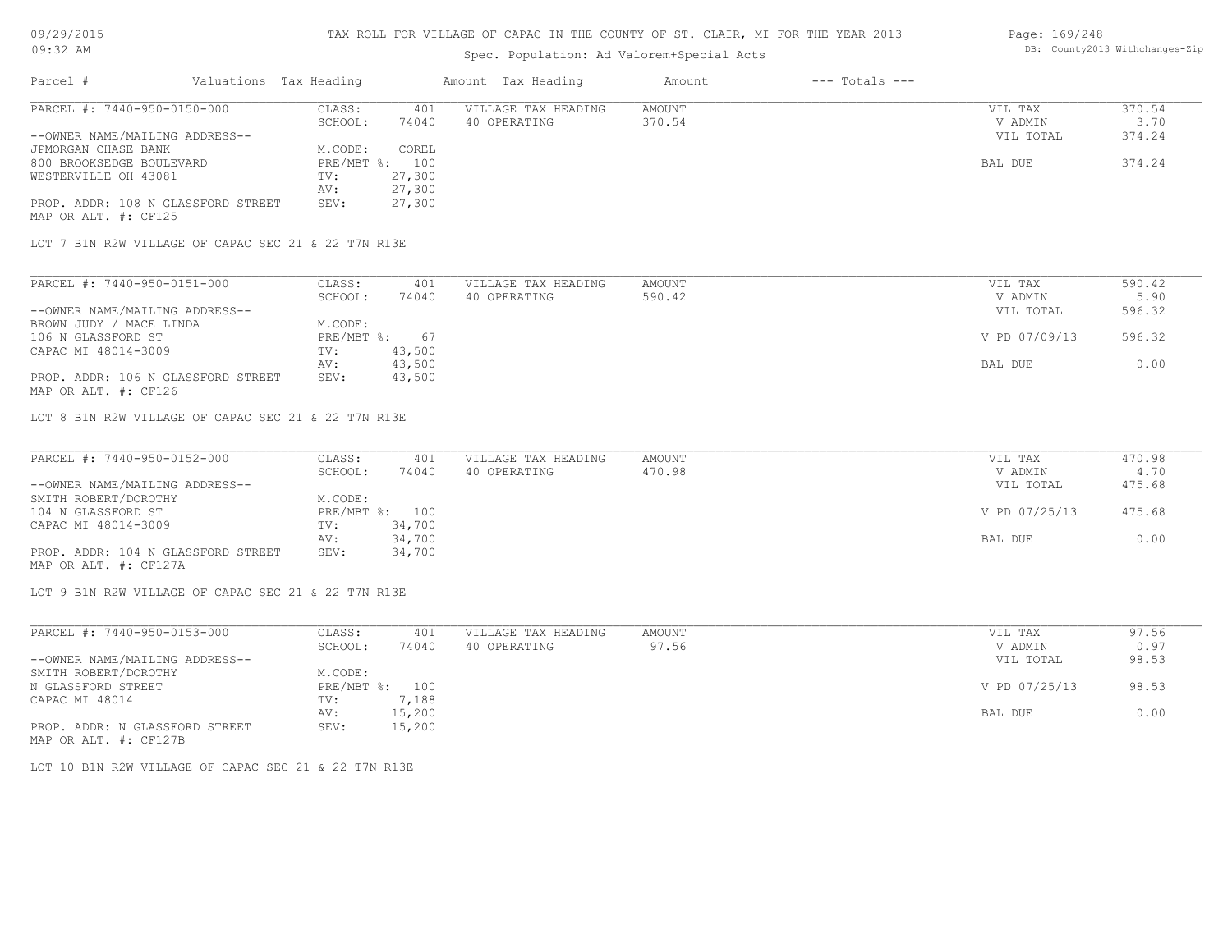## Spec. Population: Ad Valorem+Special Acts

#### Page: 169/248 DB: County2013 Withchanges-Zip

| Parcel #                                            | Valuations Tax Heading |                | Amount Tax Heading  | Amount | $---$ Totals $---$ |           |        |
|-----------------------------------------------------|------------------------|----------------|---------------------|--------|--------------------|-----------|--------|
| PARCEL #: 7440-950-0150-000                         | CLASS:                 | 401            | VILLAGE TAX HEADING | AMOUNT |                    | VIL TAX   | 370.54 |
|                                                     | SCHOOL:                | 74040          | 40 OPERATING        | 370.54 |                    | V ADMIN   | 3.70   |
| --OWNER NAME/MAILING ADDRESS--                      |                        |                |                     |        |                    | VIL TOTAL | 374.24 |
| JPMORGAN CHASE BANK                                 | M.CODE:                | COREL          |                     |        |                    |           |        |
| 800 BROOKSEDGE BOULEVARD                            |                        | PRE/MBT %: 100 |                     |        |                    | BAL DUE   | 374.24 |
| WESTERVILLE OH 43081                                | TV:                    | 27,300         |                     |        |                    |           |        |
|                                                     | AV:                    | 27,300         |                     |        |                    |           |        |
| PROP. ADDR: 108 N GLASSFORD STREET                  | SEV:                   | 27,300         |                     |        |                    |           |        |
| MAP OR ALT. #: CF125                                |                        |                |                     |        |                    |           |        |
|                                                     |                        |                |                     |        |                    |           |        |
| LOT 7 B1N R2W VILLAGE OF CAPAC SEC 21 & 22 T7N R13E |                        |                |                     |        |                    |           |        |
|                                                     |                        |                |                     |        |                    |           |        |

| PARCEL #: 7440-950-0151-000        | CLASS:       | 401    | VILLAGE TAX HEADING | AMOUNT | VIL TAX       | 590.42 |
|------------------------------------|--------------|--------|---------------------|--------|---------------|--------|
|                                    | SCHOOL:      | 74040  | 40 OPERATING        | 590.42 | V ADMIN       | 5.90   |
| --OWNER NAME/MAILING ADDRESS--     |              |        |                     |        | VIL TOTAL     | 596.32 |
| BROWN JUDY / MACE LINDA            | M.CODE:      |        |                     |        |               |        |
| 106 N GLASSFORD ST                 | $PRE/MBT$ %: | 67     |                     |        | V PD 07/09/13 | 596.32 |
| CAPAC MI 48014-3009                | TV:          | 43,500 |                     |        |               |        |
|                                    | AV:          | 43,500 |                     |        | BAL DUE       | 0.00   |
| PROP. ADDR: 106 N GLASSFORD STREET | SEV:         | 43,500 |                     |        |               |        |
| MAP OR ALT. #: CF126               |              |        |                     |        |               |        |

LOT 8 B1N R2W VILLAGE OF CAPAC SEC 21 & 22 T7N R13E

| PARCEL #: 7440-950-0152-000        | CLASS:  | 401            | VILLAGE TAX HEADING | AMOUNT | VIL TAX       | 470.98 |
|------------------------------------|---------|----------------|---------------------|--------|---------------|--------|
|                                    | SCHOOL: | 74040          | 40 OPERATING        | 470.98 | V ADMIN       | 4.70   |
| --OWNER NAME/MAILING ADDRESS--     |         |                |                     |        | VIL TOTAL     | 475.68 |
| SMITH ROBERT/DOROTHY               | M.CODE: |                |                     |        |               |        |
| 104 N GLASSFORD ST                 |         | PRE/MBT %: 100 |                     |        | V PD 07/25/13 | 475.68 |
| CAPAC MI 48014-3009                | TV:     | 34,700         |                     |        |               |        |
|                                    | AV:     | 34,700         |                     |        | BAL DUE       | 0.00   |
| PROP. ADDR: 104 N GLASSFORD STREET | SEV:    | 34,700         |                     |        |               |        |
| MAP OR ALT. #: CF127A              |         |                |                     |        |               |        |

LOT 9 B1N R2W VILLAGE OF CAPAC SEC 21 & 22 T7N R13E

| PARCEL #: 7440-950-0153-000    | CLASS:     | 401    | VILLAGE TAX HEADING | AMOUNT | VIL TAX       | 97.56 |
|--------------------------------|------------|--------|---------------------|--------|---------------|-------|
|                                | SCHOOL:    | 74040  | 40 OPERATING        | 97.56  | V ADMIN       | 0.97  |
| --OWNER NAME/MAILING ADDRESS-- |            |        |                     |        | VIL TOTAL     | 98.53 |
| SMITH ROBERT/DOROTHY           | M.CODE:    |        |                     |        |               |       |
| N GLASSFORD STREET             | PRE/MBT %: | 100    |                     |        | V PD 07/25/13 | 98.53 |
| CAPAC MI 48014                 | TV:        | 7,188  |                     |        |               |       |
|                                | AV:        | 15,200 |                     |        | BAL DUE       | 0.00  |
| PROP. ADDR: N GLASSFORD STREET | SEV:       | 15,200 |                     |        |               |       |
| MAP OR ALT. #: CF127B          |            |        |                     |        |               |       |

LOT 10 B1N R2W VILLAGE OF CAPAC SEC 21 & 22 T7N R13E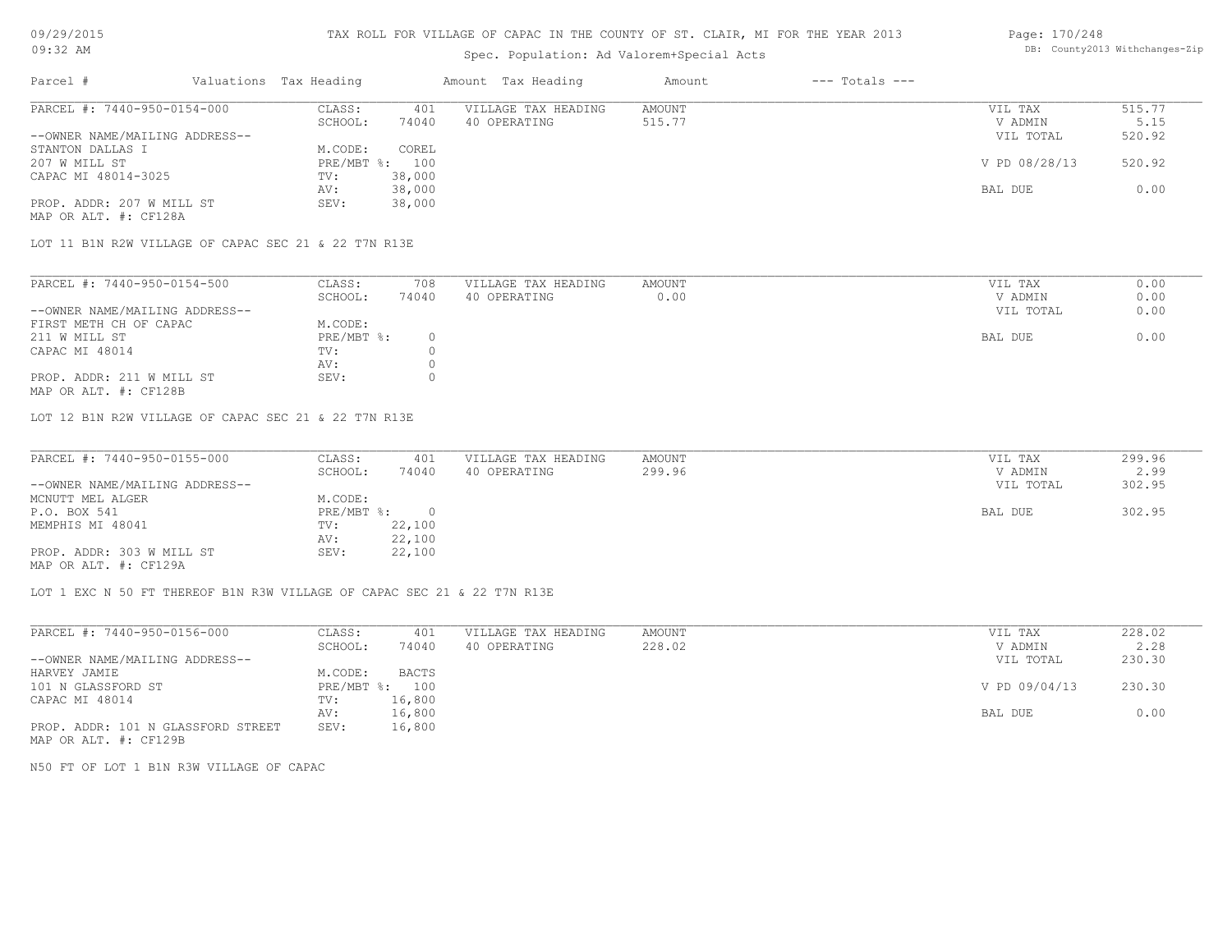## Spec. Population: Ad Valorem+Special Acts

#### Page: 170/248 DB: County2013 Withchanges-Zip

| Parcel #                       | Valuations Tax Heading |        | Amount Tax Heading  | Amount | $---$ Totals $---$ |               |        |
|--------------------------------|------------------------|--------|---------------------|--------|--------------------|---------------|--------|
| PARCEL #: 7440-950-0154-000    | CLASS:                 | 401    | VILLAGE TAX HEADING | AMOUNT |                    | VIL TAX       | 515.77 |
|                                | SCHOOL:                | 74040  | 40 OPERATING        | 515.77 |                    | V ADMIN       | 5.15   |
| --OWNER NAME/MAILING ADDRESS-- |                        |        |                     |        |                    | VIL TOTAL     | 520.92 |
| STANTON DALLAS I               | M.CODE:                | COREL  |                     |        |                    |               |        |
| 207 W MILL ST                  | $PRE/MBT$ %:           | 100    |                     |        |                    | V PD 08/28/13 | 520.92 |
| CAPAC MI 48014-3025            | TV:                    | 38,000 |                     |        |                    |               |        |
|                                | AV:                    | 38,000 |                     |        |                    | BAL DUE       | 0.00   |
| PROP. ADDR: 207 W MILL ST      | SEV:                   | 38,000 |                     |        |                    |               |        |
| MAP OR ALT. #: CF128A          |                        |        |                     |        |                    |               |        |

LOT 11 B1N R2W VILLAGE OF CAPAC SEC 21 & 22 T7N R13E

| PARCEL #: 7440-950-0154-500    | CLASS:     | 708   | VILLAGE TAX HEADING | AMOUNT | VIL TAX   | 0.00 |
|--------------------------------|------------|-------|---------------------|--------|-----------|------|
|                                | SCHOOL:    | 74040 | 40 OPERATING        | 0.00   | V ADMIN   | 0.00 |
| --OWNER NAME/MAILING ADDRESS-- |            |       |                     |        | VIL TOTAL | 0.00 |
| FIRST METH CH OF CAPAC         | M.CODE:    |       |                     |        |           |      |
| 211 W MILL ST                  | PRE/MBT %: |       |                     |        | BAL DUE   | 0.00 |
| CAPAC MI 48014                 | TV:        |       |                     |        |           |      |
|                                | AV:        |       |                     |        |           |      |
| PROP. ADDR: 211 W MILL ST      | SEV:       |       |                     |        |           |      |
|                                |            |       |                     |        |           |      |

MAP OR ALT. #: CF128B

LOT 12 B1N R2W VILLAGE OF CAPAC SEC 21 & 22 T7N R13E

| PARCEL #: 7440-950-0155-000    | CLASS:     | 401    | VILLAGE TAX HEADING | AMOUNT | VIL TAX   | 299.96 |
|--------------------------------|------------|--------|---------------------|--------|-----------|--------|
|                                | SCHOOL:    | 74040  | 40 OPERATING        | 299.96 | V ADMIN   | 2.99   |
| --OWNER NAME/MAILING ADDRESS-- |            |        |                     |        | VIL TOTAL | 302.95 |
| MCNUTT MEL ALGER               | M.CODE:    |        |                     |        |           |        |
| P.O. BOX 541                   | PRE/MBT %: |        |                     |        | BAL DUE   | 302.95 |
| MEMPHIS MI 48041               | TV:        | 22,100 |                     |        |           |        |
|                                | AV:        | 22,100 |                     |        |           |        |
| PROP. ADDR: 303 W MILL ST      | SEV:       | 22,100 |                     |        |           |        |
| MAP OR ALT. #: CF129A          |            |        |                     |        |           |        |

LOT 1 EXC N 50 FT THEREOF B1N R3W VILLAGE OF CAPAC SEC 21 & 22 T7N R13E

| PARCEL #: 7440-950-0156-000        | CLASS:       | 401    | VILLAGE TAX HEADING | AMOUNT | VIL TAX       | 228.02 |
|------------------------------------|--------------|--------|---------------------|--------|---------------|--------|
|                                    | SCHOOL:      | 74040  | 40 OPERATING        | 228.02 | V ADMIN       | 2.28   |
| --OWNER NAME/MAILING ADDRESS--     |              |        |                     |        | VIL TOTAL     | 230.30 |
| HARVEY JAMIE                       | M.CODE:      | BACTS  |                     |        |               |        |
| 101 N GLASSFORD ST                 | $PRE/MBT$ %: | 100    |                     |        | V PD 09/04/13 | 230.30 |
| CAPAC MI 48014                     | TV:          | 16,800 |                     |        |               |        |
|                                    | AV:          | 16,800 |                     |        | BAL DUE       | 0.00   |
| PROP. ADDR: 101 N GLASSFORD STREET | SEV:         | 16,800 |                     |        |               |        |
| MAP OR ALT. #: CF129B              |              |        |                     |        |               |        |

N50 FT OF LOT 1 B1N R3W VILLAGE OF CAPAC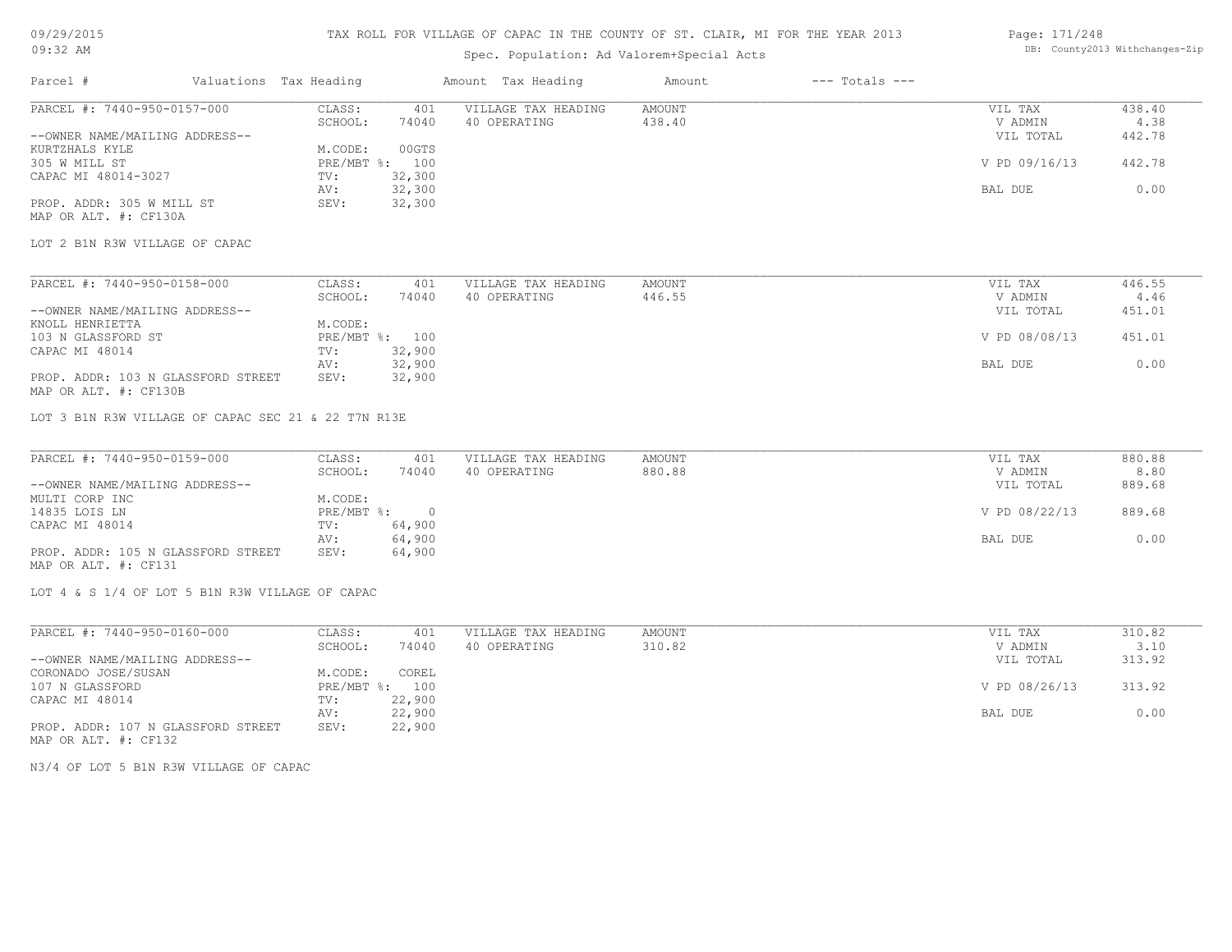## TAX ROLL FOR VILLAGE OF CAPAC IN THE COUNTY OF ST. CLAIR, MI FOR THE YEAR 2013

## Spec. Population: Ad Valorem+Special Acts

#### Page: 171/248 DB: County2013 Withchanges-Zip

| Parcel #                       | Valuations Tax Heading |        | Amount Tax Heading  | Amount | $---$ Totals $---$ |               |        |
|--------------------------------|------------------------|--------|---------------------|--------|--------------------|---------------|--------|
| PARCEL #: 7440-950-0157-000    | CLASS:                 | 401    | VILLAGE TAX HEADING | AMOUNT |                    | VIL TAX       | 438.40 |
|                                | SCHOOL:                | 74040  | 40 OPERATING        | 438.40 |                    | V ADMIN       | 4.38   |
| --OWNER NAME/MAILING ADDRESS-- |                        |        |                     |        |                    | VIL TOTAL     | 442.78 |
| KURTZHALS KYLE                 | M.CODE:                | 00GTS  |                     |        |                    |               |        |
| 305 W MILL ST                  | PRE/MBT %:             | 100    |                     |        |                    | V PD 09/16/13 | 442.78 |
| CAPAC MI 48014-3027            | TV:                    | 32,300 |                     |        |                    |               |        |
|                                | AV:                    | 32,300 |                     |        |                    | BAL DUE       | 0.00   |
| PROP. ADDR: 305 W MILL ST      | SEV:                   | 32,300 |                     |        |                    |               |        |
| MAP OR ALT. #: CF130A          |                        |        |                     |        |                    |               |        |

LOT 2 B1N R3W VILLAGE OF CAPAC

| PARCEL #: 7440-950-0158-000        | CLASS:         | 401    | VILLAGE TAX HEADING | AMOUNT | VIL TAX       | 446.55 |
|------------------------------------|----------------|--------|---------------------|--------|---------------|--------|
|                                    | SCHOOL:        | 74040  | 40 OPERATING        | 446.55 | V ADMIN       | 4.46   |
| --OWNER NAME/MAILING ADDRESS--     |                |        |                     |        | VIL TOTAL     | 451.01 |
| KNOLL HENRIETTA                    | M.CODE:        |        |                     |        |               |        |
| 103 N GLASSFORD ST                 | PRE/MBT %: 100 |        |                     |        | V PD 08/08/13 | 451.01 |
| CAPAC MI 48014                     | TV:            | 32,900 |                     |        |               |        |
|                                    | AV:            | 32,900 |                     |        | BAL DUE       | 0.00   |
| PROP. ADDR: 103 N GLASSFORD STREET | SEV:           | 32,900 |                     |        |               |        |

MAP OR ALT. #: CF130B

LOT 3 B1N R3W VILLAGE OF CAPAC SEC 21 & 22 T7N R13E

| PARCEL #: 7440-950-0159-000        | CLASS:       | 401    | VILLAGE TAX HEADING | AMOUNT | VIL TAX       | 880.88 |
|------------------------------------|--------------|--------|---------------------|--------|---------------|--------|
|                                    | SCHOOL:      | 74040  | 40 OPERATING        | 880.88 | V ADMIN       | 8.80   |
| --OWNER NAME/MAILING ADDRESS--     |              |        |                     |        | VIL TOTAL     | 889.68 |
| MULTI CORP INC                     | M.CODE:      |        |                     |        |               |        |
| 14835 LOIS LN                      | $PRE/MBT$ %: |        |                     |        | V PD 08/22/13 | 889.68 |
| CAPAC MI 48014                     | TV:          | 64,900 |                     |        |               |        |
|                                    | AV:          | 64,900 |                     |        | BAL DUE       | 0.00   |
| PROP. ADDR: 105 N GLASSFORD STREET | SEV:         | 64,900 |                     |        |               |        |
| MAP OR ALT. #: CF131               |              |        |                     |        |               |        |

LOT 4 & S 1/4 OF LOT 5 B1N R3W VILLAGE OF CAPAC

| PARCEL #: 7440-950-0160-000        | CLASS:         | 401    | VILLAGE TAX HEADING | AMOUNT | VIL TAX       | 310.82 |
|------------------------------------|----------------|--------|---------------------|--------|---------------|--------|
|                                    | SCHOOL:        | 74040  | 40 OPERATING        | 310.82 | V ADMIN       | 3.10   |
| --OWNER NAME/MAILING ADDRESS--     |                |        |                     |        | VIL TOTAL     | 313.92 |
| CORONADO JOSE/SUSAN                | M.CODE:        | COREL  |                     |        |               |        |
| 107 N GLASSFORD                    | PRE/MBT %: 100 |        |                     |        | V PD 08/26/13 | 313.92 |
| CAPAC MI 48014                     | TV:            | 22,900 |                     |        |               |        |
|                                    | AV:            | 22,900 |                     |        | BAL DUE       | 0.00   |
| PROP. ADDR: 107 N GLASSFORD STREET | SEV:           | 22,900 |                     |        |               |        |

MAP OR ALT. #: CF132

N3/4 OF LOT 5 B1N R3W VILLAGE OF CAPAC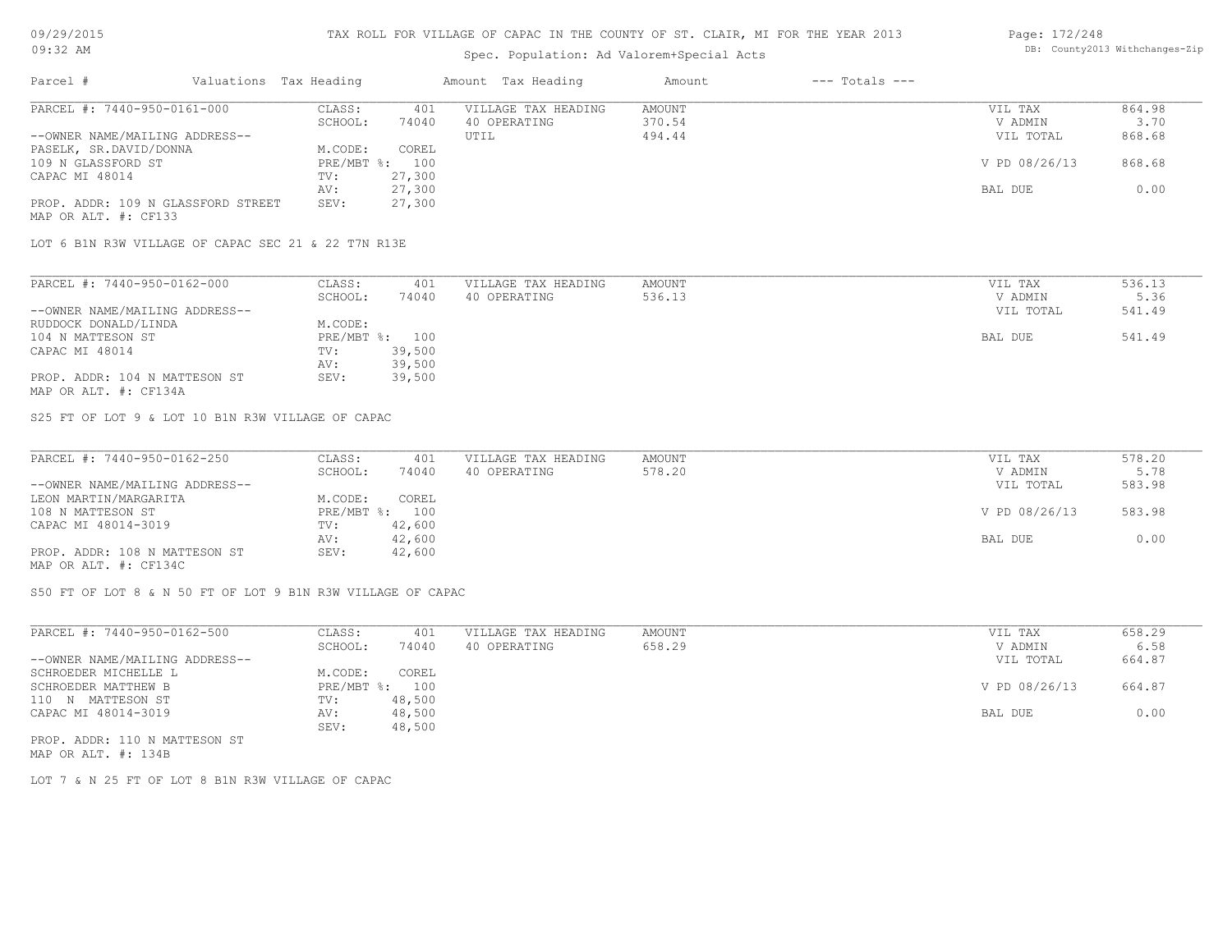## Spec. Population: Ad Valorem+Special Acts

#### Page: 172/248 DB: County2013 Withchanges-Zip

| Parcel #                           | Valuations Tax Heading |        | Amount Tax Heading  | Amount | $---$ Totals $---$ |               |        |
|------------------------------------|------------------------|--------|---------------------|--------|--------------------|---------------|--------|
| PARCEL #: 7440-950-0161-000        | CLASS:                 | 401    | VILLAGE TAX HEADING | AMOUNT |                    | VIL TAX       | 864.98 |
|                                    | SCHOOL:                | 74040  | 40 OPERATING        | 370.54 |                    | V ADMIN       | 3.70   |
| --OWNER NAME/MAILING ADDRESS--     |                        |        | UTIL                | 494.44 |                    | VIL TOTAL     | 868.68 |
| PASELK, SR.DAVID/DONNA             | M.CODE:                | COREL  |                     |        |                    |               |        |
| 109 N GLASSFORD ST                 | $PRE/MBT$ %:           | 100    |                     |        |                    | V PD 08/26/13 | 868.68 |
| CAPAC MI 48014                     | TV:                    | 27,300 |                     |        |                    |               |        |
|                                    | AV:                    | 27,300 |                     |        |                    | BAL DUE       | 0.00   |
| PROP. ADDR: 109 N GLASSFORD STREET | SEV:                   | 27,300 |                     |        |                    |               |        |
| MAP OR ALT. #: CF133               |                        |        |                     |        |                    |               |        |

LOT 6 B1N R3W VILLAGE OF CAPAC SEC 21 & 22 T7N R13E

| PARCEL #: 7440-950-0162-000    | CLASS:       | 401    | VILLAGE TAX HEADING | AMOUNT | VIL TAX   | 536.13 |
|--------------------------------|--------------|--------|---------------------|--------|-----------|--------|
|                                | SCHOOL:      | 74040  | 40 OPERATING        | 536.13 | V ADMIN   | 5.36   |
| --OWNER NAME/MAILING ADDRESS-- |              |        |                     |        | VIL TOTAL | 541.49 |
| RUDDOCK DONALD/LINDA           | M.CODE:      |        |                     |        |           |        |
| 104 N MATTESON ST              | $PRE/MBT$ %: | 100    |                     |        | BAL DUE   | 541.49 |
| CAPAC MI 48014                 | TV:          | 39,500 |                     |        |           |        |
|                                | AV:          | 39,500 |                     |        |           |        |
| PROP. ADDR: 104 N MATTESON ST  | SEV:         | 39,500 |                     |        |           |        |

MAP OR ALT. #: CF134A

S25 FT OF LOT 9 & LOT 10 B1N R3W VILLAGE OF CAPAC

| PARCEL #: 7440-950-0162-250    | CLASS:  | 401            | VILLAGE TAX HEADING | AMOUNT | VIL TAX       | 578.20 |
|--------------------------------|---------|----------------|---------------------|--------|---------------|--------|
|                                | SCHOOL: | 74040          | 40 OPERATING        | 578.20 | V ADMIN       | 5.78   |
| --OWNER NAME/MAILING ADDRESS-- |         |                |                     |        | VIL TOTAL     | 583.98 |
| LEON MARTIN/MARGARITA          | M.CODE: | COREL          |                     |        |               |        |
| 108 N MATTESON ST              |         | PRE/MBT %: 100 |                     |        | V PD 08/26/13 | 583.98 |
| CAPAC MI 48014-3019            | TV:     | 42,600         |                     |        |               |        |
|                                | AV:     | 42,600         |                     |        | BAL DUE       | 0.00   |
| PROP. ADDR: 108 N MATTESON ST  | SEV:    | 42,600         |                     |        |               |        |
| MAP OR ALT. #: CF134C          |         |                |                     |        |               |        |

S50 FT OF LOT 8 & N 50 FT OF LOT 9 B1N R3W VILLAGE OF CAPAC

| PARCEL #: 7440-950-0162-500    | CLASS:     | 401    | VILLAGE TAX HEADING | AMOUNT | VIL TAX       | 658.29 |
|--------------------------------|------------|--------|---------------------|--------|---------------|--------|
|                                | SCHOOL:    | 74040  | 40 OPERATING        | 658.29 | V ADMIN       | 6.58   |
| --OWNER NAME/MAILING ADDRESS-- |            |        |                     |        | VIL TOTAL     | 664.87 |
| SCHROEDER MICHELLE L           | M.CODE:    | COREL  |                     |        |               |        |
| SCHROEDER MATTHEW B            | PRE/MBT %: | 100    |                     |        | V PD 08/26/13 | 664.87 |
| 110 N MATTESON ST              | TV:        | 48,500 |                     |        |               |        |
| CAPAC MI 48014-3019            | AV:        | 48,500 |                     |        | BAL DUE       | 0.00   |
|                                | SEV:       | 48,500 |                     |        |               |        |
| PROP. ADDR: 110 N MATTESON ST  |            |        |                     |        |               |        |

MAP OR ALT. #: 134B

LOT 7 & N 25 FT OF LOT 8 B1N R3W VILLAGE OF CAPAC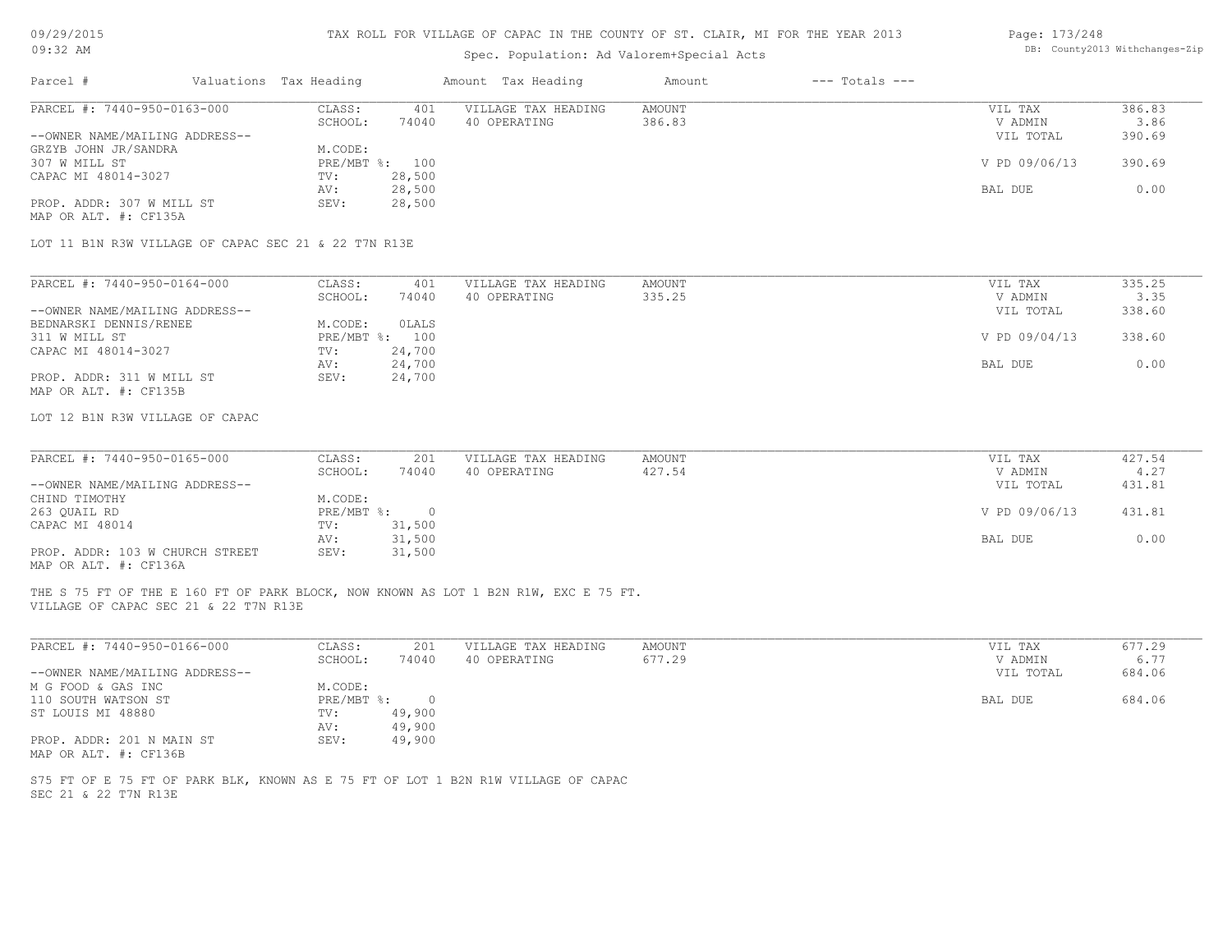| 09/29/2015 |  |
|------------|--|
|------------|--|

| 09:32 AM                                               |  |                        | Spec. Population: Ad Valorem+Special Acts | DB: County2013 Withchanges-Zip                                                      |                  |                    |                      |                |
|--------------------------------------------------------|--|------------------------|-------------------------------------------|-------------------------------------------------------------------------------------|------------------|--------------------|----------------------|----------------|
| Parcel #                                               |  | Valuations Tax Heading |                                           | Amount Tax Heading                                                                  | Amount           | $---$ Totals $---$ |                      |                |
| PARCEL #: 7440-950-0163-000                            |  | CLASS:<br>SCHOOL:      | 401<br>74040                              | VILLAGE TAX HEADING<br>40 OPERATING                                                 | AMOUNT<br>386.83 |                    | VIL TAX<br>V ADMIN   | 386.83<br>3.86 |
| --OWNER NAME/MAILING ADDRESS--<br>GRZYB JOHN JR/SANDRA |  | M.CODE:                |                                           |                                                                                     |                  |                    | VIL TOTAL            | 390.69         |
| 307 W MILL ST<br>CAPAC MI 48014-3027                   |  | TV:                    | PRE/MBT %: 100<br>28,500                  |                                                                                     |                  |                    | V PD 09/06/13        | 390.69         |
|                                                        |  | AV:                    | 28,500                                    |                                                                                     |                  |                    | BAL DUE              | 0.00           |
| PROP. ADDR: 307 W MILL ST<br>MAP OR ALT. #: CF135A     |  | SEV:                   | 28,500                                    |                                                                                     |                  |                    |                      |                |
| LOT 11 B1N R3W VILLAGE OF CAPAC SEC 21 & 22 T7N R13E   |  |                        |                                           |                                                                                     |                  |                    |                      |                |
| PARCEL #: 7440-950-0164-000                            |  | CLASS:                 | 401                                       | VILLAGE TAX HEADING                                                                 | <b>AMOUNT</b>    |                    | VIL TAX              | 335.25         |
| --OWNER NAME/MAILING ADDRESS--                         |  | SCHOOL:                | 74040                                     | 40 OPERATING                                                                        | 335.25           |                    | V ADMIN<br>VIL TOTAL | 3.35<br>338.60 |
| BEDNARSKI DENNIS/RENEE<br>311 W MILL ST                |  | M.CODE:                | OLALS<br>PRE/MBT %: 100                   |                                                                                     |                  |                    | V PD 09/04/13        | 338.60         |
| CAPAC MI 48014-3027                                    |  | TV:                    | 24,700                                    |                                                                                     |                  |                    |                      |                |
| PROP. ADDR: 311 W MILL ST<br>MAP OR ALT. #: CF135B     |  | AV:<br>SEV:            | 24,700<br>24,700                          |                                                                                     |                  |                    | BAL DUE              | 0.00           |
| LOT 12 B1N R3W VILLAGE OF CAPAC                        |  |                        |                                           |                                                                                     |                  |                    |                      |                |
| PARCEL #: 7440-950-0165-000                            |  | CLASS:                 | 201                                       | VILLAGE TAX HEADING                                                                 | <b>AMOUNT</b>    |                    |                      | 427.54         |
|                                                        |  | SCHOOL:                | 74040                                     | 40 OPERATING                                                                        | 427.54           |                    | VIL TAX<br>V ADMIN   | 4.27           |
| --OWNER NAME/MAILING ADDRESS--<br>CHIND TIMOTHY        |  | M.CODE:                |                                           |                                                                                     |                  |                    | VIL TOTAL            | 431.81         |
| 263 QUAIL RD<br>CAPAC MI 48014                         |  | PRE/MBT %:<br>TV:      | $\overline{0}$<br>31,500                  |                                                                                     |                  |                    | V PD 09/06/13        | 431.81         |
| PROP. ADDR: 103 W CHURCH STREET                        |  | AV:<br>SEV:            | 31,500<br>31,500                          |                                                                                     |                  |                    | BAL DUE              | 0.00           |
| MAP OR ALT. #: CF136A                                  |  |                        |                                           |                                                                                     |                  |                    |                      |                |
| VILLAGE OF CAPAC SEC 21 & 22 T7N R13E                  |  |                        |                                           | THE S 75 FT OF THE E 160 FT OF PARK BLOCK, NOW KNOWN AS LOT 1 B2N R1W, EXC E 75 FT. |                  |                    |                      |                |
| PARCEL #: 7440-950-0166-000                            |  | CLASS:                 | 201                                       | VILLAGE TAX HEADING                                                                 | <b>AMOUNT</b>    |                    | VIL TAX              | 677.29         |
| --OWNER NAME/MAILING ADDRESS--                         |  | SCHOOL:                | 74040                                     | 40 OPERATING                                                                        | 677.29           |                    | V ADMIN<br>VIL TOTAL | 6.77<br>684.06 |
| M G FOOD & GAS INC                                     |  | M.CODE:                |                                           |                                                                                     |                  |                    |                      |                |
| 110 SOUTH WATSON ST<br>ST LOUIS MI 48880               |  | PRE/MBT %:<br>TV:      | $\circ$<br>49,900                         |                                                                                     |                  |                    | BAL DUE              | 684.06         |
| PROP. ADDR: 201 N MAIN ST<br>MAP OR ALT. #: CF136B     |  | AV:<br>SEV:            | 49,900<br>49,900                          |                                                                                     |                  |                    |                      |                |
| SEC 21 & 22 T7N R13E                                   |  |                        |                                           | S75 FT OF E 75 FT OF PARK BLK, KNOWN AS E 75 FT OF LOT 1 B2N R1W VILLAGE OF CAPAC   |                  |                    |                      |                |
|                                                        |  |                        |                                           |                                                                                     |                  |                    |                      |                |
|                                                        |  |                        |                                           |                                                                                     |                  |                    |                      |                |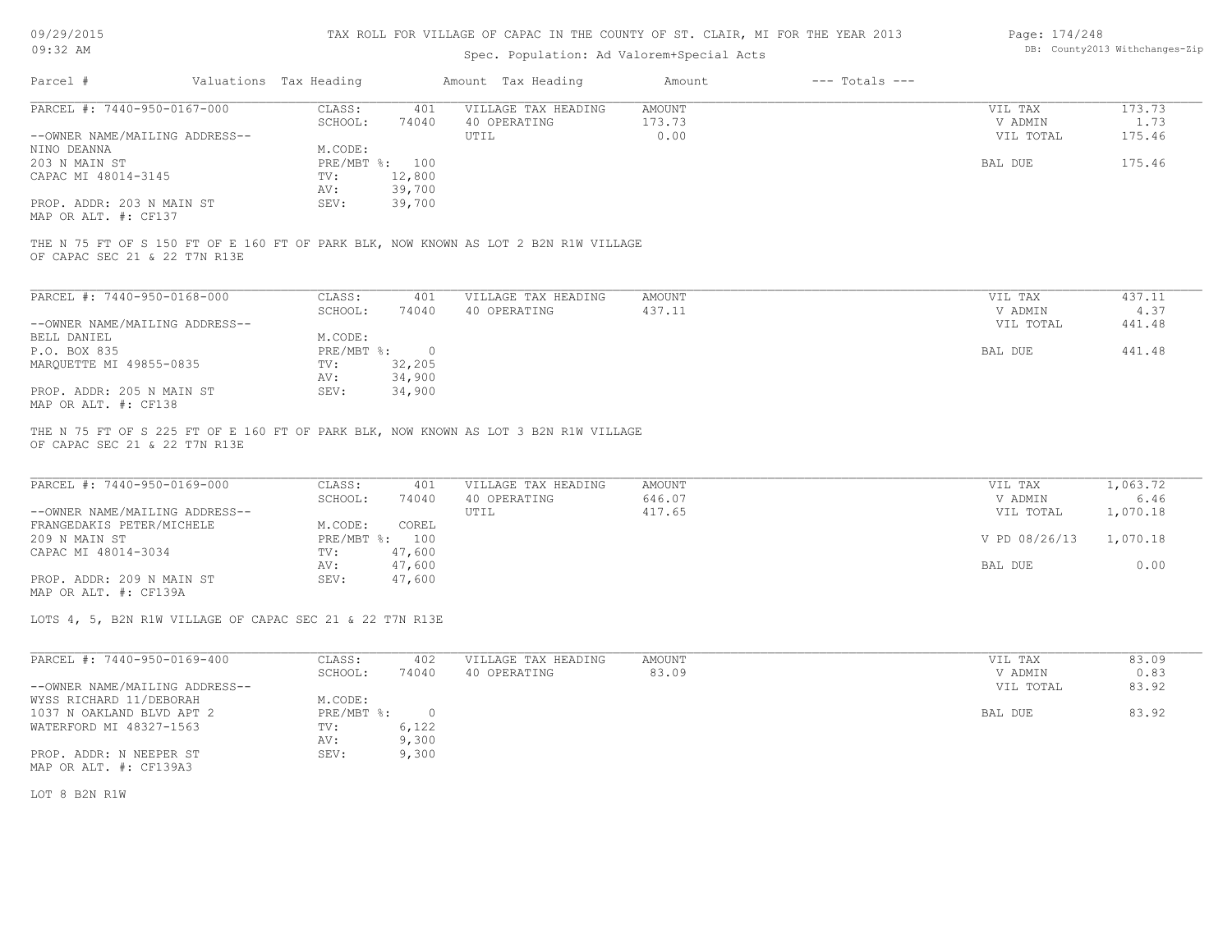| 09/29/2015 |  |
|------------|--|
| $09:32$ AM |  |

## Spec. Population: Ad Valorem+Special Acts

| Page: 174/248 |                                |
|---------------|--------------------------------|
|               | DB: County2013 Withchanges-Zip |

|                                                                                                                      |                                   | spec. Population: Ad valorem+special Acts |                              |                    |               |
|----------------------------------------------------------------------------------------------------------------------|-----------------------------------|-------------------------------------------|------------------------------|--------------------|---------------|
| Parcel #                                                                                                             | Valuations Tax Heading            | Amount Tax Heading                        | $---$ Totals $---$<br>Amount |                    |               |
| PARCEL #: 7440-950-0167-000                                                                                          | CLASS:<br>401                     | VILLAGE TAX HEADING                       | AMOUNT                       | VIL TAX            | 173.73        |
|                                                                                                                      | SCHOOL:<br>74040                  | 40 OPERATING                              | 173.73                       | V ADMIN            | 1.73          |
| --OWNER NAME/MAILING ADDRESS--                                                                                       |                                   | UTIL                                      | 0.00                         | VIL TOTAL          | 175.46        |
| NINO DEANNA                                                                                                          | M.CODE:                           |                                           |                              |                    |               |
| 203 N MAIN ST                                                                                                        | PRE/MBT %: 100                    |                                           |                              | BAL DUE            | 175.46        |
| CAPAC MI 48014-3145                                                                                                  | 12,800<br>TV:                     |                                           |                              |                    |               |
|                                                                                                                      |                                   |                                           |                              |                    |               |
|                                                                                                                      | 39,700<br>AV:                     |                                           |                              |                    |               |
| PROP. ADDR: 203 N MAIN ST                                                                                            | 39,700<br>SEV:                    |                                           |                              |                    |               |
| MAP OR ALT. #: CF137                                                                                                 |                                   |                                           |                              |                    |               |
| THE N 75 FT OF S 150 FT OF E 160 FT OF PARK BLK, NOW KNOWN AS LOT 2 B2N R1W VILLAGE<br>OF CAPAC SEC 21 & 22 T7N R13E |                                   |                                           |                              |                    |               |
| PARCEL #: 7440-950-0168-000                                                                                          | CLASS:<br>401                     | VILLAGE TAX HEADING                       | <b>AMOUNT</b>                | VIL TAX            | 437.11        |
|                                                                                                                      | SCHOOL:<br>74040                  | 40 OPERATING                              | 437.11                       |                    | 4.37          |
|                                                                                                                      |                                   |                                           |                              | V ADMIN            |               |
| --OWNER NAME/MAILING ADDRESS--                                                                                       |                                   |                                           |                              | VIL TOTAL          | 441.48        |
| BELL DANIEL                                                                                                          | M.CODE:                           |                                           |                              |                    |               |
| P.O. BOX 835                                                                                                         | PRE/MBT %: 0                      |                                           |                              | BAL DUE            | 441.48        |
| MARQUETTE MI 49855-0835                                                                                              | 32,205<br>TV:                     |                                           |                              |                    |               |
|                                                                                                                      | 34,900<br>AV:                     |                                           |                              |                    |               |
| PROP. ADDR: 205 N MAIN ST<br>MAP OR ALT. #: CF138                                                                    | 34,900<br>SEV:                    |                                           |                              |                    |               |
| THE N 75 FT OF S 225 FT OF E 160 FT OF PARK BLK, NOW KNOWN AS LOT 3 B2N R1W VILLAGE<br>OF CAPAC SEC 21 & 22 T7N R13E |                                   |                                           |                              |                    |               |
| PARCEL #: 7440-950-0169-000                                                                                          | CLASS:<br>401                     | VILLAGE TAX HEADING                       | <b>AMOUNT</b>                | VIL TAX            | 1,063.72      |
|                                                                                                                      | 74040<br>SCHOOL:                  | 40 OPERATING                              | 646.07                       | V ADMIN            | 6.46          |
| --OWNER NAME/MAILING ADDRESS--                                                                                       |                                   | UTIL                                      | 417.65                       | VIL TOTAL          | 1,070.18      |
| FRANGEDAKIS PETER/MICHELE                                                                                            | M.CODE:<br>COREL                  |                                           |                              |                    |               |
| 209 N MAIN ST                                                                                                        | PRE/MBT %: 100                    |                                           |                              | V PD 08/26/13      | 1,070.18      |
| CAPAC MI 48014-3034                                                                                                  | 47,600<br>TV:                     |                                           |                              |                    |               |
|                                                                                                                      | 47,600<br>AV:                     |                                           |                              | BAL DUE            | 0.00          |
| PROP. ADDR: 209 N MAIN ST                                                                                            | SEV:<br>47,600                    |                                           |                              |                    |               |
| MAP OR ALT. #: CF139A                                                                                                |                                   |                                           |                              |                    |               |
| LOTS 4, 5, B2N R1W VILLAGE OF CAPAC SEC 21 & 22 T7N R13E                                                             |                                   |                                           |                              |                    |               |
| PARCEL #: 7440-950-0169-400                                                                                          | CLASS:<br>402<br>SCHOOL:<br>74040 | VILLAGE TAX HEADING<br>40 OPERATING       | <b>AMOUNT</b><br>83.09       | VIL TAX<br>V ADMIN | 83.09<br>0.83 |
| --OWNER NAME/MAILING ADDRESS--                                                                                       |                                   |                                           |                              |                    |               |
|                                                                                                                      |                                   |                                           |                              | VIL TOTAL          | 83.92         |
| WYSS RICHARD 11/DEBORAH                                                                                              | M.CODE:                           |                                           |                              |                    |               |
| 1037 N OAKLAND BLVD APT 2                                                                                            | $PRE/MBT$ %:<br>$\circ$           |                                           |                              | BAL DUE            | 83.92         |

PROP. ADDR: N NEEPER ST SEV: 9,300 AV: 9,300 WATERFORD MI 48327-1563 TV: 6,122<br>AV: 9,300

MAP OR ALT. #: CF139A3

LOT 8 B2N R1W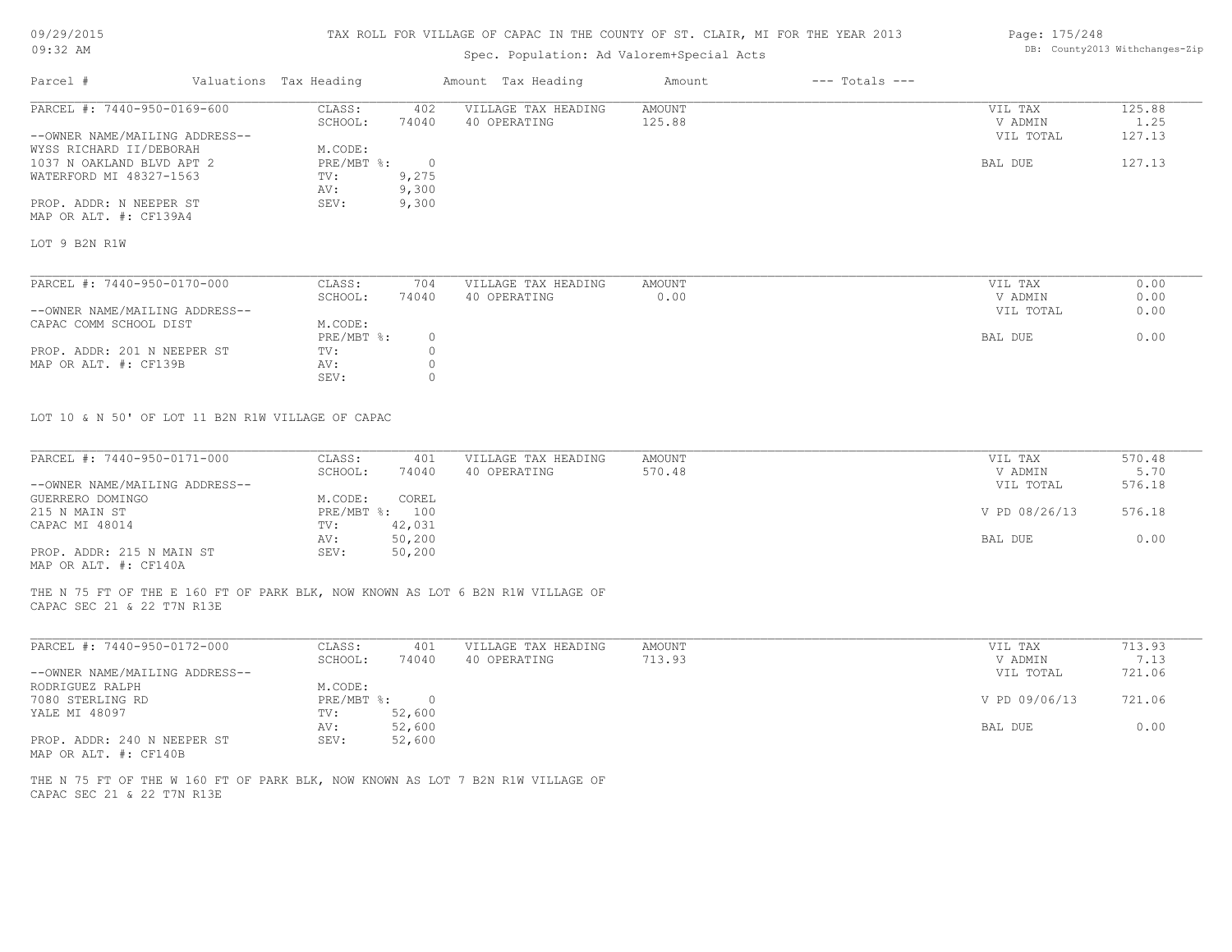#### TAX ROLL FOR VILLAGE OF CAPAC IN THE COUNTY OF ST. CLAIR, MI FOR THE YEAR 2013

## Spec. Population: Ad Valorem+Special Acts

| Parcel #                       | Valuations Tax Heading |            | Amount Tax Heading  | Amount | $---$ Totals $---$ |           |        |
|--------------------------------|------------------------|------------|---------------------|--------|--------------------|-----------|--------|
| PARCEL #: 7440-950-0169-600    | CLASS:                 | 402        | VILLAGE TAX HEADING | AMOUNT |                    | VIL TAX   | 125.88 |
|                                | SCHOOL:                | 74040      | 40 OPERATING        | 125.88 |                    | V ADMIN   | 1.25   |
| --OWNER NAME/MAILING ADDRESS-- |                        |            |                     |        |                    | VIL TOTAL | 127.13 |
| WYSS RICHARD II/DEBORAH        | M.CODE:                |            |                     |        |                    |           |        |
| 1037 N OAKLAND BLVD APT 2      | PRE/MBT %:             | $\bigcirc$ |                     |        |                    | BAL DUE   | 127.13 |
| WATERFORD MI 48327-1563        | TV:                    | 9,275      |                     |        |                    |           |        |
|                                | AV:                    | 9,300      |                     |        |                    |           |        |
| PROP. ADDR: N NEEPER ST        | SEV:                   | 9,300      |                     |        |                    |           |        |
| MAP OR ALT. #: CF139A4         |                        |            |                     |        |                    |           |        |
| LOT 9 B2N R1W                  |                        |            |                     |        |                    |           |        |
|                                |                        |            |                     |        |                    |           |        |
| PARCEL #: 7440-950-0170-000    | CLASS:                 | 704        | VILLAGE TAX HEADING | AMOUNT |                    | VIL TAX   | 0.00   |
|                                | SCHOOL:                | 74040      | 40 OPERATING        | 0.00   |                    | V ADMIN   | 0.00   |
| --OWNER NAME/MAILING ADDRESS-- |                        |            |                     |        |                    | VIL TOTAL | 0.00   |
| CAPAC COMM SCHOOL DIST         | M CODE.                |            |                     |        |                    |           |        |

| CALAC COMM SCHOOD DISI      | .             |  |         |      |
|-----------------------------|---------------|--|---------|------|
|                             | $PRE/MBT$ %:  |  | BAL DUE | 0.00 |
| PROP. ADDR: 201 N NEEPER ST | $\text{TV}$ . |  |         |      |
| MAP OR ALT. #: CF139B       | AV:           |  |         |      |
|                             | SEV:          |  |         |      |

LOT 10 & N 50' OF LOT 11 B2N R1W VILLAGE OF CAPAC

| PARCEL #: 7440-950-0171-000    | CLASS:       | 401    | VILLAGE TAX HEADING | AMOUNT | VIL TAX       | 570.48 |
|--------------------------------|--------------|--------|---------------------|--------|---------------|--------|
|                                | SCHOOL:      | 74040  | 40 OPERATING        | 570.48 | V ADMIN       | 5.70   |
| --OWNER NAME/MAILING ADDRESS-- |              |        |                     |        | VIL TOTAL     | 576.18 |
| GUERRERO DOMINGO               | M.CODE:      | COREL  |                     |        |               |        |
| 215 N MAIN ST                  | $PRE/MBT$ %: | 100    |                     |        | V PD 08/26/13 | 576.18 |
| CAPAC MI 48014                 | TV:          | 42,031 |                     |        |               |        |
|                                | AV:          | 50,200 |                     |        | BAL DUE       | 0.00   |
| PROP. ADDR: 215 N MAIN ST      | SEV:         | 50,200 |                     |        |               |        |
|                                |              |        |                     |        |               |        |

MAP OR ALT. #: CF140A

CAPAC SEC 21 & 22 T7N R13E THE N 75 FT OF THE E 160 FT OF PARK BLK, NOW KNOWN AS LOT 6 B2N R1W VILLAGE OF

| PARCEL #: 7440-950-0172-000    | CLASS:     | 401    | VILLAGE TAX HEADING | AMOUNT | VIL TAX       | 713.93 |
|--------------------------------|------------|--------|---------------------|--------|---------------|--------|
|                                | SCHOOL:    | 74040  | 40 OPERATING        | 713.93 | V ADMIN       | 7.13   |
| --OWNER NAME/MAILING ADDRESS-- |            |        |                     |        | VIL TOTAL     | 721.06 |
| RODRIGUEZ RALPH                | M.CODE:    |        |                     |        |               |        |
| 7080 STERLING RD               | PRE/MBT %: | $\Box$ |                     |        | V PD 09/06/13 | 721.06 |
| YALE MI 48097                  | TV:        | 52,600 |                     |        |               |        |
|                                | AV:        | 52,600 |                     |        | BAL DUE       | 0.00   |
| PROP. ADDR: 240 N NEEPER ST    | SEV:       | 52,600 |                     |        |               |        |
| MAP OR ALT. #: CF140B          |            |        |                     |        |               |        |

 $\mathcal{L}_\mathcal{L} = \mathcal{L}_\mathcal{L} = \mathcal{L}_\mathcal{L} = \mathcal{L}_\mathcal{L} = \mathcal{L}_\mathcal{L} = \mathcal{L}_\mathcal{L} = \mathcal{L}_\mathcal{L} = \mathcal{L}_\mathcal{L} = \mathcal{L}_\mathcal{L} = \mathcal{L}_\mathcal{L} = \mathcal{L}_\mathcal{L} = \mathcal{L}_\mathcal{L} = \mathcal{L}_\mathcal{L} = \mathcal{L}_\mathcal{L} = \mathcal{L}_\mathcal{L} = \mathcal{L}_\mathcal{L} = \mathcal{L}_\mathcal{L}$ 

CAPAC SEC 21 & 22 T7N R13E THE N 75 FT OF THE W 160 FT OF PARK BLK, NOW KNOWN AS LOT 7 B2N R1W VILLAGE OF Page: 175/248 DB: County2013 Withchanges-Zip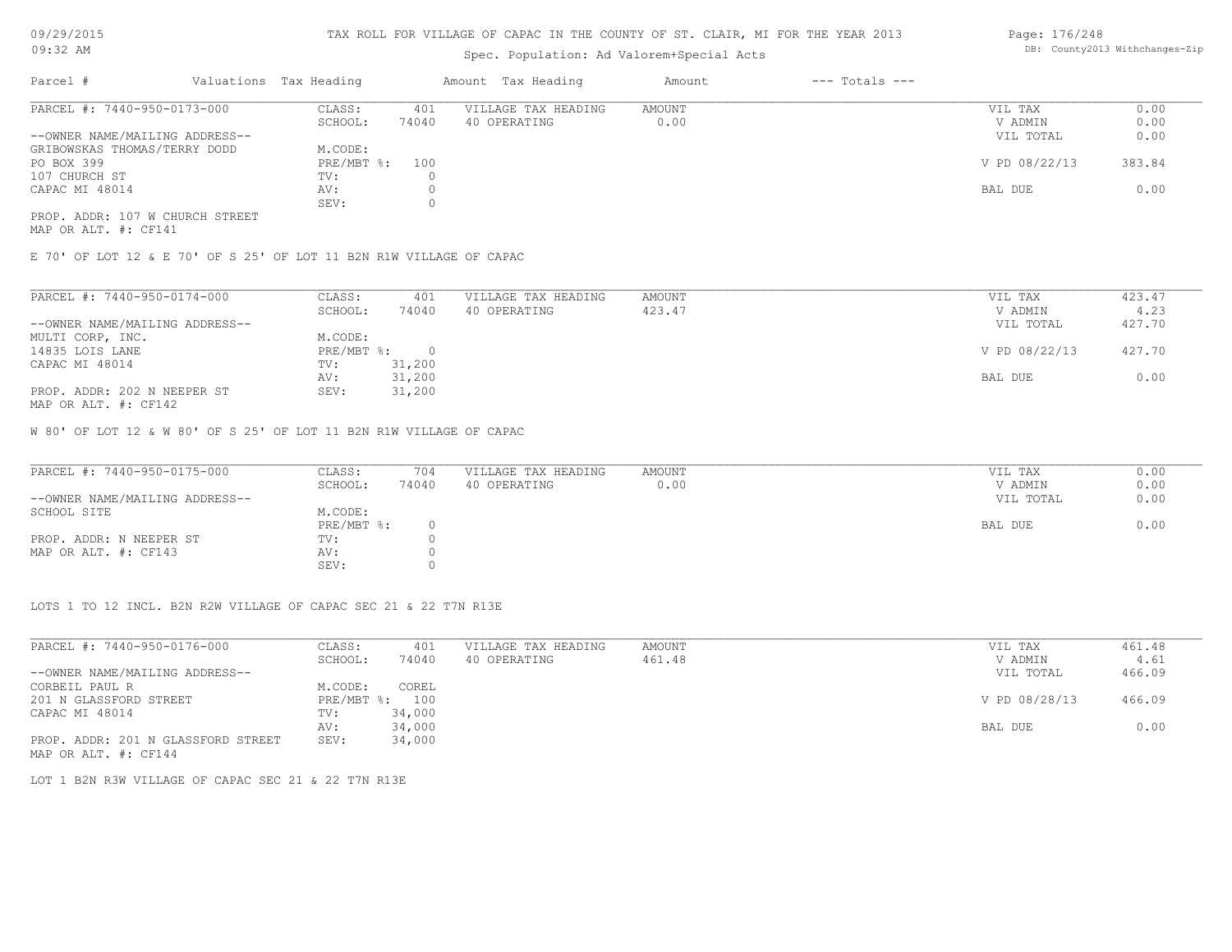## Spec. Population: Ad Valorem+Special Acts

| Page: 176/248 |                                |
|---------------|--------------------------------|
|               | DB: County2013 Withchanges-Zip |

| Parcel #                        | Valuations Tax Heading |       | Amount Tax Heading  | Amount | $---$ Totals $---$ |               |        |
|---------------------------------|------------------------|-------|---------------------|--------|--------------------|---------------|--------|
| PARCEL #: 7440-950-0173-000     | CLASS:                 | 401   | VILLAGE TAX HEADING | AMOUNT |                    | VIL TAX       | 0.00   |
|                                 | SCHOOL:                | 74040 | 40 OPERATING        | 0.00   |                    | V ADMIN       | 0.00   |
| --OWNER NAME/MAILING ADDRESS--  |                        |       |                     |        |                    | VIL TOTAL     | 0.00   |
| GRIBOWSKAS THOMAS/TERRY DODD    | M.CODE:                |       |                     |        |                    |               |        |
| PO BOX 399                      | PRE/MBT %:             | 100   |                     |        |                    | V PD 08/22/13 | 383.84 |
| 107 CHURCH ST                   | TV:                    |       |                     |        |                    |               |        |
| CAPAC MI 48014                  | AV:                    |       |                     |        |                    | BAL DUE       | 0.00   |
|                                 | SEV:                   |       |                     |        |                    |               |        |
| PROP. ADDR: 107 W CHURCH STREET |                        |       |                     |        |                    |               |        |

MAP OR ALT. #: CF141

E 70' OF LOT 12 & E 70' OF S 25' OF LOT 11 B2N R1W VILLAGE OF CAPAC

| PARCEL #: 7440-950-0174-000    | CLASS:     | 401      | VILLAGE TAX HEADING | AMOUNT | VIL TAX       | 423.47 |
|--------------------------------|------------|----------|---------------------|--------|---------------|--------|
|                                | SCHOOL:    | 74040    | 40 OPERATING        | 423.47 | V ADMIN       | 4.23   |
| --OWNER NAME/MAILING ADDRESS-- |            |          |                     |        | VIL TOTAL     | 427.70 |
| MULTI CORP, INC.               | M.CODE:    |          |                     |        |               |        |
| 14835 LOIS LANE                | PRE/MBT %: | $\Omega$ |                     |        | V PD 08/22/13 | 427.70 |
| CAPAC MI 48014                 | TV:        | 31,200   |                     |        |               |        |
|                                | AV:        | 31,200   |                     |        | BAL DUE       | 0.00   |
| PROP. ADDR: 202 N NEEPER ST    | SEV:       | 31,200   |                     |        |               |        |
|                                |            |          |                     |        |               |        |

MAP OR ALT. #: CF142

W 80' OF LOT 12 & W 80' OF S 25' OF LOT 11 B2N R1W VILLAGE OF CAPAC

| PARCEL #: 7440-950-0175-000    | CLASS:       | 704   | VILLAGE TAX HEADING | AMOUNT | VIL TAX   | 0.00 |
|--------------------------------|--------------|-------|---------------------|--------|-----------|------|
|                                | SCHOOL:      | 74040 | 40 OPERATING        | 0.00   | V ADMIN   | 0.00 |
| --OWNER NAME/MAILING ADDRESS-- |              |       |                     |        | VIL TOTAL | 0.00 |
| SCHOOL SITE                    | M.CODE:      |       |                     |        |           |      |
|                                | $PRE/MBT$ %: |       |                     |        | BAL DUE   | 0.00 |
| PROP. ADDR: N NEEPER ST        | TV:          |       |                     |        |           |      |
| MAP OR ALT. #: CF143           | AV:          |       |                     |        |           |      |
|                                | SEV:         |       |                     |        |           |      |

LOTS 1 TO 12 INCL. B2N R2W VILLAGE OF CAPAC SEC 21 & 22 T7N R13E

| PARCEL #: 7440-950-0176-000        | CLASS:  | 401            | VILLAGE TAX HEADING | AMOUNT | VIL TAX       | 461.48 |
|------------------------------------|---------|----------------|---------------------|--------|---------------|--------|
|                                    | SCHOOL: | 74040          | 40 OPERATING        | 461.48 | V ADMIN       | 4.61   |
| --OWNER NAME/MAILING ADDRESS--     |         |                |                     |        | VIL TOTAL     | 466.09 |
| CORBEIL PAUL R                     | M.CODE: | COREL          |                     |        |               |        |
| 201 N GLASSFORD STREET             |         | PRE/MBT %: 100 |                     |        | V PD 08/28/13 | 466.09 |
| CAPAC MI 48014                     | TV:     | 34,000         |                     |        |               |        |
|                                    | AV:     | 34,000         |                     |        | BAL DUE       | 0.00   |
| PROP. ADDR: 201 N GLASSFORD STREET | SEV:    | 34,000         |                     |        |               |        |
| MAP OR ALT. #: CF144               |         |                |                     |        |               |        |

LOT 1 B2N R3W VILLAGE OF CAPAC SEC 21 & 22 T7N R13E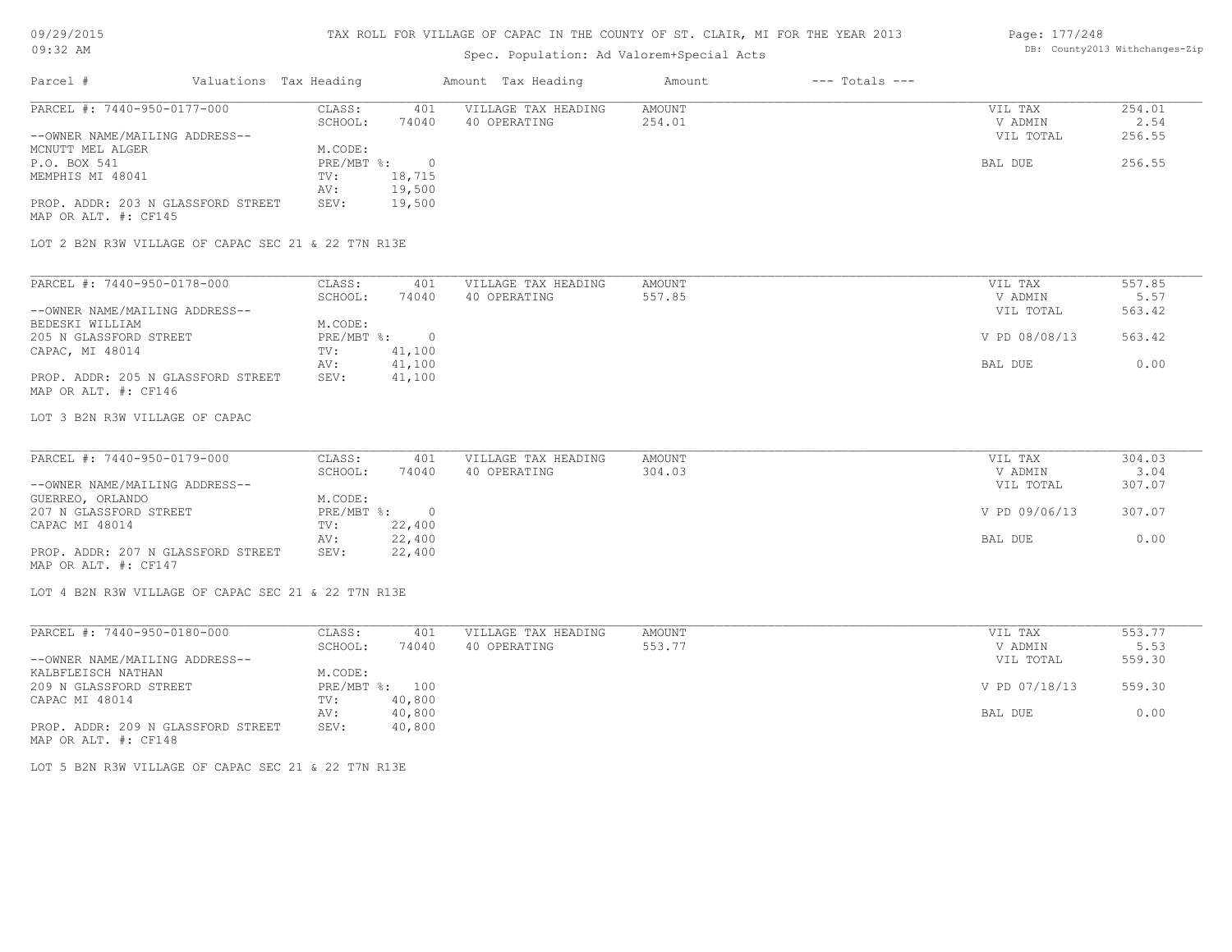## TAX ROLL FOR VILLAGE OF CAPAC IN THE COUNTY OF ST. CLAIR, MI FOR THE YEAR 2013

## Spec. Population: Ad Valorem+Special Acts

#### Page: 177/248 DB: County2013 Withchanges-Zip

| Parcel #                                            | Valuations Tax Heading |                | Amount Tax Heading  | Amount        | $---$ Totals $---$ |               |        |
|-----------------------------------------------------|------------------------|----------------|---------------------|---------------|--------------------|---------------|--------|
| PARCEL #: 7440-950-0177-000                         | CLASS:                 | 401            | VILLAGE TAX HEADING | <b>AMOUNT</b> |                    | VIL TAX       | 254.01 |
|                                                     | SCHOOL:                | 74040          | 40 OPERATING        | 254.01        |                    | V ADMIN       | 2.54   |
| --OWNER NAME/MAILING ADDRESS--                      |                        |                |                     |               |                    | VIL TOTAL     | 256.55 |
| MCNUTT MEL ALGER                                    | M.CODE:                |                |                     |               |                    |               |        |
| P.O. BOX 541                                        | $PRE/MBT$ $\div$       | $\overline{0}$ |                     |               |                    | BAL DUE       | 256.55 |
| MEMPHIS MI 48041                                    | TV:                    | 18,715         |                     |               |                    |               |        |
|                                                     | AV:                    | 19,500         |                     |               |                    |               |        |
| PROP. ADDR: 203 N GLASSFORD STREET                  | SEV:                   | 19,500         |                     |               |                    |               |        |
| MAP OR ALT. #: CF145                                |                        |                |                     |               |                    |               |        |
| LOT 2 B2N R3W VILLAGE OF CAPAC SEC 21 & 22 T7N R13E |                        |                |                     |               |                    |               |        |
| PARCEL #: 7440-950-0178-000                         | CLASS:                 | 401            | VILLAGE TAX HEADING | AMOUNT        |                    | VIL TAX       | 557.85 |
|                                                     | SCHOOL:                | 74040          | 40 OPERATING        | 557.85        |                    | V ADMIN       | 5.57   |
| --OWNER NAME/MAILING ADDRESS--                      |                        |                |                     |               |                    | VIL TOTAL     | 563.42 |
| BEDESKI WILLIAM                                     | M.CODE:                |                |                     |               |                    |               |        |
| 205 N GLASSFORD STREET                              | PRE/MBT %:             | $\bigcirc$     |                     |               |                    | V PD 08/08/13 | 563.42 |
| CAPAC, MI 48014                                     | TV:                    | 41,100         |                     |               |                    |               |        |
|                                                     | AV:                    | 41,100         |                     |               |                    | BAL DUE       | 0.00   |
| PROP. ADDR: 205 N GLASSFORD STREET                  | SEV:                   | 41,100         |                     |               |                    |               |        |
| MAP OR ALT. #: CF146                                |                        |                |                     |               |                    |               |        |
| LOT 3 B2N R3W VILLAGE OF CAPAC                      |                        |                |                     |               |                    |               |        |
|                                                     |                        |                |                     |               |                    |               |        |

| PARCEL #: 7440-950-0179-000        | CLASS:     | 401      | VILLAGE TAX HEADING | AMOUNT | VIL TAX       | 304.03 |
|------------------------------------|------------|----------|---------------------|--------|---------------|--------|
|                                    | SCHOOL:    | 74040    | 40 OPERATING        | 304.03 | V ADMIN       | 3.04   |
| --OWNER NAME/MAILING ADDRESS--     |            |          |                     |        | VIL TOTAL     | 307.07 |
| GUERREO, ORLANDO                   | M.CODE:    |          |                     |        |               |        |
| 207 N GLASSFORD STREET             | PRE/MBT %: | $\Omega$ |                     |        | V PD 09/06/13 | 307.07 |
| CAPAC MI 48014                     | TV:        | 22,400   |                     |        |               |        |
|                                    | AV:        | 22,400   |                     |        | BAL DUE       | 0.00   |
| PROP. ADDR: 207 N GLASSFORD STREET | SEV:       | 22,400   |                     |        |               |        |
| MAP OR ALT. #: CF147               |            |          |                     |        |               |        |

LOT 4 B2N R3W VILLAGE OF CAPAC SEC 21 & 22 T7N R13E

| PARCEL #: 7440-950-0180-000        | CLASS:     | 401    | VILLAGE TAX HEADING | AMOUNT | VIL TAX       | 553.77 |
|------------------------------------|------------|--------|---------------------|--------|---------------|--------|
|                                    | SCHOOL:    | 74040  | 40 OPERATING        | 553.77 | V ADMIN       | 5.53   |
| --OWNER NAME/MAILING ADDRESS--     |            |        |                     |        | VIL TOTAL     | 559.30 |
| KALBFLEISCH NATHAN                 | M.CODE:    |        |                     |        |               |        |
| 209 N GLASSFORD STREET             | PRE/MBT %: | 100    |                     |        | V PD 07/18/13 | 559.30 |
| CAPAC MI 48014                     | TV:        | 40,800 |                     |        |               |        |
|                                    | AV:        | 40,800 |                     |        | BAL DUE       | 0.00   |
| PROP. ADDR: 209 N GLASSFORD STREET | SEV:       | 40,800 |                     |        |               |        |
| MAP OR ALT. #: CF148               |            |        |                     |        |               |        |

LOT 5 B2N R3W VILLAGE OF CAPAC SEC 21 & 22 T7N R13E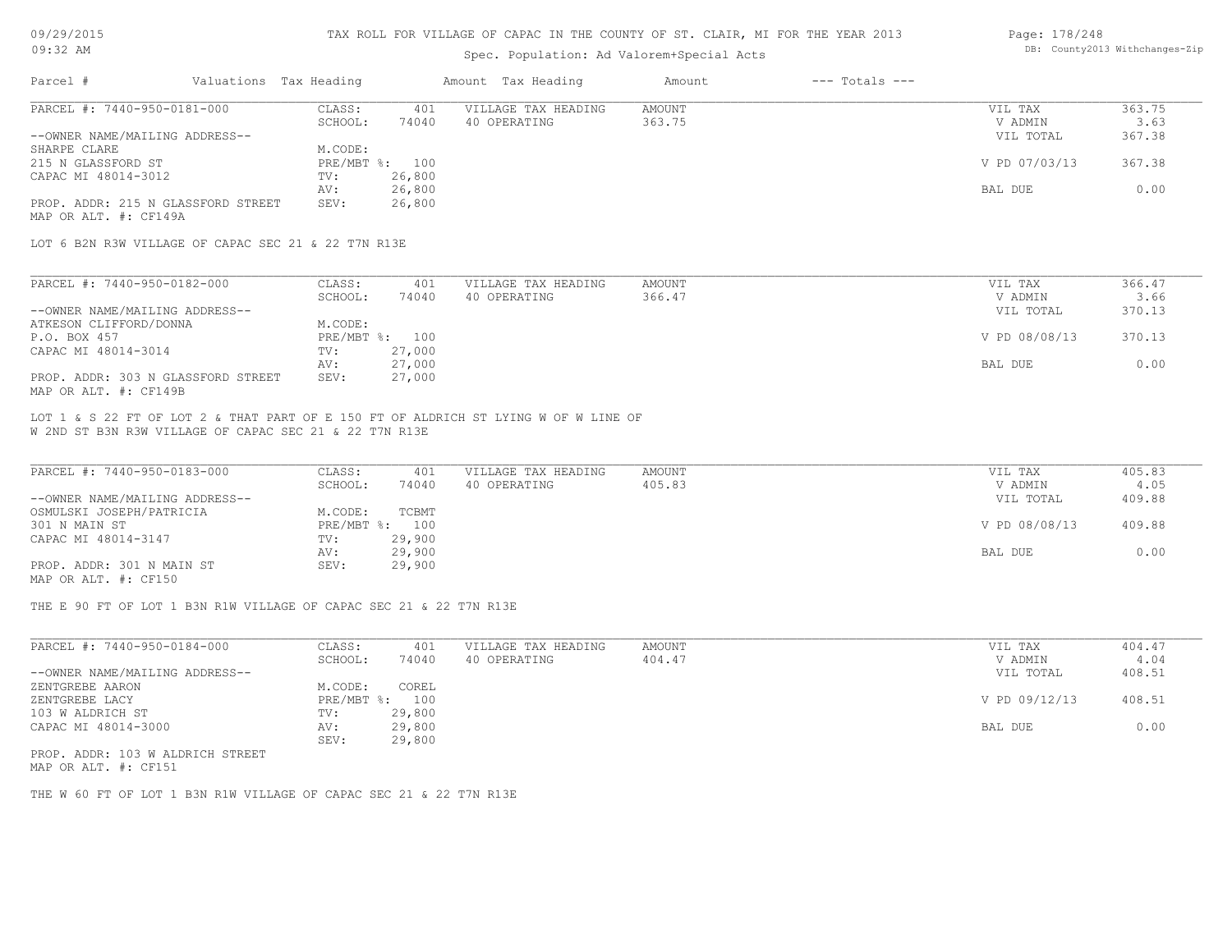#### TAX ROLL FOR VILLAGE OF CAPAC IN THE COUNTY OF ST. CLAIR, MI FOR THE YEAR 2013

## Spec. Population: Ad Valorem+Special Acts

#### Page: 178/248 DB: County2013 Withchanges-Zip

| Parcel #                           | Valuations Tax Heading |                | Amount Tax Heading  | Amount | $---$ Totals $---$ |               |        |
|------------------------------------|------------------------|----------------|---------------------|--------|--------------------|---------------|--------|
| PARCEL #: 7440-950-0181-000        | CLASS:                 | 401            | VILLAGE TAX HEADING | AMOUNT |                    | VIL TAX       | 363.75 |
|                                    | SCHOOL:                | 74040          | 40 OPERATING        | 363.75 |                    | V ADMIN       | 3.63   |
| --OWNER NAME/MAILING ADDRESS--     |                        |                |                     |        |                    | VIL TOTAL     | 367.38 |
| SHARPE CLARE                       | M.CODE:                |                |                     |        |                    |               |        |
| 215 N GLASSFORD ST                 |                        | PRE/MBT %: 100 |                     |        |                    | V PD 07/03/13 | 367.38 |
| CAPAC MI 48014-3012                | TV:                    | 26,800         |                     |        |                    |               |        |
|                                    | AV:                    | 26,800         |                     |        |                    | BAL DUE       | 0.00   |
| PROP. ADDR: 215 N GLASSFORD STREET | SEV:                   | 26,800         |                     |        |                    |               |        |
| MAP OR ALT. #: CF149A              |                        |                |                     |        |                    |               |        |

LOT 6 B2N R3W VILLAGE OF CAPAC SEC 21 & 22 T7N R13E

| PARCEL #: 7440-950-0182-000        | CLASS:  | 401            | VILLAGE TAX HEADING | AMOUNT | VIL TAX       | 366.47 |
|------------------------------------|---------|----------------|---------------------|--------|---------------|--------|
|                                    | SCHOOL: | 74040          | 40 OPERATING        | 366.47 | V ADMIN       | 3.66   |
| --OWNER NAME/MAILING ADDRESS--     |         |                |                     |        | VIL TOTAL     | 370.13 |
| ATKESON CLIFFORD/DONNA             | M.CODE: |                |                     |        |               |        |
| P.O. BOX 457                       |         | PRE/MBT %: 100 |                     |        | V PD 08/08/13 | 370.13 |
| CAPAC MI 48014-3014                | TV:     | 27,000         |                     |        |               |        |
|                                    | AV:     | 27,000         |                     |        | BAL DUE       | 0.00   |
| PROP. ADDR: 303 N GLASSFORD STREET | SEV:    | 27,000         |                     |        |               |        |
| MAP OR ALT. #: CF149B              |         |                |                     |        |               |        |

W 2ND ST B3N R3W VILLAGE OF CAPAC SEC 21 & 22 T7N R13E LOT 1 & S 22 FT OF LOT 2 & THAT PART OF E 150 FT OF ALDRICH ST LYING W OF W LINE OF

| PARCEL #: 7440-950-0183-000    | CLASS:  | 401            | VILLAGE TAX HEADING | AMOUNT | VIL TAX       | 405.83 |
|--------------------------------|---------|----------------|---------------------|--------|---------------|--------|
|                                | SCHOOL: | 74040          | 40 OPERATING        | 405.83 | V ADMIN       | 4.05   |
| --OWNER NAME/MAILING ADDRESS-- |         |                |                     |        | VIL TOTAL     | 409.88 |
| OSMULSKI JOSEPH/PATRICIA       | M.CODE: | TCBMT          |                     |        |               |        |
| 301 N MAIN ST                  |         | PRE/MBT %: 100 |                     |        | V PD 08/08/13 | 409.88 |
| CAPAC MI 48014-3147            | TV:     | 29,900         |                     |        |               |        |
|                                | AV:     | 29,900         |                     |        | BAL DUE       | 0.00   |
| PROP. ADDR: 301 N MAIN ST      | SEV:    | 29,900         |                     |        |               |        |
| MAP OR ALT. #: CF150           |         |                |                     |        |               |        |

THE E 90 FT OF LOT 1 B3N R1W VILLAGE OF CAPAC SEC 21 & 22 T7N R13E

| PARCEL #: 7440-950-0184-000      | CLASS:       | 401    | VILLAGE TAX HEADING | AMOUNT | VIL TAX       | 404.47 |
|----------------------------------|--------------|--------|---------------------|--------|---------------|--------|
|                                  | SCHOOL:      | 74040  | 40 OPERATING        | 404.47 | V ADMIN       | 4.04   |
| --OWNER NAME/MAILING ADDRESS--   |              |        |                     |        | VIL TOTAL     | 408.51 |
| ZENTGREBE AARON                  | M.CODE:      | COREL  |                     |        |               |        |
| ZENTGREBE LACY                   | $PRE/MBT$ %: | 100    |                     |        | V PD 09/12/13 | 408.51 |
| 103 W ALDRICH ST                 | TV:          | 29,800 |                     |        |               |        |
| CAPAC MI 48014-3000              | AV:          | 29,800 |                     |        | BAL DUE       | 0.00   |
|                                  | SEV:         | 29,800 |                     |        |               |        |
| PROP. ADDR: 103 W ALDRICH STREET |              |        |                     |        |               |        |

MAP OR ALT. #: CF151

THE W 60 FT OF LOT 1 B3N R1W VILLAGE OF CAPAC SEC 21 & 22 T7N R13E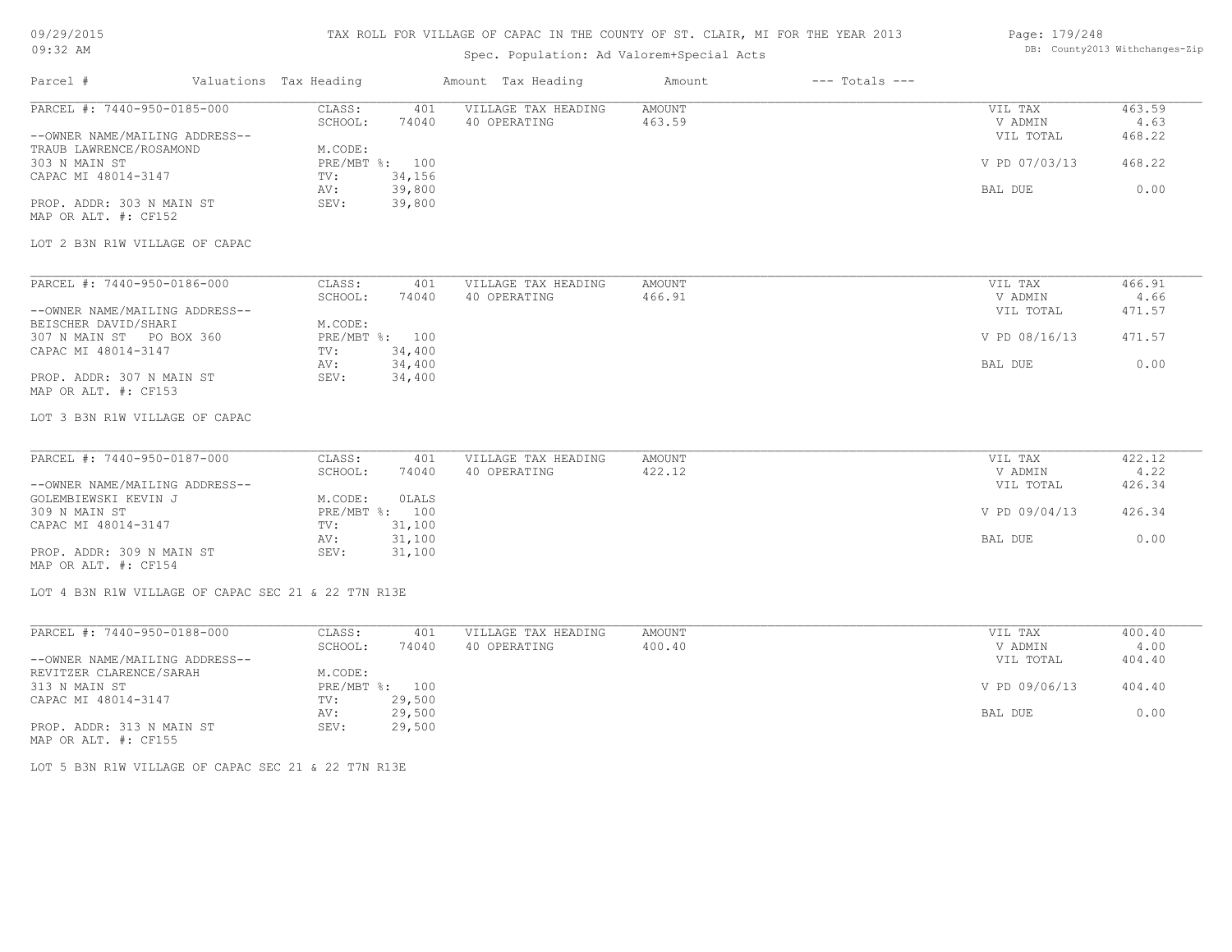## 09/29/2015

#### TAX ROLL FOR VILLAGE OF CAPAC IN THE COUNTY OF ST. CLAIR, MI FOR THE YEAR 2013 Page: 179/248

# DB: County2013 Withchanges-Zip

| 09:32 AM                                                                                                        |                        | Spec. Population: Ad Valorem+Special Acts | DB: County2013 Withchanges-Zip |                    |                |        |
|-----------------------------------------------------------------------------------------------------------------|------------------------|-------------------------------------------|--------------------------------|--------------------|----------------|--------|
| Parcel #                                                                                                        | Valuations Tax Heading | Amount Tax Heading                        | Amount                         | $---$ Totals $---$ |                |        |
| PARCEL #: 7440-950-0185-000                                                                                     | CLASS:<br>401          | VILLAGE TAX HEADING                       | <b>AMOUNT</b>                  |                    | VIL TAX        | 463.59 |
|                                                                                                                 | SCHOOL:<br>74040       | 40 OPERATING                              | 463.59                         |                    | V ADMIN        | 4.63   |
| --OWNER NAME/MAILING ADDRESS--                                                                                  |                        |                                           |                                |                    | VIL TOTAL      | 468.22 |
| TRAUB LAWRENCE/ROSAMOND                                                                                         | M.CODE:                |                                           |                                |                    |                |        |
| 303 N MAIN ST                                                                                                   | PRE/MBT %: 100         |                                           |                                |                    | V PD 07/03/13  | 468.22 |
| CAPAC MI 48014-3147                                                                                             | 34,156<br>TV:          |                                           |                                |                    |                |        |
|                                                                                                                 | 39,800<br>AV:          |                                           |                                |                    | <b>BAL DUE</b> | 0.00   |
| PROP. ADDR: 303 N MAIN ST                                                                                       | SEV:<br>39,800         |                                           |                                |                    |                |        |
| MAP OR ALT. #: CF152                                                                                            |                        |                                           |                                |                    |                |        |
| LOT 2 B3N R1W VILLAGE OF CAPAC                                                                                  |                        |                                           |                                |                    |                |        |
|                                                                                                                 |                        |                                           |                                |                    |                |        |
| PARCEL #: 7440-950-0186-000                                                                                     | CLASS:<br>401          | VILLAGE TAX HEADING                       | <b>AMOUNT</b>                  |                    | VIL TAX        | 466.91 |
|                                                                                                                 | SCHOOL:<br>74040       | 40 OPERATING                              | 466.91                         |                    | V ADMIN        | 4.66   |
| --OWNER NAME/MAILING ADDRESS--                                                                                  |                        |                                           |                                |                    | VIL TOTAL      | 471.57 |
| BEISCHER DAVID/SHARI                                                                                            | M.CODE:                |                                           |                                |                    |                |        |
| 307 N MAIN ST PO BOX 360                                                                                        | PRE/MBT %: 100         |                                           |                                |                    | V PD 08/16/13  | 471.57 |
| CAPAC MI 48014-3147                                                                                             | TV:<br>34,400          |                                           |                                |                    |                |        |
|                                                                                                                 | 34,400<br>AV:          |                                           |                                |                    | <b>BAL DUE</b> | 0.00   |
| PROP. ADDR: 307 N MAIN ST                                                                                       | 34,400<br>SEV:         |                                           |                                |                    |                |        |
| MAP OR ALT. #: CF153                                                                                            |                        |                                           |                                |                    |                |        |
| LOT 3 B3N R1W VILLAGE OF CAPAC                                                                                  |                        |                                           |                                |                    |                |        |
| PARCEL #: 7440-950-0187-000                                                                                     | CLASS:<br>401          | VILLAGE TAX HEADING                       | <b>AMOUNT</b>                  |                    | VIL TAX        | 422.12 |
|                                                                                                                 | SCHOOL:<br>74040       | 40 OPERATING                              | 422.12                         |                    | V ADMIN        | 4.22   |
| --OWNER NAME/MAILING ADDRESS--                                                                                  |                        |                                           |                                |                    | VIL TOTAL      | 426.34 |
| GOLEMBIEWSKI KEVIN J                                                                                            | M.CODE:<br>OLALS       |                                           |                                |                    |                |        |
| 309 N MAIN ST                                                                                                   | PRE/MBT %: 100         |                                           |                                |                    | V PD 09/04/13  | 426.34 |
| CAPAC MI 48014-3147                                                                                             | 31,100<br>TV:          |                                           |                                |                    |                |        |
|                                                                                                                 | 31,100<br>AV:          |                                           |                                |                    | <b>BAL DUE</b> | 0.00   |
| PROP. ADDR: 309 N MAIN ST                                                                                       | SEV:<br>31,100         |                                           |                                |                    |                |        |
| MAP OR ALT. #: CF154                                                                                            |                        |                                           |                                |                    |                |        |
| LOT 4 B3N R1W VILLAGE OF CAPAC SEC 21 & 22 T7N R13E                                                             |                        |                                           |                                |                    |                |        |
| PARCEL #: 7440-950-0188-000                                                                                     | CLASS:<br>401          | VILLAGE TAX HEADING                       | <b>AMOUNT</b>                  |                    | VIL TAX        | 400.40 |
| the contract of the contract of the contract of the contract of the contract of the contract of the contract of | 74040<br>SCHOOL:       | 40 OPERATING                              | 400.40                         |                    | V ADMIN        | 4.00   |

|                                | ------- | .              | ------ | ---------     | - - - - - |
|--------------------------------|---------|----------------|--------|---------------|-----------|
| --OWNER NAME/MAILING ADDRESS-- |         |                |        | VIL TOTAL     | 404.40    |
| REVITZER CLARENCE/SARAH        | M.CODE: |                |        |               |           |
| 313 N MAIN ST                  |         | PRE/MBT %: 100 |        | V PD 09/06/13 | 404.40    |
| CAPAC MI 48014-3147            | TV:     | 29,500         |        |               |           |
|                                | AV:     | 29,500         |        | BAL DUE       | 0.00      |
| PROP. ADDR: 313 N MAIN ST      | SEV:    | 29,500         |        |               |           |
| MAP OR ALT. #: CF155           |         |                |        |               |           |

LOT 5 B3N R1W VILLAGE OF CAPAC SEC 21 & 22 T7N R13E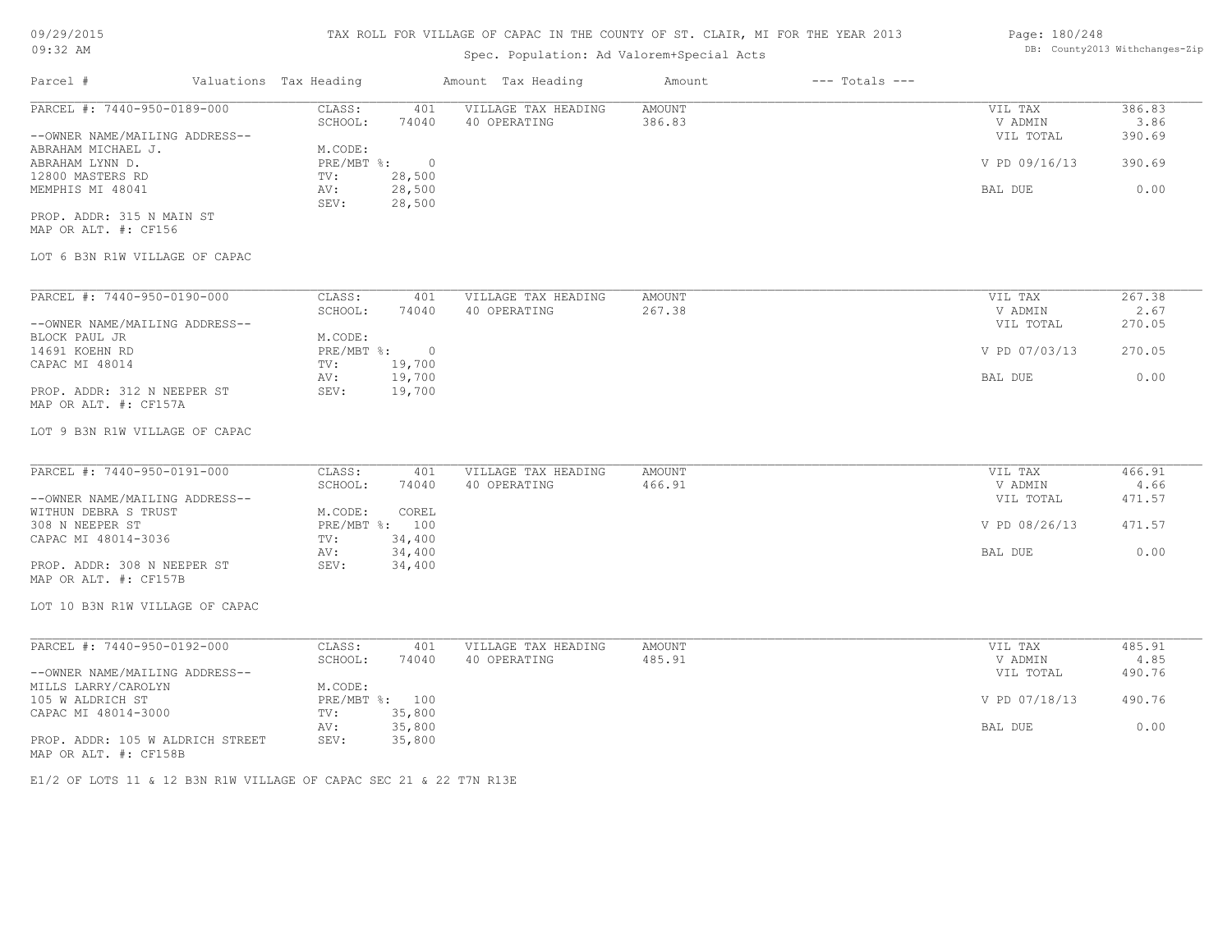| Parcel #<br>Valuations Tax Heading<br>$---$ Totals $---$<br>Amount Tax Heading<br>Amount<br>PARCEL #: 7440-950-0189-000<br>CLASS:<br><b>AMOUNT</b><br>386.83<br>401<br>VILLAGE TAX HEADING<br>VIL TAX<br>SCHOOL:<br>74040<br>40 OPERATING<br>386.83<br>V ADMIN<br>3.86<br>--OWNER NAME/MAILING ADDRESS--<br>VIL TOTAL<br>390.69<br>M.CODE:<br>ABRAHAM MICHAEL J.<br>$\circ$<br>PRE/MBT %:<br>V PD 09/16/13<br>390.69<br>ABRAHAM LYNN D.<br>28,500<br>12800 MASTERS RD<br>TV:<br>28,500<br>0.00<br>MEMPHIS MI 48041<br>AV:<br>BAL DUE<br>28,500<br>SEV:<br>PROP. ADDR: 315 N MAIN ST<br>MAP OR ALT. #: CF156<br>LOT 6 B3N R1W VILLAGE OF CAPAC<br>PARCEL #: 7440-950-0190-000<br>267.38<br>CLASS:<br>401<br>VILLAGE TAX HEADING<br>AMOUNT<br>VIL TAX<br>SCHOOL:<br>74040<br>40 OPERATING<br>267.38<br>V ADMIN<br>2.67<br>--OWNER NAME/MAILING ADDRESS--<br>VIL TOTAL<br>270.05<br>BLOCK PAUL JR<br>M.CODE:<br>$\overline{0}$<br>14691 KOEHN RD<br>PRE/MBT %:<br>V PD 07/03/13<br>270.05<br>19,700<br>CAPAC MI 48014<br>TV:<br>19,700<br>0.00<br>AV:<br>BAL DUE<br>19,700<br>PROP. ADDR: 312 N NEEPER ST<br>SEV:<br>MAP OR ALT. #: CF157A<br>LOT 9 B3N R1W VILLAGE OF CAPAC<br>PARCEL #: 7440-950-0191-000<br>CLASS:<br>VILLAGE TAX HEADING<br><b>AMOUNT</b><br>466.91<br>401<br>VIL TAX<br>SCHOOL:<br>74040<br>40 OPERATING<br>466.91<br>4.66<br>V ADMIN<br>--OWNER NAME/MAILING ADDRESS--<br>VIL TOTAL<br>471.57<br>WITHUN DEBRA S TRUST<br>M.CODE:<br>COREL<br>308 N NEEPER ST<br>PRE/MBT %: 100<br>V PD 08/26/13<br>471.57<br>34,400<br>CAPAC MI 48014-3036<br>TV:<br>34,400<br>0.00<br>AV:<br>BAL DUE<br>PROP. ADDR: 308 N NEEPER ST<br>SEV:<br>34,400<br>MAP OR ALT. #: CF157B<br>LOT 10 B3N R1W VILLAGE OF CAPAC<br>PARCEL #: 7440-950-0192-000<br>CLASS:<br>VILLAGE TAX HEADING<br><b>AMOUNT</b><br>485.91<br>401<br>VIL TAX<br>40 OPERATING<br>485.91<br>SCHOOL:<br>74040<br>V ADMIN<br>4.85<br>--OWNER NAME/MAILING ADDRESS--<br>490.76<br>VIL TOTAL<br>MILLS LARRY/CAROLYN<br>M.CODE:<br>PRE/MBT %: 100<br>V PD 07/18/13<br>490.76<br>105 W ALDRICH ST<br>35,800<br>CAPAC MI 48014-3000<br>TV:<br>35,800<br>0.00<br>AV:<br>BAL DUE<br>PROP. ADDR: 105 W ALDRICH STREET<br>SEV:<br>35,800<br>MAP OR ALT. #: CF158B | 09:32 AM | Spec. Population: Ad Valorem+Special Acts |  | DB: County2013 Withchanges-Zip |
|----------------------------------------------------------------------------------------------------------------------------------------------------------------------------------------------------------------------------------------------------------------------------------------------------------------------------------------------------------------------------------------------------------------------------------------------------------------------------------------------------------------------------------------------------------------------------------------------------------------------------------------------------------------------------------------------------------------------------------------------------------------------------------------------------------------------------------------------------------------------------------------------------------------------------------------------------------------------------------------------------------------------------------------------------------------------------------------------------------------------------------------------------------------------------------------------------------------------------------------------------------------------------------------------------------------------------------------------------------------------------------------------------------------------------------------------------------------------------------------------------------------------------------------------------------------------------------------------------------------------------------------------------------------------------------------------------------------------------------------------------------------------------------------------------------------------------------------------------------------------------------------------------------------------------------------------------------------------------------------------------------------------------------------------------------------------------------------------------------------------------------------------------------------------------------------------------------------------------|----------|-------------------------------------------|--|--------------------------------|
|                                                                                                                                                                                                                                                                                                                                                                                                                                                                                                                                                                                                                                                                                                                                                                                                                                                                                                                                                                                                                                                                                                                                                                                                                                                                                                                                                                                                                                                                                                                                                                                                                                                                                                                                                                                                                                                                                                                                                                                                                                                                                                                                                                                                                            |          |                                           |  |                                |
|                                                                                                                                                                                                                                                                                                                                                                                                                                                                                                                                                                                                                                                                                                                                                                                                                                                                                                                                                                                                                                                                                                                                                                                                                                                                                                                                                                                                                                                                                                                                                                                                                                                                                                                                                                                                                                                                                                                                                                                                                                                                                                                                                                                                                            |          |                                           |  |                                |
|                                                                                                                                                                                                                                                                                                                                                                                                                                                                                                                                                                                                                                                                                                                                                                                                                                                                                                                                                                                                                                                                                                                                                                                                                                                                                                                                                                                                                                                                                                                                                                                                                                                                                                                                                                                                                                                                                                                                                                                                                                                                                                                                                                                                                            |          |                                           |  |                                |
|                                                                                                                                                                                                                                                                                                                                                                                                                                                                                                                                                                                                                                                                                                                                                                                                                                                                                                                                                                                                                                                                                                                                                                                                                                                                                                                                                                                                                                                                                                                                                                                                                                                                                                                                                                                                                                                                                                                                                                                                                                                                                                                                                                                                                            |          |                                           |  |                                |
|                                                                                                                                                                                                                                                                                                                                                                                                                                                                                                                                                                                                                                                                                                                                                                                                                                                                                                                                                                                                                                                                                                                                                                                                                                                                                                                                                                                                                                                                                                                                                                                                                                                                                                                                                                                                                                                                                                                                                                                                                                                                                                                                                                                                                            |          |                                           |  |                                |
|                                                                                                                                                                                                                                                                                                                                                                                                                                                                                                                                                                                                                                                                                                                                                                                                                                                                                                                                                                                                                                                                                                                                                                                                                                                                                                                                                                                                                                                                                                                                                                                                                                                                                                                                                                                                                                                                                                                                                                                                                                                                                                                                                                                                                            |          |                                           |  |                                |
|                                                                                                                                                                                                                                                                                                                                                                                                                                                                                                                                                                                                                                                                                                                                                                                                                                                                                                                                                                                                                                                                                                                                                                                                                                                                                                                                                                                                                                                                                                                                                                                                                                                                                                                                                                                                                                                                                                                                                                                                                                                                                                                                                                                                                            |          |                                           |  |                                |
|                                                                                                                                                                                                                                                                                                                                                                                                                                                                                                                                                                                                                                                                                                                                                                                                                                                                                                                                                                                                                                                                                                                                                                                                                                                                                                                                                                                                                                                                                                                                                                                                                                                                                                                                                                                                                                                                                                                                                                                                                                                                                                                                                                                                                            |          |                                           |  |                                |
|                                                                                                                                                                                                                                                                                                                                                                                                                                                                                                                                                                                                                                                                                                                                                                                                                                                                                                                                                                                                                                                                                                                                                                                                                                                                                                                                                                                                                                                                                                                                                                                                                                                                                                                                                                                                                                                                                                                                                                                                                                                                                                                                                                                                                            |          |                                           |  |                                |
|                                                                                                                                                                                                                                                                                                                                                                                                                                                                                                                                                                                                                                                                                                                                                                                                                                                                                                                                                                                                                                                                                                                                                                                                                                                                                                                                                                                                                                                                                                                                                                                                                                                                                                                                                                                                                                                                                                                                                                                                                                                                                                                                                                                                                            |          |                                           |  |                                |
|                                                                                                                                                                                                                                                                                                                                                                                                                                                                                                                                                                                                                                                                                                                                                                                                                                                                                                                                                                                                                                                                                                                                                                                                                                                                                                                                                                                                                                                                                                                                                                                                                                                                                                                                                                                                                                                                                                                                                                                                                                                                                                                                                                                                                            |          |                                           |  |                                |
|                                                                                                                                                                                                                                                                                                                                                                                                                                                                                                                                                                                                                                                                                                                                                                                                                                                                                                                                                                                                                                                                                                                                                                                                                                                                                                                                                                                                                                                                                                                                                                                                                                                                                                                                                                                                                                                                                                                                                                                                                                                                                                                                                                                                                            |          |                                           |  |                                |
|                                                                                                                                                                                                                                                                                                                                                                                                                                                                                                                                                                                                                                                                                                                                                                                                                                                                                                                                                                                                                                                                                                                                                                                                                                                                                                                                                                                                                                                                                                                                                                                                                                                                                                                                                                                                                                                                                                                                                                                                                                                                                                                                                                                                                            |          |                                           |  |                                |
|                                                                                                                                                                                                                                                                                                                                                                                                                                                                                                                                                                                                                                                                                                                                                                                                                                                                                                                                                                                                                                                                                                                                                                                                                                                                                                                                                                                                                                                                                                                                                                                                                                                                                                                                                                                                                                                                                                                                                                                                                                                                                                                                                                                                                            |          |                                           |  |                                |
|                                                                                                                                                                                                                                                                                                                                                                                                                                                                                                                                                                                                                                                                                                                                                                                                                                                                                                                                                                                                                                                                                                                                                                                                                                                                                                                                                                                                                                                                                                                                                                                                                                                                                                                                                                                                                                                                                                                                                                                                                                                                                                                                                                                                                            |          |                                           |  |                                |
|                                                                                                                                                                                                                                                                                                                                                                                                                                                                                                                                                                                                                                                                                                                                                                                                                                                                                                                                                                                                                                                                                                                                                                                                                                                                                                                                                                                                                                                                                                                                                                                                                                                                                                                                                                                                                                                                                                                                                                                                                                                                                                                                                                                                                            |          |                                           |  |                                |
|                                                                                                                                                                                                                                                                                                                                                                                                                                                                                                                                                                                                                                                                                                                                                                                                                                                                                                                                                                                                                                                                                                                                                                                                                                                                                                                                                                                                                                                                                                                                                                                                                                                                                                                                                                                                                                                                                                                                                                                                                                                                                                                                                                                                                            |          |                                           |  |                                |
|                                                                                                                                                                                                                                                                                                                                                                                                                                                                                                                                                                                                                                                                                                                                                                                                                                                                                                                                                                                                                                                                                                                                                                                                                                                                                                                                                                                                                                                                                                                                                                                                                                                                                                                                                                                                                                                                                                                                                                                                                                                                                                                                                                                                                            |          |                                           |  |                                |
|                                                                                                                                                                                                                                                                                                                                                                                                                                                                                                                                                                                                                                                                                                                                                                                                                                                                                                                                                                                                                                                                                                                                                                                                                                                                                                                                                                                                                                                                                                                                                                                                                                                                                                                                                                                                                                                                                                                                                                                                                                                                                                                                                                                                                            |          |                                           |  |                                |
|                                                                                                                                                                                                                                                                                                                                                                                                                                                                                                                                                                                                                                                                                                                                                                                                                                                                                                                                                                                                                                                                                                                                                                                                                                                                                                                                                                                                                                                                                                                                                                                                                                                                                                                                                                                                                                                                                                                                                                                                                                                                                                                                                                                                                            |          |                                           |  |                                |
|                                                                                                                                                                                                                                                                                                                                                                                                                                                                                                                                                                                                                                                                                                                                                                                                                                                                                                                                                                                                                                                                                                                                                                                                                                                                                                                                                                                                                                                                                                                                                                                                                                                                                                                                                                                                                                                                                                                                                                                                                                                                                                                                                                                                                            |          |                                           |  |                                |
|                                                                                                                                                                                                                                                                                                                                                                                                                                                                                                                                                                                                                                                                                                                                                                                                                                                                                                                                                                                                                                                                                                                                                                                                                                                                                                                                                                                                                                                                                                                                                                                                                                                                                                                                                                                                                                                                                                                                                                                                                                                                                                                                                                                                                            |          |                                           |  |                                |
|                                                                                                                                                                                                                                                                                                                                                                                                                                                                                                                                                                                                                                                                                                                                                                                                                                                                                                                                                                                                                                                                                                                                                                                                                                                                                                                                                                                                                                                                                                                                                                                                                                                                                                                                                                                                                                                                                                                                                                                                                                                                                                                                                                                                                            |          |                                           |  |                                |
|                                                                                                                                                                                                                                                                                                                                                                                                                                                                                                                                                                                                                                                                                                                                                                                                                                                                                                                                                                                                                                                                                                                                                                                                                                                                                                                                                                                                                                                                                                                                                                                                                                                                                                                                                                                                                                                                                                                                                                                                                                                                                                                                                                                                                            |          |                                           |  |                                |
|                                                                                                                                                                                                                                                                                                                                                                                                                                                                                                                                                                                                                                                                                                                                                                                                                                                                                                                                                                                                                                                                                                                                                                                                                                                                                                                                                                                                                                                                                                                                                                                                                                                                                                                                                                                                                                                                                                                                                                                                                                                                                                                                                                                                                            |          |                                           |  |                                |
|                                                                                                                                                                                                                                                                                                                                                                                                                                                                                                                                                                                                                                                                                                                                                                                                                                                                                                                                                                                                                                                                                                                                                                                                                                                                                                                                                                                                                                                                                                                                                                                                                                                                                                                                                                                                                                                                                                                                                                                                                                                                                                                                                                                                                            |          |                                           |  |                                |
|                                                                                                                                                                                                                                                                                                                                                                                                                                                                                                                                                                                                                                                                                                                                                                                                                                                                                                                                                                                                                                                                                                                                                                                                                                                                                                                                                                                                                                                                                                                                                                                                                                                                                                                                                                                                                                                                                                                                                                                                                                                                                                                                                                                                                            |          |                                           |  |                                |
|                                                                                                                                                                                                                                                                                                                                                                                                                                                                                                                                                                                                                                                                                                                                                                                                                                                                                                                                                                                                                                                                                                                                                                                                                                                                                                                                                                                                                                                                                                                                                                                                                                                                                                                                                                                                                                                                                                                                                                                                                                                                                                                                                                                                                            |          |                                           |  |                                |
|                                                                                                                                                                                                                                                                                                                                                                                                                                                                                                                                                                                                                                                                                                                                                                                                                                                                                                                                                                                                                                                                                                                                                                                                                                                                                                                                                                                                                                                                                                                                                                                                                                                                                                                                                                                                                                                                                                                                                                                                                                                                                                                                                                                                                            |          |                                           |  |                                |
|                                                                                                                                                                                                                                                                                                                                                                                                                                                                                                                                                                                                                                                                                                                                                                                                                                                                                                                                                                                                                                                                                                                                                                                                                                                                                                                                                                                                                                                                                                                                                                                                                                                                                                                                                                                                                                                                                                                                                                                                                                                                                                                                                                                                                            |          |                                           |  |                                |
|                                                                                                                                                                                                                                                                                                                                                                                                                                                                                                                                                                                                                                                                                                                                                                                                                                                                                                                                                                                                                                                                                                                                                                                                                                                                                                                                                                                                                                                                                                                                                                                                                                                                                                                                                                                                                                                                                                                                                                                                                                                                                                                                                                                                                            |          |                                           |  |                                |
|                                                                                                                                                                                                                                                                                                                                                                                                                                                                                                                                                                                                                                                                                                                                                                                                                                                                                                                                                                                                                                                                                                                                                                                                                                                                                                                                                                                                                                                                                                                                                                                                                                                                                                                                                                                                                                                                                                                                                                                                                                                                                                                                                                                                                            |          |                                           |  |                                |
|                                                                                                                                                                                                                                                                                                                                                                                                                                                                                                                                                                                                                                                                                                                                                                                                                                                                                                                                                                                                                                                                                                                                                                                                                                                                                                                                                                                                                                                                                                                                                                                                                                                                                                                                                                                                                                                                                                                                                                                                                                                                                                                                                                                                                            |          |                                           |  |                                |
|                                                                                                                                                                                                                                                                                                                                                                                                                                                                                                                                                                                                                                                                                                                                                                                                                                                                                                                                                                                                                                                                                                                                                                                                                                                                                                                                                                                                                                                                                                                                                                                                                                                                                                                                                                                                                                                                                                                                                                                                                                                                                                                                                                                                                            |          |                                           |  |                                |
|                                                                                                                                                                                                                                                                                                                                                                                                                                                                                                                                                                                                                                                                                                                                                                                                                                                                                                                                                                                                                                                                                                                                                                                                                                                                                                                                                                                                                                                                                                                                                                                                                                                                                                                                                                                                                                                                                                                                                                                                                                                                                                                                                                                                                            |          |                                           |  |                                |
|                                                                                                                                                                                                                                                                                                                                                                                                                                                                                                                                                                                                                                                                                                                                                                                                                                                                                                                                                                                                                                                                                                                                                                                                                                                                                                                                                                                                                                                                                                                                                                                                                                                                                                                                                                                                                                                                                                                                                                                                                                                                                                                                                                                                                            |          |                                           |  |                                |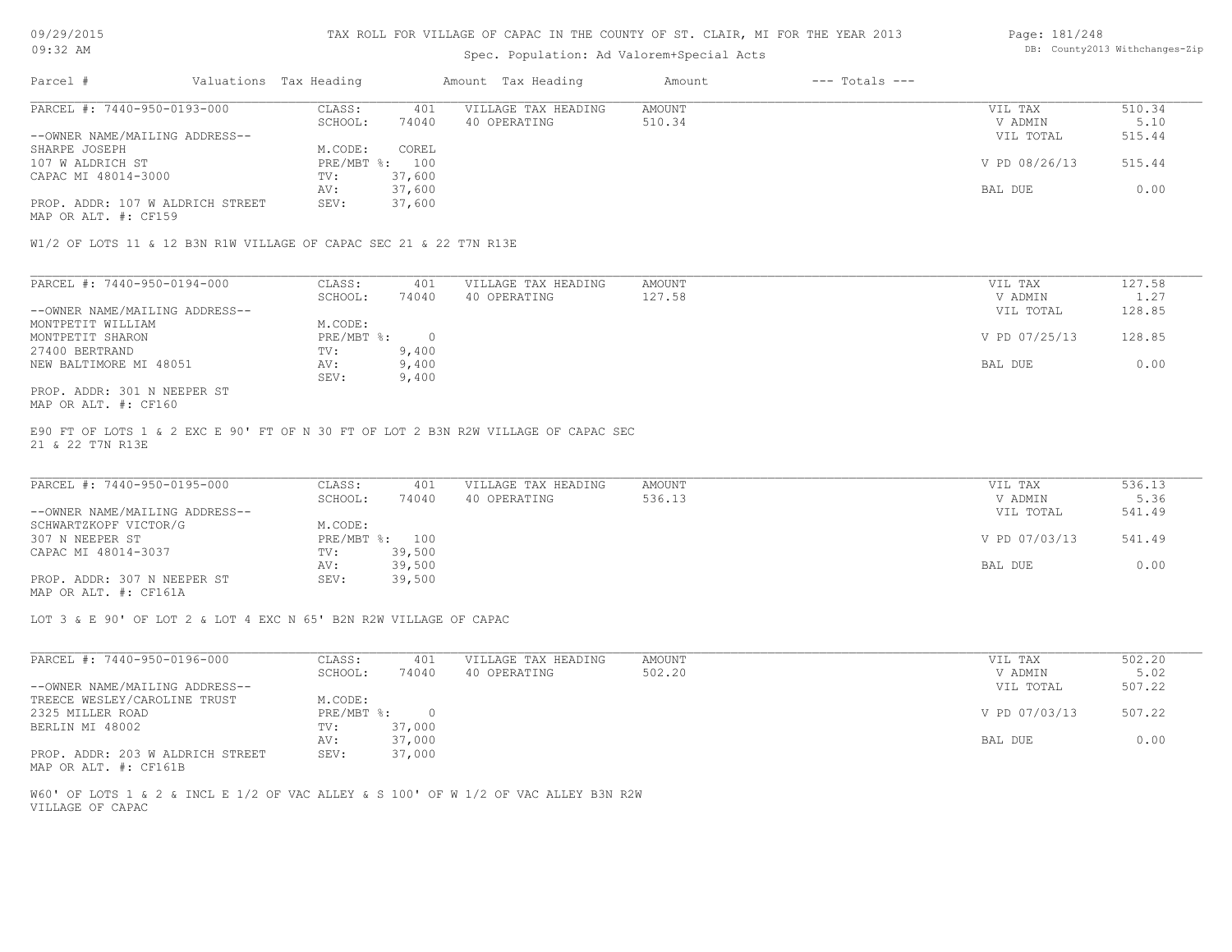# Spec. Population: Ad Valorem+Special Acts

#### Page: 181/248 DB: County2013 Withchanges-Zip

| Parcel #                         | Valuations Tax Heading |        | Amount Tax Heading  | Amount | $---$ Totals $---$ |               |        |
|----------------------------------|------------------------|--------|---------------------|--------|--------------------|---------------|--------|
| PARCEL #: 7440-950-0193-000      | CLASS:                 | 401    | VILLAGE TAX HEADING | AMOUNT |                    | VIL TAX       | 510.34 |
|                                  | SCHOOL:                | 74040  | 40 OPERATING        | 510.34 |                    | V ADMIN       | 5.10   |
| --OWNER NAME/MAILING ADDRESS--   |                        |        |                     |        |                    | VIL TOTAL     | 515.44 |
| SHARPE JOSEPH                    | M.CODE:                | COREL  |                     |        |                    |               |        |
| 107 W ALDRICH ST                 | PRE/MBT %: 100         |        |                     |        |                    | V PD 08/26/13 | 515.44 |
| CAPAC MI 48014-3000              | TV:                    | 37,600 |                     |        |                    |               |        |
|                                  | AV:                    | 37,600 |                     |        |                    | BAL DUE       | 0.00   |
| PROP. ADDR: 107 W ALDRICH STREET | SEV:                   | 37,600 |                     |        |                    |               |        |
|                                  |                        |        |                     |        |                    |               |        |

MAP OR ALT. #: CF159

W1/2 OF LOTS 11 & 12 B3N R1W VILLAGE OF CAPAC SEC 21 & 22 T7N R13E

| PARCEL #: 7440-950-0194-000    | CLASS:     | 401   | VILLAGE TAX HEADING | AMOUNT | VIL TAX       | 127.58 |
|--------------------------------|------------|-------|---------------------|--------|---------------|--------|
|                                | SCHOOL:    | 74040 | 40 OPERATING        | 127.58 | V ADMIN       | 1.27   |
| --OWNER NAME/MAILING ADDRESS-- |            |       |                     |        | VIL TOTAL     | 128.85 |
| MONTPETIT WILLIAM              | M.CODE:    |       |                     |        |               |        |
| MONTPETIT SHARON               | PRE/MBT %: |       |                     |        | V PD 07/25/13 | 128.85 |
| 27400 BERTRAND                 | TV:        | 9,400 |                     |        |               |        |
| NEW BALTIMORE MI 48051         | AV:        | 9,400 |                     |        | BAL DUE       | 0.00   |
|                                | SEV:       | 9,400 |                     |        |               |        |
| PROP. ADDR: 301 N NEEPER ST    |            |       |                     |        |               |        |

MAP OR ALT. #: CF160

21 & 22 T7N R13E E90 FT OF LOTS 1 & 2 EXC E 90' FT OF N 30 FT OF LOT 2 B3N R2W VILLAGE OF CAPAC SEC

| PARCEL #: 7440-950-0195-000    | CLASS:  | 401            | VILLAGE TAX HEADING | AMOUNT | VIL TAX       | 536.13 |
|--------------------------------|---------|----------------|---------------------|--------|---------------|--------|
|                                | SCHOOL: | 74040          | 40 OPERATING        | 536.13 | V ADMIN       | 5.36   |
| --OWNER NAME/MAILING ADDRESS-- |         |                |                     |        | VIL TOTAL     | 541.49 |
| SCHWARTZKOPF VICTOR/G          | M.CODE: |                |                     |        |               |        |
| 307 N NEEPER ST                |         | PRE/MBT %: 100 |                     |        | V PD 07/03/13 | 541.49 |
| CAPAC MI 48014-3037            | TV:     | 39,500         |                     |        |               |        |
|                                | AV:     | 39,500         |                     |        | BAL DUE       | 0.00   |
| PROP. ADDR: 307 N NEEPER ST    | SEV:    | 39,500         |                     |        |               |        |
|                                |         |                |                     |        |               |        |

MAP OR ALT. #: CF161A

LOT 3 & E 90' OF LOT 2 & LOT 4 EXC N 65' B2N R2W VILLAGE OF CAPAC

| PARCEL #: 7440-950-0196-000                                                                                                                         | CLASS:     | 401    | VILLAGE TAX HEADING | AMOUNT | VIL TAX       | 502.20 |
|-----------------------------------------------------------------------------------------------------------------------------------------------------|------------|--------|---------------------|--------|---------------|--------|
|                                                                                                                                                     | SCHOOL:    | 74040  | 40 OPERATING        | 502.20 | V ADMIN       | 5.02   |
| --OWNER NAME/MAILING ADDRESS--                                                                                                                      |            |        |                     |        | VIL TOTAL     | 507.22 |
| TREECE WESLEY/CAROLINE TRUST                                                                                                                        | M.CODE:    |        |                     |        |               |        |
| 2325 MILLER ROAD                                                                                                                                    | PRE/MBT %: | $\cap$ |                     |        | V PD 07/03/13 | 507.22 |
| BERLIN MI 48002                                                                                                                                     | TV:        | 37,000 |                     |        |               |        |
|                                                                                                                                                     | AV:        | 37,000 |                     |        | BAL DUE       | 0.00   |
| PROP. ADDR: 203 W ALDRICH STREET<br>the contract of the contract of the contract of the contract of the contract of the contract of the contract of | SEV:       | 37,000 |                     |        |               |        |

MAP OR ALT. #: CF161B

VILLAGE OF CAPAC W60' OF LOTS 1 & 2 & INCL E 1/2 OF VAC ALLEY & S 100' OF W 1/2 OF VAC ALLEY B3N R2W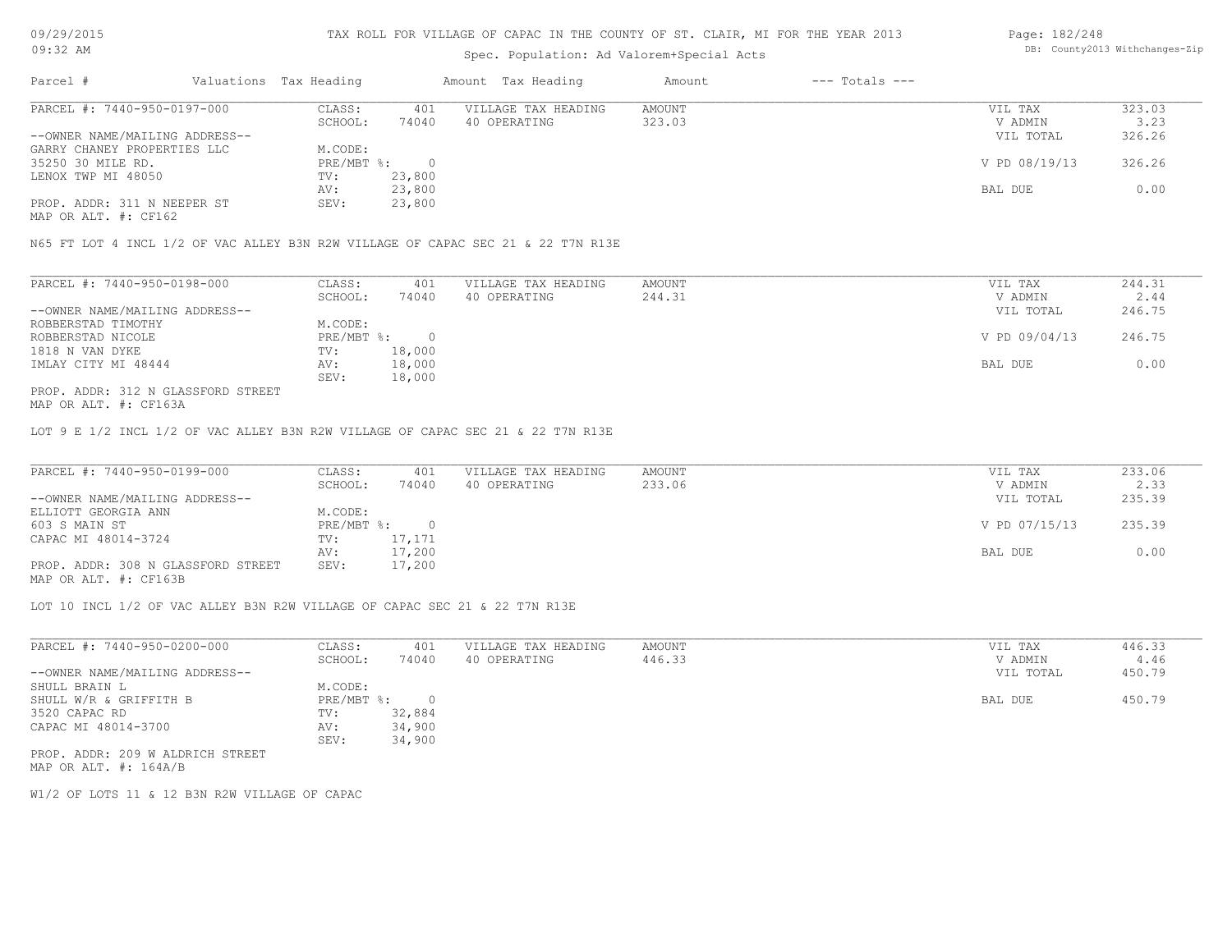# Spec. Population: Ad Valorem+Special Acts

#### Page: 182/248 DB: County2013 Withchanges-Zip

| Parcel #                       |         | Valuations Tax Heading |              | Amount Tax Heading  | Amount | $---$ Totals $---$ |               |        |
|--------------------------------|---------|------------------------|--------------|---------------------|--------|--------------------|---------------|--------|
| PARCEL #: 7440-950-0197-000    |         | CLASS:                 | 401          | VILLAGE TAX HEADING | AMOUNT |                    | VIL TAX       | 323.03 |
|                                | SCHOOL: | 74040                  | 40 OPERATING | 323.03              |        | V ADMIN            | 3.23          |        |
| --OWNER NAME/MAILING ADDRESS-- |         |                        |              |                     |        |                    | VIL TOTAL     | 326.26 |
| GARRY CHANEY PROPERTIES LLC    |         | M.CODE:                |              |                     |        |                    |               |        |
| 35250 30 MILE RD.              |         | PRE/MBT %:             |              |                     |        |                    | V PD 08/19/13 | 326.26 |
| LENOX TWP MI 48050             |         | TV:                    | 23,800       |                     |        |                    |               |        |
|                                |         | AV:                    | 23,800       |                     |        |                    | BAL DUE       | 0.00   |
| PROP. ADDR: 311 N NEEPER ST    |         | SEV:                   | 23,800       |                     |        |                    |               |        |
|                                |         |                        |              |                     |        |                    |               |        |

MAP OR ALT. #: CF162

N65 FT LOT 4 INCL 1/2 OF VAC ALLEY B3N R2W VILLAGE OF CAPAC SEC 21 & 22 T7N R13E

| PARCEL #: 7440-950-0198-000        | CLASS:     | 401    | VILLAGE TAX HEADING | AMOUNT | VIL TAX       | 244.31 |
|------------------------------------|------------|--------|---------------------|--------|---------------|--------|
|                                    | SCHOOL:    | 74040  | 40 OPERATING        | 244.31 | V ADMIN       | 2.44   |
| --OWNER NAME/MAILING ADDRESS--     |            |        |                     |        | VIL TOTAL     | 246.75 |
| ROBBERSTAD TIMOTHY                 | M.CODE:    |        |                     |        |               |        |
| ROBBERSTAD NICOLE                  | PRE/MBT %: |        |                     |        | V PD 09/04/13 | 246.75 |
| 1818 N VAN DYKE                    | TV:        | 18,000 |                     |        |               |        |
| IMLAY CITY MI 48444                | AV:        | 18,000 |                     |        | BAL DUE       | 0.00   |
|                                    | SEV:       | 18,000 |                     |        |               |        |
| PROP. ADDR: 312 N GLASSFORD STREET |            |        |                     |        |               |        |

MAP OR ALT. #: CF163A

LOT 9 E 1/2 INCL 1/2 OF VAC ALLEY B3N R2W VILLAGE OF CAPAC SEC 21 & 22 T7N R13E

| PARCEL #: 7440-950-0199-000        | CLASS:       | 401    | VILLAGE TAX HEADING | AMOUNT | VIL TAX       | 233.06 |
|------------------------------------|--------------|--------|---------------------|--------|---------------|--------|
|                                    | SCHOOL:      | 74040  | 40 OPERATING        | 233.06 | V ADMIN       | 2.33   |
| --OWNER NAME/MAILING ADDRESS--     |              |        |                     |        | VIL TOTAL     | 235.39 |
| ELLIOTT GEORGIA ANN                | M.CODE:      |        |                     |        |               |        |
| 603 S MAIN ST                      | $PRE/MBT$ %: |        |                     |        | V PD 07/15/13 | 235.39 |
| CAPAC MI 48014-3724                | TV:          | 17,171 |                     |        |               |        |
|                                    | AV:          | 17,200 |                     |        | BAL DUE       | 0.00   |
| PROP. ADDR: 308 N GLASSFORD STREET | SEV:         | 17,200 |                     |        |               |        |
| MAP OR ALT. #: CF163B              |              |        |                     |        |               |        |

LOT 10 INCL 1/2 OF VAC ALLEY B3N R2W VILLAGE OF CAPAC SEC 21 & 22 T7N R13E

| PARCEL #: 7440-950-0200-000      | CLASS:     | 401    | VILLAGE TAX HEADING | AMOUNT | VIL TAX   | 446.33 |
|----------------------------------|------------|--------|---------------------|--------|-----------|--------|
|                                  | SCHOOL:    | 74040  | 40 OPERATING        | 446.33 | V ADMIN   | 4.46   |
| --OWNER NAME/MAILING ADDRESS--   |            |        |                     |        | VIL TOTAL | 450.79 |
| SHULL BRAIN L                    | M.CODE:    |        |                     |        |           |        |
| SHULL W/R & GRIFFITH B           | PRE/MBT %: |        |                     |        | BAL DUE   | 450.79 |
| 3520 CAPAC RD                    | TV:        | 32,884 |                     |        |           |        |
| CAPAC MI 48014-3700              | AV:        | 34,900 |                     |        |           |        |
|                                  | SEV:       | 34,900 |                     |        |           |        |
| PROP. ADDR: 209 W ALDRICH STREET |            |        |                     |        |           |        |

MAP OR ALT. #: 164A/B

W1/2 OF LOTS 11 & 12 B3N R2W VILLAGE OF CAPAC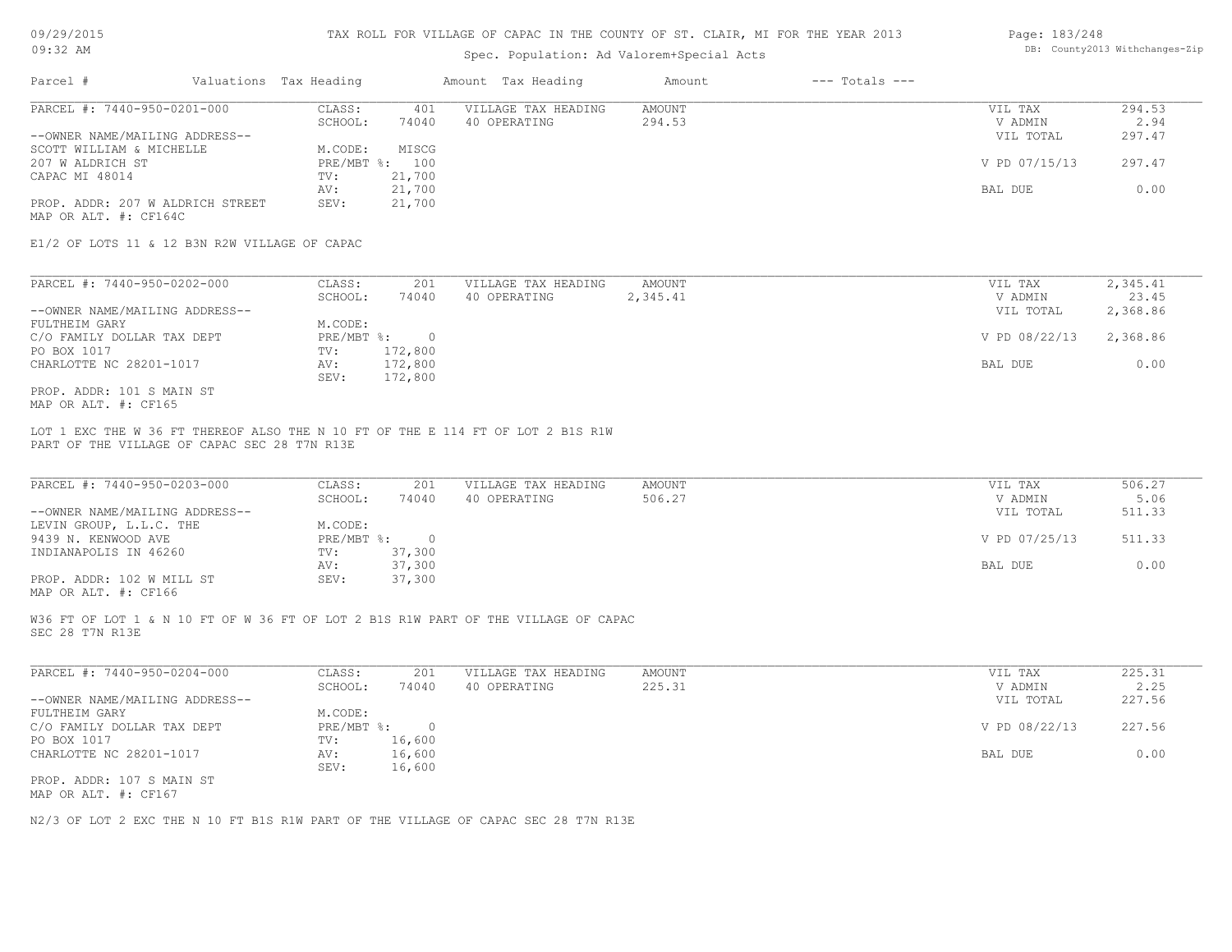# Spec. Population: Ad Valorem+Special Acts

| Page: 183/248 |                                |
|---------------|--------------------------------|
|               | DB: County2013 Withchanges-Zip |

| Parcel #                         | Valuations Tax Heading |        | Amount Tax Heading  | Amount | $---$ Totals $---$ |               |        |
|----------------------------------|------------------------|--------|---------------------|--------|--------------------|---------------|--------|
| PARCEL #: 7440-950-0201-000      | CLASS:                 | 401    | VILLAGE TAX HEADING | AMOUNT |                    | VIL TAX       | 294.53 |
|                                  | SCHOOL:                | 74040  | 40 OPERATING        | 294.53 |                    | V ADMIN       | 2.94   |
| --OWNER NAME/MAILING ADDRESS--   |                        |        |                     |        |                    | VIL TOTAL     | 297.47 |
| SCOTT WILLIAM & MICHELLE         | M.CODE:                | MISCG  |                     |        |                    |               |        |
| 207 W ALDRICH ST                 | PRE/MBT %:             | 100    |                     |        |                    | V PD 07/15/13 | 297.47 |
| CAPAC MI 48014                   | TV:                    | 21,700 |                     |        |                    |               |        |
|                                  | AV:                    | 21,700 |                     |        |                    | BAL DUE       | 0.00   |
| PROP. ADDR: 207 W ALDRICH STREET | SEV:                   | 21,700 |                     |        |                    |               |        |
| MAP OR ALT. #: CF164C            |                        |        |                     |        |                    |               |        |

E1/2 OF LOTS 11 & 12 B3N R2W VILLAGE OF CAPAC

| PARCEL #: 7440-950-0202-000    | CLASS:     | 201     | VILLAGE TAX HEADING | AMOUNT   | VIL TAX       | 2,345.41 |
|--------------------------------|------------|---------|---------------------|----------|---------------|----------|
|                                | SCHOOL:    | 74040   | 40 OPERATING        | 2,345.41 | V ADMIN       | 23.45    |
| --OWNER NAME/MAILING ADDRESS-- |            |         |                     |          | VIL TOTAL     | 2,368.86 |
| FULTHEIM GARY                  | M.CODE:    |         |                     |          |               |          |
| C/O FAMILY DOLLAR TAX DEPT     | PRE/MBT %: |         |                     |          | V PD 08/22/13 | 2,368.86 |
| PO BOX 1017                    | TV:        | 172,800 |                     |          |               |          |
| CHARLOTTE NC 28201-1017        | AV:        | 172,800 |                     |          | BAL DUE       | 0.00     |
|                                | SEV:       | 172,800 |                     |          |               |          |
| PROP. ADDR: 101 S MAIN ST      |            |         |                     |          |               |          |

MAP OR ALT. #: CF165

PART OF THE VILLAGE OF CAPAC SEC 28 T7N R13E LOT 1 EXC THE W 36 FT THEREOF ALSO THE N 10 FT OF THE E 114 FT OF LOT 2 B1S R1W

| PARCEL #: 7440-950-0203-000    | CLASS:       | 201    | VILLAGE TAX HEADING | AMOUNT | VIL TAX       | 506.27 |
|--------------------------------|--------------|--------|---------------------|--------|---------------|--------|
|                                | SCHOOL:      | 74040  | 40 OPERATING        | 506.27 | V ADMIN       | 5.06   |
| --OWNER NAME/MAILING ADDRESS-- |              |        |                     |        | VIL TOTAL     | 511.33 |
| LEVIN GROUP, L.L.C. THE        | M.CODE:      |        |                     |        |               |        |
| 9439 N. KENWOOD AVE            | $PRE/MBT$ %: |        |                     |        | V PD 07/25/13 | 511.33 |
| INDIANAPOLIS IN 46260          | TV:          | 37,300 |                     |        |               |        |
|                                | AV:          | 37,300 |                     |        | BAL DUE       | 0.00   |
| PROP. ADDR: 102 W MILL ST      | SEV:         | 37,300 |                     |        |               |        |
|                                |              |        |                     |        |               |        |

MAP OR ALT. #: CF166

SEC 28 T7N R13E W36 FT OF LOT 1 & N 10 FT OF W 36 FT OF LOT 2 B1S R1W PART OF THE VILLAGE OF CAPAC

| PARCEL #: 7440-950-0204-000    | CLASS:     | 201    | VILLAGE TAX HEADING | AMOUNT | VIL TAX       | 225.31 |
|--------------------------------|------------|--------|---------------------|--------|---------------|--------|
|                                | SCHOOL:    | 74040  | 40 OPERATING        | 225.31 | V ADMIN       | 2.25   |
| --OWNER NAME/MAILING ADDRESS-- |            |        |                     |        | VIL TOTAL     | 227.56 |
| FULTHEIM GARY                  | M.CODE:    |        |                     |        |               |        |
| C/O FAMILY DOLLAR TAX DEPT     | PRE/MBT %: |        |                     |        | V PD 08/22/13 | 227.56 |
| PO BOX 1017                    | TV:        | 16,600 |                     |        |               |        |
| CHARLOTTE NC 28201-1017        | AV:        | 16,600 |                     |        | BAL DUE       | 0.00   |
|                                | SEV:       | 16,600 |                     |        |               |        |
| PROP. ADDR: 107 S MAIN ST      |            |        |                     |        |               |        |
| MAP OR ALT. #: CF167           |            |        |                     |        |               |        |

N2/3 OF LOT 2 EXC THE N 10 FT B1S R1W PART OF THE VILLAGE OF CAPAC SEC 28 T7N R13E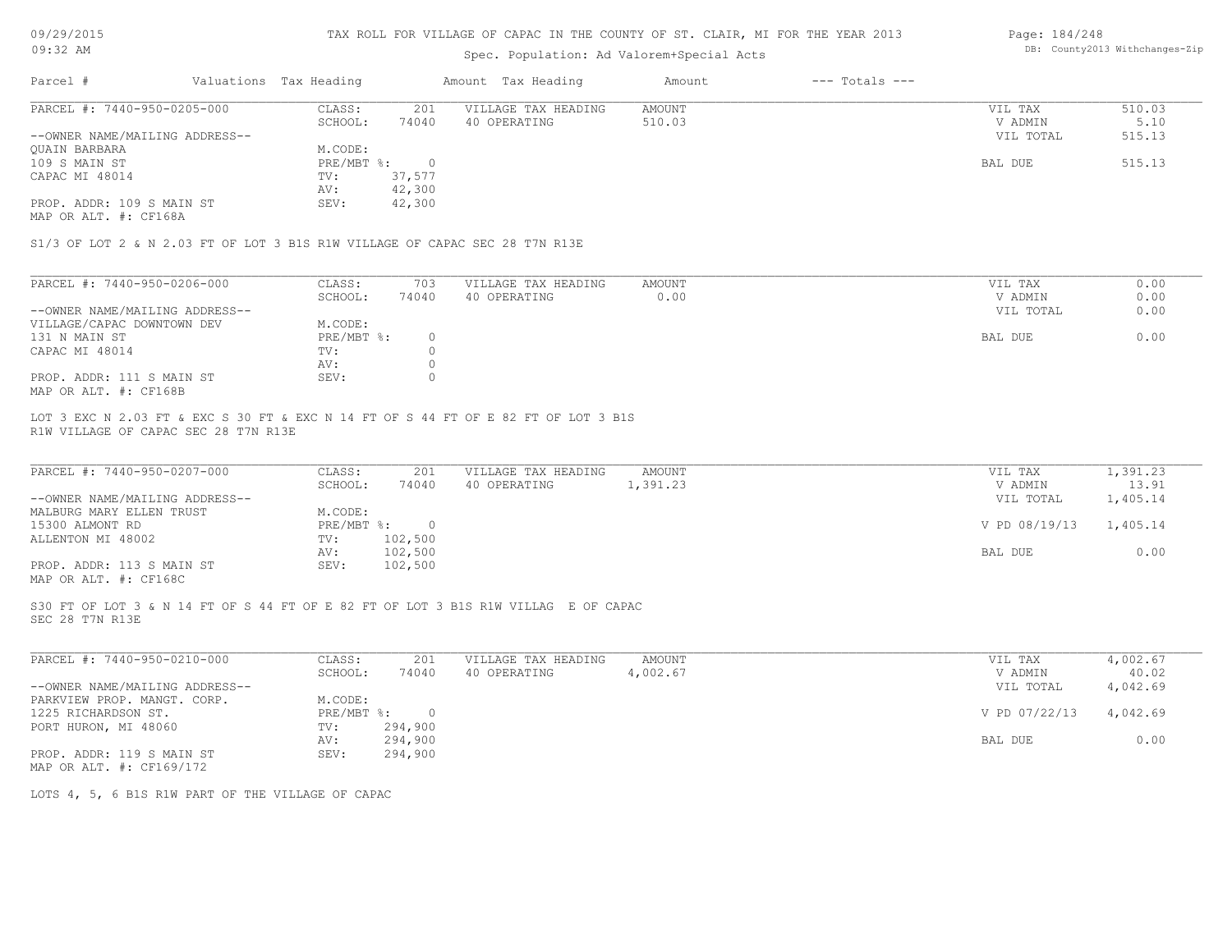09/29/2015 09:32 AM

#### TAX ROLL FOR VILLAGE OF CAPAC IN THE COUNTY OF ST. CLAIR, MI FOR THE YEAR 2013

# Spec. Population: Ad Valorem+Special Acts

#### Page: 184/248 DB: County2013 Withchanges-Zip

| Parcel #                       | Valuations Tax Heading |        | Amount Tax Heading  | Amount | $---$ Totals $---$ |           |        |
|--------------------------------|------------------------|--------|---------------------|--------|--------------------|-----------|--------|
| PARCEL #: 7440-950-0205-000    | CLASS:                 | 201    | VILLAGE TAX HEADING | AMOUNT |                    | VIL TAX   | 510.03 |
|                                | SCHOOL:                | 74040  | 40 OPERATING        | 510.03 |                    | V ADMIN   | 5.10   |
| --OWNER NAME/MAILING ADDRESS-- |                        |        |                     |        |                    | VIL TOTAL | 515.13 |
| <b>OUAIN BARBARA</b>           | M.CODE:                |        |                     |        |                    |           |        |
| 109 S MAIN ST                  | $PRE/MBT$ %:           |        |                     |        |                    | BAL DUE   | 515.13 |
| CAPAC MI 48014                 | TV:                    | 37,577 |                     |        |                    |           |        |
|                                | AV:                    | 42,300 |                     |        |                    |           |        |
| PROP. ADDR: 109 S MAIN ST      | SEV:                   | 42,300 |                     |        |                    |           |        |

MAP OR ALT. #: CF168A

S1/3 OF LOT 2 & N 2.03 FT OF LOT 3 B1S R1W VILLAGE OF CAPAC SEC 28 T7N R13E

| PARCEL #: 7440-950-0206-000    | CLASS:       | 703   | VILLAGE TAX HEADING | AMOUNT | VIL TAX   | 0.00 |
|--------------------------------|--------------|-------|---------------------|--------|-----------|------|
|                                | SCHOOL:      | 74040 | 40 OPERATING        | 0.00   | V ADMIN   | 0.00 |
| --OWNER NAME/MAILING ADDRESS-- |              |       |                     |        | VIL TOTAL | 0.00 |
| VILLAGE/CAPAC DOWNTOWN DEV     | M.CODE:      |       |                     |        |           |      |
| 131 N MAIN ST                  | $PRE/MBT$ %: |       |                     |        | BAL DUE   | 0.00 |
| CAPAC MI 48014                 | TV:          |       |                     |        |           |      |
|                                | AV:          |       |                     |        |           |      |
| PROP. ADDR: 111 S MAIN ST      | SEV:         |       |                     |        |           |      |
| MAP OR ALT. #: CF168B          |              |       |                     |        |           |      |

R1W VILLAGE OF CAPAC SEC 28 T7N R13E LOT 3 EXC N 2.03 FT & EXC S 30 FT & EXC N 14 FT OF S 44 FT OF E 82 FT OF LOT 3 B1S

| PARCEL #: 7440-950-0207-000                           | CLASS:     | 201     | VILLAGE TAX HEADING | AMOUNT   | VIL TAX       | 1,391.23 |
|-------------------------------------------------------|------------|---------|---------------------|----------|---------------|----------|
|                                                       | SCHOOL:    | 74040   | 40 OPERATING        | 1,391.23 | V ADMIN       | 13.91    |
| --OWNER NAME/MAILING ADDRESS--                        |            |         |                     |          | VIL TOTAL     | 1,405.14 |
| MALBURG MARY ELLEN TRUST                              | M.CODE:    |         |                     |          |               |          |
| 15300 ALMONT RD                                       | PRE/MBT %: | $\cap$  |                     |          | V PD 08/19/13 | 1,405.14 |
| ALLENTON MI 48002                                     | TV:        | 102,500 |                     |          |               |          |
|                                                       | AV:        | 102,500 |                     |          | BAL DUE       | 0.00     |
| PROP. ADDR: 113 S MAIN ST                             | SEV:       | 102,500 |                     |          |               |          |
| $\cdots$ $\cdots$ $\cdots$ $\cdots$ $\cdots$ $\cdots$ |            |         |                     |          |               |          |

 $\mathcal{L}_\mathcal{L} = \mathcal{L}_\mathcal{L} = \mathcal{L}_\mathcal{L} = \mathcal{L}_\mathcal{L} = \mathcal{L}_\mathcal{L} = \mathcal{L}_\mathcal{L} = \mathcal{L}_\mathcal{L} = \mathcal{L}_\mathcal{L} = \mathcal{L}_\mathcal{L} = \mathcal{L}_\mathcal{L} = \mathcal{L}_\mathcal{L} = \mathcal{L}_\mathcal{L} = \mathcal{L}_\mathcal{L} = \mathcal{L}_\mathcal{L} = \mathcal{L}_\mathcal{L} = \mathcal{L}_\mathcal{L} = \mathcal{L}_\mathcal{L}$ 

MAP OR ALT. #: CF168C

SEC 28 T7N R13E S30 FT OF LOT 3 & N 14 FT OF S 44 FT OF E 82 FT OF LOT 3 B1S R1W VILLAG E OF CAPAC

| PARCEL #: 7440-950-0210-000    | CLASS:     | 201     | VILLAGE TAX HEADING | AMOUNT   | VIL TAX       | 4,002.67 |
|--------------------------------|------------|---------|---------------------|----------|---------------|----------|
|                                | SCHOOL:    | 74040   | 40 OPERATING        | 4,002.67 | V ADMIN       | 40.02    |
| --OWNER NAME/MAILING ADDRESS-- |            |         |                     |          | VIL TOTAL     | 4,042.69 |
| PARKVIEW PROP. MANGT. CORP.    | M.CODE:    |         |                     |          |               |          |
| 1225 RICHARDSON ST.            | PRE/MBT %: |         |                     |          | V PD 07/22/13 | 4,042.69 |
| PORT HURON, MI 48060           | TV:        | 294,900 |                     |          |               |          |
|                                | AV:        | 294,900 |                     |          | BAL DUE       | 0.00     |
| PROP. ADDR: 119 S MAIN ST      | SEV:       | 294,900 |                     |          |               |          |
| MAP OR ALT. #: CF169/172       |            |         |                     |          |               |          |

LOTS 4, 5, 6 B1S R1W PART OF THE VILLAGE OF CAPAC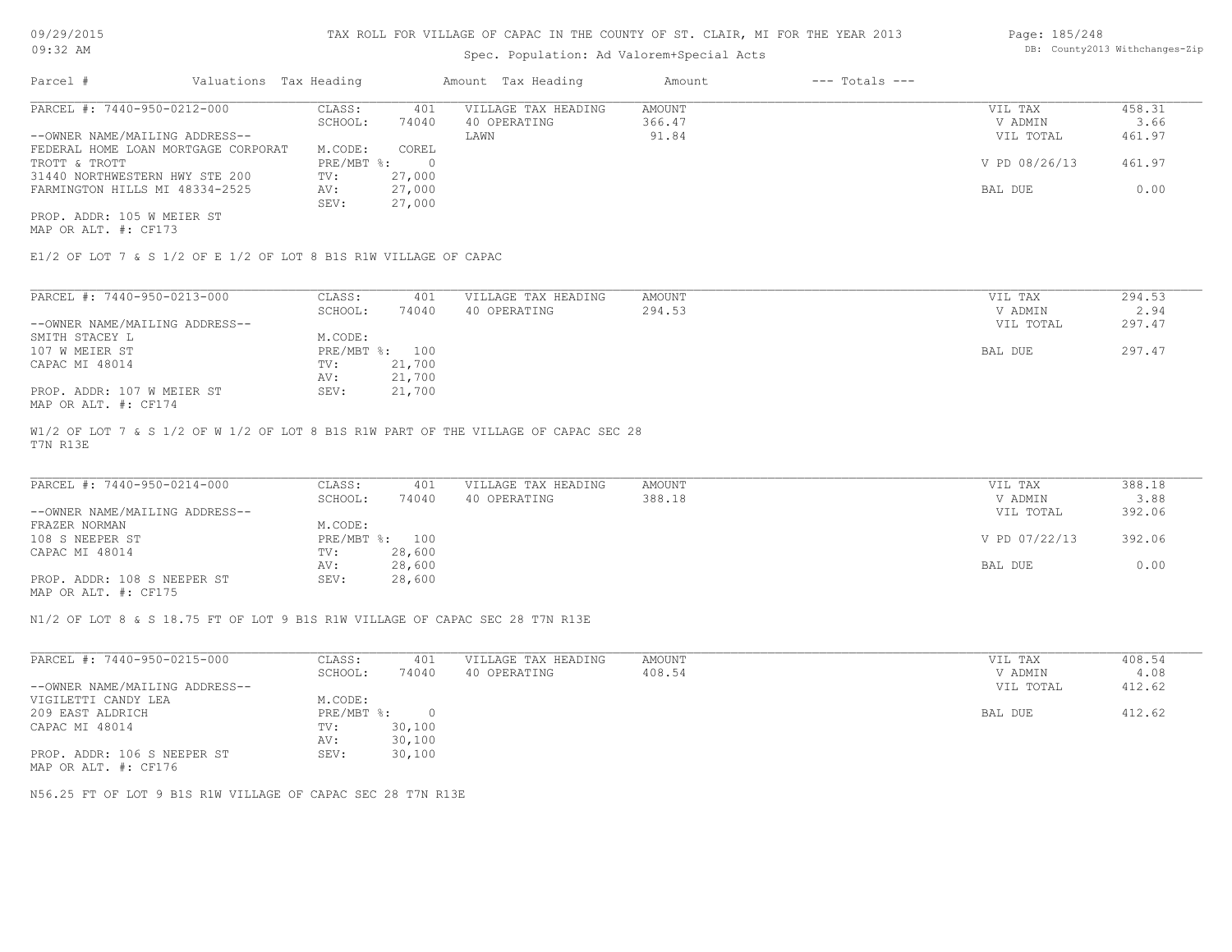# Spec. Population: Ad Valorem+Special Acts

Page: 185/248 DB: County2013 Withchanges-Zip

| Parcel #                            | Valuations Tax Heading |            |        | Amount Tax Heading  | Amount | $---$ Totals $---$ |               |        |
|-------------------------------------|------------------------|------------|--------|---------------------|--------|--------------------|---------------|--------|
| PARCEL #: 7440-950-0212-000         |                        | CLASS:     | 401    | VILLAGE TAX HEADING | AMOUNT |                    | VIL TAX       | 458.31 |
|                                     |                        | SCHOOL:    | 74040  | 40 OPERATING        | 366.47 |                    | V ADMIN       | 3.66   |
| --OWNER NAME/MAILING ADDRESS--      |                        |            |        | LAWN                | 91.84  |                    | VIL TOTAL     | 461.97 |
| FEDERAL HOME LOAN MORTGAGE CORPORAT |                        | M.CODE:    | COREL  |                     |        |                    |               |        |
| TROTT & TROTT                       |                        | PRE/MBT %: |        |                     |        |                    | V PD 08/26/13 | 461.97 |
| 31440 NORTHWESTERN HWY STE 200      |                        | TV:        | 27,000 |                     |        |                    |               |        |
| FARMINGTON HILLS MI 48334-2525      |                        | AV:        | 27,000 |                     |        |                    | BAL DUE       | 0.00   |
|                                     |                        | SEV:       | 27,000 |                     |        |                    |               |        |
| PROP. ADDR: 105 W MEIER ST          |                        |            |        |                     |        |                    |               |        |

MAP OR ALT. #: CF173

E1/2 OF LOT 7 & S 1/2 OF E 1/2 OF LOT 8 B1S R1W VILLAGE OF CAPAC

| PARCEL #: 7440-950-0213-000    | CLASS:     | 401    | VILLAGE TAX HEADING | AMOUNT | VIL TAX   | 294.53 |
|--------------------------------|------------|--------|---------------------|--------|-----------|--------|
|                                | SCHOOL:    | 74040  | 40 OPERATING        | 294.53 | V ADMIN   | 2.94   |
| --OWNER NAME/MAILING ADDRESS-- |            |        |                     |        | VIL TOTAL | 297.47 |
| SMITH STACEY L                 | M.CODE:    |        |                     |        |           |        |
| 107 W MEIER ST                 | PRE/MBT %: | 100    |                     |        | BAL DUE   | 297.47 |
| CAPAC MI 48014                 | TV:        | 21,700 |                     |        |           |        |
|                                | AV:        | 21,700 |                     |        |           |        |
| PROP. ADDR: 107 W MEIER ST     | SEV:       | 21,700 |                     |        |           |        |
| MAP OR ALT. #: CF174           |            |        |                     |        |           |        |

T7N R13E W1/2 OF LOT 7 & S 1/2 OF W 1/2 OF LOT 8 B1S R1W PART OF THE VILLAGE OF CAPAC SEC 28

| PARCEL #: 7440-950-0214-000    | CLASS:  | 401            | VILLAGE TAX HEADING | AMOUNT | VIL TAX       | 388.18 |
|--------------------------------|---------|----------------|---------------------|--------|---------------|--------|
|                                | SCHOOL: | 74040          | 40 OPERATING        | 388.18 | V ADMIN       | 3.88   |
| --OWNER NAME/MAILING ADDRESS-- |         |                |                     |        | VIL TOTAL     | 392.06 |
| FRAZER NORMAN                  | M.CODE: |                |                     |        |               |        |
| 108 S NEEPER ST                |         | PRE/MBT %: 100 |                     |        | V PD 07/22/13 | 392.06 |
| CAPAC MI 48014                 | TV:     | 28,600         |                     |        |               |        |
|                                | AV:     | 28,600         |                     |        | BAL DUE       | 0.00   |
| PROP. ADDR: 108 S NEEPER ST    | SEV:    | 28,600         |                     |        |               |        |
|                                |         |                |                     |        |               |        |

MAP OR ALT. #: CF175

N1/2 OF LOT 8 & S 18.75 FT OF LOT 9 B1S R1W VILLAGE OF CAPAC SEC 28 T7N R13E

| PARCEL #: 7440-950-0215-000    | CLASS:     | 401    | VILLAGE TAX HEADING | AMOUNT | VIL TAX   | 408.54 |
|--------------------------------|------------|--------|---------------------|--------|-----------|--------|
|                                | SCHOOL:    | 74040  | 40 OPERATING        | 408.54 | V ADMIN   | 4.08   |
| --OWNER NAME/MAILING ADDRESS-- |            |        |                     |        | VIL TOTAL | 412.62 |
| VIGILETTI CANDY LEA            | M.CODE:    |        |                     |        |           |        |
| 209 EAST ALDRICH               | PRE/MBT %: | $\cap$ |                     |        | BAL DUE   | 412.62 |
| CAPAC MI 48014                 | TV:        | 30,100 |                     |        |           |        |
|                                | AV:        | 30,100 |                     |        |           |        |
| PROP. ADDR: 106 S NEEPER ST    | SEV:       | 30,100 |                     |        |           |        |
| MAP OR ALT. #: CF176           |            |        |                     |        |           |        |

N56.25 FT OF LOT 9 B1S R1W VILLAGE OF CAPAC SEC 28 T7N R13E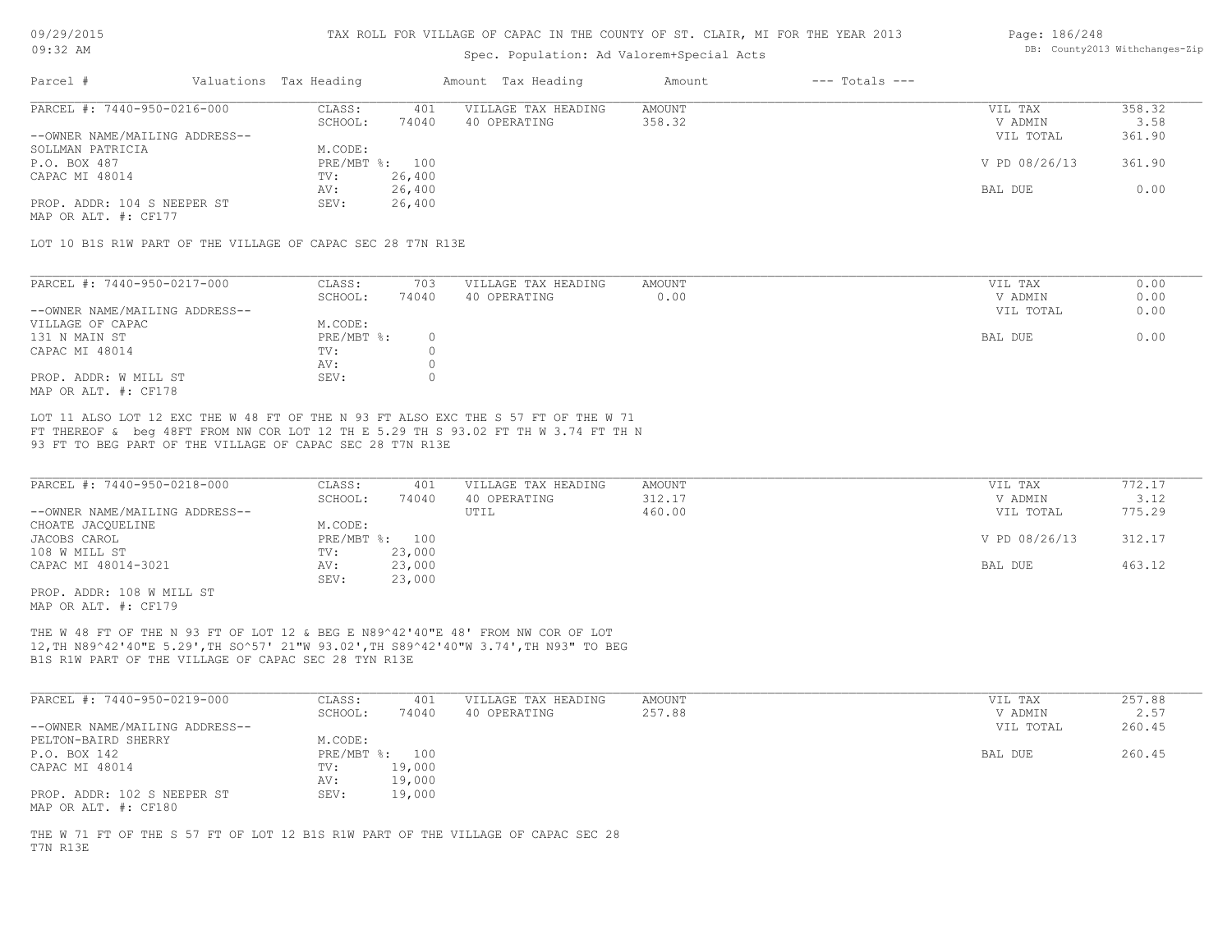# Spec. Population: Ad Valorem+Special Acts

#### Page: 186/248 DB: County2013 Withchanges-Zip

| Parcel #                       | Valuations Tax Heading |                | Amount Tax Heading  | Amount | $---$ Totals $---$ |               |        |
|--------------------------------|------------------------|----------------|---------------------|--------|--------------------|---------------|--------|
| PARCEL #: 7440-950-0216-000    | CLASS:                 | 401            | VILLAGE TAX HEADING | AMOUNT |                    | VIL TAX       | 358.32 |
|                                | SCHOOL:                | 74040          | 40 OPERATING        | 358.32 |                    | V ADMIN       | 3.58   |
| --OWNER NAME/MAILING ADDRESS-- |                        |                |                     |        |                    | VIL TOTAL     | 361.90 |
| SOLLMAN PATRICIA               | M.CODE:                |                |                     |        |                    |               |        |
| P.O. BOX 487                   |                        | PRE/MBT %: 100 |                     |        |                    | V PD 08/26/13 | 361.90 |
| CAPAC MI 48014                 | TV:                    | 26,400         |                     |        |                    |               |        |
|                                | AV:                    | 26,400         |                     |        |                    | BAL DUE       | 0.00   |
| PROP. ADDR: 104 S NEEPER ST    | SEV:                   | 26,400         |                     |        |                    |               |        |
|                                |                        |                |                     |        |                    |               |        |

MAP OR ALT. #: CF177

LOT 10 B1S R1W PART OF THE VILLAGE OF CAPAC SEC 28 T7N R13E

| PARCEL #: 7440-950-0217-000    | CLASS:     | 703   | VILLAGE TAX HEADING | AMOUNT | VIL TAX   | 0.00 |
|--------------------------------|------------|-------|---------------------|--------|-----------|------|
|                                | SCHOOL:    | 74040 | 40 OPERATING        | 0.00   | V ADMIN   | 0.00 |
| --OWNER NAME/MAILING ADDRESS-- |            |       |                     |        | VIL TOTAL | 0.00 |
| VILLAGE OF CAPAC               | M.CODE:    |       |                     |        |           |      |
| 131 N MAIN ST                  | PRE/MBT %: |       |                     |        | BAL DUE   | 0.00 |
| CAPAC MI 48014                 | TV:        |       |                     |        |           |      |
|                                | AV:        |       |                     |        |           |      |
| PROP. ADDR: W MILL ST          | SEV:       |       |                     |        |           |      |
| MAP OR ALT. #: CF178           |            |       |                     |        |           |      |

93 FT TO BEG PART OF THE VILLAGE OF CAPAC SEC 28 T7N R13E FT THEREOF & beg 48FT FROM NW COR LOT 12 TH E 5.29 TH S 93.02 FT TH W 3.74 FT TH N LOT 11 ALSO LOT 12 EXC THE W 48 FT OF THE N 93 FT ALSO EXC THE S 57 FT OF THE W 71

| PARCEL #: 7440-950-0218-000    | CLASS:         | 401    | VILLAGE TAX HEADING | AMOUNT | VIL TAX       | 772.17 |
|--------------------------------|----------------|--------|---------------------|--------|---------------|--------|
|                                | SCHOOL:        | 74040  | 40 OPERATING        | 312.17 | V ADMIN       | 3.12   |
| --OWNER NAME/MAILING ADDRESS-- |                |        | UTIL                | 460.00 | VIL TOTAL     | 775.29 |
| CHOATE JACQUELINE              | M.CODE:        |        |                     |        |               |        |
| JACOBS CAROL                   | PRE/MBT %: 100 |        |                     |        | V PD 08/26/13 | 312.17 |
| 108 W MILL ST                  | TV:            | 23,000 |                     |        |               |        |
| CAPAC MI 48014-3021            | AV:            | 23,000 |                     |        | BAL DUE       | 463.12 |
|                                | SEV:           | 23,000 |                     |        |               |        |

MAP OR ALT. #: CF179 PROP. ADDR: 108 W MILL ST

B1S R1W PART OF THE VILLAGE OF CAPAC SEC 28 TYN R13E 12,TH N89^42'40"E 5.29',TH SO^57' 21"W 93.02',TH S89^42'40"W 3.74',TH N93" TO BEG THE W 48 FT OF THE N 93 FT OF LOT 12 & BEG E N89^42'40"E 48' FROM NW COR OF LOT

| PARCEL #: 7440-950-0219-000    | CLASS:     | 401    | VILLAGE TAX HEADING | AMOUNT | VIL TAX   | 257.88 |
|--------------------------------|------------|--------|---------------------|--------|-----------|--------|
|                                | SCHOOL:    | 74040  | 40 OPERATING        | 257.88 | V ADMIN   | 2.57   |
| --OWNER NAME/MAILING ADDRESS-- |            |        |                     |        | VIL TOTAL | 260.45 |
| PELTON-BAIRD SHERRY            | M.CODE:    |        |                     |        |           |        |
| P.O. BOX 142                   | PRE/MBT %: | 100    |                     |        | BAL DUE   | 260.45 |
| CAPAC MI 48014                 | TV:        | 19,000 |                     |        |           |        |
|                                | AV:        | 19,000 |                     |        |           |        |
| PROP. ADDR: 102 S NEEPER ST    | SEV:       | 19,000 |                     |        |           |        |
| MAP OR ALT. #: CF180           |            |        |                     |        |           |        |

\_\_\_\_\_\_\_\_\_\_\_\_\_\_\_\_\_\_\_\_\_\_\_\_\_\_\_\_\_\_\_\_\_\_\_\_\_\_\_\_\_\_\_\_\_\_\_\_\_\_\_\_\_\_\_\_\_\_\_\_\_\_\_\_\_\_\_\_\_\_\_\_\_\_\_\_\_\_\_\_\_\_\_\_\_\_\_\_\_\_\_\_\_\_\_\_\_\_\_\_\_\_\_\_\_\_\_\_\_\_\_\_\_\_\_\_\_\_\_\_\_\_\_\_\_\_\_\_\_\_\_\_\_\_\_\_\_\_\_\_\_\_\_\_\_\_\_\_\_\_\_\_\_\_\_\_\_\_\_\_\_\_\_\_\_\_\_\_\_\_\_\_\_\_\_

T7N R13E THE W 71 FT OF THE S 57 FT OF LOT 12 B1S R1W PART OF THE VILLAGE OF CAPAC SEC 28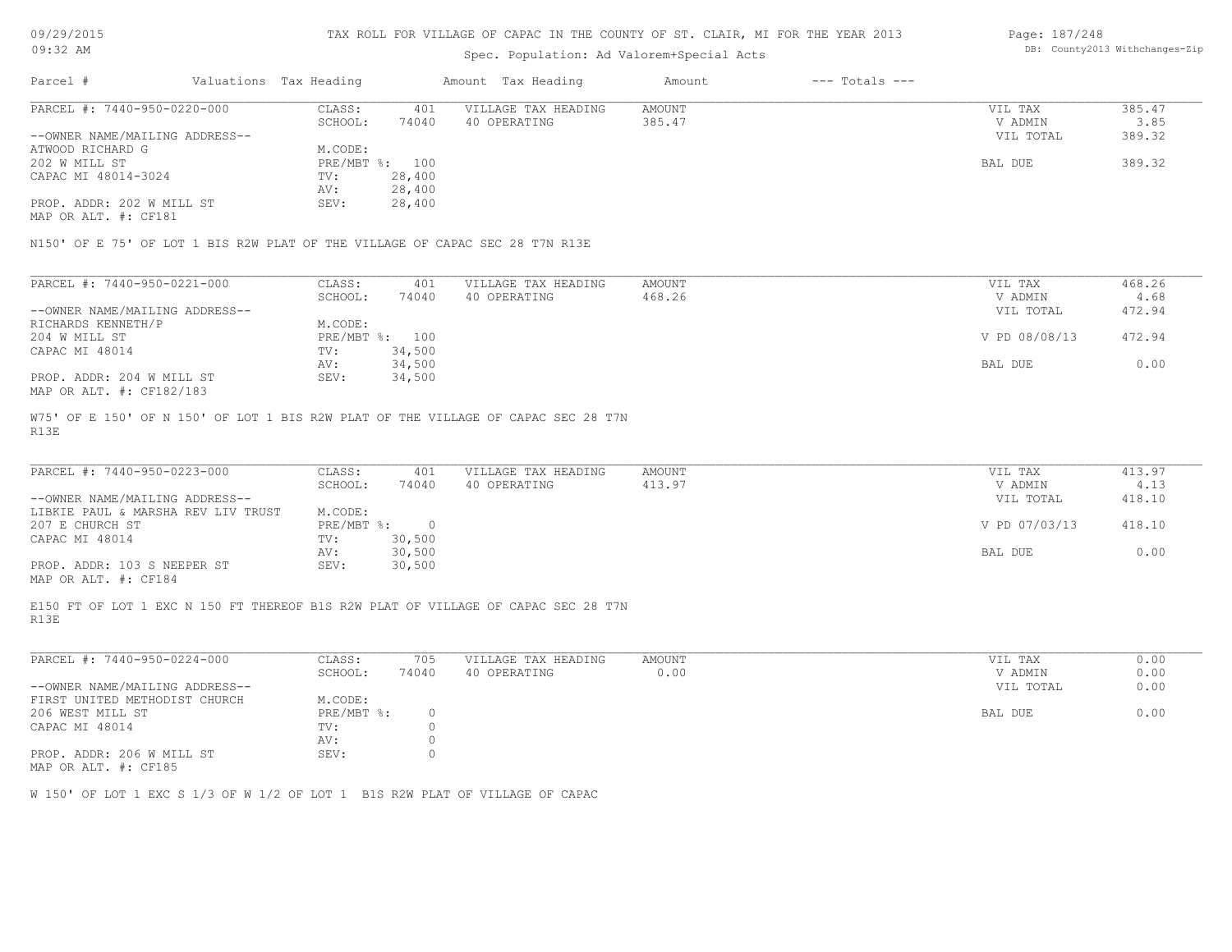| 09/29/2015 |  |
|------------|--|
| $09:32$ AM |  |

# Spec. Population: Ad Valorem+Special Acts

#### Page: 187/248 DB: County2013 Withchanges-Zip

| Parcel #                                                                     | Valuations Tax Heading |                | Amount Tax Heading  | Amount | $---$ Totals $---$ |           |        |
|------------------------------------------------------------------------------|------------------------|----------------|---------------------|--------|--------------------|-----------|--------|
| PARCEL #: 7440-950-0220-000                                                  | CLASS:                 | 401            | VILLAGE TAX HEADING | AMOUNT |                    | VIL TAX   | 385.47 |
|                                                                              | SCHOOL:                | 74040          | 40 OPERATING        | 385.47 |                    | V ADMIN   | 3.85   |
| --OWNER NAME/MAILING ADDRESS--                                               |                        |                |                     |        |                    | VIL TOTAL | 389.32 |
| ATWOOD RICHARD G                                                             | M.CODE:                |                |                     |        |                    |           |        |
| 202 W MILL ST                                                                |                        | PRE/MBT %: 100 |                     |        |                    | BAL DUE   | 389.32 |
| CAPAC MI 48014-3024                                                          | TV:                    | 28,400         |                     |        |                    |           |        |
|                                                                              | AV:                    | 28,400         |                     |        |                    |           |        |
| PROP. ADDR: 202 W MILL ST                                                    | SEV:                   | 28,400         |                     |        |                    |           |        |
| MAP OR ALT. #: CF181                                                         |                        |                |                     |        |                    |           |        |
|                                                                              |                        |                |                     |        |                    |           |        |
| N150' OF E 75' OF LOT 1 BIS R2W PLAT OF THE VILLAGE OF CAPAC SEC 28 T7N R13E |                        |                |                     |        |                    |           |        |
|                                                                              |                        |                |                     |        |                    |           |        |

| PARCEL #: 7440-950-0221-000    | CLASS:       | 401    | VILLAGE TAX HEADING | AMOUNT | VIL TAX       | 468.26 |
|--------------------------------|--------------|--------|---------------------|--------|---------------|--------|
|                                | SCHOOL:      | 74040  | 40 OPERATING        | 468.26 | V ADMIN       | 4.68   |
| --OWNER NAME/MAILING ADDRESS-- |              |        |                     |        | VIL TOTAL     | 472.94 |
| RICHARDS KENNETH/P             | M.CODE:      |        |                     |        |               |        |
| 204 W MILL ST                  | $PRE/MBT$ %: | 100    |                     |        | V PD 08/08/13 | 472.94 |
| CAPAC MI 48014                 | TV:          | 34,500 |                     |        |               |        |
|                                | AV:          | 34,500 |                     |        | BAL DUE       | 0.00   |
| PROP. ADDR: 204 W MILL ST      | SEV:         | 34,500 |                     |        |               |        |
| MAP OR ALT. #: CF182/183       |              |        |                     |        |               |        |

R13E W75' OF E 150' OF N 150' OF LOT 1 BIS R2W PLAT OF THE VILLAGE OF CAPAC SEC 28 T7N

| PARCEL #: 7440-950-0223-000                  | CLASS:     | 401    | VILLAGE TAX HEADING | AMOUNT | VIL TAX       | 413.97 |
|----------------------------------------------|------------|--------|---------------------|--------|---------------|--------|
|                                              | SCHOOL:    | 74040  | 40 OPERATING        | 413.97 | V ADMIN       | 4.13   |
| --OWNER NAME/MAILING ADDRESS--               |            |        |                     |        | VIL TOTAL     | 418.10 |
| LIBKIE PAUL & MARSHA REV LIV TRUST           | M.CODE:    |        |                     |        |               |        |
| 207 E CHURCH ST                              | PRE/MBT %: |        |                     |        | V PD 07/03/13 | 418.10 |
| CAPAC MI 48014                               | TV:        | 30,500 |                     |        |               |        |
|                                              | AV:        | 30,500 |                     |        | BAL DUE       | 0.00   |
| PROP. ADDR: 103 S NEEPER ST                  | SEV:       | 30,500 |                     |        |               |        |
| $\cdots$ $\cdots$ $\cdots$ $\cdots$ $\cdots$ |            |        |                     |        |               |        |

MAP OR ALT. #: CF184

R13E E150 FT OF LOT 1 EXC N 150 FT THEREOF B1S R2W PLAT OF VILLAGE OF CAPAC SEC 28 T7N

| PARCEL #: 7440-950-0224-000    | CLASS:     | 705   | VILLAGE TAX HEADING | AMOUNT | 0.00<br>VIL TAX   |  |
|--------------------------------|------------|-------|---------------------|--------|-------------------|--|
|                                | SCHOOL:    | 74040 | 40 OPERATING        | 0.00   | 0.00<br>V ADMIN   |  |
| --OWNER NAME/MAILING ADDRESS-- |            |       |                     |        | 0.00<br>VIL TOTAL |  |
| FIRST UNITED METHODIST CHURCH  | M.CODE:    |       |                     |        |                   |  |
| 206 WEST MILL ST               | PRE/MBT %: |       |                     |        | 0.00<br>BAL DUE   |  |
| CAPAC MI 48014                 | TV:        |       |                     |        |                   |  |
|                                | AV:        |       |                     |        |                   |  |
| PROP. ADDR: 206 W MILL ST      | SEV:       |       |                     |        |                   |  |

MAP OR ALT. #: CF185

W 150' OF LOT 1 EXC S 1/3 OF W 1/2 OF LOT 1 B1S R2W PLAT OF VILLAGE OF CAPAC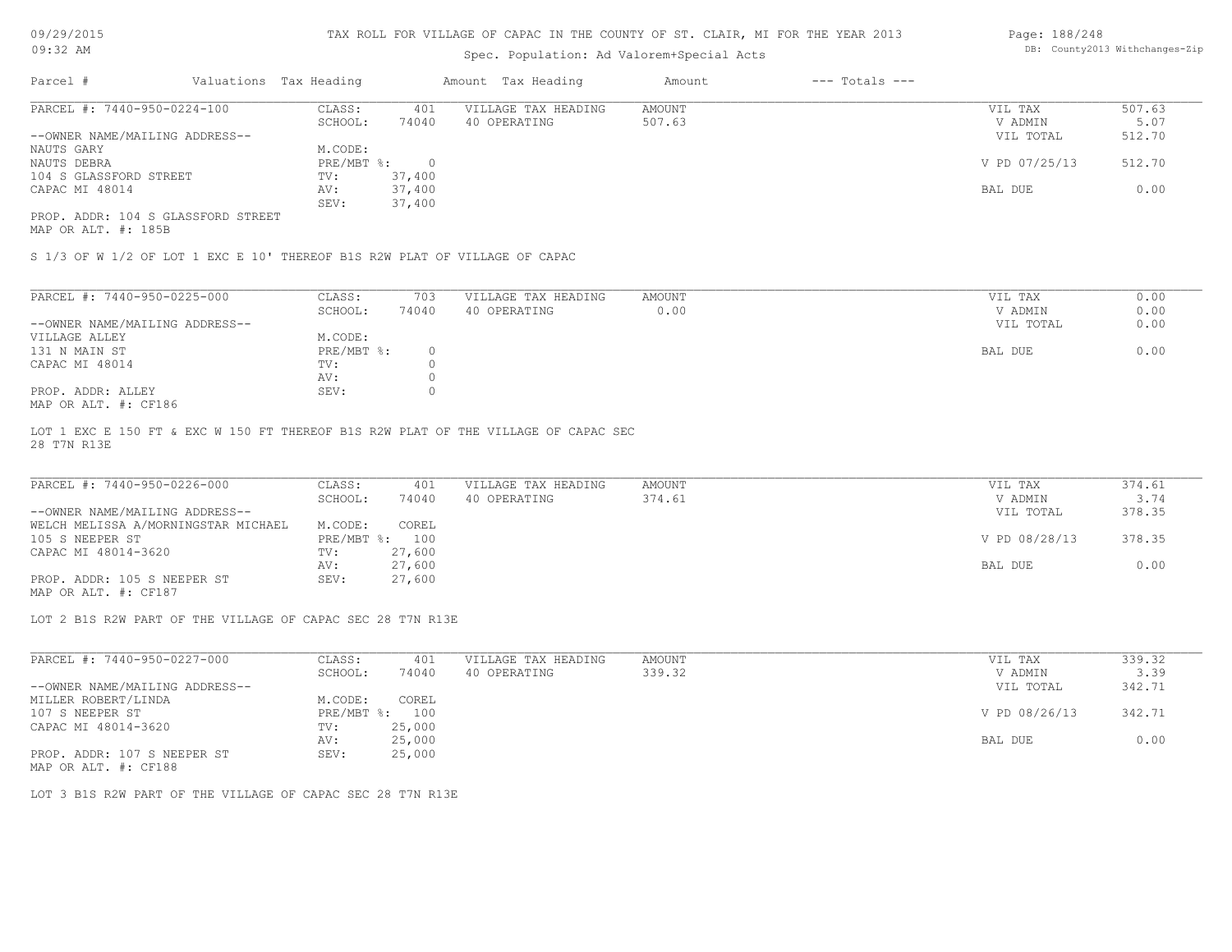# Spec. Population: Ad Valorem+Special Acts

| Page: 188/248 |                                |
|---------------|--------------------------------|
|               | DB: County2013 Withchanges-Zip |

| Parcel #                           | Valuations Tax Heading |        | Amount Tax Heading  | Amount | $---$ Totals $---$ |               |        |
|------------------------------------|------------------------|--------|---------------------|--------|--------------------|---------------|--------|
| PARCEL #: 7440-950-0224-100        | CLASS:                 | 401    | VILLAGE TAX HEADING | AMOUNT |                    | VIL TAX       | 507.63 |
|                                    | SCHOOL:                | 74040  | 40 OPERATING        | 507.63 |                    | V ADMIN       | 5.07   |
| --OWNER NAME/MAILING ADDRESS--     |                        |        |                     |        |                    | VIL TOTAL     | 512.70 |
| NAUTS GARY                         | M.CODE:                |        |                     |        |                    |               |        |
| NAUTS DEBRA                        | PRE/MBT %:             |        |                     |        |                    | V PD 07/25/13 | 512.70 |
| 104 S GLASSFORD STREET             | TV:                    | 37,400 |                     |        |                    |               |        |
| CAPAC MI 48014                     | AV:                    | 37,400 |                     |        |                    | BAL DUE       | 0.00   |
|                                    | SEV:                   | 37,400 |                     |        |                    |               |        |
| PROP. ADDR: 104 S GLASSFORD STREET |                        |        |                     |        |                    |               |        |

MAP OR ALT. #: 185B

S 1/3 OF W 1/2 OF LOT 1 EXC E 10' THEREOF B1S R2W PLAT OF VILLAGE OF CAPAC

| PARCEL #: 7440-950-0225-000    | CLASS:       | 703    | VILLAGE TAX HEADING | AMOUNT | VIL TAX<br>0.00   |
|--------------------------------|--------------|--------|---------------------|--------|-------------------|
|                                | SCHOOL:      | 74040  | 40 OPERATING        | 0.00   | 0.00<br>V ADMIN   |
| --OWNER NAME/MAILING ADDRESS-- |              |        |                     |        | 0.00<br>VIL TOTAL |
| VILLAGE ALLEY                  | M.CODE:      |        |                     |        |                   |
| 131 N MAIN ST                  | $PRE/MBT$ %: | $\Box$ |                     |        | 0.00<br>BAL DUE   |
| CAPAC MI 48014                 | TV:          |        |                     |        |                   |
|                                | AV:          |        |                     |        |                   |
| PROP. ADDR: ALLEY              | SEV:         |        |                     |        |                   |
| 106 - אני יחזה מחתות M         |              |        |                     |        |                   |

MAP OR ALT. #: CF186

28 T7N R13E LOT 1 EXC E 150 FT & EXC W 150 FT THEREOF B1S R2W PLAT OF THE VILLAGE OF CAPAC SEC

| PARCEL #: 7440-950-0226-000         | CLASS:  | 401            | VILLAGE TAX HEADING | AMOUNT | VIL TAX       | 374.61 |
|-------------------------------------|---------|----------------|---------------------|--------|---------------|--------|
|                                     | SCHOOL: | 74040          | 40 OPERATING        | 374.61 | V ADMIN       | 3.74   |
| --OWNER NAME/MAILING ADDRESS--      |         |                |                     |        | VIL TOTAL     | 378.35 |
| WELCH MELISSA A/MORNINGSTAR MICHAEL | M.CODE: | COREL          |                     |        |               |        |
| 105 S NEEPER ST                     |         | PRE/MBT %: 100 |                     |        | V PD 08/28/13 | 378.35 |
| CAPAC MI 48014-3620                 | TV:     | 27,600         |                     |        |               |        |
|                                     | AV:     | 27,600         |                     |        | BAL DUE       | 0.00   |
| PROP. ADDR: 105 S NEEPER ST         | SEV:    | 27,600         |                     |        |               |        |
| MAP OR ALT. #: CF187                |         |                |                     |        |               |        |

LOT 2 B1S R2W PART OF THE VILLAGE OF CAPAC SEC 28 T7N R13E

| PARCEL #: 7440-950-0227-000    | CLASS:     | 401    | VILLAGE TAX HEADING | AMOUNT | VIL TAX       | 339.32 |  |
|--------------------------------|------------|--------|---------------------|--------|---------------|--------|--|
|                                | SCHOOL:    | 74040  | 40 OPERATING        | 339.32 | V ADMIN       | 3.39   |  |
| --OWNER NAME/MAILING ADDRESS-- |            |        |                     |        | VIL TOTAL     | 342.71 |  |
| MILLER ROBERT/LINDA            | M.CODE:    | COREL  |                     |        |               |        |  |
| 107 S NEEPER ST                | PRE/MBT %: | 100    |                     |        | V PD 08/26/13 | 342.71 |  |
| CAPAC MI 48014-3620            | TV:        | 25,000 |                     |        |               |        |  |
|                                | AV:        | 25,000 |                     |        | BAL DUE       | 0.00   |  |
| PROP. ADDR: 107 S NEEPER ST    | SEV:       | 25,000 |                     |        |               |        |  |
|                                |            |        |                     |        |               |        |  |

MAP OR ALT. #: CF188

LOT 3 B1S R2W PART OF THE VILLAGE OF CAPAC SEC 28 T7N R13E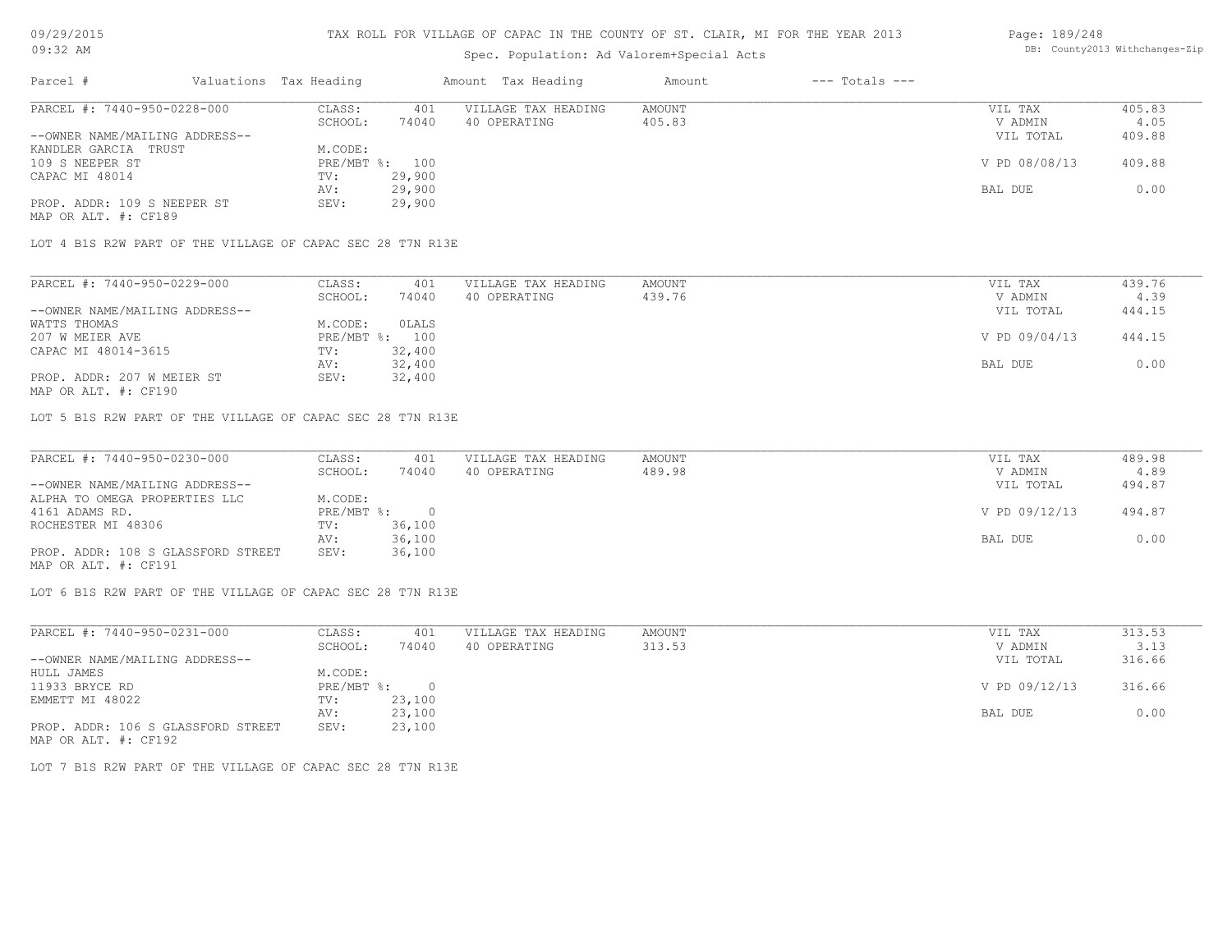### Spec. Population: Ad Valorem+Special Acts

#### Page: 189/248 DB: County2013 Withchanges-Zip

| Parcel #                       | Valuations Tax Heading |        | Amount Tax Heading  | Amount | $---$ Totals $---$ |               |        |
|--------------------------------|------------------------|--------|---------------------|--------|--------------------|---------------|--------|
| PARCEL #: 7440-950-0228-000    | CLASS:                 | 401    | VILLAGE TAX HEADING | AMOUNT |                    | VIL TAX       | 405.83 |
|                                | SCHOOL:                | 74040  | 40 OPERATING        | 405.83 |                    | V ADMIN       | 4.05   |
| --OWNER NAME/MAILING ADDRESS-- |                        |        |                     |        |                    | VIL TOTAL     | 409.88 |
| KANDLER GARCIA TRUST           | M.CODE:                |        |                     |        |                    |               |        |
| 109 S NEEPER ST                | PRE/MBT %: 100         |        |                     |        |                    | V PD 08/08/13 | 409.88 |
| CAPAC MI 48014                 | TV:                    | 29,900 |                     |        |                    |               |        |
|                                | AV:                    | 29,900 |                     |        |                    | BAL DUE       | 0.00   |
| PROP. ADDR: 109 S NEEPER ST    | SEV:                   | 29,900 |                     |        |                    |               |        |
| MAP OR ALT. #: CF189           |                        |        |                     |        |                    |               |        |

LOT 4 B1S R2W PART OF THE VILLAGE OF CAPAC SEC 28 T7N R13E

| PARCEL #: 7440-950-0229-000    | CLASS:  | 401            | VILLAGE TAX HEADING | AMOUNT | VIL TAX       | 439.76 |
|--------------------------------|---------|----------------|---------------------|--------|---------------|--------|
|                                | SCHOOL: | 74040          | 40 OPERATING        | 439.76 | V ADMIN       | 4.39   |
| --OWNER NAME/MAILING ADDRESS-- |         |                |                     |        | VIL TOTAL     | 444.15 |
| WATTS THOMAS                   | M.CODE: | OLALS          |                     |        |               |        |
| 207 W MEIER AVE                |         | PRE/MBT %: 100 |                     |        | V PD 09/04/13 | 444.15 |
| CAPAC MI 48014-3615            | TV:     | 32,400         |                     |        |               |        |
|                                | AV:     | 32,400         |                     |        | BAL DUE       | 0.00   |
| PROP. ADDR: 207 W MEIER ST     | SEV:    | 32,400         |                     |        |               |        |
|                                |         |                |                     |        |               |        |

MAP OR ALT. #: CF190

LOT 5 B1S R2W PART OF THE VILLAGE OF CAPAC SEC 28 T7N R13E

| PARCEL #: 7440-950-0230-000        | CLASS:       | 401    | VILLAGE TAX HEADING | AMOUNT | VIL TAX       | 489.98 |
|------------------------------------|--------------|--------|---------------------|--------|---------------|--------|
|                                    | SCHOOL:      | 74040  | 40 OPERATING        | 489.98 | V ADMIN       | 4.89   |
| --OWNER NAME/MAILING ADDRESS--     |              |        |                     |        | VIL TOTAL     | 494.87 |
| ALPHA TO OMEGA PROPERTIES LLC      | M.CODE:      |        |                     |        |               |        |
| 4161 ADAMS RD.                     | $PRE/MBT$ %: |        |                     |        | V PD 09/12/13 | 494.87 |
| ROCHESTER MI 48306                 | TV:          | 36,100 |                     |        |               |        |
|                                    | AV:          | 36,100 |                     |        | BAL DUE       | 0.00   |
| PROP. ADDR: 108 S GLASSFORD STREET | SEV:         | 36,100 |                     |        |               |        |
| MAP OR ALT. #: CF191               |              |        |                     |        |               |        |

LOT 6 B1S R2W PART OF THE VILLAGE OF CAPAC SEC 28 T7N R13E

| PARCEL #: 7440-950-0231-000        | CLASS:     | 401    | VILLAGE TAX HEADING | AMOUNT | VIL TAX       | 313.53 |
|------------------------------------|------------|--------|---------------------|--------|---------------|--------|
|                                    | SCHOOL:    | 74040  | 40 OPERATING        | 313.53 | V ADMIN       | 3.13   |
| --OWNER NAME/MAILING ADDRESS--     |            |        |                     |        | VIL TOTAL     | 316.66 |
| HULL JAMES                         | M.CODE:    |        |                     |        |               |        |
| 11933 BRYCE RD                     | PRE/MBT %: | $\cap$ |                     |        | V PD 09/12/13 | 316.66 |
| EMMETT MI 48022                    | TV:        | 23,100 |                     |        |               |        |
|                                    | AV:        | 23,100 |                     |        | BAL DUE       | 0.00   |
| PROP. ADDR: 106 S GLASSFORD STREET | SEV:       | 23,100 |                     |        |               |        |
| MAP OR ALT. #: CF192               |            |        |                     |        |               |        |

LOT 7 B1S R2W PART OF THE VILLAGE OF CAPAC SEC 28 T7N R13E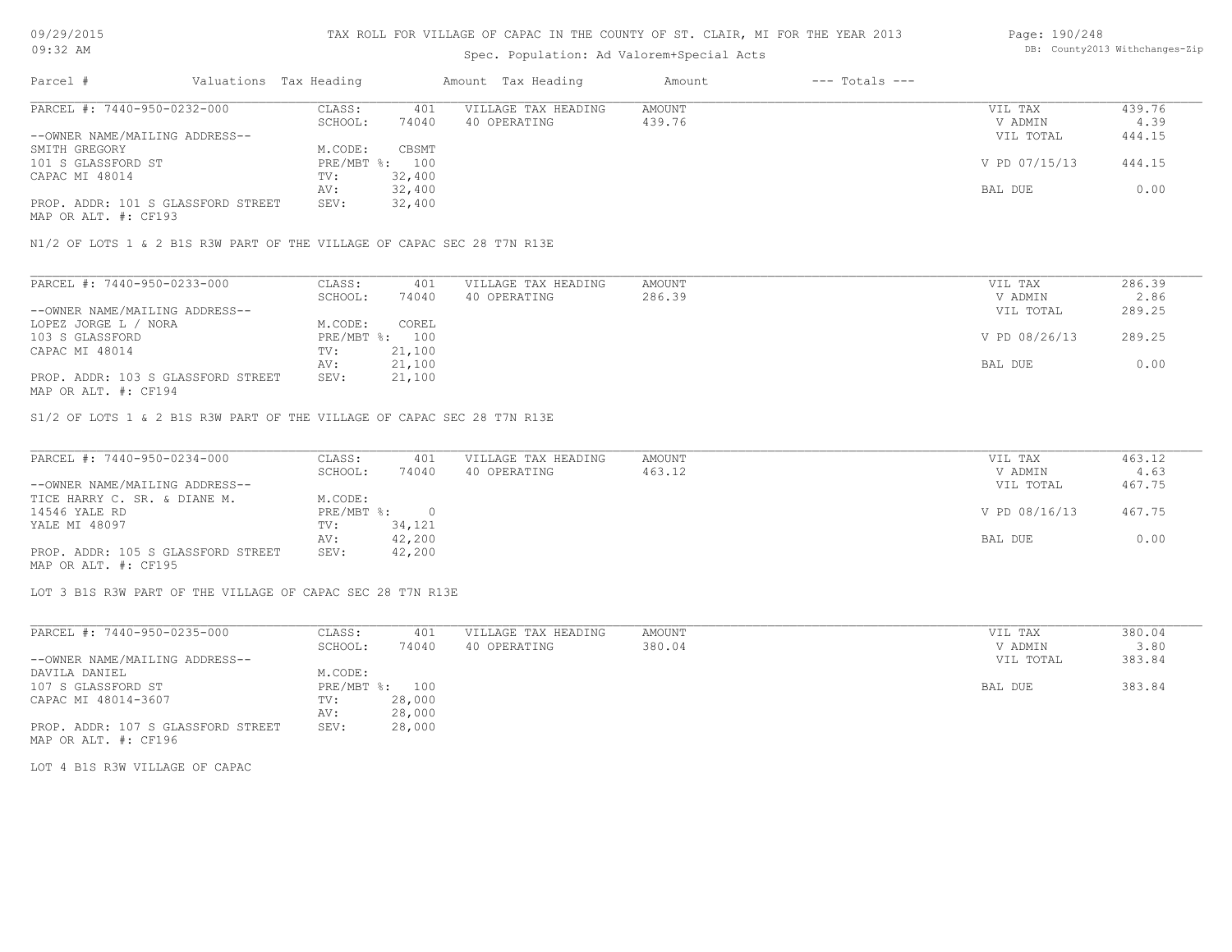# Spec. Population: Ad Valorem+Special Acts

#### Page: 190/248 DB: County2013 Withchanges-Zip

| Parcel #                           | Valuations Tax Heading |        | Amount Tax Heading  | Amount | $---$ Totals $---$ |               |        |
|------------------------------------|------------------------|--------|---------------------|--------|--------------------|---------------|--------|
| PARCEL #: 7440-950-0232-000        | CLASS:                 | 401    | VILLAGE TAX HEADING | AMOUNT |                    | VIL TAX       | 439.76 |
|                                    | SCHOOL:                | 74040  | 40 OPERATING        | 439.76 |                    | V ADMIN       | 4.39   |
| --OWNER NAME/MAILING ADDRESS--     |                        |        |                     |        |                    | VIL TOTAL     | 444.15 |
| SMITH GREGORY                      | M.CODE:                | CBSMT  |                     |        |                    |               |        |
| 101 S GLASSFORD ST                 | PRE/MBT %: 100         |        |                     |        |                    | V PD 07/15/13 | 444.15 |
| CAPAC MI 48014                     | TV:                    | 32,400 |                     |        |                    |               |        |
|                                    | AV:                    | 32,400 |                     |        |                    | BAL DUE       | 0.00   |
| PROP. ADDR: 101 S GLASSFORD STREET | SEV:                   | 32,400 |                     |        |                    |               |        |
|                                    |                        |        |                     |        |                    |               |        |

MAP OR ALT. #: CF193

N1/2 OF LOTS 1 & 2 B1S R3W PART OF THE VILLAGE OF CAPAC SEC 28 T7N R13E

| PARCEL #: 7440-950-0233-000                                                                                     | CLASS:       | 401    | VILLAGE TAX HEADING | AMOUNT | VIL TAX       | 286.39 |
|-----------------------------------------------------------------------------------------------------------------|--------------|--------|---------------------|--------|---------------|--------|
|                                                                                                                 | SCHOOL:      | 74040  | 40 OPERATING        | 286.39 | V ADMIN       | 2.86   |
| --OWNER NAME/MAILING ADDRESS--                                                                                  |              |        |                     |        | VIL TOTAL     | 289.25 |
| LOPEZ JORGE L / NORA                                                                                            | M.CODE:      | COREL  |                     |        |               |        |
| 103 S GLASSFORD                                                                                                 | $PRE/MBT$ %: | 100    |                     |        | V PD 08/26/13 | 289.25 |
| CAPAC MI 48014                                                                                                  | TV:          | 21,100 |                     |        |               |        |
|                                                                                                                 | AV:          | 21,100 |                     |        | BAL DUE       | 0.00   |
| PROP. ADDR: 103 S GLASSFORD STREET                                                                              | SEV:         | 21,100 |                     |        |               |        |
| the contract of the contract of the contract of the contract of the contract of the contract of the contract of |              |        |                     |        |               |        |

MAP OR ALT. #: CF194

S1/2 OF LOTS 1 & 2 B1S R3W PART OF THE VILLAGE OF CAPAC SEC 28 T7N R13E

| PARCEL #: 7440-950-0234-000        | CLASS:       | 401    | VILLAGE TAX HEADING | AMOUNT | VIL TAX       | 463.12 |
|------------------------------------|--------------|--------|---------------------|--------|---------------|--------|
|                                    | SCHOOL:      | 74040  | 40 OPERATING        | 463.12 | V ADMIN       | 4.63   |
| --OWNER NAME/MAILING ADDRESS--     |              |        |                     |        | VIL TOTAL     | 467.75 |
| TICE HARRY C. SR. & DIANE M.       | M.CODE:      |        |                     |        |               |        |
| 14546 YALE RD                      | $PRE/MBT$ %: |        |                     |        | V PD 08/16/13 | 467.75 |
| YALE MI 48097                      | TV:          | 34,121 |                     |        |               |        |
|                                    | AV:          | 42,200 |                     |        | BAL DUE       | 0.00   |
| PROP. ADDR: 105 S GLASSFORD STREET | SEV:         | 42,200 |                     |        |               |        |
| MAP OR ALT. #: CF195               |              |        |                     |        |               |        |

LOT 3 B1S R3W PART OF THE VILLAGE OF CAPAC SEC 28 T7N R13E

| PARCEL #: 7440-950-0235-000        | CLASS:     | 401    | VILLAGE TAX HEADING | AMOUNT | VIL TAX   | 380.04 |
|------------------------------------|------------|--------|---------------------|--------|-----------|--------|
|                                    | SCHOOL:    | 74040  | 40 OPERATING        | 380.04 | V ADMIN   | 3.80   |
| --OWNER NAME/MAILING ADDRESS--     |            |        |                     |        | VIL TOTAL | 383.84 |
| DAVILA DANIEL                      | M.CODE:    |        |                     |        |           |        |
| 107 S GLASSFORD ST                 | PRE/MBT %: | 100    |                     |        | BAL DUE   | 383.84 |
| CAPAC MI 48014-3607                | TV:        | 28,000 |                     |        |           |        |
|                                    | AV:        | 28,000 |                     |        |           |        |
| PROP. ADDR: 107 S GLASSFORD STREET | SEV:       | 28,000 |                     |        |           |        |
| MAP OR ALT. #: CF196               |            |        |                     |        |           |        |

LOT 4 B1S R3W VILLAGE OF CAPAC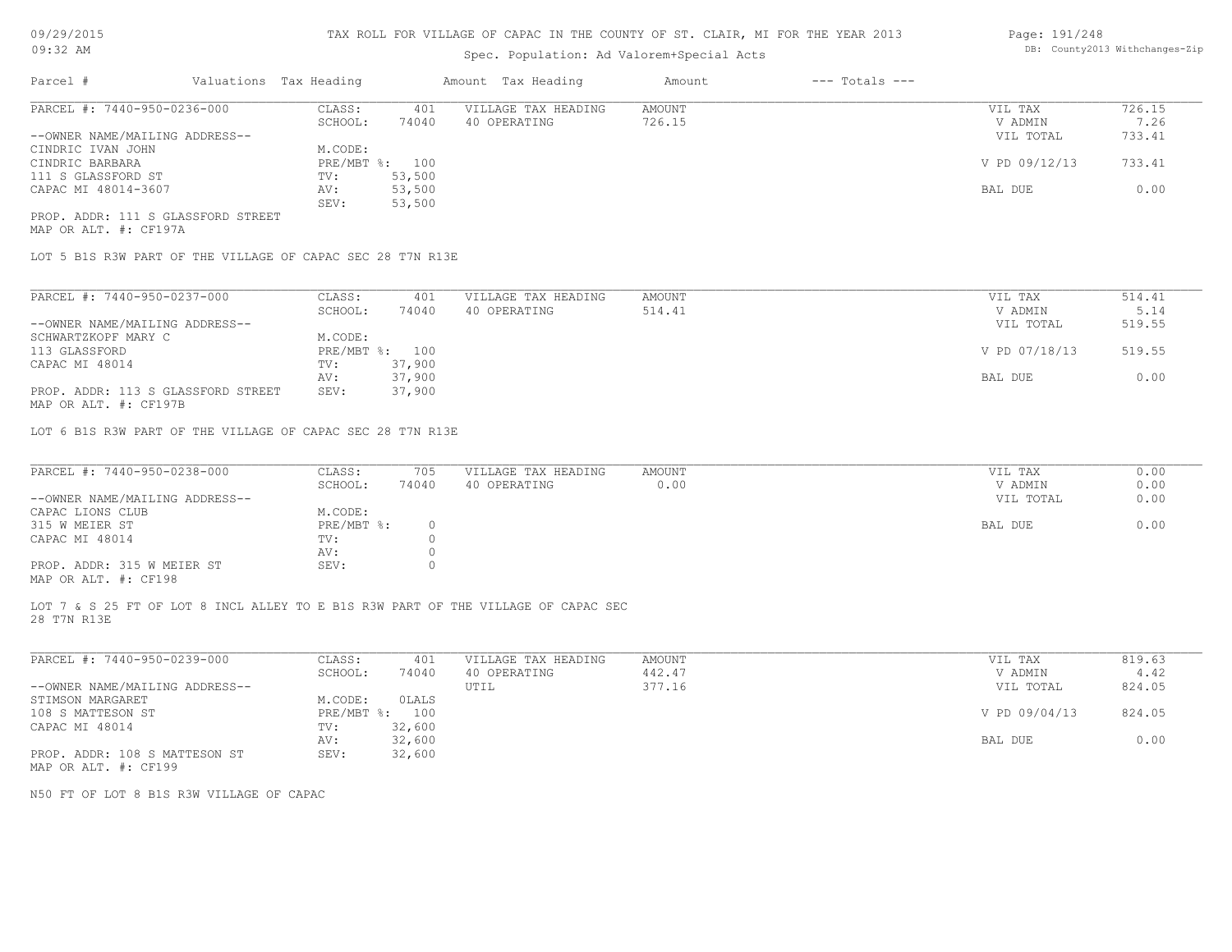# Spec. Population: Ad Valorem+Special Acts

#### Page: 191/248 DB: County2013 Withchanges-Zip

| Parcel #                           | Valuations Tax Heading |                | Amount Tax Heading  | Amount | $---$ Totals $---$ |               |        |
|------------------------------------|------------------------|----------------|---------------------|--------|--------------------|---------------|--------|
| PARCEL #: 7440-950-0236-000        | CLASS:                 | 401            | VILLAGE TAX HEADING | AMOUNT |                    | VIL TAX       | 726.15 |
|                                    | SCHOOL:                | 74040          | 40 OPERATING        | 726.15 |                    | V ADMIN       | 7.26   |
| --OWNER NAME/MAILING ADDRESS--     |                        |                |                     |        |                    | VIL TOTAL     | 733.41 |
| CINDRIC IVAN JOHN                  | M.CODE:                |                |                     |        |                    |               |        |
| CINDRIC BARBARA                    |                        | PRE/MBT %: 100 |                     |        |                    | V PD 09/12/13 | 733.41 |
| 111 S GLASSFORD ST                 | TV:                    | 53,500         |                     |        |                    |               |        |
| CAPAC MI 48014-3607                | AV:                    | 53,500         |                     |        |                    | BAL DUE       | 0.00   |
|                                    | SEV:                   | 53,500         |                     |        |                    |               |        |
| PROP. ADDR: 111 S GLASSFORD STREET |                        |                |                     |        |                    |               |        |
|                                    |                        |                |                     |        |                    |               |        |

MAP OR ALT. #: CF197A

LOT 5 B1S R3W PART OF THE VILLAGE OF CAPAC SEC 28 T7N R13E

| PARCEL #: 7440-950-0237-000                           | CLASS:     | 401    | VILLAGE TAX HEADING | AMOUNT | VIL TAX       | 514.41 |
|-------------------------------------------------------|------------|--------|---------------------|--------|---------------|--------|
|                                                       | SCHOOL:    | 74040  | 40 OPERATING        | 514.41 | V ADMIN       | 5.14   |
| --OWNER NAME/MAILING ADDRESS--                        |            |        |                     |        | VIL TOTAL     | 519.55 |
| SCHWARTZKOPF MARY C                                   | M.CODE:    |        |                     |        |               |        |
| 113 GLASSFORD                                         | PRE/MBT %: | 100    |                     |        | V PD 07/18/13 | 519.55 |
| CAPAC MI 48014                                        | TV:        | 37,900 |                     |        |               |        |
|                                                       | AV:        | 37,900 |                     |        | BAL DUE       | 0.00   |
| PROP. ADDR: 113 S GLASSFORD STREET                    | SEV:       | 37,900 |                     |        |               |        |
| $\cdots$ $\cdots$ $\cdots$ $\cdots$ $\cdots$ $\cdots$ |            |        |                     |        |               |        |

MAP OR ALT. #: CF197B

LOT 6 B1S R3W PART OF THE VILLAGE OF CAPAC SEC 28 T7N R13E

| PARCEL #: 7440-950-0238-000    | CLASS:       | 705   | VILLAGE TAX HEADING | AMOUNT | VIL TAX   | 0.00 |
|--------------------------------|--------------|-------|---------------------|--------|-----------|------|
|                                | SCHOOL:      | 74040 | 40 OPERATING        | 0.00   | V ADMIN   | 0.00 |
| --OWNER NAME/MAILING ADDRESS-- |              |       |                     |        | VIL TOTAL | 0.00 |
| CAPAC LIONS CLUB               | M.CODE:      |       |                     |        |           |      |
| 315 W MEIER ST                 | $PRE/MBT$ %: |       |                     |        | BAL DUE   | 0.00 |
| CAPAC MI 48014                 | TV:          |       |                     |        |           |      |
|                                | AV:          |       |                     |        |           |      |
| PROP. ADDR: 315 W MEIER ST     | SEV:         |       |                     |        |           |      |
| MAP OR ALT. #: CF198           |              |       |                     |        |           |      |

LOT 7 & S 25 FT OF LOT 8 INCL ALLEY TO E B1S R3W PART OF THE VILLAGE OF CAPAC SEC

28 T7N R13E

| PARCEL #: 7440-950-0239-000    | CLASS:     | 401    | VILLAGE TAX HEADING | AMOUNT | VIL TAX       | 819.63 |
|--------------------------------|------------|--------|---------------------|--------|---------------|--------|
|                                | SCHOOL:    | 74040  | 40 OPERATING        | 442.47 | V ADMIN       | 4.42   |
| --OWNER NAME/MAILING ADDRESS-- |            |        | UTIL                | 377.16 | VIL TOTAL     | 824.05 |
| STIMSON MARGARET               | M.CODE:    | OLALS  |                     |        |               |        |
| 108 S MATTESON ST              | PRE/MBT %: | 100    |                     |        | V PD 09/04/13 | 824.05 |
| CAPAC MI 48014                 | TV:        | 32,600 |                     |        |               |        |
|                                | AV:        | 32,600 |                     |        | BAL DUE       | 0.00   |
| PROP. ADDR: 108 S MATTESON ST  | SEV:       | 32,600 |                     |        |               |        |
| MAP OR ALT. #: CF199           |            |        |                     |        |               |        |

N50 FT OF LOT 8 B1S R3W VILLAGE OF CAPAC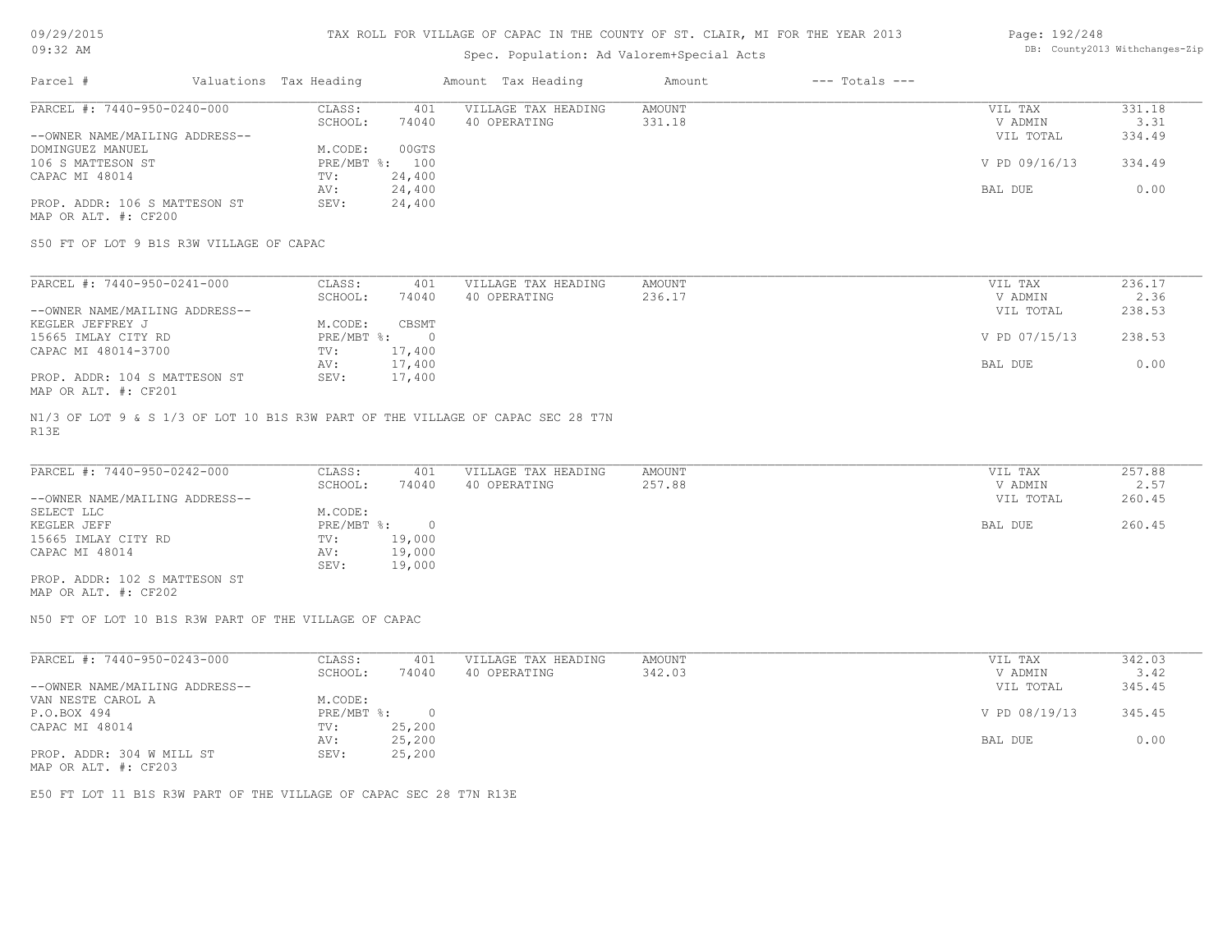# Spec. Population: Ad Valorem+Special Acts

#### Page: 192/248 DB: County2013 Withchanges-Zip

| Parcel #                       | Valuations Tax Heading |                | Amount Tax Heading  | Amount | $---$ Totals $---$ |               |        |
|--------------------------------|------------------------|----------------|---------------------|--------|--------------------|---------------|--------|
| PARCEL #: 7440-950-0240-000    | CLASS:                 | 401            | VILLAGE TAX HEADING | AMOUNT |                    | VIL TAX       | 331.18 |
|                                | SCHOOL:                | 74040          | 40 OPERATING        | 331.18 |                    | V ADMIN       | 3.31   |
| --OWNER NAME/MAILING ADDRESS-- |                        |                |                     |        |                    | VIL TOTAL     | 334.49 |
| DOMINGUEZ MANUEL               | M.CODE:                | 00GTS          |                     |        |                    |               |        |
| 106 S MATTESON ST              |                        | PRE/MBT %: 100 |                     |        |                    | V PD 09/16/13 | 334.49 |
| CAPAC MI 48014                 | TV:                    | 24,400         |                     |        |                    |               |        |
|                                | AV:                    | 24,400         |                     |        |                    | BAL DUE       | 0.00   |
| PROP. ADDR: 106 S MATTESON ST  | SEV:                   | 24,400         |                     |        |                    |               |        |
| MAP OR ALT. #: CF200           |                        |                |                     |        |                    |               |        |

S50 FT OF LOT 9 B1S R3W VILLAGE OF CAPAC

| PARCEL #: 7440-950-0241-000    | CLASS:     | 401    | VILLAGE TAX HEADING | AMOUNT | VIL TAX       | 236.17 |
|--------------------------------|------------|--------|---------------------|--------|---------------|--------|
|                                | SCHOOL:    | 74040  | 40 OPERATING        | 236.17 | V ADMIN       | 2.36   |
| --OWNER NAME/MAILING ADDRESS-- |            |        |                     |        | VIL TOTAL     | 238.53 |
| KEGLER JEFFREY J               | M.CODE:    | CBSMT  |                     |        |               |        |
| 15665 IMLAY CITY RD            | PRE/MBT %: |        |                     |        | V PD 07/15/13 | 238.53 |
| CAPAC MI 48014-3700            | TV:        | 17,400 |                     |        |               |        |
|                                | AV:        | 17,400 |                     |        | BAL DUE       | 0.00   |
| PROP. ADDR: 104 S MATTESON ST  | SEV:       | 17,400 |                     |        |               |        |
| MAP OR ALT. #: CF201           |            |        |                     |        |               |        |

R13E N1/3 OF LOT 9 & S 1/3 OF LOT 10 B1S R3W PART OF THE VILLAGE OF CAPAC SEC 28 T7N

| PARCEL #: 7440-950-0242-000    | CLASS:     | 401    | VILLAGE TAX HEADING | AMOUNT | VIL TAX   | 257.88 |
|--------------------------------|------------|--------|---------------------|--------|-----------|--------|
|                                | SCHOOL:    | 74040  | 40 OPERATING        | 257.88 | V ADMIN   | 2.57   |
| --OWNER NAME/MAILING ADDRESS-- |            |        |                     |        | VIL TOTAL | 260.45 |
| SELECT LLC                     | M.CODE:    |        |                     |        |           |        |
| KEGLER JEFF                    | PRE/MBT %: |        |                     |        | BAL DUE   | 260.45 |
| 15665 IMLAY CITY RD            | TV:        | 19,000 |                     |        |           |        |
| CAPAC MI 48014                 | AV:        | 19,000 |                     |        |           |        |
|                                | SEV:       | 19,000 |                     |        |           |        |
| PROP. ADDR: 102 S MATTESON ST  |            |        |                     |        |           |        |

MAP OR ALT. #: CF202

N50 FT OF LOT 10 B1S R3W PART OF THE VILLAGE OF CAPAC

| PARCEL #: 7440-950-0243-000    | CLASS:       | 401    | VILLAGE TAX HEADING | AMOUNT | VIL TAX       | 342.03 |
|--------------------------------|--------------|--------|---------------------|--------|---------------|--------|
|                                | SCHOOL:      | 74040  | 40 OPERATING        | 342.03 | V ADMIN       | 3.42   |
| --OWNER NAME/MAILING ADDRESS-- |              |        |                     |        | VIL TOTAL     | 345.45 |
| VAN NESTE CAROL A              | M.CODE:      |        |                     |        |               |        |
| P.O.BOX 494                    | $PRE/MBT$ %: |        |                     |        | V PD 08/19/13 | 345.45 |
| CAPAC MI 48014                 | TV:          | 25,200 |                     |        |               |        |
|                                | AV:          | 25,200 |                     |        | BAL DUE       | 0.00   |
| PROP. ADDR: 304 W MILL ST      | SEV:         | 25,200 |                     |        |               |        |
| $\cdots$                       |              |        |                     |        |               |        |

MAP OR ALT. #: CF203

E50 FT LOT 11 B1S R3W PART OF THE VILLAGE OF CAPAC SEC 28 T7N R13E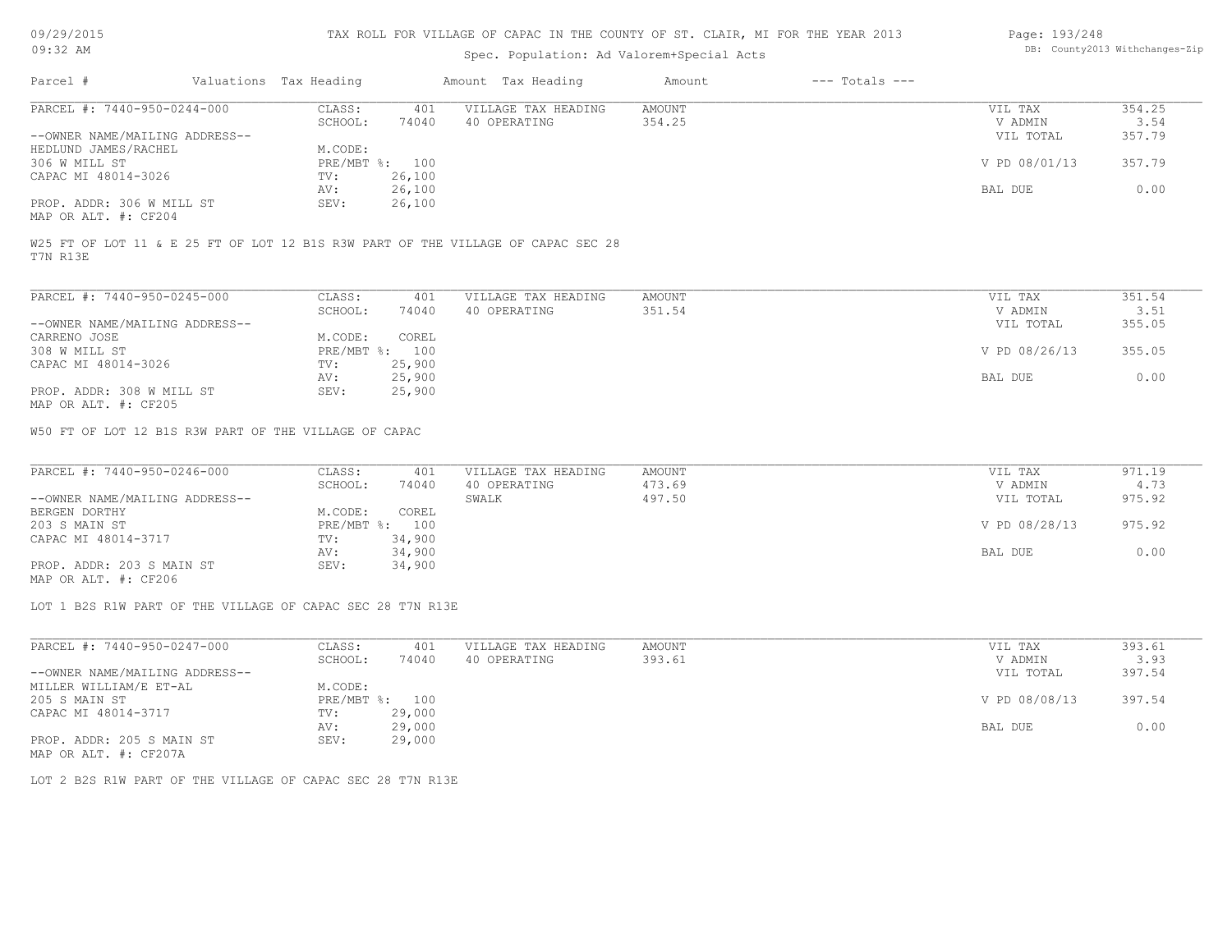# Spec. Population: Ad Valorem+Special Acts

#### Page: 193/248 DB: County2013 Withchanges-Zip

| Parcel #                       | Valuations Tax Heading |                | Amount Tax Heading  | Amount | $---$ Totals $---$ |               |        |
|--------------------------------|------------------------|----------------|---------------------|--------|--------------------|---------------|--------|
| PARCEL #: 7440-950-0244-000    | CLASS:                 | 401            | VILLAGE TAX HEADING | AMOUNT |                    | VIL TAX       | 354.25 |
|                                | SCHOOL:                | 74040          | 40 OPERATING        | 354.25 |                    | V ADMIN       | 3.54   |
| --OWNER NAME/MAILING ADDRESS-- |                        |                |                     |        |                    | VIL TOTAL     | 357.79 |
| HEDLUND JAMES/RACHEL           | M.CODE:                |                |                     |        |                    |               |        |
| 306 W MILL ST                  |                        | PRE/MBT %: 100 |                     |        |                    | V PD 08/01/13 | 357.79 |
| CAPAC MI 48014-3026            | TV:                    | 26,100         |                     |        |                    |               |        |
|                                | AV:                    | 26,100         |                     |        |                    | BAL DUE       | 0.00   |
| PROP. ADDR: 306 W MILL ST      | SEV:                   | 26,100         |                     |        |                    |               |        |
| MAP OR ALT. #: CF204           |                        |                |                     |        |                    |               |        |

W25 FT OF LOT 11 & E 25 FT OF LOT 12 B1S R3W PART OF THE VILLAGE OF CAPAC SEC 28

T7N R13E

| PARCEL #: 7440-950-0245-000    | CLASS:     | 401    | VILLAGE TAX HEADING | AMOUNT | VIL TAX       | 351.54 |
|--------------------------------|------------|--------|---------------------|--------|---------------|--------|
|                                | SCHOOL:    | 74040  | 40 OPERATING        | 351.54 | V ADMIN       | 3.51   |
| --OWNER NAME/MAILING ADDRESS-- |            |        |                     |        | VIL TOTAL     | 355.05 |
| CARRENO JOSE                   | M.CODE:    | COREL  |                     |        |               |        |
| 308 W MILL ST                  | PRE/MBT %: | 100    |                     |        | V PD 08/26/13 | 355.05 |
| CAPAC MI 48014-3026            | TV:        | 25,900 |                     |        |               |        |
|                                | AV:        | 25,900 |                     |        | BAL DUE       | 0.00   |
| PROP. ADDR: 308 W MILL ST      | SEV:       | 25,900 |                     |        |               |        |
| MAP OR ALT. #: CF205           |            |        |                     |        |               |        |

W50 FT OF LOT 12 B1S R3W PART OF THE VILLAGE OF CAPAC

| PARCEL #: 7440-950-0246-000    | CLASS:         | 401    | VILLAGE TAX HEADING | AMOUNT | VIL TAX       | 971.19 |
|--------------------------------|----------------|--------|---------------------|--------|---------------|--------|
|                                | SCHOOL:        | 74040  | 40 OPERATING        | 473.69 | V ADMIN       | 4.73   |
| --OWNER NAME/MAILING ADDRESS-- |                |        | SWALK               | 497.50 | VIL TOTAL     | 975.92 |
| BERGEN DORTHY                  | M.CODE:        | COREL  |                     |        |               |        |
| 203 S MAIN ST                  | PRE/MBT %: 100 |        |                     |        | V PD 08/28/13 | 975.92 |
| CAPAC MI 48014-3717            | TV:            | 34,900 |                     |        |               |        |
|                                | AV:            | 34,900 |                     |        | BAL DUE       | 0.00   |
| PROP. ADDR: 203 S MAIN ST      | SEV:           | 34,900 |                     |        |               |        |
|                                |                |        |                     |        |               |        |

MAP OR ALT. #: CF206

LOT 1 B2S R1W PART OF THE VILLAGE OF CAPAC SEC 28 T7N R13E

| PARCEL #: 7440-950-0247-000    | CLASS:  | 401            | VILLAGE TAX HEADING | AMOUNT | VIL TAX       | 393.61 |
|--------------------------------|---------|----------------|---------------------|--------|---------------|--------|
|                                | SCHOOL: | 74040          | 40 OPERATING        | 393.61 | V ADMIN       | 3.93   |
| --OWNER NAME/MAILING ADDRESS-- |         |                |                     |        | VIL TOTAL     | 397.54 |
| MILLER WILLIAM/E ET-AL         | M.CODE: |                |                     |        |               |        |
| 205 S MAIN ST                  |         | PRE/MBT %: 100 |                     |        | V PD 08/08/13 | 397.54 |
| CAPAC MI 48014-3717            | TV:     | 29,000         |                     |        |               |        |
|                                | AV:     | 29,000         |                     |        | BAL DUE       | 0.00   |
| PROP. ADDR: 205 S MAIN ST      | SEV:    | 29,000         |                     |        |               |        |
| MAP OR ALT. #: CF207A          |         |                |                     |        |               |        |

LOT 2 B2S R1W PART OF THE VILLAGE OF CAPAC SEC 28 T7N R13E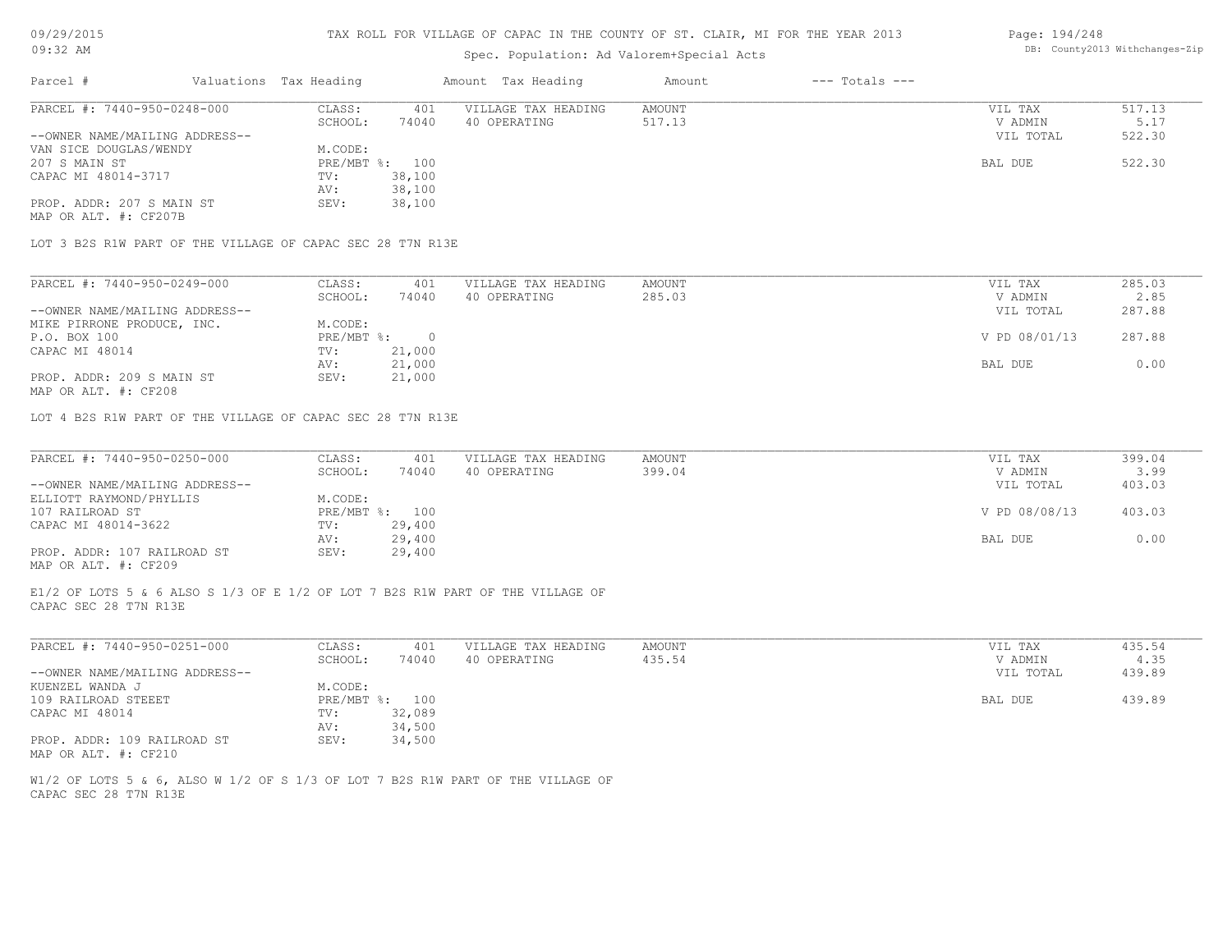# Spec. Population: Ad Valorem+Special Acts

#### Page: 194/248 DB: County2013 Withchanges-Zip

| Parcel #                                                                                  | Valuations Tax Heading |          | Amount Tax Heading  | Amount | $---$ Totals $---$ |               |        |
|-------------------------------------------------------------------------------------------|------------------------|----------|---------------------|--------|--------------------|---------------|--------|
| PARCEL #: 7440-950-0248-000                                                               | CLASS:                 | 401      | VILLAGE TAX HEADING | AMOUNT |                    | VIL TAX       | 517.13 |
|                                                                                           | SCHOOL:                | 74040    | 40 OPERATING        | 517.13 |                    | V ADMIN       | 5.17   |
| --OWNER NAME/MAILING ADDRESS--                                                            |                        |          |                     |        |                    | VIL TOTAL     | 522.30 |
| VAN SICE DOUGLAS/WENDY                                                                    | M.CODE:                |          |                     |        |                    |               |        |
| 207 S MAIN ST                                                                             | PRE/MBT %:             | 100      |                     |        |                    | BAL DUE       | 522.30 |
| CAPAC MI 48014-3717                                                                       | TV:                    | 38,100   |                     |        |                    |               |        |
|                                                                                           | AV:                    | 38,100   |                     |        |                    |               |        |
| PROP. ADDR: 207 S MAIN ST                                                                 | SEV:                   | 38,100   |                     |        |                    |               |        |
| MAP OR ALT. #: CF207B                                                                     |                        |          |                     |        |                    |               |        |
| LOT 3 B2S R1W PART OF THE VILLAGE OF CAPAC SEC 28 T7N R13E<br>PARCEL #: 7440-950-0249-000 | CLASS:                 | 401      | VILLAGE TAX HEADING | AMOUNT |                    | VIL TAX       | 285.03 |
|                                                                                           | SCHOOL:                | 74040    | 40 OPERATING        | 285.03 |                    | V ADMIN       | 2.85   |
| --OWNER NAME/MAILING ADDRESS--                                                            |                        |          |                     |        |                    | VIL TOTAL     | 287.88 |
| MIKE PIRRONE PRODUCE, INC.                                                                | M.CODE:                |          |                     |        |                    |               |        |
| P.O. BOX 100                                                                              | PRE/MBT %:             | $\Omega$ |                     |        |                    | V PD 08/01/13 | 287.88 |
| CAPAC MI 48014                                                                            | TV:                    | 21,000   |                     |        |                    |               |        |
|                                                                                           | AV:                    | 21,000   |                     |        |                    | BAL DUE       | 0.00   |
| PROP. ADDR: 209 S MAIN ST<br>MAP OR ALT. #: CF208                                         | SEV:                   | 21,000   |                     |        |                    |               |        |

LOT 4 B2S R1W PART OF THE VILLAGE OF CAPAC SEC 28 T7N R13E

| PARCEL #: 7440-950-0250-000    | CLASS:     | 401    | VILLAGE TAX HEADING | AMOUNT | VIL TAX       | 399.04 |
|--------------------------------|------------|--------|---------------------|--------|---------------|--------|
|                                | SCHOOL:    | 74040  | 40 OPERATING        | 399.04 | V ADMIN       | 3.99   |
| --OWNER NAME/MAILING ADDRESS-- |            |        |                     |        | VIL TOTAL     | 403.03 |
| ELLIOTT RAYMOND/PHYLLIS        | M.CODE:    |        |                     |        |               |        |
| 107 RAILROAD ST                | PRE/MBT %: | 100    |                     |        | V PD 08/08/13 | 403.03 |
| CAPAC MI 48014-3622            | TV:        | 29,400 |                     |        |               |        |
|                                | AV:        | 29,400 |                     |        | BAL DUE       | 0.00   |
| PROP. ADDR: 107 RAILROAD ST    | SEV:       | 29,400 |                     |        |               |        |
| MAP OR ALT. #: CF209           |            |        |                     |        |               |        |

 $\mathcal{L}_\mathcal{L} = \mathcal{L}_\mathcal{L} = \mathcal{L}_\mathcal{L} = \mathcal{L}_\mathcal{L} = \mathcal{L}_\mathcal{L} = \mathcal{L}_\mathcal{L} = \mathcal{L}_\mathcal{L} = \mathcal{L}_\mathcal{L} = \mathcal{L}_\mathcal{L} = \mathcal{L}_\mathcal{L} = \mathcal{L}_\mathcal{L} = \mathcal{L}_\mathcal{L} = \mathcal{L}_\mathcal{L} = \mathcal{L}_\mathcal{L} = \mathcal{L}_\mathcal{L} = \mathcal{L}_\mathcal{L} = \mathcal{L}_\mathcal{L}$ 

 $\mathcal{L}_\mathcal{L} = \mathcal{L}_\mathcal{L} = \mathcal{L}_\mathcal{L} = \mathcal{L}_\mathcal{L} = \mathcal{L}_\mathcal{L} = \mathcal{L}_\mathcal{L} = \mathcal{L}_\mathcal{L} = \mathcal{L}_\mathcal{L} = \mathcal{L}_\mathcal{L} = \mathcal{L}_\mathcal{L} = \mathcal{L}_\mathcal{L} = \mathcal{L}_\mathcal{L} = \mathcal{L}_\mathcal{L} = \mathcal{L}_\mathcal{L} = \mathcal{L}_\mathcal{L} = \mathcal{L}_\mathcal{L} = \mathcal{L}_\mathcal{L}$ 

CAPAC SEC 28 T7N R13E E1/2 OF LOTS 5 & 6 ALSO S 1/3 OF E 1/2 OF LOT 7 B2S R1W PART OF THE VILLAGE OF

| PARCEL #: 7440-950-0251-000    | CLASS:       | 401    | VILLAGE TAX HEADING | AMOUNT | VIL TAX   | 435.54 |
|--------------------------------|--------------|--------|---------------------|--------|-----------|--------|
|                                | SCHOOL:      | 74040  | 40 OPERATING        | 435.54 | V ADMIN   | 4.35   |
| --OWNER NAME/MAILING ADDRESS-- |              |        |                     |        | VIL TOTAL | 439.89 |
| KUENZEL WANDA J                | M.CODE:      |        |                     |        |           |        |
| 109 RAILROAD STEEET            | $PRE/MBT$ %: | 100    |                     |        | BAL DUE   | 439.89 |
| CAPAC MI 48014                 | TV:          | 32,089 |                     |        |           |        |
|                                | AV:          | 34,500 |                     |        |           |        |
| PROP. ADDR: 109 RAILROAD ST    | SEV:         | 34,500 |                     |        |           |        |
| MAP OR ALT. #: CF210           |              |        |                     |        |           |        |

CAPAC SEC 28 T7N R13E W1/2 OF LOTS 5 & 6, ALSO W 1/2 OF S 1/3 OF LOT 7 B2S R1W PART OF THE VILLAGE OF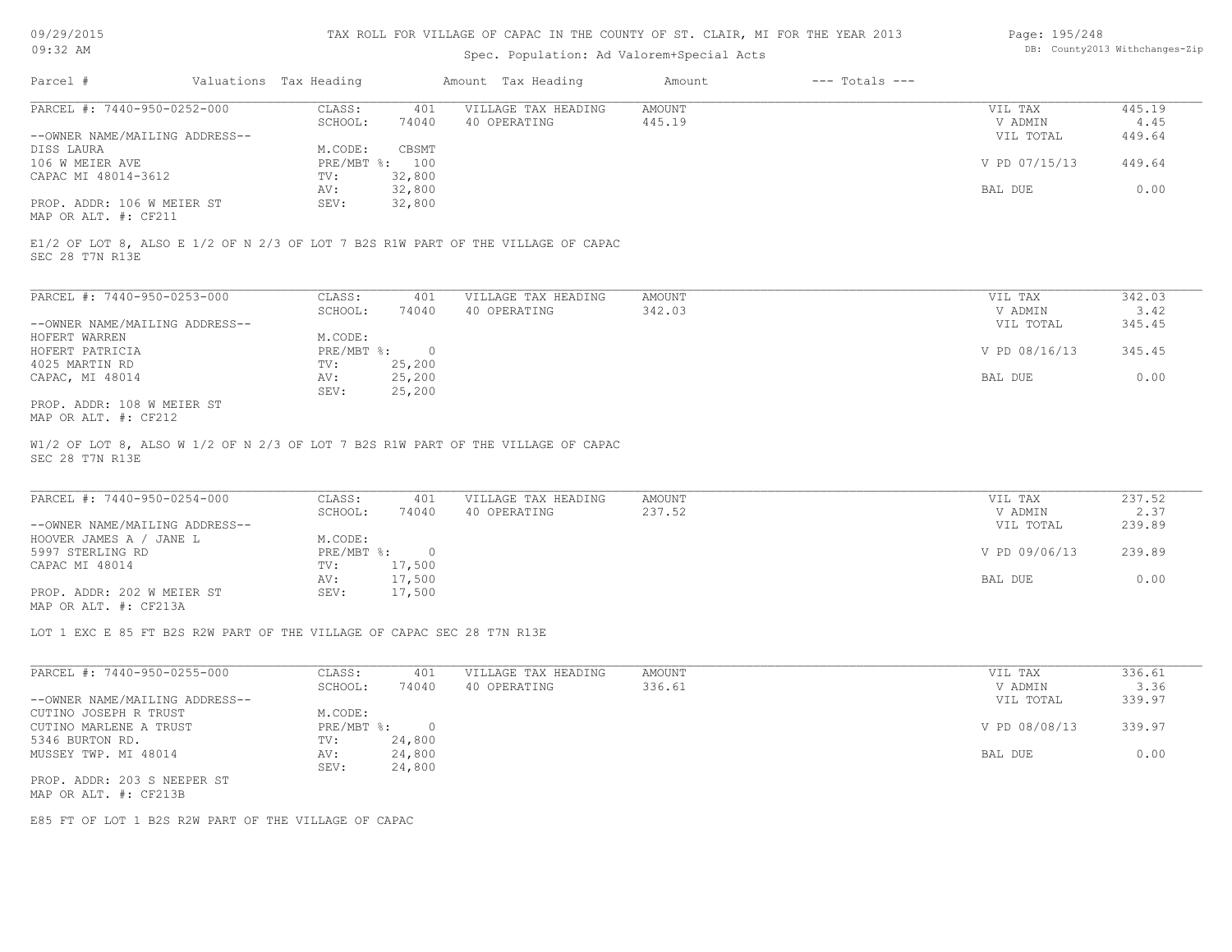# Spec. Population: Ad Valorem+Special Acts

#### Page: 195/248 DB: County2013 Withchanges-Zip

| Parcel #                       | Valuations Tax Heading |        | Amount Tax Heading  | Amount | $---$ Totals $---$ |               |        |
|--------------------------------|------------------------|--------|---------------------|--------|--------------------|---------------|--------|
| PARCEL #: 7440-950-0252-000    | CLASS:                 | 401    | VILLAGE TAX HEADING | AMOUNT |                    | VIL TAX       | 445.19 |
|                                | SCHOOL:                | 74040  | 40 OPERATING        | 445.19 |                    | V ADMIN       | 4.45   |
| --OWNER NAME/MAILING ADDRESS-- |                        |        |                     |        |                    | VIL TOTAL     | 449.64 |
| DISS LAURA                     | M.CODE:                | CBSMT  |                     |        |                    |               |        |
| 106 W MEIER AVE                | PRE/MBT %: 100         |        |                     |        |                    | V PD 07/15/13 | 449.64 |
| CAPAC MI 48014-3612            | TV:                    | 32,800 |                     |        |                    |               |        |
|                                | AV:                    | 32,800 |                     |        |                    | BAL DUE       | 0.00   |
| PROP. ADDR: 106 W MEIER ST     | SEV:                   | 32,800 |                     |        |                    |               |        |
|                                |                        |        |                     |        |                    |               |        |

MAP OR ALT. #: CF211

SEC 28 T7N R13E E1/2 OF LOT 8, ALSO E 1/2 OF N 2/3 OF LOT 7 B2S R1W PART OF THE VILLAGE OF CAPAC

| PARCEL #: 7440-950-0253-000    | CLASS:     | 401    | VILLAGE TAX HEADING | AMOUNT | VIL TAX       | 342.03 |
|--------------------------------|------------|--------|---------------------|--------|---------------|--------|
|                                | SCHOOL:    | 74040  | 40 OPERATING        | 342.03 | V ADMIN       | 3.42   |
| --OWNER NAME/MAILING ADDRESS-- |            |        |                     |        | VIL TOTAL     | 345.45 |
| HOFERT WARREN                  | M.CODE:    |        |                     |        |               |        |
| HOFERT PATRICIA                | PRE/MBT %: |        |                     |        | V PD 08/16/13 | 345.45 |
| 4025 MARTIN RD                 | TV:        | 25,200 |                     |        |               |        |
| CAPAC, MI 48014                | AV:        | 25,200 |                     |        | BAL DUE       | 0.00   |
|                                | SEV:       | 25,200 |                     |        |               |        |
| PROP. ADDR: 108 W MEIER ST     |            |        |                     |        |               |        |

MAP OR ALT. #: CF212

SEC 28 T7N R13E W1/2 OF LOT 8, ALSO W 1/2 OF N 2/3 OF LOT 7 B2S R1W PART OF THE VILLAGE OF CAPAC

| PARCEL #: 7440-950-0254-000    | CLASS:     | 401    | VILLAGE TAX HEADING | AMOUNT | VIL TAX       | 237.52 |
|--------------------------------|------------|--------|---------------------|--------|---------------|--------|
|                                | SCHOOL:    | 74040  | 40 OPERATING        | 237.52 | V ADMIN       | 2.37   |
| --OWNER NAME/MAILING ADDRESS-- |            |        |                     |        | VIL TOTAL     | 239.89 |
| HOOVER JAMES A / JANE L        | M.CODE:    |        |                     |        |               |        |
| 5997 STERLING RD               | PRE/MBT %: | $\Box$ |                     |        | V PD 09/06/13 | 239.89 |
| CAPAC MI 48014                 | TV:        | 17,500 |                     |        |               |        |
|                                | AV:        | 17,500 |                     |        | BAL DUE       | 0.00   |
| PROP. ADDR: 202 W MEIER ST     | SEV:       | 17,500 |                     |        |               |        |
| MAP OR ALT. #: CF213A          |            |        |                     |        |               |        |

 $\mathcal{L}_\mathcal{L} = \mathcal{L}_\mathcal{L} = \mathcal{L}_\mathcal{L} = \mathcal{L}_\mathcal{L} = \mathcal{L}_\mathcal{L} = \mathcal{L}_\mathcal{L} = \mathcal{L}_\mathcal{L} = \mathcal{L}_\mathcal{L} = \mathcal{L}_\mathcal{L} = \mathcal{L}_\mathcal{L} = \mathcal{L}_\mathcal{L} = \mathcal{L}_\mathcal{L} = \mathcal{L}_\mathcal{L} = \mathcal{L}_\mathcal{L} = \mathcal{L}_\mathcal{L} = \mathcal{L}_\mathcal{L} = \mathcal{L}_\mathcal{L}$ 

LOT 1 EXC E 85 FT B2S R2W PART OF THE VILLAGE OF CAPAC SEC 28 T7N R13E

| PARCEL #: 7440-950-0255-000    | CLASS:       | 401    | VILLAGE TAX HEADING | AMOUNT | VIL TAX       | 336.61 |
|--------------------------------|--------------|--------|---------------------|--------|---------------|--------|
|                                | SCHOOL:      | 74040  | 40 OPERATING        | 336.61 | V ADMIN       | 3.36   |
| --OWNER NAME/MAILING ADDRESS-- |              |        |                     |        | VIL TOTAL     | 339.97 |
| CUTINO JOSEPH R TRUST          | M.CODE:      |        |                     |        |               |        |
| CUTINO MARLENE A TRUST         | $PRE/MBT$ %: |        |                     |        | V PD 08/08/13 | 339.97 |
| 5346 BURTON RD.                | TV:          | 24,800 |                     |        |               |        |
| MUSSEY TWP. MI 48014           | AV:          | 24,800 |                     |        | BAL DUE       | 0.00   |
|                                | SEV:         | 24,800 |                     |        |               |        |
| PROP. ADDR: 203 S NEEPER ST    |              |        |                     |        |               |        |
| MAP OR ALT. #: CF213B          |              |        |                     |        |               |        |

E85 FT OF LOT 1 B2S R2W PART OF THE VILLAGE OF CAPAC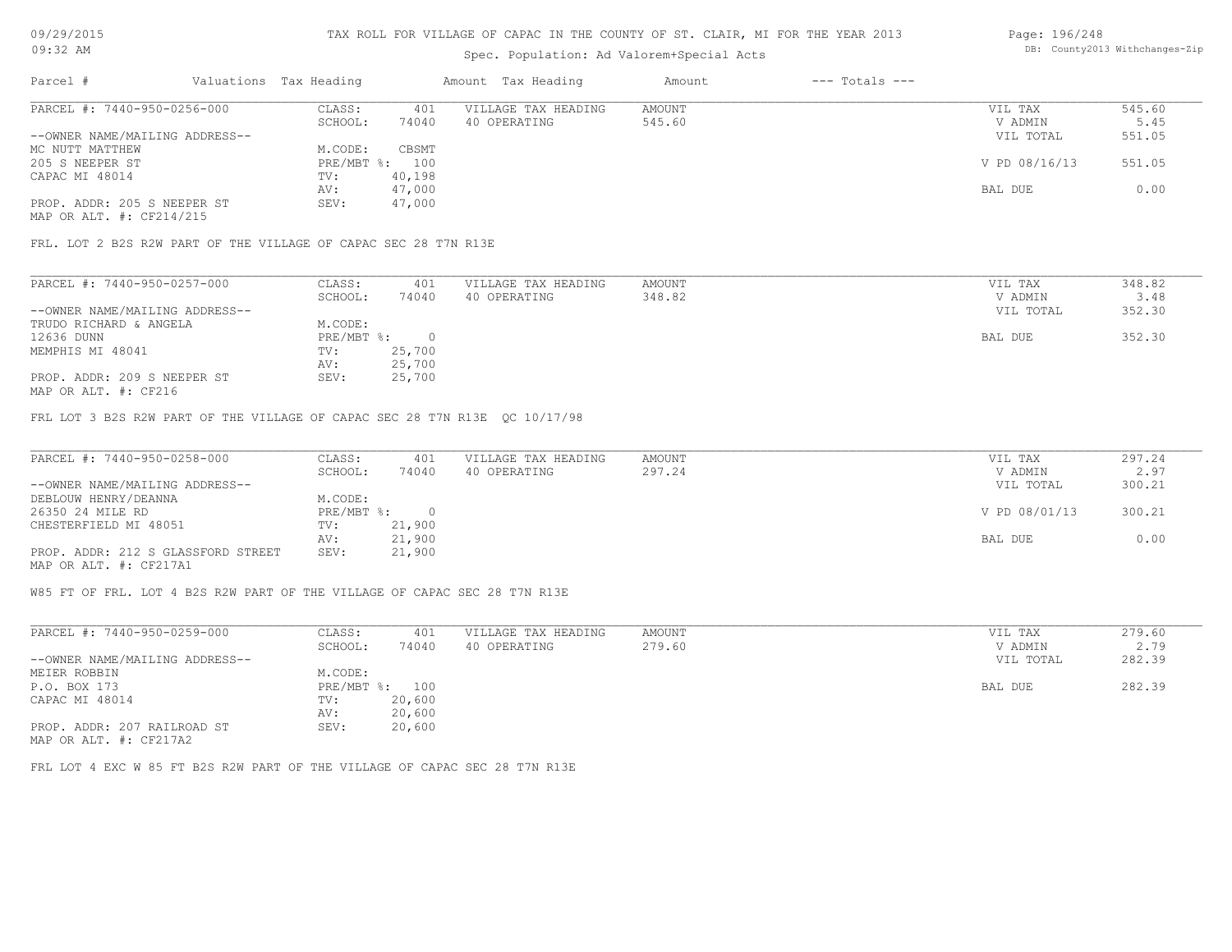# Spec. Population: Ad Valorem+Special Acts

#### Page: 196/248 DB: County2013 Withchanges-Zip

| Parcel #                       | Valuations Tax Heading |        | Amount Tax Heading  | Amount | $---$ Totals $---$ |               |        |
|--------------------------------|------------------------|--------|---------------------|--------|--------------------|---------------|--------|
| PARCEL #: 7440-950-0256-000    | CLASS:                 | 401    | VILLAGE TAX HEADING | AMOUNT |                    | VIL TAX       | 545.60 |
|                                | SCHOOL:                | 74040  | 40 OPERATING        | 545.60 |                    | V ADMIN       | 5.45   |
| --OWNER NAME/MAILING ADDRESS-- |                        |        |                     |        |                    | VIL TOTAL     | 551.05 |
| MC NUTT MATTHEW                | M.CODE:                | CBSMT  |                     |        |                    |               |        |
| 205 S NEEPER ST                | PRE/MBT %: 100         |        |                     |        |                    | V PD 08/16/13 | 551.05 |
| CAPAC MI 48014                 | TV:                    | 40,198 |                     |        |                    |               |        |
|                                | AV:                    | 47,000 |                     |        |                    | BAL DUE       | 0.00   |
| PROP. ADDR: 205 S NEEPER ST    | SEV:                   | 47,000 |                     |        |                    |               |        |
|                                |                        |        |                     |        |                    |               |        |

MAP OR ALT. #: CF214/215

FRL. LOT 2 B2S R2W PART OF THE VILLAGE OF CAPAC SEC 28 T7N R13E

| PARCEL #: 7440-950-0257-000    | CLASS:     | 401    | VILLAGE TAX HEADING | AMOUNT | VIL TAX   | 348.82 |
|--------------------------------|------------|--------|---------------------|--------|-----------|--------|
|                                | SCHOOL:    | 74040  | 40 OPERATING        | 348.82 | V ADMIN   | 3.48   |
| --OWNER NAME/MAILING ADDRESS-- |            |        |                     |        | VIL TOTAL | 352.30 |
| TRUDO RICHARD & ANGELA         | M.CODE:    |        |                     |        |           |        |
| 12636 DUNN                     | PRE/MBT %: |        |                     |        | BAL DUE   | 352.30 |
| MEMPHIS MI 48041               | TV:        | 25,700 |                     |        |           |        |
|                                | AV:        | 25,700 |                     |        |           |        |
| PROP. ADDR: 209 S NEEPER ST    | SEV:       | 25,700 |                     |        |           |        |

MAP OR ALT. #: CF216

FRL LOT 3 B2S R2W PART OF THE VILLAGE OF CAPAC SEC 28 T7N R13E QC 10/17/98

| PARCEL #: 7440-950-0258-000        | CLASS:     | 401    | VILLAGE TAX HEADING | AMOUNT | VIL TAX       | 297.24 |
|------------------------------------|------------|--------|---------------------|--------|---------------|--------|
|                                    | SCHOOL:    | 74040  | 40 OPERATING        | 297.24 | V ADMIN       | 2.97   |
| --OWNER NAME/MAILING ADDRESS--     |            |        |                     |        | VIL TOTAL     | 300.21 |
| DEBLOUW HENRY/DEANNA               | M.CODE:    |        |                     |        |               |        |
| 26350 24 MILE RD                   | PRE/MBT %: |        |                     |        | V PD 08/01/13 | 300.21 |
| CHESTERFIELD MI 48051              | TV:        | 21,900 |                     |        |               |        |
|                                    | AV:        | 21,900 |                     |        | BAL DUE       | 0.00   |
| PROP. ADDR: 212 S GLASSFORD STREET | SEV:       | 21,900 |                     |        |               |        |
| MAP OR ALT. #: CF217A1             |            |        |                     |        |               |        |

W85 FT OF FRL. LOT 4 B2S R2W PART OF THE VILLAGE OF CAPAC SEC 28 T7N R13E

| PARCEL #: 7440-950-0259-000    | CLASS:     | 401    | VILLAGE TAX HEADING | AMOUNT | VIL TAX   | 279.60 |
|--------------------------------|------------|--------|---------------------|--------|-----------|--------|
|                                | SCHOOL:    | 74040  | 40 OPERATING        | 279.60 | V ADMIN   | 2.79   |
| --OWNER NAME/MAILING ADDRESS-- |            |        |                     |        | VIL TOTAL | 282.39 |
| MEIER ROBBIN                   | M.CODE:    |        |                     |        |           |        |
| P.O. BOX 173                   | PRE/MBT %: | 100    |                     |        | BAL DUE   | 282.39 |
| CAPAC MI 48014                 | TV:        | 20,600 |                     |        |           |        |
|                                | AV:        | 20,600 |                     |        |           |        |
| PROP. ADDR: 207 RAILROAD ST    | SEV:       | 20,600 |                     |        |           |        |
| MAP OR ALT. #: CF217A2         |            |        |                     |        |           |        |

FRL LOT 4 EXC W 85 FT B2S R2W PART OF THE VILLAGE OF CAPAC SEC 28 T7N R13E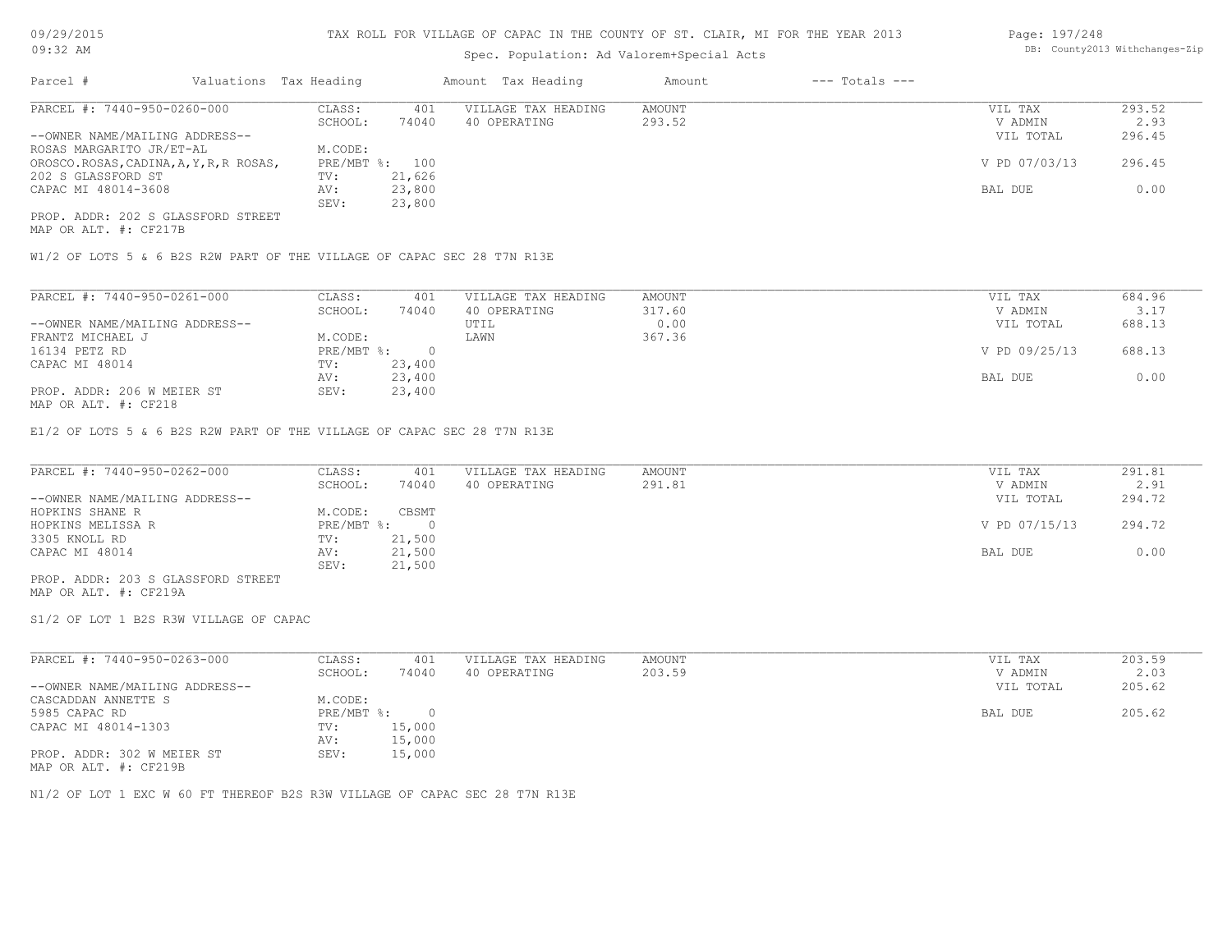# Spec. Population: Ad Valorem+Special Acts

#### Page: 197/248 DB: County2013 Withchanges-Zip

| Parcel #                                | Valuations Tax Heading |                | Amount Tax Heading  | Amount | $---$ Totals $---$ |               |        |
|-----------------------------------------|------------------------|----------------|---------------------|--------|--------------------|---------------|--------|
| PARCEL #: 7440-950-0260-000             | CLASS:                 | 401            | VILLAGE TAX HEADING | AMOUNT |                    | VIL TAX       | 293.52 |
|                                         | SCHOOL:                | 74040          | 40 OPERATING        | 293.52 |                    | V ADMIN       | 2.93   |
| --OWNER NAME/MAILING ADDRESS--          |                        |                |                     |        |                    | VIL TOTAL     | 296.45 |
| ROSAS MARGARITO JR/ET-AL                | M.CODE:                |                |                     |        |                    |               |        |
| OROSCO.ROSAS, CADINA, A, Y, R, R ROSAS, |                        | PRE/MBT %: 100 |                     |        |                    | V PD 07/03/13 | 296.45 |
| 202 S GLASSFORD ST                      | TV:                    | 21,626         |                     |        |                    |               |        |
| CAPAC MI 48014-3608                     | AV:                    | 23,800         |                     |        |                    | BAL DUE       | 0.00   |
|                                         | SEV:                   | 23,800         |                     |        |                    |               |        |
| PROP. ADDR: 202 S GLASSFORD STREET      |                        |                |                     |        |                    |               |        |

MAP OR ALT. #: CF217B

W1/2 OF LOTS 5 & 6 B2S R2W PART OF THE VILLAGE OF CAPAC SEC 28 T7N R13E

| PARCEL #: 7440-950-0261-000    | CLASS:     | 401    | VILLAGE TAX HEADING | AMOUNT | VIL TAX       | 684.96 |  |
|--------------------------------|------------|--------|---------------------|--------|---------------|--------|--|
|                                | SCHOOL:    | 74040  | 40 OPERATING        | 317.60 | V ADMIN       | 3.17   |  |
| --OWNER NAME/MAILING ADDRESS-- |            |        | UTIL                | 0.00   | VIL TOTAL     | 688.13 |  |
| FRANTZ MICHAEL J               | M.CODE:    |        | LAWN                | 367.36 |               |        |  |
| 16134 PETZ RD                  | PRE/MBT %: |        |                     |        | V PD 09/25/13 | 688.13 |  |
| CAPAC MI 48014                 | TV:        | 23,400 |                     |        |               |        |  |
|                                | AV:        | 23,400 |                     |        | BAL DUE       | 0.00   |  |
| PROP. ADDR: 206 W MEIER ST     | SEV:       | 23,400 |                     |        |               |        |  |
| $MAD$ $CD$ $ATH$ $L$ $CDO10$   |            |        |                     |        |               |        |  |

MAP OR ALT. #: CF218

E1/2 OF LOTS 5 & 6 B2S R2W PART OF THE VILLAGE OF CAPAC SEC 28 T7N R13E

| PARCEL #: 7440-950-0262-000        | CLASS:       | 401    | VILLAGE TAX HEADING | AMOUNT | VIL TAX       | 291.81 |
|------------------------------------|--------------|--------|---------------------|--------|---------------|--------|
|                                    | SCHOOL:      | 74040  | 40 OPERATING        | 291.81 | V ADMIN       | 2.91   |
| --OWNER NAME/MAILING ADDRESS--     |              |        |                     |        | VIL TOTAL     | 294.72 |
| HOPKINS SHANE R                    | M.CODE:      | CBSMT  |                     |        |               |        |
| HOPKINS MELISSA R                  | $PRE/MBT$ %: |        |                     |        | V PD 07/15/13 | 294.72 |
| 3305 KNOLL RD                      | TV:          | 21,500 |                     |        |               |        |
| CAPAC MI 48014                     | AV:          | 21,500 |                     |        | BAL DUE       | 0.00   |
|                                    | SEV:         | 21,500 |                     |        |               |        |
| PROP. ADDR: 203 S GLASSFORD STREET |              |        |                     |        |               |        |
|                                    |              |        |                     |        |               |        |

MAP OR ALT. #: CF219A

S1/2 OF LOT 1 B2S R3W VILLAGE OF CAPAC

| PARCEL #: 7440-950-0263-000                                      | CLASS:     | 401    | VILLAGE TAX HEADING | AMOUNT | VIL TAX   | 203.59 |
|------------------------------------------------------------------|------------|--------|---------------------|--------|-----------|--------|
|                                                                  | SCHOOL:    | 74040  | 40 OPERATING        | 203.59 | V ADMIN   | 2.03   |
| --OWNER NAME/MAILING ADDRESS--                                   |            |        |                     |        | VIL TOTAL | 205.62 |
| CASCADDAN ANNETTE S                                              | M.CODE:    |        |                     |        |           |        |
| 5985 CAPAC RD                                                    | PRE/MBT %: | $\cap$ |                     |        | BAL DUE   | 205.62 |
| CAPAC MI 48014-1303                                              | TV:        | 15,000 |                     |        |           |        |
|                                                                  | AV:        | 15,000 |                     |        |           |        |
| PROP. ADDR: 302 W MEIER ST<br>$MAD$ $CD$ $ATH$ $H$ , $CDQ1$ $CD$ | SEV:       | 15,000 |                     |        |           |        |

MAP OR ALT. #: CF219B

N1/2 OF LOT 1 EXC W 60 FT THEREOF B2S R3W VILLAGE OF CAPAC SEC 28 T7N R13E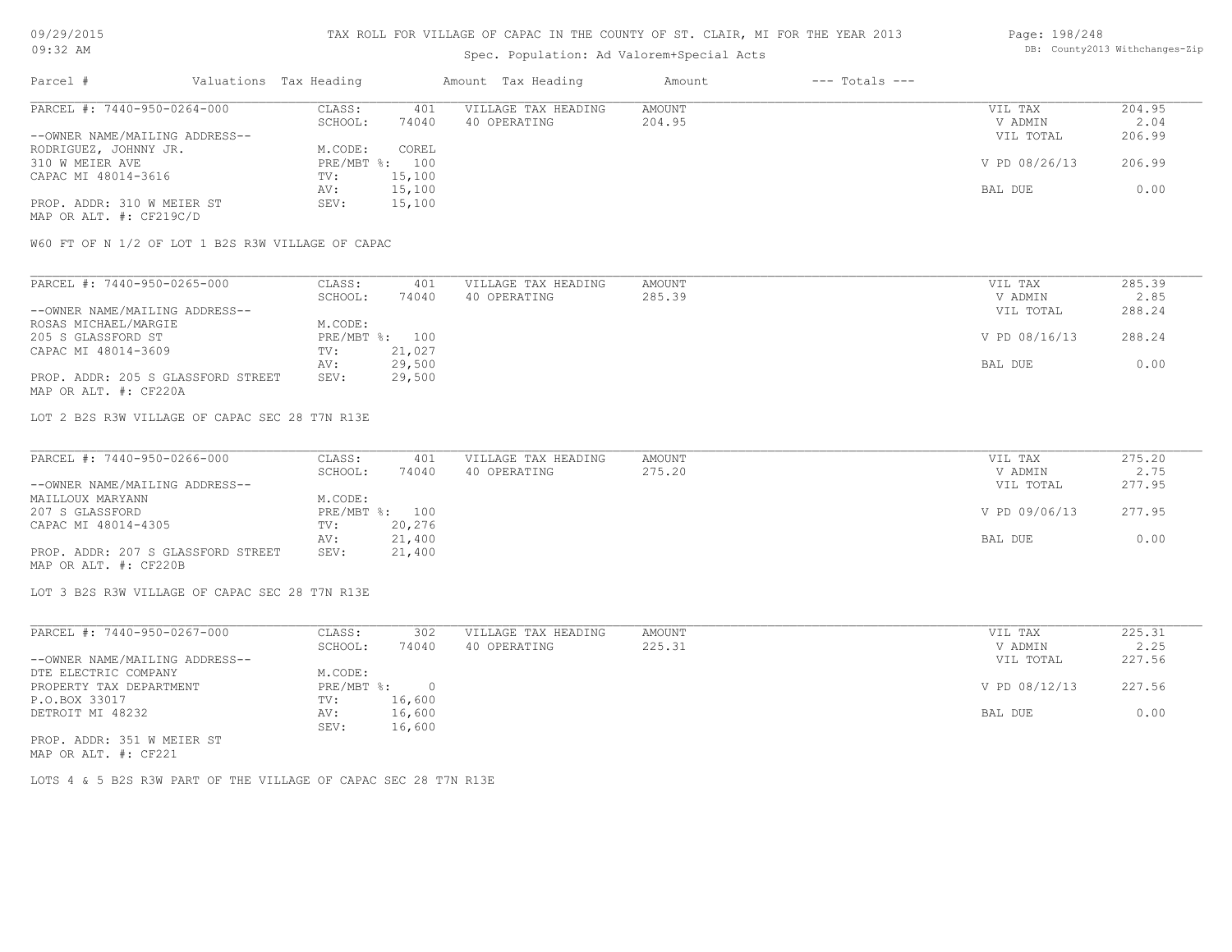# Spec. Population: Ad Valorem+Special Acts

#### Page: 198/248 DB: County2013 Withchanges-Zip

| Parcel #                                              | Valuations Tax Heading |                | Amount Tax Heading  | Amount | $---$ Totals $---$ |               |        |
|-------------------------------------------------------|------------------------|----------------|---------------------|--------|--------------------|---------------|--------|
| PARCEL #: 7440-950-0264-000                           | CLASS:                 | 401            | VILLAGE TAX HEADING | AMOUNT |                    | VIL TAX       | 204.95 |
|                                                       | SCHOOL:                | 74040          | 40 OPERATING        | 204.95 |                    | V ADMIN       | 2.04   |
| --OWNER NAME/MAILING ADDRESS--                        |                        |                |                     |        |                    | VIL TOTAL     | 206.99 |
| RODRIGUEZ, JOHNNY JR.                                 | M.CODE:                | COREL          |                     |        |                    |               |        |
| 310 W MEIER AVE                                       |                        | PRE/MBT %: 100 |                     |        |                    | V PD 08/26/13 | 206.99 |
| CAPAC MI 48014-3616                                   | TV:                    | 15,100         |                     |        |                    |               |        |
|                                                       | AV:                    | 15,100         |                     |        |                    | BAL DUE       | 0.00   |
| PROP. ADDR: 310 W MEIER ST<br>MAP OR ALT. #: CF219C/D | SEV:                   | 15,100         |                     |        |                    |               |        |

W60 FT OF N 1/2 OF LOT 1 B2S R3W VILLAGE OF CAPAC

| PARCEL #: 7440-950-0265-000        | CLASS:     | 401    | VILLAGE TAX HEADING | AMOUNT | VIL TAX       | 285.39 |
|------------------------------------|------------|--------|---------------------|--------|---------------|--------|
|                                    | SCHOOL:    | 74040  | 40 OPERATING        | 285.39 | V ADMIN       | 2.85   |
| --OWNER NAME/MAILING ADDRESS--     |            |        |                     |        | VIL TOTAL     | 288.24 |
| ROSAS MICHAEL/MARGIE               | M.CODE:    |        |                     |        |               |        |
| 205 S GLASSFORD ST                 | PRE/MBT %: | 100    |                     |        | V PD 08/16/13 | 288.24 |
| CAPAC MI 48014-3609                | TV:        | 21,027 |                     |        |               |        |
|                                    | AV:        | 29,500 |                     |        | BAL DUE       | 0.00   |
| PROP. ADDR: 205 S GLASSFORD STREET | SEV:       | 29,500 |                     |        |               |        |
| MAP OR ALT. #: CF220A              |            |        |                     |        |               |        |

LOT 2 B2S R3W VILLAGE OF CAPAC SEC 28 T7N R13E

| PARCEL #: 7440-950-0266-000        | CLASS:  | 401            | VILLAGE TAX HEADING | AMOUNT | VIL TAX       | 275.20 |
|------------------------------------|---------|----------------|---------------------|--------|---------------|--------|
|                                    | SCHOOL: | 74040          | 40 OPERATING        | 275.20 | V ADMIN       | 2.75   |
| --OWNER NAME/MAILING ADDRESS--     |         |                |                     |        | VIL TOTAL     | 277.95 |
| MAILLOUX MARYANN                   | M.CODE: |                |                     |        |               |        |
| 207 S GLASSFORD                    |         | PRE/MBT %: 100 |                     |        | V PD 09/06/13 | 277.95 |
| CAPAC MI 48014-4305                | TV:     | 20,276         |                     |        |               |        |
|                                    | AV:     | 21,400         |                     |        | BAL DUE       | 0.00   |
| PROP. ADDR: 207 S GLASSFORD STREET | SEV:    | 21,400         |                     |        |               |        |
| MAP OR ALT. #: CF220B              |         |                |                     |        |               |        |

LOT 3 B2S R3W VILLAGE OF CAPAC SEC 28 T7N R13E

| PARCEL #: 7440-950-0267-000    | CLASS:     | 302    | VILLAGE TAX HEADING | AMOUNT | VIL TAX       | 225.31 |
|--------------------------------|------------|--------|---------------------|--------|---------------|--------|
|                                | SCHOOL:    | 74040  | 40 OPERATING        | 225.31 | V ADMIN       | 2.25   |
| --OWNER NAME/MAILING ADDRESS-- |            |        |                     |        | VIL TOTAL     | 227.56 |
| DTE ELECTRIC COMPANY           | M.CODE:    |        |                     |        |               |        |
| PROPERTY TAX DEPARTMENT        | PRE/MBT %: |        |                     |        | V PD 08/12/13 | 227.56 |
| P.O.BOX 33017                  | TV:        | 16,600 |                     |        |               |        |
| DETROIT MI 48232               | AV:        | 16,600 |                     |        | BAL DUE       | 0.00   |
|                                | SEV:       | 16,600 |                     |        |               |        |
| PROP. ADDR: 351 W MEIER ST     |            |        |                     |        |               |        |

MAP OR ALT. #: CF221

LOTS 4 & 5 B2S R3W PART OF THE VILLAGE OF CAPAC SEC 28 T7N R13E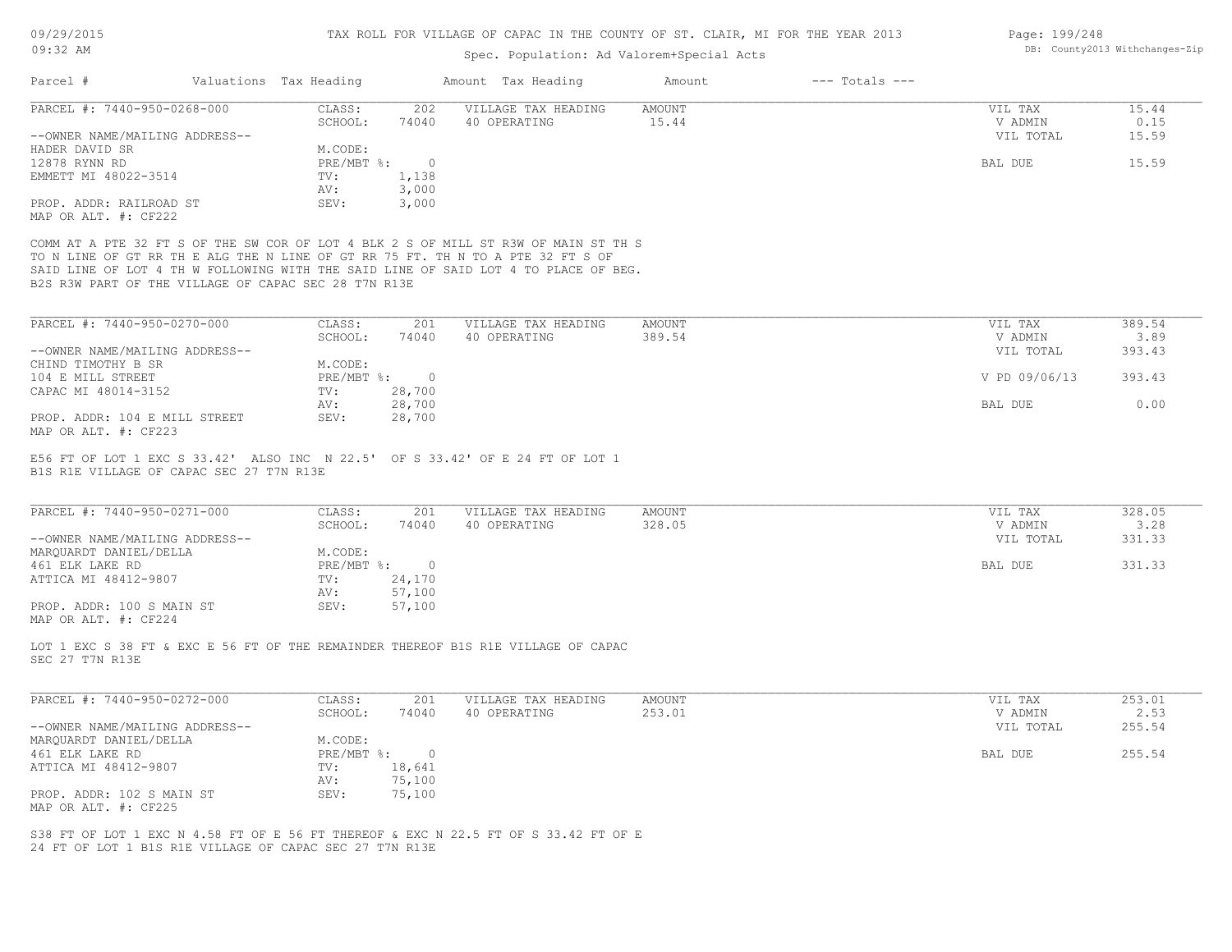# Spec. Population: Ad Valorem+Special Acts

| PARCEL #: 7440-950-0268-000                                          |                                                                                                                                         |                  | Amount Tax Heading                                                                                                                                                         | $---$ Totals $---$<br>Amount |                    |                        |
|----------------------------------------------------------------------|-----------------------------------------------------------------------------------------------------------------------------------------|------------------|----------------------------------------------------------------------------------------------------------------------------------------------------------------------------|------------------------------|--------------------|------------------------|
|                                                                      | CLASS:<br>SCHOOL:                                                                                                                       | 202<br>74040     | VILLAGE TAX HEADING<br>40 OPERATING                                                                                                                                        | AMOUNT<br>15.44              | VIL TAX<br>V ADMIN | 15.44<br>0.15<br>15.59 |
| --OWNER NAME/MAILING ADDRESS--<br>HADER DAVID SR                     | M.CODE:                                                                                                                                 |                  |                                                                                                                                                                            |                              | VIL TOTAL          |                        |
| 12878 RYNN RD                                                        | $PRE/MBT$ $\div$                                                                                                                        | $\circ$<br>1,138 |                                                                                                                                                                            |                              | BAL DUE            | 15.59                  |
| EMMETT MI 48022-3514                                                 | TV:<br>AV:                                                                                                                              | 3,000            |                                                                                                                                                                            |                              |                    |                        |
| PROP. ADDR: RAILROAD ST                                              | SEV:                                                                                                                                    | 3,000            |                                                                                                                                                                            |                              |                    |                        |
| MAP OR ALT. #: CF222                                                 |                                                                                                                                         |                  |                                                                                                                                                                            |                              |                    |                        |
|                                                                      | TO N LINE OF GT RR TH E ALG THE N LINE OF GT RR 75 FT. TH N TO A PTE 32 FT S OF<br>B2S R3W PART OF THE VILLAGE OF CAPAC SEC 28 T7N R13E |                  | COMM AT A PTE 32 FT S OF THE SW COR OF LOT 4 BLK 2 S OF MILL ST R3W OF MAIN ST TH S<br>SAID LINE OF LOT 4 TH W FOLLOWING WITH THE SAID LINE OF SAID LOT 4 TO PLACE OF BEG. |                              |                    |                        |
| PARCEL #: 7440-950-0270-000                                          | CLASS:                                                                                                                                  | 201              | VILLAGE TAX HEADING                                                                                                                                                        | AMOUNT                       | VIL TAX            | 389.54                 |
|                                                                      | SCHOOL:                                                                                                                                 | 74040            | 40 OPERATING                                                                                                                                                               | 389.54                       | V ADMIN            | 3.89                   |
| --OWNER NAME/MAILING ADDRESS--                                       |                                                                                                                                         |                  |                                                                                                                                                                            |                              | VIL TOTAL          | 393.43                 |
| CHIND TIMOTHY B SR                                                   | M.CODE:                                                                                                                                 |                  |                                                                                                                                                                            |                              |                    |                        |
| 104 E MILL STREET                                                    | $PRE/MBT$ $\frac{6}{3}$ :                                                                                                               | $\circ$          |                                                                                                                                                                            |                              | V PD 09/06/13      | 393.43                 |
| CAPAC MI 48014-3152                                                  | TV:                                                                                                                                     | 28,700           |                                                                                                                                                                            |                              |                    |                        |
|                                                                      | AV:                                                                                                                                     | 28,700           |                                                                                                                                                                            |                              | BAL DUE            | 0.00                   |
| PROP. ADDR: 104 E MILL STREET<br>MAP OR ALT. #: CF223                | SEV:                                                                                                                                    | 28,700           |                                                                                                                                                                            |                              |                    |                        |
| PARCEL #: 7440-950-0271-000                                          | CLASS:                                                                                                                                  | 201              | VILLAGE TAX HEADING                                                                                                                                                        | AMOUNT                       | VIL TAX            | 328.05                 |
|                                                                      | SCHOOL:                                                                                                                                 | 74040            | 40 OPERATING                                                                                                                                                               | 328.05                       | V ADMIN            | 3.28                   |
| --OWNER NAME/MAILING ADDRESS--                                       |                                                                                                                                         |                  |                                                                                                                                                                            |                              | VIL TOTAL          | 331.33                 |
| MAROUARDT DANIEL/DELLA                                               | M.CODE:                                                                                                                                 |                  |                                                                                                                                                                            |                              |                    |                        |
| 461 ELK LAKE RD                                                      | $PRE/MBT$ $\div$ :<br>TV:                                                                                                               | $\circ$          |                                                                                                                                                                            |                              | BAL DUE            | 331.33                 |
| ATTICA MI 48412-9807                                                 |                                                                                                                                         | 24,170           |                                                                                                                                                                            |                              |                    |                        |
|                                                                      |                                                                                                                                         |                  |                                                                                                                                                                            |                              |                    |                        |
|                                                                      | AV:                                                                                                                                     | 57,100           |                                                                                                                                                                            |                              |                    |                        |
|                                                                      | SEV:                                                                                                                                    | 57,100           |                                                                                                                                                                            |                              |                    |                        |
| PROP. ADDR: 100 S MAIN ST<br>MAP OR ALT. #: CF224<br>SEC 27 T7N R13E |                                                                                                                                         |                  | LOT 1 EXC S 38 FT & EXC E 56 FT OF THE REMAINDER THEREOF B1S R1E VILLAGE OF CAPAC                                                                                          |                              |                    |                        |
| PARCEL #: 7440-950-0272-000                                          | CLASS:                                                                                                                                  | 201              | VILLAGE TAX HEADING                                                                                                                                                        | AMOUNT                       | VIL TAX            | 253.01                 |
|                                                                      | SCHOOL:                                                                                                                                 | 74040            | 40 OPERATING                                                                                                                                                               | 253.01                       | V ADMIN            | 2.53                   |
| --OWNER NAME/MAILING ADDRESS--                                       |                                                                                                                                         |                  |                                                                                                                                                                            |                              | VIL TOTAL          | 255.54                 |
| MARQUARDT DANIEL/DELLA                                               | M.CODE:                                                                                                                                 |                  |                                                                                                                                                                            |                              |                    |                        |
| 461 ELK LAKE RD                                                      | $PRE/MBT$ $\div$                                                                                                                        | $\circ$          |                                                                                                                                                                            |                              | BAL DUE            | 255.54                 |
| ATTICA MI 48412-9807                                                 | TV:                                                                                                                                     | 18,641           |                                                                                                                                                                            |                              |                    |                        |
|                                                                      | AV:                                                                                                                                     | 75,100           |                                                                                                                                                                            |                              |                    |                        |
| PROP. ADDR: 102 S MAIN ST                                            | SEV:                                                                                                                                    | 75,100           |                                                                                                                                                                            |                              |                    |                        |
| MAP OR ALT. #: CF225                                                 |                                                                                                                                         |                  |                                                                                                                                                                            |                              |                    |                        |

Page: 199/248 DB: County2013 Withchanges-Zip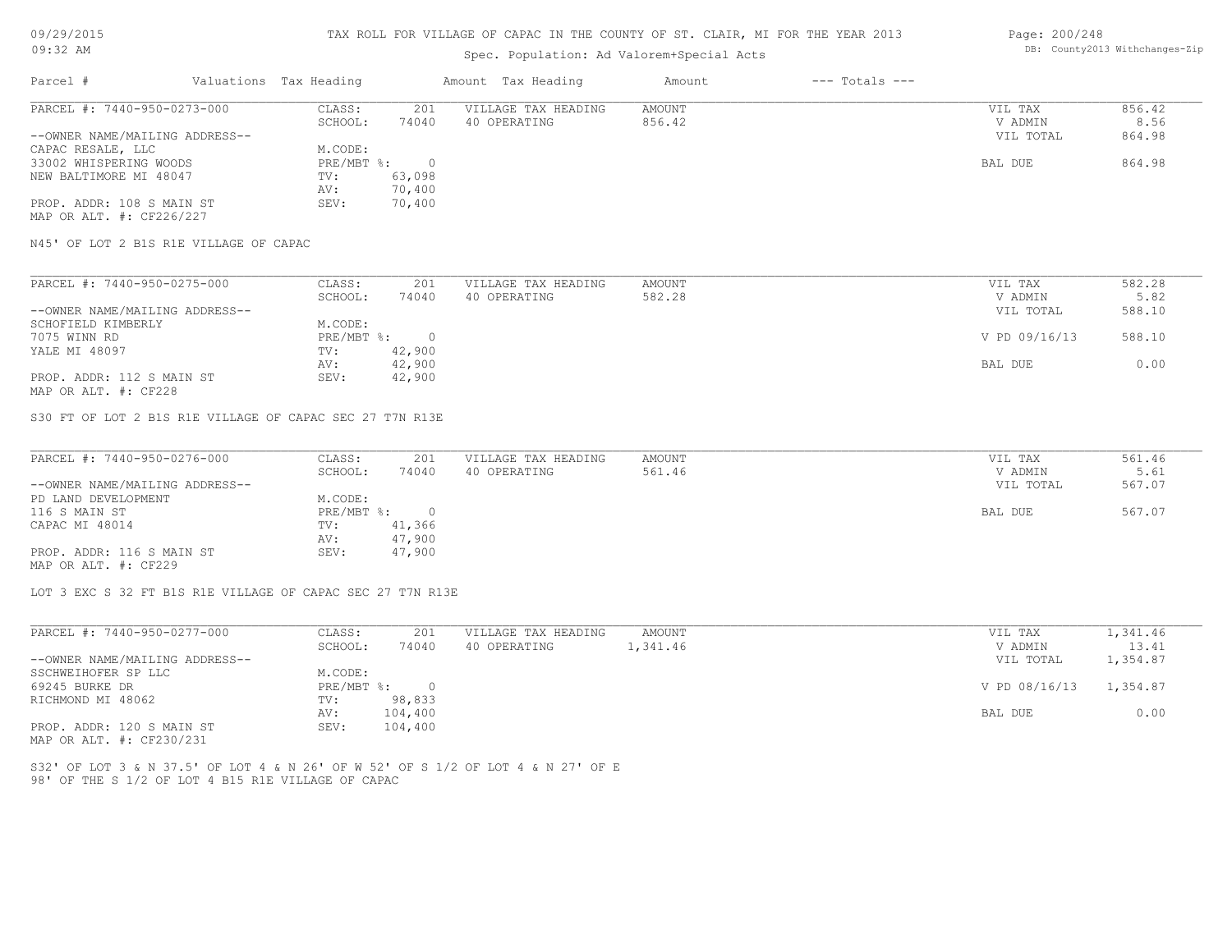# Spec. Population: Ad Valorem+Special Acts

#### Page: 200/248 DB: County2013 Withchanges-Zip

| Parcel #                       | Valuations Tax Heading |        | Amount Tax Heading  | Amount | $---$ Totals $---$ |           |        |
|--------------------------------|------------------------|--------|---------------------|--------|--------------------|-----------|--------|
| PARCEL #: 7440-950-0273-000    | CLASS:                 | 201    | VILLAGE TAX HEADING | AMOUNT |                    | VIL TAX   | 856.42 |
|                                | SCHOOL:                | 74040  | 40 OPERATING        | 856.42 |                    | V ADMIN   | 8.56   |
| --OWNER NAME/MAILING ADDRESS-- |                        |        |                     |        |                    | VIL TOTAL | 864.98 |
| CAPAC RESALE, LLC              | M.CODE:                |        |                     |        |                    |           |        |
| 33002 WHISPERING WOODS         | $PRE/MBT$ %:           |        |                     |        |                    | BAL DUE   | 864.98 |
| NEW BALTIMORE MI 48047         | TV:                    | 63,098 |                     |        |                    |           |        |
|                                | AV:                    | 70,400 |                     |        |                    |           |        |
| PROP. ADDR: 108 S MAIN ST      | SEV:                   | 70,400 |                     |        |                    |           |        |
| MAP OR ALT. #: CF226/227       |                        |        |                     |        |                    |           |        |

N45' OF LOT 2 B1S R1E VILLAGE OF CAPAC

| PARCEL #: 7440-950-0275-000    | CLASS:     | 201    | VILLAGE TAX HEADING | AMOUNT | VIL TAX       | 582.28 |
|--------------------------------|------------|--------|---------------------|--------|---------------|--------|
|                                | SCHOOL:    | 74040  | 40 OPERATING        | 582.28 | V ADMIN       | 5.82   |
| --OWNER NAME/MAILING ADDRESS-- |            |        |                     |        | VIL TOTAL     | 588.10 |
| SCHOFIELD KIMBERLY             | M.CODE:    |        |                     |        |               |        |
| 7075 WINN RD                   | PRE/MBT %: |        |                     |        | V PD 09/16/13 | 588.10 |
| YALE MI 48097                  | TV:        | 42,900 |                     |        |               |        |
|                                | AV:        | 42,900 |                     |        | BAL DUE       | 0.00   |
| PROP. ADDR: 112 S MAIN ST      | SEV:       | 42,900 |                     |        |               |        |
|                                |            |        |                     |        |               |        |

MAP OR ALT. #: CF228

S30 FT OF LOT 2 B1S R1E VILLAGE OF CAPAC SEC 27 T7N R13E

| PARCEL #: 7440-950-0276-000    | CLASS:       | 201      | VILLAGE TAX HEADING | AMOUNT | VIL TAX   | 561.46 |
|--------------------------------|--------------|----------|---------------------|--------|-----------|--------|
|                                | SCHOOL:      | 74040    | 40 OPERATING        | 561.46 | V ADMIN   | 5.61   |
| --OWNER NAME/MAILING ADDRESS-- |              |          |                     |        | VIL TOTAL | 567.07 |
| PD LAND DEVELOPMENT            | M.CODE:      |          |                     |        |           |        |
| 116 S MAIN ST                  | $PRE/MBT$ %: | $\Omega$ |                     |        | BAL DUE   | 567.07 |
| CAPAC MI 48014                 | TV:          | 41,366   |                     |        |           |        |
|                                | AV:          | 47,900   |                     |        |           |        |
| PROP. ADDR: 116 S MAIN ST      | SEV:         | 47,900   |                     |        |           |        |
| MAP OR ALT. #: CF229           |              |          |                     |        |           |        |

 $\mathcal{L}_\mathcal{L} = \mathcal{L}_\mathcal{L} = \mathcal{L}_\mathcal{L} = \mathcal{L}_\mathcal{L} = \mathcal{L}_\mathcal{L} = \mathcal{L}_\mathcal{L} = \mathcal{L}_\mathcal{L} = \mathcal{L}_\mathcal{L} = \mathcal{L}_\mathcal{L} = \mathcal{L}_\mathcal{L} = \mathcal{L}_\mathcal{L} = \mathcal{L}_\mathcal{L} = \mathcal{L}_\mathcal{L} = \mathcal{L}_\mathcal{L} = \mathcal{L}_\mathcal{L} = \mathcal{L}_\mathcal{L} = \mathcal{L}_\mathcal{L}$ 

LOT 3 EXC S 32 FT B1S R1E VILLAGE OF CAPAC SEC 27 T7N R13E

| PARCEL #: 7440-950-0277-000    | CLASS:     | 201      | VILLAGE TAX HEADING | AMOUNT   | VIL TAX       | 1,341.46 |
|--------------------------------|------------|----------|---------------------|----------|---------------|----------|
|                                | SCHOOL:    | 74040    | 40 OPERATING        | 1,341.46 | V ADMIN       | 13.41    |
| --OWNER NAME/MAILING ADDRESS-- |            |          |                     |          | VIL TOTAL     | 1,354.87 |
| SSCHWEIHOFER SP LLC            | M.CODE:    |          |                     |          |               |          |
| 69245 BURKE DR                 | PRE/MBT %: | $\Omega$ |                     |          | V PD 08/16/13 | 1,354.87 |
| RICHMOND MI 48062              | TV:        | 98,833   |                     |          |               |          |
|                                | AV:        | 104,400  |                     |          | BAL DUE       | 0.00     |
| PROP. ADDR: 120 S MAIN ST      | SEV:       | 104,400  |                     |          |               |          |
|                                |            |          |                     |          |               |          |

MAP OR ALT. #: CF230/231

98' OF THE S 1/2 OF LOT 4 B15 R1E VILLAGE OF CAPAC S32' OF LOT 3 & N 37.5' OF LOT 4 & N 26' OF W 52' OF S 1/2 OF LOT 4 & N 27' OF E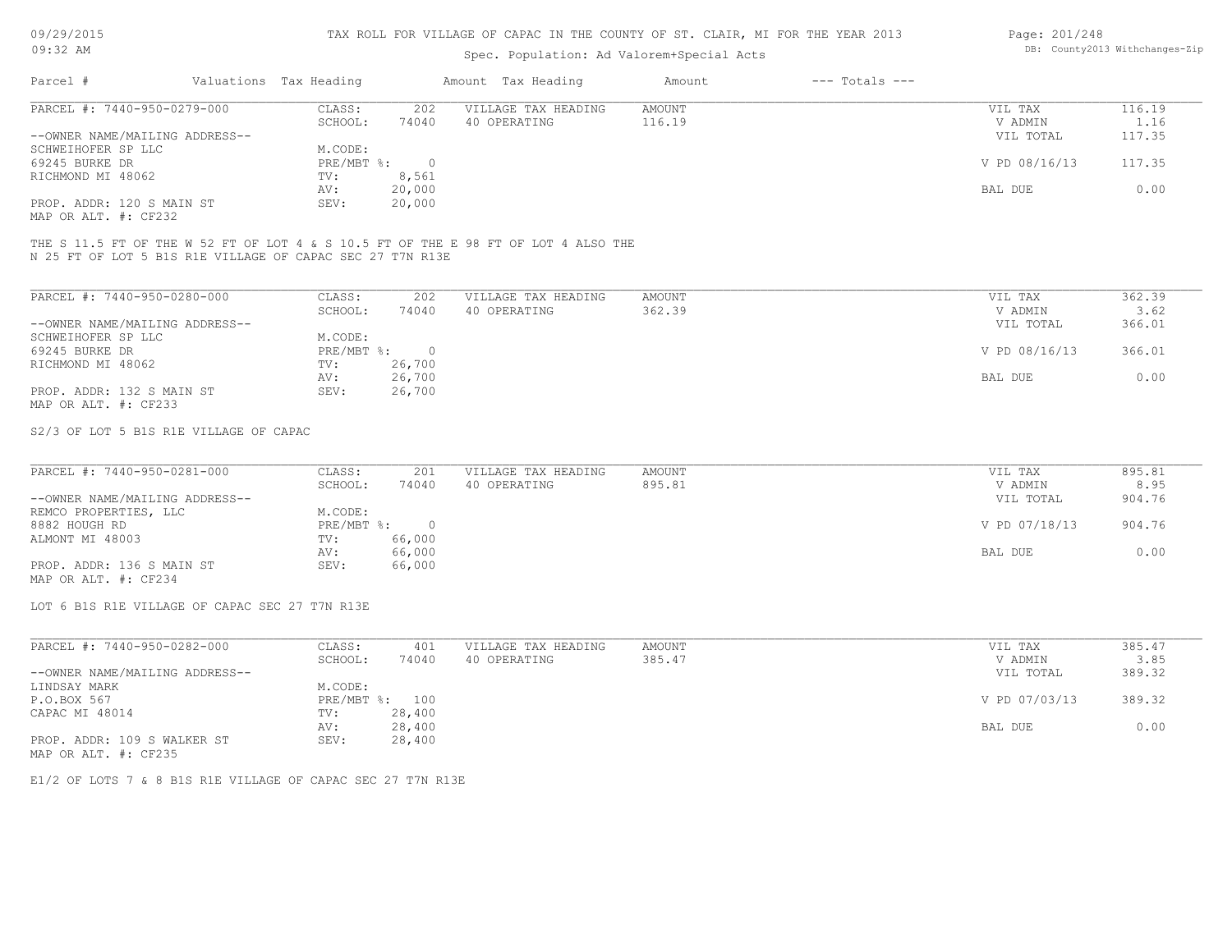# Spec. Population: Ad Valorem+Special Acts

| Page: 201/248 |                                |
|---------------|--------------------------------|
|               | DB: County2013 Withchanges-Zip |

| Parcel #                       | Valuations Tax Heading |        | Amount Tax Heading  | Amount | $---$ Totals $---$ |               |        |
|--------------------------------|------------------------|--------|---------------------|--------|--------------------|---------------|--------|
| PARCEL #: 7440-950-0279-000    | CLASS:                 | 202    | VILLAGE TAX HEADING | AMOUNT |                    | VIL TAX       | 116.19 |
|                                | SCHOOL:                | 74040  | 40 OPERATING        | 116.19 |                    | V ADMIN       | 1.16   |
| --OWNER NAME/MAILING ADDRESS-- |                        |        |                     |        |                    | VIL TOTAL     | 117.35 |
| SCHWEIHOFER SP LLC             | M.CODE:                |        |                     |        |                    |               |        |
| 69245 BURKE DR                 | PRE/MBT %:             |        |                     |        |                    | V PD 08/16/13 | 117.35 |
| RICHMOND MI 48062              | TV:                    | 8,561  |                     |        |                    |               |        |
|                                | AV:                    | 20,000 |                     |        |                    | BAL DUE       | 0.00   |
| PROP. ADDR: 120 S MAIN ST      | SEV:                   | 20,000 |                     |        |                    |               |        |
|                                |                        |        |                     |        |                    |               |        |

MAP OR ALT. #: CF232

N 25 FT OF LOT 5 B1S R1E VILLAGE OF CAPAC SEC 27 T7N R13E THE S 11.5 FT OF THE W 52 FT OF LOT 4 & S 10.5 FT OF THE E 98 FT OF LOT 4 ALSO THE

| PARCEL #: 7440-950-0280-000    | CLASS:     | 202    | VILLAGE TAX HEADING | AMOUNT | 362.39<br>VIL TAX       |  |
|--------------------------------|------------|--------|---------------------|--------|-------------------------|--|
|                                | SCHOOL:    | 74040  | 40 OPERATING        | 362.39 | 3.62<br>V ADMIN         |  |
| --OWNER NAME/MAILING ADDRESS-- |            |        |                     |        | 366.01<br>VIL TOTAL     |  |
| SCHWEIHOFER SP LLC             | M.CODE:    |        |                     |        |                         |  |
| 69245 BURKE DR                 | PRE/MBT %: |        |                     |        | V PD 08/16/13<br>366.01 |  |
| RICHMOND MI 48062              | TV:        | 26,700 |                     |        |                         |  |
|                                | AV:        | 26,700 |                     |        | 0.00<br>BAL DUE         |  |
| PROP. ADDR: 132 S MAIN ST      | SEV:       | 26,700 |                     |        |                         |  |
| MAP OR ALT. #: CF233           |            |        |                     |        |                         |  |

S2/3 OF LOT 5 B1S R1E VILLAGE OF CAPAC

| PARCEL #: 7440-950-0281-000    | CLASS:     | 201    | VILLAGE TAX HEADING | AMOUNT | VIL TAX       | 895.81 |
|--------------------------------|------------|--------|---------------------|--------|---------------|--------|
|                                | SCHOOL:    | 74040  | 40 OPERATING        | 895.81 | V ADMIN       | 8.95   |
| --OWNER NAME/MAILING ADDRESS-- |            |        |                     |        | VIL TOTAL     | 904.76 |
| REMCO PROPERTIES, LLC          | M.CODE:    |        |                     |        |               |        |
| 8882 HOUGH RD                  | PRE/MBT %: |        |                     |        | V PD 07/18/13 | 904.76 |
| ALMONT MI 48003                | TV:        | 66,000 |                     |        |               |        |
|                                | AV:        | 66,000 |                     |        | BAL DUE       | 0.00   |
| PROP. ADDR: 136 S MAIN ST      | SEV:       | 66,000 |                     |        |               |        |
| MAP OR ALT. #: CF234           |            |        |                     |        |               |        |

LOT 6 B1S R1E VILLAGE OF CAPAC SEC 27 T7N R13E

| PARCEL #: 7440-950-0282-000    | CLASS:  | 401            | VILLAGE TAX HEADING | AMOUNT | VIL TAX       | 385.47 |
|--------------------------------|---------|----------------|---------------------|--------|---------------|--------|
|                                | SCHOOL: | 74040          | 40 OPERATING        | 385.47 | V ADMIN       | 3.85   |
| --OWNER NAME/MAILING ADDRESS-- |         |                |                     |        | VIL TOTAL     | 389.32 |
| LINDSAY MARK                   | M.CODE: |                |                     |        |               |        |
| P.O.BOX 567                    |         | PRE/MBT %: 100 |                     |        | V PD 07/03/13 | 389.32 |
| CAPAC MI 48014                 | TV:     | 28,400         |                     |        |               |        |
|                                | AV:     | 28,400         |                     |        | BAL DUE       | 0.00   |
| PROP. ADDR: 109 S WALKER ST    | SEV:    | 28,400         |                     |        |               |        |
| MAP OR ALT. #: CF235           |         |                |                     |        |               |        |

E1/2 OF LOTS 7 & 8 B1S R1E VILLAGE OF CAPAC SEC 27 T7N R13E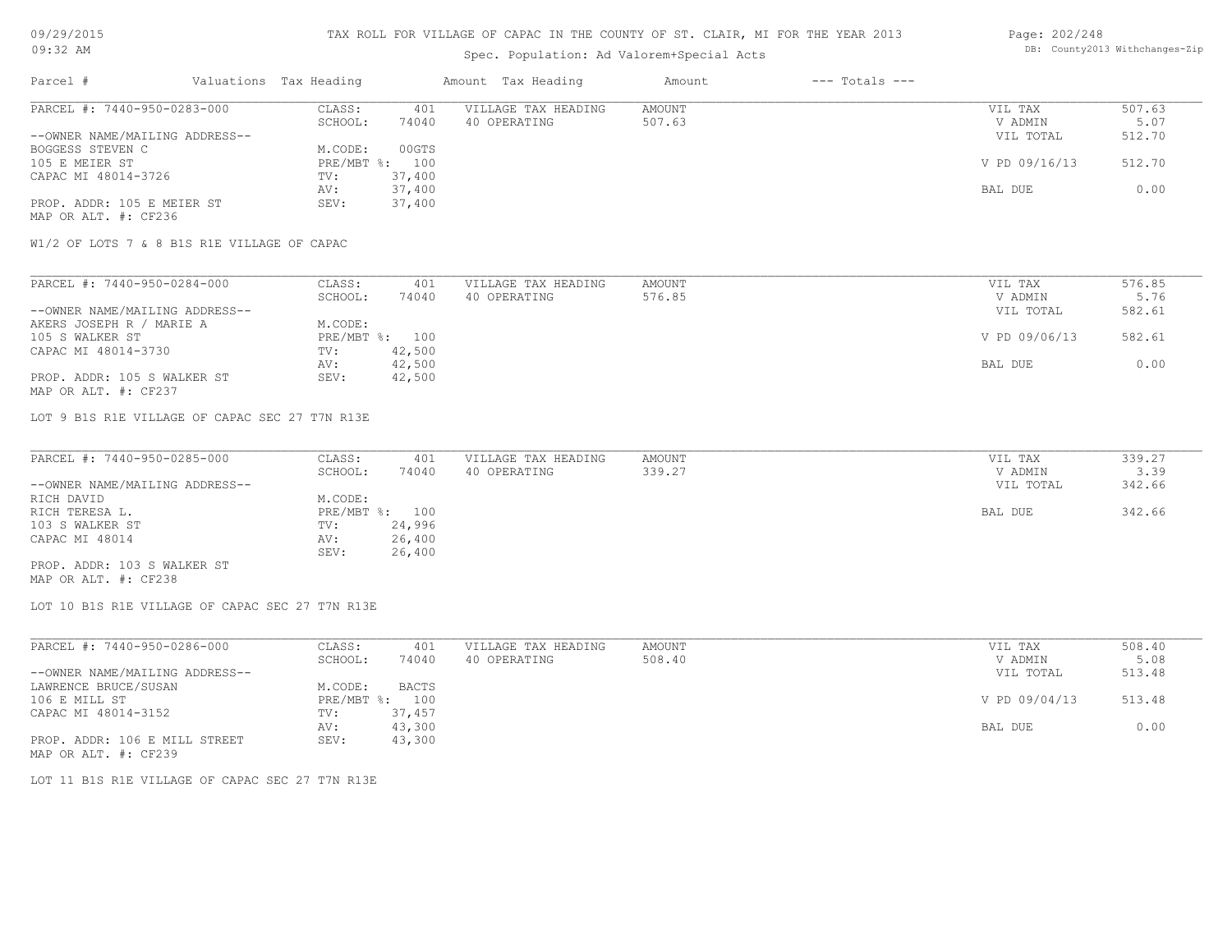# Spec. Population: Ad Valorem+Special Acts

#### Page: 202/248 DB: County2013 Withchanges-Zip

| Parcel #                       | Valuations Tax Heading |        | Amount Tax Heading  | Amount | $---$ Totals $---$ |               |        |
|--------------------------------|------------------------|--------|---------------------|--------|--------------------|---------------|--------|
| PARCEL #: 7440-950-0283-000    | CLASS:                 | 401    | VILLAGE TAX HEADING | AMOUNT |                    | VIL TAX       | 507.63 |
|                                | SCHOOL:                | 74040  | 40 OPERATING        | 507.63 |                    | V ADMIN       | 5.07   |
| --OWNER NAME/MAILING ADDRESS-- |                        |        |                     |        |                    | VIL TOTAL     | 512.70 |
| BOGGESS STEVEN C               | M.CODE:                | 00GTS  |                     |        |                    |               |        |
| 105 E MEIER ST                 | $PRE/MBT$ %:           | 100    |                     |        |                    | V PD 09/16/13 | 512.70 |
| CAPAC MI 48014-3726            | TV:                    | 37,400 |                     |        |                    |               |        |
|                                | AV:                    | 37,400 |                     |        |                    | BAL DUE       | 0.00   |
| PROP. ADDR: 105 E MEIER ST     | SEV:                   | 37,400 |                     |        |                    |               |        |
| MAP OR ALT. #: CF236           |                        |        |                     |        |                    |               |        |

W1/2 OF LOTS 7 & 8 B1S R1E VILLAGE OF CAPAC

| PARCEL #: 7440-950-0284-000    | CLASS:  | 401            | VILLAGE TAX HEADING | AMOUNT | VIL TAX       | 576.85 |
|--------------------------------|---------|----------------|---------------------|--------|---------------|--------|
|                                | SCHOOL: | 74040          | 40 OPERATING        | 576.85 | V ADMIN       | 5.76   |
| --OWNER NAME/MAILING ADDRESS-- |         |                |                     |        | VIL TOTAL     | 582.61 |
| AKERS JOSEPH R / MARIE A       | M.CODE: |                |                     |        |               |        |
| 105 S WALKER ST                |         | PRE/MBT %: 100 |                     |        | V PD 09/06/13 | 582.61 |
| CAPAC MI 48014-3730            | TV:     | 42,500         |                     |        |               |        |
|                                | AV:     | 42,500         |                     |        | BAL DUE       | 0.00   |
| PROP. ADDR: 105 S WALKER ST    | SEV:    | 42,500         |                     |        |               |        |
| MAP OR ALT. #: CF237           |         |                |                     |        |               |        |

LOT 9 B1S R1E VILLAGE OF CAPAC SEC 27 T7N R13E

| PARCEL #: 7440-950-0285-000    | CLASS:  | 401            | VILLAGE TAX HEADING | AMOUNT | VIL TAX   | 339.27 |
|--------------------------------|---------|----------------|---------------------|--------|-----------|--------|
|                                | SCHOOL: | 74040          | 40 OPERATING        | 339.27 | V ADMIN   | 3.39   |
| --OWNER NAME/MAILING ADDRESS-- |         |                |                     |        | VIL TOTAL | 342.66 |
| RICH DAVID                     | M.CODE: |                |                     |        |           |        |
| RICH TERESA L.                 |         | PRE/MBT %: 100 |                     |        | BAL DUE   | 342.66 |
| 103 S WALKER ST                | TV:     | 24,996         |                     |        |           |        |
| CAPAC MI 48014                 | AV:     | 26,400         |                     |        |           |        |
|                                | SEV:    | 26,400         |                     |        |           |        |
| PROP. ADDR: 103 S WALKER ST    |         |                |                     |        |           |        |

MAP OR ALT. #: CF238

LOT 10 B1S R1E VILLAGE OF CAPAC SEC 27 T7N R13E

| PARCEL #: 7440-950-0286-000    | CLASS:  | 401            | VILLAGE TAX HEADING | AMOUNT | VIL TAX       | 508.40 |
|--------------------------------|---------|----------------|---------------------|--------|---------------|--------|
|                                | SCHOOL: | 74040          | 40 OPERATING        | 508.40 | V ADMIN       | 5.08   |
| --OWNER NAME/MAILING ADDRESS-- |         |                |                     |        | VIL TOTAL     | 513.48 |
| LAWRENCE BRUCE/SUSAN           | M.CODE: | BACTS          |                     |        |               |        |
| 106 E MILL ST                  |         | PRE/MBT %: 100 |                     |        | V PD 09/04/13 | 513.48 |
| CAPAC MI 48014-3152            | TV:     | 37,457         |                     |        |               |        |
|                                | AV:     | 43,300         |                     |        | BAL DUE       | 0.00   |
| PROP. ADDR: 106 E MILL STREET  | SEV:    | 43,300         |                     |        |               |        |
| MAP OR ALT. #: CF239           |         |                |                     |        |               |        |

LOT 11 B1S R1E VILLAGE OF CAPAC SEC 27 T7N R13E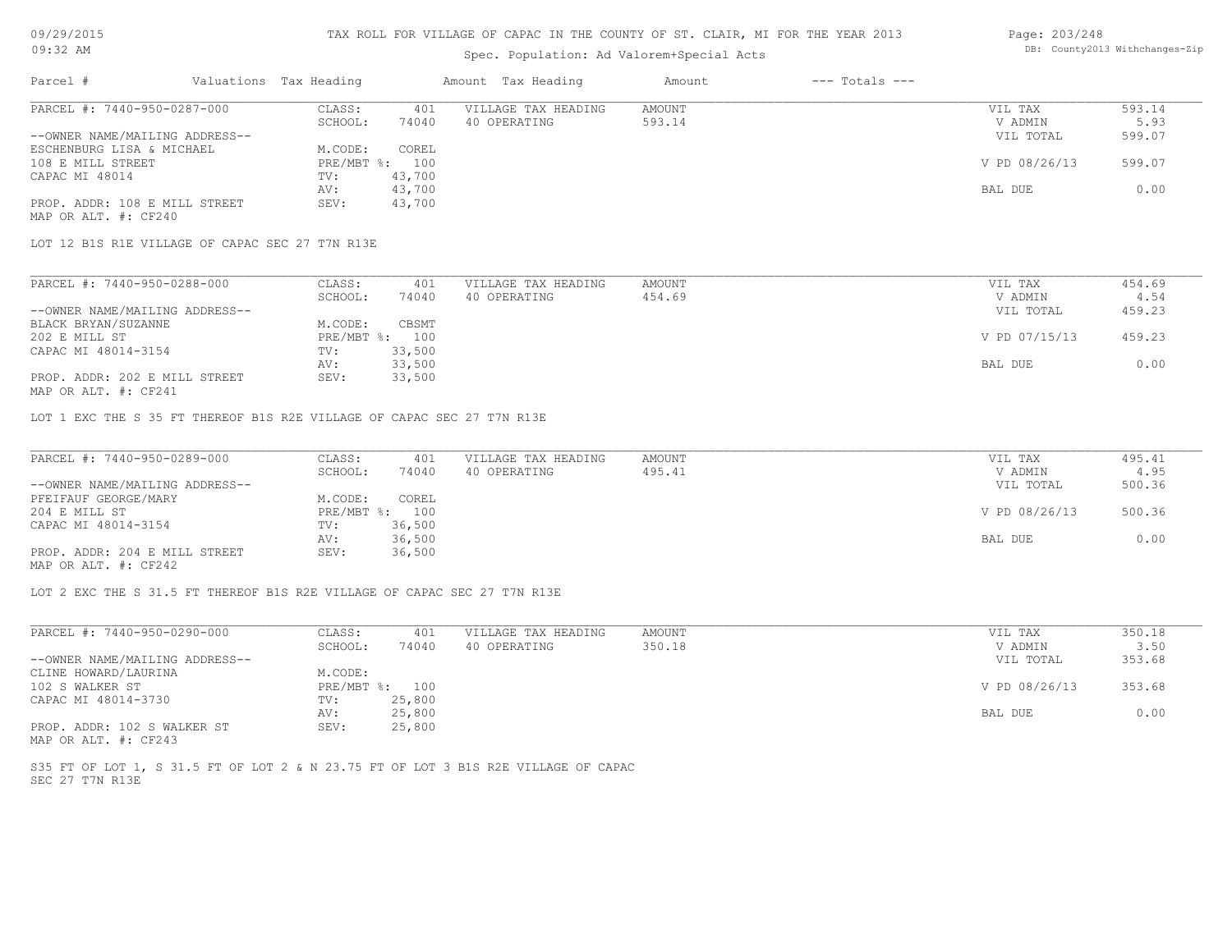# Spec. Population: Ad Valorem+Special Acts

#### Page: 203/248 DB: County2013 Withchanges-Zip

| Parcel #                       | Valuations Tax Heading |        | Amount Tax Heading  | Amount | $---$ Totals $---$ |               |        |
|--------------------------------|------------------------|--------|---------------------|--------|--------------------|---------------|--------|
| PARCEL #: 7440-950-0287-000    | CLASS:                 | 401    | VILLAGE TAX HEADING | AMOUNT |                    | VIL TAX       | 593.14 |
|                                | SCHOOL:                | 74040  | 40 OPERATING        | 593.14 |                    | V ADMIN       | 5.93   |
| --OWNER NAME/MAILING ADDRESS-- |                        |        |                     |        |                    | VIL TOTAL     | 599.07 |
| ESCHENBURG LISA & MICHAEL      | M.CODE:                | COREL  |                     |        |                    |               |        |
| 108 E MILL STREET              | $PRE/MBT$ %:           | 100    |                     |        |                    | V PD 08/26/13 | 599.07 |
| CAPAC MI 48014                 | TV:                    | 43,700 |                     |        |                    |               |        |
|                                | AV:                    | 43,700 |                     |        |                    | BAL DUE       | 0.00   |
| PROP. ADDR: 108 E MILL STREET  | SEV:                   | 43,700 |                     |        |                    |               |        |
| MAP OR ALT. #: CF240           |                        |        |                     |        |                    |               |        |

LOT 12 B1S R1E VILLAGE OF CAPAC SEC 27 T7N R13E

| PARCEL #: 7440-950-0288-000    | CLASS:  | 401            | VILLAGE TAX HEADING | AMOUNT | VIL TAX       | 454.69 |
|--------------------------------|---------|----------------|---------------------|--------|---------------|--------|
|                                | SCHOOL: | 74040          | 40 OPERATING        | 454.69 | V ADMIN       | 4.54   |
| --OWNER NAME/MAILING ADDRESS-- |         |                |                     |        | VIL TOTAL     | 459.23 |
| BLACK BRYAN/SUZANNE            | M.CODE: | CBSMT          |                     |        |               |        |
| 202 E MILL ST                  |         | PRE/MBT %: 100 |                     |        | V PD 07/15/13 | 459.23 |
| CAPAC MI 48014-3154            | TV:     | 33,500         |                     |        |               |        |
|                                | AV:     | 33,500         |                     |        | BAL DUE       | 0.00   |
| PROP. ADDR: 202 E MILL STREET  | SEV:    | 33,500         |                     |        |               |        |
|                                |         |                |                     |        |               |        |

MAP OR ALT. #: CF241

LOT 1 EXC THE S 35 FT THEREOF B1S R2E VILLAGE OF CAPAC SEC 27 T7N R13E

| PARCEL #: 7440-950-0289-000    | CLASS:  | 401            | VILLAGE TAX HEADING | AMOUNT | VIL TAX       | 495.41 |
|--------------------------------|---------|----------------|---------------------|--------|---------------|--------|
|                                | SCHOOL: | 74040          | 40 OPERATING        | 495.41 | V ADMIN       | 4.95   |
| --OWNER NAME/MAILING ADDRESS-- |         |                |                     |        | VIL TOTAL     | 500.36 |
| PFEIFAUF GEORGE/MARY           | M.CODE: | COREL          |                     |        |               |        |
| 204 E MILL ST                  |         | PRE/MBT %: 100 |                     |        | V PD 08/26/13 | 500.36 |
| CAPAC MI 48014-3154            | TV:     | 36,500         |                     |        |               |        |
|                                | AV:     | 36,500         |                     |        | BAL DUE       | 0.00   |
| PROP. ADDR: 204 E MILL STREET  | SEV:    | 36,500         |                     |        |               |        |
| MAP OR ALT. #: CF242           |         |                |                     |        |               |        |

LOT 2 EXC THE S 31.5 FT THEREOF B1S R2E VILLAGE OF CAPAC SEC 27 T7N R13E

| PARCEL #: 7440-950-0290-000                  | CLASS:       | 401    | VILLAGE TAX HEADING | AMOUNT | VIL TAX       | 350.18 |
|----------------------------------------------|--------------|--------|---------------------|--------|---------------|--------|
|                                              | SCHOOL:      | 74040  | 40 OPERATING        | 350.18 | V ADMIN       | 3.50   |
| --OWNER NAME/MAILING ADDRESS--               |              |        |                     |        | VIL TOTAL     | 353.68 |
| CLINE HOWARD/LAURINA                         | M.CODE:      |        |                     |        |               |        |
| 102 S WALKER ST                              | $PRE/MBT$ %: | 100    |                     |        | V PD 08/26/13 | 353.68 |
| CAPAC MI 48014-3730                          | TV:          | 25,800 |                     |        |               |        |
|                                              | AV:          | 25,800 |                     |        | BAL DUE       | 0.00   |
| PROP. ADDR: 102 S WALKER ST<br>$\frac{1}{2}$ | SEV:         | 25,800 |                     |        |               |        |

MAP OR ALT. #: CF243

SEC 27 T7N R13E S35 FT OF LOT 1, S 31.5 FT OF LOT 2 & N 23.75 FT OF LOT 3 B1S R2E VILLAGE OF CAPAC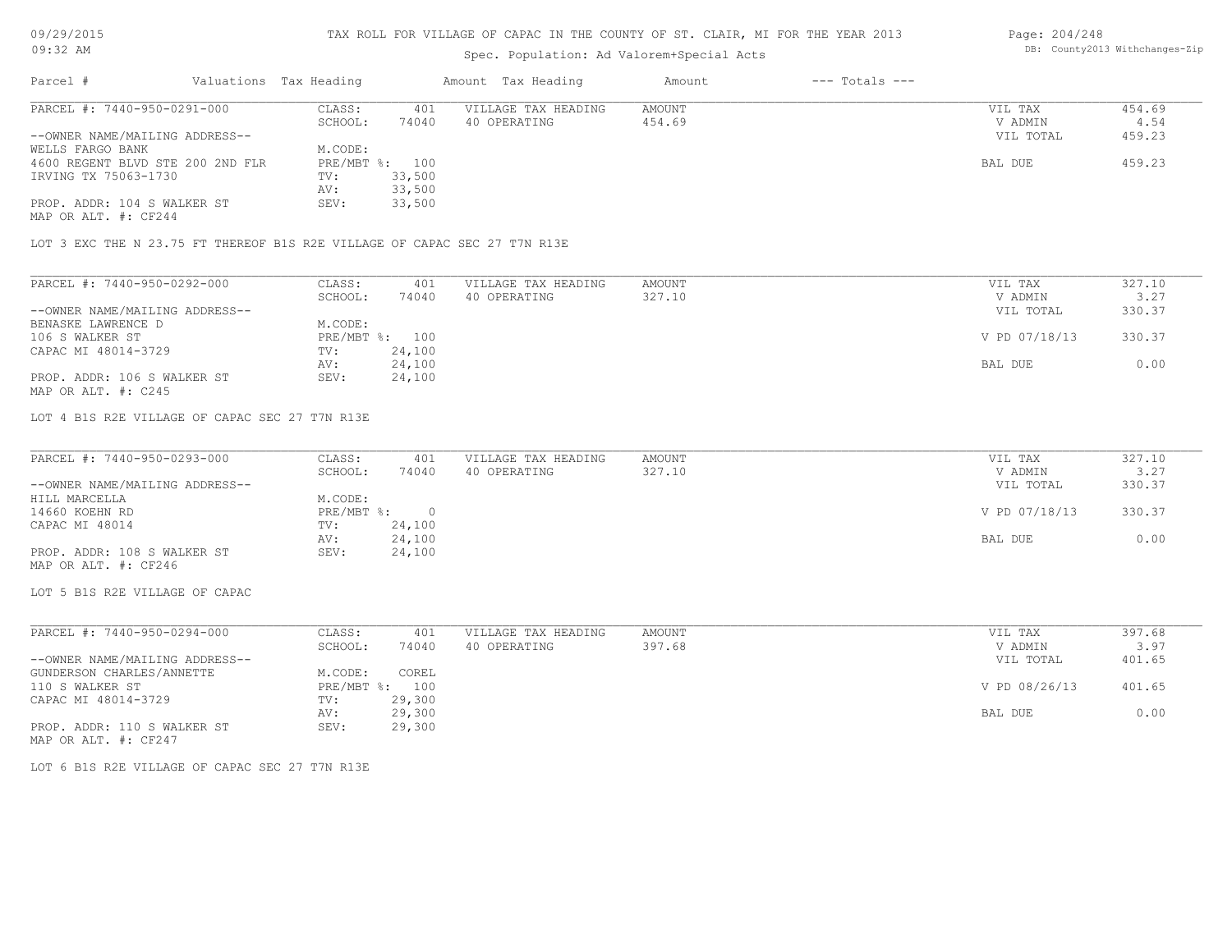# 09/29/2015 09:32 AM

# TAX ROLL FOR VILLAGE OF CAPAC IN THE COUNTY OF ST. CLAIR, MI FOR THE YEAR 2013

# Spec. Population: Ad Valorem+Special Acts

#### Page: 204/248 DB: County2013 Withchanges-Zip

| Parcel #                       |                                  | Valuations Tax Heading |        | Amount Tax Heading  | Amount | $---$ Totals $---$ |           |        |
|--------------------------------|----------------------------------|------------------------|--------|---------------------|--------|--------------------|-----------|--------|
| PARCEL #: 7440-950-0291-000    |                                  | CLASS:                 | 401    | VILLAGE TAX HEADING | AMOUNT |                    | VIL TAX   | 454.69 |
|                                |                                  | SCHOOL:                | 74040  | 40 OPERATING        | 454.69 |                    | V ADMIN   | 4.54   |
| --OWNER NAME/MAILING ADDRESS-- |                                  |                        |        |                     |        |                    | VIL TOTAL | 459.23 |
| WELLS FARGO BANK               |                                  | M.CODE:                |        |                     |        |                    |           |        |
|                                | 4600 REGENT BLVD STE 200 2ND FLR | PRE/MBT %: 100         |        |                     |        |                    | BAL DUE   | 459.23 |
| IRVING TX 75063-1730           |                                  | TV:                    | 33,500 |                     |        |                    |           |        |
|                                |                                  | AV:                    | 33,500 |                     |        |                    |           |        |
| PROP. ADDR: 104 S WALKER ST    |                                  | SEV:                   | 33,500 |                     |        |                    |           |        |
|                                |                                  |                        |        |                     |        |                    |           |        |

MAP OR ALT. #: CF244

LOT 3 EXC THE N 23.75 FT THEREOF B1S R2E VILLAGE OF CAPAC SEC 27 T7N R13E

| PARCEL #: 7440-950-0292-000    | CLASS:  | 401            | VILLAGE TAX HEADING | AMOUNT | VIL TAX       | 327.10 |
|--------------------------------|---------|----------------|---------------------|--------|---------------|--------|
|                                | SCHOOL: | 74040          | 40 OPERATING        | 327.10 | V ADMIN       | 3.27   |
| --OWNER NAME/MAILING ADDRESS-- |         |                |                     |        | VIL TOTAL     | 330.37 |
| BENASKE LAWRENCE D             | M.CODE: |                |                     |        |               |        |
| 106 S WALKER ST                |         | PRE/MBT %: 100 |                     |        | V PD 07/18/13 | 330.37 |
| CAPAC MI 48014-3729            | TV:     | 24,100         |                     |        |               |        |
|                                | AV:     | 24,100         |                     |        | BAL DUE       | 0.00   |
| PROP. ADDR: 106 S WALKER ST    | SEV:    | 24,100         |                     |        |               |        |
| MAP OR ALT. #: C245            |         |                |                     |        |               |        |

LOT 4 B1S R2E VILLAGE OF CAPAC SEC 27 T7N R13E

| PARCEL #: 7440-950-0293-000    | CLASS:     | 401    | VILLAGE TAX HEADING | AMOUNT | VIL TAX       | 327.10 |
|--------------------------------|------------|--------|---------------------|--------|---------------|--------|
|                                | SCHOOL:    | 74040  | 40 OPERATING        | 327.10 | V ADMIN       | 3.27   |
| --OWNER NAME/MAILING ADDRESS-- |            |        |                     |        | VIL TOTAL     | 330.37 |
| HILL MARCELLA                  | M.CODE:    |        |                     |        |               |        |
| 14660 KOEHN RD                 | PRE/MBT %: |        |                     |        | V PD 07/18/13 | 330.37 |
| CAPAC MI 48014                 | TV:        | 24,100 |                     |        |               |        |
|                                | AV:        | 24,100 |                     |        | BAL DUE       | 0.00   |
| PROP. ADDR: 108 S WALKER ST    | SEV:       | 24,100 |                     |        |               |        |
| MAP OR ALT. #: CF246           |            |        |                     |        |               |        |

LOT 5 B1S R2E VILLAGE OF CAPAC

| PARCEL #: 7440-950-0294-000    | CLASS:       | 401    | VILLAGE TAX HEADING | AMOUNT |         | VIL TAX       | 397.68 |
|--------------------------------|--------------|--------|---------------------|--------|---------|---------------|--------|
|                                | SCHOOL:      | 74040  | 40 OPERATING        | 397.68 |         | V ADMIN       | 3.97   |
| --OWNER NAME/MAILING ADDRESS-- |              |        |                     |        |         | VIL TOTAL     | 401.65 |
| GUNDERSON CHARLES/ANNETTE      | M.CODE:      | COREL  |                     |        |         |               |        |
| 110 S WALKER ST                | $PRE/MBT$ %: | 100    |                     |        |         | V PD 08/26/13 | 401.65 |
| CAPAC MI 48014-3729            | TV:          | 29,300 |                     |        |         |               |        |
|                                | AV:          | 29,300 |                     |        | BAL DUE |               | 0.00   |
| PROP. ADDR: 110 S WALKER ST    | SEV:         | 29,300 |                     |        |         |               |        |

MAP OR ALT. #: CF247

LOT 6 B1S R2E VILLAGE OF CAPAC SEC 27 T7N R13E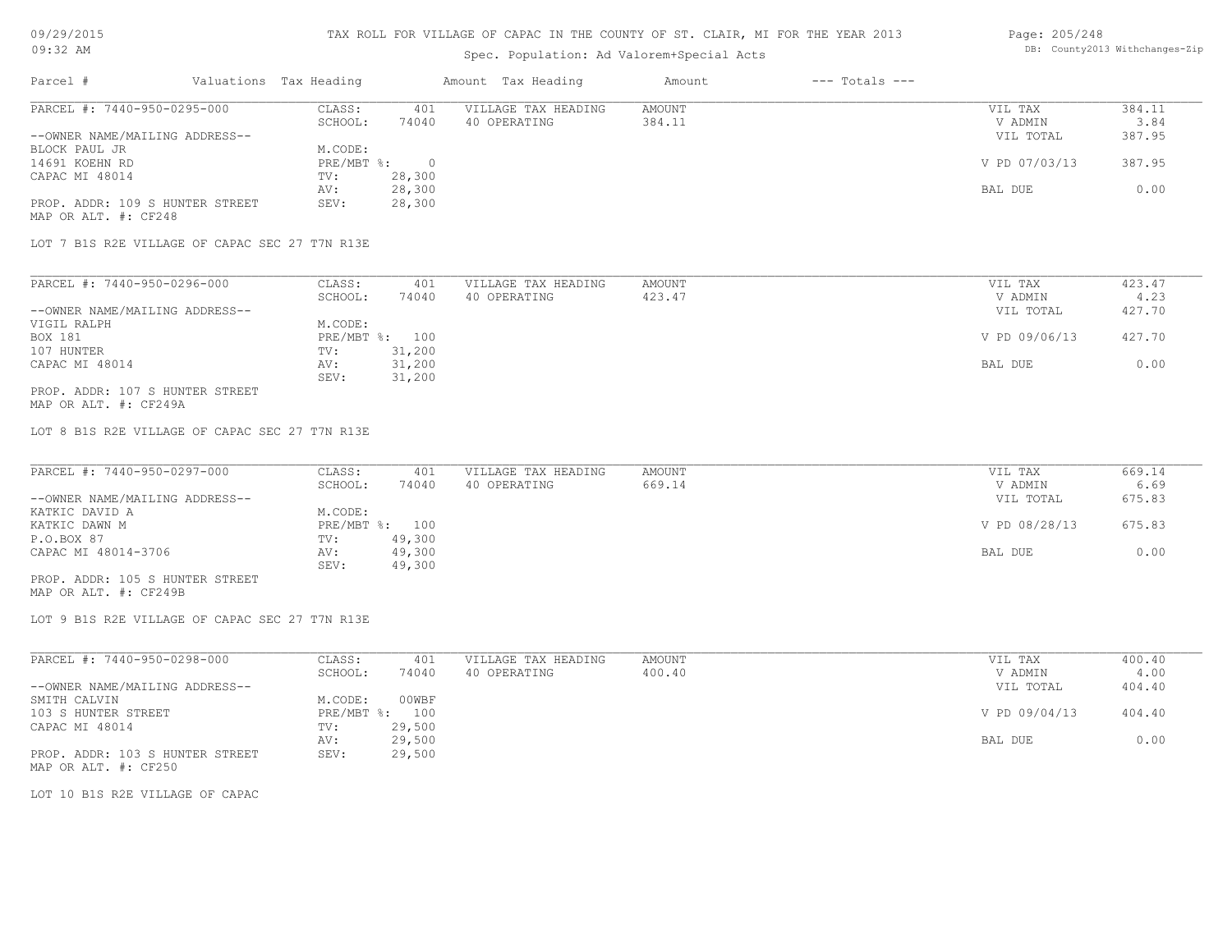# Spec. Population: Ad Valorem+Special Acts

#### Page: 205/248 DB: County2013 Withchanges-Zip

| Parcel #                        | Valuations Tax Heading |        | Amount Tax Heading  | Amount | $---$ Totals $---$ |               |        |
|---------------------------------|------------------------|--------|---------------------|--------|--------------------|---------------|--------|
| PARCEL #: 7440-950-0295-000     | CLASS:                 | 401    | VILLAGE TAX HEADING | AMOUNT |                    | VIL TAX       | 384.11 |
|                                 | SCHOOL:                | 74040  | 40 OPERATING        | 384.11 |                    | V ADMIN       | 3.84   |
| --OWNER NAME/MAILING ADDRESS--  |                        |        |                     |        |                    | VIL TOTAL     | 387.95 |
| BLOCK PAUL JR                   | M.CODE:                |        |                     |        |                    |               |        |
| 14691 KOEHN RD                  | $PRE/MBT$ %:           |        |                     |        |                    | V PD 07/03/13 | 387.95 |
| CAPAC MI 48014                  | TV:                    | 28,300 |                     |        |                    |               |        |
|                                 | AV:                    | 28,300 |                     |        |                    | BAL DUE       | 0.00   |
| PROP. ADDR: 109 S HUNTER STREET | SEV:                   | 28,300 |                     |        |                    |               |        |
| MAP OR ALT. #: CF248            |                        |        |                     |        |                    |               |        |

LOT 7 B1S R2E VILLAGE OF CAPAC SEC 27 T7N R13E

| PARCEL #: 7440-950-0296-000     | CLASS:     | 401    | VILLAGE TAX HEADING | AMOUNT | VIL TAX       | 423.47 |
|---------------------------------|------------|--------|---------------------|--------|---------------|--------|
|                                 | SCHOOL:    | 74040  | 40 OPERATING        | 423.47 | V ADMIN       | 4.23   |
| --OWNER NAME/MAILING ADDRESS--  |            |        |                     |        | VIL TOTAL     | 427.70 |
| VIGIL RALPH                     | M.CODE:    |        |                     |        |               |        |
| BOX 181                         | PRE/MBT %: | 100    |                     |        | V PD 09/06/13 | 427.70 |
| 107 HUNTER                      | TV:        | 31,200 |                     |        |               |        |
| CAPAC MI 48014                  | AV:        | 31,200 |                     |        | BAL DUE       | 0.00   |
|                                 | SEV:       | 31,200 |                     |        |               |        |
| PROP. ADDR: 107 S HUNTER STREET |            |        |                     |        |               |        |

MAP OR ALT. #: CF249A

LOT 8 B1S R2E VILLAGE OF CAPAC SEC 27 T7N R13E

| PARCEL #: 7440-950-0297-000     | CLASS:  | 401            | VILLAGE TAX HEADING | AMOUNT | VIL TAX       | 669.14 |
|---------------------------------|---------|----------------|---------------------|--------|---------------|--------|
|                                 | SCHOOL: | 74040          | 40 OPERATING        | 669.14 | V ADMIN       | 6.69   |
| --OWNER NAME/MAILING ADDRESS--  |         |                |                     |        | VIL TOTAL     | 675.83 |
| KATKIC DAVID A                  | M.CODE: |                |                     |        |               |        |
| KATKIC DAWN M                   |         | PRE/MBT %: 100 |                     |        | V PD 08/28/13 | 675.83 |
| P.O.BOX 87                      | TV:     | 49,300         |                     |        |               |        |
| CAPAC MI 48014-3706             | AV:     | 49,300         |                     |        | BAL DUE       | 0.00   |
|                                 | SEV:    | 49,300         |                     |        |               |        |
| PROP. ADDR: 105 S HUNTER STREET |         |                |                     |        |               |        |

MAP OR ALT. #: CF249B

LOT 9 B1S R2E VILLAGE OF CAPAC SEC 27 T7N R13E

| PARCEL #: 7440-950-0298-000     | CLASS:       | 401    | VILLAGE TAX HEADING | AMOUNT | VIL TAX       | 400.40 |
|---------------------------------|--------------|--------|---------------------|--------|---------------|--------|
|                                 | SCHOOL:      | 74040  | 40 OPERATING        | 400.40 | V ADMIN       | 4.00   |
| --OWNER NAME/MAILING ADDRESS--  |              |        |                     |        | VIL TOTAL     | 404.40 |
| SMITH CALVIN                    | M.CODE:      | 00WBF  |                     |        |               |        |
| 103 S HUNTER STREET             | $PRE/MBT$ %: | 100    |                     |        | V PD 09/04/13 | 404.40 |
| CAPAC MI 48014                  | TV:          | 29,500 |                     |        |               |        |
|                                 | AV:          | 29,500 |                     |        | BAL DUE       | 0.00   |
| PROP. ADDR: 103 S HUNTER STREET | SEV:         | 29,500 |                     |        |               |        |
| MAP OR ALT. #: CF250            |              |        |                     |        |               |        |

LOT 10 B1S R2E VILLAGE OF CAPAC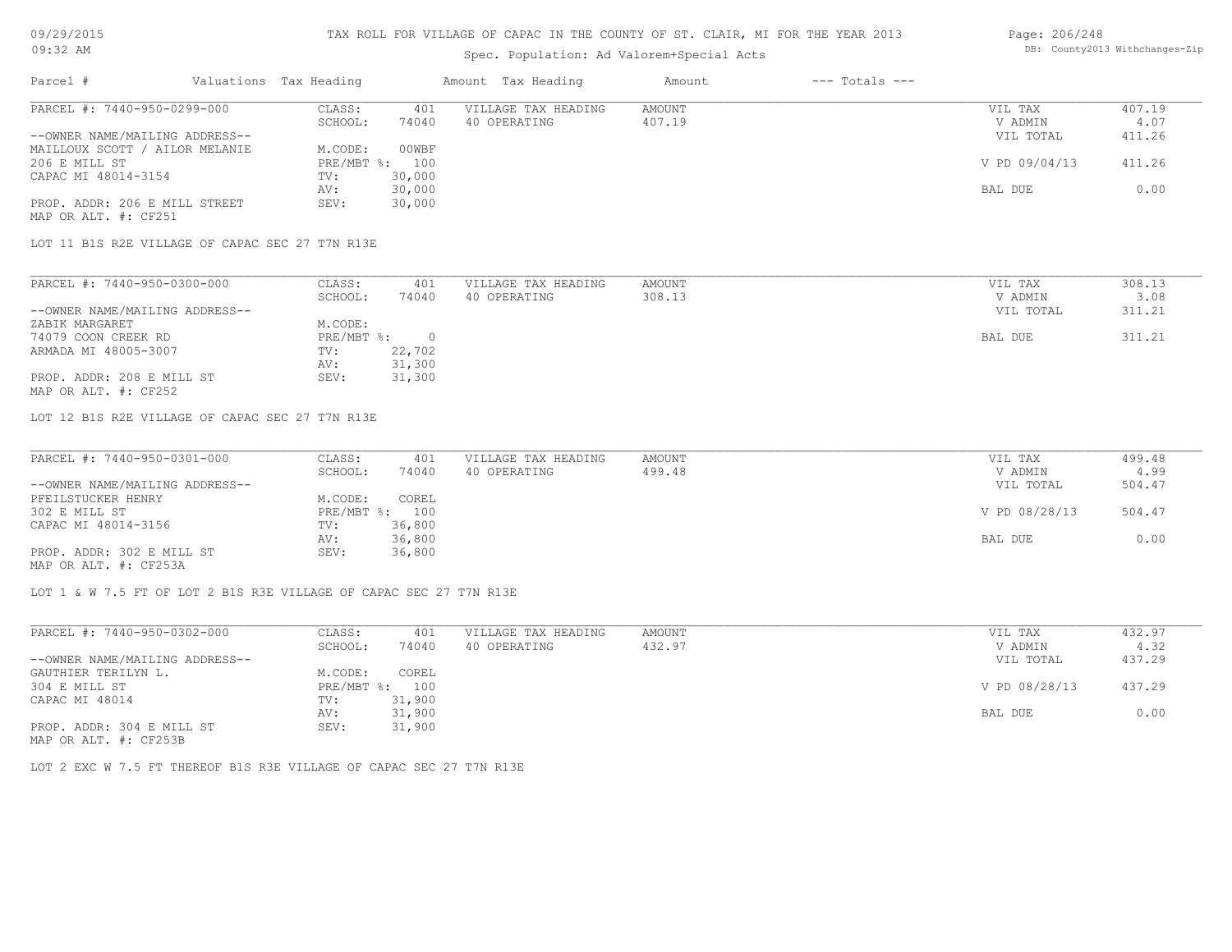# Spec. Population: Ad Valorem+Special Acts

#### Page: 206/248 DB: County2013 Withchanges-Zip

| Parcel #                       | Valuations Tax Heading |                | Amount Tax Heading  | Amount | $---$ Totals $---$ |               |        |
|--------------------------------|------------------------|----------------|---------------------|--------|--------------------|---------------|--------|
| PARCEL #: 7440-950-0299-000    | CLASS:                 | 401            | VILLAGE TAX HEADING | AMOUNT |                    | VIL TAX       | 407.19 |
|                                | SCHOOL:                | 74040          | 40 OPERATING        | 407.19 |                    | V ADMIN       | 4.07   |
| --OWNER NAME/MAILING ADDRESS-- |                        |                |                     |        |                    | VIL TOTAL     | 411.26 |
| MAILLOUX SCOTT / AILOR MELANIE | M.CODE:                | 00WBF          |                     |        |                    |               |        |
| 206 E MILL ST                  |                        | PRE/MBT %: 100 |                     |        |                    | V PD 09/04/13 | 411.26 |
| CAPAC MI 48014-3154            | TV:                    | 30,000         |                     |        |                    |               |        |
|                                | AV:                    | 30,000         |                     |        |                    | BAL DUE       | 0.00   |
| PROP. ADDR: 206 E MILL STREET  | SEV:                   | 30,000         |                     |        |                    |               |        |
| MAP OR ALT. #: CF251           |                        |                |                     |        |                    |               |        |

LOT 11 B1S R2E VILLAGE OF CAPAC SEC 27 T7N R13E

| PARCEL #: 7440-950-0300-000    | CLASS:     | 401    | VILLAGE TAX HEADING | AMOUNT | VIL TAX   | 308.13 |
|--------------------------------|------------|--------|---------------------|--------|-----------|--------|
|                                | SCHOOL:    | 74040  | 40 OPERATING        | 308.13 | V ADMIN   | 3.08   |
| --OWNER NAME/MAILING ADDRESS-- |            |        |                     |        | VIL TOTAL | 311.21 |
| ZABIK MARGARET                 | M.CODE:    |        |                     |        |           |        |
| 74079 COON CREEK RD            | PRE/MBT %: |        |                     |        | BAL DUE   | 311.21 |
| ARMADA MI 48005-3007           | TV:        | 22,702 |                     |        |           |        |
|                                | AV:        | 31,300 |                     |        |           |        |
| PROP. ADDR: 208 E MILL ST      | SEV:       | 31,300 |                     |        |           |        |
| MAP OR ALT. #: CF252           |            |        |                     |        |           |        |

LOT 12 B1S R2E VILLAGE OF CAPAC SEC 27 T7N R13E

| PARCEL #: 7440-950-0301-000    | CLASS:  | 401            | VILLAGE TAX HEADING | AMOUNT | VIL TAX       | 499.48 |
|--------------------------------|---------|----------------|---------------------|--------|---------------|--------|
|                                | SCHOOL: | 74040          | 40 OPERATING        | 499.48 | V ADMIN       | 4.99   |
| --OWNER NAME/MAILING ADDRESS-- |         |                |                     |        | VIL TOTAL     | 504.47 |
| PFEILSTUCKER HENRY             | M.CODE: | COREL          |                     |        |               |        |
| 302 E MILL ST                  |         | PRE/MBT %: 100 |                     |        | V PD 08/28/13 | 504.47 |
| CAPAC MI 48014-3156            | TV:     | 36,800         |                     |        |               |        |
|                                | AV:     | 36,800         |                     |        | BAL DUE       | 0.00   |
| PROP. ADDR: 302 E MILL ST      | SEV:    | 36,800         |                     |        |               |        |
| MAP OR ALT. #: CF253A          |         |                |                     |        |               |        |

LOT 1 & W 7.5 FT OF LOT 2 B1S R3E VILLAGE OF CAPAC SEC 27 T7N R13E

LOT 2 EXC W 7.5 FT THEREOF B1S R3E VILLAGE OF CAPAC SEC 27 T7N R13E

| PARCEL #: 7440-950-0302-000    | CLASS:       | 401    | VILLAGE TAX HEADING | AMOUNT | VIL TAX       | 432.97 |
|--------------------------------|--------------|--------|---------------------|--------|---------------|--------|
|                                | SCHOOL:      | 74040  | 40 OPERATING        | 432.97 | V ADMIN       | 4.32   |
| --OWNER NAME/MAILING ADDRESS-- |              |        |                     |        | VIL TOTAL     | 437.29 |
| GAUTHIER TERILYN L.            | M.CODE:      | COREL  |                     |        |               |        |
| 304 E MILL ST                  | $PRE/MBT$ %: | 100    |                     |        | V PD 08/28/13 | 437.29 |
| CAPAC MI 48014                 | TV:          | 31,900 |                     |        |               |        |
|                                | AV:          | 31,900 |                     |        | BAL DUE       | 0.00   |
| PROP. ADDR: 304 E MILL ST      | SEV:         | 31,900 |                     |        |               |        |
| MAP OR ALT. #: CF253B          |              |        |                     |        |               |        |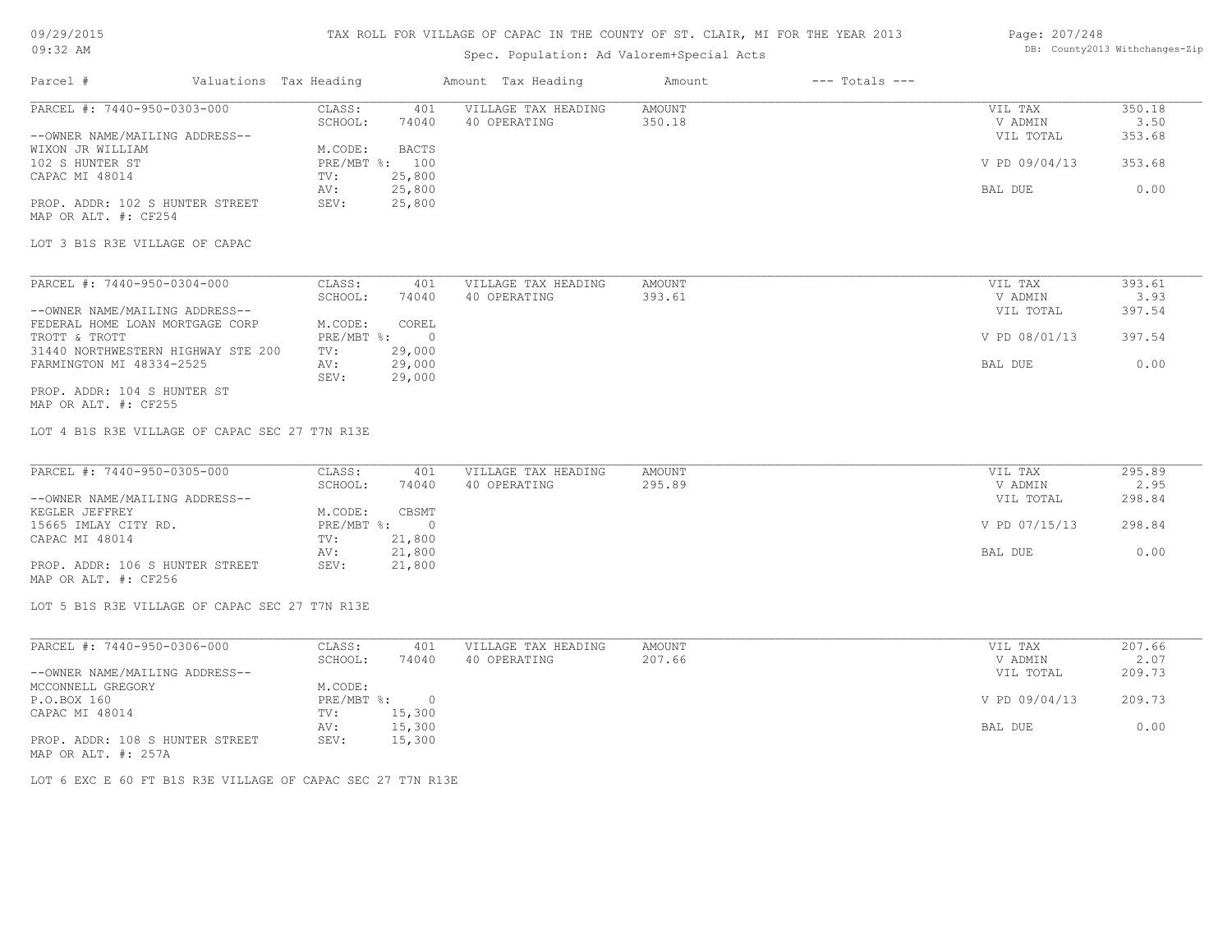# 09/29/2015

### TAX ROLL FOR VILLAGE OF CAPAC IN THE COUNTY OF ST. CLAIR, MI FOR THE YEAR 2013

#### Page: 207/248 DB: County2013 Withchanges-Zip

| 09:32 AM                                       |                        |            |                | Spec. Population: Ad Valorem+Special Acts | DB: County2013 Withchanges-Zip |                    |                |        |
|------------------------------------------------|------------------------|------------|----------------|-------------------------------------------|--------------------------------|--------------------|----------------|--------|
| Parcel #                                       | Valuations Tax Heading |            |                | Amount Tax Heading                        | Amount                         | $---$ Totals $---$ |                |        |
| PARCEL #: 7440-950-0303-000                    |                        | CLASS:     | 401            | VILLAGE TAX HEADING                       | <b>AMOUNT</b>                  |                    | VIL TAX        | 350.18 |
|                                                |                        | SCHOOL:    | 74040          | 40 OPERATING                              | 350.18                         |                    | V ADMIN        | 3.50   |
| --OWNER NAME/MAILING ADDRESS--                 |                        |            |                |                                           |                                |                    | VIL TOTAL      | 353.68 |
| WIXON JR WILLIAM                               |                        | M.CODE:    | <b>BACTS</b>   |                                           |                                |                    |                |        |
| 102 S HUNTER ST                                |                        |            | PRE/MBT %: 100 |                                           |                                |                    | V PD 09/04/13  | 353.68 |
| CAPAC MI 48014                                 |                        | TV:        | 25,800         |                                           |                                |                    |                |        |
|                                                |                        | AV:        | 25,800         |                                           |                                |                    | BAL DUE        | 0.00   |
| PROP. ADDR: 102 S HUNTER STREET                |                        | SEV:       | 25,800         |                                           |                                |                    |                |        |
| MAP OR ALT. #: CF254                           |                        |            |                |                                           |                                |                    |                |        |
|                                                |                        |            |                |                                           |                                |                    |                |        |
| LOT 3 B1S R3E VILLAGE OF CAPAC                 |                        |            |                |                                           |                                |                    |                |        |
| PARCEL #: 7440-950-0304-000                    |                        | CLASS:     | 401            | VILLAGE TAX HEADING                       | <b>AMOUNT</b>                  |                    | VIL TAX        | 393.61 |
|                                                |                        | SCHOOL:    | 74040          | 40 OPERATING                              | 393.61                         |                    | V ADMIN        | 3.93   |
| --OWNER NAME/MAILING ADDRESS--                 |                        |            |                |                                           |                                |                    | VIL TOTAL      | 397.54 |
| FEDERAL HOME LOAN MORTGAGE CORP                |                        | M.CODE:    | COREL          |                                           |                                |                    |                |        |
| TROTT & TROTT                                  |                        | PRE/MBT %: | $\bigcirc$     |                                           |                                |                    | V PD 08/01/13  | 397.54 |
| 31440 NORTHWESTERN HIGHWAY STE 200             |                        | TV:        | 29,000         |                                           |                                |                    |                |        |
| FARMINGTON MI 48334-2525                       |                        | AV:        | 29,000         |                                           |                                |                    | BAL DUE        | 0.00   |
|                                                |                        | SEV:       | 29,000         |                                           |                                |                    |                |        |
| PROP. ADDR: 104 S HUNTER ST                    |                        |            |                |                                           |                                |                    |                |        |
| MAP OR ALT. #: CF255                           |                        |            |                |                                           |                                |                    |                |        |
|                                                |                        |            |                |                                           |                                |                    |                |        |
| LOT 4 B1S R3E VILLAGE OF CAPAC SEC 27 T7N R13E |                        |            |                |                                           |                                |                    |                |        |
| PARCEL #: 7440-950-0305-000                    |                        | CLASS:     | 401            | VILLAGE TAX HEADING                       | <b>AMOUNT</b>                  |                    | VIL TAX        | 295.89 |
|                                                |                        | SCHOOL:    | 74040          | 40 OPERATING                              | 295.89                         |                    | V ADMIN        | 2.95   |
| --OWNER NAME/MAILING ADDRESS--                 |                        |            |                |                                           |                                |                    | VIL TOTAL      | 298.84 |
| KEGLER JEFFREY                                 |                        | M.CODE:    | CBSMT          |                                           |                                |                    |                |        |
| 15665 IMLAY CITY RD.                           |                        | PRE/MBT %: | $\Omega$       |                                           |                                |                    | V PD 07/15/13  | 298.84 |
| CAPAC MI 48014                                 |                        | TV:        | 21,800         |                                           |                                |                    |                |        |
|                                                |                        | AV:        | 21,800         |                                           |                                |                    | BAL DUE        | 0.00   |
| PROP. ADDR: 106 S HUNTER STREET                |                        | SEV:       | 21,800         |                                           |                                |                    |                |        |
| MAP OR ALT. #: CF256                           |                        |            |                |                                           |                                |                    |                |        |
| LOT 5 B1S R3E VILLAGE OF CAPAC SEC 27 T7N R13E |                        |            |                |                                           |                                |                    |                |        |
|                                                |                        |            |                |                                           |                                |                    |                |        |
| PARCEL #: 7440-950-0306-000                    |                        | CLASS:     | 401            | VILLAGE TAX HEADING                       | <b>AMOUNT</b>                  |                    | VIL TAX        | 207.66 |
|                                                |                        | SCHOOL:    | 74040          | 40 OPERATING                              | 207.66                         |                    | V ADMIN        | 2.07   |
| --OWNER NAME/MAILING ADDRESS--                 |                        |            |                |                                           |                                |                    | VIL TOTAL      | 209.73 |
| MCCONNELL GREGORY                              |                        | M.CODE:    |                |                                           |                                |                    |                |        |
| P.O.BOX 160                                    |                        | PRE/MBT %: | $\overline{0}$ |                                           |                                |                    | V PD 09/04/13  | 209.73 |
| CAPAC MI 48014                                 |                        | TV:        | 15,300         |                                           |                                |                    |                |        |
|                                                |                        | AV:        | 15,300         |                                           |                                |                    | <b>BAL DUE</b> | 0.00   |
| PROP. ADDR: 108 S HUNTER STREET                |                        | SEV:       | 15,300         |                                           |                                |                    |                |        |

MAP OR ALT. #: 257A

LOT 6 EXC E 60 FT B1S R3E VILLAGE OF CAPAC SEC 27 T7N R13E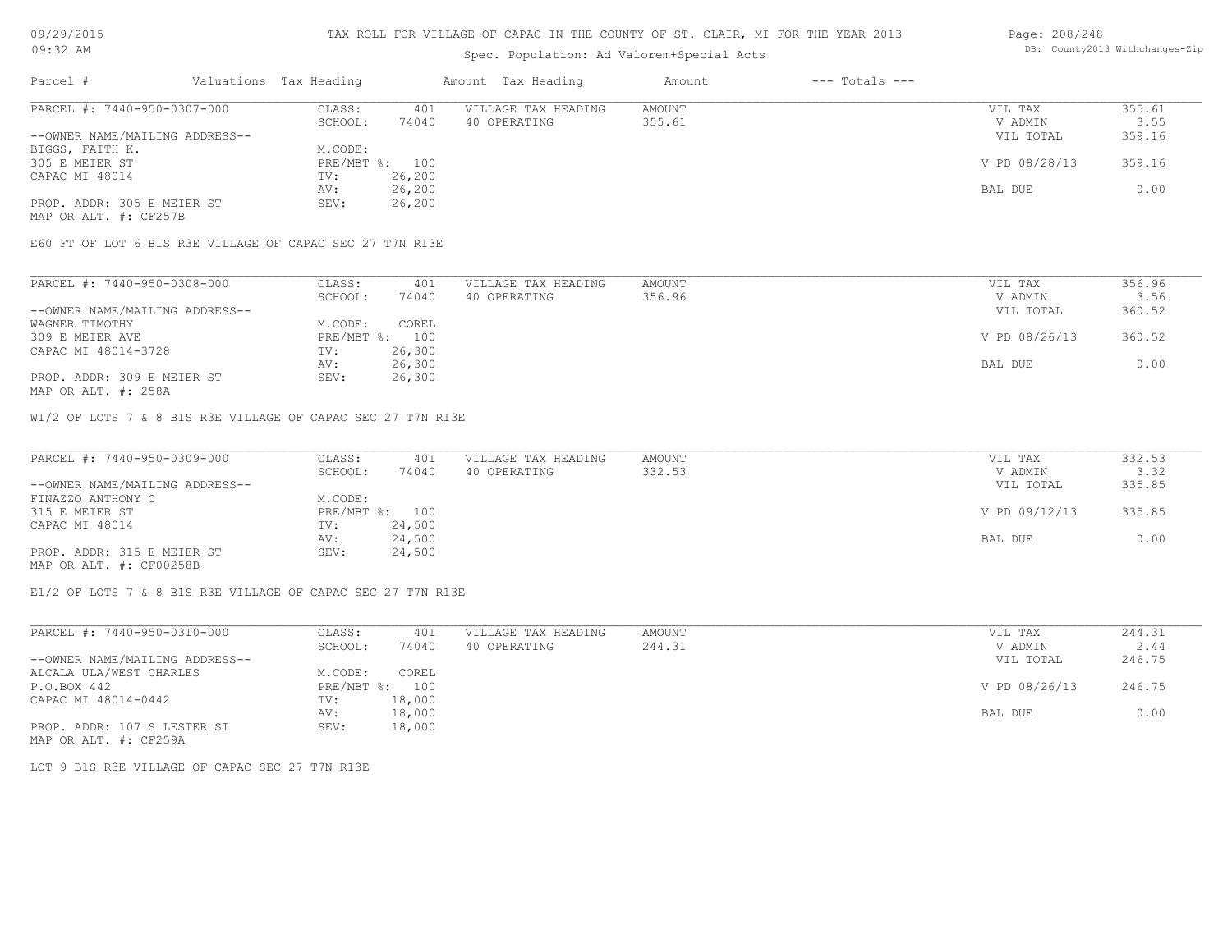### Spec. Population: Ad Valorem+Special Acts

#### Page: 208/248 DB: County2013 Withchanges-Zip

| Parcel #                       | Valuations Tax Heading |        | Amount Tax Heading  | Amount | $---$ Totals $---$ |               |        |
|--------------------------------|------------------------|--------|---------------------|--------|--------------------|---------------|--------|
| PARCEL #: 7440-950-0307-000    | CLASS:                 | 401    | VILLAGE TAX HEADING | AMOUNT |                    | VIL TAX       | 355.61 |
|                                | SCHOOL:                | 74040  | 40 OPERATING        | 355.61 |                    | V ADMIN       | 3.55   |
| --OWNER NAME/MAILING ADDRESS-- |                        |        |                     |        |                    | VIL TOTAL     | 359.16 |
| BIGGS, FAITH K.                | M.CODE:                |        |                     |        |                    |               |        |
| 305 E MEIER ST                 | PRE/MBT %: 100         |        |                     |        |                    | V PD 08/28/13 | 359.16 |
| CAPAC MI 48014                 | TV:                    | 26,200 |                     |        |                    |               |        |
|                                | AV:                    | 26,200 |                     |        |                    | BAL DUE       | 0.00   |
| PROP. ADDR: 305 E MEIER ST     | SEV:                   | 26,200 |                     |        |                    |               |        |
| MAP OR ALT. #: CF257B          |                        |        |                     |        |                    |               |        |

E60 FT OF LOT 6 B1S R3E VILLAGE OF CAPAC SEC 27 T7N R13E

| PARCEL #: 7440-950-0308-000    | CLASS:         | 401    | VILLAGE TAX HEADING | AMOUNT | VIL TAX       | 356.96 |
|--------------------------------|----------------|--------|---------------------|--------|---------------|--------|
|                                | SCHOOL:        | 74040  | 40 OPERATING        | 356.96 | V ADMIN       | 3.56   |
| --OWNER NAME/MAILING ADDRESS-- |                |        |                     |        | VIL TOTAL     | 360.52 |
| WAGNER TIMOTHY                 | M.CODE:        | COREL  |                     |        |               |        |
| 309 E MEIER AVE                | PRE/MBT %: 100 |        |                     |        | V PD 08/26/13 | 360.52 |
| CAPAC MI 48014-3728            | TV:            | 26,300 |                     |        |               |        |
|                                | AV:            | 26,300 |                     |        | BAL DUE       | 0.00   |
| PROP. ADDR: 309 E MEIER ST     | SEV:           | 26,300 |                     |        |               |        |

MAP OR ALT. #: 258A

W1/2 OF LOTS 7 & 8 B1S R3E VILLAGE OF CAPAC SEC 27 T7N R13E

| PARCEL #: 7440-950-0309-000    | CLASS:  | 401            | VILLAGE TAX HEADING | AMOUNT | VIL TAX       | 332.53 |
|--------------------------------|---------|----------------|---------------------|--------|---------------|--------|
|                                | SCHOOL: | 74040          | 40 OPERATING        | 332.53 | V ADMIN       | 3.32   |
| --OWNER NAME/MAILING ADDRESS-- |         |                |                     |        | VIL TOTAL     | 335.85 |
| FINAZZO ANTHONY C              | M.CODE: |                |                     |        |               |        |
| 315 E MEIER ST                 |         | PRE/MBT %: 100 |                     |        | V PD 09/12/13 | 335.85 |
| CAPAC MI 48014                 | TV:     | 24,500         |                     |        |               |        |
|                                | AV:     | 24,500         |                     |        | BAL DUE       | 0.00   |
| PROP. ADDR: 315 E MEIER ST     | SEV:    | 24,500         |                     |        |               |        |
| MAP OR ALT. #: CF00258B        |         |                |                     |        |               |        |

E1/2 OF LOTS 7 & 8 B1S R3E VILLAGE OF CAPAC SEC 27 T7N R13E

| PARCEL #: 7440-950-0310-000    | CLASS:       | 401    | VILLAGE TAX HEADING | AMOUNT | VIL TAX       | 244.31 |
|--------------------------------|--------------|--------|---------------------|--------|---------------|--------|
|                                | SCHOOL:      | 74040  | 40 OPERATING        | 244.31 | V ADMIN       | 2.44   |
| --OWNER NAME/MAILING ADDRESS-- |              |        |                     |        | VIL TOTAL     | 246.75 |
| ALCALA ULA/WEST CHARLES        | M.CODE:      | COREL  |                     |        |               |        |
| P.O.BOX 442                    | $PRE/MBT$ %: | 100    |                     |        | V PD 08/26/13 | 246.75 |
| CAPAC MI 48014-0442            | TV:          | 18,000 |                     |        |               |        |
|                                | AV:          | 18,000 |                     |        | BAL DUE       | 0.00   |
| PROP. ADDR: 107 S LESTER ST    | SEV:         | 18,000 |                     |        |               |        |
| MAP OR ALT. #: CF259A          |              |        |                     |        |               |        |

LOT 9 B1S R3E VILLAGE OF CAPAC SEC 27 T7N R13E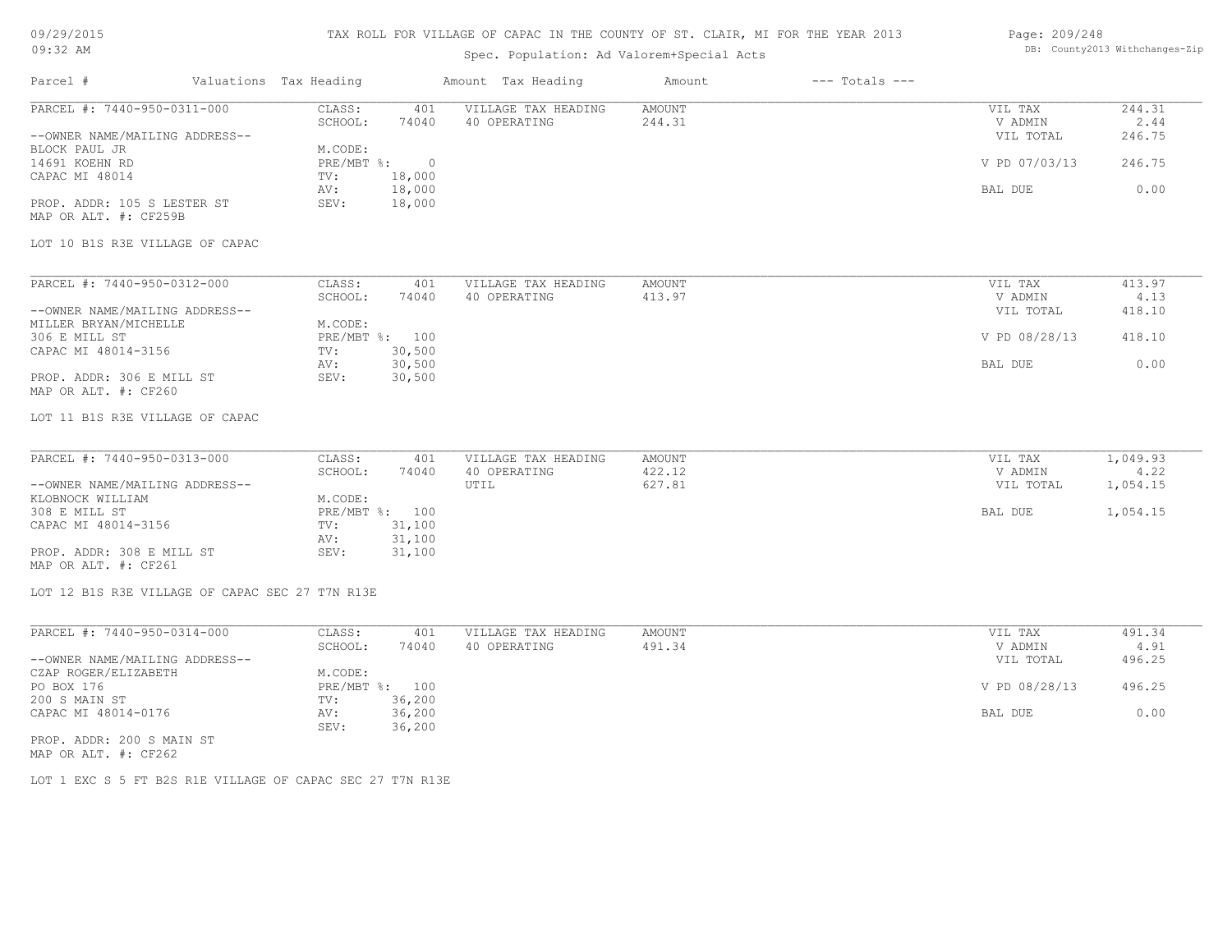# 09/29/2015

# TAX ROLL FOR VILLAGE OF CAPAC IN THE COUNTY OF ST. CLAIR, MI FOR THE YEAR 2013

#### Page: DB: County2013 Withchanges-Zip 209/248

| $09:32$ AM                                           |                                                 |                           |                | Spec. Population: Ad Valorem+Special Acts |                         |                    |                    | DB: County2013 Withchanges-Zip |
|------------------------------------------------------|-------------------------------------------------|---------------------------|----------------|-------------------------------------------|-------------------------|--------------------|--------------------|--------------------------------|
| Parcel #                                             |                                                 | Valuations Tax Heading    |                | Amount Tax Heading                        | Amount                  | $---$ Totals $---$ |                    |                                |
| PARCEL #: 7440-950-0311-000                          |                                                 | CLASS:<br>SCHOOL:         | 401<br>74040   | VILLAGE TAX HEADING<br>40 OPERATING       | <b>AMOUNT</b><br>244.31 |                    | VIL TAX<br>V ADMIN | 244.31<br>2.44                 |
| --OWNER NAME/MAILING ADDRESS--<br>BLOCK PAUL JR      |                                                 | M.CODE:                   |                |                                           |                         |                    | VIL TOTAL          | 246.75                         |
| 14691 KOEHN RD                                       |                                                 | PRE/MBT %:                | $\overline{0}$ |                                           |                         |                    | V PD 07/03/13      | 246.75                         |
| CAPAC MI 48014                                       |                                                 | TV:                       | 18,000         |                                           |                         |                    |                    |                                |
|                                                      |                                                 | AV:                       | 18,000         |                                           |                         |                    | BAL DUE            | 0.00                           |
| PROP. ADDR: 105 S LESTER ST<br>MAP OR ALT. #: CF259B |                                                 | SEV:                      | 18,000         |                                           |                         |                    |                    |                                |
| LOT 10 B1S R3E VILLAGE OF CAPAC                      |                                                 |                           |                |                                           |                         |                    |                    |                                |
| PARCEL #: 7440-950-0312-000                          |                                                 | CLASS:                    | 401            | VILLAGE TAX HEADING                       | <b>AMOUNT</b>           |                    | VIL TAX            | 413.97                         |
|                                                      |                                                 | SCHOOL:                   | 74040          | 40 OPERATING                              | 413.97                  |                    | V ADMIN            | 4.13                           |
| --OWNER NAME/MAILING ADDRESS--                       |                                                 |                           |                |                                           |                         |                    | VIL TOTAL          | 418.10                         |
| MILLER BRYAN/MICHELLE<br>306 E MILL ST               |                                                 | M.CODE:<br>PRE/MBT %: 100 |                |                                           |                         |                    | V PD 08/28/13      | 418.10                         |
| CAPAC MI 48014-3156                                  |                                                 | TV:                       | 30,500         |                                           |                         |                    |                    |                                |
|                                                      |                                                 | AV:                       | 30,500         |                                           |                         |                    | BAL DUE            | 0.00                           |
| PROP. ADDR: 306 E MILL ST<br>MAP OR ALT. #: CF260    |                                                 | SEV:                      | 30,500         |                                           |                         |                    |                    |                                |
| LOT 11 B1S R3E VILLAGE OF CAPAC                      |                                                 |                           |                |                                           |                         |                    |                    |                                |
| PARCEL #: 7440-950-0313-000                          |                                                 | CLASS:                    | 401            | VILLAGE TAX HEADING                       | <b>AMOUNT</b>           |                    | VIL TAX            | 1,049.93                       |
|                                                      |                                                 | SCHOOL:                   | 74040          | 40 OPERATING                              | 422.12                  |                    | V ADMIN            | 4.22                           |
| --OWNER NAME/MAILING ADDRESS--<br>KLOBNOCK WILLIAM   |                                                 | M.CODE:                   |                | UTIL                                      | 627.81                  |                    | VIL TOTAL          | 1,054.15                       |
| 308 E MILL ST                                        |                                                 | PRE/MBT %: 100            |                |                                           |                         |                    | BAL DUE            | 1,054.15                       |
| CAPAC MI 48014-3156                                  |                                                 | TV:                       | 31,100         |                                           |                         |                    |                    |                                |
|                                                      |                                                 | AV:                       | 31,100         |                                           |                         |                    |                    |                                |
| PROP. ADDR: 308 E MILL ST                            |                                                 | SEV:                      | 31,100         |                                           |                         |                    |                    |                                |
| MAP OR ALT. #: CF261                                 |                                                 |                           |                |                                           |                         |                    |                    |                                |
|                                                      | LOT 12 B1S R3E VILLAGE OF CAPAC SEC 27 T7N R13E |                           |                |                                           |                         |                    |                    |                                |
|                                                      |                                                 |                           |                |                                           |                         |                    |                    |                                |
| PARCEL #: 7440-950-0314-000                          |                                                 | CLASS:<br>SCHOOL:         | 401<br>74040   | VILLAGE TAX HEADING<br>40 OPERATING       | <b>AMOUNT</b><br>491.34 |                    | VIL TAX<br>V ADMIN | 491.34<br>4.91                 |
| --OWNER NAME/MAILING ADDRESS--                       |                                                 |                           |                |                                           |                         |                    | VIL TOTAL          | 496.25                         |
| CZAP ROGER/ELIZABETH                                 |                                                 | M.CODE:                   |                |                                           |                         |                    |                    |                                |
| PO BOX 176                                           |                                                 | PRE/MBT %: 100            |                |                                           |                         |                    | V PD 08/28/13      | 496.25                         |
| 200 S MAIN ST                                        |                                                 | TV:                       | 36,200         |                                           |                         |                    |                    |                                |
| CAPAC MI 48014-0176                                  |                                                 | AV:                       | 36,200         |                                           |                         |                    | BAL DUE            | 0.00                           |
| PROP. ADDR: 200 S MAIN ST                            |                                                 | SEV:                      | 36,200         |                                           |                         |                    |                    |                                |
| MAP OR ALT. #: CF262                                 |                                                 |                           |                |                                           |                         |                    |                    |                                |

LOT 1 EXC S 5 FT B2S R1E VILLAGE OF CAPAC SEC 27 T7N R13E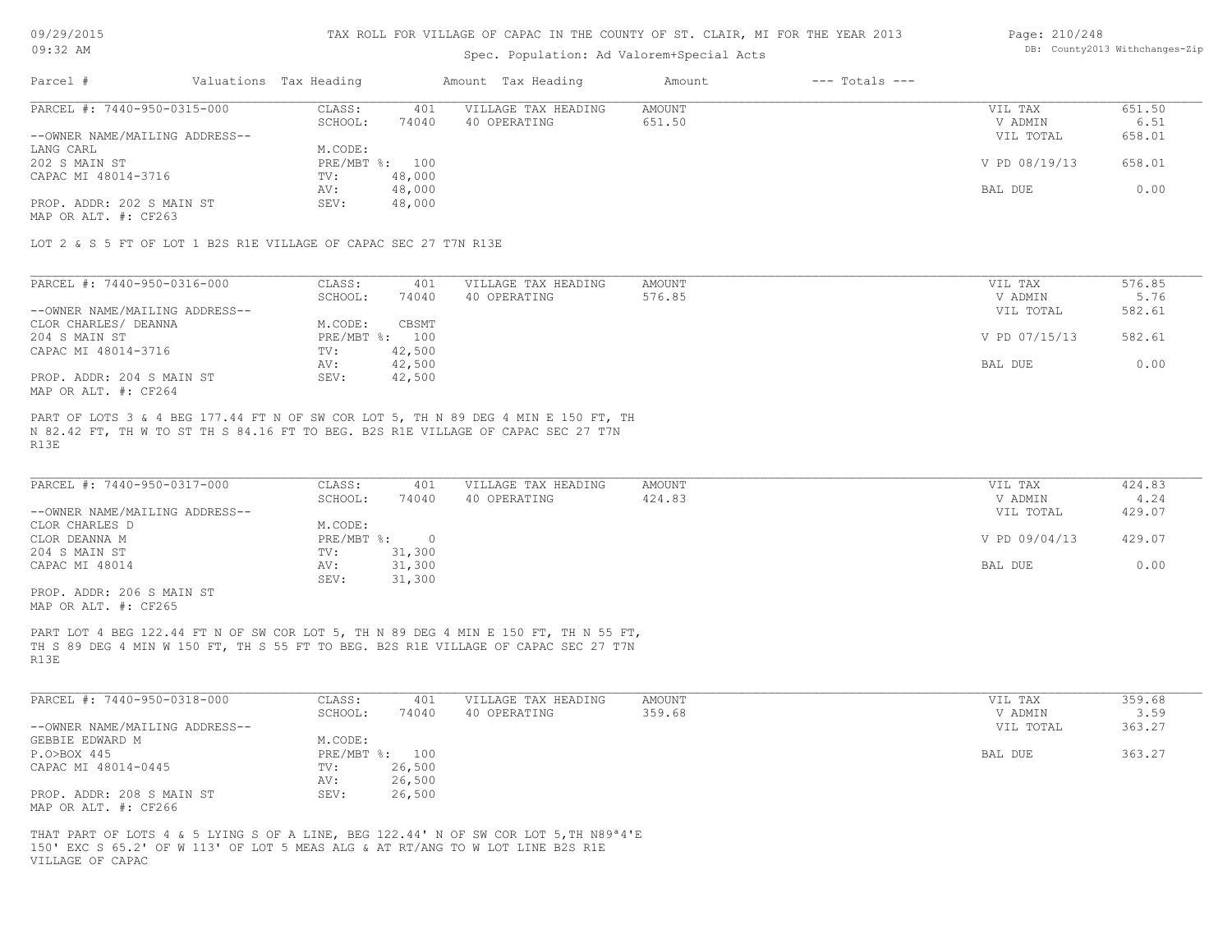09/29/2015 09:32 AM

#### TAX ROLL FOR VILLAGE OF CAPAC IN THE COUNTY OF ST. CLAIR, MI FOR THE YEAR 2013

# Spec. Population: Ad Valorem+Special Acts

#### Page: 210/248 DB: County2013 Withchanges-Zip

| Parcel #                       | Valuations Tax Heading |                | Amount Tax Heading  | Amount | $---$ Totals $---$ |               |        |
|--------------------------------|------------------------|----------------|---------------------|--------|--------------------|---------------|--------|
| PARCEL #: 7440-950-0315-000    | CLASS:                 | 401            | VILLAGE TAX HEADING | AMOUNT |                    | VIL TAX       | 651.50 |
|                                | SCHOOL:                | 74040          | 40 OPERATING        | 651.50 |                    | V ADMIN       | 6.51   |
| --OWNER NAME/MAILING ADDRESS-- |                        |                |                     |        |                    | VIL TOTAL     | 658.01 |
| LANG CARL                      | M.CODE:                |                |                     |        |                    |               |        |
| 202 S MAIN ST                  |                        | PRE/MBT %: 100 |                     |        |                    | V PD 08/19/13 | 658.01 |
| CAPAC MI 48014-3716            | TV:                    | 48,000         |                     |        |                    |               |        |
|                                | AV:                    | 48,000         |                     |        |                    | BAL DUE       | 0.00   |
| PROP. ADDR: 202 S MAIN ST      | SEV:                   | 48,000         |                     |        |                    |               |        |
|                                |                        |                |                     |        |                    |               |        |

MAP OR ALT. #: CF263

LOT 2 & S 5 FT OF LOT 1 B2S R1E VILLAGE OF CAPAC SEC 27 T7N R13E

| PARCEL #: 7440-950-0316-000    | CLASS:  | 401            | VILLAGE TAX HEADING | AMOUNT | VIL TAX       | 576.85 |
|--------------------------------|---------|----------------|---------------------|--------|---------------|--------|
|                                | SCHOOL: | 74040          | 40 OPERATING        | 576.85 | V ADMIN       | 5.76   |
| --OWNER NAME/MAILING ADDRESS-- |         |                |                     |        | VIL TOTAL     | 582.61 |
| CLOR CHARLES/ DEANNA           | M.CODE: | CBSMT          |                     |        |               |        |
| 204 S MAIN ST                  |         | PRE/MBT %: 100 |                     |        | V PD 07/15/13 | 582.61 |
| CAPAC MI 48014-3716            | TV:     | 42,500         |                     |        |               |        |
|                                | AV:     | 42,500         |                     |        | BAL DUE       | 0.00   |
| PROP. ADDR: 204 S MAIN ST      | SEV:    | 42,500         |                     |        |               |        |
| MAP OR ALT. #: CF264           |         |                |                     |        |               |        |

R13E N 82.42 FT, TH W TO ST TH S 84.16 FT TO BEG. B2S R1E VILLAGE OF CAPAC SEC 27 T7N PART OF LOTS 3 & 4 BEG 177.44 FT N OF SW COR LOT 5, TH N 89 DEG 4 MIN E 150 FT, TH

| PARCEL #: 7440-950-0317-000    | CLASS:     | 401    | VILLAGE TAX HEADING | AMOUNT | VIL TAX       | 424.83 |
|--------------------------------|------------|--------|---------------------|--------|---------------|--------|
|                                | SCHOOL:    | 74040  | 40 OPERATING        | 424.83 | V ADMIN       | 4.24   |
| --OWNER NAME/MAILING ADDRESS-- |            |        |                     |        | VIL TOTAL     | 429.07 |
| CLOR CHARLES D                 | M.CODE:    |        |                     |        |               |        |
| CLOR DEANNA M                  | PRE/MBT %: |        |                     |        | V PD 09/04/13 | 429.07 |
| 204 S MAIN ST                  | TV:        | 31,300 |                     |        |               |        |
| CAPAC MI 48014                 | AV:        | 31,300 |                     |        | BAL DUE       | 0.00   |
|                                | SEV:       | 31,300 |                     |        |               |        |

MAP OR ALT. #: CF265 PROP. ADDR: 206 S MAIN ST

R13E TH S 89 DEG 4 MIN W 150 FT, TH S 55 FT TO BEG. B2S R1E VILLAGE OF CAPAC SEC 27 T7N PART LOT 4 BEG 122.44 FT N OF SW COR LOT 5, TH N 89 DEG 4 MIN E 150 FT, TH N 55 FT,

| PARCEL #: 7440-950-0318-000    | CLASS:  | 401            | VILLAGE TAX HEADING | AMOUNT | VIL TAX   | 359.68 |
|--------------------------------|---------|----------------|---------------------|--------|-----------|--------|
|                                | SCHOOL: | 74040          | 40 OPERATING        | 359.68 | V ADMIN   | 3.59   |
| --OWNER NAME/MAILING ADDRESS-- |         |                |                     |        | VIL TOTAL | 363.27 |
| GEBBIE EDWARD M                | M.CODE: |                |                     |        |           |        |
| P.O>BOX 445                    |         | PRE/MBT %: 100 |                     |        | BAL DUE   | 363.27 |
| CAPAC MI 48014-0445            | TV:     | 26,500         |                     |        |           |        |
|                                | AV:     | 26,500         |                     |        |           |        |
| PROP. ADDR: 208 S MAIN ST      | SEV:    | 26,500         |                     |        |           |        |
| MAP OR ALT. #: CF266           |         |                |                     |        |           |        |

VILLAGE OF CAPAC 150' EXC S 65.2' OF W 113' OF LOT 5 MEAS ALG & AT RT/ANG TO W LOT LINE B2S R1E THAT PART OF LOTS 4 & 5 LYING S OF A LINE, BEG 122.44' N OF SW COR LOT 5,TH N89ª4'E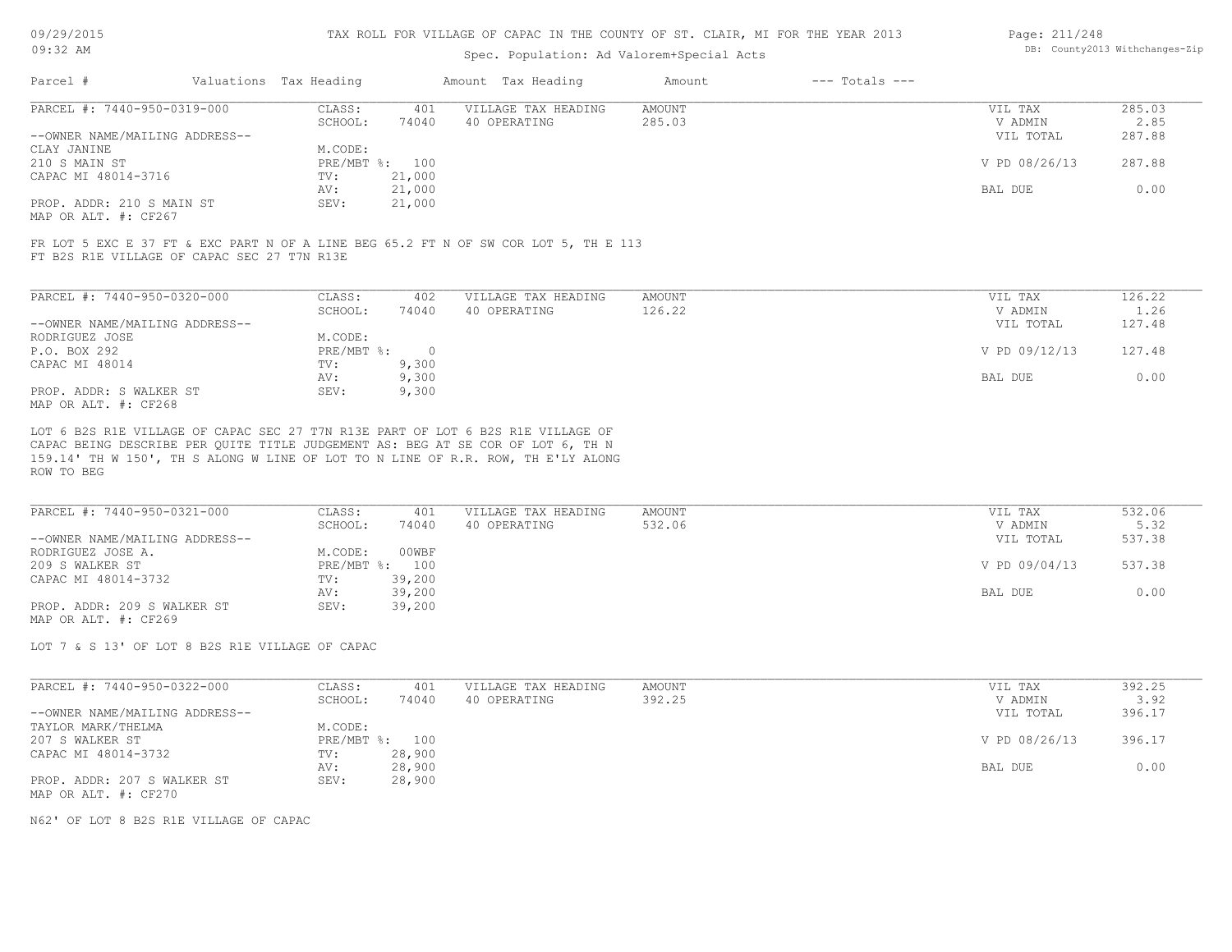# Spec. Population: Ad Valorem+Special Acts

| Page: 211/248 |                                |
|---------------|--------------------------------|
|               | DB: County2013 Withchanges-Zip |

| Parcel #                       | Valuations Tax Heading |        | Amount Tax Heading  | Amount | $---$ Totals $---$ |               |        |
|--------------------------------|------------------------|--------|---------------------|--------|--------------------|---------------|--------|
| PARCEL #: 7440-950-0319-000    | CLASS:                 | 401    | VILLAGE TAX HEADING | AMOUNT |                    | VIL TAX       | 285.03 |
|                                | SCHOOL:                | 74040  | 40 OPERATING        | 285.03 |                    | V ADMIN       | 2.85   |
| --OWNER NAME/MAILING ADDRESS-- |                        |        |                     |        |                    | VIL TOTAL     | 287.88 |
| CLAY JANINE                    | M.CODE:                |        |                     |        |                    |               |        |
| 210 S MAIN ST                  | PRE/MBT %: 100         |        |                     |        |                    | V PD 08/26/13 | 287.88 |
| CAPAC MI 48014-3716            | TV:                    | 21,000 |                     |        |                    |               |        |
|                                | AV:                    | 21,000 |                     |        |                    | BAL DUE       | 0.00   |
| PROP. ADDR: 210 S MAIN ST      | SEV:                   | 21,000 |                     |        |                    |               |        |
|                                |                        |        |                     |        |                    |               |        |

MAP OR ALT. #: CF267

FT B2S R1E VILLAGE OF CAPAC SEC 27 T7N R13E FR LOT 5 EXC E 37 FT & EXC PART N OF A LINE BEG 65.2 FT N OF SW COR LOT 5, TH E 113

| PARCEL #: 7440-950-0320-000    | CLASS:     | 402      | VILLAGE TAX HEADING | AMOUNT | VIL TAX       | 126.22 |
|--------------------------------|------------|----------|---------------------|--------|---------------|--------|
|                                | SCHOOL:    | 74040    | 40 OPERATING        | 126.22 | V ADMIN       | 1.26   |
| --OWNER NAME/MAILING ADDRESS-- |            |          |                     |        | VIL TOTAL     | 127.48 |
| RODRIGUEZ JOSE                 | M.CODE:    |          |                     |        |               |        |
| P.O. BOX 292                   | PRE/MBT %: | $\Omega$ |                     |        | V PD 09/12/13 | 127.48 |
| CAPAC MI 48014                 | TV:        | 9,300    |                     |        |               |        |
|                                | AV:        | 9,300    |                     |        | BAL DUE       | 0.00   |
| PROP. ADDR: S WALKER ST        | SEV:       | 9,300    |                     |        |               |        |
| MAP OR ALT. #: CF268           |            |          |                     |        |               |        |

ROW TO BEG 159.14' TH W 150', TH S ALONG W LINE OF LOT TO N LINE OF R.R. ROW, TH E'LY ALONG CAPAC BEING DESCRIBE PER QUITE TITLE JUDGEMENT AS: BEG AT SE COR OF LOT 6, TH N LOT 6 B2S R1E VILLAGE OF CAPAC SEC 27 T7N R13E PART OF LOT 6 B2S R1E VILLAGE OF

| PARCEL #: 7440-950-0321-000    | CLASS:  | 401            | VILLAGE TAX HEADING | AMOUNT | VIL TAX       | 532.06 |
|--------------------------------|---------|----------------|---------------------|--------|---------------|--------|
|                                | SCHOOL: | 74040          | 40 OPERATING        | 532.06 | V ADMIN       | 5.32   |
| --OWNER NAME/MAILING ADDRESS-- |         |                |                     |        | VIL TOTAL     | 537.38 |
| RODRIGUEZ JOSE A.              | M.CODE: | 00WBF          |                     |        |               |        |
| 209 S WALKER ST                |         | PRE/MBT %: 100 |                     |        | V PD 09/04/13 | 537.38 |
| CAPAC MI 48014-3732            | TV:     | 39,200         |                     |        |               |        |
|                                | AV:     | 39,200         |                     |        | BAL DUE       | 0.00   |
| PROP. ADDR: 209 S WALKER ST    | SEV:    | 39,200         |                     |        |               |        |
| MAP OR ALT. #: CF269           |         |                |                     |        |               |        |

LOT 7 & S 13' OF LOT 8 B2S R1E VILLAGE OF CAPAC

| PARCEL #: 7440-950-0322-000    | CLASS:  | 401            | VILLAGE TAX HEADING | AMOUNT | VIL TAX       | 392.25 |
|--------------------------------|---------|----------------|---------------------|--------|---------------|--------|
|                                | SCHOOL: | 74040          | 40 OPERATING        | 392.25 | V ADMIN       | 3.92   |
| --OWNER NAME/MAILING ADDRESS-- |         |                |                     |        | VIL TOTAL     | 396.17 |
| TAYLOR MARK/THELMA             | M.CODE: |                |                     |        |               |        |
| 207 S WALKER ST                |         | PRE/MBT %: 100 |                     |        | V PD 08/26/13 | 396.17 |
| CAPAC MI 48014-3732            | TV:     | 28,900         |                     |        |               |        |
|                                | AV:     | 28,900         |                     |        | BAL DUE       | 0.00   |
| PROP. ADDR: 207 S WALKER ST    | SEV:    | 28,900         |                     |        |               |        |
| MAP OR ALT. #: CF270           |         |                |                     |        |               |        |

N62' OF LOT 8 B2S R1E VILLAGE OF CAPAC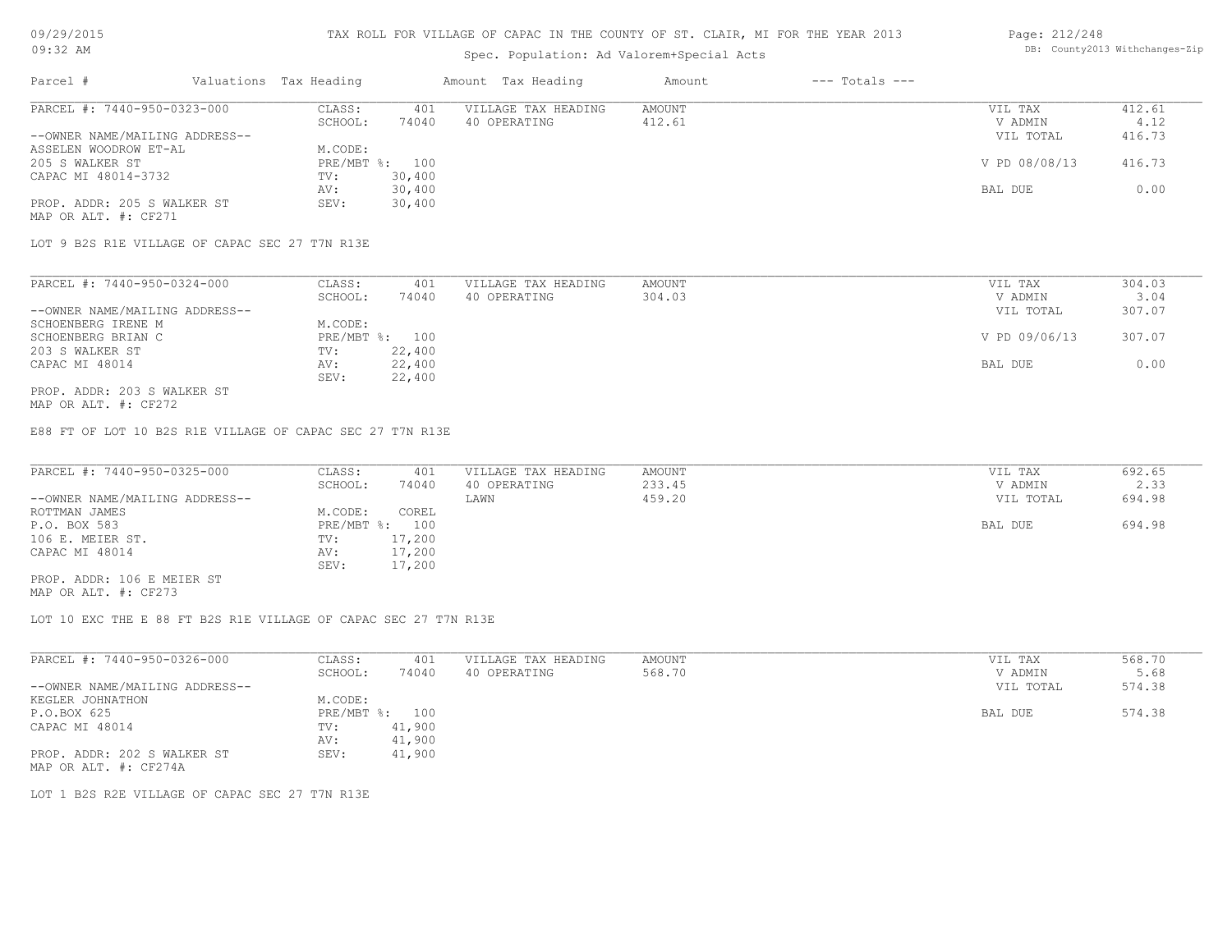# Spec. Population: Ad Valorem+Special Acts

#### Page: 212/248 DB: County2013 Withchanges-Zip

| Parcel #                       | Valuations Tax Heading |        | Amount Tax Heading  | Amount | $---$ Totals $---$ |               |        |
|--------------------------------|------------------------|--------|---------------------|--------|--------------------|---------------|--------|
| PARCEL #: 7440-950-0323-000    | CLASS:                 | 401    | VILLAGE TAX HEADING | AMOUNT |                    | VIL TAX       | 412.61 |
|                                | SCHOOL:                | 74040  | 40 OPERATING        | 412.61 |                    | V ADMIN       | 4.12   |
| --OWNER NAME/MAILING ADDRESS-- |                        |        |                     |        |                    | VIL TOTAL     | 416.73 |
| ASSELEN WOODROW ET-AL          | M.CODE:                |        |                     |        |                    |               |        |
| 205 S WALKER ST                | PRE/MBT %: 100         |        |                     |        |                    | V PD 08/08/13 | 416.73 |
| CAPAC MI 48014-3732            | TV:                    | 30,400 |                     |        |                    |               |        |
|                                | AV:                    | 30,400 |                     |        |                    | BAL DUE       | 0.00   |
| PROP. ADDR: 205 S WALKER ST    | SEV:                   | 30,400 |                     |        |                    |               |        |
| MAP OR ALT. #: CF271           |                        |        |                     |        |                    |               |        |

LOT 9 B2S R1E VILLAGE OF CAPAC SEC 27 T7N R13E

| PARCEL #: 7440-950-0324-000    | CLASS:     | 401    | VILLAGE TAX HEADING | AMOUNT | VIL TAX       | 304.03 |
|--------------------------------|------------|--------|---------------------|--------|---------------|--------|
|                                | SCHOOL:    | 74040  | 40 OPERATING        | 304.03 | V ADMIN       | 3.04   |
| --OWNER NAME/MAILING ADDRESS-- |            |        |                     |        | VIL TOTAL     | 307.07 |
| SCHOENBERG IRENE M             | M.CODE:    |        |                     |        |               |        |
| SCHOENBERG BRIAN C             | PRE/MBT %: | 100    |                     |        | V PD 09/06/13 | 307.07 |
| 203 S WALKER ST                | TV:        | 22,400 |                     |        |               |        |
| CAPAC MI 48014                 | AV:        | 22,400 |                     |        | BAL DUE       | 0.00   |
|                                | SEV:       | 22,400 |                     |        |               |        |
| PROP. ADDR: 203 S WALKER ST    |            |        |                     |        |               |        |

MAP OR ALT. #: CF272

E88 FT OF LOT 10 B2S R1E VILLAGE OF CAPAC SEC 27 T7N R13E

| PARCEL #: 7440-950-0325-000    | CLASS:  | 401            | VILLAGE TAX HEADING | AMOUNT | VIL TAX   | 692.65 |
|--------------------------------|---------|----------------|---------------------|--------|-----------|--------|
|                                | SCHOOL: | 74040          | 40 OPERATING        | 233.45 | V ADMIN   | 2.33   |
| --OWNER NAME/MAILING ADDRESS-- |         |                | LAWN                | 459.20 | VIL TOTAL | 694.98 |
| ROTTMAN JAMES                  | M.CODE: | COREL          |                     |        |           |        |
| P.O. BOX 583                   |         | PRE/MBT %: 100 |                     |        | BAL DUE   | 694.98 |
| 106 E. MEIER ST.               | TV:     | 17,200         |                     |        |           |        |
| CAPAC MI 48014                 | AV:     | 17,200         |                     |        |           |        |
|                                | SEV:    | 17,200         |                     |        |           |        |
| PROP. ADDR: 106 E MEIER ST     |         |                |                     |        |           |        |

MAP OR ALT. #: CF273

LOT 10 EXC THE E 88 FT B2S R1E VILLAGE OF CAPAC SEC 27 T7N R13E

| PARCEL #: 7440-950-0326-000    | CLASS:       | 401    | VILLAGE TAX HEADING | AMOUNT | VIL TAX   | 568.70 |
|--------------------------------|--------------|--------|---------------------|--------|-----------|--------|
|                                | SCHOOL:      | 74040  | 40 OPERATING        | 568.70 | V ADMIN   | 5.68   |
| --OWNER NAME/MAILING ADDRESS-- |              |        |                     |        | VIL TOTAL | 574.38 |
| KEGLER JOHNATHON               | M.CODE:      |        |                     |        |           |        |
| P.O.BOX 625                    | $PRE/MBT$ %: | 100    |                     |        | BAL DUE   | 574.38 |
| CAPAC MI 48014                 | TV:          | 41,900 |                     |        |           |        |
|                                | AV:          | 41,900 |                     |        |           |        |
| PROP. ADDR: 202 S WALKER ST    | SEV:         | 41,900 |                     |        |           |        |
| MAP OR ALT. #: CF274A          |              |        |                     |        |           |        |

LOT 1 B2S R2E VILLAGE OF CAPAC SEC 27 T7N R13E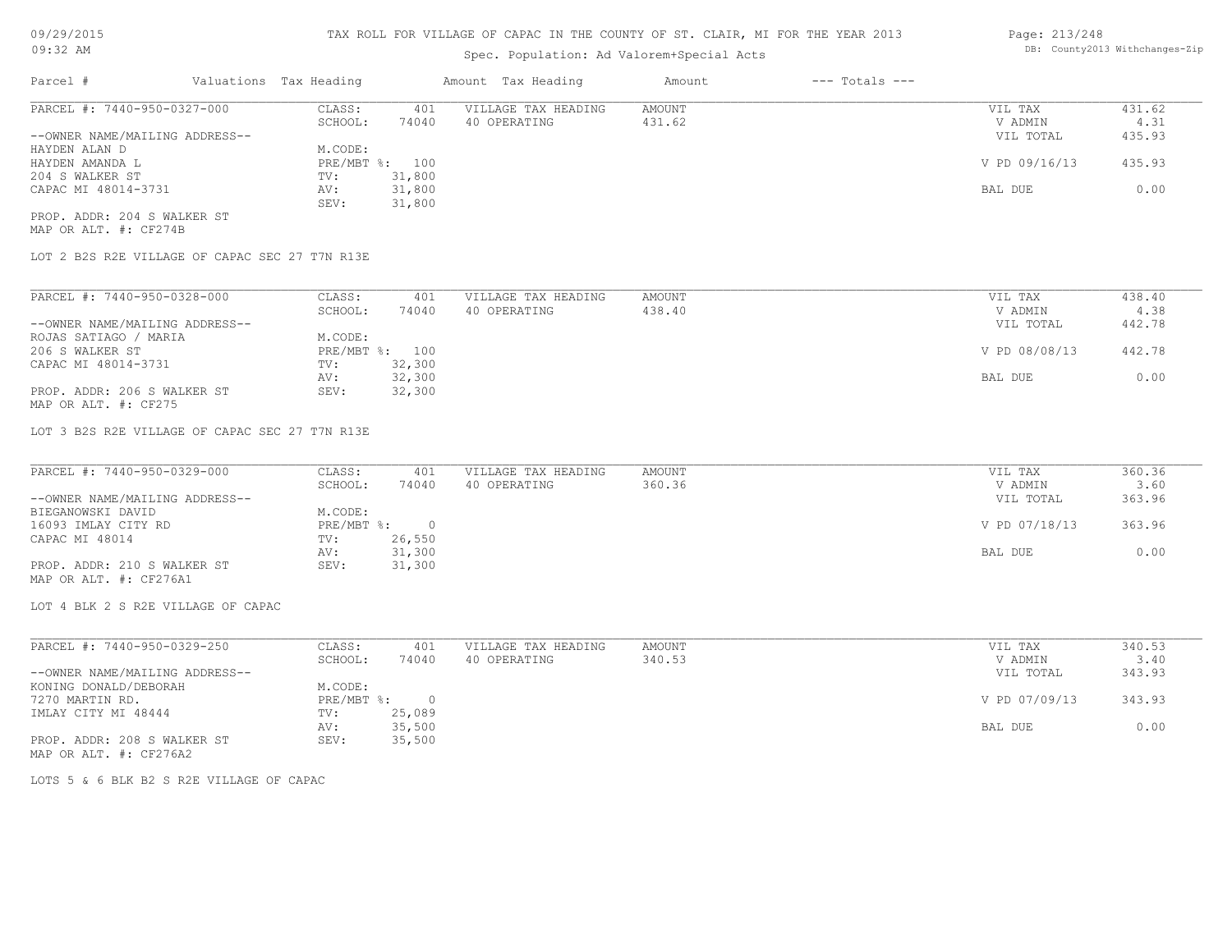# Spec. Population: Ad Valorem+Special Acts

#### Page: 213/248 DB: County2013 Withchanges-Zip

| Parcel #                       | Valuations Tax Heading |        | Amount Tax Heading  | Amount | $---$ Totals $---$ |               |        |
|--------------------------------|------------------------|--------|---------------------|--------|--------------------|---------------|--------|
| PARCEL #: 7440-950-0327-000    | CLASS:                 | 401    | VILLAGE TAX HEADING | AMOUNT |                    | VIL TAX       | 431.62 |
|                                | SCHOOL:                | 74040  | 40 OPERATING        | 431.62 |                    | V ADMIN       | 4.31   |
| --OWNER NAME/MAILING ADDRESS-- |                        |        |                     |        |                    | VIL TOTAL     | 435.93 |
| HAYDEN ALAN D                  | M.CODE:                |        |                     |        |                    |               |        |
| HAYDEN AMANDA L                | PRE/MBT %: 100         |        |                     |        |                    | V PD 09/16/13 | 435.93 |
| 204 S WALKER ST                | TV:                    | 31,800 |                     |        |                    |               |        |
| CAPAC MI 48014-3731            | AV:                    | 31,800 |                     |        |                    | BAL DUE       | 0.00   |
|                                | SEV:                   | 31,800 |                     |        |                    |               |        |
| PROP. ADDR: 204 S WALKER ST    |                        |        |                     |        |                    |               |        |

MAP OR ALT. #: CF274B

LOT 2 B2S R2E VILLAGE OF CAPAC SEC 27 T7N R13E

| PARCEL #: 7440-950-0328-000    | CLASS:     | 401    | VILLAGE TAX HEADING | AMOUNT | VIL TAX       | 438.40 |
|--------------------------------|------------|--------|---------------------|--------|---------------|--------|
|                                | SCHOOL:    | 74040  | 40 OPERATING        | 438.40 | V ADMIN       | 4.38   |
| --OWNER NAME/MAILING ADDRESS-- |            |        |                     |        | VIL TOTAL     | 442.78 |
| ROJAS SATIAGO / MARIA          | M.CODE:    |        |                     |        |               |        |
| 206 S WALKER ST                | PRE/MBT %: | 100    |                     |        | V PD 08/08/13 | 442.78 |
| CAPAC MI 48014-3731            | TV:        | 32,300 |                     |        |               |        |
|                                | AV:        | 32,300 |                     |        | BAL DUE       | 0.00   |
| PROP. ADDR: 206 S WALKER ST    | SEV:       | 32,300 |                     |        |               |        |
| MAP OR ALT. #: CF275           |            |        |                     |        |               |        |

LOT 3 B2S R2E VILLAGE OF CAPAC SEC 27 T7N R13E

| PARCEL #: 7440-950-0329-000    | CLASS:     | 401    | VILLAGE TAX HEADING | AMOUNT | VIL TAX       | 360.36 |
|--------------------------------|------------|--------|---------------------|--------|---------------|--------|
|                                | SCHOOL:    | 74040  | 40 OPERATING        | 360.36 | V ADMIN       | 3.60   |
| --OWNER NAME/MAILING ADDRESS-- |            |        |                     |        | VIL TOTAL     | 363.96 |
| BIEGANOWSKI DAVID              | M.CODE:    |        |                     |        |               |        |
| 16093 IMLAY CITY RD            | PRE/MBT %: |        |                     |        | V PD 07/18/13 | 363.96 |
| CAPAC MI 48014                 | TV:        | 26,550 |                     |        |               |        |
|                                | AV:        | 31,300 |                     |        | BAL DUE       | 0.00   |
| PROP. ADDR: 210 S WALKER ST    | SEV:       | 31,300 |                     |        |               |        |
| MAP OR ALT. #: CF276A1         |            |        |                     |        |               |        |

LOT 4 BLK 2 S R2E VILLAGE OF CAPAC

MAP OR ALT. #: CF276A2 PROP. ADDR: 208 S WALKER ST SEV: 35,500 AV: 35,500 BAL DUE 0.00 IMLAY CITY MI 48444 TV: 25,089<br>AV: 35,500 7270 MARTIN RD. PRE/MBT %: 0 V PD 07/09/13 343.93 KONING DONALD/DEBORAH M.CODE: --OWNER NAME/MAILING ADDRESS-- VIL TOTAL 343.93 SCHOOL: 74040 40 OPERATING 340.53 340.53 V ADMIN 3.40 PARCEL #: 7440-950-0329-250 CLASS: 401 VILLAGE TAX HEADING AMOUNT AMOUNT VIL TAX VIL TAX 340.53<br>SCHOOL: 74040 40 OPERATING 340.53 VADMIN 3.40  $\mathcal{L}_\mathcal{L} = \mathcal{L}_\mathcal{L} = \mathcal{L}_\mathcal{L} = \mathcal{L}_\mathcal{L} = \mathcal{L}_\mathcal{L} = \mathcal{L}_\mathcal{L} = \mathcal{L}_\mathcal{L} = \mathcal{L}_\mathcal{L} = \mathcal{L}_\mathcal{L} = \mathcal{L}_\mathcal{L} = \mathcal{L}_\mathcal{L} = \mathcal{L}_\mathcal{L} = \mathcal{L}_\mathcal{L} = \mathcal{L}_\mathcal{L} = \mathcal{L}_\mathcal{L} = \mathcal{L}_\mathcal{L} = \mathcal{L}_\mathcal{L}$ 

LOTS 5 & 6 BLK B2 S R2E VILLAGE OF CAPAC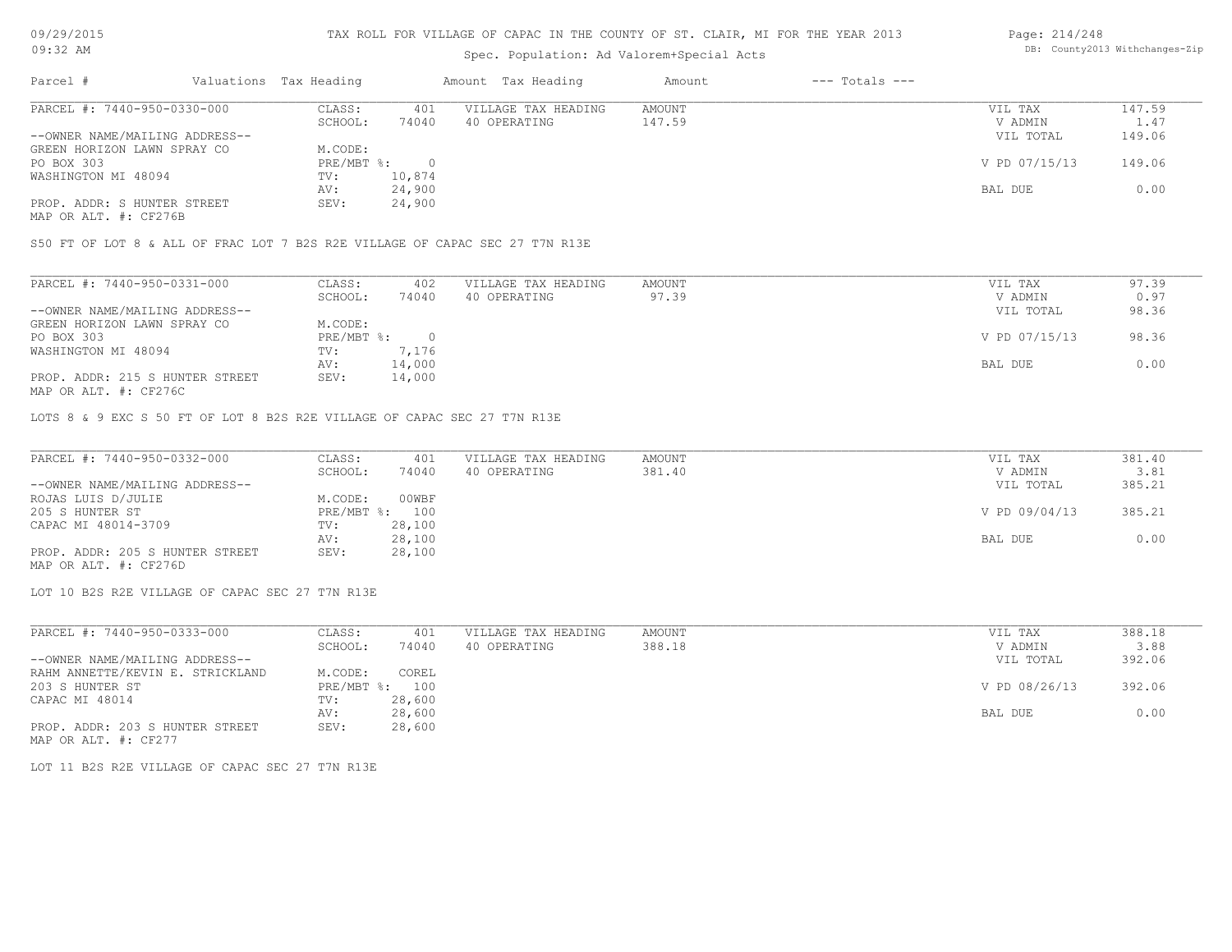09/29/2015 09:32 AM

### TAX ROLL FOR VILLAGE OF CAPAC IN THE COUNTY OF ST. CLAIR, MI FOR THE YEAR 2013

# Spec. Population: Ad Valorem+Special Acts

#### Page: 214/248 DB: County2013 Withchanges-Zip

| Parcel #                       | Valuations Tax Heading |        | Amount Tax Heading  | Amount | $---$ Totals $---$ |               |        |
|--------------------------------|------------------------|--------|---------------------|--------|--------------------|---------------|--------|
| PARCEL #: 7440-950-0330-000    | CLASS:                 | 401    | VILLAGE TAX HEADING | AMOUNT |                    | VIL TAX       | 147.59 |
|                                | SCHOOL:                | 74040  | 40 OPERATING        | 147.59 |                    | V ADMIN       | 1.47   |
| --OWNER NAME/MAILING ADDRESS-- |                        |        |                     |        |                    | VIL TOTAL     | 149.06 |
| GREEN HORIZON LAWN SPRAY CO    | M.CODE:                |        |                     |        |                    |               |        |
| PO BOX 303                     | PRE/MBT %:             |        |                     |        |                    | V PD 07/15/13 | 149.06 |
| WASHINGTON MI 48094            | TV:                    | 10,874 |                     |        |                    |               |        |
|                                | AV:                    | 24,900 |                     |        |                    | BAL DUE       | 0.00   |
| PROP. ADDR: S HUNTER STREET    | SEV:                   | 24,900 |                     |        |                    |               |        |
|                                |                        |        |                     |        |                    |               |        |

MAP OR ALT. #: CF276B

S50 FT OF LOT 8 & ALL OF FRAC LOT 7 B2S R2E VILLAGE OF CAPAC SEC 27 T7N R13E

| PARCEL #: 7440-950-0331-000     | CLASS:     | 402    | VILLAGE TAX HEADING | AMOUNT | VIL TAX       | 97.39 |
|---------------------------------|------------|--------|---------------------|--------|---------------|-------|
|                                 | SCHOOL:    | 74040  | 40 OPERATING        | 97.39  | V ADMIN       | 0.97  |
| --OWNER NAME/MAILING ADDRESS--  |            |        |                     |        | VIL TOTAL     | 98.36 |
| GREEN HORIZON LAWN SPRAY CO     | M.CODE:    |        |                     |        |               |       |
| PO BOX 303                      | PRE/MBT %: |        |                     |        | V PD 07/15/13 | 98.36 |
| WASHINGTON MI 48094             | TV:        | 7,176  |                     |        |               |       |
|                                 | AV:        | 14,000 |                     |        | BAL DUE       | 0.00  |
| PROP. ADDR: 215 S HUNTER STREET | SEV:       | 14,000 |                     |        |               |       |
|                                 |            |        |                     |        |               |       |

MAP OR ALT. #: CF276C

LOTS 8 & 9 EXC S 50 FT OF LOT 8 B2S R2E VILLAGE OF CAPAC SEC 27 T7N R13E

| PARCEL #: 7440-950-0332-000     | CLASS:  | 401            | VILLAGE TAX HEADING | AMOUNT | VIL TAX       | 381.40 |
|---------------------------------|---------|----------------|---------------------|--------|---------------|--------|
|                                 | SCHOOL: | 74040          | 40 OPERATING        | 381.40 | V ADMIN       | 3.81   |
| --OWNER NAME/MAILING ADDRESS--  |         |                |                     |        | VIL TOTAL     | 385.21 |
| ROJAS LUIS D/JULIE              | M.CODE: | 00WBF          |                     |        |               |        |
| 205 S HUNTER ST                 |         | PRE/MBT %: 100 |                     |        | V PD 09/04/13 | 385.21 |
| CAPAC MI 48014-3709             | TV:     | 28,100         |                     |        |               |        |
|                                 | AV:     | 28,100         |                     |        | BAL DUE       | 0.00   |
| PROP. ADDR: 205 S HUNTER STREET | SEV:    | 28,100         |                     |        |               |        |
| MAP OR ALT. #: CF276D           |         |                |                     |        |               |        |

LOT 10 B2S R2E VILLAGE OF CAPAC SEC 27 T7N R13E

| PARCEL #: 7440-950-0333-000      | CLASS:         | 401    | VILLAGE TAX HEADING | AMOUNT | VIL TAX       | 388.18 |
|----------------------------------|----------------|--------|---------------------|--------|---------------|--------|
|                                  | SCHOOL:        | 74040  | 40 OPERATING        | 388.18 | V ADMIN       | 3.88   |
| --OWNER NAME/MAILING ADDRESS--   |                |        |                     |        | VIL TOTAL     | 392.06 |
| RAHM ANNETTE/KEVIN E. STRICKLAND | M.CODE:        | COREL  |                     |        |               |        |
| 203 S HUNTER ST                  | PRE/MBT %: 100 |        |                     |        | V PD 08/26/13 | 392.06 |
| CAPAC MI 48014                   | TV:            | 28,600 |                     |        |               |        |
|                                  | AV:            | 28,600 |                     |        | BAL DUE       | 0.00   |
| PROP. ADDR: 203 S HUNTER STREET  | SEV:           | 28,600 |                     |        |               |        |

MAP OR ALT. #: CF277

LOT 11 B2S R2E VILLAGE OF CAPAC SEC 27 T7N R13E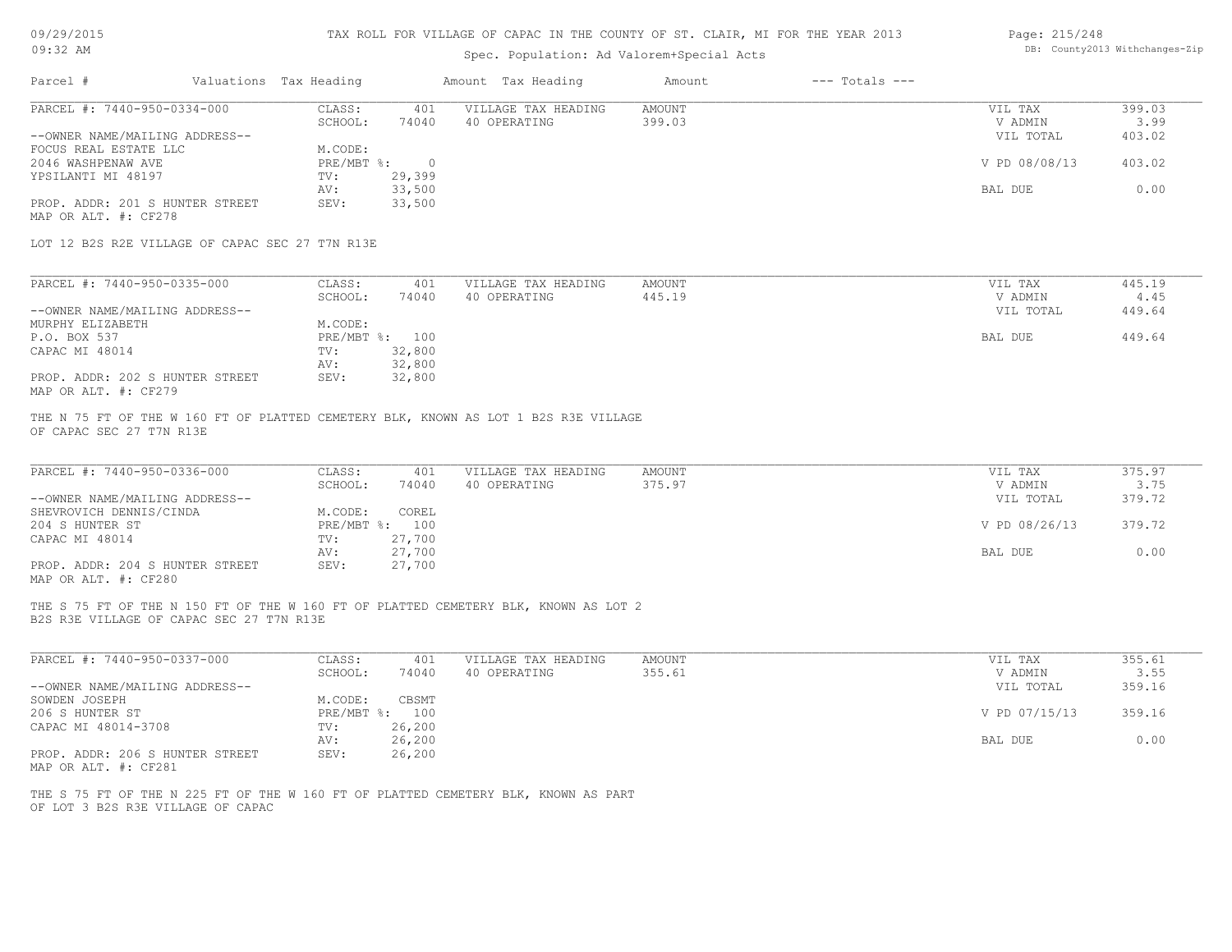| 09/29/2015 |  |
|------------|--|
|------------|--|

| 09:32 AM                                                |  |                        |                          | Spec. Population: Ad Valorem+Special Acts                                           | DB: County2013 Withchanges-Zip |                    |                    |                |
|---------------------------------------------------------|--|------------------------|--------------------------|-------------------------------------------------------------------------------------|--------------------------------|--------------------|--------------------|----------------|
| Parcel #                                                |  | Valuations Tax Heading |                          | Amount Tax Heading                                                                  | Amount                         | $---$ Totals $---$ |                    |                |
| PARCEL #: 7440-950-0334-000                             |  | CLASS:<br>SCHOOL:      | 401<br>74040             | VILLAGE TAX HEADING<br>40 OPERATING                                                 | <b>AMOUNT</b><br>399.03        |                    | VIL TAX<br>V ADMIN | 399.03<br>3.99 |
| --OWNER NAME/MAILING ADDRESS--                          |  |                        |                          |                                                                                     |                                |                    | VIL TOTAL          | 403.02         |
| FOCUS REAL ESTATE LLC                                   |  | M.CODE:                |                          |                                                                                     |                                |                    |                    |                |
| 2046 WASHPENAW AVE                                      |  | $PRE/MBT$ $\div$       | $\overline{0}$           |                                                                                     |                                |                    | V PD 08/08/13      | 403.02         |
| YPSILANTI MI 48197                                      |  | TV:                    | 29,399                   |                                                                                     |                                |                    |                    |                |
| PROP. ADDR: 201 S HUNTER STREET                         |  | AV:<br>SEV:            | 33,500<br>33,500         |                                                                                     |                                |                    | BAL DUE            | 0.00           |
| MAP OR ALT. #: CF278                                    |  |                        |                          |                                                                                     |                                |                    |                    |                |
| LOT 12 B2S R2E VILLAGE OF CAPAC SEC 27 T7N R13E         |  |                        |                          |                                                                                     |                                |                    |                    |                |
| PARCEL #: 7440-950-0335-000                             |  | CLASS:                 | 401                      | VILLAGE TAX HEADING                                                                 | AMOUNT                         |                    | VIL TAX            | 445.19         |
|                                                         |  | SCHOOL:                | 74040                    | 40 OPERATING                                                                        | 445.19                         |                    | V ADMIN            | 4.45           |
| --OWNER NAME/MAILING ADDRESS--                          |  |                        |                          |                                                                                     |                                |                    | VIL TOTAL          | 449.64         |
| MURPHY ELIZABETH                                        |  | M.CODE:                |                          |                                                                                     |                                |                    |                    |                |
| P.O. BOX 537<br>CAPAC MI 48014                          |  | TV:                    | PRE/MBT %: 100<br>32,800 |                                                                                     |                                |                    | BAL DUE            | 449.64         |
|                                                         |  | AV:                    | 32,800                   |                                                                                     |                                |                    |                    |                |
| PROP. ADDR: 202 S HUNTER STREET<br>MAP OR ALT. #: CF279 |  | SEV:                   | 32,800                   |                                                                                     |                                |                    |                    |                |
| PARCEL #: 7440-950-0336-000                             |  | CLASS:                 | 401                      | VILLAGE TAX HEADING                                                                 | <b>AMOUNT</b>                  |                    | VIL TAX            | 375.97         |
|                                                         |  | SCHOOL:                | 74040                    | 40 OPERATING                                                                        | 375.97                         |                    | V ADMIN            | 3.75           |
| --OWNER NAME/MAILING ADDRESS--                          |  | M.CODE:                | COREL                    |                                                                                     |                                |                    | VIL TOTAL          | 379.72         |
| SHEVROVICH DENNIS/CINDA<br>204 S HUNTER ST              |  |                        | PRE/MBT %: 100           |                                                                                     |                                |                    | V PD 08/26/13      | 379.72         |
| CAPAC MI 48014                                          |  | TV:                    | 27,700                   |                                                                                     |                                |                    |                    |                |
|                                                         |  | AV:                    | 27,700                   |                                                                                     |                                |                    | BAL DUE            | 0.00           |
| PROP. ADDR: 204 S HUNTER STREET<br>MAP OR ALT. #: CF280 |  | SEV:                   | 27,700                   |                                                                                     |                                |                    |                    |                |
|                                                         |  |                        |                          | THE S 75 FT OF THE N 150 FT OF THE W 160 FT OF PLATTED CEMETERY BLK, KNOWN AS LOT 2 |                                |                    |                    |                |
| B2S R3E VILLAGE OF CAPAC SEC 27 T7N R13E                |  |                        |                          |                                                                                     |                                |                    |                    |                |
| PARCEL #: 7440-950-0337-000                             |  | CLASS:<br>SCHOOL:      | 401<br>74040             | VILLAGE TAX HEADING<br>40 OPERATING                                                 | <b>AMOUNT</b><br>355.61        |                    | VIL TAX<br>V ADMIN | 355.61<br>3.55 |
| --OWNER NAME/MAILING ADDRESS--                          |  |                        |                          |                                                                                     |                                |                    | VIL TOTAL          | 359.16         |
| SOWDEN JOSEPH                                           |  | M.CODE:                | CBSMT                    |                                                                                     |                                |                    |                    |                |
| 206 S HUNTER ST                                         |  |                        | PRE/MBT %: 100           |                                                                                     |                                |                    | V PD 07/15/13      | 359.16         |
| CAPAC MI 48014-3708                                     |  | TV:                    | 26,200                   |                                                                                     |                                |                    |                    |                |
|                                                         |  | AV:                    | 26,200                   |                                                                                     |                                |                    | BAL DUE            | 0.00           |
| PROP. ADDR: 206 S HUNTER STREET<br>MAP OR ALT. #: CF281 |  | SEV:                   | 26,200                   |                                                                                     |                                |                    |                    |                |
|                                                         |  |                        |                          | THE S 75 FT OF THE N 225 FT OF THE W 160 FT OF PLATTED CEMETERY BLK, KNOWN AS PART  |                                |                    |                    |                |
| OF LOT 3 B2S R3E VILLAGE OF CAPAC                       |  |                        |                          |                                                                                     |                                |                    |                    |                |
|                                                         |  |                        |                          |                                                                                     |                                |                    |                    |                |
|                                                         |  |                        |                          |                                                                                     |                                |                    |                    |                |
|                                                         |  |                        |                          |                                                                                     |                                |                    |                    |                |
|                                                         |  |                        |                          |                                                                                     |                                |                    |                    |                |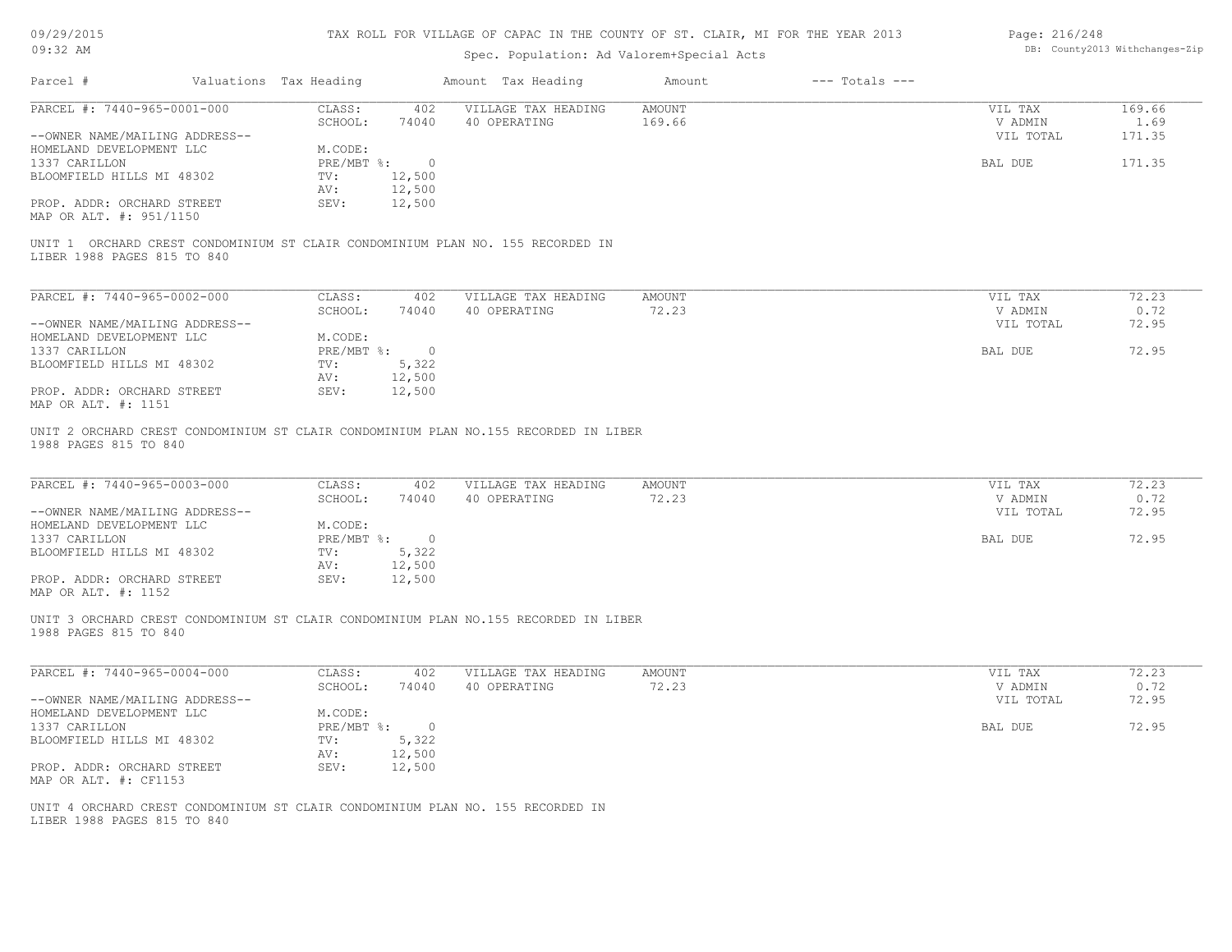| 09/29/2015 |  |  |  |  |  |
|------------|--|--|--|--|--|
| $09:32$ AM |  |  |  |  |  |

# Spec. Population: Ad Valorem+Special Acts

| Page: 216/248 |                                |
|---------------|--------------------------------|
|               | DB: County2013 Withchanges-Zip |

|                                                               |                        |                             |                | spec. Population: Ad valorem special Acts                                           |                        |                    |                                 |                        |
|---------------------------------------------------------------|------------------------|-----------------------------|----------------|-------------------------------------------------------------------------------------|------------------------|--------------------|---------------------------------|------------------------|
| Parcel #                                                      | Valuations Tax Heading |                             |                | Amount Tax Heading                                                                  | Amount                 | $---$ Totals $---$ |                                 |                        |
| PARCEL #: 7440-965-0001-000                                   |                        | CLASS:                      | 402            | VILLAGE TAX HEADING                                                                 | <b>AMOUNT</b>          |                    | VIL TAX                         | 169.66                 |
|                                                               |                        | SCHOOL:                     | 74040          | 40 OPERATING                                                                        | 169.66                 |                    | V ADMIN                         | 1.69                   |
| --OWNER NAME/MAILING ADDRESS--                                |                        |                             |                |                                                                                     |                        |                    | VIL TOTAL                       | 171.35                 |
| HOMELAND DEVELOPMENT LLC                                      |                        | M.CODE:                     |                |                                                                                     |                        |                    |                                 |                        |
| 1337 CARILLON                                                 |                        | PRE/MBT %:                  | $\circ$        |                                                                                     |                        |                    | BAL DUE                         | 171.35                 |
| BLOOMFIELD HILLS MI 48302                                     |                        | TV:                         | 12,500         |                                                                                     |                        |                    |                                 |                        |
|                                                               |                        | AV:                         | 12,500         |                                                                                     |                        |                    |                                 |                        |
| PROP. ADDR: ORCHARD STREET<br>MAP OR ALT. #: 951/1150         |                        | SEV:                        | 12,500         |                                                                                     |                        |                    |                                 |                        |
| LIBER 1988 PAGES 815 TO 840                                   |                        |                             |                | UNIT 1 ORCHARD CREST CONDOMINIUM ST CLAIR CONDOMINIUM PLAN NO. 155 RECORDED IN      |                        |                    |                                 |                        |
| PARCEL #: 7440-965-0002-000                                   |                        | CLASS:                      | 402            | VILLAGE TAX HEADING                                                                 | <b>AMOUNT</b>          |                    | VIL TAX                         | 72.23                  |
|                                                               |                        | SCHOOL:                     | 74040          | 40 OPERATING                                                                        | 72.23                  |                    | V ADMIN                         | 0.72                   |
| --OWNER NAME/MAILING ADDRESS--                                |                        |                             |                |                                                                                     |                        |                    | VIL TOTAL                       | 72.95                  |
| HOMELAND DEVELOPMENT LLC                                      |                        | M.CODE:                     |                |                                                                                     |                        |                    |                                 |                        |
| 1337 CARILLON                                                 |                        | PRE/MBT %:                  | $\overline{0}$ |                                                                                     |                        |                    | BAL DUE                         | 72.95                  |
| BLOOMFIELD HILLS MI 48302                                     |                        | TV:                         | 5,322          |                                                                                     |                        |                    |                                 |                        |
|                                                               |                        | AV:                         | 12,500         |                                                                                     |                        |                    |                                 |                        |
| PROP. ADDR: ORCHARD STREET                                    |                        | SEV:                        | 12,500         |                                                                                     |                        |                    |                                 |                        |
| MAP OR ALT. #: 1151                                           |                        |                             |                |                                                                                     |                        |                    |                                 |                        |
| PARCEL #: 7440-965-0003-000<br>--OWNER NAME/MAILING ADDRESS-- |                        | CLASS:<br>SCHOOL:           | 402<br>74040   | VILLAGE TAX HEADING<br>40 OPERATING                                                 | <b>AMOUNT</b><br>72.23 |                    | VIL TAX<br>V ADMIN<br>VIL TOTAL | 72.23<br>0.72<br>72.95 |
| HOMELAND DEVELOPMENT LLC                                      |                        | M.CODE:<br>$PRE/MBT$ $\div$ | $\overline{0}$ |                                                                                     |                        |                    | BAL DUE                         | 72.95                  |
| 1337 CARILLON<br>BLOOMFIELD HILLS MI 48302                    |                        | TV:                         | 5,322          |                                                                                     |                        |                    |                                 |                        |
|                                                               |                        | AV:                         | 12,500         |                                                                                     |                        |                    |                                 |                        |
| PROP. ADDR: ORCHARD STREET                                    |                        | SEV:                        | 12,500         |                                                                                     |                        |                    |                                 |                        |
| MAP OR ALT. #: 1152                                           |                        |                             |                |                                                                                     |                        |                    |                                 |                        |
| 1988 PAGES 815 TO 840                                         |                        |                             |                | UNIT 3 ORCHARD CREST CONDOMINIUM ST CLAIR CONDOMINIUM PLAN NO.155 RECORDED IN LIBER |                        |                    |                                 |                        |
| PARCEL #: 7440-965-0004-000                                   |                        | CLASS:                      | 402            | VILLAGE TAX HEADING                                                                 | <b>AMOUNT</b>          |                    | VIL TAX                         | 72.23                  |
|                                                               |                        | SCHOOL:                     | 74040          | 40 OPERATING                                                                        | 72.23                  |                    | V ADMIN                         | 0.72                   |
| --OWNER NAME/MAILING ADDRESS--                                |                        |                             |                |                                                                                     |                        |                    | VIL TOTAL                       | 72.95                  |
| HOMELAND DEVELOPMENT LLC                                      |                        | M.CODE:                     |                |                                                                                     |                        |                    |                                 |                        |
| 1337 CARILLON                                                 |                        | $PRE/MBT$ %:                | $\overline{0}$ |                                                                                     |                        |                    | BAL DUE                         | 72.95                  |
| BLOOMFIELD HILLS MI 48302                                     |                        | TV:                         | 5,322          |                                                                                     |                        |                    |                                 |                        |
|                                                               |                        | AV:                         | 12,500         |                                                                                     |                        |                    |                                 |                        |
| PROP. ADDR: ORCHARD STREET<br>MAP OR ALT. #: CF1153           |                        | SEV:                        | 12,500         |                                                                                     |                        |                    |                                 |                        |
| LIBER 1988 PAGES 815 TO 840                                   |                        |                             |                | UNIT 4 ORCHARD CREST CONDOMINIUM ST CLAIR CONDOMINIUM PLAN NO. 155 RECORDED IN      |                        |                    |                                 |                        |
|                                                               |                        |                             |                |                                                                                     |                        |                    |                                 |                        |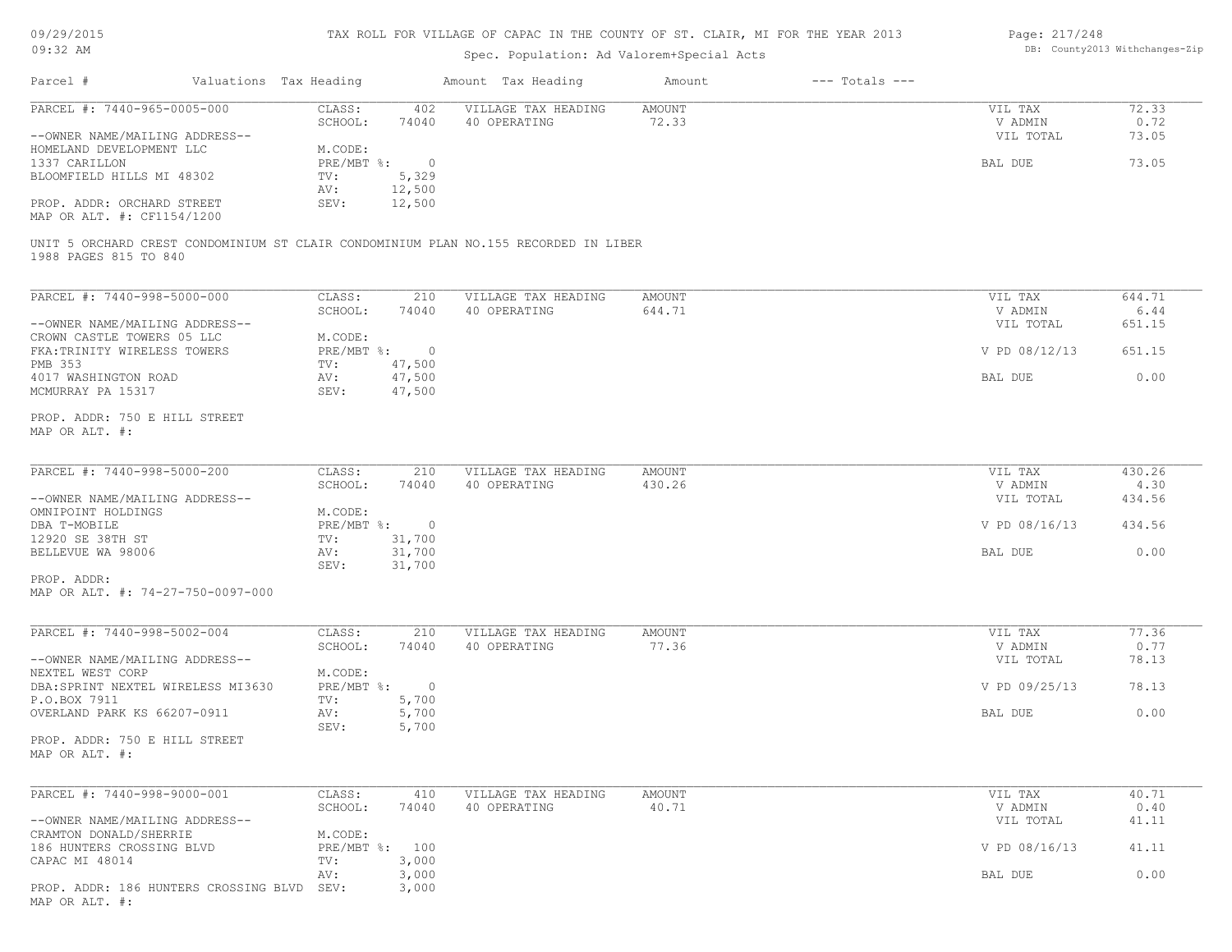| 09/29/2015 |  |
|------------|--|
| $09:32$ AM |  |

MAP OR ALT. #:

## TAX ROLL FOR VILLAGE OF CAPAC IN THE COUNTY OF ST. CLAIR, MI FOR THE YEAR 2013

## Spec. Population: Ad Valorem+Special Acts

#### Page: 217/248 DB: County2013 Withchanges-Zip

| Parcel #                                                                                                     | Valuations Tax Heading |                                      |                         | Amount Tax Heading                  | Amount          | $---$ Totals $---$ |                    |               |
|--------------------------------------------------------------------------------------------------------------|------------------------|--------------------------------------|-------------------------|-------------------------------------|-----------------|--------------------|--------------------|---------------|
| PARCEL #: 7440-965-0005-000                                                                                  |                        | CLASS:<br>SCHOOL:                    | 402<br>74040            | VILLAGE TAX HEADING<br>40 OPERATING | AMOUNT<br>72.33 |                    | VIL TAX<br>V ADMIN | 72.33<br>0.72 |
| --OWNER NAME/MAILING ADDRESS--<br>HOMELAND DEVELOPMENT LLC                                                   |                        | M.CODE:                              |                         |                                     |                 |                    | VIL TOTAL          | 73.05         |
| 1337 CARILLON                                                                                                |                        | PRE/MBT %:                           | $\overline{0}$          |                                     |                 |                    | BAL DUE            | 73.05         |
| BLOOMFIELD HILLS MI 48302                                                                                    |                        | TV:                                  | 5,329                   |                                     |                 |                    |                    |               |
|                                                                                                              |                        | AV:                                  | 12,500                  |                                     |                 |                    |                    |               |
| PROP. ADDR: ORCHARD STREET<br>MAP OR ALT. #: CF1154/1200                                                     |                        | SEV:                                 | 12,500                  |                                     |                 |                    |                    |               |
| UNIT 5 ORCHARD CREST CONDOMINIUM ST CLAIR CONDOMINIUM PLAN NO.155 RECORDED IN LIBER<br>1988 PAGES 815 TO 840 |                        |                                      |                         |                                     |                 |                    |                    |               |
| PARCEL #: 7440-998-5000-000                                                                                  |                        | CLASS:                               | 210                     | VILLAGE TAX HEADING                 | AMOUNT          |                    | VIL TAX            | 644.71        |
|                                                                                                              |                        | SCHOOL:                              | 74040                   | 40 OPERATING                        | 644.71          |                    | V ADMIN            | 6.44          |
| --OWNER NAME/MAILING ADDRESS--                                                                               |                        |                                      |                         |                                     |                 |                    | VIL TOTAL          | 651.15        |
| CROWN CASTLE TOWERS 05 LLC                                                                                   |                        | M.CODE:                              |                         |                                     |                 |                    |                    |               |
| FKA: TRINITY WIRELESS TOWERS                                                                                 |                        | $PRE/MBT$ %:                         | $\overline{0}$          |                                     |                 |                    | V PD 08/12/13      | 651.15        |
| PMB 353                                                                                                      |                        | TV:                                  | 47,500                  |                                     |                 |                    |                    |               |
| 4017 WASHINGTON ROAD<br>MCMURRAY PA 15317                                                                    |                        | AV:<br>SEV:                          | 47,500<br>47,500        |                                     |                 |                    | BAL DUE            | 0.00          |
|                                                                                                              |                        |                                      |                         |                                     |                 |                    |                    |               |
| PROP. ADDR: 750 E HILL STREET<br>MAP OR ALT. #:                                                              |                        |                                      |                         |                                     |                 |                    |                    |               |
| PARCEL #: 7440-998-5000-200                                                                                  |                        | CLASS:                               | 210                     | VILLAGE TAX HEADING                 | AMOUNT          |                    | VIL TAX            | 430.26        |
|                                                                                                              |                        | SCHOOL:                              | 74040                   | 40 OPERATING                        | 430.26          |                    | V ADMIN            | 4.30          |
| --OWNER NAME/MAILING ADDRESS--                                                                               |                        |                                      |                         |                                     |                 |                    | VIL TOTAL          | 434.56        |
| OMNIPOINT HOLDINGS<br>DBA T-MOBILE                                                                           |                        | M.CODE:<br>$PRE/MBT$ $\frac{1}{6}$ : | $\overline{0}$          |                                     |                 |                    | V PD 08/16/13      | 434.56        |
| 12920 SE 38TH ST                                                                                             |                        | TV:                                  | 31,700                  |                                     |                 |                    |                    |               |
| BELLEVUE WA 98006                                                                                            |                        | AV:                                  | 31,700                  |                                     |                 |                    | BAL DUE            | 0.00          |
|                                                                                                              |                        | SEV:                                 | 31,700                  |                                     |                 |                    |                    |               |
| PROP. ADDR:<br>MAP OR ALT. #: 74-27-750-0097-000                                                             |                        |                                      |                         |                                     |                 |                    |                    |               |
| PARCEL #: 7440-998-5002-004                                                                                  |                        | CLASS:                               | 210                     | VILLAGE TAX HEADING                 | AMOUNT          |                    | VIL TAX            | 77.36         |
|                                                                                                              |                        | SCHOOL:                              | 74040                   | 40 OPERATING                        | 77.36           |                    | V ADMIN            | 0.77          |
| --OWNER NAME/MAILING ADDRESS--                                                                               |                        |                                      |                         |                                     |                 |                    | VIL TOTAL          | 78.13         |
| NEXTEL WEST CORP                                                                                             |                        | M.CODE:                              |                         |                                     |                 |                    | V PD 09/25/13      |               |
| DBA: SPRINT NEXTEL WIRELESS MI3630<br>P.O.BOX 7911                                                           |                        | $PRE/MBT$ $\div$<br>TV:              | $\overline{0}$<br>5,700 |                                     |                 |                    |                    | 78.13         |
| OVERLAND PARK KS 66207-0911                                                                                  |                        | AV:                                  | 5,700                   |                                     |                 |                    | BAL DUE            | 0.00          |
|                                                                                                              |                        | SEV:                                 | 5,700                   |                                     |                 |                    |                    |               |
| PROP. ADDR: 750 E HILL STREET<br>MAP OR ALT. #:                                                              |                        |                                      |                         |                                     |                 |                    |                    |               |
| PARCEL #: 7440-998-9000-001                                                                                  |                        | CLASS:                               | 410                     | VILLAGE TAX HEADING                 | AMOUNT          |                    | VIL TAX            | 40.71         |
|                                                                                                              |                        | SCHOOL:                              | 74040                   | 40 OPERATING                        | 40.71           |                    | V ADMIN            | 0.40          |
| --OWNER NAME/MAILING ADDRESS--                                                                               |                        |                                      |                         |                                     |                 |                    | VIL TOTAL          | 41.11         |
| CRAMTON DONALD/SHERRIE                                                                                       |                        | M.CODE:                              |                         |                                     |                 |                    |                    |               |
| 186 HUNTERS CROSSING BLVD                                                                                    |                        | PRE/MBT %: 100                       |                         |                                     |                 |                    | V PD 08/16/13      | 41.11         |
| CAPAC MI 48014                                                                                               |                        | TV:<br>AV:                           | 3,000<br>3,000          |                                     |                 |                    | BAL DUE            | 0.00          |
| PROP. ADDR: 186 HUNTERS CROSSING BLVD                                                                        |                        | SEV:                                 | 3,000                   |                                     |                 |                    |                    |               |
|                                                                                                              |                        |                                      |                         |                                     |                 |                    |                    |               |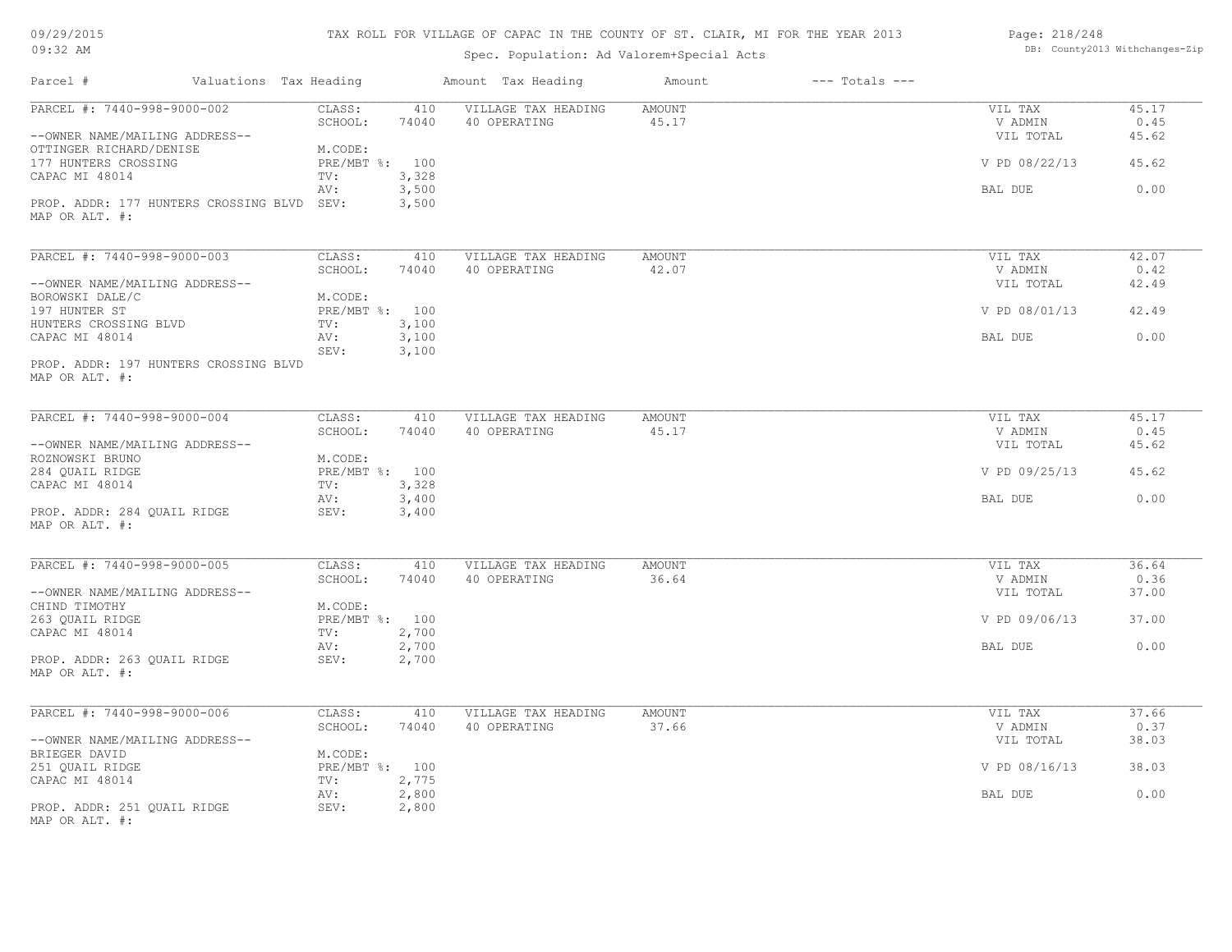| 09/29/2015 |  |
|------------|--|
| $09:32$ AM |  |

## Spec. Population: Ad Valorem+Special Acts

| Page: 218/248 |                                |
|---------------|--------------------------------|
|               | DB: County2013 Withchanges-Zip |

| Parcel #                                                     | Valuations Tax Heading    |                | Amount Tax Heading                  | Amount                 | $---$ Totals $---$ |                    |               |
|--------------------------------------------------------------|---------------------------|----------------|-------------------------------------|------------------------|--------------------|--------------------|---------------|
| PARCEL #: 7440-998-9000-002                                  | CLASS:<br>SCHOOL:         | 410<br>74040   | VILLAGE TAX HEADING<br>40 OPERATING | <b>AMOUNT</b><br>45.17 |                    | VIL TAX<br>V ADMIN | 45.17<br>0.45 |
| --OWNER NAME/MAILING ADDRESS--<br>OTTINGER RICHARD/DENISE    | M.CODE:                   |                |                                     |                        |                    | VIL TOTAL          | 45.62         |
| 177 HUNTERS CROSSING<br>CAPAC MI 48014                       | PRE/MBT %: 100<br>TV:     | 3,328          |                                     |                        |                    | V PD 08/22/13      | 45.62         |
|                                                              | AV:                       | 3,500          |                                     |                        |                    | BAL DUE            | 0.00          |
| PROP. ADDR: 177 HUNTERS CROSSING BLVD SEV:<br>MAP OR ALT. #: |                           | 3,500          |                                     |                        |                    |                    |               |
| PARCEL #: 7440-998-9000-003                                  | CLASS:                    | 410            | VILLAGE TAX HEADING                 | AMOUNT                 |                    | VIL TAX            | 42.07         |
|                                                              | SCHOOL:                   | 74040          | 40 OPERATING                        | 42.07                  |                    | V ADMIN            | 0.42          |
| --OWNER NAME/MAILING ADDRESS--                               |                           |                |                                     |                        |                    | VIL TOTAL          | 42.49         |
| BOROWSKI DALE/C<br>197 HUNTER ST                             | M.CODE:<br>PRE/MBT %: 100 |                |                                     |                        |                    | V PD 08/01/13      | 42.49         |
| HUNTERS CROSSING BLVD                                        | TV:                       | 3,100          |                                     |                        |                    |                    |               |
| CAPAC MI 48014                                               | AV:<br>SEV:               | 3,100<br>3,100 |                                     |                        |                    | BAL DUE            | 0.00          |
| PROP. ADDR: 197 HUNTERS CROSSING BLVD<br>MAP OR ALT. #:      |                           |                |                                     |                        |                    |                    |               |
| PARCEL #: 7440-998-9000-004                                  | CLASS:                    | 410            | VILLAGE TAX HEADING                 | <b>AMOUNT</b>          |                    | VIL TAX            | 45.17         |
|                                                              | SCHOOL:                   | 74040          | 40 OPERATING                        | 45.17                  |                    | V ADMIN            | 0.45          |
| --OWNER NAME/MAILING ADDRESS--                               |                           |                |                                     |                        |                    | VIL TOTAL          | 45.62         |
| ROZNOWSKI BRUNO                                              | M.CODE:                   |                |                                     |                        |                    |                    |               |
| 284 QUAIL RIDGE<br>CAPAC MI 48014                            | PRE/MBT %: 100<br>TV:     | 3,328          |                                     |                        |                    | V PD 09/25/13      | 45.62         |
|                                                              | AV:                       | 3,400          |                                     |                        |                    | BAL DUE            | 0.00          |
| PROP. ADDR: 284 QUAIL RIDGE<br>MAP OR ALT. #:                | SEV:                      | 3,400          |                                     |                        |                    |                    |               |
| PARCEL #: 7440-998-9000-005                                  | CLASS:                    | 410            | VILLAGE TAX HEADING                 | <b>AMOUNT</b>          |                    | VIL TAX            | 36.64         |
|                                                              | SCHOOL:                   | 74040          | 40 OPERATING                        | 36.64                  |                    | V ADMIN            | 0.36          |
| --OWNER NAME/MAILING ADDRESS--                               |                           |                |                                     |                        |                    | VIL TOTAL          | 37.00         |
| CHIND TIMOTHY                                                | M.CODE:<br>PRE/MBT %: 100 |                |                                     |                        |                    |                    | 37.00         |
| 263 QUAIL RIDGE<br>CAPAC MI 48014                            | TV:                       | 2,700          |                                     |                        |                    | V PD 09/06/13      |               |
|                                                              | AV:                       | 2,700          |                                     |                        |                    | BAL DUE            | 0.00          |
| PROP. ADDR: 263 QUAIL RIDGE                                  | SEV:                      | 2,700          |                                     |                        |                    |                    |               |
| MAP OR ALT. #:                                               |                           |                |                                     |                        |                    |                    |               |
| PARCEL #: 7440-998-9000-006                                  | CLASS:                    | 410            | VILLAGE TAX HEADING                 | <b>AMOUNT</b>          |                    | VIL TAX            | 37.66         |
|                                                              | SCHOOL:                   | 74040          | 40 OPERATING                        | 37.66                  |                    | V ADMIN            | 0.37          |
| --OWNER NAME/MAILING ADDRESS--                               |                           |                |                                     |                        |                    | VIL TOTAL          | 38.03         |
| BRIEGER DAVID                                                | M.CODE:                   |                |                                     |                        |                    |                    |               |
| 251 QUAIL RIDGE<br>CAPAC MI 48014                            | PRE/MBT %: 100<br>TV:     | 2,775          |                                     |                        |                    | V PD 08/16/13      | 38.03         |
|                                                              | AV:                       | 2,800          |                                     |                        |                    | BAL DUE            | 0.00          |
| PROP. ADDR: 251 OUAIL RIDGE<br>MAP OR ALT. #:                | SEV:                      | 2,800          |                                     |                        |                    |                    |               |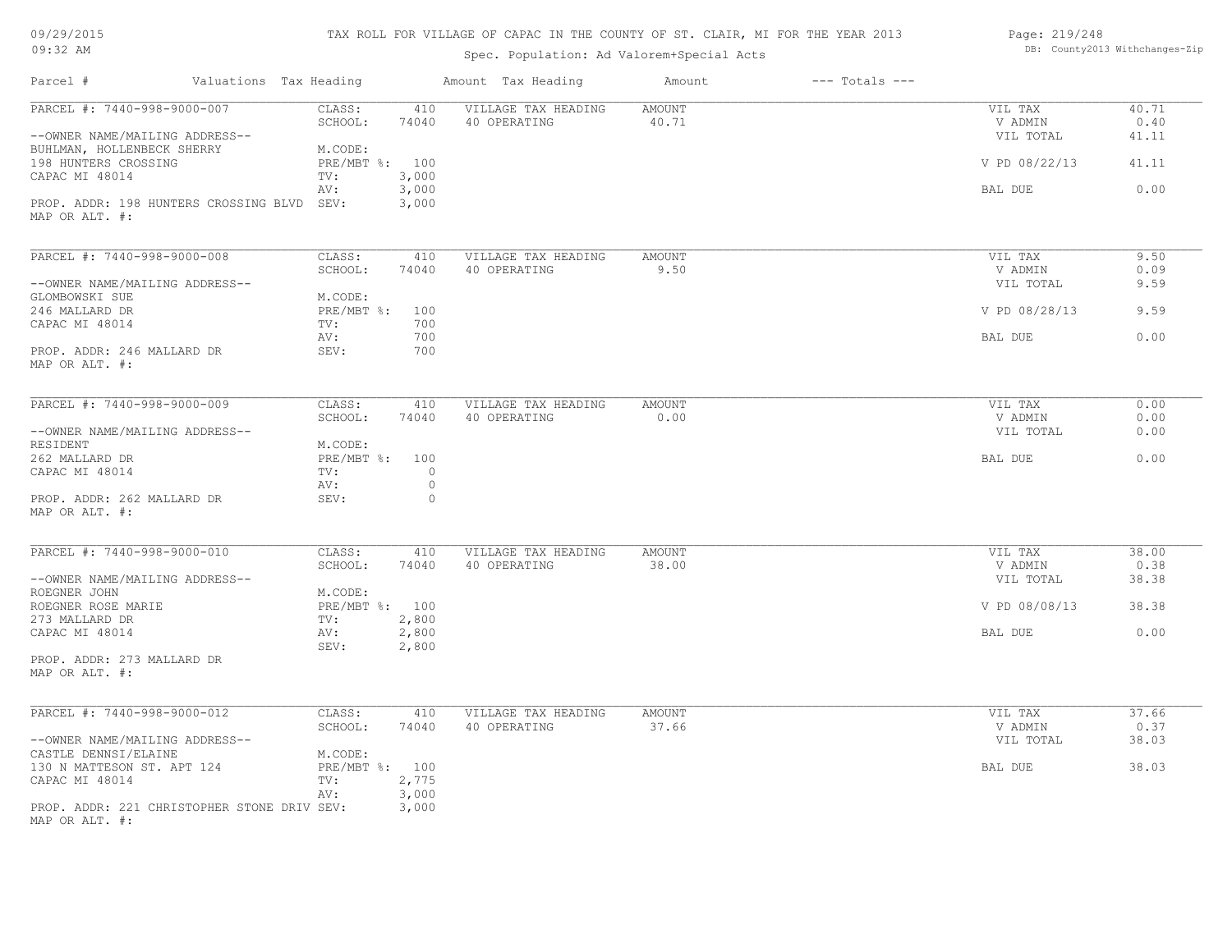| 09/29/2015 |  |
|------------|--|
| $09:32$ AM |  |

## Spec. Population: Ad Valorem+Special Acts

| Page: 219/248 |                                |
|---------------|--------------------------------|
|               | DB: County2013 Withchanges-Zip |

| Parcel #                                                      | Valuations Tax Heading            | Amount Tax Heading                  | Amount<br>$---$ Totals $---$ |                      |               |
|---------------------------------------------------------------|-----------------------------------|-------------------------------------|------------------------------|----------------------|---------------|
| PARCEL #: 7440-998-9000-007                                   | CLASS:<br>410<br>74040<br>SCHOOL: | VILLAGE TAX HEADING<br>40 OPERATING | <b>AMOUNT</b><br>40.71       | VIL TAX<br>V ADMIN   | 40.71<br>0.40 |
| --OWNER NAME/MAILING ADDRESS--<br>BUHLMAN, HOLLENBECK SHERRY  | M.CODE:                           |                                     |                              | VIL TOTAL            | 41.11         |
| 198 HUNTERS CROSSING<br>CAPAC MI 48014                        | PRE/MBT %: 100<br>3,000<br>TV:    |                                     |                              | V PD 08/22/13        | 41.11         |
| PROP. ADDR: 198 HUNTERS CROSSING BLVD SEV:                    | 3,000<br>AV:<br>3,000             |                                     |                              | BAL DUE              | 0.00          |
| MAP OR ALT. #:                                                |                                   |                                     |                              |                      |               |
| PARCEL #: 7440-998-9000-008                                   | CLASS:<br>410                     | VILLAGE TAX HEADING                 | <b>AMOUNT</b>                | VIL TAX              | 9.50          |
| --OWNER NAME/MAILING ADDRESS--                                | SCHOOL:<br>74040                  | 40 OPERATING                        | 9.50                         | V ADMIN<br>VIL TOTAL | 0.09<br>9.59  |
| GLOMBOWSKI SUE                                                | M.CODE:                           |                                     |                              |                      |               |
| 246 MALLARD DR                                                | PRE/MBT %:<br>100                 |                                     |                              | V PD 08/28/13        | 9.59          |
| CAPAC MI 48014                                                | 700<br>TV:                        |                                     |                              |                      |               |
|                                                               | 700<br>AV:                        |                                     |                              | BAL DUE              | 0.00          |
| PROP. ADDR: 246 MALLARD DR<br>MAP OR ALT. #:                  | SEV:<br>700                       |                                     |                              |                      |               |
| PARCEL #: 7440-998-9000-009                                   | CLASS:<br>410                     | VILLAGE TAX HEADING                 | AMOUNT                       | VIL TAX              | 0.00          |
|                                                               | SCHOOL:<br>74040                  | 40 OPERATING                        | 0.00                         | V ADMIN              | 0.00          |
| --OWNER NAME/MAILING ADDRESS--<br>RESIDENT                    | M.CODE:                           |                                     |                              | VIL TOTAL            | 0.00          |
| 262 MALLARD DR                                                | PRE/MBT %: 100                    |                                     |                              | BAL DUE              | 0.00          |
| CAPAC MI 48014                                                | TV:<br>$\circ$<br>$\circ$<br>AV:  |                                     |                              |                      |               |
| PROP. ADDR: 262 MALLARD DR<br>MAP OR ALT. #:                  | SEV:<br>$\circ$                   |                                     |                              |                      |               |
| PARCEL #: 7440-998-9000-010                                   | CLASS:<br>410                     | VILLAGE TAX HEADING                 | AMOUNT                       | VIL TAX              | 38.00         |
|                                                               | SCHOOL:<br>74040                  | 40 OPERATING                        | 38.00                        | V ADMIN              | 0.38          |
| --OWNER NAME/MAILING ADDRESS--                                |                                   |                                     |                              | VIL TOTAL            | 38.38         |
| ROEGNER JOHN<br>ROEGNER ROSE MARIE                            | M.CODE:<br>PRE/MBT %: 100         |                                     |                              | V PD 08/08/13        | 38.38         |
| 273 MALLARD DR                                                | 2,800<br>TV:                      |                                     |                              |                      |               |
| CAPAC MI 48014                                                | 2,800<br>AV:                      |                                     |                              | BAL DUE              | 0.00          |
|                                                               | SEV:<br>2,800                     |                                     |                              |                      |               |
| PROP. ADDR: 273 MALLARD DR<br>MAP OR ALT. #:                  |                                   |                                     |                              |                      |               |
| PARCEL #: 7440-998-9000-012                                   | CLASS:<br>410                     | VILLAGE TAX HEADING                 | AMOUNT                       | VIL TAX              | 37.66         |
|                                                               | SCHOOL:<br>74040                  | 40 OPERATING                        | 37.66                        | V ADMIN              | 0.37          |
| --OWNER NAME/MAILING ADDRESS--                                |                                   |                                     |                              | VIL TOTAL            | 38.03         |
| CASTLE DENNSI/ELAINE                                          | M.CODE:                           |                                     |                              |                      |               |
| 130 N MATTESON ST. APT 124<br>CAPAC MI 48014                  | PRE/MBT %: 100<br>2,775<br>TV:    |                                     |                              | BAL DUE              | 38.03         |
| PROP. ADDR: 221 CHRISTOPHER STONE DRIV SEV:<br>MAP OR ALT. #: | 3,000<br>AV:<br>3,000             |                                     |                              |                      |               |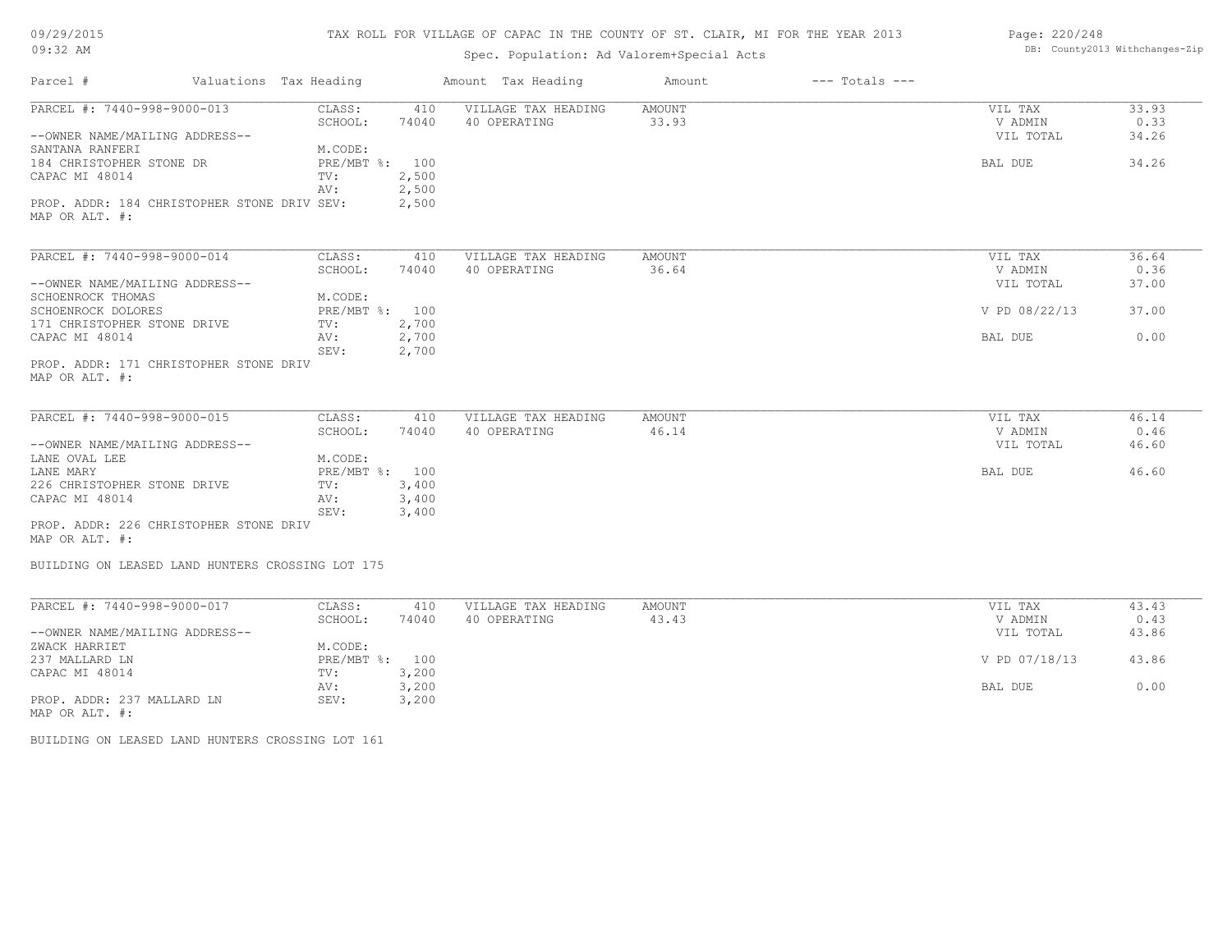| 09/29/2015 |  |
|------------|--|
| $09:32$ AM |  |

## Spec. Population: Ad Valorem+Special Acts

| Page: 220/248 |                                |
|---------------|--------------------------------|
|               | DB: County2013 Withchanges-Zip |

| Parcel #                                                      | Valuations Tax Heading |                   |                | Amount Tax Heading                  | Amount          | $---$ Totals $---$ |                    |               |
|---------------------------------------------------------------|------------------------|-------------------|----------------|-------------------------------------|-----------------|--------------------|--------------------|---------------|
| PARCEL #: 7440-998-9000-013                                   |                        | CLASS:<br>SCHOOL: | 410<br>74040   | VILLAGE TAX HEADING<br>40 OPERATING | AMOUNT<br>33.93 |                    | VIL TAX<br>V ADMIN | 33.93<br>0.33 |
| --OWNER NAME/MAILING ADDRESS--                                |                        |                   |                |                                     |                 |                    | VIL TOTAL          | 34.26         |
| SANTANA RANFERI                                               |                        | M.CODE:           |                |                                     |                 |                    |                    |               |
| 184 CHRISTOPHER STONE DR                                      |                        | PRE/MBT %: 100    |                |                                     |                 |                    | <b>BAL DUE</b>     | 34.26         |
| CAPAC MI 48014                                                |                        | TV:               | 2,500          |                                     |                 |                    |                    |               |
|                                                               |                        | AV:               | 2,500          |                                     |                 |                    |                    |               |
| PROP. ADDR: 184 CHRISTOPHER STONE DRIV SEV:<br>MAP OR ALT. #: |                        |                   | 2,500          |                                     |                 |                    |                    |               |
| PARCEL #: 7440-998-9000-014                                   |                        | CLASS:            | 410            | VILLAGE TAX HEADING                 | AMOUNT          |                    | VIL TAX            | 36.64         |
|                                                               |                        | SCHOOL:           | 74040          | 40 OPERATING                        | 36.64           |                    | V ADMIN            | 0.36          |
| --OWNER NAME/MAILING ADDRESS--                                |                        |                   |                |                                     |                 |                    | VIL TOTAL          | 37.00         |
| SCHOENROCK THOMAS                                             |                        | M.CODE:           |                |                                     |                 |                    |                    |               |
| SCHOENROCK DOLORES                                            |                        | PRE/MBT %: 100    |                |                                     |                 |                    | V PD 08/22/13      | 37.00         |
| 171 CHRISTOPHER STONE DRIVE                                   |                        | TV:               | 2,700          |                                     |                 |                    |                    |               |
| CAPAC MI 48014                                                |                        | AV:<br>SEV:       | 2,700<br>2,700 |                                     |                 |                    | BAL DUE            | 0.00          |
| PROP. ADDR: 171 CHRISTOPHER STONE DRIV                        |                        |                   |                |                                     |                 |                    |                    |               |
| MAP OR ALT. #:                                                |                        |                   |                |                                     |                 |                    |                    |               |
|                                                               |                        |                   |                |                                     |                 |                    |                    |               |
| PARCEL #: 7440-998-9000-015                                   |                        | CLASS:            | 410            | VILLAGE TAX HEADING                 | AMOUNT          |                    | VIL TAX            | 46.14         |
|                                                               |                        | SCHOOL:           | 74040          | 40 OPERATING                        | 46.14           |                    | V ADMIN            | 0.46          |
| --OWNER NAME/MAILING ADDRESS--                                |                        |                   |                |                                     |                 |                    | VIL TOTAL          | 46.60         |
| LANE OVAL LEE                                                 |                        | M.CODE:           |                |                                     |                 |                    |                    |               |
| LANE MARY                                                     |                        | PRE/MBT %: 100    |                |                                     |                 |                    | BAL DUE            | 46.60         |
| 226 CHRISTOPHER STONE DRIVE                                   |                        | TV:               | 3,400          |                                     |                 |                    |                    |               |
| CAPAC MI 48014                                                |                        | AV:<br>SEV:       | 3,400<br>3,400 |                                     |                 |                    |                    |               |
| PROP. ADDR: 226 CHRISTOPHER STONE DRIV                        |                        |                   |                |                                     |                 |                    |                    |               |
| MAP OR ALT. #:                                                |                        |                   |                |                                     |                 |                    |                    |               |
| BUILDING ON LEASED LAND HUNTERS CROSSING LOT 175              |                        |                   |                |                                     |                 |                    |                    |               |
| PARCEL #: 7440-998-9000-017                                   |                        | CLASS:            | 410            | VILLAGE TAX HEADING                 | <b>AMOUNT</b>   |                    | VIL TAX            | 43.43         |
|                                                               |                        | SCHOOL:           | 74040          | 40 OPERATING                        | 43.43           |                    | V ADMIN            | 0.43          |

|                                | SCHOOL:      | 74040 | 40 OPERATING | 43.43 | V ADMIN       | 0.43  |
|--------------------------------|--------------|-------|--------------|-------|---------------|-------|
| --OWNER NAME/MAILING ADDRESS-- |              |       |              |       | VIL TOTAL     | 43.86 |
| ZWACK HARRIET                  | M.CODE:      |       |              |       |               |       |
| 237 MALLARD LN                 | $PRE/MBT$ %: | 100   |              |       | V PD 07/18/13 | 43.86 |
| CAPAC MI 48014                 | TV:          | 3,200 |              |       |               |       |
|                                | AV:          | 3,200 |              |       | BAL DUE       | 0.00  |
| PROP. ADDR: 237 MALLARD LN     | SEV:         | 3,200 |              |       |               |       |
| MAP OR ALT. #:                 |              |       |              |       |               |       |

BUILDING ON LEASED LAND HUNTERS CROSSING LOT 161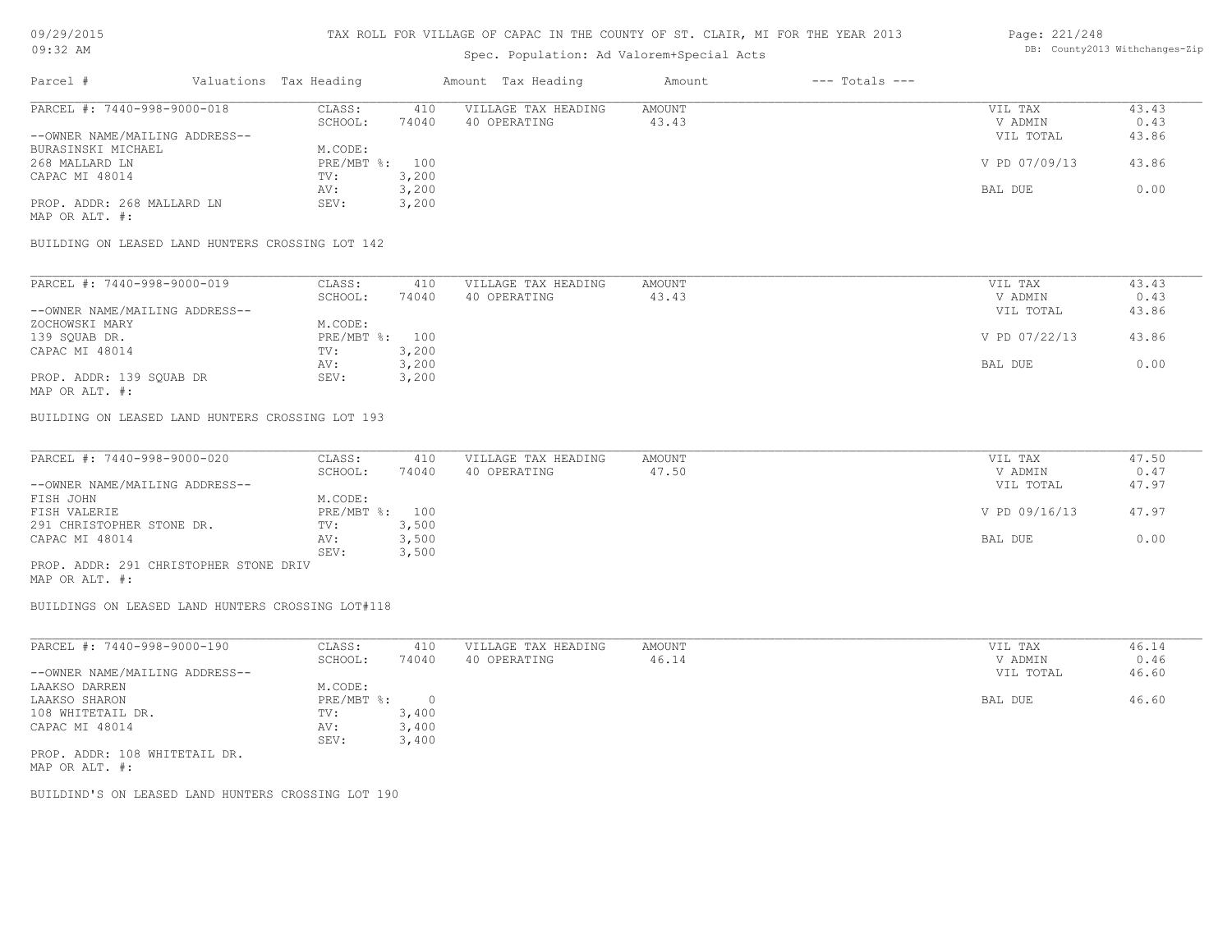#### Spec. Population: Ad Valorem+Special Acts

#### Page: 221/248 DB: County2013 Withchanges-Zip

| Parcel #                                                                                                        | Valuations Tax Heading |       | Amount Tax Heading  | Amount | $---$ Totals $---$ |               |       |
|-----------------------------------------------------------------------------------------------------------------|------------------------|-------|---------------------|--------|--------------------|---------------|-------|
| PARCEL #: 7440-998-9000-018                                                                                     | CLASS:                 | 410   | VILLAGE TAX HEADING | AMOUNT |                    | VIL TAX       | 43.43 |
|                                                                                                                 | SCHOOL:                | 74040 | 40 OPERATING        | 43.43  |                    | V ADMIN       | 0.43  |
| --OWNER NAME/MAILING ADDRESS--                                                                                  |                        |       |                     |        |                    | VIL TOTAL     | 43.86 |
| BURASINSKI MICHAEL                                                                                              | M.CODE:                |       |                     |        |                    |               |       |
| 268 MALLARD LN                                                                                                  | PRE/MBT %: 100         |       |                     |        |                    | V PD 07/09/13 | 43.86 |
| CAPAC MI 48014                                                                                                  | TV:                    | 3,200 |                     |        |                    |               |       |
|                                                                                                                 | AV:                    | 3,200 |                     |        |                    | BAL DUE       | 0.00  |
| PROP. ADDR: 268 MALLARD LN                                                                                      | SEV:                   | 3,200 |                     |        |                    |               |       |
| the contract of the contract of the contract of the contract of the contract of the contract of the contract of |                        |       |                     |        |                    |               |       |

MAP OR ALT. #:

BUILDING ON LEASED LAND HUNTERS CROSSING LOT 142

| PARCEL #: 7440-998-9000-019    | CLASS:  | 410            | VILLAGE TAX HEADING | AMOUNT | VIL TAX       | 43.43 |
|--------------------------------|---------|----------------|---------------------|--------|---------------|-------|
|                                | SCHOOL: | 74040          | 40 OPERATING        | 43.43  | V ADMIN       | 0.43  |
| --OWNER NAME/MAILING ADDRESS-- |         |                |                     |        | VIL TOTAL     | 43.86 |
| ZOCHOWSKI MARY                 | M.CODE: |                |                     |        |               |       |
| 139 SQUAB DR.                  |         | PRE/MBT %: 100 |                     |        | V PD 07/22/13 | 43.86 |
| CAPAC MI 48014                 | TV:     | 3,200          |                     |        |               |       |
|                                | AV:     | 3,200          |                     |        | BAL DUE       | 0.00  |
| PROP. ADDR: 139 SQUAB DR       | SEV:    | 3,200          |                     |        |               |       |
| MAP OR ALT. #:                 |         |                |                     |        |               |       |

BUILDING ON LEASED LAND HUNTERS CROSSING LOT 193

| PARCEL #: 7440-998-9000-020            | CLASS:         | 410   | VILLAGE TAX HEADING | AMOUNT | VIL TAX       | 47.50 |
|----------------------------------------|----------------|-------|---------------------|--------|---------------|-------|
|                                        | SCHOOL:        | 74040 | 40 OPERATING        | 47.50  | V ADMIN       | 0.47  |
| --OWNER NAME/MAILING ADDRESS--         |                |       |                     |        | VIL TOTAL     | 47.97 |
| FISH JOHN                              | M.CODE:        |       |                     |        |               |       |
| FISH VALERIE                           | PRE/MBT %: 100 |       |                     |        | V PD 09/16/13 | 47.97 |
| 291 CHRISTOPHER STONE DR.              | TV:            | 3,500 |                     |        |               |       |
| CAPAC MI 48014                         | AV:            | 3,500 |                     |        | BAL DUE       | 0.00  |
|                                        | SEV:           | 3,500 |                     |        |               |       |
| PROP. ADDR: 291 CHRISTOPHER STONE DRIV |                |       |                     |        |               |       |

MAP OR ALT. #:

BUILDINGS ON LEASED LAND HUNTERS CROSSING LOT#118

| PARCEL #: 7440-998-9000-190    | CLASS:     | 410   | VILLAGE TAX HEADING | AMOUNT | VIL TAX   | 46.14 |
|--------------------------------|------------|-------|---------------------|--------|-----------|-------|
|                                | SCHOOL:    | 74040 | 40 OPERATING        | 46.14  | V ADMIN   | 0.46  |
| --OWNER NAME/MAILING ADDRESS-- |            |       |                     |        | VIL TOTAL | 46.60 |
| LAAKSO DARREN                  | M.CODE:    |       |                     |        |           |       |
| LAAKSO SHARON                  | PRE/MBT %: |       |                     |        | BAL DUE   | 46.60 |
| 108 WHITETAIL DR.              | TV:        | 3,400 |                     |        |           |       |
| CAPAC MI 48014                 | AV:        | 3,400 |                     |        |           |       |
|                                | SEV:       | 3,400 |                     |        |           |       |
| PROP. ADDR: 108 WHITETAIL DR.  |            |       |                     |        |           |       |

MAP OR ALT. #:

BUILDIND'S ON LEASED LAND HUNTERS CROSSING LOT 190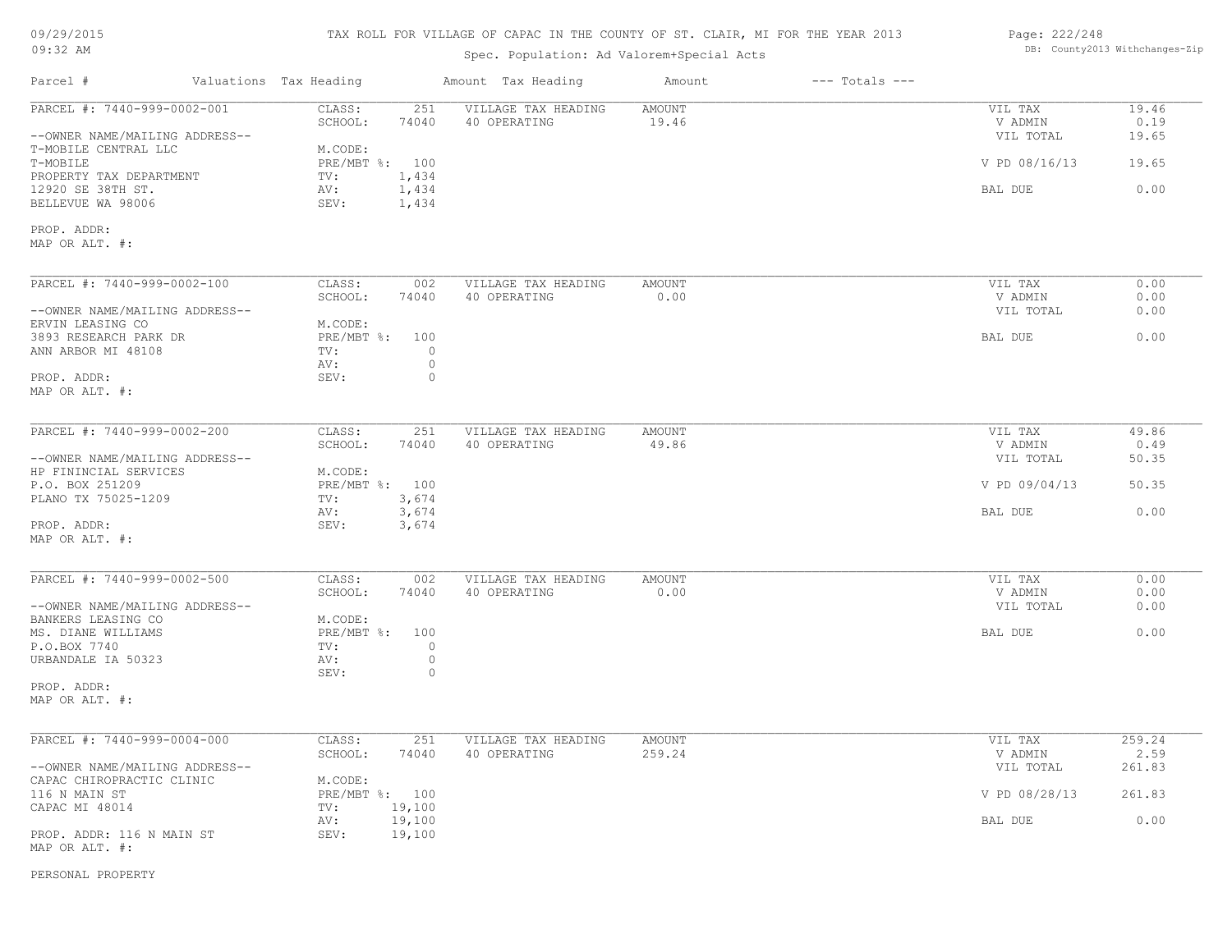| 09/29/2015 |  |
|------------|--|
| $09:32$ AM |  |

## Spec. Population: Ad Valorem+Special Acts

| Page: 222/248 |                                |
|---------------|--------------------------------|
|               | DB: County2013 Withchanges-Zip |

| Parcel #                                                          | Valuations Tax Heading       |                         | Amount Tax Heading                  | Amount                  | $---$ Totals $---$ |                                 |                        |
|-------------------------------------------------------------------|------------------------------|-------------------------|-------------------------------------|-------------------------|--------------------|---------------------------------|------------------------|
| PARCEL #: 7440-999-0002-001<br>--OWNER NAME/MAILING ADDRESS--     | CLASS:<br>SCHOOL:            | 251<br>74040            | VILLAGE TAX HEADING<br>40 OPERATING | <b>AMOUNT</b><br>19.46  |                    | VIL TAX<br>V ADMIN<br>VIL TOTAL | 19.46<br>0.19<br>19.65 |
| T-MOBILE CENTRAL LLC<br>T-MOBILE                                  | M.CODE:<br>PRE/MBT %: 100    |                         |                                     |                         |                    | V PD 08/16/13                   | 19.65                  |
| PROPERTY TAX DEPARTMENT<br>12920 SE 38TH ST.<br>BELLEVUE WA 98006 | TV:<br>AV:<br>SEV:           | 1,434<br>1,434<br>1,434 |                                     |                         |                    | BAL DUE                         | 0.00                   |
| PROP. ADDR:<br>MAP OR ALT. #:                                     |                              |                         |                                     |                         |                    |                                 |                        |
| PARCEL #: 7440-999-0002-100                                       | CLASS:<br>SCHOOL:            | 002<br>74040            | VILLAGE TAX HEADING<br>40 OPERATING | <b>AMOUNT</b><br>0.00   |                    | VIL TAX<br>V ADMIN              | 0.00<br>0.00           |
| --OWNER NAME/MAILING ADDRESS--<br>ERVIN LEASING CO                | M.CODE:                      |                         |                                     |                         |                    | VIL TOTAL                       | 0.00                   |
| 3893 RESEARCH PARK DR<br>ANN ARBOR MI 48108                       | PRE/MBT %: 100<br>TV:<br>AV: | $\circ$<br>$\circ$      |                                     |                         |                    | BAL DUE                         | 0.00                   |
| PROP. ADDR:<br>MAP OR ALT. #:                                     | SEV:                         | $\circ$                 |                                     |                         |                    |                                 |                        |
| PARCEL #: 7440-999-0002-200                                       | CLASS:                       | 251                     | VILLAGE TAX HEADING                 | <b>AMOUNT</b>           |                    | VIL TAX                         | 49.86                  |
| --OWNER NAME/MAILING ADDRESS--                                    | SCHOOL:                      | 74040                   | 40 OPERATING                        | 49.86                   |                    | V ADMIN<br>VIL TOTAL            | 0.49<br>50.35          |
| HP FININCIAL SERVICES<br>P.O. BOX 251209                          | M.CODE:<br>PRE/MBT %: 100    |                         |                                     |                         |                    | V PD 09/04/13                   | 50.35                  |
| PLANO TX 75025-1209<br>PROP. ADDR:<br>MAP OR ALT. #:              | TV:<br>AV:<br>SEV:           | 3,674<br>3,674<br>3,674 |                                     |                         |                    | BAL DUE                         | 0.00                   |
|                                                                   |                              |                         |                                     |                         |                    |                                 |                        |
| PARCEL #: 7440-999-0002-500                                       | CLASS:<br>SCHOOL:            | 002<br>74040            | VILLAGE TAX HEADING<br>40 OPERATING | <b>AMOUNT</b><br>0.00   |                    | VIL TAX<br>V ADMIN              | 0.00<br>0.00           |
| --OWNER NAME/MAILING ADDRESS--<br>BANKERS LEASING CO              | M.CODE:                      |                         |                                     |                         |                    | VIL TOTAL                       | 0.00                   |
| MS. DIANE WILLIAMS<br>P.O.BOX 7740<br>URBANDALE IA 50323          | PRE/MBT %: 100<br>TV:<br>AV: | $\circ$<br>$\circ$      |                                     |                         |                    | BAL DUE                         | 0.00                   |
| PROP. ADDR:<br>MAP OR ALT. #:                                     | SEV:                         | $\circ$                 |                                     |                         |                    |                                 |                        |
|                                                                   |                              |                         |                                     |                         |                    |                                 |                        |
| PARCEL #: 7440-999-0004-000                                       | CLASS:<br>SCHOOL:            | 251<br>74040            | VILLAGE TAX HEADING<br>40 OPERATING | <b>AMOUNT</b><br>259.24 |                    | VIL TAX<br>V ADMIN              | 259.24<br>2.59         |
| --OWNER NAME/MAILING ADDRESS--<br>CAPAC CHIROPRACTIC CLINIC       | M.CODE:                      |                         |                                     |                         |                    | VIL TOTAL                       | 261.83                 |
| 116 N MAIN ST<br>CAPAC MI 48014                                   | PRE/MBT %: 100<br>TV:        | 19,100                  |                                     |                         |                    | V PD 08/28/13                   | 261.83                 |
| PROP. ADDR: 116 N MAIN ST<br>MAP OR ALT. #:                       | AV:<br>SEV:                  | 19,100<br>19,100        |                                     |                         |                    | BAL DUE                         | 0.00                   |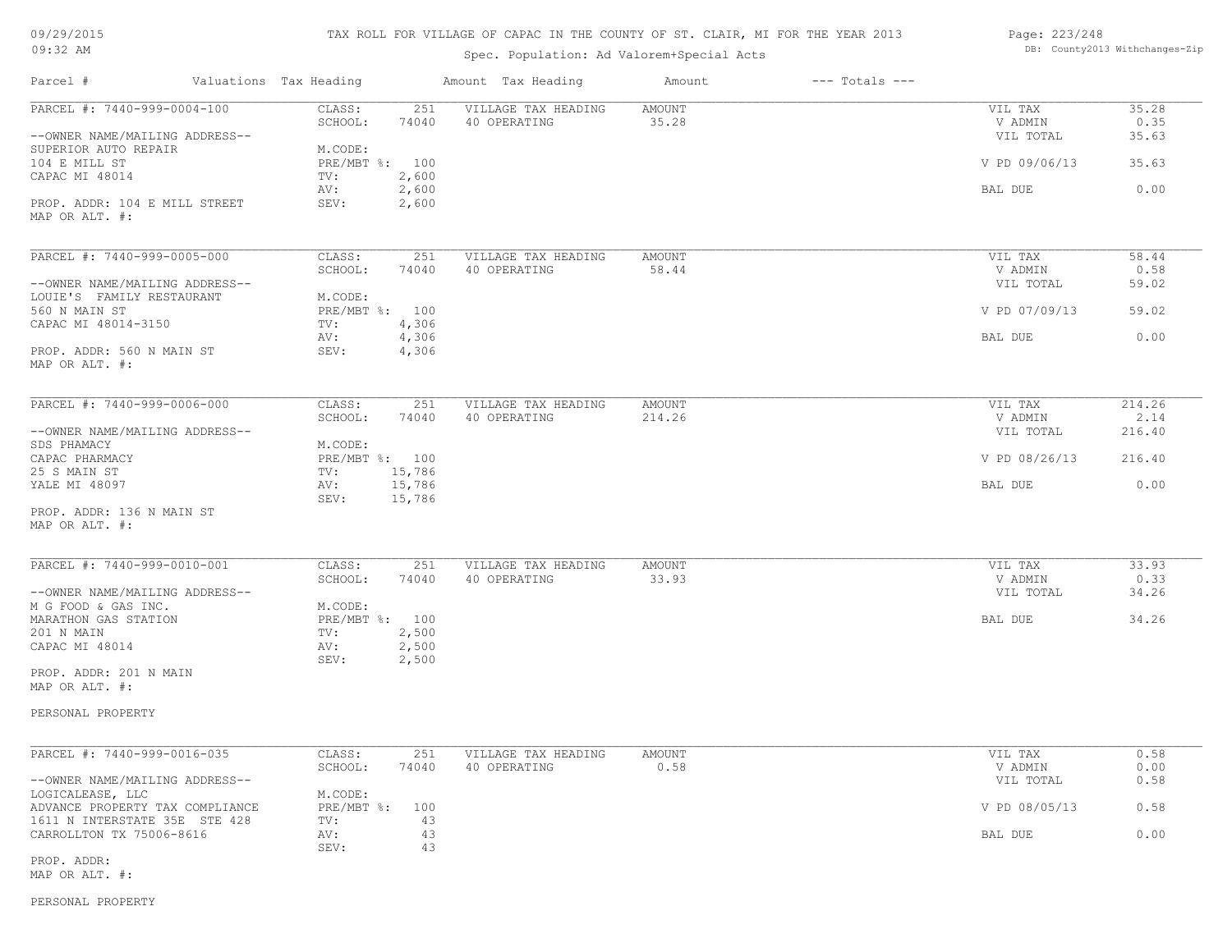## TAX ROLL FOR VILLAGE OF CAPAC IN THE COUNTY OF ST. CLAIR, MI FOR THE YEAR 2013

## Spec. Population: Ad Valorem+Special Acts

#### Page: 223/248 DB: County2013 Withchanges-Zip

| Parcel #                                                  | Valuations Tax Heading         | Amount Tax Heading                                  | Amount                | $---$ Totals $---$ |                      |                |
|-----------------------------------------------------------|--------------------------------|-----------------------------------------------------|-----------------------|--------------------|----------------------|----------------|
| PARCEL #: 7440-999-0004-100                               | CLASS:<br>SCHOOL:              | 251<br>VILLAGE TAX HEADING<br>74040<br>40 OPERATING | AMOUNT<br>35.28       |                    | VIL TAX<br>V ADMIN   | 35.28<br>0.35  |
| --OWNER NAME/MAILING ADDRESS--<br>SUPERIOR AUTO REPAIR    | M.CODE:                        |                                                     |                       |                    | VIL TOTAL            | 35.63          |
| 104 E MILL ST<br>CAPAC MI 48014                           | PRE/MBT %: 100<br>TV:          | 2,600                                               |                       |                    | V PD 09/06/13        | 35.63          |
| PROP. ADDR: 104 E MILL STREET                             | AV:<br>SEV:                    | 2,600<br>2,600                                      |                       |                    | BAL DUE              | 0.00           |
| MAP OR ALT. #:                                            |                                |                                                     |                       |                    |                      |                |
| PARCEL #: 7440-999-0005-000                               | CLASS:                         | 251<br>VILLAGE TAX HEADING                          | AMOUNT                |                    | VIL TAX              | 58.44          |
| --OWNER NAME/MAILING ADDRESS--                            | SCHOOL:                        | 74040<br>40 OPERATING                               | 58.44                 |                    | V ADMIN<br>VIL TOTAL | 0.58<br>59.02  |
| LOUIE'S FAMILY RESTAURANT<br>560 N MAIN ST                | M.CODE:<br>PRE/MBT %: 100      |                                                     |                       |                    | V PD 07/09/13        | 59.02          |
| CAPAC MI 48014-3150                                       | TV:<br>AV:                     | 4,306<br>4,306                                      |                       |                    | BAL DUE              | 0.00           |
| PROP. ADDR: 560 N MAIN ST<br>MAP OR ALT. #:               | SEV:                           | 4,306                                               |                       |                    |                      |                |
| PARCEL #: 7440-999-0006-000                               | CLASS:                         | 251<br>VILLAGE TAX HEADING                          | <b>AMOUNT</b>         |                    | VIL TAX              | 214.26         |
| --OWNER NAME/MAILING ADDRESS--                            | SCHOOL:                        | 74040<br>40 OPERATING                               | 214.26                |                    | V ADMIN<br>VIL TOTAL | 2.14<br>216.40 |
| SDS PHAMACY<br>CAPAC PHARMACY                             | M.CODE:<br>PRE/MBT %: 100      |                                                     |                       |                    | V PD 08/26/13        | 216.40         |
| 25 S MAIN ST<br>YALE MI 48097                             | 15,786<br>TV:<br>15,786<br>AV: |                                                     |                       |                    | BAL DUE              | 0.00           |
| PROP. ADDR: 136 N MAIN ST<br>MAP OR ALT. #:               | SEV:<br>15,786                 |                                                     |                       |                    |                      |                |
| PARCEL #: 7440-999-0010-001                               | CLASS:                         | 251<br>VILLAGE TAX HEADING                          | <b>AMOUNT</b>         |                    | VIL TAX              | 33.93          |
| --OWNER NAME/MAILING ADDRESS--                            | SCHOOL:                        | 74040<br>40 OPERATING                               | 33.93                 |                    | V ADMIN<br>VIL TOTAL | 0.33<br>34.26  |
| M G FOOD & GAS INC.<br>MARATHON GAS STATION               | M.CODE:<br>PRE/MBT %: 100      |                                                     |                       |                    | BAL DUE              | 34.26          |
| 201 N MAIN<br>CAPAC MI 48014                              | TV:<br>AV:                     | 2,500<br>2,500                                      |                       |                    |                      |                |
| PROP. ADDR: 201 N MAIN                                    | SEV:                           | 2,500                                               |                       |                    |                      |                |
| MAP OR ALT. #:                                            |                                |                                                     |                       |                    |                      |                |
| PERSONAL PROPERTY                                         |                                |                                                     |                       |                    |                      |                |
| PARCEL #: 7440-999-0016-035                               | CLASS:<br>SCHOOL:              | 251<br>VILLAGE TAX HEADING<br>74040<br>40 OPERATING | <b>AMOUNT</b><br>0.58 |                    | VIL TAX<br>V ADMIN   | 0.58<br>0.00   |
| --OWNER NAME/MAILING ADDRESS--                            |                                |                                                     |                       |                    | VIL TOTAL            | 0.58           |
| LOGICALEASE, LLC<br>ADVANCE PROPERTY TAX COMPLIANCE       | M.CODE:<br>PRE/MBT %: 100      |                                                     |                       |                    | V PD 08/05/13        | 0.58           |
| 1611 N INTERSTATE 35E STE 428<br>CARROLLTON TX 75006-8616 | TV:<br>AV:<br>SEV:             | 43<br>43<br>43                                      |                       |                    | BAL DUE              | 0.00           |
| PROP. ADDR:<br>MAP OR ALT. #:                             |                                |                                                     |                       |                    |                      |                |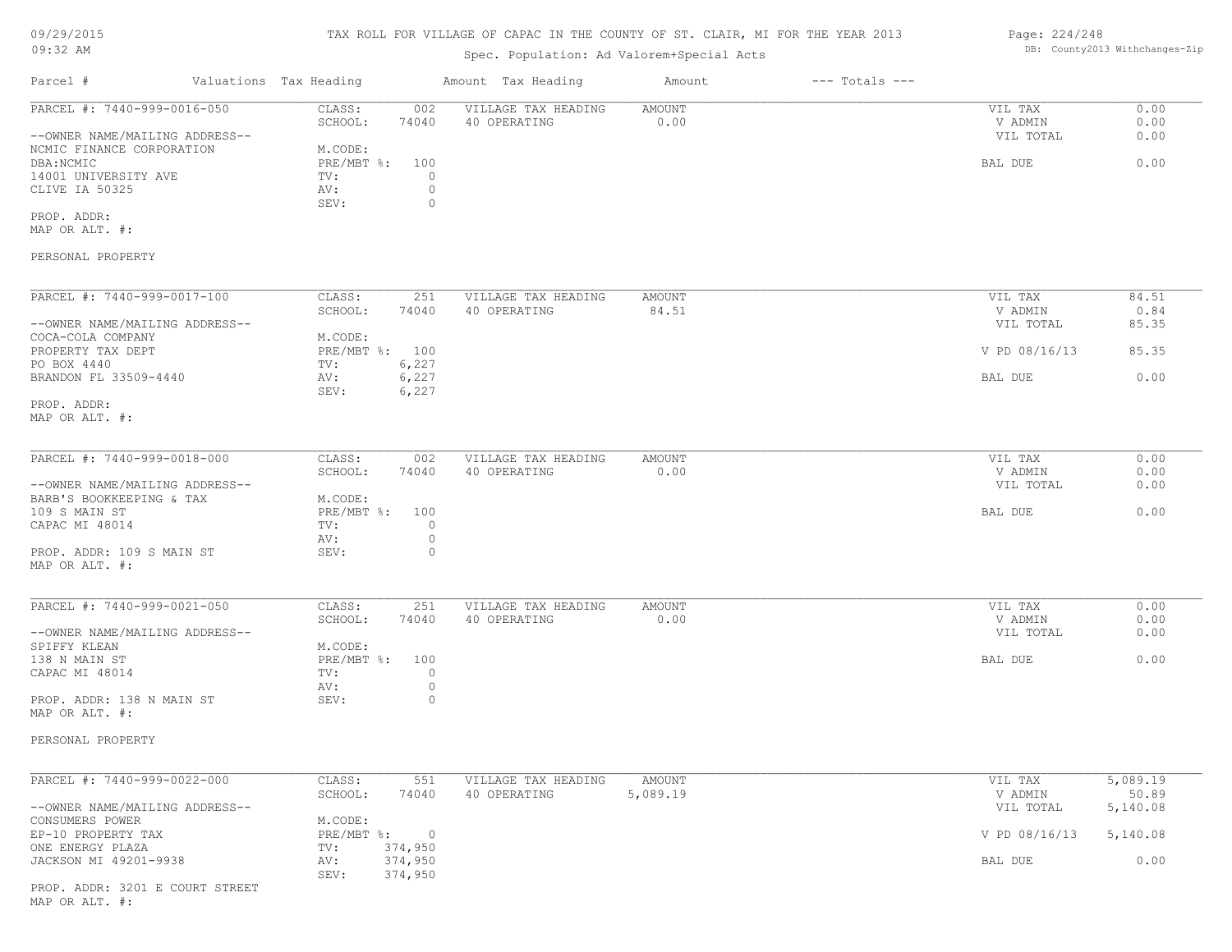#### TAX ROLL FOR VILLAGE OF CAPAC IN THE COUNTY OF ST. CLAIR, MI FOR THE YEAR 2013

# Spec. Population: Ad Valorem+Special Acts

# Page: 224/248 DB: County2013 Withchanges-Zip

|                                                                                   |                                                                                       | spec. Population: Ad valorem+special Acts |                    |                    |                                 |                      |
|-----------------------------------------------------------------------------------|---------------------------------------------------------------------------------------|-------------------------------------------|--------------------|--------------------|---------------------------------|----------------------|
| Parcel #<br>Valuations Tax Heading                                                |                                                                                       | Amount Tax Heading                        | Amount             | $---$ Totals $---$ |                                 |                      |
| PARCEL #: 7440-999-0016-050<br>--OWNER NAME/MAILING ADDRESS--                     | CLASS:<br>002<br>SCHOOL:<br>74040                                                     | VILLAGE TAX HEADING<br>40 OPERATING       | AMOUNT<br>0.00     |                    | VIL TAX<br>V ADMIN<br>VIL TOTAL | 0.00<br>0.00<br>0.00 |
| NCMIC FINANCE CORPORATION<br>DBA: NCMIC<br>14001 UNIVERSITY AVE<br>CLIVE IA 50325 | M.CODE:<br>$PRE/MBT$ %:<br>100<br>$\circ$<br>TV:<br>AV:<br>$\circ$<br>SEV:<br>$\circ$ |                                           |                    |                    | BAL DUE                         | 0.00                 |
| PROP. ADDR:<br>MAP OR ALT. #:                                                     |                                                                                       |                                           |                    |                    |                                 |                      |
| PERSONAL PROPERTY                                                                 |                                                                                       |                                           |                    |                    |                                 |                      |
| PARCEL #: 7440-999-0017-100                                                       | CLASS:<br>251                                                                         | VILLAGE TAX HEADING                       | AMOUNT             |                    | VIL TAX                         | 84.51                |
| --OWNER NAME/MAILING ADDRESS--                                                    | SCHOOL:<br>74040                                                                      | 40 OPERATING                              | 84.51              |                    | V ADMIN<br>VIL TOTAL            | 0.84<br>85.35        |
| COCA-COLA COMPANY<br>PROPERTY TAX DEPT<br>PO BOX 4440                             | M.CODE:<br>PRE/MBT %: 100<br>6,227<br>TV:                                             |                                           |                    |                    | V PD 08/16/13                   | 85.35                |
| BRANDON FL 33509-4440                                                             | 6,227<br>AV:<br>SEV:<br>6,227                                                         |                                           |                    |                    | BAL DUE                         | 0.00                 |
| PROP. ADDR:<br>MAP OR ALT. #:                                                     |                                                                                       |                                           |                    |                    |                                 |                      |
| PARCEL #: 7440-999-0018-000                                                       | CLASS:<br>002                                                                         | VILLAGE TAX HEADING                       | <b>AMOUNT</b>      |                    | VIL TAX                         | 0.00                 |
| --OWNER NAME/MAILING ADDRESS--                                                    | SCHOOL:<br>74040                                                                      | 40 OPERATING                              | 0.00               |                    | V ADMIN<br>VIL TOTAL            | 0.00<br>0.00         |
| BARB'S BOOKKEEPING & TAX<br>109 S MAIN ST<br>CAPAC MI 48014                       | M.CODE:<br>$PRE/MBT$ %:<br>100<br>$\circ$<br>TV:                                      |                                           |                    |                    | BAL DUE                         | 0.00                 |
| PROP. ADDR: 109 S MAIN ST<br>MAP OR ALT. #:                                       | AV:<br>$\circ$<br>$\circ$<br>SEV:                                                     |                                           |                    |                    |                                 |                      |
| PARCEL #: 7440-999-0021-050                                                       | CLASS:<br>251                                                                         | VILLAGE TAX HEADING                       | AMOUNT             |                    | VIL TAX                         | 0.00                 |
| --OWNER NAME/MAILING ADDRESS--                                                    | SCHOOL:<br>74040                                                                      | 40 OPERATING                              | 0.00               |                    | V ADMIN<br>VIL TOTAL            | 0.00<br>0.00         |
| SPIFFY KLEAN<br>138 N MAIN ST<br>CAPAC MI 48014                                   | M.CODE:<br>$PRE/MBT$ $\div$<br>100<br>$\circ$<br>TV:                                  |                                           |                    |                    | BAL DUE                         | 0.00                 |
| PROP. ADDR: 138 N MAIN ST<br>MAP OR ALT. #:                                       | $\circ$<br>AV:<br>SEV:<br>$\circ$                                                     |                                           |                    |                    |                                 |                      |
| PERSONAL PROPERTY                                                                 |                                                                                       |                                           |                    |                    |                                 |                      |
| PARCEL #: 7440-999-0022-000                                                       | CLASS:<br>551<br>SCHOOL:<br>74040                                                     | VILLAGE TAX HEADING<br>40 OPERATING       | AMOUNT<br>5,089.19 |                    | VIL TAX<br>V ADMIN              | 5,089.19<br>50.89    |
| --OWNER NAME/MAILING ADDRESS--<br>CONSUMERS POWER                                 | M.CODE:                                                                               |                                           |                    |                    | VIL TOTAL                       | 5,140.08             |
| EP-10 PROPERTY TAX<br>ONE ENERGY PLAZA<br>JACKSON MI 49201-9938                   | $PRE/MBT$ %:<br>$\overline{0}$<br>374,950<br>TV:<br>374,950<br>AV:                    |                                           |                    |                    | V PD 08/16/13<br>BAL DUE        | 5,140.08<br>0.00     |
| PROP. ADDR: 3201 E COURT STREET<br>MAP OR ALT. #:                                 | 374,950<br>SEV:                                                                       |                                           |                    |                    |                                 |                      |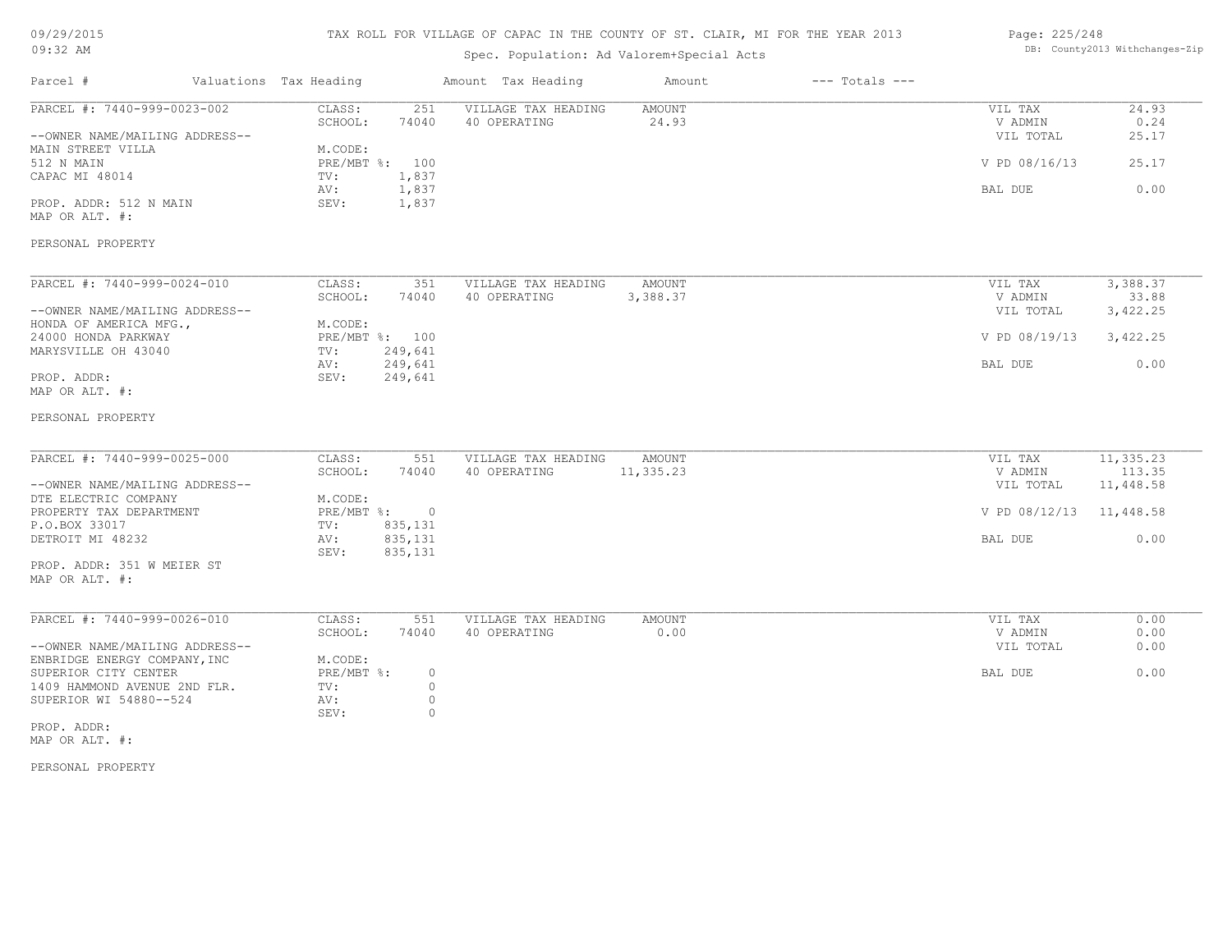## TAX ROLL FOR VILLAGE OF CAPAC IN THE COUNTY OF ST. CLAIR, MI FOR THE YEAR 2013

## Spec. Population: Ad Valorem+Special Acts

#### Page: 225/248 DB: County2013 Withchanges-Zip

| Parcel #                                                      | Valuations Tax Heading           |                    | Amount Tax Heading                  | Amount                 | $---$ Totals $---$ |                                 |                        |
|---------------------------------------------------------------|----------------------------------|--------------------|-------------------------------------|------------------------|--------------------|---------------------------------|------------------------|
| PARCEL #: 7440-999-0023-002<br>--OWNER NAME/MAILING ADDRESS-- | CLASS:<br>SCHOOL:                | 251<br>74040       | VILLAGE TAX HEADING<br>40 OPERATING | <b>AMOUNT</b><br>24.93 |                    | VIL TAX<br>V ADMIN<br>VIL TOTAL | 24.93<br>0.24<br>25.17 |
| MAIN STREET VILLA<br>512 N MAIN<br>CAPAC MI 48014             | M.CODE:<br>PRE/MBT %: 100<br>TV: | 1,837              |                                     |                        |                    | V PD 08/16/13                   | 25.17                  |
| PROP. ADDR: 512 N MAIN                                        | AV:<br>SEV:                      | 1,837<br>1,837     |                                     |                        |                    | BAL DUE                         | 0.00                   |
| MAP OR ALT. #:                                                |                                  |                    |                                     |                        |                    |                                 |                        |
| PERSONAL PROPERTY                                             |                                  |                    |                                     |                        |                    |                                 |                        |
| PARCEL #: 7440-999-0024-010                                   | CLASS:                           | 351                | VILLAGE TAX HEADING                 | <b>AMOUNT</b>          |                    | VIL TAX                         | 3,388.37               |
|                                                               | SCHOOL:                          | 74040              | 40 OPERATING                        | 3,388.37               |                    | V ADMIN                         | 33.88                  |
| --OWNER NAME/MAILING ADDRESS--                                |                                  |                    |                                     |                        |                    | VIL TOTAL                       | 3,422.25               |
| HONDA OF AMERICA MFG.,<br>24000 HONDA PARKWAY                 | M.CODE:<br>PRE/MBT %: 100        |                    |                                     |                        |                    | V PD 08/19/13                   | 3,422.25               |
| MARYSVILLE OH 43040                                           | TV:                              | 249,641            |                                     |                        |                    |                                 |                        |
|                                                               | AV:                              | 249,641            |                                     |                        |                    | BAL DUE                         | 0.00                   |
| PROP. ADDR:<br>MAP OR ALT. #:                                 | SEV:                             | 249,641            |                                     |                        |                    |                                 |                        |
| PERSONAL PROPERTY                                             |                                  |                    |                                     |                        |                    |                                 |                        |
| PARCEL #: 7440-999-0025-000                                   | CLASS:                           | 551                | VILLAGE TAX HEADING                 | <b>AMOUNT</b>          |                    | VIL TAX                         | 11,335.23              |
|                                                               | SCHOOL:                          | 74040              | 40 OPERATING                        | 11,335.23              |                    | V ADMIN                         | 113.35                 |
| --OWNER NAME/MAILING ADDRESS--                                |                                  |                    |                                     |                        |                    | VIL TOTAL                       | 11,448.58              |
| DTE ELECTRIC COMPANY<br>PROPERTY TAX DEPARTMENT               | M.CODE:<br>PRE/MBT %: 0          |                    |                                     |                        |                    | V PD 08/12/13 11,448.58         |                        |
| P.O.BOX 33017                                                 | TV:                              | 835,131            |                                     |                        |                    |                                 |                        |
| DETROIT MI 48232                                              | AV:<br>SEV:                      | 835,131<br>835,131 |                                     |                        |                    | BAL DUE                         | 0.00                   |
| PROP. ADDR: 351 W MEIER ST<br>MAP OR ALT. #:                  |                                  |                    |                                     |                        |                    |                                 |                        |
| PARCEL #: 7440-999-0026-010                                   | CLASS:                           | 551                | VILLAGE TAX HEADING                 | <b>AMOUNT</b>          |                    | VIL TAX                         | 0.00                   |
|                                                               | SCHOOL:                          | 74040              | 40 OPERATING                        | 0.00                   |                    | V ADMIN                         | 0.00                   |
| --OWNER NAME/MAILING ADDRESS--                                |                                  |                    |                                     |                        |                    | VIL TOTAL                       | 0.00                   |
| ENBRIDGE ENERGY COMPANY, INC                                  | M.CODE:                          |                    |                                     |                        |                    |                                 |                        |
| SUPERIOR CITY CENTER<br>1409 HAMMOND AVENUE 2ND FLR.          | PRE/MBT %:<br>TV:                | $\circ$<br>$\circ$ |                                     |                        |                    | BAL DUE                         | 0.00                   |
| SUPERIOR WI 54880--524                                        | AV:                              | $\circ$            |                                     |                        |                    |                                 |                        |
|                                                               | SEV:                             | $\circ$            |                                     |                        |                    |                                 |                        |
| PROP. ADDR:<br>MAP OR ALT. #:                                 |                                  |                    |                                     |                        |                    |                                 |                        |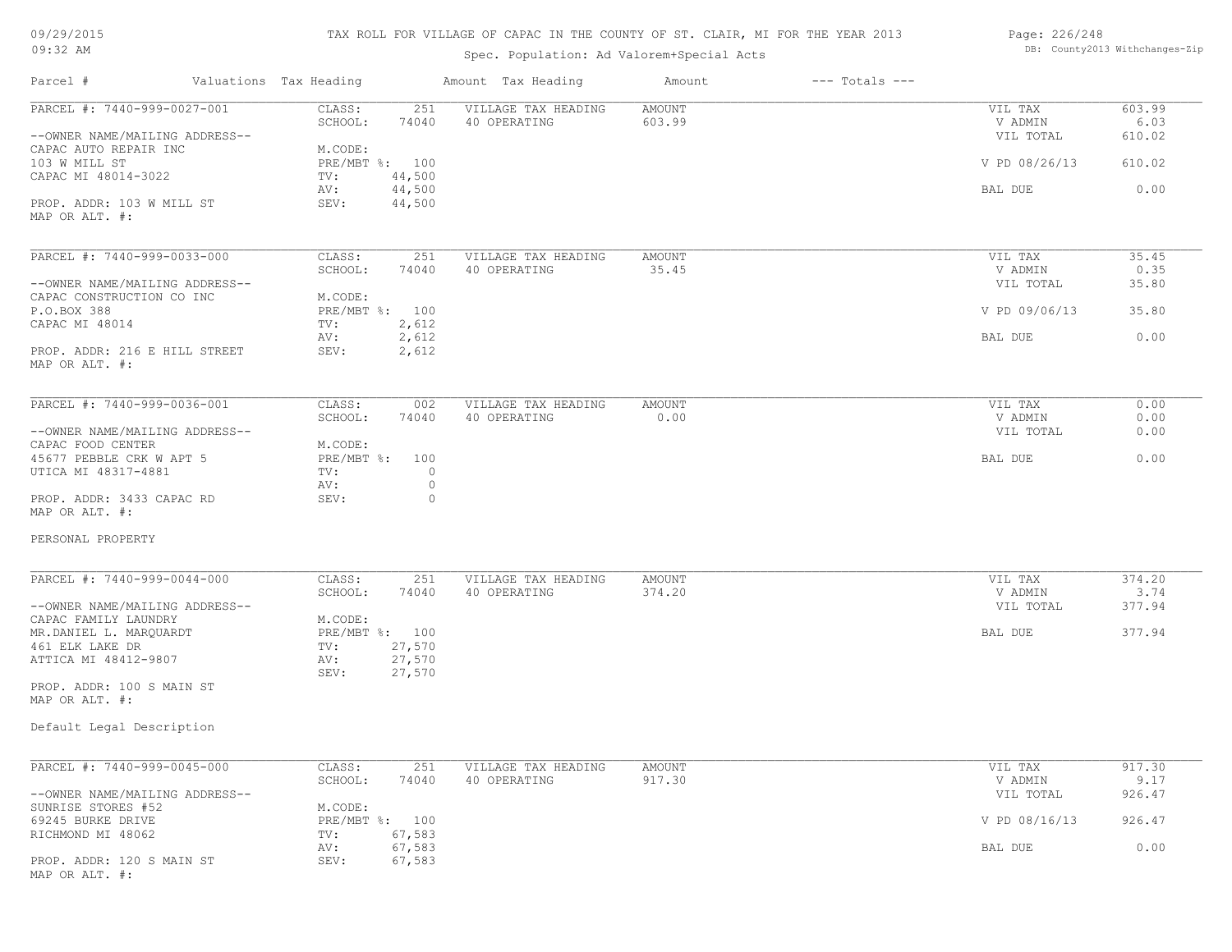## TAX ROLL FOR VILLAGE OF CAPAC IN THE COUNTY OF ST. CLAIR, MI FOR THE YEAR 2013

## Spec. Population: Ad Valorem+Special Acts

#### Page: 226/248 DB: County2013 Withchanges-Zip

| Parcel #                                                        | Valuations Tax Heading       |                    | Amount Tax Heading                  | Amount                  | $---$ Totals $---$ |                                 |                          |
|-----------------------------------------------------------------|------------------------------|--------------------|-------------------------------------|-------------------------|--------------------|---------------------------------|--------------------------|
| PARCEL #: 7440-999-0027-001<br>--OWNER NAME/MAILING ADDRESS--   | CLASS:<br>SCHOOL:            | 251<br>74040       | VILLAGE TAX HEADING<br>40 OPERATING | <b>AMOUNT</b><br>603.99 |                    | VIL TAX<br>V ADMIN<br>VIL TOTAL | 603.99<br>6.03<br>610.02 |
| CAPAC AUTO REPAIR INC<br>103 W MILL ST                          | M.CODE:<br>PRE/MBT %: 100    |                    |                                     |                         |                    | V PD 08/26/13                   | 610.02                   |
| CAPAC MI 48014-3022                                             | TV:<br>AV:                   | 44,500<br>44,500   |                                     |                         |                    | BAL DUE                         | 0.00                     |
| PROP. ADDR: 103 W MILL ST<br>MAP OR ALT. #:                     | SEV:                         | 44,500             |                                     |                         |                    |                                 |                          |
| PARCEL #: 7440-999-0033-000                                     | CLASS:                       | 251                | VILLAGE TAX HEADING                 | AMOUNT                  |                    | VIL TAX                         | 35.45                    |
| --OWNER NAME/MAILING ADDRESS--                                  | SCHOOL:                      | 74040              | 40 OPERATING                        | 35.45                   |                    | V ADMIN<br>VIL TOTAL            | 0.35<br>35.80            |
| CAPAC CONSTRUCTION CO INC                                       | M.CODE:                      |                    |                                     |                         |                    |                                 |                          |
| P.O.BOX 388<br>CAPAC MI 48014                                   | PRE/MBT %: 100<br>TV:        | 2,612              |                                     |                         |                    | V PD 09/06/13                   | 35.80                    |
|                                                                 | AV:                          | 2,612              |                                     |                         |                    | BAL DUE                         | 0.00                     |
| PROP. ADDR: 216 E HILL STREET<br>MAP OR ALT. #:                 | SEV:                         | 2,612              |                                     |                         |                    |                                 |                          |
| PARCEL #: 7440-999-0036-001                                     | CLASS:                       | 002                | VILLAGE TAX HEADING                 | <b>AMOUNT</b>           |                    | VIL TAX                         | 0.00                     |
|                                                                 | SCHOOL:                      | 74040              | 40 OPERATING                        | 0.00                    |                    | V ADMIN                         | 0.00                     |
| --OWNER NAME/MAILING ADDRESS--<br>CAPAC FOOD CENTER             | M.CODE:                      |                    |                                     |                         |                    | VIL TOTAL                       | 0.00                     |
| 45677 PEBBLE CRK W APT 5<br>UTICA MI 48317-4881                 | PRE/MBT %: 100<br>TV:<br>AV: | $\circ$<br>$\circ$ |                                     |                         |                    | BAL DUE                         | 0.00                     |
| PROP. ADDR: 3433 CAPAC RD<br>MAP OR ALT. #:                     | SEV:                         | $\circ$            |                                     |                         |                    |                                 |                          |
| PERSONAL PROPERTY                                               |                              |                    |                                     |                         |                    |                                 |                          |
| PARCEL #: 7440-999-0044-000                                     | CLASS:                       | 251                | VILLAGE TAX HEADING                 | <b>AMOUNT</b>           |                    | VIL TAX                         | 374.20                   |
| --OWNER NAME/MAILING ADDRESS--                                  | SCHOOL:                      | 74040              | 40 OPERATING                        | 374.20                  |                    | V ADMIN<br>VIL TOTAL            | 3.74<br>377.94           |
| CAPAC FAMILY LAUNDRY                                            | M.CODE:                      |                    |                                     |                         |                    |                                 |                          |
| MR.DANIEL L. MARQUARDT<br>461 ELK LAKE DR                       | PRE/MBT %: 100<br>TV:        | 27,570             |                                     |                         |                    | BAL DUE                         | 377.94                   |
| ATTICA MI 48412-9807                                            | AV:<br>SEV:                  | 27,570<br>27,570   |                                     |                         |                    |                                 |                          |
| PROP. ADDR: 100 S MAIN ST                                       |                              |                    |                                     |                         |                    |                                 |                          |
| MAP OR ALT. #:                                                  |                              |                    |                                     |                         |                    |                                 |                          |
| Default Legal Description                                       |                              |                    |                                     |                         |                    |                                 |                          |
| PARCEL #: 7440-999-0045-000                                     | CLASS:                       | 251                | VILLAGE TAX HEADING                 | AMOUNT                  |                    | VIL TAX                         | 917.30                   |
|                                                                 | SCHOOL:                      | 74040              | 40 OPERATING                        | 917.30                  |                    | V ADMIN                         | 9.17                     |
| --OWNER NAME/MAILING ADDRESS--<br>SUNRISE STORES #52            | M.CODE:                      |                    |                                     |                         |                    | VIL TOTAL                       | 926.47                   |
| 69245 BURKE DRIVE                                               | PRE/MBT %: 100               |                    |                                     |                         |                    | V PD 08/16/13                   | 926.47                   |
| RICHMOND MI 48062                                               | TV:                          | 67,583             |                                     |                         |                    |                                 |                          |
| PROP. ADDR: 120 S MAIN ST<br>$MAD$ $CD$ $\lambda T$ $T$ $+$ $+$ | AV:<br>SEV:                  | 67,583<br>67,583   |                                     |                         |                    | BAL DUE                         | 0.00                     |

MAP OR ALT. #: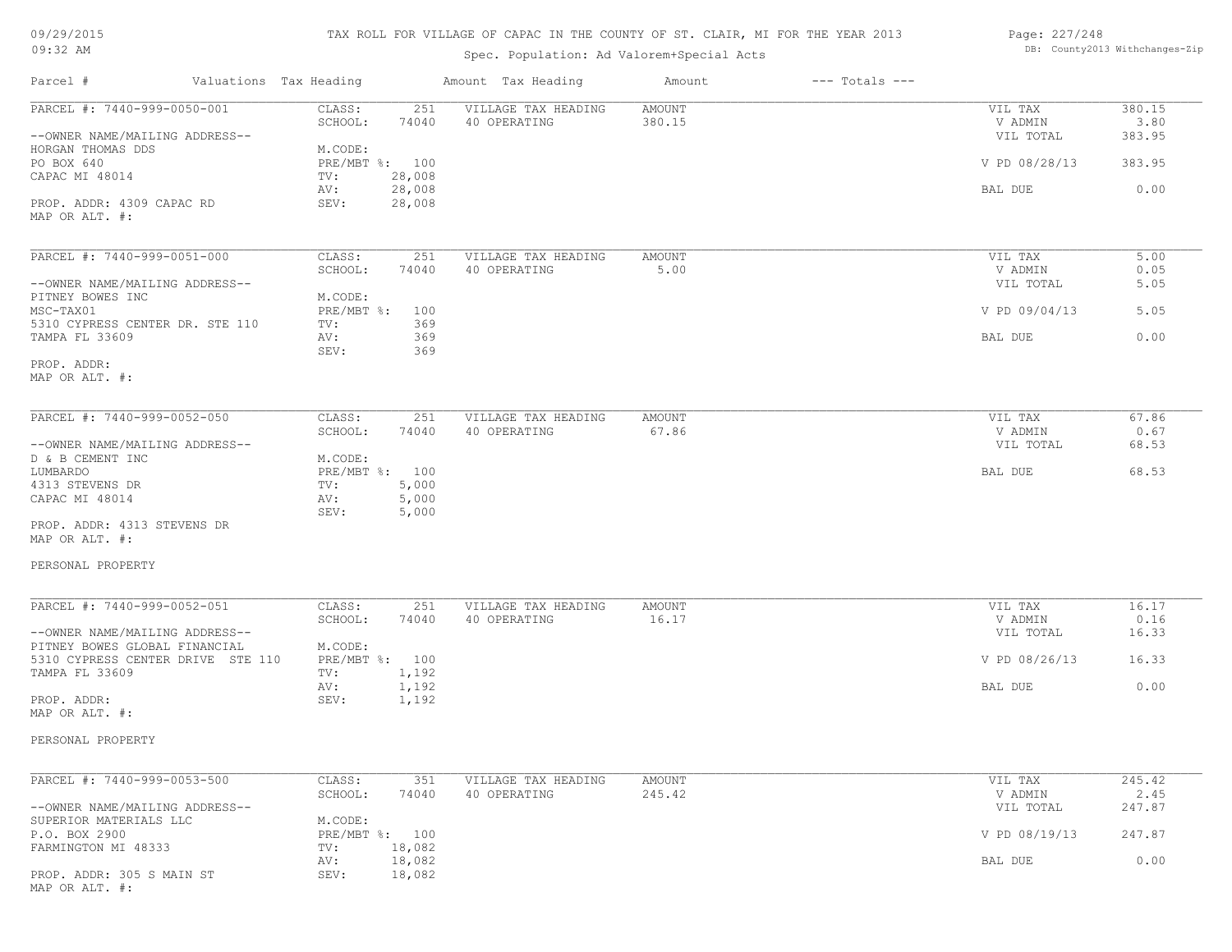|  | 09/29/2015 |
|--|------------|
|--|------------|

#### 09:32 AM

## TAX ROLL FOR VILLAGE OF CAPAC IN THE COUNTY OF ST. CLAIR, MI FOR THE YEAR 2013

## Spec. Population: Ad Valorem+Special Acts

#### Page: 227/248 DB: County2013 Withchanges-Zip

| Parcel #                                                           | Valuations Tax Heading          | Amount Tax Heading                         | Amount           | $---$ Totals $---$ |                      |                |
|--------------------------------------------------------------------|---------------------------------|--------------------------------------------|------------------|--------------------|----------------------|----------------|
| PARCEL #: 7440-999-0050-001                                        | CLASS:<br>SCHOOL:<br>74040      | 251<br>VILLAGE TAX HEADING<br>40 OPERATING | AMOUNT<br>380.15 |                    | VIL TAX<br>V ADMIN   | 380.15<br>3.80 |
| --OWNER NAME/MAILING ADDRESS--<br>HORGAN THOMAS DDS                | M.CODE:                         |                                            |                  |                    | VIL TOTAL            | 383.95         |
| PO BOX 640<br>CAPAC MI 48014                                       | PRE/MBT %: 100<br>28,008<br>TV: |                                            |                  |                    | V PD 08/28/13        | 383.95         |
| PROP. ADDR: 4309 CAPAC RD                                          | 28,008<br>AV:<br>SEV:<br>28,008 |                                            |                  |                    | BAL DUE              | 0.00           |
| MAP OR ALT. #:                                                     |                                 |                                            |                  |                    |                      |                |
| PARCEL #: 7440-999-0051-000                                        | CLASS:                          | 251<br>VILLAGE TAX HEADING                 | AMOUNT           |                    | VIL TAX              | 5.00           |
| --OWNER NAME/MAILING ADDRESS--                                     | SCHOOL:<br>74040                | 40 OPERATING                               | 5.00             |                    | V ADMIN<br>VIL TOTAL | 0.05<br>5.05   |
| PITNEY BOWES INC<br>MSC-TAX01                                      | M.CODE:<br>PRE/MBT %: 100       |                                            |                  |                    | V PD 09/04/13        | 5.05           |
| 5310 CYPRESS CENTER DR. STE 110<br>TAMPA FL 33609                  | TV:<br>AV:                      | 369<br>369                                 |                  |                    | BAL DUE              | 0.00           |
| PROP. ADDR:                                                        | SEV:                            | 369                                        |                  |                    |                      |                |
| MAP OR ALT. #:                                                     |                                 |                                            |                  |                    |                      |                |
| PARCEL #: 7440-999-0052-050                                        | CLASS:                          | 251<br>VILLAGE TAX HEADING                 | AMOUNT           |                    | VIL TAX              | 67.86          |
| --OWNER NAME/MAILING ADDRESS--                                     | SCHOOL:<br>74040                | 40 OPERATING                               | 67.86            |                    | V ADMIN<br>VIL TOTAL | 0.67<br>68.53  |
| D & B CEMENT INC<br>LUMBARDO                                       | M.CODE:<br>PRE/MBT %: 100       |                                            |                  |                    | BAL DUE              | 68.53          |
| 4313 STEVENS DR<br>CAPAC MI 48014                                  | 5,000<br>TV:<br>5,000<br>AV:    |                                            |                  |                    |                      |                |
| PROP. ADDR: 4313 STEVENS DR<br>MAP OR ALT. #:                      | SEV:<br>5,000                   |                                            |                  |                    |                      |                |
| PERSONAL PROPERTY                                                  |                                 |                                            |                  |                    |                      |                |
| PARCEL #: 7440-999-0052-051                                        | CLASS:                          | 251<br>VILLAGE TAX HEADING                 | AMOUNT           |                    | VIL TAX              | 16.17          |
| --OWNER NAME/MAILING ADDRESS--                                     | SCHOOL:<br>74040                | 40 OPERATING                               | 16.17            |                    | V ADMIN<br>VIL TOTAL | 0.16<br>16.33  |
| PITNEY BOWES GLOBAL FINANCIAL<br>5310 CYPRESS CENTER DRIVE STE 110 | M.CODE:<br>PRE/MBT %: 100       |                                            |                  |                    | V PD 08/26/13        | 16.33          |
| TAMPA FL 33609                                                     | 1,192<br>TV:                    |                                            |                  |                    | BAL DUE              | 0.00           |
| PROP. ADDR:<br>MAP OR ALT. #:                                      | 1,192<br>AV:<br>SEV:<br>1,192   |                                            |                  |                    |                      |                |
| PERSONAL PROPERTY                                                  |                                 |                                            |                  |                    |                      |                |
| PARCEL #: 7440-999-0053-500                                        | CLASS:                          | 351<br>VILLAGE TAX HEADING                 | AMOUNT           |                    | VIL TAX              | 245.42         |
|                                                                    | SCHOOL:<br>74040                | 40 OPERATING                               | 245.42           |                    | V ADMIN              | 2.45           |
| --OWNER NAME/MAILING ADDRESS--<br>SUPERIOR MATERIALS LLC           | M.CODE:                         |                                            |                  |                    | VIL TOTAL            | 247.87         |
| P.O. BOX 2900<br>FARMINGTON MI 48333                               | PRE/MBT %: 100<br>18,082<br>TV: |                                            |                  |                    | V PD 08/19/13        | 247.87         |
| PROP. ADDR: 305 S MAIN ST<br>MAP OR ALT. #:                        | 18,082<br>AV:<br>SEV:<br>18,082 |                                            |                  |                    | BAL DUE              | 0.00           |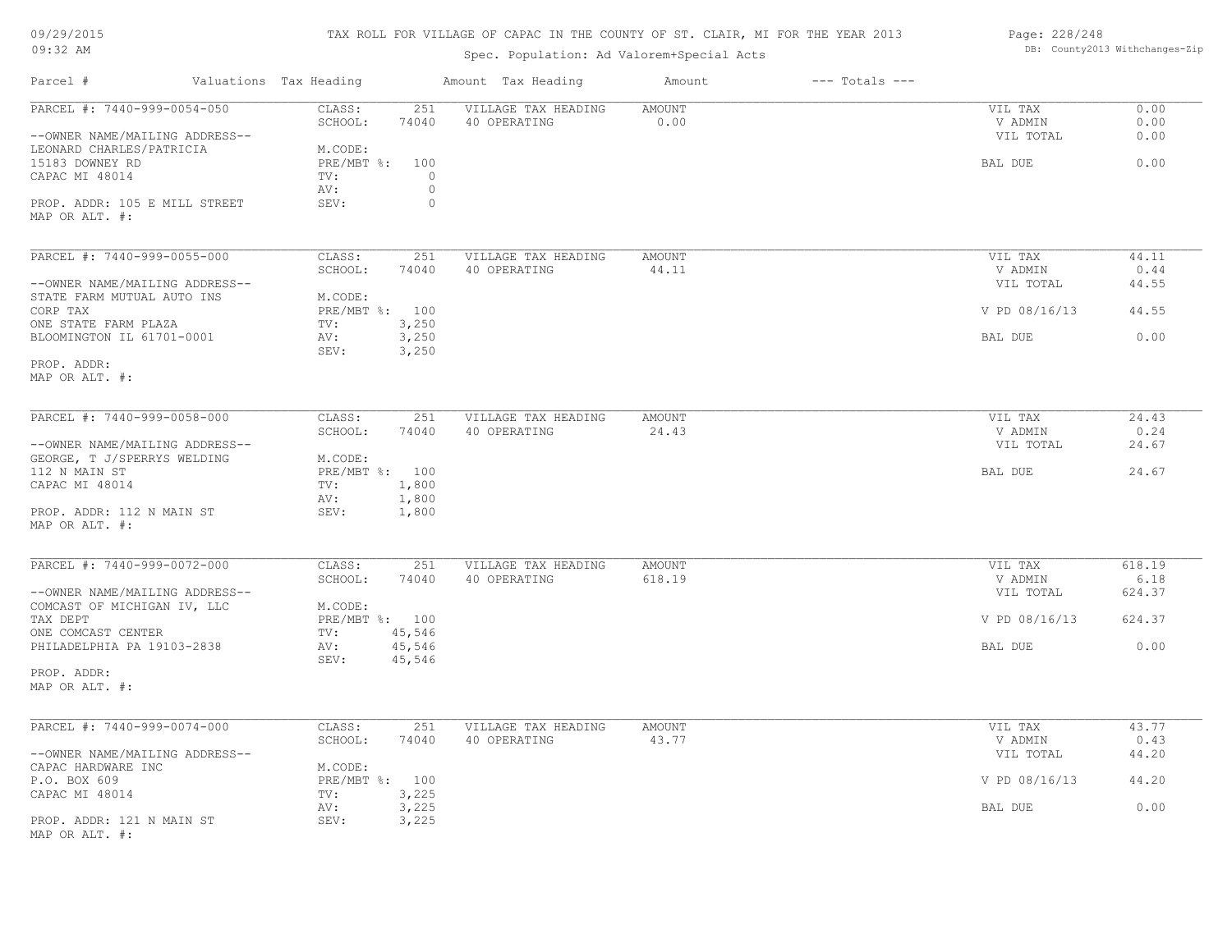## TAX ROLL FOR VILLAGE OF CAPAC IN THE COUNTY OF ST. CLAIR, MI FOR THE YEAR 2013

## Spec. Population: Ad Valorem+Special Acts

#### Page: 228/248 DB: County2013 Withchanges-Zip

| Parcel #                                                      | Valuations Tax Heading |                                      | Amount Tax Heading                  | Amount                  | $---$ Totals $---$ |                                 |                      |
|---------------------------------------------------------------|------------------------|--------------------------------------|-------------------------------------|-------------------------|--------------------|---------------------------------|----------------------|
| PARCEL #: 7440-999-0054-050<br>--OWNER NAME/MAILING ADDRESS-- | CLASS:<br>SCHOOL:      | 251<br>74040                         | VILLAGE TAX HEADING<br>40 OPERATING | AMOUNT<br>0.00          |                    | VIL TAX<br>V ADMIN<br>VIL TOTAL | 0.00<br>0.00<br>0.00 |
| LEONARD CHARLES/PATRICIA<br>15183 DOWNEY RD<br>CAPAC MI 48014 | M.CODE:<br>TV:<br>AV:  | PRE/MBT %: 100<br>$\circ$<br>$\circ$ |                                     |                         |                    | BAL DUE                         | 0.00                 |
| PROP. ADDR: 105 E MILL STREET<br>MAP OR ALT. #:               | SEV:                   | $\circ$                              |                                     |                         |                    |                                 |                      |
| PARCEL #: 7440-999-0055-000                                   | CLASS:<br>SCHOOL:      | 251<br>74040                         | VILLAGE TAX HEADING<br>40 OPERATING | AMOUNT<br>44.11         |                    | VIL TAX<br>V ADMIN              | 44.11<br>0.44        |
| --OWNER NAME/MAILING ADDRESS--<br>STATE FARM MUTUAL AUTO INS  | M.CODE:                |                                      |                                     |                         |                    | VIL TOTAL                       | 44.55                |
| CORP TAX<br>ONE STATE FARM PLAZA                              | TV:                    | PRE/MBT %: 100<br>3,250              |                                     |                         |                    | V PD 08/16/13                   | 44.55                |
| BLOOMINGTON IL 61701-0001                                     | AV:<br>SEV:            | 3,250<br>3,250                       |                                     |                         |                    | BAL DUE                         | 0.00                 |
| PROP. ADDR:<br>MAP OR ALT. #:                                 |                        |                                      |                                     |                         |                    |                                 |                      |
| PARCEL #: 7440-999-0058-000                                   | CLASS:<br>SCHOOL:      | 251<br>74040                         | VILLAGE TAX HEADING<br>40 OPERATING | AMOUNT<br>24.43         |                    | VIL TAX<br>V ADMIN              | 24.43<br>0.24        |
| --OWNER NAME/MAILING ADDRESS--<br>GEORGE, T J/SPERRYS WELDING | M.CODE:                |                                      |                                     |                         |                    | VIL TOTAL                       | 24.67                |
| 112 N MAIN ST<br>CAPAC MI 48014                               | TV:<br>AV:             | PRE/MBT %: 100<br>1,800<br>1,800     |                                     |                         |                    | BAL DUE                         | 24.67                |
| PROP. ADDR: 112 N MAIN ST<br>MAP OR ALT. #:                   | SEV:                   | 1,800                                |                                     |                         |                    |                                 |                      |
| PARCEL #: 7440-999-0072-000                                   | CLASS:<br>SCHOOL:      | 251<br>74040                         | VILLAGE TAX HEADING<br>40 OPERATING | <b>AMOUNT</b><br>618.19 |                    | VIL TAX<br>V ADMIN              | 618.19<br>6.18       |
| --OWNER NAME/MAILING ADDRESS--<br>COMCAST OF MICHIGAN IV, LLC | M.CODE:                |                                      |                                     |                         |                    | VIL TOTAL                       | 624.37               |
| TAX DEPT<br>ONE COMCAST CENTER                                | TV:                    | PRE/MBT %: 100<br>45,546             |                                     |                         |                    | V PD 08/16/13                   | 624.37               |
| PHILADELPHIA PA 19103-2838                                    | AV:<br>SEV:            | 45,546<br>45,546                     |                                     |                         |                    | BAL DUE                         | 0.00                 |
| PROP. ADDR:<br>MAP OR ALT. #:                                 |                        |                                      |                                     |                         |                    |                                 |                      |
| PARCEL #: 7440-999-0074-000                                   | CLASS:                 | 251                                  | VILLAGE TAX HEADING                 | AMOUNT                  |                    | VIL TAX                         | 43.77                |
| --OWNER NAME/MAILING ADDRESS--<br>CAPAC HARDWARE INC          | SCHOOL:<br>M.CODE:     | 74040                                | 40 OPERATING                        | 43.77                   |                    | V ADMIN<br>VIL TOTAL            | 0.43<br>44.20        |
| P.O. BOX 609<br>CAPAC MI 48014                                | TV:                    | PRE/MBT %: 100<br>3,225              |                                     |                         |                    | V PD 08/16/13                   | 44.20                |
| PROP. ADDR: 121 N MAIN ST<br>MAP OR ALT. #:                   | AV:<br>SEV:            | 3,225<br>3,225                       |                                     |                         |                    | BAL DUE                         | 0.00                 |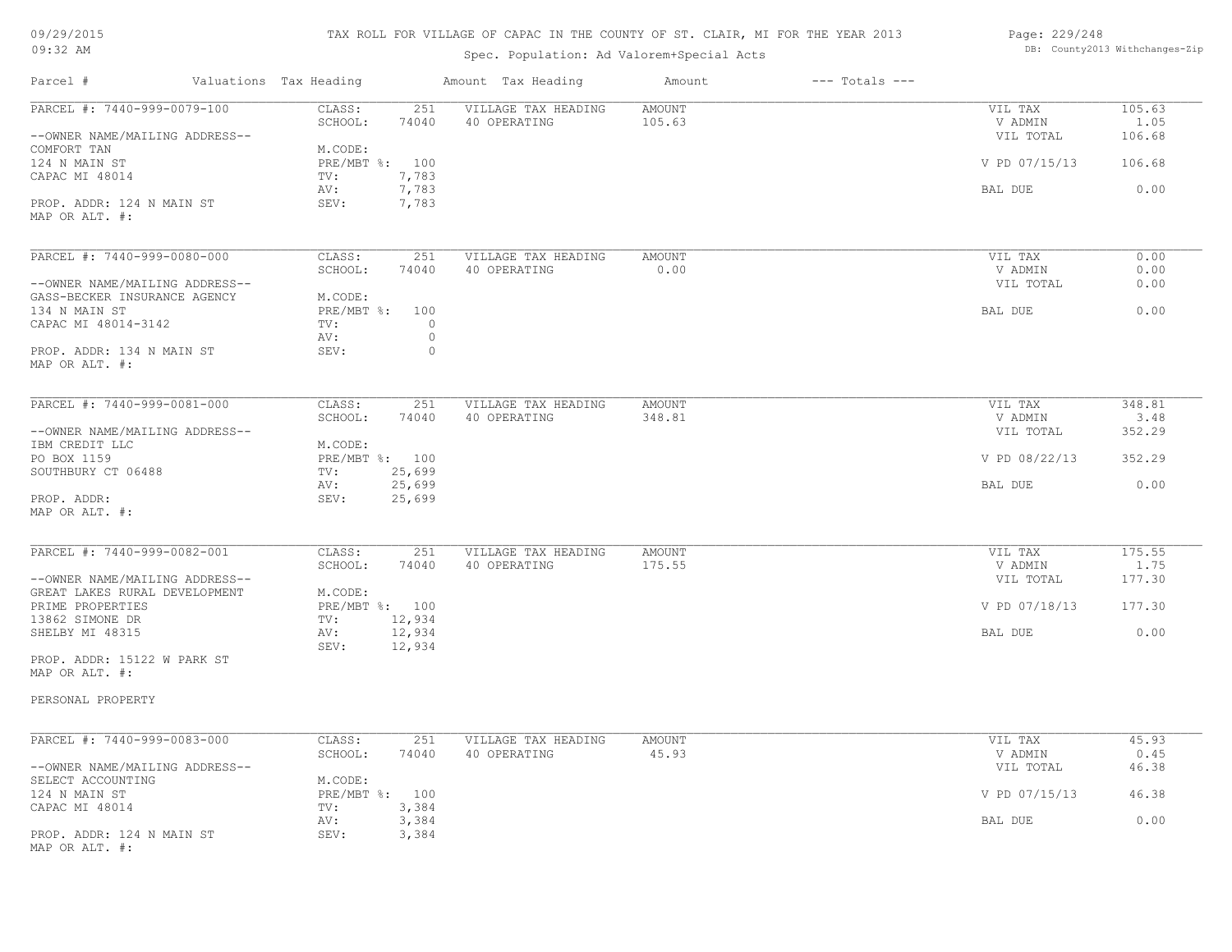## TAX ROLL FOR VILLAGE OF CAPAC IN THE COUNTY OF ST. CLAIR, MI FOR THE YEAR 2013

## Spec. Population: Ad Valorem+Special Acts

#### Page: 229/248 DB: County2013 Withchanges-Zip

| Parcel #                                                        | Valuations Tax Heading           | Amount Tax Heading         | Amount        | $---$ Totals $---$ |                      |                |
|-----------------------------------------------------------------|----------------------------------|----------------------------|---------------|--------------------|----------------------|----------------|
| PARCEL #: 7440-999-0079-100                                     | CLASS:                           | 251<br>VILLAGE TAX HEADING | <b>AMOUNT</b> |                    | VIL TAX              | 105.63         |
| --OWNER NAME/MAILING ADDRESS--                                  | SCHOOL:                          | 74040<br>40 OPERATING      | 105.63        |                    | V ADMIN<br>VIL TOTAL | 1.05<br>106.68 |
| COMFORT TAN<br>124 N MAIN ST<br>CAPAC MI 48014                  | M.CODE:<br>PRE/MBT %: 100<br>TV: | 7,783                      |               |                    | V PD 07/15/13        | 106.68         |
| PROP. ADDR: 124 N MAIN ST                                       | AV:<br>SEV:                      | 7,783<br>7,783             |               |                    | BAL DUE              | 0.00           |
| MAP OR ALT. #:                                                  |                                  |                            |               |                    |                      |                |
| PARCEL #: 7440-999-0080-000                                     | CLASS:                           | VILLAGE TAX HEADING<br>251 | <b>AMOUNT</b> |                    | VIL TAX              | 0.00           |
| --OWNER NAME/MAILING ADDRESS--                                  | SCHOOL:                          | 74040<br>40 OPERATING      | 0.00          |                    | V ADMIN<br>VIL TOTAL | 0.00<br>0.00   |
| GASS-BECKER INSURANCE AGENCY                                    | M.CODE:                          |                            |               |                    |                      |                |
| 134 N MAIN ST<br>CAPAC MI 48014-3142                            | PRE/MBT %: 100<br>TV:            | $\bigcirc$                 |               |                    | BAL DUE              | 0.00           |
|                                                                 | AV:                              | $\circ$                    |               |                    |                      |                |
| PROP. ADDR: 134 N MAIN ST<br>MAP OR ALT. #:                     | SEV:                             | $\circ$                    |               |                    |                      |                |
| PARCEL #: 7440-999-0081-000                                     | CLASS:                           | VILLAGE TAX HEADING<br>251 | <b>AMOUNT</b> |                    | VIL TAX              | 348.81         |
|                                                                 | SCHOOL:                          | 74040<br>40 OPERATING      | 348.81        |                    | V ADMIN              | 3.48           |
| --OWNER NAME/MAILING ADDRESS--                                  |                                  |                            |               |                    | VIL TOTAL            | 352.29         |
| IBM CREDIT LLC<br>PO BOX 1159                                   | M.CODE:<br>PRE/MBT %: 100        |                            |               |                    | V PD 08/22/13        | 352.29         |
| SOUTHBURY CT 06488                                              | TV:<br>25,699                    |                            |               |                    |                      |                |
|                                                                 | 25,699<br>AV:                    |                            |               |                    | BAL DUE              | 0.00           |
| PROP. ADDR:<br>MAP OR ALT. #:                                   | SEV:<br>25,699                   |                            |               |                    |                      |                |
| PARCEL #: 7440-999-0082-001                                     | CLASS:                           | 251<br>VILLAGE TAX HEADING | <b>AMOUNT</b> |                    | VIL TAX              | 175.55         |
|                                                                 | SCHOOL:                          | 74040<br>40 OPERATING      | 175.55        |                    | V ADMIN              | 1.75           |
| --OWNER NAME/MAILING ADDRESS--<br>GREAT LAKES RURAL DEVELOPMENT | M.CODE:                          |                            |               |                    | VIL TOTAL            | 177.30         |
| PRIME PROPERTIES                                                | PRE/MBT %: 100                   |                            |               |                    | V PD 07/18/13        | 177.30         |
| 13862 SIMONE DR                                                 | TV:<br>12,934                    |                            |               |                    |                      |                |
| SHELBY MI 48315                                                 | AV:<br>12,934<br>SEV:<br>12,934  |                            |               |                    | BAL DUE              | 0.00           |
| PROP. ADDR: 15122 W PARK ST                                     |                                  |                            |               |                    |                      |                |
| MAP OR ALT. #:                                                  |                                  |                            |               |                    |                      |                |
| PERSONAL PROPERTY                                               |                                  |                            |               |                    |                      |                |
| PARCEL #: 7440-999-0083-000                                     | CLASS:                           | 251<br>VILLAGE TAX HEADING | <b>AMOUNT</b> |                    | VIL TAX              | 45.93          |
|                                                                 | SCHOOL:                          | 74040<br>40 OPERATING      | 45.93         |                    | V ADMIN              | 0.45           |
| --OWNER NAME/MAILING ADDRESS--                                  | M.CODE:                          |                            |               |                    | VIL TOTAL            | 46.38          |
|                                                                 |                                  |                            |               |                    | V PD 07/15/13        | 46.38          |
| SELECT ACCOUNTING                                               |                                  |                            |               |                    |                      |                |
| 124 N MAIN ST<br>CAPAC MI 48014                                 | PRE/MBT %: 100<br>TV:            | 3,384                      |               |                    |                      |                |
| PROP. ADDR: 124 N MAIN ST                                       | AV:<br>SEV:                      | 3,384<br>3,384             |               |                    | BAL DUE              | 0.00           |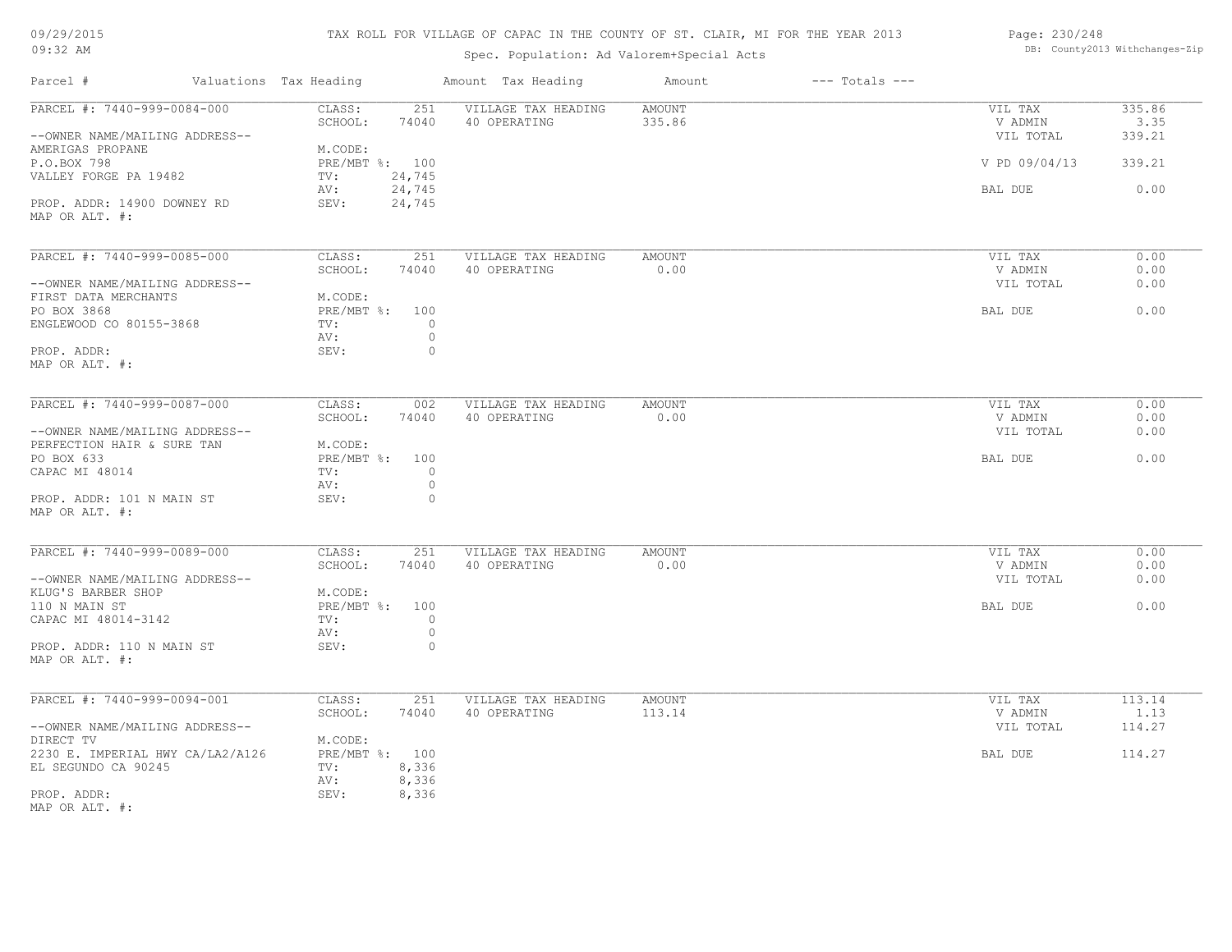## TAX ROLL FOR VILLAGE OF CAPAC IN THE COUNTY OF ST. CLAIR, MI FOR THE YEAR 2013

## Spec. Population: Ad Valorem+Special Acts

| Page: 230/248 |                                |
|---------------|--------------------------------|
|               | DB: County2013 Withchanges-Zip |

| Parcel #                                                             | Valuations Tax Heading                  |                           | Amount Tax Heading                  | Amount                  | $---$ Totals $---$ |                                 |                          |
|----------------------------------------------------------------------|-----------------------------------------|---------------------------|-------------------------------------|-------------------------|--------------------|---------------------------------|--------------------------|
| PARCEL #: 7440-999-0084-000<br>--OWNER NAME/MAILING ADDRESS--        | CLASS:<br>SCHOOL:                       | 251<br>74040              | VILLAGE TAX HEADING<br>40 OPERATING | <b>AMOUNT</b><br>335.86 |                    | VIL TAX<br>V ADMIN<br>VIL TOTAL | 335.86<br>3.35<br>339.21 |
| AMERIGAS PROPANE<br>P.O.BOX 798<br>VALLEY FORGE PA 19482             | M.CODE:<br>PRE/MBT %: 100<br>TV:        | 24,745                    |                                     |                         |                    | V PD 09/04/13                   | 339.21                   |
| PROP. ADDR: 14900 DOWNEY RD                                          | AV:<br>SEV:                             | 24,745<br>24,745          |                                     |                         |                    | BAL DUE                         | 0.00                     |
| MAP OR ALT. #:                                                       |                                         |                           |                                     |                         |                    |                                 |                          |
| PARCEL #: 7440-999-0085-000                                          | CLASS:<br>SCHOOL:                       | 251<br>74040              | VILLAGE TAX HEADING<br>40 OPERATING | AMOUNT<br>0.00          |                    | VIL TAX<br>V ADMIN              | 0.00<br>0.00             |
| --OWNER NAME/MAILING ADDRESS--<br>FIRST DATA MERCHANTS               | M.CODE:                                 |                           |                                     |                         |                    | VIL TOTAL                       | 0.00                     |
| PO BOX 3868<br>ENGLEWOOD CO 80155-3868                               | PRE/MBT %:<br>TV:<br>AV:                | 100<br>$\circ$<br>$\circ$ |                                     |                         |                    | BAL DUE                         | 0.00                     |
| PROP. ADDR:<br>MAP OR ALT. #:                                        | SEV:                                    | $\circ$                   |                                     |                         |                    |                                 |                          |
| PARCEL #: 7440-999-0087-000                                          | CLASS:<br>SCHOOL:                       | 002<br>74040              | VILLAGE TAX HEADING<br>40 OPERATING | AMOUNT<br>0.00          |                    | VIL TAX<br>V ADMIN              | 0.00<br>0.00             |
| --OWNER NAME/MAILING ADDRESS--<br>PERFECTION HAIR & SURE TAN         | M.CODE:                                 |                           |                                     |                         |                    | VIL TOTAL                       | 0.00                     |
| PO BOX 633<br>CAPAC MI 48014                                         | PRE/MBT %:<br>TV:<br>AV:                | 100<br>$\circ$<br>$\circ$ |                                     |                         |                    | BAL DUE                         | 0.00                     |
| PROP. ADDR: 101 N MAIN ST<br>MAP OR ALT. #:                          | SEV:                                    | $\circ$                   |                                     |                         |                    |                                 |                          |
| PARCEL #: 7440-999-0089-000                                          | CLASS:<br>SCHOOL:                       | 251<br>74040              | VILLAGE TAX HEADING<br>40 OPERATING | <b>AMOUNT</b><br>0.00   |                    | VIL TAX<br>V ADMIN              | 0.00<br>0.00             |
| --OWNER NAME/MAILING ADDRESS--<br>KLUG'S BARBER SHOP                 | M.CODE:                                 |                           |                                     |                         |                    | VIL TOTAL                       | 0.00                     |
| 110 N MAIN ST<br>CAPAC MI 48014-3142                                 | PRE/MBT %: 100<br>TV:<br>AV:            | $\circ$<br>$\circ$        |                                     |                         |                    | BAL DUE                         | 0.00                     |
| PROP. ADDR: 110 N MAIN ST<br>MAP OR ALT. #:                          | SEV:                                    | $\circ$                   |                                     |                         |                    |                                 |                          |
| PARCEL #: 7440-999-0094-001                                          | CLASS:                                  | 251                       | VILLAGE TAX HEADING                 | <b>AMOUNT</b>           |                    | VIL TAX                         | 113.14                   |
| --OWNER NAME/MAILING ADDRESS--                                       | SCHOOL:                                 | 74040                     | 40 OPERATING                        | 113.14                  |                    | V ADMIN<br>VIL TOTAL            | 1.13<br>114.27           |
| DIRECT TV<br>2230 E. IMPERIAL HWY CA/LA2/A126<br>EL SEGUNDO CA 90245 | M.CODE:<br>PRE/MBT %: 100<br>TV:<br>AV: | 8,336<br>8,336            |                                     |                         |                    | BAL DUE                         | 114.27                   |
| PROP. ADDR:<br>MAP OR ALT. #:                                        | SEV:                                    | 8,336                     |                                     |                         |                    |                                 |                          |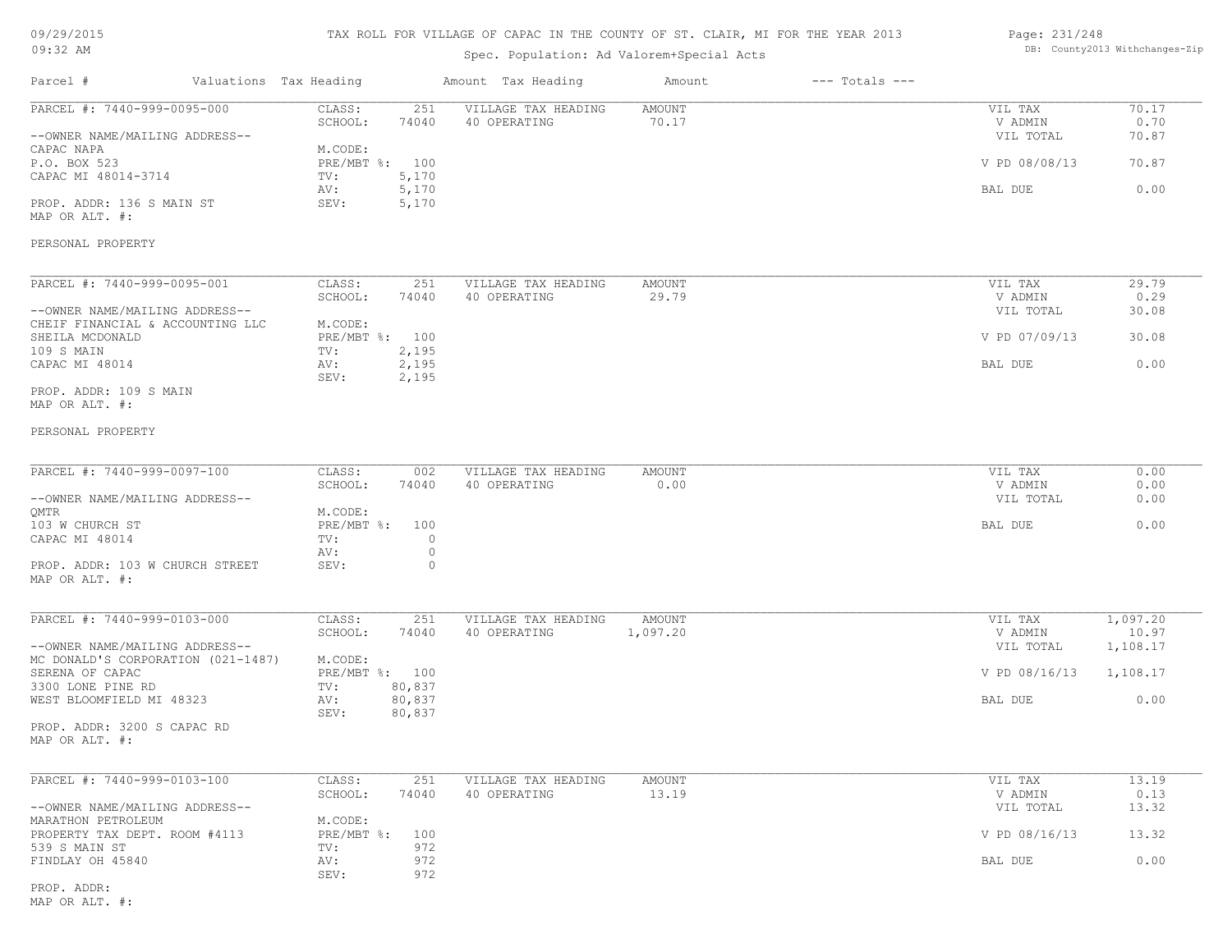## TAX ROLL FOR VILLAGE OF CAPAC IN THE COUNTY OF ST. CLAIR, MI FOR THE YEAR 2013

## Spec. Population: Ad Valorem+Special Acts

Parcel # Valuations Tax Heading Amount Tax Heading Amount --- Totals ---

#### Page: 231/248 DB: County2013 Withchanges-Zip

| PARCEL #: 7440-999-0095-000                                          | CLASS:<br>251                   | VILLAGE TAX HEADING | AMOUNT        | VIL TAX       | 70.17    |
|----------------------------------------------------------------------|---------------------------------|---------------------|---------------|---------------|----------|
|                                                                      | SCHOOL:<br>74040                | 40 OPERATING        | 70.17         | V ADMIN       | 0.70     |
| --OWNER NAME/MAILING ADDRESS--                                       |                                 |                     |               | VIL TOTAL     | 70.87    |
| CAPAC NAPA<br>P.O. BOX 523                                           | M.CODE:<br>PRE/MBT %: 100       |                     |               | V PD 08/08/13 | 70.87    |
| CAPAC MI 48014-3714                                                  | 5,170<br>TV:                    |                     |               |               |          |
|                                                                      | 5,170<br>AV:                    |                     |               | BAL DUE       | 0.00     |
| PROP. ADDR: 136 S MAIN ST<br>MAP OR ALT. #:                          | 5,170<br>SEV:                   |                     |               |               |          |
| PERSONAL PROPERTY                                                    |                                 |                     |               |               |          |
| PARCEL #: 7440-999-0095-001                                          | CLASS:<br>251                   | VILLAGE TAX HEADING | <b>AMOUNT</b> | VIL TAX       | 29.79    |
|                                                                      | SCHOOL:<br>74040                | 40 OPERATING        | 29.79         | V ADMIN       | 0.29     |
| --OWNER NAME/MAILING ADDRESS--<br>CHEIF FINANCIAL & ACCOUNTING LLC   | M.CODE:                         |                     |               | VIL TOTAL     | 30.08    |
| SHEILA MCDONALD                                                      | PRE/MBT %: 100                  |                     |               | V PD 07/09/13 | 30.08    |
| 109 S MAIN                                                           | 2,195<br>TV:                    |                     |               |               |          |
| CAPAC MI 48014                                                       | AV:<br>2,195<br>SEV:<br>2,195   |                     |               | BAL DUE       | 0.00     |
| PROP. ADDR: 109 S MAIN<br>MAP OR ALT. #:                             |                                 |                     |               |               |          |
| PERSONAL PROPERTY                                                    |                                 |                     |               |               |          |
| PARCEL #: 7440-999-0097-100                                          | CLASS:<br>002                   | VILLAGE TAX HEADING | <b>AMOUNT</b> | VIL TAX       | 0.00     |
|                                                                      | SCHOOL:<br>74040                | 40 OPERATING        | 0.00          | V ADMIN       | 0.00     |
| --OWNER NAME/MAILING ADDRESS--<br>OMTR                               | M.CODE:                         |                     |               | VIL TOTAL     | 0.00     |
| 103 W CHURCH ST                                                      | PRE/MBT %: 100                  |                     |               | BAL DUE       | 0.00     |
| CAPAC MI 48014                                                       | TV:<br>$\circ$                  |                     |               |               |          |
|                                                                      | $\circ$<br>AV:                  |                     |               |               |          |
| PROP. ADDR: 103 W CHURCH STREET<br>MAP OR ALT. #:                    | $\circ$<br>SEV:                 |                     |               |               |          |
| PARCEL #: 7440-999-0103-000                                          | CLASS:<br>251                   | VILLAGE TAX HEADING | <b>AMOUNT</b> | VIL TAX       | 1,097.20 |
|                                                                      | SCHOOL:<br>74040                | 40 OPERATING        | 1,097.20      | V ADMIN       | 10.97    |
| --OWNER NAME/MAILING ADDRESS--<br>MC DONALD'S CORPORATION (021-1487) | M.CODE:                         |                     |               | VIL TOTAL     | 1,108.17 |
| SERENA OF CAPAC                                                      | PRE/MBT %: 100                  |                     |               | V PD 08/16/13 | 1,108.17 |
| 3300 LONE PINE RD                                                    | 80,837<br>TV:                   |                     |               |               |          |
| WEST BLOOMFIELD MI 48323                                             | AV:<br>80,837<br>SEV:<br>80,837 |                     |               | BAL DUE       | 0.00     |
| PROP. ADDR: 3200 S CAPAC RD<br>MAP OR ALT. #:                        |                                 |                     |               |               |          |
| PARCEL #: 7440-999-0103-100                                          | CLASS:<br>251                   | VILLAGE TAX HEADING | <b>AMOUNT</b> | VIL TAX       | 13.19    |
|                                                                      | SCHOOL:<br>74040                | 40 OPERATING        | 13.19         | V ADMIN       | 0.13     |
| --OWNER NAME/MAILING ADDRESS--<br>MARATHON PETROLEUM                 | M.CODE:                         |                     |               | VIL TOTAL     | 13.32    |
| PROPERTY TAX DEPT. ROOM #4113                                        | $PRE/MBT$ $\div$<br>100         |                     |               | V PD 08/16/13 | 13.32    |
| 539 S MAIN ST                                                        | 972<br>TV:                      |                     |               |               |          |
| FINDLAY OH 45840                                                     | 972<br>AV:                      |                     |               | BAL DUE       | 0.00     |
|                                                                      | 972<br>SEV:                     |                     |               |               |          |
| PROP. ADDR:                                                          |                                 |                     |               |               |          |

MAP OR ALT. #: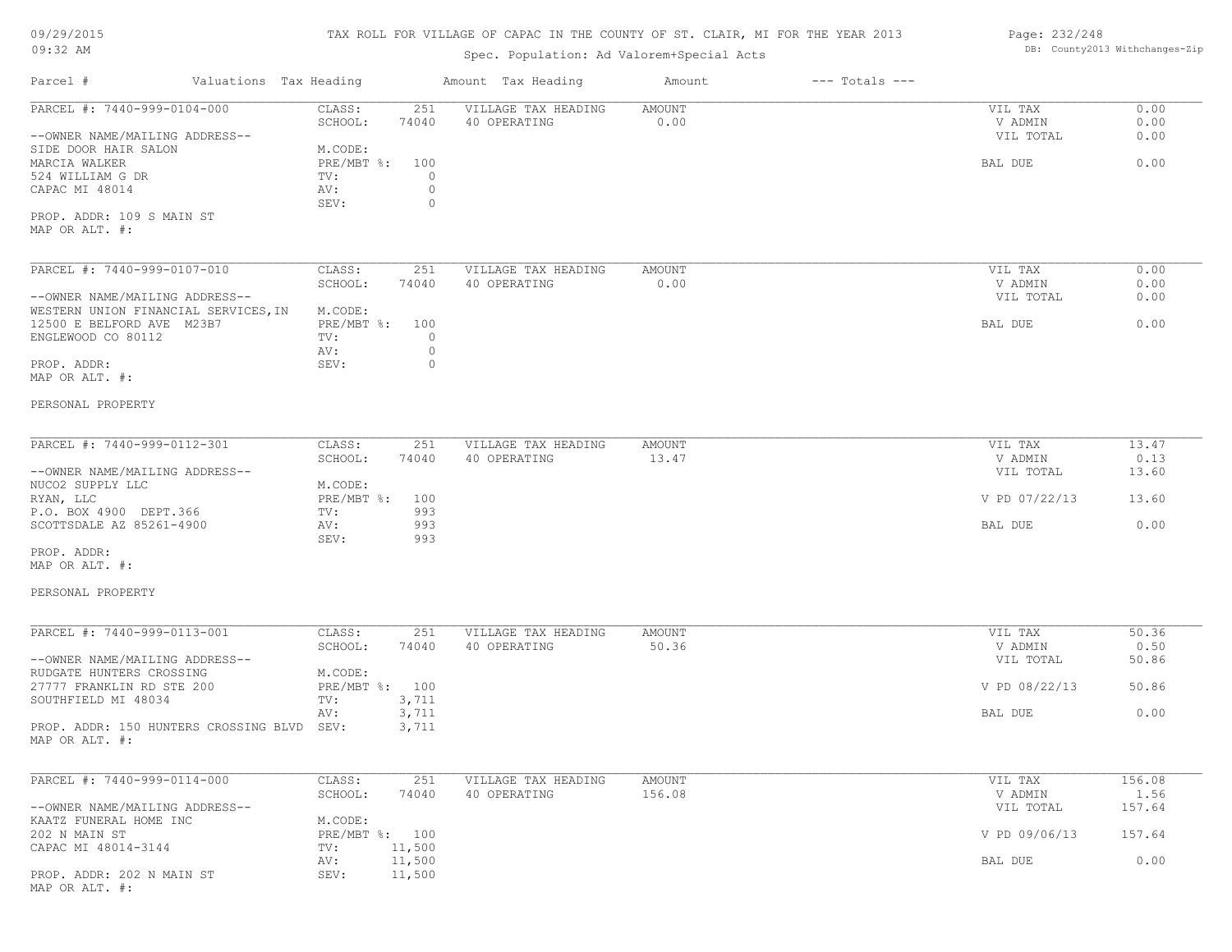#### TAX ROLL FOR VILLAGE OF CAPAC IN THE COUNTY OF ST. CLAIR, MI FOR THE YEAR 2013

## Spec. Population: Ad Valorem+Special Acts

#### Page: 232/248 DB: County2013 Withchanges-Zip

| Parcel #                                                                                | Valuations Tax Heading                       | Amount Tax Heading                  | Amount           | $---$ Totals $---$ |                      |                |
|-----------------------------------------------------------------------------------------|----------------------------------------------|-------------------------------------|------------------|--------------------|----------------------|----------------|
| PARCEL #: 7440-999-0104-000                                                             | 251<br>CLASS:<br>SCHOOL:<br>74040            | VILLAGE TAX HEADING<br>40 OPERATING | AMOUNT<br>0.00   |                    | VIL TAX<br>V ADMIN   | 0.00<br>0.00   |
| --OWNER NAME/MAILING ADDRESS--                                                          |                                              |                                     |                  |                    | VIL TOTAL            | 0.00           |
| SIDE DOOR HAIR SALON<br>MARCIA WALKER<br>524 WILLIAM G DR<br>CAPAC MI 48014             | M.CODE:<br>$PRE/MBT$ %:<br>100<br>TV:<br>AV: | $\circ$<br>$\circ$                  |                  |                    | BAL DUE              | 0.00           |
| PROP. ADDR: 109 S MAIN ST<br>MAP OR ALT. #:                                             | SEV:                                         | 0                                   |                  |                    |                      |                |
| PARCEL #: 7440-999-0107-010                                                             | CLASS:<br>251                                | VILLAGE TAX HEADING                 | AMOUNT           |                    | VIL TAX              | 0.00           |
| --OWNER NAME/MAILING ADDRESS--                                                          | SCHOOL:<br>74040                             | 40 OPERATING                        | 0.00             |                    | V ADMIN<br>VIL TOTAL | 0.00<br>0.00   |
| WESTERN UNION FINANCIAL SERVICES, IN<br>12500 E BELFORD AVE M23B7<br>ENGLEWOOD CO 80112 | M.CODE:<br>PRE/MBT %: 100<br>TV:             | 0                                   |                  |                    | BAL DUE              | 0.00           |
|                                                                                         | AV:                                          | $\circ$                             |                  |                    |                      |                |
| PROP. ADDR:<br>MAP OR ALT. #:                                                           | SEV:                                         | 0                                   |                  |                    |                      |                |
| PERSONAL PROPERTY                                                                       |                                              |                                     |                  |                    |                      |                |
| PARCEL #: 7440-999-0112-301                                                             | CLASS:<br>251                                | VILLAGE TAX HEADING                 | AMOUNT           |                    | VIL TAX              | 13.47          |
| --OWNER NAME/MAILING ADDRESS--                                                          | SCHOOL:<br>74040                             | 40 OPERATING                        | 13.47            |                    | V ADMIN<br>VIL TOTAL | 0.13<br>13.60  |
| NUCO2 SUPPLY LLC<br>RYAN, LLC                                                           | M.CODE:<br>$PRE/MBT$ %:<br>100               |                                     |                  |                    | V PD 07/22/13        | 13.60          |
| P.O. BOX 4900 DEPT.366<br>SCOTTSDALE AZ 85261-4900                                      | TV:<br>993<br>993<br>AV:<br>SEV:<br>993      |                                     |                  |                    | BAL DUE              | 0.00           |
| PROP. ADDR:<br>MAP OR ALT. #:                                                           |                                              |                                     |                  |                    |                      |                |
| PERSONAL PROPERTY                                                                       |                                              |                                     |                  |                    |                      |                |
| PARCEL #: 7440-999-0113-001                                                             | CLASS:<br>251                                | VILLAGE TAX HEADING                 | AMOUNT           |                    | VIL TAX              | 50.36          |
| --OWNER NAME/MAILING ADDRESS--                                                          | SCHOOL:<br>74040                             | 40 OPERATING                        | 50.36            |                    | V ADMIN<br>VIL TOTAL | 0.50<br>50.86  |
| RUDGATE HUNTERS CROSSING<br>27777 FRANKLIN RD STE 200                                   | M.CODE:<br>PRE/MBT %: 100                    |                                     |                  |                    | V PD 08/22/13        | 50.86          |
| SOUTHFIELD MI 48034                                                                     | TV:<br>3,711                                 |                                     |                  |                    | BAL DUE              | 0.00           |
| PROP. ADDR: 150 HUNTERS CROSSING BLVD SEV:<br>MAP OR ALT. #:                            | 3,711<br>AV:<br>3,711                        |                                     |                  |                    |                      |                |
|                                                                                         |                                              |                                     |                  |                    |                      |                |
| PARCEL #: 7440-999-0114-000                                                             | CLASS:<br>251<br>SCHOOL:<br>74040            | VILLAGE TAX HEADING<br>40 OPERATING | AMOUNT<br>156.08 |                    | VIL TAX<br>V ADMIN   | 156.08<br>1.56 |
| --OWNER NAME/MAILING ADDRESS--                                                          |                                              |                                     |                  |                    | VIL TOTAL            | 157.64         |
| KAATZ FUNERAL HOME INC<br>202 N MAIN ST                                                 | M.CODE:<br>PRE/MBT %: 100                    |                                     |                  |                    | V PD 09/06/13        | 157.64         |
| CAPAC MI 48014-3144                                                                     | 11,500<br>TV:<br>AV:<br>11,500               |                                     |                  |                    | BAL DUE              | 0.00           |
| PROP. ADDR: 202 N MAIN ST<br>MAP OR ALT. #:                                             | 11,500<br>SEV:                               |                                     |                  |                    |                      |                |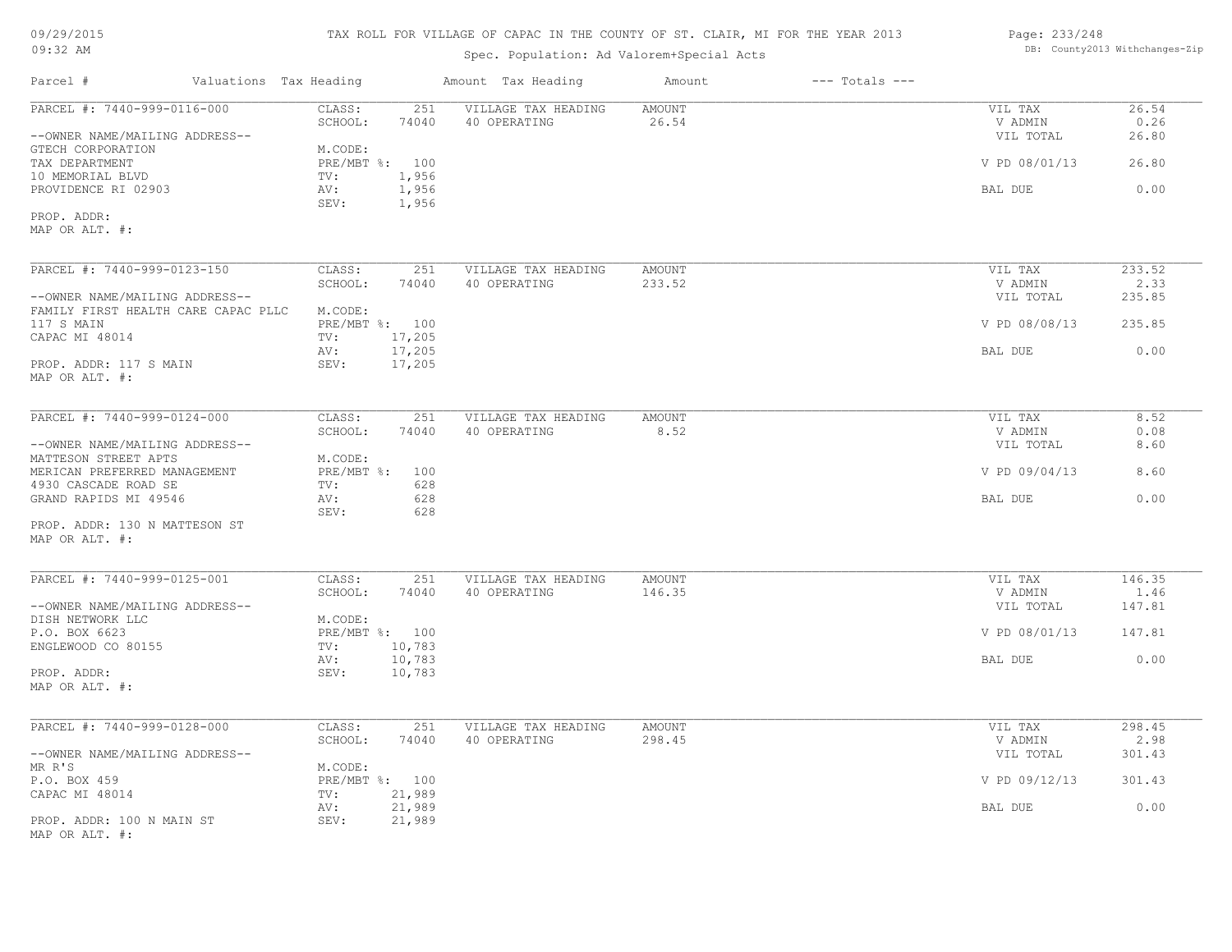| 09/29/2015 |  |
|------------|--|
| $09:32$ AM |  |

## Spec. Population: Ad Valorem+Special Acts

| Page: 233/248 |                                |
|---------------|--------------------------------|
|               | DB: County2013 Withchanges-Zip |

| Parcel #                                                                     | Valuations Tax Heading                           | Amount Tax Heading                  | Amount                 | $---$ Totals $---$ |                                 |                        |
|------------------------------------------------------------------------------|--------------------------------------------------|-------------------------------------|------------------------|--------------------|---------------------------------|------------------------|
| PARCEL #: 7440-999-0116-000<br>--OWNER NAME/MAILING ADDRESS--                | CLASS:<br>251<br>SCHOOL:<br>74040                | VILLAGE TAX HEADING<br>40 OPERATING | <b>AMOUNT</b><br>26.54 |                    | VIL TAX<br>V ADMIN<br>VIL TOTAL | 26.54<br>0.26<br>26.80 |
| GTECH CORPORATION<br>TAX DEPARTMENT                                          | M.CODE:<br>PRE/MBT %: 100                        |                                     |                        |                    | V PD 08/01/13                   | 26.80                  |
| 10 MEMORIAL BLVD<br>PROVIDENCE RI 02903                                      | 1,956<br>TV:<br>1,956<br>AV:<br>SEV:<br>1,956    |                                     |                        |                    | BAL DUE                         | 0.00                   |
| PROP. ADDR:<br>MAP OR ALT. #:                                                |                                                  |                                     |                        |                    |                                 |                        |
| PARCEL #: 7440-999-0123-150                                                  | CLASS:<br>251                                    | VILLAGE TAX HEADING                 | <b>AMOUNT</b>          |                    | VIL TAX                         | 233.52                 |
| --OWNER NAME/MAILING ADDRESS--                                               | SCHOOL:<br>74040                                 | 40 OPERATING                        | 233.52                 |                    | V ADMIN<br>VIL TOTAL            | 2.33<br>235.85         |
| FAMILY FIRST HEALTH CARE CAPAC PLLC<br>117 S MAIN                            | M.CODE:<br>PRE/MBT %: 100                        |                                     |                        |                    | V PD 08/08/13                   | 235.85                 |
| CAPAC MI 48014<br>PROP. ADDR: 117 S MAIN                                     | TV:<br>17,205<br>17,205<br>AV:<br>17,205<br>SEV: |                                     |                        |                    | BAL DUE                         | 0.00                   |
| MAP OR ALT. #:                                                               |                                                  |                                     |                        |                    |                                 |                        |
| PARCEL #: 7440-999-0124-000                                                  | CLASS:<br>251                                    | VILLAGE TAX HEADING                 | AMOUNT                 |                    | VIL TAX                         | 8.52                   |
| --OWNER NAME/MAILING ADDRESS--                                               | SCHOOL:<br>74040                                 | 40 OPERATING                        | 8.52                   |                    | V ADMIN<br>VIL TOTAL            | 0.08<br>8.60           |
| MATTESON STREET APTS<br>MERICAN PREFERRED MANAGEMENT<br>4930 CASCADE ROAD SE | M.CODE:<br>PRE/MBT %: 100<br>628<br>TV:          |                                     |                        |                    | V PD 09/04/13                   | 8.60                   |
| GRAND RAPIDS MI 49546                                                        | 628<br>AV:<br>SEV:<br>628                        |                                     |                        |                    | BAL DUE                         | 0.00                   |
| PROP. ADDR: 130 N MATTESON ST<br>MAP OR ALT. #:                              |                                                  |                                     |                        |                    |                                 |                        |
| PARCEL #: 7440-999-0125-001                                                  | CLASS:<br>251                                    | VILLAGE TAX HEADING                 | <b>AMOUNT</b>          |                    | VIL TAX                         | 146.35                 |
| --OWNER NAME/MAILING ADDRESS--                                               | SCHOOL:<br>74040                                 | 40 OPERATING                        | 146.35                 |                    | V ADMIN<br>VIL TOTAL            | 1.46<br>147.81         |
| DISH NETWORK LLC<br>P.O. BOX 6623<br>ENGLEWOOD CO 80155                      | M.CODE:<br>PRE/MBT %: 100<br>10,783<br>TV:       |                                     |                        |                    | V PD 08/01/13                   | 147.81                 |
| PROP. ADDR:                                                                  | 10,783<br>AV:<br>10,783<br>SEV:                  |                                     |                        |                    | BAL DUE                         | 0.00                   |
| MAP OR ALT. #:                                                               |                                                  |                                     |                        |                    |                                 |                        |
| PARCEL #: 7440-999-0128-000                                                  | CLASS:<br>251                                    | VILLAGE TAX HEADING                 | AMOUNT                 |                    | VIL TAX                         | 298.45                 |
| --OWNER NAME/MAILING ADDRESS--                                               | SCHOOL:<br>74040                                 | 40 OPERATING                        | 298.45                 |                    | V ADMIN<br>VIL TOTAL            | 2.98<br>301.43         |
| MR R'S<br>P.O. BOX 459<br>CAPAC MI 48014                                     | M.CODE:<br>PRE/MBT %: 100<br>21,989<br>TV:       |                                     |                        |                    | V PD 09/12/13                   | 301.43                 |
| PROP. ADDR: 100 N MAIN ST                                                    | 21,989<br>AV:<br>SEV:<br>21,989                  |                                     |                        |                    | BAL DUE                         | 0.00                   |
| MAP OR ALT. #:                                                               |                                                  |                                     |                        |                    |                                 |                        |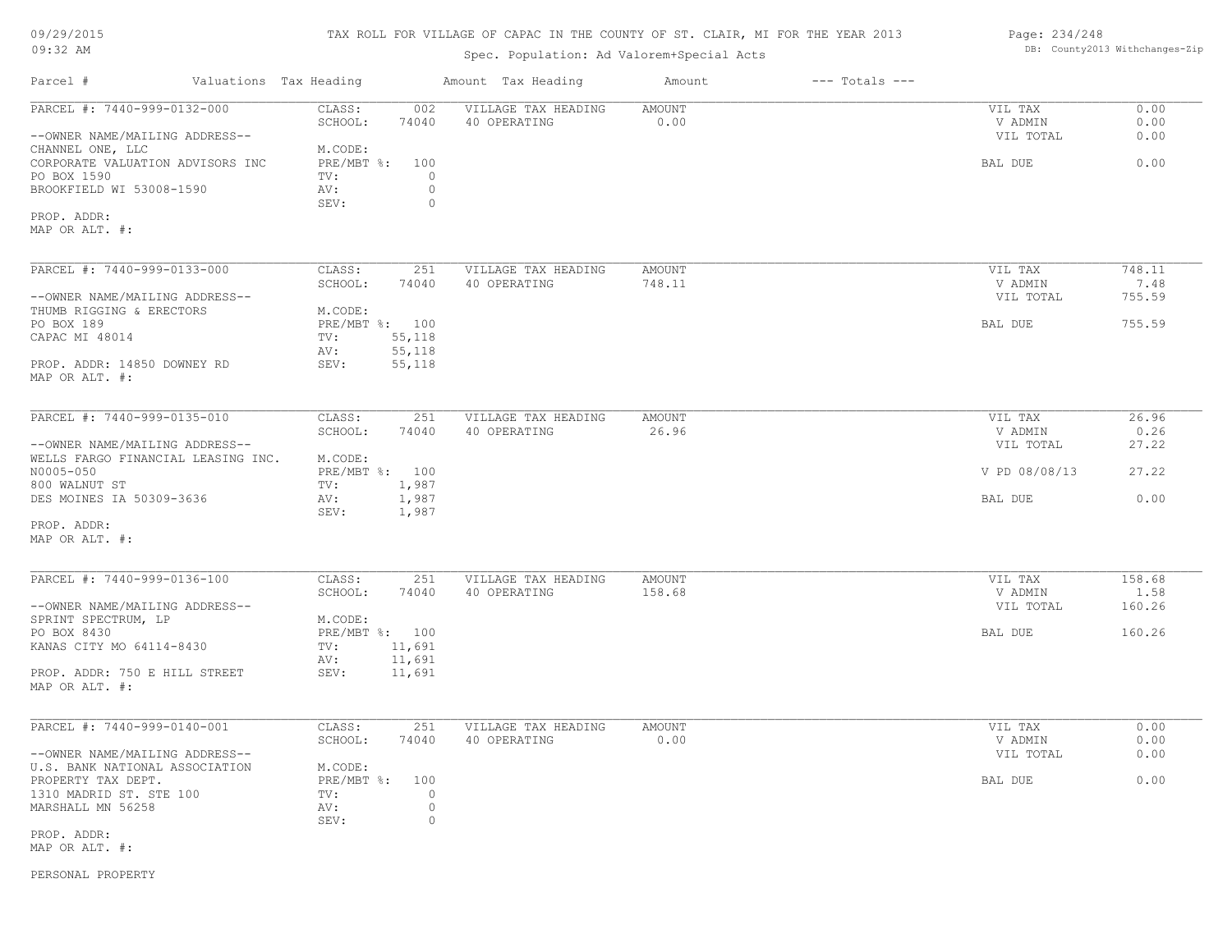| 09/29/2015 |  |
|------------|--|
| $09:32$ AM |  |

## Spec. Population: Ad Valorem+Special Acts

#### Page: 234/248 DB: County2013 Withchanges-Zip

| Parcel #                                                                                        | Valuations Tax Heading                                             | Amount Tax Heading                  | Amount                  | $---$ Totals $---$ |                                 |                      |
|-------------------------------------------------------------------------------------------------|--------------------------------------------------------------------|-------------------------------------|-------------------------|--------------------|---------------------------------|----------------------|
| PARCEL #: 7440-999-0132-000<br>--OWNER NAME/MAILING ADDRESS--                                   | CLASS:<br>002<br>SCHOOL:<br>74040                                  | VILLAGE TAX HEADING<br>40 OPERATING | AMOUNT<br>0.00          |                    | VIL TAX<br>V ADMIN<br>VIL TOTAL | 0.00<br>0.00<br>0.00 |
| CHANNEL ONE, LLC<br>CORPORATE VALUATION ADVISORS INC<br>PO BOX 1590<br>BROOKFIELD WI 53008-1590 | M.CODE:<br>PRE/MBT %:<br>100<br>TV:<br>AV:<br>SEV:                 | $\circ$<br>$\circ$<br>$\circ$       |                         |                    | BAL DUE                         | 0.00                 |
| PROP. ADDR:<br>MAP OR ALT. #:                                                                   |                                                                    |                                     |                         |                    |                                 |                      |
| PARCEL #: 7440-999-0133-000                                                                     | CLASS:<br>251<br>SCHOOL:<br>74040                                  | VILLAGE TAX HEADING<br>40 OPERATING | <b>AMOUNT</b><br>748.11 |                    | VIL TAX<br>V ADMIN              | 748.11<br>7.48       |
| --OWNER NAME/MAILING ADDRESS--<br>THUMB RIGGING & ERECTORS                                      | M.CODE:                                                            |                                     |                         |                    | VIL TOTAL                       | 755.59               |
| PO BOX 189<br>CAPAC MI 48014<br>PROP. ADDR: 14850 DOWNEY RD                                     | PRE/MBT %: 100<br>55,118<br>TV:<br>55,118<br>AV:<br>55,118<br>SEV: |                                     |                         |                    | BAL DUE                         | 755.59               |
| MAP OR ALT. #:                                                                                  |                                                                    |                                     |                         |                    |                                 |                      |
| PARCEL #: 7440-999-0135-010                                                                     | CLASS:<br>251<br>SCHOOL:<br>74040                                  | VILLAGE TAX HEADING<br>40 OPERATING | <b>AMOUNT</b><br>26.96  |                    | VIL TAX<br>V ADMIN              | 26.96<br>0.26        |
| --OWNER NAME/MAILING ADDRESS--<br>WELLS FARGO FINANCIAL LEASING INC.                            | M.CODE:                                                            |                                     |                         |                    | VIL TOTAL                       | 27.22                |
| N0005-050<br>800 WALNUT ST                                                                      | PRE/MBT %: 100<br>TV:<br>1,987                                     |                                     |                         |                    | V PD 08/08/13                   | 27.22                |
| DES MOINES IA 50309-3636<br>PROP. ADDR:                                                         | 1,987<br>AV:<br>SEV:<br>1,987                                      |                                     |                         |                    | BAL DUE                         | 0.00                 |
| MAP OR ALT. #:                                                                                  |                                                                    |                                     |                         |                    |                                 |                      |
| PARCEL #: 7440-999-0136-100                                                                     | CLASS:<br>251                                                      | VILLAGE TAX HEADING                 | <b>AMOUNT</b>           |                    | VIL TAX                         | 158.68               |
| --OWNER NAME/MAILING ADDRESS--<br>SPRINT SPECTRUM, LP                                           | SCHOOL:<br>74040<br>M.CODE:                                        | 40 OPERATING                        | 158.68                  |                    | V ADMIN<br>VIL TOTAL            | 1.58<br>160.26       |
| PO BOX 8430<br>KANAS CITY MO 64114-8430                                                         | PRE/MBT %: 100<br>TV:<br>11,691                                    |                                     |                         |                    | BAL DUE                         | 160.26               |
| PROP. ADDR: 750 E HILL STREET<br>MAP OR ALT. #:                                                 | 11,691<br>AV:<br>SEV:<br>11,691                                    |                                     |                         |                    |                                 |                      |
| PARCEL #: 7440-999-0140-001                                                                     | CLASS:<br>251                                                      | VILLAGE TAX HEADING                 | AMOUNT                  |                    | VIL TAX                         | 0.00                 |
| --OWNER NAME/MAILING ADDRESS--                                                                  | SCHOOL:<br>74040                                                   | 40 OPERATING                        | 0.00                    |                    | V ADMIN<br>VIL TOTAL            | 0.00<br>0.00         |
| U.S. BANK NATIONAL ASSOCIATION<br>PROPERTY TAX DEPT.                                            | M.CODE:<br>$PRE/MBT$ $\div$ :<br>100                               |                                     |                         |                    | BAL DUE                         | 0.00                 |
| 1310 MADRID ST. STE 100<br>MARSHALL MN 56258                                                    | TV:<br>AV:<br>SEV:                                                 | $\circ$<br>$\circ$<br>$\circ$       |                         |                    |                                 |                      |
| PROP. ADDR:<br>MAP OR ALT. #:                                                                   |                                                                    |                                     |                         |                    |                                 |                      |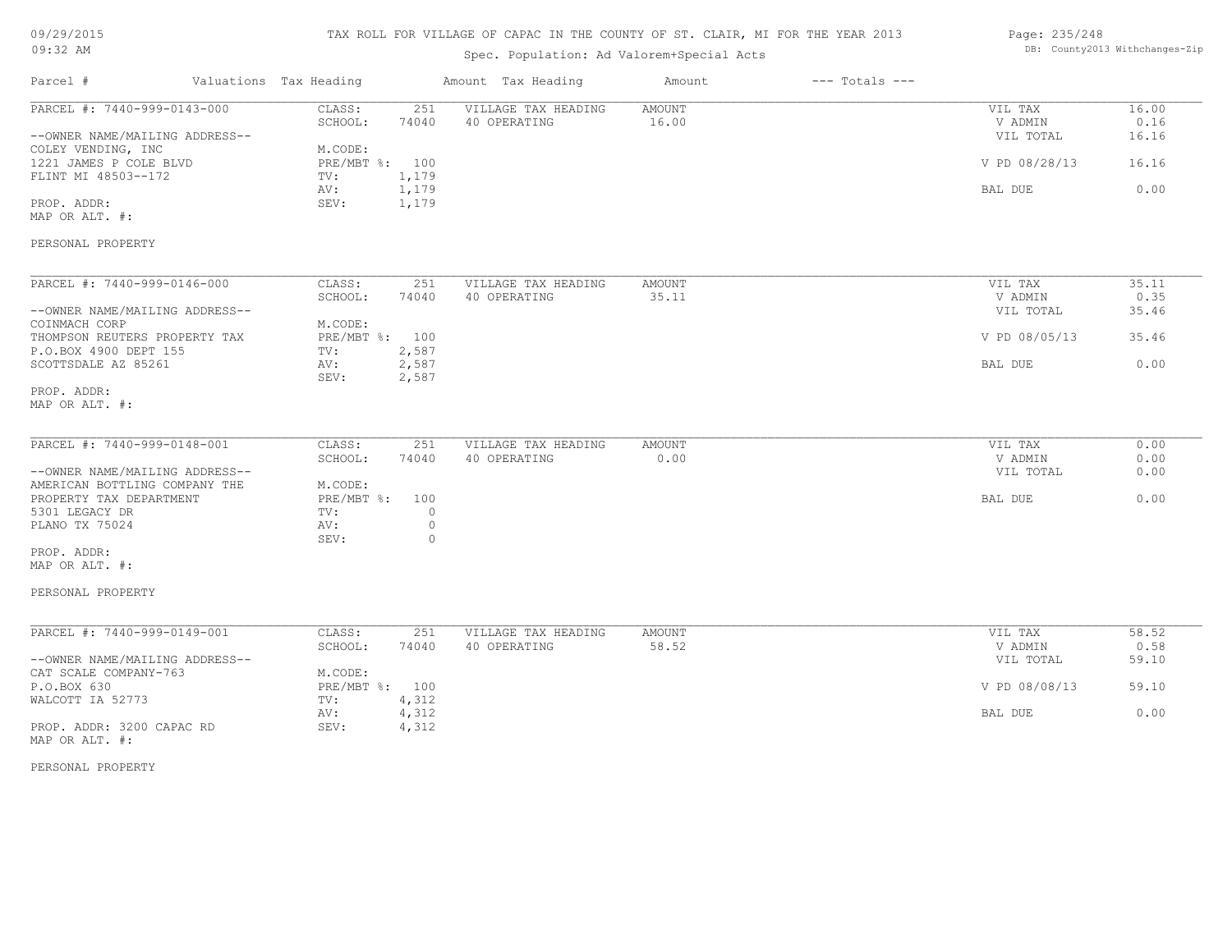#### TAX ROLL FOR VILLAGE OF CAPAC IN THE COUNTY OF ST. CLAIR, MI FOR THE YEAR 2013

## Spec. Population: Ad Valorem+Special Acts

| Page: 235/248 |                                |
|---------------|--------------------------------|
|               | DB: County2013 Withchanges-Zip |

| Parcel #                                                                                     | Valuations Tax Heading                       |                                      | Amount Tax Heading                  | Amount                 | $---$ Totals $---$ |                                 |                        |
|----------------------------------------------------------------------------------------------|----------------------------------------------|--------------------------------------|-------------------------------------|------------------------|--------------------|---------------------------------|------------------------|
| PARCEL #: 7440-999-0143-000<br>--OWNER NAME/MAILING ADDRESS--<br>COLEY VENDING, INC          | CLASS:<br>SCHOOL:<br>M.CODE:                 | 251<br>74040                         | VILLAGE TAX HEADING<br>40 OPERATING | AMOUNT<br>16.00        |                    | VIL TAX<br>V ADMIN<br>VIL TOTAL | 16.00<br>0.16<br>16.16 |
| 1221 JAMES P COLE BLVD<br>FLINT MI 48503--172                                                | PRE/MBT %: 100<br>TV:                        | 1,179                                |                                     |                        |                    | V PD 08/28/13                   | 16.16                  |
| PROP. ADDR:<br>MAP OR ALT. #:                                                                | AV:<br>SEV:                                  | 1,179<br>1,179                       |                                     |                        |                    | BAL DUE                         | 0.00                   |
| PERSONAL PROPERTY                                                                            |                                              |                                      |                                     |                        |                    |                                 |                        |
| PARCEL #: 7440-999-0146-000                                                                  | CLASS:                                       | 251                                  | VILLAGE TAX HEADING                 | <b>AMOUNT</b>          |                    | VIL TAX                         | 35.11                  |
| --OWNER NAME/MAILING ADDRESS--                                                               | SCHOOL:                                      | 74040                                | 40 OPERATING                        | 35.11                  |                    | V ADMIN<br>VIL TOTAL            | 0.35<br>35.46          |
| COINMACH CORP<br>THOMPSON REUTERS PROPERTY TAX<br>P.O.BOX 4900 DEPT 155                      | M.CODE:<br>PRE/MBT %: 100<br>$\texttt{TV}$ : | 2,587                                |                                     |                        |                    | V PD 08/05/13                   | 35.46                  |
| SCOTTSDALE AZ 85261                                                                          | AV:<br>SEV:                                  | 2,587<br>2,587                       |                                     |                        |                    | BAL DUE                         | 0.00                   |
| PROP. ADDR:<br>MAP OR ALT. #:                                                                |                                              |                                      |                                     |                        |                    |                                 |                        |
| PARCEL #: 7440-999-0148-001                                                                  | CLASS:                                       | 251                                  | VILLAGE TAX HEADING                 | <b>AMOUNT</b>          |                    | VIL TAX                         | 0.00                   |
| --OWNER NAME/MAILING ADDRESS--                                                               | SCHOOL:                                      | 74040                                | 40 OPERATING                        | 0.00                   |                    | V ADMIN<br>VIL TOTAL            | 0.00<br>0.00           |
| AMERICAN BOTTLING COMPANY THE<br>PROPERTY TAX DEPARTMENT<br>5301 LEGACY DR<br>PLANO TX 75024 | M.CODE:<br>PRE/MBT %:<br>TV:<br>AV:<br>SEV:  | 100<br>$\circ$<br>$\circ$<br>$\circ$ |                                     |                        |                    | BAL DUE                         | 0.00                   |
| PROP. ADDR:<br>MAP OR ALT. #:                                                                |                                              |                                      |                                     |                        |                    |                                 |                        |
| PERSONAL PROPERTY                                                                            |                                              |                                      |                                     |                        |                    |                                 |                        |
| PARCEL #: 7440-999-0149-001                                                                  | CLASS:                                       | 251                                  | VILLAGE TAX HEADING                 | <b>AMOUNT</b><br>58.52 |                    | VIL TAX                         | 58.52<br>0.58          |
| --OWNER NAME/MAILING ADDRESS--<br>CAT SCALE COMPANY-763                                      | SCHOOL:<br>M.CODE:                           | 74040                                | 40 OPERATING                        |                        |                    | V ADMIN<br>VIL TOTAL            | 59.10                  |
| P.O.BOX 630<br>WALCOTT IA 52773                                                              | PRE/MBT %: 100<br>TV:                        | 4,312                                |                                     |                        |                    | V PD 08/08/13                   | 59.10                  |
| PROP. ADDR: 3200 CAPAC RD                                                                    | AV:<br>SEV:                                  | 4,312<br>4,312                       |                                     |                        |                    | BAL DUE                         | 0.00                   |

MAP OR ALT. #: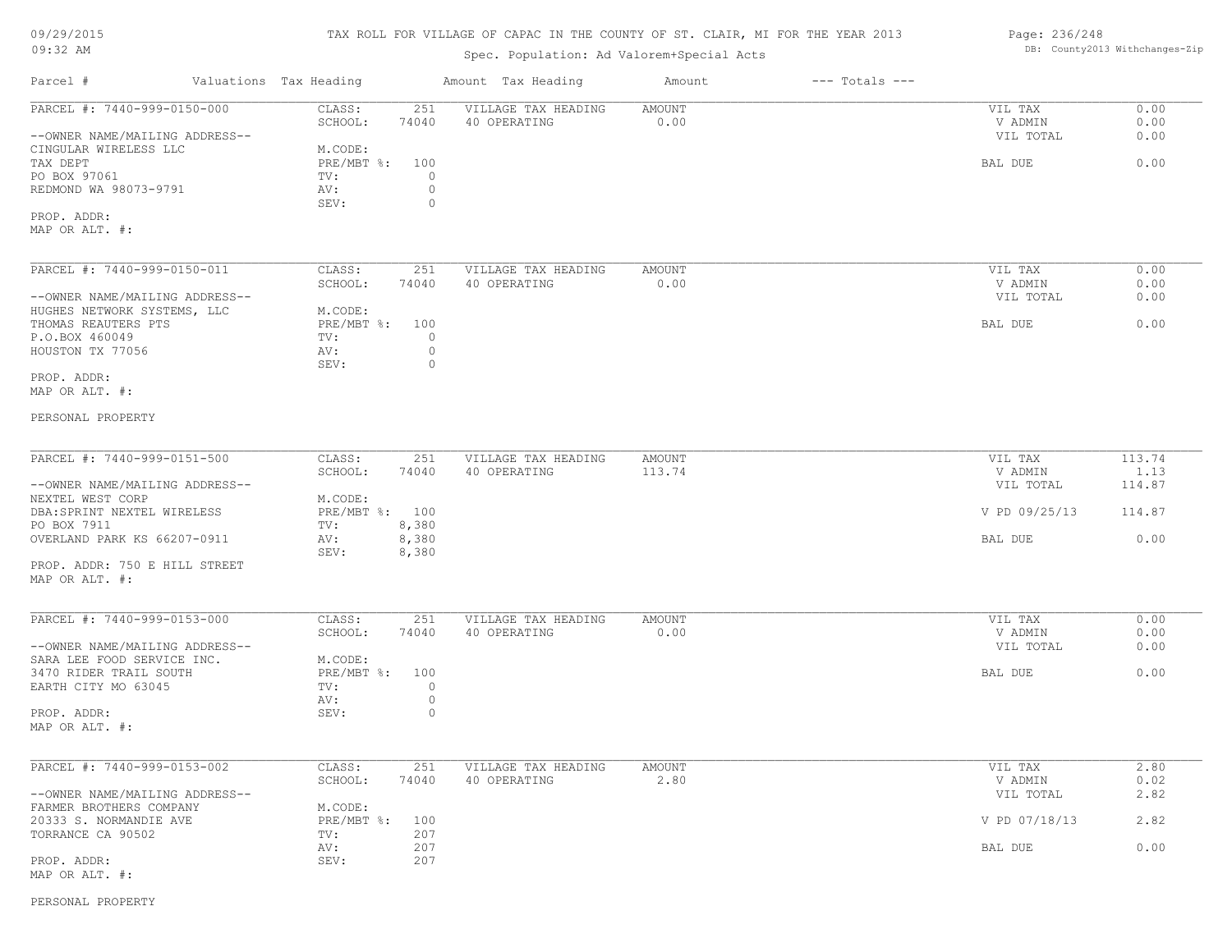#### 09/29/2015

MAP OR ALT. #: PROP. ADDR:

PERSONAL PROPERTY MAP OR ALT. #: PROP. ADDR:

MAP OR ALT. #:

MAP OR ALT. #:

PROP. ADDR: 750 E HILL STREET

#### 09:32 AM

SCHOOL: 74040 40 OPERATING 2.80 2.80 V ADMIN 0.02 PARCEL #: 7440-999-0153-002 CLASS: 251 VILLAGE TAX HEADING AMOUNT AMOUNT VIL TAX 2.80<br>SCHOOL: 74040 40 OPERATING 2.80 2.80 VADMIN 0.02

 $\mathcal{L}_\mathcal{L} = \mathcal{L}_\mathcal{L} = \mathcal{L}_\mathcal{L} = \mathcal{L}_\mathcal{L} = \mathcal{L}_\mathcal{L} = \mathcal{L}_\mathcal{L} = \mathcal{L}_\mathcal{L} = \mathcal{L}_\mathcal{L} = \mathcal{L}_\mathcal{L} = \mathcal{L}_\mathcal{L} = \mathcal{L}_\mathcal{L} = \mathcal{L}_\mathcal{L} = \mathcal{L}_\mathcal{L} = \mathcal{L}_\mathcal{L} = \mathcal{L}_\mathcal{L} = \mathcal{L}_\mathcal{L} = \mathcal{L}_\mathcal{L}$ 

# Parcel # Valuations Tax Heading Amount Tax Heading Amount --- Totals ---TAX ROLL FOR VILLAGE OF CAPAC IN THE COUNTY OF ST. CLAIR, MI FOR THE YEAR 2013 Spec. Population: Ad Valorem+Special Acts Page: 236/248 DB: County2013 Withchanges-Zip SEV: 0 REDMOND WA 98073-9791 AV: 0 PO BOX 97061 TV: 0 TAX DEPT TAX SERVER SUBSECTION OF PRE/MBT \$: 100 CONTROL DECISION CONTROL DE DE DE DE DE DE DE DE DE DE DE DE CINGULAR WIRELESS LLC M.CODE: M.CODE: TAX DEPT --OWNER NAME/MAILING ADDRESS-- VIL TOTAL 0.00 SCHOOL: 74040 40 OPERATING 0.00 V ADMIN 0.00 PARCEL #: 7440-999-0150-000 CLASS: 251 VILLAGE TAX HEADING AMOUNT VIL TAX VIL TAX 0.00<br>SCHOOL: 74040 40 OPERATING 0.00 000 VADMIN 0.00  $\mathcal{L}_\mathcal{L} = \mathcal{L}_\mathcal{L} = \mathcal{L}_\mathcal{L} = \mathcal{L}_\mathcal{L} = \mathcal{L}_\mathcal{L} = \mathcal{L}_\mathcal{L} = \mathcal{L}_\mathcal{L} = \mathcal{L}_\mathcal{L} = \mathcal{L}_\mathcal{L} = \mathcal{L}_\mathcal{L} = \mathcal{L}_\mathcal{L} = \mathcal{L}_\mathcal{L} = \mathcal{L}_\mathcal{L} = \mathcal{L}_\mathcal{L} = \mathcal{L}_\mathcal{L} = \mathcal{L}_\mathcal{L} = \mathcal{L}_\mathcal{L}$ SEV: 0 HOUSTON TX 77056 AV: 0 P.O.BOX 460049 TV: 0 THOMAS REAUTERS PTS PRE/MBT %: 100 BAL DUE 0.00 HUGHES NETWORK SYSTEMS, LLC M.CODE:<br>THOMAS REAUTERS PTS THOMAS REAUTERS PTS --OWNER NAME/MAILING ADDRESS-- VIL TOTAL 0.00 SCHOOL: 74040 40 OPERATING 0.00 V ADMIN 0.00 PARCEL #: 7440-999-0150-011 CLASS: 251 VILLAGE TAX HEADING AMOUNT VIL TAX VIL TAX 0.00<br>SCHOOL: 74040 40 OPERATING 0.00 00 VADMIN 0.00 SEV: 8,380 OVERLAND PARK KS 66207-0911 AV: 8,380<br>SEV: 8,380 BAL DUE 5 BAL DUE 6.00 PO BOX 7911 TV: 8,380 DBA:SPRINT NEXTEL WIRELESS PRE/MBT %: 100 V PD 09/25/13 114.87 NEXTEL WEST CORP M.CODE: --OWNER NAME/MAILING ADDRESS-- VIL TOTAL 114.87 SCHOOL: 74040 40 OPERATING 113.74 1 V ADMIN V ADMIN 1.13 PARCEL #: 7440-999-0151-500 CLASS: 251 VILLAGE TAX HEADING AMOUNT VIL TAX VIL TAX 113.74 1.13  $\mathcal{L}_\mathcal{L} = \mathcal{L}_\mathcal{L} = \mathcal{L}_\mathcal{L} = \mathcal{L}_\mathcal{L} = \mathcal{L}_\mathcal{L} = \mathcal{L}_\mathcal{L} = \mathcal{L}_\mathcal{L} = \mathcal{L}_\mathcal{L} = \mathcal{L}_\mathcal{L} = \mathcal{L}_\mathcal{L} = \mathcal{L}_\mathcal{L} = \mathcal{L}_\mathcal{L} = \mathcal{L}_\mathcal{L} = \mathcal{L}_\mathcal{L} = \mathcal{L}_\mathcal{L} = \mathcal{L}_\mathcal{L} = \mathcal{L}_\mathcal{L}$  AV: 0 EARTH CITY MO 63045 TV:  $0$ <br>AV: 0 3470 RIDER TRAIL SOUTH PRE/MBT %: 100 BAL DUE 6.00 SARA LEE FOOD SERVICE INC. M.CODE: --OWNER NAME/MAILING ADDRESS-- VIL TOTAL 0.00 SCHOOL: 74040 40 OPERATING 0.00 V ADMIN 0.00 PARCEL #: 7440-999-0153-000 CLASS: 251 VILLAGE TAX HEADING AMOUNT NO SOLO CONFINITY AND MIL TAX 0.00<br>0.00 SCHOOL: 74040 40 OPERATING 0.00 0.00 VADMIN 0.00  $\mathcal{L}_\mathcal{L} = \mathcal{L}_\mathcal{L} = \mathcal{L}_\mathcal{L} = \mathcal{L}_\mathcal{L} = \mathcal{L}_\mathcal{L} = \mathcal{L}_\mathcal{L} = \mathcal{L}_\mathcal{L} = \mathcal{L}_\mathcal{L} = \mathcal{L}_\mathcal{L} = \mathcal{L}_\mathcal{L} = \mathcal{L}_\mathcal{L} = \mathcal{L}_\mathcal{L} = \mathcal{L}_\mathcal{L} = \mathcal{L}_\mathcal{L} = \mathcal{L}_\mathcal{L} = \mathcal{L}_\mathcal{L} = \mathcal{L}_\mathcal{L}$

| --OWNER NAME/MAILING ADDRESS-- |            |     | VIL TOTAL     | 2.82 |
|--------------------------------|------------|-----|---------------|------|
| FARMER BROTHERS COMPANY        | M.CODE:    |     |               |      |
| 20333 S. NORMANDIE AVE         | PRE/MBT %: | 100 | V PD 07/18/13 | 2.82 |
| TORRANCE CA 90502              | TV:        | 207 |               |      |
|                                | AV:        | 207 | BAL DUE       | 0.00 |
| PROP. ADDR:                    | SEV:       | 207 |               |      |
| MAP OR ALT. #:                 |            |     |               |      |

PROP. ADDR: 0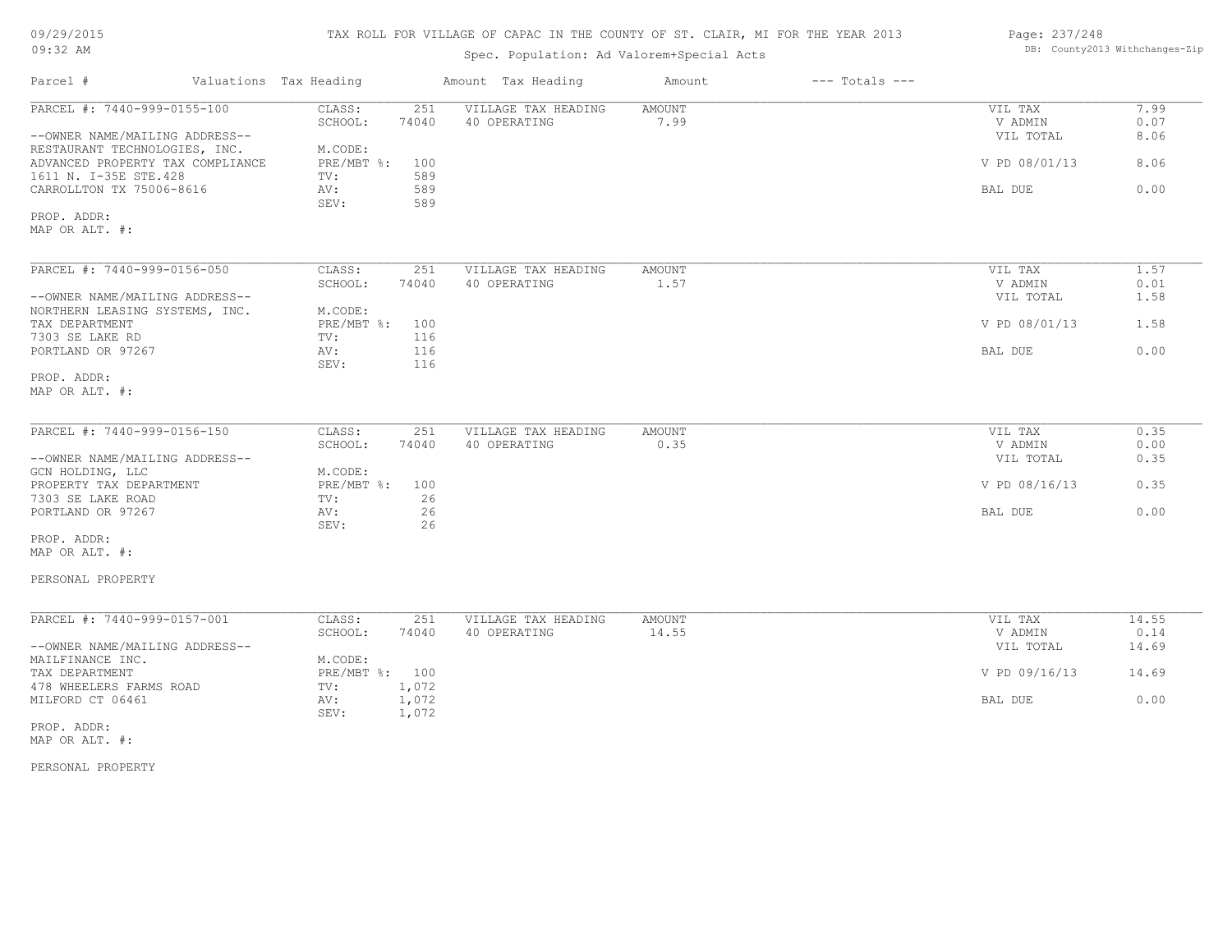| 09/29/2015 |  |
|------------|--|
| $09:32$ AM |  |

## Spec. Population: Ad Valorem+Special Acts

| Page: 237/248 |                                |
|---------------|--------------------------------|
|               | DB: County2013 Withchanges-Zip |

| Parcel #                         | Valuations Tax Heading | Amount Tax Heading         | Amount        | $---$ Totals $---$ |               |       |
|----------------------------------|------------------------|----------------------------|---------------|--------------------|---------------|-------|
| PARCEL #: 7440-999-0155-100      | CLASS:                 | VILLAGE TAX HEADING<br>251 | <b>AMOUNT</b> |                    | VIL TAX       | 7.99  |
|                                  | SCHOOL:                | 74040<br>40 OPERATING      | 7.99          |                    | V ADMIN       | 0.07  |
| --OWNER NAME/MAILING ADDRESS--   |                        |                            |               |                    | VIL TOTAL     | 8.06  |
| RESTAURANT TECHNOLOGIES, INC.    | M.CODE:                |                            |               |                    |               |       |
| ADVANCED PROPERTY TAX COMPLIANCE | PRE/MBT %:             | 100                        |               |                    | V PD 08/01/13 | 8.06  |
| 1611 N. I-35E STE.428            | TV:                    | 589                        |               |                    |               |       |
| CARROLLTON TX 75006-8616         | AV:                    | 589                        |               |                    | BAL DUE       | 0.00  |
|                                  | SEV:                   | 589                        |               |                    |               |       |
| PROP. ADDR:                      |                        |                            |               |                    |               |       |
| MAP OR ALT. #:                   |                        |                            |               |                    |               |       |
|                                  |                        |                            |               |                    |               |       |
| PARCEL #: 7440-999-0156-050      | CLASS:                 | VILLAGE TAX HEADING<br>251 | AMOUNT        |                    | VIL TAX       | 1.57  |
|                                  | SCHOOL:                | 74040<br>40 OPERATING      | 1.57          |                    | V ADMIN       | 0.01  |
| --OWNER NAME/MAILING ADDRESS--   |                        |                            |               |                    | VIL TOTAL     | 1.58  |
| NORTHERN LEASING SYSTEMS, INC.   | M.CODE:                |                            |               |                    |               |       |
| TAX DEPARTMENT                   | $PRE/MBT$ $\div$       | 100                        |               |                    | V PD 08/01/13 | 1.58  |
| 7303 SE LAKE RD                  | TV:                    | 116                        |               |                    |               |       |
| PORTLAND OR 97267                | AV:                    | 116                        |               |                    | BAL DUE       | 0.00  |
|                                  | SEV:                   | 116                        |               |                    |               |       |
| PROP. ADDR:                      |                        |                            |               |                    |               |       |
| MAP OR ALT. #:                   |                        |                            |               |                    |               |       |
|                                  |                        |                            |               |                    |               |       |
| PARCEL #: 7440-999-0156-150      | CLASS:                 | 251<br>VILLAGE TAX HEADING | AMOUNT        |                    | VIL TAX       | 0.35  |
|                                  | SCHOOL:                | 74040<br>40 OPERATING      | 0.35          |                    | V ADMIN       | 0.00  |
| --OWNER NAME/MAILING ADDRESS--   |                        |                            |               |                    | VIL TOTAL     | 0.35  |
| GCN HOLDING, LLC                 | M.CODE:                |                            |               |                    |               |       |
| PROPERTY TAX DEPARTMENT          | PRE/MBT %: 100         |                            |               |                    | V PD 08/16/13 | 0.35  |
| 7303 SE LAKE ROAD                | TV:                    | 26                         |               |                    |               |       |
| PORTLAND OR 97267                | AV:                    | 26                         |               |                    | BAL DUE       | 0.00  |
|                                  | SEV:                   | 26                         |               |                    |               |       |
| PROP. ADDR:                      |                        |                            |               |                    |               |       |
| MAP OR ALT. #:                   |                        |                            |               |                    |               |       |
|                                  |                        |                            |               |                    |               |       |
| PERSONAL PROPERTY                |                        |                            |               |                    |               |       |
|                                  |                        |                            |               |                    |               |       |
| PARCEL #: 7440-999-0157-001      | CLASS:                 | 251<br>VILLAGE TAX HEADING | <b>AMOUNT</b> |                    | VIL TAX       | 14.55 |
|                                  | SCHOOL:                | 40 OPERATING<br>74040      | 14.55         |                    | V ADMIN       | 0.14  |
| --OWNER NAME/MAILING ADDRESS--   |                        |                            |               |                    | VIL TOTAL     | 14.69 |
| MAILFINANCE INC.                 | M.CODE:                |                            |               |                    |               |       |
| TAX DEPARTMENT                   | PRE/MBT %: 100         |                            |               |                    | V PD 09/16/13 | 14.69 |
| 478 WHEELERS FARMS ROAD          | TV:                    | 1,072                      |               |                    |               |       |
| MILFORD CT 06461                 | AV:                    | 1,072<br>1,072             |               |                    | BAL DUE       | 0.00  |
| PROP. ADDR:                      | SEV:                   |                            |               |                    |               |       |
|                                  |                        |                            |               |                    |               |       |
| MAP OR ALT. #:                   |                        |                            |               |                    |               |       |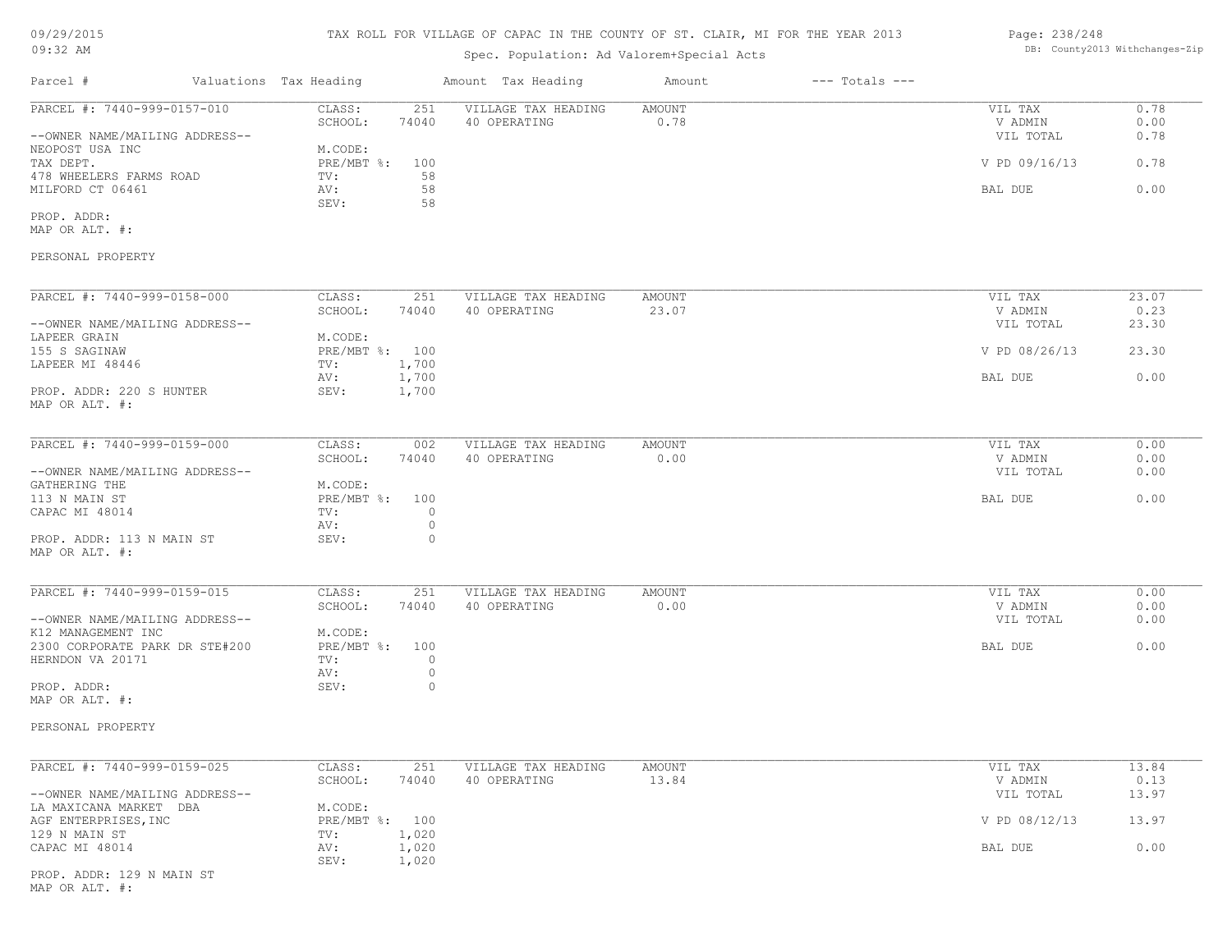# 09/29/2015

#### 09:32 AM

## TAX ROLL FOR VILLAGE OF CAPAC IN THE COUNTY OF ST. CLAIR, MI FOR THE YEAR 2013

## Spec. Population: Ad Valorem+Special Acts

#### Page: 238/248 DB: County2013 Withchanges-Zip

| Parcel #                                                                         | Valuations Tax Heading |                                             | Amount Tax Heading                  | Amount                 | $---$ Totals $---$ |                                 |                      |
|----------------------------------------------------------------------------------|------------------------|---------------------------------------------|-------------------------------------|------------------------|--------------------|---------------------------------|----------------------|
| PARCEL #: 7440-999-0157-010<br>--OWNER NAME/MAILING ADDRESS--                    |                        | CLASS:<br>251<br>SCHOOL:<br>74040           | VILLAGE TAX HEADING<br>40 OPERATING | <b>AMOUNT</b><br>0.78  |                    | VIL TAX<br>V ADMIN<br>VIL TOTAL | 0.78<br>0.00<br>0.78 |
| NEOPOST USA INC<br>TAX DEPT.                                                     |                        | M.CODE:<br>$PRE/MBT$ %:<br>100              |                                     |                        |                    | V PD 09/16/13                   | 0.78                 |
| 478 WHEELERS FARMS ROAD<br>MILFORD CT 06461                                      |                        | 58<br>TV:<br>58<br>AV:<br>SEV:<br>58        |                                     |                        |                    | BAL DUE                         | 0.00                 |
| PROP. ADDR:<br>MAP OR ALT. #:                                                    |                        |                                             |                                     |                        |                    |                                 |                      |
| PERSONAL PROPERTY                                                                |                        |                                             |                                     |                        |                    |                                 |                      |
| PARCEL #: 7440-999-0158-000                                                      |                        | CLASS:<br>251                               | VILLAGE TAX HEADING                 | AMOUNT                 |                    | VIL TAX                         | 23.07                |
| --OWNER NAME/MAILING ADDRESS--                                                   |                        | SCHOOL:<br>74040                            | 40 OPERATING                        | 23.07                  |                    | V ADMIN<br>VIL TOTAL            | 0.23<br>23.30        |
| LAPEER GRAIN<br>155 S SAGINAW                                                    |                        | M.CODE:<br>PRE/MBT %: 100                   |                                     |                        |                    | V PD 08/26/13                   | 23.30                |
| LAPEER MI 48446                                                                  |                        | 1,700<br>TV:<br>1,700<br>AV:                |                                     |                        |                    | BAL DUE                         | 0.00                 |
| PROP. ADDR: 220 S HUNTER<br>MAP OR ALT. #:                                       |                        | 1,700<br>SEV:                               |                                     |                        |                    |                                 |                      |
| PARCEL #: 7440-999-0159-000                                                      |                        | CLASS:<br>002                               | VILLAGE TAX HEADING                 | <b>AMOUNT</b>          |                    | VIL TAX                         | 0.00                 |
| --OWNER NAME/MAILING ADDRESS--                                                   |                        | SCHOOL:<br>74040                            | 40 OPERATING                        | 0.00                   |                    | V ADMIN<br>VIL TOTAL            | 0.00<br>0.00         |
| GATHERING THE<br>113 N MAIN ST<br>CAPAC MI 48014                                 |                        | M.CODE:<br>PRE/MBT %: 100<br>$\circ$<br>TV: |                                     |                        |                    | BAL DUE                         | 0.00                 |
| PROP. ADDR: 113 N MAIN ST<br>MAP OR ALT. #:                                      |                        | $\circ$<br>AV:<br>SEV:<br>$\Omega$          |                                     |                        |                    |                                 |                      |
| PARCEL #: 7440-999-0159-015                                                      |                        | CLASS:<br>251                               | VILLAGE TAX HEADING                 | AMOUNT                 |                    | VIL TAX                         | 0.00                 |
| --OWNER NAME/MAILING ADDRESS--                                                   |                        | SCHOOL:<br>74040                            | 40 OPERATING                        | 0.00                   |                    | V ADMIN<br>VIL TOTAL            | 0.00<br>0.00         |
| K12 MANAGEMENT INC<br>2300 CORPORATE PARK DR STE#200<br>HERNDON VA 20171         |                        | M.CODE:<br>PRE/MBT %: 100<br>TV:<br>0       |                                     |                        |                    | <b>BAL DUE</b>                  | 0.00                 |
| PROP. ADDR:                                                                      |                        | $\circ$<br>AV:<br>$\circ$<br>SEV:           |                                     |                        |                    |                                 |                      |
| MAP OR ALT. #:                                                                   |                        |                                             |                                     |                        |                    |                                 |                      |
| PERSONAL PROPERTY                                                                |                        |                                             |                                     |                        |                    |                                 |                      |
| PARCEL #: 7440-999-0159-025                                                      |                        | CLASS:<br>251<br>SCHOOL:<br>74040           | VILLAGE TAX HEADING<br>40 OPERATING | <b>AMOUNT</b><br>13.84 |                    | VIL TAX<br>V ADMIN              | 13.84<br>0.13        |
| --OWNER NAME/MAILING ADDRESS--<br>LA MAXICANA MARKET DBA<br>AGF ENTERPRISES, INC |                        | M.CODE:<br>PRE/MBT %: 100                   |                                     |                        |                    | VIL TOTAL<br>V PD 08/12/13      | 13.97<br>13.97       |
| 129 N MAIN ST<br>CAPAC MI 48014                                                  |                        | 1,020<br>TV:<br>AV:<br>1,020                |                                     |                        |                    | BAL DUE                         | 0.00                 |
|                                                                                  |                        | 1,020<br>SEV:                               |                                     |                        |                    |                                 |                      |

MAP OR ALT. #: PROP. ADDR: 129 N MAIN ST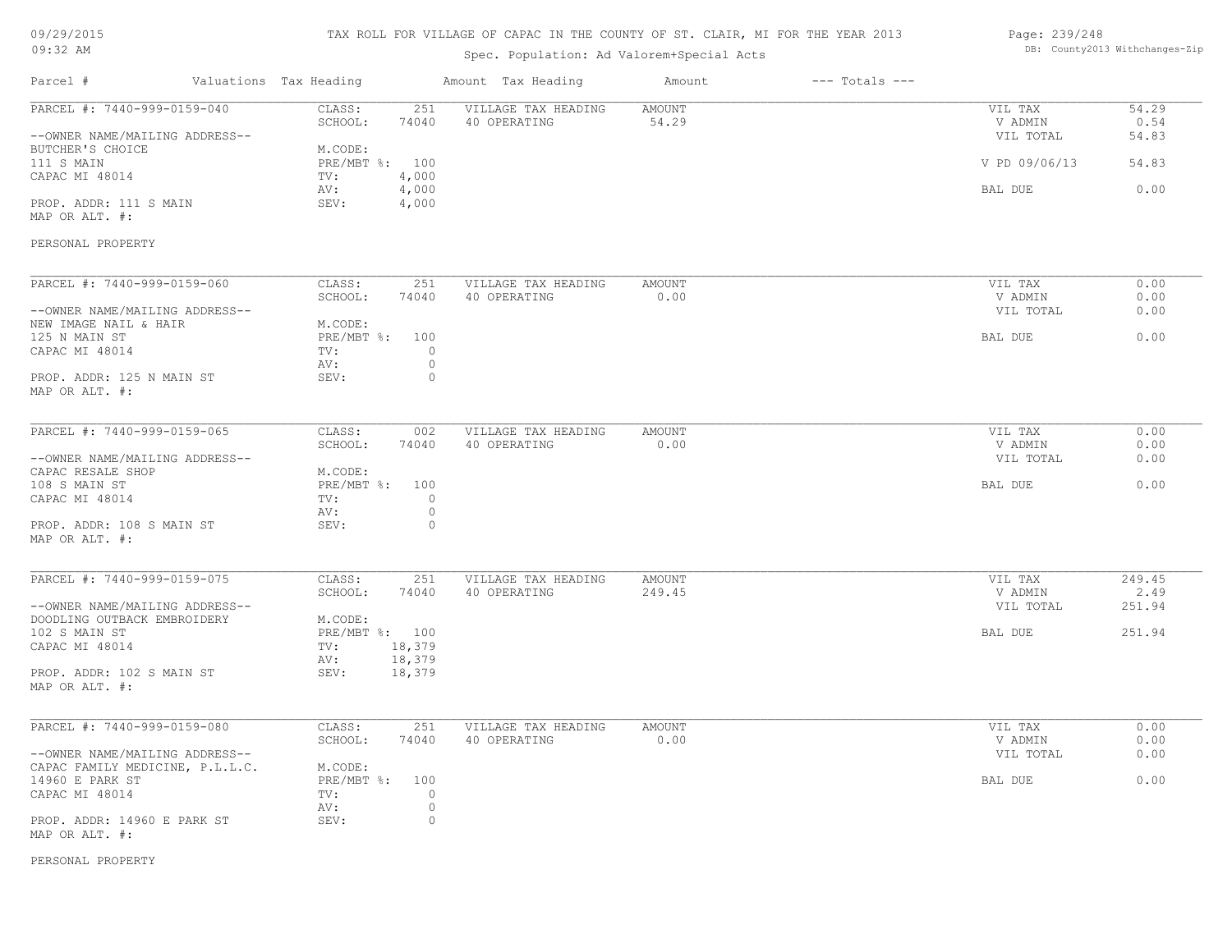| 09/29/2015 |  |
|------------|--|
| $09:32$ AM |  |

## Spec. Population: Ad Valorem+Special Acts

#### Page: 239/248 DB: County2013 Withchanges-Zip

| Parcel #                                                      | Valuations Tax Heading           |                    | Amount Tax Heading                  | Amount                 | $---$ Totals $---$ |                                 |                        |
|---------------------------------------------------------------|----------------------------------|--------------------|-------------------------------------|------------------------|--------------------|---------------------------------|------------------------|
| PARCEL #: 7440-999-0159-040<br>--OWNER NAME/MAILING ADDRESS-- | CLASS:<br>SCHOOL:                | 251<br>74040       | VILLAGE TAX HEADING<br>40 OPERATING | <b>AMOUNT</b><br>54.29 |                    | VIL TAX<br>V ADMIN<br>VIL TOTAL | 54.29<br>0.54<br>54.83 |
| BUTCHER'S CHOICE<br>111 S MAIN<br>CAPAC MI 48014              | M.CODE:<br>PRE/MBT %: 100<br>TV: | 4,000              |                                     |                        |                    | V PD 09/06/13                   | 54.83                  |
| PROP. ADDR: 111 S MAIN                                        | AV:<br>SEV:                      | 4,000<br>4,000     |                                     |                        |                    | BAL DUE                         | 0.00                   |
| MAP OR ALT. #:                                                |                                  |                    |                                     |                        |                    |                                 |                        |
| PERSONAL PROPERTY                                             |                                  |                    |                                     |                        |                    |                                 |                        |
| PARCEL #: 7440-999-0159-060                                   | CLASS:<br>SCHOOL:                | 251<br>74040       | VILLAGE TAX HEADING<br>40 OPERATING | <b>AMOUNT</b><br>0.00  |                    | VIL TAX<br>V ADMIN              | 0.00<br>0.00           |
| --OWNER NAME/MAILING ADDRESS--                                |                                  |                    |                                     |                        |                    | VIL TOTAL                       | 0.00                   |
| NEW IMAGE NAIL & HAIR                                         | M.CODE:                          |                    |                                     |                        |                    |                                 |                        |
| 125 N MAIN ST                                                 | PRE/MBT %: 100                   |                    |                                     |                        |                    | BAL DUE                         | 0.00                   |
| CAPAC MI 48014                                                | TV:                              | $\circ$            |                                     |                        |                    |                                 |                        |
| PROP. ADDR: 125 N MAIN ST<br>MAP OR ALT. #:                   | AV:<br>SEV:                      | $\circ$<br>$\circ$ |                                     |                        |                    |                                 |                        |
| PARCEL #: 7440-999-0159-065                                   | CLASS:                           | 002                | VILLAGE TAX HEADING                 | <b>AMOUNT</b>          |                    | VIL TAX                         | 0.00                   |
|                                                               | SCHOOL:                          | 74040              | 40 OPERATING                        | 0.00                   |                    | V ADMIN                         | 0.00                   |
| --OWNER NAME/MAILING ADDRESS--<br>CAPAC RESALE SHOP           | M.CODE:                          |                    |                                     |                        |                    | VIL TOTAL                       | 0.00                   |
| 108 S MAIN ST                                                 | PRE/MBT %: 100                   |                    |                                     |                        |                    | BAL DUE                         | 0.00                   |
| CAPAC MI 48014                                                | TV:                              | $\circ$            |                                     |                        |                    |                                 |                        |
|                                                               | AV:                              | $\circ$            |                                     |                        |                    |                                 |                        |
| PROP. ADDR: 108 S MAIN ST<br>MAP OR ALT. #:                   | SEV:                             | $\circ$            |                                     |                        |                    |                                 |                        |
| PARCEL #: 7440-999-0159-075                                   | CLASS:                           | 251                | VILLAGE TAX HEADING                 | <b>AMOUNT</b>          |                    | VIL TAX                         | 249.45                 |
|                                                               | SCHOOL:                          | 74040              | 40 OPERATING                        | 249.45                 |                    | V ADMIN                         | 2.49                   |
| --OWNER NAME/MAILING ADDRESS--<br>DOODLING OUTBACK EMBROIDERY | M.CODE:                          |                    |                                     |                        |                    | VIL TOTAL                       | 251.94                 |
| 102 S MAIN ST                                                 | PRE/MBT %: 100                   |                    |                                     |                        |                    | BAL DUE                         | 251.94                 |
| CAPAC MI 48014                                                | TV:                              | 18,379             |                                     |                        |                    |                                 |                        |
|                                                               | AV:                              | 18,379             |                                     |                        |                    |                                 |                        |
| PROP. ADDR: 102 S MAIN ST<br>MAP OR ALT. #:                   | SEV:                             | 18,379             |                                     |                        |                    |                                 |                        |
| PARCEL #: 7440-999-0159-080                                   | CLASS:                           | 251                | VILLAGE TAX HEADING                 | <b>AMOUNT</b>          |                    | VIL TAX                         | 0.00                   |
|                                                               | SCHOOL:                          | 74040              | 40 OPERATING                        | 0.00                   |                    | V ADMIN                         | 0.00                   |
| --OWNER NAME/MAILING ADDRESS--                                |                                  |                    |                                     |                        |                    | VIL TOTAL                       | 0.00                   |
| CAPAC FAMILY MEDICINE, P.L.L.C.                               | M.CODE:                          |                    |                                     |                        |                    |                                 |                        |
| 14960 E PARK ST<br>CAPAC MI 48014                             | PRE/MBT %: 100<br>TV:            | $\circ$            |                                     |                        |                    | BAL DUE                         | 0.00                   |
|                                                               | AV:                              | $\circ$            |                                     |                        |                    |                                 |                        |
| PROP. ADDR: 14960 E PARK ST<br>MAP OR ALT. #:                 | SEV:                             | $\circ$            |                                     |                        |                    |                                 |                        |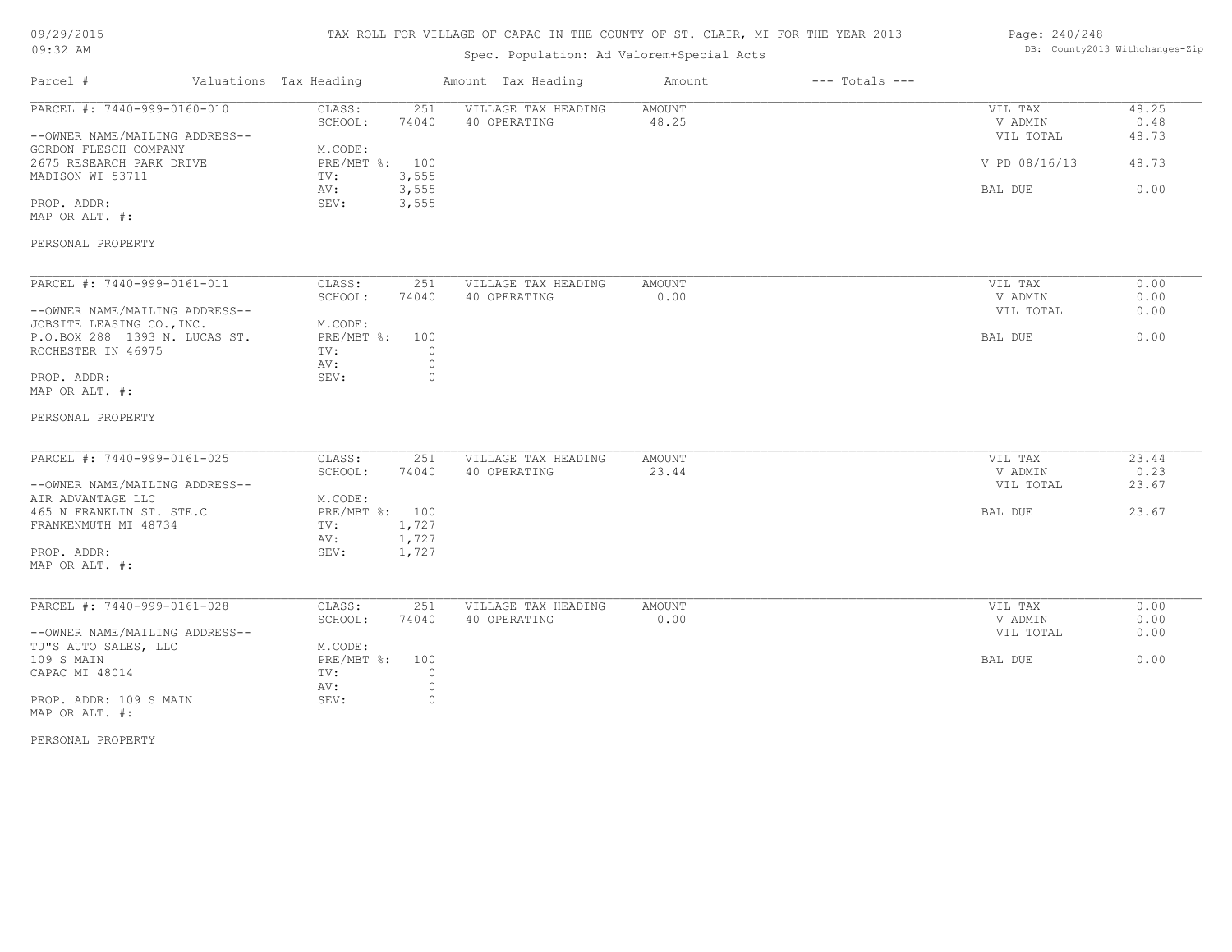## TAX ROLL FOR VILLAGE OF CAPAC IN THE COUNTY OF ST. CLAIR, MI FOR THE YEAR 2013

## Spec. Population: Ad Valorem+Special Acts

| Page: 240/248 |                                |
|---------------|--------------------------------|
|               | DB: County2013 Withchanges-Zip |

| Parcel #                                                    | Valuations Tax Heading |                   |                    | Amount Tax Heading                  | Amount                 | $---$ Totals $---$ |                    |               |
|-------------------------------------------------------------|------------------------|-------------------|--------------------|-------------------------------------|------------------------|--------------------|--------------------|---------------|
| PARCEL #: 7440-999-0160-010                                 |                        | CLASS:<br>SCHOOL: | 251<br>74040       | VILLAGE TAX HEADING<br>40 OPERATING | <b>AMOUNT</b><br>48.25 |                    | VIL TAX<br>V ADMIN | 48.25<br>0.48 |
| --OWNER NAME/MAILING ADDRESS--<br>GORDON FLESCH COMPANY     |                        | M.CODE:           |                    |                                     |                        |                    | VIL TOTAL          | 48.73         |
| 2675 RESEARCH PARK DRIVE                                    |                        | PRE/MBT %:        | 100                |                                     |                        |                    | V PD 08/16/13      | 48.73         |
| MADISON WI 53711                                            |                        | TV:<br>AV:        | 3,555<br>3,555     |                                     |                        |                    | BAL DUE            | 0.00          |
| PROP. ADDR:<br>MAP OR ALT. #:                               |                        | SEV:              | 3,555              |                                     |                        |                    |                    |               |
| PERSONAL PROPERTY                                           |                        |                   |                    |                                     |                        |                    |                    |               |
| PARCEL #: 7440-999-0161-011                                 |                        | CLASS:            | 251                | VILLAGE TAX HEADING                 | AMOUNT                 |                    | VIL TAX            | 0.00          |
|                                                             |                        | SCHOOL:           | 74040              | 40 OPERATING                        | 0.00                   |                    | V ADMIN            | 0.00          |
| --OWNER NAME/MAILING ADDRESS--<br>JOBSITE LEASING CO., INC. |                        | M.CODE:           |                    |                                     |                        |                    | VIL TOTAL          | 0.00          |
| P.O.BOX 288 1393 N. LUCAS ST.                               |                        | $PRE/MBT$ $\div$  | 100                |                                     |                        |                    | BAL DUE            | 0.00          |
| ROCHESTER IN 46975                                          |                        | TV:               | $\circ$            |                                     |                        |                    |                    |               |
|                                                             |                        | AV:               | $\circ$            |                                     |                        |                    |                    |               |
| PROP. ADDR:                                                 |                        | SEV:              | $\circ$            |                                     |                        |                    |                    |               |
| MAP OR ALT. #:                                              |                        |                   |                    |                                     |                        |                    |                    |               |
| PERSONAL PROPERTY                                           |                        |                   |                    |                                     |                        |                    |                    |               |
| PARCEL #: 7440-999-0161-025                                 |                        | CLASS:            | 251                | VILLAGE TAX HEADING                 | AMOUNT                 |                    | VIL TAX            | 23.44         |
|                                                             |                        | SCHOOL:           | 74040              | 40 OPERATING                        | 23.44                  |                    | V ADMIN            | 0.23          |
| --OWNER NAME/MAILING ADDRESS--                              |                        |                   |                    |                                     |                        |                    | VIL TOTAL          | 23.67         |
| AIR ADVANTAGE LLC                                           |                        | M.CODE:           |                    |                                     |                        |                    |                    |               |
| 465 N FRANKLIN ST. STE.C                                    |                        | PRE/MBT %: 100    |                    |                                     |                        |                    | BAL DUE            | 23.67         |
| FRANKENMUTH MI 48734                                        |                        | TV:               | 1,727              |                                     |                        |                    |                    |               |
|                                                             |                        | AV:               | 1,727              |                                     |                        |                    |                    |               |
| PROP. ADDR:<br>MAP OR ALT. #:                               |                        | SEV:              | 1,727              |                                     |                        |                    |                    |               |
| PARCEL #: 7440-999-0161-028                                 |                        |                   |                    |                                     |                        |                    |                    |               |
|                                                             |                        | CLASS:            | 251                | VILLAGE TAX HEADING                 | AMOUNT                 |                    | VIL TAX            | 0.00          |
|                                                             |                        | SCHOOL:           | 74040              | 40 OPERATING                        | 0.00                   |                    | V ADMIN            | 0.00          |
| --OWNER NAME/MAILING ADDRESS--                              |                        |                   |                    |                                     |                        |                    | VIL TOTAL          | 0.00          |
| TJ"S AUTO SALES, LLC                                        |                        | M.CODE:           |                    |                                     |                        |                    |                    | 0.00          |
| 109 S MAIN                                                  |                        | $PRE/MBT$ $\div$  | 100                |                                     |                        |                    | BAL DUE            |               |
| CAPAC MI 48014                                              |                        | TV:<br>AV:        | $\circ$            |                                     |                        |                    |                    |               |
|                                                             |                        | SEV:              | $\circ$<br>$\circ$ |                                     |                        |                    |                    |               |
| PROP. ADDR: 109 S MAIN<br>MAP OR ALT. #:                    |                        |                   |                    |                                     |                        |                    |                    |               |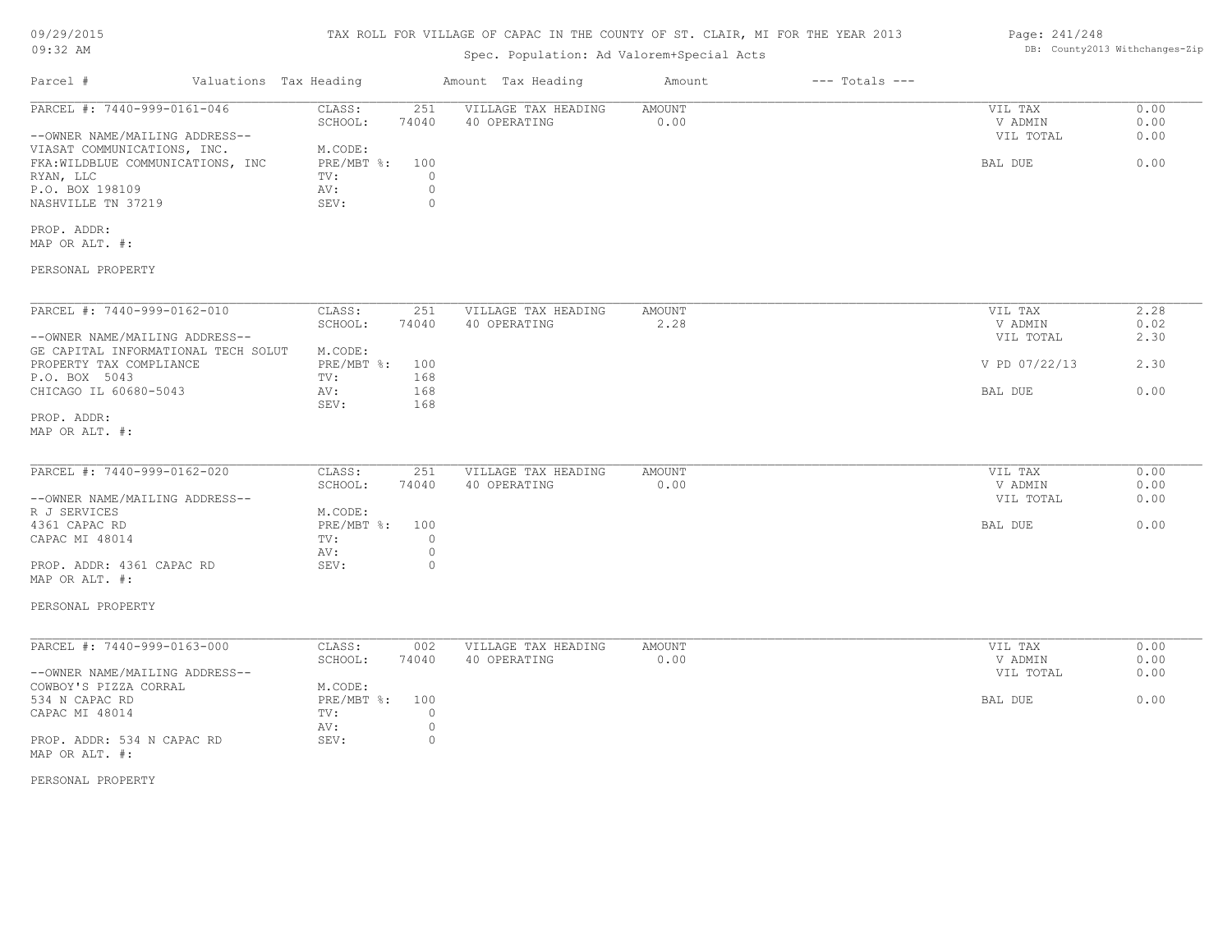## TAX ROLL FOR VILLAGE OF CAPAC IN THE COUNTY OF ST. CLAIR, MI FOR THE YEAR 2013

## Spec. Population: Ad Valorem+Special Acts

| Parcel #                                                                                                                                                                                | Valuations Tax Heading |                                                                  |                                                      | Amount Tax Heading                  | Amount                | $---$ Totals $---$ |                                                             |                                      |
|-----------------------------------------------------------------------------------------------------------------------------------------------------------------------------------------|------------------------|------------------------------------------------------------------|------------------------------------------------------|-------------------------------------|-----------------------|--------------------|-------------------------------------------------------------|--------------------------------------|
| PARCEL #: 7440-999-0161-046<br>--OWNER NAME/MAILING ADDRESS--<br>VIASAT COMMUNICATIONS, INC.<br>FKA: WILDBLUE COMMUNICATIONS, INC<br>RYAN, LLC<br>P.O. BOX 198109<br>NASHVILLE TN 37219 |                        | CLASS:<br>SCHOOL:<br>M.CODE:<br>PRE/MBT %:<br>TV:<br>AV:<br>SEV: | 251<br>74040<br>100<br>$\circ$<br>$\circ$<br>$\circ$ | VILLAGE TAX HEADING<br>40 OPERATING | AMOUNT<br>0.00        |                    | VIL TAX<br>V ADMIN<br>VIL TOTAL<br>BAL DUE                  | 0.00<br>0.00<br>0.00<br>0.00         |
| PROP. ADDR:<br>MAP OR ALT. #:                                                                                                                                                           |                        |                                                                  |                                                      |                                     |                       |                    |                                                             |                                      |
| PERSONAL PROPERTY                                                                                                                                                                       |                        |                                                                  |                                                      |                                     |                       |                    |                                                             |                                      |
| PARCEL #: 7440-999-0162-010<br>--OWNER NAME/MAILING ADDRESS--<br>GE CAPITAL INFORMATIONAL TECH SOLUT<br>PROPERTY TAX COMPLIANCE<br>P.O. BOX 5043<br>CHICAGO IL 60680-5043               |                        | CLASS:<br>SCHOOL:<br>M.CODE:<br>PRE/MBT %:<br>TV:<br>AV:         | 251<br>74040<br>100<br>168<br>168                    | VILLAGE TAX HEADING<br>40 OPERATING | AMOUNT<br>2.28        |                    | VIL TAX<br>V ADMIN<br>VIL TOTAL<br>V PD 07/22/13<br>BAL DUE | 2.28<br>0.02<br>2.30<br>2.30<br>0.00 |
| PROP. ADDR:<br>MAP OR ALT. #:                                                                                                                                                           |                        | SEV:                                                             | 168                                                  |                                     |                       |                    |                                                             |                                      |
| PARCEL #: 7440-999-0162-020<br>--OWNER NAME/MAILING ADDRESS--<br>R J SERVICES<br>4361 CAPAC RD<br>CAPAC MI 48014                                                                        |                        | CLASS:<br>SCHOOL:<br>M.CODE:<br>PRE/MBT %:<br>TV:                | 251<br>74040<br>100<br>$\circ$                       | VILLAGE TAX HEADING<br>40 OPERATING | <b>AMOUNT</b><br>0.00 |                    | VIL TAX<br>V ADMIN<br>VIL TOTAL<br>BAL DUE                  | 0.00<br>0.00<br>0.00<br>0.00         |
| PROP. ADDR: 4361 CAPAC RD<br>MAP OR ALT. #:<br>PERSONAL PROPERTY                                                                                                                        |                        | AV:<br>SEV:                                                      | $\circ$<br>$\circ$                                   |                                     |                       |                    |                                                             |                                      |
| PARCEL #: 7440-999-0163-000<br>--OWNER NAME/MAILING ADDRESS--                                                                                                                           |                        | CLASS:<br>SCHOOL:<br>M.CODE:                                     | 002<br>74040                                         | VILLAGE TAX HEADING<br>40 OPERATING | AMOUNT<br>0.00        |                    | VIL TAX<br>V ADMIN<br>VIL TOTAL                             | 0.00<br>0.00<br>0.00                 |
| COWBOY'S PIZZA CORRAL<br>534 N CAPAC RD<br>CAPAC MI 48014<br>PROP. ADDR: 534 N CAPAC RD<br>MAP OR ALT. #:                                                                               |                        | PRE/MBT %:<br>TV:<br>AV:<br>SEV:                                 | 100<br>$\circ$<br>$\circ$<br>$\circ$                 |                                     |                       |                    | BAL DUE                                                     | 0.00                                 |

PERSONAL PROPERTY

Page: 241/248 DB: County2013 Withchanges-Zip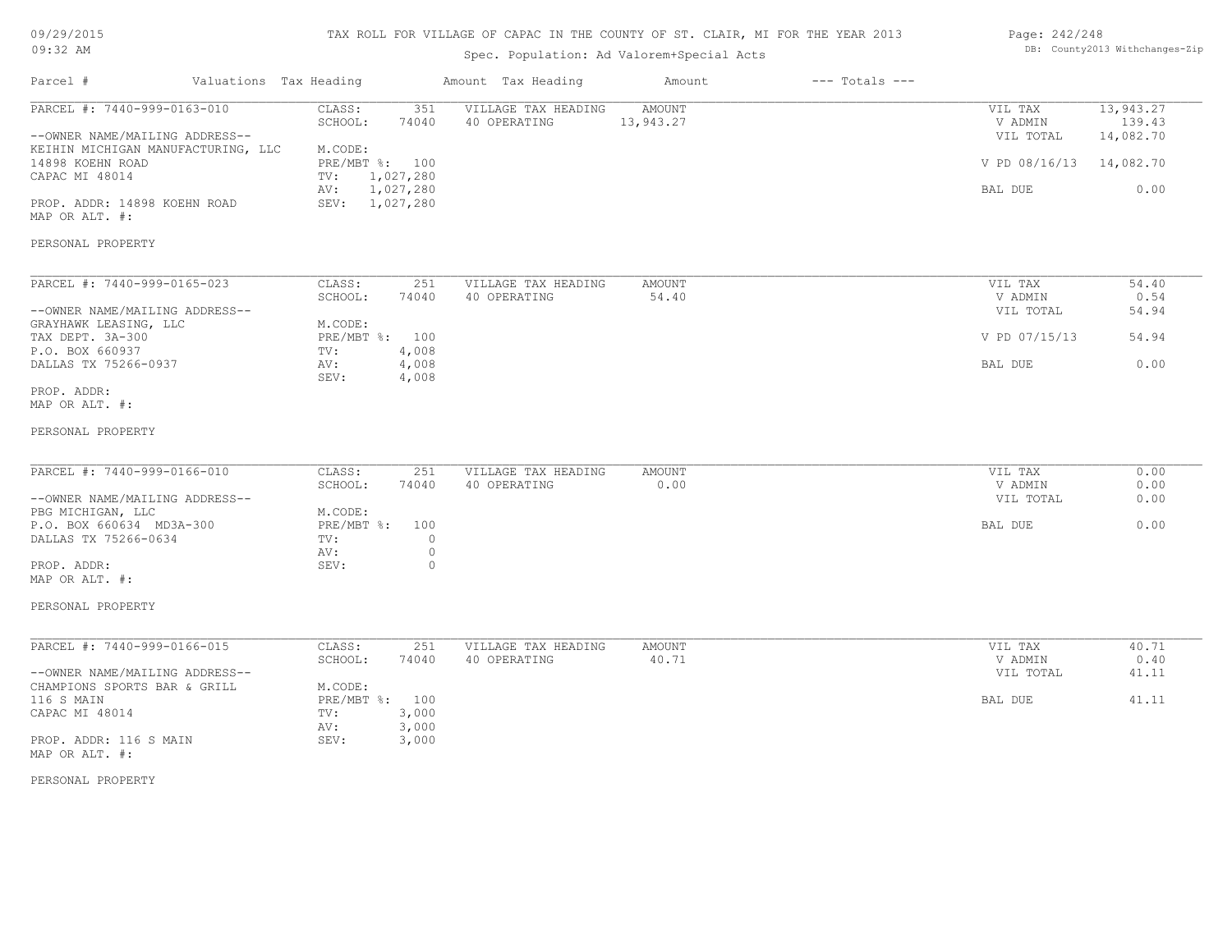## TAX ROLL FOR VILLAGE OF CAPAC IN THE COUNTY OF ST. CLAIR, MI FOR THE YEAR 2013

## Spec. Population: Ad Valorem+Special Acts

#### Page: 242/248 DB: County2013 Withchanges-Zip

| Parcel #<br>Valuations Tax Heading                                   |                                      | Amount Tax Heading                  | Amount              | $---$ Totals $---$ |                         |                     |
|----------------------------------------------------------------------|--------------------------------------|-------------------------------------|---------------------|--------------------|-------------------------|---------------------|
| PARCEL #: 7440-999-0163-010                                          | CLASS:<br>351<br>SCHOOL:<br>74040    | VILLAGE TAX HEADING<br>40 OPERATING | AMOUNT<br>13,943.27 |                    | VIL TAX<br>V ADMIN      | 13,943.27<br>139.43 |
| --OWNER NAME/MAILING ADDRESS--<br>KEIHIN MICHIGAN MANUFACTURING, LLC | M.CODE:                              |                                     |                     |                    | VIL TOTAL               | 14,082.70           |
| 14898 KOEHN ROAD                                                     | PRE/MBT %: 100                       |                                     |                     |                    | V PD 08/16/13 14,082.70 |                     |
| CAPAC MI 48014                                                       | 1,027,280<br>TV:<br>AV:<br>1,027,280 |                                     |                     |                    | BAL DUE                 | 0.00                |
| PROP. ADDR: 14898 KOEHN ROAD<br>MAP OR ALT. #:                       | SEV: 1,027,280                       |                                     |                     |                    |                         |                     |
| PERSONAL PROPERTY                                                    |                                      |                                     |                     |                    |                         |                     |
| PARCEL #: 7440-999-0165-023                                          | CLASS:<br>251                        | VILLAGE TAX HEADING                 | <b>AMOUNT</b>       |                    | VIL TAX                 | 54.40               |
| --OWNER NAME/MAILING ADDRESS--                                       | SCHOOL:<br>74040                     | 40 OPERATING                        | 54.40               |                    | V ADMIN                 | 0.54                |
| GRAYHAWK LEASING, LLC                                                | M.CODE:                              |                                     |                     |                    | VIL TOTAL               | 54.94               |
| TAX DEPT. 3A-300                                                     | PRE/MBT %: 100                       |                                     |                     |                    | V PD 07/15/13           | 54.94               |
| P.O. BOX 660937                                                      | TV:<br>4,008                         |                                     |                     |                    |                         |                     |
| DALLAS TX 75266-0937                                                 | 4,008<br>AV:<br>SEV:<br>4,008        |                                     |                     |                    | BAL DUE                 | 0.00                |
| PROP. ADDR:                                                          |                                      |                                     |                     |                    |                         |                     |
| MAP OR ALT. #:                                                       |                                      |                                     |                     |                    |                         |                     |
| PERSONAL PROPERTY                                                    |                                      |                                     |                     |                    |                         |                     |
| PARCEL #: 7440-999-0166-010                                          | CLASS:<br>251                        | VILLAGE TAX HEADING                 | <b>AMOUNT</b>       |                    | VIL TAX                 | 0.00                |
|                                                                      | SCHOOL:<br>74040                     | 40 OPERATING                        | 0.00                |                    | V ADMIN                 | 0.00                |
| --OWNER NAME/MAILING ADDRESS--                                       |                                      |                                     |                     |                    | VIL TOTAL               | 0.00                |
| PBG MICHIGAN, LLC                                                    | M.CODE:                              |                                     |                     |                    |                         |                     |
| P.O. BOX 660634 MD3A-300<br>DALLAS TX 75266-0634                     | PRE/MBT %: 100<br>$\circ$<br>TV:     |                                     |                     |                    | BAL DUE                 | 0.00                |
|                                                                      | $\circ$<br>AV:                       |                                     |                     |                    |                         |                     |
| PROP. ADDR:<br>MAP OR ALT. #:                                        | SEV:<br>$\circ$                      |                                     |                     |                    |                         |                     |
| PERSONAL PROPERTY                                                    |                                      |                                     |                     |                    |                         |                     |
| PARCEL #: 7440-999-0166-015                                          | CLASS:<br>251                        | VILLAGE TAX HEADING                 | AMOUNT              |                    | VIL TAX                 | 40.71               |
|                                                                      | SCHOOL:<br>74040                     | 40 OPERATING                        | 40.71               |                    | V ADMIN                 | 0.40                |
| --OWNER NAME/MAILING ADDRESS--<br>CHAMPIONS SPORTS BAR & GRILL       | M.CODE:                              |                                     |                     |                    | VIL TOTAL               | 41.11               |
| 116 S MAIN                                                           | PRE/MBT %: 100                       |                                     |                     |                    | BAL DUE                 | 41.11               |
| CAPAC MI 48014                                                       | 3,000<br>TV:                         |                                     |                     |                    |                         |                     |
| PROP. ADDR: 116 S MAIN<br>MAP OR ALT. #:                             | 3,000<br>AV:<br>SEV:<br>3,000        |                                     |                     |                    |                         |                     |
| PERSONAL PROPERTY                                                    |                                      |                                     |                     |                    |                         |                     |
|                                                                      |                                      |                                     |                     |                    |                         |                     |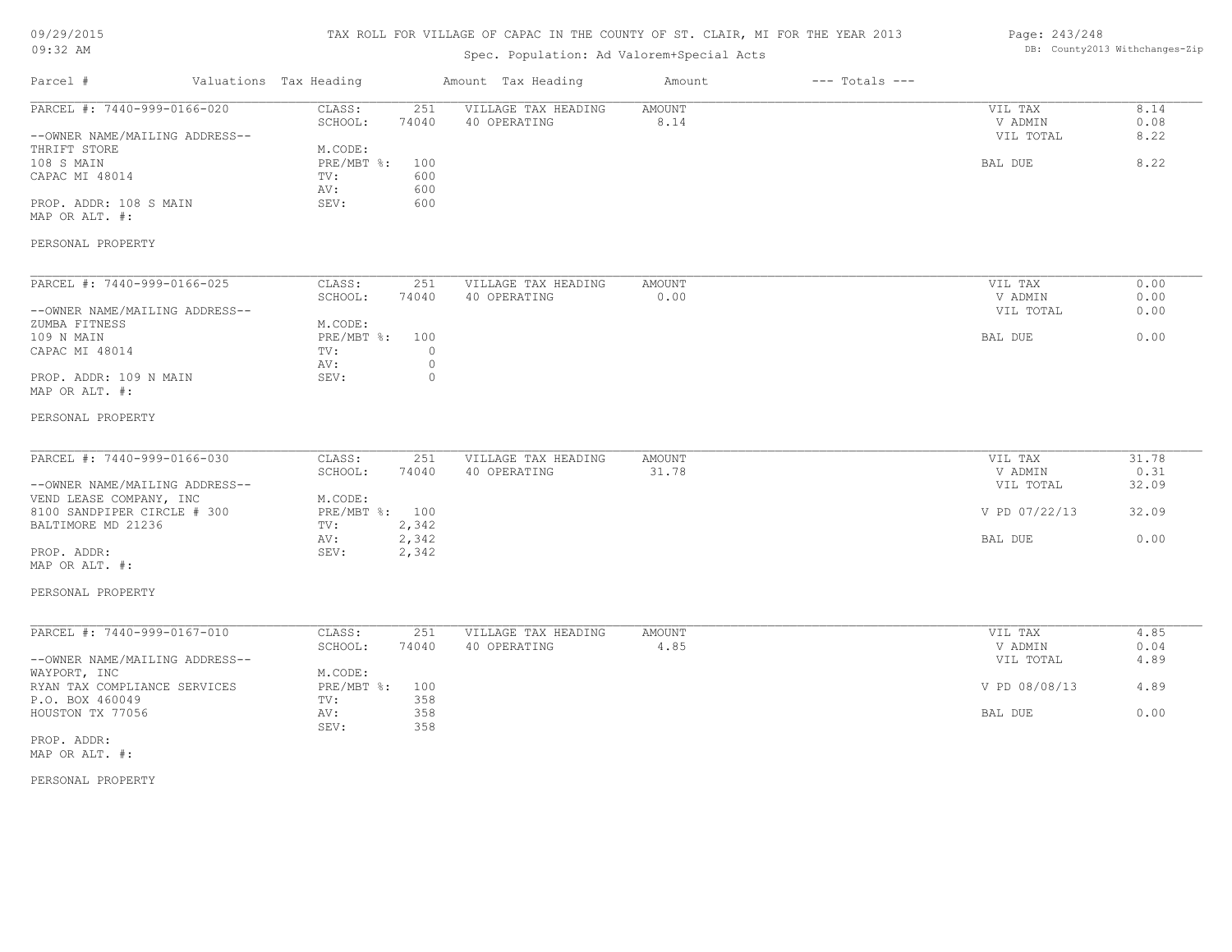## TAX ROLL FOR VILLAGE OF CAPAC IN THE COUNTY OF ST. CLAIR, MI FOR THE YEAR 2013

## Spec. Population: Ad Valorem+Special Acts

#### Page: 243/248 DB: County2013 Withchanges-Zip

| Parcel #<br>Valuations Tax Heading                            |                                                          | Amount Tax Heading                  | Amount          | $---$ Totals $---$ |                                 |                        |
|---------------------------------------------------------------|----------------------------------------------------------|-------------------------------------|-----------------|--------------------|---------------------------------|------------------------|
| PARCEL #: 7440-999-0166-020<br>--OWNER NAME/MAILING ADDRESS-- | CLASS:<br>251<br>SCHOOL:<br>74040                        | VILLAGE TAX HEADING<br>40 OPERATING | AMOUNT<br>8.14  |                    | VIL TAX<br>V ADMIN<br>VIL TOTAL | 8.14<br>0.08<br>8.22   |
| THRIFT STORE<br>108 S MAIN<br>CAPAC MI 48014                  | M.CODE:<br>PRE/MBT %:<br>100<br>TV:<br>600<br>600<br>AV: |                                     |                 |                    | <b>BAL DUE</b>                  | 8.22                   |
| PROP. ADDR: 108 S MAIN<br>MAP OR ALT. #:                      | SEV:<br>600                                              |                                     |                 |                    |                                 |                        |
| PERSONAL PROPERTY                                             |                                                          |                                     |                 |                    |                                 |                        |
| PARCEL #: 7440-999-0166-025                                   | CLASS:<br>251                                            | VILLAGE TAX HEADING                 | AMOUNT          |                    | VIL TAX                         | 0.00                   |
| --OWNER NAME/MAILING ADDRESS--                                | SCHOOL:<br>74040                                         | 40 OPERATING                        | 0.00            |                    | V ADMIN<br>VIL TOTAL            | 0.00<br>0.00           |
| ZUMBA FITNESS<br>109 N MAIN<br>CAPAC MI 48014                 | M.CODE:<br>PRE/MBT %:<br>100<br>TV:<br>$\circ$           |                                     |                 |                    | BAL DUE                         | 0.00                   |
| PROP. ADDR: 109 N MAIN<br>MAP OR ALT. #:                      | AV:<br>0<br>SEV:<br>$\circ$                              |                                     |                 |                    |                                 |                        |
| PERSONAL PROPERTY                                             |                                                          |                                     |                 |                    |                                 |                        |
| PARCEL #: 7440-999-0166-030<br>--OWNER NAME/MAILING ADDRESS-- | CLASS:<br>251<br>SCHOOL:<br>74040                        | VILLAGE TAX HEADING<br>40 OPERATING | AMOUNT<br>31.78 |                    | VIL TAX<br>V ADMIN<br>VIL TOTAL | 31.78<br>0.31<br>32.09 |
| VEND LEASE COMPANY, INC<br>8100 SANDPIPER CIRCLE # 300        | M.CODE:<br>PRE/MBT %: 100                                |                                     |                 |                    | V PD 07/22/13                   | 32.09                  |
| BALTIMORE MD 21236<br>PROP. ADDR:<br>MAP OR ALT. #:           | 2,342<br>TV:<br>2,342<br>AV:<br>SEV:<br>2,342            |                                     |                 |                    | BAL DUE                         | 0.00                   |
| PERSONAL PROPERTY                                             |                                                          |                                     |                 |                    |                                 |                        |
| PARCEL #: 7440-999-0167-010                                   | CLASS:<br>251<br>SCHOOL:<br>74040                        | VILLAGE TAX HEADING<br>40 OPERATING | AMOUNT<br>4.85  |                    | VIL TAX<br>V ADMIN              | 4.85<br>0.04           |
| --OWNER NAME/MAILING ADDRESS--<br>WAYPORT, INC                | M.CODE:                                                  |                                     |                 |                    | VIL TOTAL                       | 4.89                   |
| RYAN TAX COMPLIANCE SERVICES<br>P.O. BOX 460049               | PRE/MBT %:<br>100<br>358<br>TV:                          |                                     |                 |                    | V PD 08/08/13                   | 4.89                   |
| HOUSTON TX 77056                                              | 358<br>AV:<br>SEV:<br>358                                |                                     |                 |                    | BAL DUE                         | 0.00                   |
| PROP. ADDR:<br>MAP OR ALT. #:                                 |                                                          |                                     |                 |                    |                                 |                        |
| PERSONAL PROPERTY                                             |                                                          |                                     |                 |                    |                                 |                        |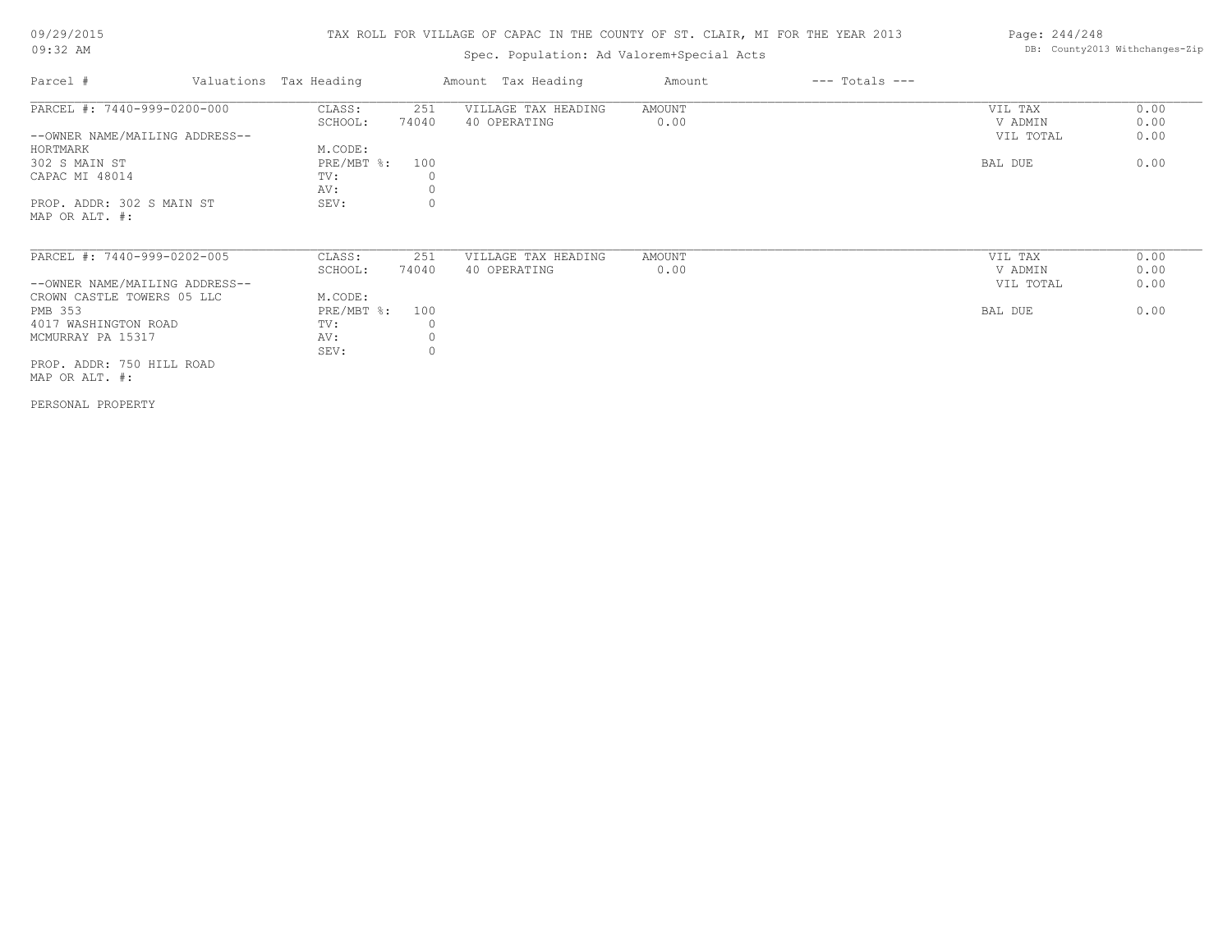## TAX ROLL FOR VILLAGE OF CAPAC IN THE COUNTY OF ST. CLAIR, MI FOR THE YEAR 2013

## Spec. Population: Ad Valorem+Special Acts

| Parcel #                       | Valuations Tax Heading |       | Amount Tax Heading  | Amount | $---$ Totals $---$ |           |      |
|--------------------------------|------------------------|-------|---------------------|--------|--------------------|-----------|------|
| PARCEL #: 7440-999-0200-000    | CLASS:                 | 251   | VILLAGE TAX HEADING | AMOUNT |                    | VIL TAX   | 0.00 |
|                                | SCHOOL:                | 74040 | 40 OPERATING        | 0.00   |                    | V ADMIN   | 0.00 |
| --OWNER NAME/MAILING ADDRESS-- |                        |       |                     |        |                    | VIL TOTAL | 0.00 |
| HORTMARK                       | M.CODE:                |       |                     |        |                    |           |      |
| 302 S MAIN ST                  | $PRE/MBT$ %:           | 100   |                     |        |                    | BAL DUE   | 0.00 |
| CAPAC MI 48014                 | TV:                    |       |                     |        |                    |           |      |
|                                | AV:                    |       |                     |        |                    |           |      |
| PROP. ADDR: 302 S MAIN ST      | SEV:                   |       |                     |        |                    |           |      |
| MAP OR ALT. #:                 |                        |       |                     |        |                    |           |      |
|                                |                        |       |                     |        |                    |           |      |
| PARCEL #: 7440-999-0202-005    | CLASS:                 | 251   | VILLAGE TAX HEADING | AMOUNT |                    | VIL TAX   | 0.00 |
|                                | SCHOOL:                | 74040 | 40 OPERATING        | 0.00   |                    | V ADMIN   | 0.00 |
| --OWNER NAME/MAILING ADDRESS-- |                        |       |                     |        |                    | VIL TOTAL | 0.00 |
| CROWN CASTLE TOWERS 05 LLC     | M.CODE:                |       |                     |        |                    |           |      |
| PMB 353                        | $PRE/MBT$ %:           | 100   |                     |        |                    | BAL DUE   | 0.00 |
| 4017 WASHINGTON ROAD           | TV:                    |       |                     |        |                    |           |      |
| MCMURRAY PA 15317              | AV:                    |       |                     |        |                    |           |      |
|                                | SEV:                   |       |                     |        |                    |           |      |
| PROP. ADDR: 750 HILL ROAD      |                        |       |                     |        |                    |           |      |
| MAP OR ALT. #:                 |                        |       |                     |        |                    |           |      |
|                                |                        |       |                     |        |                    |           |      |

PERSONAL PROPERTY

Page: 244/248 DB: County2013 Withchanges-Zip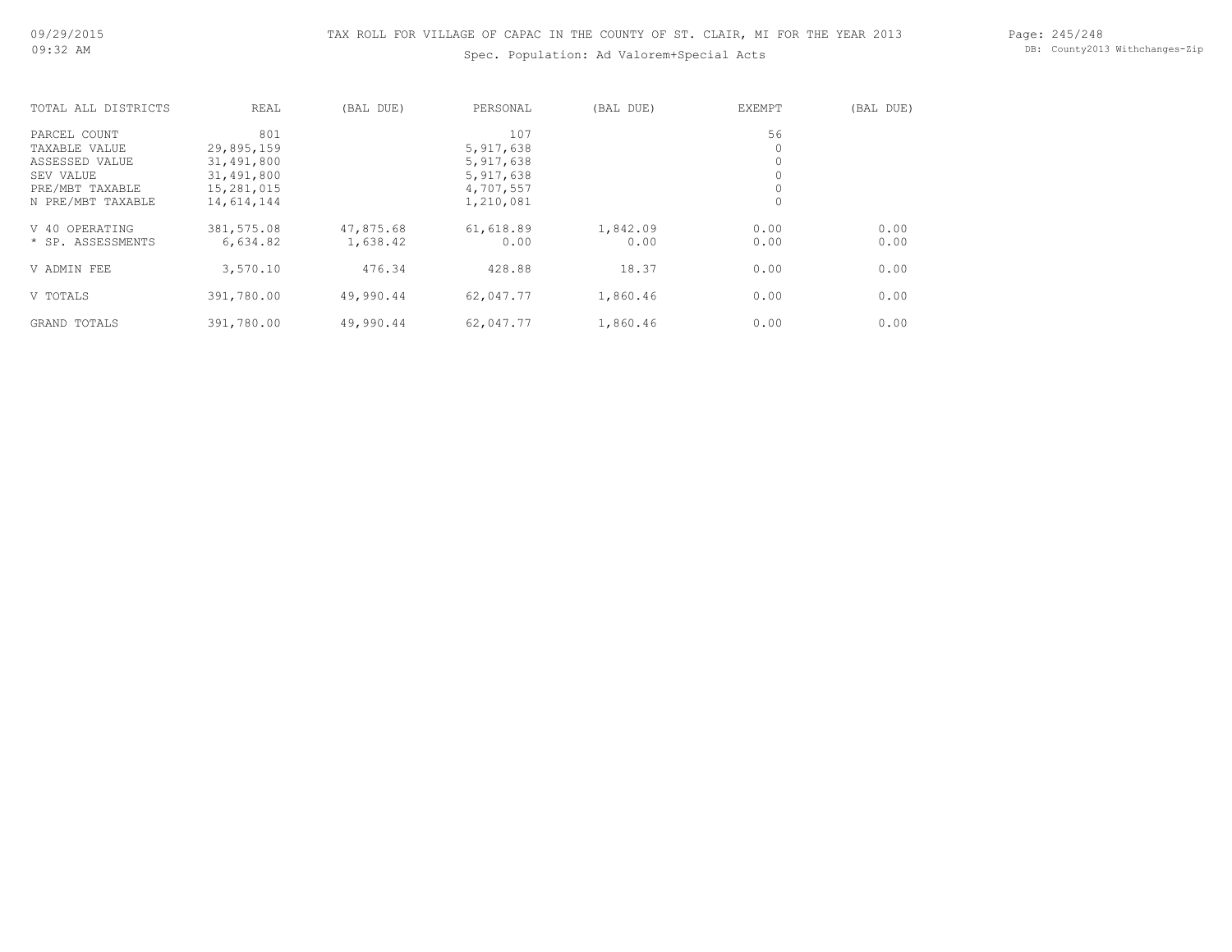Page: 245/248 DB: County2013 Withchanges-Zip

| TOTAL ALL DISTRICTS | REAL       | (BAL DUE) | PERSONAL  | (BAL DUE) | EXEMPT | (BAL DUE) |
|---------------------|------------|-----------|-----------|-----------|--------|-----------|
| PARCEL COUNT        | 801        |           | 107       |           | 56     |           |
| TAXABLE VALUE       | 29,895,159 |           | 5,917,638 |           | 0      |           |
| ASSESSED VALUE      | 31,491,800 |           | 5,917,638 |           | 0      |           |
| SEV VALUE           | 31,491,800 |           | 5,917,638 |           |        |           |
| PRE/MBT TAXABLE     | 15,281,015 |           | 4,707,557 |           |        |           |
| N PRE/MBT TAXABLE   | 14,614,144 |           | 1,210,081 |           | 0      |           |
| OPERATING<br>V 40   | 381,575.08 | 47,875.68 | 61,618.89 | 1,842.09  | 0.00   | 0.00      |
| * SP. ASSESSMENTS   | 6,634.82   | 1,638.42  | 0.00      | 0.00      | 0.00   | 0.00      |
| V ADMIN FEE         | 3,570.10   | 476.34    | 428.88    | 18.37     | 0.00   | 0.00      |
| V TOTALS            | 391,780.00 | 49,990.44 | 62,047.77 | 1,860.46  | 0.00   | 0.00      |
| GRAND TOTALS        | 391,780.00 | 49,990.44 | 62,047.77 | 1,860.46  | 0.00   | 0.00      |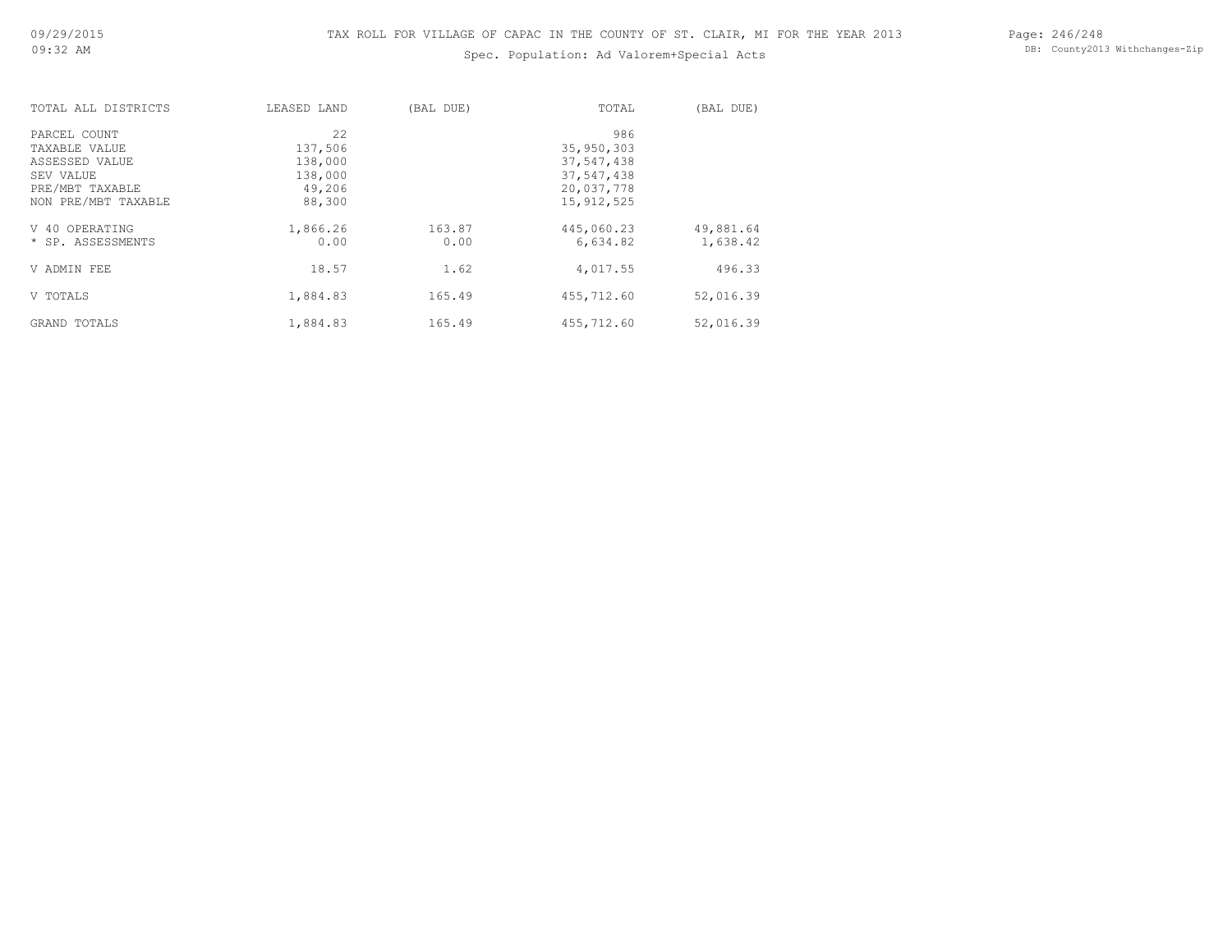| TOTAL ALL DISTRICTS | LEASED LAND | (BAL DUE) | TOTAL        | (BAL DUE) |
|---------------------|-------------|-----------|--------------|-----------|
| PARCEL COUNT        | 2.2.        |           | 986          |           |
| TAXABLE VALUE       | 137,506     |           | 35,950,303   |           |
| ASSESSED VALUE      | 138,000     |           | 37,547,438   |           |
| SEV VALUE           | 138,000     |           | 37,547,438   |           |
| PRE/MBT TAXABLE     | 49,206      |           | 20,037,778   |           |
| NON PRE/MBT TAXABLE | 88,300      |           | 15, 912, 525 |           |
| V 40 OPERATING      | 1,866.26    | 163.87    | 445,060.23   | 49,881.64 |
| * SP. ASSESSMENTS   | 0.00        | 0.00      | 6,634.82     | 1,638.42  |
| V ADMIN FEE         | 18.57       | 1.62      | 4,017.55     | 496.33    |
| V TOTALS            | 1,884.83    | 165.49    | 455,712.60   | 52,016.39 |
| GRAND TOTALS        | 1,884.83    | 165.49    | 455,712.60   | 52,016.39 |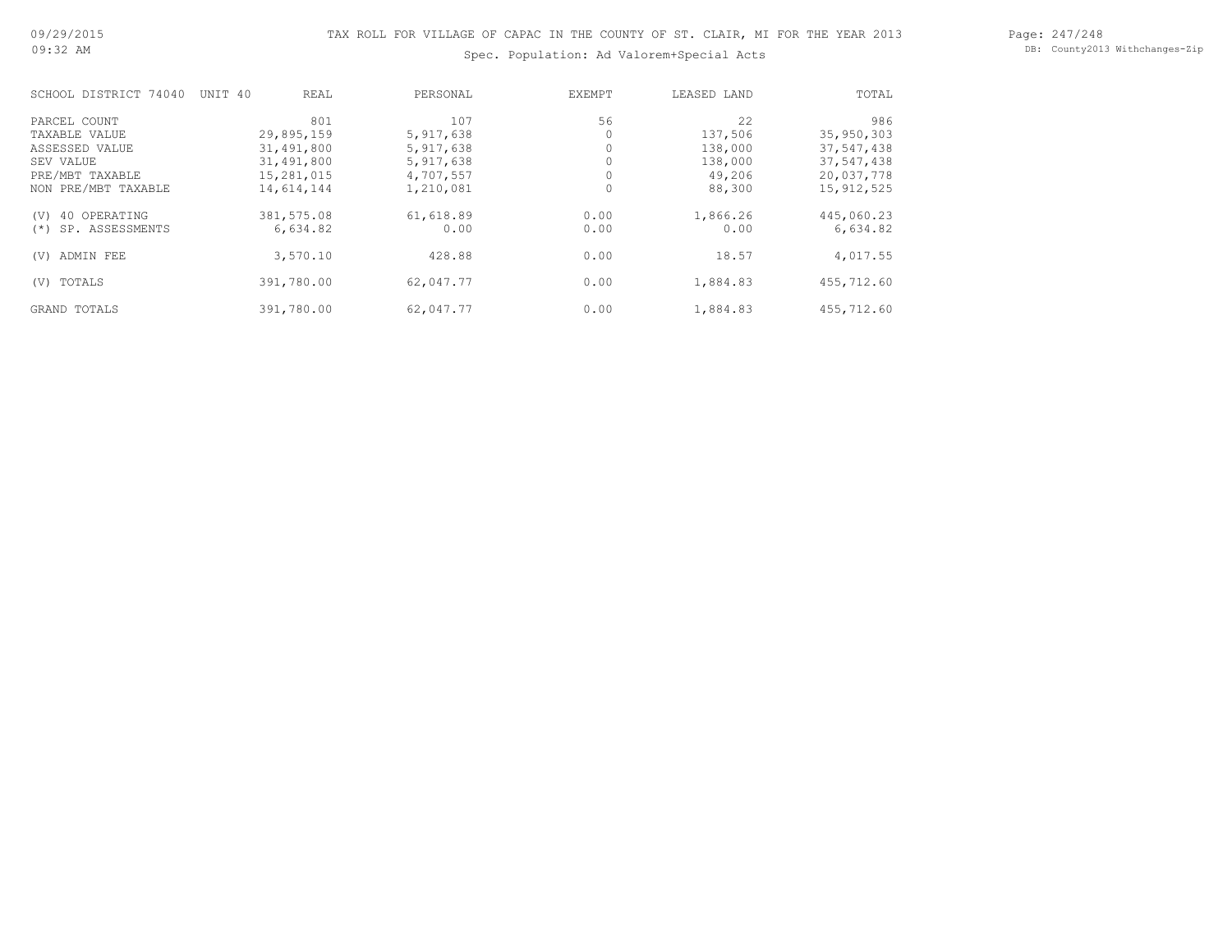Page: 247/248 DB: County2013 Withchanges-Zip

| SCHOOL DISTRICT 74040    | UNIT 40    | REAL     | PERSONAL  | EXEMPT | LEASED LAND | TOTAL        |
|--------------------------|------------|----------|-----------|--------|-------------|--------------|
| PARCEL COUNT             |            | 801      | 107       | 56     | 22          | 986          |
| TAXABLE VALUE            | 29,895,159 |          | 5,917,638 |        | 137,506     | 35,950,303   |
| ASSESSED VALUE           | 31,491,800 |          | 5,917,638 |        | 138,000     | 37,547,438   |
| SEV VALUE                | 31,491,800 |          | 5,917,638 |        | 138,000     | 37,547,438   |
| PRE/MBT TAXABLE          | 15,281,015 |          | 4,707,557 |        | 49,206      | 20,037,778   |
| NON PRE/MBT TAXABLE      | 14,614,144 |          | 1,210,081 |        | 88,300      | 15, 912, 525 |
| 40 OPERATING<br>(V)      | 381,575.08 |          | 61,618.89 | 0.00   | 1,866.26    | 445,060.23   |
| SP. ASSESSMENTS<br>$(*)$ |            | 6,634.82 | 0.00      | 0.00   | 0.00        | 6,634.82     |
| ADMIN FEE<br>(V)         | 3,570.10   |          | 428.88    | 0.00   | 18.57       | 4,017.55     |
| TOTALS<br>(V)            | 391,780.00 |          | 62,047.77 | 0.00   | 1,884.83    | 455,712.60   |
| GRAND TOTALS             | 391,780.00 |          | 62,047.77 | 0.00   | 1,884.83    | 455,712.60   |